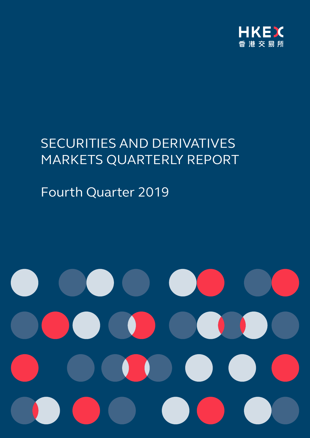

# SECURITIES AND DERIVATIVES MARKETS QUARTERLY REPORT

# Fourth Quarter 2019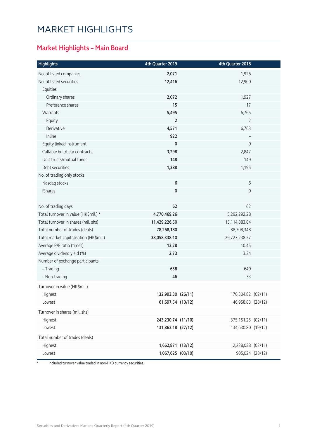### MARKET HIGHLIGHTS

#### **Market Highlights – Main Board**

| <b>Highlights</b>                      | 4th Quarter 2019   | 4th Quarter 2018   |  |
|----------------------------------------|--------------------|--------------------|--|
| No. of listed companies                | 2,071              | 1,926              |  |
| No. of listed securities               | 12,416             | 12,900             |  |
| Equities                               |                    |                    |  |
| Ordinary shares                        | 2,072              | 1,927              |  |
| Preference shares                      | 15                 | 17                 |  |
| Warrants                               | 5,495              | 6,765              |  |
| Equity                                 | 2                  | $\overline{2}$     |  |
| Derivative                             | 4,571              | 6,763              |  |
| Inline                                 | 922                |                    |  |
| Equity linked instrument               | $\mathbf 0$        | $\mathbf 0$        |  |
| Callable bull/bear contracts           | 3,298              | 2,847              |  |
| Unit trusts/mutual funds               | 148                | 149                |  |
| Debt securities                        | 1,388              | 1,195              |  |
| No. of trading only stocks             |                    |                    |  |
| Nasdaq stocks                          | 6                  | 6                  |  |
| <b>iShares</b>                         | 0                  | $\mathbf{0}$       |  |
| No. of trading days                    | 62                 | 62                 |  |
| Total turnover in value (HK\$mil.) *   | 4,770,469.26       | 5,292,292.28       |  |
| Total turnover in shares (mil. shs)    | 11,429,226.50      | 15,114,883.84      |  |
| Total number of trades (deals)         | 78,268,180         | 88,708,348         |  |
| Total market capitalisation (HK\$mil.) | 38,058,338.10      | 29,723,238.27      |  |
| Average P/E ratio (times)              | 13.28              | 10.45              |  |
| Average dividend yield (%)             | 2.73               | 3.34               |  |
| Number of exchange participants        |                    |                    |  |
| - Trading                              | 658                | 640                |  |
| - Non-trading                          | 46                 | 33                 |  |
| Turnover in value (HK\$mil.)           |                    |                    |  |
| Highest                                | 132,993.30 (26/11) | 170,304.82 (02/11) |  |
| Lowest                                 | 61,697.54 (10/12)  | 46,958.83 (28/12)  |  |
| Turnover in shares (mil. shs)          |                    |                    |  |
| Highest                                | 243,230.74 (11/10) | 375,151.25 (02/11) |  |
| Lowest                                 | 131,863.18 (27/12) | 134,630.80 (19/12) |  |
| Total number of trades (deals)         |                    |                    |  |
| Highest                                | 1,662,871 (13/12)  | 2,228,038 (02/11)  |  |
| Lowest                                 | 1,067,625 (03/10)  | 905,024 (28/12)    |  |

\* Included turnover value traded in non-HKD currency securities.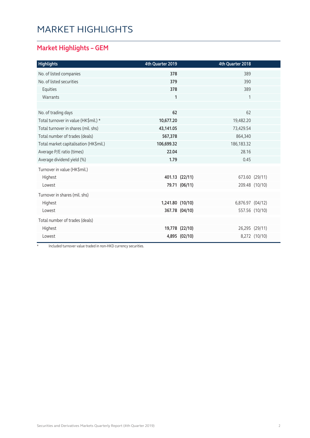### MARKET HIGHLIGHTS

#### **Market Highlights – GEM**

| <b>Highlights</b>                      | 4th Quarter 2019 |                | 4th Quarter 2018 |                |
|----------------------------------------|------------------|----------------|------------------|----------------|
| No. of listed companies                | 378              |                | 389              |                |
| No. of listed securities               | 379              |                | 390              |                |
| Equities                               | 378              |                | 389              |                |
| Warrants                               | $\mathbf{1}$     |                | 1                |                |
|                                        |                  |                |                  |                |
| No. of trading days                    | 62               |                | 62               |                |
| Total turnover in value (HK\$mil.) *   | 10,677.20        |                | 19,482.20        |                |
| Total turnover in shares (mil. shs)    | 43,141.05        |                | 73,429.54        |                |
| Total number of trades (deals)         | 567,378          |                | 864,340          |                |
| Total market capitalisation (HK\$mil.) | 106,699.32       |                | 186, 183. 32     |                |
| Average P/E ratio (times)              | 22.04            |                | 28.16            |                |
| Average dividend yield (%)             | 1.79             |                | 0.45             |                |
| Turnover in value (HK\$mil.)           |                  |                |                  |                |
| Highest                                |                  | 401.13 (22/11) |                  | 673.60 (29/11) |
| Lowest                                 |                  | 79.71 (06/11)  |                  | 209.48 (10/10) |
| Turnover in shares (mil. shs)          |                  |                |                  |                |
| Highest                                | 1,241.80 (10/10) |                | 6,876.97 (04/12) |                |
| Lowest                                 |                  | 367.78 (04/10) |                  | 557.56 (10/10) |
| Total number of trades (deals)         |                  |                |                  |                |
| Highest                                |                  | 19,778 (22/10) |                  | 26,295 (29/11) |
| Lowest                                 |                  | 4,895 (02/10)  |                  | 8,272 (10/10)  |

\* Included turnover value traded in non-HKD currency securities.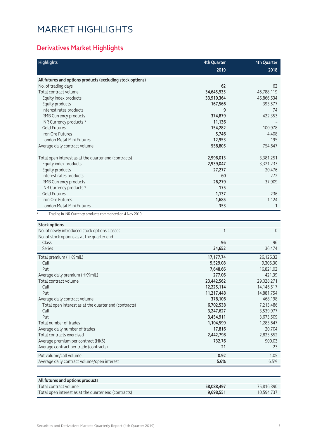## MARKET HIGHLIGHTS

#### **Derivatives Market Highlights**

| <b>Highlights</b>                                          | <b>4th Quarter</b> | <b>4th Quarter</b> |
|------------------------------------------------------------|--------------------|--------------------|
|                                                            | 2019               | 2018               |
| All futures and options products (excluding stock options) |                    |                    |
| No. of trading days                                        | 62                 | 62                 |
| Total contract volume                                      | 34,645,935         | 46,788,119         |
| Equity index products                                      | 33,919,364         | 45,866,534         |
| Equity products                                            | 167,566            | 393,577            |
| Interest rates products                                    | 9                  | 74                 |
| RMB Currency products                                      | 374,879            | 422,353            |
| INR Currency products *                                    | 11,136             |                    |
| <b>Gold Futures</b>                                        | 154,282            | 100,978            |
| Iron Ore Futures                                           | 5,746              | 4,408              |
| <b>London Metal Mini Futures</b>                           | 12,953             | 195                |
| Average daily contract volume                              | 558,805            | 754,647            |
|                                                            |                    |                    |
| Total open interest as at the quarter end (contracts)      | 2,996,013          | 3,381,251          |
| Equity index products                                      | 2,939,047          | 3,321,233          |
| Equity products                                            | 27,277             | 20,476             |
| Interest rates products                                    | 60                 | 272                |
| RMB Currency products                                      | 26,279             | 37,909             |
| INR Currency products *                                    | 175                |                    |
| <b>Gold Futures</b>                                        | 1,137              | 236                |
| Iron Ore Futures                                           | 1,685              | 1,124              |
| London Metal Mini Futures                                  | 353                | 1                  |
|                                                            |                    |                    |
| Trading in INR Currency products commenced on 4 Nov 2019   |                    |                    |
| <b>Stock options</b>                                       |                    |                    |
| No. of newly introduced stock options classes              | 1                  | $\mathbf{0}$       |
| No. of stock options as at the quarter end                 |                    |                    |
| Class                                                      | 96                 | 96                 |
| Series                                                     | 34,652             | 36,474             |
| Total premium (HK\$mil.)                                   | 17,177.74          | 26,126.32          |
| Call                                                       | 9,529.08           | 9,305.30           |
| Put                                                        | 7,648.66           | 16,821.02          |
| Average daily premium (HK\$mil.)                           | 277.06             | 421.39             |
| Total contract volume                                      | 23,442,562         | 29,028,271         |
| Call                                                       | 12,225,114         | 14,146,517         |
| Put                                                        | 11,217,448         | 14,881,754         |
| Average daily contract volume                              | 378,106            | 468,198            |
| Total open interest as at the quarter end (contracts)      | 6,702,538          | 7,213,486          |
| Call                                                       | 3,247,627          | 3,539,977          |
| Put                                                        | 3,454,911          | 3,673,509          |
| Total number of trades                                     | 1,104,599          | 1,283,647          |
| Average daily number of trades                             | 17,816             | 20,704             |
| Total contracts exercised                                  | 2,442,798          | 2,823,552          |
| Average premium per contract (HK\$)                        | 732.76             | 900.03             |
| Average contract per trade (contracts)                     | 21                 | 23                 |
| Put volume/call volume                                     | 0.92               | 1.05               |
| Average daily contract volume/open interest                | 5.6%               | 6.5%               |
|                                                            |                    |                    |
|                                                            |                    |                    |
| All futures and options products                           |                    |                    |
|                                                            | <b>EQ 000 407</b>  | 75016200           |

| All futures and options products                      |            |            |
|-------------------------------------------------------|------------|------------|
| Total contract volume                                 | 58,088,497 | 75.816.390 |
| Total open interest as at the quarter end (contracts) | 9.698.551  | 10.594.737 |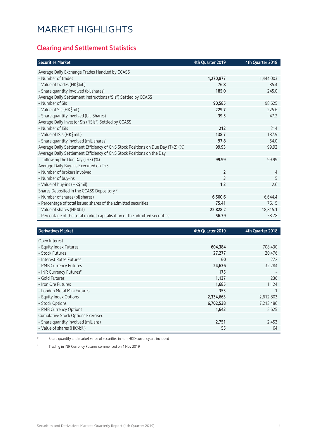#### **Clearing and Settlement Statistics**

| <b>Securities Market</b>                                                        | 4th Quarter 2019 | 4th Quarter 2018 |
|---------------------------------------------------------------------------------|------------------|------------------|
| Average Daily Exchange Trades Handled by CCASS                                  |                  |                  |
| - Number of trades                                                              | 1,270,877        | 1,444,003        |
| - Value of trades (HK\$bil.)                                                    | 76.8             | 85.4             |
| - Share quantity Involved (bil shares)                                          | 185.0            | 245.0            |
| Average Daily Settlement Instructions ("SIs") Settled by CCASS                  |                  |                  |
| - Number of SIs                                                                 | 90,585           | 98,625           |
| - Value of SIs (HK\$bil.)                                                       | 229.7            | 225.6            |
| - Share quantity involved (bil. Shares)                                         | 39.5             | 47.2             |
| Average Daily Investor SIs ("ISIs") Settled by CCASS                            |                  |                  |
| - Number of ISIs                                                                | 212              | 214              |
| - Value of ISIs (HK\$mil.)                                                      | 138.7            | 187.9            |
| - Share quantity involved (mil. shares)                                         | 97.8             | 54.0             |
| Average Daily Settlement Efficiency of CNS Stock Positions on Due Day (T+2) (%) | 99.93            | 99.92            |
| Average Daily Settlement Efficiency of CNS Stock Positions on the Day           |                  |                  |
| following the Due Day (T+3) (%)                                                 | 99.99            | 99.99            |
| Average Daily Buy-ins Executed on T+3                                           |                  |                  |
| - Number of brokers involved                                                    | $\overline{2}$   | 4                |
| - Number of buy-ins                                                             | 3                | 5                |
| - Value of buy-ins (HK\$mil)                                                    | 1.3              | 2.6              |
| Shares Deposited in the CCASS Depository *                                      |                  |                  |
| - Number of shares (bil shares)                                                 | 6,500.6          | 6,644.4          |
| - Percentage of total issued shares of the admitted securities                  | 75.41            | 76.15            |
| - Value of shares (HK\$bil)                                                     | 22,828.2         | 18,815.1         |
| - Percentage of the total market capitalisation of the admitted securities      | 56.79            | 58.78            |

| <b>Derivatives Market</b>                 | 4th Quarter 2019 | 4th Quarter 2018 |
|-------------------------------------------|------------------|------------------|
| Open Interest                             |                  |                  |
|                                           |                  |                  |
| - Equity Index Futures                    | 604,384          | 708,430          |
| - Stock Futures                           | 27,277           | 20,476           |
| - Interest Rates Futures                  | 60               | 272              |
| - RMB Currency Futures                    | 24,636           | 32,284           |
| - INR Currency Futures#                   | 175              |                  |
| - Gold Futures                            | 1,137            | 236              |
| - Iron Ore Futures                        | 1,685            | 1,124            |
| - London Metal Mini Futures               | 353              |                  |
| - Equity Index Options                    | 2,334,663        | 2,612,803        |
| - Stock Options                           | 6,702,538        | 7,213,486        |
| - RMB Currency Options                    | 1,643            | 5,625            |
| <b>Cumulative Stock Options Exercised</b> |                  |                  |
| - Share quantity involved (mil. shs)      | 2,751            | 2,453            |
| - Value of shares (HK\$bil.)              | 55               | 64               |

\* Share quantity and market value of securities in non-HKD currency are included

# Trading in INR Currency Futures commenced on 4 Nov 2019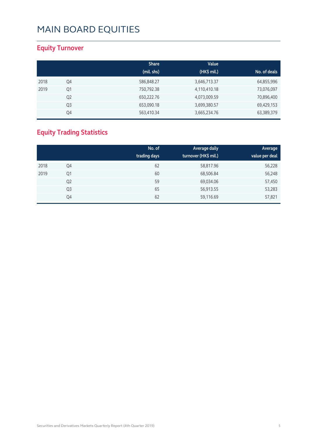#### **Equity Turnover**

|      |                | <b>Share</b><br>(mil. shs) | Value<br>(HK\$ mil.) | No. of deals |
|------|----------------|----------------------------|----------------------|--------------|
|      |                |                            |                      |              |
| 2018 | Q4             | 586,848.27                 | 3,646,713.37         | 64,855,996   |
| 2019 | Q1             | 750,792.38                 | 4,110,410.18         | 73,076,097   |
|      | Q <sub>2</sub> | 650,222.76                 | 4,073,009.59         | 70,896,400   |
|      | Q3             | 653,090.18                 | 3,699,380.57         | 69,429,153   |
|      | Q4             | 563,410.34                 | 3,665,234.76         | 63,389,379   |

#### **Equity Trading Statistics**

|      |                | No. of<br>trading days | Average daily<br>turnover (HK\$ mil.) | Average<br>value per deal |
|------|----------------|------------------------|---------------------------------------|---------------------------|
| 2018 | Q4             | 62                     | 58,817.96                             | 56,228                    |
| 2019 | Q <sub>1</sub> | 60                     | 68,506.84                             | 56,248                    |
|      | Q <sub>2</sub> | 59                     | 69,034.06                             | 57,450                    |
|      | Q <sub>3</sub> | 65                     | 56,913.55                             | 53,283                    |
|      | Q4             | 62                     | 59,116.69                             | 57,821                    |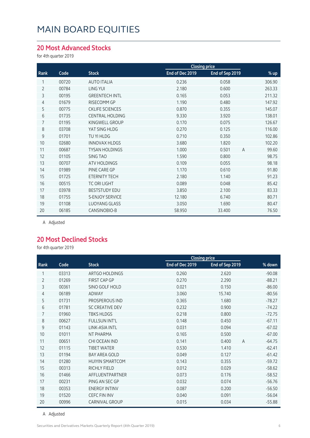#### **20 Most Advanced Stocks**

for 4th quarter 2019

| Code  | <b>Stock</b>           | End of Dec 2019 | End of Sep 2019         | % up                 |
|-------|------------------------|-----------------|-------------------------|----------------------|
| 00720 | <b>AUTO ITALIA</b>     | 0.236           | 0.058                   | 306.90               |
| 00784 | <b>LING YUI</b>        | 2.180           | 0.600                   | 263.33               |
| 00195 | <b>GREENTECH INTL</b>  | 0.165           | 0.053                   | 211.32               |
| 01679 | RISECOMM GP            | 1.190           | 0.480                   | 147.92               |
| 00775 | <b>CKLIFE SCIENCES</b> | 0.870           | 0.355                   | 145.07               |
| 01735 | <b>CENTRAL HOLDING</b> | 9.330           | 3.920                   | 138.01               |
| 01195 | KINGWELL GROUP         | 0.170           | 0.075                   | 126.67               |
| 03708 | YAT SING HLDG          | 0.270           | 0.125                   | 116.00               |
| 01701 | TU YI HLDG             | 0.710           | 0.350                   | 102.86               |
| 02680 | <b>INNOVAX HLDGS</b>   | 3.680           | 1.820                   | 102.20               |
| 00687 | <b>TYSAN HOLDINGS</b>  | 1.000           | 0.501<br>$\overline{A}$ | 99.60                |
| 01105 | <b>SING TAO</b>        | 1.590           | 0.800                   | 98.75                |
| 00707 | <b>ATV HOLDINGS</b>    | 0.109           | 0.055                   | 98.18                |
| 01989 | PINE CARE GP           | 1.170           | 0.610                   | 91.80                |
| 01725 | <b>ETERNITY TECH</b>   | 2.180           | 1.140                   | 91.23                |
| 00515 | <b>TC ORI LIGHT</b>    | 0.089           | 0.048                   | 85.42                |
| 03978 | <b>BESTSTUDY EDU</b>   | 3.850           | 2.100                   | 83.33                |
| 01755 | S-ENJOY SERVICE        | 12.180          | 6.740                   | 80.71                |
| 01108 | <b>LUOYANG GLASS</b>   | 3.050           | 1.690                   | 80.47                |
| 06185 | CANSINOBIO-B           | 58.950          | 33.400                  | 76.50                |
|       |                        |                 |                         | <b>Closing price</b> |

A Adjusted

#### **20 Most Declined Stocks**

for 4th quarter 2019

|                |       |                        |                 | <b>Closing price</b>    |          |  |
|----------------|-------|------------------------|-----------------|-------------------------|----------|--|
| Rank           | Code  | <b>Stock</b>           | End of Dec 2019 | End of Sep 2019         | % down   |  |
| 1              | 03313 | ARTGO HOLDINGS         | 0.260           | 2.620                   | $-90.08$ |  |
| $\overline{2}$ | 01269 | <b>FIRST CAP GP</b>    | 0.270           | 2.290                   | $-88.21$ |  |
| 3              | 00361 | SINO GOLF HOLD         | 0.021           | 0.150                   | $-86.00$ |  |
| 4              | 06189 | <b>ADWAY</b>           | 3.060           | 15.740                  | $-80.56$ |  |
| 5              | 01731 | PROSPEROUS IND         | 0.365           | 1.680                   | $-78.27$ |  |
| 6              | 01781 | <b>SC CREATIVE DEV</b> | 0.232           | 0.900                   | $-74.22$ |  |
| 7              | 01960 | <b>TBKS HLDGS</b>      | 0.218           | 0.800                   | $-72.75$ |  |
| 8              | 00627 | <b>FULLSUN INT'L</b>   | 0.148           | 0.450                   | $-67.11$ |  |
| 9              | 01143 | LINK-ASIA INTL         | 0.031           | 0.094                   | $-67.02$ |  |
| 10             | 01011 | NT PHARMA              | 0.165           | 0.500                   | $-67.00$ |  |
| 11             | 00651 | CHI OCEAN IND          | 0.141           | 0.400<br>$\overline{A}$ | $-64.75$ |  |
| 12             | 01115 | <b>TIBET WATER</b>     | 0.530           | 1.410                   | $-62.41$ |  |
| 13             | 01194 | <b>BAY AREA GOLD</b>   | 0.049           | 0.127                   | $-61.42$ |  |
| 14             | 01280 | <b>HUIYIN SMARTCOM</b> | 0.143           | 0.355                   | $-59.72$ |  |
| 15             | 00313 | RICHLY FIELD           | 0.012           | 0.029                   | $-58.62$ |  |
| 16             | 01466 | AFFLUENTPARTNER        | 0.073           | 0.176                   | $-58.52$ |  |
| 17             | 00231 | PING AN SEC GP         | 0.032           | 0.074                   | $-56.76$ |  |
| 18             | 00353 | <b>ENERGY INTINV</b>   | 0.087           | 0.200                   | $-56.50$ |  |
| 19             | 01520 | CEFC FIN INV           | 0.040           | 0.091                   | $-56.04$ |  |
| 20             | 00996 | <b>CARNIVAL GROUP</b>  | 0.015           | 0.034                   | $-55.88$ |  |

A Adjusted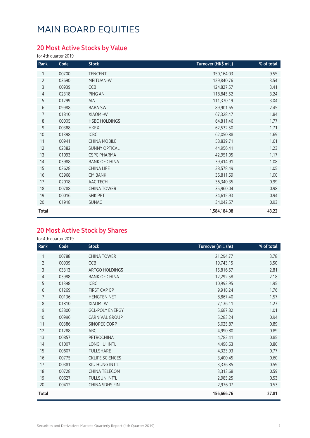#### **20 Most Active Stocks by Value**

for 4th quarter 2019

| Rank           | Code  | <b>Stock</b>         | Turnover (HK\$ mil.) | % of total |
|----------------|-------|----------------------|----------------------|------------|
| 1              | 00700 | <b>TENCENT</b>       | 350,164.03           | 9.55       |
| $\overline{2}$ | 03690 | MEITUAN-W            | 129,840.76           | 3.54       |
| 3              | 00939 | CCB                  | 124,827.57           | 3.41       |
| 4              | 02318 | PING AN              | 118,845.52           | 3.24       |
| 5              | 01299 | AIA                  | 111,370.19           | 3.04       |
| 6              | 09988 | BABA-SW              | 89,901.65            | 2.45       |
| $\overline{7}$ | 01810 | XIAOMI-W             | 67,328.47            | 1.84       |
| 8              | 00005 | <b>HSBC HOLDINGS</b> | 64,811.46            | 1.77       |
| $\mathsf 9$    | 00388 | <b>HKEX</b>          | 62,532.50            | 1.71       |
| 10             | 01398 | <b>ICBC</b>          | 62,050.88            | 1.69       |
| 11             | 00941 | <b>CHINA MOBILE</b>  | 58,839.71            | 1.61       |
| 12             | 02382 | <b>SUNNY OPTICAL</b> | 44,956.41            | 1.23       |
| 13             | 01093 | <b>CSPC PHARMA</b>   | 42,951.05            | 1.17       |
| 14             | 03988 | <b>BANK OF CHINA</b> | 39,414.91            | 1.08       |
| 15             | 02628 | CHINA LIFE           | 38,578.49            | 1.05       |
| 16             | 03968 | <b>CM BANK</b>       | 36,811.59            | 1.00       |
| 17             | 02018 | AAC TECH             | 36,340.35            | 0.99       |
| 18             | 00788 | <b>CHINA TOWER</b>   | 35,960.04            | 0.98       |
| 19             | 00016 | <b>SHK PPT</b>       | 34,615.93            | 0.94       |
| 20             | 01918 | <b>SUNAC</b>         | 34,042.57            | 0.93       |
| Total          |       |                      | 1,584,184.08         | 43.22      |

#### **20 Most Active Stock by Shares**

for 4th quarter 2019

| Rank           | Code  | <b>Stock</b>           | Turnover (mil. shs) | % of total |
|----------------|-------|------------------------|---------------------|------------|
| 1              | 00788 | <b>CHINA TOWER</b>     | 21,294.77           | 3.78       |
| $\overline{2}$ | 00939 | CCB                    | 19,743.15           | 3.50       |
| 3              | 03313 | ARTGO HOLDINGS         | 15,816.57           | 2.81       |
| 4              | 03988 | <b>BANK OF CHINA</b>   | 12,292.58           | 2.18       |
| 5              | 01398 | <b>ICBC</b>            | 10,992.95           | 1.95       |
| 6              | 01269 | FIRST CAP GP           | 9,918.24            | 1.76       |
| $\overline{7}$ | 00136 | <b>HENGTEN NET</b>     | 8,867.40            | 1.57       |
| 8              | 01810 | XIAOMI-W               | 7,136.11            | 1.27       |
| 9              | 03800 | <b>GCL-POLY ENERGY</b> | 5,687.82            | 1.01       |
| 10             | 00996 | CARNIVAL GROUP         | 5,283.24            | 0.94       |
| 11             | 00386 | SINOPEC CORP           | 5,025.87            | 0.89       |
| 12             | 01288 | ABC                    | 4,990.80            | 0.89       |
| 13             | 00857 | PETROCHINA             | 4,782.41            | 0.85       |
| 14             | 01007 | <b>LONGHUI INTL</b>    | 4,498.63            | 0.80       |
| 15             | 00607 | <b>FULLSHARE</b>       | 4,323.93            | 0.77       |
| 16             | 00775 | <b>CKLIFE SCIENCES</b> | 3,400.45            | 0.60       |
| 17             | 00381 | KIU HUNG INT'L         | 3,336.85            | 0.59       |
| 18             | 00728 | CHINA TELECOM          | 3,313.68            | 0.59       |
| 19             | 00627 | FULLSUN INT'L          | 2,985.25            | 0.53       |
| 20             | 00412 | CHINA SDHS FIN         | 2,976.07            | 0.53       |
| Total          |       |                        | 156,666.76          | 27.81      |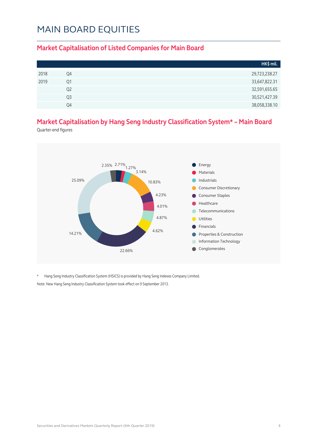#### **Market Capitalisation of Listed Companies for Main Board**

|      |                | HK\$ mil.     |
|------|----------------|---------------|
| 2018 | Q4             | 29,723,238.27 |
| 2019 | Q1             | 33,647,822.31 |
|      | Q <sub>2</sub> | 32,591,655.65 |
|      | Q <sub>3</sub> | 30,521,427.39 |
|      | O <sub>4</sub> | 38,058,338.10 |

#### **Market Capitalisation by Hang Seng Industry Classification System\* – Main Board**

Quarter-end figures



\* Hang Seng Industry Classification System (HSICS) is provided by Hang Seng Indexes Company Limited. Note: New Hang Seng Industry Classification System took effect on 9 September 2013.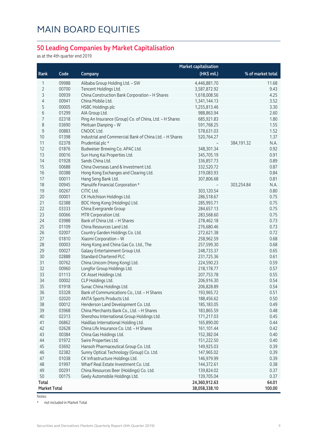#### **50 Leading Companies by Market Capitalisation**

as at the 4th quarter end 2019

|                     |                | <b>Market capitalisation</b>                                             |                          |                    |  |
|---------------------|----------------|--------------------------------------------------------------------------|--------------------------|--------------------|--|
| Rank                | Code           | Company                                                                  | (HK\$ mil.)              | % of market total  |  |
| 1                   | 09988          | Alibaba Group Holding Ltd. - SW                                          | 4,446,881.70             | 11.68              |  |
| $\overline{2}$      | 00700          | Tencent Holdings Ltd.                                                    | 3,587,872.92             | 9.43               |  |
| 3                   | 00939          | China Construction Bank Corporation - H Shares                           | 1,618,008.56             | 4.25               |  |
| 4                   | 00941          | China Mobile Ltd.                                                        | 1,341,144.13             | 3.52               |  |
| 5                   | 00005          | <b>HSBC Holdings plc</b>                                                 | 1,255,813.46             | 3.30               |  |
| 6                   | 01299          | AIA Group Ltd.                                                           | 988,863.94               | 2.60               |  |
| 7                   | 02318          | Ping An Insurance (Group) Co. of China, Ltd. - H Shares                  | 685,921.83               | 1.80               |  |
| 8                   | 03690          | Meituan Dianping - W                                                     | 591,768.25               | 1.55               |  |
| $\mathsf 9$         | 00883          | CNOOC Ltd.                                                               | 578,631.03               | 1.52               |  |
| 10                  | 01398          | Industrial and Commercial Bank of China Ltd. - H Shares                  | 520,764.27               | 1.37               |  |
| 11                  | 02378          | Prudential plc *                                                         |                          | 384,191.32<br>N.A. |  |
| 12                  | 01876          | Budweiser Brewing Co. APAC Ltd.                                          | 348,301.34               | 0.92               |  |
| 13                  | 00016          | Sun Hung Kai Properties Ltd.                                             | 345,705.19               | 0.91               |  |
| 14                  | 01928          | Sands China Ltd.                                                         | 336,857.73               | 0.89               |  |
| 15                  | 00688          | China Overseas Land & Investment Ltd.                                    | 332,520.72               | 0.87               |  |
| 16                  | 00388          | Hong Kong Exchanges and Clearing Ltd.                                    | 319,083.93               | 0.84               |  |
| 17                  | 00011          | Hang Seng Bank Ltd.                                                      | 307,806.68               | 0.81               |  |
| 18                  | 00945          | Manulife Financial Corporation *                                         |                          | 303,254.84<br>N.A. |  |
| 19                  | 00267          | CITIC Ltd.                                                               | 303,120.54               | 0.80               |  |
| 20                  | 00001          | CK Hutchison Holdings Ltd.                                               | 286,518.67               | 0.75               |  |
| 21                  | 02388          | BOC Hong Kong (Holdings) Ltd.                                            | 285,993.71               | 0.75               |  |
| 22                  | 03333          | China Evergrande Group                                                   | 284,657.13               | 0.75               |  |
| 23                  | 00066          | MTR Corporation Ltd.                                                     | 283,568.60               | 0.75               |  |
| 24                  | 03988          | Bank of China Ltd. - H Shares                                            | 278,462.18               | 0.73               |  |
| 25                  | 01109          | China Resources Land Ltd.                                                | 276,680.46               | 0.73               |  |
| 26                  | 02007          | Country Garden Holdings Co. Ltd.                                         | 272,621.38               | 0.72               |  |
| 27                  | 01810          | Xiaomi Corporation - W                                                   | 258,962.59               | 0.68               |  |
| 28                  | 00003          | Hong Kong and China Gas Co. Ltd., The                                    | 257,599.30               | 0.68               |  |
| 29                  | 00027          | Galaxy Entertainment Group Ltd.                                          | 248,733.37               | 0.65               |  |
| 30                  | 02888          | <b>Standard Chartered PLC</b>                                            | 231,725.36               | 0.61               |  |
| 31                  | 00762          | China Unicom (Hong Kong) Ltd.                                            | 224,590.23               | 0.59               |  |
| 32                  | 00960          | Longfor Group Holdings Ltd.                                              | 218,178.77               | 0.57               |  |
| 33                  | 01113          | CK Asset Holdings Ltd.                                                   | 207,753.78               | 0.55               |  |
| 34                  | 00002          | CLP Holdings Ltd.                                                        | 206,916.30               | 0.54               |  |
| 35                  | 01918          | Sunac China Holdings Ltd.                                                | 206,828.89               | 0.54               |  |
| 36                  | 03328          | Bank of Communications Co., Ltd. - H Shares                              | 193,965.72               | 0.51               |  |
| 37                  | 02020          | ANTA Sports Products Ltd.                                                | 188,456.62               | 0.50               |  |
| 38                  | 00012          | Henderson Land Development Co. Ltd.                                      | 185,183.05               | 0.49               |  |
| 39                  | 03968          | China Merchants Bank Co., Ltd. - H Shares                                | 183,865.59               | 0.48               |  |
| 40                  | 02313          | Shenzhou International Group Holdings Ltd.                               | 171,217.03               | 0.45               |  |
| 41                  | 06862          | Haidilao International Holding Ltd.                                      | 165,890.00               | 0.44               |  |
| 42                  | 02628          | China Life Insurance Co. Ltd. - H Shares                                 | 161,101.44               | 0.42               |  |
| 43                  | 00384          | China Gas Holdings Ltd.                                                  | 152,382.04               | 0.40               |  |
| 44<br>45            | 01972          | Swire Properties Ltd.<br>Hansoh Pharmaceutical Group Co. Ltd.            | 151,222.50               | 0.40<br>0.39       |  |
| 46                  | 03692<br>02382 |                                                                          | 149,925.03               |                    |  |
| 47                  | 01038          | Sunny Optical Technology (Group) Co. Ltd.                                | 147,965.02               | 0.39               |  |
| 48                  | 01997          | CK Infrastructure Holdings Ltd.<br>Wharf Real Estate Investment Co. Ltd. | 146,979.99<br>144,372.61 | 0.39<br>0.38       |  |
| 49                  | 00291          | China Resources Beer (Holdings) Co. Ltd.                                 | 139,824.02               | 0.37               |  |
| 50                  | 00175          | Geely Automobile Holdings Ltd.                                           | 139,705.04               | 0.37               |  |
| <b>Total</b>        |                |                                                                          | 24,360,912.63            | 64.01              |  |
| <b>Market Total</b> |                |                                                                          | 38,058,338.10            | 100.00             |  |
|                     |                |                                                                          |                          |                    |  |

Notes:

\* not included in Market Total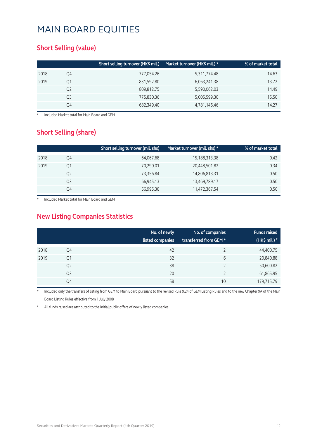#### **Short Selling (value)**

|                | Short selling turnover (HK\$ mil.) | Market turnover (HK\$ mil.) * | % of market total |
|----------------|------------------------------------|-------------------------------|-------------------|
| Q4             | 777,054.26                         | 5,311,774.48                  | 14.63             |
| Q1             | 831,592.80                         | 6,063,241.38                  | 13.72             |
| Q2             | 809,812.75                         | 5,590,062.03                  | 14.49             |
| Q <sub>3</sub> | 775,830.36                         | 5,005,599.30                  | 15.50             |
| Q4             | 682,349.40                         | 4,781,146.46                  | 14.27             |
|                |                                    |                               |                   |

**Included Market total for Main Board and GEM** 

#### **Short Selling (share)**

|      |    | Short selling turnover (mil. shs) | Market turnover (mil. shs) * | % of market total |
|------|----|-----------------------------------|------------------------------|-------------------|
| 2018 | Q4 | 64,067.68                         | 15,188,313.38                | 0.42              |
| 2019 | Q1 | 70,290.01                         | 20,448,501.82                | 0.34              |
|      | Q2 | 73,356.84                         | 14,806,813.31                | 0.50              |
|      | Q3 | 66,945.13                         | 13,469,789.17                | 0.50              |
|      | Q4 | 56,995.38                         | 11,472,367.54                | 0.50              |

Included Market total for Main Board and GEM

#### **New Listing Companies Statistics**

|      |                | No. of newly<br>listed companies | No. of companies<br>transferred from GEM * | <b>Funds raised</b><br>(HK\$ mil.) $*$ |
|------|----------------|----------------------------------|--------------------------------------------|----------------------------------------|
| 2018 | Q4             | 42                               | っ                                          | 44,400.75                              |
| 2019 | Q1             | 32                               | 6                                          | 20,840.88                              |
|      | Q <sub>2</sub> | 38                               |                                            | 50,600.82                              |
|      | Q3             | 20                               |                                            | 61,865.95                              |
|      | Q4             | 58                               | 10                                         | 179,715.79                             |

Included only the transfers of listing from GEM to Main Board pursuant to the revised Rule 9.24 of GEM Listing Rules and to the new Chapter 9A of the Main Board Listing Rules effective from 1 July 2008

All funds raised are attributed to the initial public offers of newly listed companies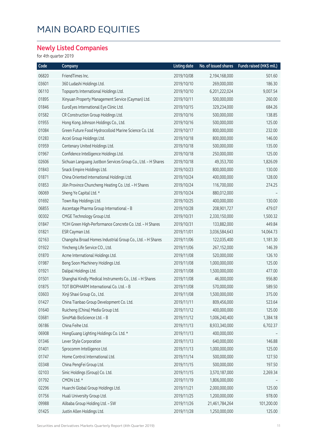#### **Newly Listed Companies**

for 4th quarter 2019

| Code  | Company                                                      | <b>Listing date</b> | No. of issued shares | Funds raised (HK\$ mil.) |
|-------|--------------------------------------------------------------|---------------------|----------------------|--------------------------|
| 06820 | FriendTimes Inc.                                             | 2019/10/08          | 2,194,168,000        | 501.60                   |
| 03601 | 360 Ludashi Holdings Ltd.                                    | 2019/10/10          | 269,000,000          | 186.30                   |
| 06110 | Topsports International Holdings Ltd.                        | 2019/10/10          | 6,201,222,024        | 9,007.54                 |
| 01895 | Xinyuan Property Management Service (Cayman) Ltd.            | 2019/10/11          | 500,000,000          | 260.00                   |
| 01846 | EuroEyes International Eye Clinic Ltd.                       | 2019/10/15          | 329,234,000          | 684.26                   |
| 01582 | CR Construction Group Holdings Ltd.                          | 2019/10/16          | 500,000,000          | 138.85                   |
| 01955 | Hong Kong Johnson Holdings Co., Ltd.                         | 2019/10/16          | 500,000,000          | 125.00                   |
| 01084 | Green Future Food Hydrocolloid Marine Science Co. Ltd.       | 2019/10/17          | 800,000,000          | 232.00                   |
| 01283 | Accel Group Holdings Ltd.                                    | 2019/10/18          | 800,000,000          | 146.00                   |
| 01959 | Centenary United Holdings Ltd.                               | 2019/10/18          | 500,000,000          | 135.00                   |
| 01967 | Confidence Intelligence Holdings Ltd.                        | 2019/10/18          | 250,000,000          | 125.00                   |
| 02606 | Sichuan Languang Justbon Services Group Co., Ltd. - H Shares | 2019/10/18          | 49,353,700           | 1,826.09                 |
| 01843 | Snack Empire Holdings Ltd.                                   | 2019/10/23          | 800,000,000          | 130.00                   |
| 01871 | China Oriented International Holdings Ltd.                   | 2019/10/24          | 400,000,000          | 128.00                   |
| 01853 | Jilin Province Chuncheng Heating Co. Ltd. - H Shares         | 2019/10/24          | 116,700,000          | 274.25                   |
| 06069 | Sheng Ye Capital Ltd. *                                      | 2019/10/24          | 880,012,000          |                          |
| 01692 | Town Ray Holdings Ltd.                                       | 2019/10/25          | 400,000,000          | 130.00                   |
| 06855 | Ascentage Pharma Group International - B                     | 2019/10/28          | 208,901,727          | 479.07                   |
| 00302 | CMGE Technology Group Ltd.                                   | 2019/10/31          | 2,330,150,000        | 1,500.32                 |
| 01847 | YCIH Green High-Performance Concrete Co. Ltd. - H Shares     | 2019/10/31          | 133,882,000          | 449.84                   |
| 01821 | ESR Cayman Ltd.                                              | 2019/11/01          | 3,036,584,643        | 14,064.73                |
| 02163 | Changsha Broad Homes Industrial Group Co., Ltd. - H Shares   | 2019/11/06          | 122,035,400          | 1,181.30                 |
| 01922 | Yincheng Life Service CO., Ltd.                              | 2019/11/06          | 267,152,000          | 146.39                   |
| 01870 | Acme International Holdings Ltd.                             | 2019/11/08          | 520,000,000          | 126.10                   |
| 01987 | Beng Soon Machinery Holdings Ltd.                            | 2019/11/08          | 1,000,000,000        | 125.00                   |
| 01921 | Dalipal Holdings Ltd.                                        | 2019/11/08          | 1,500,000,000        | 477.00                   |
| 01501 | Shanghai Kindly Medical Instruments Co., Ltd. - H Shares     | 2019/11/08          | 46,000,000           | 956.80                   |
| 01875 | TOT BIOPHARM International Co. Ltd. - B                      | 2019/11/08          | 570,000,000          | 589.50                   |
| 03603 | Xinji Shaxi Group Co., Ltd.                                  | 2019/11/08          | 1,500,000,000        | 375.00                   |
| 01427 | China Tianbao Group Development Co. Ltd.                     | 2019/11/11          | 809,456,000          | 523.64                   |
| 01640 | Ruicheng (China) Media Group Ltd.                            | 2019/11/12          | 400,000,000          | 125.00                   |
| 03681 | SinoMab BioScience Ltd. - B                                  | 2019/11/12          | 1,006,240,400        | 1,384.18                 |
| 06186 | China Feihe Ltd.                                             | 2019/11/13          | 8,933,340,000        | 6,702.37                 |
| 06908 | HongGuang Lighting Holdings Co. Ltd. *                       | 2019/11/13          | 400,000,000          |                          |
| 01346 | Lever Style Corporation                                      | 2019/11/13          | 640,000,000          | 146.88                   |
| 01401 | Sprocomm Intelligence Ltd.                                   | 2019/11/13          | 1,000,000,000        | 125.00                   |
| 01747 | Home Control International Ltd.                              | 2019/11/14          | 500,000,000          | 127.50                   |
| 03348 | China PengFei Group Ltd.                                     | 2019/11/15          | 500,000,000          | 197.50                   |
| 02103 | Sinic Holdings (Group) Co. Ltd.                              | 2019/11/15          | 3,570,187,000        | 2,269.34                 |
| 01792 | CMON Ltd. *                                                  | 2019/11/19          | 1,806,000,000        |                          |
| 02296 | Huarchi Global Group Holdings Ltd.                           | 2019/11/21          | 2,000,000,000        | 125.00                   |
| 01756 | Huali University Group Ltd.                                  | 2019/11/25          | 1,200,000,000        | 978.00                   |
| 09988 | Alibaba Group Holding Ltd. - SW                              | 2019/11/26          | 21,461,784,264       | 101,200.00               |
| 01425 | Justin Allen Holdings Ltd.                                   | 2019/11/28          | 1,250,000,000        | 125.00                   |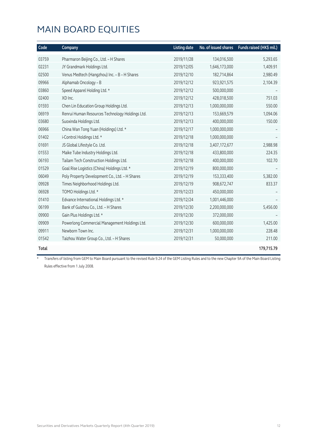| Code  | Company                                         | <b>Listing date</b> | No. of issued shares | Funds raised (HK\$ mil.) |
|-------|-------------------------------------------------|---------------------|----------------------|--------------------------|
| 03759 | Pharmaron Beijing Co., Ltd. - H Shares          | 2019/11/28          | 134,016,500          | 5,293.65                 |
| 02231 | JY Grandmark Holdings Ltd.                      | 2019/12/05          | 1,646,173,000        | 1,409.91                 |
| 02500 | Venus Medtech (Hangzhou) Inc. - B - H Shares    | 2019/12/10          | 182,714,864          | 2,980.49                 |
| 09966 | Alphamab Oncology - B                           | 2019/12/12          | 923,921,575          | 2,104.39                 |
| 03860 | Speed Apparel Holding Ltd. *                    | 2019/12/12          | 500,000,000          |                          |
| 02400 | XD Inc.                                         | 2019/12/12          | 428,018,500          | 751.03                   |
| 01593 | Chen Lin Education Group Holdings Ltd.          | 2019/12/13          | 1,000,000,000        | 550.00                   |
| 06919 | Renrui Human Resources Technology Holdings Ltd. | 2019/12/13          | 153,669,579          | 1,094.06                 |
| 03680 | Suoxinda Holdings Ltd.                          | 2019/12/13          | 400,000,000          | 150.00                   |
| 06966 | China Wan Tong Yuan (Holdings) Ltd. *           | 2019/12/17          | 1,000,000,000        |                          |
| 01402 | i-Control Holdings Ltd. *                       | 2019/12/18          | 1,000,000,000        |                          |
| 01691 | JS Global Lifestyle Co. Ltd.                    | 2019/12/18          | 3,407,172,677        | 2,988.98                 |
| 01553 | Maike Tube Industry Holdings Ltd.               | 2019/12/18          | 433,800,000          | 224.35                   |
| 06193 | Tailam Tech Construction Holdings Ltd.          | 2019/12/18          | 400,000,000          | 102.70                   |
| 01529 | Goal Rise Logistics (China) Holdings Ltd. *     | 2019/12/19          | 800,000,000          |                          |
| 06049 | Poly Property Development Co., Ltd. - H Shares  | 2019/12/19          | 153,333,400          | 5,382.00                 |
| 09928 | Times Neighborhood Holdings Ltd.                | 2019/12/19          | 908,672,747          | 833.37                   |
| 06928 | TOMO Holdings Ltd. *                            | 2019/12/23          | 450,000,000          |                          |
| 01410 | Edvance International Holdings Ltd. *           | 2019/12/24          | 1,001,446,000        |                          |
| 06199 | Bank of Guizhou Co., Ltd. - H Shares            | 2019/12/30          | 2,200,000,000        | 5,456.00                 |
| 09900 | Gain Plus Holdings Ltd. *                       | 2019/12/30          | 372,000,000          |                          |
| 09909 | Powerlong Commercial Management Holdings Ltd.   | 2019/12/30          | 600,000,000          | 1,425.00                 |
| 09911 | Newborn Town Inc.                               | 2019/12/31          | 1,000,000,000        | 228.48                   |
| 01542 | Taizhou Water Group Co., Ltd. - H Shares        | 2019/12/31          | 50,000,000           | 211.00                   |
| Total |                                                 |                     |                      | 179,715.79               |

\* Transfers of listing from GEM to Main Board pursuant to the revised Rule 9.24 of the GEM Listing Rules and to the new Chapter 9A of the Main Board Listing Rules effective from 1 July 2008.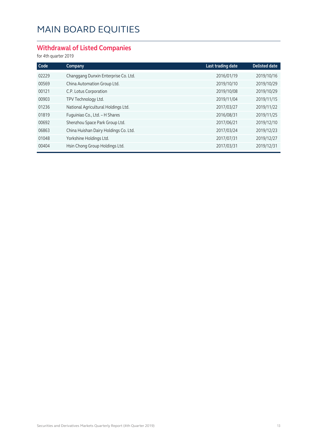#### **Withdrawal of Listed Companies**

for 4th quarter 2019

| Code  | Company                               | Last trading date | <b>Delisted date</b> |
|-------|---------------------------------------|-------------------|----------------------|
| 02229 | Changgang Dunxin Enterprise Co. Ltd.  | 2016/01/19        | 2019/10/16           |
| 00569 | China Automation Group Ltd.           | 2019/10/10        | 2019/10/29           |
| 00121 | C.P. Lotus Corporation                | 2019/10/08        | 2019/10/29           |
| 00903 | TPV Technology Ltd.                   | 2019/11/04        | 2019/11/15           |
| 01236 | National Agricultural Holdings Ltd.   | 2017/03/27        | 2019/11/22           |
| 01819 | Fuguiniao Co., Ltd. - H Shares        | 2016/08/31        | 2019/11/25           |
| 00692 | Shenzhou Space Park Group Ltd.        | 2017/06/21        | 2019/12/10           |
| 06863 | China Huishan Dairy Holdings Co. Ltd. | 2017/03/24        | 2019/12/23           |
| 01048 | Yorkshine Holdings Ltd.               | 2017/07/31        | 2019/12/27           |
| 00404 | Hsin Chong Group Holdings Ltd.        | 2017/03/31        | 2019/12/31           |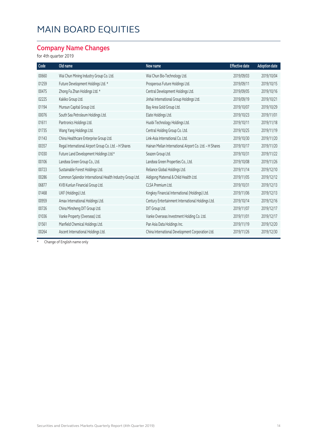#### **Company Name Changes**

for 4th quarter 2019

| Code  | Old name                                                 | New name                                                | <b>Effective date</b> | <b>Adoption date</b> |
|-------|----------------------------------------------------------|---------------------------------------------------------|-----------------------|----------------------|
| 00660 | Wai Chun Mining Industry Group Co. Ltd.                  | Wai Chun Bio-Technology Ltd.                            | 2019/09/03            | 2019/10/04           |
| 01259 | Future Development Holdings Ltd. *                       | Prosperous Future Holdings Ltd.                         | 2019/09/11            | 2019/10/15           |
| 00475 | Zhong Fa Zhan Holdings Ltd. *                            | Central Development Holdings Ltd.                       | 2019/09/05            | 2019/10/16           |
| 02225 | Kakiko Group Ltd.                                        | Jinhai International Group Holdings Ltd.                | 2019/09/19            | 2019/10/21           |
| 01194 | Munsun Capital Group Ltd.                                | Bay Area Gold Group Ltd.                                | 2019/10/07            | 2019/10/29           |
| 00076 | South Sea Petroleum Holdings Ltd.                        | Elate Holdings Ltd.                                     | 2019/10/23            | 2019/11/01           |
| 01611 | Pantronics Holdings Ltd.                                 | Huobi Technology Holdings Ltd.                          | 2019/10/11            | 2019/11/18           |
| 01735 | Wang Yang Holdings Ltd.                                  | Central Holding Group Co. Ltd.                          | 2019/10/25            | 2019/11/19           |
| 01143 | China Healthcare Enterprise Group Ltd.                   | Link-Asia International Co. Ltd.                        | 2019/10/30            | 2019/11/20           |
| 00357 | Regal International Airport Group Co. Ltd. - H Shares    | Hainan Meilan International Airport Co. Ltd. - H Shares | 2019/10/17            | 2019/11/20           |
| 01030 | Future Land Development Holdings Ltd.*                   | Seazen Group Ltd.                                       | 2019/10/31            | 2019/11/22           |
| 00106 | Landsea Green Group Co., Ltd.                            | Landsea Green Properties Co., Ltd.                      | 2019/10/08            | 2019/11/26           |
| 00723 | Sustainable Forest Holdings Ltd.                         | Reliance Global Holdings Ltd.                           | 2019/11/14            | 2019/12/10           |
| 00286 | Common Splendor International Health Industry Group Ltd. | Aidigong Maternal & Child Health Ltd.                   | 2019/11/05            | 2019/12/12           |
| 06877 | KVB Kunlun Financial Group Ltd.                          | CLSA Premium Ltd.                                       | 2019/10/31            | 2019/12/13           |
| 01468 | UKF (Holdings) Ltd.                                      | Kingkey Financial International (Holdings) Ltd.         | 2019/11/06            | 2019/12/13           |
| 00959 | Amax International Holdings Ltd.                         | Century Entertainment International Holdings Ltd.       | 2019/10/14            | 2019/12/16           |
| 00726 | China Minsheng DIT Group Ltd.                            | DIT Group Ltd.                                          | 2019/11/07            | 2019/12/17           |
| 01036 | Vanke Property (Overseas) Ltd.                           | Vanke Overseas Investment Holding Co. Ltd.              | 2019/11/01            | 2019/12/17           |
| 01561 | Manfield Chemical Holdings Ltd.                          | Pan Asia Data Holdings Inc.                             | 2019/11/19            | 2019/12/20           |
| 00264 | Ascent International Holdings Ltd.                       | China International Development Corporation Ltd.        | 2019/11/26            | 2019/12/30           |

\* Change of English name only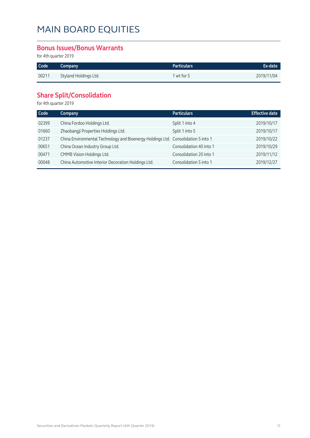#### **Bonus Issues/Bonus Warrants**

for 4th quarter 2019

| Code  | Company               | <b>Particulars</b> | Ex-date    |
|-------|-----------------------|--------------------|------------|
| 00211 | Styland Holdings Ltd. | $1$ wt for $5$     | 2019/11/04 |

#### **Share Split/Consolidation**

for 4th quarter 2019

| Code  | Company                                                                           | <b>Particulars</b>      | <b>Effective date</b> |
|-------|-----------------------------------------------------------------------------------|-------------------------|-----------------------|
| 02399 | China Fordoo Holdings Ltd.                                                        | Split 1 into 4          | 2019/10/17            |
| 01660 | Zhaobangji Properties Holdings Ltd.                                               | Split 1 into 5          | 2019/10/17            |
| 01237 | China Environmental Technology and Bioenergy Holdings Ltd. Consolidation 5 into 1 |                         | 2019/10/22            |
| 00651 | China Ocean Industry Group Ltd.                                                   | Consolidation 40 into 1 | 2019/10/29            |
| 00471 | CMMB Vision Holdings Ltd.                                                         | Consolidation 20 into 1 | 2019/11/12            |
| 00048 | China Automotive Interior Decoration Holdings Ltd.                                | Consolidation 5 into 1  | 2019/12/27            |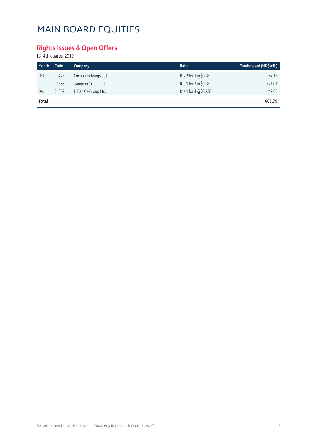#### **Rights Issues & Open Offers**

for 4th quarter 2019

| Month | Code  | <b>Company</b>       | Ratio                | Funds raised (HK\$ mil.) |
|-------|-------|----------------------|----------------------|--------------------------|
| Oct   | 00428 | Cocoon Holdings Ltd. | Rts 2 for 1 @\$0.28  | 67.15                    |
|       | 01366 | Jiangnan Group Ltd.  | Rts 1 for 2 @\$0.28  | 571.04                   |
| Dec   | 01869 | Li Bao Ge Group Ltd. | Rts 1 for 4 @\$0.238 | 47.60                    |
| Total |       |                      |                      | 685.79                   |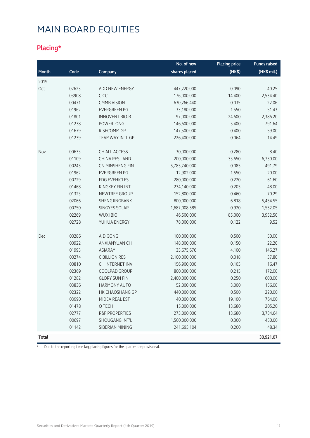#### **Placing\***

|              |       |                       | No. of new    | <b>Placing price</b> | <b>Funds raised</b> |
|--------------|-------|-----------------------|---------------|----------------------|---------------------|
| Month        | Code  | Company               | shares placed | (HK <sup>2</sup> )   | (HK\$ mil.)         |
| 2019         |       |                       |               |                      |                     |
| Oct          | 02623 | ADD NEW ENERGY        | 447,220,000   | 0.090                | 40.25               |
|              | 03908 | CICC                  | 176,000,000   | 14.400               | 2,534.40            |
|              | 00471 | <b>CMMB VISION</b>    | 630,266,440   | 0.035                | 22.06               |
|              | 01962 | <b>EVERGREEN PG</b>   | 33,180,000    | 1.550                | 51.43               |
|              | 01801 | <b>INNOVENT BIO-B</b> | 97,000,000    | 24.600               | 2,386.20            |
|              | 01238 | POWERLONG             | 146,600,000   | 5.400                | 791.64              |
|              | 01679 | RISECOMM GP           | 147,500,000   | 0.400                | 59.00               |
|              | 01239 | TEAMWAY INTL GP       | 226,400,000   | 0.064                | 14.49               |
| Nov          | 00633 | CH ALL ACCESS         | 30,000,000    | 0.280                | 8.40                |
|              | 01109 | CHINA RES LAND        | 200,000,000   | 33.650               | 6,730.00            |
|              | 00245 | CN MINSHENG FIN       | 5,785,740,000 | 0.085                | 491.79              |
|              | 01962 | <b>EVERGREEN PG</b>   | 12,902,000    | 1.550                | 20.00               |
|              | 00729 | <b>FDG EVEHICLES</b>  | 280,000,000   | 0.220                | 61.60               |
|              | 01468 | KINGKEY FIN INT       | 234,140,000   | 0.205                | 48.00               |
|              | 01323 | NEWTREE GROUP         | 152,800,000   | 0.460                | 70.29               |
|              | 02066 | SHENGJINGBANK         | 800,000,000   | 6.818                | 5,454.55            |
|              | 00750 | SINGYES SOLAR         | 1,687,008,585 | 0.920                | 1,552.05            |
|              | 02269 | <b>WUXI BIO</b>       | 46,500,000    | 85.000               | 3,952.50            |
|              | 02728 | YUHUA ENERGY          | 78,000,000    | 0.122                | 9.52                |
| Dec          | 00286 | <b>AIDIGONG</b>       | 100,000,000   | 0.500                | 50.00               |
|              | 00922 | ANXIANYUAN CH         | 148,000,000   | 0.150                | 22.20               |
|              | 01993 | <b>ASIARAY</b>        | 35,675,676    | 4.100                | 146.27              |
|              | 00274 | C BILLION RES         | 2,100,000,000 | 0.018                | 37.80               |
|              | 00810 | CH INTERNET INV       | 156,900,000   | 0.105                | 16.47               |
|              | 02369 | COOLPAD GROUP         | 800,000,000   | 0.215                | 172.00              |
|              | 01282 | <b>GLORY SUN FIN</b>  | 2,400,000,000 | 0.250                | 600.00              |
|              | 03836 | <b>HARMONY AUTO</b>   | 52,000,000    | 3.000                | 156.00              |
|              | 02322 | HK CHAOSHANG GP       | 440,000,000   | 0.500                | 220.00              |
|              | 03990 | MIDEA REAL EST        | 40,000,000    | 19.100               | 764.00              |
|              | 01478 | Q TECH                | 15,000,000    | 13.680               | 205.20              |
|              | 02777 | R&F PROPERTIES        | 273,000,000   | 13.680               | 3,734.64            |
|              | 00697 | SHOUGANG INT'L        | 1,500,000,000 | 0.300                | 450.00              |
|              | 01142 | SIBERIAN MINING       | 241,695,104   | 0.200                | 48.34               |
| <b>Total</b> |       |                       |               |                      | 30,921.07           |

\* Due to the reporting time-lag, placing figures for the quarter are provisional.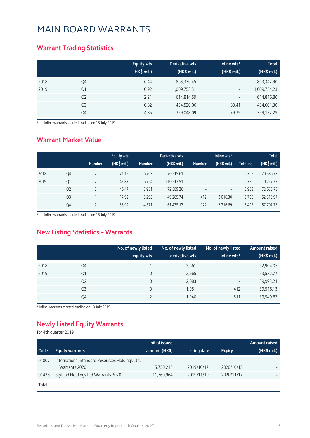#### **Warrant Trading Statistics**

|      |                | <b>Equity wts</b><br>(HK\$ mil.) | Derivative wts<br>(HK\$ mil.) | Inline wts*<br>(HK\$ mil.) | <b>Total</b><br>(HK\$ mil.) |
|------|----------------|----------------------------------|-------------------------------|----------------------------|-----------------------------|
| 2018 | Q4             | 6.44                             | 863,336.45                    | $\qquad \qquad -$          | 863,342.90                  |
| 2019 | Q1             | 0.92                             | 1,009,753.31                  | $\overline{\phantom{m}}$   | 1,009,754.23                |
|      | Q <sub>2</sub> | 2.21                             | 614,814.59                    | $\overline{\phantom{m}}$   | 614,816.80                  |
|      | Q <sub>3</sub> | 0.82                             | 434,520.06                    | 80.41                      | 434,601.30                  |
|      | Q4             | 4.85                             | 359,048.09                    | 79.35                      | 359,132.29                  |

\* Inline warrants started trading on 18 July 2019

#### **Warrant Market Value**

|      |                | <b>Number</b> | <b>Equity wts</b><br>(HK\$ mil.) | <b>Number</b> | Derivative wts<br>(HK\$ mil.) | <b>Number</b>            | Inline wts*<br>$(HK$$ mil.) | Total no. | <b>Total</b><br>(HK\$ mil.) |
|------|----------------|---------------|----------------------------------|---------------|-------------------------------|--------------------------|-----------------------------|-----------|-----------------------------|
| 2018 | Q4             |               | 71.12                            | 6,763         | 70,515.61                     |                          | $\overline{\phantom{m}}$    | 6.765     | 70,586.73                   |
| 2019 | Q1             |               | 43.87                            | 6,724         | 110,213.51                    | $\qquad \qquad -$        | $\qquad \qquad -$           | 6.726     | 110,257.38                  |
|      | Q <sub>2</sub> |               | 46.47                            | 5,981         | 72,589.26                     | $\overline{\phantom{0}}$ | $\qquad \qquad -$           | 5,983     | 72,635.73                   |
|      | Q <sub>3</sub> |               | 17.92                            | 5,295         | 49,285.74                     | 412                      | 3,016.30                    | 5,708     | 52,319.97                   |
|      | Q4             |               | 55.92                            | 4,571         | 61,435.12                     | 922                      | 6,216.69                    | 5,495     | 67,707.73                   |

\* Inline warrants started trading on 18 July 2019

#### **New Listing Statistics – Warrants**

|      |                | No. of newly listed<br>equity wts | No. of newly listed<br>derivative wts | No. of newly listed<br>inline wts* | <b>Amount raised</b><br>(HK\$ mil.) |
|------|----------------|-----------------------------------|---------------------------------------|------------------------------------|-------------------------------------|
| 2018 | Q4             |                                   | 2,661                                 | $\overline{\phantom{0}}$           | 52,904.05                           |
| 2019 | Q1             | $\Omega$                          | 2,965                                 | $\overline{\phantom{a}}$           | 53,532.77                           |
|      | Q <sub>2</sub> | 0                                 | 2,083                                 | $\qquad \qquad -$                  | 39,993.21                           |
|      | Q <sub>3</sub> | 0                                 | 1,951                                 | 412                                | 39,516.13                           |
|      | Q4             |                                   | 1,940                                 | 511                                | 39,549.67                           |

\* Inline warrants started trading on 18 July 2019

#### **Newly Listed Equity Warrants**

for 4th quarter 2019

| Code  | <b>Equity warrants</b>                                          | Initial issued<br>amount (HK\$) | Listing date | <b>Expiry</b> | Amount raised<br>(HK\$ mil.) |
|-------|-----------------------------------------------------------------|---------------------------------|--------------|---------------|------------------------------|
| 01807 | International Standard Resources Holdings Ltd.<br>Warrants 2020 | 5,750,215                       | 2019/10/17   | 2020/10/15    | $\overline{\phantom{0}}$     |
| 01435 | Styland Holdings Ltd. Warrants 2020                             | 11,760,964                      | 2019/11/19   | 2020/11/17    |                              |
| Total |                                                                 |                                 |              |               | $\overline{\phantom{a}}$     |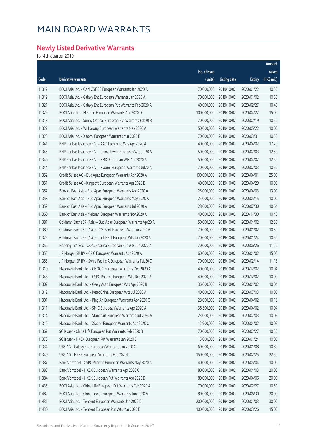#### **Newly Listed Derivative Warrants**

for 4th quarter 2019

|       |                                                              |              |              |               | Amount      |
|-------|--------------------------------------------------------------|--------------|--------------|---------------|-------------|
|       |                                                              | No. of issue |              |               | raised      |
| Code  | Derivative warrants                                          | (units)      | Listing date | <b>Expiry</b> | (HK\$ mil.) |
| 11317 | BOCI Asia Ltd. - CAM CSI300 European Warrants Jan 2020 A     | 70,000,000   | 2019/10/02   | 2020/01/22    | 10.50       |
| 11319 | BOCI Asia Ltd. - Galaxy Ent European Warrants Jan 2020 A     | 70,000,000   | 2019/10/02   | 2020/01/02    | 10.50       |
| 11321 | BOCI Asia Ltd. - Galaxy Ent European Put Warrants Feb 2020 A | 40,000,000   | 2019/10/02   | 2020/02/27    | 10.40       |
| 11329 | BOCI Asia Ltd. - Meituan European Warrants Apr 2020 D        | 100,000,000  | 2019/10/02   | 2020/04/22    | 15.00       |
| 11318 | BOCI Asia Ltd. - Sunny Optical European Put Warrants Feb20 B | 70,000,000   | 2019/10/02   | 2020/02/19    | 10.50       |
| 11327 | BOCI Asia Ltd. - WH Group European Warrants May 2020 A       | 50,000,000   | 2019/10/02   | 2020/05/22    | 10.00       |
| 11323 | BOCI Asia Ltd. - Xiaomi European Warrants Mar 2020 B         | 70,000,000   | 2019/10/02   | 2020/03/31    | 10.50       |
| 11341 | BNP Paribas Issuance B.V. - AAC Tech Euro Wts Apr 2020 A     | 40,000,000   | 2019/10/02   | 2020/04/02    | 17.20       |
| 11345 | BNP Paribas Issuance B.V. - China Tower European Wts Jul20 A | 50,000,000   | 2019/10/02   | 2020/07/03    | 12.50       |
| 11346 | BNP Paribas Issuance B.V. - SMIC European Wts Apr 2020 A     | 50,000,000   | 2019/10/02   | 2020/04/02    | 12.50       |
| 11344 | BNP Paribas Issuance B.V. - Xiaomi European Warrants Jul20 A | 70,000,000   | 2019/10/02   | 2020/07/03    | 10.50       |
| 11352 | Credit Suisse AG - Bud Apac European Warrants Apr 2020 A     | 100,000,000  | 2019/10/02   | 2020/04/01    | 25.00       |
| 11351 | Credit Suisse AG - Kingsoft European Warrants Apr 2020 B     | 40,000,000   | 2019/10/02   | 2020/04/29    | 10.00       |
| 11357 | Bank of East Asia - Bud Apac European Warrants Apr 2020 A    | 25,000,000   | 2019/10/02   | 2020/04/03    | 13.00       |
| 11358 | Bank of East Asia - Bud Apac European Warrants May 2020 A    | 25,000,000   | 2019/10/02   | 2020/05/15    | 10.00       |
| 11359 | Bank of East Asia - Bud Apac European Warrants Jul 2020 A    | 28,000,000   | 2019/10/02   | 2020/07/30    | 10.64       |
| 11360 | Bank of East Asia - Meituan European Warrants Nov 2020 A     | 40,000,000   | 2019/10/02   | 2020/11/30    | 10.40       |
| 11381 | Goldman Sachs SP (Asia) - Bud Apac European Warrants Apr20 A | 50,000,000   | 2019/10/02   | 2020/04/02    | 12.50       |
| 11380 | Goldman Sachs SP (Asia) - CM Bank European Wts Jan 2020 A    | 70,000,000   | 2019/10/02   | 2020/01/02    | 10.50       |
| 11375 | Goldman Sachs SP (Asia) - Link REIT European Wts Jan 2020 A  | 70,000,000   | 2019/10/02   | 2020/01/24    | 10.50       |
| 11356 | Haitong Int'l Sec - CSPC Pharma European Put Wts Jun 2020 A  | 70,000,000   | 2019/10/02   | 2020/06/26    | 11.20       |
| 11353 | J P Morgan SP BV - CPIC European Warrants Apr 2020 A         | 60,000,000   | 2019/10/02   | 2020/04/02    | 15.06       |
| 11355 | J P Morgan SP BV - Swire Pacific A European Warrants Feb20 C | 70,000,000   | 2019/10/02   | 2020/02/14    | 11.13       |
| 11310 | Macquarie Bank Ltd. - CNOOC European Warrants Dec 2020 A     | 40,000,000   | 2019/10/02   | 2020/12/02    | 10.04       |
| 11348 | Macquarie Bank Ltd. - CSPC Pharma European Wts Dec 2020 A    | 40,000,000   | 2019/10/02   | 2020/12/02    | 10.00       |
| 11307 | Macquarie Bank Ltd. - Geely Auto European Wts Apr 2020 B     | 36,000,000   | 2019/10/02   | 2020/04/02    | 10.04       |
| 11312 | Macquarie Bank Ltd. - PetroChina European Wts Jul 2020 A     | 40,000,000   | 2019/10/02   | 2020/07/03    | 10.00       |
| 11301 | Macquarie Bank Ltd. - Ping An European Warrants Apr 2020 C   | 28,000,000   | 2019/10/02   | 2020/04/02    | 10.16       |
| 11311 | Macquarie Bank Ltd. - SMIC European Warrants Apr 2020 A      | 36,500,000   | 2019/10/02   | 2020/04/02    | 10.04       |
| 11314 | Macquarie Bank Ltd. - Stanchart European Warrants Jul 2020 A | 23,000,000   | 2019/10/02   | 2020/07/03    | 10.05       |
| 11316 | Macquarie Bank Ltd. - Xiaomi European Warrants Apr 2020 C    | 12,900,000   | 2019/10/02   | 2020/04/02    | 10.05       |
| 11367 | SG Issuer - China Life European Put Warrants Feb 2020 B      | 70,000,000   | 2019/10/02   | 2020/02/27    | 10.50       |
| 11373 | SG Issuer - HKEX European Put Warrants Jan 2020 B            | 15,000,000   | 2019/10/02   | 2020/01/24    | 10.05       |
| 11334 | UBS AG - Galaxy Ent European Warrants Jan 2020 C             | 60,000,000   | 2019/10/02   | 2020/01/08    | 10.80       |
| 11340 | UBS AG - HKEX European Warrants Feb 2020 D                   | 150,000,000  | 2019/10/02   | 2020/02/25    | 22.50       |
| 11387 | Bank Vontobel - CSPC Pharma European Warrants May 2020 A     | 40,000,000   | 2019/10/02   | 2020/05/04    | 10.00       |
| 11383 | Bank Vontobel - HKEX European Warrants Apr 2020 C            | 80,000,000   | 2019/10/02   | 2020/04/03    | 20.00       |
| 11384 | Bank Vontobel - HKEX European Put Warrants Apr 2020 D        | 80,000,000   | 2019/10/02   | 2020/04/06    | 20.00       |
| 11435 | BOCI Asia Ltd. - China Life European Put Warrants Feb 2020 A | 70,000,000   | 2019/10/03   | 2020/02/27    | 10.50       |
| 11482 | BOCI Asia Ltd. - China Tower European Warrants Jun 2020 A    | 80,000,000   | 2019/10/03   | 2020/06/30    | 20.00       |
| 11431 | BOCI Asia Ltd. - Tencent European Warrants Jan 2020 D        | 200,000,000  | 2019/10/03   | 2020/01/03    | 30.00       |
| 11430 | BOCI Asia Ltd. - Tencent European Put Wts Mar 2020 E         | 100,000,000  | 2019/10/03   | 2020/03/26    | 15.00       |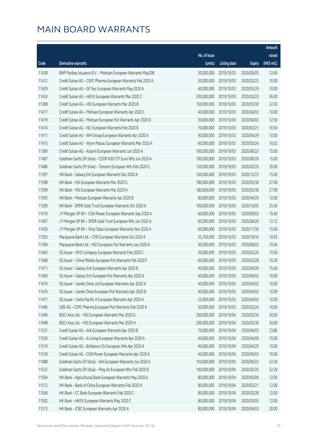|       |                                                              |              |                       |               | Amount      |
|-------|--------------------------------------------------------------|--------------|-----------------------|---------------|-------------|
|       |                                                              | No. of issue |                       |               | raised      |
| Code  | Derivative warrants                                          | (units)      | <b>Listing date</b>   | <b>Expiry</b> | (HK\$ mil.) |
| 11438 | BNP Paribas Issuance B.V. - Meituan European Warrants May20B | 30,000,000   | 2019/10/03            | 2020/05/05    | 12.60       |
| 11412 | Credit Suisse AG - CSPC Pharma European Warrants Feb 2020 A  | 50,000,000   | 2019/10/03            | 2020/02/25    | 10.00       |
| 11429 | Credit Suisse AG - GF Sec European Warrants May 2020 A       | 40,000,000   | 2019/10/03            | 2020/05/29    | 10.00       |
| 11424 | Credit Suisse AG - HKEX European Warrants Mar 2020 C         | 200,000,000  | 2019/10/03            | 2020/03/23    | 36.00       |
| 11388 | Credit Suisse AG - HSI European Warrants Mar 2020 B          | 150,000,000  | 2019/10/03            | 2020/03/30    | 22.50       |
| 11417 | Credit Suisse AG - Meituan European Warrants Apr 2020 C      | 40,000,000   | 2019/10/03            | 2020/04/02    | 10.00       |
| 11419 | Credit Suisse AG - Meituan European Put Warrants Apr 2020 D  | 50,000,000   | 2019/10/03            | 2020/04/02    | 12.50       |
| 11416 | Credit Suisse AG - NCI European Warrants Feb 2020 B          | 70,000,000   | 2019/10/03            | 2020/02/21    | 10.50       |
| 11411 | Credit Suisse AG - WH Group European Warrants Apr 2020 A     | 40,000,000   | 2019/10/03            | 2020/04/29    | 10.00       |
| 11415 | Credit Suisse AG - Wynn Macau European Warrants Mar 2020 A   | 60,000,000   | 2019/10/03            | 2020/03/24    | 10.02       |
| 11389 | Credit Suisse AG - Xiaomi European Warrants Jun 2020 A       | 100,000,000  | 2019/10/03            | 2020/06/23    | 15.00       |
| 11487 | Goldman Sachs SP (Asia) - CSOP A50 ETF Euro Wts Jun 2020 A   | 100,000,000  | 2019/10/03            | 2020/06/26    | 15.00       |
| 11486 | Goldman Sachs SP (Asia) - Tencent European Wts Feb 2020 G    | 150,000,000  | 2019/10/03            | 2020/02/26    | 39.90       |
| 11397 | HK Bank - Galaxy Ent European Warrants Dec 2020 A            | 100,000,000  | 2019/10/03            | 2020/12/23    | 15.00       |
| 11398 | HK Bank - HSI European Warrants Mar 2020 G                   | 180,000,000  | 2019/10/03            | 2020/03/30    | 27.00       |
| 11399 | HK Bank - HSI European Warrants Mar 2020 H                   | 180,000,000  | 2019/10/03            | 2020/03/30    | 27.00       |
| 11395 | HK Bank - Meituan European Warrants Apr 2020 B               | 80,000,000   | 2019/10/03            | 2020/04/29    | 12.00       |
| 11390 | HK Bank - SPDR Gold Trust European Warrants Oct 2020 A       | 100,000,000  | 2019/10/03            | 2020/10/05    | 25.00       |
| 11410 | J P Morgan SP BV - CGN Power European Warrants Sep 2020 A    | 60,000,000   | 2019/10/03            | 2020/09/03    | 15.60       |
| 11407 | J P Morgan SP BV - SPDR Gold Trust European Wts Jun 2020 A   | 60,000,000   | 2019/10/03            | 2020/06/26    | 12.12       |
| 11436 | J P Morgan SP BV - Xinyi Solar European Warrants Nov 2020 A  | 60,000,000   | 2019/10/03            | 2020/11/30    | 15.00       |
| 11393 | Macquarie Bank Ltd. - CMS European Warrants Oct 2020 A       | 35,700,000   | 2019/10/03            | 2020/10/16    | 10.03       |
| 11394 | Macquarie Bank Ltd. - NCI European Put Warrants Jun 2020 A   | 40,000,000   | 2019/10/03            | 2020/06/02    | 10.04       |
| 11463 | SG Issuer - BYD Company European Warrants Feb 2020 C         | 30,000,000   | 2019/10/03            | 2020/02/26    | 10.50       |
| 11468 | SG Issuer - China Mobile European Put Warrants Feb 2020 F    | 60,000,000   | 2019/10/03            | 2020/02/28    | 10.20       |
| 11471 | SG Issuer - Galaxy Ent European Warrants Apr 2020 B          | 40,000,000   | 2019/10/03            | 2020/04/29    | 15.60       |
| 11469 | SG Issuer - Galaxy Ent European Put Warrants Apr 2020 A      |              | 40,000,000 2019/10/03 | 2020/04/02    | 10.00       |
| 11474 | SG Issuer - Sands China Ltd European Warrants Apr 2020 A     | 40,000,000   | 2019/10/03            | 2020/04/02    | 10.00       |
| 11476 | SG Issuer - Sands China European Put Warrants Apr 2020 B     | 40,000,000   | 2019/10/03            | 2020/04/02    | 10.00       |
| 11477 | SG Issuer - Swire Pacific A European Warrants Apr 2020 A     | 25,000,000   | 2019/10/03            | 2020/04/02    | 10.00       |
| 11406 | UBS AG - CSPC Pharma European Put Warrants Feb 2020 A        | 50,000,000   | 2019/10/03            | 2020/02/24    | 10.00       |
| 11496 | BOCI Asia Ltd. - HSI European Warrants Mar 2020 G            | 200,000,000  | 2019/10/04            | 2020/03/30    | 30.00       |
| 11498 | BOCI Asia Ltd. - HSI European Warrants Mar 2020 H            | 200,000,000  | 2019/10/04            | 2020/03/30    | 30.00       |
| 11521 | Credit Suisse AG - AIA European Warrants Apr 2020 B          | 70,000,000   | 2019/10/04            | 2020/04/03    | 23.80       |
| 11520 | Credit Suisse AG - A-Living European Warrants Apr 2020 A     | 40,000,000   | 2019/10/04            | 2020/04/09    | 10.00       |
| 11519 | Credit Suisse AG - Brilliance Chi European Wts Apr 2020 A    | 40,000,000   | 2019/10/04            | 2020/04/29    | 10.00       |
| 11518 | Credit Suisse AG - CGN Power European Warrants Apr 2020 A    | 40,000,000   | 2019/10/04            | 2020/04/03    | 10.00       |
| 11488 | Goldman Sachs SP (Asia) - AIA European Warrants Jun 2020 A   | 150,000,000  | 2019/10/04            | 2020/06/22    | 22.50       |
| 11525 | Goldman Sachs SP (Asia) - Ping An European Wts Feb 2020 B    | 100,000,000  | 2019/10/04            | 2020/02/25    | 32.20       |
| 11504 | HK Bank - Agricultural Bank European Warrants May 2020 A     | 80,000,000   | 2019/10/04            | 2020/05/04    | 12.00       |
| 11512 | HK Bank - Bank of China European Warrants Feb 2020 A         | 80,000,000   | 2019/10/04            | 2020/02/21    | 12.00       |
| 11506 | HK Bank - CC Bank European Warrants Feb 2020 C               | 80,000,000   | 2019/10/04            | 2020/02/28    | 12.00       |
| 11502 | HK Bank - HKEX European Warrants May 2020 C                  | 80,000,000   | 2019/10/04            | 2020/05/05    | 12.00       |
| 11513 | HK Bank - ICBC European Warrants Apr 2020 A                  | 80,000,000   | 2019/10/04            | 2020/04/03    | 20.00       |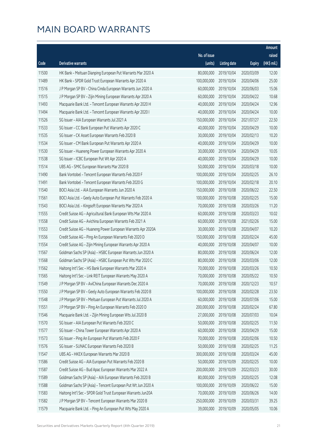|       |                                                              |              |                       |               | Amount      |
|-------|--------------------------------------------------------------|--------------|-----------------------|---------------|-------------|
|       |                                                              | No. of issue |                       |               | raised      |
| Code  | Derivative warrants                                          | (units)      | <b>Listing date</b>   | <b>Expiry</b> | (HK\$ mil.) |
| 11500 | HK Bank - Meituan Dianping European Put Warrants Mar 2020 A  | 80,000,000   | 2019/10/04            | 2020/03/09    | 12.00       |
| 11489 | HK Bank - SPDR Gold Trust European Warrants Apr 2020 A       | 100,000,000  | 2019/10/04            | 2020/04/06    | 25.00       |
| 11516 | J P Morgan SP BV - China Cinda European Warrants Jun 2020 A  | 60,000,000   | 2019/10/04            | 2020/06/03    | 15.06       |
| 11515 | J P Morgan SP BV - Zijin Mining European Warrants Apr 2020 A | 60,000,000   | 2019/10/04            | 2020/04/22    | 10.68       |
| 11493 | Macquarie Bank Ltd. - Tencent European Warrants Apr 2020 H   | 40,000,000   | 2019/10/04            | 2020/04/24    | 12.96       |
| 11494 | Macquarie Bank Ltd. - Tencent European Warrants Apr 2020 I   | 40,000,000   | 2019/10/04            | 2020/04/24    | 10.00       |
| 11526 | SG Issuer - AIA European Warrants Jul 2021 A                 | 150,000,000  | 2019/10/04            | 2021/07/27    | 22.50       |
| 11533 | SG Issuer - CC Bank European Put Warrants Apr 2020 C         | 40,000,000   | 2019/10/04            | 2020/04/29    | 10.00       |
| 11535 | SG Issuer - CK Asset European Warrants Feb 2020 B            | 30,000,000   | 2019/10/04            | 2020/02/13    | 10.20       |
| 11534 | SG Issuer - CM Bank European Put Warrants Apr 2020 A         | 40,000,000   | 2019/10/04            | 2020/04/29    | 10.00       |
| 11530 | SG Issuer - Huaneng Power European Warrants Apr 2020 A       | 30,000,000   | 2019/10/04            | 2020/04/29    | 10.05       |
| 11538 | SG Issuer - ICBC European Put Wt Apr 2020 A                  | 40,000,000   | 2019/10/04            | 2020/04/29    | 10.00       |
| 11514 | UBS AG - SMIC European Warrants Mar 2020 B                   | 50,000,000   | 2019/10/04            | 2020/03/18    | 10.00       |
| 11490 | Bank Vontobel - Tencent European Warrants Feb 2020 F         | 100,000,000  | 2019/10/04            | 2020/02/25    | 26.10       |
| 11491 | Bank Vontobel - Tencent European Warrants Feb 2020 G         | 100,000,000  | 2019/10/04            | 2020/02/18    | 20.10       |
| 11540 | BOCI Asia Ltd. - AIA European Warrants Jun 2020 A            | 150,000,000  | 2019/10/08            | 2020/06/22    | 22.50       |
| 11561 | BOCI Asia Ltd. - Geely Auto European Put Warrants Feb 2020 A | 100,000,000  | 2019/10/08            | 2020/02/25    | 15.00       |
| 11543 | BOCI Asia Ltd. - Kingsoft European Warrants Mar 2020 A       | 70,000,000   | 2019/10/08            | 2020/03/26    | 11.20       |
| 11555 | Credit Suisse AG - Agricultural Bank European Wts Mar 2020 A | 60,000,000   | 2019/10/08            | 2020/03/23    | 10.02       |
| 11558 | Credit Suisse AG - Avichina European Warrants Feb 2021 A     | 60,000,000   | 2019/10/08            | 2021/02/26    | 15.00       |
| 11553 | Credit Suisse AG - Huaneng Power European Warrants Apr 2020A | 30,000,000   | 2019/10/08            | 2020/04/07    | 10.20       |
| 11556 | Credit Suisse AG - Ping An European Warrants Feb 2020 D      | 150,000,000  | 2019/10/08            | 2020/02/24    | 45.00       |
| 11554 | Credit Suisse AG - Zijin Mining European Warrants Apr 2020 A | 40,000,000   | 2019/10/08            | 2020/04/07    | 10.00       |
| 11567 | Goldman Sachs SP (Asia) - HSBC European Warrants Jun 2020 A  | 80,000,000   | 2019/10/08            | 2020/06/24    | 12.00       |
| 11568 | Goldman Sachs SP (Asia) - HSBC European Put Wts Mar 2020 C   | 80,000,000   | 2019/10/08            | 2020/03/06    | 12.00       |
| 11562 | Haitong Int'l Sec - HS Bank European Warrants Mar 2020 A     | 70,000,000   | 2019/10/08            | 2020/03/26    | 10.50       |
| 11565 | Haitong Int'l Sec - Link REIT European Warrants May 2020 A   |              | 70,000,000 2019/10/08 | 2020/05/22    | 10.50       |
| 11549 | J P Morgan SP BV - AviChina European Warrants Dec 2020 A     | 70,000,000   | 2019/10/08            | 2020/12/23    | 10.57       |
| 11550 | J P Morgan SP BV - Geely Auto European Warrants Feb 2020 B   | 100,000,000  | 2019/10/08            | 2020/02/28    | 23.50       |
| 11548 | J P Morgan SP BV - Meituan European Put Warrants Jul 2020 A  | 60,000,000   | 2019/10/08            | 2020/07/06    | 15.00       |
| 11551 | J P Morgan SP BV - Ping An European Warrants Feb 2020 D      | 200,000,000  | 2019/10/08            | 2020/02/24    | 67.80       |
| 11546 | Macquarie Bank Ltd. - Zijin Mining European Wts Jul 2020 B   | 27,000,000   | 2019/10/08            | 2020/07/03    | 10.04       |
| 11570 | SG Issuer - AIA European Put Warrants Feb 2020 C             | 50,000,000   | 2019/10/08            | 2020/02/25    | 11.50       |
| 11577 | SG Issuer - China Tower European Warrants Apr 2020 A         | 60,000,000   | 2019/10/08            | 2020/04/29    | 15.00       |
| 11573 | SG Issuer - Ping An European Put Warrants Feb 2020 F         | 70,000,000   | 2019/10/08            | 2020/02/06    | 10.50       |
| 11576 | SG Issuer - SUNAC European Warrants Feb 2020 B               | 50,000,000   | 2019/10/08            | 2020/02/25    | 11.25       |
| 11547 | UBS AG - HKEX European Warrants Mar 2020 B                   | 300,000,000  | 2019/10/08            | 2020/03/24    | 45.00       |
| 11586 | Credit Suisse AG - AIA European Put Warrants Feb 2020 B      | 50,000,000   | 2019/10/09            | 2020/02/25    | 10.00       |
| 11587 | Credit Suisse AG - Bud Apac European Warrants Mar 2022 A     | 200,000,000  | 2019/10/09            | 2022/03/23    | 30.00       |
| 11589 | Goldman Sachs SP (Asia) - AIA European Warrants Feb 2020 B   | 80,000,000   | 2019/10/09            | 2020/02/25    | 12.08       |
| 11588 | Goldman Sachs SP (Asia) - Tencent European Put Wt Jun 2020 A | 100,000,000  | 2019/10/09            | 2020/06/22    | 15.00       |
| 11583 | Haitong Int'l Sec - SPDR Gold Trust European Warrants Jun20A | 70,000,000   | 2019/10/09            | 2020/06/26    | 14.00       |
| 11582 | J P Morgan SP BV - Tencent European Warrants Mar 2020 B      | 250,000,000  | 2019/10/09            | 2020/03/31    | 39.25       |
| 11579 | Macquarie Bank Ltd. - Ping An European Put Wts May 2020 A    | 39,000,000   | 2019/10/09            | 2020/05/05    | 10.06       |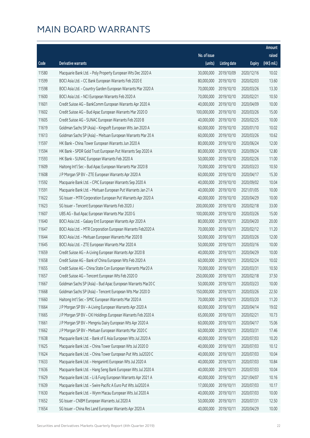|       |                                                              |                        |                     |               | Amount      |
|-------|--------------------------------------------------------------|------------------------|---------------------|---------------|-------------|
|       |                                                              | No. of issue           |                     |               | raised      |
| Code  | Derivative warrants                                          | (units)                | <b>Listing date</b> | <b>Expiry</b> | (HK\$ mil.) |
| 11580 | Macquarie Bank Ltd. - Poly Property European Wts Dec 2020 A  | 30,000,000             | 2019/10/09          | 2020/12/16    | 10.02       |
| 11599 | BOCI Asia Ltd. - CC Bank European Warrants Feb 2020 E        | 80,000,000             | 2019/10/10          | 2020/02/03    | 13.60       |
| 11598 | BOCI Asia Ltd. - Country Garden European Warrants Mar 2020 A | 70,000,000             | 2019/10/10          | 2020/03/26    | 13.30       |
| 11600 | BOCI Asia Ltd. - NCI European Warrants Feb 2020 A            | 70,000,000             | 2019/10/10          | 2020/02/21    | 10.50       |
| 11601 | Credit Suisse AG - BankComm European Warrants Apr 2020 A     | 40,000,000             | 2019/10/10          | 2020/04/09    | 10.00       |
| 11602 | Credit Suisse AG - Bud Apac European Warrants Mar 2020 D     | 100,000,000            | 2019/10/10          | 2020/03/26    | 15.00       |
| 11605 | Credit Suisse AG - SUNAC European Warrants Feb 2020 B        | 40,000,000             | 2019/10/10          | 2020/02/25    | 10.00       |
| 11619 | Goldman Sachs SP (Asia) - Kingsoft European Wts Jan 2020 A   | 60,000,000             | 2019/10/10          | 2020/01/10    | 10.02       |
| 11613 | Goldman Sachs SP (Asia) - Meituan European Warrants Mar 20 A | 60,000,000             | 2019/10/10          | 2020/03/26    | 10.62       |
| 11597 | HK Bank - China Tower European Warrants Jun 2020 A           | 80,000,000             | 2019/10/10          | 2020/06/24    | 12.00       |
| 11594 | HK Bank - SPDR Gold Trust European Put Warrants Sep 2020 A   | 80,000,000             | 2019/10/10          | 2020/09/24    | 12.80       |
| 11593 | HK Bank - SUNAC European Warrants Feb 2020 A                 | 50,000,000             | 2019/10/10          | 2020/02/26    | 11.00       |
| 11609 | Haitong Int'l Sec - Bud Apac European Warrants Mar 2020 B    | 70,000,000             | 2019/10/10          | 2020/03/23    | 10.50       |
| 11608 | J P Morgan SP BV - ZTE European Warrants Apr 2020 A          | 60,000,000             | 2019/10/10          | 2020/04/17    | 15.30       |
| 11592 | Macquarie Bank Ltd. - CPIC European Warrants Sep 2020 A      | 40,000,000             | 2019/10/10          | 2020/09/02    | 10.04       |
| 11591 | Macquarie Bank Ltd. - Meituan European Put Warrants Jan 21 A | 40,000,000             | 2019/10/10          | 2021/01/05    | 10.00       |
| 11622 | SG Issuer - MTR Corporation European Put Warrants Apr 2020 A | 40,000,000             | 2019/10/10          | 2020/04/29    | 10.00       |
| 11623 | SG Issuer - Tencent European Warrants Feb 2020 J             | 200,000,000            | 2019/10/10          | 2020/02/18    | 33.00       |
| 11607 | UBS AG - Bud Apac European Warrants Mar 2020 G               | 100,000,000            | 2019/10/10          | 2020/03/26    | 15.00       |
| 11640 | BOCI Asia Ltd. - Galaxy Ent European Warrants Apr 2020 A     | 80,000,000             | 2019/10/11          | 2020/04/20    | 20.00       |
| 11647 | BOCI Asia Ltd. - MTR Corporation European Warrants Feb2020 A | 70,000,000             | 2019/10/11          | 2020/02/12    | 11.20       |
| 11644 | BOCI Asia Ltd. - Meituan European Warrants Mar 2020 B        | 50,000,000             | 2019/10/11          | 2020/03/26    | 12.00       |
| 11645 | BOCI Asia Ltd. - ZTE European Warrants Mar 2020 A            | 50,000,000             | 2019/10/11          | 2020/03/16    | 10.00       |
| 11659 | Credit Suisse AG - A-Living European Warrants Apr 2020 B     | 40,000,000             | 2019/10/11          | 2020/04/29    | 10.00       |
| 11658 | Credit Suisse AG - Bank of China European Wts Feb 2020 A     | 60,000,000             | 2019/10/11          | 2020/02/24    | 10.02       |
| 11655 | Credit Suisse AG - China State Con European Warrants Mar20 A | 70,000,000             | 2019/10/11          | 2020/03/31    | 10.50       |
| 11657 | Credit Suisse AG - Tencent European Wts Feb 2020 D           | 250,000,000 2019/10/11 |                     | 2020/02/18    | 37.50       |
| 11667 | Goldman Sachs SP (Asia) - Bud Apac European Warrants Mar20 C | 50,000,000             | 2019/10/11          | 2020/03/23    | 10.00       |
| 11668 | Goldman Sachs SP (Asia) - Tencent European Wts Mar 2020 D    | 150,000,000            | 2019/10/11          | 2020/03/26    | 22.50       |
| 11660 | Haitong Int'l Sec - SMIC European Warrants Mar 2020 A        | 70,000,000             | 2019/10/11          | 2020/03/20    | 11.20       |
| 11664 | J P Morgan SP BV - A-Living European Warrants Apr 2020 A     | 60,000,000             | 2019/10/11          | 2020/04/14    | 19.02       |
| 11665 | J P Morgan SP BV - CKI Holdings European Warrants Feb 2020 A | 65,000,000             | 2019/10/11          | 2020/02/21    | 10.73       |
| 11661 | J P Morgan SP BV - Mengniu Dairy European Wts Apr 2020 A     | 60,000,000             | 2019/10/11          | 2020/04/17    | 15.06       |
| 11662 | J P Morgan SP BV - Meituan European Warrants Mar 2020 C      | 60,000,000             | 2019/10/11          | 2020/03/31    | 17.46       |
| 11638 | Macquarie Bank Ltd. - Bank of E Asia European Wts Jul 2020 A | 40,000,000             | 2019/10/11          | 2020/07/03    | 10.20       |
| 11625 | Macquarie Bank Ltd. - China Tower European Wts Jul 2020 D    | 40,000,000             | 2019/10/11          | 2020/07/03    | 10.12       |
| 11624 | Macquarie Bank Ltd. - China Tower European Put Wts Jul2020 C | 40,000,000             | 2019/10/11          | 2020/07/03    | 10.04       |
| 11633 | Macquarie Bank Ltd. - Henganintl European Wts Jul 2020 A     | 40,000,000             | 2019/10/11          | 2020/07/03    | 10.84       |
| 11636 | Macquarie Bank Ltd. - Hang Seng Bank European Wts Jul 2020 A | 40,000,000             | 2019/10/11          | 2020/07/03    | 10.04       |
| 11629 | Macquarie Bank Ltd. - Li & Fung European Warrants Apr 2021 A | 40,000,000             | 2019/10/11          | 2021/04/07    | 10.16       |
| 11639 | Macquarie Bank Ltd. - Swire Pacific A Euro Put Wts Jul2020 A | 17,000,000             | 2019/10/11          | 2020/07/03    | 10.17       |
| 11630 | Macquarie Bank Ltd. - Wynn Macau European Wts Jul 2020 A     | 40,000,000             | 2019/10/11          | 2020/07/03    | 10.00       |
| 11652 | SG Issuer - CNBM European Warrants Jul 2020 A                | 50,000,000             | 2019/10/11          | 2020/07/31    | 12.50       |
| 11654 | SG Issuer - China Res Land European Warrants Apr 2020 A      | 40,000,000             | 2019/10/11          | 2020/04/29    | 10.00       |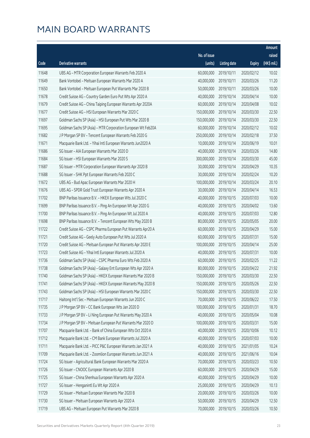|       |                                                              |              |                        |               | Amount      |
|-------|--------------------------------------------------------------|--------------|------------------------|---------------|-------------|
|       |                                                              | No. of issue |                        |               | raised      |
| Code  | <b>Derivative warrants</b>                                   | (units)      | Listing date           | <b>Expiry</b> | (HK\$ mil.) |
| 11648 | UBS AG - MTR Corporation European Warrants Feb 2020 A        | 60,000,000   | 2019/10/11             | 2020/02/12    | 10.02       |
| 11649 | Bank Vontobel - Meituan European Warrants Mar 2020 A         | 40,000,000   | 2019/10/11             | 2020/03/26    | 11.20       |
| 11650 | Bank Vontobel - Meituan European Put Warrants Mar 2020 B     | 50,000,000   | 2019/10/11             | 2020/03/26    | 10.00       |
| 11678 | Credit Suisse AG - Country Garden Euro Put Wts Apr 2020 A    | 40,000,000   | 2019/10/14             | 2020/04/14    | 10.00       |
| 11679 | Credit Suisse AG - China Taiping European Warrants Apr 2020A | 60,000,000   | 2019/10/14             | 2020/04/08    | 10.02       |
| 11677 | Credit Suisse AG - HSI European Warrants Mar 2020 C          | 150,000,000  | 2019/10/14             | 2020/03/30    | 22.50       |
| 11697 | Goldman Sachs SP (Asia) - HSI European Put Wts Mar 2020 B    | 150,000,000  | 2019/10/14             | 2020/03/30    | 22.50       |
| 11695 | Goldman Sachs SP (Asia) - MTR Corporation European Wt Feb20A | 60,000,000   | 2019/10/14             | 2020/02/12    | 10.02       |
| 11682 | J P Morgan SP BV - Tencent European Warrants Feb 2020 G      | 250,000,000  | 2019/10/14             | 2020/02/18    | 37.50       |
| 11671 | Macquarie Bank Ltd. - Yihai Intl European Warrants Jun2020 A | 10,000,000   | 2019/10/14             | 2020/06/19    | 10.01       |
| 11686 | SG Issuer - AIA European Warrants Mar 2020 D                 | 40,000,000   | 2019/10/14             | 2020/03/26    | 14.80       |
| 11684 | SG Issuer - HSI European Warrants Mar 2020 S                 | 300,000,000  | 2019/10/14             | 2020/03/30    | 45.00       |
| 11687 | SG Issuer - MTR Corporation European Warrants Apr 2020 B     | 30,000,000   | 2019/10/14             | 2020/04/29    | 10.35       |
| 11688 | SG Issuer - SHK Ppt European Warrants Feb 2020 C             | 30,000,000   | 2019/10/14             | 2020/02/24    | 10.20       |
| 11672 | UBS AG - Bud Apac European Warrants Mar 2020 H               | 100,000,000  | 2019/10/14             | 2020/03/24    | 20.10       |
| 11676 | UBS AG - SPDR Gold Trust European Warrants Apr 2020 A        | 30,000,000   | 2019/10/14             | 2020/04/14    | 16.53       |
| 11702 | BNP Paribas Issuance B.V. - HKEX European Wts Jul 2020 C     | 40,000,000   | 2019/10/15             | 2020/07/03    | 10.00       |
| 11699 | BNP Paribas Issuance B.V. - Ping An European Wt Apr 2020 G   | 40,000,000   | 2019/10/15             | 2020/04/02    | 13.60       |
| 11700 | BNP Paribas Issuance B.V. - Ping An European Wt Jul 2020 A   | 40,000,000   | 2019/10/15             | 2020/07/03    | 12.80       |
| 11698 | BNP Paribas Issuance B.V. - Tencent European Wts May 2020 B  | 80,000,000   | 2019/10/15             | 2020/05/05    | 20.00       |
| 11722 | Credit Suisse AG - CSPC Pharma European Put Warrants Apr20 A | 60,000,000   | 2019/10/15             | 2020/04/29    | 15.00       |
| 11721 | Credit Suisse AG - Geely Auto European Put Wts Jul 2020 A    | 60,000,000   | 2019/10/15             | 2020/07/31    | 15.00       |
| 11720 | Credit Suisse AG - Meituan European Put Warrants Apr 2020 E  | 100,000,000  | 2019/10/15             | 2020/04/14    | 25.00       |
| 11723 | Credit Suisse AG - Yihai Intl European Warrants Jul 2020 A   | 40,000,000   | 2019/10/15             | 2020/07/31    | 10.00       |
| 11736 | Goldman Sachs SP (Asia) - CSPC Pharma Euro Wts Feb 2020 A    | 60,000,000   | 2019/10/15             | 2020/02/25    | 11.22       |
| 11738 | Goldman Sachs SP (Asia) - Galaxy Ent European Wts Apr 2020 A | 80,000,000   | 2019/10/15             | 2020/04/22    | 21.92       |
| 11740 | Goldman Sachs SP (Asia) - HKEX European Warrants Mar 2020 B  |              | 150,000,000 2019/10/15 | 2020/03/30    | 22.50       |
| 11741 | Goldman Sachs SP (Asia) - HKEX European Warrants May 2020 B  | 150,000,000  | 2019/10/15             | 2020/05/26    | 22.50       |
| 11743 | Goldman Sachs SP (Asia) - HSI European Warrants Mar 2020 C   | 150,000,000  | 2019/10/15             | 2020/03/30    | 22.50       |
| 11717 | Haitong Int'l Sec - Meituan European Warrants Jun 2020 C     | 70,000,000   | 2019/10/15             | 2020/06/22    | 17.50       |
| 11735 | J P Morgan SP BV - CC Bank European Wts Jan 2020 D           | 100,000,000  | 2019/10/15             | 2020/01/31    | 18.70       |
| 11733 | J P Morgan SP BV - Li Ning European Put Warrants May 2020 A  | 40,000,000   | 2019/10/15             | 2020/05/04    | 10.08       |
| 11734 | J P Morgan SP BV - Meituan European Put Warrants Mar 2020 D  | 100,000,000  | 2019/10/15             | 2020/03/31    | 15.00       |
| 11707 | Macquarie Bank Ltd. - Bank of China European Wts Oct 2020 A  | 40,000,000   | 2019/10/15             | 2020/10/06    | 10.12       |
| 11712 | Macquarie Bank Ltd. - CM Bank European Warrants Jul 2020 A   | 40,000,000   | 2019/10/15             | 2020/07/03    | 10.00       |
| 11711 | Macquarie Bank Ltd. - PICC P&C European Warrants Jan 2021 A  | 40,000,000   | 2019/10/15             | 2021/01/05    | 10.24       |
| 11709 | Macquarie Bank Ltd. - Zoomlion European Warrants Jun 2021 A  | 40,000,000   | 2019/10/15             | 2021/06/16    | 10.04       |
| 11724 | SG Issuer - Agricultural Bank European Warrants Mar 2020 A   | 70,000,000   | 2019/10/15             | 2020/03/23    | 10.50       |
| 11726 | SG Issuer - CNOOC European Warrants Apr 2020 B               | 60,000,000   | 2019/10/15             | 2020/04/29    | 15.00       |
| 11725 | SG Issuer - China Shenhua European Warrants Apr 2020 A       | 40,000,000   | 2019/10/15             | 2020/04/29    | 10.00       |
| 11727 | SG Issuer - Henganintl Eu Wt Apr 2020 A                      | 25,000,000   | 2019/10/15             | 2020/04/29    | 10.13       |
| 11729 | SG Issuer - Meituan European Warrants Mar 2020 B             | 20,000,000   | 2019/10/15             | 2020/03/26    | 10.00       |
| 11730 | SG Issuer - Meituan European Warrants Apr 2020 A             | 50,000,000   | 2019/10/15             | 2020/04/29    | 12.50       |
| 11719 | UBS AG - Meituan European Put Warrants Mar 2020 B            | 70,000,000   | 2019/10/15             | 2020/03/26    | 10.50       |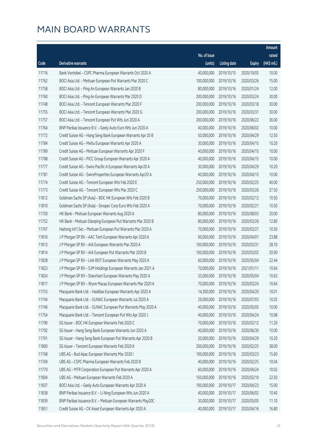|       |                                                              |              |                       |               | Amount      |
|-------|--------------------------------------------------------------|--------------|-----------------------|---------------|-------------|
|       |                                                              | No. of issue |                       |               | raised      |
| Code  | Derivative warrants                                          | (units)      | <b>Listing date</b>   | <b>Expiry</b> | (HK\$ mil.) |
| 11716 | Bank Vontobel - CSPC Pharma European Warrants Oct 2020 A     | 40,000,000   | 2019/10/15            | 2020/10/05    | 10.00       |
| 11762 | BOCI Asia Ltd. - Meituan European Put Warrants Mar 2020 C    | 100,000,000  | 2019/10/16            | 2020/03/26    | 15.00       |
| 11758 | BOCI Asia Ltd. - Ping An European Warrants Jan 2020 B        | 80,000,000   | 2019/10/16            | 2020/01/24    | 12.00       |
| 11760 | BOCI Asia Ltd. - Ping An European Warrants Mar 2020 D        | 200,000,000  | 2019/10/16            | 2020/03/24    | 30.00       |
| 11748 | BOCI Asia Ltd. - Tencent European Warrants Mar 2020 F        | 200,000,000  | 2019/10/16            | 2020/03/18    | 30.00       |
| 11755 | BOCI Asia Ltd. - Tencent European Warrants Mar 2020 G        | 200,000,000  | 2019/10/16            | 2020/03/31    | 30.00       |
| 11757 | BOCI Asia Ltd. - Tencent European Put Wts Jun 2020 A         | 200,000,000  | 2019/10/16            | 2020/06/22    | 36.00       |
| 11764 | BNP Paribas Issuance B.V. - Geely Auto Euro Wts Jun 2020 A   | 40,000,000   | 2019/10/16            | 2020/06/02    | 10.00       |
| 11772 | Credit Suisse AG - Hang Seng Bank European Warrants Apr 20 B | 50,000,000   | 2019/10/16            | 2020/04/29    | 12.50       |
| 11784 | Credit Suisse AG - Meitu European Warrants Apr 2020 A        | 30,000,000   | 2019/10/16            | 2020/04/15    | 10.20       |
| 11789 | Credit Suisse AG - Meituan European Warrants Apr 2020 F      | 40,000,000   | 2019/10/16            | 2020/04/15    | 10.00       |
| 11788 | Credit Suisse AG - PICC Group European Warrants Apr 2020 A   | 40,000,000   | 2019/10/16            | 2020/04/15    | 10.00       |
| 11777 | Credit Suisse AG - Swire Pacific A European Warrants Apr20 A | 30,000,000   | 2019/10/16            | 2020/04/29    | 10.20       |
| 11781 | Credit Suisse AG - SwireProperties European Warrants Apr20 A | 40,000,000   | 2019/10/16            | 2020/04/15    | 10.00       |
| 11774 | Credit Suisse AG - Tencent European Wts Feb 2020 E           | 250,000,000  | 2019/10/16            | 2020/02/25    | 40.00       |
| 11773 | Credit Suisse AG - Tencent European Wts Mar 2020 C           | 250,000,000  | 2019/10/16            | 2020/03/26    | 37.50       |
| 11812 | Goldman Sachs SP (Asia) - BOC HK European Wts Feb 2020 B     | 70,000,000   | 2019/10/16            | 2020/02/12    | 10.50       |
| 11810 | Goldman Sachs SP (Asia) - Sinopec Corp Euro Wts Feb 2020 A   | 70,000,000   | 2019/10/16            | 2020/02/21    | 10.50       |
| 11750 | HK Bank - Meituan European Warrants Aug 2020 A               | 80,000,000   | 2019/10/16            | 2020/08/03    | 20.00       |
| 11752 | HK Bank - Meituan Dianping European Put Warrants Mar 2020 B  | 80,000,000   | 2019/10/16            | 2020/03/26    | 12.80       |
| 11767 | Haitong Int'l Sec - Meituan European Put Warrants Mar 2020 A | 70,000,000   | 2019/10/16            | 2020/03/27    | 10.50       |
| 11816 | J P Morgan SP BV - AAC Tech European Warrants Apr 2020 A     | 60,000,000   | 2019/10/16            | 2020/04/01    | 23.88       |
| 11813 | J P Morgan SP BV - AIA European Warrants Mar 2020 A          | 100,000,000  | 2019/10/16            | 2020/03/31    | 28.10       |
| 11814 | J P Morgan SP BV - AIA European Put Warrants Mar 2020 B      | 100,000,000  | 2019/10/16            | 2020/03/02    | 20.90       |
| 11828 | J P Morgan SP BV - Link REIT European Warrants May 2020 A    | 60,000,000   | 2019/10/16            | 2020/05/04    | 22.44       |
| 11823 | J P Morgan SP BV - SJM Holdings European Warrants Jan 2021 A | 70,000,000   | 2019/10/16            | 2021/01/11    | 10.64       |
| 11824 | J P Morgan SP BV - Stanchart European Warrants May 2020 A    |              | 33,000,000 2019/10/16 | 2020/05/04    | 10.63       |
| 11817 | J P Morgan SP BV - Wynn Macau European Warrants Mar 2020 A   | 70,000,000   | 2019/10/16            | 2020/03/24    | 10.64       |
| 11753 | Macquarie Bank Ltd. - Haidilao European Warrants Apr 2020 A  | 14,300,000   | 2019/10/16            | 2020/04/20    | 10.01       |
| 11744 | Macquarie Bank Ltd. - SUNAC European Warrants Jul 2020 A     | 29,000,000   | 2019/10/16            | 2020/07/03    | 10.03       |
| 11746 | Macquarie Bank Ltd. - SUNAC European Put Warrants May 2020 A | 40,000,000   | 2019/10/16            | 2020/05/05    | 10.00       |
| 11754 | Macquarie Bank Ltd. - Tencent European Put Wts Apr 2020 J    | 40,000,000   | 2019/10/16            | 2020/04/24    | 10.08       |
| 11790 | SG Issuer - BOC HK European Warrants Feb 2020 C              | 70,000,000   | 2019/10/16            | 2020/02/12    | 11.20       |
| 11792 | SG Issuer - Hang Seng Bank European Warrants Jun 2020 A      | 40,000,000   | 2019/10/16            | 2020/06/30    | 10.00       |
| 11791 | SG Issuer - Hang Seng Bank European Put Warrants Apr 2020 B  | 20,000,000   | 2019/10/16            | 2020/04/29    | 10.20       |
| 11800 | SG Issuer - Tencent European Warrants Feb 2020 K             | 200,000,000  | 2019/10/16            | 2020/02/25    | 38.00       |
| 11768 | UBS AG - Bud Apac European Warrants Mar 2020 I               | 100,000,000  | 2019/10/16            | 2020/03/23    | 15.60       |
| 11769 | UBS AG - CSPC Pharma European Warrants Feb 2020 B            | 40,000,000   | 2019/10/16            | 2020/02/25    | 10.04       |
| 11770 | UBS AG - MTR Corporation European Put Warrants Apr 2020 A    | 60,000,000   | 2019/10/16            | 2020/04/24    | 10.02       |
| 11804 | UBS AG - Meituan European Warrants Feb 2020 A                | 150,000,000  | 2019/10/16            | 2020/02/10    | 22.50       |
| 11837 | BOCI Asia Ltd. - Geely Auto European Warrants Apr 2020 A     | 100,000,000  | 2019/10/17            | 2020/04/23    | 15.00       |
| 11838 | BNP Paribas Issuance B.V. - Li Ning European Wts Jun 2020 A  | 40,000,000   | 2019/10/17            | 2020/06/02    | 10.40       |
| 11839 | BNP Paribas Issuance B.V. - Meituan European Warrants May20C | 30,000,000   | 2019/10/17            | 2020/05/05    | 11.10       |
| 11851 | Credit Suisse AG - CK Asset European Warrants Apr 2020 A     | 40,000,000   | 2019/10/17            | 2020/04/16    | 16.80       |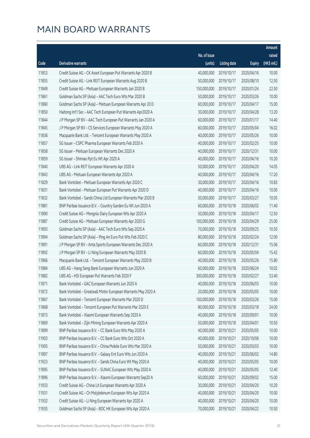|       |                                                              |                        |                     |               | Amount      |
|-------|--------------------------------------------------------------|------------------------|---------------------|---------------|-------------|
|       |                                                              | No. of issue           |                     |               | raised      |
| Code  | Derivative warrants                                          | (units)                | <b>Listing date</b> | <b>Expiry</b> | (HK\$ mil.) |
| 11853 | Credit Suisse AG - CK Asset European Put Warrants Apr 2020 B | 40,000,000             | 2019/10/17          | 2020/04/16    | 10.00       |
| 11855 | Credit Suisse AG - Link REIT European Warrants Aug 2020 B    | 50,000,000             | 2019/10/17          | 2020/08/10    | 12.50       |
| 11849 | Credit Suisse AG - Meituan European Warrants Jan 2020 B      | 150,000,000            | 2019/10/17          | 2020/01/24    | 22.50       |
| 11861 | Goldman Sachs SP (Asia) - AAC Tech Euro Wts Mar 2020 B       | 50,000,000             | 2019/10/17          | 2020/03/26    | 10.00       |
| 11860 | Goldman Sachs SP (Asia) - Meituan European Warrants Apr 20 D | 60,000,000             | 2019/10/17          | 2020/04/17    | 15.00       |
| 11850 | Haitong Int'l Sec - AAC Tech European Put Warrants Apr2020 A | 30,000,000             | 2019/10/17          | 2020/04/28    | 13.20       |
| 11844 | J P Morgan SP BV - AAC Tech European Put Warrants Jan 2020 A | 60,000,000             | 2019/10/17          | 2020/01/17    | 14.40       |
| 11845 | J P Morgan SP BV - CS Services European Warrants May 2020 A  | 60,000,000             | 2019/10/17          | 2020/05/04    | 16.02       |
| 11836 | Macquarie Bank Ltd. - Tencent European Warrants May 2020 A   | 40,000,000             | 2019/10/17          | 2020/05/26    | 10.00       |
| 11857 | SG Issuer - CSPC Pharma European Warrants Feb 2020 A         | 40,000,000             | 2019/10/17          | 2020/02/25    | 10.00       |
| 11858 | SG Issuer - Meituan European Warrants Dec 2020 A             | 40,000,000             | 2019/10/17          | 2020/12/31    | 10.00       |
| 11859 | SG Issuer - Shimao Ppt Eu Wt Apr 2020 A                      | 40,000,000             | 2019/10/17          | 2020/04/16    | 10.20       |
| 11840 | UBS AG - Link REIT European Warrants Apr 2020 A              | 50,000,000             | 2019/10/17          | 2020/04/20    | 14.05       |
| 11843 | UBS AG - Meituan European Warrants Apr 2020 A                | 40,000,000             | 2019/10/17          | 2020/04/16    | 17.20       |
| 11829 | Bank Vontobel - Meituan European Warrants Apr 2020 C         | 30,000,000             | 2019/10/17          | 2020/04/16    | 10.83       |
| 11831 | Bank Vontobel - Meituan European Put Warrants Apr 2020 D     | 40,000,000             | 2019/10/17          | 2020/04/16    | 10.00       |
| 11832 | Bank Vontobel - Sands China Ltd European Warrants Mar 2020 B | 50,000,000             | 2019/10/17          | 2020/03/27    | 10.05       |
| 11881 | BNP Paribas Issuance B.V. - Country Garden Eu Wt Jun 2020 A  | 60,000,000             | 2019/10/18          | 2020/06/02    | 11.40       |
| 11890 | Credit Suisse AG - Mengniu Dairy European Wts Apr 2020 A     | 50,000,000             | 2019/10/18          | 2020/04/17    | 12.50       |
| 11887 | Credit Suisse AG - Meituan European Warrants Apr 2020 G      | 100,000,000            | 2019/10/18          | 2020/04/29    | 25.00       |
| 11893 | Goldman Sachs SP (Asia) - AAC Tech Euro Wts Sep 2020 A       | 70,000,000             | 2019/10/18          | 2020/09/25    | 10.50       |
| 11894 | Goldman Sachs SP (Asia) - Ping An Euro Put Wts Feb 2020 C    | 80,000,000             | 2019/10/18          | 2020/02/24    | 12.00       |
| 11891 | J P Morgan SP BV - Anta Sports European Warrants Dec 2020 A  | 60,000,000             | 2019/10/18          | 2020/12/31    | 15.06       |
| 11892 | J P Morgan SP BV - Li Ning European Warrants May 2020 B      | 60,000,000             | 2019/10/18          | 2020/05/04    | 15.42       |
| 11866 | Macquarie Bank Ltd. - Tencent European Warrants May 2020 B   | 40,000,000             | 2019/10/18          | 2020/05/26    | 15.80       |
| 11884 | UBS AG - Hang Seng Bank European Warrants Jun 2020 A         | 60,000,000             | 2019/10/18          | 2020/06/24    | 10.02       |
| 11882 | UBS AG - HSI European Put Warrants Feb 2020 F                | 300,000,000 2019/10/18 |                     | 2020/02/27    | 53.40       |
| 11871 | Bank Vontobel - GAC European Warrants Jun 2020 A             | 40,000,000             | 2019/10/18          | 2020/06/03    | 10.00       |
| 11872 | Bank Vontobel - Greatwall Motor European Warrants May 2020 A | 20,000,000             | 2019/10/18          | 2020/05/05    | 10.00       |
| 11867 | Bank Vontobel - Tencent European Warrants Mar 2020 D         | 100,000,000            | 2019/10/18          | 2020/03/26    | 15.00       |
| 11868 | Bank Vontobel - Tencent European Put Warrants Mar 2020 E     | 80,000,000             | 2019/10/18          | 2020/03/18    | 24.00       |
| 11873 | Bank Vontobel - Xiaomi European Warrants Sep 2020 A          | 40,000,000             | 2019/10/18          | 2020/09/01    | 10.00       |
| 11869 | Bank Vontobel - Zijin Mining European Warrants Apr 2020 A    | 50,000,000             | 2019/10/18          | 2020/04/01    | 10.50       |
| 11899 | BNP Paribas Issuance B.V. - CC Bank Euro Wts May 2020 A      | 40,000,000             | 2019/10/21          | 2020/05/05    | 10.00       |
| 11903 | BNP Paribas Issuance B.V. - CC Bank Euro Wts Oct 2020 A      | 40,000,000             | 2019/10/21          | 2020/10/06    | 10.00       |
| 11905 | BNP Paribas Issuance B.V. - China Mobile Euro Wts Mar 2020 A | 50,000,000             | 2019/10/21          | 2020/03/03    | 10.00       |
| 11897 | BNP Paribas Issuance B.V. - Galaxy Ent Euro Wts Jun 2020 A   | 40,000,000             | 2019/10/21          | 2020/06/02    | 14.80       |
| 11923 | BNP Paribas Issuance B.V. - Sands China Euro Wt May 2020 A   | 40,000,000             | 2019/10/21          | 2020/05/05    | 10.00       |
| 11895 | BNP Paribas Issuance B.V. - SUNAC European Wts May 2020 A    | 40,000,000             | 2019/10/21          | 2020/05/05    | 12.40       |
| 11896 | BNP Paribas Issuance B.V. - Xiaomi European Warrants Sep20 A | 60,000,000             | 2019/10/21          | 2020/09/02    | 15.00       |
| 11933 | Credit Suisse AG - China Lit European Warrants Apr 2020 A    | 30,000,000             | 2019/10/21          | 2020/04/20    | 10.20       |
| 11931 | Credit Suisse AG - Ch Molybdenum European Wts Apr 2020 A     | 40,000,000             | 2019/10/21          | 2020/04/20    | 10.00       |
| 11932 | Credit Suisse AG - Li Ning European Warrants Apr 2020 A      | 40,000,000             | 2019/10/21          | 2020/04/20    | 10.00       |
| 11935 | Goldman Sachs SP (Asia) - BOC HK European Wts Apr 2020 A     | 70,000,000             | 2019/10/21          | 2020/04/22    | 10.50       |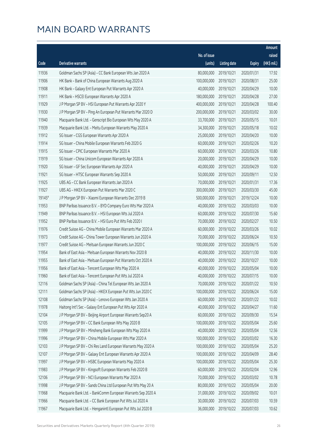|        |                                                              |              |                       |               | Amount      |
|--------|--------------------------------------------------------------|--------------|-----------------------|---------------|-------------|
|        |                                                              | No. of issue |                       |               | raised      |
| Code   | Derivative warrants                                          | (units)      | <b>Listing date</b>   | <b>Expiry</b> | (HK\$ mil.) |
| 11936  | Goldman Sachs SP (Asia) - CC Bank European Wts Jan 2020 A    | 80,000,000   | 2019/10/21            | 2020/01/31    | 17.92       |
| 11906  | HK Bank - Bank of China European Warrants Aug 2020 A         | 100,000,000  | 2019/10/21            | 2020/08/31    | 25.00       |
| 11908  | HK Bank - Galaxy Ent European Put Warrants Apr 2020 A        | 40,000,000   | 2019/10/21            | 2020/04/29    | 10.00       |
| 11911  | HK Bank - HSCEI European Warrants Apr 2020 A                 | 180,000,000  | 2019/10/21            | 2020/04/28    | 27.00       |
| 11929  | J P Morgan SP BV - HSI European Put Warrants Apr 2020 Y      | 400,000,000  | 2019/10/21            | 2020/04/28    | 100.40      |
| 11930  | J P Morgan SP BV - Ping An European Put Warrants Mar 2020 D  | 200,000,000  | 2019/10/21            | 2020/03/02    | 30.00       |
| 11940  | Macquarie Bank Ltd. - Genscript Bio European Wts May 2020 A  | 33,700,000   | 2019/10/21            | 2020/05/15    | 10.01       |
| 11939  | Macquarie Bank Ltd. - Meitu European Warrants May 2020 A     | 34,300,000   | 2019/10/21            | 2020/05/18    | 10.02       |
| 11912  | SG Issuer - CGS European Warrants Apr 2020 A                 | 25,000,000   | 2019/10/21            | 2020/04/20    | 10.00       |
| 11914  | SG Issuer - China Mobile European Warrants Feb 2020 G        | 60,000,000   | 2019/10/21            | 2020/02/26    | 10.20       |
| 11915  | SG Issuer - CPIC European Warrants Mar 2020 A                | 60,000,000   | 2019/10/21            | 2020/03/26    | 10.80       |
| 11919  | SG Issuer - China Unicom European Warrants Apr 2020 A        | 20,000,000   | 2019/10/21            | 2020/04/29    | 10.00       |
| 11920  | SG Issuer - GF Sec European Warrants Apr 2020 A              | 40,000,000   | 2019/10/21            | 2020/04/29    | 10.00       |
| 11921  | SG Issuer - HTSC European Warrants Sep 2020 A                | 50,000,000   | 2019/10/21            | 2020/09/11    | 12.50       |
| 11925  | UBS AG - CC Bank European Warrants Jan 2020 A                | 70,000,000   | 2019/10/21            | 2020/01/31    | 17.36       |
| 11927  | UBS AG - HKEX European Put Warrants Mar 2020 C               | 300,000,000  | 2019/10/21            | 2020/03/30    | 45.00       |
| 19145# | J P Morgan SP BV - Xiaomi European Warrants Dec 2019 B       | 500,000,000  | 2019/10/21            | 2019/12/24    | 10.00       |
| 11953  | BNP Paribas Issuance B.V. - BYD Company Euro Wts Mar 2020 A  | 40,000,000   | 2019/10/22            | 2020/03/03    | 10.00       |
| 11949  | BNP Paribas Issuance B.V. - HSI European Wts Jul 2020 A      | 60,000,000   | 2019/10/22            | 2020/07/30    | 15.60       |
| 11952  | BNP Paribas Issuance B.V. - HSI Euro Put Wts Feb 2020 I      | 70,000,000   | 2019/10/22            | 2020/02/27    | 10.50       |
| 11976  | Credit Suisse AG - China Mobile European Warrants Mar 2020 A | 60,000,000   | 2019/10/22            | 2020/03/26    | 10.02       |
| 11973  | Credit Suisse AG - China Tower European Warrants Jun 2020 A  | 70,000,000   | 2019/10/22            | 2020/06/24    | 10.50       |
| 11977  | Credit Suisse AG - Meituan European Warrants Jun 2020 C      | 100,000,000  | 2019/10/22            | 2020/06/15    | 15.00       |
| 11954  | Bank of East Asia - Meituan European Warrants Nov 2020 B     | 40,000,000   | 2019/10/22            | 2020/11/30    | 10.00       |
| 11955  | Bank of East Asia - Meituan European Put Warrants Oct 2020 A | 40,000,000   | 2019/10/22            | 2020/10/27    | 10.00       |
| 11956  | Bank of East Asia - Tencent European Wts May 2020 A          | 40,000,000   | 2019/10/22            | 2020/05/04    | 10.00       |
| 11960  | Bank of East Asia - Tencent European Put Wts Jul 2020 A      |              | 40,000,000 2019/10/22 | 2020/07/15    | 10.00       |
| 12116  | Goldman Sachs SP (Asia) - China Tel European Wts Jan 2020 A  | 70,000,000   | 2019/10/22            | 2020/01/22    | 10.50       |
| 12111  | Goldman Sachs SP (Asia) - HKEX European Put Wts Jun 2020 C   | 100,000,000  | 2019/10/22            | 2020/06/24    | 15.00       |
| 12108  | Goldman Sachs SP (Asia) - Lenovo European Wts Jan 2020 A     | 60,000,000   | 2019/10/22            | 2020/01/22    | 10.02       |
| 11978  | Haitong Int'l Sec - Galaxy Ent European Put Wts Apr 2020 A   | 40,000,000   | 2019/10/22            | 2020/04/27    | 11.60       |
| 12104  | J P Morgan SP BV - Beijing Airport European Warrants Sep20 A | 60,000,000   | 2019/10/22            | 2020/09/30    | 15.54       |
| 12105  | J P Morgan SP BV - CC Bank European Wts May 2020 B           | 100,000,000  | 2019/10/22            | 2020/05/04    | 25.60       |
| 11999  | J P Morgan SP BV - Minsheng Bank European Wts May 2020 A     | 40,000,000   | 2019/10/22            | 2020/05/04    | 12.56       |
| 11996  | J P Morgan SP BV - China Mobile European Wts Mar 2020 A      | 100,000,000  | 2019/10/22            | 2020/03/02    | 16.30       |
| 12103  | J P Morgan SP BV - Chi Res Land European Warrants May 2020 A | 100,000,000  | 2019/10/22            | 2020/05/04    | 25.20       |
| 12107  | J P Morgan SP BV - Galaxy Ent European Warrants Apr 2020 A   | 100,000,000  | 2019/10/22            | 2020/04/09    | 28.40       |
| 11997  | J P Morgan SP BV - HSBC European Warrants May 2020 A         | 100,000,000  | 2019/10/22            | 2020/05/04    | 25.30       |
| 11983  | J P Morgan SP BV - Kingsoft European Warrants Feb 2020 B     | 60,000,000   | 2019/10/22            | 2020/02/04    | 12.96       |
| 12106  | J P Morgan SP BV - NCI European Warrants Mar 2020 A          | 70,000,000   | 2019/10/22            | 2020/03/02    | 10.78       |
| 11998  | JP Morgan SP BV - Sands China Ltd European Put Wts May 20 A  | 80,000,000   | 2019/10/22            | 2020/05/04    | 20.00       |
| 11968  | Macquarie Bank Ltd. - BankComm European Warrants Sep 2020 A  | 31,000,000   | 2019/10/22            | 2020/09/02    | 10.01       |
| 11966  | Macquarie Bank Ltd. - CC Bank European Put Wts Jul 2020 A    | 30,000,000   | 2019/10/22            | 2020/07/03    | 10.59       |
| 11967  | Macquarie Bank Ltd. - Henganintl European Put Wts Jul 2020 B | 36,000,000   | 2019/10/22            | 2020/07/03    | 10.62       |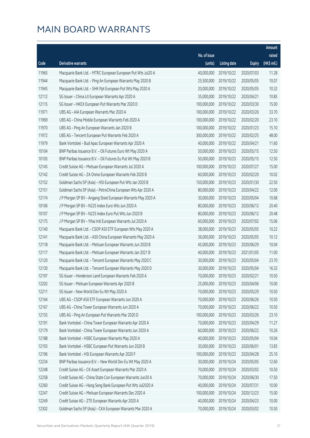|       |                                                              |              |                       |               | Amount      |
|-------|--------------------------------------------------------------|--------------|-----------------------|---------------|-------------|
|       |                                                              | No. of issue |                       |               | raised      |
| Code  | <b>Derivative warrants</b>                                   | (units)      | <b>Listing date</b>   | <b>Expiry</b> | (HK\$ mil.) |
| 11965 | Macquarie Bank Ltd. - MTRC European European Put Wts Jul20 A | 40,000,000   | 2019/10/22            | 2020/07/03    | 11.28       |
| 11944 | Macquarie Bank Ltd. - Ping An European Warrants May 2020 B   | 25,500,000   | 2019/10/22            | 2020/05/05    | 10.07       |
| 11945 | Macquarie Bank Ltd. - SHK Ppt European Put Wts May 2020 A    | 20,000,000   | 2019/10/22            | 2020/05/05    | 10.32       |
| 12112 | SG Issuer - China Lit European Warrants Apr 2020 A           | 35,000,000   | 2019/10/22            | 2020/04/21    | 10.85       |
| 12115 | SG Issuer - HKEX European Put Warrants Mar 2020 D            | 100,000,000  | 2019/10/22            | 2020/03/30    | 15.00       |
| 11971 | UBS AG - AIA European Warrants Mar 2020 A                    | 100,000,000  | 2019/10/22            | 2020/03/26    | 33.70       |
| 11969 | UBS AG - China Mobile European Warrants Feb 2020 A           | 100,000,000  | 2019/10/22            | 2020/02/20    | 23.10       |
| 11970 | UBS AG - Ping An European Warrants Jan 2020 B                | 100,000,000  | 2019/10/22            | 2020/01/23    | 15.10       |
| 11972 | UBS AG - Tencent European Put Warrants Feb 2020 A            | 300,000,000  | 2019/10/22            | 2020/02/25    | 48.00       |
| 11979 | Bank Vontobel - Bud Apac European Warrants Apr 2020 A        | 40,000,000   | 2019/10/22            | 2020/04/21    | 11.60       |
| 10104 | BNP Paribas Issuance B.V. - Oil Futures Euro Wt May 2020 A   | 50,000,000   | 2019/10/23            | 2020/05/15    | 12.50       |
| 10105 | BNP Paribas Issuance B.V. - Oil Futures Eu Put Wt May 2020 B | 50,000,000   | 2019/10/23            | 2020/05/15    | 12.50       |
| 12145 | Credit Suisse AG - Meituan European Warrants Jul 2020 A      | 100,000,000  | 2019/10/23            | 2020/07/27    | 15.00       |
| 12142 | Credit Suisse AG - ZA Onine European Warrants Feb 2020 B     | 60,000,000   | 2019/10/23            | 2020/02/20    | 10.02       |
| 12152 | Goldman Sachs SP (Asia) - HSI European Put Wts Jan 2020 B    | 150,000,000  | 2019/10/23            | 2020/01/30    | 22.50       |
| 12151 | Goldman Sachs SP (Asia) - PetroChina European Wts Apr 2020 A | 80,000,000   | 2019/10/23            | 2020/04/22    | 12.00       |
| 12174 | J P Morgan SP BV - Angang Steel European Warrants May 2020 A | 30,000,000   | 2019/10/23            | 2020/05/04    | 10.68       |
| 10106 | J P Morgan SP BV - N225 Index Euro Wts Jun 2020 A            | 80,000,000   | 2019/10/23            | 2020/06/12    | 20.40       |
| 10107 | J P Morgan SP BV - N225 Index Euro Put Wts Jun 2020 B        | 80,000,000   | 2019/10/23            | 2020/06/12    | 20.48       |
| 12175 | J P Morgan SP BV - Yihai Intl European Warrants Jul 2020 A   | 60,000,000   | 2019/10/23            | 2020/07/02    | 15.06       |
| 12140 | Macquarie Bank Ltd. - CSOP A50 ETF European Wts May 2020 A   | 38,000,000   | 2019/10/23            | 2020/05/05    | 10.22       |
| 12141 | Macquarie Bank Ltd. - A50 China European Warrants May 2020 A | 36,000,000   | 2019/10/23            | 2020/05/05    | 10.12       |
| 12118 | Macquarie Bank Ltd. - Meituan European Warrants Jun 2020 B   | 45,000,000   | 2019/10/23            | 2020/06/29    | 10.04       |
| 12117 | Macquarie Bank Ltd. - Meituan European Warrants Jan 2021 B   | 40,000,000   | 2019/10/23            | 2021/01/05    | 11.00       |
| 12120 | Macquarie Bank Ltd. - Tencent European Warrants May 2020 C   | 30,000,000   | 2019/10/23            | 2020/05/04    | 23.70       |
| 12130 | Macquarie Bank Ltd. - Tencent European Warrants May 2020 D   | 30,000,000   | 2019/10/23            | 2020/05/04    | 16.32       |
| 12197 | SG Issuer - Henderson Land European Warrants Feb 2020 A      |              | 70,000,000 2019/10/23 | 2020/02/21    | 10.50       |
| 12202 | SG Issuer - Meituan European Warrants Apr 2020 B             | 25,000,000   | 2019/10/23            | 2020/04/06    | 10.00       |
| 12211 | SG Issuer - New World Dev Eu Wt May 2020 A                   | 70,000,000   | 2019/10/23            | 2020/05/29    | 10.50       |
| 12164 | UBS AG - CSOP A50 ETF European Warrants Jun 2020 A           | 70,000,000   | 2019/10/23            | 2020/06/26    | 10.50       |
| 12167 | UBS AG - China Tower European Warrants Jun 2020 A            | 70,000,000   | 2019/10/23            | 2020/06/22    | 10.50       |
| 12155 | UBS AG - Ping An European Put Warrants Mar 2020 D            | 100,000,000  | 2019/10/23            | 2020/03/26    | 23.10       |
| 12191 | Bank Vontobel - China Tower European Warrants Apr 2020 A     | 70,000,000   | 2019/10/23            | 2020/04/29    | 11.27       |
| 12179 | Bank Vontobel - China Tower European Warrants Jun 2020 A     | 60,000,000   | 2019/10/23            | 2020/06/22    | 10.26       |
| 12188 | Bank Vontobel - HSBC European Warrants May 2020 A            | 40,000,000   | 2019/10/23            | 2020/05/04    | 10.04       |
| 12193 | Bank Vontobel - HSBC European Put Warrants Jun 2020 B        | 30,000,000   | 2019/10/23            | 2020/06/01    | 13.83       |
| 12196 | Bank Vontobel - HSI European Warrants Apr 2020 F             | 100,000,000  | 2019/10/23            | 2020/04/28    | 25.10       |
| 12234 | BNP Paribas Issuance B.V. - New World Dev Eu Wt May 2020 A   | 30,000,000   | 2019/10/24            | 2020/05/05    | 12.60       |
| 12248 | Credit Suisse AG - CK Asset European Warrants Mar 2020 A     | 70,000,000   | 2019/10/24            | 2020/03/02    | 10.50       |
| 12258 | Credit Suisse AG - China State Con European Warrants Jun20 A | 70,000,000   | 2019/10/24            | 2020/06/30    | 17.50       |
| 12260 | Credit Suisse AG - Hang Seng Bank European Put Wts Jul2020 A | 40,000,000   | 2019/10/24            | 2020/07/31    | 10.00       |
| 12247 | Credit Suisse AG - Meituan European Warrants Dec 2020 A      | 100,000,000  | 2019/10/24            | 2020/12/23    | 15.00       |
| 12249 | Credit Suisse AG - ZTE European Warrants Apr 2020 A          | 40,000,000   | 2019/10/24            | 2020/04/23    | 10.00       |
| 12302 | Goldman Sachs SP (Asia) - CKA European Warrants Mar 2020 A   | 70,000,000   | 2019/10/24            | 2020/03/02    | 10.50       |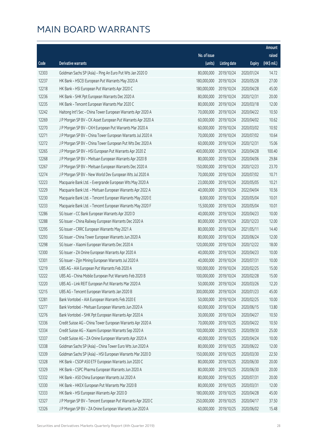|       |                                                              |                        |                     |               | <b>Amount</b> |
|-------|--------------------------------------------------------------|------------------------|---------------------|---------------|---------------|
|       |                                                              | No. of issue           |                     |               | raised        |
| Code  | Derivative warrants                                          | (units)                | <b>Listing date</b> | <b>Expiry</b> | (HK\$ mil.)   |
| 12303 | Goldman Sachs SP (Asia) - Ping An Euro Put Wts Jan 2020 D    | 80,000,000             | 2019/10/24          | 2020/01/24    | 14.72         |
| 12237 | HK Bank - HSCEI European Put Warrants May 2020 A             | 180,000,000            | 2019/10/24          | 2020/05/28    | 27.00         |
| 12218 | HK Bank - HSI European Put Warrants Apr 2020 C               | 180,000,000            | 2019/10/24          | 2020/04/28    | 45.00         |
| 12236 | HK Bank - SHK Ppt European Warrants Dec 2020 A               | 80,000,000             | 2019/10/24          | 2020/12/31    | 20.00         |
| 12235 | HK Bank - Tencent European Warrants Mar 2020 C               | 80,000,000             | 2019/10/24          | 2020/03/18    | 12.00         |
| 12242 | Haitong Int'l Sec - China Tower European Warrants Apr 2020 A | 70,000,000             | 2019/10/24          | 2020/04/22    | 10.50         |
| 12269 | J P Morgan SP BV - CK Asset European Put Warrants Apr 2020 A | 60,000,000             | 2019/10/24          | 2020/04/02    | 10.62         |
| 12270 | J P Morgan SP BV - CKH European Put Warrants Mar 2020 A      | 60,000,000             | 2019/10/24          | 2020/03/02    | 10.92         |
| 12271 | J P Morgan SP BV - China Tower European Warrants Jul 2020 A  | 70,000,000             | 2019/10/24          | 2020/07/02    | 10.64         |
| 12272 | J P Morgan SP BV - China Tower European Put Wts Dec 2020 A   | 60,000,000             | 2019/10/24          | 2020/12/31    | 15.06         |
| 12265 | J P Morgan SP BV - HSI European Put Warrants Apr 2020 Z      | 400,000,000            | 2019/10/24          | 2020/04/28    | 100.40        |
| 12268 | J P Morgan SP BV - Meituan European Warrants Apr 2020 B      | 80,000,000             | 2019/10/24          | 2020/04/06    | 29.84         |
| 12267 | J P Morgan SP BV - Meituan European Warrants Dec 2020 A      | 150,000,000            | 2019/10/24          | 2020/12/23    | 23.70         |
| 12274 | J P Morgan SP BV - New World Dev European Wts Jul 2020 A     | 70,000,000             | 2019/10/24          | 2020/07/02    | 10.71         |
| 12223 | Macquarie Bank Ltd. - Evergrande European Wts May 2020 A     | 23,000,000             | 2019/10/24          | 2020/05/05    | 10.21         |
| 12229 | Macquarie Bank Ltd. - Meituan European Warrants Apr 2022 A   | 40,000,000             | 2019/10/24          | 2022/04/04    | 10.56         |
| 12230 | Macquarie Bank Ltd. - Tencent European Warrants May 2020 E   | 8,000,000              | 2019/10/24          | 2020/05/04    | 10.01         |
| 12233 | Macquarie Bank Ltd. - Tencent European Warrants May 2020 F   | 15,500,000             | 2019/10/24          | 2020/05/04    | 10.01         |
| 12286 | SG Issuer - CC Bank European Warrants Apr 2020 D             | 40,000,000             | 2019/10/24          | 2020/04/23    | 10.00         |
| 12288 | SG Issuer - China Railway European Warrants Dec 2020 A       | 80,000,000             | 2019/10/24          | 2020/12/23    | 12.00         |
| 12295 | SG Issuer - CRRC European Warrants May 2021 A                | 80,000,000             | 2019/10/24          | 2021/05/11    | 14.40         |
| 12293 | SG Issuer - China Tower European Warrants Jun 2020 A         | 80,000,000             | 2019/10/24          | 2020/06/24    | 12.00         |
| 12298 | SG Issuer - Xiaomi European Warrants Dec 2020 A              | 120,000,000            | 2019/10/24          | 2020/12/22    | 18.00         |
| 12300 | SG Issuer - ZA Onine European Warrants Apr 2020 A            | 40,000,000             | 2019/10/24          | 2020/04/23    | 10.00         |
| 12301 | SG Issuer - Zijin Mining European Warrants Jul 2020 A        | 40,000,000             | 2019/10/24          | 2020/07/31    | 10.00         |
| 12219 | UBS AG - AIA European Put Warrants Feb 2020 A                | 100,000,000            | 2019/10/24          | 2020/02/25    | 15.00         |
| 12222 | UBS AG - China Mobile European Put Warrants Feb 2020 B       | 100,000,000 2019/10/24 |                     | 2020/02/28    | 15.00         |
| 12220 | UBS AG - Link REIT European Put Warrants Mar 2020 A          | 50,000,000             | 2019/10/24          | 2020/03/26    | 12.20         |
| 12215 | UBS AG - Tencent European Warrants Jan 2020 B                | 300,000,000            | 2019/10/24          | 2020/01/23    | 45.00         |
| 12281 | Bank Vontobel - AIA European Warrants Feb 2020 E             | 50,000,000             | 2019/10/24          | 2020/02/25    | 10.00         |
| 12277 | Bank Vontobel - Meituan European Warrants Jun 2020 A         | 60,000,000             | 2019/10/24          | 2020/06/15    | 13.80         |
| 12276 | Bank Vontobel - SHK Ppt European Warrants Apr 2020 A         | 30,000,000             | 2019/10/24          | 2020/04/27    | 10.50         |
| 12336 | Credit Suisse AG - China Tower European Warrants Apr 2020 A  | 70,000,000             | 2019/10/25          | 2020/04/22    | 10.50         |
| 12334 | Credit Suisse AG - Xiaomi European Warrants Sep 2020 A       | 100,000,000            | 2019/10/25          | 2020/09/30    | 25.00         |
| 12337 | Credit Suisse AG - ZA Onine European Warrants Apr 2020 A     | 40,000,000             | 2019/10/25          | 2020/04/24    | 10.00         |
| 12338 | Goldman Sachs SP (Asia) - China Tower Euro Wts Jun 2020 A    | 80,000,000             | 2019/10/25          | 2020/06/22    | 12.00         |
| 12339 | Goldman Sachs SP (Asia) - HSI European Warrants Mar 2020 D   | 150,000,000            | 2019/10/25          | 2020/03/30    | 22.50         |
| 12328 | HK Bank - CSOP A50 ETF European Warrants Jun 2020 C          | 80,000,000             | 2019/10/25          | 2020/06/30    | 20.00         |
| 12329 | HK Bank - CSPC Pharma European Warrants Jun 2020 A           | 80,000,000             | 2019/10/25          | 2020/06/30    | 20.00         |
| 12332 | HK Bank - A50 China European Warrants Jul 2020 A             | 80,000,000             | 2019/10/25          | 2020/07/31    | 20.00         |
| 12330 | HK Bank - HKEX European Put Warrants Mar 2020 B              | 80,000,000             | 2019/10/25          | 2020/03/31    | 12.00         |
| 12333 | HK Bank - HSI European Warrants Apr 2020 D                   | 180,000,000            | 2019/10/25          | 2020/04/28    | 45.00         |
| 12327 | J P Morgan SP BV - Tencent European Put Warrants Apr 2020 C  | 250,000,000            | 2019/10/25          | 2020/04/17    | 37.50         |
| 12326 | J P Morgan SP BV - ZA Onine European Warrants Jun 2020 A     | 60,000,000             | 2019/10/25          | 2020/06/02    | 15.48         |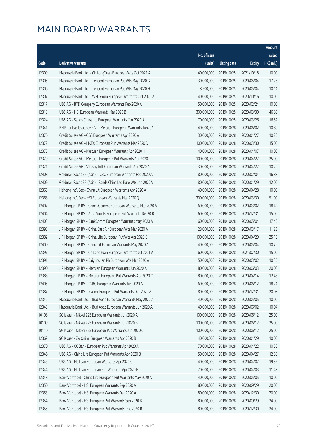|       |                                                              |              |                       |               | Amount      |
|-------|--------------------------------------------------------------|--------------|-----------------------|---------------|-------------|
|       |                                                              | No. of issue |                       |               | raised      |
| Code  | Derivative warrants                                          | (units)      | <b>Listing date</b>   | <b>Expiry</b> | (HK\$ mil.) |
| 12309 | Macquarie Bank Ltd. - Ch LongYuan European Wts Oct 2021 A    | 40,000,000   | 2019/10/25            | 2021/10/18    | 10.00       |
| 12305 | Macquarie Bank Ltd. - Tencent European Put Wts May 2020 G    | 30,000,000   | 2019/10/25            | 2020/05/04    | 17.25       |
| 12306 | Macquarie Bank Ltd. - Tencent European Put Wts May 2020 H    | 8,500,000    | 2019/10/25            | 2020/05/04    | 10.14       |
| 12307 | Macquarie Bank Ltd. - WH Group European Warrants Oct 2020 A  | 40,000,000   | 2019/10/25            | 2020/10/16    | 10.00       |
| 12317 | UBS AG - BYD Company European Warrants Feb 2020 A            | 50,000,000   | 2019/10/25            | 2020/02/24    | 10.00       |
| 12313 | UBS AG - HSI European Warrants Mar 2020 B                    | 300,000,000  | 2019/10/25            | 2020/03/30    | 46.80       |
| 12324 | UBS AG - Sands China Ltd European Warrants Mar 2020 A        | 70,000,000   | 2019/10/25            | 2020/03/26    | 16.52       |
| 12341 | BNP Paribas Issuance B.V. - Meituan European Warrants Jun20A | 40,000,000   | 2019/10/28            | 2020/06/02    | 10.80       |
| 12376 | Credit Suisse AG - CGS European Warrants Apr 2020 A          | 30,000,000   | 2019/10/28            | 2020/04/27    | 10.20       |
| 12372 | Credit Suisse AG - HKEX European Put Warrants Mar 2020 D     | 100,000,000  | 2019/10/28            | 2020/03/30    | 15.00       |
| 12375 | Credit Suisse AG - Meituan European Warrants Apr 2020 H      | 40,000,000   | 2019/10/28            | 2020/04/07    | 10.00       |
| 12379 | Credit Suisse AG - Meituan European Put Warrants Apr 2020 I  | 100,000,000  | 2019/10/28            | 2020/04/27    | 25.00       |
| 12371 | Credit Suisse AG - Vitasoy Intl European Warrants Apr 2020 A | 30,000,000   | 2019/10/28            | 2020/04/27    | 10.20       |
| 12408 | Goldman Sachs SP (Asia) - ICBC European Warrants Feb 2020 A  | 80,000,000   | 2019/10/28            | 2020/02/04    | 16.88       |
| 12409 | Goldman Sachs SP (Asia) - Sands China Ltd Euro Wts Jan 2020A | 80,000,000   | 2019/10/28            | 2020/01/29    | 12.00       |
| 12365 | Haitong Int'l Sec - China Lit European Warrants Apr 2020 A   | 40,000,000   | 2019/10/28            | 2020/04/28    | 10.00       |
| 12368 | Haitong Int'l Sec - HSI European Warrants Mar 2020 Q         | 300,000,000  | 2019/10/28            | 2020/03/30    | 51.00       |
| 12407 | J P Morgan SP BV - Conch Cement European Warrants Mar 2020 A | 60,000,000   | 2019/10/28            | 2020/03/02    | 18.42       |
| 12404 | J P Morgan SP BV - Anta Sports European Put Warrants Dec20 B | 60,000,000   | 2019/10/28            | 2020/12/31    | 15.00       |
| 12403 | J P Morgan SP BV - BankComm European Warrants May 2020 A     | 60,000,000   | 2019/10/28            | 2020/05/04    | 17.40       |
| 12393 | J P Morgan SP BV - China East Air European Wts Mar 2020 A    | 28,000,000   | 2019/10/28            | 2020/03/17    | 11.23       |
| 12382 | J P Morgan SP BV - China Life European Put Wts Apr 2020 C    | 100,000,000  | 2019/10/28            | 2020/04/29    | 25.10       |
| 12400 | J P Morgan SP BV - China Lit European Warrants May 2020 A    | 40,000,000   | 2019/10/28            | 2020/05/04    | 10.76       |
| 12397 | J P Morgan SP BV - Ch LongYuan European Warrants Jul 2021 A  | 60,000,000   | 2019/10/28            | 2021/07/30    | 15.00       |
| 12391 | J P Morgan SP BV - Baiyunshan Ph European Wts Mar 2020 A     | 50,000,000   | 2019/10/28            | 2020/03/02    | 10.35       |
| 12390 | J P Morgan SP BV - Meituan European Warrants Jun 2020 A      | 80,000,000   | 2019/10/28            | 2020/06/03    | 20.08       |
| 12388 | J P Morgan SP BV - Meituan European Put Warrants Apr 2020 C  |              | 80,000,000 2019/10/28 | 2020/04/14    | 12.48       |
| 12405 | J P Morgan SP BV - PSBC European Warrants Jun 2020 A         | 60,000,000   | 2019/10/28            | 2020/06/12    | 18.24       |
| 12387 | J P Morgan SP BV - Xiaomi European Put Warrants Dec 2020 A   | 80,000,000   | 2019/10/28            | 2020/12/31    | 20.08       |
| 12342 | Macquarie Bank Ltd. - Bud Apac European Warrants May 2020 A  | 40,000,000   | 2019/10/28            | 2020/05/05    | 10.00       |
| 12343 | Macquarie Bank Ltd. - Bud Apac European Warrants Jun 2020 A  | 40,000,000   | 2019/10/28            | 2020/06/02    | 10.04       |
| 10108 | SG Issuer - Nikkei 225 European Warrants Jun 2020 A          | 100,000,000  | 2019/10/28            | 2020/06/12    | 25.00       |
| 10109 | SG Issuer - Nikkei 225 European Warrants Jun 2020 B          | 100,000,000  | 2019/10/28            | 2020/06/12    | 25.00       |
| 10110 | SG Issuer - Nikkei 225 European Put Warrants Jun 2020 C      | 100,000,000  | 2019/10/28            | 2020/06/12    | 25.00       |
| 12369 | SG Issuer - ZA Onine European Warrants Apr 2020 B            | 40,000,000   | 2019/10/28            | 2020/04/29    | 10.00       |
| 12370 | UBS AG - CC Bank European Put Warrants Apr 2020 A            | 70,000,000   | 2019/10/28            | 2020/04/22    | 10.50       |
| 12346 | UBS AG - China Life European Put Warrants Apr 2020 B         | 50,000,000   | 2019/10/28            | 2020/04/27    | 12.50       |
| 12345 | UBS AG - Meituan European Warrants Apr 2020 C                | 40,000,000   | 2019/10/28            | 2020/04/07    | 19.32       |
| 12344 | UBS AG - Meituan European Put Warrants Apr 2020 B            | 70,000,000   | 2019/10/28            | 2020/04/03    | 11.48       |
| 12348 | Bank Vontobel - China Life European Put Warrants May 2020 A  | 40,000,000   | 2019/10/28            | 2020/05/05    | 10.00       |
| 12350 | Bank Vontobel - HSI European Warrants Sep 2020 A             | 80,000,000   | 2019/10/28            | 2020/09/29    | 20.00       |
| 12353 | Bank Vontobel - HSI European Warrants Dec 2020 A             | 80,000,000   | 2019/10/28            | 2020/12/30    | 20.00       |
| 12354 | Bank Vontobel - HSI European Put Warrants Sep 2020 B         | 80,000,000   | 2019/10/28            | 2020/09/29    | 24.00       |
| 12355 | Bank Vontobel - HSI European Put Warrants Dec 2020 B         | 80,000,000   | 2019/10/28            | 2020/12/30    | 24.00       |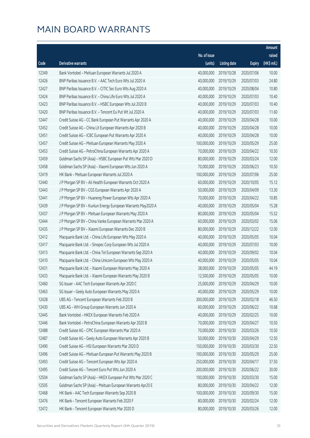|       |                                                              |              |                       |               | Amount      |
|-------|--------------------------------------------------------------|--------------|-----------------------|---------------|-------------|
|       |                                                              | No. of issue |                       |               | raised      |
| Code  | Derivative warrants                                          | (units)      | <b>Listing date</b>   | <b>Expiry</b> | (HK\$ mil.) |
| 12349 | Bank Vontobel - Meituan European Warrants Jul 2020 A         | 40,000,000   | 2019/10/28            | 2020/07/06    | 10.00       |
| 12426 | BNP Paribas Issuance B.V. - AAC Tech Euro Wts Jul 2020 A     | 40,000,000   | 2019/10/29            | 2020/07/03    | 24.80       |
| 12427 | BNP Paribas Issuance B.V. - CITIC Sec Euro Wts Aug 2020 A    | 40,000,000   | 2019/10/29            | 2020/08/04    | 10.80       |
| 12424 | BNP Paribas Issuance B.V. - China Life Euro Wts Jul 2020 A   | 40,000,000   | 2019/10/29            | 2020/07/03    | 10.40       |
| 12423 | BNP Paribas Issuance B.V. - HSBC European Wts Jul 2020 B     | 40,000,000   | 2019/10/29            | 2020/07/03    | 10.40       |
| 12420 | BNP Paribas Issuance B.V. - Tencent Eu Put Wt Jul 2020 A     | 40,000,000   | 2019/10/29            | 2020/07/03    | 11.60       |
| 12447 | Credit Suisse AG - CC Bank European Put Warrants Apr 2020 A  | 40,000,000   | 2019/10/29            | 2020/04/28    | 10.00       |
| 12452 | Credit Suisse AG - China Lit European Warrants Apr 2020 B    | 40,000,000   | 2019/10/29            | 2020/04/28    | 10.00       |
| 12451 | Credit Suisse AG - ICBC European Put Warrants Apr 2020 A     | 40,000,000   | 2019/10/29            | 2020/04/28    | 10.00       |
| 12457 | Credit Suisse AG - Meituan European Warrants May 2020 A      | 100,000,000  | 2019/10/29            | 2020/05/29    | 25.00       |
| 12453 | Credit Suisse AG - PetroChina European Warrants Apr 2020 A   | 70,000,000   | 2019/10/29            | 2020/04/22    | 10.50       |
| 12459 | Goldman Sachs SP (Asia) - HSBC European Put Wts Mar 2020 D   | 80,000,000   | 2019/10/29            | 2020/03/24    | 12.00       |
| 12458 | Goldman Sachs SP (Asia) - Xiaomi European Wts Jun 2020 A     | 70,000,000   | 2019/10/29            | 2020/06/23    | 10.50       |
| 12419 | HK Bank - Meituan European Warrants Jul 2020 A               | 100,000,000  | 2019/10/29            | 2020/07/06    | 25.00       |
| 12440 | J P Morgan SP BV - Ali Health European Warrants Oct 2020 A   | 60,000,000   | 2019/10/29            | 2020/10/05    | 15.12       |
| 12443 | J P Morgan SP BV - CGS European Warrants Apr 2020 A          | 50,000,000   | 2019/10/29            | 2020/04/09    | 13.30       |
| 12441 | J P Morgan SP BV - Huaneng Power European Wts Apr 2020 A     | 70,000,000   | 2019/10/29            | 2020/04/22    | 10.85       |
| 12439 | J P Morgan SP BV - Kunlun Energy European Warrants May2020 A | 40,000,000   | 2019/10/29            | 2020/05/04    | 15.28       |
| 12437 | J P Morgan SP BV - Meituan European Warrants May 2020 A      | 80,000,000   | 2019/10/29            | 2020/05/04    | 15.52       |
| 12444 | J P Morgan SP BV - China Vanke European Warrants Mar 2020 A  | 60,000,000   | 2019/10/29            | 2020/03/02    | 15.06       |
| 12435 | J P Morgan SP BV - Xiaomi European Warrants Dec 2020 B       | 80,000,000   | 2019/10/29            | 2020/12/22    | 12.00       |
| 12412 | Macquarie Bank Ltd. - China Life European Wts May 2020 A     | 40,000,000   | 2019/10/29            | 2020/05/05    | 10.04       |
| 12417 | Macquarie Bank Ltd. - Sinopec Corp European Wts Jul 2020 A   | 40,000,000   | 2019/10/29            | 2020/07/03    | 10.00       |
| 12413 | Macquarie Bank Ltd. - China Tel European Warrants Sep 2020 A | 40,000,000   | 2019/10/29            | 2020/09/02    | 10.04       |
| 12410 | Macquarie Bank Ltd. - China Unicom European Wts May 2020 A   | 40,000,000   | 2019/10/29            | 2020/05/05    | 10.04       |
| 12431 | Macquarie Bank Ltd. - Xiaomi European Warrants May 2020 A    | 38,000,000   | 2019/10/29            | 2020/05/05    | 44.19       |
| 12433 | Macquarie Bank Ltd. - Xiaomi European Warrants May 2020 B    |              | 12,500,000 2019/10/29 | 2020/05/05    | 10.00       |
| 12460 | SG Issuer - AAC Tech European Warrants Apr 2020 C            | 25,000,000   | 2019/10/29            | 2020/04/29    | 10.00       |
| 12463 | SG Issuer - Geely Auto European Warrants May 2020 A          | 40,000,000   | 2019/10/29            | 2020/05/29    | 10.00       |
| 12428 | UBS AG - Tencent European Warrants Feb 2020 B                | 300,000,000  | 2019/10/29            | 2020/02/18    | 46.50       |
| 12430 | UBS AG - WH Group European Warrants Jun 2020 A               | 60,000,000   | 2019/10/29            | 2020/06/22    | 10.68       |
| 12445 | Bank Vontobel - HKEX European Warrants Feb 2020 A            | 40,000,000   | 2019/10/29            | 2020/02/25    | 10.00       |
| 12446 | Bank Vontobel - PetroChina European Warrants Apr 2020 B      | 70,000,000   | 2019/10/29            | 2020/04/27    | 10.50       |
| 12488 | Credit Suisse AG - CPIC European Warrants Mar 2020 A         | 70,000,000   | 2019/10/30            | 2020/03/26    | 10.50       |
| 12487 | Credit Suisse AG - Geely Auto European Warrants Apr 2020 B   | 50,000,000   | 2019/10/30            | 2020/04/29    | 12.50       |
| 12490 | Credit Suisse AG - HSI European Warrants Mar 2020 D          | 150,000,000  | 2019/10/30            | 2020/03/30    | 22.50       |
| 12496 | Credit Suisse AG - Meituan European Put Warrants May 2020 B  | 100,000,000  | 2019/10/30            | 2020/05/29    | 25.00       |
| 12493 | Credit Suisse AG - Tencent European Wts Apr 2020 A           | 250,000,000  | 2019/10/30            | 2020/04/17    | 37.50       |
| 12495 | Credit Suisse AG - Tencent Euro Put Wts Jun 2020 A           | 200,000,000  | 2019/10/30            | 2020/06/22    | 30.00       |
| 12504 | Goldman Sachs SP (Asia) - HKEX European Put Wts Mar 2020 C   | 100,000,000  | 2019/10/30            | 2020/03/30    | 15.00       |
| 12505 | Goldman Sachs SP (Asia) - Meituan European Warrants Apr20 E  | 80,000,000   | 2019/10/30            | 2020/04/22    | 12.00       |
| 12468 | HK Bank - AAC Tech European Warrants Sep 2020 B              | 100,000,000  | 2019/10/30            | 2020/09/30    | 15.00       |
| 12476 | HK Bank - Tencent European Warrants Feb 2020 F               | 80,000,000   | 2019/10/30            | 2020/02/24    | 12.00       |
| 12472 | HK Bank - Tencent European Warrants Mar 2020 D               | 80,000,000   | 2019/10/30            | 2020/03/26    | 12.00       |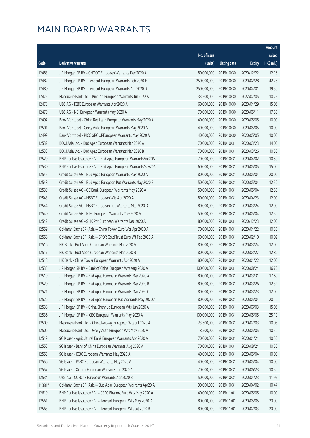|        |                                                              |              |                       |               | Amount      |
|--------|--------------------------------------------------------------|--------------|-----------------------|---------------|-------------|
|        |                                                              | No. of issue |                       |               | raised      |
| Code   | Derivative warrants                                          | (units)      | <b>Listing date</b>   | <b>Expiry</b> | (HK\$ mil.) |
| 12483  | J P Morgan SP BV - CNOOC European Warrants Dec 2020 A        | 80,000,000   | 2019/10/30            | 2020/12/22    | 12.16       |
| 12482  | J P Morgan SP BV - Tencent European Warrants Feb 2020 H      | 250,000,000  | 2019/10/30            | 2020/02/28    | 42.25       |
| 12480  | J P Morgan SP BV - Tencent European Warrants Apr 2020 D      | 250,000,000  | 2019/10/30            | 2020/04/01    | 39.50       |
| 12475  | Macquarie Bank Ltd. - Ping An European Warrants Jul 2022 A   | 33,500,000   | 2019/10/30            | 2022/07/05    | 10.25       |
| 12478  | UBS AG - ICBC European Warrants Apr 2020 A                   | 60,000,000   | 2019/10/30            | 2020/04/29    | 15.06       |
| 12479  | UBS AG - NCI European Warrants May 2020 A                    | 70,000,000   | 2019/10/30            | 2020/05/11    | 17.50       |
| 12497  | Bank Vontobel - China Res Land European Warrants May 2020 A  | 40,000,000   | 2019/10/30            | 2020/05/05    | 10.00       |
| 12501  | Bank Vontobel - Geely Auto European Warrants May 2020 A      | 40,000,000   | 2019/10/30            | 2020/05/05    | 10.00       |
| 12499  | Bank Vontobel - PICC GROUPEuropean Warrants May 2020 A       | 40,000,000   | 2019/10/30            | 2020/05/05    | 10.00       |
| 12532  | BOCI Asia Ltd. - Bud Apac European Warrants Mar 2020 A       | 70,000,000   | 2019/10/31            | 2020/03/23    | 14.00       |
| 12533  | BOCI Asia Ltd. - Bud Apac European Warrants Mar 2020 B       | 70,000,000   | 2019/10/31            | 2020/03/26    | 10.50       |
| 12529  | BNP Paribas Issuance B.V. - Bud Apac European WarrantsApr20A | 70,000,000   | 2019/10/31            | 2020/04/02    | 10.50       |
| 12530  | BNP Paribas Issuance B.V. - Bud Apac European WarrantsMay20A | 60,000,000   | 2019/10/31            | 2020/05/05    | 15.00       |
| 12545  | Credit Suisse AG - Bud Apac European Warrants May 2020 A     | 80,000,000   | 2019/10/31            | 2020/05/04    | 20.00       |
| 12548  | Credit Suisse AG - Bud Apac European Put Warrants May 2020 B | 50,000,000   | 2019/10/31            | 2020/05/04    | 12.50       |
| 12539  | Credit Suisse AG - CC Bank European Warrants May 2020 A      | 50,000,000   | 2019/10/31            | 2020/05/04    | 12.50       |
| 12543  | Credit Suisse AG - HSBC European Wts Apr 2020 A              | 80,000,000   | 2019/10/31            | 2020/04/23    | 12.00       |
| 12544  | Credit Suisse AG - HSBC European Put Warrants Mar 2020 D     | 80,000,000   | 2019/10/31            | 2020/03/24    | 12.00       |
| 12540  | Credit Suisse AG - ICBC European Warrants May 2020 A         | 50,000,000   | 2019/10/31            | 2020/05/04    | 12.50       |
| 12542  | Credit Suisse AG - SHK Ppt European Warrants Dec 2020 A      | 80,000,000   | 2019/10/31            | 2020/12/23    | 12.00       |
| 12559  | Goldman Sachs SP (Asia) - China Tower Euro Wts Apr 2020 A    | 70,000,000   | 2019/10/31            | 2020/04/22    | 10.50       |
| 12558  | Goldman Sachs SP (Asia) - SPDR Gold Trust Euro Wt Feb 2020 A | 60,000,000   | 2019/10/31            | 2020/02/10    | 10.02       |
| 12516  | HK Bank - Bud Apac European Warrants Mar 2020 A              | 80,000,000   | 2019/10/31            | 2020/03/24    | 12.00       |
| 12517  | HK Bank - Bud Apac European Warrants Mar 2020 B              | 80,000,000   | 2019/10/31            | 2020/03/27    | 12.80       |
| 12518  | HK Bank - China Tower European Warrants Apr 2020 A           | 80,000,000   | 2019/10/31            | 2020/04/22    | 12.00       |
| 12535  | J P Morgan SP BV - Bank of China European Wts Aug 2020 A     | 100,000,000  | 2019/10/31            | 2020/08/24    | 16.70       |
| 12519  | J P Morgan SP BV - Bud Apac European Warrants Mar 2020 A     |              | 80,000,000 2019/10/31 | 2020/03/31    | 17.60       |
| 12520  | J P Morgan SP BV - Bud Apac European Warrants Mar 2020 B     | 80,000,000   | 2019/10/31            | 2020/03/26    | 12.32       |
| 12521  | J P Morgan SP BV - Bud Apac European Warrants Mar 2020 C     | 80,000,000   | 2019/10/31            | 2020/03/23    | 12.00       |
| 12526  | J P Morgan SP BV - Bud Apac European Put Warrants May 2020 A | 80,000,000   | 2019/10/31            | 2020/05/04    | 20.16       |
| 12538  | J P Morgan SP BV - China Shenhua European Wts Jun 2020 A     | 60,000,000   | 2019/10/31            | 2020/06/03    | 15.06       |
| 12536  | J P Morgan SP BV - ICBC European Warrants May 2020 A         | 100,000,000  | 2019/10/31            | 2020/05/05    | 25.10       |
| 12509  | Macquarie Bank Ltd. - China Railway European Wts Jul 2020 A  | 23,500,000   | 2019/10/31            | 2020/07/03    | 10.08       |
| 12506  | Macquarie Bank Ltd. - Geely Auto European Wts May 2020 A     | 8,500,000    | 2019/10/31            | 2020/05/05    | 10.56       |
| 12549  | SG Issuer - Agricultural Bank European Warrants Apr 2020 A   | 70,000,000   | 2019/10/31            | 2020/04/24    | 10.50       |
| 12553  | SG Issuer - Bank of China European Warrants Aug 2020 A       | 70,000,000   | 2019/10/31            | 2020/08/24    | 10.50       |
| 12555  | SG Issuer - ICBC European Warrants May 2020 A                | 40,000,000   | 2019/10/31            | 2020/05/04    | 10.00       |
| 12556  | SG Issuer - PSBC European Warrants May 2020 A                | 40,000,000   | 2019/10/31            | 2020/05/04    | 10.00       |
| 12557  | SG Issuer - Xiaomi European Warrants Jun 2020 A              | 70,000,000   | 2019/10/31            | 2020/06/23    | 10.50       |
| 12534  | UBS AG - CC Bank European Warrants Apr 2020 B                | 50,000,000   | 2019/10/31            | 2020/04/23    | 11.95       |
| 11381# | Goldman Sachs SP (Asia) - Bud Apac European Warrants Apr20 A | 90,000,000   | 2019/10/31            | 2020/04/02    | 10.44       |
| 12619  | BNP Paribas Issuance B.V. - CSPC Pharma Euro Wts May 2020 A  | 40,000,000   | 2019/11/01            | 2020/05/05    | 10.00       |
| 12561  | BNP Paribas Issuance B.V. - Tencent European Wts May 2020 D  | 80,000,000   | 2019/11/01            | 2020/05/05    | 20.00       |
| 12563  | BNP Paribas Issuance B.V. - Tencent European Wts Jul 2020 B  | 80,000,000   | 2019/11/01            | 2020/07/03    | 20.00       |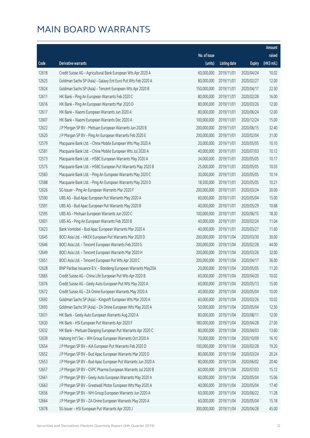|       |                                                               |              |                       |               | Amount      |
|-------|---------------------------------------------------------------|--------------|-----------------------|---------------|-------------|
|       |                                                               | No. of issue |                       |               | raised      |
| Code  | <b>Derivative warrants</b>                                    | (units)      | <b>Listing date</b>   | <b>Expiry</b> | (HK\$ mil.) |
| 12618 | Credit Suisse AG - Agricultural Bank European Wts Apr 2020 A  | 60,000,000   | 2019/11/01            | 2020/04/24    | 10.02       |
| 12625 | Goldman Sachs SP (Asia) - Galaxy Ent Euro Put Wts Feb 2020 A  | 80,000,000   | 2019/11/01            | 2020/02/27    | 12.00       |
| 12624 | Goldman Sachs SP (Asia) - Tencent European Wts Apr 2020 B     | 150,000,000  | 2019/11/01            | 2020/04/17    | 22.50       |
| 12611 | HK Bank - Ping An European Warrants Feb 2020 C                | 80,000,000   | 2019/11/01            | 2020/02/28    | 16.00       |
| 12616 | HK Bank - Ping An European Warrants Mar 2020 D                | 80,000,000   | 2019/11/01            | 2020/03/26    | 12.00       |
| 12617 | HK Bank - Xiaomi European Warrants Jun 2020 A                 | 80,000,000   | 2019/11/01            | 2020/06/24    | 12.00       |
| 12607 | HK Bank - Xiaomi European Warrants Dec 2020 A                 | 100,000,000  | 2019/11/01            | 2020/12/24    | 15.00       |
| 12622 | J P Morgan SP BV - Meituan European Warrants Jun 2020 B       | 200,000,000  | 2019/11/01            | 2020/06/15    | 32.40       |
| 12620 | J P Morgan SP BV - Ping An European Warrants Feb 2020 E       | 200,000,000  | 2019/11/01            | 2020/02/04    | 31.00       |
| 12579 | Macquarie Bank Ltd. - China Mobile European Wts May 2020 A    | 20,000,000   | 2019/11/01            | 2020/05/05    | 10.10       |
| 12581 | Macquarie Bank Ltd. - China Mobile European Wts Jul 2020 A    | 40,000,000   | 2019/11/01            | 2020/07/03    | 10.12       |
| 12573 | Macquarie Bank Ltd. - HSBC European Warrants May 2020 A       | 34,000,000   | 2019/11/01            | 2020/05/05    | 10.17       |
| 12575 | Macquarie Bank Ltd. - HSBC European Put Warrants May 2020 B   | 25,000,000   | 2019/11/01            | 2020/05/05    | 10.03       |
| 12583 | Macquarie Bank Ltd. - Ping An European Warrants May 2020 C    | 30,000,000   | 2019/11/01            | 2020/05/05    | 10.14       |
| 12588 | Macquarie Bank Ltd. - Ping An European Warrants May 2020 D    | 18,500,000   | 2019/11/01            | 2020/05/05    | 10.21       |
| 12626 | SG Issuer - Ping An European Warrants Mar 2020 F              | 200,000,000  | 2019/11/01            | 2020/03/24    | 30.00       |
| 12590 | UBS AG - Bud Apac European Put Warrants May 2020 A            | 60,000,000   | 2019/11/01            | 2020/05/04    | 15.00       |
| 12591 | UBS AG - Bud Apac European Put Warrants May 2020 B            | 40,000,000   | 2019/11/01            | 2020/05/29    | 10.68       |
| 12595 | UBS AG - Meituan European Warrants Jun 2020 C                 | 100,000,000  | 2019/11/01            | 2020/06/15    | 18.30       |
| 12601 | UBS AG - Ping An European Warrants Feb 2020 B                 | 40,000,000   | 2019/11/01            | 2020/02/24    | 11.04       |
| 12623 | Bank Vontobel - Bud Apac European Warrants Mar 2020 A         | 40,000,000   | 2019/11/01            | 2020/03/27    | 11.60       |
| 12645 | BOCI Asia Ltd. - HKEX European Put Warrants Mar 2020 D        | 200,000,000  | 2019/11/04            | 2020/03/30    | 30.00       |
| 12646 | BOCI Asia Ltd. - Tencent European Warrants Feb 2020 G         | 200,000,000  | 2019/11/04            | 2020/02/28    | 44.00       |
| 12649 | BOCI Asia Ltd. - Tencent European Warrants Mar 2020 H         | 200,000,000  | 2019/11/04            | 2020/03/26    | 32.00       |
| 12651 | BOCI Asia Ltd. - Tencent European Put Wts Apr 2020 C          | 200,000,000  | 2019/11/04            | 2020/04/17    | 36.00       |
| 12628 | BNP Paribas Issuance B.V. - Bosideng European Warrants May20A | 20,000,000   | 2019/11/04            | 2020/05/05    | 11.20       |
| 12665 | Credit Suisse AG - China Life European Put Wts Apr 2020 B     |              | 60,000,000 2019/11/04 | 2020/04/20    | 10.02       |
| 12676 | Credit Suisse AG - Geely Auto European Put Wts May 2020 A     | 60,000,000   | 2019/11/04            | 2020/05/13    | 15.00       |
| 12672 | Credit Suisse AG - ZA Onine European Warrants May 2020 A      | 40,000,000   | 2019/11/04            | 2020/05/04    | 10.00       |
| 12692 | Goldman Sachs SP (Asia) - Kingsoft European Wts Mar 2020 A    | 60,000,000   | 2019/11/04            | 2020/03/26    | 10.02       |
| 12693 | Goldman Sachs SP (Asia) - ZA Onine European Wts May 2020 A    | 50,000,000   | 2019/11/04            | 2020/05/04    | 12.50       |
| 12631 | HK Bank - Geely Auto European Warrants Aug 2020 A             | 80,000,000   | 2019/11/04            | 2020/08/11    | 12.00       |
| 12630 | HK Bank - HSI European Put Warrants Apr 2020 F                | 180,000,000  | 2019/11/04            | 2020/04/28    | 27.00       |
| 12632 | HK Bank - Meituan Dianping European Put Warrants Apr 2020 C   | 80,000,000   | 2019/11/04            | 2020/04/03    | 13.60       |
| 12639 | Haitong Int'l Sec - WH Group European Warrants Oct 2020 A     | 70,000,000   | 2019/11/04            | 2020/10/09    | 16.10       |
| 12654 | J P Morgan SP BV - AIA European Put Warrants Feb 2020 D       | 100,000,000  | 2019/11/04            | 2020/02/28    | 19.20       |
| 12652 | J P Morgan SP BV - Bud Apac European Warrants Mar 2020 D      | 80,000,000   | 2019/11/04            | 2020/03/24    | 20.24       |
| 12653 | J P Morgan SP BV - Bud Apac European Put Warrants Jun 2020 A  | 80,000,000   | 2019/11/04            | 2020/06/02    | 20.40       |
| 12657 | J P Morgan SP BV - CSPC Pharma European Warrants Jul 2020 B   | 60,000,000   | 2019/11/04            | 2020/07/03    | 15.12       |
| 12661 | J P Morgan SP BV - Geely Auto European Warrants May 2020 A    | 60,000,000   | 2019/11/04            | 2020/05/04    | 15.06       |
| 12663 | J P Morgan SP BV - Greatwall Motor European Wts May 2020 A    | 40,000,000   | 2019/11/04            | 2020/05/04    | 17.40       |
| 12656 | J P Morgan SP BV - WH Group European Warrants Jun 2020 A      | 60,000,000   | 2019/11/04            | 2020/06/22    | 11.28       |
| 12664 | J P Morgan SP BV - ZA Onine European Warrants May 2020 A      | 60,000,000   | 2019/11/04            | 2020/05/04    | 15.18       |
| 12678 | SG Issuer - HSI European Put Warrants Apr 2020 J              | 300,000,000  | 2019/11/04            | 2020/04/28    | 45.00       |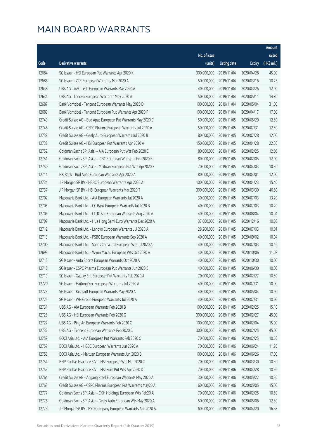|       |                                                              |              |                       |               | Amount      |
|-------|--------------------------------------------------------------|--------------|-----------------------|---------------|-------------|
|       |                                                              | No. of issue |                       |               | raised      |
| Code  | <b>Derivative warrants</b>                                   | (units)      | <b>Listing date</b>   | <b>Expiry</b> | (HK\$ mil.) |
| 12684 | SG Issuer - HSI European Put Warrants Apr 2020 K             | 300,000,000  | 2019/11/04            | 2020/04/28    | 45.00       |
| 12686 | SG Issuer - ZTE European Warrants Mar 2020 A                 | 50,000,000   | 2019/11/04            | 2020/03/16    | 10.25       |
| 12638 | UBS AG - AAC Tech European Warrants Mar 2020 A               | 40,000,000   | 2019/11/04            | 2020/03/26    | 12.00       |
| 12634 | UBS AG - Lenovo European Warrants May 2020 A                 | 50,000,000   | 2019/11/04            | 2020/05/11    | 14.80       |
| 12687 | Bank Vontobel - Tencent European Warrants May 2020 D         | 100,000,000  | 2019/11/04            | 2020/05/04    | 31.00       |
| 12689 | Bank Vontobel - Tencent European Put Warrants Apr 2020 F     | 100,000,000  | 2019/11/04            | 2020/04/17    | 17.00       |
| 12749 | Credit Suisse AG - Bud Apac European Put Warrants May 2020 C | 50,000,000   | 2019/11/05            | 2020/05/29    | 12.50       |
| 12746 | Credit Suisse AG - CSPC Pharma European Warrants Jul 2020 A  | 50,000,000   | 2019/11/05            | 2020/07/31    | 12.50       |
| 12739 | Credit Suisse AG - Geely Auto European Warrants Jul 2020 B   | 80,000,000   | 2019/11/05            | 2020/07/28    | 12.00       |
| 12738 | Credit Suisse AG - HSI European Put Warrants Apr 2020 A      | 150,000,000  | 2019/11/05            | 2020/04/28    | 22.50       |
| 12752 | Goldman Sachs SP (Asia) - AIA European Put Wts Feb 2020 C    | 80,000,000   | 2019/11/05            | 2020/02/25    | 12.00       |
| 12751 | Goldman Sachs SP (Asia) - ICBC European Warrants Feb 2020 B  | 80,000,000   | 2019/11/05            | 2020/02/05    | 12.00       |
| 12750 | Goldman Sachs SP (Asia) - Meituan European Put Wts Apr2020 F | 70,000,000   | 2019/11/05            | 2020/04/03    | 10.50       |
| 12714 | HK Bank - Bud Apac European Warrants Apr 2020 A              | 80,000,000   | 2019/11/05            | 2020/04/01    | 12.00       |
| 12734 | J P Morgan SP BV - HSBC European Warrants Apr 2020 A         | 100,000,000  | 2019/11/05            | 2020/04/23    | 15.40       |
| 12737 | J P Morgan SP BV - HSI European Warrants Mar 2020 T          | 300,000,000  | 2019/11/05            | 2020/03/30    | 46.80       |
| 12702 | Macquarie Bank Ltd. - AIA European Warrants Jul 2020 A       | 30,000,000   | 2019/11/05            | 2020/07/03    | 13.20       |
| 12705 | Macquarie Bank Ltd. - CC Bank European Warrants Jul 2020 B   | 40,000,000   | 2019/11/05            | 2020/07/03    | 10.20       |
| 12706 | Macquarie Bank Ltd. - CITIC Sec European Warrants Aug 2020 A | 40,000,000   | 2019/11/05            | 2020/08/04    | 10.04       |
| 12707 | Macquarie Bank Ltd. - Hua Hong Semi Euro Warrants Dec 2020 A | 37,000,000   | 2019/11/05            | 2020/12/16    | 10.03       |
| 12712 | Macquarie Bank Ltd. - Lenovo European Warrants Jul 2020 A    | 28,200,000   | 2019/11/05            | 2020/07/03    | 10.01       |
| 12713 | Macquarie Bank Ltd. - PSBC European Warrants Sep 2020 A      | 40,000,000   | 2019/11/05            | 2020/09/02    | 10.04       |
| 12700 | Macquarie Bank Ltd. - Sands China Ltd European Wts Jul2020 A | 40,000,000   | 2019/11/05            | 2020/07/03    | 10.16       |
| 12699 | Macquarie Bank Ltd. - Wynn Macau European Wts Oct 2020 A     | 40,000,000   | 2019/11/05            | 2020/10/06    | 11.08       |
| 12715 | SG Issuer - Anta Sports European Warrants Oct 2020 A         | 40,000,000   | 2019/11/05            | 2020/10/30    | 10.00       |
| 12718 | SG Issuer - CSPC Pharma European Put Warrants Jun 2020 B     | 40,000,000   | 2019/11/05            | 2020/06/30    | 10.00       |
| 12719 | SG Issuer - Galaxy Ent European Put Warrants Feb 2020 A      |              | 70,000,000 2019/11/05 | 2020/02/27    | 10.50       |
| 12720 | SG Issuer - Haitong Sec European Warrants Jul 2020 A         | 40,000,000   | 2019/11/05            | 2020/07/31    | 10.00       |
| 12723 | SG Issuer - Kingsoft European Warrants May 2020 A            | 40,000,000   | 2019/11/05            | 2020/05/04    | 10.00       |
| 12725 | SG Issuer - WH Group European Warrants Jul 2020 A            | 40,000,000   | 2019/11/05            | 2020/07/31    | 10.00       |
| 12731 | UBS AG - AIA European Warrants Feb 2020 B                    | 100,000,000  | 2019/11/05            | 2020/02/25    | 15.10       |
| 12728 | UBS AG - HSI European Warrants Feb 2020 G                    | 300,000,000  | 2019/11/05            | 2020/02/27    | 45.00       |
| 12727 | UBS AG - Ping An European Warrants Feb 2020 C                | 100,000,000  | 2019/11/05            | 2020/02/04    | 15.00       |
| 12732 | UBS AG - Tencent European Warrants Feb 2020 C                | 300,000,000  | 2019/11/05            | 2020/02/25    | 45.00       |
| 12759 | BOCI Asia Ltd. - AIA European Put Warrants Feb 2020 C        | 70,000,000   | 2019/11/06            | 2020/02/25    | 10.50       |
| 12757 | BOCI Asia Ltd. - HSBC European Warrants Jun 2020 A           | 70,000,000   | 2019/11/06            | 2020/06/24    | 11.20       |
| 12758 | BOCI Asia Ltd. - Meituan European Warrants Jun 2020 B        | 100,000,000  | 2019/11/06            | 2020/06/26    | 17.00       |
| 12754 | BNP Paribas Issuance B.V. - HSI European Wts Mar 2020 C      | 70,000,000   | 2019/11/06            | 2020/03/30    | 10.50       |
| 12753 | BNP Paribas Issuance B.V. - HSI Euro Put Wts Apr 2020 D      | 70,000,000   | 2019/11/06            | 2020/04/28    | 10.50       |
| 12764 | Credit Suisse AG - Angang Steel European Warrants May 2020 A | 30,000,000   | 2019/11/06            | 2020/05/22    | 10.50       |
| 12763 | Credit Suisse AG - CSPC Pharma European Put Warrants May20 A | 60,000,000   | 2019/11/06            | 2020/05/05    | 15.00       |
| 12777 | Goldman Sachs SP (Asia) - CKH Holdings European Wts Feb20 A  | 70,000,000   | 2019/11/06            | 2020/02/25    | 10.50       |
| 12776 | Goldman Sachs SP (Asia) - Geely Auto European Wts May 2020 A | 50,000,000   | 2019/11/06            | 2020/05/06    | 12.50       |
| 12773 | J P Morgan SP BV - BYD Company European Warrants Apr 2020 A  | 60,000,000   | 2019/11/06            | 2020/04/20    | 16.68       |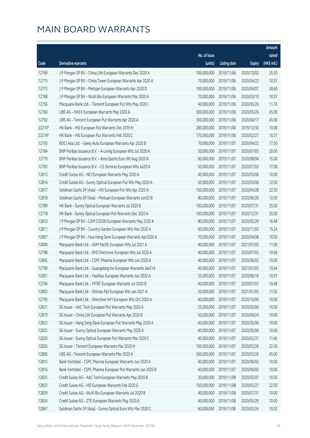|        |                                                              |              |                       |               | Amount      |
|--------|--------------------------------------------------------------|--------------|-----------------------|---------------|-------------|
|        |                                                              | No. of issue |                       |               | raised      |
| Code   | <b>Derivative warrants</b>                                   | (units)      | <b>Listing date</b>   | <b>Expiry</b> | (HK\$ mil.) |
| 12769  | J P Morgan SP BV - China Life European Warrants Dec 2020 A   | 100,000,000  | 2019/11/06            | 2020/12/02    | 25.50       |
| 12775  | J P Morgan SP BV - China Tower European Warrants Apr 2020 A  | 70,000,000   | 2019/11/06            | 2020/04/22    | 10.57       |
| 12772  | J P Morgan SP BV - Meituan European Warrants Apr 2020 D      | 100,000,000  | 2019/11/06            | 2020/04/07    | 28.60       |
| 12768  | J P Morgan SP BV - WuXi Bio European Warrants Mar 2020 A     | 70,000,000   | 2019/11/06            | 2020/03/10    | 10.57       |
| 12756  | Macquarie Bank Ltd. - Tencent European Put Wts May 2020 I    | 40,000,000   | 2019/11/06            | 2020/05/26    | 11.76       |
| 12760  | UBS AG - HKEX European Warrants May 2020 A                   | 300,000,000  | 2019/11/06            | 2020/05/26    | 45.00       |
| 12762  | UBS AG - Tencent European Put Warrants Apr 2020 A            | 300,000,000  | 2019/11/06            | 2020/04/17    | 45.90       |
| 22210# | HK Bank - HSI European Put Warrants Dec 2019 H               | 280,000,000  | 2019/11/06            | 2019/12/30    | 10.08       |
| 22218# | HK Bank - HSI European Put Warrants Feb 2020 C               | 170,000,000  | 2019/11/06            | 2020/02/27    | 10.37       |
| 12793  | BOCI Asia Ltd. - Geely Auto European Warrants Apr 2020 B     | 70,000,000   | 2019/11/07            | 2020/04/22    | 17.50       |
| 12784  | BNP Paribas Issuance B.V. - A-Living European Wts Jul 2020 A | 50,000,000   | 2019/11/07            | 2020/07/03    | 20.00       |
| 12779  | BNP Paribas Issuance B.V. - Anta Sports Euro Wt Aug 2020 A   | 60,000,000   | 2019/11/07            | 2020/08/04    | 15.00       |
| 12783  | BNP Paribas Issuance B.V. - CS Services European Wts Jul20 A | 50,000,000   | 2019/11/07            | 2020/07/03    | 17.00       |
| 12813  | Credit Suisse AG - NCI European Warrants May 2020 A          | 40,000,000   | 2019/11/07            | 2020/05/06    | 10.00       |
| 12814  | Credit Suisse AG - Sunny Optical European Put Wts May 2020 A | 50,000,000   | 2019/11/07            | 2020/05/06    | 12.50       |
| 12817  | Goldman Sachs SP (Asia) - HSI European Put Wts Apr 2020 A    | 150,000,000  | 2019/11/07            | 2020/04/28    | 22.50       |
| 12818  | Goldman Sachs SP (Asia) - Meituan European Warrants Jun20 B  | 80,000,000   | 2019/11/07            | 2020/06/26    | 12.00       |
| 12789  | HK Bank - Sunny Optical European Warrants Jul 2020 B         | 100,000,000  | 2019/11/07            | 2020/07/31    | 25.00       |
| 12778  | HK Bank - Sunny Optical European Put Warrants Dec 2020 A     | 100,000,000  | 2019/11/07            | 2020/12/31    | 25.00       |
| 12810  | J P Morgan SP BV - CAM CSI300 European Warrants May 2020 A   | 80,000,000   | 2019/11/07            | 2020/05/29    | 16.48       |
| 12811  | J P Morgan SP BV - Country Garden European Wts Nov 2020 A    | 60,000,000   | 2019/11/07            | 2020/11/02    | 15.24       |
| 12807  | J P Morgan SP BV - Hua Hong Semi European Warrants Apr2020 A | 70,000,000   | 2019/11/07            | 2020/04/08    | 10.50       |
| 12800  | Macquarie Bank Ltd. - ASM Pacific European Wts Jul 2021 A    | 40,000,000   | 2019/11/07            | 2021/07/05    | 11.00       |
| 12798  | Macquarie Bank Ltd. - BYD Electronic European Wts Jul 2020 A | 40,000,000   | 2019/11/07            | 2020/07/03    | 10.04       |
| 12805  | Macquarie Bank Ltd. - CSPC Pharma European Wts Jun 2020 A    | 40,000,000   | 2019/11/07            | 2020/06/02    | 10.00       |
| 12799  | Macquarie Bank Ltd. - Guangdong Inv European Warrants Jan21A | 40,000,000   | 2019/11/07            | 2021/01/05    | 10.64       |
| 12801  | Macquarie Bank Ltd. - Haidilao European Warrants Jun 2020 A  |              | 35,000,000 2019/11/07 | 2020/06/16    | 10.01       |
| 12794  | Macquarie Bank Ltd. - MTRC European Warrants Jul 2020 B      | 40,000,000   | 2019/11/07            | 2020/07/03    | 10.48       |
| 12803  | Macquarie Bank Ltd. - Shimao Ppt European Wts Jan 2021 A     | 20,000,000   | 2019/11/07            | 2021/01/05    | 11.02       |
| 12795  | Macquarie Bank Ltd. - Shenzhen Int'l European Wts Oct 2020 A | 40,000,000   | 2019/11/07            | 2020/10/06    | 10.00       |
| 12821  | SG Issuer - AAC Tech European Put Warrants May 2020 A        | 25,000,000   | 2019/11/07            | 2020/05/06    | 10.50       |
| 12819  | SG Issuer - China Life European Put Warrants Apr 2020 B      | 50,000,000   | 2019/11/07            | 2020/04/24    | 10.00       |
| 12823  | SG Issuer - Hang Seng Bank European Put Warrants May 2020 A  | 40,000,000   | 2019/11/07            | 2020/05/06    | 10.00       |
| 12825  | SG Issuer - Sunny Optical European Warrants May 2020 A       | 40,000,000   | 2019/11/07            | 2020/05/06    | 10.00       |
| 12820  | SG Issuer - Sunny Optical European Put Warrants Mar 2020 C   | 40,000,000   | 2019/11/07            | 2020/03/31    | 11.40       |
| 12826  | SG Issuer - Tencent European Warrants Mar 2020 H             | 150,000,000  | 2019/11/07            | 2020/03/26    | 22.50       |
| 12806  | UBS AG - Tencent European Warrants Mar 2020 A                | 300,000,000  | 2019/11/07            | 2020/03/26    | 45.00       |
| 12815  | Bank Vontobel - CSPC Pharma European Warrants Jun 2020 A     | 40,000,000   | 2019/11/07            | 2020/06/02    | 10.00       |
| 12816  | Bank Vontobel - CSPC Pharma European Put Warrants Jun 2020 B | 40,000,000   | 2019/11/07            | 2020/06/03    | 10.00       |
| 12835  | Credit Suisse AG - AAC Tech European Warrants May 2020 B     | 30,000,000   | 2019/11/08            | 2020/05/07    | 10.50       |
| 12833  | Credit Suisse AG - HSI European Warrants Feb 2020 G          | 150,000,000  | 2019/11/08            | 2020/02/27    | 22.50       |
| 12829  | Credit Suisse AG - WuXi Bio European Warrants Jul 2020 B     | 40,000,000   | 2019/11/08            | 2020/07/31    | 10.00       |
| 12834  | Credit Suisse AG - ZTE European Warrants May 2020 A          | 40,000,000   | 2019/11/08            | 2020/05/29    | 10.00       |
| 12847  | Goldman Sachs SP (Asia) - Sunny Optical Euro Wts Mar 2020 C  | 60,000,000   | 2019/11/08            | 2020/03/24    | 10.02       |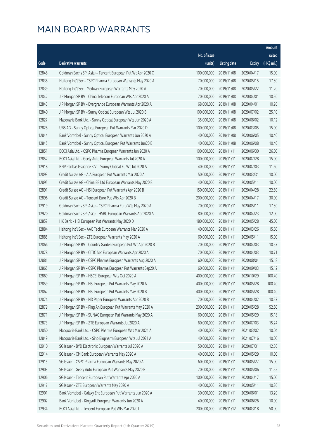|       |                                                              |                        |                     |               | Amount      |
|-------|--------------------------------------------------------------|------------------------|---------------------|---------------|-------------|
|       |                                                              | No. of issue           |                     |               | raised      |
| Code  | Derivative warrants                                          | (units)                | <b>Listing date</b> | <b>Expiry</b> | (HK\$ mil.) |
| 12848 | Goldman Sachs SP (Asia) - Tencent European Put Wt Apr 2020 C | 100,000,000            | 2019/11/08          | 2020/04/17    | 15.00       |
| 12838 | Haitong Int'l Sec - CSPC Pharma European Warrants May 2020 A | 70,000,000             | 2019/11/08          | 2020/05/15    | 17.50       |
| 12839 | Haitong Int'l Sec - Meituan European Warrants May 2020 A     | 70,000,000             | 2019/11/08          | 2020/05/22    | 11.20       |
| 12842 | J P Morgan SP BV - China Telecom European Wts Apr 2020 A     | 70,000,000             | 2019/11/08          | 2020/04/01    | 10.50       |
| 12843 | J P Morgan SP BV - Evergrande European Warrants Apr 2020 A   | 68,000,000             | 2019/11/08          | 2020/04/01    | 10.20       |
| 12840 | J P Morgan SP BV - Sunny Optical European Wts Jul 2020 B     | 100,000,000            | 2019/11/08          | 2020/07/02    | 25.10       |
| 12827 | Macquarie Bank Ltd. - Sunny Optical European Wts Jun 2020 A  | 35,000,000             | 2019/11/08          | 2020/06/02    | 10.12       |
| 12828 | UBS AG - Sunny Optical European Put Warrants Mar 2020 D      | 100,000,000            | 2019/11/08          | 2020/03/05    | 15.00       |
| 12844 | Bank Vontobel - Sunny Optical European Warrants Jun 2020 A   | 40,000,000             | 2019/11/08          | 2020/06/05    | 10.40       |
| 12845 | Bank Vontobel - Sunny Optical European Put Warrants Jun20 B  | 40,000,000             | 2019/11/08          | 2020/06/08    | 10.40       |
| 12851 | BOCI Asia Ltd. - CSPC Pharma European Warrants Jun 2020 A    | 100,000,000            | 2019/11/11          | 2020/06/30    | 26.00       |
| 12852 | BOCI Asia Ltd. - Geely Auto European Warrants Jul 2020 A     | 100,000,000            | 2019/11/11          | 2020/07/28    | 15.00       |
| 12918 | BNP Paribas Issuance B.V. - Sunny Optical Eu Wt Jul 2020 A   | 40,000,000             | 2019/11/11          | 2020/07/03    | 11.60       |
| 12893 | Credit Suisse AG - AIA European Put Warrants Mar 2020 A      | 50,000,000             | 2019/11/11          | 2020/03/31    | 10.00       |
| 12895 | Credit Suisse AG - China EB Ltd European Warrants May 2020 B | 40,000,000             | 2019/11/11          | 2020/05/11    | 10.00       |
| 12891 | Credit Suisse AG - HSI European Put Warrants Apr 2020 B      | 150,000,000            | 2019/11/11          | 2020/04/28    | 22.50       |
| 12896 | Credit Suisse AG - Tencent Euro Put Wts Apr 2020 B           | 200,000,000            | 2019/11/11          | 2020/04/17    | 30.00       |
| 12919 | Goldman Sachs SP (Asia) - CSPC Pharma Euro Wts May 2020 A    | 70,000,000             | 2019/11/11          | 2020/05/11    | 17.50       |
| 12920 | Goldman Sachs SP (Asia) - HSBC European Warrants Apr 2020 A  | 80,000,000             | 2019/11/11          | 2020/04/23    | 12.00       |
| 12857 | HK Bank - HSI European Put Warrants May 2020 D               | 180,000,000            | 2019/11/11          | 2020/05/28    | 45.00       |
| 12884 | Haitong Int'l Sec - AAC Tech European Warrants Mar 2020 A    | 40,000,000             | 2019/11/11          | 2020/03/26    | 15.60       |
| 12885 | Haitong Int'l Sec - ZTE European Warrants May 2020 A         | 60,000,000             | 2019/11/11          | 2020/05/11    | 15.00       |
| 12866 | J P Morgan SP BV - Country Garden European Put Wt Apr 2020 B | 70,000,000             | 2019/11/11          | 2020/04/03    | 10.57       |
| 12878 | J P Morgan SP BV - CITIC Sec European Warrants Apr 2020 A    | 70,000,000             | 2019/11/11          | 2020/04/03    | 10.71       |
| 12881 | J P Morgan SP BV - CSPC Pharma European Warrants Aug 2020 A  | 60,000,000             | 2019/11/11          | 2020/08/04    | 15.18       |
| 12865 | J P Morgan SP BV - CSPC Pharma European Put Warrants Sep20 A | 60,000,000             | 2019/11/11          | 2020/09/03    | 15.12       |
| 12869 | J P Morgan SP BV - HSCEI European Wts Oct 2020 A             | 400,000,000 2019/11/11 |                     | 2020/10/29    | 100.40      |
| 12859 | J P Morgan SP BV - HSI European Put Warrants May 2020 A      | 400,000,000            | 2019/11/11          | 2020/05/28    | 100.40      |
| 12862 | J P Morgan SP BV - HSI European Put Warrants May 2020 B      | 400,000,000            | 2019/11/11          | 2020/05/28    | 100.40      |
| 12874 | J P Morgan SP BV - ND Paper European Warrants Apr 2020 B     | 70,000,000             | 2019/11/11          | 2020/04/02    | 10.57       |
| 12879 | J P Morgan SP BV - Ping An European Put Warrants May 2020 A  | 200,000,000            | 2019/11/11          | 2020/05/28    | 52.60       |
| 12871 | J P Morgan SP BV - SUNAC European Put Warrants May 2020 A    | 60,000,000             | 2019/11/11          | 2020/05/29    | 15.18       |
| 12873 | J P Morgan SP BV - ZTE European Warrants Jul 2020 A          | 60,000,000             | 2019/11/11          | 2020/07/03    | 15.24       |
| 12850 | Macquarie Bank Ltd. - CSPC Pharma European Wts Mar 2021 A    | 40,000,000             | 2019/11/11          | 2021/03/02    | 10.04       |
| 12849 | Macquarie Bank Ltd. - Sino Biopharm European Wts Jul 2021 A  | 40,000,000             | 2019/11/11          | 2021/07/16    | 10.00       |
| 12910 | SG Issuer - BYD Electronic European Warrants Jul 2020 A      | 50,000,000             | 2019/11/11          | 2020/07/31    | 12.50       |
| 12914 | SG Issuer - CM Bank European Warrants May 2020 A             | 40,000,000             | 2019/11/11          | 2020/05/29    | 10.00       |
| 12915 | SG Issuer - CSPC Pharma European Warrants May 2020 A         | 60,000,000             | 2019/11/11          | 2020/05/27    | 15.00       |
| 12903 | SG Issuer - Geely Auto European Put Warrants May 2020 B      | 70,000,000             | 2019/11/11          | 2020/05/06    | 11.55       |
| 12906 | SG Issuer - Tencent European Put Warrants Apr 2020 A         | 100,000,000            | 2019/11/11          | 2020/04/17    | 15.00       |
| 12917 | SG Issuer - ZTE European Warrants May 2020 A                 | 40,000,000             | 2019/11/11          | 2020/05/11    | 10.20       |
| 12901 | Bank Vontobel - Galaxy Ent European Put Warrants Jun 2020 A  | 30,000,000             | 2019/11/11          | 2020/06/01    | 13.20       |
| 12902 | Bank Vontobel - Kingsoft European Warrants Jun 2020 A        | 40,000,000             | 2019/11/11          | 2020/06/26    | 10.00       |
| 12934 | BOCI Asia Ltd. - Tencent European Put Wts Mar 2020 I         | 200,000,000            | 2019/11/12          | 2020/03/18    | 50.00       |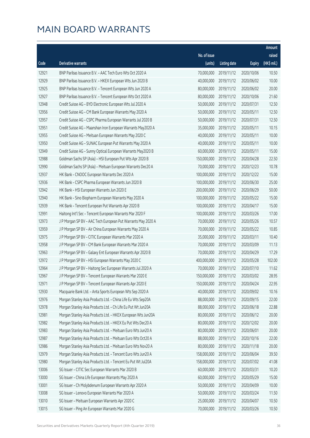|       |                                                              |                        |                     |               | Amount      |
|-------|--------------------------------------------------------------|------------------------|---------------------|---------------|-------------|
|       |                                                              | No. of issue           |                     |               | raised      |
| Code  | Derivative warrants                                          | (units)                | <b>Listing date</b> | <b>Expiry</b> | (HK\$ mil.) |
| 12921 | BNP Paribas Issuance B.V. - AAC Tech Euro Wts Oct 2020 A     | 70,000,000             | 2019/11/12          | 2020/10/06    | 10.50       |
| 12929 | BNP Paribas Issuance B.V. - HKEX European Wts Jun 2020 B     | 40,000,000             | 2019/11/12          | 2020/06/02    | 10.00       |
| 12925 | BNP Paribas Issuance B.V. - Tencent European Wts Jun 2020 A  | 80,000,000             | 2019/11/12          | 2020/06/02    | 20.00       |
| 12927 | BNP Paribas Issuance B.V. - Tencent European Wts Oct 2020 A  | 80,000,000             | 2019/11/12          | 2020/10/06    | 21.60       |
| 12948 | Credit Suisse AG - BYD Electronic European Wts Jul 2020 A    | 50,000,000             | 2019/11/12          | 2020/07/31    | 12.50       |
| 12956 | Credit Suisse AG - CM Bank European Warrants May 2020 A      | 50,000,000             | 2019/11/12          | 2020/05/11    | 12.50       |
| 12957 | Credit Suisse AG - CSPC Pharma European Warrants Jul 2020 B  | 50,000,000             | 2019/11/12          | 2020/07/31    | 12.50       |
| 12951 | Credit Suisse AG - Maanshan Iron European Warrants May2020 A | 35,000,000             | 2019/11/12          | 2020/05/11    | 10.15       |
| 12955 | Credit Suisse AG - Meituan European Warrants May 2020 C      | 40,000,000             | 2019/11/12          | 2020/05/11    | 10.00       |
| 12950 | Credit Suisse AG - SUNAC European Put Warrants May 2020 A    | 40,000,000             | 2019/11/12          | 2020/05/11    | 10.00       |
| 12949 | Credit Suisse AG - Sunny Optical European Warrants May2020 B | 60,000,000             | 2019/11/12          | 2020/05/11    | 15.00       |
| 12988 | Goldman Sachs SP (Asia) - HSI European Put Wts Apr 2020 B    | 150,000,000            | 2019/11/12          | 2020/04/28    | 22.50       |
| 12990 | Goldman Sachs SP (Asia) - Meituan European Warrants Dec20 A  | 70,000,000             | 2019/11/12          | 2020/12/23    | 10.78       |
| 12937 | HK Bank - CNOOC European Warrants Dec 2020 A                 | 100,000,000            | 2019/11/12          | 2020/12/22    | 15.00       |
| 12936 | HK Bank - CSPC Pharma European Warrants Jun 2020 B           | 100,000,000            | 2019/11/12          | 2020/06/30    | 25.00       |
| 12942 | HK Bank - HSI European Warrants Jun 2020 E                   | 200,000,000            | 2019/11/12          | 2020/06/29    | 50.00       |
| 12940 | HK Bank - Sino Biopharm European Warrants May 2020 A         | 100,000,000            | 2019/11/12          | 2020/05/22    | 15.00       |
| 12939 | HK Bank - Tencent European Put Warrants Apr 2020 B           | 100,000,000            | 2019/11/12          | 2020/04/17    | 15.00       |
| 12991 | Haitong Int'l Sec - Tencent European Warrants Mar 2020 F     | 100,000,000            | 2019/11/12          | 2020/03/26    | 17.00       |
| 12973 | J P Morgan SP BV - AAC Tech European Put Warrants May 2020 A | 70,000,000             | 2019/11/12          | 2020/05/26    | 10.57       |
| 12959 | J P Morgan SP BV - Air China European Warrants May 2020 A    | 70,000,000             | 2019/11/12          | 2020/05/22    | 10.85       |
| 12975 | J P Morgan SP BV - CITIC European Warrants Mar 2020 A        | 35,000,000             | 2019/11/12          | 2020/03/11    | 10.40       |
| 12958 | J P Morgan SP BV - CM Bank European Warrants Mar 2020 A      | 70,000,000             | 2019/11/12          | 2020/03/09    | 11.13       |
| 12963 | J P Morgan SP BV - Galaxy Ent European Warrants Apr 2020 B   | 70,000,000             | 2019/11/12          | 2020/04/29    | 17.29       |
| 12972 | J P Morgan SP BV - HSI European Warrants May 2020 C          | 400,000,000            | 2019/11/12          | 2020/05/28    | 102.00      |
| 12964 | J P Morgan SP BV - Haitong Sec European Warrants Jul 2020 A  | 70,000,000             | 2019/11/12          | 2020/07/10    | 11.62       |
| 12967 | J P Morgan SP BV - Tencent European Warrants Mar 2020 E      | 150,000,000 2019/11/12 |                     | 2020/03/02    | 28.95       |
| 12971 | J P Morgan SP BV - Tencent European Warrants Apr 2020 E      | 150,000,000            | 2019/11/12          | 2020/04/24    | 22.95       |
| 12930 | Macquarie Bank Ltd. - Anta Sports European Wts Sep 2020 A    | 40,000,000             | 2019/11/12          | 2020/09/02    | 10.16       |
| 12976 | Morgan Stanley Asia Products Ltd. - China Life Eu Wts Sep20A | 88,000,000             | 2019/11/12          | 2020/09/15    | 22.00       |
| 12978 | Morgan Stanley Asia Products Ltd. - Ch Life Eu Put Wt Jun20A | 88,000,000             | 2019/11/12          | 2020/06/18    | 22.88       |
| 12981 | Morgan Stanley Asia Products Ltd. - HKEX European Wts Jun20A | 80,000,000             | 2019/11/12          | 2020/06/12    | 20.00       |
| 12982 | Morgan Stanley Asia Products Ltd. - HKEX Eu Put Wts Dec20 A  | 80,000,000             | 2019/11/12          | 2020/12/02    | 20.00       |
| 12983 | Morgan Stanley Asia Products Ltd. - Meituan Euro Wts Jun20 A | 80,000,000             | 2019/11/12          | 2020/06/01    | 20.00       |
| 12987 | Morgan Stanley Asia Products Ltd. - Meituan Euro Wts Oct20 A | 88,000,000             | 2019/11/12          | 2020/10/16    | 22.00       |
| 12986 | Morgan Stanley Asia Products Ltd. - Meituan Euro Wts Nov20 A | 80,000,000             | 2019/11/12          | 2020/11/18    | 20.00       |
| 12979 | Morgan Stanley Asia Products Ltd. - Tencent Euro Wts Jun20 A | 158,000,000            | 2019/11/12          | 2020/06/04    | 39.50       |
| 12980 | Morgan Stanley Asia Products Ltd. - Tencent Eu Put Wt Jul20A | 158,000,000            | 2019/11/12          | 2020/07/02    | 41.08       |
| 13006 | SG Issuer - CITIC Sec European Warrants Mar 2020 B           | 60,000,000             | 2019/11/12          | 2020/03/31    | 10.20       |
| 13000 | SG Issuer - China Life European Warrants May 2020 A          | 60,000,000             | 2019/11/12          | 2020/05/29    | 15.00       |
| 13001 | SG Issuer - Ch Molybdenum European Warrants Apr 2020 A       | 50,000,000             | 2019/11/12          | 2020/04/09    | 10.00       |
| 13008 | SG Issuer - Lenovo European Warrants Mar 2020 A              | 50,000,000             | 2019/11/12          | 2020/03/24    | 11.50       |
| 13010 | SG Issuer - Meituan European Warrants Apr 2020 C             | 25,000,000             | 2019/11/12          | 2020/04/07    | 10.50       |
| 13015 | SG Issuer - Ping An European Warrants Mar 2020 G             | 70,000,000             | 2019/11/12          | 2020/03/26    | 10.50       |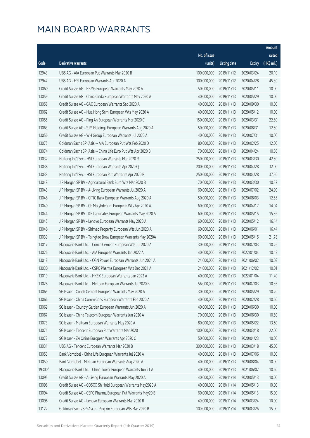|        |                                                              |              |                       |               | Amount      |
|--------|--------------------------------------------------------------|--------------|-----------------------|---------------|-------------|
|        |                                                              | No. of issue |                       |               | raised      |
| Code   | Derivative warrants                                          | (units)      | <b>Listing date</b>   | <b>Expiry</b> | (HK\$ mil.) |
| 12943  | UBS AG - AIA European Put Warrants Mar 2020 B                | 100,000,000  | 2019/11/12            | 2020/03/24    | 20.10       |
| 12947  | UBS AG - HSI European Warrants Apr 2020 A                    | 300,000,000  | 2019/11/12            | 2020/04/28    | 45.30       |
| 13060  | Credit Suisse AG - BBMG European Warrants May 2020 A         | 50,000,000   | 2019/11/13            | 2020/05/11    | 10.00       |
| 13059  | Credit Suisse AG - China Cinda European Warrants May 2020 A  | 40,000,000   | 2019/11/13            | 2020/05/29    | 10.00       |
| 13058  | Credit Suisse AG - GAC European Warrants Sep 2020 A          | 40,000,000   | 2019/11/13            | 2020/09/30    | 10.00       |
| 13062  | Credit Suisse AG - Hua Hong Semi European Wts May 2020 A     | 40,000,000   | 2019/11/13            | 2020/05/12    | 10.00       |
| 13055  | Credit Suisse AG - Ping An European Warrants Mar 2020 C      | 150,000,000  | 2019/11/13            | 2020/03/31    | 22.50       |
| 13063  | Credit Suisse AG - SJM Holdings European Warrants Aug 2020 A | 50,000,000   | 2019/11/13            | 2020/08/31    | 12.50       |
| 13056  | Credit Suisse AG - WH Group European Warrants Jul 2020 A     | 40,000,000   | 2019/11/13            | 2020/07/31    | 10.00       |
| 13075  | Goldman Sachs SP (Asia) - AIA European Put Wts Feb 2020 D    | 80,000,000   | 2019/11/13            | 2020/02/25    | 12.00       |
| 13074  | Goldman Sachs SP (Asia) - China Life Euro Put Wts Apr 2020 B | 70,000,000   | 2019/11/13            | 2020/04/24    | 10.50       |
| 13032  | Haitong Int'l Sec - HSI European Warrants Mar 2020 R         | 250,000,000  | 2019/11/13            | 2020/03/30    | 42.50       |
| 13038  | Haitong Int'l Sec - HSI European Warrants Apr 2020 Q         | 200,000,000  | 2019/11/13            | 2020/04/28    | 32.00       |
| 13033  | Haitong Int'l Sec - HSI European Put Warrants Apr 2020 P     | 250,000,000  | 2019/11/13            | 2020/04/28    | 37.50       |
| 13049  | J P Morgan SP BV - Agricultural Bank Euro Wts Mar 2020 B     | 70,000,000   | 2019/11/13            | 2020/03/30    | 10.57       |
| 13043  | J P Morgan SP BV - A-Living European Warrants Jul 2020 A     | 60,000,000   | 2019/11/13            | 2020/07/02    | 24.90       |
| 13048  | J P Morgan SP BV - CITIC Bank European Warrants Aug 2020 A   | 50,000,000   | 2019/11/13            | 2020/08/03    | 12.55       |
| 13040  | J P Morgan SP BV - Ch Molybdenum European Wts Apr 2020 A     | 60,000,000   | 2019/11/13            | 2020/04/17    | 14.04       |
| 13044  | J P Morgan SP BV - KB Laminates European Warrants May 2020 A | 60,000,000   | 2019/11/13            | 2020/05/15    | 15.36       |
| 13045  | J P Morgan SP BV - Lenovo European Warrants May 2020 A       | 60,000,000   | 2019/11/13            | 2020/05/12    | 16.14       |
| 13046  | J P Morgan SP BV - Shimao Property European Wts Jun 2020 A   | 60,000,000   | 2019/11/13            | 2020/06/01    | 16.44       |
| 13039  | J P Morgan SP BV - Tsingtao Brew European Warrants May 2020A | 60,000,000   | 2019/11/13            | 2020/05/15    | 21.78       |
| 13017  | Macquarie Bank Ltd. - Conch Cement European Wts Jul 2020 A   | 30,000,000   | 2019/11/13            | 2020/07/03    | 10.26       |
| 13026  | Macquarie Bank Ltd. - AIA European Warrants Jan 2022 A       | 40,000,000   | 2019/11/13            | 2022/01/04    | 10.12       |
| 13018  | Macquarie Bank Ltd. - CGN Power European Warrants Jun 2021 A | 24,000,000   | 2019/11/13            | 2021/06/02    | 10.03       |
| 13030  | Macquarie Bank Ltd. - CSPC Pharma European Wts Dec 2021 A    | 24,000,000   | 2019/11/13            | 2021/12/02    | 10.01       |
| 13019  | Macquarie Bank Ltd. - HKEX European Warrants Jan 2022 A      |              | 40,000,000 2019/11/13 | 2022/01/04    | 11.40       |
| 13028  | Macquarie Bank Ltd. - Meituan European Warrants Jul 2020 B   | 56,000,000   | 2019/11/13            | 2020/07/03    | 10.36       |
| 13065  | SG Issuer - Conch Cement European Warrants May 2020 A        | 30,000,000   | 2019/11/13            | 2020/05/29    | 10.20       |
| 13066  | SG Issuer - China Comm Cons European Warrants Feb 2020 A     | 40,000,000   | 2019/11/13            | 2020/02/28    | 10.60       |
| 13069  | SG Issuer - Country Garden European Warrants Jun 2020 A      | 40,000,000   | 2019/11/13            | 2020/06/30    | 10.00       |
| 13067  | SG Issuer - China Telecom European Warrants Jun 2020 A       | 70,000,000   | 2019/11/13            | 2020/06/30    | 10.50       |
| 13073  | SG Issuer - Meituan European Warrants May 2020 A             | 80,000,000   | 2019/11/13            | 2020/05/22    | 13.60       |
| 13071  | SG Issuer - Tencent European Put Warrants Mar 2020 I         | 100,000,000  | 2019/11/13            | 2020/03/18    | 22.00       |
| 13072  | SG Issuer - ZA Onine European Warrants Apr 2020 C            | 50,000,000   | 2019/11/13            | 2020/04/23    | 10.00       |
| 13031  | UBS AG - Tencent European Warrants Mar 2020 B                | 300,000,000  | 2019/11/13            | 2020/03/18    | 45.00       |
| 13053  | Bank Vontobel - China Life European Warrants Jul 2020 A      | 40,000,000   | 2019/11/13            | 2020/07/06    | 10.00       |
| 13050  | Bank Vontobel - Meituan European Warrants Aug 2020 A         | 40,000,000   | 2019/11/13            | 2020/08/04    | 10.00       |
| 19300# | Macquarie Bank Ltd. - China Tower European Warrants Jun 21 A | 40,000,000   | 2019/11/13            | 2021/06/02    | 10.60       |
| 13095  | Credit Suisse AG - A-Living European Warrants May 2020 A     | 40,000,000   | 2019/11/14            | 2020/05/13    | 10.00       |
| 13098  | Credit Suisse AG - COSCO Sh Hold European Warrants May2020 A | 40,000,000   | 2019/11/14            | 2020/05/13    | 10.00       |
| 13094  | Credit Suisse AG - CSPC Pharma European Put Warrants May20 B | 60,000,000   | 2019/11/14            | 2020/05/13    | 15.00       |
| 13096  | Credit Suisse AG - Lenovo European Warrants Mar 2020 B       | 40,000,000   | 2019/11/14            | 2020/03/24    | 10.00       |
| 13122  | Goldman Sachs SP (Asia) - Ping An European Wts Mar 2020 B    | 100,000,000  | 2019/11/14            | 2020/03/26    | 15.00       |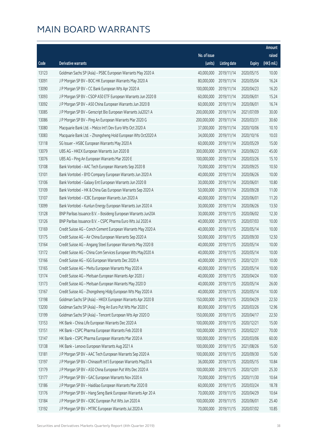|       |                                                               |              |                       |               | Amount      |
|-------|---------------------------------------------------------------|--------------|-----------------------|---------------|-------------|
|       |                                                               | No. of issue |                       |               | raised      |
| Code  | Derivative warrants                                           | (units)      | <b>Listing date</b>   | <b>Expiry</b> | (HK\$ mil.) |
| 13123 | Goldman Sachs SP (Asia) - PSBC European Warrants May 2020 A   | 40,000,000   | 2019/11/14            | 2020/05/15    | 10.00       |
| 13091 | J P Morgan SP BV - BOC HK European Warrants May 2020 A        | 80,000,000   | 2019/11/14            | 2020/05/04    | 16.24       |
| 13090 | J P Morgan SP BV - CC Bank European Wts Apr 2020 A            | 100,000,000  | 2019/11/14            | 2020/04/23    | 16.20       |
| 13093 | J P Morgan SP BV - CSOP A50 ETF European Warrants Jun 2020 B  | 60,000,000   | 2019/11/14            | 2020/06/01    | 15.24       |
| 13092 | J P Morgan SP BV - A50 China European Warrants Jun 2020 B     | 60,000,000   | 2019/11/14            | 2020/06/01    | 16.74       |
| 13085 | J P Morgan SP BV - Genscript Bio European Warrants Jul2021 A  | 200,000,000  | 2019/11/14            | 2021/07/09    | 30.00       |
| 13086 | J P Morgan SP BV - Ping An European Warrants Mar 2020 G       | 200,000,000  | 2019/11/14            | 2020/03/31    | 30.60       |
| 13080 | Macquarie Bank Ltd. - Melco Int'l Dev Euro Wts Oct 2020 A     | 37,000,000   | 2019/11/14            | 2020/10/06    | 10.10       |
| 13083 | Macquarie Bank Ltd. - Zhongsheng Hold European Wts Oct2020 A  | 34,000,000   | 2019/11/14            | 2020/10/16    | 10.03       |
| 13118 | SG Issuer - HSBC European Warrants May 2020 A                 | 60,000,000   | 2019/11/14            | 2020/05/29    | 15.00       |
| 13079 | UBS AG - HKEX European Warrants Jun 2020 B                    | 300,000,000  | 2019/11/14            | 2020/06/23    | 45.00       |
| 13076 | UBS AG - Ping An European Warrants Mar 2020 E                 | 100,000,000  | 2019/11/14            | 2020/03/26    | 15.10       |
| 13108 | Bank Vontobel - AAC Tech European Warrants Sep 2020 B         | 70,000,000   | 2019/11/14            | 2020/09/25    | 10.50       |
| 13101 | Bank Vontobel - BYD Company European Warrants Jun 2020 A      | 40,000,000   | 2019/11/14            | 2020/06/26    | 10.00       |
| 13106 | Bank Vontobel - Galaxy Ent European Warrants Jun 2020 B       | 30,000,000   | 2019/11/14            | 2020/06/01    | 10.80       |
| 13109 | Bank Vontobel - HK & China Gas European Warrants Sep 2020 A   | 50,000,000   | 2019/11/14            | 2020/09/28    | 11.00       |
| 13107 | Bank Vontobel - ICBC European Warrants Jun 2020 A             | 40,000,000   | 2019/11/14            | 2020/06/01    | 11.20       |
| 13099 | Bank Vontobel - Kunlun Energy European Warrants Jun 2020 A    | 30,000,000   | 2019/11/14            | 2020/06/26    | 13.50       |
| 13128 | BNP Paribas Issuance B.V. - Bosideng European Warrants Jun20A | 30,000,000   | 2019/11/15            | 2020/06/02    | 12.30       |
| 13126 | BNP Paribas Issuance B.V. - CSPC Pharma Euro Wts Jul 2020 A   | 40,000,000   | 2019/11/15            | 2020/07/03    | 10.00       |
| 13169 | Credit Suisse AG - Conch Cement European Warrants May 2020 A  | 40,000,000   | 2019/11/15            | 2020/05/14    | 10.00       |
| 13175 | Credit Suisse AG - Air China European Warrants Sep 2020 A     | 50,000,000   | 2019/11/15            | 2020/09/30    | 12.50       |
| 13164 | Credit Suisse AG - Angang Steel European Warrants May 2020 B  | 40,000,000   | 2019/11/15            | 2020/05/14    | 10.00       |
| 13172 | Credit Suisse AG - China Com Services European Wts May2020 A  | 40,000,000   | 2019/11/15            | 2020/05/14    | 10.00       |
| 13166 | Credit Suisse AG - IGG European Warrants Dec 2020 A           | 40,000,000   | 2019/11/15            | 2020/12/31    | 10.00       |
| 13165 | Credit Suisse AG - Meitu European Warrants May 2020 A         | 40,000,000   | 2019/11/15            | 2020/05/14    | 10.00       |
| 13174 | Credit Suisse AG - Meituan European Warrants Apr 2020 J       |              | 40,000,000 2019/11/15 | 2020/04/24    | 10.00       |
| 13173 | Credit Suisse AG - Meituan European Warrants May 2020 D       | 40,000,000   | 2019/11/15            | 2020/05/14    | 26.00       |
| 13167 | Credit Suisse AG - Zhongsheng Hldg European Wts May 2020 A    | 40,000,000   | 2019/11/15            | 2020/05/14    | 10.00       |
| 13198 | Goldman Sachs SP (Asia) - HKEX European Warrants Apr 2020 B   | 150,000,000  | 2019/11/15            | 2020/04/29    | 22.50       |
| 13200 | Goldman Sachs SP (Asia) - Ping An Euro Put Wts Mar 2020 C     | 80,000,000   | 2019/11/15            | 2020/03/26    | 12.96       |
| 13199 | Goldman Sachs SP (Asia) - Tencent European Wts Apr 2020 D     | 150,000,000  | 2019/11/15            | 2020/04/17    | 22.50       |
| 13153 | HK Bank - China Life European Warrants Dec 2020 A             | 100,000,000  | 2019/11/15            | 2020/12/21    | 15.00       |
| 13151 | HK Bank - CSPC Pharma European Warrants Feb 2020 B            | 100,000,000  | 2019/11/15            | 2020/02/27    | 70.00       |
| 13147 | HK Bank - CSPC Pharma European Warrants Mar 2020 A            | 100,000,000  | 2019/11/15            | 2020/03/06    | 60.00       |
| 13138 | HK Bank - Lenovo European Warrants Aug 2021 A                 | 100,000,000  | 2019/11/15            | 2021/08/26    | 15.00       |
| 13181 | J P Morgan SP BV - AAC Tech European Warrants Sep 2020 A      | 100,000,000  | 2019/11/15            | 2020/09/30    | 15.00       |
| 13197 | J P Morgan SP BV - Chinasoft Int'l European Warrants May20 A  | 36,000,000   | 2019/11/15            | 2020/05/15    | 10.84       |
| 13179 | J P Morgan SP BV - A50 China European Put Wts Dec 2020 A      | 100,000,000  | 2019/11/15            | 2020/12/01    | 25.30       |
| 13177 | J P Morgan SP BV - GAC European Warrants Nov 2020 A           | 70,000,000   | 2019/11/15            | 2020/11/30    | 10.64       |
| 13186 | J P Morgan SP BV - Haidilao European Warrants Mar 2020 B      | 60,000,000   | 2019/11/15            | 2020/03/24    | 18.78       |
| 13176 | J P Morgan SP BV - Hang Seng Bank European Warrants Apr 20 A  | 70,000,000   | 2019/11/15            | 2020/04/29    | 10.64       |
| 13184 | J P Morgan SP BV - ICBC European Put Wts Jun 2020 A           | 100,000,000  | 2019/11/15            | 2020/06/01    | 25.40       |
| 13192 | J P Morgan SP BV - MTRC European Warrants Jul 2020 A          | 70,000,000   | 2019/11/15            | 2020/07/02    | 10.85       |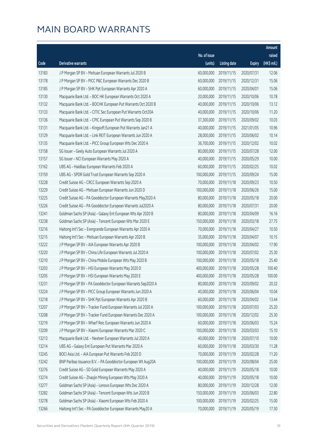|       |                                                              |                        |                     |               | Amount      |
|-------|--------------------------------------------------------------|------------------------|---------------------|---------------|-------------|
|       |                                                              | No. of issue           |                     |               | raised      |
| Code  | Derivative warrants                                          | (units)                | <b>Listing date</b> | <b>Expiry</b> | (HK\$ mil.) |
| 13183 | J P Morgan SP BV - Meituan European Warrants Jul 2020 B      | 60,000,000             | 2019/11/15          | 2020/07/31    | 12.06       |
| 13178 | J P Morgan SP BV - PICC P&C European Warrants Dec 2020 B     | 60,000,000             | 2019/11/15          | 2020/12/31    | 15.06       |
| 13185 | J P Morgan SP BV - SHK Ppt European Warrants Apr 2020 A      | 60,000,000             | 2019/11/15          | 2020/04/01    | 15.06       |
| 13130 | Macquarie Bank Ltd. - BOC HK European Warrants Oct 2020 A    | 20,000,000             | 2019/11/15          | 2020/10/06    | 10.78       |
| 13132 | Macquarie Bank Ltd. - BOCHK European Put Warrants Oct 2020 B | 40,000,000             | 2019/11/15          | 2020/10/06    | 13.12       |
| 13133 | Macquarie Bank Ltd. - CITIC Sec European Put Warrants Oct20A | 40,000,000             | 2019/11/15          | 2020/10/06    | 11.20       |
| 13136 | Macquarie Bank Ltd. - CPIC European Put Warrants Sep 2020 B  | 37,300,000             | 2019/11/15          | 2020/09/02    | 10.03       |
| 13131 | Macquarie Bank Ltd. - Kingsoft European Put Warrants Jan21 A | 40,000,000             | 2019/11/15          | 2021/01/05    | 10.96       |
| 13129 | Macquarie Bank Ltd. - Link REIT European Warrants Jun 2020 A | 28,000,000             | 2019/11/15          | 2020/06/02    | 10.14       |
| 13135 | Macquarie Bank Ltd. - PICC Group European Wts Dec 2020 A     | 36,700,000             | 2019/11/15          | 2020/12/02    | 10.02       |
| 13158 | SG Issuer - Geely Auto European Warrants Jul 2020 A          | 80,000,000             | 2019/11/15          | 2020/07/28    | 12.00       |
| 13157 | SG Issuer - NCI European Warrants May 2020 A                 | 40,000,000             | 2019/11/15          | 2020/05/29    | 10.00       |
| 13162 | UBS AG - Haidilao European Warrants Feb 2020 A               | 60,000,000             | 2019/11/15          | 2020/02/25    | 10.02       |
| 13159 | UBS AG - SPDR Gold Trust European Warrants Sep 2020 A        | 100,000,000            | 2019/11/15          | 2020/09/24    | 15.00       |
| 13228 | Credit Suisse AG - CRCC European Warrants Sep 2020 A         | 70,000,000             | 2019/11/18          | 2020/09/23    | 10.50       |
| 13229 | Credit Suisse AG - Meituan European Warrants Jun 2020 D      | 100,000,000            | 2019/11/18          | 2020/06/26    | 15.00       |
| 13225 | Credit Suisse AG - PA Gooddoctor European Warrants May2020 A | 80,000,000             | 2019/11/18          | 2020/05/18    | 20.00       |
| 13226 | Credit Suisse AG - PA Gooddoctor European Warrants Jul2020 A | 80,000,000             | 2019/11/18          | 2020/07/31    | 20.00       |
| 13241 | Goldman Sachs SP (Asia) - Galaxy Ent European Wts Apr 2020 B | 80,000,000             | 2019/11/18          | 2020/04/09    | 16.16       |
| 13238 | Goldman Sachs SP (Asia) - Tencent European Wts Mar 2020 E    | 150,000,000            | 2019/11/18          | 2020/03/18    | 27.75       |
| 13216 | Haitong Int'l Sec - Evergrande European Warrants Apr 2020 A  | 70,000,000             | 2019/11/18          | 2020/04/27    | 10.50       |
| 13215 | Haitong Int'l Sec - Meituan European Warrants Apr 2020 B     | 35,000,000             | 2019/11/18          | 2020/04/07    | 10.15       |
| 13222 | J P Morgan SP BV - AIA European Warrants Apr 2020 B          | 100,000,000            | 2019/11/18          | 2020/04/02    | 17.90       |
| 13220 | J P Morgan SP BV - China Life European Warrants Jul 2020 A   | 100,000,000            | 2019/11/18          | 2020/07/02    | 25.30       |
| 13210 | J P Morgan SP BV - China Mobile European Wts May 2020 B      | 100,000,000            | 2019/11/18          | 2020/05/18    | 25.40       |
| 13203 | J P Morgan SP BV - HSI European Warrants May 2020 D          | 400,000,000            | 2019/11/18          | 2020/05/28    | 100.40      |
| 13205 | J P Morgan SP BV - HSI European Warrants May 2020 E          | 400,000,000 2019/11/18 |                     | 2020/05/28    | 100.00      |
| 13231 | J P Morgan SP BV - PA Gooddoctor European Warrants Sep2020 A | 80,000,000             | 2019/11/18          | 2020/09/02    | 20.32       |
| 13224 | J P Morgan SP BV - PICC Group European Warrants Jun 2020 A   | 40,000,000             | 2019/11/18          | 2020/06/04    | 10.04       |
| 13218 | J P Morgan SP BV - SHK Ppt European Warrants Apr 2020 B      | 60,000,000             | 2019/11/18          | 2020/04/02    | 13.44       |
| 13207 | J P Morgan SP BV - Tracker Fund European Warrants Jul 2020 A | 100,000,000            | 2019/11/18          | 2020/07/03    | 25.20       |
| 13208 | J P Morgan SP BV - Tracker Fund European Warrants Dec 2020 A | 100,000,000            | 2019/11/18          | 2020/12/02    | 25.30       |
| 13219 | J P Morgan SP BV - Wharf Reic European Warrants Jun 2020 A   | 60,000,000             | 2019/11/18          | 2020/06/03    | 15.24       |
| 13209 | J P Morgan SP BV - Xiaomi European Warrants Mar 2020 C       | 100,000,000            | 2019/11/18          | 2020/03/03    | 15.10       |
| 13213 | Macquarie Bank Ltd. - Nexteer European Warrants Jul 2020 A   | 40,000,000             | 2019/11/18          | 2020/07/10    | 10.00       |
| 13214 | UBS AG - Galaxy Ent European Put Warrants Mar 2020 A         | 60,000,000             | 2019/11/18          | 2020/03/30    | 11.28       |
| 13245 | BOCI Asia Ltd. - AIA European Put Warrants Feb 2020 D        | 70,000,000             | 2019/11/19          | 2020/02/28    | 11.20       |
| 13242 | BNP Paribas Issuance B.V. - PA Gooddoctor European Wt Aug20A | 100,000,000            | 2019/11/19          | 2020/08/04    | 25.00       |
| 13276 | Credit Suisse AG - SD Gold European Warrants May 2020 A      | 40,000,000             | 2019/11/19          | 2020/05/18    | 10.00       |
| 13274 | Credit Suisse AG - Zhaojin Mining European Wts May 2020 A    | 40,000,000             | 2019/11/19          | 2020/05/18    | 10.00       |
| 13277 | Goldman Sachs SP (Asia) - Lenovo European Wts Dec 2020 A     | 80,000,000             | 2019/11/19          | 2020/12/28    | 12.00       |
| 13282 | Goldman Sachs SP (Asia) - Tencent European Wts Jun 2020 B    | 150,000,000            | 2019/11/19          | 2020/06/03    | 22.80       |
| 13278 | Goldman Sachs SP (Asia) - Xiaomi European Wts Feb 2020 A     | 100,000,000            | 2019/11/19          | 2020/02/25    | 15.00       |
| 13266 | Haitong Int'l Sec - PA Gooddoctor European Warrants May20 A  | 70,000,000             | 2019/11/19          | 2020/05/19    | 17.50       |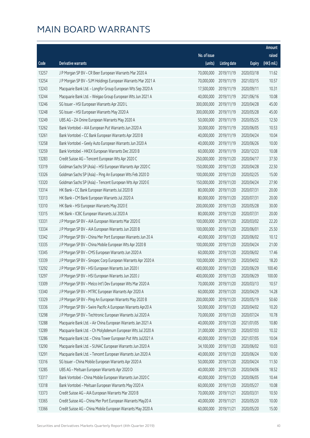|       |                                                              |              |                        |               | Amount      |
|-------|--------------------------------------------------------------|--------------|------------------------|---------------|-------------|
|       |                                                              | No. of issue |                        |               | raised      |
| Code  | Derivative warrants                                          | (units)      | <b>Listing date</b>    | <b>Expiry</b> | (HK\$ mil.) |
| 13257 | J P Morgan SP BV - CR Beer European Warrants Mar 2020 A      | 70,000,000   | 2019/11/19             | 2020/03/18    | 11.62       |
| 13254 | J P Morgan SP BV - SJM Holdings European Warrants Mar 2021 A | 70,000,000   | 2019/11/19             | 2021/03/15    | 10.57       |
| 13243 | Macquarie Bank Ltd. - Longfor Group European Wts Sep 2020 A  | 17,500,000   | 2019/11/19             | 2020/09/11    | 10.31       |
| 13244 | Macquarie Bank Ltd. - Weigao Group European Wts Jun 2021 A   | 40,000,000   | 2019/11/19             | 2021/06/16    | 10.08       |
| 13246 | SG Issuer - HSI European Warrants Apr 2020 L                 | 300,000,000  | 2019/11/19             | 2020/04/28    | 45.00       |
| 13248 | SG Issuer - HSI European Warrants May 2020 A                 | 300,000,000  | 2019/11/19             | 2020/05/28    | 45.00       |
| 13249 | UBS AG - ZA Onine European Warrants May 2020 A               | 50,000,000   | 2019/11/19             | 2020/05/25    | 12.50       |
| 13262 | Bank Vontobel - AIA European Put Warrants Jun 2020 A         | 30,000,000   | 2019/11/19             | 2020/06/05    | 10.53       |
| 13261 | Bank Vontobel - CC Bank European Warrants Apr 2020 B         | 40,000,000   | 2019/11/19             | 2020/04/24    | 10.04       |
| 13258 | Bank Vontobel - Geely Auto European Warrants Jun 2020 A      | 40,000,000   | 2019/11/19             | 2020/06/26    | 10.00       |
| 13259 | Bank Vontobel - HKEX European Warrants Dec 2020 B            | 60,000,000   | 2019/11/19             | 2020/12/23    | 10.08       |
| 13283 | Credit Suisse AG - Tencent European Wts Apr 2020 C           | 250,000,000  | 2019/11/20             | 2020/04/17    | 37.50       |
| 13319 | Goldman Sachs SP (Asia) - HSI European Warrants Apr 2020 C   | 150,000,000  | 2019/11/20             | 2020/04/28    | 22.50       |
| 13326 | Goldman Sachs SP (Asia) - Ping An European Wts Feb 2020 D    | 100,000,000  | 2019/11/20             | 2020/02/25    | 15.00       |
| 13320 | Goldman Sachs SP (Asia) - Tencent European Wts Apr 2020 E    | 150,000,000  | 2019/11/20             | 2020/04/24    | 27.90       |
| 13314 | HK Bank - CC Bank European Warrants Jul 2020 B               | 80,000,000   | 2019/11/20             | 2020/07/31    | 20.00       |
| 13313 | HK Bank - CM Bank European Warrants Jul 2020 A               | 80,000,000   | 2019/11/20             | 2020/07/31    | 20.00       |
| 13310 | HK Bank - HSI European Warrants May 2020 E                   | 200,000,000  | 2019/11/20             | 2020/05/28    | 30.00       |
| 13315 | HK Bank - ICBC European Warrants Jul 2020 A                  | 80,000,000   | 2019/11/20             | 2020/07/31    | 20.00       |
| 13331 | J P Morgan SP BV - AIA European Warrants Mar 2020 E          | 100,000,000  | 2019/11/20             | 2020/03/02    | 22.20       |
| 13334 | J P Morgan SP BV - AIA European Warrants Jun 2020 B          | 100,000,000  | 2019/11/20             | 2020/06/01    | 25.50       |
| 13342 | J P Morgan SP BV - China Mer Port European Warrants Jun 20 A | 40,000,000   | 2019/11/20             | 2020/06/02    | 10.12       |
| 13335 | J P Morgan SP BV - China Mobile European Wts Apr 2020 B      | 100,000,000  | 2019/11/20             | 2020/04/24    | 21.00       |
| 13345 | J P Morgan SP BV - CMS European Warrants Jun 2020 A          | 60,000,000   | 2019/11/20             | 2020/06/02    | 17.46       |
| 13339 | J P Morgan SP BV - Sinopec Corp European Warrants Apr 2020 A | 100,000,000  | 2019/11/20             | 2020/04/02    | 18.20       |
| 13292 | J P Morgan SP BV - HSI European Warrants Jun 2020 I          | 400,000,000  | 2019/11/20             | 2020/06/29    | 100.40      |
| 13297 | J P Morgan SP BV - HSI European Warrants Jun 2020 J          |              | 400,000,000 2019/11/20 | 2020/06/29    | 100.00      |
| 13309 | J P Morgan SP BV - Melco Int'l Dev European Wts Mar 2020 A   | 70,000,000   | 2019/11/20             | 2020/03/13    | 10.57       |
| 13340 | J P Morgan SP BV - MTRC European Warrants Apr 2020 A         | 60,000,000   | 2019/11/20             | 2020/04/29    | 14.28       |
| 13329 | J P Morgan SP BV - Ping An European Warrants May 2020 B      | 200,000,000  | 2019/11/20             | 2020/05/19    | 50.60       |
| 13336 | J P Morgan SP BV - Swire Pacific A European Warrants Apr20 A | 50,000,000   | 2019/11/20             | 2020/04/02    | 10.20       |
| 13298 | J P Morgan SP BV - Techtronic European Warrants Jul 2020 A   | 70,000,000   | 2019/11/20             | 2020/07/24    | 10.78       |
| 13288 | Macquarie Bank Ltd. - Air China European Warrants Jan 2021 A | 40,000,000   | 2019/11/20             | 2021/01/05    | 10.80       |
| 13289 | Macquarie Bank Ltd. - Ch Molybdenum European Wts Jul 2020 A  | 31,000,000   | 2019/11/20             | 2020/07/03    | 10.32       |
| 13286 | Macquarie Bank Ltd. - China Tower European Put Wts Jul2021 A | 40,000,000   | 2019/11/20             | 2021/07/05    | 10.04       |
| 13290 | Macquarie Bank Ltd. - SUNAC European Warrants Jun 2020 A     | 34,100,000   | 2019/11/20             | 2020/06/02    | 10.03       |
| 13291 | Macquarie Bank Ltd. - Tencent European Warrants Jun 2020 A   | 40,000,000   | 2019/11/20             | 2020/06/24    | 10.00       |
| 13316 | SG Issuer - China Mobile European Warrants Apr 2020 A        | 50,000,000   | 2019/11/20             | 2020/04/24    | 11.50       |
| 13285 | UBS AG - Meituan European Warrants Apr 2020 D                | 40,000,000   | 2019/11/20             | 2020/04/06    | 18.52       |
| 13317 | Bank Vontobel - China Mobile European Warrants Jun 2020 C    | 40,000,000   | 2019/11/20             | 2020/06/05    | 10.44       |
| 13318 | Bank Vontobel - Meituan European Warrants May 2020 A         | 60,000,000   | 2019/11/20             | 2020/05/27    | 10.08       |
| 13373 | Credit Suisse AG - AIA European Warrants Mar 2020 B          | 70,000,000   | 2019/11/21             | 2020/03/31    | 10.50       |
| 13365 | Credit Suisse AG - China Mer Port European Warrants May20 A  | 40,000,000   | 2019/11/21             | 2020/05/20    | 10.00       |
| 13366 | Credit Suisse AG - China Mobile European Warrants May 2020 A | 60,000,000   | 2019/11/21             | 2020/05/20    | 15.00       |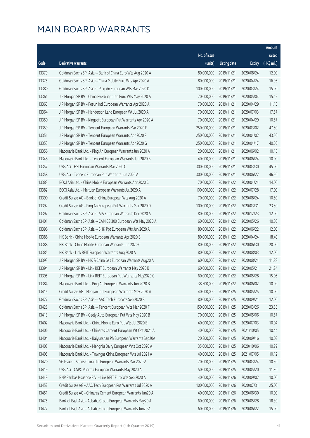|       |                                                              |              |                       |               | Amount      |
|-------|--------------------------------------------------------------|--------------|-----------------------|---------------|-------------|
|       |                                                              | No. of issue |                       |               | raised      |
| Code  | Derivative warrants                                          | (units)      | <b>Listing date</b>   | <b>Expiry</b> | (HK\$ mil.) |
| 13379 | Goldman Sachs SP (Asia) - Bank of China Euro Wts Aug 2020 A  | 80,000,000   | 2019/11/21            | 2020/08/24    | 12.00       |
| 13375 | Goldman Sachs SP (Asia) - China Mobile Euro Wts Apr 2020 A   | 80,000,000   | 2019/11/21            | 2020/04/24    | 16.96       |
| 13380 | Goldman Sachs SP (Asia) - Ping An European Wts Mar 2020 D    | 100,000,000  | 2019/11/21            | 2020/03/24    | 15.00       |
| 13361 | J P Morgan SP BV - China Everbright Ltd Euro Wts May 2020 A  | 70,000,000   | 2019/11/21            | 2020/05/04    | 15.12       |
| 13363 | J P Morgan SP BV - Fosun Intl European Warrants Apr 2020 A   | 70,000,000   | 2019/11/21            | 2020/04/29    | 11.13       |
| 13364 | J P Morgan SP BV - Henderson Land European Wt Jul 2020 A     | 70,000,000   | 2019/11/21            | 2020/07/03    | 17.57       |
| 13350 | J P Morgan SP BV - Kingsoft European Put Warrants Apr 2020 A | 70,000,000   | 2019/11/21            | 2020/04/29    | 10.57       |
| 13359 | J P Morgan SP BV - Tencent European Warrants Mar 2020 F      | 250,000,000  | 2019/11/21            | 2020/03/02    | 47.50       |
| 13351 | J P Morgan SP BV - Tencent European Warrants Apr 2020 F      | 250,000,000  | 2019/11/21            | 2020/04/02    | 43.50       |
| 13353 | J P Morgan SP BV - Tencent European Warrants Apr 2020 G      | 250,000,000  | 2019/11/21            | 2020/04/17    | 40.50       |
| 13356 | Macquarie Bank Ltd. - Ping An European Warrants Jun 2020 A   | 20,000,000   | 2019/11/21            | 2020/06/02    | 10.18       |
| 13348 | Macquarie Bank Ltd. - Tencent European Warrants Jun 2020 B   | 40,000,000   | 2019/11/21            | 2020/06/24    | 10.00       |
| 13357 | UBS AG - HSI European Warrants Mar 2020 C                    | 300,000,000  | 2019/11/21            | 2020/03/30    | 45.00       |
| 13358 | UBS AG - Tencent European Put Warrants Jun 2020 A            | 300,000,000  | 2019/11/21            | 2020/06/22    | 46.50       |
| 13383 | BOCI Asia Ltd. - China Mobile European Warrants Apr 2020 C   | 70,000,000   | 2019/11/22            | 2020/04/24    | 14.00       |
| 13382 | BOCI Asia Ltd. - Meituan European Warrants Jul 2020 A        | 100,000,000  | 2019/11/22            | 2020/07/28    | 17.00       |
| 13390 | Credit Suisse AG - Bank of China European Wts Aug 2020 A     | 70,000,000   | 2019/11/22            | 2020/08/24    | 10.50       |
| 13392 | Credit Suisse AG - Ping An European Put Warrants Mar 2020 D  | 100,000,000  | 2019/11/22            | 2020/03/31    | 23.50       |
| 13397 | Goldman Sachs SP (Asia) - AIA European Warrants Dec 2020 A   | 80,000,000   | 2019/11/22            | 2020/12/23    | 12.00       |
| 13401 | Goldman Sachs SP (Asia) - CAM CSI300 European Wts May 2020 A | 60,000,000   | 2019/11/22            | 2020/05/26    | 10.80       |
| 13396 | Goldman Sachs SP (Asia) - SHK Ppt European Wts Jun 2020 A    | 80,000,000   | 2019/11/22            | 2020/06/22    | 12.00       |
| 13386 | HK Bank - China Mobile European Warrants Apr 2020 B          | 80,000,000   | 2019/11/22            | 2020/04/24    | 18.40       |
| 13388 | HK Bank - China Mobile European Warrants Jun 2020 C          | 80,000,000   | 2019/11/22            | 2020/06/30    | 20.00       |
| 13385 | HK Bank - Link REIT European Warrants Aug 2020 A             | 80,000,000   | 2019/11/22            | 2020/08/03    | 12.00       |
| 13393 | J P Morgan SP BV - HK & China Gas European Warrants Aug20 A  | 60,000,000   | 2019/11/22            | 2020/08/24    | 11.88       |
| 13394 | J P Morgan SP BV - Link REIT European Warrants May 2020 B    | 60,000,000   | 2019/11/22            | 2020/05/21    | 21.24       |
| 13395 | J P Morgan SP BV - Link REIT European Put Warrants May2020 C |              | 60,000,000 2019/11/22 | 2020/05/28    | 15.06       |
| 13384 | Macquarie Bank Ltd. - Ping An European Warrants Jun 2020 B   | 38,500,000   | 2019/11/22            | 2020/06/02    | 10.09       |
| 13415 | Credit Suisse AG - Hengan Intl European Warrants May 2020 A  | 40,000,000   | 2019/11/25            | 2020/05/25    | 10.00       |
| 13427 | Goldman Sachs SP (Asia) - AAC Tech Euro Wts Sep 2020 B       | 80,000,000   | 2019/11/25            | 2020/09/21    | 12.00       |
| 13428 | Goldman Sachs SP (Asia) - Tencent European Wts Mar 2020 F    | 150,000,000  | 2019/11/25            | 2020/03/26    | 23.55       |
| 13413 | J P Morgan SP BV - Geely Auto European Put Wts May 2020 B    | 70,000,000   | 2019/11/25            | 2020/05/06    | 10.57       |
| 13402 | Macquarie Bank Ltd. - China Mobile Euro Put Wts Jul 2020 B   | 40,000,000   | 2019/11/25            | 2020/07/03    | 10.04       |
| 13406 | Macquarie Bank Ltd. - Chinares Cement European Wt Oct 2021 A | 40,000,000   | 2019/11/25            | 2021/10/05    | 10.44       |
| 13404 | Macquarie Bank Ltd. - Baiyunshan Ph European Warrants Sep20A | 20,300,000   | 2019/11/25            | 2020/09/16    | 10.03       |
| 13408 | Macquarie Bank Ltd. - Mengniu Dairy European Wts Oct 2020 A  | 35,000,000   | 2019/11/25            | 2020/10/06    | 10.29       |
| 13405 | Macquarie Bank Ltd. - Towngas China European Wts Jul 2021 A  | 40,000,000   | 2019/11/25            | 2021/07/05    | 10.12       |
| 13420 | SG Issuer - Sands China Ltd European Warrants Mar 2020 A     | 70,000,000   | 2019/11/25            | 2020/03/24    | 10.50       |
| 13419 | UBS AG - CSPC Pharma European Warrants May 2020 A            | 50,000,000   | 2019/11/25            | 2020/05/20    | 11.30       |
| 13449 | BNP Paribas Issuance B.V. - Link REIT Euro Wts Sep 2020 A    | 40,000,000   | 2019/11/26            | 2020/09/02    | 10.00       |
| 13452 | Credit Suisse AG - AAC Tech European Put Warrants Jul 2020 A | 100,000,000  | 2019/11/26            | 2020/07/31    | 25.00       |
| 13451 | Credit Suisse AG - Chinares Cement European Warrants Jun20 A | 40,000,000   | 2019/11/26            | 2020/06/30    | 10.00       |
| 13475 | Bank of East Asia - Alibaba Group European Warrants May20 A  | 60,000,000   | 2019/11/26            | 2020/05/28    | 18.30       |
| 13477 | Bank of East Asia - Alibaba Group European Warrants Jun20 A  | 60,000,000   | 2019/11/26            | 2020/06/22    | 15.00       |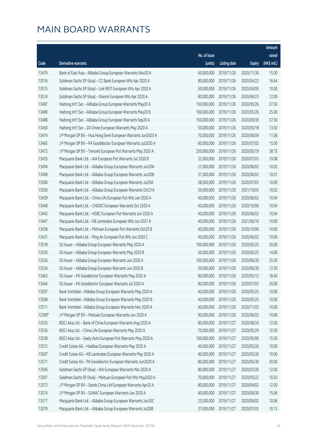|        |                                                              |              |                       |               | Amount      |
|--------|--------------------------------------------------------------|--------------|-----------------------|---------------|-------------|
|        |                                                              | No. of issue |                       |               | raised      |
| Code   | Derivative warrants                                          | (units)      | <b>Listing date</b>   | <b>Expiry</b> | (HK\$ mil.) |
| 13479  | Bank of East Asia - Alibaba Group European Warrants Nov20 A  | 60,000,000   | 2019/11/26            | 2020/11/30    | 15.00       |
| 13516  | Goldman Sachs SP (Asia) - CC Bank European Wts Apr 2020 A    | 80,000,000   | 2019/11/26            | 2020/04/23    | 16.64       |
| 13515  | Goldman Sachs SP (Asia) - Link REIT European Wts Apr 2020 A  | 50,000,000   | 2019/11/26            | 2020/04/09    | 10.00       |
| 13514  | Goldman Sachs SP (Asia) - Xiaomi European Wts Apr 2020 A     | 80,000,000   | 2019/11/26            | 2020/04/23    | 12.00       |
| 13487  | Haitong Int'l Sec - Alibaba Group European Warrants May20 A  | 150,000,000  | 2019/11/26            | 2020/05/26    | 37.50       |
| 13489  | Haitong Int'l Sec - Alibaba Group European Warrants May20 B  | 100,000,000  | 2019/11/26            | 2020/05/26    | 25.00       |
| 13488  | Haitong Int'l Sec - Alibaba Group European Warrants Sep20 A  | 150,000,000  | 2019/11/26            | 2020/09/30    | 37.50       |
| 13450  | Haitong Int'l Sec - ZA Onine European Warrants May 2020 A    | 50,000,000   | 2019/11/26            | 2020/05/18    | 13.50       |
| 13474  | J P Morgan SP BV - Hua Hong Semi European Warrants Jun2020 A | 70,000,000   | 2019/11/26            | 2020/06/09    | 11.06       |
| 13465  | J P Morgan SP BV - PA Gooddoctor European Warrants Jul2020 A | 60,000,000   | 2019/11/26            | 2020/07/02    | 15.00       |
| 13472  | J P Morgan SP BV - Tencent European Put Warrants May 2020 A  | 250,000,000  | 2019/11/26            | 2020/05/19    | 38.75       |
| 13435  | Macquarie Bank Ltd. - AIA European Put Warrants Jul 2020 B   | 32,000,000   | 2019/11/26            | 2020/07/03    | 10.08       |
| 13494  | Macquarie Bank Ltd. - Alibaba Group European Warrants Jun20A | 27,000,000   | 2019/11/26            | 2020/06/02    | 10.02       |
| 13498  | Macquarie Bank Ltd. - Alibaba Group European Warrants Jun20B | 37,500,000   | 2019/11/26            | 2020/06/02    | 10.01       |
| 13506  | Macquarie Bank Ltd. - Alibaba Group European Warrants Jul20A | 38,500,000   | 2019/11/26            | 2020/07/03    | 10.09       |
| 13500  | Macquarie Bank Ltd. - Alibaba Group European Warrants Oct21A | 39,000,000   | 2019/11/26            | 2021/10/05    | 10.02       |
| 13439  | Macquarie Bank Ltd. - China Life European Put Wts Jun 2020 A | 40,000,000   | 2019/11/26            | 2020/06/02    | 10.04       |
| 13448  | Macquarie Bank Ltd. - CNOOC European Warrants Oct 2020 A     | 40,000,000   | 2019/11/26            | 2020/10/06    | 10.04       |
| 13443  | Macquarie Bank Ltd. - HSBC European Put Warrants Jun 2020 A  | 40,000,000   | 2019/11/26            | 2020/06/02    | 10.04       |
| 13447  | Macquarie Bank Ltd. - KB Laminates European Wts Jun 2021 A   | 40,000,000   | 2019/11/26            | 2021/06/16    | 10.00       |
| 13438  | Macquarie Bank Ltd. - Meituan European Put Warrants Oct20 B  | 40,000,000   | 2019/11/26            | 2020/10/06    | 10.00       |
| 13431  | Macquarie Bank Ltd. - Ping An European Put Wts Jun 2020 C    | 40,000,000   | 2019/11/26            | 2020/06/02    | 10.00       |
| 13518  | SG Issuer - Alibaba Group European Warrants May 2020 A       | 100,000,000  | 2019/11/26            | 2020/05/25    | 26.00       |
| 13520  | SG Issuer - Alibaba Group European Warrants May 2020 B       | 50,000,000   | 2019/11/26            | 2020/05/25    | 14.00       |
| 13526  | SG Issuer - Alibaba Group European Warrants Jun 2020 A       | 100,000,000  | 2019/11/26            | 2020/06/30    | 25.00       |
| 13534  | SG Issuer - Alibaba Group European Warrants Jun 2020 B       | 50,000,000   | 2019/11/26            | 2020/06/30    | 12.50       |
| 13463  | SG Issuer - PA Gooddoctor European Warrants May 2020 A       |              | 80,000,000 2019/11/26 | 2020/05/12    | 18.40       |
| 13464  | SG Issuer - PA Gooddoctor European Warrants Jul 2020 A       | 80,000,000   | 2019/11/26            | 2020/07/03    | 20.00       |
| 13507  | Bank Vontobel - Alibaba Group European Warrants May 2020 A   | 40,000,000   | 2019/11/26            | 2020/05/25    | 10.00       |
| 13508  | Bank Vontobel - Alibaba Group European Warrants May 2020 B   | 40,000,000   | 2019/11/26            | 2020/05/25    | 10.00       |
| 13511  | Bank Vontobel - Alibaba Group European Warrants Nov 2020 A   | 40,000,000   | 2019/11/26            | 2020/11/03    | 10.00       |
| 12390# | J P Morgan SP BV - Meituan European Warrants Jun 2020 A      | 90,000,000   | 2019/11/26            | 2020/06/03    | 10.89       |
| 13535  | BOCI Asia Ltd. - Bank of China European Warrants Aug 2020 A  | 80,000,000   | 2019/11/27            | 2020/08/24    | 12.00       |
| 13536  | BOCI Asia Ltd. - China Life European Warrants May 2020 A     | 70,000,000   | 2019/11/27            | 2020/05/29    | 10.50       |
| 13538  | BOCI Asia Ltd. - Geely Auto European Put Warrants May 2020 A | 100,000,000  | 2019/11/27            | 2020/05/06    | 15.00       |
| 13572  | Credit Suisse AG - Haidilao European Warrants May 2020 A     | 40,000,000   | 2019/11/27            | 2020/05/26    | 10.00       |
| 13567  | Credit Suisse AG - KB Laminates European Warrants May 2020 A | 40,000,000   | 2019/11/27            | 2020/05/26    | 10.00       |
| 13571  | Credit Suisse AG - PA Gooddoctor European Warrants Jun2020 A | 80,000,000   | 2019/11/27            | 2020/06/30    | 20.00       |
| 13596  | Goldman Sachs SP (Asia) - AIA European Warrants Mar 2020 A   | 80,000,000   | 2019/11/27            | 2020/03/26    | 12.00       |
| 13597  | Goldman Sachs SP (Asia) - Meituan European Put Wts May2020 A | 70,000,000   | 2019/11/27            | 2020/05/22    | 10.50       |
| 13573  | J P Morgan SP BV - Sands China Ltd European Warrants Apr20 A | 80,000,000   | 2019/11/27            | 2020/04/02    | 12.00       |
| 13574  | J P Morgan SP BV - SUNAC European Warrants Jun 2020 A        | 60,000,000   | 2019/11/27            | 2020/06/30    | 15.06       |
| 13577  | Macquarie Bank Ltd. - Alibaba Group European Warrants Jun20C | 23,500,000   | 2019/11/27            | 2020/06/02    | 10.06       |
| 13579  | Macquarie Bank Ltd. - Alibaba Group European Warrants Jul20B | 37,500,000   | 2019/11/27            | 2020/07/03    | 10.13       |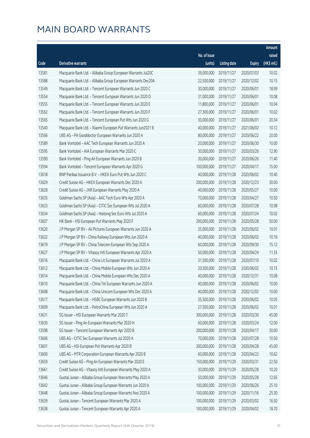|       |                                                              |              |                       |               | Amount      |
|-------|--------------------------------------------------------------|--------------|-----------------------|---------------|-------------|
|       |                                                              | No. of issue |                       |               | raised      |
| Code  | Derivative warrants                                          | (units)      | <b>Listing date</b>   | <b>Expiry</b> | (HK\$ mil.) |
| 13581 | Macquarie Bank Ltd. - Alibaba Group European Warrants Jul20C | 39,000,000   | 2019/11/27            | 2020/07/03    | 10.02       |
| 13588 | Macquarie Bank Ltd. - Alibaba Group European Warrants Dec20A | 22,500,000   | 2019/11/27            | 2020/12/02    | 10.15       |
| 13549 | Macquarie Bank Ltd. - Tencent European Warrants Jun 2020 C   | 30,000,000   | 2019/11/27            | 2020/06/01    | 18.99       |
| 13554 | Macquarie Bank Ltd. - Tencent European Warrants Jun 2020 D   | 31,000,000   | 2019/11/27            | 2020/06/01    | 10.08       |
| 13555 | Macquarie Bank Ltd. - Tencent European Warrants Jun 2020 E   | 11,800,000   | 2019/11/27            | 2020/06/01    | 10.04       |
| 13562 | Macquarie Bank Ltd. - Tencent European Warrants Jun 2020 F   | 27,300,000   | 2019/11/27            | 2020/06/01    | 10.02       |
| 13565 | Macquarie Bank Ltd. - Tencent European Put Wts Jun 2020 G    | 30,000,000   | 2019/11/27            | 2020/06/01    | 20.34       |
| 13540 | Macquarie Bank Ltd. - Xiaomi European Put Warrants Jun2021 B | 40,000,000   | 2019/11/27            | 2021/06/02    | 10.12       |
| 13566 | UBS AG - PA Gooddoctor European Warrants Jun 2020 A          | 80,000,000   | 2019/11/27            | 2020/06/22    | 20.00       |
| 13589 | Bank Vontobel - AAC Tech European Warrants Jun 2020 A        | 20,000,000   | 2019/11/27            | 2020/06/30    | 10.00       |
| 13595 | Bank Vontobel - AIA European Warrants Mar 2020 C             | 30,000,000   | 2019/11/27            | 2020/03/26    | 12.90       |
| 13590 | Bank Vontobel - Ping An European Warrants Jun 2020 B         | 30,000,000   | 2019/11/27            | 2020/06/26    | 11.40       |
| 13594 | Bank Vontobel - Tencent European Warrants Apr 2020 G         | 100,000,000  | 2019/11/27            | 2020/04/17    | 15.00       |
| 13618 | BNP Paribas Issuance B.V. - HKEX Euro Put Wts Jun 2020 C     | 40,000,000   | 2019/11/28            | 2020/06/02    | 10.40       |
| 13629 | Credit Suisse AG - HKEX European Warrants Dec 2020 A         | 200,000,000  | 2019/11/28            | 2020/12/23    | 30.00       |
| 13628 | Credit Suisse AG - JXR European Warrants May 2020 A          | 40,000,000   | 2019/11/28            | 2020/05/27    | 10.00       |
| 13635 | Goldman Sachs SP (Asia) - AAC Tech Euro Wts Apr 2020 A       | 70,000,000   | 2019/11/28            | 2020/04/27    | 10.50       |
| 13633 | Goldman Sachs SP (Asia) - CITIC Sec European Wts Jul 2020 A  | 60,000,000   | 2019/11/28            | 2020/07/28    | 10.98       |
| 13634 | Goldman Sachs SP (Asia) - Haitong Sec Euro Wts Jul 2020 A    | 60,000,000   | 2019/11/28            | 2020/07/24    | 10.02       |
| 13607 | HK Bank - HSI European Put Warrants May 2020 F               | 200,000,000  | 2019/11/28            | 2020/05/28    | 50.00       |
| 13620 | J P Morgan SP BV - Ali Pictures European Warrants Jun 2020 A | 35,000,000   | 2019/11/28            | 2020/06/02    | 10.01       |
| 13622 | J P Morgan SP BV - China Railway European Wts Jun 2020 A     | 40,000,000   | 2019/11/28            | 2020/06/02    | 10.16       |
| 13619 | J P Morgan SP BV - China Telecom European Wts Sep 2020 A     | 60,000,000   | 2019/11/28            | 2020/09/30    | 15.12       |
| 13627 | J P Morgan SP BV - Vitasoy Intl European Warrants Apr 2020 A | 50,000,000   | 2019/11/28            | 2020/04/24    | 11.55       |
| 13616 | Macquarie Bank Ltd. - China Lit European Warrants Jul 2020 A | 31,500,000   | 2019/11/28            | 2020/07/10    | 10.02       |
| 13612 | Macquarie Bank Ltd. - China Mobile European Wts Jun 2020 A   | 20,500,000   | 2019/11/28            | 2020/06/02    | 10.15       |
| 13614 | Macquarie Bank Ltd. - China Mobile European Wts Dec 2020 A   |              | 40,000,000 2019/11/28 | 2020/12/31    | 10.08       |
| 13610 | Macquarie Bank Ltd. - China Tel European Warrants Jun 2020 A | 40,000,000   | 2019/11/28            | 2020/06/02    | 10.00       |
| 13608 | Macquarie Bank Ltd. - China Unicom European Wts Dec 2020 A   | 40,000,000   | 2019/11/28            | 2020/12/02    | 10.00       |
| 13617 | Macquarie Bank Ltd. - HSBC European Warrants Jun 2020 B      | 35,500,000   | 2019/11/28            | 2020/06/02    | 10.05       |
| 13609 | Macquarie Bank Ltd. - PetroChina European Wts Jun 2020 A     | 27,500,000   | 2019/11/28            | 2020/06/02    | 10.01       |
| 13631 | SG Issuer - HSI European Warrants Mar 2020 T                 | 300,000,000  | 2019/11/28            | 2020/03/30    | 45.00       |
| 13630 | SG Issuer - Ping An European Warrants Mar 2020 H             | 60,000,000   | 2019/11/28            | 2020/03/24    | 12.00       |
| 13598 | SG Issuer - Tencent European Warrants Apr 2020 B             | 200,000,000  | 2019/11/28            | 2020/04/17    | 30.00       |
| 13606 | UBS AG - CITIC Sec European Warrants Jul 2020 A              | 70,000,000   | 2019/11/28            | 2020/07/28    | 10.50       |
| 13601 | UBS AG - HSI European Put Warrants Apr 2020 B                | 300,000,000  | 2019/11/28            | 2020/04/28    | 45.00       |
| 13600 | UBS AG - MTR Corporation European Warrants Apr 2020 B        | 60,000,000   | 2019/11/28            | 2020/04/22    | 10.62       |
| 13659 | Credit Suisse AG - Ping An European Warrants Mar 2020 E      | 150,000,000  | 2019/11/29            | 2020/03/31    | 22.50       |
| 13661 | Credit Suisse AG - Vitasoy Intl European Warrants May 2020 A | 30,000,000   | 2019/11/29            | 2020/05/28    | 10.20       |
| 13646 | Guotai Junan - Alibaba Group European Warrants May 2020 A    | 50,000,000   | 2019/11/29            | 2020/05/28    | 12.65       |
| 13642 | Guotai Junan - Alibaba Group European Warrants Jun 2020 A    | 100,000,000  | 2019/11/29            | 2020/06/26    | 25.10       |
| 13648 | Guotai Junan - Alibaba Group European Warrants Nov 2020 A    | 100,000,000  | 2019/11/29            | 2020/11/16    | 25.30       |
| 13639 | Guotai Junan - Tencent European Warrants Mar 2020 A          | 100,000,000  | 2019/11/29            | 2020/03/02    | 16.50       |
| 13638 | Guotai Junan - Tencent European Warrants Apr 2020 A          | 100,000,000  | 2019/11/29            | 2020/04/02    | 18.70       |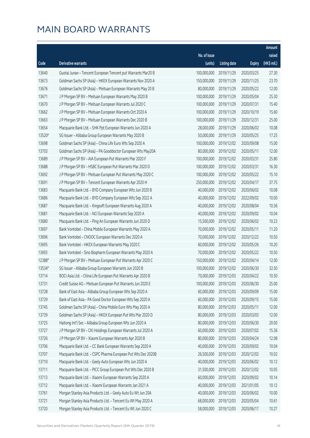|        |                                                              |              |                       |               | Amount      |
|--------|--------------------------------------------------------------|--------------|-----------------------|---------------|-------------|
|        |                                                              | No. of issue |                       |               | raised      |
| Code   | Derivative warrants                                          | (units)      | <b>Listing date</b>   | <b>Expiry</b> | (HK\$ mil.) |
| 13640  | Guotai Junan - Tencent European Tencent put Warrants Mar20 B | 100,000,000  | 2019/11/29            | 2020/03/25    | 27.30       |
| 13673  | Goldman Sachs SP (Asia) - HKEX European Warrants Nov 2020 A  | 150,000,000  | 2019/11/29            | 2020/11/25    | 23.70       |
| 13676  | Goldman Sachs SP (Asia) - Meituan European Warrants May 20 B | 80,000,000   | 2019/11/29            | 2020/05/22    | 12.00       |
| 13671  | J P Morgan SP BV - Meituan European Warrants May 2020 B      | 100,000,000  | 2019/11/29            | 2020/05/04    | 25.30       |
| 13670  | J P Morgan SP BV - Meituan European Warrants Jul 2020 C      | 100,000,000  | 2019/11/29            | 2020/07/31    | 15.40       |
| 13662  | J P Morgan SP BV - Meituan European Warrants Oct 2020 A      | 100,000,000  | 2019/11/29            | 2020/10/19    | 15.60       |
| 13663  | J P Morgan SP BV - Meituan European Warrants Dec 2020 B      | 100,000,000  | 2019/11/29            | 2020/12/31    | 25.00       |
| 13654  | Macquarie Bank Ltd. - SHK Ppt European Warrants Jun 2020 A   | 28,000,000   | 2019/11/29            | 2020/06/02    | 10.08       |
| 13520# | SG Issuer - Alibaba Group European Warrants May 2020 B       | 50,000,000   | 2019/11/29            | 2020/05/25    | 17.25       |
| 13698  | Goldman Sachs SP (Asia) - China Life Euro Wts Sep 2020 A     | 100,000,000  | 2019/12/02            | 2020/09/08    | 15.00       |
| 13703  | Goldman Sachs SP (Asia) - PA Gooddoctor European Wts May20A  | 80,000,000   | 2019/12/02            | 2020/05/11    | 12.00       |
| 13689  | J P Morgan SP BV - AIA European Put Warrants Mar 2020 F      | 100,000,000  | 2019/12/02            | 2020/03/31    | 25.80       |
| 13688  | J P Morgan SP BV - HSBC European Put Warrants Mar 2020 D     | 100,000,000  | 2019/12/02            | 2020/03/31    | 16.30       |
| 13692  | J P Morgan SP BV - Meituan European Put Warrants May 2020 C  | 100,000,000  | 2019/12/02            | 2020/05/22    | 15.10       |
| 13691  | J P Morgan SP BV - Tencent European Warrants Apr 2020 H      | 250,000,000  | 2019/12/02            | 2020/04/17    | 37.75       |
| 13683  | Macquarie Bank Ltd. - BYD Company European Wts Jun 2020 B    | 40,000,000   | 2019/12/02            | 2020/06/02    | 10.08       |
| 13686  | Macquarie Bank Ltd. - BYD Company European Wts Sep 2022 A    | 40,000,000   | 2019/12/02            | 2022/09/02    | 10.00       |
| 13687  | Macquarie Bank Ltd. - Kingsoft European Warrants Aug 2020 A  | 40,000,000   | 2019/12/02            | 2020/08/04    | 10.36       |
| 13681  | Macquarie Bank Ltd. - NCI European Warrants Sep 2020 A       | 40,000,000   | 2019/12/02            | 2020/09/02    | 10.04       |
| 13680  | Macquarie Bank Ltd. - Ping An European Warrants Jun 2020 D   | 15,500,000   | 2019/12/02            | 2020/06/02    | 10.23       |
| 13697  | Bank Vontobel - China Mobile European Warrants May 2020 A    | 70,000,000   | 2019/12/02            | 2020/05/11    | 11.20       |
| 13696  | Bank Vontobel - CNOOC European Warrants Dec 2020 A           | 70,000,000   | 2019/12/02            | 2020/12/22    | 10.50       |
| 13695  | Bank Vontobel - HKEX European Warrants May 2020 C            | 60,000,000   | 2019/12/02            | 2020/05/26    | 10.20       |
| 13693  | Bank Vontobel - Sino Biopharm European Warrants May 2020 A   | 70,000,000   | 2019/12/02            | 2020/05/22    | 10.50       |
| 12388# | J P Morgan SP BV - Meituan European Put Warrants Apr 2020 C  | 150,000,000  | 2019/12/02            | 2020/04/14    | 12.00       |
| 13534# | SG Issuer - Alibaba Group European Warrants Jun 2020 B       | 100,000,000  | 2019/12/02            | 2020/06/30    | 32.50       |
| 13714  | BOCI Asia Ltd. - China Life European Put Warrants Apr 2020 B |              | 70,000,000 2019/12/03 | 2020/04/22    | 10.50       |
| 13731  | Credit Suisse AG - Meituan European Put Warrants Jun 2020 E  | 100,000,000  | 2019/12/03            | 2020/06/30    | 25.00       |
| 13728  | Bank of East Asia - Alibaba Group European Wts Sep 2020 A    | 60,000,000   | 2019/12/03            | 2020/09/09    | 15.00       |
| 13729  | Bank of East Asia - PA Good Doctor European Wts Sep 2020 A   | 60,000,000   | 2019/12/03            | 2020/09/15    | 15.00       |
| 13745  | Goldman Sachs SP (Asia) - China Mobile Euro Wts May 2020 A   | 80,000,000   | 2019/12/03            | 2020/05/11    | 12.00       |
| 13739  | Goldman Sachs SP (Asia) - HKEX European Put Wts Mar 2020 D   | 80,000,000   | 2019/12/03            | 2020/03/03    | 12.00       |
| 13725  | Haitong Int'l Sec - Alibaba Group European Wts Jun 2020 A    | 80,000,000   | 2019/12/03            | 2020/06/30    | 20.00       |
| 13727  | J P Morgan SP BV - CKI Holdings European Warrants Jul 2020 A | 60,000,000   | 2019/12/03            | 2020/07/02    | 15.36       |
| 13726  | J P Morgan SP BV - Xiaomi European Warrants Apr 2020 B       | 80,000,000   | 2019/12/03            | 2020/04/24    | 12.08       |
| 13706  | Macquarie Bank Ltd. - CC Bank European Warrants Sep 2020 A   | 40,000,000   | 2019/12/03            | 2020/09/02    | 10.04       |
| 13707  | Macquarie Bank Ltd. - CSPC Pharma European Put Wts Dec 2020B | 26,500,000   | 2019/12/03            | 2020/12/02    | 10.02       |
| 13710  | Macquarie Bank Ltd. - Geely Auto European Wts Jun 2020 A     | 40,000,000   | 2019/12/03            | 2020/06/02    | 10.12       |
| 13711  | Macquarie Bank Ltd. - PICC Group European Put Wts Dec 2020 B | 31,500,000   | 2019/12/03            | 2020/12/02    | 10.05       |
| 13713  | Macquarie Bank Ltd. - Xiaomi European Warrants Sep 2020 A    | 60,000,000   | 2019/12/03            | 2020/09/02    | 10.14       |
| 13712  | Macquarie Bank Ltd. - Xiaomi European Warrants Jan 2021 A    | 40,000,000   | 2019/12/03            | 2021/01/05    | 10.12       |
| 13761  | Morgan Stanley Asia Products Ltd. - Geely Auto Eu Wt Jun 20A | 40,000,000   | 2019/12/03            | 2020/06/02    | 10.00       |
| 13721  | Morgan Stanley Asia Products Ltd. - Tencent Eu Wt May 2020 A | 68,000,000   | 2019/12/03            | 2020/05/04    | 10.61       |
| 13720  | Morgan Stanley Asia Products Ltd. - Tencent Eu Wt Jun 2020 C | 58,000,000   | 2019/12/03            | 2020/06/17    | 10.27       |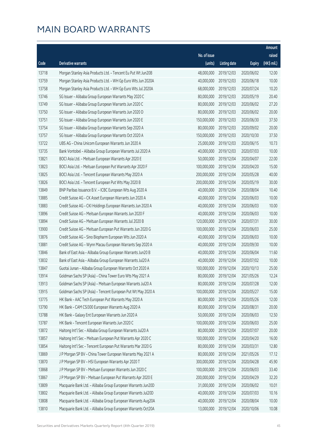|       |                                                              |              |                       |               | Amount      |
|-------|--------------------------------------------------------------|--------------|-----------------------|---------------|-------------|
|       |                                                              | No. of issue |                       |               | raised      |
| Code  | Derivative warrants                                          | (units)      | <b>Listing date</b>   | <b>Expiry</b> | (HK\$ mil.) |
| 13718 | Morgan Stanley Asia Products Ltd. - Tencent Eu Put Wt Jun20B | 48,000,000   | 2019/12/03            | 2020/06/02    | 12.00       |
| 13759 | Morgan Stanley Asia Products Ltd. - WH Gp Euro Wts Jun 2020A | 40,000,000   | 2019/12/03            | 2020/06/18    | 10.00       |
| 13758 | Morgan Stanley Asia Products Ltd. - WH Gp Euro Wts Jul 2020A | 68,000,000   | 2019/12/03            | 2020/07/24    | 10.20       |
| 13746 | SG Issuer - Alibaba Group European Warrants May 2020 C       | 80,000,000   | 2019/12/03            | 2020/05/19    | 20.40       |
| 13749 | SG Issuer - Alibaba Group European Warrants Jun 2020 C       | 80,000,000   | 2019/12/03            | 2020/06/02    | 27.20       |
| 13750 | SG Issuer - Alibaba Group European Warrants Jun 2020 D       | 80,000,000   | 2019/12/03            | 2020/06/02    | 20.00       |
| 13751 | SG Issuer - Alibaba Group European Warrants Jun 2020 E       | 150,000,000  | 2019/12/03            | 2020/06/30    | 37.50       |
| 13754 | SG Issuer - Alibaba Group European Warrants Sep 2020 A       | 80,000,000   | 2019/12/03            | 2020/09/02    | 20.00       |
| 13757 | SG Issuer - Alibaba Group European Warrants Oct 2020 A       | 150,000,000  | 2019/12/03            | 2020/10/30    | 37.50       |
| 13722 | UBS AG - China Unicom European Warrants Jun 2020 A           | 25,000,000   | 2019/12/03            | 2020/06/15    | 10.73       |
| 13735 | Bank Vontobel - Alibaba Group European Warrants Jul 2020 A   | 40,000,000   | 2019/12/03            | 2020/07/03    | 10.00       |
| 13821 | BOCI Asia Ltd. - Meituan European Warrants Apr 2020 E        | 50,000,000   | 2019/12/04            | 2020/04/07    | 22.00       |
| 13823 | BOCI Asia Ltd. - Meituan European Put Warrants Apr 2020 F    | 100,000,000  | 2019/12/04            | 2020/04/20    | 15.00       |
| 13825 | BOCI Asia Ltd. - Tencent European Warrants May 2020 A        | 200,000,000  | 2019/12/04            | 2020/05/28    | 40.00       |
| 13826 | BOCI Asia Ltd. - Tencent European Put Wts May 2020 B         | 200,000,000  | 2019/12/04            | 2020/05/19    | 30.00       |
| 13849 | BNP Paribas Issuance B.V. - ICBC European Wts Aug 2020 A     | 40,000,000   | 2019/12/04            | 2020/08/04    | 10.40       |
| 13885 | Credit Suisse AG - CK Asset European Warrants Jun 2020 A     | 40,000,000   | 2019/12/04            | 2020/06/03    | 10.00       |
| 13883 | Credit Suisse AG - CKI Holdings European Warrants Jun 2020 A | 40,000,000   | 2019/12/04            | 2020/06/03    | 10.00       |
| 13896 | Credit Suisse AG - Meituan European Warrants Jun 2020 F      | 40,000,000   | 2019/12/04            | 2020/06/03    | 10.00       |
| 13894 | Credit Suisse AG - Meituan European Warrants Jul 2020 B      | 120,000,000  | 2019/12/04            | 2020/07/31    | 30.00       |
| 13900 | Credit Suisse AG - Meituan European Put Warrants Jun 2020 G  | 100,000,000  | 2019/12/04            | 2020/06/03    | 25.00       |
| 13876 | Credit Suisse AG - Sino Biopharm European Wts Jun 2020 A     | 40,000,000   | 2019/12/04            | 2020/06/03    | 10.00       |
| 13881 | Credit Suisse AG - Wynn Macau European Warrants Sep 2020 A   | 40,000,000   | 2019/12/04            | 2020/09/30    | 10.00       |
| 13846 | Bank of East Asia - Alibaba Group European Warrants Jun20 B  | 40,000,000   | 2019/12/04            | 2020/06/04    | 11.60       |
| 13832 | Bank of East Asia - Alibaba Group European Warrants Jul20 A  | 40,000,000   | 2019/12/04            | 2020/07/02    | 10.00       |
| 13847 | Guotai Junan - Alibaba Group European Warrants Oct 2020 A    | 100,000,000  | 2019/12/04            | 2020/10/13    | 25.00       |
| 13914 | Goldman Sachs SP (Asia) - China Tower Euro Wts May 2021 A    |              | 80,000,000 2019/12/04 | 2021/05/26    | 12.24       |
| 13913 | Goldman Sachs SP (Asia) - Meituan European Warrants Jul20 A  | 80,000,000   | 2019/12/04            | 2020/07/28    | 12.00       |
| 13915 | Goldman Sachs SP (Asia) - Tencent European Put Wt May 2020 A | 100,000,000  | 2019/12/04            | 2020/05/27    | 15.00       |
| 13775 | HK Bank - AAC Tech European Put Warrants May 2020 A          | 80,000,000   | 2019/12/04            | 2020/05/26    | 12.00       |
| 13790 | HK Bank - CAM CSI300 European Warrants Aug 2020 A            | 80,000,000   | 2019/12/04            | 2020/08/31    | 20.00       |
| 13788 | HK Bank - Galaxy Ent European Warrants Jun 2020 A            | 50,000,000   | 2019/12/04            | 2020/06/03    | 12.50       |
| 13787 | HK Bank - Tencent European Warrants Jun 2020 C               | 100,000,000  | 2019/12/04            | 2020/06/03    | 25.00       |
| 13872 | Haitong Int'l Sec - Alibaba Group European Warrants Jul20 A  | 80,000,000   | 2019/12/04            | 2020/07/07    | 20.00       |
| 13857 | Haitong Int'l Sec - Meituan European Put Warrants Apr 2020 C | 100,000,000  | 2019/12/04            | 2020/04/20    | 16.00       |
| 13854 | Haitong Int'l Sec - Tencent European Put Warrants Mar 2020 G | 80,000,000   | 2019/12/04            | 2020/03/31    | 12.80       |
| 13869 | J P Morgan SP BV - China Tower European Warrants May 2021 A  | 80,000,000   | 2019/12/04            | 2021/05/26    | 17.12       |
| 13870 | J P Morgan SP BV - HSI European Warrants Apr 2020 T          | 300,000,000  | 2019/12/04            | 2020/04/28    | 45.90       |
| 13868 | J P Morgan SP BV - Meituan European Warrants Jun 2020 C      | 100,000,000  | 2019/12/04            | 2020/06/03    | 33.40       |
| 13867 | J P Morgan SP BV - Meituan European Put Warrants Apr 2020 E  | 200,000,000  | 2019/12/04            | 2020/04/29    | 32.20       |
| 13809 | Macquarie Bank Ltd. - Alibaba Group European Warrants Jun20D | 31,000,000   | 2019/12/04            | 2020/06/02    | 10.01       |
| 13802 | Macquarie Bank Ltd. - Alibaba Group European Warrants Jul20D | 40,000,000   | 2019/12/04            | 2020/07/03    | 10.16       |
| 13808 | Macquarie Bank Ltd. - Alibaba Group European Warrants Aug20A | 40,000,000   | 2019/12/04            | 2020/08/04    | 10.00       |
| 13810 | Macquarie Bank Ltd. - Alibaba Group European Warrants Oct20A | 13,000,000   | 2019/12/04            | 2020/10/06    | 10.08       |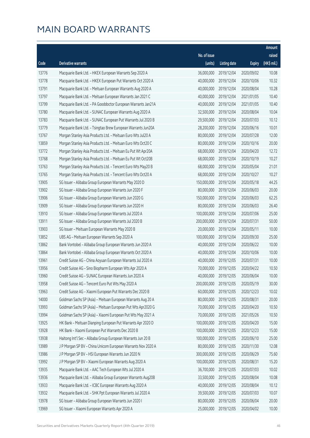|       |                                                              |              |                       |               | Amount      |
|-------|--------------------------------------------------------------|--------------|-----------------------|---------------|-------------|
|       |                                                              | No. of issue |                       |               | raised      |
| Code  | Derivative warrants                                          | (units)      | <b>Listing date</b>   | <b>Expiry</b> | (HK\$ mil.) |
| 13776 | Macquarie Bank Ltd. - HKEX European Warrants Sep 2020 A      | 36,000,000   | 2019/12/04            | 2020/09/02    | 10.08       |
| 13778 | Macquarie Bank Ltd. - HKEX European Put Warrants Oct 2020 A  | 40,000,000   | 2019/12/04            | 2020/10/06    | 10.32       |
| 13791 | Macquarie Bank Ltd. - Meituan European Warrants Aug 2020 A   | 40,000,000   | 2019/12/04            | 2020/08/04    | 10.28       |
| 13797 | Macquarie Bank Ltd. - Meituan European Warrants Jan 2021 C   | 40,000,000   | 2019/12/04            | 2021/01/05    | 10.40       |
| 13799 | Macquarie Bank Ltd. - PA Gooddoctor European Warrants Jan21A | 40,000,000   | 2019/12/04            | 2021/01/05    | 10.40       |
| 13780 | Macquarie Bank Ltd. - SUNAC European Warrants Aug 2020 A     | 32,500,000   | 2019/12/04            | 2020/08/04    | 10.04       |
| 13783 | Macquarie Bank Ltd. - SUNAC European Put Warrants Jul 2020 B | 29,500,000   | 2019/12/04            | 2020/07/03    | 10.12       |
| 13779 | Macquarie Bank Ltd. - Tsingtao Brew European Warrants Jun20A | 28,200,000   | 2019/12/04            | 2020/06/16    | 10.01       |
| 13767 | Morgan Stanley Asia Products Ltd. - Meituan Euro Wts Jul20 A | 80,000,000   | 2019/12/04            | 2020/07/28    | 12.00       |
| 13859 | Morgan Stanley Asia Products Ltd. - Meituan Euro Wts Oct20 C | 80,000,000   | 2019/12/04            | 2020/10/16    | 20.00       |
| 13772 | Morgan Stanley Asia Products Ltd. - Meituan Eu Put Wt Apr20A | 68,000,000   | 2019/12/04            | 2020/04/20    | 12.72       |
| 13768 | Morgan Stanley Asia Products Ltd. - Meituan Eu Put Wt Oct20B | 68,000,000   | 2019/12/04            | 2020/10/19    | 10.27       |
| 13763 | Morgan Stanley Asia Products Ltd. - Tencent Euro Wts May20 B | 68,000,000   | 2019/12/04            | 2020/05/04    | 21.01       |
| 13765 | Morgan Stanley Asia Products Ltd. - Tencent Euro Wts Oct20 A | 68,000,000   | 2019/12/04            | 2020/10/27    | 10.27       |
| 13905 | SG Issuer - Alibaba Group European Warrants May 2020 D       | 150,000,000  | 2019/12/04            | 2020/05/18    | 44.25       |
| 13902 | SG Issuer - Alibaba Group European Warrants Jun 2020 F       | 80,000,000   | 2019/12/04            | 2020/06/03    | 20.00       |
| 13906 | SG Issuer - Alibaba Group European Warrants Jun 2020 G       | 150,000,000  | 2019/12/04            | 2020/06/03    | 62.25       |
| 13909 | SG Issuer - Alibaba Group European Warrants Jun 2020 H       | 80,000,000   | 2019/12/04            | 2020/06/03    | 26.40       |
| 13910 | SG Issuer - Alibaba Group European Warrants Jul 2020 A       | 100,000,000  | 2019/12/04            | 2020/07/06    | 25.00       |
| 13911 | SG Issuer - Alibaba Group European Warrants Jul 2020 B       | 200,000,000  | 2019/12/04            | 2020/07/31    | 50.00       |
| 13903 | SG Issuer - Meituan European Warrants May 2020 B             | 20,000,000   | 2019/12/04            | 2020/05/11    | 10.00       |
| 13852 | UBS AG - Meituan European Warrants Sep 2020 A                | 100,000,000  | 2019/12/04            | 2020/09/30    | 25.00       |
| 13862 | Bank Vontobel - Alibaba Group European Warrants Jun 2020 A   | 40,000,000   | 2019/12/04            | 2020/06/22    | 10.00       |
| 13864 | Bank Vontobel - Alibaba Group European Warrants Oct 2020 A   | 40,000,000   | 2019/12/04            | 2020/10/06    | 10.00       |
| 13961 | Credit Suisse AG - China Aoyuan European Warrants Jul 2020 A | 40,000,000   | 2019/12/05            | 2020/07/31    | 10.00       |
| 13956 | Credit Suisse AG - Sino Biopharm European Wts Apr 2020 A     | 70,000,000   | 2019/12/05            | 2020/04/22    | 10.50       |
| 13960 | Credit Suisse AG - SUNAC European Warrants Jun 2020 A        |              | 40,000,000 2019/12/05 | 2020/06/04    | 10.00       |
| 13958 | Credit Suisse AG - Tencent Euro Put Wts May 2020 A           | 200,000,000  | 2019/12/05            | 2020/05/19    | 30.00       |
| 13963 | Credit Suisse AG - Xiaomi European Put Warrants Dec 2020 B   | 60,000,000   | 2019/12/05            | 2020/12/23    | 10.02       |
| 14000 | Goldman Sachs SP (Asia) - Meituan European Warrants Aug 20 A | 80,000,000   | 2019/12/05            | 2020/08/31    | 20.00       |
| 13993 | Goldman Sachs SP (Asia) - Meituan European Put Wts Apr2020 G | 70,000,000   | 2019/12/05            | 2020/04/20    | 10.50       |
| 13994 | Goldman Sachs SP (Asia) - Xiaomi European Put Wts May 2021 A | 70,000,000   | 2019/12/05            | 2021/05/26    | 10.50       |
| 13925 | HK Bank - Meituan Dianping European Put Warrants Apr 2020 D  | 100,000,000  | 2019/12/05            | 2020/04/20    | 15.00       |
| 13928 | HK Bank - Xiaomi European Put Warrants Dec 2020 B            | 100,000,000  | 2019/12/05            | 2020/12/23    | 15.00       |
| 13938 | Haitong Int'l Sec - Alibaba Group European Warrants Jun 20 B | 100,000,000  | 2019/12/05            | 2020/06/10    | 25.00       |
| 13989 | J P Morgan SP BV - China Unicom European Warrants Nov 2020 A | 80,000,000   | 2019/12/05            | 2020/11/30    | 12.08       |
| 13986 | J P Morgan SP BV - HSI European Warrants Jun 2020 N          | 300,000,000  | 2019/12/05            | 2020/06/29    | 75.60       |
| 13992 | J P Morgan SP BV - Xiaomi European Warrants Aug 2020 A       | 100,000,000  | 2019/12/05            | 2020/08/31    | 15.20       |
| 13935 | Macquarie Bank Ltd. - AAC Tech European Wts Jul 2020 A       | 36,700,000   | 2019/12/05            | 2020/07/03    | 10.02       |
| 13936 | Macquarie Bank Ltd. - Alibaba Group European Warrants Aug20B | 33,500,000   | 2019/12/05            | 2020/08/04    | 10.08       |
| 13933 | Macquarie Bank Ltd. - ICBC European Warrants Aug 2020 A      | 40,000,000   | 2019/12/05            | 2020/08/04    | 10.12       |
| 13932 | Macquarie Bank Ltd. - SHK Ppt European Warrants Jul 2020 A   | 39,500,000   | 2019/12/05            | 2020/07/03    | 10.07       |
| 13978 | SG Issuer - Alibaba Group European Warrants Jun 2020 I       | 80,000,000   | 2019/12/05            | 2020/06/04    | 20.00       |
| 13969 | SG Issuer - Xiaomi European Warrants Apr 2020 A              | 25,000,000   | 2019/12/05            | 2020/04/02    | 10.00       |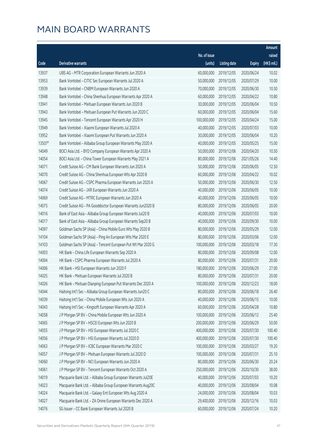|        |                                                              |              |                       |               | Amount      |
|--------|--------------------------------------------------------------|--------------|-----------------------|---------------|-------------|
|        |                                                              | No. of issue |                       |               | raised      |
| Code   | Derivative warrants                                          | (units)      | <b>Listing date</b>   | <b>Expiry</b> | (HK\$ mil.) |
| 13937  | UBS AG - MTR Corporation European Warrants Jun 2020 A        | 60,000,000   | 2019/12/05            | 2020/06/24    | 10.02       |
| 13953  | Bank Vontobel - CITIC Sec European Warrants Jul 2020 A       | 50,000,000   | 2019/12/05            | 2020/07/29    | 10.00       |
| 13939  | Bank Vontobel - CNBM European Warrants Jun 2020 A            | 70,000,000   | 2019/12/05            | 2020/06/30    | 10.50       |
| 13948  | Bank Vontobel - China Shenhua European Warrants Apr 2020 A   | 60,000,000   | 2019/12/05            | 2020/04/22    | 10.80       |
| 13941  | Bank Vontobel - Meituan European Warrants Jun 2020 B         | 30,000,000   | 2019/12/05            | 2020/06/04    | 10.50       |
| 13943  | Bank Vontobel - Meituan European Put Warrants Jun 2020 C     | 60,000,000   | 2019/12/05            | 2020/06/04    | 15.60       |
| 13945  | Bank Vontobel - Tencent European Warrants Apr 2020 H         | 100,000,000  | 2019/12/05            | 2020/04/24    | 15.00       |
| 13949  | Bank Vontobel - Xiaomi European Warrants Jul 2020 A          | 40,000,000   | 2019/12/05            | 2020/07/03    | 10.00       |
| 13952  | Bank Vontobel - Xiaomi European Put Warrants Jun 2020 A      | 30,000,000   | 2019/12/05            | 2020/06/04    | 10.20       |
| 13507# | Bank Vontobel - Alibaba Group European Warrants May 2020 A   | 40,000,000   | 2019/12/05            | 2020/05/25    | 15.00       |
| 14049  | BOCI Asia Ltd. - BYD Company European Warrants Apr 2020 A    | 50,000,000   | 2019/12/06            | 2020/04/20    | 10.50       |
| 14054  | BOCI Asia Ltd. - China Tower European Warrants May 2021 A    | 80,000,000   | 2019/12/06            | 2021/05/26    | 14.40       |
| 14071  | Credit Suisse AG - CM Bank European Warrants Jun 2020 A      | 50,000,000   | 2019/12/06            | 2020/06/05    | 12.50       |
| 14070  | Credit Suisse AG - China Shenhua European Wts Apr 2020 B     | 60,000,000   | 2019/12/06            | 2020/04/22    | 10.02       |
| 14067  | Credit Suisse AG - CSPC Pharma European Warrants Jun 2020 A  | 50,000,000   | 2019/12/06            | 2020/06/30    | 12.50       |
| 14074  | Credit Suisse AG - JXR European Warrants Jun 2020 A          | 40,000,000   | 2019/12/06            | 2020/06/05    | 10.00       |
| 14069  | Credit Suisse AG - MTRC European Warrants Jun 2020 A         | 40,000,000   | 2019/12/06            | 2020/06/05    | 10.00       |
| 14075  | Credit Suisse AG - PA Gooddoctor European Warrants Jun2020 B | 80,000,000   | 2019/12/06            | 2020/06/05    | 20.00       |
| 14016  | Bank of East Asia - Alibaba Group European Warrants Jul20 B  | 40,000,000   | 2019/12/06            | 2020/07/03    | 10.00       |
| 14017  | Bank of East Asia - Alibaba Group European Warrants Sep20 B  | 40,000,000   | 2019/12/06            | 2020/09/30    | 10.00       |
| 14097  | Goldman Sachs SP (Asia) - China Mobile Euro Wts May 2020 B   | 80,000,000   | 2019/12/06            | 2020/05/29    | 12.00       |
| 14104  | Goldman Sachs SP (Asia) - Ping An European Wts Mar 2020 E    | 80,000,000   | 2019/12/06            | 2020/03/06    | 12.00       |
| 14103  | Goldman Sachs SP (Asia) - Tencent European Put Wt Mar 2020 G | 100,000,000  | 2019/12/06            | 2020/03/18    | 17.30       |
| 14003  | HK Bank - China Life European Warrants Sep 2020 A            | 80,000,000   | 2019/12/06            | 2020/09/08    | 12.00       |
| 14004  | HK Bank - CSPC Pharma European Warrants Jul 2020 A           | 80,000,000   | 2019/12/06            | 2020/07/31    | 20.00       |
| 14006  | HK Bank - HSI European Warrants Jun 2020 F                   | 180,000,000  | 2019/12/06            | 2020/06/29    | 27.00       |
| 14025  | HK Bank - Meituan European Warrants Jul 2020 B               |              | 80,000,000 2019/12/06 | 2020/07/31    | 20.00       |
| 14026  | HK Bank - Meituan Dianping European Put Warrants Dec 2020 A  | 100,000,000  | 2019/12/06            | 2020/12/23    | 18.00       |
| 14044  | Haitong Int'l Sec - Alibaba Group European Warrants Jun20 C  | 80,000,000   | 2019/12/06            | 2020/06/18    | 26.40       |
| 14039  | Haitong Int'l Sec - China Mobile European Wts Jun 2020 A     | 40,000,000   | 2019/12/06            | 2020/06/15    | 10.00       |
| 14043  | Haitong Int'l Sec - Kingsoft European Warrants Apr 2020 A    | 60,000,000   | 2019/12/06            | 2020/04/28    | 10.80       |
| 14058  | J P Morgan SP BV - China Mobile European Wts Jun 2020 A      | 100,000,000  | 2019/12/06            | 2020/06/12    | 25.40       |
| 14065  | J P Morgan SP BV - HSCEI European Wts Jun 2020 B             | 200,000,000  | 2019/12/06            | 2020/06/29    | 50.00       |
| 14055  | J P Morgan SP BV - HSI European Warrants Jul 2020 C          | 400,000,000  | 2019/12/06            | 2020/07/30    | 100.40      |
| 14056  | J P Morgan SP BV - HSI European Warrants Jul 2020 D          | 400,000,000  | 2019/12/06            | 2020/07/30    | 100.40      |
| 14063  | J P Morgan SP BV - ICBC European Warrants Mar 2020 C         | 100,000,000  | 2019/12/06            | 2020/03/27    | 19.20       |
| 14057  | J P Morgan SP BV - Meituan European Warrants Jul 2020 D      | 100,000,000  | 2019/12/06            | 2020/07/31    | 25.10       |
| 14060  | J P Morgan SP BV - NCI European Warrants Jun 2020 A          | 80,000,000   | 2019/12/06            | 2020/06/30    | 20.24       |
| 14061  | J P Morgan SP BV - Tencent European Warrants Oct 2020 A      | 250,000,000  | 2019/12/06            | 2020/10/30    | 38.00       |
| 14019  | Macquarie Bank Ltd. - Alibaba Group European Warrants Jul20E | 40,000,000   | 2019/12/06            | 2020/07/03    | 10.20       |
| 14023  | Macquarie Bank Ltd. - Alibaba Group European Warrants Aug20C | 40,000,000   | 2019/12/06            | 2020/08/04    | 10.08       |
| 14024  | Macquarie Bank Ltd. - Galaxy Ent European Wts Aug 2020 A     | 24,000,000   | 2019/12/06            | 2020/08/04    | 10.03       |
| 14027  | Macquarie Bank Ltd. - ZA Onine European Warrants Dec 2020 A  | 29,400,000   | 2019/12/06            | 2020/12/16    | 10.03       |
| 14076  | SG Issuer - CC Bank European Warrants Jul 2020 B             | 60,000,000   | 2019/12/06            | 2020/07/24    | 10.20       |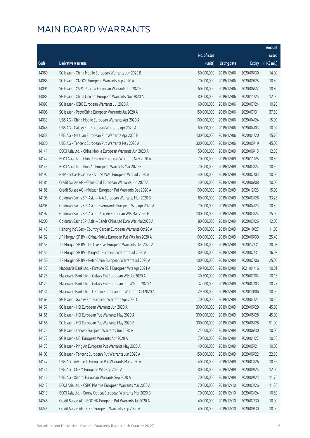|       |                                                              |              |                       |               | Amount      |
|-------|--------------------------------------------------------------|--------------|-----------------------|---------------|-------------|
|       |                                                              | No. of issue |                       |               | raised      |
| Code  | Derivative warrants                                          | (units)      | <b>Listing date</b>   | <b>Expiry</b> | (HK\$ mil.) |
| 14080 | SG Issuer - China Mobile European Warrants Jun 2020 B        | 50,000,000   | 2019/12/06            | 2020/06/30    | 14.00       |
| 14088 | SG Issuer - CNOOC European Warrants Sep 2020 A               | 70,000,000   | 2019/12/06            | 2020/09/25    | 10.50       |
| 14091 | SG Issuer - CSPC Pharma European Warrants Jun 2020 C         | 60,000,000   | 2019/12/06            | 2020/06/22    | 10.80       |
| 14083 | SG Issuer - China Unicom European Warrants Nov 2020 A        | 80,000,000   | 2019/12/06            | 2020/11/25    | 12.00       |
| 14093 | SG Issuer - ICBC European Warrants Jul 2020 A                | 60,000,000   | 2019/12/06            | 2020/07/24    | 10.20       |
| 14096 | SG Issuer - PetroChina European Warrants Jul 2020 A          | 150,000,000  | 2019/12/06            | 2020/07/31    | 37.50       |
| 14033 | UBS AG - China Mobile European Warrants Apr 2020 A           | 100,000,000  | 2019/12/06            | 2020/04/24    | 15.00       |
| 14048 | UBS AG - Galaxy Ent European Warrants Apr 2020 A             | 60,000,000   | 2019/12/06            | 2020/04/03    | 10.02       |
| 14038 | UBS AG - Meituan European Put Warrants Apr 2020 E            | 100,000,000  | 2019/12/06            | 2020/04/20    | 15.70       |
| 14030 | UBS AG - Tencent European Put Warrants May 2020 A            | 300,000,000  | 2019/12/06            | 2020/05/19    | 45.00       |
| 14141 | BOCI Asia Ltd. - China Mobile European Warrants Jun 2020 A   | 50,000,000   | 2019/12/09            | 2020/06/15    | 12.50       |
| 14142 | BOCI Asia Ltd. - China Unicom European Warrants Nov 2020 A   | 70,000,000   | 2019/12/09            | 2020/11/25    | 10.50       |
| 14143 | BOCI Asia Ltd. - Ping An European Warrants Mar 2020 E        | 70,000,000   | 2019/12/09            | 2020/03/24    | 10.50       |
| 14192 | BNP Paribas Issuance B.V. - SUNAC European Wts Jul 2020 A    | 40,000,000   | 2019/12/09            | 2020/07/03    | 10.00       |
| 14184 | Credit Suisse AG - China Coal European Warrants Jun 2020 A   | 40,000,000   | 2019/12/09            | 2020/06/08    | 10.00       |
| 14185 | Credit Suisse AG - Meituan European Put Warrants Dec 2020 A  | 100,000,000  | 2019/12/09            | 2020/12/23    | 15.00       |
| 14198 | Goldman Sachs SP (Asia) - AIA European Warrants Mar 2020 B   | 80,000,000   | 2019/12/09            | 2020/03/26    | 33.28       |
| 14205 | Goldman Sachs SP (Asia) - Evergrande European Wts Apr 2020 A | 70,000,000   | 2019/12/09            | 2020/04/23    | 10.50       |
| 14197 | Goldman Sachs SP (Asia) - Ping An European Wts Mar 2020 F    | 100,000,000  | 2019/12/09            | 2020/03/24    | 15.00       |
| 14200 | Goldman Sachs SP (Asia) - Sands China Ltd Euro Wts Mar2020 A | 80,000,000   | 2019/12/09            | 2020/03/26    | 12.00       |
| 14148 | Haitong Int'l Sec - Country Garden European Warrants Oct20 A | 50,000,000   | 2019/12/09            | 2020/10/27    | 11.00       |
| 14152 | J P Morgan SP BV - China Mobile European Put Wts Jun 2020 A  | 100,000,000  | 2019/12/09            | 2020/06/30    | 25.40       |
| 14153 | J P Morgan SP BV - Ch Overseas European Warrants Dec 2020 A  | 80,000,000   | 2019/12/09            | 2020/12/31    | 20.08       |
| 14151 | J P Morgan SP BV - Kingsoft European Warrants Jul 2020 A     | 80,000,000   | 2019/12/09            | 2020/07/31    | 16.08       |
| 14150 | J P Morgan SP BV - PetroChina European Warrants Jul 2020 A   | 100,000,000  | 2019/12/09            | 2020/07/06    | 25.00       |
| 14133 | Macquarie Bank Ltd. - Fortune REIT European Wts Apr 2021 A   | 29,700,000   | 2019/12/09            | 2021/04/16    | 10.01       |
| 14128 | Macquarie Bank Ltd. - Galaxy Ent European Wts Jul 2020 A     |              | 30,500,000 2019/12/09 | 2020/07/03    | 10.13       |
| 14129 | Macquarie Bank Ltd. - Galaxy Ent European Put Wts Jul 2020 A | 32,000,000   | 2019/12/09            | 2020/07/03    | 10.27       |
| 14134 | Macquarie Bank Ltd. - Lenovo European Put Warrants Oct2020 A | 29,500,000   | 2019/12/09            | 2020/10/06    | 10.00       |
| 14163 | SG Issuer - Galaxy Ent European Warrants Apr 2020 C          | 70,000,000   | 2019/12/09            | 2020/04/24    | 10.50       |
| 14157 | SG Issuer - HSI European Warrants Jun 2020 A                 | 300,000,000  | 2019/12/09            | 2020/06/29    | 45.00       |
| 14155 | SG Issuer - HSI European Put Warrants May 2020 A             | 300,000,000  | 2019/12/09            | 2020/05/28    | 45.00       |
| 14156 | SG Issuer - HSI European Put Warrants May 2020 B             | 300,000,000  | 2019/12/09            | 2020/05/28    | 51.00       |
| 14171 | SG Issuer - Lenovo European Warrants Jun 2020 A              | 25,000,000   | 2019/12/09            | 2020/06/30    | 10.00       |
| 14172 | SG Issuer - NCI European Warrants Apr 2020 A                 | 70,000,000   | 2019/12/09            | 2020/04/27    | 10.50       |
| 14178 | SG Issuer - Ping An European Put Warrants May 2020 A         | 40,000,000   | 2019/12/09            | 2020/05/21    | 10.00       |
| 14105 | SG Issuer - Tencent European Put Warrants Jun 2020 A         | 150,000,000  | 2019/12/09            | 2020/06/22    | 22.50       |
| 14147 | UBS AG - AAC Tech European Put Warrants Mar 2020 A           | 40,000,000   | 2019/12/09            | 2020/03/26    | 10.56       |
| 14144 | UBS AG - CNBM European Wts Sep 2020 A                        | 80,000,000   | 2019/12/09            | 2020/09/25    | 12.00       |
| 14146 | UBS AG - Xiaomi European Warrants Sep 2020 A                 | 70,000,000   | 2019/12/09            | 2020/09/23    | 11.76       |
| 14212 | BOCI Asia Ltd. - CSPC Pharma European Warrants Mar 2020 A    | 70,000,000   | 2019/12/10            | 2020/03/26    | 11.20       |
| 14213 | BOCI Asia Ltd. - Sunny Optical European Warrants Mar 2020 B  | 70,000,000   | 2019/12/10            | 2020/03/24    | 10.50       |
| 14246 | Credit Suisse AG - BOC HK European Put Warrants Jul 2020 A   | 40,000,000   | 2019/12/10            | 2020/07/30    | 10.00       |
| 14245 | Credit Suisse AG - CICC European Warrants Sep 2020 A         | 40,000,000   | 2019/12/10            | 2020/09/30    | 10.00       |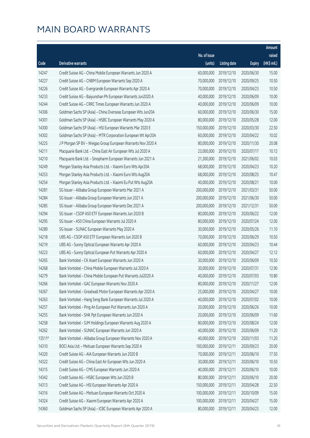|        |                                                              |              |                       |               | Amount      |
|--------|--------------------------------------------------------------|--------------|-----------------------|---------------|-------------|
|        |                                                              | No. of issue |                       |               | raised      |
| Code   | Derivative warrants                                          | (units)      | <b>Listing date</b>   | <b>Expiry</b> | (HK\$ mil.) |
| 14247  | Credit Suisse AG - China Mobile European Warrants Jun 2020 A | 60,000,000   | 2019/12/10            | 2020/06/30    | 15.00       |
| 14227  | Credit Suisse AG - CNBM European Warrants Sep 2020 A         | 70,000,000   | 2019/12/10            | 2020/09/25    | 10.50       |
| 14226  | Credit Suisse AG - Evergrande European Warrants Apr 2020 A   | 70,000,000   | 2019/12/10            | 2020/04/23    | 10.50       |
| 14233  | Credit Suisse AG - Baiyunshan Ph European Warrants Jun2020 A | 40,000,000   | 2019/12/10            | 2020/06/09    | 10.00       |
| 14244  | Credit Suisse AG - CRRC Times European Warrants Jun 2020 A   | 40,000,000   | 2019/12/10            | 2020/06/09    | 10.00       |
| 14306  | Goldman Sachs SP (Asia) - China Overseas European Wts Jun20A | 60,000,000   | 2019/12/10            | 2020/06/30    | 15.00       |
| 14301  | Goldman Sachs SP (Asia) - HSBC European Warrants May 2020 A  | 80,000,000   | 2019/12/10            | 2020/05/28    | 12.00       |
| 14300  | Goldman Sachs SP (Asia) - HSI European Warrants Mar 2020 E   | 150,000,000  | 2019/12/10            | 2020/03/30    | 22.50       |
| 14302  | Goldman Sachs SP (Asia) - MTR Corporation European Wt Apr20A | 60,000,000   | 2019/12/10            | 2020/04/22    | 10.02       |
| 14225  | J P Morgan SP BV - Weigao Group European Warrants Nov 2020 A | 80,000,000   | 2019/12/10            | 2020/11/30    | 20.08       |
| 14211  | Macquarie Bank Ltd. - China East Air European Wts Jul 2020 A | 23,000,000   | 2019/12/10            | 2020/07/17    | 10.12       |
| 14210  | Macquarie Bank Ltd. - Sinopharm European Warrants Jun 2021 A | 21,300,000   | 2019/12/10            | 2021/06/02    | 10.03       |
| 14249  | Morgan Stanley Asia Products Ltd. - Xiaomi Euro Wts Apr20A   | 68,000,000   | 2019/12/10            | 2020/04/23    | 10.20       |
| 14253  | Morgan Stanley Asia Products Ltd. - Xiaomi Euro Wts Aug20A   | 68,000,000   | 2019/12/10            | 2020/08/25    | 10.47       |
| 14254  | Morgan Stanley Asia Products Ltd. - Xiaomi Eu Put Wts Aug20A | 40,000,000   | 2019/12/10            | 2020/08/21    | 10.00       |
| 14281  | SG Issuer - Alibaba Group European Warrants Mar 2021 A       | 200,000,000  | 2019/12/10            | 2021/03/31    | 50.00       |
| 14284  | SG Issuer - Alibaba Group European Warrants Jun 2021 A       | 200,000,000  | 2019/12/10            | 2021/06/30    | 50.00       |
| 14285  | SG Issuer - Alibaba Group European Warrants Dec 2021 A       | 200,000,000  | 2019/12/10            | 2021/12/31    | 50.00       |
| 14294  | SG Issuer - CSOP A50 ETF European Warrants Jun 2020 B        | 80,000,000   | 2019/12/10            | 2020/06/22    | 12.00       |
| 14295  | SG Issuer - A50 China European Warrants Jul 2020 A           | 80,000,000   | 2019/12/10            | 2020/07/24    | 12.00       |
| 14289  | SG Issuer - SUNAC European Warrants May 2020 A               | 30,000,000   | 2019/12/10            | 2020/05/26    | 11.10       |
| 14218  | UBS AG - CSOP A50 ETF European Warrants Jun 2020 B           | 70,000,000   | 2019/12/10            | 2020/06/29    | 10.50       |
| 14219  | UBS AG - Sunny Optical European Warrants Apr 2020 A          | 60,000,000   | 2019/12/10            | 2020/04/23    | 10.44       |
| 14223  | UBS AG - Sunny Optical European Put Warrants Apr 2020 A      | 60,000,000   | 2019/12/10            | 2020/04/27    | 12.12       |
| 14265  | Bank Vontobel - CK Asset European Warrants Jun 2020 A        | 30,000,000   | 2019/12/10            | 2020/06/09    | 10.50       |
| 14268  | Bank Vontobel - China Mobile European Warrants Jul 2020 A    | 30,000,000   | 2019/12/10            | 2020/07/31    | 12.90       |
| 14279  | Bank Vontobel - China Mobile European Put Warrants Jul2020 A |              | 40,000,000 2019/12/10 | 2020/07/03    | 10.80       |
| 14266  | Bank Vontobel - GAC European Warrants Nov 2020 A             | 80,000,000   | 2019/12/10            | 2020/11/27    | 12.00       |
| 14267  | Bank Vontobel - Greatwall Motor European Warrants Apr 2020 A | 25,000,000   | 2019/12/10            | 2020/04/27    | 10.00       |
| 14263  | Bank Vontobel - Hang Seng Bank European Warrants Jul 2020 A  | 40,000,000   | 2019/12/10            | 2020/07/02    | 10.00       |
| 14257  | Bank Vontobel - Ping An European Put Warrants Jun 2020 A     | 20,000,000   | 2019/12/10            | 2020/06/26    | 10.00       |
| 14255  | Bank Vontobel - SHK Ppt European Warrants Jun 2020 A         | 20,000,000   | 2019/12/10            | 2020/06/09    | 11.60       |
| 14258  | Bank Vontobel - SJM Holdings European Warrants Aug 2020 A    | 80,000,000   | 2019/12/10            | 2020/08/24    | 12.00       |
| 14262  | Bank Vontobel - SUNAC European Warrants Jun 2020 A           | 40,000,000   | 2019/12/10            | 2020/06/09    | 11.20       |
| 13511# | Bank Vontobel - Alibaba Group European Warrants Nov 2020 A   | 40,000,000   | 2019/12/10            | 2020/11/03    | 11.20       |
| 14310  | BOCI Asia Ltd. - Meituan European Warrants Sep 2020 A        | 100,000,000  | 2019/12/11            | 2020/09/23    | 20.00       |
| 14320  | Credit Suisse AG - AIA European Warrants Jun 2020 B          | 70,000,000   | 2019/12/11            | 2020/06/10    | 17.50       |
| 14322  | Credit Suisse AG - China East Air European Wts Jun 2020 A    | 30,000,000   | 2019/12/11            | 2020/06/10    | 10.50       |
| 14315  | Credit Suisse AG - CMS European Warrants Jun 2020 A          | 40,000,000   | 2019/12/11            | 2020/06/10    | 10.00       |
| 14342  | Credit Suisse AG - HSBC European Wts Jun 2020 B              | 80,000,000   | 2019/12/11            | 2020/06/10    | 20.00       |
| 14313  | Credit Suisse AG - HSI European Warrants Apr 2020 A          | 150,000,000  | 2019/12/11            | 2020/04/28    | 22.50       |
| 14316  | Credit Suisse AG - Meituan European Warrants Oct 2020 A      | 100,000,000  | 2019/12/11            | 2020/10/09    | 15.00       |
| 14324  | Credit Suisse AG - Xiaomi European Warrants Apr 2020 A       | 100,000,000  | 2019/12/11            | 2020/04/27    | 15.00       |
| 14360  | Goldman Sachs SP (Asia) - ICBC European Warrants Apr 2020 A  | 80,000,000   | 2019/12/11            | 2020/04/23    | 12.00       |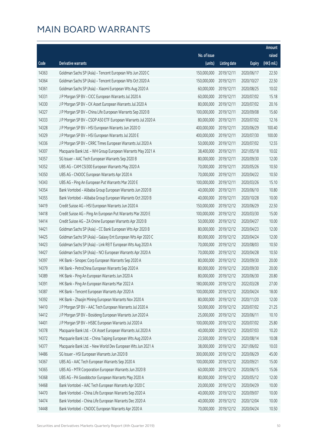|       |                                                              |              |                       |               | Amount      |
|-------|--------------------------------------------------------------|--------------|-----------------------|---------------|-------------|
|       |                                                              | No. of issue |                       |               | raised      |
| Code  | Derivative warrants                                          | (units)      | <b>Listing date</b>   | <b>Expiry</b> | (HK\$ mil.) |
| 14363 | Goldman Sachs SP (Asia) - Tencent European Wts Jun 2020 C    | 150,000,000  | 2019/12/11            | 2020/06/17    | 22.50       |
| 14364 | Goldman Sachs SP (Asia) - Tencent European Wts Oct 2020 A    | 150,000,000  | 2019/12/11            | 2020/10/27    | 22.50       |
| 14361 | Goldman Sachs SP (Asia) - Xiaomi European Wts Aug 2020 A     | 60,000,000   | 2019/12/11            | 2020/08/25    | 10.02       |
| 14331 | J P Morgan SP BV - CICC European Warrants Jul 2020 A         | 60,000,000   | 2019/12/11            | 2020/07/02    | 15.18       |
| 14330 | J P Morgan SP BV - CK Asset European Warrants Jul 2020 A     | 80,000,000   | 2019/12/11            | 2020/07/02    | 20.16       |
| 14327 | J P Morgan SP BV - China Life European Warrants Sep 2020 B   | 100,000,000  | 2019/12/11            | 2020/09/08    | 15.60       |
| 14333 | J P Morgan SP BV - CSOP A50 ETF European Warrants Jul 2020 A | 80,000,000   | 2019/12/11            | 2020/07/02    | 12.16       |
| 14328 | J P Morgan SP BV - HSI European Warrants Jun 2020 O          | 400,000,000  | 2019/12/11            | 2020/06/29    | 100.40      |
| 14329 | J P Morgan SP BV - HSI European Warrants Jul 2020 E          | 400,000,000  | 2019/12/11            | 2020/07/30    | 100.00      |
| 14336 | J P Morgan SP BV - CRRC Times European Warrants Jul 2020 A   | 50,000,000   | 2019/12/11            | 2020/07/02    | 12.55       |
| 14307 | Macquarie Bank Ltd. - WH Group European Warrants May 2021 A  | 38,400,000   | 2019/12/11            | 2021/05/18    | 10.02       |
| 14357 | SG Issuer - AAC Tech European Warrants Sep 2020 B            | 80,000,000   | 2019/12/11            | 2020/09/30    | 12.00       |
| 14352 | UBS AG - CAM CSI300 European Warrants May 2020 A             | 70,000,000   | 2019/12/11            | 2020/05/26    | 10.50       |
| 14350 | UBS AG - CNOOC European Warrants Apr 2020 A                  | 70,000,000   | 2019/12/11            | 2020/04/22    | 10.50       |
| 14343 | UBS AG - Ping An European Put Warrants Mar 2020 E            | 100,000,000  | 2019/12/11            | 2020/03/26    | 15.10       |
| 14354 | Bank Vontobel - Alibaba Group European Warrants Jun 2020 B   | 40,000,000   | 2019/12/11            | 2020/06/10    | 10.80       |
| 14355 | Bank Vontobel - Alibaba Group European Warrants Oct 2020 B   | 40,000,000   | 2019/12/11            | 2020/10/28    | 10.00       |
| 14419 | Credit Suisse AG - HSI European Warrants Jun 2020 A          | 150,000,000  | 2019/12/12            | 2020/06/29    | 22.50       |
| 14418 | Credit Suisse AG - Ping An European Put Warrants Mar 2020 E  | 100,000,000  | 2019/12/12            | 2020/03/30    | 15.00       |
| 14414 | Credit Suisse AG - ZA Onine European Warrants Apr 2020 B     | 50,000,000   | 2019/12/12            | 2020/04/27    | 10.00       |
| 14421 | Goldman Sachs SP (Asia) - CC Bank European Wts Apr 2020 B    | 80,000,000   | 2019/12/12            | 2020/04/23    | 12.00       |
| 14425 | Goldman Sachs SP (Asia) - Galaxy Ent European Wts Apr 2020 C | 80,000,000   | 2019/12/12            | 2020/04/24    | 12.00       |
| 14423 | Goldman Sachs SP (Asia) - Link REIT European Wts Aug 2020 A  | 70,000,000   | 2019/12/12            | 2020/08/03    | 10.50       |
| 14427 | Goldman Sachs SP (Asia) - NCI European Warrants Apr 2020 A   | 70,000,000   | 2019/12/12            | 2020/04/28    | 10.50       |
| 14397 | HK Bank - Sinopec Corp European Warrants Sep 2020 A          | 80,000,000   | 2019/12/12            | 2020/09/30    | 20.00       |
| 14379 | HK Bank - PetroChina European Warrants Sep 2020 A            | 80,000,000   | 2019/12/12            | 2020/09/30    | 20.00       |
| 14389 | HK Bank - Ping An European Warrants Jun 2020 A               |              | 80,000,000 2019/12/12 | 2020/06/30    | 20.80       |
| 14391 | HK Bank - Ping An European Warrants Mar 2022 A               | 180,000,000  | 2019/12/12            | 2022/03/28    | 27.00       |
| 14387 | HK Bank - Tencent European Warrants Apr 2020 A               | 100,000,000  | 2019/12/12            | 2020/04/24    | 18.00       |
| 14392 | HK Bank - Zhaojin Mining European Warrants Nov 2020 A        | 80,000,000   | 2019/12/12            | 2020/11/20    | 12.00       |
| 14410 | J P Morgan SP BV - AAC Tech European Warrants Jul 2020 A     | 50,000,000   | 2019/12/12            | 2020/07/02    | 21.25       |
| 14412 | J P Morgan SP BV - Bosideng European Warrants Jun 2020 A     | 25,000,000   | 2019/12/12            | 2020/06/11    | 10.10       |
| 14401 | J P Morgan SP BV - HSBC European Warrants Jul 2020 A         | 100,000,000  | 2019/12/12            | 2020/07/02    | 25.80       |
| 14378 | Macquarie Bank Ltd. - CK Asset European Warrants Jul 2020 A  | 40,000,000   | 2019/12/12            | 2020/07/03    | 10.20       |
| 14372 | Macquarie Bank Ltd. - China Taiping European Wts Aug 2020 A  | 23,500,000   | 2019/12/12            | 2020/08/14    | 10.08       |
| 14377 | Macquarie Bank Ltd. - New World Dev European Wts Jun 2021 A  | 38,000,000   | 2019/12/12            | 2021/06/02    | 10.03       |
| 14486 | SG Issuer - HSI European Warrants Jun 2020 B                 | 300,000,000  | 2019/12/12            | 2020/06/29    | 45.00       |
| 14367 | UBS AG - AAC Tech European Warrants Sep 2020 A               | 100,000,000  | 2019/12/12            | 2020/09/21    | 15.00       |
| 14365 | UBS AG - MTR Corporation European Warrants Jun 2020 B        | 60,000,000   | 2019/12/12            | 2020/06/15    | 15.06       |
| 14368 | UBS AG - PA Gooddoctor European Warrants May 2020 A          | 80,000,000   | 2019/12/12            | 2020/05/12    | 12.00       |
| 14468 | Bank Vontobel - AAC Tech European Warrants Apr 2020 C        | 20,000,000   | 2019/12/12            | 2020/04/29    | 10.00       |
| 14470 | Bank Vontobel - China Life European Warrants Sep 2020 A      | 40,000,000   | 2019/12/12            | 2020/09/07    | 10.00       |
| 14474 | Bank Vontobel - China Life European Warrants Dec 2020 A      | 40,000,000   | 2019/12/12            | 2020/12/04    | 10.00       |
| 14448 | Bank Vontobel - CNOOC European Warrants Apr 2020 A           | 70,000,000   | 2019/12/12            | 2020/04/24    | 10.50       |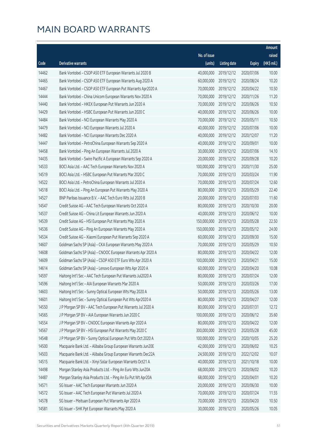|                |                                                                                                               |                          |                          |               | Amount         |
|----------------|---------------------------------------------------------------------------------------------------------------|--------------------------|--------------------------|---------------|----------------|
|                |                                                                                                               | No. of issue             |                          |               | raised         |
| Code           | <b>Derivative warrants</b>                                                                                    | (units)                  | <b>Listing date</b>      | <b>Expiry</b> | (HK\$ mil.)    |
| 14462          | Bank Vontobel - CSOP A50 ETF European Warrants Jul 2020 B                                                     | 40,000,000               | 2019/12/12               | 2020/07/06    | 10.00          |
| 14465          | Bank Vontobel - CSOP A50 ETF European Warrants Aug 2020 A                                                     | 60,000,000               | 2019/12/12               | 2020/08/24    | 10.20          |
| 14467          | Bank Vontobel - CSOP A50 ETF European Put Warrants Apr2020 A                                                  | 70,000,000               | 2019/12/12               | 2020/04/22    | 10.50          |
| 14444          | Bank Vontobel - China Unicom European Warrants Nov 2020 A                                                     | 70,000,000               | 2019/12/12               | 2020/11/26    | 11.20          |
| 14440          | Bank Vontobel - HKEX European Put Warrants Jun 2020 A                                                         | 70,000,000               | 2019/12/12               | 2020/06/26    | 10.50          |
| 14429          | Bank Vontobel - HSBC European Put Warrants Jun 2020 C                                                         | 40,000,000               | 2019/12/12               | 2020/06/26    | 10.00          |
| 14484          | Bank Vontobel - NCI European Warrants May 2020 A                                                              | 70,000,000               | 2019/12/12               | 2020/05/11    | 10.50          |
| 14479          | Bank Vontobel - NCI European Warrants Jul 2020 A                                                              | 40,000,000               | 2019/12/12               | 2020/07/06    | 10.00          |
| 14482          | Bank Vontobel - NCI European Warrants Dec 2020 A                                                              | 40,000,000               | 2019/12/12               | 2020/12/07    | 11.20          |
| 14447          | Bank Vontobel - PetroChina European Warrants Sep 2020 A                                                       | 40,000,000               | 2019/12/12               | 2020/09/01    | 10.00          |
| 14458          | Bank Vontobel - Ping An European Warrants Jul 2020 A                                                          | 30,000,000               | 2019/12/12               | 2020/07/06    | 14.10          |
| 14435          | Bank Vontobel - Swire Pacific A European Warrants Sep 2020 A                                                  | 20,000,000               | 2019/12/12               | 2020/09/28    | 10.20          |
| 14533          | BOCI Asia Ltd. - AAC Tech European Warrants Nov 2020 A                                                        | 100,000,000              | 2019/12/13               | 2020/11/30    | 25.00          |
| 14519          | BOCI Asia Ltd. - HSBC European Put Warrants Mar 2020 C                                                        | 70,000,000               | 2019/12/13               | 2020/03/24    | 11.90          |
| 14522          | BOCI Asia Ltd. - PetroChina European Warrants Jul 2020 A                                                      | 70,000,000               | 2019/12/13               | 2020/07/24    | 12.60          |
| 14518          | BOCI Asia Ltd. - Ping An European Put Warrants May 2020 A                                                     | 80,000,000               | 2019/12/13               | 2020/05/29    | 22.40          |
| 14527          | BNP Paribas Issuance B.V. - AAC Tech Euro Wts Jul 2020 B                                                      | 20,000,000               | 2019/12/13               | 2020/07/03    | 11.60          |
| 14547          | Credit Suisse AG - AAC Tech European Warrants Oct 2020 A                                                      | 80,000,000               | 2019/12/13               | 2020/10/30    | 20.00          |
| 14537          | Credit Suisse AG - China Lit European Warrants Jun 2020 A                                                     | 40,000,000               | 2019/12/13               | 2020/06/12    | 10.00          |
| 14539          | Credit Suisse AG - HSI European Put Warrants May 2020 A                                                       | 150,000,000              | 2019/12/13               | 2020/05/28    | 22.50          |
| 14536          | Credit Suisse AG - Ping An European Warrants May 2020 A                                                       | 150,000,000              | 2019/12/13               | 2020/05/12    | 24.00          |
| 14534          | Credit Suisse AG - Xiaomi European Put Warrants Sep 2020 A                                                    | 60,000,000               | 2019/12/13               | 2020/09/30    | 15.00          |
| 14607          | Goldman Sachs SP (Asia) - CKA European Warrants May 2020 A                                                    | 70,000,000               | 2019/12/13               | 2020/05/29    | 10.50          |
| 14608          | Goldman Sachs SP (Asia) - CNOOC European Warrants Apr 2020 A                                                  | 80,000,000               | 2019/12/13               | 2020/04/22    | 12.00          |
| 14609          | Goldman Sachs SP (Asia) - CSOP A50 ETF Euro Wts Apr 2020 A                                                    | 100,000,000              | 2019/12/13               | 2020/04/21    | 15.00          |
| 14614          | Goldman Sachs SP (Asia) - Lenovo European Wts Apr 2020 A                                                      | 60,000,000               | 2019/12/13               | 2020/04/20    | 10.08          |
| 14597          | Haitong Int'l Sec - AAC Tech European Put Warrants Jul2020 A                                                  |                          | 80,000,000 2019/12/13    | 2020/07/24    | 12.00          |
| 14596          | Haitong Int'l Sec - AIA European Warrants Mar 2020 A                                                          | 50,000,000               | 2019/12/13               | 2020/03/26    | 17.00          |
| 14603          | Haitong Int'l Sec - Sunny Optical European Wts May 2020 A                                                     | 50,000,000               | 2019/12/13               | 2020/05/26    | 13.00          |
| 14601          | Haitong Int'l Sec - Sunny Optical European Put Wts Apr2020 A                                                  | 80,000,000               | 2019/12/13               | 2020/04/27    | 12.00          |
| 14550          | J P Morgan SP BV - AAC Tech European Put Warrants Jul 2020 A                                                  | 80,000,000               | 2019/12/13               | 2020/07/31    | 12.72          |
| 14565          | J P Morgan SP BV - AIA European Warrants Jun 2020 C                                                           | 100,000,000              | 2019/12/13               | 2020/06/12    | 35.60          |
| 14554          | J P Morgan SP BV - CNOOC European Warrants Apr 2020 A                                                         | 80,000,000               | 2019/12/13               | 2020/04/22    | 12.00          |
| 14567          | J P Morgan SP BV - HSI European Put Warrants May 2020 C                                                       | 300,000,000              | 2019/12/13               | 2020/05/28    | 45.00          |
| 14548          | J P Morgan SP BV - Sunny Optical European Put Wts Oct 2020 A                                                  | 100,000,000              | 2019/12/13               | 2020/10/05    | 25.20          |
| 14500          | Macquarie Bank Ltd. - Alibaba Group European Warrants Jun20E                                                  | 42,000,000               | 2019/12/13               | 2020/06/02    | 10.25          |
| 14503          | Macquarie Bank Ltd. - Alibaba Group European Warrants Dec22A                                                  | 24,500,000               | 2019/12/13               | 2022/12/02    | 10.07          |
| 14515          | Macquarie Bank Ltd. - Xinyi Solar European Warrants Oct21 A                                                   | 40,000,000               | 2019/12/13               | 2021/10/18    | 10.00          |
| 14498          | Morgan Stanley Asia Products Ltd. - Ping An Euro Wts Jun20A                                                   | 68,000,000               | 2019/12/13               | 2020/06/02    | 10.20          |
| 14487          | Morgan Stanley Asia Products Ltd. - Ping An Eu Put Wt Apr20A                                                  | 68,000,000               | 2019/12/13               | 2020/04/01    | 10.20          |
| 14571          | SG Issuer - AAC Tech European Warrants Jun 2020 A                                                             | 20,000,000<br>70,000,000 | 2019/12/13<br>2019/12/13 | 2020/06/30    | 10.00          |
| 14572<br>14578 | SG Issuer - AAC Tech European Put Warrants Jul 2020 A<br>SG Issuer - Meituan European Put Warrants Apr 2020 A | 70,000,000               | 2019/12/13               | 2020/07/24    | 11.55<br>10.50 |
|                |                                                                                                               |                          |                          | 2020/04/20    |                |
| 14581          | SG Issuer - SHK Ppt European Warrants May 2020 A                                                              | 30,000,000               | 2019/12/13               | 2020/05/26    | 10.05          |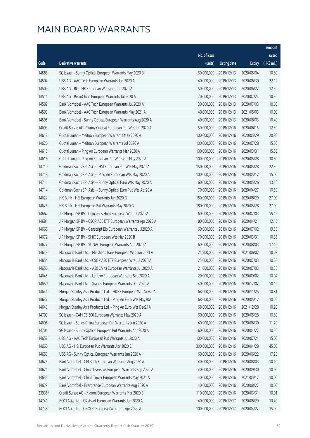|        |                                                              |              |                       |               | Amount      |
|--------|--------------------------------------------------------------|--------------|-----------------------|---------------|-------------|
|        |                                                              | No. of issue |                       |               | raised      |
| Code   | Derivative warrants                                          | (units)      | <b>Listing date</b>   | <b>Expiry</b> | (HK\$ mil.) |
| 14588  | SG Issuer - Sunny Optical European Warrants May 2020 B       | 60,000,000   | 2019/12/13            | 2020/05/04    | 10.80       |
| 14504  | UBS AG - AAC Tech European Warrants Jun 2020 A               | 40,000,000   | 2019/12/13            | 2020/06/30    | 22.12       |
| 14509  | UBS AG - BOC HK European Warrants Jun 2020 A                 | 50,000,000   | 2019/12/13            | 2020/06/22    | 12.50       |
| 14514  | UBS AG - PetroChina European Warrants Jul 2020 A             | 70,000,000   | 2019/12/13            | 2020/07/24    | 10.50       |
| 14589  | Bank Vontobel - AAC Tech European Warrants Jul 2020 A        | 30,000,000   | 2019/12/13            | 2020/07/03    | 10.80       |
| 14593  | Bank Vontobel - AAC Tech European Warrants May 2021 A        | 40,000,000   | 2019/12/13            | 2021/05/03    | 10.00       |
| 14595  | Bank Vontobel - Sunny Optical European Warrants Aug 2020 A   | 40,000,000   | 2019/12/13            | 2020/08/03    | 10.40       |
| 14693  | Credit Suisse AG - Sunny Optical European Put Wts Jun 2020 A | 50,000,000   | 2019/12/16            | 2020/06/15    | 12.50       |
| 14618  | Guotai Junan - Meituan European Warrants May 2020 A          | 100,000,000  | 2019/12/16            | 2020/05/29    | 20.80       |
| 14620  | Guotai Junan - Meituan European Warrants Jul 2020 A          | 100,000,000  | 2019/12/16            | 2020/07/28    | 15.80       |
| 14615  | Guotai Junan - Ping An European Warrants Mar 2020 A          | 100,000,000  | 2019/12/16            | 2020/03/31    | 15.50       |
| 14616  | Guotai Junan - Ping An European Put Warrants May 2020 A      | 100,000,000  | 2019/12/16            | 2020/05/28    | 30.80       |
| 14710  | Goldman Sachs SP (Asia) - HSI European Put Wts May 2020 A    | 150,000,000  | 2019/12/16            | 2020/05/28    | 22.50       |
| 14719  | Goldman Sachs SP (Asia) - Ping An European Wts May 2020 A    | 100,000,000  | 2019/12/16            | 2020/05/12    | 15.00       |
| 14711  | Goldman Sachs SP (Asia) - Sunny Optical Euro Wts May 2020 A  | 60,000,000   | 2019/12/16            | 2020/05/26    | 13.56       |
| 14714  | Goldman Sachs SP (Asia) - Sunny Optical Euro Put Wts Apr20 A | 70,000,000   | 2019/12/16            | 2020/04/27    | 10.50       |
| 14627  | HK Bank - HSI European Warrants Jun 2020 G                   | 180,000,000  | 2019/12/16            | 2020/06/29    | 27.00       |
| 14626  | HK Bank - HSI European Put Warrants May 2020 G               | 180,000,000  | 2019/12/16            | 2020/05/28    | 27.00       |
| 14662  | J P Morgan SP BV - China Gas Hold European Wts Jul 2020 A    | 60,000,000   | 2019/12/16            | 2020/07/03    | 15.12       |
| 14681  | J P Morgan SP BV - CSOP A50 ETF European Warrants Apr 2020 A | 80,000,000   | 2019/12/16            | 2020/04/21    | 12.16       |
| 14666  | J P Morgan SP BV - Genscript Bio European Warrants Jul2020 A | 60,000,000   | 2019/12/16            | 2020/07/02    | 19.38       |
| 14672  | J P Morgan SP BV - SMIC European Wts Mar 2020 B              | 70,000,000   | 2019/12/16            | 2020/03/31    | 10.85       |
| 14677  | J P Morgan SP BV - SUNAC European Warrants Aug 2020 A        | 60,000,000   | 2019/12/16            | 2020/08/03    | 17.46       |
| 14649  | Macquarie Bank Ltd. - Minsheng Bank European Wts Jun 2021 A  | 24,900,000   | 2019/12/16            | 2021/06/02    | 10.03       |
| 14654  | Macquarie Bank Ltd. - CSOP A50 ETF European Wts Jul 2020 A   | 25,000,000   | 2019/12/16            | 2020/07/03    | 10.65       |
| 14656  | Macquarie Bank Ltd. - A50 China European Warrants Jul 2020 A | 21,000,000   | 2019/12/16            | 2020/07/03    | 10.35       |
| 14645  | Macquarie Bank Ltd. - Lenovo European Warrants Sep 2020 A    |              | 20,000,000 2019/12/16 | 2020/09/02    | 10.04       |
| 14650  | Macquarie Bank Ltd. - Xiaomi European Warrants Dec 2020 A    | 40,000,000   | 2019/12/16            | 2020/12/02    | 10.12       |
| 14644  | Morgan Stanley Asia Products Ltd. - HKEX European Wts Nov20A | 68,000,000   | 2019/12/16            | 2020/11/25    | 10.81       |
| 14637  | Morgan Stanley Asia Products Ltd. - Ping An Euro Wts May20A  | 68,000,000   | 2019/12/16            | 2020/05/12    | 10.20       |
| 14643  | Morgan Stanley Asia Products Ltd. - Ping An Euro Wts Dec21A  | 68,000,000   | 2019/12/16            | 2021/12/28    | 10.20       |
| 14709  | SG Issuer - CAM CSI300 European Warrants May 2020 A          | 60,000,000   | 2019/12/16            | 2020/05/26    | 10.80       |
| 14696  | SG Issuer - Sands China European Put Warrants Jun 2020 A     | 40,000,000   | 2019/12/16            | 2020/06/30    | 11.20       |
| 14701  | SG Issuer - Sunny Optical European Put Warrants Apr 2020 A   | 60,000,000   | 2019/12/16            | 2020/04/27    | 10.20       |
| 14657  | UBS AG - AAC Tech European Put Warrants Jul 2020 A           | 100,000,000  | 2019/12/16            | 2020/07/24    | 15.00       |
| 14660  | UBS AG - HSI European Put Warrants Apr 2020 C                | 300,000,000  | 2019/12/16            | 2020/04/28    | 45.00       |
| 14658  | UBS AG - Sunny Optical European Warrants Jun 2020 A          | 60,000,000   | 2019/12/16            | 2020/06/22    | 17.28       |
| 14625  | Bank Vontobel - CM Bank European Warrants Aug 2020 A         | 40,000,000   | 2019/12/16            | 2020/08/03    | 10.40       |
| 14621  | Bank Vontobel - China Overseas European Warrants Sep 2020 A  | 40,000,000   | 2019/12/16            | 2020/09/30    | 10.00       |
| 14635  | Bank Vontobel - China Tower European Warrants May 2021 A     | 40,000,000   | 2019/12/16            | 2021/05/17    | 10.00       |
| 14629  | Bank Vontobel - Evergrande European Warrants Aug 2020 A      | 40,000,000   | 2019/12/16            | 2020/08/27    | 10.00       |
| 23936# | Credit Suisse AG - Xiaomi European Warrants Mar 2020 B       | 110,000,000  | 2019/12/16            | 2020/03/31    | 10.01       |
| 14741  | BOCI Asia Ltd. - CK Asset European Warrants Jun 2020 A       | 40,000,000   | 2019/12/17            | 2020/06/29    | 10.40       |
| 14738  | BOCI Asia Ltd. - CNOOC European Warrants Apr 2020 A          | 100,000,000  | 2019/12/17            | 2020/04/22    | 15.00       |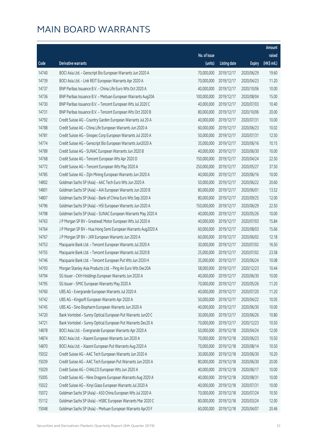|       |                                                              |              |                       |               | Amount      |
|-------|--------------------------------------------------------------|--------------|-----------------------|---------------|-------------|
|       |                                                              | No. of issue |                       |               | raised      |
| Code  | <b>Derivative warrants</b>                                   | (units)      | <b>Listing date</b>   | <b>Expiry</b> | (HK\$ mil.) |
| 14740 | BOCI Asia Ltd. - Genscript Bio European Warrants Jun 2020 A  | 70,000,000   | 2019/12/17            | 2020/06/29    | 19.60       |
| 14739 | BOCI Asia Ltd. - Link REIT European Warrants Apr 2020 A      | 70,000,000   | 2019/12/17            | 2020/04/23    | 11.20       |
| 14737 | BNP Paribas Issuance B.V. - China Life Euro Wts Oct 2020 A   | 40,000,000   | 2019/12/17            | 2020/10/06    | 10.00       |
| 14736 | BNP Paribas Issuance B.V. - Meituan European Warrants Aug20A | 100,000,000  | 2019/12/17            | 2020/08/04    | 15.00       |
| 14730 | BNP Paribas Issuance B.V. - Tencent European Wts Jul 2020 C  | 40,000,000   | 2019/12/17            | 2020/07/03    | 10.40       |
| 14731 | BNP Paribas Issuance B.V. - Tencent European Wts Oct 2020 B  | 80,000,000   | 2019/12/17            | 2020/10/06    | 20.00       |
| 14792 | Credit Suisse AG - Country Garden European Warrants Jul 20 A | 40,000,000   | 2019/12/17            | 2020/07/31    | 10.00       |
| 14788 | Credit Suisse AG - China Life European Warrants Jun 2020 A   | 60,000,000   | 2019/12/17            | 2020/06/23    | 10.02       |
| 14781 | Credit Suisse AG - Sinopec Corp European Warrants Jul 2020 A | 50,000,000   | 2019/12/17            | 2020/07/31    | 12.50       |
| 14774 | Credit Suisse AG - Genscript Bio European Warrants Jun2020 A | 35,000,000   | 2019/12/17            | 2020/06/16    | 10.15       |
| 14789 | Credit Suisse AG - SUNAC European Warrants Jun 2020 B        | 40,000,000   | 2019/12/17            | 2020/06/30    | 10.00       |
| 14768 | Credit Suisse AG - Tencent European Wts Apr 2020 D           | 150,000,000  | 2019/12/17            | 2020/04/24    | 22.50       |
| 14772 | Credit Suisse AG - Tencent European Wts May 2020 A           | 250,000,000  | 2019/12/17            | 2020/05/27    | 37.50       |
| 14785 | Credit Suisse AG - Zijin Mining European Warrants Jun 2020 A | 40,000,000   | 2019/12/17            | 2020/06/16    | 10.00       |
| 14802 | Goldman Sachs SP (Asia) - AAC Tech Euro Wts Jun 2020 A       | 50,000,000   | 2019/12/17            | 2020/06/22    | 20.60       |
| 14801 | Goldman Sachs SP (Asia) - AIA European Warrants Jun 2020 B   | 80,000,000   | 2019/12/17            | 2020/06/01    | 13.52       |
| 14807 | Goldman Sachs SP (Asia) - Bank of China Euro Wts Sep 2020 A  | 80,000,000   | 2019/12/17            | 2020/09/25    | 12.00       |
| 14796 | Goldman Sachs SP (Asia) - HSI European Warrants Jun 2020 A   | 150,000,000  | 2019/12/17            | 2020/06/29    | 22.50       |
| 14798 | Goldman Sachs SP (Asia) - SUNAC European Warrants May 2020 A | 40,000,000   | 2019/12/17            | 2020/05/26    | 10.00       |
| 14763 | J P Morgan SP BV - Greatwall Motor European Wts Jul 2020 A   | 40,000,000   | 2019/12/17            | 2020/07/03    | 15.84       |
| 14764 | J P Morgan SP BV - Hua Hong Semi European Warrants Aug2020 A | 60,000,000   | 2019/12/17            | 2020/08/03    | 15.66       |
| 14767 | J P Morgan SP BV - JXR European Warrants Jun 2020 A          | 60,000,000   | 2019/12/17            | 2020/06/02    | 12.18       |
| 14753 | Macquarie Bank Ltd. - Tencent European Warrants Jul 2020 A   | 30,000,000   | 2019/12/17            | 2020/07/02    | 16.50       |
| 14755 | Macquarie Bank Ltd. - Tencent European Warrants Jul 2020 B   | 25,000,000   | 2019/12/17            | 2020/07/02    | 23.58       |
| 14746 | Macquarie Bank Ltd. - Tencent European Put Wts Jun 2020 H    | 35,000,000   | 2019/12/17            | 2020/06/24    | 10.08       |
| 14793 | Morgan Stanley Asia Products Ltd. - Ping An Euro Wts Dec20A  | 58,000,000   | 2019/12/17            | 2020/12/23    | 10.44       |
| 14794 | SG Issuer - CKH Holdings European Warrants Jun 2020 A        |              | 40,000,000 2019/12/17 | 2020/06/30    | 10.00       |
| 14795 | SG Issuer - SMIC European Warrants May 2020 A                | 70,000,000   | 2019/12/17            | 2020/05/26    | 11.20       |
| 14760 | UBS AG - Evergrande European Warrants Jul 2020 A             | 40,000,000   | 2019/12/17            | 2020/07/20    | 11.20       |
| 14742 | UBS AG - Kingsoft European Warrants Apr 2020 A               | 50,000,000   | 2019/12/17            | 2020/04/22    | 10.05       |
| 14745 | UBS AG - Sino Biopharm European Warrants Jun 2020 A          | 40,000,000   | 2019/12/17            | 2020/06/30    | 10.00       |
| 14720 | Bank Vontobel - Sunny Optical European Put Warrants Jun20 C  | 30,000,000   | 2019/12/17            | 2020/06/26    | 10.80       |
| 14721 | Bank Vontobel - Sunny Optical European Put Warrants Dec20 A  | 70,000,000   | 2019/12/17            | 2020/12/23    | 10.50       |
| 14878 | BOCI Asia Ltd. - Evergrande European Warrants Apr 2020 A     | 50,000,000   | 2019/12/18            | 2020/04/24    | 12.00       |
| 14874 | BOCI Asia Ltd. - Xiaomi European Warrants Jun 2020 A         | 70,000,000   | 2019/12/18            | 2020/06/23    | 10.50       |
| 14870 | BOCI Asia Ltd. - Xiaomi European Put Warrants Aug 2020 A     | 70,000,000   | 2019/12/18            | 2020/08/14    | 10.50       |
| 15032 | Credit Suisse AG - AAC Tech European Warrants Jun 2020 A     | 30,000,000   | 2019/12/18            | 2020/06/30    | 10.20       |
| 15039 | Credit Suisse AG - AAC Tech European Put Warrants Jun 2020 A | 80,000,000   | 2019/12/18            | 2020/06/30    | 20.00       |
| 15029 | Credit Suisse AG - CHALCO European Wts Jun 2020 A            | 40,000,000   | 2019/12/18            | 2020/06/17    | 10.00       |
| 15005 | Credit Suisse AG - Nine Dragons European Warrants Aug 2020 A | 40,000,000   | 2019/12/18            | 2020/08/31    | 10.00       |
| 15022 | Credit Suisse AG - Xinyi Glass European Warrants Jul 2020 A  | 40,000,000   | 2019/12/18            | 2020/07/31    | 10.00       |
| 15072 | Goldman Sachs SP (Asia) - A50 China European Wts Jul 2020 A  | 70,000,000   | 2019/12/18            | 2020/07/24    | 10.50       |
| 15112 | Goldman Sachs SP (Asia) - HSBC European Warrants Mar 2020 C  | 80,000,000   | 2019/12/18            | 2020/03/24    | 12.00       |
| 15048 | Goldman Sachs SP (Asia) - Meituan European Warrants Apr20 F  | 60,000,000   | 2019/12/18            | 2020/04/07    | 20.46       |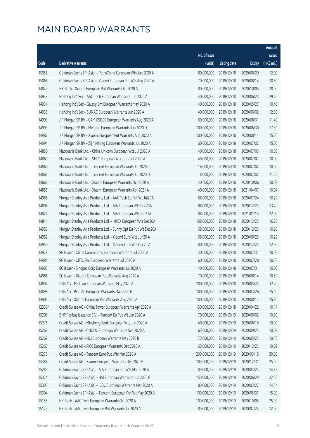|        |                                                                |              |                       |               | Amount      |
|--------|----------------------------------------------------------------|--------------|-----------------------|---------------|-------------|
|        |                                                                | No. of issue |                       |               | raised      |
| Code   | <b>Derivative warrants</b>                                     | (units)      | <b>Listing date</b>   | <b>Expiry</b> | (HK\$ mil.) |
| 15058  | Goldman Sachs SP (Asia) - PetroChina European Wts Jun 2020 A   | 80,000,000   | 2019/12/18            | 2020/06/29    | 12.00       |
| 15066  | Goldman Sachs SP (Asia) - Xiaomi European Put Wts Aug 2020 A   | 70,000,000   | 2019/12/18            | 2020/08/14    | 10.50       |
| 14849  | HK Bank - Xiaomi European Put Warrants Oct 2020 A              | 80,000,000   | 2019/12/18            | 2020/10/05    | 20.00       |
| 14943  | Haitong Int'l Sec - AAC Tech European Warrants Jun 2020 A      | 40,000,000   | 2019/12/18            | 2020/06/23    | 29.20       |
| 14934  | Haitong Int'l Sec - Galaxy Ent European Warrants May 2020 A    | 40,000,000   | 2019/12/18            | 2020/05/27    | 10.40       |
| 14935  | Haitong Int'l Sec - SUNAC European Warrants Jun 2020 A         | 40,000,000   | 2019/12/18            | 2020/06/02    | 12.80       |
| 14993  | J P Morgan SP BV - CAM CSI300 European Warrants Aug 2020 A     | 60,000,000   | 2019/12/18            | 2020/08/31    | 11.40       |
| 14999  | J P Morgan SP BV - Meituan European Warrants Jun 2020 D        | 100,000,000  | 2019/12/18            | 2020/06/30    | 17.30       |
| 14987  | J P Morgan SP BV - Xiaomi European Put Warrants Aug 2020 A     | 100,000,000  | 2019/12/18            | 2020/08/14    | 15.20       |
| 14994  | J P Morgan SP BV - Zijin Mining European Warrants Jul 2020 A   | 60,000,000   | 2019/12/18            | 2020/07/02    | 15.06       |
| 14850  | Macquarie Bank Ltd. - China Unicom European Wts Jul 2020 A     | 40,000,000   | 2019/12/18            | 2020/07/03    | 10.08       |
| 14869  | Macquarie Bank Ltd. - SMIC European Warrants Jul 2020 A        | 40,000,000   | 2019/12/18            | 2020/07/07    | 10.00       |
| 14860  | Macquarie Bank Ltd. - Tencent European Warrants Jul 2020 C     | 16,000,000   | 2019/12/18            | 2020/07/02    | 10.00       |
| 14861  | Macquarie Bank Ltd. - Tencent European Warrants Jul 2020 D     | 8,000,000    | 2019/12/18            | 2020/07/02    | 11.25       |
| 14866  | Macquarie Bank Ltd. - Xiaomi European Warrants Oct 2020 A      | 40,000,000   | 2019/12/18            | 2020/10/06    | 10.08       |
| 14855  | Macquarie Bank Ltd. - Xiaomi European Warrants Apr 2021 A      | 40,000,000   | 2019/12/18            | 2021/04/07    | 10.04       |
| 14966  | Morgan Stanley Asia Products Ltd. - AAC Tech Eu Put Wt Jul20A  | 68,000,000   | 2019/12/18            | 2020/07/24    | 10.20       |
| 14808  | Morgan Stanley Asia Products Ltd. - AIA European Wts Dec20A    | 88,000,000   | 2019/12/18            | 2020/12/23    | 13.20       |
| 14824  | Morgan Stanley Asia Products Ltd. - AIA European Wts Jan21A    | 88,000,000   | 2019/12/18            | 2021/01/15    | 22.00       |
| 14841  | Morgan Stanley Asia Products Ltd. - HKEX European Wts Dec20A   | 108,000,000  | 2019/12/18            | 2020/12/23    | 16.20       |
| 14958  | Morgan Stanley Asia Products Ltd. - Sunny Opt Eu Put Wt Dec20A | 68,000,000   | 2019/12/18            | 2020/12/23    | 10.20       |
| 14952  | Morgan Stanley Asia Products Ltd. - Xiaomi Euro Wts Jun20 A    | 68,000,000   | 2019/12/18            | 2020/06/23    | 10.20       |
| 14950  | Morgan Stanley Asia Products Ltd. - Xiaomi Euro Wts Dec20 A    | 80,000,000   | 2019/12/18            | 2020/12/22    | 12.96       |
| 14978  | SG Issuer - China Comm Cons European Warrants Jul 2020 A       | 30,000,000   | 2019/12/18            | 2020/07/31    | 10.05       |
| 14984  | SG Issuer - CITIC Sec European Warrants Jul 2020 A             | 60,000,000   | 2019/12/18            | 2020/07/28    | 10.20       |
| 14983  | SG Issuer - Sinopec Corp European Warrants Jul 2020 A          | 40,000,000   | 2019/12/18            | 2020/07/31    | 10.00       |
| 14986  | SG Issuer - Xiaomi European Put Warrants Aug 2020 A            |              | 70,000,000 2019/12/18 | 2020/08/14    | 10.50       |
| 14894  | UBS AG - Meituan European Warrants May 2020 A                  | 200,000,000  | 2019/12/18            | 2020/05/22    | 32.20       |
| 14898  | UBS AG - Ping An European Warrants Mar 2020 F                  | 100,000,000  | 2019/12/18            | 2020/03/26    | 15.10       |
| 14905  | UBS AG - Xiaomi European Put Warrants Aug 2020 A               | 100,000,000  | 2019/12/18            | 2020/08/14    | 15.30       |
| 12336# | Credit Suisse AG - China Tower European Warrants Apr 2020 A    | 130,000,000  | 2019/12/18            | 2020/04/22    | 10.14       |
| 15208  | BNP Paribas Issuance B.V. - Tencent Eu Put Wt Jun 2020 A       | 70,000,000   | 2019/12/19            | 2020/06/02    | 10.50       |
| 15275  | Credit Suisse AG - Minsheng Bank European Wts Jun 2020 A       | 40,000,000   | 2019/12/19            | 2020/06/18    | 10.00       |
| 15263  | Credit Suisse AG - CNOOC European Warrants Sep 2020 A          | 60,000,000   | 2019/12/19            | 2020/09/25    | 10.02       |
| 15269  | Credit Suisse AG - NCI European Warrants May 2020 B            | 70,000,000   | 2019/12/19            | 2020/05/22    | 10.50       |
| 15265  | Credit Suisse AG - PICC European Warrants Dec 2020 A           | 60,000,000   | 2019/12/19            | 2020/12/23    | 10.02       |
| 15278  | Credit Suisse AG - Tencent Euro Put Wts Mar 2020 A             | 200,000,000  | 2019/12/19            | 2020/03/18    | 30.00       |
| 15388  | Credit Suisse AG - Xiaomi European Warrants Dec 2020 B         | 100,000,000  | 2019/12/19            | 2020/12/31    | 25.00       |
| 15289  | Goldman Sachs SP (Asia) - AIA European Put Wts Mar 2020 A      | 80,000,000   | 2019/12/19            | 2020/03/24    | 14.32       |
| 15324  | Goldman Sachs SP (Asia) - HSI European Warrants Jun 2020 B     | 150,000,000  | 2019/12/19            | 2020/06/29    | 22.50       |
| 15303  | Goldman Sachs SP (Asia) - ICBC European Warrants Mar 2020 A    | 80,000,000   | 2019/12/19            | 2020/03/27    | 14.64       |
| 15304  | Goldman Sachs SP (Asia) - Tencent European Put Wt May 2020 B   | 100,000,000  | 2019/12/19            | 2020/05/27    | 15.00       |
| 15155  | HK Bank - AAC Tech European Warrants Oct 2020 A                | 100,000,000  | 2019/12/19            | 2020/10/05    | 25.00       |
| 15123  | HK Bank - AAC Tech European Put Warrants Jul 2020 A            | 80,000,000   | 2019/12/19            | 2020/07/24    | 12.00       |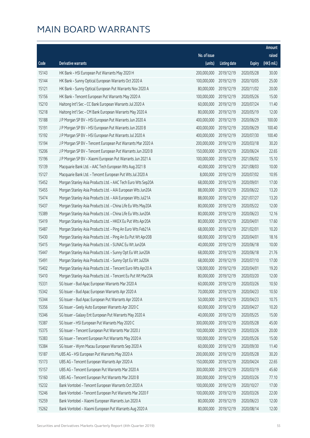|       |                                                              |              |                       |               | Amount      |
|-------|--------------------------------------------------------------|--------------|-----------------------|---------------|-------------|
|       |                                                              | No. of issue |                       |               | raised      |
| Code  | Derivative warrants                                          | (units)      | <b>Listing date</b>   | <b>Expiry</b> | (HK\$ mil.) |
| 15143 | HK Bank - HSI European Put Warrants May 2020 H               | 200,000,000  | 2019/12/19            | 2020/05/28    | 30.00       |
| 15144 | HK Bank - Sunny Optical European Warrants Oct 2020 A         | 100,000,000  | 2019/12/19            | 2020/10/05    | 25.00       |
| 15121 | HK Bank - Sunny Optical European Put Warrants Nov 2020 A     | 80,000,000   | 2019/12/19            | 2020/11/02    | 20.00       |
| 15156 | HK Bank - Tencent European Put Warrants May 2020 A           | 100,000,000  | 2019/12/19            | 2020/05/26    | 15.00       |
| 15210 | Haitong Int'l Sec - CC Bank European Warrants Jul 2020 A     | 60,000,000   | 2019/12/19            | 2020/07/24    | 11.40       |
| 15218 | Haitong Int'l Sec - CM Bank European Warrants May 2020 A     | 80,000,000   | 2019/12/19            | 2020/05/19    | 12.00       |
| 15188 | J P Morgan SP BV - HSI European Put Warrants Jun 2020 A      | 400,000,000  | 2019/12/19            | 2020/06/29    | 100.00      |
| 15191 | J P Morgan SP BV - HSI European Put Warrants Jun 2020 B      | 400,000,000  | 2019/12/19            | 2020/06/29    | 100.40      |
| 15192 | J P Morgan SP BV - HSI European Put Warrants Jul 2020 A      | 400,000,000  | 2019/12/19            | 2020/07/30    | 100.40      |
| 15194 | J P Morgan SP BV - Tencent European Put Warrants Mar 2020 A  | 200,000,000  | 2019/12/19            | 2020/03/18    | 30.20       |
| 15206 | J P Morgan SP BV - Tencent European Put Warrants Jun 2020 B  | 150,000,000  | 2019/12/19            | 2020/06/24    | 22.65       |
| 15196 | J P Morgan SP BV - Xiaomi European Put Warrants Jun 2021 A   | 100,000,000  | 2019/12/19            | 2021/06/02    | 15.10       |
| 15139 | Macquarie Bank Ltd. - AAC Tech European Wts Aug 2021 B       | 40,000,000   | 2019/12/19            | 2021/08/03    | 10.00       |
| 15127 | Macquarie Bank Ltd. - Tencent European Put Wts Jul 2020 A    | 8,000,000    | 2019/12/19            | 2020/07/02    | 10.95       |
| 15452 | Morgan Stanley Asia Products Ltd. - AAC Tech Euro Wts Sep20A | 68,000,000   | 2019/12/19            | 2020/09/01    | 17.00       |
| 15455 | Morgan Stanley Asia Products Ltd. - AIA European Wts Jun20A  | 88,000,000   | 2019/12/19            | 2020/06/22    | 13.20       |
| 15474 | Morgan Stanley Asia Products Ltd. - AIA European Wts Jul21A  | 88,000,000   | 2019/12/19            | 2021/07/27    | 13.20       |
| 15437 | Morgan Stanley Asia Products Ltd. - China Life Eu Wts May20A | 80,000,000   | 2019/12/19            | 2020/05/22    | 12.00       |
| 15389 | Morgan Stanley Asia Products Ltd. - China Life Eu Wts Jun20A | 80,000,000   | 2019/12/19            | 2020/06/23    | 12.16       |
| 15419 | Morgan Stanley Asia Products Ltd. - HKEX Eu Put Wts Apr20A   | 80,000,000   | 2019/12/19            | 2020/04/01    | 17.60       |
| 15487 | Morgan Stanley Asia Products Ltd. - Ping An Euro Wts Feb21A  | 68,000,000   | 2019/12/19            | 2021/02/01    | 10.20       |
| 15430 | Morgan Stanley Asia Products Ltd. - Ping An Eu Put Wt Apr20B | 68,000,000   | 2019/12/19            | 2020/04/01    | 18.16       |
| 15415 | Morgan Stanley Asia Products Ltd. - SUNAC Eu Wt Jun20A       | 40,000,000   | 2019/12/19            | 2020/06/18    | 10.00       |
| 15447 | Morgan Stanley Asia Products Ltd. - Sunny Opt Eu Wt Jun20A   | 68,000,000   | 2019/12/19            | 2020/06/18    | 21.76       |
| 15491 | Morgan Stanley Asia Products Ltd. - Sunny Opt Eu Wt Jul20A   | 68,000,000   | 2019/12/19            | 2020/07/10    | 17.00       |
| 15402 | Morgan Stanley Asia Products Ltd. - Tencent Euro Wts Apr20 A | 128,000,000  | 2019/12/19            | 2020/04/01    | 19.20       |
| 15410 | Morgan Stanley Asia Products Ltd. - Tencent Eu Put Wt Mar20A |              | 80,000,000 2019/12/19 | 2020/03/20    | 12.00       |
| 15331 | SG Issuer - Bud Apac European Warrants Mar 2020 A            | 60,000,000   | 2019/12/19            | 2020/03/26    | 10.50       |
| 15342 | SG Issuer - Bud Apac European Warrants Apr 2020 A            | 70,000,000   | 2019/12/19            | 2020/04/23    | 10.50       |
| 15344 | SG Issuer - Bud Apac European Put Warrants Apr 2020 A        | 50,000,000   | 2019/12/19            | 2020/04/23    | 10.75       |
| 15356 | SG Issuer - Geely Auto European Warrants Apr 2020 C          | 60,000,000   | 2019/12/19            | 2020/04/27    | 10.20       |
| 15346 | SG Issuer - Galaxy Ent European Put Warrants May 2020 A      | 40,000,000   | 2019/12/19            | 2020/05/25    | 15.00       |
| 15387 | SG Issuer - HSI European Put Warrants May 2020 C             | 300,000,000  | 2019/12/19            | 2020/05/28    | 45.00       |
| 15375 | SG Issuer - Tencent European Put Warrants Mar 2020 J         | 100,000,000  | 2019/12/19            | 2020/03/26    | 20.00       |
| 15383 | SG Issuer - Tencent European Put Warrants May 2020 A         | 100,000,000  | 2019/12/19            | 2020/05/26    | 15.00       |
| 15384 | SG Issuer - Wynn Macau European Warrants Sep 2020 A          | 60,000,000   | 2019/12/19            | 2020/09/30    | 11.40       |
| 15187 | UBS AG - HSI European Put Warrants May 2020 A                | 200,000,000  | 2019/12/19            | 2020/05/28    | 30.20       |
| 15173 | UBS AG - Tencent European Warrants Apr 2020 A                | 150,000,000  | 2019/12/19            | 2020/04/24    | 22.65       |
| 15157 | UBS AG - Tencent European Put Warrants Mar 2020 A            | 300,000,000  | 2019/12/19            | 2020/03/19    | 45.60       |
| 15160 | UBS AG - Tencent European Put Warrants Mar 2020 B            | 300,000,000  | 2019/12/19            | 2020/03/26    | 77.10       |
| 15232 | Bank Vontobel - Tencent European Warrants Oct 2020 A         | 100,000,000  | 2019/12/19            | 2020/10/27    | 17.00       |
| 15246 | Bank Vontobel - Tencent European Put Warrants Mar 2020 F     | 100,000,000  | 2019/12/19            | 2020/03/26    | 22.00       |
| 15259 | Bank Vontobel - Xiaomi European Warrants Jun 2020 A          | 80,000,000   | 2019/12/19            | 2020/06/23    | 12.00       |
| 15262 | Bank Vontobel - Xiaomi European Put Warrants Aug 2020 A      | 80,000,000   | 2019/12/19            | 2020/08/14    | 12.00       |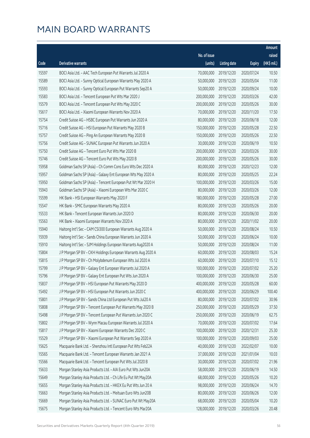|       |                                                              |                        |                     |               | Amount      |
|-------|--------------------------------------------------------------|------------------------|---------------------|---------------|-------------|
|       |                                                              | No. of issue           |                     |               | raised      |
| Code  | Derivative warrants                                          | (units)                | <b>Listing date</b> | <b>Expiry</b> | (HK\$ mil.) |
| 15597 | BOCI Asia Ltd. - AAC Tech European Put Warrants Jul 2020 A   | 70,000,000             | 2019/12/20          | 2020/07/24    | 10.50       |
| 15589 | BOCI Asia Ltd. - Sunny Optical European Warrants May 2020 A  | 50,000,000             | 2019/12/20          | 2020/05/04    | 11.00       |
| 15593 | BOCI Asia Ltd. - Sunny Optical European Put Warrants Sep20 A | 50,000,000             | 2019/12/20          | 2020/09/24    | 10.00       |
| 15583 | BOCI Asia Ltd. - Tencent European Put Wts Mar 2020 J         | 200,000,000            | 2019/12/20          | 2020/03/26    | 42.00       |
| 15579 | BOCI Asia Ltd. - Tencent European Put Wts May 2020 C         | 200,000,000            | 2019/12/20          | 2020/05/26    | 30.00       |
| 15617 | BOCI Asia Ltd. - Xiaomi European Warrants Nov 2020 A         | 70,000,000             | 2019/12/20          | 2020/11/20    | 17.50       |
| 15754 | Credit Suisse AG - HSBC European Put Warrants Jun 2020 A     | 80,000,000             | 2019/12/20          | 2020/06/18    | 12.00       |
| 15716 | Credit Suisse AG - HSI European Put Warrants May 2020 B      | 150,000,000            | 2019/12/20          | 2020/05/28    | 22.50       |
| 15757 | Credit Suisse AG - Ping An European Warrants May 2020 B      | 150,000,000            | 2019/12/20          | 2020/05/26    | 22.50       |
| 15756 | Credit Suisse AG - SUNAC European Put Warrants Jun 2020 A    | 30,000,000             | 2019/12/20          | 2020/06/19    | 10.50       |
| 15750 | Credit Suisse AG - Tencent Euro Put Wts Mar 2020 B           | 200,000,000            | 2019/12/20          | 2020/03/26    | 30.00       |
| 15746 | Credit Suisse AG - Tencent Euro Put Wts May 2020 B           | 200,000,000            | 2019/12/20          | 2020/05/26    | 30.00       |
| 15958 | Goldman Sachs SP (Asia) - Ch Comm Cons Euro Wts Dec 2020 A   | 80,000,000             | 2019/12/20          | 2020/12/23    | 12.00       |
| 15957 | Goldman Sachs SP (Asia) - Galaxy Ent European Wts May 2020 A | 80,000,000             | 2019/12/20          | 2020/05/25    | 22.24       |
| 15950 | Goldman Sachs SP (Asia) - Tencent European Put Wt Mar 2020 H | 100,000,000            | 2019/12/20          | 2020/03/26    | 15.00       |
| 15943 | Goldman Sachs SP (Asia) - Xiaomi European Wts Mar 2020 C     | 80,000,000             | 2019/12/20          | 2020/03/26    | 12.00       |
| 15599 | HK Bank - HSI European Warrants May 2020 F                   | 180,000,000            | 2019/12/20          | 2020/05/28    | 27.00       |
| 15547 | HK Bank - SMIC European Warrants May 2020 A                  | 80,000,000             | 2019/12/20          | 2020/05/26    | 20.00       |
| 15533 | HK Bank - Tencent European Warrants Jun 2020 D               | 80,000,000             | 2019/12/20          | 2020/06/30    | 20.00       |
| 15563 | HK Bank - Xiaomi European Warrants Nov 2020 A                | 80,000,000             | 2019/12/20          | 2020/11/02    | 20.00       |
| 15940 | Haitong Int'l Sec - CAM CSI300 European Warrants Aug 2020 A  | 50,000,000             | 2019/12/20          | 2020/08/24    | 10.50       |
| 15939 | Haitong Int'l Sec - Sands China European Warrants Jun 2020 A | 50,000,000             | 2019/12/20          | 2020/06/24    | 10.00       |
| 15910 | Haitong Int'l Sec - SJM Holdings European Warrants Aug2020 A | 50,000,000             | 2019/12/20          | 2020/08/24    | 11.00       |
| 15804 | J P Morgan SP BV - CKH Holdings European Warrants Aug 2020 A | 60,000,000             | 2019/12/20          | 2020/08/03    | 15.24       |
| 15815 | J P Morgan SP BV - Ch Molybdenum European Wts Jul 2020 A     | 60,000,000             | 2019/12/20          | 2020/07/10    | 15.12       |
| 15799 | J P Morgan SP BV - Galaxy Ent European Warrants Jul 2020 A   | 100,000,000            | 2019/12/20          | 2020/07/02    | 25.20       |
| 15796 | J P Morgan SP BV - Galaxy Ent European Put Wts Jun 2020 A    | 100,000,000 2019/12/20 |                     | 2020/06/30    | 25.00       |
| 15837 | J P Morgan SP BV - HSI European Put Warrants May 2020 D      | 400,000,000            | 2019/12/20          | 2020/05/28    | 60.00       |
| 15492 | J P Morgan SP BV - HSI European Put Warrants Jun 2020 C      | 400,000,000            | 2019/12/20          | 2020/06/29    | 100.40      |
| 15801 | J P Morgan SP BV - Sands China Ltd European Put Wts Jul20 A  | 80,000,000             | 2019/12/20          | 2020/07/02    | 30.96       |
| 15808 | J P Morgan SP BV - Tencent European Put Warrants May 2020 B  | 250,000,000            | 2019/12/20          | 2020/05/29    | 37.50       |
| 15498 | J P Morgan SP BV - Tencent European Put Warrants Jun 2020 C  | 250,000,000            | 2019/12/20          | 2020/06/19    | 62.75       |
| 15802 | J P Morgan SP BV - Wynn Macau European Warrants Jul 2020 A   | 70,000,000             | 2019/12/20          | 2020/07/02    | 17.64       |
| 15817 | J P Morgan SP BV - Xiaomi European Warrants Dec 2020 C       | 100,000,000            | 2019/12/20          | 2020/12/31    | 25.30       |
| 15529 | J P Morgan SP BV - Xiaomi European Put Warrants Sep 2020 A   | 100,000,000            | 2019/12/20          | 2020/09/03    | 25.00       |
| 15625 | Macquarie Bank Ltd. - Shenzhou Intl European Put Wts Feb22A  | 40,000,000             | 2019/12/20          | 2022/02/07    | 10.00       |
| 15565 | Macquarie Bank Ltd. - Tencent European Warrants Jan 2021 A   | 37,000,000             | 2019/12/20          | 2021/01/04    | 10.03       |
| 15566 | Macquarie Bank Ltd. - Tencent European Put Wts Jul 2020 B    | 30,000,000             | 2019/12/20          | 2020/07/02    | 21.96       |
| 15633 | Morgan Stanley Asia Products Ltd. - AIA Euro Put Wts Jun20A  | 58,000,000             | 2019/12/20          | 2020/06/19    | 14.50       |
| 15649 | Morgan Stanley Asia Products Ltd. - Ch Life Eu Put Wt May20A | 68,000,000             | 2019/12/20          | 2020/05/26    | 10.20       |
| 15655 | Morgan Stanley Asia Products Ltd. - HKEX Eu Put Wts Jun 20 A | 98,000,000             | 2019/12/20          | 2020/06/24    | 14.70       |
| 15663 | Morgan Stanley Asia Products Ltd. - Meituan Euro Wts Jun20B  | 80,000,000             | 2019/12/20          | 2020/06/26    | 12.00       |
| 15669 | Morgan Stanley Asia Products Ltd. - SUNAC Euro Put Wt May20A | 68,000,000             | 2019/12/20          | 2020/05/04    | 10.20       |
| 15675 | Morgan Stanley Asia Products Ltd. - Tencent Euro Wts Mar20A  | 128,000,000            | 2019/12/20          | 2020/03/26    | 20.48       |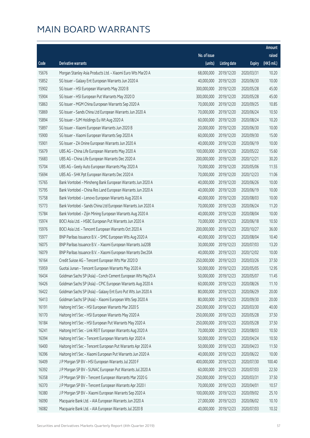|       |                                                              |              |                       |               | Amount      |
|-------|--------------------------------------------------------------|--------------|-----------------------|---------------|-------------|
|       |                                                              | No. of issue |                       |               | raised      |
| Code  | Derivative warrants                                          | (units)      | <b>Listing date</b>   | <b>Expiry</b> | (HK\$ mil.) |
| 15676 | Morgan Stanley Asia Products Ltd. - Xiaomi Euro Wts Mar20 A  | 68,000,000   | 2019/12/20            | 2020/03/31    | 10.20       |
| 15852 | SG Issuer - Galaxy Ent European Warrants Jun 2020 A          | 40,000,000   | 2019/12/20            | 2020/06/30    | 10.00       |
| 15902 | SG Issuer - HSI European Warrants May 2020 B                 | 300,000,000  | 2019/12/20            | 2020/05/28    | 45.00       |
| 15904 | SG Issuer - HSI European Put Warrants May 2020 D             | 300,000,000  | 2019/12/20            | 2020/05/28    | 45.00       |
| 15863 | SG Issuer - MGM China European Warrants Sep 2020 A           | 70,000,000   | 2019/12/20            | 2020/09/25    | 10.85       |
| 15869 | SG Issuer - Sands China Ltd European Warrants Jun 2020 A     | 70,000,000   | 2019/12/20            | 2020/06/24    | 10.50       |
| 15894 | SG Issuer - SJM Holdings Eu Wt Aug 2020 A                    | 60,000,000   | 2019/12/20            | 2020/08/24    | 10.20       |
| 15897 | SG Issuer - Xiaomi European Warrants Jun 2020 B              | 20,000,000   | 2019/12/20            | 2020/06/30    | 10.00       |
| 15900 | SG Issuer - Xiaomi European Warrants Sep 2020 A              | 60,000,000   | 2019/12/20            | 2020/09/30    | 15.00       |
| 15901 | SG Issuer - ZA Onine European Warrants Jun 2020 A            | 40,000,000   | 2019/12/20            | 2020/06/19    | 10.00       |
| 15679 | UBS AG - China Life European Warrants May 2020 A             | 100,000,000  | 2019/12/20            | 2020/05/22    | 15.60       |
| 15683 | UBS AG - China Life European Warrants Dec 2020 A             | 200,000,000  | 2019/12/20            | 2020/12/21    | 30.20       |
| 15704 | UBS AG - Geely Auto European Warrants May 2020 A             | 70,000,000   | 2019/12/20            | 2020/05/06    | 11.55       |
| 15694 | UBS AG - SHK Ppt European Warrants Dec 2020 A                | 70,000,000   | 2019/12/20            | 2020/12/23    | 11.06       |
| 15765 | Bank Vontobel - Minsheng Bank European Warrants Jun 2020 A   | 40,000,000   | 2019/12/20            | 2020/06/26    | 10.00       |
| 15795 | Bank Vontobel - China Res Land European Warrants Jun 2020 A  | 40,000,000   | 2019/12/20            | 2020/06/19    | 10.00       |
| 15758 | Bank Vontobel - Lenovo European Warrants Aug 2020 A          | 40,000,000   | 2019/12/20            | 2020/08/03    | 10.00       |
| 15773 | Bank Vontobel - Sands China Ltd European Warrants Jun 2020 A | 70,000,000   | 2019/12/20            | 2020/06/24    | 11.20       |
| 15784 | Bank Vontobel - Zijin Mining European Warrants Aug 2020 A    | 40,000,000   | 2019/12/20            | 2020/08/04    | 10.00       |
| 15974 | BOCI Asia Ltd. - HSBC European Put Warrants Jun 2020 A       | 70,000,000   | 2019/12/23            | 2020/06/18    | 10.50       |
| 15976 | BOCI Asia Ltd. - Tencent European Warrants Oct 2020 A        | 200,000,000  | 2019/12/23            | 2020/10/27    | 36.00       |
| 15977 | BNP Paribas Issuance B.V. - SMIC European Wts Aug 2020 A     | 40,000,000   | 2019/12/23            | 2020/08/04    | 10.40       |
| 16075 | BNP Paribas Issuance B.V. - Xiaomi European Warrants Jul20B  | 30,000,000   | 2019/12/23            | 2020/07/03    | 13.20       |
| 16079 | BNP Paribas Issuance B.V. - Xiaomi European Warrants Dec20A  | 40,000,000   | 2019/12/23            | 2020/12/02    | 10.00       |
| 16164 | Credit Suisse AG - Tencent European Wts Mar 2020 D           | 250,000,000  | 2019/12/23            | 2020/03/26    | 37.50       |
| 15959 | Guotai Junan - Tencent European Warrants May 2020 A          | 50,000,000   | 2019/12/23            | 2020/05/05    | 12.95       |
| 16434 | Goldman Sachs SP (Asia) - Conch Cement European Wts May20 A  |              | 50,000,000 2019/12/23 | 2020/05/07    | 11.45       |
| 16426 | Goldman Sachs SP (Asia) - CPIC European Warrants Aug 2020 A  | 60,000,000   | 2019/12/23            | 2020/08/26    | 11.10       |
| 16422 | Goldman Sachs SP (Asia) - Galaxy Ent Euro Put Wts Jun 2020 A | 80,000,000   | 2019/12/23            | 2020/06/29    | 20.00       |
| 16413 | Goldman Sachs SP (Asia) - Xiaomi European Wts Sep 2020 A     | 80,000,000   | 2019/12/23            | 2020/09/30    | 20.00       |
| 16191 | Haitong Int'l Sec - HSI European Warrants Mar 2020 S         | 250,000,000  | 2019/12/23            | 2020/03/30    | 40.00       |
| 16170 | Haitong Int'l Sec - HSI European Warrants May 2020 A         | 250,000,000  | 2019/12/23            | 2020/05/28    | 37.50       |
| 16184 | Haitong Int'l Sec - HSI European Put Warrants May 2020 A     | 250,000,000  | 2019/12/23            | 2020/05/28    | 37.50       |
| 16241 | Haitong Int'l Sec - Link REIT European Warrants Aug 2020 A   | 70,000,000   | 2019/12/23            | 2020/08/03    | 10.50       |
| 16394 | Haitong Int'l Sec - Tencent European Warrants Apr 2020 A     | 50,000,000   | 2019/12/23            | 2020/04/24    | 10.50       |
| 16400 | Haitong Int'l Sec - Tencent European Put Warrants Apr 2020 A | 50,000,000   | 2019/12/23            | 2020/04/23    | 11.50       |
| 16396 | Haitong Int'l Sec - Xiaomi European Put Warrants Jun 2020 A  | 40,000,000   | 2019/12/23            | 2020/06/22    | 10.00       |
| 16409 | J P Morgan SP BV - HSI European Warrants Jul 2020 F          | 400,000,000  | 2019/12/23            | 2020/07/30    | 100.40      |
| 16392 | J P Morgan SP BV - SUNAC European Put Warrants Jul 2020 A    | 60,000,000   | 2019/12/23            | 2020/07/03    | 22.50       |
| 16358 | J P Morgan SP BV - Tencent European Warrants Mar 2020 G      | 250,000,000  | 2019/12/23            | 2020/03/31    | 37.50       |
| 16370 | J P Morgan SP BV - Tencent European Warrants Apr 2020 I      | 70,000,000   | 2019/12/23            | 2020/04/01    | 10.57       |
| 16380 | J P Morgan SP BV - Xiaomi European Warrants Sep 2020 A       | 100,000,000  | 2019/12/23            | 2020/09/02    | 25.10       |
| 16090 | Macquarie Bank Ltd. - AIA European Warrants Jun 2020 A       | 27,000,000   | 2019/12/23            | 2020/06/02    | 10.10       |
| 16082 | Macquarie Bank Ltd. - AIA European Warrants Jul 2020 B       | 40,000,000   | 2019/12/23            | 2020/07/03    | 10.32       |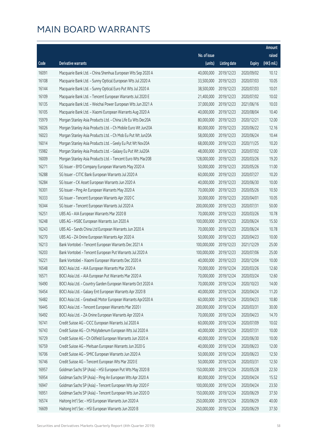|       |                                                              |              |                       |               | Amount      |
|-------|--------------------------------------------------------------|--------------|-----------------------|---------------|-------------|
|       |                                                              | No. of issue |                       |               | raised      |
| Code  | <b>Derivative warrants</b>                                   | (units)      | <b>Listing date</b>   | <b>Expiry</b> | (HK\$ mil.) |
| 16091 | Macquarie Bank Ltd. - China Shenhua European Wts Sep 2020 A  | 40,000,000   | 2019/12/23            | 2020/09/02    | 10.12       |
| 16108 | Macquarie Bank Ltd. - Sunny Optical European Wts Jul 2020 A  | 33,500,000   | 2019/12/23            | 2020/07/03    | 10.05       |
| 16144 | Macquarie Bank Ltd. - Sunny Optical Euro Put Wts Jul 2020 A  | 38,500,000   | 2019/12/23            | 2020/07/03    | 10.01       |
| 16109 | Macquarie Bank Ltd. - Tencent European Warrants Jul 2020 E   | 21,400,000   | 2019/12/23            | 2020/07/02    | 10.02       |
| 16135 | Macquarie Bank Ltd. - Weichai Power European Wts Jun 2021 A  | 37,000,000   | 2019/12/23            | 2021/06/16    | 10.03       |
| 16105 | Macquarie Bank Ltd. - Xiaomi European Warrants Aug 2020 A    | 40,000,000   | 2019/12/23            | 2020/08/04    | 10.40       |
| 15979 | Morgan Stanley Asia Products Ltd. - China Life Eu Wts Dec20A | 80,000,000   | 2019/12/23            | 2020/12/21    | 12.00       |
| 16026 | Morgan Stanley Asia Products Ltd. - Ch Mobile Euro Wt Jun20A | 80,000,000   | 2019/12/23            | 2020/06/22    | 12.16       |
| 16023 | Morgan Stanley Asia Products Ltd. - Ch Mob Eu Put Wt Jun20A  | 58,000,000   | 2019/12/23            | 2020/06/24    | 10.44       |
| 16014 | Morgan Stanley Asia Products Ltd. - Geely Eu Put Wt Nov20A   | 68,000,000   | 2019/12/23            | 2020/11/25    | 10.20       |
| 15982 | Morgan Stanley Asia Products Ltd. - Galaxy Eu Put Wt Jul20A  | 48,000,000   | 2019/12/23            | 2020/07/02    | 12.00       |
| 16009 | Morgan Stanley Asia Products Ltd. - Tencent Euro Wts Mar20B  | 128,000,000  | 2019/12/23            | 2020/03/26    | 19.20       |
| 16271 | SG Issuer - BYD Company European Warrants May 2020 A         | 50,000,000   | 2019/12/23            | 2020/05/26    | 11.00       |
| 16288 | SG Issuer - CITIC Bank European Warrants Jul 2020 A          | 60,000,000   | 2019/12/23            | 2020/07/27    | 10.20       |
| 16284 | SG Issuer - CK Asset European Warrants Jun 2020 A            | 40,000,000   | 2019/12/23            | 2020/06/30    | 10.00       |
| 16301 | SG Issuer - Ping An European Warrants May 2020 A             | 70,000,000   | 2019/12/23            | 2020/05/26    | 10.50       |
| 16333 | SG Issuer - Tencent European Warrants Apr 2020 C             | 30,000,000   | 2019/12/23            | 2020/04/01    | 10.05       |
| 16344 | SG Issuer - Tencent European Warrants Jul 2020 A             | 200,000,000  | 2019/12/23            | 2020/07/31    | 50.00       |
| 16251 | UBS AG - AIA European Warrants Mar 2020 B                    | 70,000,000   | 2019/12/23            | 2020/03/26    | 10.78       |
| 16248 | UBS AG - HSBC European Warrants Jun 2020 A                   | 100,000,000  | 2019/12/23            | 2020/06/24    | 15.50       |
| 16243 | UBS AG - Sands China Ltd European Warrants Jun 2020 A        | 70,000,000   | 2019/12/23            | 2020/06/24    | 10.78       |
| 16270 | UBS AG - ZA Onine European Warrants Apr 2020 A               | 50,000,000   | 2019/12/23            | 2020/04/23    | 10.00       |
| 16213 | Bank Vontobel - Tencent European Warrants Dec 2021 A         | 100,000,000  | 2019/12/23            | 2021/12/29    | 25.00       |
| 16203 | Bank Vontobel - Tencent European Put Warrants Jul 2020 A     | 100,000,000  | 2019/12/23            | 2020/07/06    | 25.00       |
| 16221 | Bank Vontobel - Xiaomi European Warrants Dec 2020 A          | 40,000,000   | 2019/12/23            | 2020/12/04    | 10.00       |
| 16548 | BOCI Asia Ltd. - AIA European Warrants Mar 2020 A            | 70,000,000   | 2019/12/24            | 2020/03/26    | 12.60       |
| 16571 | BOCI Asia Ltd. - AIA European Put Warrants Mar 2020 A        |              | 70,000,000 2019/12/24 | 2020/03/24    | 12.60       |
| 16490 | BOCI Asia Ltd. - Country Garden European Warrants Oct 2020 A | 70,000,000   | 2019/12/24            | 2020/10/23    | 14.00       |
| 16454 | BOCI Asia Ltd. - Galaxy Ent European Warrants Apr 2020 B     | 40,000,000   | 2019/12/24            | 2020/04/24    | 11.20       |
| 16482 | BOCI Asia Ltd. - Greatwall Motor European Warrants Apr2020 A | 60,000,000   | 2019/12/24            | 2020/04/23    | 10.80       |
| 16445 | BOCI Asia Ltd. - Tencent European Warrants Mar 2020 I        | 200,000,000  | 2019/12/24            | 2020/03/31    | 30.00       |
| 16492 | BOCI Asia Ltd. - ZA Onine European Warrants Apr 2020 A       | 70,000,000   | 2019/12/24            | 2020/04/23    | 14.70       |
| 16741 | Credit Suisse AG - CICC European Warrants Jul 2020 A         | 60,000,000   | 2019/12/24            | 2020/07/09    | 10.02       |
| 16743 | Credit Suisse AG - Ch Molybdenum European Wts Jul 2020 A     | 40,000,000   | 2019/12/24            | 2020/07/31    | 10.00       |
| 16729 | Credit Suisse AG - Ch Oilfield European Warrants Jun 2020 A  | 40,000,000   | 2019/12/24            | 2020/06/30    | 10.00       |
| 16759 | Credit Suisse AG - Meituan European Warrants Jun 2020 G      | 40,000,000   | 2019/12/24            | 2020/06/23    | 12.00       |
| 16706 | Credit Suisse AG - SMIC European Warrants Jun 2020 A         | 50,000,000   | 2019/12/24            | 2020/06/23    | 12.50       |
| 16746 | Credit Suisse AG - Tencent European Wts Mar 2020 E           | 50,000,000   | 2019/12/24            | 2020/03/31    | 12.50       |
| 16957 | Goldman Sachs SP (Asia) - HSI European Put Wts May 2020 B    | 150,000,000  | 2019/12/24            | 2020/05/28    | 22.50       |
| 16954 | Goldman Sachs SP (Asia) - Ping An European Wts Apr 2020 A    | 80,000,000   | 2019/12/24            | 2020/04/24    | 15.52       |
| 16947 | Goldman Sachs SP (Asia) - Tencent European Wts Apr 2020 F    | 100,000,000  | 2019/12/24            | 2020/04/24    | 23.50       |
| 16951 | Goldman Sachs SP (Asia) - Tencent European Wts Jun 2020 D    | 150,000,000  | 2019/12/24            | 2020/06/29    | 37.50       |
| 16574 | Haitong Int'l Sec - HSI European Warrants Jun 2020 A         | 250,000,000  | 2019/12/24            | 2020/06/29    | 40.00       |
| 16609 | Haitong Int'l Sec - HSI European Warrants Jun 2020 B         | 250,000,000  | 2019/12/24            | 2020/06/29    | 37.50       |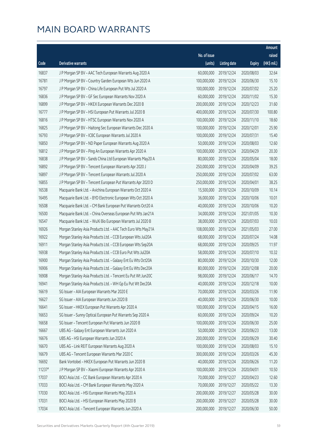|        |                                                              |              |                       |               | Amount      |
|--------|--------------------------------------------------------------|--------------|-----------------------|---------------|-------------|
|        |                                                              | No. of issue |                       |               | raised      |
| Code   | <b>Derivative warrants</b>                                   | (units)      | <b>Listing date</b>   | <b>Expiry</b> | (HK\$ mil.) |
| 16837  | J P Morgan SP BV - AAC Tech European Warrants Aug 2020 A     | 60,000,000   | 2019/12/24            | 2020/08/03    | 32.64       |
| 16781  | J P Morgan SP BV - Country Garden European Wts Jun 2020 A    | 100,000,000  | 2019/12/24            | 2020/06/30    | 15.10       |
| 16797  | J P Morgan SP BV - China Life European Put Wts Jul 2020 A    | 100,000,000  | 2019/12/24            | 2020/07/02    | 25.20       |
| 16836  | J P Morgan SP BV - GF Sec European Warrants Nov 2020 A       | 60,000,000   | 2019/12/24            | 2020/11/02    | 15.30       |
| 16899  | J P Morgan SP BV - HKEX European Warrants Dec 2020 B         | 200,000,000  | 2019/12/24            | 2020/12/23    | 31.60       |
| 16777  | J P Morgan SP BV - HSI European Put Warrants Jul 2020 B      | 400,000,000  | 2019/12/24            | 2020/07/30    | 100.80      |
| 16816  | J P Morgan SP BV - HTSC European Warrants Nov 2020 A         | 100,000,000  | 2019/12/24            | 2020/11/10    | 18.60       |
| 16825  | J P Morgan SP BV - Haitong Sec European Warrants Dec 2020 A  | 100,000,000  | 2019/12/24            | 2020/12/01    | 25.90       |
| 16793  | J P Morgan SP BV - ICBC European Warrants Jul 2020 A         | 100,000,000  | 2019/12/24            | 2020/07/31    | 15.40       |
| 16850  | J P Morgan SP BV - ND Paper European Warrants Aug 2020 A     | 50,000,000   | 2019/12/24            | 2020/08/03    | 12.60       |
| 16812  | J P Morgan SP BV - Ping An European Warrants Apr 2020 A      | 100,000,000  | 2019/12/24            | 2020/04/29    | 20.30       |
| 16838  | J P Morgan SP BV - Sands China Ltd European Warrants May20 A | 80,000,000   | 2019/12/24            | 2020/05/04    | 18.00       |
| 16892  | J P Morgan SP BV - Tencent European Warrants Apr 2020 J      | 250,000,000  | 2019/12/24            | 2020/04/09    | 39.25       |
| 16897  | J P Morgan SP BV - Tencent European Warrants Jul 2020 A      | 250,000,000  | 2019/12/24            | 2020/07/02    | 63.00       |
| 16855  | J P Morgan SP BV - Tencent European Put Warrants Apr 2020 D  | 250,000,000  | 2019/12/24            | 2020/04/01    | 38.25       |
| 16538  | Macquarie Bank Ltd. - Avichina European Warrants Oct 2020 A  | 15,500,000   | 2019/12/24            | 2020/10/09    | 10.14       |
| 16495  | Macquarie Bank Ltd. - BYD Electronic European Wts Oct 2020 A | 36,000,000   | 2019/12/24            | 2020/10/06    | 10.01       |
| 16508  | Macquarie Bank Ltd. - CM Bank European Put Warrants Oct20 A  | 40,000,000   | 2019/12/24            | 2020/10/06    | 10.20       |
| 16500  | Macquarie Bank Ltd. - China Overseas European Put Wts Jan21A | 34,000,000   | 2019/12/24            | 2021/01/05    | 10.30       |
| 16547  | Macquarie Bank Ltd. - WuXi Bio European Warrants Jul 2020 B  | 38,000,000   | 2019/12/24            | 2020/07/03    | 10.03       |
| 16926  | Morgan Stanley Asia Products Ltd. - AAC Tech Euro Wts May21A | 108,000,000  | 2019/12/24            | 2021/05/03    | 27.00       |
| 16922  | Morgan Stanley Asia Products Ltd. - CCB European Wts Jul20A  | 68,000,000   | 2019/12/24            | 2020/07/24    | 14.08       |
| 16911  | Morgan Stanley Asia Products Ltd. - CCB European Wts Sep20A  | 68,000,000   | 2019/12/24            | 2020/09/25    | 11.97       |
| 16938  | Morgan Stanley Asia Products Ltd. - CCB Euro Put Wts Jul20A  | 58,000,000   | 2019/12/24            | 2020/07/10    | 10.32       |
| 16900  | Morgan Stanley Asia Products Ltd. - Galaxy Ent Eu Wts Oct20A | 80,000,000   | 2019/12/24            | 2020/10/30    | 12.00       |
| 16906  | Morgan Stanley Asia Products Ltd. - Galaxy Ent Eu Wts Dec20A | 80,000,000   | 2019/12/24            | 2020/12/08    | 20.00       |
| 16908  | Morgan Stanley Asia Products Ltd. - Tencent Eu Put Wt Jun20C |              | 98,000,000 2019/12/24 | 2020/06/17    | 14.70       |
| 16941  | Morgan Stanley Asia Products Ltd. - WH Gp Eu Put Wt Dec20A   | 40,000,000   | 2019/12/24            | 2020/12/18    | 10.00       |
| 16619  | SG Issuer - AIA European Warrants Mar 2020 E                 | 70,000,000   | 2019/12/24            | 2020/03/26    | 11.90       |
| 16627  | SG Issuer - AIA European Warrants Jun 2020 B                 | 40,000,000   | 2019/12/24            | 2020/06/30    | 10.00       |
| 16641  | SG Issuer - HKEX European Put Warrants Apr 2020 A            | 100,000,000  | 2019/12/24            | 2020/04/15    | 16.00       |
| 16653  | SG Issuer - Sunny Optical European Put Warrants Sep 2020 A   | 60,000,000   | 2019/12/24            | 2020/09/24    | 10.20       |
| 16658  | SG Issuer - Tencent European Put Warrants Jun 2020 B         | 100,000,000  | 2019/12/24            | 2020/06/30    | 25.00       |
| 16667  | UBS AG - Galaxy Ent European Warrants Jun 2020 A             | 50,000,000   | 2019/12/24            | 2020/06/23    | 13.00       |
| 16676  | UBS AG - HSI European Warrants Jun 2020 A                    | 200,000,000  | 2019/12/24            | 2020/06/29    | 30.40       |
| 16670  | UBS AG - Link REIT European Warrants Aug 2020 A              | 100,000,000  | 2019/12/24            | 2020/08/03    | 15.10       |
| 16679  | UBS AG - Tencent European Warrants Mar 2020 C                | 300,000,000  | 2019/12/24            | 2020/03/26    | 45.30       |
| 16692  | Bank Vontobel - HKEX European Put Warrants Jun 2020 B        | 40,000,000   | 2019/12/24            | 2020/06/26    | 11.20       |
| 11237# | J P Morgan SP BV - Xiaomi European Warrants Apr 2020 A       | 100,000,000  | 2019/12/24            | 2020/04/01    | 10.50       |
| 17037  | BOCI Asia Ltd. - CC Bank European Warrants Apr 2020 A        | 70,000,000   | 2019/12/27            | 2020/04/23    | 12.60       |
| 17033  | BOCI Asia Ltd. - CM Bank European Warrants May 2020 A        | 70,000,000   | 2019/12/27            | 2020/05/22    | 13.30       |
| 17030  | BOCI Asia Ltd. - HSI European Warrants May 2020 A            | 200,000,000  | 2019/12/27            | 2020/05/28    | 30.00       |
| 17031  | BOCI Asia Ltd. - HSI European Warrants May 2020 B            | 200,000,000  | 2019/12/27            | 2020/05/28    | 30.00       |
| 17034  | BOCI Asia Ltd. - Tencent European Warrants Jun 2020 A        | 200,000,000  | 2019/12/27            | 2020/06/30    | 50.00       |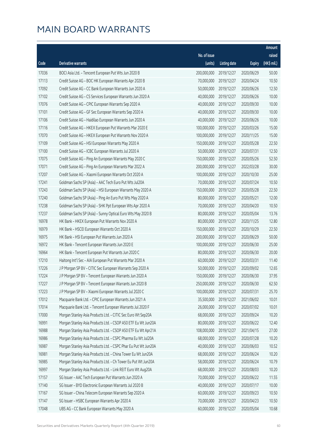|       |                                                                |                        |                     |               | Amount      |
|-------|----------------------------------------------------------------|------------------------|---------------------|---------------|-------------|
|       |                                                                | No. of issue           |                     |               | raised      |
| Code  | Derivative warrants                                            | (units)                | <b>Listing date</b> | <b>Expiry</b> | (HK\$ mil.) |
| 17036 | BOCI Asia Ltd. - Tencent European Put Wts Jun 2020 B           | 200,000,000            | 2019/12/27          | 2020/06/29    | 50.00       |
| 17113 | Credit Suisse AG - BOC HK European Warrants Apr 2020 B         | 70,000,000             | 2019/12/27          | 2020/04/24    | 10.50       |
| 17092 | Credit Suisse AG - CC Bank European Warrants Jun 2020 A        | 50,000,000             | 2019/12/27          | 2020/06/26    | 12.50       |
| 17102 | Credit Suisse AG - CS Services European Warrants Jun 2020 A    | 40,000,000             | 2019/12/27          | 2020/06/26    | 10.00       |
| 17076 | Credit Suisse AG - CPIC European Warrants Sep 2020 A           | 40,000,000             | 2019/12/27          | 2020/09/30    | 10.00       |
| 17101 | Credit Suisse AG - GF Sec European Warrants Sep 2020 A         | 40,000,000             | 2019/12/27          | 2020/09/30    | 10.00       |
| 17106 | Credit Suisse AG - Haidilao European Warrants Jun 2020 A       | 40,000,000             | 2019/12/27          | 2020/06/26    | 10.00       |
| 17116 | Credit Suisse AG - HKEX European Put Warrants Mar 2020 E       | 100,000,000            | 2019/12/27          | 2020/03/26    | 15.00       |
| 17070 | Credit Suisse AG - HKEX European Put Warrants Nov 2020 A       | 100,000,000            | 2019/12/27          | 2020/11/25    | 15.00       |
| 17109 | Credit Suisse AG - HSI European Warrants May 2020 A            | 150,000,000            | 2019/12/27          | 2020/05/28    | 22.50       |
| 17100 | Credit Suisse AG - ICBC European Warrants Jul 2020 A           | 50,000,000             | 2019/12/27          | 2020/07/31    | 12.50       |
| 17075 | Credit Suisse AG - Ping An European Warrants May 2020 C        | 150,000,000            | 2019/12/27          | 2020/05/26    | 52.50       |
| 17071 | Credit Suisse AG - Ping An European Warrants Mar 2022 A        | 200,000,000            | 2019/12/27          | 2022/03/28    | 30.00       |
| 17207 | Credit Suisse AG - Xiaomi European Warrants Oct 2020 A         | 100,000,000            | 2019/12/27          | 2020/10/30    | 25.00       |
| 17241 | Goldman Sachs SP (Asia) - AAC Tech Euro Put Wts Jul20A         | 70,000,000             | 2019/12/27          | 2020/07/24    | 10.50       |
| 17243 | Goldman Sachs SP (Asia) - HSI European Warrants May 2020 A     | 150,000,000            | 2019/12/27          | 2020/05/28    | 22.50       |
| 17240 | Goldman Sachs SP (Asia) - Ping An Euro Put Wts May 2020 A      | 80,000,000             | 2019/12/27          | 2020/05/21    | 12.00       |
| 17238 | Goldman Sachs SP (Asia) - SHK Ppt European Wts Apr 2020 A      | 70,000,000             | 2019/12/27          | 2020/04/20    | 10.50       |
| 17237 | Goldman Sachs SP (Asia) - Sunny Optical Euro Wts May 2020 B    | 80,000,000             | 2019/12/27          | 2020/05/04    | 13.76       |
| 16978 | HK Bank - HKEX European Put Warrants Nov 2020 A                | 80,000,000             | 2019/12/27          | 2020/11/25    | 12.80       |
| 16979 | HK Bank - HSCEI European Warrants Oct 2020 A                   | 150,000,000            | 2019/12/27          | 2020/10/29    | 22.50       |
| 16975 | HK Bank - HSI European Put Warrants Jun 2020 A                 | 200,000,000            | 2019/12/27          | 2020/06/29    | 50.00       |
| 16972 | HK Bank - Tencent European Warrants Jun 2020 E                 | 100,000,000            | 2019/12/27          | 2020/06/30    | 25.00       |
| 16964 | HK Bank - Tencent European Put Warrants Jun 2020 C             | 80,000,000             | 2019/12/27          | 2020/06/30    | 20.00       |
| 17210 | Haitong Int'l Sec - AIA European Put Warrants Mar 2020 A       | 60,000,000             | 2019/12/27          | 2020/03/31    | 11.40       |
| 17226 | J P Morgan SP BV - CITIC Sec European Warrants Sep 2020 A      | 50,000,000             | 2019/12/27          | 2020/09/02    | 12.65       |
| 17224 | J P Morgan SP BV – Tencent European Warrants Jun 2020 A        | 150,000,000 2019/12/27 |                     | 2020/06/30    | 37.95       |
| 17227 | J P Morgan SP BV - Tencent European Warrants Jun 2020 B        | 250,000,000            | 2019/12/27          | 2020/06/30    | 62.50       |
| 17223 | J P Morgan SP BV - Xiaomi European Warrants Jul 2020 C         | 100,000,000            | 2019/12/27          | 2020/07/31    | 25.70       |
| 17012 | Macquarie Bank Ltd. - CPIC European Warrants Jun 2021 A        | 35,500,000             | 2019/12/27          | 2021/06/02    | 10.01       |
| 17014 | Macquarie Bank Ltd. - Tencent European Warrants Jul 2020 F     | 26,000,000             | 2019/12/27          | 2020/07/02    | 10.01       |
| 17000 | Morgan Stanley Asia Products Ltd. - CITIC Sec Euro Wt Sep20A   | 68,000,000             | 2019/12/27          | 2020/09/24    | 10.20       |
| 16991 | Morgan Stanley Asia Products Ltd. - CSOP A50 ETF Eu Wt Jun20A  | 80,000,000             | 2019/12/27          | 2020/06/22    | 12.40       |
| 16988 | Morgan Stanley Asia Products Ltd. - CSOP A50 ETF Eu Wt Apr21A  | 108,000,000            | 2019/12/27          | 2021/04/15    | 27.00       |
| 16986 | Morgan Stanley Asia Products Ltd. - CSPC Pharma Eu Wt Jul20A   | 68,000,000             | 2019/12/27          | 2020/07/28    | 10.20       |
| 16987 | Morgan Stanley Asia Products Ltd. - CSPC Phar Eu Put Wt Jun20A | 40,000,000             | 2019/12/27          | 2020/06/03    | 10.52       |
| 16981 | Morgan Stanley Asia Products Ltd. - China Tower Eu Wt Jun20A   | 68,000,000             | 2019/12/27          | 2020/06/24    | 10.20       |
| 16985 | Morgan Stanley Asia Products Ltd. - Ch Tower Eu Put Wt Jun20A  | 58,000,000             | 2019/12/27          | 2020/06/24    | 10.79       |
| 16997 | Morgan Stanley Asia Products Ltd. - Link REIT Euro Wt Aug20A   | 68,000,000             | 2019/12/27          | 2020/08/03    | 10.20       |
| 17157 | SG Issuer - AAC Tech European Put Warrants Jun 2020 A          | 70,000,000             | 2019/12/27          | 2020/06/22    | 11.55       |
| 17140 | SG Issuer - BYD Electronic European Warrants Jul 2020 B        | 40,000,000             | 2019/12/27          | 2020/07/17    | 10.00       |
| 17167 | SG Issuer - China Telecom European Warrants Sep 2020 A         | 60,000,000             | 2019/12/27          | 2020/09/23    | 10.50       |
| 17147 | SG Issuer - HSBC European Warrants Apr 2020 A                  | 70,000,000             | 2019/12/27          | 2020/04/23    | 10.50       |
| 17048 | UBS AG - CC Bank European Warrants May 2020 A                  | 60,000,000             | 2019/12/27          | 2020/05/04    | 10.68       |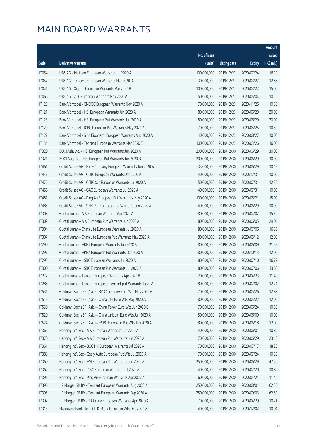|       |                                                              |              |                       |               | Amount      |
|-------|--------------------------------------------------------------|--------------|-----------------------|---------------|-------------|
|       |                                                              | No. of issue |                       |               | raised      |
| Code  | Derivative warrants                                          | (units)      | <b>Listing date</b>   | <b>Expiry</b> | (HK\$ mil.) |
| 17054 | UBS AG - Meituan European Warrants Jul 2020 A                | 100,000,000  | 2019/12/27            | 2020/07/24    | 16.10       |
| 17057 | UBS AG - Tencent European Warrants Mar 2020 D                | 30,000,000   | 2019/12/27            | 2020/03/27    | 12.66       |
| 17041 | UBS AG - Xiaomi European Warrants Mar 2020 B                 | 100,000,000  | 2019/12/27            | 2020/03/27    | 15.00       |
| 17066 | UBS AG - ZTE European Warrants May 2020 A                    | 50,000,000   | 2019/12/27            | 2020/05/04    | 10.10       |
| 17125 | Bank Vontobel - CNOOC European Warrants Nov 2020 A           | 70,000,000   | 2019/12/27            | 2020/11/26    | 10.50       |
| 17121 | Bank Vontobel - HSI European Warrants Jun 2020 A             | 80,000,000   | 2019/12/27            | 2020/06/29    | 20.00       |
| 17123 | Bank Vontobel - HSI European Put Warrants Jun 2020 A         | 80,000,000   | 2019/12/27            | 2020/06/29    | 20.00       |
| 17129 | Bank Vontobel - ICBC European Put Warrants May 2020 A        | 70,000,000   | 2019/12/27            | 2020/05/25    | 10.50       |
| 17127 | Bank Vontobel - Sino Biopharm European Warrants Aug 2020 A   | 40,000,000   | 2019/12/27            | 2020/08/27    | 10.00       |
| 17134 | Bank Vontobel - Tencent European Warrants Mar 2020 E         | 100,000,000  | 2019/12/27            | 2020/03/26    | 16.00       |
| 17320 | BOCI Asia Ltd. - HSI European Put Warrants Jun 2020 A        | 200,000,000  | 2019/12/30            | 2020/06/29    | 30.00       |
| 17321 | BOCI Asia Ltd. - HSI European Put Warrants Jun 2020 B        | 200,000,000  | 2019/12/30            | 2020/06/29    | 30.00       |
| 17461 | Credit Suisse AG - BYD Company European Warrants Jun 2020 A  | 35,000,000   | 2019/12/30            | 2020/06/29    | 10.15       |
| 17447 | Credit Suisse AG - CITIC European Warrants Dec 2020 A        | 40,000,000   | 2019/12/30            | 2020/12/31    | 10.00       |
| 17476 | Credit Suisse AG - CITIC Sec European Warrants Jul 2020 A    | 50,000,000   | 2019/12/30            | 2020/07/31    | 12.50       |
| 17456 | Credit Suisse AG - GAC European Warrants Jul 2020 A          | 40,000,000   | 2019/12/30            | 2020/07/31    | 10.00       |
| 17481 | Credit Suisse AG - Ping An European Put Warrants May 2020 A  | 100,000,000  | 2019/12/30            | 2020/05/21    | 15.00       |
| 17485 | Credit Suisse AG - SHK Ppt European Put Warrants Jun 2020 A  | 40,000,000   | 2019/12/30            | 2020/06/29    | 10.00       |
| 17308 | Guotai Junan - AIA European Warrants Apr 2020 A              | 80,000,000   | 2019/12/30            | 2020/04/02    | 15.36       |
| 17309 | Guotai Junan - AIA European Put Warrants Jun 2020 A          | 80,000,000   | 2019/12/30            | 2020/06/05    | 29.04       |
| 17304 | Guotai Junan - China Life European Warrants Jul 2020 A       | 80,000,000   | 2019/12/30            | 2020/07/06    | 16.80       |
| 17307 | Guotai Junan - China Life European Put Warrants May 2020 A   | 80,000,000   | 2019/12/30            | 2020/05/12    | 12.00       |
| 17290 | Guotai Junan - HKEX European Warrants Jun 2020 A             | 80,000,000   | 2019/12/30            | 2020/06/09    | 21.52       |
| 17297 | Guotai Junan - HKEX European Put Warrants Oct 2020 A         | 80,000,000   | 2019/12/30            | 2020/10/13    | 12.00       |
| 17298 | Guotai Junan - HSBC European Warrants Jul 2020 A             | 80,000,000   | 2019/12/30            | 2020/07/10    | 16.72       |
| 17300 | Guotai Junan - HSBC European Put Warrants Jul 2020 A         | 80,000,000   | 2019/12/30            | 2020/07/06    | 13.68       |
| 17277 | Guotai Junan - Tencent European Warrants Apr 2020 B          |              | 20,000,000 2019/12/30 | 2020/04/23    | 11.40       |
| 17286 | Guotai Junan - Tencent European Tencent put Warrants Jul20 A | 80,000,000   | 2019/12/30            | 2020/07/02    | 12.24       |
| 17531 | Goldman Sachs SP (Asia) - BYD Company Euro Wts May 2020 A    | 70,000,000   | 2019/12/30            | 2020/05/26    | 12.88       |
| 17519 | Goldman Sachs SP (Asia) - China Life Euro Wts May 2020 A     | 80,000,000   | 2019/12/30            | 2020/05/22    | 12.00       |
| 17530 | Goldman Sachs SP (Asia) - China Tower Euro Wts Jun 2020 B    | 70,000,000   | 2019/12/30            | 2020/06/24    | 10.50       |
| 17520 | Goldman Sachs SP (Asia) - China Unicom Euro Wts Jun 2020 A   | 50,000,000   | 2019/12/30            | 2020/06/09    | 10.00       |
| 17524 | Goldman Sachs SP (Asia) - HSBC European Put Wts Jun 2020 A   | 80,000,000   | 2019/12/30            | 2020/06/18    | 12.00       |
| 17365 | Haitong Int'l Sec - AIA European Warrants Jun 2020 A         | 40,000,000   | 2019/12/30            | 2020/06/01    | 10.80       |
| 17370 | Haitong Int'l Sec - AIA European Put Warrants Jun 2020 A     | 70,000,000   | 2019/12/30            | 2020/06/29    | 23.10       |
| 17361 | Haitong Int'l Sec - BOC HK European Warrants Jul 2020 A      | 70,000,000   | 2019/12/30            | 2020/07/17    | 18.20       |
| 17388 | Haitong Int'l Sec - Geely Auto European Put Wts Jul 2020 A   | 70,000,000   | 2019/12/30            | 2020/07/24    | 10.50       |
| 17360 | Haitong Int'l Sec - HSI European Put Warrants Jun 2020 A     | 250,000,000  | 2019/12/30            | 2020/06/29    | 47.50       |
| 17362 | Haitong Int'l Sec - ICBC European Warrants Jul 2020 A        | 40,000,000   | 2019/12/30            | 2020/07/20    | 10.80       |
| 17391 | Haitong Int'l Sec - Ping An European Warrants Apr 2020 A     | 60,000,000   | 2019/12/30            | 2020/04/24    | 11.40       |
| 17396 | J P Morgan SP BV - Tencent European Warrants Aug 2020 A      | 250,000,000  | 2019/12/30            | 2020/08/04    | 62.50       |
| 17395 | J P Morgan SP BV - Tencent European Warrants Sep 2020 A      | 250,000,000  | 2019/12/30            | 2020/09/03    | 62.50       |
| 17397 | J P Morgan SP BV - ZA Onine European Warrants Apr 2020 A     | 70,000,000   | 2019/12/30            | 2020/04/29    | 10.71       |
| 17313 | Macquarie Bank Ltd. - CITIC Bank European Wts Dec 2020 A     | 40,000,000   | 2019/12/30            | 2020/12/02    | 10.04       |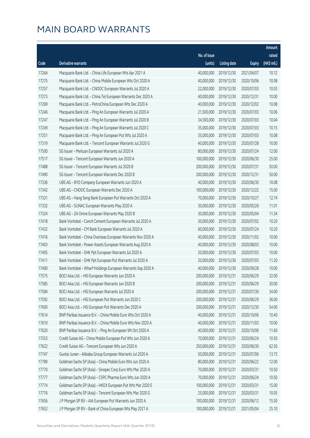|       |                                                              |                        |                     |               | Amount      |
|-------|--------------------------------------------------------------|------------------------|---------------------|---------------|-------------|
|       |                                                              | No. of issue           |                     |               | raised      |
| Code  | Derivative warrants                                          | (units)                | <b>Listing date</b> | <b>Expiry</b> | (HK\$ mil.) |
| 17264 | Macquarie Bank Ltd. - China Life European Wts Apr 2021 A     | 40,000,000             | 2019/12/30          | 2021/04/07    | 10.12       |
| 17275 | Macquarie Bank Ltd. - China Mobile European Wts Oct 2020 A   | 40,000,000             | 2019/12/30          | 2020/10/06    | 10.08       |
| 17257 | Macquarie Bank Ltd. - CNOOC European Warrants Jul 2020 A     | 22,000,000             | 2019/12/30          | 2020/07/03    | 10.03       |
| 17273 | Macquarie Bank Ltd. - China Tel European Warrants Dec 2020 A | 40,000,000             | 2019/12/30          | 2020/12/31    | 10.00       |
| 17269 | Macquarie Bank Ltd. - PetroChina European Wts Dec 2020 A     | 40,000,000             | 2019/12/30          | 2020/12/02    | 10.08       |
| 17246 | Macquarie Bank Ltd. - Ping An European Warrants Jul 2020 A   | 21,500,000             | 2019/12/30          | 2020/07/03    | 10.06       |
| 17247 | Macquarie Bank Ltd. - Ping An European Warrants Jul 2020 B   | 34,500,000             | 2019/12/30          | 2020/07/03    | 10.04       |
| 17249 | Macquarie Bank Ltd. - Ping An European Warrants Jul 2020 C   | 35,000,000             | 2019/12/30          | 2020/07/03    | 10.15       |
| 17251 | Macquarie Bank Ltd. - Ping An European Put Wts Jul 2020 A    | 35,000,000             | 2019/12/30          | 2020/07/03    | 10.08       |
| 17319 | Macquarie Bank Ltd. - Tencent European Warrants Jul 2020 G   | 40,000,000             | 2019/12/30          | 2020/07/28    | 10.00       |
| 17500 | SG Issuer - Meituan European Warrants Jul 2020 A             | 80,000,000             | 2019/12/30          | 2020/07/24    | 12.00       |
| 17517 | SG Issuer - Tencent European Warrants Jun 2020 A             | 100,000,000            | 2019/12/30          | 2020/06/30    | 25.00       |
| 17488 | SG Issuer - Tencent European Warrants Jul 2020 B             | 200,000,000            | 2019/12/30          | 2020/07/31    | 50.00       |
| 17490 | SG Issuer - Tencent European Warrants Dec 2020 B             | 200,000,000            | 2019/12/30          | 2020/12/31    | 50.00       |
| 17336 | UBS AG - BYD Company European Warrants Jun 2020 A            | 40,000,000             | 2019/12/30          | 2020/06/30    | 10.08       |
| 17342 | UBS AG - CNOOC European Warrants Dec 2020 A                  | 100,000,000            | 2019/12/30          | 2020/12/22    | 15.00       |
| 17331 | UBS AG - Hang Seng Bank European Put Warrants Oct 2020 A     | 70,000,000             | 2019/12/30          | 2020/10/27    | 12.74       |
| 17332 | UBS AG - SUNAC European Warrants May 2020 A                  | 30,000,000             | 2019/12/30          | 2020/05/26    | 11.01       |
| 17324 | UBS AG - ZA Onine European Warrants May 2020 B               | 30,000,000             | 2019/12/30          | 2020/05/04    | 11.34       |
| 17418 | Bank Vontobel - Conch Cement European Warrants Jul 2020 A    | 30,000,000             | 2019/12/30          | 2020/07/02    | 10.20       |
| 17432 | Bank Vontobel - CM Bank European Warrants Jul 2020 A         | 60,000,000             | 2019/12/30          | 2020/07/24    | 10.20       |
| 17416 | Bank Vontobel - China Overseas European Warrants Nov 2020 A  | 40,000,000             | 2019/12/30          | 2020/11/02    | 10.00       |
| 17403 | Bank Vontobel - Power Assets European Warrants Aug 2020 A    | 40,000,000             | 2019/12/30          | 2020/08/03    | 10.00       |
| 17405 | Bank Vontobel - SHK Ppt European Warrants Jul 2020 A         | 20,000,000             | 2019/12/30          | 2020/07/03    | 10.00       |
| 17411 | Bank Vontobel - SHK Ppt European Put Warrants Jul 2020 A     | 20,000,000             | 2019/12/30          | 2020/07/03    | 11.20       |
| 17400 | Bank Vontobel - Wharf Holdings European Warrants Sep 2020 A  | 40,000,000             | 2019/12/30          | 2020/09/28    | 10.00       |
| 17575 | BOCI Asia Ltd. - HSI European Warrants Jun 2020 A            | 200,000,000 2019/12/31 |                     | 2020/06/29    | 32.00       |
| 17585 | BOCI Asia Ltd. - HSI European Warrants Jun 2020 B            | 200,000,000            | 2019/12/31          | 2020/06/29    | 30.00       |
| 17584 | BOCI Asia Ltd. - HSI European Warrants Jul 2020 A            | 200,000,000            | 2019/12/31          | 2020/07/30    | 34.00       |
| 17592 | BOCI Asia Ltd. - HSI European Put Warrants Jun 2020 C        | 200,000,000            | 2019/12/31          | 2020/06/29    | 36.00       |
| 17600 | BOCI Asia Ltd. - HSI European Put Warrants Dec 2020 A        | 200,000,000            | 2019/12/31          | 2020/12/30    | 54.00       |
| 17614 | BNP Paribas Issuance B.V. - China Mobile Euro Wts Oct 2020 A | 40,000,000             | 2019/12/31          | 2020/10/06    | 10.40       |
| 17610 | BNP Paribas Issuance B.V. - China Mobile Euro Wts Nov 2020 A | 40,000,000             | 2019/12/31          | 2020/11/03    | 10.00       |
| 17620 | BNP Paribas Issuance B.V. - Ping An European Wt Oct 2020 A   | 40,000,000             | 2019/12/31          | 2020/10/06    | 11.60       |
| 17553 | Credit Suisse AG - China Mobile European Put Wts Jun 2020 A  | 70,000,000             | 2019/12/31          | 2020/06/24    | 10.50       |
| 17622 | Credit Suisse AG - Tencent European Wts Jun 2020 A           | 250,000,000            | 2019/12/31          | 2020/06/30    | 62.50       |
| 17747 | Guotai Junan - Alibaba Group European Warrants Jul 2020 A    | 50,000,000             | 2019/12/31          | 2020/07/06    | 13.75       |
| 17789 | Goldman Sachs SP (Asia) - China Mobile Euro Wts Jun 2020 A   | 80,000,000             | 2019/12/31          | 2020/06/22    | 12.00       |
| 17770 | Goldman Sachs SP (Asia) - Sinopec Corp Euro Wts Mar 2020 A   | 70,000,000             | 2019/12/31          | 2020/03/31    | 10.50       |
| 17777 | Goldman Sachs SP (Asia) - CSPC Pharma Euro Wts Jun 2020 A    | 70,000,000             | 2019/12/31          | 2020/06/24    | 10.50       |
| 17774 | Goldman Sachs SP (Asia) - HKEX European Put Wts Mar 2020 E   | 100,000,000            | 2019/12/31          | 2020/03/31    | 15.00       |
| 17776 | Goldman Sachs SP (Asia) - Tencent European Wts Mar 2020 G    | 25,000,000             | 2019/12/31          | 2020/03/31    | 10.05       |
| 17656 | J P Morgan SP BV - AIA European Put Warrants Jun 2020 A      | 100,000,000            | 2019/12/31          | 2020/06/12    | 15.50       |
| 17652 | J P Morgan SP BV - Bank of China European Wts May 2021 A     | 100,000,000            | 2019/12/31          | 2021/05/04    | 25.10       |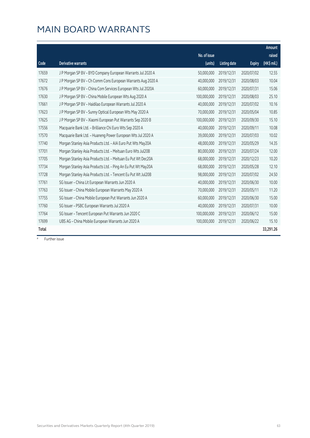|       |                                                              |                         |                     |               | Amount                |
|-------|--------------------------------------------------------------|-------------------------|---------------------|---------------|-----------------------|
| Code  | <b>Derivative warrants</b>                                   | No. of issue<br>(units) | <b>Listing date</b> |               | raised<br>(HK\$ mil.) |
|       |                                                              |                         |                     | <b>Expiry</b> |                       |
| 17659 | J P Morgan SP BV - BYD Company European Warrants Jul 2020 A  | 50,000,000              | 2019/12/31          | 2020/07/02    | 12.55                 |
| 17672 | J P Morgan SP BV - Ch Comm Cons European Warrants Aug 2020 A | 40,000,000              | 2019/12/31          | 2020/08/03    | 10.04                 |
| 17676 | J P Morgan SP BV - China Com Services European Wts Jul 2020A | 60,000,000              | 2019/12/31          | 2020/07/31    | 15.06                 |
| 17630 | J P Morgan SP BV - China Mobile European Wts Aug 2020 A      | 100,000,000             | 2019/12/31          | 2020/08/03    | 25.10                 |
| 17661 | J P Morgan SP BV - Haidilao European Warrants Jul 2020 A     | 40,000,000              | 2019/12/31          | 2020/07/02    | 10.16                 |
| 17623 | J P Morgan SP BV - Sunny Optical European Wts May 2020 A     | 70,000,000              | 2019/12/31          | 2020/05/04    | 10.85                 |
| 17625 | J P Morgan SP BV - Xiaomi European Put Warrants Sep 2020 B   | 100,000,000             | 2019/12/31          | 2020/09/30    | 15.10                 |
| 17556 | Macquarie Bank Ltd. - Brilliance Chi Euro Wts Sep 2020 A     | 40,000,000              | 2019/12/31          | 2020/09/11    | 10.08                 |
| 17570 | Macquarie Bank Ltd. - Huaneng Power European Wts Jul 2020 A  | 39,000,000              | 2019/12/31          | 2020/07/03    | 10.02                 |
| 17740 | Morgan Stanley Asia Products Ltd. - AIA Euro Put Wts May20A  | 48,000,000              | 2019/12/31          | 2020/05/29    | 14.35                 |
| 17701 | Morgan Stanley Asia Products Ltd. - Meituan Euro Wts Jul20B  | 80,000,000              | 2019/12/31          | 2020/07/24    | 12.00                 |
| 17705 | Morgan Stanley Asia Products Ltd. - Meituan Eu Put Wt Dec20A | 68,000,000              | 2019/12/31          | 2020/12/23    | 10.20                 |
| 17734 | Morgan Stanley Asia Products Ltd. - Ping An Eu Put Wt May20A | 68,000,000              | 2019/12/31          | 2020/05/28    | 12.10                 |
| 17728 | Morgan Stanley Asia Products Ltd. - Tencent Eu Put Wt Jul20B | 98,000,000              | 2019/12/31          | 2020/07/02    | 24.50                 |
| 17761 | SG Issuer - China Lit European Warrants Jun 2020 A           | 40,000,000              | 2019/12/31          | 2020/06/30    | 10.00                 |
| 17763 | SG Issuer - China Mobile European Warrants May 2020 A        | 70,000,000              | 2019/12/31          | 2020/05/11    | 11.20                 |
| 17755 | SG Issuer - China Mobile European Put Warrants Jun 2020 A    | 60,000,000              | 2019/12/31          | 2020/06/30    | 15.00                 |
| 17760 | SG Issuer - PSBC European Warrants Jul 2020 A                | 40,000,000              | 2019/12/31          | 2020/07/31    | 10.00                 |
| 17764 | SG Issuer - Tencent European Put Warrants Jun 2020 C         | 100,000,000             | 2019/12/31          | 2020/06/12    | 15.00                 |
| 17699 | UBS AG - China Mobile European Warrants Jun 2020 A           | 100,000,000             | 2019/12/31          | 2020/06/22    | 15.10                 |
| Total |                                                              |                         |                     |               | 33,291.26             |

# Further issue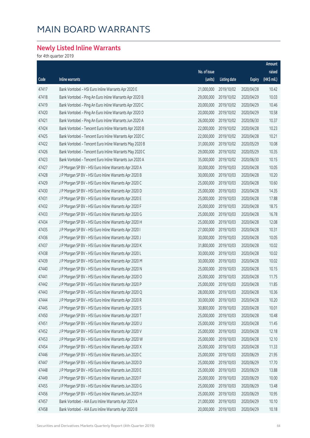#### **Newly Listed Inline Warrants**

for 4th quarter 2019

|       |                                                         |              |                     |               | Amount      |
|-------|---------------------------------------------------------|--------------|---------------------|---------------|-------------|
|       |                                                         | No. of issue |                     |               | raised      |
| Code  | Inline warrants                                         | (units)      | <b>Listing date</b> | <b>Expiry</b> | (HK\$ mil.) |
| 47417 | Bank Vontobel - HSI Euro Inline Warrants Apr 2020 E     | 21,000,000   | 2019/10/02          | 2020/04/28    | 10.42       |
| 47418 | Bank Vontobel - Ping An Euro Inline Warrants Apr 2020 B | 29,000,000   | 2019/10/02          | 2020/04/29    | 10.03       |
| 47419 | Bank Vontobel - Ping An Euro Inline Warrants Apr 2020 C | 20,000,000   | 2019/10/02          | 2020/04/29    | 10.46       |
| 47420 | Bank Vontobel - Ping An Euro Inline Warrants Apr 2020 D | 20,000,000   | 2019/10/02          | 2020/04/29    | 10.58       |
| 47421 | Bank Vontobel - Ping An Euro Inline Warrants Jun 2020 A | 26,000,000   | 2019/10/02          | 2020/06/30    | 10.37       |
| 47424 | Bank Vontobel - Tencent Euro Inline Warrants Apr 2020 B | 22,000,000   | 2019/10/02          | 2020/04/28    | 10.23       |
| 47425 | Bank Vontobel - Tencent Euro Inline Warrants Apr 2020 C | 22,000,000   | 2019/10/02          | 2020/04/28    | 10.21       |
| 47422 | Bank Vontobel - Tencent Euro Inline Warrants May 2020 B | 31,000,000   | 2019/10/02          | 2020/05/29    | 10.08       |
| 47426 | Bank Vontobel - Tencent Euro Inline Warrants May 2020 C | 29,000,000   | 2019/10/02          | 2020/05/29    | 10.35       |
| 47423 | Bank Vontobel - Tencent Euro Inline Warrants Jun 2020 A | 35,000,000   | 2019/10/02          | 2020/06/30    | 10.15       |
| 47427 | J P Morgan SP BV - HSI Euro Inline Warrants Apr 2020 A  | 30,000,000   | 2019/10/03          | 2020/04/28    | 10.05       |
| 47428 | J P Morgan SP BV - HSI Euro Inline Warrants Apr 2020 B  | 30,000,000   | 2019/10/03          | 2020/04/28    | 10.20       |
| 47429 | J P Morgan SP BV - HSI Euro Inline Warrants Apr 2020 C  | 25,000,000   | 2019/10/03          | 2020/04/28    | 10.60       |
| 47430 | J P Morgan SP BV - HSI Euro Inline Warrants Apr 2020 D  | 25,000,000   | 2019/10/03          | 2020/04/28    | 14.35       |
| 47431 | J P Morgan SP BV - HSI Euro Inline Warrants Apr 2020 E  | 25,000,000   | 2019/10/03          | 2020/04/28    | 17.88       |
| 47432 | J P Morgan SP BV - HSI Euro Inline Warrants Apr 2020 F  | 25,000,000   | 2019/10/03          | 2020/04/28    | 18.75       |
| 47433 | J P Morgan SP BV - HSI Euro Inline Warrants Apr 2020 G  | 25,000,000   | 2019/10/03          | 2020/04/28    | 16.78       |
| 47434 | J P Morgan SP BV - HSI Euro Inline Warrants Apr 2020 H  | 25,000,000   | 2019/10/03          | 2020/04/28    | 12.08       |
| 47435 | J P Morgan SP BV - HSI Euro Inline Warrants Apr 2020 I  | 27,000,000   | 2019/10/03          | 2020/04/28    | 10.31       |
| 47436 | J P Morgan SP BV - HSI Euro Inline Warrants Apr 2020 J  | 30,000,000   | 2019/10/03          | 2020/04/28    | 10.05       |
| 47437 | J P Morgan SP BV - HSI Euro Inline Warrants Apr 2020 K  | 31,800,000   | 2019/10/03          | 2020/04/28    | 10.02       |
| 47438 | J P Morgan SP BV - HSI Euro Inline Warrants Apr 2020 L  | 30,000,000   | 2019/10/03          | 2020/04/28    | 10.02       |
| 47439 | J P Morgan SP BV - HSI Euro Inline Warrants Apr 2020 M  | 30,000,000   | 2019/10/03          | 2020/04/28    | 10.02       |
| 47440 | J P Morgan SP BV - HSI Euro Inline Warrants Apr 2020 N  | 25,000,000   | 2019/10/03          | 2020/04/28    | 10.15       |
| 47441 | J P Morgan SP BV - HSI Euro Inline Warrants Apr 2020 O  | 25,000,000   | 2019/10/03          | 2020/04/28    | 11.75       |
| 47442 | J P Morgan SP BV - HSI Euro Inline Warrants Apr 2020 P  | 25,000,000   | 2019/10/03          | 2020/04/28    | 11.85       |
| 47443 | J P Morgan SP BV - HSI Euro Inline Warrants Apr 2020 Q  | 28,000,000   | 2019/10/03          | 2020/04/28    | 10.36       |
| 47444 | J P Morgan SP BV - HSI Euro Inline Warrants Apr 2020 R  | 30,000,000   | 2019/10/03          | 2020/04/28    | 10.20       |
| 47445 | J P Morgan SP BV - HSI Euro Inline Warrants Apr 2020 S  | 30,800,000   | 2019/10/03          | 2020/04/28    | 10.01       |
| 47450 | J P Morgan SP BV - HSI Euro Inline Warrants Apr 2020 T  | 25,000,000   | 2019/10/03          | 2020/04/28    | 10.48       |
| 47451 | J P Morgan SP BV - HSI Euro Inline Warrants Apr 2020 U  | 25,000,000   | 2019/10/03          | 2020/04/28    | 11.45       |
| 47452 | J P Morgan SP BV - HSI Euro Inline Warrants Apr 2020 V  | 25,000,000   | 2019/10/03          | 2020/04/28    | 12.18       |
| 47453 | J P Morgan SP BV - HSI Euro Inline Warrants Apr 2020 W  | 25,000,000   | 2019/10/03          | 2020/04/28    | 12.10       |
| 47454 | J P Morgan SP BV - HSI Euro Inline Warrants Apr 2020 X  | 25,000,000   | 2019/10/03          | 2020/04/28    | 11.33       |
| 47446 | J P Morgan SP BV - HSI Euro Inline Warrants Jun 2020 C  | 25,000,000   | 2019/10/03          | 2020/06/29    | 21.95       |
| 47447 | J P Morgan SP BV - HSI Euro Inline Warrants Jun 2020 D  | 25,000,000   | 2019/10/03          | 2020/06/29    | 17.70       |
| 47448 | J P Morgan SP BV - HSI Euro Inline Warrants Jun 2020 E  | 25,000,000   | 2019/10/03          | 2020/06/29    | 13.88       |
| 47449 | J P Morgan SP BV - HSI Euro Inline Warrants Jun 2020 F  | 25,000,000   | 2019/10/03          | 2020/06/29    | 10.00       |
| 47455 | J P Morgan SP BV - HSI Euro Inline Warrants Jun 2020 G  | 25,000,000   | 2019/10/03          | 2020/06/29    | 13.48       |
| 47456 | J P Morgan SP BV - HSI Euro Inline Warrants Jun 2020 H  | 25,000,000   | 2019/10/03          | 2020/06/29    | 10.95       |
| 47457 | Bank Vontobel - AIA Euro Inline Warrants Apr 2020 A     | 21,000,000   | 2019/10/03          | 2020/04/29    | 10.10       |
| 47458 | Bank Vontobel - AIA Euro Inline Warrants Apr 2020 B     | 20,000,000   | 2019/10/03          | 2020/04/29    | 10.18       |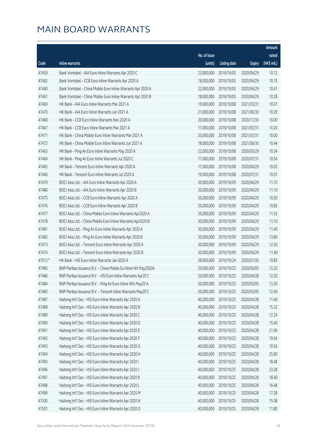|        |                                                                |              |                       |               | Amount      |
|--------|----------------------------------------------------------------|--------------|-----------------------|---------------|-------------|
|        |                                                                | No. of issue |                       |               | raised      |
| Code   | Inline warrants                                                | (units)      | <b>Listing date</b>   | <b>Expiry</b> | (HK\$ mil.) |
| 47459  | Bank Vontobel - AIA Euro Inline Warrants Apr 2020 C            | 23,000,000   | 2019/10/03            | 2020/04/29    | 10.12       |
| 47462  | Bank Vontobel - CCB Euro Inline Warrants Apr 2020 A            | 18,000,000   | 2019/10/03            | 2020/04/29    | 10.15       |
| 47460  | Bank Vontobel - China Mobile Euro Inline Warrants Apr 2020 A   | 22,000,000   | 2019/10/03            | 2020/04/29    | 10.41       |
| 47461  | Bank Vontobel - China Mobile Euro Inline Warrants Apr 2020 B   | 18,000,000   | 2019/10/03            | 2020/04/29    | 10.28       |
| 47469  | HK Bank - AIA Euro Inline Warrants Mar 2021 A                  | 19,000,000   | 2019/10/08            | 2021/03/31    | 10.07       |
| 47470  | HK Bank - AIA Euro Inline Warrants Jun 2021 A                  | 21,000,000   | 2019/10/08            | 2021/06/30    | 10.29       |
| 47468  | HK Bank - CCB Euro Inline Warrants Nov 2020 A                  | 20,000,000   | 2019/10/08            | 2020/11/30    | 10.00       |
| 47467  | HK Bank - CCB Euro Inline Warrants Mar 2021 A                  | 17,000,000   | 2019/10/08            | 2021/03/31    | 10.20       |
| 47471  | HK Bank - China Mobile Euro Inline Warrants Mar 2021 A         | 20,000,000   | 2019/10/08            | 2021/03/31    | 10.00       |
| 47472  | HK Bank - China Mobile Euro Inline Warrants Jun 2021 A         | 18,000,000   | 2019/10/08            | 2021/06/30    | 10.44       |
| 47463  | HK Bank - Ping An Euro Inline Warrants May 2020 A              | 22,000,000   | 2019/10/08            | 2020/05/29    | 10.34       |
| 47464  | HK Bank - Ping An Euro Inline Warrants Jul 2020 C              | 17,000,000   | 2019/10/08            | 2020/07/31    | 10.54       |
| 47465  | HK Bank - Tencent Euro Inline Warrants Apr 2020 A              | 17,000,000   | 2019/10/08            | 2020/04/29    | 10.03       |
| 47466  | HK Bank - Tencent Euro Inline Warrants Jul 2020 A              | 19,000,000   | 2019/10/08            | 2020/07/31    | 10.07       |
| 47479  | BOCI Asia Ltd. - AIA Euro Inline Warrants Apr 2020 A           | 30,000,000   | 2019/10/09            | 2020/04/29    | 11.70       |
| 47480  | BOCI Asia Ltd. - AIA Euro Inline Warrants Apr 2020 B           | 30,000,000   | 2019/10/09            | 2020/04/29    | 11.10       |
| 47475  | BOCI Asia Ltd. - CCB Euro Inline Warrants Apr 2020 A           | 35,000,000   | 2019/10/09            | 2020/04/29    | 10.50       |
| 47476  | BOCI Asia Ltd. - CCB Euro Inline Warrants Apr 2020 B           | 35,000,000   | 2019/10/09            | 2020/04/29    | 10.85       |
| 47477  | BOCI Asia Ltd. - China Mobile Euro Inline Warrants Apr2020 A   | 35,000,000   | 2019/10/09            | 2020/04/29    | 11.55       |
| 47478  | BOCI Asia Ltd. - China Mobile Euro Inline Warrants Apr2020 B   | 30,000,000   | 2019/10/09            | 2020/04/29    | 11.10       |
| 47481  | BOCI Asia Ltd. - Ping An Euro Inline Warrants Apr 2020 A       | 30,000,000   | 2019/10/09            | 2020/04/29    | 11.40       |
| 47482  | BOCI Asia Ltd. - Ping An Euro Inline Warrants Apr 2020 B       | 30,000,000   | 2019/10/09            | 2020/04/29    | 13.80       |
| 47473  | BOCI Asia Ltd. - Tencent Euro Inline Warrants Apr 2020 A       | 30,000,000   | 2019/10/09            | 2020/04/29    | 12.30       |
| 47474  | BOCI Asia Ltd. - Tencent Euro Inline Warrants Apr 2020 B       | 30,000,000   | 2019/10/09            | 2020/04/29    | 11.40       |
| 47013# | HK Bank - HSI Euro Inline Warrants Jan 2020 A                  | 38,000,000   | 2019/10/24            | 2020/01/30    | 10.83       |
| 47485  | BNP Paribas Issuance B.V. - China Mobile Eu Inline Wt May2020A | 20,000,000   | 2019/10/25            | 2020/05/05    | 12.20       |
| 47486  | BNP Paribas Issuance B.V. - HSI Euro Inline Warrants Apr20 C   |              | 20,000,000 2019/10/25 | 2020/04/28    | 12.20       |
| 47484  | BNP Paribas Issuance B.V. - Ping An Euro Inline Wts May20 A    | 20,000,000   | 2019/10/25            | 2020/05/05    | 13.20       |
| 47483  | BNP Paribas Issuance B.V. - Tencent Inline Warrants May20 C    | 20,000,000   | 2019/10/25            | 2020/05/05    | 12.40       |
| 47487  | Haitong Int'l Sec - HSI Euro Inline Warrants Apr 2020 A        | 40,000,000   | 2019/10/25            | 2020/04/28    | 11.40       |
| 47488  | Haitong Int'l Sec - HSI Euro Inline Warrants Apr 2020 B        | 40,000,000   | 2019/10/25            | 2020/04/28    | 15.32       |
| 47489  | Haitong Int'l Sec - HSI Euro Inline Warrants Apr 2020 C        | 40,000,000   | 2019/10/25            | 2020/04/28    | 12.24       |
| 47490  | Haitong Int'l Sec - HSI Euro Inline Warrants Apr 2020 D        | 40,000,000   | 2019/10/25            | 2020/04/28    | 15.40       |
| 47491  | Haitong Int'l Sec - HSI Euro Inline Warrants Apr 2020 E        | 40,000,000   | 2019/10/25            | 2020/04/28    | 21.96       |
| 47492  | Haitong Int'l Sec - HSI Euro Inline Warrants Apr 2020 F        | 40,000,000   | 2019/10/25            | 2020/04/28    | 19.04       |
| 47493  | Haitong Int'l Sec - HSI Euro Inline Warrants Apr 2020 G        | 40,000,000   | 2019/10/25            | 2020/04/28    | 19.56       |
| 47494  | Haitong Int'l Sec - HSI Euro Inline Warrants Apr 2020 H        | 40,000,000   | 2019/10/25            | 2020/04/28    | 25.80       |
| 47495  | Haitong Int'l Sec - HSI Euro Inline Warrants Apr 2020 I        | 40,000,000   | 2019/10/25            | 2020/04/28    | 18.48       |
| 47496  | Haitong Int'l Sec - HSI Euro Inline Warrants Apr 2020 J        | 40,000,000   | 2019/10/25            | 2020/04/28    | 23.28       |
| 47497  | Haitong Int'l Sec - HSI Euro Inline Warrants Apr 2020 K        | 40,000,000   | 2019/10/25            | 2020/04/28    | 18.40       |
| 47498  | Haitong Int'l Sec - HSI Euro Inline Warrants Apr 2020 L        | 40,000,000   | 2019/10/25            | 2020/04/28    | 16.48       |
| 47499  | Haitong Int'l Sec - HSI Euro Inline Warrants Apr 2020 M        | 40,000,000   | 2019/10/25            | 2020/04/28    | 17.28       |
| 47500  | Haitong Int'l Sec - HSI Euro Inline Warrants Apr 2020 N        | 40,000,000   | 2019/10/25            | 2020/04/28    | 15.08       |
| 47501  | Haitong Int'l Sec - HSI Euro Inline Warrants Apr 2020 O        | 40,000,000   | 2019/10/25            | 2020/04/28    | 11.80       |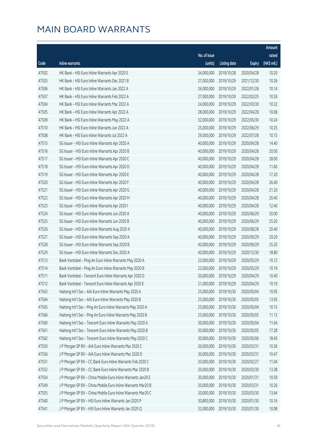|       |                                                              |              |                       |               | Amount      |
|-------|--------------------------------------------------------------|--------------|-----------------------|---------------|-------------|
|       |                                                              | No. of issue |                       |               | raised      |
| Code  | <b>Inline warrants</b>                                       | (units)      | <b>Listing date</b>   | <b>Expiry</b> | (HK\$ mil.) |
| 47502 | HK Bank - HSI Euro Inline Warrants Apr 2020 E                | 34,000,000   | 2019/10/28            | 2020/04/28    | 10.20       |
| 47503 | HK Bank - HSI Euro Inline Warrants Dec 2021 B                | 27,000,000   | 2019/10/29            | 2021/12/30    | 10.26       |
| 47506 | HK Bank - HSI Euro Inline Warrants Jan 2022 A                | 26,000,000   | 2019/10/29            | 2022/01/28    | 10.14       |
| 47507 | HK Bank - HSI Euro Inline Warrants Feb 2022 A                | 27,000,000   | 2019/10/29            | 2022/02/25    | 10.26       |
| 47504 | HK Bank - HSI Euro Inline Warrants Mar 2022 A                | 24,000,000   | 2019/10/29            | 2022/03/30    | 10.32       |
| 47505 | HK Bank - HSI Euro Inline Warrants Apr 2022 A                | 28,000,000   | 2019/10/29            | 2022/04/28    | 10.08       |
| 47509 | HK Bank - HSI Euro Inline Warrants May 2022 A                | 32,000,000   | 2019/10/29            | 2022/05/30    | 10.24       |
| 47510 | HK Bank - HSI Euro Inline Warrants Jun 2022 A                | 25,000,000   | 2019/10/29            | 2022/06/29    | 10.25       |
| 47508 | HK Bank - HSI Euro Inline Warrants Jul 2022 A                | 29,000,000   | 2019/10/29            | 2022/07/28    | 10.15       |
| 47515 | SG Issuer - HSI Euro Inline Warrants Apr 2020 A              | 40,000,000   | 2019/10/29            | 2020/04/28    | 14.40       |
| 47516 | SG Issuer - HSI Euro Inline Warrants Apr 2020 B              | 40,000,000   | 2019/10/29            | 2020/04/28    | 20.00       |
| 47517 | SG Issuer - HSI Euro Inline Warrants Apr 2020 C              | 40,000,000   | 2019/10/29            | 2020/04/28    | 28.00       |
| 47518 | SG Issuer - HSI Euro Inline Warrants Apr 2020 D              | 40,000,000   | 2019/10/29            | 2020/04/28    | 11.60       |
| 47519 | SG Issuer - HSI Euro Inline Warrants Apr 2020 E              | 40,000,000   | 2019/10/29            | 2020/04/28    | 17.20       |
| 47520 | SG Issuer - HSI Euro Inline Warrants Apr 2020 F              | 40,000,000   | 2019/10/29            | 2020/04/28    | 26.40       |
| 47521 | SG Issuer - HSI Euro Inline Warrants Apr 2020 G              | 40,000,000   | 2019/10/29            | 2020/04/28    | 21.20       |
| 47522 | SG Issuer - HSI Euro Inline Warrants Apr 2020 H              | 40,000,000   | 2019/10/29            | 2020/04/28    | 20.40       |
| 47523 | SG Issuer - HSI Euro Inline Warrants Apr 2020 I              | 40,000,000   | 2019/10/29            | 2020/04/28    | 12.40       |
| 47524 | SG Issuer - HSI Euro Inline Warrants Jun 2020 A              | 40,000,000   | 2019/10/29            | 2020/06/29    | 20.00       |
| 47525 | SG Issuer - HSI Euro Inline Warrants Jun 2020 B              | 40,000,000   | 2019/10/29            | 2020/06/29    | 25.20       |
| 47526 | SG Issuer - HSI Euro Inline Warrants Aug 2020 A              | 40,000,000   | 2019/10/29            | 2020/08/28    | 20.40       |
| 47527 | SG Issuer - HSI Euro Inline Warrants Sep 2020 A              | 40,000,000   | 2019/10/29            | 2020/09/29    | 29.20       |
| 47528 | SG Issuer - HSI Euro Inline Warrants Sep 2020 B              | 40,000,000   | 2019/10/29            | 2020/09/29    | 25.20       |
| 47529 | SG Issuer - HSI Euro Inline Warrants Dec 2020 A              | 40,000,000   | 2019/10/29            | 2020/12/30    | 18.80       |
| 47513 | Bank Vontobel - Ping An Euro Inline Warrants May 2020 A      | 23,000,000   | 2019/10/29            | 2020/05/29    | 10.12       |
| 47514 | Bank Vontobel - Ping An Euro Inline Warrants May 2020 B      | 23,000,000   | 2019/10/29            | 2020/05/29    | 10.19       |
| 47511 | Bank Vontobel - Tencent Euro Inline Warrants Apr 2020 D      |              | 20,000,000 2019/10/29 | 2020/04/29    | 10.40       |
| 47512 | Bank Vontobel - Tencent Euro Inline Warrants Apr 2020 E      | 21,000,000   | 2019/10/29            | 2020/04/29    | 10.19       |
| 47563 | Haitong Int'l Sec - AIA Euro Inline Warrants May 2020 A      | 25,000,000   | 2019/10/30            | 2020/05/04    | 10.95       |
| 47564 | Haitong Int'l Sec - AIA Euro Inline Warrants May 2020 B      | 25,000,000   | 2019/10/30            | 2020/05/05    | 13.95       |
| 47565 | Haitong Int'l Sec - Ping An Euro Inline Warrants May 2020 A  | 25,000,000   | 2019/10/30            | 2020/05/04    | 10.15       |
| 47566 | Haitong Int'l Sec - Ping An Euro Inline Warrants May 2020 B  | 25,000,000   | 2019/10/30            | 2020/05/05    | 11.13       |
| 47560 | Haitong Int'l Sec - Tencent Euro Inline Warrants May 2020 A  | 30,000,000   | 2019/10/30            | 2020/05/04    | 11.64       |
| 47561 | Haitong Int'l Sec - Tencent Euro Inline Warrants May 2020 B  | 30,000,000   | 2019/10/30            | 2020/05/05    | 17.28       |
| 47562 | Haitong Int'l Sec - Tencent Euro Inline Warrants May 2020 C  | 30,000,000   | 2019/10/30            | 2020/05/06    | 18.45       |
| 47550 | J P Morgan SP BV - AIA Euro Inline Warrants Mar 2020 C       | 20,000,000   | 2019/10/30            | 2020/03/31    | 10.36       |
| 47556 | J P Morgan SP BV - AIA Euro Inline Warrants Mar 2020 D       | 30,000,000   | 2019/10/30            | 2020/03/31    | 10.47       |
| 47551 | J P Morgan SP BV - CC Bank Euro Inline Warrants Feb 2020 C   | 20,000,000   | 2019/10/30            | 2020/02/27    | 11.04       |
| 47552 | J P Morgan SP BV - CC Bank Euro Inline Warrants Mar 2020 B   | 20,000,000   | 2019/10/30            | 2020/03/30    | 13.38       |
| 47554 | J P Morgan SP BV - China Mobile Euro Inline Warrants Jan20 E | 30,000,000   | 2019/10/30            | 2020/01/31    | 10.59       |
| 47549 | J P Morgan SP BV - China Mobile Euro Inline Warrants Mar20 B | 20,000,000   | 2019/10/30            | 2020/03/31    | 10.26       |
| 47555 | J P Morgan SP BV - China Mobile Euro Inline Warrants Mar20 C | 20,000,000   | 2019/10/30            | 2020/03/30    | 13.64       |
| 47540 | J P Morgan SP BV - HSI Euro Inline Warrants Jan 2020 P       | 30,800,000   | 2019/10/30            | 2020/01/30    | 10.16       |
| 47541 | J P Morgan SP BV - HSI Euro Inline Warrants Jan 2020 Q       | 32,000,000   | 2019/10/30            | 2020/01/30    | 10.08       |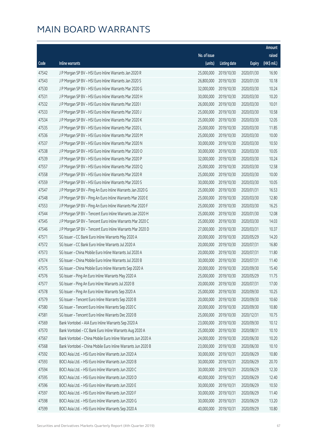|       |                                                              |              |                       |               | Amount      |
|-------|--------------------------------------------------------------|--------------|-----------------------|---------------|-------------|
|       |                                                              | No. of issue |                       |               | raised      |
| Code  | Inline warrants                                              | (units)      | <b>Listing date</b>   | <b>Expiry</b> | (HK\$ mil.) |
| 47542 | J P Morgan SP BV - HSI Euro Inline Warrants Jan 2020 R       | 25,000,000   | 2019/10/30            | 2020/01/30    | 16.90       |
| 47543 | J P Morgan SP BV - HSI Euro Inline Warrants Jan 2020 S       | 26,800,000   | 2019/10/30            | 2020/01/30    | 10.18       |
| 47530 | J P Morgan SP BV - HSI Euro Inline Warrants Mar 2020 G       | 32,000,000   | 2019/10/30            | 2020/03/30    | 10.24       |
| 47531 | J P Morgan SP BV - HSI Euro Inline Warrants Mar 2020 H       | 30,000,000   | 2019/10/30            | 2020/03/30    | 10.20       |
| 47532 | J P Morgan SP BV - HSI Euro Inline Warrants Mar 2020 I       | 26,000,000   | 2019/10/30            | 2020/03/30    | 10.01       |
| 47533 | J P Morgan SP BV - HSI Euro Inline Warrants Mar 2020 J       | 25,000,000   | 2019/10/30            | 2020/03/30    | 10.58       |
| 47534 | J P Morgan SP BV - HSI Euro Inline Warrants Mar 2020 K       | 25,000,000   | 2019/10/30            | 2020/03/30    | 12.05       |
| 47535 | J P Morgan SP BV - HSI Euro Inline Warrants Mar 2020 L       | 25,000,000   | 2019/10/30            | 2020/03/30    | 11.85       |
| 47536 | J P Morgan SP BV - HSI Euro Inline Warrants Mar 2020 M       | 25,000,000   | 2019/10/30            | 2020/03/30    | 10.00       |
| 47537 | J P Morgan SP BV - HSI Euro Inline Warrants Mar 2020 N       | 30,000,000   | 2019/10/30            | 2020/03/30    | 10.50       |
| 47538 | J P Morgan SP BV - HSI Euro Inline Warrants Mar 2020 O       | 30,000,000   | 2019/10/30            | 2020/03/30    | 10.05       |
| 47539 | J P Morgan SP BV - HSI Euro Inline Warrants Mar 2020 P       | 32,000,000   | 2019/10/30            | 2020/03/30    | 10.24       |
| 47557 | J P Morgan SP BV - HSI Euro Inline Warrants Mar 2020 Q       | 25,000,000   | 2019/10/30            | 2020/03/30    | 12.58       |
| 47558 | J P Morgan SP BV - HSI Euro Inline Warrants Mar 2020 R       | 25,000,000   | 2019/10/30            | 2020/03/30    | 10.00       |
| 47559 | J P Morgan SP BV - HSI Euro Inline Warrants Mar 2020 S       | 30,000,000   | 2019/10/30            | 2020/03/30    | 10.05       |
| 47547 | J P Morgan SP BV - Ping An Euro Inline Warrants Jan 2020 G   | 25,000,000   | 2019/10/30            | 2020/01/31    | 16.53       |
| 47548 | J P Morgan SP BV - Ping An Euro Inline Warrants Mar 2020 E   | 25,000,000   | 2019/10/30            | 2020/03/30    | 12.80       |
| 47553 | J P Morgan SP BV - Ping An Euro Inline Warrants Mar 2020 F   | 25,000,000   | 2019/10/30            | 2020/03/30    | 16.25       |
| 47544 | J P Morgan SP BV - Tencent Euro Inline Warrants Jan 2020 H   | 25,000,000   | 2019/10/30            | 2020/01/30    | 12.08       |
| 47545 | J P Morgan SP BV - Tencent Euro Inline Warrants Mar 2020 C   | 25,000,000   | 2019/10/30            | 2020/03/30    | 14.03       |
| 47546 | J P Morgan SP BV - Tencent Euro Inline Warrants Mar 2020 D   | 27,000,000   | 2019/10/30            | 2020/03/31    | 10.37       |
| 47571 | SG Issuer - CC Bank Euro Inline Warrants May 2020 A          | 20,000,000   | 2019/10/30            | 2020/05/29    | 14.20       |
| 47572 | SG Issuer - CC Bank Euro Inline Warrants Jul 2020 A          | 20,000,000   | 2019/10/30            | 2020/07/31    | 16.80       |
| 47573 | SG Issuer - China Mobile Euro Inline Warrants Jul 2020 A     | 20,000,000   | 2019/10/30            | 2020/07/31    | 11.80       |
| 47574 | SG Issuer - China Mobile Euro Inline Warrants Jul 2020 B     | 30,000,000   | 2019/10/30            | 2020/07/31    | 11.40       |
| 47575 | SG Issuer - China Mobile Euro Inline Warrants Sep 2020 A     | 20,000,000   | 2019/10/30            | 2020/09/30    | 15.40       |
| 47576 | SG Issuer - Ping An Euro Inline Warrants May 2020 A          |              | 25,000,000 2019/10/30 | 2020/05/29    | 11.75       |
| 47577 | SG Issuer - Ping An Euro Inline Warrants Jul 2020 B          | 20,000,000   | 2019/10/30            | 2020/07/31    | 17.00       |
| 47578 | SG Issuer - Ping An Euro Inline Warrants Sep 2020 A          | 25,000,000   | 2019/10/30            | 2020/09/30    | 10.25       |
| 47579 | SG Issuer - Tencent Euro Inline Warrants Sep 2020 B          | 20,000,000   | 2019/10/30            | 2020/09/30    | 10.60       |
| 47580 | SG Issuer - Tencent Euro Inline Warrants Sep 2020 C          | 20,000,000   | 2019/10/30            | 2020/09/30    | 10.80       |
| 47581 | SG Issuer - Tencent Euro Inline Warrants Dec 2020 B          | 25,000,000   | 2019/10/30            | 2020/12/31    | 10.75       |
| 47569 | Bank Vontobel - AIA Euro Inline Warrants Sep 2020 A          | 23,000,000   | 2019/10/30            | 2020/09/30    | 10.12       |
| 47570 | Bank Vontobel - CC Bank Euro Inline Warrants Aug 2020 A      | 25,000,000   | 2019/10/30            | 2020/08/31    | 10.10       |
| 47567 | Bank Vontobel - China Mobile Euro Inline Warrants Jun 2020 A | 24,000,000   | 2019/10/30            | 2020/06/30    | 10.20       |
| 47568 | Bank Vontobel - China Mobile Euro Inline Warrants Jun 2020 B | 23,000,000   | 2019/10/30            | 2020/06/30    | 10.10       |
| 47592 | BOCI Asia Ltd. - HSI Euro Inline Warrants Jun 2020 A         | 30,000,000   | 2019/10/31            | 2020/06/29    | 10.80       |
| 47593 | BOCI Asia Ltd. - HSI Euro Inline Warrants Jun 2020 B         | 30,000,000   | 2019/10/31            | 2020/06/29    | 20.70       |
| 47594 | BOCI Asia Ltd. - HSI Euro Inline Warrants Jun 2020 C         | 30,000,000   | 2019/10/31            | 2020/06/29    | 12.30       |
| 47595 | BOCI Asia Ltd. - HSI Euro Inline Warrants Jun 2020 D         | 40,000,000   | 2019/10/31            | 2020/06/29    | 12.40       |
| 47596 | BOCI Asia Ltd. - HSI Euro Inline Warrants Jun 2020 E         | 30,000,000   | 2019/10/31            | 2020/06/29    | 10.50       |
| 47597 | BOCI Asia Ltd. - HSI Euro Inline Warrants Jun 2020 F         | 30,000,000   | 2019/10/31            | 2020/06/29    | 11.40       |
| 47598 | BOCI Asia Ltd. - HSI Euro Inline Warrants Jun 2020 G         | 30,000,000   | 2019/10/31            | 2020/06/29    | 13.20       |
| 47599 | BOCI Asia Ltd. - HSI Euro Inline Warrants Sep 2020 A         | 40,000,000   | 2019/10/31            | 2020/09/29    | 10.80       |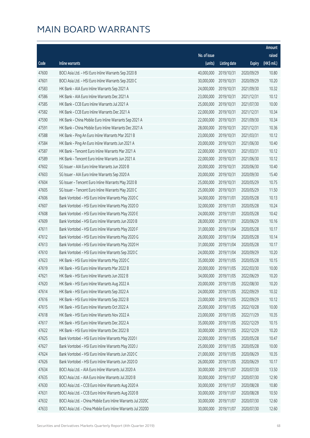|       |                                                              |              |                       |               | <b>Amount</b> |
|-------|--------------------------------------------------------------|--------------|-----------------------|---------------|---------------|
|       |                                                              | No. of issue |                       |               | raised        |
| Code  | Inline warrants                                              | (units)      | <b>Listing date</b>   | <b>Expiry</b> | (HK\$ mil.)   |
| 47600 | BOCI Asia Ltd. - HSI Euro Inline Warrants Sep 2020 B         | 40,000,000   | 2019/10/31            | 2020/09/29    | 10.80         |
| 47601 | BOCI Asia Ltd. - HSI Euro Inline Warrants Sep 2020 C         | 30,000,000   | 2019/10/31            | 2020/09/29    | 10.20         |
| 47583 | HK Bank - AIA Euro Inline Warrants Sep 2021 A                | 24,000,000   | 2019/10/31            | 2021/09/30    | 10.32         |
| 47586 | HK Bank - AIA Euro Inline Warrants Dec 2021 A                | 23,000,000   | 2019/10/31            | 2021/12/31    | 10.12         |
| 47585 | HK Bank - CCB Euro Inline Warrants Jul 2021 A                | 25,000,000   | 2019/10/31            | 2021/07/30    | 10.00         |
| 47582 | HK Bank - CCB Euro Inline Warrants Dec 2021 A                | 22,000,000   | 2019/10/31            | 2021/12/31    | 10.34         |
| 47590 | HK Bank - China Mobile Euro Inline Warrants Sep 2021 A       | 22,000,000   | 2019/10/31            | 2021/09/30    | 10.34         |
| 47591 | HK Bank - China Mobile Euro Inline Warrants Dec 2021 A       | 28,000,000   | 2019/10/31            | 2021/12/31    | 10.36         |
| 47588 | HK Bank - Ping An Euro Inline Warrants Mar 2021 B            | 23,000,000   | 2019/10/31            | 2021/03/31    | 10.12         |
| 47584 | HK Bank - Ping An Euro Inline Warrants Jun 2021 A            | 20,000,000   | 2019/10/31            | 2021/06/30    | 10.40         |
| 47587 | HK Bank - Tencent Euro Inline Warrants Mar 2021 A            | 22,000,000   | 2019/10/31            | 2021/03/31    | 10.12         |
| 47589 | HK Bank - Tencent Euro Inline Warrants Jun 2021 A            | 22,000,000   | 2019/10/31            | 2021/06/30    | 10.12         |
| 47602 | SG Issuer - AIA Euro Inline Warrants Jun 2020 B              | 20,000,000   | 2019/10/31            | 2020/06/30    | 10.40         |
| 47603 | SG Issuer - AIA Euro Inline Warrants Sep 2020 A              | 20,000,000   | 2019/10/31            | 2020/09/30    | 15.40         |
| 47604 | SG Issuer - Tencent Euro Inline Warrants May 2020 B          | 25,000,000   | 2019/10/31            | 2020/05/29    | 10.75         |
| 47605 | SG Issuer - Tencent Euro Inline Warrants May 2020 C          | 25,000,000   | 2019/10/31            | 2020/05/29    | 11.50         |
| 47606 | Bank Vontobel - HSI Euro Inline Warrants May 2020 C          | 34,000,000   | 2019/11/01            | 2020/05/28    | 10.13         |
| 47607 | Bank Vontobel - HSI Euro Inline Warrants May 2020 D          | 32,000,000   | 2019/11/01            | 2020/05/28    | 10.24         |
| 47608 | Bank Vontobel - HSI Euro Inline Warrants May 2020 E          | 24,000,000   | 2019/11/01            | 2020/05/28    | 10.42         |
| 47609 | Bank Vontobel - HSI Euro Inline Warrants Jun 2020 B          | 28,000,000   | 2019/11/01            | 2020/06/29    | 10.16         |
| 47611 | Bank Vontobel - HSI Euro Inline Warrants May 2020 F          | 31,000,000   | 2019/11/04            | 2020/05/28    | 10.17         |
| 47612 | Bank Vontobel - HSI Euro Inline Warrants May 2020 G          | 26,000,000   | 2019/11/04            | 2020/05/28    | 10.14         |
| 47613 | Bank Vontobel - HSI Euro Inline Warrants May 2020 H          | 31,000,000   | 2019/11/04            | 2020/05/28    | 10.17         |
| 47610 | Bank Vontobel - HSI Euro Inline Warrants Sep 2020 C          | 24,000,000   | 2019/11/04            | 2020/09/29    | 10.20         |
| 47623 | HK Bank - HSI Euro Inline Warrants May 2020 C                | 35,000,000   | 2019/11/05            | 2020/05/28    | 10.15         |
| 47619 | HK Bank - HSI Euro Inline Warrants Mar 2022 B                | 20,000,000   | 2019/11/05            | 2022/03/30    | 10.00         |
| 47621 | HK Bank - HSI Euro Inline Warrants Jun 2022 B                |              | 34,000,000 2019/11/05 | 2022/06/29    | 10.20         |
| 47620 | HK Bank - HSI Euro Inline Warrants Aug 2022 A                | 20,000,000   | 2019/11/05            | 2022/08/30    | 10.20         |
| 47614 | HK Bank - HSI Euro Inline Warrants Sep 2022 A                | 24,000,000   | 2019/11/05            | 2022/09/29    | 10.32         |
| 47616 | HK Bank - HSI Euro Inline Warrants Sep 2022 B                | 23,000,000   | 2019/11/05            | 2022/09/29    | 10.12         |
| 47615 | HK Bank - HSI Euro Inline Warrants Oct 2022 A                | 25,000,000   | 2019/11/05            | 2022/10/28    | 10.00         |
| 47618 | HK Bank - HSI Euro Inline Warrants Nov 2022 A                | 23,000,000   | 2019/11/05            | 2022/11/29    | 10.35         |
| 47617 | HK Bank - HSI Euro Inline Warrants Dec 2022 A                | 35,000,000   | 2019/11/05            | 2022/12/29    | 10.15         |
| 47622 | HK Bank - HSI Euro Inline Warrants Dec 2022 B                | 30,000,000   | 2019/11/05            | 2022/12/29    | 10.20         |
| 47625 | Bank Vontobel - HSI Euro Inline Warrants May 2020 I          | 22,000,000   | 2019/11/05            | 2020/05/28    | 10.47         |
| 47627 | Bank Vontobel - HSI Euro Inline Warrants May 2020 J          | 25,000,000   | 2019/11/05            | 2020/05/28    | 10.00         |
| 47624 | Bank Vontobel - HSI Euro Inline Warrants Jun 2020 C          | 21,000,000   | 2019/11/05            | 2020/06/29    | 10.35         |
| 47626 | Bank Vontobel - HSI Euro Inline Warrants Jun 2020 D          | 26,000,000   | 2019/11/05            | 2020/06/29    | 10.17         |
| 47634 | BOCI Asia Ltd. - AIA Euro Inline Warrants Jul 2020 A         | 30,000,000   | 2019/11/07            | 2020/07/30    | 13.50         |
| 47635 | BOCI Asia Ltd. - AIA Euro Inline Warrants Jul 2020 B         | 30,000,000   | 2019/11/07            | 2020/07/30    | 12.90         |
| 47630 | BOCI Asia Ltd. - CCB Euro Inline Warrants Aug 2020 A         | 30,000,000   | 2019/11/07            | 2020/08/28    | 10.80         |
| 47631 | BOCI Asia Ltd. - CCB Euro Inline Warrants Aug 2020 B         | 30,000,000   | 2019/11/07            | 2020/08/28    | 10.50         |
| 47632 | BOCI Asia Ltd. - China Mobile Euro Inline Warrants Jul 2020C | 30,000,000   | 2019/11/07            | 2020/07/30    | 12.60         |
| 47633 | BOCI Asia Ltd. - China Mobile Euro Inline Warrants Jul 2020D | 30,000,000   | 2019/11/07            | 2020/07/30    | 12.60         |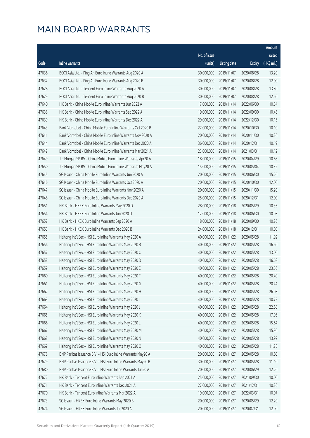|       |                                                              |              |                       |               | Amount       |
|-------|--------------------------------------------------------------|--------------|-----------------------|---------------|--------------|
|       |                                                              | No. of issue |                       |               | raised       |
| Code  | Inline warrants                                              | (units)      | <b>Listing date</b>   | <b>Expiry</b> | $(HK$$ mil.) |
| 47636 | BOCI Asia Ltd. - Ping An Euro Inline Warrants Aug 2020 A     | 30,000,000   | 2019/11/07            | 2020/08/28    | 13.20        |
| 47637 | BOCI Asia Ltd. - Ping An Euro Inline Warrants Aug 2020 B     | 30,000,000   | 2019/11/07            | 2020/08/28    | 12.00        |
| 47628 | BOCI Asia Ltd. - Tencent Euro Inline Warrants Aug 2020 A     | 30,000,000   | 2019/11/07            | 2020/08/28    | 13.80        |
| 47629 | BOCI Asia Ltd. - Tencent Euro Inline Warrants Aug 2020 B     | 30,000,000   | 2019/11/07            | 2020/08/28    | 12.60        |
| 47640 | HK Bank - China Mobile Euro Inline Warrants Jun 2022 A       | 17,000,000   | 2019/11/14            | 2022/06/30    | 10.54        |
| 47638 | HK Bank - China Mobile Euro Inline Warrants Sep 2022 A       | 19,000,000   | 2019/11/14            | 2022/09/30    | 10.45        |
| 47639 | HK Bank - China Mobile Euro Inline Warrants Dec 2022 A       | 29,000,000   | 2019/11/14            | 2022/12/30    | 10.15        |
| 47643 | Bank Vontobel - China Mobile Euro Inline Warrants Oct 2020 B | 27,000,000   | 2019/11/14            | 2020/10/30    | 10.10        |
| 47641 | Bank Vontobel - China Mobile Euro Inline Warrants Nov 2020 A | 20,000,000   | 2019/11/14            | 2020/11/30    | 10.26        |
| 47644 | Bank Vontobel - China Mobile Euro Inline Warrants Dec 2020 A | 36,000,000   | 2019/11/14            | 2020/12/31    | 10.19        |
| 47642 | Bank Vontobel - China Mobile Euro Inline Warrants Mar 2021 A | 23,000,000   | 2019/11/14            | 2021/03/31    | 10.12        |
| 47649 | J P Morgan SP BV - China Mobile Euro Inline Warrants Apr20 A | 18,000,000   | 2019/11/15            | 2020/04/29    | 10.66        |
| 47650 | J P Morgan SP BV - China Mobile Euro Inline Warrants May20 A | 15,000,000   | 2019/11/15            | 2020/05/04    | 10.32        |
| 47645 | SG Issuer - China Mobile Euro Inline Warrants Jun 2020 A     | 20,000,000   | 2019/11/15            | 2020/06/30    | 15.20        |
| 47646 | SG Issuer - China Mobile Euro Inline Warrants Oct 2020 A     | 20,000,000   | 2019/11/15            | 2020/10/30    | 12.00        |
| 47647 | SG Issuer - China Mobile Euro Inline Warrants Nov 2020 A     | 20,000,000   | 2019/11/15            | 2020/11/30    | 15.20        |
| 47648 | SG Issuer - China Mobile Euro Inline Warrants Dec 2020 A     | 25,000,000   | 2019/11/15            | 2020/12/31    | 12.00        |
| 47651 | HK Bank - HKEX Euro Inline Warrants May 2020 D               | 28,000,000   | 2019/11/18            | 2020/05/29    | 10.36        |
| 47654 | HK Bank - HKEX Euro Inline Warrants Jun 2020 D               | 17,000,000   | 2019/11/18            | 2020/06/30    | 10.03        |
| 47652 | HK Bank - HKEX Euro Inline Warrants Sep 2020 A               | 18,000,000   | 2019/11/18            | 2020/09/30    | 10.26        |
| 47653 | HK Bank - HKEX Euro Inline Warrants Dec 2020 B               | 24,000,000   | 2019/11/18            | 2020/12/31    | 10.08        |
| 47655 | Haitong Int'l Sec - HSI Euro Inline Warrants May 2020 A      | 40,000,000   | 2019/11/22            | 2020/05/28    | 11.92        |
| 47656 | Haitong Int'l Sec - HSI Euro Inline Warrants May 2020 B      | 40,000,000   | 2019/11/22            | 2020/05/28    | 16.60        |
| 47657 | Haitong Int'l Sec - HSI Euro Inline Warrants May 2020 C      | 40,000,000   | 2019/11/22            | 2020/05/28    | 13.00        |
| 47658 | Haitong Int'l Sec - HSI Euro Inline Warrants May 2020 D      | 40,000,000   | 2019/11/22            | 2020/05/28    | 16.68        |
| 47659 | Haitong Int'l Sec - HSI Euro Inline Warrants May 2020 E      | 40,000,000   | 2019/11/22            | 2020/05/28    | 23.56        |
| 47660 | Haitong Int'l Sec - HSI Euro Inline Warrants May 2020 F      |              | 40,000,000 2019/11/22 | 2020/05/28    | 20.40        |
| 47661 | Haitong Int'l Sec - HSI Euro Inline Warrants May 2020 G      | 40,000,000   | 2019/11/22            | 2020/05/28    | 20.44        |
| 47662 | Haitong Int'l Sec - HSI Euro Inline Warrants May 2020 H      | 40,000,000   | 2019/11/22            | 2020/05/28    | 26.08        |
| 47663 | Haitong Int'l Sec - HSI Euro Inline Warrants May 2020 I      | 40,000,000   | 2019/11/22            | 2020/05/28    | 18.72        |
| 47664 | Haitong Int'l Sec - HSI Euro Inline Warrants May 2020 J      | 40,000,000   | 2019/11/22            | 2020/05/28    | 22.68        |
| 47665 | Haitong Int'l Sec - HSI Euro Inline Warrants May 2020 K      | 40,000,000   | 2019/11/22            | 2020/05/28    | 17.96        |
| 47666 | Haitong Int'l Sec - HSI Euro Inline Warrants May 2020 L      | 40,000,000   | 2019/11/22            | 2020/05/28    | 15.64        |
| 47667 | Haitong Int'l Sec - HSI Euro Inline Warrants May 2020 M      | 40,000,000   | 2019/11/22            | 2020/05/28    | 15.96        |
| 47668 | Haitong Int'l Sec - HSI Euro Inline Warrants May 2020 N      | 40,000,000   | 2019/11/22            | 2020/05/28    | 13.92        |
| 47669 | Haitong Int'l Sec - HSI Euro Inline Warrants May 2020 O      | 40,000,000   | 2019/11/22            | 2020/05/28    | 11.28        |
| 47678 | BNP Paribas Issuance B.V. - HSI Euro Inline Warrants May20 A | 20,000,000   | 2019/11/27            | 2020/05/28    | 10.60        |
| 47679 | BNP Paribas Issuance B.V. - HSI Euro Inline Warrants May20 B | 30,000,000   | 2019/11/27            | 2020/05/28    | 11.10        |
| 47680 | BNP Paribas Issuance B.V. - HSI Euro Inline Warrants Jun20 A | 20,000,000   | 2019/11/27            | 2020/06/29    | 12.20        |
| 47672 | HK Bank - Tencent Euro Inline Warrants Sep 2021 A            | 25,000,000   | 2019/11/27            | 2021/09/30    | 10.00        |
| 47671 | HK Bank - Tencent Euro Inline Warrants Dec 2021 A            | 27,000,000   | 2019/11/27            | 2021/12/31    | 10.26        |
| 47670 | HK Bank - Tencent Euro Inline Warrants Mar 2022 A            | 19,000,000   | 2019/11/27            | 2022/03/31    | 10.07        |
| 47673 | SG Issuer - HKEX Euro Inline Warrants May 2020 B             | 20,000,000   | 2019/11/27            | 2020/05/29    | 12.20        |
| 47674 | SG Issuer - HKEX Euro Inline Warrants Jul 2020 A             | 20,000,000   | 2019/11/27            | 2020/07/31    | 12.00        |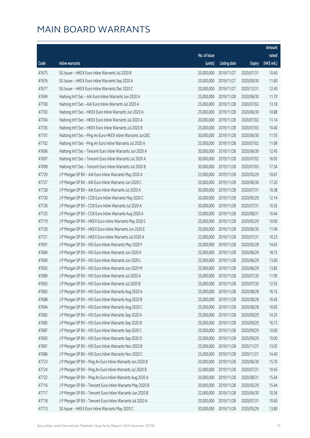|       |                                                              |              |                       |               | Amount      |
|-------|--------------------------------------------------------------|--------------|-----------------------|---------------|-------------|
|       |                                                              | No. of issue |                       |               | raised      |
| Code  | <b>Inline warrants</b>                                       | (units)      | <b>Listing date</b>   | <b>Expiry</b> | (HK\$ mil.) |
| 47675 | SG Issuer - HKEX Euro Inline Warrants Jul 2020 B             | 20,000,000   | 2019/11/27            | 2020/07/31    | 10.40       |
| 47676 | SG Issuer - HKEX Euro Inline Warrants Sep 2020 A             | 20,000,000   | 2019/11/27            | 2020/09/30    | 11.60       |
| 47677 | SG Issuer - HKEX Euro Inline Warrants Dec 2020 C             | 20,000,000   | 2019/11/27            | 2020/12/31    | 12.40       |
| 47699 | Haitong Int'l Sec - AIA Euro Inline Warrants Jun 2020 A      | 25,000,000   | 2019/11/28            | 2020/06/30    | 11.70       |
| 47700 | Haitong Int'l Sec - AIA Euro Inline Warrants Jul 2020 A      | 25,000,000   | 2019/11/28            | 2020/07/02    | 13.18       |
| 47703 | Haitong Int'l Sec - HKEX Euro Inline Warrants Jun 2020 A     | 25,000,000   | 2019/11/28            | 2020/06/30    | 10.88       |
| 47704 | Haitong Int'l Sec - HKEX Euro Inline Warrants Jul 2020 A     | 20,000,000   | 2019/11/28            | 2020/07/02    | 11.14       |
| 47705 | Haitong Int'l Sec - HKEX Euro Inline Warrants Jul 2020 B     | 25,000,000   | 2019/11/28            | 2020/07/03    | 10.40       |
| 47701 | Haitong Int'l Sec - Ping An Euro HKEX inline Warrants Jun20C | 30,000,000   | 2019/11/28            | 2020/06/30    | 11.55       |
| 47702 | Haitong Int'l Sec - Ping An Euro Inline Warrants Jul 2020 A  | 25,000,000   | 2019/11/28            | 2020/07/02    | 11.68       |
| 47696 | Haitong Int'l Sec - Tencent Euro Inline Warrants Jun 2020 A  | 30,000,000   | 2019/11/28            | 2020/06/30    | 12.45       |
| 47697 | Haitong Int'l Sec - Tencent Euro Inline Warrants Jul 2020 A  | 30,000,000   | 2019/11/28            | 2020/07/02    | 16.95       |
| 47698 | Haitong Int'l Sec - Tencent Euro Inline Warrants Jul 2020 B  | 30,000,000   | 2019/11/28            | 2020/07/03    | 17.34       |
| 47729 | J P Morgan SP BV - AIA Euro Inline Warrants May 2020 A       | 23,000,000   | 2019/11/28            | 2020/05/29    | 10.67       |
| 47727 | J P Morgan SP BV - AIA Euro Inline Warrants Jun 2020 C       | 20,000,000   | 2019/11/28            | 2020/06/30    | 17.20       |
| 47728 | J P Morgan SP BV - AIA Euro Inline Warrants Jul 2020 A       | 30,000,000   | 2019/11/28            | 2020/07/31    | 10.38       |
| 47730 | J P Morgan SP BV - CCB Euro Inline Warrants May 2020 C       | 20,000,000   | 2019/11/28            | 2020/05/29    | 12.14       |
| 47726 | J P Morgan SP BV - CCB Euro Inline Warrants Jul 2020 A       | 30,000,000   | 2019/11/28            | 2020/07/31    | 10.35       |
| 47725 | J P Morgan SP BV - CCB Euro Inline Warrants Aug 2020 A       | 23,000,000   | 2019/11/28            | 2020/08/31    | 10.44       |
| 47719 | J P Morgan SP BV - HKEX Euro Inline Warrants May 2020 C      | 25,000,000   | 2019/11/28            | 2020/05/29    | 10.90       |
| 47720 | J P Morgan SP BV - HKEX Euro Inline Warrants Jun 2020 E      | 20,000,000   | 2019/11/28            | 2020/06/30    | 11.96       |
| 47721 | J P Morgan SP BV - HKEX Euro Inline Warrants Jul 2020 A      | 22,000,000   | 2019/11/28            | 2020/07/31    | 10.23       |
| 47691 | J P Morgan SP BV - HSI Euro Inline Warrants May 2020 F       | 25,000,000   | 2019/11/28            | 2020/05/28    | 14.65       |
| 47684 | J P Morgan SP BV - HSI Euro Inline Warrants Jun 2020 K       | 25,000,000   | 2019/11/28            | 2020/06/29    | 18.15       |
| 47690 | J P Morgan SP BV - HSI Euro Inline Warrants Jun 2020 L       | 25,000,000   | 2019/11/28            | 2020/06/29    | 13.60       |
| 47692 | J P Morgan SP BV - HSI Euro Inline Warrants Jun 2020 M       | 25,000,000   | 2019/11/28            | 2020/06/29    | 13.85       |
| 47689 | J P Morgan SP BV - HSI Euro Inline Warrants Jul 2020 A       |              | 25,000,000 2019/11/28 | 2020/07/30    | 11.90       |
| 47693 | J P Morgan SP BV - HSI Euro Inline Warrants Jul 2020 B       | 25,000,000   | 2019/11/28            | 2020/07/30    | 12.55       |
| 47683 | J P Morgan SP BV - HSI Euro Inline Warrants Aug 2020 A       | 25,000,000   | 2019/11/28            | 2020/08/28    | 16.15       |
| 47688 | J P Morgan SP BV - HSI Euro Inline Warrants Aug 2020 B       | 25,000,000   | 2019/11/28            | 2020/08/28    | 10.45       |
| 47694 | J P Morgan SP BV - HSI Euro Inline Warrants Aug 2020 C       | 25,000,000   | 2019/11/28            | 2020/08/28    | 10.65       |
| 47682 | J P Morgan SP BV - HSI Euro Inline Warrants Sep 2020 A       | 25,000,000   | 2019/11/28            | 2020/09/29    | 14.25       |
| 47685 | J P Morgan SP BV - HSI Euro Inline Warrants Sep 2020 B       | 25,000,000   | 2019/11/28            | 2020/09/29    | 16.73       |
| 47687 | J P Morgan SP BV - HSI Euro Inline Warrants Sep 2020 C       | 25,000,000   | 2019/11/28            | 2020/09/29    | 10.00       |
| 47695 | J P Morgan SP BV - HSI Euro Inline Warrants Sep 2020 D       | 25,000,000   | 2019/11/28            | 2020/09/29    | 10.00       |
| 47681 | J P Morgan SP BV - HSI Euro Inline Warrants Nov 2020 B       | 25,000,000   | 2019/11/28            | 2020/11/27    | 13.05       |
| 47686 | J P Morgan SP BV - HSI Euro Inline Warrants Nov 2020 C       | 25,000,000   | 2019/11/28            | 2020/11/27    | 14.40       |
| 47723 | J P Morgan SP BV - Ping An Euro Inline Warrants Jun 2020 B   | 20,000,000   | 2019/11/28            | 2020/06/30    | 15.70       |
| 47724 | J P Morgan SP BV - Ping An Euro Inline Warrants Jul 2020 B   | 22,000,000   | 2019/11/28            | 2020/07/31    | 10.45       |
| 47722 | J P Morgan SP BV - Ping An Euro Inline Warrants Aug 2020 A   | 20,000,000   | 2019/11/28            | 2020/08/31    | 15.64       |
| 47716 | J P Morgan SP BV - Tencent Euro Inline Warrants May 2020 B   | 20,000,000   | 2019/11/28            | 2020/05/29    | 15.44       |
| 47717 | J P Morgan SP BV - Tencent Euro Inline Warrants Jun 2020 B   | 22,000,000   | 2019/11/28            | 2020/06/30    | 10.36       |
| 47718 | J P Morgan SP BV - Tencent Euro Inline Warrants Jul 2020 A   | 20,000,000   | 2019/11/28            | 2020/07/31    | 10.60       |
| 47713 | SG Issuer - HKEX Euro Inline Warrants May 2020 C             | 30,000,000   | 2019/11/28            | 2020/05/29    | 13.80       |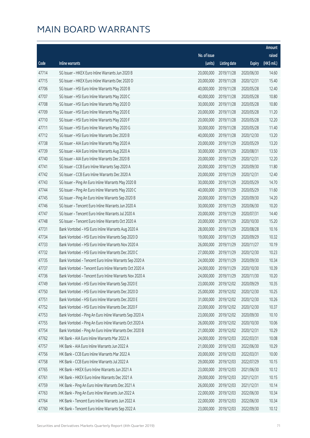|       |                                                         |              |                       |               | Amount      |
|-------|---------------------------------------------------------|--------------|-----------------------|---------------|-------------|
|       |                                                         | No. of issue |                       |               | raised      |
| Code  | Inline warrants                                         | (units)      | <b>Listing date</b>   | <b>Expiry</b> | (HK\$ mil.) |
| 47714 | SG Issuer - HKEX Euro Inline Warrants Jun 2020 B        | 20,000,000   | 2019/11/28            | 2020/06/30    | 14.60       |
| 47715 | SG Issuer - HKEX Euro Inline Warrants Dec 2020 D        | 20,000,000   | 2019/11/28            | 2020/12/31    | 15.40       |
| 47706 | SG Issuer - HSI Euro Inline Warrants May 2020 B         | 40,000,000   | 2019/11/28            | 2020/05/28    | 12.40       |
| 47707 | SG Issuer - HSI Euro Inline Warrants May 2020 C         | 40,000,000   | 2019/11/28            | 2020/05/28    | 10.80       |
| 47708 | SG Issuer - HSI Euro Inline Warrants May 2020 D         | 30,000,000   | 2019/11/28            | 2020/05/28    | 10.80       |
| 47709 | SG Issuer - HSI Euro Inline Warrants May 2020 E         | 20,000,000   | 2019/11/28            | 2020/05/28    | 11.20       |
| 47710 | SG Issuer - HSI Euro Inline Warrants May 2020 F         | 20,000,000   | 2019/11/28            | 2020/05/28    | 12.20       |
| 47711 | SG Issuer - HSI Euro Inline Warrants May 2020 G         | 30,000,000   | 2019/11/28            | 2020/05/28    | 11.40       |
| 47712 | SG Issuer - HSI Euro Inline Warrants Dec 2020 B         | 40,000,000   | 2019/11/28            | 2020/12/30    | 13.20       |
| 47738 | SG Issuer - AIA Euro Inline Warrants May 2020 A         | 20,000,000   | 2019/11/29            | 2020/05/29    | 13.20       |
| 47739 | SG Issuer - AIA Euro Inline Warrants Aug 2020 A         | 30,000,000   | 2019/11/29            | 2020/08/31    | 13.50       |
| 47740 | SG Issuer - AIA Euro Inline Warrants Dec 2020 B         | 20,000,000   | 2019/11/29            | 2020/12/31    | 12.20       |
| 47741 | SG Issuer - CCB Euro Inline Warrants Sep 2020 A         | 20,000,000   | 2019/11/29            | 2020/09/30    | 11.80       |
| 47742 | SG Issuer - CCB Euro Inline Warrants Dec 2020 A         | 20,000,000   | 2019/11/29            | 2020/12/31    | 12.40       |
| 47743 | SG Issuer - Ping An Euro Inline Warrants May 2020 B     | 30,000,000   | 2019/11/29            | 2020/05/29    | 14.70       |
| 47744 | SG Issuer - Ping An Euro Inline Warrants May 2020 C     | 40,000,000   | 2019/11/29            | 2020/05/29    | 11.60       |
| 47745 | SG Issuer - Ping An Euro Inline Warrants Sep 2020 B     | 20,000,000   | 2019/11/29            | 2020/09/30    | 14.20       |
| 47746 | SG Issuer - Tencent Euro Inline Warrants Jun 2020 A     | 30,000,000   | 2019/11/29            | 2020/06/30    | 10.20       |
| 47747 | SG Issuer - Tencent Euro Inline Warrants Jul 2020 A     | 20,000,000   | 2019/11/29            | 2020/07/31    | 14.40       |
| 47748 | SG Issuer - Tencent Euro Inline Warrants Oct 2020 A     | 20,000,000   | 2019/11/29            | 2020/10/30    | 15.20       |
| 47731 | Bank Vontobel - HSI Euro Inline Warrants Aug 2020 A     | 28,000,000   | 2019/11/29            | 2020/08/28    | 10.16       |
| 47734 | Bank Vontobel - HSI Euro Inline Warrants Sep 2020 D     | 19,000,000   | 2019/11/29            | 2020/09/29    | 10.32       |
| 47733 | Bank Vontobel - HSI Euro Inline Warrants Nov 2020 A     | 26,000,000   | 2019/11/29            | 2020/11/27    | 10.19       |
| 47732 | Bank Vontobel - HSI Euro Inline Warrants Dec 2020 C     | 27,000,000   | 2019/11/29            | 2020/12/30    | 10.23       |
| 47735 | Bank Vontobel - Tencent Euro Inline Warrants Sep 2020 A | 24,000,000   | 2019/11/29            | 2020/09/30    | 10.34       |
| 47737 | Bank Vontobel - Tencent Euro Inline Warrants Oct 2020 A | 24,000,000   | 2019/11/29            | 2020/10/30    | 10.39       |
| 47736 | Bank Vontobel - Tencent Euro Inline Warrants Nov 2020 A |              | 24,000,000 2019/11/29 | 2020/11/30    | 10.20       |
| 47749 | Bank Vontobel - HSI Euro Inline Warrants Sep 2020 E     | 23,000,000   | 2019/12/02            | 2020/09/29    | 10.35       |
| 47750 | Bank Vontobel - HSI Euro Inline Warrants Dec 2020 D     | 25,000,000   | 2019/12/02            | 2020/12/30    | 10.25       |
| 47751 | Bank Vontobel - HSI Euro Inline Warrants Dec 2020 E     | 31,000,000   | 2019/12/02            | 2020/12/30    | 10.26       |
| 47752 | Bank Vontobel - HSI Euro Inline Warrants Dec 2020 F     | 23,000,000   | 2019/12/02            | 2020/12/30    | 10.37       |
| 47753 | Bank Vontobel - Ping An Euro Inline Warrants Sep 2020 A | 23,000,000   | 2019/12/02            | 2020/09/30    | 10.10       |
| 47755 | Bank Vontobel - Ping An Euro Inline Warrants Oct 2020 A | 26,000,000   | 2019/12/02            | 2020/10/30    | 10.06       |
| 47754 | Bank Vontobel - Ping An Euro Inline Warrants Dec 2020 B | 21,000,000   | 2019/12/02            | 2020/12/31    | 10.29       |
| 47762 | HK Bank - AIA Euro Inline Warrants Mar 2022 A           | 24,000,000   | 2019/12/03            | 2022/03/31    | 10.08       |
| 47757 | HK Bank - AIA Euro Inline Warrants Jun 2022 A           | 21,000,000   | 2019/12/03            | 2022/06/30    | 10.29       |
| 47756 | HK Bank - CCB Euro Inline Warrants Mar 2022 A           | 20,000,000   | 2019/12/03            | 2022/03/31    | 10.00       |
| 47758 | HK Bank - CCB Euro Inline Warrants Jul 2022 A           | 29,000,000   | 2019/12/03            | 2022/07/29    | 10.15       |
| 47765 | HK Bank - HKEX Euro Inline Warrants Jun 2021 A          | 23,000,000   | 2019/12/03            | 2021/06/30    | 10.12       |
| 47761 | HK Bank - HKEX Euro Inline Warrants Dec 2021 A          | 29,000,000   | 2019/12/03            | 2021/12/31    | 10.15       |
| 47759 | HK Bank - Ping An Euro Inline Warrants Dec 2021 A       | 26,000,000   | 2019/12/03            | 2021/12/31    | 10.14       |
| 47763 | HK Bank - Ping An Euro Inline Warrants Jun 2022 A       | 22,000,000   | 2019/12/03            | 2022/06/30    | 10.34       |
| 47764 | HK Bank - Tencent Euro Inline Warrants Jun 2022 A       | 22,000,000   | 2019/12/03            | 2022/06/30    | 10.34       |
| 47760 | HK Bank - Tencent Euro Inline Warrants Sep 2022 A       | 23,000,000   | 2019/12/03            | 2022/09/30    | 10.12       |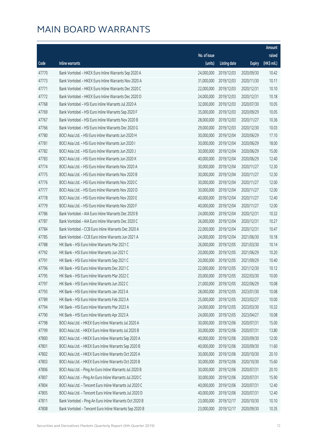|       |                                                          |              |                       |               | Amount      |
|-------|----------------------------------------------------------|--------------|-----------------------|---------------|-------------|
|       |                                                          | No. of issue |                       |               | raised      |
| Code  | Inline warrants                                          | (units)      | <b>Listing date</b>   | <b>Expiry</b> | (HK\$ mil.) |
| 47770 | Bank Vontobel - HKEX Euro Inline Warrants Sep 2020 A     | 24,000,000   | 2019/12/03            | 2020/09/30    | 10.42       |
| 47773 | Bank Vontobel - HKEX Euro Inline Warrants Nov 2020 A     | 31,000,000   | 2019/12/03            | 2020/11/30    | 10.11       |
| 47771 | Bank Vontobel - HKEX Euro Inline Warrants Dec 2020 C     | 22,000,000   | 2019/12/03            | 2020/12/31    | 10.10       |
| 47772 | Bank Vontobel - HKEX Euro Inline Warrants Dec 2020 D     | 24,000,000   | 2019/12/03            | 2020/12/31    | 10.18       |
| 47768 | Bank Vontobel - HSI Euro Inline Warrants Jul 2020 A      | 32,000,000   | 2019/12/03            | 2020/07/30    | 10.05       |
| 47769 | Bank Vontobel - HSI Euro Inline Warrants Sep 2020 F      | 35,000,000   | 2019/12/03            | 2020/09/29    | 10.05       |
| 47767 | Bank Vontobel - HSI Euro Inline Warrants Nov 2020 B      | 28,000,000   | 2019/12/03            | 2020/11/27    | 10.36       |
| 47766 | Bank Vontobel - HSI Euro Inline Warrants Dec 2020 G      | 29,000,000   | 2019/12/03            | 2020/12/30    | 10.03       |
| 47780 | BOCI Asia Ltd. - HSI Euro Inline Warrants Jun 2020 H     | 30,000,000   | 2019/12/04            | 2020/06/29    | 17.10       |
| 47781 | BOCI Asia Ltd. - HSI Euro Inline Warrants Jun 2020 I     | 30,000,000   | 2019/12/04            | 2020/06/29    | 18.00       |
| 47782 | BOCI Asia Ltd. - HSI Euro Inline Warrants Jun 2020 J     | 30,000,000   | 2019/12/04            | 2020/06/29    | 15.00       |
| 47783 | BOCI Asia Ltd. - HSI Euro Inline Warrants Jun 2020 K     | 40,000,000   | 2019/12/04            | 2020/06/29    | 12.40       |
| 47774 | BOCI Asia Ltd. - HSI Euro Inline Warrants Nov 2020 A     | 30,000,000   | 2019/12/04            | 2020/11/27    | 12.30       |
| 47775 | BOCI Asia Ltd. - HSI Euro Inline Warrants Nov 2020 B     | 30,000,000   | 2019/12/04            | 2020/11/27    | 12.30       |
| 47776 | BOCI Asia Ltd. - HSI Euro Inline Warrants Nov 2020 C     | 30,000,000   | 2019/12/04            | 2020/11/27    | 12.00       |
| 47777 | BOCI Asia Ltd. - HSI Euro Inline Warrants Nov 2020 D     | 30,000,000   | 2019/12/04            | 2020/11/27    | 12.00       |
| 47778 | BOCI Asia Ltd. - HSI Euro Inline Warrants Nov 2020 E     | 40,000,000   | 2019/12/04            | 2020/11/27    | 12.40       |
| 47779 | BOCI Asia Ltd. - HSI Euro Inline Warrants Nov 2020 F     | 40,000,000   | 2019/12/04            | 2020/11/27    | 12.00       |
| 47786 | Bank Vontobel - AIA Euro Inline Warrants Dec 2020 B      | 24,000,000   | 2019/12/04            | 2020/12/31    | 10.32       |
| 47787 | Bank Vontobel - AIA Euro Inline Warrants Dec 2020 C      | 26,000,000   | 2019/12/04            | 2020/12/31    | 10.27       |
| 47784 | Bank Vontobel - CCB Euro Inline Warrants Dec 2020 A      | 22,000,000   | 2019/12/04            | 2020/12/31    | 10.47       |
| 47785 | Bank Vontobel - CCB Euro Inline Warrants Jun 2021 A      | 24,000,000   | 2019/12/04            | 2021/06/30    | 10.18       |
| 47788 | HK Bank - HSI Euro Inline Warrants Mar 2021 C            | 26,000,000   | 2019/12/05            | 2021/03/30    | 10.14       |
| 47792 | HK Bank - HSI Euro Inline Warrants Jun 2021 C            | 20,000,000   | 2019/12/05            | 2021/06/29    | 10.20       |
| 47791 | HK Bank - HSI Euro Inline Warrants Sep 2021 C            | 20,000,000   | 2019/12/05            | 2021/09/29    | 10.40       |
| 47796 | HK Bank - HSI Euro Inline Warrants Dec 2021 C            | 22,000,000   | 2019/12/05            | 2021/12/30    | 10.12       |
| 47795 | HK Bank - HSI Euro Inline Warrants Mar 2022 C            |              | 20,000,000 2019/12/05 | 2022/03/30    | 10.00       |
| 47797 | HK Bank - HSI Euro Inline Warrants Jun 2022 C            | 21,000,000   | 2019/12/05            | 2022/06/29    | 10.08       |
| 47793 | HK Bank - HSI Euro Inline Warrants Jan 2023 A            | 28,000,000   | 2019/12/05            | 2023/01/30    | 10.08       |
| 47789 | HK Bank - HSI Euro Inline Warrants Feb 2023 A            | 25,000,000   | 2019/12/05            | 2023/02/27    | 10.00       |
| 47794 | HK Bank - HSI Euro Inline Warrants Mar 2023 A            | 24,000,000   | 2019/12/05            | 2023/03/30    | 10.32       |
| 47790 | HK Bank - HSI Euro Inline Warrants Apr 2023 A            | 24,000,000   | 2019/12/05            | 2023/04/27    | 10.08       |
| 47798 | BOCI Asia Ltd. - HKEX Euro Inline Warrants Jul 2020 A    | 30,000,000   | 2019/12/06            | 2020/07/31    | 15.00       |
| 47799 | BOCI Asia Ltd. - HKEX Euro Inline Warrants Jul 2020 B    | 30,000,000   | 2019/12/06            | 2020/07/31    | 13.80       |
| 47800 | BOCI Asia Ltd. - HKEX Euro Inline Warrants Sep 2020 A    | 40,000,000   | 2019/12/06            | 2020/09/30    | 12.00       |
| 47801 | BOCI Asia Ltd. - HKEX Euro Inline Warrants Sep 2020 B    | 40,000,000   | 2019/12/06            | 2020/09/30    | 11.60       |
| 47802 | BOCI Asia Ltd. - HKEX Euro Inline Warrants Oct 2020 A    | 30,000,000   | 2019/12/06            | 2020/10/30    | 20.10       |
| 47803 | BOCI Asia Ltd. - HKEX Euro Inline Warrants Oct 2020 B    | 30,000,000   | 2019/12/06            | 2020/10/30    | 15.60       |
| 47806 | BOCI Asia Ltd. - Ping An Euro Inline Warrants Jul 2020 B | 30,000,000   | 2019/12/06            | 2020/07/31    | 20.10       |
| 47807 | BOCI Asia Ltd. - Ping An Euro Inline Warrants Jul 2020 C | 30,000,000   | 2019/12/06            | 2020/07/31    | 15.90       |
| 47804 | BOCI Asia Ltd. - Tencent Euro Inline Warrants Jul 2020 C | 40,000,000   | 2019/12/06            | 2020/07/31    | 12.40       |
| 47805 | BOCI Asia Ltd. - Tencent Euro Inline Warrants Jul 2020 D | 40,000,000   | 2019/12/06            | 2020/07/31    | 12.40       |
| 47811 | Bank Vontobel - Ping An Euro Inline Warrants Oct 2020 B  | 23,000,000   | 2019/12/17            | 2020/10/30    | 10.10       |
| 47808 | Bank Vontobel - Tencent Euro Inline Warrants Sep 2020 B  | 23,000,000   | 2019/12/17            | 2020/09/30    | 10.35       |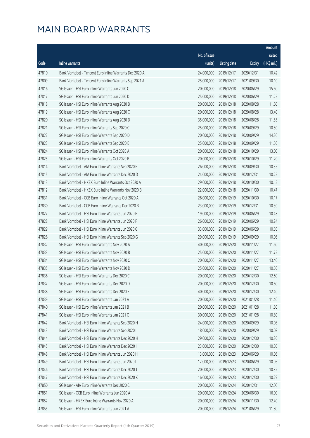|       |                                                         |              |                       |               | Amount      |
|-------|---------------------------------------------------------|--------------|-----------------------|---------------|-------------|
|       |                                                         | No. of issue |                       |               | raised      |
| Code  | <b>Inline warrants</b>                                  | (units)      | <b>Listing date</b>   | <b>Expiry</b> | (HK\$ mil.) |
| 47810 | Bank Vontobel - Tencent Euro Inline Warrants Dec 2020 A | 24,000,000   | 2019/12/17            | 2020/12/31    | 10.42       |
| 47809 | Bank Vontobel - Tencent Euro Inline Warrants Sep 2021 A | 25,000,000   | 2019/12/17            | 2021/09/30    | 10.10       |
| 47816 | SG Issuer - HSI Euro Inline Warrants Jun 2020 C         | 20,000,000   | 2019/12/18            | 2020/06/29    | 15.60       |
| 47817 | SG Issuer - HSI Euro Inline Warrants Jun 2020 D         | 25,000,000   | 2019/12/18            | 2020/06/29    | 11.25       |
| 47818 | SG Issuer - HSI Euro Inline Warrants Aug 2020 B         | 20,000,000   | 2019/12/18            | 2020/08/28    | 11.60       |
| 47819 | SG Issuer - HSI Euro Inline Warrants Aug 2020 C         | 20,000,000   | 2019/12/18            | 2020/08/28    | 13.40       |
| 47820 | SG Issuer - HSI Euro Inline Warrants Aug 2020 D         | 35,000,000   | 2019/12/18            | 2020/08/28    | 11.55       |
| 47821 | SG Issuer - HSI Euro Inline Warrants Sep 2020 C         | 25,000,000   | 2019/12/18            | 2020/09/29    | 10.50       |
| 47822 | SG Issuer - HSI Euro Inline Warrants Sep 2020 D         | 20,000,000   | 2019/12/18            | 2020/09/29    | 14.20       |
| 47823 | SG Issuer - HSI Euro Inline Warrants Sep 2020 E         | 25,000,000   | 2019/12/18            | 2020/09/29    | 11.50       |
| 47824 | SG Issuer - HSI Euro Inline Warrants Oct 2020 A         | 20,000,000   | 2019/12/18            | 2020/10/29    | 13.00       |
| 47825 | SG Issuer - HSI Euro Inline Warrants Oct 2020 B         | 20,000,000   | 2019/12/18            | 2020/10/29    | 11.20       |
| 47814 | Bank Vontobel - AIA Euro Inline Warrants Sep 2020 B     | 26,000,000   | 2019/12/18            | 2020/09/30    | 10.35       |
| 47815 | Bank Vontobel - AIA Euro Inline Warrants Dec 2020 D     | 24,000,000   | 2019/12/18            | 2020/12/31    | 10.25       |
| 47813 | Bank Vontobel - HKEX Euro Inline Warrants Oct 2020 A    | 29,000,000   | 2019/12/18            | 2020/10/30    | 10.15       |
| 47812 | Bank Vontobel - HKEX Euro Inline Warrants Nov 2020 B    | 22,000,000   | 2019/12/18            | 2020/11/30    | 10.47       |
| 47831 | Bank Vontobel - CCB Euro Inline Warrants Oct 2020 A     | 26,000,000   | 2019/12/19            | 2020/10/30    | 10.17       |
| 47830 | Bank Vontobel - CCB Euro Inline Warrants Dec 2020 B     | 23,000,000   | 2019/12/19            | 2020/12/31    | 10.30       |
| 47827 | Bank Vontobel - HSI Euro Inline Warrants Jun 2020 E     | 19,000,000   | 2019/12/19            | 2020/06/29    | 10.43       |
| 47828 | Bank Vontobel - HSI Euro Inline Warrants Jun 2020 F     | 26,000,000   | 2019/12/19            | 2020/06/29    | 10.24       |
| 47829 | Bank Vontobel - HSI Euro Inline Warrants Jun 2020 G     | 33,000,000   | 2019/12/19            | 2020/06/29    | 10.30       |
| 47826 | Bank Vontobel - HSI Euro Inline Warrants Sep 2020 G     | 29,000,000   | 2019/12/19            | 2020/09/29    | 10.06       |
| 47832 | SG Issuer - HSI Euro Inline Warrants Nov 2020 A         | 40,000,000   | 2019/12/20            | 2020/11/27    | 11.60       |
| 47833 | SG Issuer - HSI Euro Inline Warrants Nov 2020 B         | 25,000,000   | 2019/12/20            | 2020/11/27    | 11.75       |
| 47834 | SG Issuer - HSI Euro Inline Warrants Nov 2020 C         | 20,000,000   | 2019/12/20            | 2020/11/27    | 13.40       |
| 47835 | SG Issuer - HSI Euro Inline Warrants Nov 2020 D         | 25,000,000   | 2019/12/20            | 2020/11/27    | 10.50       |
| 47836 | SG Issuer - HSI Euro Inline Warrants Dec 2020 C         |              | 20,000,000 2019/12/20 | 2020/12/30    | 12.60       |
| 47837 | SG Issuer - HSI Euro Inline Warrants Dec 2020 D         | 20,000,000   | 2019/12/20            | 2020/12/30    | 10.60       |
| 47838 | SG Issuer - HSI Euro Inline Warrants Dec 2020 E         | 40,000,000   | 2019/12/20            | 2020/12/30    | 12.40       |
| 47839 | SG Issuer - HSI Euro Inline Warrants Jan 2021 A         | 20,000,000   | 2019/12/20            | 2021/01/28    | 11.40       |
| 47840 | SG Issuer - HSI Euro Inline Warrants Jan 2021 B         | 20,000,000   | 2019/12/20            | 2021/01/28    | 11.80       |
| 47841 | SG Issuer - HSI Euro Inline Warrants Jan 2021 C         | 30,000,000   | 2019/12/20            | 2021/01/28    | 10.80       |
| 47842 | Bank Vontobel - HSI Euro Inline Warrants Sep 2020 H     | 24,000,000   | 2019/12/20            | 2020/09/29    | 10.08       |
| 47843 | Bank Vontobel - HSI Euro Inline Warrants Sep 2020 I     | 18,000,000   | 2019/12/20            | 2020/09/29    | 10.03       |
| 47844 | Bank Vontobel - HSI Euro Inline Warrants Dec 2020 H     | 29,000,000   | 2019/12/20            | 2020/12/30    | 10.30       |
| 47845 | Bank Vontobel - HSI Euro Inline Warrants Dec 2020 I     | 23,000,000   | 2019/12/20            | 2020/12/30    | 10.05       |
| 47848 | Bank Vontobel - HSI Euro Inline Warrants Jun 2020 H     | 13,000,000   | 2019/12/23            | 2020/06/29    | 10.06       |
| 47849 | Bank Vontobel - HSI Euro Inline Warrants Jun 2020 I     | 17,000,000   | 2019/12/23            | 2020/06/29    | 10.05       |
| 47846 | Bank Vontobel - HSI Euro Inline Warrants Dec 2020 J     | 20,000,000   | 2019/12/23            | 2020/12/30    | 10.32       |
| 47847 | Bank Vontobel - HSI Euro Inline Warrants Dec 2020 K     | 16,000,000   | 2019/12/23            | 2020/12/30    | 10.29       |
| 47850 | SG Issuer - AIA Euro Inline Warrants Dec 2020 C         | 20,000,000   | 2019/12/24            | 2020/12/31    | 12.00       |
| 47851 | SG Issuer - CCB Euro Inline Warrants Jun 2020 A         | 20,000,000   | 2019/12/24            | 2020/06/30    | 16.00       |
| 47852 | SG Issuer - HKEX Euro Inline Warrants Nov 2020 A        | 20,000,000   | 2019/12/24            | 2020/11/30    | 12.40       |
| 47855 | SG Issuer - HSI Euro Inline Warrants Jun 2021 A         | 20,000,000   | 2019/12/24            | 2021/06/29    | 11.80       |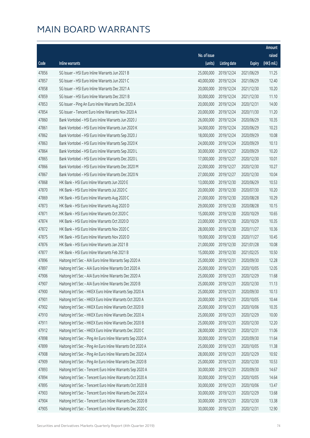|       |                                                             |              |                       |               | Amount      |
|-------|-------------------------------------------------------------|--------------|-----------------------|---------------|-------------|
|       |                                                             | No. of issue |                       |               | raised      |
| Code  | <b>Inline warrants</b>                                      | (units)      | <b>Listing date</b>   | <b>Expiry</b> | (HK\$ mil.) |
| 47856 | SG Issuer - HSI Euro Inline Warrants Jun 2021 B             | 25,000,000   | 2019/12/24            | 2021/06/29    | 11.25       |
| 47857 | SG Issuer - HSI Euro Inline Warrants Jun 2021 C             | 40,000,000   | 2019/12/24            | 2021/06/29    | 12.40       |
| 47858 | SG Issuer - HSI Euro Inline Warrants Dec 2021 A             | 20,000,000   | 2019/12/24            | 2021/12/30    | 10.20       |
| 47859 | SG Issuer - HSI Euro Inline Warrants Dec 2021 B             | 30,000,000   | 2019/12/24            | 2021/12/30    | 11.10       |
| 47853 | SG Issuer - Ping An Euro Inline Warrants Dec 2020 A         | 20,000,000   | 2019/12/24            | 2020/12/31    | 14.00       |
| 47854 | SG Issuer - Tencent Euro Inline Warrants Nov 2020 A         | 20,000,000   | 2019/12/24            | 2020/11/30    | 11.20       |
| 47860 | Bank Vontobel - HSI Euro Inline Warrants Jun 2020 J         | 26,000,000   | 2019/12/24            | 2020/06/29    | 10.35       |
| 47861 | Bank Vontobel - HSI Euro Inline Warrants Jun 2020 K         | 34,000,000   | 2019/12/24            | 2020/06/29    | 10.23       |
| 47862 | Bank Vontobel - HSI Euro Inline Warrants Sep 2020 J         | 18,000,000   | 2019/12/24            | 2020/09/29    | 10.08       |
| 47863 | Bank Vontobel - HSI Euro Inline Warrants Sep 2020 K         | 24,000,000   | 2019/12/24            | 2020/09/29    | 10.13       |
| 47864 | Bank Vontobel - HSI Euro Inline Warrants Sep 2020 L         | 30,000,000   | 2019/12/27            | 2020/09/29    | 10.20       |
| 47865 | Bank Vontobel - HSI Euro Inline Warrants Dec 2020 L         | 17,000,000   | 2019/12/27            | 2020/12/30    | 10.01       |
| 47866 | Bank Vontobel - HSI Euro Inline Warrants Dec 2020 M         | 22,000,000   | 2019/12/27            | 2020/12/30    | 10.27       |
| 47867 | Bank Vontobel - HSI Euro Inline Warrants Dec 2020 N         | 27,000,000   | 2019/12/27            | 2020/12/30    | 10.04       |
| 47868 | HK Bank - HSI Euro Inline Warrants Jun 2020 E               | 13,000,000   | 2019/12/30            | 2020/06/29    | 10.53       |
| 47870 | HK Bank - HSI Euro Inline Warrants Jul 2020 C               | 20,000,000   | 2019/12/30            | 2020/07/30    | 10.20       |
| 47869 | HK Bank - HSI Euro Inline Warrants Aug 2020 C               | 21,000,000   | 2019/12/30            | 2020/08/28    | 10.29       |
| 47873 | HK Bank - HSI Euro Inline Warrants Aug 2020 D               | 29,000,000   | 2019/12/30            | 2020/08/28    | 10.15       |
| 47871 | HK Bank - HSI Euro Inline Warrants Oct 2020 C               | 15,000,000   | 2019/12/30            | 2020/10/29    | 10.65       |
| 47874 | HK Bank - HSI Euro Inline Warrants Oct 2020 D               | 23,000,000   | 2019/12/30            | 2020/10/29    | 10.35       |
| 47872 | HK Bank - HSI Euro Inline Warrants Nov 2020 C               | 28,000,000   | 2019/12/30            | 2020/11/27    | 10.36       |
| 47875 | HK Bank - HSI Euro Inline Warrants Nov 2020 D               | 19,000,000   | 2019/12/30            | 2020/11/27    | 10.45       |
| 47876 | HK Bank - HSI Euro Inline Warrants Jan 2021 B               | 21,000,000   | 2019/12/30            | 2021/01/28    | 10.08       |
| 47877 | HK Bank - HSI Euro Inline Warrants Feb 2021 B               | 15,000,000   | 2019/12/30            | 2021/02/25    | 10.50       |
| 47896 | Haitong Int'l Sec - AIA Euro Inline Warrants Sep 2020 A     | 25,000,000   | 2019/12/31            | 2020/09/30    | 12.28       |
| 47897 | Haitong Int'l Sec - AIA Euro Inline Warrants Oct 2020 A     | 25,000,000   | 2019/12/31            | 2020/10/05    | 12.05       |
| 47906 | Haitong Int'l Sec - AIA Euro Inline Warrants Dec 2020 A     |              | 25,000,000 2019/12/31 | 2020/12/29    | 11.68       |
| 47907 | Haitong Int'l Sec - AIA Euro Inline Warrants Dec 2020 B     | 25,000,000   | 2019/12/31            | 2020/12/30    | 11.13       |
| 47900 | Haitong Int'l Sec - HKEX Euro Inline Warrants Sep 2020 A    | 25,000,000   | 2019/12/31            | 2020/09/30    | 10.13       |
| 47901 | Haitong Int'l Sec - HKEX Euro Inline Warrants Oct 2020 A    | 20,000,000   | 2019/12/31            | 2020/10/05    | 10.44       |
| 47902 | Haitong Int'l Sec - HKEX Euro Inline Warrants Oct 2020 B    | 25,000,000   | 2019/12/31            | 2020/10/06    | 10.35       |
| 47910 | Haitong Int'l Sec - HKEX Euro Inline Warrants Dec 2020 A    | 25,000,000   | 2019/12/31            | 2020/12/29    | 10.00       |
| 47911 | Haitong Int'l Sec - HKEX Euro Inline Warrants Dec 2020 B    | 25,000,000   | 2019/12/31            | 2020/12/30    | 12.20       |
| 47912 | Haitong Int'l Sec - HKEX Euro Inline Warrants Dec 2020 C    | 28,000,000   | 2019/12/31            | 2020/12/31    | 11.06       |
| 47898 | Haitong Int'l Sec - Ping An Euro Inline Warrants Sep 2020 A | 30,000,000   | 2019/12/31            | 2020/09/30    | 11.64       |
| 47899 | Haitong Int'l Sec - Ping An Euro Inline Warrants Oct 2020 A | 25,000,000   | 2019/12/31            | 2020/10/05    | 11.38       |
| 47908 | Haitong Int'l Sec - Ping An Euro Inline Warrants Dec 2020 A | 28,000,000   | 2019/12/31            | 2020/12/29    | 10.92       |
| 47909 | Haitong Int'l Sec - Ping An Euro Inline Warrants Dec 2020 B | 25,000,000   | 2019/12/31            | 2020/12/30    | 10.53       |
| 47893 | Haitong Int'l Sec - Tencent Euro Inline Warrants Sep 2020 A | 30,000,000   | 2019/12/31            | 2020/09/30    | 14.67       |
| 47894 | Haitong Int'l Sec - Tencent Euro Inline Warrants Oct 2020 A | 30,000,000   | 2019/12/31            | 2020/10/05    | 14.64       |
| 47895 | Haitong Int'l Sec - Tencent Euro Inline Warrants Oct 2020 B | 30,000,000   | 2019/12/31            | 2020/10/06    | 13.47       |
| 47903 | Haitong Int'l Sec - Tencent Euro Inline Warrants Dec 2020 A | 30,000,000   | 2019/12/31            | 2020/12/29    | 13.68       |
| 47904 | Haitong Int'l Sec - Tencent Euro Inline Warrants Dec 2020 B | 30,000,000   | 2019/12/31            | 2020/12/30    | 13.38       |
| 47905 | Haitong Int'l Sec - Tencent Euro Inline Warrants Dec 2020 C | 30,000,000   | 2019/12/31            | 2020/12/31    | 12.90       |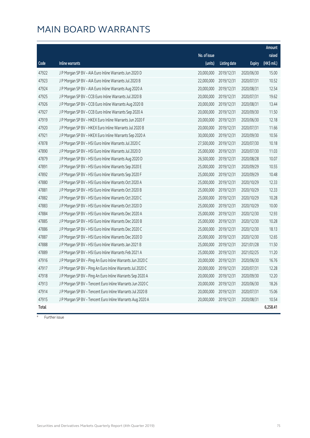|       |                                                            |              |                     |               | <b>Amount</b> |
|-------|------------------------------------------------------------|--------------|---------------------|---------------|---------------|
|       |                                                            | No. of issue |                     |               | raised        |
| Code  | Inline warrants                                            | (units)      | <b>Listing date</b> | <b>Expiry</b> | $(HK\$ mil.)  |
| 47922 | J P Morgan SP BV - AIA Euro Inline Warrants Jun 2020 D     | 20,000,000   | 2019/12/31          | 2020/06/30    | 15.00         |
| 47923 | J P Morgan SP BV - AIA Euro Inline Warrants Jul 2020 B     | 22,000,000   | 2019/12/31          | 2020/07/31    | 10.52         |
| 47924 | J P Morgan SP BV - AIA Euro Inline Warrants Aug 2020 A     | 20,000,000   | 2019/12/31          | 2020/08/31    | 12.54         |
| 47925 | J P Morgan SP BV - CCB Euro Inline Warrants Jul 2020 B     | 20,000,000   | 2019/12/31          | 2020/07/31    | 19.62         |
| 47926 | J P Morgan SP BV – CCB Euro Inline Warrants Aug 2020 B     | 20,000,000   | 2019/12/31          | 2020/08/31    | 13.44         |
| 47927 | J P Morgan SP BV - CCB Euro Inline Warrants Sep 2020 A     | 20,000,000   | 2019/12/31          | 2020/09/30    | 11.50         |
| 47919 | J P Morgan SP BV - HKEX Euro Inline Warrants Jun 2020 F    | 20,000,000   | 2019/12/31          | 2020/06/30    | 12.18         |
| 47920 | J P Morgan SP BV - HKEX Euro Inline Warrants Jul 2020 B    | 20,000,000   | 2019/12/31          | 2020/07/31    | 11.66         |
| 47921 | J P Morgan SP BV – HKEX Euro Inline Warrants Sep 2020 A    | 30,000,000   | 2019/12/31          | 2020/09/30    | 10.56         |
| 47878 | J P Morgan SP BV - HSI Euro Inline Warrants Jul 2020 C     | 27,500,000   | 2019/12/31          | 2020/07/30    | 10.18         |
| 47890 | J P Morgan SP BV - HSI Euro Inline Warrants Jul 2020 D     | 25,000,000   | 2019/12/31          | 2020/07/30    | 11.03         |
| 47879 | J P Morgan SP BV - HSI Euro Inline Warrants Aug 2020 D     | 26,500,000   | 2019/12/31          | 2020/08/28    | 10.07         |
| 47891 | J P Morgan SP BV - HSI Euro Inline Warrants Sep 2020 E     | 25,000,000   | 2019/12/31          | 2020/09/29    | 10.55         |
| 47892 | J P Morgan SP BV - HSI Euro Inline Warrants Sep 2020 F     | 25,000,000   | 2019/12/31          | 2020/09/29    | 10.48         |
| 47880 | J P Morgan SP BV - HSI Euro Inline Warrants Oct 2020 A     | 25,000,000   | 2019/12/31          | 2020/10/29    | 12.33         |
| 47881 | J P Morgan SP BV - HSI Euro Inline Warrants Oct 2020 B     | 25,000,000   | 2019/12/31          | 2020/10/29    | 12.33         |
| 47882 | J P Morgan SP BV - HSI Euro Inline Warrants Oct 2020 C     | 25,000,000   | 2019/12/31          | 2020/10/29    | 10.28         |
| 47883 | J P Morgan SP BV - HSI Euro Inline Warrants Oct 2020 D     | 25,000,000   | 2019/12/31          | 2020/10/29    | 10.00         |
| 47884 | J P Morgan SP BV - HSI Euro Inline Warrants Dec 2020 A     | 25,000,000   | 2019/12/31          | 2020/12/30    | 12.93         |
| 47885 | J P Morgan SP BV - HSI Euro Inline Warrants Dec 2020 B     | 25,000,000   | 2019/12/31          | 2020/12/30    | 10.28         |
| 47886 | J P Morgan SP BV - HSI Euro Inline Warrants Dec 2020 C     | 25,000,000   | 2019/12/31          | 2020/12/30    | 18.13         |
| 47887 | J P Morgan SP BV - HSI Euro Inline Warrants Dec 2020 D     | 25,000,000   | 2019/12/31          | 2020/12/30    | 12.65         |
| 47888 | J P Morgan SP BV - HSI Euro Inline Warrants Jan 2021 B     | 25,000,000   | 2019/12/31          | 2021/01/28    | 11.50         |
| 47889 | J P Morgan SP BV - HSI Euro Inline Warrants Feb 2021 A     | 25,000,000   | 2019/12/31          | 2021/02/25    | 11.20         |
| 47916 | J P Morgan SP BV - Ping An Euro Inline Warrants Jun 2020 C | 20,000,000   | 2019/12/31          | 2020/06/30    | 16.76         |
| 47917 | J P Morgan SP BV – Ping An Euro Inline Warrants Jul 2020 C | 20,000,000   | 2019/12/31          | 2020/07/31    | 12.28         |
| 47918 | J P Morgan SP BV - Ping An Euro Inline Warrants Sep 2020 A | 20,000,000   | 2019/12/31          | 2020/09/30    | 12.20         |
| 47913 | J P Morgan SP BV - Tencent Euro Inline Warrants Jun 2020 C | 20,000,000   | 2019/12/31          | 2020/06/30    | 18.26         |
| 47914 | J P Morgan SP BV – Tencent Euro Inline Warrants Jul 2020 B | 20,000,000   | 2019/12/31          | 2020/07/31    | 15.06         |
| 47915 | J P Morgan SP BV - Tencent Euro Inline Warrants Aug 2020 A | 20,000,000   | 2019/12/31          | 2020/08/31    | 10.54         |
| Total |                                                            |              |                     |               | 6,258.41      |

# Further issue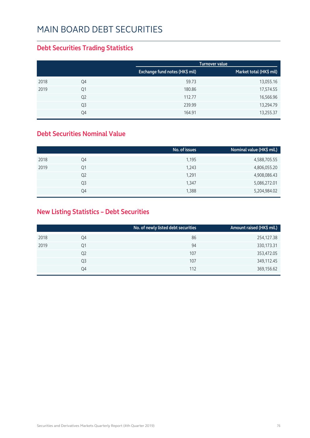#### **Debt Securities Trading Statistics**

|      |                |                                | Turnover value          |
|------|----------------|--------------------------------|-------------------------|
|      |                | Exchange fund notes (HK\$ mil) | Market total (HK\$ mil) |
| 2018 | Q4             | 59.73                          | 13,055.16               |
| 2019 | Q1             | 180.86                         | 17,574.55               |
|      | Q <sub>2</sub> | 112.77                         | 16,566.96               |
|      | Q <sub>3</sub> | 239.99                         | 13,294.79               |
|      | Q4             | 164.91                         | 13,255.37               |

#### **Debt Securities Nominal Value**

|                | No. of issues | Nominal value (HK\$ mil.) |
|----------------|---------------|---------------------------|
| Q4             | 1,195         | 4,588,705.55              |
| Q1             | 1,243         | 4,806,055.20              |
| Q <sub>2</sub> | 1,291         | 4,908,086.43              |
| Q3             | 1,347         | 5,086,272.01              |
| Q4             | 1,388         | 5,204,984.02              |
|                |               |                           |

#### **New Listing Statistics – Debt Securities**

|      |                | No. of newly listed debt securities | Amount raised (HK\$ mil.) |
|------|----------------|-------------------------------------|---------------------------|
| 2018 | Q4             | 86                                  | 254,127.38                |
| 2019 | Q1             | 94                                  | 330,173.31                |
|      | Q <sub>2</sub> | 107                                 | 353,472.05                |
|      | Q3             | 107                                 | 349,112.45                |
|      | Q4             | 112                                 | 369,156.62                |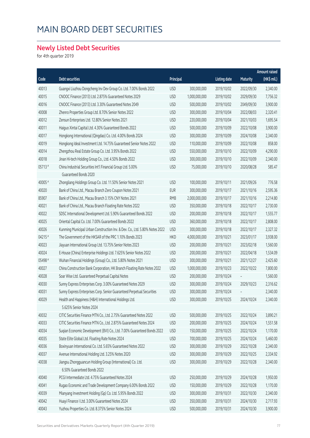#### **Newly Listed Debt Securities**

for 4th quarter 2019

|         |                                                                             |            |               |                     |            | Amount raised |
|---------|-----------------------------------------------------------------------------|------------|---------------|---------------------|------------|---------------|
| Code    | Debt securities                                                             | Principal  |               | <b>Listing date</b> | Maturity   | (HK\$ mil.)   |
| 40013   | Guangxi Liuzhou Dongcheng Inv Dev Group Co. Ltd. 7.00% Bonds 2022           | <b>USD</b> | 300,000,000   | 2019/10/02          | 2022/09/30 | 2,340.00      |
| 40015   | CNOOC Finance (2013) Ltd. 2.875% Guaranteed Notes 2029                      | <b>USD</b> | 1,000,000,000 | 2019/10/02          | 2029/09/30 | 7,756.32      |
| 40016   | CNOOC Finance (2013) Ltd. 3.30% Guaranteed Notes 2049                       | <b>USD</b> | 500,000,000   | 2019/10/02          | 2049/09/30 | 3,900.00      |
| 40008   | Zhenro Properties Group Ltd. 8.70% Senior Notes 2022                        | <b>USD</b> | 300,000,000   | 2019/10/04          | 2022/08/03 | 2,320.41      |
| 40012   | Zensun Enterprises Ltd. 12.80% Senior Notes 2021                            | <b>USD</b> | 220,000,000   | 2019/10/04          | 2021/10/03 | 1,695.54      |
| 40011   | Haiguo Xintai Capital Ltd. 4.30% Guaranteed Bonds 2022                      | <b>USD</b> | 500,000,000   | 2019/10/09          | 2022/10/08 | 3,900.00      |
| 40017   | Hongkong International (Qingdao) Co. Ltd. 4.00% Bonds 2024                  | <b>USD</b> | 300,000,000   | 2019/10/09          | 2024/10/08 | 2,340.00      |
| 40019   | Hongkong Ideal Investment Ltd. 14.75% Guaranteed Senior Notes 2022          | <b>USD</b> | 110,000,000   | 2019/10/09          | 2022/10/08 | 858.00        |
| 40014   | Zhengzhou Real Estate Group Co. Ltd. 3.95% Bonds 2022                       | <b>USD</b> | 550,000,000   | 2019/10/10          | 2022/10/09 | 4,290.00      |
| 40018   | Jinan Hi-tech Holding Group Co., Ltd. 4.50% Bonds 2022                      | <b>USD</b> | 300,000,000   | 2019/10/10          | 2022/10/09 | 2,340.00      |
| 05713#  | China Industrial Securities Int'l Financial Group Ltd. 5.00%                | <b>USD</b> | 75,000,000    | 2019/10/10          | 2020/08/28 | 585.47        |
|         | Guaranteed Bonds 2020                                                       |            |               |                     |            |               |
| 40005 # | Zhongliang Holdings Group Co. Ltd. 11.50% Senior Notes 2021                 | <b>USD</b> | 100,000,000   | 2019/10/11          | 2021/09/26 | 776.58        |
| 40020   | Bank of China Ltd., Macau Branch Zero Coupon Notes 2021                     | <b>EUR</b> | 300,000,000   | 2019/10/17          | 2021/10/16 | 2,595.36      |
| 85907   | Bank of China Ltd., Macau Branch 3.15% CNY Notes 2021                       | <b>RMB</b> | 2,000,000,000 | 2019/10/17          | 2021/10/16 | 2,214.80      |
| 40021   | Bank of China Ltd., Macau Branch Floating Rate Notes 2022                   | <b>USD</b> | 350,000,000   | 2019/10/18          | 2022/10/17 | 2,730.00      |
| 40022   | SDSC International Development Ltd. 5.90% Guaranteed Bonds 2022             | <b>USD</b> | 200,000,000   | 2019/10/18          | 2022/10/17 | 1,555.77      |
| 40025   | Oriental Capital Co. Ltd. 7.00% Guaranteed Bonds 2022                       | <b>USD</b> | 360,000,000   | 2019/10/18          | 2022/10/17 | 2,808.00      |
| 40026   | Kunming Municipal Urban Construction Inv. & Dev. Co., Ltd. 5.80% Notes 2022 | <b>USD</b> | 300,000,000   | 2019/10/18          | 2022/10/17 | 2,327.32      |
| 04215 # | The Government of the HKSAR of the PRC 1.10% Bonds 2023                     | <b>HKD</b> | 4,000,000,000 | 2019/10/21          | 2023/01/17 | 3,938.00      |
| 40023   | Jiayuan International Group Ltd. 13.75% Senior Notes 2023                   | <b>USD</b> | 200,000,000   | 2019/10/21          | 2023/02/18 | 1,560.00      |
| 40024   | E-House (China) Enterprise Holdings Ltd. 7.625% Senior Notes 2022           | <b>USD</b> | 200,000,000   | 2019/10/21          | 2022/04/18 | 1,534.09      |
| 05498 # | Wuhan Financial Holdings (Group) Co., Ltd. 5.80% Notes 2021                 | <b>USD</b> | 300,000,000   | 2019/10/21          | 2021/12/27 | 2,425.60      |
| 40027   | China Construction Bank Corporation, HK Branch Floating Rate Notes 2022     | <b>USD</b> | 1,000,000,000 | 2019/10/23          | 2022/10/22 | 7,800.00      |
| 40028   | Soar Wise Ltd. Guaranteed Perpetual Capital Notes                           | <b>USD</b> | 200,000,000   | 2019/10/24          |            | 1,560.00      |
| 40030   | Sunny Express Enterprises Corp. 3.00% Guaranteed Notes 2029                 | <b>USD</b> | 300,000,000   | 2019/10/24          | 2029/10/23 | 2,316.62      |
| 40031   | Sunny Express Enterprises Corp. Senior Guaranteed Perpetual Securities      | <b>USD</b> | 300,000,000   | 2019/10/24          |            | 2,340.00      |
| 40029   | Health and Happiness (H&H) International Holdings Ltd.                      | <b>USD</b> | 300,000,000   | 2019/10/25          | 2024/10/24 | 2,340.00      |
|         | 5.625% Senior Notes 2024                                                    |            |               |                     |            |               |
| 40032   | CITIC Securities Finance MTN Co., Ltd. 2.75% Guaranteed Notes 2022          | <b>USD</b> | 500,000,000   | 2019/10/25          | 2022/10/24 | 3,890.21      |
| 40033   | CITIC Securities Finance MTN Co., Ltd. 2.875% Guaranteed Notes 2024         | <b>USD</b> | 200,000,000   | 2019/10/25          | 2024/10/24 | 1,551.58      |
| 40034   | Suqian Economic Development (BVI) Co., Ltd. 7.00% Guaranteed Bonds 2022     | <b>USD</b> | 150,000,000   | 2019/10/25          | 2022/10/24 | 1,170.00      |
| 40035   | State Elite Global Ltd. Floating Rate Notes 2024                            | <b>USD</b> | 700,000,000   | 2019/10/25          | 2024/10/24 | 5,460.00      |
| 40036   | Boxinyuan International Co. Ltd. 5.65% Guaranteed Notes 2022                | <b>USD</b> | 300,000,000   | 2019/10/29          | 2022/10/28 | 2,340.00      |
| 40037   | Avenue International Holding Ltd. 3.25% Notes 2020                          | <b>USD</b> | 300,000,000   | 2019/10/29          | 2022/10/25 | 2,334.92      |
| 40038   | Jiangsu Zhongguancun Holding Group (International) Co. Ltd.                 | <b>USD</b> | 300,000,000   | 2019/10/29          | 2022/10/28 | 2,340.00      |
|         | 6.50% Guaranteed Bonds 2022                                                 |            |               |                     |            |               |
| 40040   | PCGI Intermediate Ltd. 4.75% Guaranteed Notes 2024                          | <b>USD</b> | 250,000,000   | 2019/10/29          | 2024/10/28 | 1,950.00      |
| 40041   | Rugao Economic and Trade Development Company 6.00% Bonds 2022               | <b>USD</b> | 150,000,000   | 2019/10/29          | 2022/10/28 | 1,170.00      |
| 40039   | Mianyang Investment Holding (Gp) Co. Ltd. 5.95% Bonds 2022                  | <b>USD</b> | 300,000,000   | 2019/10/31          | 2022/10/30 | 2,340.00      |
| 40042   | Huayi Finance I Ltd. 3.00% Guaranteed Notes 2024                            | <b>USD</b> | 350,000,000   | 2019/10/31          | 2024/10/30 | 2,717.93      |
| 40043   | Yuzhou Properties Co. Ltd. 8.375% Senior Notes 2024                         | <b>USD</b> | 500,000,000   | 2019/10/31          | 2024/10/30 | 3,900.00      |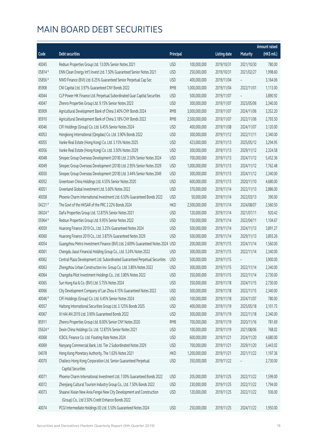|                |                                                                                                                                                 |                          |                            |                          |                          | <b>Amount raised</b> |
|----------------|-------------------------------------------------------------------------------------------------------------------------------------------------|--------------------------|----------------------------|--------------------------|--------------------------|----------------------|
| Code           | Debt securities                                                                                                                                 | <b>Principal</b>         |                            | <b>Listing date</b>      | <b>Maturity</b>          | (HK\$ mil.)          |
| 40045          | Redsun Properties Group Ltd. 13.00% Senior Notes 2021                                                                                           | <b>USD</b>               | 100,000,000                | 2019/10/31               | 2021/10/30               | 780.00               |
| 05814#         | ENN Clean Energy Int'l Invest Ltd. 7.50% Guaranteed Senior Notes 2021                                                                           | <b>USD</b>               | 250,000,000                | 2019/10/31               | 2021/02/27               | 1,998.60             |
| 05856 #        | NWD Finance (BVI) Ltd. 6.25% Guaranteed Senior Perpetual Cap Sec                                                                                | <b>USD</b>               | 400,000,000                | 2019/11/04               |                          | 3,164.06             |
| 85908          | CNI Capital Ltd. 3.97% Guaranteed CNY Bonds 2022                                                                                                | <b>RMB</b>               | 1,000,000,000              | 2019/11/04               | 2022/11/01               | 1,113.00             |
| 40044          | CLP Power HK Finance Ltd. Perpetual Subordinated Guar.Capital Securities                                                                        | <b>USD</b>               | 500,000,000                | 2019/11/07               |                          | 3,890.92             |
| 40047          | Zhenro Properties Group Ltd. 9.15% Senior Notes 2023                                                                                            | <b>USD</b>               | 300,000,000                | 2019/11/07               | 2023/05/06               | 2,340.00             |
| 85909          | Agricultural Development Bank of China 3.40% CNY Bonds 2024                                                                                     | <b>RMB</b>               | 3,000,000,000              | 2019/11/07               | 2024/11/06               | 3,352.20             |
| 85910          | Agricultural Development Bank of China 3.18% CNY Bonds 2022                                                                                     | <b>RMB</b>               | 2,500,000,000              | 2019/11/07               | 2022/11/06               | 2,793.50             |
| 40046          | CIFI Holdings (Group) Co. Ltd. 6.45% Senior Notes 2024                                                                                          | <b>USD</b>               | 400,000,000                | 2019/11/08               | 2024/11/07               | 3,120.00             |
| 40053          | Hongkong International (Qingdao) Co. Ltd. 3.90% Bonds 2022                                                                                      | <b>USD</b>               | 300,000,000                | 2019/11/12               | 2022/11/11               | 2,340.00             |
| 40055          | Vanke Real Estate (Hong Kong) Co. Ltd. 3.15% Notes 2025                                                                                         | <b>USD</b>               | 423,000,000                | 2019/11/13               | 2025/05/12               | 3,294.95             |
| 40056          | Vanke Real Estate (Hong Kong) Co. Ltd. 3.50% Notes 2029                                                                                         | <b>USD</b>               | 300,000,000                | 2019/11/13               | 2029/11/12               | 2,324.58             |
| 40048          | Sinopec Group Overseas Development (2018) Ltd. 2.50% Senior Notes 2024                                                                          | <b>USD</b>               | 700,000,000                | 2019/11/13               | 2024/11/12               | 5,452.36             |
| 40049          | Sinopec Group Overseas Development (2018) Ltd. 2.95% Senior Notes 2029                                                                          | <b>USD</b>               | 1,000,000,000              | 2019/11/13               | 2024/11/12               | 7,762.48             |
| 40050          | Sinopec Group Overseas Development (2018) Ltd. 3.44% Senior Notes 2049                                                                          | <b>USD</b>               | 300,000,000                | 2019/11/13               | 2024/11/12               | 2,340.00             |
| 40052          | Greentown China Holdings Ltd. 4.55% Senior Notes 2020                                                                                           | <b>USD</b>               | 600,000,000                | 2019/11/13               | 2020/11/10               | 4,680.00             |
| 40051          | Greenland Global Investment Ltd. 5.60% Notes 2022                                                                                               | <b>USD</b>               | 370,000,000                | 2019/11/14               | 2022/11/13               | 2,886.00             |
| 40058          | Phoenix Charm International Investment Ltd. 6.50% Guaranteed Bonds 2022                                                                         | <b>USD</b>               | 50,000,000                 | 2019/11/14               | 2022/03/13               | 390.00               |
| 04221#         | The Govt of the HKSAR of the PRC 2.22% Bonds 2024                                                                                               | <b>HKD</b>               | 2,500,000,000              | 2019/11/14               | 2024/08/07               | 2,560.50             |
| 06024 #        | DaFa Properties Group Ltd. 12.875% Senior Notes 2021                                                                                            | <b>USD</b>               | 120,000,000                | 2019/11/14               | 2021/07/11               | 920.42               |
| 05964 #        | Redsun Properties Group Ltd. 9.95% Senior Notes 2022                                                                                            | <b>USD</b>               | 150,000,000                | 2019/11/14               | 2022/04/11               | 1,104.67             |
| 40059          | Huarong Finance 2019 Co., Ltd. 3.25% Guaranteed Notes 2024                                                                                      | <b>USD</b>               | 500,000,000                | 2019/11/14               | 2024/11/13               | 3,891.27             |
| 40060          | Huarong Finance 2019 Co., Ltd. 3.875% Guaranteed Notes 2029                                                                                     | <b>USD</b>               | 500,000,000                | 2019/11/14               | 2029/11/13               | 3,893.26             |
| 40054          | Guangzhou Metro Investment Finance (BVI) Ltd. 2.609% Guaranteed Notes 2024 USD                                                                  |                          | 200,000,000                | 2019/11/15               | 2024/11/14               | 1,560.00             |
| 40061          | Chengdu Jiaozi Financial Holding Group Co., Ltd. 3.24% Notes 2022                                                                               | <b>USD</b>               | 300,000,000                | 2019/11/15               | 2022/11/14               | 2,340.00             |
| 40062          | Central Plaza Development Ltd. Subordinated Guaranteed Perpetual Securities                                                                     | <b>USD</b>               | 500,000,000                | 2019/11/15               |                          | 3,900.00             |
| 40063          | Zhengzhou Urban Construction Inv. Group Co. Ltd. 3.80% Notes 2022                                                                               | <b>USD</b>               | 300,000,000                | 2019/11/15               | 2022/11/14               | 2,340.00             |
| 40064          | Changsha Pilot Investment Holdings Co., Ltd. 3.80% Notes 2022                                                                                   | <b>USD</b>               | 350,000,000                | 2019/11/15               | 2022/11/14               | 2,730.00             |
| 40065          | Sun Hung Kai & Co. (BVI) Ltd. 5.75% Notes 2024                                                                                                  | <b>USD</b>               | 350,000,000                | 2019/11/18               | 2024/11/15               | 2,730.00             |
| 40066          | City Development Company of Lan Zhou 4.15% Guaranteed Notes 2022                                                                                | <b>USD</b>               | 300,000,000                | 2019/11/18               | 2022/11/15               | 2,340.00             |
| 40046 #        | CIFI Holdings (Group) Co. Ltd. 6.45% Senior Notes 2024                                                                                          | <b>USD</b>               | 100,000,000                | 2019/11/18               | 2024/11/07               | 780.00               |
| 40057          | Haitong International Securities Group Ltd. 3.125% Bonds 2025                                                                                   | <b>USD</b>               | 400,000,000                | 2019/11/19               | 2025/05/18               | 3,101.75             |
| 40067          | XI HAI AN 2019 Ltd. 3.90% Guaranteed Bonds 2022                                                                                                 | <b>USD</b>               | 300,000,000                | 2019/11/19               | 2022/11/18               | 2,340.00             |
| 85911          | Zhenro Properties Group Ltd. 8.00% Senior CNY Notes 2020                                                                                        | <b>RMB</b>               | 700,000,000                | 2019/11/19               | 2020/11/16               | 781.69               |
| 05624 #        | Dexin China Holdings Co. Ltd. 12.875% Senior Notes 2021                                                                                         | <b>USD</b>               | 100,000,000                | 2019/11/19               | 2021/08/06               | 768.02               |
| 40068          | ICBCIL Finance Co. Ltd. Floating Rate Notes 2024                                                                                                | <b>USD</b>               | 600,000,000                | 2019/11/21               | 2024/11/20               | 4,680.00             |
| 40069          | Nanyang Commercial Bank, Ltd. Tier 2 Subordinated Notes 2029                                                                                    | <b>USD</b>               | 700,000,000                | 2019/11/21               | 2029/11/20               | 5,443.02             |
| 04078          | Hong Kong Monetary Authority, The 1.63% Notes 2021                                                                                              | <b>HKD</b>               | 1,200,000,000              | 2019/11/21               | 2021/11/22               | 1,197.36             |
| 40070          | Chalieco Hong Kong Corporation Ltd. Senior Guaranteed Perpetual<br>Capital Securities                                                           | <b>USD</b>               | 350,000,000                | 2019/11/22               |                          | 2,730.00             |
|                |                                                                                                                                                 |                          |                            |                          |                          |                      |
| 40071<br>40072 | Phoenix Charm International Investment Ltd. 7.00% Guaranteed Bonds 2022<br>Zhenjiang Cultural Tourism Industry Group Co., Ltd. 7.50% Bonds 2022 | <b>USD</b><br><b>USD</b> | 205,000,000<br>230,000,000 | 2019/11/25<br>2019/11/25 | 2022/11/22<br>2022/11/22 | 1,599.00<br>1,794.00 |
| 40073          | Shaanxi Xixian New Area Fengxi New City Development and Construction                                                                            | <b>USD</b>               | 120,000,000                | 2019/11/25               | 2022/11/22               | 936.00               |
|                | (Group) Co., Ltd 3.50% Credit Enhance Bonds 2022                                                                                                |                          |                            |                          |                          |                      |
| 40074          | PCGI Intermediate Holdings (II) Ltd. 5.50% Guaranteed Notes 2024                                                                                | <b>USD</b>               | 250,000,000                | 2019/11/25               | 2024/11/22               | 1,950.00             |
|                |                                                                                                                                                 |                          |                            |                          |                          |                      |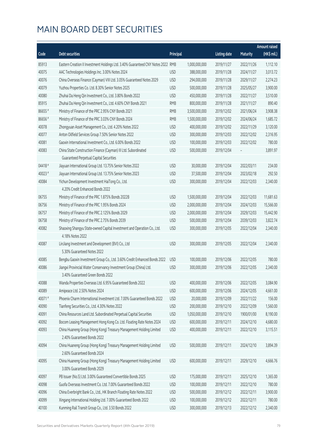|         |                                                                                                    |            |               |                     |                 | <b>Amount raised</b> |
|---------|----------------------------------------------------------------------------------------------------|------------|---------------|---------------------|-----------------|----------------------|
| Code    | <b>Debt securities</b>                                                                             | Principal  |               | <b>Listing date</b> | <b>Maturity</b> | (HK\$ mil.)          |
| 85913   | Eastern Creation II Investment Holdings Ltd. 3.40% Guaranteed CNY Notes 2022 RMB                   |            | 1,000,000,000 | 2019/11/27          | 2022/11/26      | 1,112.10             |
| 40075   | AAC Technologies Holdings Inc. 3.00% Notes 2024                                                    | <b>USD</b> | 388,000,000   | 2019/11/28          | 2024/11/27      | 3,013.72             |
| 40076   | China Overseas Finance (Cayman) VIII Ltd. 3.05% Guaranteed Notes 2029                              | <b>USD</b> | 294,000,000   | 2019/11/28          | 2029/11/27      | 2,274.23             |
| 40079   | Yuzhou Properties Co. Ltd. 8.30% Senior Notes 2025                                                 | <b>USD</b> | 500,000,000   | 2019/11/28          | 2025/05/27      | 3,900.00             |
| 40080   | Zhuhai Da Heng Qin Investment Co., Ltd. 3.80% Bonds 2022                                           | <b>USD</b> | 450,000,000   | 2019/11/28          | 2022/11/27      | 3,510.00             |
| 85915   | Zhuhai Da Heng Qin Investment Co., Ltd. 4.60% CNY Bonds 2021                                       | <b>RMB</b> | 800,000,000   | 2019/11/28          | 2021/11/27      | 890.40               |
| 86655 # | Ministry of Finance of the PRC 2.95% CNY Bonds 2021                                                | <b>RMB</b> | 3,500,000,000 | 2019/12/02          | 2021/06/24      | 3,908.38             |
| 86656#  | Ministry of Finance of the PRC 3.03% CNY Bonds 2024                                                | <b>RMB</b> | 1,500,000,000 | 2019/12/02          | 2024/06/24      | 1,685.72             |
| 40078   | Zhongyuan Asset Management Co., Ltd. 4.20% Notes 2022                                              | <b>USD</b> | 400,000,000   | 2019/12/02          | 2022/11/29      | 3,120.00             |
| 40077   | Anton Oilfield Services Group 7.50% Senior Notes 2022                                              | <b>USD</b> | 300,000,000   | 2019/12/03          | 2022/12/02      | 2,316.95             |
| 40081   | Gaoxin International Investment Co., Ltd. 6.00% Bonds 2022                                         | <b>USD</b> | 100,000,000   | 2019/12/03          | 2022/12/02      | 780.00               |
| 40083   | China State Construction Finance (Cayman) III Ltd. Subordinated                                    | <b>USD</b> | 500,000,000   | 2019/12/04          |                 | 3,891.97             |
|         | Guaranteed Perpetual Capital Securities                                                            |            |               |                     |                 |                      |
| 04418 # | Jiayuan International Group Ltd. 13.75% Senior Notes 2022                                          | <b>USD</b> | 30,000,000    | 2019/12/04          | 2022/03/11      | 234.00               |
| 40023 # | Jiayuan International Group Ltd. 13.75% Senior Notes 2023                                          | <b>USD</b> | 37,500,000    | 2019/12/04          | 2023/02/18      | 292.50               |
| 40084   | Yichun Development Investment HaiTong Co., Ltd.                                                    | <b>USD</b> | 300,000,000   | 2019/12/04          | 2022/12/03      | 2,340.00             |
|         | 4.20% Credit Enhanced Bonds 2022                                                                   |            |               |                     |                 |                      |
| 06755   | Ministry of Finance of the PRC 1.875% Bonds 2022B                                                  | <b>USD</b> | 1,500,000,000 | 2019/12/04          | 2022/12/03      | 11,681.63            |
| 06756   | Ministry of Finance of the PRC 1.95% Bonds 2024                                                    | <b>USD</b> | 2,000,000,000 | 2019/12/04          | 2024/12/03      | 15,566.00            |
| 06757   | Ministry of Finance of the PRC 2.125% Bonds 2029                                                   | <b>USD</b> | 2,000,000,000 | 2019/12/04          | 2029/12/03      | 15,442.90            |
| 06758   | Ministry of Finance of the PRC 2.75% Bonds 2039                                                    | <b>USD</b> | 500,000,000   | 2019/12/04          | 2039/12/03      | 3,822.74             |
| 40082   | Shaoxing Shangyu State-owned Capital Investment and Operation Co., Ltd.                            | <b>USD</b> | 300,000,000   | 2019/12/05          | 2022/12/04      | 2,340.00             |
|         | 4.18% Notes 2022                                                                                   |            |               |                     |                 |                      |
| 40087   | LinJiang Investment and Development (BVI) Co., Ltd                                                 | <b>USD</b> | 300,000,000   | 2019/12/05          | 2022/12/04      | 2,340.00             |
|         | 5.30% Guaranteed Notes 2022                                                                        |            |               |                     |                 |                      |
| 40085   | Bengbu Gaoxin Investment Group Co., Ltd. 3.60% Credit Enhanced Bonds 2022                          | <b>USD</b> | 100,000,000   | 2019/12/06          | 2022/12/05      | 780.00               |
| 40086   | Jiangxi Provincial Water Conservancy Investment Group (China) Ltd.                                 | <b>USD</b> | 300,000,000   | 2019/12/06          | 2022/12/05      | 2,340.00             |
|         | 3.40% Guaranteed Green Bonds 2022                                                                  |            |               |                     |                 |                      |
| 40088   | Wanda Properties Overseas Ltd. 6.95% Guaranteed Bonds 2022                                         | <b>USD</b> | 400,000,000   | 2019/12/06          | 2022/12/05      | 3,084.90             |
| 40089   | Amipeace Ltd. 2.50% Notes 2024                                                                     | <b>USD</b> | 600,000,000   | 2019/12/06          | 2024/12/05      | 4,661.00             |
| 40071#  | Phoenix Charm International Investment Ltd. 7.00% Guaranteed Bonds 2022                            | <b>USD</b> | 20,000,000    | 2019/12/09          | 2022/11/22      | 156.00               |
| 40090   | Tianfeng Securities Co., Ltd. 4.30% Notes 2022                                                     | <b>USD</b> | 200,000,000   | 2019/12/10          | 2022/12/09      | 1,560.00             |
| 40091   | China Resources Land Ltd. Subordinated Perpetual Capital Securities                                | <b>USD</b> | 1,050,000,000 | 2019/12/10          | 1900/01/00      | 8,190.00             |
| 40092   | Bocom Leasing Management Hong Kong Co. Ltd. Floating Rate Notes 2024                               | <b>USD</b> | 600,000,000   | 2019/12/11          | 2024/12/10      | 4,680.00             |
| 40093   | China Huaneng Group (Hong Kong) Treasury Management Holding Limited<br>2.40% Guaranteed Bonds 2022 | <b>USD</b> | 400,000,000   | 2019/12/11          | 2022/12/10      | 3,115.51             |
| 40094   | China Huaneng Group (Hong Kong) Treasury Management Holding Limited                                | <b>USD</b> | 500,000,000   | 2019/12/11          | 2024/12/10      | 3,894.39             |
|         | 2.60% Guaranteed Bonds 2024                                                                        |            |               |                     |                 |                      |
| 40095   | China Huaneng Group (Hong Kong) Treasury Management Holding Limited<br>3.00% Guaranteed Bonds 2029 | <b>USD</b> | 600,000,000   | 2019/12/11          | 2029/12/10      | 4,666.76             |
| 40097   | PB Issuer (No.5) Ltd. 3.00% Guaranteed Convertible Bonds 2025                                      | <b>USD</b> | 175,000,000   | 2019/12/11          | 2025/12/10      | 1,365.00             |
| 40098   | Guofa Overseas Investment Co. Ltd. 7.00% Guaranteed Bonds 2022                                     | <b>USD</b> | 100,000,000   | 2019/12/11          | 2022/12/10      | 780.00               |
| 40096   | China Everbright Bank Co., Ltd., HK Branch Floating Rate Notes 2022                                | <b>USD</b> | 500,000,000   | 2019/12/12          | 2022/12/11      | 3,900.00             |
| 40099   | Xingang International Holding Ltd. 7.00% Guaranteed Bonds 2022                                     | <b>USD</b> | 100,000,000   | 2019/12/12          | 2022/12/11      | 780.00               |
| 40100   | Kunming Rail Transit Group Co., Ltd. 3.50 Bonds 2022                                               | <b>USD</b> | 300,000,000   | 2019/12/13          | 2022/12/12      | 2,340.00             |
|         |                                                                                                    |            |               |                     |                 |                      |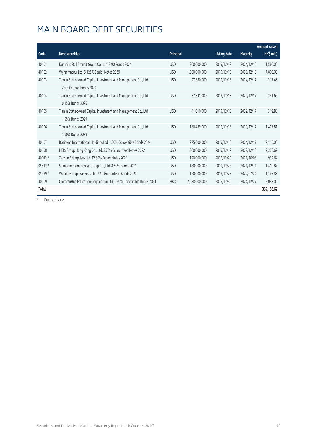|         |                                                                     |                  |               |                     |                 | Amount raised |
|---------|---------------------------------------------------------------------|------------------|---------------|---------------------|-----------------|---------------|
| Code    | <b>Debt securities</b>                                              | <b>Principal</b> |               | <b>Listing date</b> | <b>Maturity</b> | (HK\$ mil.)   |
| 40101   | Kunming Rail Transit Group Co., Ltd. 3.90 Bonds 2024                | <b>USD</b>       | 200,000,000   | 2019/12/13          | 2024/12/12      | 1,560.00      |
| 40102   | Wynn Macau, Ltd. 5.125% Senior Notes 2029                           | <b>USD</b>       | 1,000,000,000 | 2019/12/18          | 2029/12/15      | 7,800.00      |
| 40103   | Tianjin State-owned Capital Investment and Management Co., Ltd.     | <b>USD</b>       | 27,880,000    | 2019/12/18          | 2024/12/17      | 217.46        |
|         | Zero Coupon Bonds 2024                                              |                  |               |                     |                 |               |
| 40104   | Tianjin State-owned Capital Investment and Management Co., Ltd.     | <b>USD</b>       | 37,391,000    | 2019/12/18          | 2026/12/17      | 291.65        |
|         | 0.15% Bonds 2026                                                    |                  |               |                     |                 |               |
| 40105   | Tianjin State-owned Capital Investment and Management Co., Ltd.     | <b>USD</b>       | 41,010,000    | 2019/12/18          | 2029/12/17      | 319.88        |
|         | 1.55% Bonds 2029                                                    |                  |               |                     |                 |               |
| 40106   | Tianjin State-owned Capital Investment and Management Co., Ltd.     | <b>USD</b>       | 180,489,000   | 2019/12/18          | 2039/12/17      | 1,407.81      |
|         | 1.60% Bonds 2039                                                    |                  |               |                     |                 |               |
| 40107   | Bosideng International Holdings Ltd. 1.00% Convertible Bonds 2024   | <b>USD</b>       | 275,000,000   | 2019/12/18          | 2024/12/17      | 2,145.00      |
| 40108   | HBIS Group Hong Kong Co., Ltd. 3.75% Guaranteed Notes 2022          | <b>USD</b>       | 300,000,000   | 2019/12/19          | 2022/12/18      | 2,323.62      |
| 40012 # | Zensun Enterprises Ltd. 12.80% Senior Notes 2021                    | <b>USD</b>       | 120,000,000   | 2019/12/20          | 2021/10/03      | 932.64        |
| 05512#  | Shandong Commercial Group Co., Ltd. 8.50% Bonds 2021                | <b>USD</b>       | 180,000,000   | 2019/12/23          | 2021/12/31      | 1,419.87      |
| 05599#  | Wanda Group Overseas Ltd. 7.50 Guaranteed Bonds 2022                | <b>USD</b>       | 150,000,000   | 2019/12/23          | 2022/07/24      | 1,147.83      |
| 40109   | China YuHua Education Corporation Ltd. 0.90% Convertible Bonds 2024 | <b>HKD</b>       | 2,088,000,000 | 2019/12/30          | 2024/12/27      | 2,088.00      |
| Total   |                                                                     |                  |               |                     |                 | 369,156.62    |

# Further issue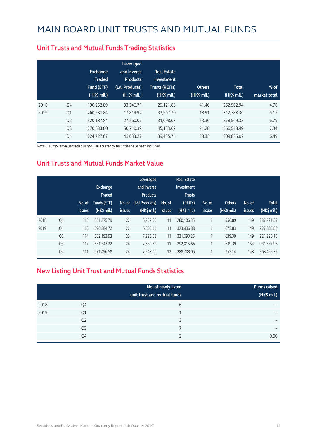|      |                | <b>Exchange</b><br><b>Traded</b><br>Fund (ETF)<br>(HK\$ mil.) | Leveraged<br>and Inverse<br><b>Products</b><br>(L&I Products)<br>(HK\$ mil.) | <b>Real Estate</b><br>Investment<br><b>Trusts (REITs)</b><br>$(HK$$ mil.) | <b>Others</b><br>(HK\$ mil.) | <b>Total</b><br>(HK\$ mil.) | $%$ of<br>market total |
|------|----------------|---------------------------------------------------------------|------------------------------------------------------------------------------|---------------------------------------------------------------------------|------------------------------|-----------------------------|------------------------|
| 2018 | Q4             | 190.252.89                                                    | 33,546.71                                                                    | 29,121.88                                                                 | 41.46                        | 252,962.94                  | 4.78                   |
| 2019 | Q <sub>1</sub> | 260.981.84                                                    | 17,819.92                                                                    | 33,967.70                                                                 | 18.91                        | 312,788.36                  | 5.17                   |
|      | Q <sub>2</sub> | 320,187.84                                                    | 27,260.07                                                                    | 31,098.07                                                                 | 23.36                        | 378,569.33                  | 6.79                   |
|      | Q <sub>3</sub> | 270,633.80                                                    | 50.710.39                                                                    | 45,153.02                                                                 | 21.28                        | 366,518.49                  | 7.34                   |
|      | Q4             | 224,727.67                                                    | 45,633.27                                                                    | 39,435.74                                                                 | 38.35                        | 309,835.02                  | 6.49                   |

#### **Unit Trusts and Mutual Funds Trading Statistics**

Note: Turnover value traded in non-HKD currency securities have been included

#### **Unit Trusts and Mutual Funds Market Value**

|      |                | No. of<br><i>issues</i> | Exchange<br><b>Traded</b><br>Funds (ETF)<br>$(HK$$ mil.) | No. of<br><b>issues</b> | Leveraged<br>and Inverse<br><b>Products</b><br>(L&I Products)<br>$(HK$$ mil.) | No. of<br><b>issues</b> | <b>Real Estate</b><br>Investment<br><b>Trusts</b><br>(REITs)<br>(HK\$ mil.) | No. of<br><b>issues</b> | <b>Others</b><br>(HK\$ mil.) | No. of<br><b>issues</b> | <b>Total</b><br>$(HK\$ mil.) |
|------|----------------|-------------------------|----------------------------------------------------------|-------------------------|-------------------------------------------------------------------------------|-------------------------|-----------------------------------------------------------------------------|-------------------------|------------------------------|-------------------------|------------------------------|
| 2018 | Q4             | 115                     | 551,375.79                                               | 22                      | 5.252.56                                                                      | 11                      | 280,106.35                                                                  | $\overline{ }$          | 556.89                       | 149                     | 837,291.59                   |
| 2019 | Q <sub>1</sub> | 115                     | 596,384.72                                               | 22                      | 6,808.44                                                                      | 11                      | 323,936.88                                                                  | 1                       | 675.83                       | 149                     | 927,805.86                   |
|      | Q <sub>2</sub> | 114                     | 582,193.93                                               | 23                      | 7,296.53                                                                      | 11                      | 331,090.25                                                                  | 1                       | 639.39                       | 149                     | 921.220.10                   |
|      | Q <sub>3</sub> | 117                     | 631, 343. 22                                             | 24                      | 7,589.72                                                                      | 11                      | 292.015.66                                                                  | 1                       | 639.39                       | 153                     | 931.587.98                   |
|      | Q4             | 111                     | 671,496.58                                               | 24                      | 7,543.00                                                                      | 12                      | 288,708.06                                                                  | $\overline{ }$          | 752.14                       | 148                     | 968,499.79                   |

#### **New Listing Unit Trust and Mutual Funds Statistics**

|      |                | No. of newly listed<br>unit trust and mutual funds | <b>Funds raised</b><br>(HK\$ mil.) |
|------|----------------|----------------------------------------------------|------------------------------------|
| 2018 | Q4             | b                                                  | $\overline{\phantom{0}}$           |
| 2019 | Q1             | 1                                                  | $\overline{\phantom{0}}$           |
|      | Q <sub>2</sub> |                                                    | $\overline{\phantom{0}}$           |
|      | Q <sub>3</sub> |                                                    | $\overline{\phantom{0}}$           |
|      | Q4             |                                                    | 0.00                               |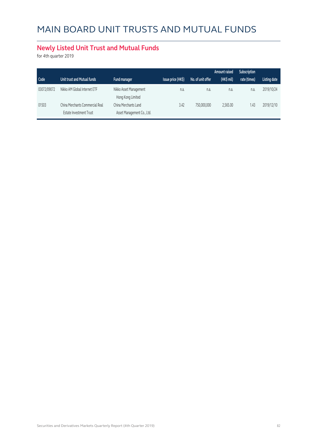#### **Newly Listed Unit Trust and Mutual Funds**

for 4th quarter 2019

|             |                                                                   |                                                    |                    |                   | Amount raised | Subscription |                     |
|-------------|-------------------------------------------------------------------|----------------------------------------------------|--------------------|-------------------|---------------|--------------|---------------------|
| Code        | Unit trust and Mutual funds                                       | Fund manager                                       | Issue price (HK\$) | No. of unit offer | (HK\$ mil)    | rate (times) | <b>Listing date</b> |
| 03072/09072 | Nikko AM Global Internet ETF                                      | Nikko Asset Management<br>Hong Kong Limited        | n.a.               | n.a.              | n.a.          | n.a.         | 2019/10/24          |
| 01503       | China Merchants Commercial Real<br><b>Estate Investment Trust</b> | China Merchants Land<br>Asset Management Co., Ltd. | 3.42               | 750,000,000       | 2,565.00      | 1.43         | 2019/12/10          |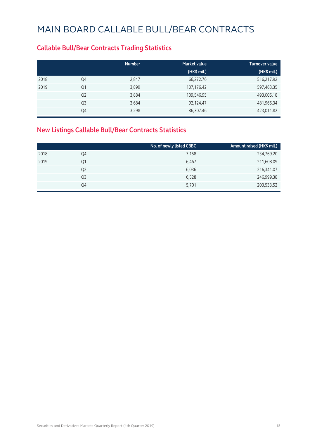#### **Callable Bull/Bear Contracts Trading Statistics**

|      |                | <b>Number</b> | <b>Market value</b> | <b>Turnover value</b> |
|------|----------------|---------------|---------------------|-----------------------|
|      |                |               | (HK\$ mil.)         | (HK\$ mil.)           |
| 2018 | Q4             | 2,847         | 66,272.76           | 516,217.92            |
| 2019 | Q1             | 3,899         | 107,176.42          | 597,463.35            |
|      | Q <sub>2</sub> | 3,884         | 109,546.95          | 493,005.18            |
|      | Q <sub>3</sub> | 3,684         | 92,124.47           | 481,965.34            |
|      | Q4             | 3,298         | 86,307.46           | 423,011.82            |

#### **New Listings Callable Bull/Bear Contracts Statistics**

|                | No. of newly listed CBBC | Amount raised (HK\$ mil.) |
|----------------|--------------------------|---------------------------|
| Q4             | 7,158                    | 234,769.20                |
| Q1             | 6,467                    | 211,608.09                |
| Q <sub>2</sub> | 6,036                    | 216,341.07                |
| Q3             | 6,528                    | 246,999.38                |
| Q4             | 5,701                    | 203,533.52                |
|                |                          |                           |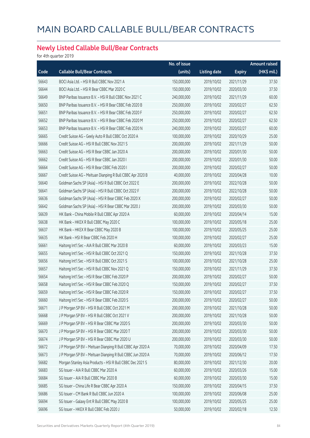#### **Newly Listed Callable Bull/Bear Contracts**

for 4th quarter 2019

|       |                                                            | No. of issue |                     |               | <b>Amount raised</b> |
|-------|------------------------------------------------------------|--------------|---------------------|---------------|----------------------|
| Code  | <b>Callable Bull/Bear Contracts</b>                        | (units)      | <b>Listing date</b> | <b>Expiry</b> | (HK\$ mil.)          |
| 56643 | BOCI Asia Ltd. - HSI R Bull CBBC Nov 2021 A                | 150,000,000  | 2019/10/02          | 2021/11/29    | 37.50                |
| 56644 | BOCI Asia Ltd. - HSI R Bear CBBC Mar 2020 C                | 150,000,000  | 2019/10/02          | 2020/03/30    | 37.50                |
| 56649 | BNP Paribas Issuance B.V. - HSI R Bull CBBC Nov 2021 C     | 240,000,000  | 2019/10/02          | 2021/11/29    | 60.00                |
| 56650 | BNP Paribas Issuance B.V. - HSI R Bear CBBC Feb 2020 B     | 250,000,000  | 2019/10/02          | 2020/02/27    | 62.50                |
| 56651 | BNP Paribas Issuance B.V. - HSI R Bear CBBC Feb 2020 F     | 250,000,000  | 2019/10/02          | 2020/02/27    | 62.50                |
| 56652 | BNP Paribas Issuance B.V. - HSI R Bear CBBC Feb 2020 M     | 250,000,000  | 2019/10/02          | 2020/02/27    | 62.50                |
| 56653 | BNP Paribas Issuance B.V. - HSI R Bear CBBC Feb 2020 N     | 240,000,000  | 2019/10/02          | 2020/02/27    | 60.00                |
| 56665 | Credit Suisse AG - Geely Auto R Bull CBBC Oct 2020 A       | 100,000,000  | 2019/10/02          | 2020/10/29    | 25.00                |
| 56666 | Credit Suisse AG - HSI R Bull CBBC Nov 2021 S              | 200,000,000  | 2019/10/02          | 2021/11/29    | 50.00                |
| 56663 | Credit Suisse AG - HSI R Bear CBBC Jan 2020 A              | 200,000,000  | 2019/10/02          | 2020/01/30    | 50.00                |
| 56662 | Credit Suisse AG - HSI R Bear CBBC Jan 2020 I              | 200,000,000  | 2019/10/02          | 2020/01/30    | 50.00                |
| 56664 | Credit Suisse AG - HSI R Bear CBBC Feb 2020 I              | 200,000,000  | 2019/10/02          | 2020/02/27    | 50.00                |
| 56667 | Credit Suisse AG - Meituan Dianping R Bull CBBC Apr 2020 B | 40,000,000   | 2019/10/02          | 2020/04/28    | 10.00                |
| 56640 | Goldman Sachs SP (Asia) - HSI R Bull CBBC Oct 2022 E       | 200,000,000  | 2019/10/02          | 2022/10/28    | 50.00                |
| 56641 | Goldman Sachs SP (Asia) - HSI R Bull CBBC Oct 2022 F       | 200,000,000  | 2019/10/02          | 2022/10/28    | 50.00                |
| 56636 | Goldman Sachs SP (Asia) - HSI R Bear CBBC Feb 2020 X       | 200,000,000  | 2019/10/02          | 2020/02/27    | 50.00                |
| 56642 | Goldman Sachs SP (Asia) - HSI R Bear CBBC Mar 2020 J       | 200,000,000  | 2019/10/02          | 2020/03/30    | 50.00                |
| 56639 | HK Bank - China Mobile R Bull CBBC Apr 2020 A              | 60,000,000   | 2019/10/02          | 2020/04/14    | 15.00                |
| 56638 | HK Bank - HKEX R Bull CBBC May 2020 C                      | 100,000,000  | 2019/10/02          | 2020/05/18    | 25.00                |
| 56637 | HK Bank - HKEX R Bear CBBC May 2020 B                      | 100,000,000  | 2019/10/02          | 2020/05/25    | 25.00                |
| 56635 | HK Bank - HSI R Bear CBBC Feb 2020 H                       | 100,000,000  | 2019/10/02          | 2020/02/27    | 25.00                |
| 56661 | Haitong Int'l Sec - AIA R Bull CBBC Mar 2020 B             | 60,000,000   | 2019/10/02          | 2020/03/23    | 15.00                |
| 56655 | Haitong Int'l Sec - HSI R Bull CBBC Oct 2021 Q             | 150,000,000  | 2019/10/02          | 2021/10/28    | 37.50                |
| 56656 | Haitong Int'l Sec - HSI R Bull CBBC Oct 2021 S             | 100,000,000  | 2019/10/02          | 2021/10/28    | 25.00                |
| 56657 | Haitong Int'l Sec - HSI R Bull CBBC Nov 2021 Q             | 150,000,000  | 2019/10/02          | 2021/11/29    | 37.50                |
| 56654 | Haitong Int'l Sec - HSI R Bear CBBC Feb 2020 P             | 200,000,000  | 2019/10/02          | 2020/02/27    | 50.00                |
| 56658 | Haitong Int'l Sec - HSI R Bear CBBC Feb 2020 Q             | 150,000,000  | 2019/10/02          | 2020/02/27    | 37.50                |
| 56659 | Haitong Int'l Sec - HSI R Bear CBBC Feb 2020 R             | 150,000,000  | 2019/10/02          | 2020/02/27    | 37.50                |
| 56660 | Haitong Int'l Sec - HSI R Bear CBBC Feb 2020 S             | 200,000,000  | 2019/10/02          | 2020/02/27    | 50.00                |
| 56671 | J P Morgan SP BV - HSI R Bull CBBC Oct 2021 M              | 200,000,000  | 2019/10/02          | 2021/10/28    | 50.00                |
| 56668 | J P Morgan SP BV - HSI R Bull CBBC Oct 2021 V              | 200,000,000  | 2019/10/02          | 2021/10/28    | 50.00                |
| 56669 | J P Morgan SP BV - HSI R Bear CBBC Mar 2020 S              | 200,000,000  | 2019/10/02          | 2020/03/30    | 50.00                |
| 56670 | J P Morgan SP BV - HSI R Bear CBBC Mar 2020 T              | 200,000,000  | 2019/10/02          | 2020/03/30    | 50.00                |
| 56674 | J P Morgan SP BV - HSI R Bear CBBC Mar 2020 U              | 200,000,000  | 2019/10/02          | 2020/03/30    | 50.00                |
| 56672 | J P Morgan SP BV - Meituan Dianping R Bull CBBC Apr 2020 A | 70,000,000   | 2019/10/02          | 2020/04/09    | 17.50                |
| 56673 | J P Morgan SP BV - Meituan Dianping R Bull CBBC Jun 2020 A | 70,000,000   | 2019/10/02          | 2020/06/12    | 17.50                |
| 56682 | Morgan Stanley Asia Products - HSI R Bull CBBC Dec 2021 S  | 80,000,000   | 2019/10/02          | 2021/12/30    | 20.00                |
| 56683 | SG Issuer - AIA R Bull CBBC Mar 2020 A                     | 60,000,000   | 2019/10/02          | 2020/03/26    | 15.00                |
| 56684 | SG Issuer - AIA R Bull CBBC Mar 2020 B                     | 60,000,000   | 2019/10/02          | 2020/03/30    | 15.00                |
| 56685 | SG Issuer - China Life R Bear CBBC Apr 2020 A              | 150,000,000  | 2019/10/02          | 2020/04/15    | 37.50                |
| 56686 | SG Issuer - CM Bank R Bull CBBC Jun 2020 A                 | 100,000,000  | 2019/10/02          | 2020/06/08    | 25.00                |
| 56694 | SG Issuer - Galaxy Ent R Bull CBBC May 2020 B              | 100,000,000  | 2019/10/02          | 2020/05/25    | 25.00                |
| 56696 | SG Issuer - HKEX R Bull CBBC Feb 2020 J                    | 50,000,000   | 2019/10/02          | 2020/02/18    | 12.50                |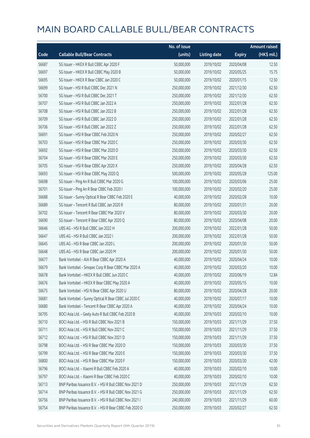|       |                                                        | No. of issue |                     |               | <b>Amount raised</b> |
|-------|--------------------------------------------------------|--------------|---------------------|---------------|----------------------|
| Code  | <b>Callable Bull/Bear Contracts</b>                    | (units)      | <b>Listing date</b> | <b>Expiry</b> | (HK\$ mil.)          |
| 56687 | SG Issuer - HKEX R Bull CBBC Apr 2020 F                | 50,000,000   | 2019/10/02          | 2020/04/08    | 12.50                |
| 56697 | SG Issuer - HKEX R Bull CBBC May 2020 B                | 50,000,000   | 2019/10/02          | 2020/05/25    | 15.75                |
| 56695 | SG Issuer - HKEX R Bear CBBC Jan 2020 C                | 50,000,000   | 2019/10/02          | 2020/01/15    | 12.50                |
| 56699 | SG Issuer - HSI R Bull CBBC Dec 2021 N                 | 250,000,000  | 2019/10/02          | 2021/12/30    | 62.50                |
| 56700 | SG Issuer - HSI R Bull CBBC Dec 2021 T                 | 250,000,000  | 2019/10/02          | 2021/12/30    | 62.50                |
| 56707 | SG Issuer - HSI R Bull CBBC Jan 2022 A                 | 250,000,000  | 2019/10/02          | 2022/01/28    | 62.50                |
| 56708 | SG Issuer - HSI R Bull CBBC Jan 2022 B                 | 250,000,000  | 2019/10/02          | 2022/01/28    | 62.50                |
| 56709 | SG Issuer - HSI R Bull CBBC Jan 2022 D                 | 250,000,000  | 2019/10/02          | 2022/01/28    | 62.50                |
| 56706 | SG Issuer - HSI R Bull CBBC Jan 2022 Z                 | 250,000,000  | 2019/10/02          | 2022/01/28    | 62.50                |
| 56691 | SG Issuer - HSI R Bear CBBC Feb 2020 N                 | 250,000,000  | 2019/10/02          | 2020/02/27    | 62.50                |
| 56703 | SG Issuer - HSI R Bear CBBC Mar 2020 C                 | 250,000,000  | 2019/10/02          | 2020/03/30    | 62.50                |
| 56692 | SG Issuer - HSI R Bear CBBC Mar 2020 D                 | 250,000,000  | 2019/10/02          | 2020/03/30    | 62.50                |
| 56704 | SG Issuer - HSI R Bear CBBC Mar 2020 E                 | 250,000,000  | 2019/10/02          | 2020/03/30    | 62.50                |
| 56705 | SG Issuer - HSI R Bear CBBC Apr 2020 X                 | 250,000,000  | 2019/10/02          | 2020/04/28    | 62.50                |
| 56693 | SG Issuer - HSI R Bear CBBC May 2020 Q                 | 500,000,000  | 2019/10/02          | 2020/05/28    | 125.00               |
| 56698 | SG Issuer - Ping An R Bull CBBC Mar 2020 G             | 100,000,000  | 2019/10/02          | 2020/03/06    | 25.00                |
| 56701 | SG Issuer - Ping An R Bear CBBC Feb 2020 I             | 100,000,000  | 2019/10/02          | 2020/02/20    | 25.00                |
| 56688 | SG Issuer - Sunny Optical R Bear CBBC Feb 2020 E       | 40,000,000   | 2019/10/02          | 2020/02/28    | 10.00                |
| 56689 | SG Issuer - Tencent R Bull CBBC Jan 2020 R             | 80,000,000   | 2019/10/02          | 2020/01/31    | 20.00                |
| 56702 | SG Issuer - Tencent R Bear CBBC Mar 2020 V             | 80,000,000   | 2019/10/02          | 2020/03/30    | 20.00                |
| 56690 | SG Issuer - Tencent R Bear CBBC Apr 2020 Q             | 80,000,000   | 2019/10/02          | 2020/04/08    | 20.00                |
| 56646 | UBS AG - HSI R Bull CBBC Jan 2022 H                    | 200,000,000  | 2019/10/02          | 2022/01/28    | 50.00                |
| 56647 | UBS AG - HSI R Bull CBBC Jan 2022 I                    | 200,000,000  | 2019/10/02          | 2022/01/28    | 50.00                |
| 56645 | UBS AG - HSI R Bear CBBC Jan 2020 L                    | 200,000,000  | 2019/10/02          | 2020/01/30    | 50.00                |
| 56648 | UBS AG - HSI R Bear CBBC Jan 2020 M                    | 200,000,000  | 2019/10/02          | 2020/01/30    | 50.00                |
| 56677 | Bank Vontobel - AIA R Bear CBBC Apr 2020 A             | 40,000,000   | 2019/10/02          | 2020/04/24    | 10.00                |
| 56679 | Bank Vontobel - Sinopec Corp R Bear CBBC Mar 2020 A    | 40,000,000   | 2019/10/02          | 2020/03/20    | 10.00                |
| 56678 | Bank Vontobel - HKEX R Bull CBBC Jun 2020 C            | 40,000,000   | 2019/10/02          | 2020/06/19    | 12.84                |
| 56676 | Bank Vontobel - HKEX R Bear CBBC May 2020 A            | 40,000,000   | 2019/10/02          | 2020/05/15    | 10.00                |
| 56675 | Bank Vontobel - HSI N Bear CBBC Apr 2020 U             | 80,000,000   | 2019/10/02          | 2020/04/28    | 20.00                |
| 56681 | Bank Vontobel - Sunny Optical R Bear CBBC Jul 2020 C   | 40,000,000   | 2019/10/02          | 2020/07/17    | 10.00                |
| 56680 | Bank Vontobel - Tencent R Bear CBBC Apr 2020 A         | 40,000,000   | 2019/10/02          | 2020/04/24    | 10.00                |
| 56795 | BOCI Asia Ltd. - Geely Auto R Bull CBBC Feb 2020 B     | 40,000,000   | 2019/10/03          | 2020/02/10    | 10.00                |
| 56710 | BOCI Asia Ltd. - HSI R Bull CBBC Nov 2021 B            | 150,000,000  | 2019/10/03          | 2021/11/29    | 37.50                |
| 56711 | BOCI Asia Ltd. - HSI R Bull CBBC Nov 2021 C            | 150,000,000  | 2019/10/03          | 2021/11/29    | 37.50                |
| 56712 | BOCI Asia Ltd. - HSI R Bull CBBC Nov 2021 D            | 150,000,000  | 2019/10/03          | 2021/11/29    | 37.50                |
| 56798 | BOCI Asia Ltd. - HSI R Bear CBBC Mar 2020 D            | 150,000,000  | 2019/10/03          | 2020/03/30    | 37.50                |
| 56799 | BOCI Asia Ltd. - HSI R Bear CBBC Mar 2020 E            | 150,000,000  | 2019/10/03          | 2020/03/30    | 37.50                |
| 56800 | BOCI Asia Ltd. - HSI R Bear CBBC Mar 2020 F            | 150,000,000  | 2019/10/03          | 2020/03/30    | 42.00                |
| 56796 | BOCI Asia Ltd. - Xiaomi R Bull CBBC Feb 2020 A         | 40,000,000   | 2019/10/03          | 2020/02/10    | 10.00                |
| 56797 | BOCI Asia Ltd. - Xiaomi R Bear CBBC Feb 2020 C         | 40,000,000   | 2019/10/03          | 2020/02/10    | 10.00                |
| 56713 | BNP Paribas Issuance B.V. - HSI R Bull CBBC Nov 2021 D | 250,000,000  | 2019/10/03          | 2021/11/29    | 62.50                |
| 56714 | BNP Paribas Issuance B.V. - HSI R Bull CBBC Nov 2021 G | 250,000,000  | 2019/10/03          | 2021/11/29    | 62.50                |
| 56756 | BNP Paribas Issuance B.V. - HSI R Bull CBBC Nov 2021 I | 240,000,000  | 2019/10/03          | 2021/11/29    | 60.00                |
| 56754 | BNP Paribas Issuance B.V. - HSI R Bear CBBC Feb 2020 O | 250,000,000  | 2019/10/03          | 2020/02/27    | 62.50                |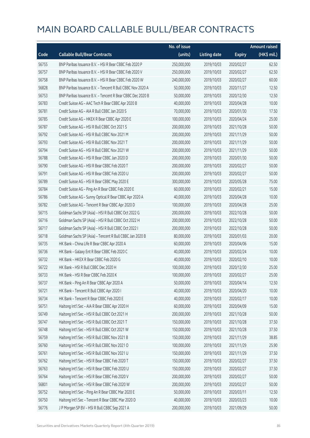|       |                                                            | No. of issue |                     |               | <b>Amount raised</b>  |
|-------|------------------------------------------------------------|--------------|---------------------|---------------|-----------------------|
| Code  | <b>Callable Bull/Bear Contracts</b>                        | (units)      | <b>Listing date</b> | <b>Expiry</b> | $(HK\frac{1}{2}mil.)$ |
| 56755 | BNP Paribas Issuance B.V. - HSI R Bear CBBC Feb 2020 P     | 250,000,000  | 2019/10/03          | 2020/02/27    | 62.50                 |
| 56757 | BNP Paribas Issuance B.V. - HSI R Bear CBBC Feb 2020 V     | 250,000,000  | 2019/10/03          | 2020/02/27    | 62.50                 |
| 56758 | BNP Paribas Issuance B.V. - HSI R Bear CBBC Feb 2020 W     | 240,000,000  | 2019/10/03          | 2020/02/27    | 60.00                 |
| 56828 | BNP Paribas Issuance B.V. - Tencent R Bull CBBC Nov 2020 A | 50,000,000   | 2019/10/03          | 2020/11/27    | 12.50                 |
| 56753 | BNP Paribas Issuance B.V. - Tencent R Bear CBBC Dec 2020 B | 50,000,000   | 2019/10/03          | 2020/12/30    | 12.50                 |
| 56783 | Credit Suisse AG - AAC Tech R Bear CBBC Apr 2020 B         | 40,000,000   | 2019/10/03          | 2020/04/28    | 10.00                 |
| 56781 | Credit Suisse AG - AIA R Bull CBBC Jan 2020 S              | 70,000,000   | 2019/10/03          | 2020/01/30    | 17.50                 |
| 56785 | Credit Suisse AG - HKEX R Bear CBBC Apr 2020 E             | 100,000,000  | 2019/10/03          | 2020/04/24    | 25.00                 |
| 56787 | Credit Suisse AG - HSI R Bull CBBC Oct 2021 S              | 200,000,000  | 2019/10/03          | 2021/10/28    | 50.00                 |
| 56792 | Credit Suisse AG - HSI R Bull CBBC Nov 2021 M              | 200,000,000  | 2019/10/03          | 2021/11/29    | 50.00                 |
| 56793 | Credit Suisse AG - HSI R Bull CBBC Nov 2021 T              | 200,000,000  | 2019/10/03          | 2021/11/29    | 50.00                 |
| 56794 | Credit Suisse AG - HSI R Bull CBBC Nov 2021 W              | 200,000,000  | 2019/10/03          | 2021/11/29    | 50.00                 |
| 56788 | Credit Suisse AG - HSI R Bear CBBC Jan 2020 D              | 200,000,000  | 2019/10/03          | 2020/01/30    | 50.00                 |
| 56790 | Credit Suisse AG - HSI R Bear CBBC Feb 2020 T              | 200,000,000  | 2019/10/03          | 2020/02/27    | 50.00                 |
| 56791 | Credit Suisse AG - HSI R Bear CBBC Feb 2020 U              | 200,000,000  | 2019/10/03          | 2020/02/27    | 50.00                 |
| 56789 | Credit Suisse AG - HSI R Bear CBBC May 2020 E              | 300,000,000  | 2019/10/03          | 2020/05/28    | 75.00                 |
| 56784 | Credit Suisse AG - Ping An R Bear CBBC Feb 2020 E          | 60,000,000   | 2019/10/03          | 2020/02/21    | 15.00                 |
| 56786 | Credit Suisse AG - Sunny Optical R Bear CBBC Apr 2020 A    | 40,000,000   | 2019/10/03          | 2020/04/28    | 10.00                 |
| 56782 | Credit Suisse AG - Tencent R Bear CBBC Apr 2020 D          | 100,000,000  | 2019/10/03          | 2020/04/28    | 25.00                 |
| 56715 | Goldman Sachs SP (Asia) - HSI R Bull CBBC Oct 2022 G       | 200,000,000  | 2019/10/03          | 2022/10/28    | 50.00                 |
| 56716 | Goldman Sachs SP (Asia) - HSI R Bull CBBC Oct 2022 H       | 200,000,000  | 2019/10/03          | 2022/10/28    | 50.00                 |
| 56717 | Goldman Sachs SP (Asia) - HSI R Bull CBBC Oct 2022 I       | 200,000,000  | 2019/10/03          | 2022/10/28    | 50.00                 |
| 56718 | Goldman Sachs SP (Asia) - Tencent R Bull CBBC Jan 2020 B   | 80,000,000   | 2019/10/03          | 2020/01/03    | 20.00                 |
| 56735 | HK Bank - China Life R Bear CBBC Apr 2020 A                | 60,000,000   | 2019/10/03          | 2020/04/06    | 15.00                 |
| 56736 | HK Bank - Galaxy Ent R Bear CBBC Feb 2020 C                | 40,000,000   | 2019/10/03          | 2020/02/24    | 10.00                 |
| 56732 | HK Bank - HKEX R Bear CBBC Feb 2020 G                      | 40,000,000   | 2019/10/03          | 2020/02/10    | 10.00                 |
| 56722 | HK Bank - HSI R Bull CBBC Dec 2020 H                       | 100,000,000  | 2019/10/03          | 2020/12/30    | 25.00                 |
| 56733 | HK Bank - HSI R Bear CBBC Feb 2020 K                       | 100,000,000  | 2019/10/03          | 2020/02/27    | 25.00                 |
| 56737 | HK Bank - Ping An R Bear CBBC Apr 2020 A                   | 50,000,000   | 2019/10/03          | 2020/04/14    | 12.50                 |
| 56721 | HK Bank - Tencent R Bull CBBC Apr 2020 I                   | 40,000,000   | 2019/10/03          | 2020/04/20    | 10.00                 |
| 56734 | HK Bank - Tencent R Bear CBBC Feb 2020 E                   | 40,000,000   | 2019/10/03          | 2020/02/17    | 10.00                 |
| 56751 | Haitong Int'l Sec - AIA R Bear CBBC Apr 2020 H             | 60,000,000   | 2019/10/03          | 2020/04/09    | 15.00                 |
| 56749 | Haitong Int'l Sec - HSI R Bull CBBC Oct 2021 H             | 200,000,000  | 2019/10/03          | 2021/10/28    | 50.00                 |
| 56747 | Haitong Int'l Sec - HSI R Bull CBBC Oct 2021 T             | 150,000,000  | 2019/10/03          | 2021/10/28    | 37.50                 |
| 56748 | Haitong Int'l Sec - HSI R Bull CBBC Oct 2021 W             | 150,000,000  | 2019/10/03          | 2021/10/28    | 37.50                 |
| 56759 | Haitong Int'l Sec - HSI R Bull CBBC Nov 2021 B             | 150,000,000  | 2019/10/03          | 2021/11/29    | 38.85                 |
| 56760 | Haitong Int'l Sec - HSI R Bull CBBC Nov 2021 O             | 100,000,000  | 2019/10/03          | 2021/11/29    | 25.90                 |
| 56761 | Haitong Int'l Sec - HSI R Bull CBBC Nov 2021 U             | 150,000,000  | 2019/10/03          | 2021/11/29    | 37.50                 |
| 56762 | Haitong Int'l Sec - HSI R Bear CBBC Feb 2020 T             | 150,000,000  | 2019/10/03          | 2020/02/27    | 37.50                 |
| 56763 | Haitong Int'l Sec - HSI R Bear CBBC Feb 2020 U             | 150,000,000  | 2019/10/03          | 2020/02/27    | 37.50                 |
| 56764 | Haitong Int'l Sec - HSI R Bear CBBC Feb 2020 V             | 200,000,000  | 2019/10/03          | 2020/02/27    | 50.00                 |
| 56801 | Haitong Int'l Sec - HSI R Bear CBBC Feb 2020 W             | 200,000,000  | 2019/10/03          | 2020/02/27    | 50.00                 |
| 56752 | Haitong Int'l Sec - Ping An R Bear CBBC Mar 2020 E         | 50,000,000   | 2019/10/03          | 2020/03/11    | 12.50                 |
| 56750 | Haitong Int'l Sec - Tencent R Bear CBBC Mar 2020 D         | 40,000,000   | 2019/10/03          | 2020/03/23    | 10.00                 |
| 56776 | J P Morgan SP BV - HSI R Bull CBBC Sep 2021 A              | 200,000,000  | 2019/10/03          | 2021/09/29    | 50.00                 |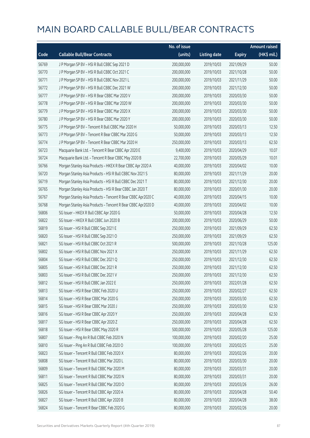|       |                                                              | No. of issue |                     |               | <b>Amount raised</b> |
|-------|--------------------------------------------------------------|--------------|---------------------|---------------|----------------------|
| Code  | <b>Callable Bull/Bear Contracts</b>                          | (units)      | <b>Listing date</b> | <b>Expiry</b> | (HK\$ mil.)          |
| 56769 | J P Morgan SP BV - HSI R Bull CBBC Sep 2021 D                | 200,000,000  | 2019/10/03          | 2021/09/29    | 50.00                |
| 56770 | J P Morgan SP BV - HSI R Bull CBBC Oct 2021 C                | 200,000,000  | 2019/10/03          | 2021/10/28    | 50.00                |
| 56771 | J P Morgan SP BV - HSI R Bull CBBC Nov 2021 L                | 200,000,000  | 2019/10/03          | 2021/11/29    | 50.00                |
| 56772 | J P Morgan SP BV - HSI R Bull CBBC Dec 2021 W                | 200,000,000  | 2019/10/03          | 2021/12/30    | 50.00                |
| 56777 | J P Morgan SP BV - HSI R Bear CBBC Mar 2020 V                | 200,000,000  | 2019/10/03          | 2020/03/30    | 50.00                |
| 56778 | J P Morgan SP BV - HSI R Bear CBBC Mar 2020 W                | 200,000,000  | 2019/10/03          | 2020/03/30    | 50.00                |
| 56779 | J P Morgan SP BV - HSI R Bear CBBC Mar 2020 X                | 200,000,000  | 2019/10/03          | 2020/03/30    | 50.00                |
| 56780 | J P Morgan SP BV - HSI R Bear CBBC Mar 2020 Y                | 200,000,000  | 2019/10/03          | 2020/03/30    | 50.00                |
| 56775 | J P Morgan SP BV - Tencent R Bull CBBC Mar 2020 H            | 50,000,000   | 2019/10/03          | 2020/03/13    | 12.50                |
| 56773 | J P Morgan SP BV - Tencent R Bear CBBC Mar 2020 G            | 50,000,000   | 2019/10/03          | 2020/03/13    | 12.50                |
| 56774 | J P Morgan SP BV - Tencent R Bear CBBC Mar 2020 H            | 250,000,000  | 2019/10/03          | 2020/03/13    | 62.50                |
| 56723 | Macquarie Bank Ltd. - Tencent R Bear CBBC Apr 2020 E         | 9,400,000    | 2019/10/03          | 2020/04/29    | 10.07                |
| 56724 | Macquarie Bank Ltd. - Tencent R Bear CBBC May 2020 B         | 22,700,000   | 2019/10/03          | 2020/05/29    | 10.01                |
| 56766 | Morgan Stanley Asia Products - HKEX R Bear CBBC Apr 2020 A   | 40,000,000   | 2019/10/03          | 2020/04/02    | 10.00                |
| 56720 | Morgan Stanley Asia Products - HSI R Bull CBBC Nov 2021 S    | 80,000,000   | 2019/10/03          | 2021/11/29    | 20.00                |
| 56719 | Morgan Stanley Asia Products - HSI R Bull CBBC Dec 2021 T    | 80,000,000   | 2019/10/03          | 2021/12/30    | 20.00                |
| 56765 | Morgan Stanley Asia Products - HSI R Bear CBBC Jan 2020 T    | 80,000,000   | 2019/10/03          | 2020/01/30    | 20.00                |
| 56767 | Morgan Stanley Asia Products - Tencent R Bear CBBC Apr2020 C | 40,000,000   | 2019/10/03          | 2020/04/15    | 10.00                |
| 56768 | Morgan Stanley Asia Products - Tencent R Bear CBBC Apr2020 D | 40,000,000   | 2019/10/03          | 2020/04/02    | 10.00                |
| 56806 | SG Issuer - HKEX R Bull CBBC Apr 2020 G                      | 50,000,000   | 2019/10/03          | 2020/04/28    | 12.50                |
| 56822 | SG Issuer - HKEX R Bull CBBC Jun 2020 B                      | 200,000,000  | 2019/10/03          | 2020/06/29    | 50.00                |
| 56819 | SG Issuer - HSI R Bull CBBC Sep 2021 E                       | 250,000,000  | 2019/10/03          | 2021/09/29    | 62.50                |
| 56820 | SG Issuer - HSI R Bull CBBC Sep 2021 O                       | 250,000,000  | 2019/10/03          | 2021/09/29    | 62.50                |
| 56821 | SG Issuer - HSI R Bull CBBC Oct 2021 R                       | 500,000,000  | 2019/10/03          | 2021/10/28    | 125.00               |
| 56802 | SG Issuer - HSI R Bull CBBC Nov 2021 X                       | 250,000,000  | 2019/10/03          | 2021/11/29    | 62.50                |
| 56804 | SG Issuer - HSI R Bull CBBC Dec 2021 Q                       | 250,000,000  | 2019/10/03          | 2021/12/30    | 62.50                |
| 56805 | SG Issuer - HSI R Bull CBBC Dec 2021 R                       | 250,000,000  | 2019/10/03          | 2021/12/30    | 62.50                |
| 56803 | SG Issuer - HSI R Bull CBBC Dec 2021 V                       | 250,000,000  | 2019/10/03          | 2021/12/30    | 62.50                |
| 56812 | SG Issuer - HSI R Bull CBBC Jan 2022 E                       | 250,000,000  | 2019/10/03          | 2022/01/28    | 62.50                |
| 56813 | SG Issuer - HSI R Bear CBBC Feb 2020 U                       | 250,000,000  | 2019/10/03          | 2020/02/27    | 62.50                |
| 56814 | SG Issuer - HSI R Bear CBBC Mar 2020 G                       | 250,000,000  | 2019/10/03          | 2020/03/30    | 62.50                |
| 56815 | SG Issuer - HSI R Bear CBBC Mar 2020 J                       | 250,000,000  | 2019/10/03          | 2020/03/30    | 62.50                |
| 56816 | SG Issuer - HSI R Bear CBBC Apr 2020 Y                       | 250,000,000  | 2019/10/03          | 2020/04/28    | 62.50                |
| 56817 | SG Issuer - HSI R Bear CBBC Apr 2020 Z                       | 250,000,000  | 2019/10/03          | 2020/04/28    | 62.50                |
| 56818 | SG Issuer - HSI R Bear CBBC May 2020 R                       | 500,000,000  | 2019/10/03          | 2020/05/28    | 125.00               |
| 56807 | SG Issuer - Ping An R Bull CBBC Feb 2020 N                   | 100,000,000  | 2019/10/03          | 2020/02/20    | 25.00                |
| 56810 | SG Issuer - Ping An R Bull CBBC Feb 2020 O                   | 100,000,000  | 2019/10/03          | 2020/02/25    | 25.00                |
| 56823 | SG Issuer - Tencent R Bull CBBC Feb 2020 X                   | 80,000,000   | 2019/10/03          | 2020/02/26    | 20.00                |
| 56808 | SG Issuer - Tencent R Bull CBBC Mar 2020 L                   | 80,000,000   | 2019/10/03          | 2020/03/30    | 20.00                |
| 56809 | SG Issuer - Tencent R Bull CBBC Mar 2020 M                   | 80,000,000   | 2019/10/03          | 2020/03/31    | 20.00                |
| 56811 | SG Issuer - Tencent R Bull CBBC Mar 2020 N                   | 80,000,000   | 2019/10/03          | 2020/03/31    | 20.00                |
| 56825 | SG Issuer - Tencent R Bull CBBC Mar 2020 O                   | 80,000,000   | 2019/10/03          | 2020/03/26    | 26.00                |
| 56826 | SG Issuer - Tencent R Bull CBBC Apr 2020 A                   | 80,000,000   | 2019/10/03          | 2020/04/28    | 50.40                |
| 56827 | SG Issuer - Tencent R Bull CBBC Apr 2020 B                   | 80,000,000   | 2019/10/03          | 2020/04/28    | 38.00                |
| 56824 | SG Issuer - Tencent R Bear CBBC Feb 2020 G                   | 80,000,000   | 2019/10/03          | 2020/02/26    | 20.00                |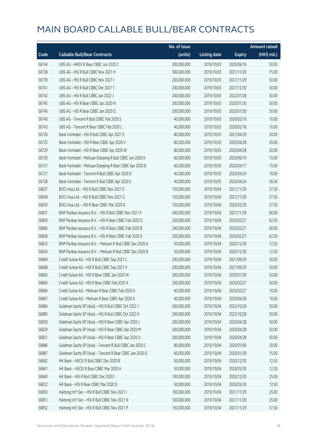|       |                                                            | No. of issue |                     |               | <b>Amount raised</b> |
|-------|------------------------------------------------------------|--------------|---------------------|---------------|----------------------|
| Code  | <b>Callable Bull/Bear Contracts</b>                        | (units)      | <b>Listing date</b> | <b>Expiry</b> | (HK\$ mil.)          |
| 56744 | UBS AG - HKEX R Bear CBBC Jun 2020 C                       | 200,000,000  | 2019/10/03          | 2020/06/16    | 50.00                |
| 56738 | UBS AG - HSI R Bull CBBC Nov 2021 H                        | 300,000,000  | 2019/10/03          | 2021/11/29    | 75.00                |
| 56739 | UBS AG - HSI R Bull CBBC Nov 2021 I                        | 200,000,000  | 2019/10/03          | 2021/11/29    | 50.00                |
| 56741 | UBS AG - HSI R Bull CBBC Dec 2021 T                        | 200,000,000  | 2019/10/03          | 2021/12/30    | 50.00                |
| 56742 | UBS AG - HSI R Bull CBBC Jan 2022 J                        | 200,000,000  | 2019/10/03          | 2022/01/28    | 50.00                |
| 56745 | UBS AG - HSI R Bear CBBC Jan 2020 N                        | 200,000,000  | 2019/10/03          | 2020/01/30    | 50.00                |
| 56746 | UBS AG - HSI R Bear CBBC Jan 2020 Q                        | 200,000,000  | 2019/10/03          | 2020/01/30    | 50.00                |
| 56740 | UBS AG - Tencent R Bull CBBC Feb 2020 S                    | 40,000,000   | 2019/10/03          | 2020/02/19    | 10.00                |
| 56743 | UBS AG - Tencent R Bear CBBC Feb 2020 L                    | 40,000,000   | 2019/10/03          | 2020/02/18    | 10.00                |
| 56726 | Bank Vontobel - HSI R Bull CBBC Apr 2021 E                 | 80,000,000   | 2019/10/03          | 2021/04/29    | 20.00                |
| 56725 | Bank Vontobel - HSI R Bear CBBC Apr 2020 V                 | 80,000,000   | 2019/10/03          | 2020/04/28    | 20.00                |
| 56729 | Bank Vontobel - HSI R Bear CBBC Apr 2020 W                 | 80,000,000   | 2019/10/03          | 2020/04/28    | 20.00                |
| 56730 | Bank Vontobel - Meituan Dianping R Bull CBBC Jun 2020 A    | 60,000,000   | 2019/10/03          | 2020/06/19    | 15.00                |
| 56731 | Bank Vontobel - Meituan Dianping R Bear CBBC Apr 2020 B    | 60,000,000   | 2019/10/03          | 2020/04/17    | 15.00                |
| 56727 | Bank Vontobel - Tencent R Bull CBBC Apr 2020 D             | 40,000,000   | 2019/10/03          | 2020/04/24    | 10.00                |
| 56728 | Bank Vontobel - Tencent R Bull CBBC Apr 2020 E             | 40,000,000   | 2019/10/03          | 2020/04/24    | 36.04                |
| 56837 | BOCI Asia Ltd. - HSI R Bull CBBC Nov 2021 E                | 150,000,000  | 2019/10/04          | 2021/11/29    | 37.50                |
| 56838 | BOCI Asia Ltd. - HSI R Bull CBBC Nov 2021 G                | 150,000,000  | 2019/10/04          | 2021/11/29    | 37.50                |
| 56839 | BOCI Asia Ltd. - HSI R Bear CBBC Mar 2020 G                | 150,000,000  | 2019/10/04          | 2020/03/30    | 37.50                |
| 56857 | BNP Paribas Issuance B.V. - HSI R Bull CBBC Nov 2021 P     | 240,000,000  | 2019/10/04          | 2021/11/29    | 60.00                |
| 56859 | BNP Paribas Issuance B.V. - HSI R Bear CBBC Feb 2020 Q     | 250,000,000  | 2019/10/04          | 2020/02/27    | 62.50                |
| 56860 | BNP Paribas Issuance B.V. - HSI R Bear CBBC Feb 2020 R     | 240,000,000  | 2019/10/04          | 2020/02/27    | 60.00                |
| 56858 | BNP Paribas Issuance B.V. - HSI R Bear CBBC Feb 2020 X     | 250,000,000  | 2019/10/04          | 2020/02/27    | 62.50                |
| 56833 | BNP Paribas Issuance B.V. - Meituan R Bull CBBC Dec 2020 A | 50,000,000   | 2019/10/04          | 2020/12/30    | 12.50                |
| 56834 | BNP Paribas Issuance B.V. - Meituan R Bull CBBC Dec 2020 B | 50,000,000   | 2019/10/04          | 2020/12/30    | 12.50                |
| 56869 | Credit Suisse AG - HSI R Bull CBBC Sep 2021 C              | 200,000,000  | 2019/10/04          | 2021/09/29    | 50.00                |
| 56868 | Credit Suisse AG - HSI R Bull CBBC Sep 2021 V              | 200,000,000  | 2019/10/04          | 2021/09/29    | 50.00                |
| 56865 | Credit Suisse AG - HSI R Bear CBBC Jan 2020 W              | 200,000,000  | 2019/10/04          | 2020/01/30    | 50.00                |
| 56864 | Credit Suisse AG - HSI R Bear CBBC Feb 2020 X              | 200,000,000  | 2019/10/04          | 2020/02/27    | 50.00                |
| 56866 | Credit Suisse AG - Meituan R Bear CBBC Feb 2020 A          | 40,000,000   | 2019/10/04          | 2020/02/27    | 10.00                |
| 56867 | Credit Suisse AG - Meituan R Bear CBBC Apr 2020 A          | 40,000,000   | 2019/10/04          | 2020/04/28    | 10.00                |
| 56884 | Goldman Sachs SP (Asia) - HSI R Bull CBBC Oct 2022 J       | 200,000,000  | 2019/10/04          | 2022/10/28    | 50.00                |
| 56885 | Goldman Sachs SP (Asia) - HSI R Bull CBBC Oct 2022 K       | 200,000,000  | 2019/10/04          | 2022/10/28    | 50.00                |
| 56830 | Goldman Sachs SP (Asia) - HSI R Bear CBBC Apr 2020 J       | 200,000,000  | 2019/10/04          | 2020/04/28    | 50.00                |
| 56829 | Goldman Sachs SP (Asia) - HSI R Bear CBBC Apr 2020 M       | 200,000,000  | 2019/10/04          | 2020/04/28    | 50.00                |
| 56831 | Goldman Sachs SP (Asia) - HSI R Bear CBBC Apr 2020 U       | 200,000,000  | 2019/10/04          | 2020/04/28    | 50.00                |
| 56886 | Goldman Sachs SP (Asia) - Tencent R Bull CBBC Jan 2020 C   | 80,000,000   | 2019/10/04          | 2020/01/06    | 20.00                |
| 56887 | Goldman Sachs SP (Asia) - Tencent R Bear CBBC Jan 2020 Q   | 60,000,000   | 2019/10/04          | 2020/01/30    | 15.00                |
| 56842 | HK Bank - HSCEI R Bull CBBC Dec 2020 B                     | 50,000,000   | 2019/10/04          | 2020/12/30    | 12.50                |
| 56841 | HK Bank - HSCEI R Bear CBBC Mar 2020 A                     | 50,000,000   | 2019/10/04          | 2020/03/30    | 12.50                |
| 56840 | HK Bank - HSI R Bull CBBC Dec 2020 I                       | 100,000,000  | 2019/10/04          | 2020/12/30    | 25.00                |
| 56832 | HK Bank - HSI R Bear CBBC Mar 2020 D                       | 50,000,000   | 2019/10/04          | 2020/03/30    | 12.50                |
| 56850 | Haitong Int'l Sec - HSI R Bull CBBC Nov 2021 I             | 100,000,000  | 2019/10/04          | 2021/11/29    | 25.00                |
| 56851 | Haitong Int'l Sec - HSI R Bull CBBC Nov 2021 N             | 100,000,000  | 2019/10/04          | 2021/11/29    | 25.00                |
| 56852 | Haitong Int'l Sec - HSI R Bull CBBC Nov 2021 P             | 150,000,000  | 2019/10/04          | 2021/11/29    | 37.50                |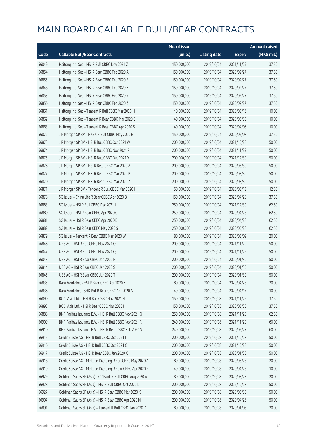|       |                                                            | No. of issue |                     |               | <b>Amount raised</b> |
|-------|------------------------------------------------------------|--------------|---------------------|---------------|----------------------|
| Code  | <b>Callable Bull/Bear Contracts</b>                        | (units)      | <b>Listing date</b> | <b>Expiry</b> | (HK\$ mil.)          |
| 56849 | Haitong Int'l Sec - HSI R Bull CBBC Nov 2021 Z             | 150,000,000  | 2019/10/04          | 2021/11/29    | 37.50                |
| 56854 | Haitong Int'l Sec - HSI R Bear CBBC Feb 2020 A             | 150,000,000  | 2019/10/04          | 2020/02/27    | 37.50                |
| 56855 | Haitong Int'l Sec - HSI R Bear CBBC Feb 2020 B             | 150,000,000  | 2019/10/04          | 2020/02/27    | 37.50                |
| 56848 | Haitong Int'l Sec - HSI R Bear CBBC Feb 2020 X             | 150,000,000  | 2019/10/04          | 2020/02/27    | 37.50                |
| 56853 | Haitong Int'l Sec - HSI R Bear CBBC Feb 2020 Y             | 150,000,000  | 2019/10/04          | 2020/02/27    | 37.50                |
| 56856 | Haitong Int'l Sec - HSI R Bear CBBC Feb 2020 Z             | 150,000,000  | 2019/10/04          | 2020/02/27    | 37.50                |
| 56861 | Haitong Int'l Sec - Tencent R Bull CBBC Mar 2020 H         | 40,000,000   | 2019/10/04          | 2020/03/16    | 10.00                |
| 56862 | Haitong Int'l Sec - Tencent R Bear CBBC Mar 2020 E         | 40,000,000   | 2019/10/04          | 2020/03/30    | 10.00                |
| 56863 | Haitong Int'l Sec - Tencent R Bear CBBC Apr 2020 S         | 40,000,000   | 2019/10/04          | 2020/04/06    | 10.00                |
| 56872 | J P Morgan SP BV - HKEX R Bull CBBC May 2020 E             | 150,000,000  | 2019/10/04          | 2020/05/08    | 37.50                |
| 56873 | J P Morgan SP BV - HSI R Bull CBBC Oct 2021 W              | 200,000,000  | 2019/10/04          | 2021/10/28    | 50.00                |
| 56874 | J P Morgan SP BV - HSI R Bull CBBC Nov 2021 P              | 200,000,000  | 2019/10/04          | 2021/11/29    | 50.00                |
| 56875 | JP Morgan SP BV - HSIR Bull CBBC Dec 2021 X                | 200,000,000  | 2019/10/04          | 2021/12/30    | 50.00                |
| 56876 | J P Morgan SP BV - HSI R Bear CBBC Mar 2020 A              | 200,000,000  | 2019/10/04          | 2020/03/30    | 50.00                |
| 56877 | J P Morgan SP BV - HSI R Bear CBBC Mar 2020 B              | 200,000,000  | 2019/10/04          | 2020/03/30    | 50.00                |
| 56870 | J P Morgan SP BV - HSI R Bear CBBC Mar 2020 Z              | 200,000,000  | 2019/10/04          | 2020/03/30    | 50.00                |
| 56871 | J P Morgan SP BV - Tencent R Bull CBBC Mar 2020 I          | 50,000,000   | 2019/10/04          | 2020/03/13    | 12.50                |
| 56878 | SG Issuer - China Life R Bear CBBC Apr 2020 B              | 150,000,000  | 2019/10/04          | 2020/04/28    | 37.50                |
| 56883 | SG Issuer - HSI R Bull CBBC Dec 2021 J                     | 250,000,000  | 2019/10/04          | 2021/12/30    | 62.50                |
| 56880 | SG Issuer - HSI R Bear CBBC Apr 2020 C                     | 250,000,000  | 2019/10/04          | 2020/04/28    | 62.50                |
| 56881 | SG Issuer - HSI R Bear CBBC Apr 2020 D                     | 250,000,000  | 2019/10/04          | 2020/04/28    | 62.50                |
| 56882 | SG Issuer - HSI R Bear CBBC May 2020 S                     | 250,000,000  | 2019/10/04          | 2020/05/28    | 62.50                |
| 56879 | SG Issuer - Tencent R Bear CBBC Mar 2020 W                 | 80,000,000   | 2019/10/04          | 2020/03/09    | 20.00                |
| 56846 | UBS AG - HSI R Bull CBBC Nov 2021 O                        | 200,000,000  | 2019/10/04          | 2021/11/29    | 50.00                |
| 56847 | UBS AG - HSI R Bull CBBC Nov 2021 Q                        | 200,000,000  | 2019/10/04          | 2021/11/29    | 50.00                |
| 56843 | UBS AG - HSI R Bear CBBC Jan 2020 R                        | 200,000,000  | 2019/10/04          | 2020/01/30    | 50.00                |
| 56844 | UBS AG - HSI R Bear CBBC Jan 2020 S                        | 200,000,000  | 2019/10/04          | 2020/01/30    | 50.00                |
| 56845 | UBS AG - HSI R Bear CBBC Jan 2020 T                        | 200,000,000  | 2019/10/04          | 2020/01/30    | 50.00                |
| 56835 | Bank Vontobel - HSI R Bear CBBC Apr 2020 X                 | 80,000,000   | 2019/10/04          | 2020/04/28    | 20.00                |
| 56836 | Bank Vontobel - SHK Ppt R Bear CBBC Apr 2020 A             | 40,000,000   | 2019/10/04          | 2020/04/17    | 10.00                |
| 56890 | BOCI Asia Ltd. - HSI R Bull CBBC Nov 2021 H                | 150,000,000  | 2019/10/08          | 2021/11/29    | 37.50                |
| 56898 | BOCI Asia Ltd. - HSI R Bear CBBC Mar 2020 H                | 150,000,000  | 2019/10/08          | 2020/03/30    | 37.50                |
| 56888 | BNP Paribas Issuance B.V. - HSI R Bull CBBC Nov 2021 Q     | 250,000,000  | 2019/10/08          | 2021/11/29    | 62.50                |
| 56909 | BNP Paribas Issuance B.V. - HSI R Bull CBBC Nov 2021 R     | 240,000,000  | 2019/10/08          | 2021/11/29    | 60.00                |
| 56910 | BNP Paribas Issuance B.V. - HSI R Bear CBBC Feb 2020 S     | 240,000,000  | 2019/10/08          | 2020/02/27    | 60.00                |
| 56915 | Credit Suisse AG - HSI R Bull CBBC Oct 2021 I              | 200,000,000  | 2019/10/08          | 2021/10/28    | 50.00                |
| 56916 | Credit Suisse AG - HSI R Bull CBBC Oct 2021 O              | 200,000,000  | 2019/10/08          | 2021/10/28    | 50.00                |
| 56917 | Credit Suisse AG - HSI R Bear CBBC Jan 2020 X              | 200,000,000  | 2019/10/08          | 2020/01/30    | 50.00                |
| 56918 | Credit Suisse AG - Meituan Dianping R Bull CBBC May 2020 A | 80,000,000   | 2019/10/08          | 2020/05/28    | 20.00                |
| 56919 | Credit Suisse AG - Meituan Dianping R Bear CBBC Apr 2020 B | 40,000,000   | 2019/10/08          | 2020/04/28    | 10.00                |
| 56929 | Goldman Sachs SP (Asia) - CC Bank R Bull CBBC Aug 2020 A   | 80,000,000   | 2019/10/08          | 2020/08/28    | 20.00                |
| 56928 | Goldman Sachs SP (Asia) - HSI R Bull CBBC Oct 2022 L       | 200,000,000  | 2019/10/08          | 2022/10/28    | 50.00                |
| 56927 | Goldman Sachs SP (Asia) - HSI R Bear CBBC Mar 2020 K       | 200,000,000  | 2019/10/08          | 2020/03/30    | 50.00                |
| 56907 | Goldman Sachs SP (Asia) - HSI R Bear CBBC Apr 2020 N       | 200,000,000  | 2019/10/08          | 2020/04/28    | 50.00                |
| 56891 | Goldman Sachs SP (Asia) - Tencent R Bull CBBC Jan 2020 D   | 80,000,000   | 2019/10/08          | 2020/01/08    | 20.00                |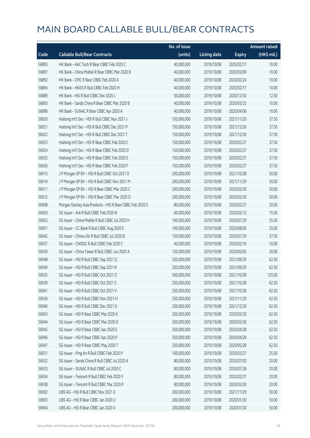|       |                                                           | No. of issue |                     |               | <b>Amount raised</b> |
|-------|-----------------------------------------------------------|--------------|---------------------|---------------|----------------------|
| Code  | <b>Callable Bull/Bear Contracts</b>                       | (units)      | <b>Listing date</b> | <b>Expiry</b> | (HK\$ mil.)          |
| 56895 | HK Bank - AAC Tech R Bear CBBC Feb 2020 C                 | 40,000,000   | 2019/10/08          | 2020/02/17    | 10.00                |
| 56897 | HK Bank - China Mobile R Bear CBBC Mar 2020 B             | 40,000,000   | 2019/10/08          | 2020/03/09    | 10.00                |
| 56892 | HK Bank - CPIC R Bear CBBC Feb 2020 A                     | 40,000,000   | 2019/10/08          | 2020/02/24    | 10.00                |
| 56894 | HK Bank - HKEX R Bull CBBC Feb 2020 H                     | 40,000,000   | 2019/10/08          | 2020/02/17    | 10.00                |
| 56889 | HK Bank - HSI R Bull CBBC Dec 2020 J                      | 50,000,000   | 2019/10/08          | 2020/12/30    | 12.50                |
| 56893 | HK Bank - Sands China R Bear CBBC Mar 2020 B              | 40,000,000   | 2019/10/08          | 2020/03/23    | 10.00                |
| 56896 | HK Bank - SUNAC R Bear CBBC Apr 2020 A                    | 40,000,000   | 2019/10/08          | 2020/04/06    | 10.00                |
| 56920 | Haitong Int'l Sec - HSI R Bull CBBC Nov 2021 J            | 150,000,000  | 2019/10/08          | 2021/11/29    | 37.50                |
| 56921 | Haitong Int'l Sec - HSI R Bull CBBC Dec 2021 P            | 150,000,000  | 2019/10/08          | 2021/12/30    | 37.50                |
| 56922 | Haitong Int'l Sec - HSI R Bull CBBC Dec 2021 T            | 150,000,000  | 2019/10/08          | 2021/12/30    | 37.50                |
| 56923 | Haitong Int'l Sec - HSI R Bear CBBC Feb 2020 C            | 150,000,000  | 2019/10/08          | 2020/02/27    | 37.50                |
| 56924 | Haitong Int'l Sec - HSI R Bear CBBC Feb 2020 D            | 150,000,000  | 2019/10/08          | 2020/02/27    | 37.50                |
| 56925 | Haitong Int'l Sec - HSI R Bear CBBC Feb 2020 E            | 150,000,000  | 2019/10/08          | 2020/02/27    | 37.50                |
| 56926 | Haitong Int'l Sec - HSI R Bear CBBC Feb 2020 F            | 150,000,000  | 2019/10/08          | 2020/02/27    | 37.50                |
| 56913 | J P Morgan SP BV - HSI R Bull CBBC Oct 2021 D             | 200,000,000  | 2019/10/08          | 2021/10/28    | 50.00                |
| 56914 | J P Morgan SP BV - HSI R Bull CBBC Nov 2021 M             | 200,000,000  | 2019/10/08          | 2021/11/29    | 50.00                |
| 56911 | J P Morgan SP BV - HSI R Bear CBBC Mar 2020 C             | 200,000,000  | 2019/10/08          | 2020/03/30    | 50.00                |
| 56912 | J P Morgan SP BV - HSI R Bear CBBC Mar 2020 D             | 200,000,000  | 2019/10/08          | 2020/03/30    | 50.00                |
| 56908 | Morgan Stanley Asia Products - HSI R Bear CBBC Feb 2020 S | 80,000,000   | 2019/10/08          | 2020/02/27    | 20.00                |
| 56950 | SG Issuer - AIA R Bull CBBC Feb 2020 N                    | 60,000,000   | 2019/10/08          | 2020/02/13    | 15.00                |
| 56952 | SG Issuer - China Mobile R Bull CBBC Jul 2020 H           | 100,000,000  | 2019/10/08          | 2020/07/29    | 25.00                |
| 56951 | SG Issuer - CC Bank R Bull CBBC Aug 2020 E                | 100,000,000  | 2019/10/08          | 2020/08/05    | 25.00                |
| 56942 | SG Issuer - China Life R Bull CBBC Jul 2020 B             | 150,000,000  | 2019/10/08          | 2020/07/29    | 37.50                |
| 56937 | SG Issuer - CNOOC R Bull CBBC Feb 2020 C                  | 40,000,000   | 2019/10/08          | 2020/02/18    | 10.00                |
| 56930 | SG Issuer - China Tower R Bull CBBC Jun 2020 A            | 120,000,000  | 2019/10/08          | 2020/06/05    | 30.00                |
| 56948 | SG Issuer - HSI R Bull CBBC Sep 2021 Q                    | 250,000,000  | 2019/10/08          | 2021/09/29    | 62.50                |
| 56949 | SG Issuer - HSI R Bull CBBC Sep 2021 R                    | 250,000,000  | 2019/10/08          | 2021/09/29    | 62.50                |
| 56935 | SG Issuer - HSI R Bull CBBC Oct 2021 D                    | 500,000,000  | 2019/10/08          | 2021/10/28    | 125.00               |
| 56939 | SG Issuer - HSI R Bull CBBC Oct 2021 S                    | 250,000,000  | 2019/10/08          | 2021/10/28    | 62.50                |
| 56941 | SG Issuer - HSI R Bull CBBC Oct 2021 V                    | 250,000,000  | 2019/10/08          | 2021/10/28    | 62.50                |
| 56936 | SG Issuer - HSI R Bull CBBC Nov 2021 H                    | 250,000,000  | 2019/10/08          | 2021/11/29    | 62.50                |
| 56940 | SG Issuer - HSI R Bull CBBC Dec 2021 O                    | 250,000,000  | 2019/10/08          | 2021/12/30    | 62.50                |
| 56943 | SG Issuer - HSI R Bear CBBC Mar 2020 K                    | 250,000,000  | 2019/10/08          | 2020/03/30    | 62.50                |
| 56944 | SG Issuer - HSI R Bear CBBC Mar 2020 O                    | 250,000,000  | 2019/10/08          | 2020/03/30    | 62.50                |
| 56945 | SG Issuer - HSI R Bear CBBC Apr 2020 E                    | 250,000,000  | 2019/10/08          | 2020/04/28    | 62.50                |
| 56946 | SG Issuer - HSI R Bear CBBC Apr 2020 P                    | 250,000,000  | 2019/10/08          | 2020/04/28    | 62.50                |
| 56947 | SG Issuer - HSI R Bear CBBC May 2020 T                    | 250,000,000  | 2019/10/08          | 2020/05/28    | 62.50                |
| 56931 | SG Issuer - Ping An R Bull CBBC Feb 2020 P                | 100,000,000  | 2019/10/08          | 2020/02/27    | 25.00                |
| 56932 | SG Issuer - Sands China R Bull CBBC Jul 2020 A            | 80,000,000   | 2019/10/08          | 2020/07/03    | 20.00                |
| 56933 | SG Issuer - SUNAC R Bull CBBC Jul 2020 C                  | 80,000,000   | 2019/10/08          | 2020/07/28    | 20.00                |
| 56934 | SG Issuer - Tencent R Bull CBBC Feb 2020 Y                | 80,000,000   | 2019/10/08          | 2020/02/27    | 20.00                |
| 56938 | SG Issuer - Tencent R Bull CBBC Mar 2020 P                | 80,000,000   | 2019/10/08          | 2020/03/30    | 20.00                |
| 56902 | UBS AG - HSI R Bull CBBC Nov 2021 X                       | 200,000,000  | 2019/10/08          | 2021/11/29    | 50.00                |
| 56903 | UBS AG - HSI R Bear CBBC Jan 2020 U                       | 200,000,000  | 2019/10/08          | 2020/01/30    | 50.00                |
| 56904 | UBS AG - HSI R Bear CBBC Jan 2020 V                       | 200,000,000  | 2019/10/08          | 2020/01/30    | 50.00                |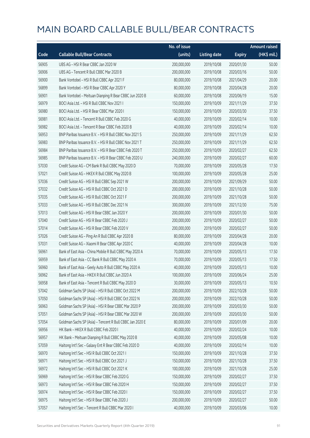|       |                                                          | No. of issue |                     |               | <b>Amount raised</b> |
|-------|----------------------------------------------------------|--------------|---------------------|---------------|----------------------|
| Code  | <b>Callable Bull/Bear Contracts</b>                      | (units)      | <b>Listing date</b> | <b>Expiry</b> | (HK\$ mil.)          |
| 56905 | UBS AG - HSI R Bear CBBC Jan 2020 W                      | 200,000,000  | 2019/10/08          | 2020/01/30    | 50.00                |
| 56906 | UBS AG - Tencent R Bull CBBC Mar 2020 B                  | 200,000,000  | 2019/10/08          | 2020/03/16    | 50.00                |
| 56900 | Bank Vontobel - HSI R Bull CBBC Apr 2021 F               | 80,000,000   | 2019/10/08          | 2021/04/29    | 20.00                |
| 56899 | Bank Vontobel - HSI R Bear CBBC Apr 2020 Y               | 80,000,000   | 2019/10/08          | 2020/04/28    | 20.00                |
| 56901 | Bank Vontobel - Meituan Dianping R Bear CBBC Jun 2020 B  | 60,000,000   | 2019/10/08          | 2020/06/19    | 15.00                |
| 56979 | BOCI Asia Ltd. - HSI R Bull CBBC Nov 2021 I              | 150,000,000  | 2019/10/09          | 2021/11/29    | 37.50                |
| 56980 | BOCI Asia Ltd. - HSI R Bear CBBC Mar 2020 I              | 150,000,000  | 2019/10/09          | 2020/03/30    | 37.50                |
| 56981 | BOCI Asia Ltd. - Tencent R Bull CBBC Feb 2020 G          | 40,000,000   | 2019/10/09          | 2020/02/14    | 10.00                |
| 56982 | BOCI Asia Ltd. - Tencent R Bear CBBC Feb 2020 B          | 40,000,000   | 2019/10/09          | 2020/02/14    | 10.00                |
| 56953 | BNP Paribas Issuance B.V. - HSI R Bull CBBC Nov 2021 S   | 250,000,000  | 2019/10/09          | 2021/11/29    | 62.50                |
| 56983 | BNP Paribas Issuance B.V. - HSI R Bull CBBC Nov 2021 T   | 250,000,000  | 2019/10/09          | 2021/11/29    | 62.50                |
| 56984 | BNP Paribas Issuance B.V. - HSI R Bear CBBC Feb 2020 T   | 250,000,000  | 2019/10/09          | 2020/02/27    | 62.50                |
| 56985 | BNP Paribas Issuance B.V. - HSI R Bear CBBC Feb 2020 U   | 240,000,000  | 2019/10/09          | 2020/02/27    | 60.00                |
| 57030 | Credit Suisse AG - CM Bank R Bull CBBC May 2020 D        | 70,000,000   | 2019/10/09          | 2020/05/28    | 17.50                |
| 57021 | Credit Suisse AG - HKEX R Bull CBBC May 2020 B           | 100,000,000  | 2019/10/09          | 2020/05/28    | 25.00                |
| 57036 | Credit Suisse AG - HSI R Bull CBBC Sep 2021 W            | 200,000,000  | 2019/10/09          | 2021/09/29    | 50.00                |
| 57032 | Credit Suisse AG - HSI R Bull CBBC Oct 2021 D            | 200,000,000  | 2019/10/09          | 2021/10/28    | 50.00                |
| 57035 | Credit Suisse AG - HSI R Bull CBBC Oct 2021 F            | 200,000,000  | 2019/10/09          | 2021/10/28    | 50.00                |
| 57033 | Credit Suisse AG - HSI R Bull CBBC Dec 2021 N            | 300,000,000  | 2019/10/09          | 2021/12/30    | 75.00                |
| 57013 | Credit Suisse AG - HSI R Bear CBBC Jan 2020 Y            | 200,000,000  | 2019/10/09          | 2020/01/30    | 50.00                |
| 57040 | Credit Suisse AG - HSI R Bear CBBC Feb 2020 J            | 200,000,000  | 2019/10/09          | 2020/02/27    | 50.00                |
| 57014 | Credit Suisse AG - HSI R Bear CBBC Feb 2020 V            | 200,000,000  | 2019/10/09          | 2020/02/27    | 50.00                |
| 57026 | Credit Suisse AG - Ping An R Bull CBBC Apr 2020 B        | 80,000,000   | 2019/10/09          | 2020/04/28    | 20.00                |
| 57031 | Credit Suisse AG - Xiaomi R Bear CBBC Apr 2020 C         | 40,000,000   | 2019/10/09          | 2020/04/28    | 10.00                |
| 56961 | Bank of East Asia - China Mobile R Bull CBBC May 2020 A  | 70,000,000   | 2019/10/09          | 2020/05/13    | 17.50                |
| 56959 | Bank of East Asia - CC Bank R Bull CBBC May 2020 A       | 70,000,000   | 2019/10/09          | 2020/05/13    | 17.50                |
| 56960 | Bank of East Asia - Geely Auto R Bull CBBC May 2020 A    | 40,000,000   | 2019/10/09          | 2020/05/13    | 10.00                |
| 56962 | Bank of East Asia - HKEX R Bull CBBC Jun 2020 A          | 100,000,000  | 2019/10/09          | 2020/06/24    | 25.00                |
| 56958 | Bank of East Asia - Tencent R Bull CBBC May 2020 D       | 30,000,000   | 2019/10/09          | 2020/05/13    | 10.50                |
| 57042 | Goldman Sachs SP (Asia) - HSI R Bull CBBC Oct 2022 M     | 200,000,000  | 2019/10/09          | 2022/10/28    | 50.00                |
| 57050 | Goldman Sachs SP (Asia) - HSI R Bull CBBC Oct 2022 N     | 200,000,000  | 2019/10/09          | 2022/10/28    | 50.00                |
| 56963 | Goldman Sachs SP (Asia) - HSI R Bear CBBC Mar 2020 P     | 200,000,000  | 2019/10/09          | 2020/03/30    | 50.00                |
| 57051 | Goldman Sachs SP (Asia) - HSI R Bear CBBC Mar 2020 W     | 200,000,000  | 2019/10/09          | 2020/03/30    | 50.00                |
| 57054 | Goldman Sachs SP (Asia) - Tencent R Bull CBBC Jan 2020 E | 80,000,000   | 2019/10/09          | 2020/01/09    | 20.00                |
| 56956 | HK Bank - HKEX R Bull CBBC Feb 2020 I                    | 40,000,000   | 2019/10/09          | 2020/02/24    | 10.00                |
| 56957 | HK Bank - Meituan Dianping R Bull CBBC May 2020 B        | 40,000,000   | 2019/10/09          | 2020/05/08    | 10.00                |
| 57059 | Haitong Int'l Sec - Galaxy Ent R Bear CBBC Feb 2020 D    | 40,000,000   | 2019/10/09          | 2020/02/14    | 10.00                |
| 56970 | Haitong Int'l Sec - HSI R Bull CBBC Oct 2021 I           | 150,000,000  | 2019/10/09          | 2021/10/28    | 37.50                |
| 56971 | Haitong Int'l Sec - HSI R Bull CBBC Oct 2021 J           | 150,000,000  | 2019/10/09          | 2021/10/28    | 37.50                |
| 56972 | Haitong Int'l Sec - HSI R Bull CBBC Oct 2021 K           | 100,000,000  | 2019/10/09          | 2021/10/28    | 25.00                |
| 56969 | Haitong Int'l Sec - HSI R Bear CBBC Feb 2020 G           | 150,000,000  | 2019/10/09          | 2020/02/27    | 37.50                |
| 56973 | Haitong Int'l Sec - HSI R Bear CBBC Feb 2020 H           | 150,000,000  | 2019/10/09          | 2020/02/27    | 37.50                |
| 56974 | Haitong Int'l Sec - HSI R Bear CBBC Feb 2020 I           | 150,000,000  | 2019/10/09          | 2020/02/27    | 37.50                |
| 56975 | Haitong Int'l Sec - HSI R Bear CBBC Feb 2020 J           | 200,000,000  | 2019/10/09          | 2020/02/27    | 50.00                |
| 57057 | Haitong Int'l Sec - Tencent R Bull CBBC Mar 2020 I       | 40,000,000   | 2019/10/09          | 2020/03/06    | 10.00                |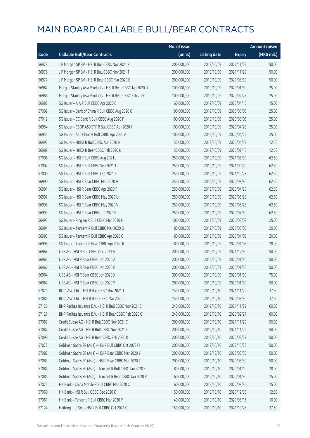|       |                                                           | No. of issue |                     |               | <b>Amount raised</b> |
|-------|-----------------------------------------------------------|--------------|---------------------|---------------|----------------------|
| Code  | <b>Callable Bull/Bear Contracts</b>                       | (units)      | <b>Listing date</b> | <b>Expiry</b> | (HK\$ mil.)          |
| 56978 | J P Morgan SP BV - HSI R Bull CBBC Nov 2021 K             | 200,000,000  | 2019/10/09          | 2021/11/29    | 50.00                |
| 56976 | J P Morgan SP BV - HSI R Bull CBBC Nov 2021 T             | 200,000,000  | 2019/10/09          | 2021/11/29    | 50.00                |
| 56977 | J P Morgan SP BV - HSI R Bear CBBC Mar 2020 E             | 200,000,000  | 2019/10/09          | 2020/03/30    | 50.00                |
| 56987 | Morgan Stanley Asia Products - HSI R Bear CBBC Jan 2020 U | 100,000,000  | 2019/10/09          | 2020/01/30    | 25.00                |
| 56986 | Morgan Stanley Asia Products - HSI R Bear CBBC Feb 2020 T | 100,000,000  | 2019/10/09          | 2020/02/27    | 25.00                |
| 56988 | SG Issuer - AIA R Bull CBBC Apr 2020 B                    | 60,000,000   | 2019/10/09          | 2020/04/15    | 15.00                |
| 57009 | SG Issuer - Bank of China R Bull CBBC Aug 2020 G          | 100,000,000  | 2019/10/09          | 2020/08/06    | 25.00                |
| 57012 | SG Issuer - CC Bank R Bull CBBC Aug 2020 F                | 100,000,000  | 2019/10/09          | 2020/08/06    | 25.00                |
| 56954 | SG Issuer - CSOP A50 ETF R Bull CBBC Apr 2020 J           | 100,000,000  | 2019/10/09          | 2020/04/28    | 25.00                |
| 56955 | SG Issuer - A50 China R Bull CBBC Apr 2020 A              | 100,000,000  | 2019/10/09          | 2020/04/29    | 25.00                |
| 56992 | SG Issuer - HKEX R Bull CBBC Apr 2020 H                   | 50,000,000   | 2019/10/09          | 2020/04/29    | 12.50                |
| 56989 | SG Issuer - HKEX R Bear CBBC Feb 2020 K                   | 50,000,000   | 2019/10/09          | 2020/02/18    | 12.50                |
| 57006 | SG Issuer - HSI R Bull CBBC Aug 2021 J                    | 250,000,000  | 2019/10/09          | 2021/08/30    | 62.50                |
| 57007 | SG Issuer - HSI R Bull CBBC Sep 2021 T                    | 250,000,000  | 2019/10/09          | 2021/09/29    | 62.50                |
| 57000 | SG Issuer - HSI R Bull CBBC Oct 2021 Z                    | 250,000,000  | 2019/10/09          | 2021/10/28    | 62.50                |
| 56990 | SG Issuer - HSI R Bear CBBC Mar 2020 H                    | 250,000,000  | 2019/10/09          | 2020/03/30    | 62.50                |
| 56991 | SG Issuer - HSI R Bear CBBC Apr 2020 F                    | 250,000,000  | 2019/10/09          | 2020/04/28    | 62.50                |
| 56997 | SG Issuer - HSI R Bear CBBC May 2020 U                    | 250,000,000  | 2019/10/09          | 2020/05/28    | 62.50                |
| 56998 | SG Issuer - HSI R Bear CBBC May 2020 V                    | 250,000,000  | 2019/10/09          | 2020/05/28    | 62.50                |
| 56999 | SG Issuer - HSI R Bear CBBC Jul 2020 B                    | 250,000,000  | 2019/10/09          | 2020/07/30    | 62.50                |
| 56993 | SG Issuer - Ping An R Bull CBBC Mar 2020 H                | 100,000,000  | 2019/10/09          | 2020/03/03    | 25.00                |
| 56994 | SG Issuer - Tencent R Bull CBBC Mar 2020 Q                | 80,000,000   | 2019/10/09          | 2020/03/03    | 20.00                |
| 56995 | SG Issuer - Tencent R Bull CBBC Apr 2020 C                | 80,000,000   | 2019/10/09          | 2020/04/06    | 20.00                |
| 56996 | SG Issuer - Tencent R Bear CBBC Apr 2020 R                | 80,000,000   | 2019/10/09          | 2020/04/06    | 20.00                |
| 56968 | UBS AG - HSI R Bull CBBC Dec 2021 A                       | 200,000,000  | 2019/10/09          | 2021/12/30    | 50.00                |
| 56965 | UBS AG - HSI R Bear CBBC Jan 2020 A                       | 200,000,000  | 2019/10/09          | 2020/01/30    | 50.00                |
| 56966 | UBS AG - HSI R Bear CBBC Jan 2020 B                       | 200,000,000  | 2019/10/09          | 2020/01/30    | 50.00                |
| 56964 | UBS AG - HSI R Bear CBBC Jan 2020 X                       | 300,000,000  | 2019/10/09          | 2020/01/30    | 75.00                |
| 56967 | UBS AG - HSI R Bear CBBC Jan 2020 Y                       | 200,000,000  | 2019/10/09          | 2020/01/30    | 50.00                |
| 57079 | BOCI Asia Ltd. - HSI R Bull CBBC Nov 2021 J               | 150,000,000  | 2019/10/10          | 2021/11/29    | 37.50                |
| 57080 | BOCI Asia Ltd. - HSI R Bear CBBC Mar 2020 J               | 150,000,000  | 2019/10/10          | 2020/03/30    | 37.50                |
| 57126 | BNP Paribas Issuance B.V. - HSI R Bull CBBC Nov 2021 E    | 240,000,000  | 2019/10/10          | 2021/11/29    | 60.00                |
| 57127 | BNP Paribas Issuance B.V. - HSI R Bear CBBC Feb 2020 G    | 240,000,000  | 2019/10/10          | 2020/02/27    | 60.00                |
| 57089 | Credit Suisse AG - HSI R Bull CBBC Nov 2021 C             | 200,000,000  | 2019/10/10          | 2021/11/29    | 50.00                |
| 57087 | Credit Suisse AG - HSI R Bull CBBC Nov 2021 Z             | 200,000,000  | 2019/10/10          | 2021/11/29    | 50.00                |
| 57090 | Credit Suisse AG - HSI R Bear CBBC Feb 2020 K             | 200,000,000  | 2019/10/10          | 2020/02/27    | 50.00                |
| 57078 | Goldman Sachs SP (Asia) - HSI R Bull CBBC Oct 2022 O      | 200,000,000  | 2019/10/10          | 2022/10/28    | 50.00                |
| 57082 | Goldman Sachs SP (Asia) - HSI R Bear CBBC Mar 2020 Y      | 200,000,000  | 2019/10/10          | 2020/03/30    | 50.00                |
| 57083 | Goldman Sachs SP (Asia) - HSI R Bear CBBC Mar 2020 Z      | 200,000,000  | 2019/10/10          | 2020/03/30    | 50.00                |
| 57084 | Goldman Sachs SP (Asia) - Tencent R Bull CBBC Jan 2020 F  | 80,000,000   | 2019/10/10          | 2020/01/10    | 20.00                |
| 57086 | Goldman Sachs SP (Asia) - Tencent R Bear CBBC Jan 2020 R  | 60,000,000   | 2019/10/10          | 2020/01/30    | 15.00                |
| 57075 | HK Bank - China Mobile R Bull CBBC Mar 2020 C             | 60,000,000   | 2019/10/10          | 2020/03/30    | 15.00                |
| 57060 | HK Bank - HSI R Bull CBBC Dec 2020 K                      | 50,000,000   | 2019/10/10          | 2020/12/30    | 12.50                |
| 57061 | HK Bank - Tencent R Bull CBBC Mar 2020 P                  | 40,000,000   | 2019/10/10          | 2020/03/16    | 10.00                |
| 57124 | Haitong Int'l Sec - HSI R Bull CBBC Oct 2021 C            | 150,000,000  | 2019/10/10          | 2021/10/28    | 37.50                |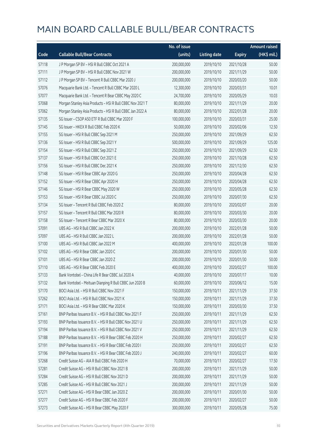|       |                                                           | No. of issue |                     |               | <b>Amount raised</b> |
|-------|-----------------------------------------------------------|--------------|---------------------|---------------|----------------------|
| Code  | <b>Callable Bull/Bear Contracts</b>                       | (units)      | <b>Listing date</b> | <b>Expiry</b> | (HK\$ mil.)          |
| 57118 | J P Morgan SP BV - HSI R Bull CBBC Oct 2021 A             | 200,000,000  | 2019/10/10          | 2021/10/28    | 50.00                |
| 57111 | J P Morgan SP BV - HSI R Bull CBBC Nov 2021 W             | 200,000,000  | 2019/10/10          | 2021/11/29    | 50.00                |
| 57112 | J P Morgan SP BV - Tencent R Bull CBBC Mar 2020 J         | 200,000,000  | 2019/10/10          | 2020/03/20    | 50.00                |
| 57076 | Macquarie Bank Ltd. - Tencent R Bull CBBC Mar 2020 L      | 12,300,000   | 2019/10/10          | 2020/03/31    | 10.01                |
| 57077 | Macquarie Bank Ltd. - Tencent R Bear CBBC May 2020 C      | 24,700,000   | 2019/10/10          | 2020/05/29    | 10.03                |
| 57068 | Morgan Stanley Asia Products - HSI R Bull CBBC Nov 2021 T | 80,000,000   | 2019/10/10          | 2021/11/29    | 20.00                |
| 57062 | Morgan Stanley Asia Products - HSI R Bull CBBC Jan 2022 A | 80,000,000   | 2019/10/10          | 2022/01/28    | 20.00                |
| 57135 | SG Issuer - CSOP A50 ETF R Bull CBBC Mar 2020 F           | 100,000,000  | 2019/10/10          | 2020/03/31    | 25.00                |
| 57145 | SG Issuer - HKEX R Bull CBBC Feb 2020 K                   | 50,000,000   | 2019/10/10          | 2020/02/06    | 12.50                |
| 57155 | SG Issuer - HSI R Bull CBBC Sep 2021 M                    | 250,000,000  | 2019/10/10          | 2021/09/29    | 62.50                |
| 57136 | SG Issuer - HSI R Bull CBBC Sep 2021 Y                    | 500,000,000  | 2019/10/10          | 2021/09/29    | 125.00               |
| 57154 | SG Issuer - HSI R Bull CBBC Sep 2021 Z                    | 250,000,000  | 2019/10/10          | 2021/09/29    | 62.50                |
| 57137 | SG Issuer - HSI R Bull CBBC Oct 2021 E                    | 250,000,000  | 2019/10/10          | 2021/10/28    | 62.50                |
| 57156 | SG Issuer - HSI R Bull CBBC Dec 2021 K                    | 250,000,000  | 2019/10/10          | 2021/12/30    | 62.50                |
| 57148 | SG Issuer - HSI R Bear CBBC Apr 2020 G                    | 250,000,000  | 2019/10/10          | 2020/04/28    | 62.50                |
| 57152 | SG Issuer - HSI R Bear CBBC Apr 2020 H                    | 250,000,000  | 2019/10/10          | 2020/04/28    | 62.50                |
| 57146 | SG Issuer - HSI R Bear CBBC May 2020 W                    | 250,000,000  | 2019/10/10          | 2020/05/28    | 62.50                |
| 57153 | SG Issuer - HSI R Bear CBBC Jul 2020 C                    | 250,000,000  | 2019/10/10          | 2020/07/30    | 62.50                |
| 57134 | SG Issuer - Tencent R Bull CBBC Feb 2020 Z                | 80,000,000   | 2019/10/10          | 2020/02/07    | 20.00                |
| 57157 | SG Issuer - Tencent R Bull CBBC Mar 2020 R                | 80,000,000   | 2019/10/10          | 2020/03/30    | 20.00                |
| 57158 | SG Issuer - Tencent R Bear CBBC Mar 2020 X                | 80,000,000   | 2019/10/10          | 2020/03/30    | 20.00                |
| 57091 | UBS AG - HSI R Bull CBBC Jan 2022 K                       | 200,000,000  | 2019/10/10          | 2022/01/28    | 50.00                |
| 57097 | UBS AG - HSI R Bull CBBC Jan 2022 L                       | 200,000,000  | 2019/10/10          | 2022/01/28    | 50.00                |
| 57100 | UBS AG - HSI R Bull CBBC Jan 2022 M                       | 400,000,000  | 2019/10/10          | 2022/01/28    | 100.00               |
| 57102 | UBS AG - HSI R Bear CBBC Jan 2020 C                       | 200,000,000  | 2019/10/10          | 2020/01/30    | 50.00                |
| 57101 | UBS AG - HSI R Bear CBBC Jan 2020 Z                       | 200,000,000  | 2019/10/10          | 2020/01/30    | 50.00                |
| 57110 | UBS AG - HSI R Bear CBBC Feb 2020 E                       | 400,000,000  | 2019/10/10          | 2020/02/27    | 100.00               |
| 57133 | Bank Vontobel - China Life R Bear CBBC Jul 2020 A         | 40,000,000   | 2019/10/10          | 2020/07/17    | 10.00                |
| 57132 | Bank Vontobel - Meituan Dianping R Bull CBBC Jun 2020 B   | 60,000,000   | 2019/10/10          | 2020/06/12    | 15.00                |
| 57170 | BOCI Asia Ltd. - HSI R Bull CBBC Nov 2021 F               | 150,000,000  | 2019/10/11          | 2021/11/29    | 37.50                |
| 57262 | BOCI Asia Ltd. - HSI R Bull CBBC Nov 2021 K               | 150,000,000  | 2019/10/11          | 2021/11/29    | 37.50                |
| 57171 | BOCI Asia Ltd. - HSI R Bear CBBC Mar 2020 K               | 150,000,000  | 2019/10/11          | 2020/03/30    | 37.50                |
| 57161 | BNP Paribas Issuance B.V. - HSI R Bull CBBC Nov 2021 F    | 250,000,000  | 2019/10/11          | 2021/11/29    | 62.50                |
| 57193 | BNP Paribas Issuance B.V. - HSI R Bull CBBC Nov 2021 U    | 250,000,000  | 2019/10/11          | 2021/11/29    | 62.50                |
| 57194 | BNP Paribas Issuance B.V. - HSI R Bull CBBC Nov 2021 V    | 250,000,000  | 2019/10/11          | 2021/11/29    | 62.50                |
| 57188 | BNP Paribas Issuance B.V. - HSI R Bear CBBC Feb 2020 H    | 250,000,000  | 2019/10/11          | 2020/02/27    | 62.50                |
| 57191 | BNP Paribas Issuance B.V. - HSI R Bear CBBC Feb 2020 I    | 250,000,000  | 2019/10/11          | 2020/02/27    | 62.50                |
| 57196 | BNP Paribas Issuance B.V. - HSI R Bear CBBC Feb 2020 J    | 240,000,000  | 2019/10/11          | 2020/02/27    | 60.00                |
| 57268 | Credit Suisse AG - AIA R Bull CBBC Feb 2020 H             | 70,000,000   | 2019/10/11          | 2020/02/27    | 17.50                |
| 57281 | Credit Suisse AG - HSI R Bull CBBC Nov 2021 B             | 200,000,000  | 2019/10/11          | 2021/11/29    | 50.00                |
| 57284 | Credit Suisse AG - HSI R Bull CBBC Nov 2021 D             | 200,000,000  | 2019/10/11          | 2021/11/29    | 50.00                |
| 57285 | Credit Suisse AG - HSI R Bull CBBC Nov 2021 J             | 200,000,000  | 2019/10/11          | 2021/11/29    | 50.00                |
| 57271 | Credit Suisse AG - HSI R Bear CBBC Jan 2020 Z             | 200,000,000  | 2019/10/11          | 2020/01/30    | 50.00                |
| 57277 | Credit Suisse AG - HSI R Bear CBBC Feb 2020 F             | 200,000,000  | 2019/10/11          | 2020/02/27    | 50.00                |
| 57273 | Credit Suisse AG - HSI R Bear CBBC May 2020 F             | 300,000,000  | 2019/10/11          | 2020/05/28    | 75.00                |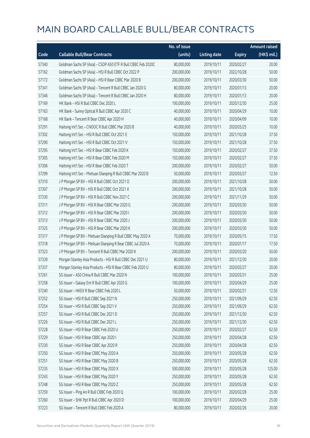|       |                                                              | No. of issue |                     |               | <b>Amount raised</b>  |
|-------|--------------------------------------------------------------|--------------|---------------------|---------------|-----------------------|
| Code  | <b>Callable Bull/Bear Contracts</b>                          | (units)      | <b>Listing date</b> | <b>Expiry</b> | $(HK\frac{1}{2}mil.)$ |
| 57340 | Goldman Sachs SP (Asia) - CSOP A50 ETF R Bull CBBC Feb 2020C | 80,000,000   | 2019/10/11          | 2020/02/27    | 20.00                 |
| 57162 | Goldman Sachs SP (Asia) - HSI R Bull CBBC Oct 2022 P         | 200,000,000  | 2019/10/11          | 2022/10/28    | 50.00                 |
| 57172 | Goldman Sachs SP (Asia) - HSI R Bear CBBC Mar 2020 B         | 200,000,000  | 2019/10/11          | 2020/03/30    | 50.00                 |
| 57341 | Goldman Sachs SP (Asia) - Tencent R Bull CBBC Jan 2020 G     | 80,000,000   | 2019/10/11          | 2020/01/13    | 20.00                 |
| 57346 | Goldman Sachs SP (Asia) - Tencent R Bull CBBC Jan 2020 H     | 80,000,000   | 2019/10/11          | 2020/01/13    | 20.00                 |
| 57169 | HK Bank - HSI R Bull CBBC Dec 2020 L                         | 100,000,000  | 2019/10/11          | 2020/12/30    | 25.00                 |
| 57163 | HK Bank - Sunny Optical R Bull CBBC Apr 2020 C               | 40,000,000   | 2019/10/11          | 2020/04/29    | 10.00                 |
| 57168 | HK Bank - Tencent R Bear CBBC Apr 2020 H                     | 40,000,000   | 2019/10/11          | 2020/04/09    | 10.00                 |
| 57291 | Haitong Int'l Sec - CNOOC R Bull CBBC Mar 2020 B             | 40,000,000   | 2019/10/11          | 2020/03/25    | 10.00                 |
| 57302 | Haitong Int'l Sec - HSI R Bull CBBC Oct 2021 E               | 150,000,000  | 2019/10/11          | 2021/10/28    | 37.50                 |
| 57290 | Haitong Int'l Sec - HSI R Bull CBBC Oct 2021 V               | 150,000,000  | 2019/10/11          | 2021/10/28    | 37.50                 |
| 57295 | Haitong Int'l Sec - HSI R Bear CBBC Feb 2020 K               | 150,000,000  | 2019/10/11          | 2020/02/27    | 37.50                 |
| 57305 | Haitong Int'l Sec - HSI R Bear CBBC Feb 2020 M               | 150,000,000  | 2019/10/11          | 2020/02/27    | 37.50                 |
| 57306 | Haitong Int'l Sec - HSI R Bear CBBC Feb 2020 T               | 200,000,000  | 2019/10/11          | 2020/02/27    | 50.00                 |
| 57299 | Haitong Int'l Sec - Meituan Dianping R Bull CBBC Mar 2020 B  | 50,000,000   | 2019/10/11          | 2020/03/27    | 12.50                 |
| 57310 | J P Morgan SP BV - HSI R Bull CBBC Oct 2021 O                | 200,000,000  | 2019/10/11          | 2021/10/28    | 50.00                 |
| 57307 | J P Morgan SP BV - HSI R Bull CBBC Oct 2021 X                | 200,000,000  | 2019/10/11          | 2021/10/28    | 50.00                 |
| 57330 | J P Morgan SP BV - HSI R Bull CBBC Nov 2021 C                | 200,000,000  | 2019/10/11          | 2021/11/29    | 50.00                 |
| 57311 | J P Morgan SP BV - HSI R Bear CBBC Mar 2020 G                | 200,000,000  | 2019/10/11          | 2020/03/30    | 50.00                 |
| 57312 | J P Morgan SP BV - HSI R Bear CBBC Mar 2020 I                | 200,000,000  | 2019/10/11          | 2020/03/30    | 50.00                 |
| 57313 | J P Morgan SP BV - HSI R Bear CBBC Mar 2020 J                | 200,000,000  | 2019/10/11          | 2020/03/30    | 50.00                 |
| 57325 | J P Morgan SP BV - HSI R Bear CBBC Mar 2020 K                | 200,000,000  | 2019/10/11          | 2020/03/30    | 50.00                 |
| 57317 | J P Morgan SP BV - Meituan Dianping R Bull CBBC May 2020 A   | 70,000,000   | 2019/10/11          | 2020/05/15    | 17.50                 |
| 57318 | J P Morgan SP BV - Meituan Dianping R Bear CBBC Jul 2020 A   | 70,000,000   | 2019/10/11          | 2020/07/17    | 17.50                 |
| 57323 | J P Morgan SP BV - Tencent R Bull CBBC Mar 2020 K            | 200,000,000  | 2019/10/11          | 2020/03/20    | 50.00                 |
| 57339 | Morgan Stanley Asia Products - HSI R Bull CBBC Dec 2021 U    | 80,000,000   | 2019/10/11          | 2021/12/30    | 20.00                 |
| 57337 | Morgan Stanley Asia Products - HSI R Bear CBBC Feb 2020 U    | 80,000,000   | 2019/10/11          | 2020/02/27    | 20.00                 |
| 57261 | SG Issuer - A50 China R Bull CBBC Mar 2020 N                 | 100,000,000  | 2019/10/11          | 2020/03/31    | 25.00                 |
| 57258 | SG Issuer - Galaxy Ent R Bull CBBC Apr 2020 G                | 100,000,000  | 2019/10/11          | 2020/04/29    | 25.00                 |
| 57240 | SG Issuer - HKEX R Bear CBBC Feb 2020 L                      | 50,000,000   | 2019/10/11          | 2020/02/21    | 12.50                 |
| 57252 | SG Issuer - HSI R Bull CBBC Sep 2021 N                       | 250,000,000  | 2019/10/11          | 2021/09/29    | 62.50                 |
| 57254 | SG Issuer - HSI R Bull CBBC Sep 2021 V                       | 250,000,000  | 2019/10/11          | 2021/09/29    | 62.50                 |
| 57257 | SG Issuer - HSI R Bull CBBC Dec 2021 D                       | 250,000,000  | 2019/10/11          | 2021/12/30    | 62.50                 |
| 57226 | SG Issuer - HSI R Bull CBBC Dec 2021 L                       | 250,000,000  | 2019/10/11          | 2021/12/30    | 62.50                 |
| 57228 | SG Issuer - HSI R Bear CBBC Feb 2020 U                       | 250,000,000  | 2019/10/11          | 2020/02/27    | 62.50                 |
| 57229 | SG Issuer - HSI R Bear CBBC Apr 2020 I                       | 250,000,000  | 2019/10/11          | 2020/04/28    | 62.50                 |
| 57230 | SG Issuer - HSI R Bear CBBC Apr 2020 R                       | 250,000,000  | 2019/10/11          | 2020/04/28    | 62.50                 |
| 57250 | SG Issuer - HSI R Bear CBBC May 2020 A                       | 250,000,000  | 2019/10/11          | 2020/05/28    | 62.50                 |
| 57251 | SG Issuer - HSI R Bear CBBC May 2020 B                       | 250,000,000  | 2019/10/11          | 2020/05/28    | 62.50                 |
| 57235 | SG Issuer - HSI R Bear CBBC May 2020 X                       | 500,000,000  | 2019/10/11          | 2020/05/28    | 125.00                |
| 57243 | SG Issuer - HSI R Bear CBBC May 2020 Y                       | 250,000,000  | 2019/10/11          | 2020/05/28    | 62.50                 |
| 57248 | SG Issuer - HSI R Bear CBBC May 2020 Z                       | 250,000,000  | 2019/10/11          | 2020/05/28    | 62.50                 |
| 57259 | SG Issuer - Ping An R Bull CBBC Feb 2020 Q                   | 100,000,000  | 2019/10/11          | 2020/02/28    | 25.00                 |
| 57260 | SG Issuer - SHK Ppt R Bull CBBC Apr 2020 D                   | 100,000,000  | 2019/10/11          | 2020/04/29    | 25.00                 |
| 57223 | SG Issuer - Tencent R Bull CBBC Feb 2020 A                   | 80,000,000   | 2019/10/11          | 2020/02/26    | 20.00                 |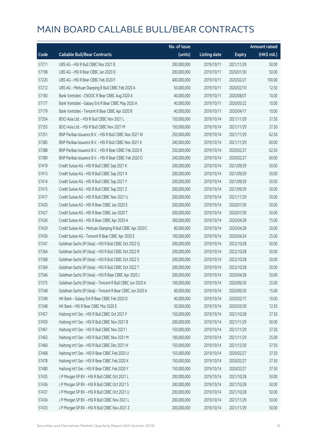|       |                                                            | No. of issue |                     |               | <b>Amount raised</b> |
|-------|------------------------------------------------------------|--------------|---------------------|---------------|----------------------|
| Code  | <b>Callable Bull/Bear Contracts</b>                        | (units)      | <b>Listing date</b> | <b>Expiry</b> | (HK\$ mil.)          |
| 57211 | UBS AG - HSI R Bull CBBC Nov 2021 B                        | 200,000,000  | 2019/10/11          | 2021/11/29    | 50.00                |
| 57198 | UBS AG - HSI R Bear CBBC Jan 2020 D                        | 200,000,000  | 2019/10/11          | 2020/01/30    | 50.00                |
| 57220 | UBS AG - HSI R Bear CBBC Feb 2020 F                        | 400,000,000  | 2019/10/11          | 2020/02/27    | 100.00               |
| 57212 | UBS AG - Meituan Dianping R Bull CBBC Feb 2020 A           | 50,000,000   | 2019/10/11          | 2020/02/10    | 12.50                |
| 57183 | Bank Vontobel - CNOOC R Bear CBBC Aug 2020 A               | 40,000,000   | 2019/10/11          | 2020/08/07    | 10.00                |
| 57177 | Bank Vontobel - Galaxy Ent R Bear CBBC May 2020 A          | 40,000,000   | 2019/10/11          | 2020/05/22    | 10.00                |
| 57179 | Bank Vontobel - Tencent R Bear CBBC Apr 2020 B             | 40,000,000   | 2019/10/11          | 2020/04/17    | 10.00                |
| 57354 | BOCI Asia Ltd. - HSI R Bull CBBC Nov 2021 L                | 150,000,000  | 2019/10/14          | 2021/11/29    | 37.50                |
| 57355 | BOCI Asia Ltd. - HSI R Bull CBBC Nov 2021 M                | 150,000,000  | 2019/10/14          | 2021/11/29    | 37.50                |
| 57351 | BNP Paribas Issuance B.V. - HSI R Bull CBBC Nov 2021 W     | 250,000,000  | 2019/10/14          | 2021/11/29    | 62.50                |
| 57385 | BNP Paribas Issuance B.V. - HSI R Bull CBBC Nov 2021 X     | 240,000,000  | 2019/10/14          | 2021/11/29    | 60.00                |
| 57388 | BNP Paribas Issuance B.V. - HSI R Bear CBBC Feb 2020 K     | 250,000,000  | 2019/10/14          | 2020/02/27    | 62.50                |
| 57389 | BNP Paribas Issuance B.V. - HSI R Bear CBBC Feb 2020 O     | 240,000,000  | 2019/10/14          | 2020/02/27    | 60.00                |
| 57419 | Credit Suisse AG - HSI R Bull CBBC Sep 2021 K              | 200,000,000  | 2019/10/14          | 2021/09/29    | 50.00                |
| 57413 | Credit Suisse AG - HSI R Bull CBBC Sep 2021 X              | 200,000,000  | 2019/10/14          | 2021/09/29    | 50.00                |
| 57414 | Credit Suisse AG - HSI R Bull CBBC Sep 2021 Y              | 200,000,000  | 2019/10/14          | 2021/09/29    | 50.00                |
| 57415 | Credit Suisse AG - HSI R Bull CBBC Sep 2021 Z              | 200,000,000  | 2019/10/14          | 2021/09/29    | 50.00                |
| 57417 | Credit Suisse AG - HSI R Bull CBBC Nov 2021 U              | 200,000,000  | 2019/10/14          | 2021/11/29    | 50.00                |
| 57420 | Credit Suisse AG - HSI R Bear CBBC Jan 2020 E              | 200,000,000  | 2019/10/14          | 2020/01/30    | 50.00                |
| 57427 | Credit Suisse AG - HSI R Bear CBBC Jan 2020 T              | 200,000,000  | 2019/10/14          | 2020/01/30    | 50.00                |
| 57426 | Credit Suisse AG - HSI R Bear CBBC Apr 2020 A              | 300,000,000  | 2019/10/14          | 2020/04/28    | 75.00                |
| 57429 | Credit Suisse AG - Meituan Dianping R Bull CBBC Apr 2020 C | 80,000,000   | 2019/10/14          | 2020/04/28    | 20.00                |
| 57430 | Credit Suisse AG - Tencent R Bear CBBC Apr 2020 E          | 100,000,000  | 2019/10/14          | 2020/04/24    | 25.00                |
| 57347 | Goldman Sachs SP (Asia) - HSI R Bull CBBC Oct 2022 Q       | 200,000,000  | 2019/10/14          | 2022/10/28    | 50.00                |
| 57364 | Goldman Sachs SP (Asia) - HSI R Bull CBBC Oct 2022 R       | 200,000,000  | 2019/10/14          | 2022/10/28    | 50.00                |
| 57368 | Goldman Sachs SP (Asia) - HSI R Bull CBBC Oct 2022 S       | 200,000,000  | 2019/10/14          | 2022/10/28    | 50.00                |
| 57369 | Goldman Sachs SP (Asia) - HSI R Bull CBBC Oct 2022 T       | 200,000,000  | 2019/10/14          | 2022/10/28    | 50.00                |
| 57546 | Goldman Sachs SP (Asia) - HSI R Bear CBBC Apr 2020 J       | 200,000,000  | 2019/10/14          | 2020/04/28    | 50.00                |
| 57375 | Goldman Sachs SP (Asia) - Tencent R Bull CBBC Jun 2020 A   | 100,000,000  | 2019/10/14          | 2020/06/30    | 25.00                |
| 57548 | Goldman Sachs SP (Asia) - Tencent R Bear CBBC Jun 2020 A   | 60,000,000   | 2019/10/14          | 2020/06/30    | 15.00                |
| 57349 | HK Bank - Galaxy Ent R Bear CBBC Feb 2020 D                | 40,000,000   | 2019/10/14          | 2020/02/17    | 10.00                |
| 57348 | HK Bank - HSI R Bear CBBC Mar 2020 E                       | 50,000,000   | 2019/10/14          | 2020/03/30    | 12.50                |
| 57457 | Haitong Int'l Sec - HSI R Bull CBBC Oct 2021 F             | 150,000,000  | 2019/10/14          | 2021/10/28    | 37.50                |
| 57459 | Haitong Int'l Sec - HSI R Bull CBBC Nov 2021 B             | 200,000,000  | 2019/10/14          | 2021/11/29    | 50.00                |
| 57461 | Haitong Int'l Sec - HSI R Bull CBBC Nov 2021 I             | 150,000,000  | 2019/10/14          | 2021/11/29    | 37.50                |
| 57463 | Haitong Int'l Sec - HSI R Bull CBBC Nov 2021 M             | 100,000,000  | 2019/10/14          | 2021/11/29    | 25.00                |
| 57460 | Haitong Int'l Sec - HSI R Bull CBBC Dec 2021 H             | 150,000,000  | 2019/10/14          | 2021/12/30    | 37.50                |
| 57468 | Haitong Int'l Sec - HSI R Bear CBBC Feb 2020 U             | 150,000,000  | 2019/10/14          | 2020/02/27    | 37.50                |
| 57478 | Haitong Int'l Sec - HSI R Bear CBBC Feb 2020 X             | 150,000,000  | 2019/10/14          | 2020/02/27    | 37.50                |
| 57480 | Haitong Int'l Sec - HSI R Bear CBBC Feb 2020 Y             | 150,000,000  | 2019/10/14          | 2020/02/27    | 37.50                |
| 57435 | J P Morgan SP BV - HSI R Bull CBBC Oct 2021 L              | 200,000,000  | 2019/10/14          | 2021/10/28    | 50.00                |
| 57436 | J P Morgan SP BV - HSI R Bull CBBC Oct 2021 S              | 200,000,000  | 2019/10/14          | 2021/10/28    | 50.00                |
| 57437 | J P Morgan SP BV - HSI R Bull CBBC Oct 2021 U              | 200,000,000  | 2019/10/14          | 2021/10/28    | 50.00                |
| 57434 | J P Morgan SP BV - HSI R Bull CBBC Nov 2021 L              | 200,000,000  | 2019/10/14          | 2021/11/29    | 50.00                |
| 57433 | J P Morgan SP BV - HSI R Bull CBBC Nov 2021 Z              | 200,000,000  | 2019/10/14          | 2021/11/29    | 50.00                |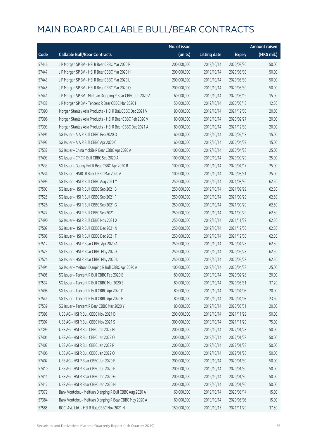|       |                                                            | No. of issue |                     |               | <b>Amount raised</b> |
|-------|------------------------------------------------------------|--------------|---------------------|---------------|----------------------|
| Code  | <b>Callable Bull/Bear Contracts</b>                        | (units)      | <b>Listing date</b> | <b>Expiry</b> | (HK\$ mil.)          |
| 57446 | J P Morgan SP BV - HSI R Bear CBBC Mar 2020 F              | 200,000,000  | 2019/10/14          | 2020/03/30    | 50.00                |
| 57447 | J P Morgan SP BV - HSI R Bear CBBC Mar 2020 H              | 200,000,000  | 2019/10/14          | 2020/03/30    | 50.00                |
| 57443 | J P Morgan SP BV - HSI R Bear CBBC Mar 2020 L              | 200,000,000  | 2019/10/14          | 2020/03/30    | 50.00                |
| 57445 | J P Morgan SP BV - HSI R Bear CBBC Mar 2020 Q              | 200,000,000  | 2019/10/14          | 2020/03/30    | 50.00                |
| 57441 | J P Morgan SP BV - Meituan Dianping R Bear CBBC Jun 2020 A | 60,000,000   | 2019/10/14          | 2020/06/19    | 15.00                |
| 57438 | J P Morgan SP BV - Tencent R Bear CBBC Mar 2020 I          | 50,000,000   | 2019/10/14          | 2020/03/13    | 12.50                |
| 57390 | Morgan Stanley Asia Products - HSI R Bull CBBC Dec 2021 V  | 80,000,000   | 2019/10/14          | 2021/12/30    | 20.00                |
| 57396 | Morgan Stanley Asia Products - HSI R Bear CBBC Feb 2020 V  | 80,000,000   | 2019/10/14          | 2020/02/27    | 20.00                |
| 57393 | Morgan Stanley Asia Products - HSI R Bear CBBC Dec 2021 A  | 80,000,000   | 2019/10/14          | 2021/12/30    | 20.00                |
| 57491 | SG Issuer - AIA R Bull CBBC Feb 2020 O                     | 60,000,000   | 2019/10/14          | 2020/02/18    | 15.00                |
| 57492 | SG Issuer - AIA R Bull CBBC Apr 2020 C                     | 60,000,000   | 2019/10/14          | 2020/04/29    | 15.00                |
| 57532 | SG Issuer - China Mobile R Bear CBBC Apr 2020 A            | 100,000,000  | 2019/10/14          | 2020/04/28    | 25.00                |
| 57493 | SG Issuer - CPIC R Bull CBBC Sep 2020 A                    | 100,000,000  | 2019/10/14          | 2020/09/29    | 25.00                |
| 57533 | SG Issuer - Galaxy Ent R Bear CBBC Apr 2020 B              | 100,000,000  | 2019/10/14          | 2020/04/17    | 25.00                |
| 57534 | SG Issuer - HSBC R Bear CBBC Mar 2020 A                    | 100,000,000  | 2019/10/14          | 2020/03/31    | 25.00                |
| 57499 | SG Issuer - HSI R Bull CBBC Aug 2021 Y                     | 250,000,000  | 2019/10/14          | 2021/08/30    | 62.50                |
| 57503 | SG Issuer - HSI R Bull CBBC Sep 2021 B                     | 250,000,000  | 2019/10/14          | 2021/09/29    | 62.50                |
| 57525 | SG Issuer - HSI R Bull CBBC Sep 2021 F                     | 250,000,000  | 2019/10/14          | 2021/09/29    | 62.50                |
| 57526 | SG Issuer - HSI R Bull CBBC Sep 2021 G                     | 250,000,000  | 2019/10/14          | 2021/09/29    | 62.50                |
| 57527 | SG Issuer - HSI R Bull CBBC Sep 2021 L                     | 250,000,000  | 2019/10/14          | 2021/09/29    | 62.50                |
| 57490 | SG Issuer - HSI R Bull CBBC Nov 2021 X                     | 250,000,000  | 2019/10/14          | 2021/11/29    | 62.50                |
| 57507 | SG Issuer - HSI R Bull CBBC Dec 2021 N                     | 250,000,000  | 2019/10/14          | 2021/12/30    | 62.50                |
| 57508 | SG Issuer - HSI R Bull CBBC Dec 2021 T                     | 250,000,000  | 2019/10/14          | 2021/12/30    | 62.50                |
| 57512 | SG Issuer - HSI R Bear CBBC Apr 2020 A                     | 250,000,000  | 2019/10/14          | 2020/04/28    | 62.50                |
| 57523 | SG Issuer - HSI R Bear CBBC May 2020 C                     | 250,000,000  | 2019/10/14          | 2020/05/28    | 62.50                |
| 57524 | SG Issuer - HSI R Bear CBBC May 2020 D                     | 250,000,000  | 2019/10/14          | 2020/05/28    | 62.50                |
| 57494 | SG Issuer - Meituan Dianping R Bull CBBC Apr 2020 A        | 100,000,000  | 2019/10/14          | 2020/04/28    | 25.00                |
| 57495 | SG Issuer - Tencent R Bull CBBC Feb 2020 E                 | 80,000,000   | 2019/10/14          | 2020/02/28    | 20.00                |
| 57537 | SG Issuer - Tencent R Bull CBBC Mar 2020 S                 | 80,000,000   | 2019/10/14          | 2020/03/31    | 37.20                |
| 57498 | SG Issuer - Tencent R Bull CBBC Apr 2020 D                 | 80,000,000   | 2019/10/14          | 2020/04/03    | 20.00                |
| 57545 | SG Issuer - Tencent R Bull CBBC Apr 2020 E                 | 80,000,000   | 2019/10/14          | 2020/04/03    | 23.60                |
| 57539 | SG Issuer - Tencent R Bear CBBC Mar 2020 Y                 | 80,000,000   | 2019/10/14          | 2020/03/31    | 20.00                |
| 57398 | UBS AG - HSI R Bull CBBC Nov 2021 D                        | 200,000,000  | 2019/10/14          | 2021/11/29    | 50.00                |
| 57397 | UBS AG - HSI R Bull CBBC Nov 2021 S                        | 300,000,000  | 2019/10/14          | 2021/11/29    | 75.00                |
| 57399 | UBS AG - HSI R Bull CBBC Jan 2022 N                        | 200,000,000  | 2019/10/14          | 2022/01/28    | 50.00                |
| 57401 | UBS AG - HSI R Bull CBBC Jan 2022 O                        | 200,000,000  | 2019/10/14          | 2022/01/28    | 50.00                |
| 57402 | UBS AG - HSI R Bull CBBC Jan 2022 P                        | 200,000,000  | 2019/10/14          | 2022/01/28    | 50.00                |
| 57406 | UBS AG - HSI R Bull CBBC Jan 2022 Q                        | 200,000,000  | 2019/10/14          | 2022/01/28    | 50.00                |
| 57407 | UBS AG - HSI R Bear CBBC Jan 2020 E                        | 200,000,000  | 2019/10/14          | 2020/01/30    | 50.00                |
| 57410 | UBS AG - HSI R Bear CBBC Jan 2020 F                        | 200,000,000  | 2019/10/14          | 2020/01/30    | 50.00                |
| 57411 | UBS AG - HSI R Bear CBBC Jan 2020 G                        | 200,000,000  | 2019/10/14          | 2020/01/30    | 50.00                |
| 57412 | UBS AG - HSI R Bear CBBC Jan 2020 N                        | 200,000,000  | 2019/10/14          | 2020/01/30    | 50.00                |
| 57379 | Bank Vontobel - Meituan Dianping R Bull CBBC Aug 2020 A    | 60,000,000   | 2019/10/14          | 2020/08/14    | 15.00                |
| 57384 | Bank Vontobel - Meituan Dianping R Bear CBBC May 2020 A    | 60,000,000   | 2019/10/14          | 2020/05/08    | 15.00                |
| 57585 | BOCI Asia Ltd. - HSI R Bull CBBC Nov 2021 N                | 150,000,000  | 2019/10/15          | 2021/11/29    | 37.50                |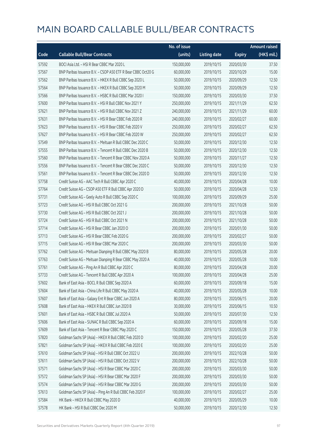|       |                                                              | No. of issue |                     |               | <b>Amount raised</b> |
|-------|--------------------------------------------------------------|--------------|---------------------|---------------|----------------------|
| Code  | <b>Callable Bull/Bear Contracts</b>                          | (units)      | <b>Listing date</b> | <b>Expiry</b> | (HK\$ mil.)          |
| 57592 | BOCI Asia Ltd. - HSI R Bear CBBC Mar 2020 L                  | 150,000,000  | 2019/10/15          | 2020/03/30    | 37.50                |
| 57567 | BNP Paribas Issuance B.V. - CSOP A50 ETF R Bear CBBC Oct20 G | 60,000,000   | 2019/10/15          | 2020/10/29    | 15.00                |
| 57562 | BNP Paribas Issuance B.V. - HKEX R Bull CBBC Sep 2020 L      | 50,000,000   | 2019/10/15          | 2020/09/29    | 12.50                |
| 57564 | BNP Paribas Issuance B.V. - HKEX R Bull CBBC Sep 2020 M      | 50,000,000   | 2019/10/15          | 2020/09/29    | 12.50                |
| 57566 | BNP Paribas Issuance B.V. - HSBC R Bull CBBC Mar 2020 I      | 150,000,000  | 2019/10/15          | 2020/03/30    | 37.50                |
| 57600 | BNP Paribas Issuance B.V. - HSI R Bull CBBC Nov 2021 Y       | 250,000,000  | 2019/10/15          | 2021/11/29    | 62.50                |
| 57621 | BNP Paribas Issuance B.V. - HSI R Bull CBBC Nov 2021 Z       | 240,000,000  | 2019/10/15          | 2021/11/29    | 60.00                |
| 57631 | BNP Paribas Issuance B.V. - HSI R Bear CBBC Feb 2020 R       | 240,000,000  | 2019/10/15          | 2020/02/27    | 60.00                |
| 57623 | BNP Paribas Issuance B.V. - HSI R Bear CBBC Feb 2020 V       | 250,000,000  | 2019/10/15          | 2020/02/27    | 62.50                |
| 57627 | BNP Paribas Issuance B.V. - HSI R Bear CBBC Feb 2020 W       | 250,000,000  | 2019/10/15          | 2020/02/27    | 62.50                |
| 57549 | BNP Paribas Issuance B.V. - Meituan R Bull CBBC Dec 2020 C   | 50,000,000   | 2019/10/15          | 2020/12/30    | 12.50                |
| 57555 | BNP Paribas Issuance B.V. - Tencent R Bull CBBC Dec 2020 B   | 50,000,000   | 2019/10/15          | 2020/12/30    | 12.50                |
| 57560 | BNP Paribas Issuance B.V. - Tencent R Bear CBBC Nov 2020 A   | 50,000,000   | 2019/10/15          | 2020/11/27    | 12.50                |
| 57556 | BNP Paribas Issuance B.V. - Tencent R Bear CBBC Dec 2020 C   | 50,000,000   | 2019/10/15          | 2020/12/30    | 12.50                |
| 57561 | BNP Paribas Issuance B.V. - Tencent R Bear CBBC Dec 2020 D   | 50,000,000   | 2019/10/15          | 2020/12/30    | 12.50                |
| 57758 | Credit Suisse AG - AAC Tech R Bull CBBC Apr 2020 C           | 40,000,000   | 2019/10/15          | 2020/04/28    | 10.00                |
| 57764 | Credit Suisse AG - CSOP A50 ETF R Bull CBBC Apr 2020 D       | 50,000,000   | 2019/10/15          | 2020/04/28    | 12.50                |
| 57731 | Credit Suisse AG - Geely Auto R Bull CBBC Sep 2020 C         | 100,000,000  | 2019/10/15          | 2020/09/29    | 25.00                |
| 57723 | Credit Suisse AG - HSI R Bull CBBC Oct 2021 G                | 200,000,000  | 2019/10/15          | 2021/10/28    | 50.00                |
| 57730 | Credit Suisse AG - HSI R Bull CBBC Oct 2021 J                | 200,000,000  | 2019/10/15          | 2021/10/28    | 50.00                |
| 57724 | Credit Suisse AG - HSI R Bull CBBC Oct 2021 N                | 200,000,000  | 2019/10/15          | 2021/10/28    | 50.00                |
| 57714 | Credit Suisse AG - HSI R Bear CBBC Jan 2020 O                | 200,000,000  | 2019/10/15          | 2020/01/30    | 50.00                |
| 57713 | Credit Suisse AG - HSI R Bear CBBC Feb 2020 G                | 200,000,000  | 2019/10/15          | 2020/02/27    | 50.00                |
| 57715 | Credit Suisse AG - HSI R Bear CBBC Mar 2020 C                | 200,000,000  | 2019/10/15          | 2020/03/30    | 50.00                |
| 57762 | Credit Suisse AG - Meituan Dianping R Bull CBBC May 2020 B   | 80,000,000   | 2019/10/15          | 2020/05/28    | 20.00                |
| 57763 | Credit Suisse AG - Meituan Dianping R Bear CBBC May 2020 A   | 40,000,000   | 2019/10/15          | 2020/05/28    | 10.00                |
| 57761 | Credit Suisse AG - Ping An R Bull CBBC Apr 2020 C            | 80,000,000   | 2019/10/15          | 2020/04/28    | 20.00                |
| 57733 | Credit Suisse AG - Tencent R Bull CBBC Apr 2020 A            | 100,000,000  | 2019/10/15          | 2020/04/28    | 25.00                |
| 57602 | Bank of East Asia - BOCL R Bull CBBC Sep 2020 A              | 60,000,000   | 2019/10/15          | 2020/09/18    | 15.00                |
| 57604 | Bank of East Asia - China Life R Bull CBBC May 2020 A        | 40,000,000   | 2019/10/15          | 2020/05/28    | 10.00                |
| 57607 | Bank of East Asia - Galaxy Ent R Bear CBBC Jun 2020 A        | 80,000,000   | 2019/10/15          | 2020/06/15    | 20.00                |
| 57608 | Bank of East Asia - HKEX R Bull CBBC Jun 2020 B              | 30,000,000   | 2019/10/15          | 2020/06/15    | 10.50                |
| 57601 | Bank of East Asia - HSBC R Bull CBBC Jul 2020 A              | 50,000,000   | 2019/10/15          | 2020/07/30    | 12.50                |
| 57606 | Bank of East Asia - SUNAC R Bull CBBC Sep 2020 A             | 60,000,000   | 2019/10/15          | 2020/09/18    | 15.00                |
| 57609 | Bank of East Asia - Tencent R Bear CBBC May 2020 C           | 150,000,000  | 2019/10/15          | 2020/05/28    | 37.50                |
| 57820 | Goldman Sachs SP (Asia) - HKEX R Bull CBBC Feb 2020 D        | 100,000,000  | 2019/10/15          | 2020/02/20    | 25.00                |
| 57821 | Goldman Sachs SP (Asia) - HKEX R Bull CBBC Feb 2020 E        | 100,000,000  | 2019/10/15          | 2020/02/20    | 25.00                |
| 57610 | Goldman Sachs SP (Asia) - HSI R Bull CBBC Oct 2022 U         | 200,000,000  | 2019/10/15          | 2022/10/28    | 50.00                |
| 57611 | Goldman Sachs SP (Asia) - HSI R Bull CBBC Oct 2022 V         | 200,000,000  | 2019/10/15          | 2022/10/28    | 50.00                |
| 57571 | Goldman Sachs SP (Asia) - HSI R Bear CBBC Mar 2020 C         | 200,000,000  | 2019/10/15          | 2020/03/30    | 50.00                |
| 57572 | Goldman Sachs SP (Asia) - HSI R Bear CBBC Mar 2020 F         | 200,000,000  | 2019/10/15          | 2020/03/30    | 50.00                |
| 57574 | Goldman Sachs SP (Asia) - HSI R Bear CBBC Mar 2020 G         | 200,000,000  | 2019/10/15          | 2020/03/30    | 50.00                |
| 57613 | Goldman Sachs SP (Asia) - Ping An R Bull CBBC Feb 2020 F     | 100,000,000  | 2019/10/15          | 2020/02/27    | 25.00                |
| 57584 | HK Bank - HKEX R Bull CBBC May 2020 D                        | 40,000,000   | 2019/10/15          | 2020/05/29    | 10.00                |
| 57578 | HK Bank - HSI R Bull CBBC Dec 2020 M                         | 50,000,000   | 2019/10/15          | 2020/12/30    | 12.50                |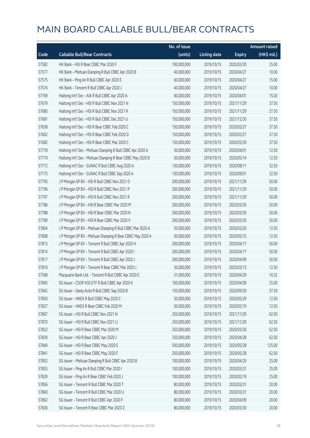|       |                                                             | No. of issue |                     |               | <b>Amount raised</b> |
|-------|-------------------------------------------------------------|--------------|---------------------|---------------|----------------------|
| Code  | <b>Callable Bull/Bear Contracts</b>                         | (units)      | <b>Listing date</b> | <b>Expiry</b> | $(HK$$ mil.)         |
| 57582 | HK Bank - HSI R Bear CBBC Mar 2020 F                        | 100,000,000  | 2019/10/15          | 2020/03/30    | 25.00                |
| 57577 | HK Bank - Meituan Dianping R Bull CBBC Apr 2020 B           | 40,000,000   | 2019/10/15          | 2020/04/27    | 10.00                |
| 57575 | HK Bank - Ping An R Bull CBBC Apr 2020 E                    | 60,000,000   | 2019/10/15          | 2020/04/27    | 15.00                |
| 57576 | HK Bank - Tencent R Bull CBBC Apr 2020 J                    | 40,000,000   | 2019/10/15          | 2020/04/27    | 10.00                |
| 57769 | Haitong Int'l Sec - AIA R Bull CBBC Apr 2020 A              | 60,000,000   | 2019/10/15          | 2020/04/01    | 15.00                |
| 57679 | Haitong Int'l Sec - HSI R Bull CBBC Nov 2021 N              | 150,000,000  | 2019/10/15          | 2021/11/29    | 37.50                |
| 57680 | Haitong Int'l Sec - HSI R Bull CBBC Nov 2021 R              | 150,000,000  | 2019/10/15          | 2021/11/29    | 37.50                |
| 57681 | Haitong Int'l Sec - HSI R Bull CBBC Dec 2021 U              | 150,000,000  | 2019/10/15          | 2021/12/30    | 37.50                |
| 57658 | Haitong Int'l Sec - HSI R Bear CBBC Feb 2020 C              | 150,000,000  | 2019/10/15          | 2020/02/27    | 37.50                |
| 57662 | Haitong Int'l Sec - HSI R Bear CBBC Feb 2020 D              | 150,000,000  | 2019/10/15          | 2020/02/27    | 37.50                |
| 57682 | Haitong Int'l Sec - HSI R Bear CBBC Mar 2020 C              | 150,000,000  | 2019/10/15          | 2020/03/30    | 37.50                |
| 57778 | Haitong Int'l Sec - Meituan Dianping R Bull CBBC Apr 2020 A | 50,000,000   | 2019/10/15          | 2020/04/01    | 12.50                |
| 57779 | Haitong Int'l Sec - Meituan Dianping R Bear CBBC May 2020 B | 50,000,000   | 2019/10/15          | 2020/05/14    | 12.50                |
| 57772 | Haitong Int'l Sec - SUNAC R Bull CBBC Aug 2020 A            | 130,000,000  | 2019/10/15          | 2020/08/11    | 32.50                |
| 57775 | Haitong Int'l Sec - SUNAC R Bull CBBC Sep 2020 A            | 130,000,000  | 2019/10/15          | 2020/09/01    | 32.50                |
| 57795 | J P Morgan SP BV - HSI R Bull CBBC Nov 2021 O               | 200,000,000  | 2019/10/15          | 2021/11/29    | 50.00                |
| 57796 | J P Morgan SP BV - HSI R Bull CBBC Nov 2021 P               | 200,000,000  | 2019/10/15          | 2021/11/29    | 50.00                |
| 57797 | J P Morgan SP BV - HSI R Bull CBBC Nov 2021 R               | 200,000,000  | 2019/10/15          | 2021/11/29    | 50.00                |
| 57786 | J P Morgan SP BV - HSI R Bear CBBC Mar 2020 M               | 200,000,000  | 2019/10/15          | 2020/03/30    | 50.00                |
| 57788 | J P Morgan SP BV - HSI R Bear CBBC Mar 2020 N               | 200,000,000  | 2019/10/15          | 2020/03/30    | 50.00                |
| 57789 | J P Morgan SP BV - HSI R Bear CBBC Mar 2020 V               | 200,000,000  | 2019/10/15          | 2020/03/30    | 50.00                |
| 57804 | J P Morgan SP BV - Meituan Dianping R Bull CBBC Mar 2020 A  | 50,000,000   | 2019/10/15          | 2020/03/20    | 12.50                |
| 57808 | J P Morgan SP BV - Meituan Dianping R Bear CBBC May 2020 A  | 50,000,000   | 2019/10/15          | 2020/05/15    | 12.50                |
| 57813 | J P Morgan SP BV - Tencent R Bull CBBC Apr 2020 H           | 200,000,000  | 2019/10/15          | 2020/04/17    | 50.00                |
| 57814 | J P Morgan SP BV - Tencent R Bull CBBC Apr 2020 I           | 200,000,000  | 2019/10/15          | 2020/04/17    | 50.00                |
| 57817 | J P Morgan SP BV - Tencent R Bull CBBC Apr 2020 J           | 200,000,000  | 2019/10/15          | 2020/04/09    | 50.00                |
| 57810 | J P Morgan SP BV - Tencent R Bear CBBC Mar 2020 J           | 50,000,000   | 2019/10/15          | 2020/03/13    | 12.50                |
| 57568 | Macquarie Bank Ltd. - Tencent R Bull CBBC Apr 2020 E        | 31,000,000   | 2019/10/15          | 2020/04/29    | 10.32                |
| 57865 | SG Issuer - CSOP A50 ETF R Bull CBBC Apr 2020 K             | 100,000,000  | 2019/10/15          | 2020/04/09    | 25.00                |
| 57842 | SG Issuer - Geely Auto R Bull CBBC Sep 2020 B               | 150,000,000  | 2019/10/15          | 2020/09/30    | 37.50                |
| 57850 | SG Issuer - HKEX R Bull CBBC May 2020 C                     | 50,000,000   | 2019/10/15          | 2020/05/29    | 12.50                |
| 57827 | SG Issuer - HKEX R Bear CBBC Feb 2020 M                     | 50,000,000   | 2019/10/15          | 2020/02/19    | 12.50                |
| 57867 | SG Issuer - HSI R Bull CBBC Nov 2021 N                      | 250,000,000  | 2019/10/15          | 2021/11/29    | 62.50                |
| 57870 | SG Issuer - HSI R Bull CBBC Nov 2021 U                      | 250,000,000  | 2019/10/15          | 2021/11/29    | 62.50                |
| 57832 | SG Issuer - HSI R Bear CBBC Mar 2020 M                      | 250,000,000  | 2019/10/15          | 2020/03/30    | 62.50                |
| 57839 | SG Issuer - HSI R Bear CBBC Apr 2020 J                      | 250,000,000  | 2019/10/15          | 2020/04/28    | 62.50                |
| 57840 | SG Issuer - HSI R Bear CBBC May 2020 E                      | 500,000,000  | 2019/10/15          | 2020/05/28    | 125.00               |
| 57841 | SG Issuer - HSI R Bear CBBC May 2020 F                      | 250,000,000  | 2019/10/15          | 2020/05/28    | 62.50                |
| 57852 | SG Issuer - Meituan Dianping R Bull CBBC Apr 2020 B         | 100,000,000  | 2019/10/15          | 2020/04/29    | 25.00                |
| 57855 | SG Issuer - Ping An R Bull CBBC Mar 2020 I                  | 100,000,000  | 2019/10/15          | 2020/03/31    | 25.00                |
| 57829 | SG Issuer - Ping An R Bear CBBC Feb 2020 J                  | 100,000,000  | 2019/10/15          | 2020/02/19    | 25.00                |
| 57856 | SG Issuer - Tencent R Bull CBBC Mar 2020 T                  | 80,000,000   | 2019/10/15          | 2020/03/31    | 20.00                |
| 57860 | SG Issuer - Tencent R Bull CBBC Mar 2020 U                  | 80,000,000   | 2019/10/15          | 2020/03/31    | 20.00                |
| 57862 | SG Issuer - Tencent R Bull CBBC Apr 2020 F                  | 80,000,000   | 2019/10/15          | 2020/04/09    | 20.00                |
| 57830 | SG Issuer - Tencent R Bear CBBC Mar 2020 Z                  | 80,000,000   | 2019/10/15          | 2020/03/30    | 20.00                |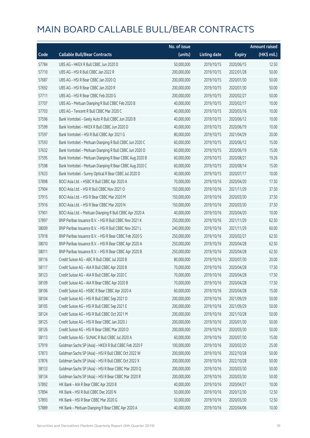|       |                                                          | No. of issue |                     |               | <b>Amount raised</b> |
|-------|----------------------------------------------------------|--------------|---------------------|---------------|----------------------|
| Code  | <b>Callable Bull/Bear Contracts</b>                      | (units)      | <b>Listing date</b> | <b>Expiry</b> | (HK\$ mil.)          |
| 57784 | UBS AG - HKEX R Bull CBBC Jun 2020 D                     | 50,000,000   | 2019/10/15          | 2020/06/15    | 12.50                |
| 57710 | UBS AG - HSI R Bull CBBC Jan 2022 R                      | 200,000,000  | 2019/10/15          | 2022/01/28    | 50.00                |
| 57687 | UBS AG - HSI R Bear CBBC Jan 2020 Q                      | 200,000,000  | 2019/10/15          | 2020/01/30    | 50.00                |
| 57692 | UBS AG - HSI R Bear CBBC Jan 2020 R                      | 200,000,000  | 2019/10/15          | 2020/01/30    | 50.00                |
| 57711 | UBS AG - HSI R Bear CBBC Feb 2020 G                      | 200,000,000  | 2019/10/15          | 2020/02/27    | 50.00                |
| 57707 | UBS AG - Meituan Dianping R Bull CBBC Feb 2020 B         | 40,000,000   | 2019/10/15          | 2020/02/17    | 10.00                |
| 57703 | UBS AG - Tencent R Bull CBBC Mar 2020 C                  | 40,000,000   | 2019/10/15          | 2020/03/16    | 10.00                |
| 57596 | Bank Vontobel - Geely Auto R Bull CBBC Jun 2020 B        | 40,000,000   | 2019/10/15          | 2020/06/12    | 10.00                |
| 57599 | Bank Vontobel - HKEX R Bull CBBC Jun 2020 D              | 40,000,000   | 2019/10/15          | 2020/06/19    | 10.00                |
| 57597 | Bank Vontobel - HSI R Bull CBBC Apr 2021 G               | 80,000,000   | 2019/10/15          | 2021/04/29    | 20.00                |
| 57593 | Bank Vontobel - Meituan Dianping R Bull CBBC Jun 2020 C  | 60,000,000   | 2019/10/15          | 2020/06/12    | 15.00                |
| 57632 | Bank Vontobel - Meituan Dianping R Bull CBBC Jun 2020 D  | 60,000,000   | 2019/10/15          | 2020/06/19    | 15.00                |
| 57595 | Bank Vontobel - Meituan Dianping R Bear CBBC Aug 2020 B  | 60,000,000   | 2019/10/15          | 2020/08/21    | 19.26                |
| 57598 | Bank Vontobel - Meituan Dianping R Bear CBBC Aug 2020 C  | 60,000,000   | 2019/10/15          | 2020/08/14    | 15.00                |
| 57633 | Bank Vontobel - Sunny Optical R Bear CBBC Jul 2020 D     | 40,000,000   | 2019/10/15          | 2020/07/17    | 10.00                |
| 57898 | BOCI Asia Ltd. - HSBC R Bull CBBC Apr 2020 A             | 70,000,000   | 2019/10/16          | 2020/04/20    | 17.50                |
| 57904 | BOCI Asia Ltd. - HSI R Bull CBBC Nov 2021 O              | 150,000,000  | 2019/10/16          | 2021/11/29    | 37.50                |
| 57915 | BOCI Asia Ltd. - HSI R Bear CBBC Mar 2020 M              | 150,000,000  | 2019/10/16          | 2020/03/30    | 37.50                |
| 57916 | BOCI Asia Ltd. - HSI R Bear CBBC Mar 2020 N              | 150,000,000  | 2019/10/16          | 2020/03/30    | 37.50                |
| 57901 | BOCI Asia Ltd. - Meituan Dianping R Bull CBBC Apr 2020 A | 40,000,000   | 2019/10/16          | 2020/04/20    | 10.00                |
| 57897 | BNP Paribas Issuance B.V. - HSI R Bull CBBC Nov 2021 K   | 250,000,000  | 2019/10/16          | 2021/11/29    | 62.50                |
| 58009 | BNP Paribas Issuance B.V. - HSI R Bull CBBC Nov 2021 L   | 240,000,000  | 2019/10/16          | 2021/11/29    | 60.00                |
| 57918 | BNP Paribas Issuance B.V. - HSI R Bear CBBC Feb 2020 S   | 250,000,000  | 2019/10/16          | 2020/02/27    | 62.50                |
| 58010 | BNP Paribas Issuance B.V. - HSI R Bear CBBC Apr 2020 A   | 250,000,000  | 2019/10/16          | 2020/04/28    | 62.50                |
| 58011 | BNP Paribas Issuance B.V. - HSI R Bear CBBC Apr 2020 B   | 250,000,000  | 2019/10/16          | 2020/04/28    | 62.50                |
| 58116 | Credit Suisse AG - ABC R Bull CBBC Jul 2020 B            | 80,000,000   | 2019/10/16          | 2020/07/30    | 20.00                |
| 58117 | Credit Suisse AG - AIA R Bull CBBC Apr 2020 B            | 70,000,000   | 2019/10/16          | 2020/04/28    | 17.50                |
| 58123 | Credit Suisse AG - AIA R Bull CBBC Apr 2020 C            | 70,000,000   | 2019/10/16          | 2020/04/28    | 17.50                |
| 58109 | Credit Suisse AG - AIA R Bear CBBC Apr 2020 B            | 70,000,000   | 2019/10/16          | 2020/04/28    | 17.50                |
| 58106 | Credit Suisse AG - HSBC R Bear CBBC Apr 2020 A           | 60,000,000   | 2019/10/16          | 2020/04/28    | 15.00                |
| 58104 | Credit Suisse AG - HSI R Bull CBBC Sep 2021 D            | 200,000,000  | 2019/10/16          | 2021/09/29    | 50.00                |
| 58105 | Credit Suisse AG - HSI R Bull CBBC Sep 2021 E            | 200,000,000  | 2019/10/16          | 2021/09/29    | 50.00                |
| 58124 | Credit Suisse AG - HSI R Bull CBBC Oct 2021 M            | 200,000,000  | 2019/10/16          | 2021/10/28    | 50.00                |
| 58125 | Credit Suisse AG - HSI R Bear CBBC Jan 2020 J            | 200,000,000  | 2019/10/16          | 2020/01/30    | 50.00                |
| 58126 | Credit Suisse AG - HSI R Bear CBBC Mar 2020 D            | 200,000,000  | 2019/10/16          | 2020/03/30    | 50.00                |
| 58113 | Credit Suisse AG - SUNAC R Bull CBBC Jul 2020 A          | 60,000,000   | 2019/10/16          | 2020/07/30    | 15.00                |
| 57919 | Goldman Sachs SP (Asia) - HKEX R Bull CBBC Feb 2020 F    | 100,000,000  | 2019/10/16          | 2020/02/20    | 25.00                |
| 57873 | Goldman Sachs SP (Asia) - HSI R Bull CBBC Oct 2022 W     | 200,000,000  | 2019/10/16          | 2022/10/28    | 50.00                |
| 57876 | Goldman Sachs SP (Asia) - HSI R Bull CBBC Oct 2022 X     | 200,000,000  | 2019/10/16          | 2022/10/28    | 50.00                |
| 58133 | Goldman Sachs SP (Asia) - HSI R Bear CBBC Mar 2020 Q     | 200,000,000  | 2019/10/16          | 2020/03/30    | 50.00                |
| 58134 | Goldman Sachs SP (Asia) - HSI R Bear CBBC Mar 2020 R     | 200,000,000  | 2019/10/16          | 2020/03/30    | 50.00                |
| 57892 | HK Bank - AIA R Bear CBBC Apr 2020 B                     | 40,000,000   | 2019/10/16          | 2020/04/27    | 10.00                |
| 57894 | HK Bank - HSI R Bull CBBC Dec 2020 N                     | 50,000,000   | 2019/10/16          | 2020/12/30    | 12.50                |
| 57893 | HK Bank - HSI R Bear CBBC Mar 2020 G                     | 50,000,000   | 2019/10/16          | 2020/03/30    | 12.50                |
| 57889 | HK Bank - Meituan Dianping R Bear CBBC Apr 2020 A        | 40,000,000   | 2019/10/16          | 2020/04/06    | 10.00                |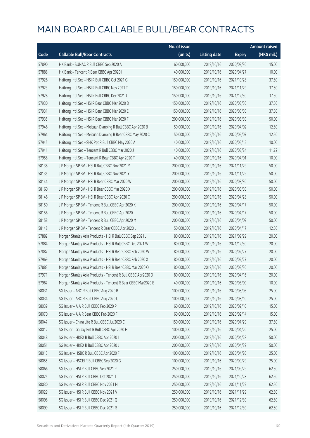|       |                                                              | No. of issue |                     |               | <b>Amount raised</b> |
|-------|--------------------------------------------------------------|--------------|---------------------|---------------|----------------------|
| Code  | <b>Callable Bull/Bear Contracts</b>                          | (units)      | <b>Listing date</b> | <b>Expiry</b> | (HK\$ mil.)          |
| 57890 | HK Bank - SUNAC R Bull CBBC Sep 2020 A                       | 60,000,000   | 2019/10/16          | 2020/09/30    | 15.00                |
| 57888 | HK Bank - Tencent R Bear CBBC Apr 2020 I                     | 40,000,000   | 2019/10/16          | 2020/04/27    | 10.00                |
| 57926 | Haitong Int'l Sec - HSI R Bull CBBC Oct 2021 G               | 150,000,000  | 2019/10/16          | 2021/10/28    | 37.50                |
| 57923 | Haitong Int'l Sec - HSI R Bull CBBC Nov 2021 T               | 150,000,000  | 2019/10/16          | 2021/11/29    | 37.50                |
| 57928 | Haitong Int'l Sec - HSI R Bull CBBC Dec 2021 J               | 150,000,000  | 2019/10/16          | 2021/12/30    | 37.50                |
| 57930 | Haitong Int'l Sec - HSI R Bear CBBC Mar 2020 D               | 150,000,000  | 2019/10/16          | 2020/03/30    | 37.50                |
| 57931 | Haitong Int'l Sec - HSI R Bear CBBC Mar 2020 E               | 150,000,000  | 2019/10/16          | 2020/03/30    | 37.50                |
| 57935 | Haitong Int'l Sec - HSI R Bear CBBC Mar 2020 F               | 200,000,000  | 2019/10/16          | 2020/03/30    | 50.00                |
| 57946 | Haitong Int'l Sec - Meituan Dianping R Bull CBBC Apr 2020 B  | 50,000,000   | 2019/10/16          | 2020/04/02    | 12.50                |
| 57964 | Haitong Int'l Sec - Meituan Dianping R Bear CBBC May 2020 C  | 50,000,000   | 2019/10/16          | 2020/05/07    | 12.50                |
| 57945 | Haitong Int'l Sec - SHK Ppt R Bull CBBC May 2020 A           | 40,000,000   | 2019/10/16          | 2020/05/15    | 10.00                |
| 57941 | Haitong Int'l Sec - Tencent R Bull CBBC Mar 2020 J           | 40,000,000   | 2019/10/16          | 2020/03/24    | 11.72                |
| 57958 | Haitong Int'l Sec - Tencent R Bear CBBC Apr 2020 T           | 40,000,000   | 2019/10/16          | 2020/04/01    | 10.00                |
| 58138 | J P Morgan SP BV - HSI R Bull CBBC Nov 2021 M                | 200,000,000  | 2019/10/16          | 2021/11/29    | 50.00                |
| 58135 | J P Morgan SP BV - HSI R Bull CBBC Nov 2021 Y                | 200,000,000  | 2019/10/16          | 2021/11/29    | 50.00                |
| 58144 | J P Morgan SP BV - HSI R Bear CBBC Mar 2020 W                | 200,000,000  | 2019/10/16          | 2020/03/30    | 50.00                |
| 58160 | J P Morgan SP BV - HSI R Bear CBBC Mar 2020 X                | 200,000,000  | 2019/10/16          | 2020/03/30    | 50.00                |
| 58146 | J P Morgan SP BV - HSI R Bear CBBC Apr 2020 C                | 200,000,000  | 2019/10/16          | 2020/04/28    | 50.00                |
| 58150 | J P Morgan SP BV - Tencent R Bull CBBC Apr 2020 K            | 200,000,000  | 2019/10/16          | 2020/04/17    | 50.00                |
| 58156 | J P Morgan SP BV - Tencent R Bull CBBC Apr 2020 L            | 200,000,000  | 2019/10/16          | 2020/04/17    | 50.00                |
| 58158 | J P Morgan SP BV - Tencent R Bull CBBC Apr 2020 M            | 200,000,000  | 2019/10/16          | 2020/04/09    | 50.00                |
| 58148 | J P Morgan SP BV - Tencent R Bear CBBC Apr 2020 L            | 50,000,000   | 2019/10/16          | 2020/04/17    | 12.50                |
| 57882 | Morgan Stanley Asia Products - HSI R Bull CBBC Sep 2021 J    | 80,000,000   | 2019/10/16          | 2021/09/29    | 20.00                |
| 57884 | Morgan Stanley Asia Products - HSI R Bull CBBC Dec 2021 W    | 80,000,000   | 2019/10/16          | 2021/12/30    | 20.00                |
| 57887 | Morgan Stanley Asia Products - HSI R Bear CBBC Feb 2020 W    | 80,000,000   | 2019/10/16          | 2020/02/27    | 20.00                |
| 57969 | Morgan Stanley Asia Products - HSI R Bear CBBC Feb 2020 X    | 80,000,000   | 2019/10/16          | 2020/02/27    | 20.00                |
| 57883 | Morgan Stanley Asia Products - HSI R Bear CBBC Mar 2020 O    | 80,000,000   | 2019/10/16          | 2020/03/30    | 20.00                |
| 57971 | Morgan Stanley Asia Products - Tencent R Bull CBBC Apr2020 D | 80,000,000   | 2019/10/16          | 2020/04/16    | 20.00                |
| 57967 | Morgan Stanley Asia Products - Tencent R Bear CBBC Mar2020 E | 40,000,000   | 2019/10/16          | 2020/03/09    | 10.00                |
| 58031 | SG Issuer - ABC R Bull CBBC Aug 2020 B                       | 100,000,000  | 2019/10/16          | 2020/08/05    | 25.00                |
| 58034 | SG Issuer - ABC R Bull CBBC Aug 2020 C                       | 100,000,000  | 2019/10/16          | 2020/08/10    | 25.00                |
| 58039 | SG Issuer - AIA R Bull CBBC Feb 2020 P                       | 60,000,000   | 2019/10/16          | 2020/02/10    | 15.00                |
| 58070 | SG Issuer - AIA R Bear CBBC Feb 2020 F                       | 60,000,000   | 2019/10/16          | 2020/02/14    | 15.00                |
| 58047 | SG Issuer - China Life R Bull CBBC Jul 2020 C                | 150,000,000  | 2019/10/16          | 2020/07/29    | 37.50                |
| 58012 | SG Issuer - Galaxy Ent R Bull CBBC Apr 2020 H                | 100,000,000  | 2019/10/16          | 2020/04/20    | 25.00                |
| 58048 | SG Issuer - HKEX R Bull CBBC Apr 2020 I                      | 200,000,000  | 2019/10/16          | 2020/04/28    | 50.00                |
| 58051 | SG Issuer - HKEX R Bull CBBC Apr 2020 J                      | 200,000,000  | 2019/10/16          | 2020/04/29    | 50.00                |
| 58013 | SG Issuer - HSBC R Bull CBBC Apr 2020 F                      | 100,000,000  | 2019/10/16          | 2020/04/20    | 25.00                |
| 58055 | SG Issuer - HSCEI R Bull CBBC Sep 2020 G                     | 100,000,000  | 2019/10/16          | 2020/09/29    | 25.00                |
| 58066 | SG Issuer - HSI R Bull CBBC Sep 2021 P                       | 250,000,000  | 2019/10/16          | 2021/09/29    | 62.50                |
| 58025 | SG Issuer - HSI R Bull CBBC Oct 2021 T                       | 250,000,000  | 2019/10/16          | 2021/10/28    | 62.50                |
| 58030 | SG Issuer - HSI R Bull CBBC Nov 2021 H                       | 250,000,000  | 2019/10/16          | 2021/11/29    | 62.50                |
| 58029 | SG Issuer - HSI R Bull CBBC Nov 2021 V                       | 250,000,000  | 2019/10/16          | 2021/11/29    | 62.50                |
| 58098 | SG Issuer - HSI R Bull CBBC Dec 2021 Q                       | 250,000,000  | 2019/10/16          | 2021/12/30    | 62.50                |
| 58099 | SG Issuer - HSI R Bull CBBC Dec 2021 R                       | 250,000,000  | 2019/10/16          | 2021/12/30    | 62.50                |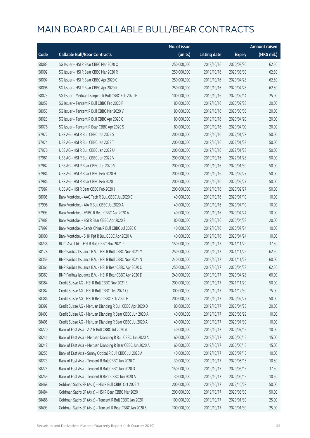|       |                                                             | No. of issue |                     |               | <b>Amount raised</b> |
|-------|-------------------------------------------------------------|--------------|---------------------|---------------|----------------------|
| Code  | <b>Callable Bull/Bear Contracts</b>                         | (units)      | <b>Listing date</b> | <b>Expiry</b> | (HK\$ mil.)          |
| 58083 | SG Issuer - HSI R Bear CBBC Mar 2020 Q                      | 250,000,000  | 2019/10/16          | 2020/03/30    | 62.50                |
| 58092 | SG Issuer - HSI R Bear CBBC Mar 2020 R                      | 250,000,000  | 2019/10/16          | 2020/03/30    | 62.50                |
| 58097 | SG Issuer - HSI R Bear CBBC Apr 2020 C                      | 250,000,000  | 2019/10/16          | 2020/04/28    | 62.50                |
| 58096 | SG Issuer - HSI R Bear CBBC Apr 2020 K                      | 250,000,000  | 2019/10/16          | 2020/04/28    | 62.50                |
| 58073 | SG Issuer - Meituan Dianping R Bull CBBC Feb 2020 E         | 100,000,000  | 2019/10/16          | 2020/02/14    | 25.00                |
| 58052 | SG Issuer - Tencent R Bull CBBC Feb 2020 F                  | 80,000,000   | 2019/10/16          | 2020/02/28    | 20.00                |
| 58053 | SG Issuer - Tencent R Bull CBBC Mar 2020 V                  | 80,000,000   | 2019/10/16          | 2020/03/30    | 20.00                |
| 58023 | SG Issuer - Tencent R Bull CBBC Apr 2020 G                  | 80,000,000   | 2019/10/16          | 2020/04/20    | 20.00                |
| 58076 | SG Issuer - Tencent R Bear CBBC Apr 2020 S                  | 80,000,000   | 2019/10/16          | 2020/04/09    | 20.00                |
| 57972 | UBS AG - HSI R Bull CBBC Jan 2022 S                         | 200,000,000  | 2019/10/16          | 2022/01/28    | 50.00                |
| 57974 | UBS AG - HSI R Bull CBBC Jan 2022 T                         | 200,000,000  | 2019/10/16          | 2022/01/28    | 50.00                |
| 57976 | UBS AG - HSI R Bull CBBC Jan 2022 U                         | 200,000,000  | 2019/10/16          | 2022/01/28    | 50.00                |
| 57981 | UBS AG - HSI R Bull CBBC Jan 2022 V                         | 200,000,000  | 2019/10/16          | 2022/01/28    | 50.00                |
| 57982 | UBS AG - HSI R Bear CBBC Jan 2020 S                         | 200,000,000  | 2019/10/16          | 2020/01/30    | 50.00                |
| 57984 | UBS AG - HSI R Bear CBBC Feb 2020 H                         | 200,000,000  | 2019/10/16          | 2020/02/27    | 50.00                |
| 57986 | UBS AG - HSI R Bear CBBC Feb 2020 I                         | 200,000,000  | 2019/10/16          | 2020/02/27    | 50.00                |
| 57987 | UBS AG - HSI R Bear CBBC Feb 2020 J                         | 200,000,000  | 2019/10/16          | 2020/02/27    | 50.00                |
| 58005 | Bank Vontobel - AAC Tech R Bull CBBC Jul 2020 C             | 40,000,000   | 2019/10/16          | 2020/07/10    | 10.00                |
| 57996 | Bank Vontobel - AIA R Bull CBBC Jul 2020 A                  | 40,000,000   | 2019/10/16          | 2020/07/10    | 10.00                |
| 57993 | Bank Vontobel - HSBC R Bear CBBC Apr 2020 A                 | 40,000,000   | 2019/10/16          | 2020/04/24    | 10.00                |
| 57988 | Bank Vontobel - HSI R Bear CBBC Apr 2020 Z                  | 80,000,000   | 2019/10/16          | 2020/04/28    | 20.00                |
| 57997 | Bank Vontobel - Sands China R Bull CBBC Jul 2020 C          | 40,000,000   | 2019/10/16          | 2020/07/24    | 10.00                |
| 58000 | Bank Vontobel - SHK Ppt R Bull CBBC Apr 2020 A              | 40,000,000   | 2019/10/16          | 2020/04/24    | 10.00                |
| 58236 | BOCI Asia Ltd. - HSI R Bull CBBC Nov 2021 P                 | 150,000,000  | 2019/10/17          | 2021/11/29    | 37.50                |
| 58178 | BNP Paribas Issuance B.V. - HSI R Bull CBBC Nov 2021 M      | 250,000,000  | 2019/10/17          | 2021/11/29    | 62.50                |
| 58359 | BNP Paribas Issuance B.V. - HSI R Bull CBBC Nov 2021 N      | 240,000,000  | 2019/10/17          | 2021/11/29    | 60.00                |
| 58361 | BNP Paribas Issuance B.V. - HSI R Bear CBBC Apr 2020 C      | 250,000,000  | 2019/10/17          | 2020/04/28    | 62.50                |
| 58369 | BNP Paribas Issuance B.V. - HSI R Bear CBBC Apr 2020 D      | 240,000,000  | 2019/10/17          | 2020/04/28    | 60.00                |
| 58384 | Credit Suisse AG - HSI R Bull CBBC Nov 2021 E               | 200,000,000  | 2019/10/17          | 2021/11/29    | 50.00                |
| 58387 | Credit Suisse AG - HSI R Bull CBBC Dec 2021 Q               | 300,000,000  | 2019/10/17          | 2021/12/30    | 75.00                |
| 58386 | Credit Suisse AG - HSI R Bear CBBC Feb 2020 H               | 200,000,000  | 2019/10/17          | 2020/02/27    | 50.00                |
| 58392 | Credit Suisse AG - Meituan Dianping R Bull CBBC Apr 2020 D  | 80,000,000   | 2019/10/17          | 2020/04/28    | 20.00                |
| 58403 | Credit Suisse AG - Meituan Dianping R Bear CBBC Jun 2020 A  | 40,000,000   | 2019/10/17          | 2020/06/29    | 10.00                |
| 58405 | Credit Suisse AG - Meituan Dianping R Bear CBBC Jul 2020 A  | 40,000,000   | 2019/10/17          | 2020/07/30    | 10.00                |
| 58270 | Bank of East Asia - AIA R Bull CBBC Jul 2020 A              | 40,000,000   | 2019/10/17          | 2020/07/15    | 10.00                |
| 58241 | Bank of East Asia - Meituan Dianping R Bull CBBC Jun 2020 A | 60,000,000   | 2019/10/17          | 2020/06/15    | 15.00                |
| 58248 | Bank of East Asia - Meituan Dianping R Bear CBBC Jun 2020 A | 60,000,000   | 2019/10/17          | 2020/06/15    | 15.00                |
| 58255 | Bank of East Asia - Sunny Optical R Bull CBBC Jul 2020 A    | 40,000,000   | 2019/10/17          | 2020/07/15    | 10.00                |
| 58273 | Bank of East Asia - Tencent R Bull CBBC Jun 2020 C          | 30,000,000   | 2019/10/17          | 2020/06/15    | 10.50                |
| 58275 | Bank of East Asia - Tencent R Bull CBBC Jun 2020 D          | 150,000,000  | 2019/10/17          | 2020/06/15    | 37.50                |
| 58259 | Bank of East Asia - Tencent R Bear CBBC Jun 2020 A          | 30,000,000   | 2019/10/17          | 2020/06/15    | 10.50                |
| 58468 | Goldman Sachs SP (Asia) - HSI R Bull CBBC Oct 2022 Y        | 200,000,000  | 2019/10/17          | 2022/10/28    | 50.00                |
| 58484 | Goldman Sachs SP (Asia) - HSI R Bear CBBC Mar 2020 I        | 200,000,000  | 2019/10/17          | 2020/03/30    | 50.00                |
| 58486 | Goldman Sachs SP (Asia) - Tencent R Bull CBBC Jan 2020 I    | 100,000,000  | 2019/10/17          | 2020/01/30    | 25.00                |
| 58493 | Goldman Sachs SP (Asia) - Tencent R Bear CBBC Jan 2020 S    | 100,000,000  | 2019/10/17          | 2020/01/30    | 25.00                |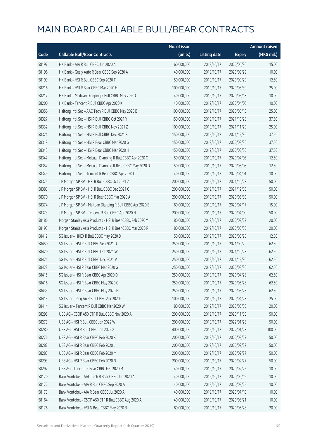|       |                                                             | No. of issue |                     |               | <b>Amount raised</b> |
|-------|-------------------------------------------------------------|--------------|---------------------|---------------|----------------------|
| Code  | <b>Callable Bull/Bear Contracts</b>                         | (units)      | <b>Listing date</b> | <b>Expiry</b> | (HK\$ mil.)          |
| 58197 | HK Bank - AIA R Bull CBBC Jun 2020 A                        | 60,000,000   | 2019/10/17          | 2020/06/30    | 15.00                |
| 58196 | HK Bank - Geely Auto R Bear CBBC Sep 2020 A                 | 40,000,000   | 2019/10/17          | 2020/09/29    | 10.00                |
| 58199 | HK Bank - HSI R Bull CBBC Sep 2020 T                        | 50,000,000   | 2019/10/17          | 2020/09/29    | 12.50                |
| 58216 | HK Bank - HSI R Bear CBBC Mar 2020 H                        | 100,000,000  | 2019/10/17          | 2020/03/30    | 25.00                |
| 58217 | HK Bank - Meituan Dianping R Bull CBBC May 2020 C           | 40,000,000   | 2019/10/17          | 2020/05/18    | 10.00                |
| 58200 | HK Bank - Tencent R Bull CBBC Apr 2020 K                    | 40,000,000   | 2019/10/17          | 2020/04/06    | 10.00                |
| 58356 | Haitong Int'l Sec - AAC Tech R Bull CBBC May 2020 B         | 100,000,000  | 2019/10/17          | 2020/05/13    | 25.00                |
| 58327 | Haitong Int'l Sec - HSI R Bull CBBC Oct 2021 Y              | 150,000,000  | 2019/10/17          | 2021/10/28    | 37.50                |
| 58332 | Haitong Int'l Sec - HSI R Bull CBBC Nov 2021 Z              | 100,000,000  | 2019/10/17          | 2021/11/29    | 25.00                |
| 58324 | Haitong Int'l Sec - HSI R Bull CBBC Dec 2021 S              | 150,000,000  | 2019/10/17          | 2021/12/30    | 37.50                |
| 58319 | Haitong Int'l Sec - HSI R Bear CBBC Mar 2020 G              | 150,000,000  | 2019/10/17          | 2020/03/30    | 37.50                |
| 58343 | Haitong Int'l Sec - HSI R Bear CBBC Mar 2020 H              | 150,000,000  | 2019/10/17          | 2020/03/30    | 37.50                |
| 58347 | Haitong Int'l Sec - Meituan Dianping R Bull CBBC Apr 2020 C | 50,000,000   | 2019/10/17          | 2020/04/03    | 12.50                |
| 58357 | Haitong Int'l Sec - Meituan Dianping R Bear CBBC May 2020 D | 50,000,000   | 2019/10/17          | 2020/05/08    | 12.50                |
| 58349 | Haitong Int'l Sec - Tencent R Bear CBBC Apr 2020 U          | 40,000,000   | 2019/10/17          | 2020/04/01    | 10.00                |
| 58375 | J P Morgan SP BV - HSI R Bull CBBC Oct 2021 Z               | 200,000,000  | 2019/10/17          | 2021/10/28    | 50.00                |
| 58383 | JP Morgan SP BV - HSIR Bull CBBC Dec 2021 C                 | 200,000,000  | 2019/10/17          | 2021/12/30    | 50.00                |
| 58370 | J P Morgan SP BV - HSI R Bear CBBC Mar 2020 A               | 200,000,000  | 2019/10/17          | 2020/03/30    | 50.00                |
| 58374 | J P Morgan SP BV - Meituan Dianping R Bull CBBC Apr 2020 B  | 60,000,000   | 2019/10/17          | 2020/04/17    | 15.00                |
| 58373 | J P Morgan SP BV - Tencent R Bull CBBC Apr 2020 N           | 200,000,000  | 2019/10/17          | 2020/04/09    | 50.00                |
| 58186 | Morgan Stanley Asia Products - HSI R Bear CBBC Feb 2020 Y   | 80,000,000   | 2019/10/17          | 2020/02/27    | 20.00                |
| 58193 | Morgan Stanley Asia Products - HSI R Bear CBBC Mar 2020 P   | 80,000,000   | 2019/10/17          | 2020/03/30    | 20.00                |
| 58412 | SG Issuer - HKEX R Bull CBBC May 2020 D                     | 50,000,000   | 2019/10/17          | 2020/05/28    | 12.50                |
| 58450 | SG Issuer - HSI R Bull CBBC Sep 2021 U                      | 250,000,000  | 2019/10/17          | 2021/09/29    | 62.50                |
| 58420 | SG Issuer - HSI R Bull CBBC Oct 2021 W                      | 250,000,000  | 2019/10/17          | 2021/10/28    | 62.50                |
| 58421 | SG Issuer - HSI R Bull CBBC Dec 2021 V                      | 250,000,000  | 2019/10/17          | 2021/12/30    | 62.50                |
| 58428 | SG Issuer - HSI R Bear CBBC Mar 2020 G                      | 250,000,000  | 2019/10/17          | 2020/03/30    | 62.50                |
| 58415 | SG Issuer - HSI R Bear CBBC Apr 2020 D                      | 250,000,000  | 2019/10/17          | 2020/04/28    | 62.50                |
| 58416 | SG Issuer - HSI R Bear CBBC May 2020 G                      | 250,000,000  | 2019/10/17          | 2020/05/28    | 62.50                |
| 58433 | SG Issuer - HSI R Bear CBBC May 2020 H                      | 250,000,000  | 2019/10/17          | 2020/05/28    | 62.50                |
| 58413 | SG Issuer - Ping An R Bull CBBC Apr 2020 C                  | 100,000,000  | 2019/10/17          | 2020/04/28    | 25.00                |
| 58414 | SG Issuer - Tencent R Bull CBBC Mar 2020 W                  | 80,000,000   | 2019/10/17          | 2020/03/30    | 20.00                |
| 58298 | UBS AG - CSOP A50 ETF R Bull CBBC Nov 2020 A                | 200,000,000  | 2019/10/17          | 2020/11/30    | 50.00                |
| 58279 | UBS AG - HSI R Bull CBBC Jan 2022 W                         | 200,000,000  | 2019/10/17          | 2022/01/28    | 50.00                |
| 58280 | UBS AG - HSI R Bull CBBC Jan 2022 X                         | 400,000,000  | 2019/10/17          | 2022/01/28    | 100.00               |
| 58276 | UBS AG - HSI R Bear CBBC Feb 2020 K                         | 200,000,000  | 2019/10/17          | 2020/02/27    | 50.00                |
| 58282 | UBS AG - HSI R Bear CBBC Feb 2020 L                         | 200,000,000  | 2019/10/17          | 2020/02/27    | 50.00                |
| 58283 | UBS AG - HSI R Bear CBBC Feb 2020 M                         | 200,000,000  | 2019/10/17          | 2020/02/27    | 50.00                |
| 58293 | UBS AG - HSI R Bear CBBC Feb 2020 N                         | 200,000,000  | 2019/10/17          | 2020/02/27    | 50.00                |
| 58297 | UBS AG - Tencent R Bear CBBC Feb 2020 M                     | 40,000,000   | 2019/10/17          | 2020/02/26    | 10.00                |
| 58170 | Bank Vontobel - AAC Tech R Bear CBBC Jun 2020 A             | 40,000,000   | 2019/10/17          | 2020/06/19    | 10.00                |
| 58172 | Bank Vontobel - AIA R Bull CBBC Sep 2020 A                  | 40,000,000   | 2019/10/17          | 2020/09/25    | 10.00                |
| 58173 | Bank Vontobel - AIA R Bear CBBC Jul 2020 A                  | 40,000,000   | 2019/10/17          | 2020/07/10    | 10.00                |
| 58164 | Bank Vontobel - CSOP A50 ETF R Bull CBBC Aug 2020 A         | 40,000,000   | 2019/10/17          | 2020/08/21    | 10.00                |
| 58176 | Bank Vontobel - HSI N Bear CBBC May 2020 B                  | 80,000,000   | 2019/10/17          | 2020/05/28    | 20.00                |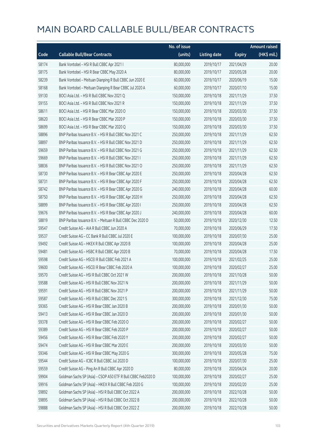|       |                                                              | No. of issue |                     |               | <b>Amount raised</b> |
|-------|--------------------------------------------------------------|--------------|---------------------|---------------|----------------------|
| Code  | <b>Callable Bull/Bear Contracts</b>                          | (units)      | <b>Listing date</b> | <b>Expiry</b> | (HK\$ mil.)          |
| 58174 | Bank Vontobel - HSI R Bull CBBC Apr 2021 I                   | 80,000,000   | 2019/10/17          | 2021/04/29    | 20.00                |
| 58175 | Bank Vontobel - HSI R Bear CBBC May 2020 A                   | 80,000,000   | 2019/10/17          | 2020/05/28    | 20.00                |
| 58239 | Bank Vontobel - Meituan Dianping R Bull CBBC Jun 2020 E      | 60,000,000   | 2019/10/17          | 2020/06/19    | 15.00                |
| 58168 | Bank Vontobel - Meituan Dianping R Bear CBBC Jul 2020 A      | 60,000,000   | 2019/10/17          | 2020/07/10    | 15.00                |
| 59130 | BOCI Asia Ltd. - HSI R Bull CBBC Nov 2021 Q                  | 150,000,000  | 2019/10/18          | 2021/11/29    | 37.50                |
| 59155 | BOCI Asia Ltd. - HSI R Bull CBBC Nov 2021 R                  | 150,000,000  | 2019/10/18          | 2021/11/29    | 37.50                |
| 58611 | BOCI Asia Ltd. - HSI R Bear CBBC Mar 2020 O                  | 150,000,000  | 2019/10/18          | 2020/03/30    | 37.50                |
| 58620 | BOCI Asia Ltd. - HSI R Bear CBBC Mar 2020 P                  | 150,000,000  | 2019/10/18          | 2020/03/30    | 37.50                |
| 58699 | BOCI Asia Ltd. - HSI R Bear CBBC Mar 2020 Q                  | 150,000,000  | 2019/10/18          | 2020/03/30    | 37.50                |
| 58896 | BNP Paribas Issuance B.V. - HSI R Bull CBBC Nov 2021 C       | 250,000,000  | 2019/10/18          | 2021/11/29    | 62.50                |
| 58897 | BNP Paribas Issuance B.V. - HSI R Bull CBBC Nov 2021 D       | 250,000,000  | 2019/10/18          | 2021/11/29    | 62.50                |
| 59659 | BNP Paribas Issuance B.V. - HSI R Bull CBBC Nov 2021 G       | 250,000,000  | 2019/10/18          | 2021/11/29    | 62.50                |
| 59669 | BNP Paribas Issuance B.V. - HSI R Bull CBBC Nov 2021 I       | 250,000,000  | 2019/10/18          | 2021/11/29    | 62.50                |
| 58836 | BNP Paribas Issuance B.V. - HSI R Bull CBBC Nov 2021 O       | 250,000,000  | 2019/10/18          | 2021/11/29    | 62.50                |
| 58730 | BNP Paribas Issuance B.V. - HSI R Bear CBBC Apr 2020 E       | 250,000,000  | 2019/10/18          | 2020/04/28    | 62.50                |
| 58731 | BNP Paribas Issuance B.V. - HSI R Bear CBBC Apr 2020 F       | 250,000,000  | 2019/10/18          | 2020/04/28    | 62.50                |
| 58742 | BNP Paribas Issuance B.V. - HSI R Bear CBBC Apr 2020 G       | 240,000,000  | 2019/10/18          | 2020/04/28    | 60.00                |
| 58750 | BNP Paribas Issuance B.V. - HSI R Bear CBBC Apr 2020 H       | 250,000,000  | 2019/10/18          | 2020/04/28    | 62.50                |
| 58899 | BNP Paribas Issuance B.V. - HSI R Bear CBBC Apr 2020 I       | 250,000,000  | 2019/10/18          | 2020/04/28    | 62.50                |
| 59676 | BNP Paribas Issuance B.V. - HSI R Bear CBBC Apr 2020 J       | 240,000,000  | 2019/10/18          | 2020/04/28    | 60.00                |
| 58819 | BNP Paribas Issuance B.V. - Meituan R Bull CBBC Dec 2020 D   | 50,000,000   | 2019/10/18          | 2020/12/30    | 12.50                |
| 59547 | Credit Suisse AG - AIA R Bull CBBC Jun 2020 A                | 70,000,000   | 2019/10/18          | 2020/06/29    | 17.50                |
| 59537 | Credit Suisse AG - CC Bank R Bull CBBC Jul 2020 E            | 100,000,000  | 2019/10/18          | 2020/07/30    | 25.00                |
| 59492 | Credit Suisse AG - HKEX R Bull CBBC Apr 2020 B               | 100,000,000  | 2019/10/18          | 2020/04/28    | 25.00                |
| 59481 | Credit Suisse AG - HSBC R Bull CBBC Apr 2020 B               | 70,000,000   | 2019/10/18          | 2020/04/28    | 17.50                |
| 59598 | Credit Suisse AG - HSCEI R Bull CBBC Feb 2021 A              | 100,000,000  | 2019/10/18          | 2021/02/25    | 25.00                |
| 59600 | Credit Suisse AG - HSCEI R Bear CBBC Feb 2020 A              | 100,000,000  | 2019/10/18          | 2020/02/27    | 25.00                |
| 59570 | Credit Suisse AG - HSI R Bull CBBC Oct 2021 W                | 200,000,000  | 2019/10/18          | 2021/10/28    | 50.00                |
| 59588 | Credit Suisse AG - HSI R Bull CBBC Nov 2021 N                | 200,000,000  | 2019/10/18          | 2021/11/29    | 50.00                |
| 59591 | Credit Suisse AG - HSI R Bull CBBC Nov 2021 P                | 200,000,000  | 2019/10/18          | 2021/11/29    | 50.00                |
| 59587 | Credit Suisse AG - HSI R Bull CBBC Dec 2021 S                | 300,000,000  | 2019/10/18          | 2021/12/30    | 75.00                |
| 59365 | Credit Suisse AG - HSI R Bear CBBC Jan 2020 B                | 200,000,000  | 2019/10/18          | 2020/01/30    | 50.00                |
| 59413 | Credit Suisse AG - HSI R Bear CBBC Jan 2020 D                | 200,000,000  | 2019/10/18          | 2020/01/30    | 50.00                |
| 59378 | Credit Suisse AG - HSI R Bear CBBC Feb 2020 O                | 200,000,000  | 2019/10/18          | 2020/02/27    | 50.00                |
| 59389 | Credit Suisse AG - HSI R Bear CBBC Feb 2020 P                | 200,000,000  | 2019/10/18          | 2020/02/27    | 50.00                |
| 59456 | Credit Suisse AG - HSI R Bear CBBC Feb 2020 Y                | 200,000,000  | 2019/10/18          | 2020/02/27    | 50.00                |
| 59474 | Credit Suisse AG - HSI R Bear CBBC Mar 2020 E                | 200,000,000  | 2019/10/18          | 2020/03/30    | 50.00                |
| 59346 | Credit Suisse AG - HSI R Bear CBBC May 2020 G                | 300,000,000  | 2019/10/18          | 2020/05/28    | 75.00                |
| 59544 | Credit Suisse AG - ICBC R Bull CBBC Jul 2020 D               | 100,000,000  | 2019/10/18          | 2020/07/30    | 25.00                |
| 59559 | Credit Suisse AG - Ping An R Bull CBBC Apr 2020 D            | 80,000,000   | 2019/10/18          | 2020/04/24    | 20.00                |
| 59904 | Goldman Sachs SP (Asia) - CSOP A50 ETF R Bull CBBC Feb2020 D | 100,000,000  | 2019/10/18          | 2020/02/27    | 25.00                |
| 59916 | Goldman Sachs SP (Asia) - HKEX R Bull CBBC Feb 2020 G        | 100,000,000  | 2019/10/18          | 2020/02/20    | 25.00                |
| 59892 | Goldman Sachs SP (Asia) - HSI R Bull CBBC Oct 2022 A         | 200,000,000  | 2019/10/18          | 2022/10/28    | 50.00                |
| 59895 | Goldman Sachs SP (Asia) - HSI R Bull CBBC Oct 2022 B         | 200,000,000  | 2019/10/18          | 2022/10/28    | 50.00                |
| 59888 | Goldman Sachs SP (Asia) - HSI R Bull CBBC Oct 2022 Z         | 200,000,000  | 2019/10/18          | 2022/10/28    | 50.00                |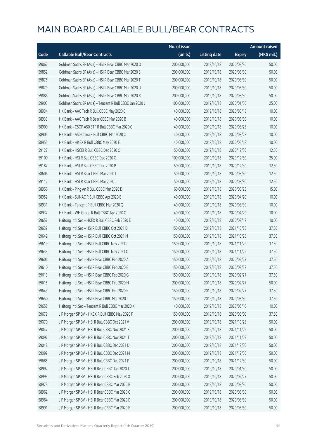|       |                                                          | No. of issue |                     |               | <b>Amount raised</b> |
|-------|----------------------------------------------------------|--------------|---------------------|---------------|----------------------|
| Code  | <b>Callable Bull/Bear Contracts</b>                      | (units)      | <b>Listing date</b> | <b>Expiry</b> | (HK\$ mil.)          |
| 59862 | Goldman Sachs SP (Asia) - HSI R Bear CBBC Mar 2020 O     | 200,000,000  | 2019/10/18          | 2020/03/30    | 50.00                |
| 59852 | Goldman Sachs SP (Asia) - HSI R Bear CBBC Mar 2020 S     | 200,000,000  | 2019/10/18          | 2020/03/30    | 50.00                |
| 59875 | Goldman Sachs SP (Asia) - HSI R Bear CBBC Mar 2020 T     | 200,000,000  | 2019/10/18          | 2020/03/30    | 50.00                |
| 59879 | Goldman Sachs SP (Asia) - HSI R Bear CBBC Mar 2020 U     | 200,000,000  | 2019/10/18          | 2020/03/30    | 50.00                |
| 59886 | Goldman Sachs SP (Asia) - HSI R Bear CBBC Mar 2020 X     | 200,000,000  | 2019/10/18          | 2020/03/30    | 50.00                |
| 59903 | Goldman Sachs SP (Asia) - Tencent R Bull CBBC Jan 2020 J | 100,000,000  | 2019/10/18          | 2020/01/30    | 25.00                |
| 58934 | HK Bank - AAC Tech R Bull CBBC May 2020 C                | 40,000,000   | 2019/10/18          | 2020/05/18    | 10.00                |
| 58933 | HK Bank - AAC Tech R Bear CBBC Mar 2020 B                | 40,000,000   | 2019/10/18          | 2020/03/30    | 10.00                |
| 58900 | HK Bank - CSOP A50 ETF R Bull CBBC Mar 2020 C            | 40,000,000   | 2019/10/18          | 2020/03/23    | 10.00                |
| 58905 | HK Bank - A50 China R Bull CBBC Mar 2020 C               | 40,000,000   | 2019/10/18          | 2020/03/23    | 10.00                |
| 58955 | HK Bank - HKEX R Bull CBBC May 2020 E                    | 40,000,000   | 2019/10/18          | 2020/05/18    | 10.00                |
| 59122 | HK Bank - HSCEI R Bull CBBC Dec 2020 C                   | 50,000,000   | 2019/10/18          | 2020/12/30    | 12.50                |
| 59100 | HK Bank - HSI R Bull CBBC Dec 2020 O                     | 100,000,000  | 2019/10/18          | 2020/12/30    | 25.00                |
| 59187 | HK Bank - HSI R Bull CBBC Dec 2020 P                     | 50,000,000   | 2019/10/18          | 2020/12/30    | 12.50                |
| 58606 | HK Bank - HSI R Bear CBBC Mar 2020 I                     | 50,000,000   | 2019/10/18          | 2020/03/30    | 12.50                |
| 59112 | HK Bank - HSI R Bear CBBC Mar 2020 J                     | 50,000,000   | 2019/10/18          | 2020/03/30    | 12.50                |
| 58956 | HK Bank - Ping An R Bull CBBC Mar 2020 D                 | 60,000,000   | 2019/10/18          | 2020/03/23    | 15.00                |
| 58952 | HK Bank - SUNAC R Bull CBBC Apr 2020 B                   | 40,000,000   | 2019/10/18          | 2020/04/20    | 10.00                |
| 58931 | HK Bank - Tencent R Bull CBBC Mar 2020 Q                 | 40,000,000   | 2019/10/18          | 2020/03/30    | 10.00                |
| 58937 | HK Bank - WH Group R Bull CBBC Apr 2020 C                | 40,000,000   | 2019/10/18          | 2020/04/29    | 10.00                |
| 59657 | Haitong Int'l Sec - HKEX R Bull CBBC Feb 2020 E          | 40,000,000   | 2019/10/18          | 2020/02/17    | 10.00                |
| 59639 | Haitong Int'l Sec - HSI R Bull CBBC Oct 2021 D           | 150,000,000  | 2019/10/18          | 2021/10/28    | 37.50                |
| 59642 | Haitong Int'l Sec - HSI R Bull CBBC Oct 2021 M           | 150,000,000  | 2019/10/18          | 2021/10/28    | 37.50                |
| 59619 | Haitong Int'l Sec - HSI R Bull CBBC Nov 2021 J           | 150,000,000  | 2019/10/18          | 2021/11/29    | 37.50                |
| 59633 | Haitong Int'l Sec - HSI R Bull CBBC Nov 2021 O           | 150,000,000  | 2019/10/18          | 2021/11/29    | 37.50                |
| 59606 | Haitong Int'l Sec - HSI R Bear CBBC Feb 2020 A           | 150,000,000  | 2019/10/18          | 2020/02/27    | 37.50                |
| 59610 | Haitong Int'l Sec - HSI R Bear CBBC Feb 2020 E           | 150,000,000  | 2019/10/18          | 2020/02/27    | 37.50                |
| 59613 | Haitong Int'l Sec - HSI R Bear CBBC Feb 2020 G           | 150,000,000  | 2019/10/18          | 2020/02/27    | 37.50                |
| 59615 | Haitong Int'l Sec - HSI R Bear CBBC Feb 2020 H           | 200,000,000  | 2019/10/18          | 2020/02/27    | 50.00                |
| 59643 | Haitong Int'l Sec - HSI R Bear CBBC Feb 2020 K           | 150,000,000  | 2019/10/18          | 2020/02/27    | 37.50                |
| 59650 | Haitong Int'l Sec - HSI R Bear CBBC Mar 2020 I           | 150,000,000  | 2019/10/18          | 2020/03/30    | 37.50                |
| 59658 | Haitong Int'l Sec - Tencent R Bull CBBC Mar 2020 K       | 40,000,000   | 2019/10/18          | 2020/03/10    | 10.00                |
| 59679 | J P Morgan SP BV - HKEX R Bull CBBC May 2020 F           | 150,000,000  | 2019/10/18          | 2020/05/08    | 37.50                |
| 59070 | J P Morgan SP BV - HSI R Bull CBBC Oct 2021 V            | 200,000,000  | 2019/10/18          | 2021/10/28    | 50.00                |
| 59047 | J P Morgan SP BV - HSI R Bull CBBC Nov 2021 K            | 200,000,000  | 2019/10/18          | 2021/11/29    | 50.00                |
| 59097 | J P Morgan SP BV - HSI R Bull CBBC Nov 2021 T            | 200,000,000  | 2019/10/18          | 2021/11/29    | 50.00                |
| 59048 | J P Morgan SP BV - HSI R Bull CBBC Dec 2021 D            | 200,000,000  | 2019/10/18          | 2021/12/30    | 50.00                |
| 59099 | J P Morgan SP BV - HSI R Bull CBBC Dec 2021 M            | 200,000,000  | 2019/10/18          | 2021/12/30    | 50.00                |
| 59685 | J P Morgan SP BV - HSI R Bull CBBC Dec 2021 P            | 200,000,000  | 2019/10/18          | 2021/12/30    | 50.00                |
| 58992 | J P Morgan SP BV - HSI R Bear CBBC Jan 2020 T            | 200,000,000  | 2019/10/18          | 2020/01/30    | 50.00                |
| 58993 | J P Morgan SP BV - HSI R Bear CBBC Feb 2020 X            | 200,000,000  | 2019/10/18          | 2020/02/27    | 50.00                |
| 58973 | J P Morgan SP BV - HSI R Bear CBBC Mar 2020 B            | 200,000,000  | 2019/10/18          | 2020/03/30    | 50.00                |
| 58962 | J P Morgan SP BV - HSI R Bear CBBC Mar 2020 C            | 200,000,000  | 2019/10/18          | 2020/03/30    | 50.00                |
| 58964 | J P Morgan SP BV - HSI R Bear CBBC Mar 2020 D            | 200,000,000  | 2019/10/18          | 2020/03/30    | 50.00                |
| 58991 | J P Morgan SP BV - HSI R Bear CBBC Mar 2020 E            | 200,000,000  | 2019/10/18          | 2020/03/30    | 50.00                |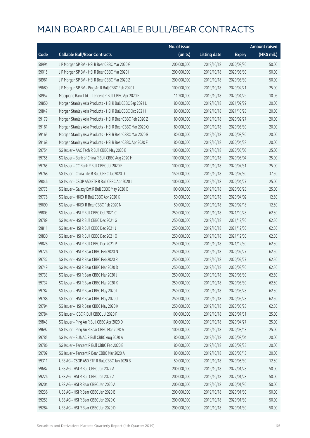|       |                                                           | No. of issue |                     |               | <b>Amount raised</b> |
|-------|-----------------------------------------------------------|--------------|---------------------|---------------|----------------------|
| Code  | <b>Callable Bull/Bear Contracts</b>                       | (units)      | <b>Listing date</b> | <b>Expiry</b> | (HK\$ mil.)          |
| 58994 | J P Morgan SP BV - HSI R Bear CBBC Mar 2020 G             | 200,000,000  | 2019/10/18          | 2020/03/30    | 50.00                |
| 59015 | J P Morgan SP BV - HSI R Bear CBBC Mar 2020 I             | 200,000,000  | 2019/10/18          | 2020/03/30    | 50.00                |
| 58961 | J P Morgan SP BV - HSI R Bear CBBC Mar 2020 Z             | 200,000,000  | 2019/10/18          | 2020/03/30    | 50.00                |
| 59680 | J P Morgan SP BV - Ping An R Bull CBBC Feb 2020 I         | 100,000,000  | 2019/10/18          | 2020/02/21    | 25.00                |
| 58957 | Macquarie Bank Ltd. - Tencent R Bull CBBC Apr 2020 F      | 11,200,000   | 2019/10/18          | 2020/04/29    | 10.06                |
| 59850 | Morgan Stanley Asia Products - HSI R Bull CBBC Sep 2021 L | 80,000,000   | 2019/10/18          | 2021/09/29    | 20.00                |
| 59847 | Morgan Stanley Asia Products - HSI R Bull CBBC Oct 2021 I | 80,000,000   | 2019/10/18          | 2021/10/28    | 20.00                |
| 59179 | Morgan Stanley Asia Products - HSI R Bear CBBC Feb 2020 Z | 80,000,000   | 2019/10/18          | 2020/02/27    | 20.00                |
| 59161 | Morgan Stanley Asia Products - HSI R Bear CBBC Mar 2020 Q | 80,000,000   | 2019/10/18          | 2020/03/30    | 20.00                |
| 59165 | Morgan Stanley Asia Products - HSI R Bear CBBC Mar 2020 R | 80,000,000   | 2019/10/18          | 2020/03/30    | 20.00                |
| 59168 | Morgan Stanley Asia Products - HSI R Bear CBBC Apr 2020 F | 80,000,000   | 2019/10/18          | 2020/04/28    | 20.00                |
| 59754 | SG Issuer - AAC Tech R Bull CBBC May 2020 B               | 100,000,000  | 2019/10/18          | 2020/05/05    | 25.00                |
| 59755 | SG Issuer - Bank of China R Bull CBBC Aug 2020 H          | 100,000,000  | 2019/10/18          | 2020/08/04    | 25.00                |
| 59765 | SG Issuer - CC Bank R Bull CBBC Jul 2020 E                | 100,000,000  | 2019/10/18          | 2020/07/31    | 25.00                |
| 59768 | SG Issuer - China Life R Bull CBBC Jul 2020 D             | 150,000,000  | 2019/10/18          | 2020/07/30    | 37.50                |
| 59846 | SG Issuer - CSOP A50 ETF R Bull CBBC Apr 2020 L           | 100,000,000  | 2019/10/18          | 2020/04/27    | 25.00                |
| 59775 | SG Issuer - Galaxy Ent R Bull CBBC May 2020 C             | 100,000,000  | 2019/10/18          | 2020/05/28    | 25.00                |
| 59778 | SG Issuer - HKEX R Bull CBBC Apr 2020 K                   | 50,000,000   | 2019/10/18          | 2020/04/02    | 12.50                |
| 59690 | SG Issuer - HKEX R Bear CBBC Feb 2020 N                   | 50,000,000   | 2019/10/18          | 2020/02/18    | 12.50                |
| 59803 | SG Issuer - HSI R Bull CBBC Oct 2021 C                    | 250,000,000  | 2019/10/18          | 2021/10/28    | 62.50                |
| 59789 | SG Issuer - HSI R Bull CBBC Dec 2021 G                    | 250,000,000  | 2019/10/18          | 2021/12/30    | 62.50                |
| 59811 | SG Issuer - HSI R Bull CBBC Dec 2021 J                    | 250,000,000  | 2019/10/18          | 2021/12/30    | 62.50                |
| 59830 | SG Issuer - HSI R Bull CBBC Dec 2021 O                    | 250,000,000  | 2019/10/18          | 2021/12/30    | 62.50                |
| 59828 | SG Issuer - HSI R Bull CBBC Dec 2021 P                    | 250,000,000  | 2019/10/18          | 2021/12/30    | 62.50                |
| 59726 | SG Issuer - HSI R Bear CBBC Feb 2020 N                    | 250,000,000  | 2019/10/18          | 2020/02/27    | 62.50                |
| 59732 | SG Issuer - HSI R Bear CBBC Feb 2020 R                    | 250,000,000  | 2019/10/18          | 2020/02/27    | 62.50                |
| 59749 | SG Issuer - HSI R Bear CBBC Mar 2020 D                    | 250,000,000  | 2019/10/18          | 2020/03/30    | 62.50                |
| 59733 | SG Issuer - HSI R Bear CBBC Mar 2020 J                    | 250,000,000  | 2019/10/18          | 2020/03/30    | 62.50                |
| 59737 | SG Issuer - HSI R Bear CBBC Mar 2020 K                    | 250,000,000  | 2019/10/18          | 2020/03/30    | 62.50                |
| 59787 | SG Issuer - HSI R Bear CBBC May 2020 I                    | 250,000,000  | 2019/10/18          | 2020/05/28    | 62.50                |
| 59788 | SG Issuer - HSI R Bear CBBC May 2020 J                    | 250,000,000  | 2019/10/18          | 2020/05/28    | 62.50                |
| 59794 | SG Issuer - HSI R Bear CBBC May 2020 K                    | 250,000,000  | 2019/10/18          | 2020/05/28    | 62.50                |
| 59784 | SG Issuer - ICBC R Bull CBBC Jul 2020 F                   | 100,000,000  | 2019/10/18          | 2020/07/31    | 25.00                |
| 59843 | SG Issuer - Ping An R Bull CBBC Apr 2020 D                | 100,000,000  | 2019/10/18          | 2020/04/27    | 25.00                |
| 59692 | SG Issuer - Ping An R Bear CBBC Mar 2020 A                | 100,000,000  | 2019/10/18          | 2020/03/13    | 25.00                |
| 59785 | SG Issuer - SUNAC R Bull CBBC Aug 2020 A                  | 80,000,000   | 2019/10/18          | 2020/08/04    | 20.00                |
| 59786 | SG Issuer - Tencent R Bull CBBC Feb 2020 B                | 80,000,000   | 2019/10/18          | 2020/02/25    | 20.00                |
| 59709 | SG Issuer - Tencent R Bear CBBC Mar 2020 A                | 80,000,000   | 2019/10/18          | 2020/03/13    | 20.00                |
| 59311 | UBS AG - CSOP A50 ETF R Bull CBBC Jun 2020 B              | 50,000,000   | 2019/10/18          | 2020/06/30    | 12.50                |
| 59687 | UBS AG - HSI R Bull CBBC Jan 2022 A                       | 200,000,000  | 2019/10/18          | 2022/01/28    | 50.00                |
| 59226 | UBS AG - HSI R Bull CBBC Jan 2022 Z                       | 200,000,000  | 2019/10/18          | 2022/01/28    | 50.00                |
| 59204 | UBS AG - HSI R Bear CBBC Jan 2020 A                       | 200,000,000  | 2019/10/18          | 2020/01/30    | 50.00                |
| 59236 | UBS AG - HSI R Bear CBBC Jan 2020 B                       | 200,000,000  | 2019/10/18          | 2020/01/30    | 50.00                |
| 59253 | UBS AG - HSI R Bear CBBC Jan 2020 C                       | 200,000,000  | 2019/10/18          | 2020/01/30    | 50.00                |
| 59284 | UBS AG - HSI R Bear CBBC Jan 2020 D                       | 200,000,000  | 2019/10/18          | 2020/01/30    | 50.00                |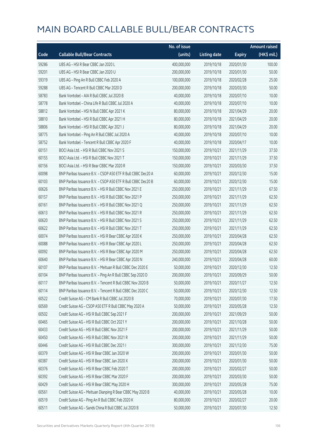|       |                                                              | No. of issue |                     |               | <b>Amount raised</b> |
|-------|--------------------------------------------------------------|--------------|---------------------|---------------|----------------------|
| Code  | <b>Callable Bull/Bear Contracts</b>                          | (units)      | <b>Listing date</b> | <b>Expiry</b> | (HK\$ mil.)          |
| 59286 | UBS AG - HSI R Bear CBBC Jan 2020 L                          | 400,000,000  | 2019/10/18          | 2020/01/30    | 100.00               |
| 59201 | UBS AG - HSI R Bear CBBC Jan 2020 U                          | 200,000,000  | 2019/10/18          | 2020/01/30    | 50.00                |
| 59319 | UBS AG - Ping An R Bull CBBC Feb 2020 A                      | 100,000,000  | 2019/10/18          | 2020/02/28    | 25.00                |
| 59288 | UBS AG - Tencent R Bull CBBC Mar 2020 D                      | 200,000,000  | 2019/10/18          | 2020/03/30    | 50.00                |
| 58783 | Bank Vontobel - AIA R Bull CBBC Jul 2020 B                   | 40,000,000   | 2019/10/18          | 2020/07/10    | 10.00                |
| 58778 | Bank Vontobel - China Life R Bull CBBC Jul 2020 A            | 40,000,000   | 2019/10/18          | 2020/07/10    | 10.00                |
| 58812 | Bank Vontobel - HSI N Bull CBBC Apr 2021 K                   | 80,000,000   | 2019/10/18          | 2021/04/29    | 20.00                |
| 58810 | Bank Vontobel - HSI R Bull CBBC Apr 2021 H                   | 80,000,000   | 2019/10/18          | 2021/04/29    | 20.00                |
| 58806 | Bank Vontobel - HSI R Bull CBBC Apr 2021 J                   | 80,000,000   | 2019/10/18          | 2021/04/29    | 20.00                |
| 58775 | Bank Vontobel - Ping An R Bull CBBC Jul 2020 A               | 40,000,000   | 2019/10/18          | 2020/07/10    | 10.00                |
| 58752 | Bank Vontobel - Tencent R Bull CBBC Apr 2020 F               | 40,000,000   | 2019/10/18          | 2020/04/17    | 10.00                |
| 60151 | BOCI Asia Ltd. - HSI R Bull CBBC Nov 2021 S                  | 150,000,000  | 2019/10/21          | 2021/11/29    | 37.50                |
| 60155 | BOCI Asia Ltd. - HSI R Bull CBBC Nov 2021 T                  | 150,000,000  | 2019/10/21          | 2021/11/29    | 37.50                |
| 60156 | BOCI Asia Ltd. - HSI R Bear CBBC Mar 2020 R                  | 150,000,000  | 2019/10/21          | 2020/03/30    | 37.50                |
| 60098 | BNP Paribas Issuance B.V. - CSOP A50 ETF R Bull CBBC Dec20 A | 60,000,000   | 2019/10/21          | 2020/12/30    | 15.00                |
| 60103 | BNP Paribas Issuance B.V. - CSOP A50 ETF R Bull CBBC Dec20 B | 60,000,000   | 2019/10/21          | 2020/12/30    | 15.00                |
| 60626 | BNP Paribas Issuance B.V. - HSI R Bull CBBC Nov 2021 E       | 250,000,000  | 2019/10/21          | 2021/11/29    | 67.50                |
| 60157 | BNP Paribas Issuance B.V. - HSI R Bull CBBC Nov 2021 P       | 250,000,000  | 2019/10/21          | 2021/11/29    | 62.50                |
| 60161 | BNP Paribas Issuance B.V. - HSI R Bull CBBC Nov 2021 Q       | 250,000,000  | 2019/10/21          | 2021/11/29    | 62.50                |
| 60613 | BNP Paribas Issuance B.V. - HSI R Bull CBBC Nov 2021 R       | 250,000,000  | 2019/10/21          | 2021/11/29    | 62.50                |
| 60620 | BNP Paribas Issuance B.V. - HSI R Bull CBBC Nov 2021 S       | 250,000,000  | 2019/10/21          | 2021/11/29    | 62.50                |
| 60622 | BNP Paribas Issuance B.V. - HSI R Bull CBBC Nov 2021 T       | 250,000,000  | 2019/10/21          | 2021/11/29    | 62.50                |
| 60074 | BNP Paribas Issuance B.V. - HSI R Bear CBBC Apr 2020 K       | 250,000,000  | 2019/10/21          | 2020/04/28    | 62.50                |
| 60088 | BNP Paribas Issuance B.V. - HSI R Bear CBBC Apr 2020 L       | 250,000,000  | 2019/10/21          | 2020/04/28    | 62.50                |
| 60092 | BNP Paribas Issuance B.V. - HSI R Bear CBBC Apr 2020 M       | 250,000,000  | 2019/10/21          | 2020/04/28    | 62.50                |
| 60640 | BNP Paribas Issuance B.V. - HSI R Bear CBBC Apr 2020 N       | 240,000,000  | 2019/10/21          | 2020/04/28    | 60.00                |
| 60107 | BNP Paribas Issuance B.V. - Meituan R Bull CBBC Dec 2020 E   | 50,000,000   | 2019/10/21          | 2020/12/30    | 12.50                |
| 60104 | BNP Paribas Issuance B.V. - Ping An R Bull CBBC Sep 2020 D   | 200,000,000  | 2019/10/21          | 2020/09/29    | 50.00                |
| 60117 | BNP Paribas Issuance B.V. - Tencent R Bull CBBC Nov 2020 B   | 50,000,000   | 2019/10/21          | 2020/11/27    | 12.50                |
| 60114 | BNP Paribas Issuance B.V. - Tencent R Bull CBBC Dec 2020 C   | 50,000,000   | 2019/10/21          | 2020/12/30    | 12.50                |
| 60522 | Credit Suisse AG - CM Bank R Bull CBBC Jul 2020 B            | 70,000,000   | 2019/10/21          | 2020/07/30    | 17.50                |
| 60569 | Credit Suisse AG - CSOP A50 ETF R Bull CBBC May 2020 A       | 50,000,000   | 2019/10/21          | 2020/05/28    | 12.50                |
| 60502 | Credit Suisse AG - HSI R Bull CBBC Sep 2021 F                | 200,000,000  | 2019/10/21          | 2021/09/29    | 50.00                |
| 60465 | Credit Suisse AG - HSI R Bull CBBC Oct 2021 Y                | 200,000,000  | 2019/10/21          | 2021/10/28    | 50.00                |
| 60433 | Credit Suisse AG - HSI R Bull CBBC Nov 2021 F                | 200,000,000  | 2019/10/21          | 2021/11/29    | 50.00                |
| 60450 | Credit Suisse AG - HSI R Bull CBBC Nov 2021 R                | 200,000,000  | 2019/10/21          | 2021/11/29    | 50.00                |
| 60446 | Credit Suisse AG - HSI R Bull CBBC Dec 2021 I                | 300,000,000  | 2019/10/21          | 2021/12/30    | 75.00                |
| 60379 | Credit Suisse AG - HSI R Bear CBBC Jan 2020 W                | 200,000,000  | 2019/10/21          | 2020/01/30    | 50.00                |
| 60387 | Credit Suisse AG - HSI R Bear CBBC Jan 2020 X                | 200,000,000  | 2019/10/21          | 2020/01/30    | 50.00                |
| 60376 | Credit Suisse AG - HSI R Bear CBBC Feb 2020 T                | 200,000,000  | 2019/10/21          | 2020/02/27    | 50.00                |
| 60392 | Credit Suisse AG - HSI R Bear CBBC Mar 2020 F                | 200,000,000  | 2019/10/21          | 2020/03/30    | 50.00                |
| 60429 | Credit Suisse AG - HSI R Bear CBBC May 2020 H                | 300,000,000  | 2019/10/21          | 2020/05/28    | 75.00                |
| 60561 | Credit Suisse AG - Meituan Dianping R Bear CBBC May 2020 B   | 40,000,000   | 2019/10/21          | 2020/05/28    | 10.00                |
| 60519 | Credit Suisse AG - Ping An R Bull CBBC Feb 2020 K            | 80,000,000   | 2019/10/21          | 2020/02/27    | 20.00                |
| 60511 | Credit Suisse AG - Sands China R Bull CBBC Jul 2020 B        | 50,000,000   | 2019/10/21          | 2020/07/30    | 12.50                |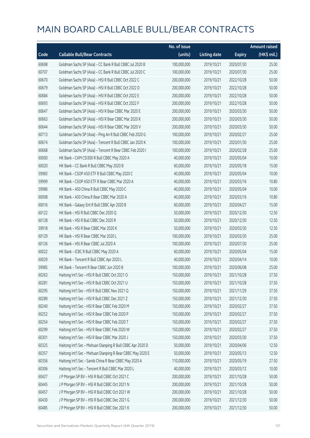|       |                                                             | No. of issue |                     |               | <b>Amount raised</b> |
|-------|-------------------------------------------------------------|--------------|---------------------|---------------|----------------------|
| Code  | <b>Callable Bull/Bear Contracts</b>                         | (units)      | <b>Listing date</b> | <b>Expiry</b> | (HK\$ mil.)          |
| 60698 | Goldman Sachs SP (Asia) - CC Bank R Bull CBBC Jul 2020 B    | 100,000,000  | 2019/10/21          | 2020/07/30    | 25.00                |
| 60707 | Goldman Sachs SP (Asia) - CC Bank R Bull CBBC Jul 2020 C    | 100,000,000  | 2019/10/21          | 2020/07/30    | 25.00                |
| 60670 | Goldman Sachs SP (Asia) - HSI R Bull CBBC Oct 2022 C        | 200,000,000  | 2019/10/21          | 2022/10/28    | 50.00                |
| 60679 | Goldman Sachs SP (Asia) - HSI R Bull CBBC Oct 2022 D        | 200,000,000  | 2019/10/21          | 2022/10/28    | 50.00                |
| 60684 | Goldman Sachs SP (Asia) - HSI R Bull CBBC Oct 2022 E        | 200,000,000  | 2019/10/21          | 2022/10/28    | 50.00                |
| 60693 | Goldman Sachs SP (Asia) - HSI R Bull CBBC Oct 2022 F        | 200,000,000  | 2019/10/21          | 2022/10/28    | 50.00                |
| 60647 | Goldman Sachs SP (Asia) - HSI R Bear CBBC Mar 2020 E        | 200,000,000  | 2019/10/21          | 2020/03/30    | 50.00                |
| 60663 | Goldman Sachs SP (Asia) - HSI R Bear CBBC Mar 2020 K        | 200,000,000  | 2019/10/21          | 2020/03/30    | 50.00                |
| 60644 | Goldman Sachs SP (Asia) - HSI R Bear CBBC Mar 2020 V        | 200,000,000  | 2019/10/21          | 2020/03/30    | 50.00                |
| 60713 | Goldman Sachs SP (Asia) - Ping An R Bull CBBC Feb 2020 G    | 100,000,000  | 2019/10/21          | 2020/02/27    | 25.00                |
| 60674 | Goldman Sachs SP (Asia) - Tencent R Bull CBBC Jan 2020 K    | 100,000,000  | 2019/10/21          | 2020/01/30    | 25.00                |
| 60668 | Goldman Sachs SP (Asia) - Tencent R Bear CBBC Feb 2020 I    | 100,000,000  | 2019/10/21          | 2020/02/28    | 25.00                |
| 60000 | HK Bank - CAM CSI300 R Bull CBBC May 2020 A                 | 40,000,000   | 2019/10/21          | 2020/05/04    | 10.00                |
| 60020 | HK Bank - CC Bank R Bull CBBC May 2020 B                    | 60,000,000   | 2019/10/21          | 2020/05/18    | 15.00                |
| 59983 | HK Bank - CSOP A50 ETF R Bull CBBC May 2020 C               | 40,000,000   | 2019/10/21          | 2020/05/04    | 10.00                |
| 59999 | HK Bank - CSOP A50 ETF R Bear CBBC Mar 2020 A               | 40,000,000   | 2019/10/21          | 2020/03/16    | 10.80                |
| 59986 | HK Bank - A50 China R Bull CBBC May 2020 C                  | 40,000,000   | 2019/10/21          | 2020/05/04    | 10.00                |
| 60008 | HK Bank - A50 China R Bear CBBC Mar 2020 A                  | 40,000,000   | 2019/10/21          | 2020/03/16    | 10.80                |
| 60016 | HK Bank - Galaxy Ent R Bull CBBC Apr 2020 B                 | 60,000,000   | 2019/10/21          | 2020/04/27    | 15.00                |
| 60122 | HK Bank - HSI R Bull CBBC Dec 2020 Q                        | 50,000,000   | 2019/10/21          | 2020/12/30    | 12.50                |
| 60128 | HK Bank - HSI R Bull CBBC Dec 2020 R                        | 50,000,000   | 2019/10/21          | 2020/12/30    | 12.50                |
| 59918 | HK Bank - HSI R Bear CBBC Mar 2020 K                        | 50,000,000   | 2019/10/21          | 2020/03/30    | 12.50                |
| 60129 | HK Bank - HSI R Bear CBBC Mar 2020 L                        | 100,000,000  | 2019/10/21          | 2020/03/30    | 25.00                |
| 60126 | HK Bank - HSI R Bear CBBC Jul 2020 A                        | 100,000,000  | 2019/10/21          | 2020/07/30    | 25.00                |
| 60022 | HK Bank - ICBC R Bull CBBC May 2020 A                       | 60,000,000   | 2019/10/21          | 2020/05/04    | 15.00                |
| 60029 | HK Bank - Tencent R Bull CBBC Apr 2020 L                    | 40,000,000   | 2019/10/21          | 2020/04/14    | 10.00                |
| 59985 | HK Bank - Tencent R Bear CBBC Jun 2020 B                    | 100,000,000  | 2019/10/21          | 2020/06/08    | 25.00                |
| 60263 | Haitong Int'l Sec - HSI R Bull CBBC Oct 2021 O              | 150,000,000  | 2019/10/21          | 2021/10/28    | 37.50                |
| 60281 | Haitong Int'l Sec - HSI R Bull CBBC Oct 2021 U              | 150,000,000  | 2019/10/21          | 2021/10/28    | 37.50                |
| 60295 | Haitong Int'l Sec - HSI R Bull CBBC Nov 2021 Q              | 150,000,000  | 2019/10/21          | 2021/11/29    | 37.50                |
| 60289 | Haitong Int'l Sec - HSI R Bull CBBC Dec 2021 Z              | 150,000,000  | 2019/10/21          | 2021/12/30    | 37.50                |
| 60240 | Haitong Int'l Sec - HSI R Bear CBBC Feb 2020 M              | 150,000,000  | 2019/10/21          | 2020/02/27    | 37.50                |
| 60252 | Haitong Int'l Sec - HSI R Bear CBBC Feb 2020 P              | 150,000,000  | 2019/10/21          | 2020/02/27    | 37.50                |
| 60254 | Haitong Int'l Sec - HSI R Bear CBBC Feb 2020 T              | 150,000,000  | 2019/10/21          | 2020/02/27    | 37.50                |
| 60299 | Haitong Int'l Sec - HSI R Bear CBBC Feb 2020 W              | 150,000,000  | 2019/10/21          | 2020/02/27    | 37.50                |
| 60301 | Haitong Int'l Sec - HSI R Bear CBBC Mar 2020 J              | 150,000,000  | 2019/10/21          | 2020/03/30    | 37.50                |
| 60325 | Haitong Int'l Sec - Meituan Dianping R Bull CBBC Apr 2020 D | 50,000,000   | 2019/10/21          | 2020/04/06    | 12.50                |
| 60357 | Haitong Int'l Sec - Meituan Dianping R Bear CBBC May 2020 E | 50,000,000   | 2019/10/21          | 2020/05/13    | 12.50                |
| 60356 | Haitong Int'l Sec - Sands China R Bear CBBC May 2020 A      | 110,000,000  | 2019/10/21          | 2020/05/19    | 27.50                |
| 60306 | Haitong Int'l Sec - Tencent R Bull CBBC Mar 2020 L          | 40,000,000   | 2019/10/21          | 2020/03/12    | 10.00                |
| 60427 | JP Morgan SP BV - HSIR Bull CBBC Oct 2021 C                 | 200,000,000  | 2019/10/21          | 2021/10/28    | 50.00                |
| 60445 | J P Morgan SP BV - HSI R Bull CBBC Oct 2021 N               | 200,000,000  | 2019/10/21          | 2021/10/28    | 50.00                |
| 60457 | J P Morgan SP BV - HSI R Bull CBBC Oct 2021 W               | 200,000,000  | 2019/10/21          | 2021/10/28    | 50.00                |
| 60430 | J P Morgan SP BV - HSI R Bull CBBC Dec 2021 G               | 200,000,000  | 2019/10/21          | 2021/12/30    | 50.00                |
| 60485 | J P Morgan SP BV - HSI R Bull CBBC Dec 2021 K               | 200,000,000  | 2019/10/21          | 2021/12/30    | 50.00                |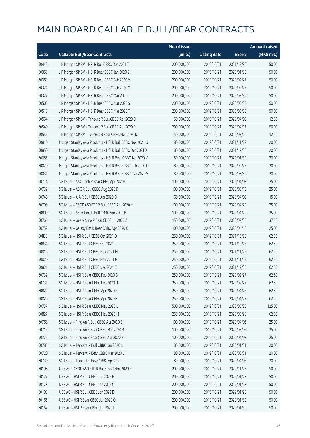|       |                                                           | No. of issue |                     |               | <b>Amount raised</b> |
|-------|-----------------------------------------------------------|--------------|---------------------|---------------|----------------------|
| Code  | <b>Callable Bull/Bear Contracts</b>                       | (units)      | <b>Listing date</b> | <b>Expiry</b> | (HK\$ mil.)          |
| 60449 | J P Morgan SP BV - HSI R Bull CBBC Dec 2021 T             | 200,000,000  | 2019/10/21          | 2021/12/30    | 50.00                |
| 60359 | J P Morgan SP BV - HSI R Bear CBBC Jan 2020 Z             | 200,000,000  | 2019/10/21          | 2020/01/30    | 50.00                |
| 60369 | J P Morgan SP BV - HSI R Bear CBBC Feb 2020 V             | 200,000,000  | 2019/10/21          | 2020/02/27    | 50.00                |
| 60374 | J P Morgan SP BV - HSI R Bear CBBC Feb 2020 Y             | 200,000,000  | 2019/10/21          | 2020/02/27    | 50.00                |
| 60377 | J P Morgan SP BV - HSI R Bear CBBC Mar 2020 J             | 200,000,000  | 2019/10/21          | 2020/03/30    | 50.00                |
| 60503 | J P Morgan SP BV - HSI R Bear CBBC Mar 2020 S             | 200,000,000  | 2019/10/21          | 2020/03/30    | 50.00                |
| 60518 | J P Morgan SP BV - HSI R Bear CBBC Mar 2020 T             | 200,000,000  | 2019/10/21          | 2020/03/30    | 50.00                |
| 60554 | J P Morgan SP BV - Tencent R Bull CBBC Apr 2020 O         | 50,000,000   | 2019/10/21          | 2020/04/09    | 12.50                |
| 60540 | J P Morgan SP BV - Tencent R Bull CBBC Apr 2020 P         | 200,000,000  | 2019/10/21          | 2020/04/17    | 50.00                |
| 60555 | J P Morgan SP BV - Tencent R Bear CBBC Mar 2020 K         | 50,000,000   | 2019/10/21          | 2020/03/20    | 12.50                |
| 60846 | Morgan Stanley Asia Products - HSI R Bull CBBC Nov 2021 U | 80,000,000   | 2019/10/21          | 2021/11/29    | 20.00                |
| 60850 | Morgan Stanley Asia Products - HSI R Bull CBBC Dec 2021 X | 80,000,000   | 2019/10/21          | 2021/12/30    | 20.00                |
| 60055 | Morgan Stanley Asia Products - HSI R Bear CBBC Jan 2020 V | 80,000,000   | 2019/10/21          | 2020/01/30    | 20.00                |
| 60070 | Morgan Stanley Asia Products - HSI R Bear CBBC Feb 2020 D | 80,000,000   | 2019/10/21          | 2020/02/27    | 20.00                |
| 60031 | Morgan Stanley Asia Products - HSI R Bear CBBC Mar 2020 S | 80,000,000   | 2019/10/21          | 2020/03/30    | 20.00                |
| 60714 | SG Issuer - AAC Tech R Bear CBBC Apr 2020 C               | 100,000,000  | 2019/10/21          | 2020/04/08    | 25.00                |
| 60739 | SG Issuer - ABC R Bull CBBC Aug 2020 D                    | 100,000,000  | 2019/10/21          | 2020/08/10    | 25.00                |
| 60746 | SG Issuer - AIA R Bull CBBC Apr 2020 D                    | 60,000,000   | 2019/10/21          | 2020/04/03    | 15.00                |
| 60798 | SG Issuer - CSOP A50 ETF R Bull CBBC Apr 2020 M           | 100,000,000  | 2019/10/21          | 2020/04/29    | 25.00                |
| 60809 | SG Issuer - A50 China R Bull CBBC Apr 2020 B              | 100,000,000  | 2019/10/21          | 2020/04/29    | 25.00                |
| 60766 | SG Issuer - Geely Auto R Bear CBBC Jul 2020 A             | 150,000,000  | 2019/10/21          | 2020/07/30    | 37.50                |
| 60752 | SG Issuer - Galaxy Ent R Bear CBBC Apr 2020 C             | 100,000,000  | 2019/10/21          | 2020/04/15    | 25.00                |
| 60838 | SG Issuer - HSI R Bull CBBC Oct 2021 D                    | 250,000,000  | 2019/10/21          | 2021/10/28    | 62.50                |
| 60834 | SG Issuer - HSI R Bull CBBC Oct 2021 P                    | 250,000,000  | 2019/10/21          | 2021/10/28    | 62.50                |
| 60816 | SG Issuer - HSI R Bull CBBC Nov 2021 M                    | 250,000,000  | 2019/10/21          | 2021/11/29    | 62.50                |
| 60820 | SG Issuer - HSI R Bull CBBC Nov 2021 R                    | 250,000,000  | 2019/10/21          | 2021/11/29    | 62.50                |
| 60821 | SG Issuer - HSI R Bull CBBC Dec 2021 E                    | 250,000,000  | 2019/10/21          | 2021/12/30    | 62.50                |
| 60732 | SG Issuer – HSI R Bear CBBC Feb 2020 G                    | 250,000,000  | 2019/10/21          | 2020/02/27    | 62.50                |
| 60731 | SG Issuer - HSI R Bear CBBC Feb 2020 U                    | 250,000,000  | 2019/10/21          | 2020/02/27    | 62.50                |
| 60822 | SG Issuer - HSI R Bear CBBC Apr 2020 E                    | 250,000,000  | 2019/10/21          | 2020/04/28    | 62.50                |
| 60826 | SG Issuer - HSI R Bear CBBC Apr 2020 F                    | 250,000,000  | 2019/10/21          | 2020/04/28    | 62.50                |
| 60737 | SG Issuer - HSI R Bear CBBC May 2020 L                    | 500,000,000  | 2019/10/21          | 2020/05/28    | 125.00               |
| 60827 | SG Issuer - HSI R Bear CBBC May 2020 M                    | 250,000,000  | 2019/10/21          | 2020/05/28    | 62.50                |
| 60768 | SG Issuer - Ping An R Bull CBBC Apr 2020 E                | 100,000,000  | 2019/10/21          | 2020/04/03    | 25.00                |
| 60715 | SG Issuer - Ping An R Bear CBBC Mar 2020 B                | 100,000,000  | 2019/10/21          | 2020/03/05    | 25.00                |
| 60775 | SG Issuer - Ping An R Bear CBBC Apr 2020 B                | 100,000,000  | 2019/10/21          | 2020/04/03    | 25.00                |
| 60785 | SG Issuer - Tencent R Bull CBBC Jan 2020 S                | 80,000,000   | 2019/10/21          | 2020/01/31    | 20.00                |
| 60720 | SG Issuer - Tencent R Bear CBBC Mar 2020 C                | 80,000,000   | 2019/10/21          | 2020/03/31    | 20.00                |
| 60730 | SG Issuer - Tencent R Bear CBBC Apr 2020 T                | 80,000,000   | 2019/10/21          | 2020/04/08    | 20.00                |
| 60196 | UBS AG - CSOP A50 ETF R Bull CBBC Nov 2020 B              | 200,000,000  | 2019/10/21          | 2020/11/23    | 50.00                |
| 60177 | UBS AG - HSI R Bull CBBC Jan 2022 B                       | 200,000,000  | 2019/10/21          | 2022/01/28    | 50.00                |
| 60178 | UBS AG - HSI R Bull CBBC Jan 2022 C                       | 200,000,000  | 2019/10/21          | 2022/01/28    | 50.00                |
| 60193 | UBS AG - HSI R Bull CBBC Jan 2022 D                       | 200,000,000  | 2019/10/21          | 2022/01/28    | 50.00                |
| 60165 | UBS AG - HSI R Bear CBBC Jan 2020 O                       | 200,000,000  | 2019/10/21          | 2020/01/30    | 50.00                |
| 60167 | UBS AG - HSI R Bear CBBC Jan 2020 P                       | 200,000,000  | 2019/10/21          | 2020/01/30    | 50.00                |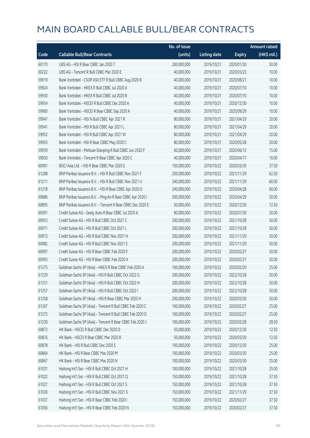|       |                                                            | No. of issue |                     |               | <b>Amount raised</b> |
|-------|------------------------------------------------------------|--------------|---------------------|---------------|----------------------|
| Code  | <b>Callable Bull/Bear Contracts</b>                        | (units)      | <b>Listing date</b> | <b>Expiry</b> | (HK\$ mil.)          |
| 60170 | UBS AG - HSI R Bear CBBC Jan 2020 T                        | 200,000,000  | 2019/10/21          | 2020/01/30    | 50.00                |
| 60222 | UBS AG - Tencent R Bull CBBC Mar 2020 E                    | 40,000,000   | 2019/10/21          | 2020/03/23    | 10.00                |
| 59919 | Bank Vontobel - CSOP A50 ETF R Bull CBBC Aug 2020 B        | 40,000,000   | 2019/10/21          | 2020/08/21    | 10.00                |
| 59924 | Bank Vontobel - HKEX R Bull CBBC Jul 2020 A                | 40,000,000   | 2019/10/21          | 2020/07/10    | 10.00                |
| 59930 | Bank Vontobel - HKEX R Bull CBBC Jul 2020 B                | 40,000,000   | 2019/10/21          | 2020/07/10    | 10.00                |
| 59954 | Bank Vontobel - HSCEI R Bull CBBC Dec 2020 A               | 40,000,000   | 2019/10/21          | 2020/12/30    | 10.00                |
| 59960 | Bank Vontobel - HSCEI R Bear CBBC Sep 2020 A               | 40,000,000   | 2019/10/21          | 2020/09/29    | 10.00                |
| 59947 | Bank Vontobel - HSI N Bull CBBC Apr 2021 R                 | 80,000,000   | 2019/10/21          | 2021/04/29    | 20.00                |
| 59941 | Bank Vontobel - HSI R Bull CBBC Apr 2021 L                 | 80,000,000   | 2019/10/21          | 2021/04/29    | 20.00                |
| 59952 | Bank Vontobel - HSI R Bull CBBC Apr 2021 W                 | 80,000,000   | 2019/10/21          | 2021/04/29    | 20.00                |
| 59953 | Bank Vontobel - HSI R Bear CBBC May 2020 C                 | 80,000,000   | 2019/10/21          | 2020/05/28    | 20.00                |
| 59939 | Bank Vontobel - Meituan Dianping R Bull CBBC Jun 2020 F    | 60,000,000   | 2019/10/21          | 2020/06/12    | 15.00                |
| 59920 | Bank Vontobel - Tencent R Bear CBBC Apr 2020 C             | 40,000,000   | 2019/10/21          | 2020/04/17    | 10.00                |
| 60901 | BOCI Asia Ltd. - HSI R Bear CBBC Mar 2020 S                | 150,000,000  | 2019/10/22          | 2020/03/30    | 37.50                |
| 61208 | BNP Paribas Issuance B.V. - HSI R Bull CBBC Nov 2021 F     | 250,000,000  | 2019/10/22          | 2021/11/29    | 62.50                |
| 61211 | BNP Paribas Issuance B.V. - HSI R Bull CBBC Nov 2021 U     | 240,000,000  | 2019/10/22          | 2021/11/29    | 60.00                |
| 61218 | BNP Paribas Issuance B.V. - HSI R Bear CBBC Apr 2020 O     | 240,000,000  | 2019/10/22          | 2020/04/28    | 60.00                |
| 60886 | BNP Paribas Issuance B.V. - Ping An R Bear CBBC Apr 2020 I | 200,000,000  | 2019/10/22          | 2020/04/29    | 50.00                |
| 60895 | BNP Paribas Issuance B.V. - Tencent R Bear CBBC Dec 2020 E | 50,000,000   | 2019/10/22          | 2020/12/30    | 12.50                |
| 60991 | Credit Suisse AG - Geely Auto R Bear CBBC Jul 2020 A       | 80,000,000   | 2019/10/22          | 2020/07/30    | 20.00                |
| 60953 | Credit Suisse AG - HSI R Bull CBBC Oct 2021 C              | 200,000,000  | 2019/10/22          | 2021/10/28    | 50.00                |
| 60971 | Credit Suisse AG - HSI R Bull CBBC Oct 2021 L              | 200,000,000  | 2019/10/22          | 2021/10/28    | 50.00                |
| 60973 | Credit Suisse AG - HSI R Bull CBBC Nov 2021 H              | 200,000,000  | 2019/10/22          | 2021/11/29    | 50.00                |
| 60982 | Credit Suisse AG - HSI R Bull CBBC Nov 2021 S              | 200,000,000  | 2019/10/22          | 2021/11/29    | 50.00                |
| 60997 | Credit Suisse AG - HSI R Bear CBBC Feb 2020 F              | 200,000,000  | 2019/10/22          | 2020/02/27    | 50.00                |
| 60993 | Credit Suisse AG - HSI R Bear CBBC Feb 2020 X              | 200,000,000  | 2019/10/22          | 2020/02/27    | 50.00                |
| 61275 | Goldman Sachs SP (Asia) - HKEX R Bear CBBC Feb 2020 A      | 100,000,000  | 2019/10/22          | 2020/02/20    | 25.00                |
| 61229 | Goldman Sachs SP (Asia) - HSI R Bull CBBC Oct 2022 G       | 200,000,000  | 2019/10/22          | 2022/10/28    | 50.00                |
| 61251 | Goldman Sachs SP (Asia) - HSI R Bull CBBC Oct 2022 H       | 200,000,000  | 2019/10/22          | 2022/10/28    | 50.00                |
| 61257 | Goldman Sachs SP (Asia) - HSI R Bull CBBC Oct 2022 I       | 200,000,000  | 2019/10/22          | 2022/10/28    | 50.00                |
| 61258 | Goldman Sachs SP (Asia) - HSI R Bear CBBC Mar 2020 H       | 200,000,000  | 2019/10/22          | 2020/03/30    | 50.00                |
| 61267 | Goldman Sachs SP (Asia) - Tencent R Bull CBBC Feb 2020 C   | 100,000,000  | 2019/10/22          | 2020/02/27    | 25.00                |
| 61272 | Goldman Sachs SP (Asia) - Tencent R Bull CBBC Feb 2020 D   | 100,000,000  | 2019/10/22          | 2020/02/27    | 25.00                |
| 61230 | Goldman Sachs SP (Asia) - Tencent R Bear CBBC Feb 2020 J   | 100,000,000  | 2019/10/22          | 2020/02/28    | 28.50                |
| 60873 | HK Bank - HSCEI R Bull CBBC Dec 2020 D                     | 50,000,000   | 2019/10/22          | 2020/12/30    | 12.50                |
| 60876 | HK Bank - HSCEI R Bear CBBC Mar 2020 B                     | 50,000,000   | 2019/10/22          | 2020/03/30    | 12.50                |
| 60878 | HK Bank - HSI R Bull CBBC Dec 2020 S                       | 100,000,000  | 2019/10/22          | 2020/12/30    | 25.00                |
| 60864 | HK Bank - HSI R Bear CBBC Mar 2020 M                       | 100,000,000  | 2019/10/22          | 2020/03/30    | 25.00                |
| 60867 | HK Bank - HSI R Bear CBBC Mar 2020 N                       | 100,000,000  | 2019/10/22          | 2020/03/30    | 25.00                |
| 61031 | Haitong Int'l Sec - HSI R Bull CBBC Oct 2021 H             | 100,000,000  | 2019/10/22          | 2021/10/28    | 25.00                |
| 61022 | Haitong Int'l Sec - HSI R Bull CBBC Oct 2021 Q             | 150,000,000  | 2019/10/22          | 2021/10/28    | 37.50                |
| 61027 | Haitong Int'l Sec - HSI R Bull CBBC Oct 2021 S             | 150,000,000  | 2019/10/22          | 2021/10/28    | 37.50                |
| 61026 | Haitong Int'l Sec - HSI R Bull CBBC Nov 2021 S             | 150,000,000  | 2019/10/22          | 2021/11/29    | 37.50                |
| 61037 | Haitong Int'l Sec - HSI R Bear CBBC Feb 2020 I             | 150,000,000  | 2019/10/22          | 2020/02/27    | 37.50                |
| 61056 | Haitong Int'l Sec - HSI R Bear CBBC Feb 2020 N             | 150,000,000  | 2019/10/22          | 2020/02/27    | 37.50                |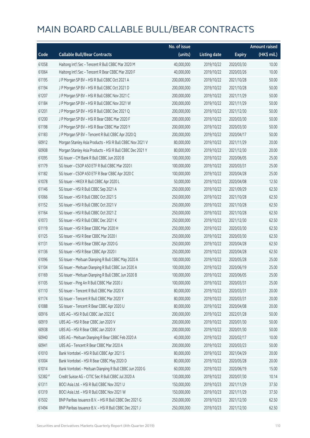|         |                                                           | No. of issue |                     |               | <b>Amount raised</b> |
|---------|-----------------------------------------------------------|--------------|---------------------|---------------|----------------------|
| Code    | <b>Callable Bull/Bear Contracts</b>                       | (units)      | <b>Listing date</b> | <b>Expiry</b> | (HK\$ mil.)          |
| 61058   | Haitong Int'l Sec - Tencent R Bull CBBC Mar 2020 M        | 40,000,000   | 2019/10/22          | 2020/03/30    | 10.00                |
| 61064   | Haitong Int'l Sec - Tencent R Bear CBBC Mar 2020 F        | 40,000,000   | 2019/10/22          | 2020/03/26    | 10.00                |
| 61195   | J P Morgan SP BV - HSI R Bull CBBC Oct 2021 A             | 200,000,000  | 2019/10/22          | 2021/10/28    | 50.00                |
| 61194   | J P Morgan SP BV - HSI R Bull CBBC Oct 2021 D             | 200,000,000  | 2019/10/22          | 2021/10/28    | 50.00                |
| 61207   | J P Morgan SP BV - HSI R Bull CBBC Nov 2021 C             | 200,000,000  | 2019/10/22          | 2021/11/29    | 50.00                |
| 61184   | J P Morgan SP BV - HSI R Bull CBBC Nov 2021 W             | 200,000,000  | 2019/10/22          | 2021/11/29    | 50.00                |
| 61201   | J P Morgan SP BV - HSI R Bull CBBC Dec 2021 Q             | 200,000,000  | 2019/10/22          | 2021/12/30    | 50.00                |
| 61200   | J P Morgan SP BV - HSI R Bear CBBC Mar 2020 F             | 200,000,000  | 2019/10/22          | 2020/03/30    | 50.00                |
| 61198   | J P Morgan SP BV - HSI R Bear CBBC Mar 2020 Y             | 200,000,000  | 2019/10/22          | 2020/03/30    | 50.00                |
| 61183   | J P Morgan SP BV - Tencent R Bull CBBC Apr 2020 Q         | 200,000,000  | 2019/10/22          | 2020/04/17    | 50.00                |
| 60912   | Morgan Stanley Asia Products - HSI R Bull CBBC Nov 2021 V | 80,000,000   | 2019/10/22          | 2021/11/29    | 20.00                |
| 60908   | Morgan Stanley Asia Products - HSI R Bull CBBC Dec 2021 Y | 80,000,000   | 2019/10/22          | 2021/12/30    | 20.00                |
| 61095   | SG Issuer - CM Bank R Bull CBBC Jun 2020 B                | 100,000,000  | 2019/10/22          | 2020/06/05    | 25.00                |
| 61179   | SG Issuer - CSOP A50 ETF R Bull CBBC Mar 2020 I           | 100,000,000  | 2019/10/22          | 2020/03/31    | 25.00                |
| 61182   | SG Issuer - CSOP A50 ETF R Bear CBBC Apr 2020 C           | 100,000,000  | 2019/10/22          | 2020/04/28    | 25.00                |
| 61078   | SG Issuer - HKEX R Bull CBBC Apr 2020 L                   | 50,000,000   | 2019/10/22          | 2020/04/08    | 12.50                |
| 61146   | SG Issuer - HSI R Bull CBBC Sep 2021 A                    | 250,000,000  | 2019/10/22          | 2021/09/29    | 62.50                |
| 61066   | SG Issuer - HSI R Bull CBBC Oct 2021 S                    | 250,000,000  | 2019/10/22          | 2021/10/28    | 62.50                |
| 61152   | SG Issuer - HSI R Bull CBBC Oct 2021 V                    | 250,000,000  | 2019/10/22          | 2021/10/28    | 62.50                |
| 61164   | SG Issuer - HSI R Bull CBBC Oct 2021 Z                    | 250,000,000  | 2019/10/22          | 2021/10/28    | 62.50                |
| 61073   | SG Issuer - HSI R Bull CBBC Dec 2021 K                    | 250,000,000  | 2019/10/22          | 2021/12/30    | 62.50                |
| 61119   | SG Issuer - HSI R Bear CBBC Mar 2020 H                    | 250,000,000  | 2019/10/22          | 2020/03/30    | 62.50                |
| 61125   | SG Issuer - HSI R Bear CBBC Mar 2020 I                    | 250,000,000  | 2019/10/22          | 2020/03/30    | 62.50                |
| 61131   | SG Issuer - HSI R Bear CBBC Apr 2020 G                    | 250,000,000  | 2019/10/22          | 2020/04/28    | 62.50                |
| 61136   | SG Issuer - HSI R Bear CBBC Apr 2020 I                    | 250,000,000  | 2019/10/22          | 2020/04/28    | 62.50                |
| 61096   | SG Issuer - Meituan Dianping R Bull CBBC May 2020 A       | 100,000,000  | 2019/10/22          | 2020/05/28    | 25.00                |
| 61104   | SG Issuer - Meituan Dianping R Bull CBBC Jun 2020 A       | 100,000,000  | 2019/10/22          | 2020/06/19    | 25.00                |
| 61169   | SG Issuer - Meituan Dianping R Bull CBBC Jun 2020 B       | 100,000,000  | 2019/10/22          | 2020/06/05    | 25.00                |
| 61105   | SG Issuer - Ping An R Bull CBBC Mar 2020 J                | 100,000,000  | 2019/10/22          | 2020/03/31    | 25.00                |
| 61110   | SG Issuer - Tencent R Bull CBBC Mar 2020 X                | 80,000,000   | 2019/10/22          | 2020/03/31    | 20.00                |
| 61174   | SG Issuer - Tencent R Bull CBBC Mar 2020 Y                | 80,000,000   | 2019/10/22          | 2020/03/31    | 20.00                |
| 61088   | SG Issuer - Tencent R Bear CBBC Apr 2020 U                | 80,000,000   | 2019/10/22          | 2020/04/08    | 20.00                |
| 60916   | UBS AG - HSI R Bull CBBC Jan 2022 E                       | 200,000,000  | 2019/10/22          | 2022/01/28    | 50.00                |
| 60919   | UBS AG - HSI R Bear CBBC Jan 2020 V                       | 200,000,000  | 2019/10/22          | 2020/01/30    | 50.00                |
| 60938   | UBS AG - HSI R Bear CBBC Jan 2020 X                       | 200,000,000  | 2019/10/22          | 2020/01/30    | 50.00                |
| 60940   | UBS AG - Meituan Dianping R Bear CBBC Feb 2020 A          | 40,000,000   | 2019/10/22          | 2020/02/17    | 10.00                |
| 60941   | UBS AG - Tencent R Bear CBBC Mar 2020 A                   | 200,000,000  | 2019/10/22          | 2020/03/23    | 50.00                |
| 61010   | Bank Vontobel - HSI R Bull CBBC Apr 2021 S                | 80,000,000   | 2019/10/22          | 2021/04/29    | 20.00                |
| 61004   | Bank Vontobel - HSI R Bear CBBC May 2020 D                | 80,000,000   | 2019/10/22          | 2020/05/28    | 20.00                |
| 61014   | Bank Vontobel - Meituan Dianping R Bull CBBC Jun 2020 G   | 60,000,000   | 2019/10/22          | 2020/06/19    | 15.00                |
| 52382 # | Credit Suisse AG - CITIC Sec R Bull CBBC Jul 2020 A       | 130,000,000  | 2019/10/22          | 2020/07/30    | 10.14                |
| 61311   | BOCI Asia Ltd. - HSI R Bull CBBC Nov 2021 U               | 150,000,000  | 2019/10/23          | 2021/11/29    | 37.50                |
| 61319   | BOCI Asia Ltd. - HSI R Bull CBBC Nov 2021 W               | 150,000,000  | 2019/10/23          | 2021/11/29    | 37.50                |
| 61502   | BNP Paribas Issuance B.V. - HSI R Bull CBBC Dec 2021 G    | 250,000,000  | 2019/10/23          | 2021/12/30    | 62.50                |
| 61494   | BNP Paribas Issuance B.V. - HSI R Bull CBBC Dec 2021 J    | 250,000,000  | 2019/10/23          | 2021/12/30    | 62.50                |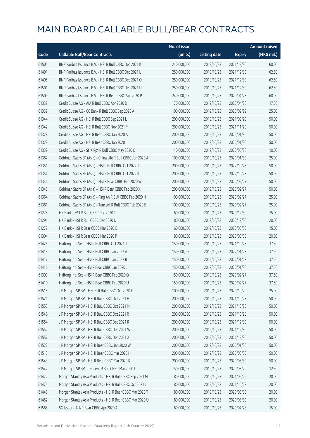|       |                                                             | No. of issue |                     |               | <b>Amount raised</b>  |
|-------|-------------------------------------------------------------|--------------|---------------------|---------------|-----------------------|
| Code  | <b>Callable Bull/Bear Contracts</b>                         | (units)      | <b>Listing date</b> | <b>Expiry</b> | $(HK\frac{1}{2}mil.)$ |
| 61505 | BNP Paribas Issuance B.V. - HSI R Bull CBBC Dec 2021 K      | 240,000,000  | 2019/10/23          | 2021/12/30    | 60.00                 |
| 61491 | BNP Paribas Issuance B.V. - HSI R Bull CBBC Dec 2021 L      | 250,000,000  | 2019/10/23          | 2021/12/30    | 62.50                 |
| 61495 | BNP Paribas Issuance B.V. - HSI R Bull CBBC Dec 2021 O      | 250,000,000  | 2019/10/23          | 2021/12/30    | 62.50                 |
| 61501 | BNP Paribas Issuance B.V. - HSI R Bull CBBC Dec 2021 U      | 250,000,000  | 2019/10/23          | 2021/12/30    | 62.50                 |
| 61509 | BNP Paribas Issuance B.V. - HSI R Bear CBBC Apr 2020 P      | 240,000,000  | 2019/10/23          | 2020/04/28    | 60.00                 |
| 61337 | Credit Suisse AG - AIA R Bull CBBC Apr 2020 D               | 70,000,000   | 2019/10/23          | 2020/04/28    | 17.50                 |
| 61332 | Credit Suisse AG - CC Bank R Bull CBBC Sep 2020 A           | 100,000,000  | 2019/10/23          | 2020/09/29    | 25.00                 |
| 61344 | Credit Suisse AG - HSI R Bull CBBC Sep 2021 L               | 200,000,000  | 2019/10/23          | 2021/09/29    | 50.00                 |
| 61342 | Credit Suisse AG - HSI R Bull CBBC Nov 2021 M               | 200,000,000  | 2019/10/23          | 2021/11/29    | 50.00                 |
| 61328 | Credit Suisse AG - HSI R Bear CBBC Jan 2020 A               | 200,000,000  | 2019/10/23          | 2020/01/30    | 50.00                 |
| 61329 | Credit Suisse AG - HSI R Bear CBBC Jan 2020 I               | 200,000,000  | 2019/10/23          | 2020/01/30    | 50.00                 |
| 61339 | Credit Suisse AG - SHK Ppt R Bull CBBC May 2020 C           | 40,000,000   | 2019/10/23          | 2020/05/28    | 10.00                 |
| 61367 | Goldman Sachs SP (Asia) - China Life R Bull CBBC Jan 2020 A | 100,000,000  | 2019/10/23          | 2020/01/30    | 25.00                 |
| 61351 | Goldman Sachs SP (Asia) - HSI R Bull CBBC Oct 2022 J        | 200,000,000  | 2019/10/23          | 2022/10/28    | 50.00                 |
| 61354 | Goldman Sachs SP (Asia) - HSI R Bull CBBC Oct 2022 K        | 200,000,000  | 2019/10/23          | 2022/10/28    | 50.00                 |
| 61346 | Goldman Sachs SP (Asia) - HSI R Bear CBBC Feb 2020 W        | 200,000,000  | 2019/10/23          | 2020/02/27    | 50.00                 |
| 61345 | Goldman Sachs SP (Asia) - HSI R Bear CBBC Feb 2020 X        | 200,000,000  | 2019/10/23          | 2020/02/27    | 50.00                 |
| 61364 | Goldman Sachs SP (Asia) - Ping An R Bull CBBC Feb 2020 H    | 100,000,000  | 2019/10/23          | 2020/02/27    | 25.00                 |
| 61361 | Goldman Sachs SP (Asia) - Tencent R Bull CBBC Feb 2020 E    | 100,000,000  | 2019/10/23          | 2020/02/27    | 25.00                 |
| 61278 | HK Bank - HSI R Bull CBBC Dec 2020 T                        | 60,000,000   | 2019/10/23          | 2020/12/30    | 15.00                 |
| 61291 | HK Bank - HSI R Bull CBBC Dec 2020 U                        | 80,000,000   | 2019/10/23          | 2020/12/30    | 20.00                 |
| 61277 | HK Bank - HSI R Bear CBBC Mar 2020 O                        | 60,000,000   | 2019/10/23          | 2020/03/30    | 15.00                 |
| 61304 | HK Bank - HSI R Bear CBBC Mar 2020 P                        | 80,000,000   | 2019/10/23          | 2020/03/30    | 20.00                 |
| 61425 | Haitong Int'l Sec - HSI R Bull CBBC Oct 2021 T              | 150,000,000  | 2019/10/23          | 2021/10/28    | 37.50                 |
| 61413 | Haitong Int'l Sec - HSI R Bull CBBC Jan 2022 A              | 150,000,000  | 2019/10/23          | 2022/01/28    | 37.50                 |
| 61417 | Haitong Int'l Sec - HSI R Bull CBBC Jan 2022 B              | 150,000,000  | 2019/10/23          | 2022/01/28    | 37.50                 |
| 61446 | Haitong Int'l Sec - HSI R Bear CBBC Jan 2020 J              | 150,000,000  | 2019/10/23          | 2020/01/30    | 37.50                 |
| 61399 | Haitong Int'l Sec - HSI R Bear CBBC Feb 2020 Q              | 150,000,000  | 2019/10/23          | 2020/02/27    | 37.50                 |
| 61410 | Haitong Int'l Sec - HSI R Bear CBBC Feb 2020 U              | 150,000,000  | 2019/10/23          | 2020/02/27    | 37.50                 |
| 61515 | J P Morgan SP BV - HSCEI R Bull CBBC Oct 2020 F             | 100,000,000  | 2019/10/23          | 2020/10/29    | 25.00                 |
| 61521 | J P Morgan SP BV - HSI R Bull CBBC Oct 2021 H               | 200,000,000  | 2019/10/23          | 2021/10/28    | 50.00                 |
| 61553 | J P Morgan SP BV - HSI R Bull CBBC Oct 2021 M               | 200,000,000  | 2019/10/23          | 2021/10/28    | 50.00                 |
| 61546 | J P Morgan SP BV - HSI R Bull CBBC Oct 2021 R               | 200,000,000  | 2019/10/23          | 2021/10/28    | 50.00                 |
| 61554 | J P Morgan SP BV - HSI R Bull CBBC Dec 2021 R               | 200,000,000  | 2019/10/23          | 2021/12/30    | 50.00                 |
| 61552 | J P Morgan SP BV - HSI R Bull CBBC Dec 2021 W               | 200,000,000  | 2019/10/23          | 2021/12/30    | 50.00                 |
| 61557 | J P Morgan SP BV - HSI R Bull CBBC Dec 2021 X               | 200,000,000  | 2019/10/23          | 2021/12/30    | 50.00                 |
| 61522 | J P Morgan SP BV - HSI R Bear CBBC Jan 2020 W               | 200,000,000  | 2019/10/23          | 2020/01/30    | 50.00                 |
| 61513 | J P Morgan SP BV - HSI R Bear CBBC Mar 2020 H               | 200,000,000  | 2019/10/23          | 2020/03/30    | 50.00                 |
| 61543 | J P Morgan SP BV - HSI R Bear CBBC Mar 2020 K               | 200,000,000  | 2019/10/23          | 2020/03/30    | 50.00                 |
| 61542 | J P Morgan SP BV - Tencent R Bull CBBC Mar 2020 L           | 50,000,000   | 2019/10/23          | 2020/03/20    | 12.50                 |
| 61472 | Morgan Stanley Asia Products - HSI R Bull CBBC Sep 2021 M   | 80,000,000   | 2019/10/23          | 2021/09/29    | 20.00                 |
| 61475 | Morgan Stanley Asia Products - HSI R Bull CBBC Oct 2021 J   | 80,000,000   | 2019/10/23          | 2021/10/28    | 20.00                 |
| 61448 | Morgan Stanley Asia Products - HSI R Bear CBBC Mar 2020 T   | 80,000,000   | 2019/10/23          | 2020/03/30    | 20.00                 |
| 61452 | Morgan Stanley Asia Products - HSI R Bear CBBC Mar 2020 U   | 80,000,000   | 2019/10/23          | 2020/03/30    | 20.00                 |
| 61568 | SG Issuer - AIA R Bear CBBC Apr 2020 A                      | 60,000,000   | 2019/10/23          | 2020/04/28    | 15.00                 |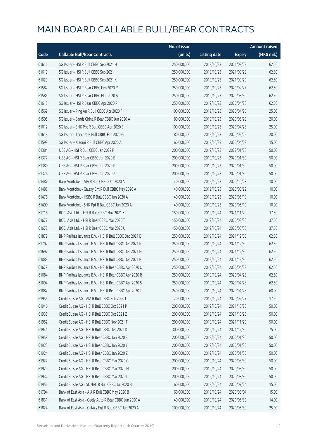|       |                                                        | No. of issue |                     |               | <b>Amount raised</b> |
|-------|--------------------------------------------------------|--------------|---------------------|---------------|----------------------|
| Code  | <b>Callable Bull/Bear Contracts</b>                    | (units)      | <b>Listing date</b> | <b>Expiry</b> | (HK\$ mil.)          |
| 61616 | SG Issuer - HSI R Bull CBBC Sep 2021 H                 | 250,000,000  | 2019/10/23          | 2021/09/29    | 62.50                |
| 61619 | SG Issuer - HSI R Bull CBBC Sep 2021 I                 | 250,000,000  | 2019/10/23          | 2021/09/29    | 62.50                |
| 61629 | SG Issuer - HSI R Bull CBBC Sep 2021 K                 | 250,000,000  | 2019/10/23          | 2021/09/29    | 62.50                |
| 61582 | SG Issuer - HSI R Bear CBBC Feb 2020 M                 | 250,000,000  | 2019/10/23          | 2020/02/27    | 62.50                |
| 61585 | SG Issuer - HSI R Bear CBBC Mar 2020 A                 | 250,000,000  | 2019/10/23          | 2020/03/30    | 62.50                |
| 61615 | SG Issuer - HSI R Bear CBBC Apr 2020 P                 | 250,000,000  | 2019/10/23          | 2020/04/28    | 62.50                |
| 61569 | SG Issuer - Ping An R Bull CBBC Apr 2020 F             | 100,000,000  | 2019/10/23          | 2020/04/28    | 25.00                |
| 61595 | SG Issuer - Sands China R Bear CBBC Jun 2020 A         | 80,000,000   | 2019/10/23          | 2020/06/29    | 20.00                |
| 61612 | SG Issuer - SHK Ppt R Bull CBBC Apr 2020 E             | 100,000,000  | 2019/10/23          | 2020/04/28    | 25.00                |
| 61613 | SG Issuer - Tencent R Bull CBBC Feb 2020 G             | 80,000,000   | 2019/10/23          | 2020/02/25    | 20.00                |
| 61599 | SG Issuer - Xiaomi R Bull CBBC Apr 2020 A              | 60,000,000   | 2019/10/23          | 2020/04/29    | 15.00                |
| 61384 | UBS AG - HSI R Bull CBBC Jan 2022 F                    | 200,000,000  | 2019/10/23          | 2022/01/28    | 50.00                |
| 61377 | UBS AG - HSI R Bear CBBC Jan 2020 E                    | 200,000,000  | 2019/10/23          | 2020/01/30    | 50.00                |
| 61380 | UBS AG - HSI R Bear CBBC Jan 2020 F                    | 200,000,000  | 2019/10/23          | 2020/01/30    | 50.00                |
| 61376 | UBS AG - HSI R Bear CBBC Jan 2020 Z                    | 200,000,000  | 2019/10/23          | 2020/01/30    | 50.00                |
| 61487 | Bank Vontobel - AIA R Bull CBBC Oct 2020 A             | 40,000,000   | 2019/10/23          | 2020/10/23    | 10.00                |
| 61488 | Bank Vontobel - Galaxy Ent R Bull CBBC May 2020 A      | 40,000,000   | 2019/10/23          | 2020/05/22    | 10.00                |
| 61476 | Bank Vontobel - HSBC R Bull CBBC Jun 2020 A            | 40,000,000   | 2019/10/23          | 2020/06/19    | 10.00                |
| 61490 | Bank Vontobel - SHK Ppt R Bull CBBC Jun 2020 A         | 40,000,000   | 2019/10/23          | 2020/06/19    | 10.00                |
| 61716 | BOCI Asia Ltd. - HSI R Bull CBBC Nov 2021 X            | 150,000,000  | 2019/10/24          | 2021/11/29    | 37.50                |
| 61677 | BOCI Asia Ltd. - HSI R Bear CBBC Mar 2020 T            | 150,000,000  | 2019/10/24          | 2020/03/30    | 37.50                |
| 61678 | BOCI Asia Ltd. - HSI R Bear CBBC Mar 2020 U            | 150,000,000  | 2019/10/24          | 2020/03/30    | 37.50                |
| 61879 | BNP Paribas Issuance B.V. - HSI R Bull CBBC Dec 2021 E | 250,000,000  | 2019/10/24          | 2021/12/30    | 62.50                |
| 61702 | BNP Paribas Issuance B.V. - HSI R Bull CBBC Dec 2021 F | 250,000,000  | 2019/10/24          | 2021/12/30    | 62.50                |
| 61697 | BNP Paribas Issuance B.V. - HSI R Bull CBBC Dec 2021 N | 250,000,000  | 2019/10/24          | 2021/12/30    | 62.50                |
| 61883 | BNP Paribas Issuance B.V. - HSI R Bull CBBC Dec 2021 P | 250,000,000  | 2019/10/24          | 2021/12/30    | 62.50                |
| 61679 | BNP Paribas Issuance B.V. - HSI R Bear CBBC Apr 2020 Q | 250,000,000  | 2019/10/24          | 2020/04/28    | 62.50                |
| 61684 | BNP Paribas Issuance B.V. - HSI R Bear CBBC Apr 2020 R | 250,000,000  | 2019/10/24          | 2020/04/28    | 62.50                |
| 61694 | BNP Paribas Issuance B.V. - HSI R Bear CBBC Apr 2020 S | 250,000,000  | 2019/10/24          | 2020/04/28    | 62.50                |
| 61887 | BNP Paribas Issuance B.V. - HSI R Bear CBBC Apr 2020 T | 240,000,000  | 2019/10/24          | 2020/04/28    | 60.00                |
| 61955 | Credit Suisse AG - AIA R Bull CBBC Feb 2020 I          | 70,000,000   | 2019/10/24          | 2020/02/27    | 17.50                |
| 61946 | Credit Suisse AG - HSI R Bull CBBC Oct 2021 P          | 200,000,000  | 2019/10/24          | 2021/10/28    | 50.00                |
| 61935 | Credit Suisse AG - HSI R Bull CBBC Oct 2021 Z          | 200,000,000  | 2019/10/24          | 2021/10/28    | 50.00                |
| 61952 | Credit Suisse AG - HSI R Bull CBBC Nov 2021 T          | 200,000,000  | 2019/10/24          | 2021/11/29    | 50.00                |
| 61941 | Credit Suisse AG - HSI R Bull CBBC Dec 2021 K          | 300,000,000  | 2019/10/24          | 2021/12/30    | 75.00                |
| 61958 | Credit Suisse AG - HSI R Bear CBBC Jan 2020 E          | 200,000,000  | 2019/10/24          | 2020/01/30    | 50.00                |
| 61923 | Credit Suisse AG - HSI R Bear CBBC Jan 2020 Y          | 200,000,000  | 2019/10/24          | 2020/01/30    | 50.00                |
| 61924 | Credit Suisse AG - HSI R Bear CBBC Jan 2020 Z          | 200,000,000  | 2019/10/24          | 2020/01/30    | 50.00                |
| 61927 | Credit Suisse AG - HSI R Bear CBBC Mar 2020 G          | 200,000,000  | 2019/10/24          | 2020/03/30    | 50.00                |
| 61929 | Credit Suisse AG - HSI R Bear CBBC Mar 2020 H          | 200,000,000  | 2019/10/24          | 2020/03/30    | 50.00                |
| 61932 | Credit Suisse AG - HSI R Bear CBBC Mar 2020 I          | 200,000,000  | 2019/10/24          | 2020/03/30    | 50.00                |
| 61956 | Credit Suisse AG - SUNAC R Bull CBBC Jul 2020 B        | 60,000,000   | 2019/10/24          | 2020/07/24    | 15.00                |
| 61794 | Bank of East Asia - AIA R Bull CBBC May 2020 B         | 60,000,000   | 2019/10/24          | 2020/05/04    | 15.00                |
| 61831 | Bank of East Asia - Geely Auto R Bear CBBC Jun 2020 A  | 40,000,000   | 2019/10/24          | 2020/06/30    | 14.00                |
| 61824 | Bank of East Asia - Galaxy Ent R Bull CBBC Jun 2020 A  | 100,000,000  | 2019/10/24          | 2020/06/30    | 25.00                |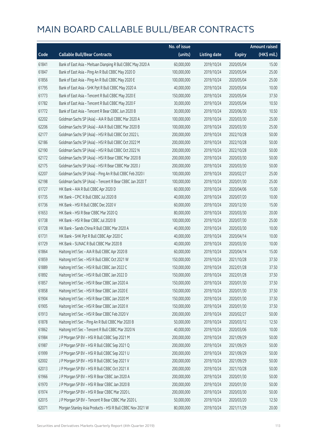|       |                                                             | No. of issue |                     |               | <b>Amount raised</b> |
|-------|-------------------------------------------------------------|--------------|---------------------|---------------|----------------------|
| Code  | <b>Callable Bull/Bear Contracts</b>                         | (units)      | <b>Listing date</b> | <b>Expiry</b> | (HK\$ mil.)          |
| 61841 | Bank of East Asia - Meituan Dianping R Bull CBBC May 2020 A | 60,000,000   | 2019/10/24          | 2020/05/04    | 15.00                |
| 61847 | Bank of East Asia - Ping An R Bull CBBC May 2020 D          | 100,000,000  | 2019/10/24          | 2020/05/04    | 25.00                |
| 61856 | Bank of East Asia - Ping An R Bull CBBC May 2020 E          | 100,000,000  | 2019/10/24          | 2020/05/04    | 25.00                |
| 61795 | Bank of East Asia - SHK Ppt R Bull CBBC May 2020 A          | 40,000,000   | 2019/10/24          | 2020/05/04    | 10.00                |
| 61773 | Bank of East Asia - Tencent R Bull CBBC May 2020 E          | 150,000,000  | 2019/10/24          | 2020/05/04    | 37.50                |
| 61782 | Bank of East Asia - Tencent R Bull CBBC May 2020 F          | 30,000,000   | 2019/10/24          | 2020/05/04    | 10.50                |
| 61772 | Bank of East Asia - Tencent R Bear CBBC Jun 2020 B          | 30,000,000   | 2019/10/24          | 2020/06/30    | 10.50                |
| 62202 | Goldman Sachs SP (Asia) - AIA R Bull CBBC Mar 2020 A        | 100,000,000  | 2019/10/24          | 2020/03/30    | 25.00                |
| 62206 | Goldman Sachs SP (Asia) - AIA R Bull CBBC Mar 2020 B        | 100,000,000  | 2019/10/24          | 2020/03/30    | 25.00                |
| 62177 | Goldman Sachs SP (Asia) - HSI R Bull CBBC Oct 2022 L        | 200,000,000  | 2019/10/24          | 2022/10/28    | 50.00                |
| 62186 | Goldman Sachs SP (Asia) - HSI R Bull CBBC Oct 2022 M        | 200,000,000  | 2019/10/24          | 2022/10/28    | 50.00                |
| 62190 | Goldman Sachs SP (Asia) - HSI R Bull CBBC Oct 2022 N        | 200,000,000  | 2019/10/24          | 2022/10/28    | 50.00                |
| 62172 | Goldman Sachs SP (Asia) - HSI R Bear CBBC Mar 2020 B        | 200,000,000  | 2019/10/24          | 2020/03/30    | 50.00                |
| 62175 | Goldman Sachs SP (Asia) - HSI R Bear CBBC Mar 2020 J        | 200,000,000  | 2019/10/24          | 2020/03/30    | 50.00                |
| 62207 | Goldman Sachs SP (Asia) - Ping An R Bull CBBC Feb 2020 I    | 100,000,000  | 2019/10/24          | 2020/02/27    | 25.00                |
| 62198 | Goldman Sachs SP (Asia) - Tencent R Bear CBBC Jan 2020 T    | 100,000,000  | 2019/10/24          | 2020/01/30    | 25.00                |
| 61727 | HK Bank - AIA R Bull CBBC Apr 2020 D                        | 60,000,000   | 2019/10/24          | 2020/04/06    | 15.00                |
| 61735 | HK Bank - CPIC R Bull CBBC Jul 2020 B                       | 40,000,000   | 2019/10/24          | 2020/07/20    | 10.00                |
| 61736 | HK Bank - HSI R Bull CBBC Dec 2020 V                        | 60,000,000   | 2019/10/24          | 2020/12/30    | 15.00                |
| 61653 | HK Bank - HSI R Bear CBBC Mar 2020 Q                        | 80,000,000   | 2019/10/24          | 2020/03/30    | 20.00                |
| 61738 | HK Bank - HSI R Bear CBBC Jul 2020 B                        | 100,000,000  | 2019/10/24          | 2020/07/30    | 25.00                |
| 61728 | HK Bank - Sands China R Bull CBBC Mar 2020 A                | 40,000,000   | 2019/10/24          | 2020/03/30    | 10.00                |
| 61731 | HK Bank - SHK Ppt R Bull CBBC Apr 2020 C                    | 40,000,000   | 2019/10/24          | 2020/04/14    | 10.00                |
| 61729 | HK Bank - SUNAC R Bull CBBC Mar 2020 B                      | 40,000,000   | 2019/10/24          | 2020/03/30    | 10.00                |
| 61864 | Haitong Int'l Sec - AIA R Bull CBBC Apr 2020 B              | 60,000,000   | 2019/10/24          | 2020/04/14    | 15.00                |
| 61859 | Haitong Int'l Sec - HSI R Bull CBBC Oct 2021 W              | 150,000,000  | 2019/10/24          | 2021/10/28    | 37.50                |
| 61889 | Haitong Int'l Sec - HSI R Bull CBBC Jan 2022 C              | 150,000,000  | 2019/10/24          | 2022/01/28    | 37.50                |
| 61892 | Haitong Int'l Sec - HSI R Bull CBBC Jan 2022 D              | 150,000,000  | 2019/10/24          | 2022/01/28    | 37.50                |
| 61857 | Haitong Int'l Sec - HSI R Bear CBBC Jan 2020 A              | 150,000,000  | 2019/10/24          | 2020/01/30    | 37.50                |
| 61858 | Haitong Int'l Sec - HSI R Bear CBBC Jan 2020 E              | 150,000,000  | 2019/10/24          | 2020/01/30    | 37.50                |
| 61904 | Haitong Int'l Sec - HSI R Bear CBBC Jan 2020 M              | 150,000,000  | 2019/10/24          | 2020/01/30    | 37.50                |
| 61905 | Haitong Int'l Sec - HSI R Bear CBBC Jan 2020 X              | 150,000,000  | 2019/10/24          | 2020/01/30    | 37.50                |
| 61913 | Haitong Int'l Sec - HSI R Bear CBBC Feb 2020 V              | 200,000,000  | 2019/10/24          | 2020/02/27    | 50.00                |
| 61878 | Haitong Int'l Sec - Ping An R Bull CBBC Mar 2020 B          | 50,000,000   | 2019/10/24          | 2020/03/12    | 12.50                |
| 61862 | Haitong Int'l Sec - Tencent R Bull CBBC Mar 2020 N          | 40,000,000   | 2019/10/24          | 2020/03/06    | 10.00                |
| 61984 | J P Morgan SP BV - HSI R Bull CBBC Sep 2021 M               | 200,000,000  | 2019/10/24          | 2021/09/29    | 50.00                |
| 61987 | J P Morgan SP BV - HSI R Bull CBBC Sep 2021 Q               | 200,000,000  | 2019/10/24          | 2021/09/29    | 50.00                |
| 61999 | J P Morgan SP BV - HSI R Bull CBBC Sep 2021 U               | 200,000,000  | 2019/10/24          | 2021/09/29    | 50.00                |
| 62002 | J P Morgan SP BV - HSI R Bull CBBC Sep 2021 V               | 200,000,000  | 2019/10/24          | 2021/09/29    | 50.00                |
| 62013 | J P Morgan SP BV - HSI R Bull CBBC Oct 2021 X               | 200,000,000  | 2019/10/24          | 2021/10/28    | 50.00                |
| 61966 | J P Morgan SP BV - HSI R Bear CBBC Jan 2020 A               | 200,000,000  | 2019/10/24          | 2020/01/30    | 50.00                |
| 61970 | J P Morgan SP BV - HSI R Bear CBBC Jan 2020 B               | 200,000,000  | 2019/10/24          | 2020/01/30    | 50.00                |
| 61974 | J P Morgan SP BV - HSI R Bear CBBC Mar 2020 L               | 200,000,000  | 2019/10/24          | 2020/03/30    | 50.00                |
| 62015 | J P Morgan SP BV - Tencent R Bear CBBC Mar 2020 L           | 50,000,000   | 2019/10/24          | 2020/03/20    | 12.50                |
| 62071 | Morgan Stanley Asia Products - HSI R Bull CBBC Nov 2021 W   | 80,000,000   | 2019/10/24          | 2021/11/29    | 20.00                |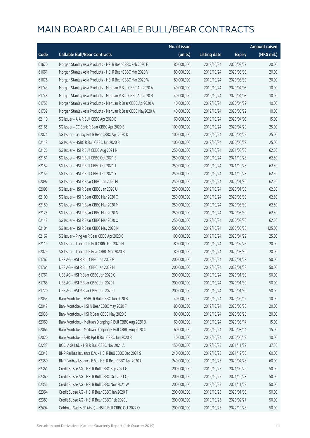|       |                                                              | No. of issue |                     |               | <b>Amount raised</b>  |
|-------|--------------------------------------------------------------|--------------|---------------------|---------------|-----------------------|
| Code  | <b>Callable Bull/Bear Contracts</b>                          | (units)      | <b>Listing date</b> | <b>Expiry</b> | $(HK\frac{1}{2}mil.)$ |
| 61670 | Morgan Stanley Asia Products - HSI R Bear CBBC Feb 2020 E    | 80,000,000   | 2019/10/24          | 2020/02/27    | 20.00                 |
| 61661 | Morgan Stanley Asia Products - HSI R Bear CBBC Mar 2020 V    | 80,000,000   | 2019/10/24          | 2020/03/30    | 20.00                 |
| 61676 | Morgan Stanley Asia Products - HSI R Bear CBBC Mar 2020 W    | 80,000,000   | 2019/10/24          | 2020/03/30    | 20.00                 |
| 61743 | Morgan Stanley Asia Products - Meituan R Bull CBBC Apr2020 A | 40,000,000   | 2019/10/24          | 2020/04/03    | 10.00                 |
| 61748 | Morgan Stanley Asia Products - Meituan R Bull CBBC Apr2020 B | 40,000,000   | 2019/10/24          | 2020/04/08    | 10.00                 |
| 61755 | Morgan Stanley Asia Products - Meituan R Bear CBBC Apr2020 A | 40,000,000   | 2019/10/24          | 2020/04/22    | 10.00                 |
| 61739 | Morgan Stanley Asia Products - Meituan R Bear CBBC May2020 A | 40,000,000   | 2019/10/24          | 2020/05/22    | 10.00                 |
| 62110 | SG Issuer - AIA R Bull CBBC Apr 2020 E                       | 60,000,000   | 2019/10/24          | 2020/04/03    | 15.00                 |
| 62165 | SG Issuer - CC Bank R Bear CBBC Apr 2020 B                   | 100,000,000  | 2019/10/24          | 2020/04/29    | 25.00                 |
| 62074 | SG Issuer - Galaxy Ent R Bear CBBC Apr 2020 D                | 100,000,000  | 2019/10/24          | 2020/04/29    | 25.00                 |
| 62118 | SG Issuer - HSBC R Bull CBBC Jun 2020 B                      | 100,000,000  | 2019/10/24          | 2020/06/29    | 25.00                 |
| 62126 | SG Issuer - HSI R Bull CBBC Aug 2021 N                       | 250,000,000  | 2019/10/24          | 2021/08/30    | 62.50                 |
| 62151 | SG Issuer - HSI R Bull CBBC Oct 2021 E                       | 250,000,000  | 2019/10/24          | 2021/10/28    | 62.50                 |
| 62152 | SG Issuer - HSI R Bull CBBC Oct 2021 J                       | 250,000,000  | 2019/10/24          | 2021/10/28    | 62.50                 |
| 62159 | SG Issuer - HSI R Bull CBBC Oct 2021 Y                       | 250,000,000  | 2019/10/24          | 2021/10/28    | 62.50                 |
| 62097 | SG Issuer - HSI R Bear CBBC Jan 2020 M                       | 250,000,000  | 2019/10/24          | 2020/01/30    | 62.50                 |
| 62098 | SG Issuer - HSI R Bear CBBC Jan 2020 U                       | 250,000,000  | 2019/10/24          | 2020/01/30    | 62.50                 |
| 62100 | SG Issuer - HSI R Bear CBBC Mar 2020 C                       | 250,000,000  | 2019/10/24          | 2020/03/30    | 62.50                 |
| 62150 | SG Issuer - HSI R Bear CBBC Mar 2020 M                       | 250,000,000  | 2019/10/24          | 2020/03/30    | 62.50                 |
| 62125 | SG Issuer - HSI R Bear CBBC Mar 2020 N                       | 250,000,000  | 2019/10/24          | 2020/03/30    | 62.50                 |
| 62148 | SG Issuer - HSI R Bear CBBC Mar 2020 O                       | 250,000,000  | 2019/10/24          | 2020/03/30    | 62.50                 |
| 62104 | SG Issuer - HSI R Bear CBBC May 2020 N                       | 500,000,000  | 2019/10/24          | 2020/05/28    | 125.00                |
| 62167 | SG Issuer - Ping An R Bear CBBC Apr 2020 C                   | 100,000,000  | 2019/10/24          | 2020/04/29    | 25.00                 |
| 62119 | SG Issuer - Tencent R Bull CBBC Feb 2020 H                   | 80,000,000   | 2019/10/24          | 2020/02/26    | 20.00                 |
| 62079 | SG Issuer - Tencent R Bear CBBC Mar 2020 B                   | 80,000,000   | 2019/10/24          | 2020/03/30    | 20.00                 |
| 61762 | UBS AG - HSI R Bull CBBC Jan 2022 G                          | 200,000,000  | 2019/10/24          | 2022/01/28    | 50.00                 |
| 61764 | UBS AG - HSI R Bull CBBC Jan 2022 H                          | 200,000,000  | 2019/10/24          | 2022/01/28    | 50.00                 |
| 61761 | UBS AG - HSI R Bear CBBC Jan 2020 G                          | 200,000,000  | 2019/10/24          | 2020/01/30    | 50.00                 |
| 61768 | UBS AG - HSI R Bear CBBC Jan 2020 I                          | 200,000,000  | 2019/10/24          | 2020/01/30    | 50.00                 |
| 61770 | UBS AG - HSI R Bear CBBC Jan 2020 J                          | 200,000,000  | 2019/10/24          | 2020/01/30    | 50.00                 |
| 62053 | Bank Vontobel - HSBC R Bull CBBC Jun 2020 B                  | 40,000,000   | 2019/10/24          | 2020/06/12    | 10.00                 |
| 62047 | Bank Vontobel - HSI N Bear CBBC May 2020 F                   | 80,000,000   | 2019/10/24          | 2020/05/28    | 20.00                 |
| 62036 | Bank Vontobel - HSI R Bear CBBC May 2020 E                   | 80,000,000   | 2019/10/24          | 2020/05/28    | 20.00                 |
| 62060 | Bank Vontobel - Meituan Dianping R Bull CBBC Aug 2020 B      | 60,000,000   | 2019/10/24          | 2020/08/14    | 15.00                 |
| 62066 | Bank Vontobel - Meituan Dianping R Bull CBBC Aug 2020 C      | 60,000,000   | 2019/10/24          | 2020/08/14    | 15.00                 |
| 62020 | Bank Vontobel - SHK Ppt R Bull CBBC Jun 2020 B               | 40,000,000   | 2019/10/24          | 2020/06/19    | 10.00                 |
| 62233 | BOCI Asia Ltd. - HSI R Bull CBBC Nov 2021 A                  | 150,000,000  | 2019/10/25          | 2021/11/29    | 37.50                 |
| 62348 | BNP Paribas Issuance B.V. - HSI R Bull CBBC Dec 2021 S       | 240,000,000  | 2019/10/25          | 2021/12/30    | 60.00                 |
| 62350 | BNP Paribas Issuance B.V. - HSI R Bear CBBC Apr 2020 U       | 240,000,000  | 2019/10/25          | 2020/04/28    | 60.00                 |
| 62361 | Credit Suisse AG - HSI R Bull CBBC Sep 2021 G                | 200,000,000  | 2019/10/25          | 2021/09/29    | 50.00                 |
| 62360 | Credit Suisse AG - HSI R Bull CBBC Oct 2021 Q                | 200,000,000  | 2019/10/25          | 2021/10/28    | 50.00                 |
| 62356 | Credit Suisse AG - HSI R Bull CBBC Nov 2021 W                | 200,000,000  | 2019/10/25          | 2021/11/29    | 50.00                 |
| 62364 | Credit Suisse AG - HSI R Bear CBBC Jan 2020 T                | 200,000,000  | 2019/10/25          | 2020/01/30    | 50.00                 |
| 62389 | Credit Suisse AG - HSI R Bear CBBC Feb 2020 J                | 200,000,000  | 2019/10/25          | 2020/02/27    | 50.00                 |
| 62494 | Goldman Sachs SP (Asia) - HSI R Bull CBBC Oct 2022 O         | 200,000,000  | 2019/10/25          | 2022/10/28    | 50.00                 |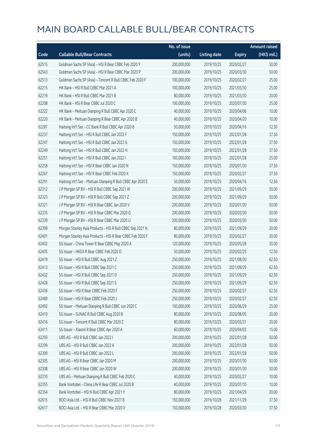|       |                                                             | No. of issue |                     |               | <b>Amount raised</b> |
|-------|-------------------------------------------------------------|--------------|---------------------|---------------|----------------------|
| Code  | <b>Callable Bull/Bear Contracts</b>                         | (units)      | <b>Listing date</b> | <b>Expiry</b> | (HK\$ mil.)          |
| 62515 | Goldman Sachs SP (Asia) - HSI R Bear CBBC Feb 2020 Y        | 200,000,000  | 2019/10/25          | 2020/02/27    | 50.00                |
| 62543 | Goldman Sachs SP (Asia) - HSI R Bear CBBC Mar 2020 P        | 200,000,000  | 2019/10/25          | 2020/03/30    | 50.00                |
| 62513 | Goldman Sachs SP (Asia) - Tencent R Bull CBBC Feb 2020 F    | 100,000,000  | 2019/10/25          | 2020/02/27    | 25.00                |
| 62215 | HK Bank - HSI R Bull CBBC Mar 2021 A                        | 100,000,000  | 2019/10/25          | 2021/03/30    | 25.00                |
| 62219 | HK Bank - HSI R Bull CBBC Mar 2021 B                        | 80,000,000   | 2019/10/25          | 2021/03/30    | 20.00                |
| 62208 | HK Bank - HSI R Bear CBBC Jul 2020 C                        | 100,000,000  | 2019/10/25          | 2020/07/30    | 25.00                |
| 62222 | HK Bank - Meituan Dianping R Bull CBBC Apr 2020 C           | 40,000,000   | 2019/10/25          | 2020/04/06    | 10.00                |
| 62220 | HK Bank - Meituan Dianping R Bear CBBC Apr 2020 B           | 40,000,000   | 2019/10/25          | 2020/04/20    | 10.00                |
| 62287 | Haitong Int'l Sec - CC Bank R Bull CBBC Apr 2020 B          | 50,000,000   | 2019/10/25          | 2020/04/16    | 12.50                |
| 62237 | Haitong Int'l Sec - HSI R Bull CBBC Jan 2022 F              | 150,000,000  | 2019/10/25          | 2022/01/28    | 37.50                |
| 62247 | Haitong Int'l Sec - HSI R Bull CBBC Jan 2022 G              | 150,000,000  | 2019/10/25          | 2022/01/28    | 37.50                |
| 62249 | Haitong Int'l Sec - HSI R Bull CBBC Jan 2022 H              | 150,000,000  | 2019/10/25          | 2022/01/28    | 37.50                |
| 62251 | Haitong Int'l Sec - HSI R Bull CBBC Jan 2022 I              | 100,000,000  | 2019/10/25          | 2022/01/28    | 25.00                |
| 62258 | Haitong Int'l Sec - HSI R Bear CBBC Jan 2020 N              | 150,000,000  | 2019/10/25          | 2020/01/30    | 37.50                |
| 62267 | Haitong Int'l Sec - HSI R Bear CBBC Feb 2020 X              | 150,000,000  | 2019/10/25          | 2020/02/27    | 37.50                |
| 62291 | Haitong Int'l Sec - Meituan Dianping R Bull CBBC Apr 2020 E | 50,000,000   | 2019/10/25          | 2020/04/16    | 12.50                |
| 62312 | J P Morgan SP BV - HSI R Bull CBBC Sep 2021 W               | 200,000,000  | 2019/10/25          | 2021/09/29    | 50.00                |
| 62323 | J P Morgan SP BV - HSI R Bull CBBC Sep 2021 Z               | 200,000,000  | 2019/10/25          | 2021/09/29    | 50.00                |
| 62321 | J P Morgan SP BV - HSI R Bear CBBC Jan 2020 V               | 200,000,000  | 2019/10/25          | 2020/01/30    | 50.00                |
| 62335 | J P Morgan SP BV - HSI R Bear CBBC Mar 2020 Q               | 200,000,000  | 2019/10/25          | 2020/03/30    | 50.00                |
| 62339 | J P Morgan SP BV - HSI R Bear CBBC Mar 2020 U               | 200,000,000  | 2019/10/25          | 2020/03/30    | 50.00                |
| 62399 | Morgan Stanley Asia Products - HSI R Bull CBBC Sep 2021 N   | 80,000,000   | 2019/10/25          | 2021/09/29    | 20.00                |
| 62401 | Morgan Stanley Asia Products - HSI R Bear CBBC Feb 2020 F   | 80,000,000   | 2019/10/25          | 2020/02/27    | 20.00                |
| 62402 | SG Issuer - China Tower R Bear CBBC May 2020 A              | 120,000,000  | 2019/10/25          | 2020/05/28    | 30.00                |
| 62405 | SG Issuer - HKEX R Bear CBBC Feb 2020 O                     | 50,000,000   | 2019/10/25          | 2020/02/25    | 12.50                |
| 62419 | SG Issuer - HSI R Bull CBBC Aug 2021 Z                      | 250,000,000  | 2019/10/25          | 2021/08/30    | 62.50                |
| 62413 | SG Issuer - HSI R Bull CBBC Sep 2021 C                      | 250,000,000  | 2019/10/25          | 2021/09/29    | 62.50                |
| 62432 | SG Issuer - HSI R Bull CBBC Sep 2021 D                      | 250,000,000  | 2019/10/25          | 2021/09/29    | 62.50                |
| 62428 | SG Issuer - HSI R Bull CBBC Sep 2021 S                      | 250,000,000  | 2019/10/25          | 2021/09/29    | 62.50                |
| 62436 | SG Issuer - HSI R Bear CBBC Feb 2020 F                      | 250,000,000  | 2019/10/25          | 2020/02/27    | 62.50                |
| 62489 | SG Issuer - HSI R Bear CBBC Feb 2020 J                      | 250,000,000  | 2019/10/25          | 2020/02/27    | 62.50                |
| 62492 | SG Issuer - Meituan Dianping R Bull CBBC Jun 2020 C         | 100,000,000  | 2019/10/25          | 2020/06/29    | 25.00                |
| 62410 | SG Issuer - SUNAC R Bull CBBC Aug 2020 B                    | 80,000,000   | 2019/10/25          | 2020/08/05    | 20.00                |
| 62416 | SG Issuer - Tencent R Bull CBBC Mar 2020 Z                  | 80,000,000   | 2019/10/25          | 2020/03/31    | 20.00                |
| 62411 | SG Issuer - Xiaomi R Bear CBBC Apr 2020 A                   | 60,000,000   | 2019/10/25          | 2020/04/03    | 15.00                |
| 62293 | UBS AG - HSI R Bull CBBC Jan 2022 I                         | 200,000,000  | 2019/10/25          | 2022/01/28    | 50.00                |
| 62299 | UBS AG - HSI R Bull CBBC Jan 2022 K                         | 200,000,000  | 2019/10/25          | 2022/01/28    | 50.00                |
| 62300 | UBS AG - HSI R Bull CBBC Jan 2022 L                         | 200,000,000  | 2019/10/25          | 2022/01/28    | 50.00                |
| 62305 | UBS AG - HSI R Bear CBBC Jan 2020 M                         | 200,000,000  | 2019/10/25          | 2020/01/30    | 50.00                |
| 62308 | UBS AG - HSI R Bear CBBC Jan 2020 W                         | 200,000,000  | 2019/10/25          | 2020/01/30    | 50.00                |
| 62310 | UBS AG - Meituan Dianping R Bull CBBC Feb 2020 C            | 40,000,000   | 2019/10/25          | 2020/02/27    | 10.00                |
| 62355 | Bank Vontobel - China Life R Bear CBBC Jul 2020 B           | 40,000,000   | 2019/10/25          | 2020/07/10    | 10.00                |
| 62354 | Bank Vontobel - HSI N Bull CBBC Apr 2021 Y                  | 80,000,000   | 2019/10/25          | 2021/04/29    | 20.00                |
| 62615 | BOCI Asia Ltd. - HSI R Bull CBBC Nov 2021 B                 | 150,000,000  | 2019/10/28          | 2021/11/29    | 37.50                |
| 62617 | BOCI Asia Ltd. - HSI R Bear CBBC Mar 2020 V                 | 150,000,000  | 2019/10/28          | 2020/03/30    | 37.50                |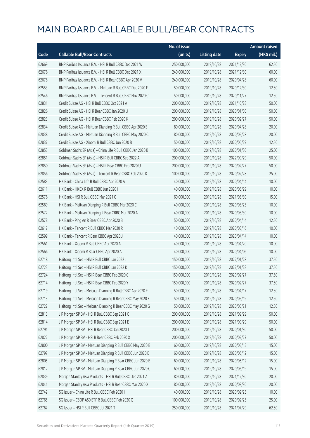|       |                                                             | No. of issue |                     |               | <b>Amount raised</b> |
|-------|-------------------------------------------------------------|--------------|---------------------|---------------|----------------------|
| Code  | <b>Callable Bull/Bear Contracts</b>                         | (units)      | <b>Listing date</b> | <b>Expiry</b> | (HK\$ mil.)          |
| 62669 | BNP Paribas Issuance B.V. - HSI R Bull CBBC Dec 2021 W      | 250,000,000  | 2019/10/28          | 2021/12/30    | 62.50                |
| 62676 | BNP Paribas Issuance B.V. - HSI R Bull CBBC Dec 2021 X      | 240,000,000  | 2019/10/28          | 2021/12/30    | 60.00                |
| 62678 | BNP Paribas Issuance B.V. - HSI R Bear CBBC Apr 2020 V      | 240,000,000  | 2019/10/28          | 2020/04/28    | 60.00                |
| 62553 | BNP Paribas Issuance B.V. - Meituan R Bull CBBC Dec 2020 F  | 50,000,000   | 2019/10/28          | 2020/12/30    | 12.50                |
| 62546 | BNP Paribas Issuance B.V. - Tencent R Bull CBBC Nov 2020 C  | 50,000,000   | 2019/10/28          | 2020/11/27    | 12.50                |
| 62831 | Credit Suisse AG - HSI R Bull CBBC Oct 2021 A               | 200,000,000  | 2019/10/28          | 2021/10/28    | 50.00                |
| 62826 | Credit Suisse AG - HSI R Bear CBBC Jan 2020 U               | 200,000,000  | 2019/10/28          | 2020/01/30    | 50.00                |
| 62823 | Credit Suisse AG - HSI R Bear CBBC Feb 2020 K               | 200,000,000  | 2019/10/28          | 2020/02/27    | 50.00                |
| 62834 | Credit Suisse AG - Meituan Dianping R Bull CBBC Apr 2020 E  | 80,000,000   | 2019/10/28          | 2020/04/28    | 20.00                |
| 62838 | Credit Suisse AG - Meituan Dianping R Bull CBBC May 2020 C  | 80,000,000   | 2019/10/28          | 2020/05/28    | 20.00                |
| 62837 | Credit Suisse AG - Xiaomi R Bull CBBC Jun 2020 B            | 50,000,000   | 2019/10/28          | 2020/06/29    | 12.50                |
| 62853 | Goldman Sachs SP (Asia) - China Life R Bull CBBC Jan 2020 B | 100,000,000  | 2019/10/28          | 2020/01/30    | 25.00                |
| 62851 | Goldman Sachs SP (Asia) - HSI R Bull CBBC Sep 2022 A        | 200,000,000  | 2019/10/28          | 2022/09/29    | 50.00                |
| 62850 | Goldman Sachs SP (Asia) - HSI R Bear CBBC Feb 2020 U        | 200,000,000  | 2019/10/28          | 2020/02/27    | 50.00                |
| 62856 | Goldman Sachs SP (Asia) - Tencent R Bear CBBC Feb 2020 K    | 100,000,000  | 2019/10/28          | 2020/02/28    | 25.00                |
| 62583 | HK Bank - China Life R Bull CBBC Apr 2020 A                 | 40,000,000   | 2019/10/28          | 2020/04/14    | 10.00                |
| 62611 | HK Bank - HKEX R Bull CBBC Jun 2020 I                       | 40,000,000   | 2019/10/28          | 2020/06/29    | 10.00                |
| 62576 | HK Bank - HSI R Bull CBBC Mar 2021 C                        | 60,000,000   | 2019/10/28          | 2021/03/30    | 15.00                |
| 62569 | HK Bank - Meituan Dianping R Bull CBBC Mar 2020 C           | 40,000,000   | 2019/10/28          | 2020/03/23    | 10.00                |
| 62572 | HK Bank - Meituan Dianping R Bear CBBC Mar 2020 A           | 40,000,000   | 2019/10/28          | 2020/03/30    | 10.00                |
| 62578 | HK Bank - Ping An R Bear CBBC Apr 2020 B                    | 50,000,000   | 2019/10/28          | 2020/04/14    | 12.50                |
| 62612 | HK Bank - Tencent R Bull CBBC Mar 2020 R                    | 40,000,000   | 2019/10/28          | 2020/03/16    | 10.00                |
| 62599 | HK Bank - Tencent R Bear CBBC Apr 2020 J                    | 40,000,000   | 2019/10/28          | 2020/04/14    | 10.00                |
| 62561 | HK Bank - Xiaomi R Bull CBBC Apr 2020 A                     | 40,000,000   | 2019/10/28          | 2020/04/20    | 10.00                |
| 62566 | HK Bank - Xiaomi R Bear CBBC Apr 2020 A                     | 40,000,000   | 2019/10/28          | 2020/04/06    | 10.00                |
| 62718 | Haitong Int'l Sec - HSI R Bull CBBC Jan 2022 J              | 150,000,000  | 2019/10/28          | 2022/01/28    | 37.50                |
| 62723 | Haitong Int'l Sec - HSI R Bull CBBC Jan 2022 K              | 150,000,000  | 2019/10/28          | 2022/01/28    | 37.50                |
| 62724 | Haitong Int'l Sec - HSI R Bear CBBC Feb 2020 C              | 150,000,000  | 2019/10/28          | 2020/02/27    | 37.50                |
| 62714 | Haitong Int'l Sec - HSI R Bear CBBC Feb 2020 Y              | 150,000,000  | 2019/10/28          | 2020/02/27    | 37.50                |
| 62719 | Haitong Int'l Sec - Meituan Dianping R Bull CBBC Apr 2020 F | 50,000,000   | 2019/10/28          | 2020/04/17    | 12.50                |
| 62713 | Haitong Int'l Sec - Meituan Dianping R Bear CBBC May 2020 F | 50,000,000   | 2019/10/28          | 2020/05/19    | 12.50                |
| 62722 | Haitong Int'l Sec - Meituan Dianping R Bear CBBC May 2020 G | 50,000,000   | 2019/10/28          | 2020/05/21    | 12.50                |
| 62813 | J P Morgan SP BV - HSI R Bull CBBC Sep 2021 C               | 200,000,000  | 2019/10/28          | 2021/09/29    | 50.00                |
| 62814 | J P Morgan SP BV - HSI R Bull CBBC Sep 2021 E               | 200,000,000  | 2019/10/28          | 2021/09/29    | 50.00                |
| 62791 | J P Morgan SP BV - HSI R Bear CBBC Jan 2020 T               | 200,000,000  | 2019/10/28          | 2020/01/30    | 50.00                |
| 62822 | J P Morgan SP BV - HSI R Bear CBBC Feb 2020 X               | 200,000,000  | 2019/10/28          | 2020/02/27    | 50.00                |
| 62800 | J P Morgan SP BV - Meituan Dianping R Bull CBBC May 2020 B  | 60,000,000   | 2019/10/28          | 2020/05/15    | 15.00                |
| 62797 | J P Morgan SP BV - Meituan Dianping R Bull CBBC Jun 2020 B  | 60,000,000   | 2019/10/28          | 2020/06/12    | 15.00                |
| 62805 | J P Morgan SP BV - Meituan Dianping R Bear CBBC Jun 2020 B  | 60,000,000   | 2019/10/28          | 2020/06/12    | 15.00                |
| 62812 | J P Morgan SP BV - Meituan Dianping R Bear CBBC Jun 2020 C  | 60,000,000   | 2019/10/28          | 2020/06/19    | 15.00                |
| 62839 | Morgan Stanley Asia Products - HSI R Bull CBBC Dec 2021 Z   | 80,000,000   | 2019/10/28          | 2021/12/30    | 20.00                |
| 62841 | Morgan Stanley Asia Products - HSI R Bear CBBC Mar 2020 X   | 80,000,000   | 2019/10/28          | 2020/03/30    | 20.00                |
| 62742 | SG Issuer - China Life R Bull CBBC Feb 2020 I               | 40,000,000   | 2019/10/28          | 2020/02/25    | 10.00                |
| 62765 | SG Issuer - CSOP A50 ETF R Bull CBBC Feb 2020 Q             | 100,000,000  | 2019/10/28          | 2020/02/25    | 25.00                |
| 62767 | SG Issuer - HSI R Bull CBBC Jul 2021 T                      | 250,000,000  | 2019/10/28          | 2021/07/29    | 62.50                |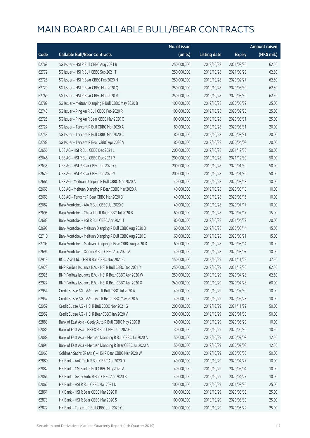|       |                                                             | No. of issue |                     |               | <b>Amount raised</b> |
|-------|-------------------------------------------------------------|--------------|---------------------|---------------|----------------------|
| Code  | <b>Callable Bull/Bear Contracts</b>                         | (units)      | <b>Listing date</b> | <b>Expiry</b> | (HK\$ mil.)          |
| 62768 | SG Issuer - HSI R Bull CBBC Aug 2021 R                      | 250,000,000  | 2019/10/28          | 2021/08/30    | 62.50                |
| 62772 | SG Issuer - HSI R Bull CBBC Sep 2021 T                      | 250,000,000  | 2019/10/28          | 2021/09/29    | 62.50                |
| 62728 | SG Issuer - HSI R Bear CBBC Feb 2020 N                      | 250,000,000  | 2019/10/28          | 2020/02/27    | 62.50                |
| 62729 | SG Issuer - HSI R Bear CBBC Mar 2020 Q                      | 250,000,000  | 2019/10/28          | 2020/03/30    | 62.50                |
| 62769 | SG Issuer - HSI R Bear CBBC Mar 2020 R                      | 250,000,000  | 2019/10/28          | 2020/03/30    | 62.50                |
| 62787 | SG Issuer - Meituan Dianping R Bull CBBC May 2020 B         | 100,000,000  | 2019/10/28          | 2020/05/29    | 25.00                |
| 62743 | SG Issuer - Ping An R Bull CBBC Feb 2020 R                  | 100,000,000  | 2019/10/28          | 2020/02/25    | 25.00                |
| 62725 | SG Issuer - Ping An R Bear CBBC Mar 2020 C                  | 100,000,000  | 2019/10/28          | 2020/03/31    | 25.00                |
| 62727 | SG Issuer - Tencent R Bull CBBC Mar 2020 A                  | 80,000,000   | 2019/10/28          | 2020/03/31    | 20.00                |
| 62753 | SG Issuer - Tencent R Bull CBBC Mar 2020 C                  | 80,000,000   | 2019/10/28          | 2020/03/31    | 20.00                |
| 62788 | SG Issuer - Tencent R Bear CBBC Apr 2020 V                  | 80,000,000   | 2019/10/28          | 2020/04/03    | 20.00                |
| 62656 | UBS AG - HSI R Bull CBBC Dec 2021 L                         | 200,000,000  | 2019/10/28          | 2021/12/30    | 50.00                |
| 62646 | UBS AG - HSI R Bull CBBC Dec 2021 R                         | 200,000,000  | 2019/10/28          | 2021/12/30    | 50.00                |
| 62635 | UBS AG - HSI R Bear CBBC Jan 2020 Q                         | 200,000,000  | 2019/10/28          | 2020/01/30    | 50.00                |
| 62629 | UBS AG - HSI R Bear CBBC Jan 2020 Y                         | 200,000,000  | 2019/10/28          | 2020/01/30    | 50.00                |
| 62664 | UBS AG - Meituan Dianping R Bull CBBC Mar 2020 A            | 40,000,000   | 2019/10/28          | 2020/03/18    | 10.00                |
| 62665 | UBS AG - Meituan Dianping R Bear CBBC Mar 2020 A            | 40,000,000   | 2019/10/28          | 2020/03/18    | 10.00                |
| 62663 | UBS AG - Tencent R Bear CBBC Mar 2020 B                     | 40,000,000   | 2019/10/28          | 2020/03/16    | 10.00                |
| 62682 | Bank Vontobel - AIA R Bull CBBC Jul 2020 C                  | 40,000,000   | 2019/10/28          | 2020/07/17    | 10.00                |
| 62695 | Bank Vontobel - China Life R Bull CBBC Jul 2020 B           | 60,000,000   | 2019/10/28          | 2020/07/17    | 15.00                |
| 62683 | Bank Vontobel - HSI R Bull CBBC Apr 2021 T                  | 80,000,000   | 2019/10/28          | 2021/04/29    | 20.00                |
| 62698 | Bank Vontobel - Meituan Dianping R Bull CBBC Aug 2020 D     | 60,000,000   | 2019/10/28          | 2020/08/14    | 15.00                |
| 62710 | Bank Vontobel - Meituan Dianping R Bull CBBC Aug 2020 E     | 60,000,000   | 2019/10/28          | 2020/08/21    | 15.00                |
| 62703 | Bank Vontobel - Meituan Dianping R Bear CBBC Aug 2020 D     | 60,000,000   | 2019/10/28          | 2020/08/14    | 18.00                |
| 62696 | Bank Vontobel - Xiaomi R Bull CBBC Aug 2020 A               | 40,000,000   | 2019/10/28          | 2020/08/07    | 10.00                |
| 62919 | BOCI Asia Ltd. - HSI R Bull CBBC Nov 2021 C                 | 150,000,000  | 2019/10/29          | 2021/11/29    | 37.50                |
| 62923 | BNP Paribas Issuance B.V. - HSI R Bull CBBC Dec 2021 Y      | 250,000,000  | 2019/10/29          | 2021/12/30    | 62.50                |
| 62925 | BNP Paribas Issuance B.V. - HSI R Bear CBBC Apr 2020 W      | 250,000,000  | 2019/10/29          | 2020/04/28    | 62.50                |
| 62927 | BNP Paribas Issuance B.V. - HSI R Bear CBBC Apr 2020 X      | 240,000,000  | 2019/10/29          | 2020/04/28    | 60.00                |
| 62954 | Credit Suisse AG - AAC Tech R Bull CBBC Jul 2020 A          | 40,000,000   | 2019/10/29          | 2020/07/30    | 10.00                |
| 62957 | Credit Suisse AG - AAC Tech R Bear CBBC May 2020 A          | 40,000,000   | 2019/10/29          | 2020/05/28    | 10.00                |
| 62959 | Credit Suisse AG - HSI R Bull CBBC Nov 2021 G               | 200,000,000  | 2019/10/29          | 2021/11/29    | 50.00                |
| 62952 | Credit Suisse AG - HSI R Bear CBBC Jan 2020 V               | 200,000,000  | 2019/10/29          | 2020/01/30    | 50.00                |
| 62883 | Bank of East Asia - Geely Auto R Bull CBBC May 2020 B       | 40,000,000   | 2019/10/29          | 2020/05/29    | 10.00                |
| 62885 | Bank of East Asia - HKEX R Bull CBBC Jun 2020 C             | 30,000,000   | 2019/10/29          | 2020/06/30    | 10.50                |
| 62888 | Bank of East Asia - Meituan Dianping R Bull CBBC Jul 2020 A | 50,000,000   | 2019/10/29          | 2020/07/08    | 12.50                |
| 62891 | Bank of East Asia - Meituan Dianping R Bear CBBC Jul 2020 A | 50,000,000   | 2019/10/29          | 2020/07/08    | 12.50                |
| 62963 | Goldman Sachs SP (Asia) - HSI R Bear CBBC Mar 2020 W        | 200,000,000  | 2019/10/29          | 2020/03/30    | 50.00                |
| 62880 | HK Bank - AAC Tech R Bull CBBC Apr 2020 D                   | 40,000,000   | 2019/10/29          | 2020/04/27    | 10.00                |
| 62882 | HK Bank - CM Bank R Bull CBBC May 2020 A                    | 40,000,000   | 2019/10/29          | 2020/05/04    | 10.00                |
| 62866 | HK Bank - Geely Auto R Bull CBBC Apr 2020 B                 | 40,000,000   | 2019/10/29          | 2020/04/27    | 10.00                |
| 62862 | HK Bank - HSI R Bull CBBC Mar 2021 D                        | 100,000,000  | 2019/10/29          | 2021/03/30    | 25.00                |
| 62861 | HK Bank - HSI R Bear CBBC Mar 2020 R                        | 100,000,000  | 2019/10/29          | 2020/03/30    | 25.00                |
| 62873 | HK Bank - HSI R Bear CBBC Mar 2020 S                        | 100,000,000  | 2019/10/29          | 2020/03/30    | 25.00                |
| 62872 | HK Bank - Tencent R Bull CBBC Jun 2020 C                    | 100,000,000  | 2019/10/29          | 2020/06/22    | 25.00                |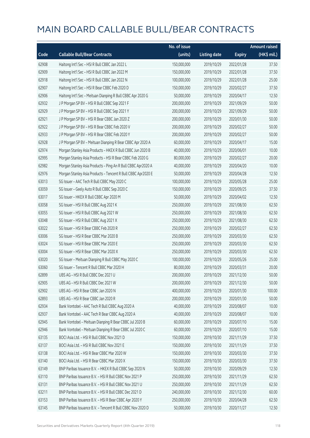|       |                                                              | No. of issue |                     |               | <b>Amount raised</b> |
|-------|--------------------------------------------------------------|--------------|---------------------|---------------|----------------------|
| Code  | <b>Callable Bull/Bear Contracts</b>                          | (units)      | <b>Listing date</b> | <b>Expiry</b> | (HK\$ mil.)          |
| 62908 | Haitong Int'l Sec - HSI R Bull CBBC Jan 2022 L               | 150,000,000  | 2019/10/29          | 2022/01/28    | 37.50                |
| 62909 | Haitong Int'l Sec - HSI R Bull CBBC Jan 2022 M               | 150,000,000  | 2019/10/29          | 2022/01/28    | 37.50                |
| 62918 | Haitong Int'l Sec - HSI R Bull CBBC Jan 2022 N               | 100,000,000  | 2019/10/29          | 2022/01/28    | 25.00                |
| 62907 | Haitong Int'l Sec - HSI R Bear CBBC Feb 2020 D               | 150,000,000  | 2019/10/29          | 2020/02/27    | 37.50                |
| 62906 | Haitong Int'l Sec - Meituan Dianping R Bull CBBC Apr 2020 G  | 50,000,000   | 2019/10/29          | 2020/04/17    | 12.50                |
| 62932 | J P Morgan SP BV - HSI R Bull CBBC Sep 2021 F                | 200,000,000  | 2019/10/29          | 2021/09/29    | 50.00                |
| 62929 | J P Morgan SP BV - HSI R Bull CBBC Sep 2021 Y                | 200,000,000  | 2019/10/29          | 2021/09/29    | 50.00                |
| 62921 | J P Morgan SP BV - HSI R Bear CBBC Jan 2020 Z                | 200,000,000  | 2019/10/29          | 2020/01/30    | 50.00                |
| 62922 | J P Morgan SP BV - HSI R Bear CBBC Feb 2020 V                | 200,000,000  | 2019/10/29          | 2020/02/27    | 50.00                |
| 62933 | J P Morgan SP BV - HSI R Bear CBBC Feb 2020 Y                | 200,000,000  | 2019/10/29          | 2020/02/27    | 50.00                |
| 62928 | J P Morgan SP BV - Meituan Dianping R Bear CBBC Apr 2020 A   | 60,000,000   | 2019/10/29          | 2020/04/17    | 15.00                |
| 62974 | Morgan Stanley Asia Products - HKEX R Bull CBBC Jun 2020 B   | 40,000,000   | 2019/10/29          | 2020/06/01    | 10.00                |
| 62995 | Morgan Stanley Asia Products - HSI R Bear CBBC Feb 2020 G    | 80,000,000   | 2019/10/29          | 2020/02/27    | 20.00                |
| 62982 | Morgan Stanley Asia Products - Ping An R Bull CBBC Apr2020 A | 40,000,000   | 2019/10/29          | 2020/04/20    | 10.00                |
| 62976 | Morgan Stanley Asia Products - Tencent R Bull CBBC Apr2020 E | 50,000,000   | 2019/10/29          | 2020/04/28    | 12.50                |
| 63013 | SG Issuer - AAC Tech R Bull CBBC May 2020 C                  | 100,000,000  | 2019/10/29          | 2020/05/28    | 25.00                |
| 63059 | SG Issuer - Geely Auto R Bull CBBC Sep 2020 C                | 150,000,000  | 2019/10/29          | 2020/09/25    | 37.50                |
| 63017 | SG Issuer - HKEX R Bull CBBC Apr 2020 M                      | 50,000,000   | 2019/10/29          | 2020/04/02    | 12.50                |
| 63058 | SG Issuer - HSI R Bull CBBC Aug 2021 K                       | 250,000,000  | 2019/10/29          | 2021/08/30    | 62.50                |
| 63055 | SG Issuer - HSI R Bull CBBC Aug 2021 W                       | 250,000,000  | 2019/10/29          | 2021/08/30    | 62.50                |
| 63048 | SG Issuer - HSI R Bull CBBC Aug 2021 X                       | 250,000,000  | 2019/10/29          | 2021/08/30    | 62.50                |
| 63022 | SG Issuer - HSI R Bear CBBC Feb 2020 R                       | 250,000,000  | 2019/10/29          | 2020/02/27    | 62.50                |
| 63006 | SG Issuer - HSI R Bear CBBC Mar 2020 B                       | 250,000,000  | 2019/10/29          | 2020/03/30    | 62.50                |
| 63024 | SG Issuer - HSI R Bear CBBC Mar 2020 E                       | 250,000,000  | 2019/10/29          | 2020/03/30    | 62.50                |
| 63004 | SG Issuer - HSI R Bear CBBC Mar 2020 X                       | 250,000,000  | 2019/10/29          | 2020/03/30    | 62.50                |
| 63020 | SG Issuer - Meituan Dianping R Bull CBBC May 2020 C          | 100,000,000  | 2019/10/29          | 2020/05/26    | 25.00                |
| 63060 | SG Issuer - Tencent R Bull CBBC Mar 2020 H                   | 80,000,000   | 2019/10/29          | 2020/03/31    | 20.00                |
| 62899 | UBS AG – HSI R Bull CBBC Dec 2021 U                          | 200,000,000  | 2019/10/29          | 2021/12/30    | 50.00                |
| 62905 | UBS AG - HSI R Bull CBBC Dec 2021 W                          | 200,000,000  | 2019/10/29          | 2021/12/30    | 50.00                |
| 62902 | UBS AG - HSI R Bear CBBC Jan 2020 N                          | 400,000,000  | 2019/10/29          | 2020/01/30    | 100.00               |
| 62893 | UBS AG - HSI R Bear CBBC Jan 2020 R                          | 200,000,000  | 2019/10/29          | 2020/01/30    | 50.00                |
| 62934 | Bank Vontobel - AAC Tech R Bull CBBC Aug 2020 A              | 40,000,000   | 2019/10/29          | 2020/08/07    | 10.00                |
| 62937 | Bank Vontobel - AAC Tech R Bear CBBC Aug 2020 A              | 40,000,000   | 2019/10/29          | 2020/08/07    | 10.00                |
| 62945 | Bank Vontobel - Meituan Dianping R Bear CBBC Jul 2020 B      | 60,000,000   | 2019/10/29          | 2020/07/10    | 15.00                |
| 62946 | Bank Vontobel - Meituan Dianping R Bear CBBC Jul 2020 C      | 60,000,000   | 2019/10/29          | 2020/07/10    | 15.00                |
| 63135 | BOCI Asia Ltd. - HSI R Bull CBBC Nov 2021 D                  | 150,000,000  | 2019/10/30          | 2021/11/29    | 37.50                |
| 63137 | BOCI Asia Ltd. - HSI R Bull CBBC Nov 2021 E                  | 150,000,000  | 2019/10/30          | 2021/11/29    | 37.50                |
| 63138 | BOCI Asia Ltd. - HSI R Bear CBBC Mar 2020 W                  | 150,000,000  | 2019/10/30          | 2020/03/30    | 37.50                |
| 63140 | BOCI Asia Ltd. - HSI R Bear CBBC Mar 2020 X                  | 150,000,000  | 2019/10/30          | 2020/03/30    | 37.50                |
| 63149 | BNP Paribas Issuance B.V. - HKEX R Bull CBBC Sep 2020 N      | 50,000,000   | 2019/10/30          | 2020/09/29    | 12.50                |
| 63110 | BNP Paribas Issuance B.V. - HSI R Bull CBBC Nov 2021 P       | 250,000,000  | 2019/10/30          | 2021/11/29    | 62.50                |
| 63131 | BNP Paribas Issuance B.V. - HSI R Bull CBBC Nov 2021 U       | 250,000,000  | 2019/10/30          | 2021/11/29    | 62.50                |
| 63211 | BNP Paribas Issuance B.V. - HSI R Bull CBBC Dec 2021 D       | 240,000,000  | 2019/10/30          | 2021/12/30    | 60.00                |
| 63153 | BNP Paribas Issuance B.V. - HSI R Bear CBBC Apr 2020 Y       | 250,000,000  | 2019/10/30          | 2020/04/28    | 62.50                |
| 63145 | BNP Paribas Issuance B.V. - Tencent R Bull CBBC Nov 2020 D   | 50,000,000   | 2019/10/30          | 2020/11/27    | 12.50                |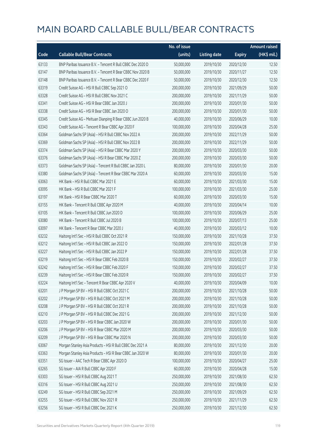|       |                                                            | No. of issue |                     |               | <b>Amount raised</b> |
|-------|------------------------------------------------------------|--------------|---------------------|---------------|----------------------|
| Code  | <b>Callable Bull/Bear Contracts</b>                        | (units)      | <b>Listing date</b> | <b>Expiry</b> | (HK\$ mil.)          |
| 63133 | BNP Paribas Issuance B.V. - Tencent R Bull CBBC Dec 2020 D | 50,000,000   | 2019/10/30          | 2020/12/30    | 12.50                |
| 63147 | BNP Paribas Issuance B.V. - Tencent R Bear CBBC Nov 2020 B | 50,000,000   | 2019/10/30          | 2020/11/27    | 12.50                |
| 63148 | BNP Paribas Issuance B.V. - Tencent R Bear CBBC Dec 2020 F | 50,000,000   | 2019/10/30          | 2020/12/30    | 12.50                |
| 63319 | Credit Suisse AG - HSI R Bull CBBC Sep 2021 O              | 200,000,000  | 2019/10/30          | 2021/09/29    | 50.00                |
| 63328 | Credit Suisse AG - HSI R Bull CBBC Nov 2021 C              | 200,000,000  | 2019/10/30          | 2021/11/29    | 50.00                |
| 63341 | Credit Suisse AG - HSI R Bear CBBC Jan 2020 J              | 200,000,000  | 2019/10/30          | 2020/01/30    | 50.00                |
| 63338 | Credit Suisse AG - HSI R Bear CBBC Jan 2020 O              | 200,000,000  | 2019/10/30          | 2020/01/30    | 50.00                |
| 63345 | Credit Suisse AG - Meituan Dianping R Bear CBBC Jun 2020 B | 40,000,000   | 2019/10/30          | 2020/06/29    | 10.00                |
| 63343 | Credit Suisse AG - Tencent R Bear CBBC Apr 2020 F          | 100,000,000  | 2019/10/30          | 2020/04/28    | 25.00                |
| 63364 | Goldman Sachs SP (Asia) - HSI R Bull CBBC Nov 2022 A       | 200,000,000  | 2019/10/30          | 2022/11/29    | 50.00                |
| 63369 | Goldman Sachs SP (Asia) - HSI R Bull CBBC Nov 2022 B       | 200,000,000  | 2019/10/30          | 2022/11/29    | 50.00                |
| 63374 | Goldman Sachs SP (Asia) - HSI R Bear CBBC Mar 2020 Y       | 200,000,000  | 2019/10/30          | 2020/03/30    | 50.00                |
| 63376 | Goldman Sachs SP (Asia) - HSI R Bear CBBC Mar 2020 Z       | 200,000,000  | 2019/10/30          | 2020/03/30    | 50.00                |
| 63373 | Goldman Sachs SP (Asia) - Tencent R Bull CBBC Jan 2020 L   | 80,000,000   | 2019/10/30          | 2020/01/30    | 20.00                |
| 63380 | Goldman Sachs SP (Asia) - Tencent R Bear CBBC Mar 2020 A   | 60,000,000   | 2019/10/30          | 2020/03/30    | 15.00                |
| 63063 | HK Bank - HSI R Bull CBBC Mar 2021 E                       | 60,000,000   | 2019/10/30          | 2021/03/30    | 15.00                |
| 63095 | HK Bank - HSI R Bull CBBC Mar 2021 F                       | 100,000,000  | 2019/10/30          | 2021/03/30    | 25.00                |
| 63197 | HK Bank - HSI R Bear CBBC Mar 2020 T                       | 60,000,000   | 2019/10/30          | 2020/03/30    | 15.00                |
| 63155 | HK Bank - Tencent R Bull CBBC Apr 2020 M                   | 40,000,000   | 2019/10/30          | 2020/04/14    | 10.00                |
| 63105 | HK Bank - Tencent R Bull CBBC Jun 2020 D                   | 100,000,000  | 2019/10/30          | 2020/06/29    | 25.00                |
| 63080 | HK Bank - Tencent R Bull CBBC Jul 2020 B                   | 100,000,000  | 2019/10/30          | 2020/07/13    | 25.00                |
| 63097 | HK Bank - Tencent R Bear CBBC Mar 2020 J                   | 40,000,000   | 2019/10/30          | 2020/03/12    | 10.00                |
| 63232 | Haitong Int'l Sec - HSI R Bull CBBC Oct 2021 R             | 150,000,000  | 2019/10/30          | 2021/10/28    | 37.50                |
| 63212 | Haitong Int'l Sec - HSI R Bull CBBC Jan 2022 O             | 150,000,000  | 2019/10/30          | 2022/01/28    | 37.50                |
| 63227 | Haitong Int'l Sec - HSI R Bull CBBC Jan 2022 P             | 150,000,000  | 2019/10/30          | 2022/01/28    | 37.50                |
| 63219 | Haitong Int'l Sec - HSI R Bear CBBC Feb 2020 B             | 150,000,000  | 2019/10/30          | 2020/02/27    | 37.50                |
| 63242 | Haitong Int'l Sec - HSI R Bear CBBC Feb 2020 F             | 150,000,000  | 2019/10/30          | 2020/02/27    | 37.50                |
| 63239 | Haitong Int'l Sec - HSI R Bear CBBC Feb 2020 R             | 150,000,000  | 2019/10/30          | 2020/02/27    | 37.50                |
| 63224 | Haitong Int'l Sec - Tencent R Bear CBBC Apr 2020 V         | 40,000,000   | 2019/10/30          | 2020/04/09    | 10.00                |
| 63201 | J P Morgan SP BV - HSI R Bull CBBC Oct 2021 C              | 200,000,000  | 2019/10/30          | 2021/10/28    | 50.00                |
| 63202 | J P Morgan SP BV - HSI R Bull CBBC Oct 2021 M              | 200,000,000  | 2019/10/30          | 2021/10/28    | 50.00                |
| 63208 | J P Morgan SP BV - HSI R Bull CBBC Oct 2021 R              | 200,000,000  | 2019/10/30          | 2021/10/28    | 50.00                |
| 63210 | J P Morgan SP BV - HSI R Bull CBBC Dec 2021 G              | 200,000,000  | 2019/10/30          | 2021/12/30    | 50.00                |
| 63203 | J P Morgan SP BV - HSI R Bear CBBC Jan 2020 W              | 200,000,000  | 2019/10/30          | 2020/01/30    | 50.00                |
| 63206 | J P Morgan SP BV - HSI R Bear CBBC Mar 2020 M              | 200,000,000  | 2019/10/30          | 2020/03/30    | 50.00                |
| 63209 | J P Morgan SP BV - HSI R Bear CBBC Mar 2020 N              | 200,000,000  | 2019/10/30          | 2020/03/30    | 50.00                |
| 63067 | Morgan Stanley Asia Products - HSI R Bull CBBC Dec 2021 A  | 80,000,000   | 2019/10/30          | 2021/12/30    | 20.00                |
| 63363 | Morgan Stanley Asia Products - HSI R Bear CBBC Jan 2020 W  | 80,000,000   | 2019/10/30          | 2020/01/30    | 20.00                |
| 63351 | SG Issuer - AAC Tech R Bear CBBC Apr 2020 D                | 100,000,000  | 2019/10/30          | 2020/04/27    | 25.00                |
| 63265 | SG Issuer - AIA R Bull CBBC Apr 2020 F                     | 60,000,000   | 2019/10/30          | 2020/04/28    | 15.00                |
| 63303 | SG Issuer - HSI R Bull CBBC Aug 2021 T                     | 250,000,000  | 2019/10/30          | 2021/08/30    | 62.50                |
| 63316 | SG Issuer - HSI R Bull CBBC Aug 2021 U                     | 250,000,000  | 2019/10/30          | 2021/08/30    | 62.50                |
| 63249 | SG Issuer - HSI R Bull CBBC Sep 2021 M                     | 250,000,000  | 2019/10/30          | 2021/09/29    | 62.50                |
| 63255 | SG Issuer - HSI R Bull CBBC Nov 2021 R                     | 250,000,000  | 2019/10/30          | 2021/11/29    | 62.50                |
| 63256 | SG Issuer - HSI R Bull CBBC Dec 2021 K                     | 250,000,000  | 2019/10/30          | 2021/12/30    | 62.50                |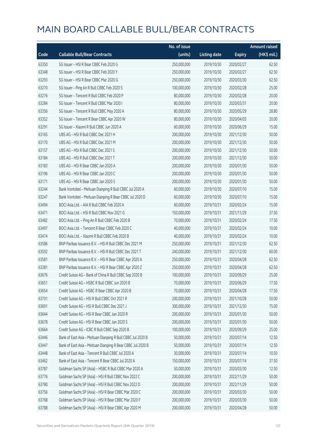|       |                                                             | No. of issue |                     |               | <b>Amount raised</b> |
|-------|-------------------------------------------------------------|--------------|---------------------|---------------|----------------------|
| Code  | <b>Callable Bull/Bear Contracts</b>                         | (units)      | <b>Listing date</b> | <b>Expiry</b> | (HK\$ mil.)          |
| 63350 | SG Issuer - HSI R Bear CBBC Feb 2020 G                      | 250,000,000  | 2019/10/30          | 2020/02/27    | 62.50                |
| 63348 | SG Issuer - HSI R Bear CBBC Feb 2020 Y                      | 250,000,000  | 2019/10/30          | 2020/02/27    | 62.50                |
| 63293 | SG Issuer - HSI R Bear CBBC Mar 2020 G                      | 250,000,000  | 2019/10/30          | 2020/03/30    | 62.50                |
| 63270 | SG Issuer - Ping An R Bull CBBC Feb 2020 S                  | 100,000,000  | 2019/10/30          | 2020/02/28    | 25.00                |
| 63276 | SG Issuer - Tencent R Bull CBBC Feb 2020 P                  | 80,000,000   | 2019/10/30          | 2020/02/28    | 20.00                |
| 63284 | SG Issuer - Tencent R Bull CBBC Mar 2020 I                  | 80,000,000   | 2019/10/30          | 2020/03/31    | 20.00                |
| 63356 | SG Issuer - Tencent R Bull CBBC May 2020 A                  | 80,000,000   | 2019/10/30          | 2020/05/29    | 28.80                |
| 63352 | SG Issuer - Tencent R Bear CBBC Apr 2020 W                  | 80,000,000   | 2019/10/30          | 2020/04/03    | 20.00                |
| 63291 | SG Issuer - Xiaomi R Bull CBBC Jun 2020 A                   | 60,000,000   | 2019/10/30          | 2020/06/29    | 15.00                |
| 63165 | UBS AG - HSI R Bull CBBC Dec 2021 H                         | 200,000,000  | 2019/10/30          | 2021/12/30    | 50.00                |
| 63170 | UBS AG - HSI R Bull CBBC Dec 2021 M                         | 200,000,000  | 2019/10/30          | 2021/12/30    | 50.00                |
| 63157 | UBS AG - HSI R Bull CBBC Dec 2021 S                         | 200,000,000  | 2019/10/30          | 2021/12/30    | 50.00                |
| 63184 | UBS AG - HSI R Bull CBBC Dec 2021 T                         | 200,000,000  | 2019/10/30          | 2021/12/30    | 50.00                |
| 63183 | UBS AG - HSI R Bear CBBC Jan 2020 A                         | 200,000,000  | 2019/10/30          | 2020/01/30    | 50.00                |
| 63196 | UBS AG - HSI R Bear CBBC Jan 2020 C                         | 200,000,000  | 2019/10/30          | 2020/01/30    | 50.00                |
| 63171 | UBS AG - HSI R Bear CBBC Jan 2020 S                         | 200,000,000  | 2019/10/30          | 2020/01/30    | 50.00                |
| 63244 | Bank Vontobel - Meituan Dianping R Bull CBBC Jul 2020 A     | 60,000,000   | 2019/10/30          | 2020/07/10    | 15.00                |
| 63247 | Bank Vontobel - Meituan Dianping R Bear CBBC Jul 2020 D     | 60,000,000   | 2019/10/30          | 2020/07/10    | 15.00                |
| 63494 | BOCI Asia Ltd. - AIA R Bull CBBC Feb 2020 A                 | 60,000,000   | 2019/10/31          | 2020/02/24    | 15.00                |
| 63471 | BOCI Asia Ltd. - HSI R Bull CBBC Nov 2021 G                 | 150,000,000  | 2019/10/31          | 2021/11/29    | 37.50                |
| 63482 | BOCI Asia Ltd. - Ping An R Bull CBBC Feb 2020 B             | 70,000,000   | 2019/10/31          | 2020/02/24    | 17.50                |
| 63497 | BOCI Asia Ltd. - Tencent R Bear CBBC Feb 2020 C             | 40,000,000   | 2019/10/31          | 2020/02/24    | 10.00                |
| 63474 | BOCI Asia Ltd. - Xiaomi R Bull CBBC Feb 2020 B              | 40,000,000   | 2019/10/31          | 2020/02/24    | 10.00                |
| 63586 | BNP Paribas Issuance B.V. - HSI R Bull CBBC Dec 2021 M      | 250,000,000  | 2019/10/31          | 2021/12/30    | 62.50                |
| 63592 | BNP Paribas Issuance B.V. - HSI R Bull CBBC Dec 2021 T      | 240,000,000  | 2019/10/31          | 2021/12/30    | 60.00                |
| 63581 | BNP Paribas Issuance B.V. - HSI R Bear CBBC Apr 2020 A      | 250,000,000  | 2019/10/31          | 2020/04/28    | 62.50                |
| 63381 | BNP Paribas Issuance B.V. - HSI R Bear CBBC Apr 2020 Z      | 250,000,000  | 2019/10/31          | 2020/04/28    | 62.50                |
| 63676 | Credit Suisse AG - Bank of China R Bull CBBC Sep 2020 B     | 100,000,000  | 2019/10/31          | 2020/09/29    | 25.00                |
| 63651 | Credit Suisse AG - HSBC R Bull CBBC Jun 2020 B              | 70,000,000   | 2019/10/31          | 2020/06/29    | 17.50                |
| 63654 | Credit Suisse AG - HSBC R Bear CBBC Apr 2020 B              | 70,000,000   | 2019/10/31          | 2020/04/28    | 17.50                |
| 63701 | Credit Suisse AG - HSI R Bull CBBC Oct 2021 R               | 200,000,000  | 2019/10/31          | 2021/10/28    | 50.00                |
| 63691 | Credit Suisse AG - HSI R Bull CBBC Dec 2021 J               | 300,000,000  | 2019/10/31          | 2021/12/30    | 75.00                |
| 63644 | Credit Suisse AG - HSI R Bear CBBC Jan 2020 R               | 200,000,000  | 2019/10/31          | 2020/01/30    | 50.00                |
| 63678 | Credit Suisse AG - HSI R Bear CBBC Jan 2020 S               | 200,000,000  | 2019/10/31          | 2020/01/30    | 50.00                |
| 63664 | Credit Suisse AG - ICBC R Bull CBBC Sep 2020 B              | 100,000,000  | 2019/10/31          | 2020/09/29    | 25.00                |
| 63446 | Bank of East Asia - Meituan Dianping R Bull CBBC Jul 2020 B | 50,000,000   | 2019/10/31          | 2020/07/14    | 12.50                |
| 63447 | Bank of East Asia - Meituan Dianping R Bear CBBC Jul 2020 B | 50,000,000   | 2019/10/31          | 2020/07/14    | 12.50                |
| 63448 | Bank of East Asia - Tencent R Bull CBBC Jul 2020 A          | 30,000,000   | 2019/10/31          | 2020/07/14    | 10.50                |
| 63462 | Bank of East Asia - Tencent R Bear CBBC Jul 2020 A          | 150,000,000  | 2019/10/31          | 2020/07/14    | 37.50                |
| 63787 | Goldman Sachs SP (Asia) - HSBC R Bull CBBC Mar 2020 A       | 50,000,000   | 2019/10/31          | 2020/03/30    | 12.50                |
| 63776 | Goldman Sachs SP (Asia) - HSI R Bull CBBC Nov 2022 C        | 200,000,000  | 2019/10/31          | 2022/11/29    | 50.00                |
| 63780 | Goldman Sachs SP (Asia) - HSI R Bull CBBC Nov 2022 D        | 200,000,000  | 2019/10/31          | 2022/11/29    | 50.00                |
| 63756 | Goldman Sachs SP (Asia) - HSI R Bear CBBC Mar 2020 C        | 200,000,000  | 2019/10/31          | 2020/03/30    | 50.00                |
| 63768 | Goldman Sachs SP (Asia) - HSI R Bear CBBC Mar 2020 F        | 200,000,000  | 2019/10/31          | 2020/03/30    | 50.00                |
| 63788 | Goldman Sachs SP (Asia) - HSI R Bear CBBC Apr 2020 M        | 200,000,000  | 2019/10/31          | 2020/04/28    | 50.00                |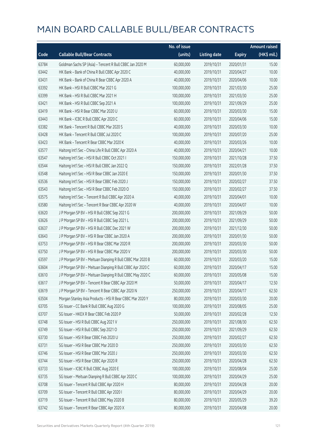|       |                                                            | No. of issue |                     |               | <b>Amount raised</b> |
|-------|------------------------------------------------------------|--------------|---------------------|---------------|----------------------|
| Code  | <b>Callable Bull/Bear Contracts</b>                        | (units)      | <b>Listing date</b> | <b>Expiry</b> | $(HK\$ mil.)         |
| 63784 | Goldman Sachs SP (Asia) - Tencent R Bull CBBC Jan 2020 M   | 60,000,000   | 2019/10/31          | 2020/01/31    | 15.00                |
| 63442 | HK Bank - Bank of China R Bull CBBC Apr 2020 C             | 40,000,000   | 2019/10/31          | 2020/04/27    | 10.00                |
| 63431 | HK Bank - Bank of China R Bear CBBC Apr 2020 A             | 40,000,000   | 2019/10/31          | 2020/04/06    | 10.00                |
| 63392 | HK Bank - HSI R Bull CBBC Mar 2021 G                       | 100,000,000  | 2019/10/31          | 2021/03/30    | 25.00                |
| 63399 | HK Bank - HSI R Bull CBBC Mar 2021 H                       | 100,000,000  | 2019/10/31          | 2021/03/30    | 25.00                |
| 63421 | HK Bank - HSI R Bull CBBC Sep 2021 A                       | 100,000,000  | 2019/10/31          | 2021/09/29    | 25.00                |
| 63419 | HK Bank - HSI R Bear CBBC Mar 2020 U                       | 60,000,000   | 2019/10/31          | 2020/03/30    | 15.00                |
| 63443 | HK Bank - ICBC R Bull CBBC Apr 2020 C                      | 60,000,000   | 2019/10/31          | 2020/04/06    | 15.00                |
| 63382 | HK Bank - Tencent R Bull CBBC Mar 2020 S                   | 40,000,000   | 2019/10/31          | 2020/03/30    | 10.00                |
| 63428 | HK Bank - Tencent R Bull CBBC Jul 2020 C                   | 100,000,000  | 2019/10/31          | 2020/07/20    | 25.00                |
| 63423 | HK Bank - Tencent R Bear CBBC Mar 2020 K                   | 40,000,000   | 2019/10/31          | 2020/03/26    | 10.00                |
| 63577 | Haitong Int'l Sec - China Life R Bull CBBC Apr 2020 A      | 40,000,000   | 2019/10/31          | 2020/04/21    | 10.00                |
| 63547 | Haitong Int'l Sec - HSI R Bull CBBC Oct 2021 I             | 150,000,000  | 2019/10/31          | 2021/10/28    | 37.50                |
| 63544 | Haitong Int'l Sec - HSI R Bull CBBC Jan 2022 Q             | 150,000,000  | 2019/10/31          | 2022/01/28    | 37.50                |
| 63548 | Haitong Int'l Sec - HSI R Bear CBBC Jan 2020 E             | 150,000,000  | 2019/10/31          | 2020/01/30    | 37.50                |
| 63536 | Haitong Int'l Sec - HSI R Bear CBBC Feb 2020 J             | 150,000,000  | 2019/10/31          | 2020/02/27    | 37.50                |
| 63543 | Haitong Int'l Sec - HSI R Bear CBBC Feb 2020 O             | 150,000,000  | 2019/10/31          | 2020/02/27    | 37.50                |
| 63575 | Haitong Int'l Sec - Tencent R Bull CBBC Apr 2020 A         | 40,000,000   | 2019/10/31          | 2020/04/01    | 10.00                |
| 63580 | Haitong Int'l Sec - Tencent R Bear CBBC Apr 2020 W         | 40,000,000   | 2019/10/31          | 2020/04/07    | 10.00                |
| 63620 | J P Morgan SP BV - HSI R Bull CBBC Sep 2021 G              | 200,000,000  | 2019/10/31          | 2021/09/29    | 50.00                |
| 63626 | J P Morgan SP BV - HSI R Bull CBBC Sep 2021 L              | 200,000,000  | 2019/10/31          | 2021/09/29    | 50.00                |
| 63637 | J P Morgan SP BV - HSI R Bull CBBC Dec 2021 W              | 200,000,000  | 2019/10/31          | 2021/12/30    | 50.00                |
| 63643 | J P Morgan SP BV - HSI R Bear CBBC Jan 2020 A              | 200,000,000  | 2019/10/31          | 2020/01/30    | 50.00                |
| 63753 | J P Morgan SP BV - HSI R Bear CBBC Mar 2020 R              | 200,000,000  | 2019/10/31          | 2020/03/30    | 50.00                |
| 63750 | J P Morgan SP BV - HSI R Bear CBBC Mar 2020 V              | 200,000,000  | 2019/10/31          | 2020/03/30    | 50.00                |
| 63597 | J P Morgan SP BV - Meituan Dianping R Bull CBBC Mar 2020 B | 60,000,000   | 2019/10/31          | 2020/03/20    | 15.00                |
| 63604 | J P Morgan SP BV - Meituan Dianping R Bull CBBC Apr 2020 C | 60,000,000   | 2019/10/31          | 2020/04/17    | 15.00                |
| 63610 | J P Morgan SP BV - Meituan Dianping R Bull CBBC May 2020 C | 60,000,000   | 2019/10/31          | 2020/05/08    | 15.00                |
| 63617 | J P Morgan SP BV - Tencent R Bear CBBC Apr 2020 M          | 50,000,000   | 2019/10/31          | 2020/04/17    | 12.50                |
| 63619 | J P Morgan SP BV - Tencent R Bear CBBC Apr 2020 N          | 250,000,000  | 2019/10/31          | 2020/04/17    | 62.50                |
| 63504 | Morgan Stanley Asia Products - HSI R Bear CBBC Mar 2020 Y  | 80,000,000   | 2019/10/31          | 2020/03/30    | 20.00                |
| 63705 | SG Issuer - CC Bank R Bull CBBC Aug 2020 G                 | 100,000,000  | 2019/10/31          | 2020/08/05    | 25.00                |
| 63707 | SG Issuer - HKEX R Bear CBBC Feb 2020 P                    | 50,000,000   | 2019/10/31          | 2020/02/28    | 12.50                |
| 63748 | SG Issuer - HSI R Bull CBBC Aug 2021 V                     | 250,000,000  | 2019/10/31          | 2021/08/30    | 62.50                |
| 63749 | SG Issuer - HSI R Bull CBBC Sep 2021 O                     | 250,000,000  | 2019/10/31          | 2021/09/29    | 62.50                |
| 63730 | SG Issuer - HSI R Bear CBBC Feb 2020 U                     | 250,000,000  | 2019/10/31          | 2020/02/27    | 62.50                |
| 63731 | SG Issuer - HSI R Bear CBBC Mar 2020 D                     | 250,000,000  | 2019/10/31          | 2020/03/30    | 62.50                |
| 63746 | SG Issuer - HSI R Bear CBBC Mar 2020 J                     | 250,000,000  | 2019/10/31          | 2020/03/30    | 62.50                |
| 63744 | SG Issuer - HSI R Bear CBBC Apr 2020 R                     | 250,000,000  | 2019/10/31          | 2020/04/28    | 62.50                |
| 63733 | SG Issuer - ICBC R Bull CBBC Aug 2020 E                    | 100,000,000  | 2019/10/31          | 2020/08/04    | 25.00                |
| 63735 | SG Issuer - Meituan Dianping R Bull CBBC Apr 2020 C        | 100,000,000  | 2019/10/31          | 2020/04/29    | 25.00                |
| 63708 | SG Issuer - Tencent R Bull CBBC Apr 2020 H                 | 80,000,000   | 2019/10/31          | 2020/04/28    | 20.00                |
| 63709 | SG Issuer - Tencent R Bull CBBC Apr 2020 I                 | 80,000,000   | 2019/10/31          | 2020/04/29    | 20.00                |
| 63719 | SG Issuer - Tencent R Bull CBBC May 2020 B                 | 80,000,000   | 2019/10/31          | 2020/05/29    | 39.20                |
| 63742 | SG Issuer - Tencent R Bear CBBC Apr 2020 X                 | 80,000,000   | 2019/10/31          | 2020/04/08    | 20.00                |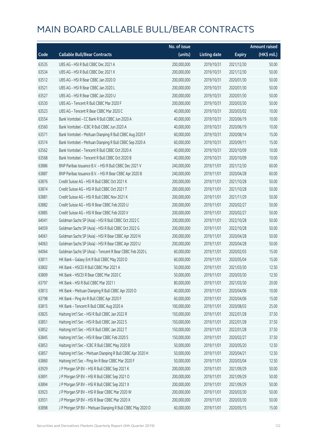|       |                                                             | No. of issue |                     |               | <b>Amount raised</b> |
|-------|-------------------------------------------------------------|--------------|---------------------|---------------|----------------------|
| Code  | <b>Callable Bull/Bear Contracts</b>                         | (units)      | <b>Listing date</b> | <b>Expiry</b> | (HK\$ mil.)          |
| 63535 | UBS AG - HSI R Bull CBBC Dec 2021 A                         | 200,000,000  | 2019/10/31          | 2021/12/30    | 50.00                |
| 63534 | UBS AG - HSI R Bull CBBC Dec 2021 X                         | 200,000,000  | 2019/10/31          | 2021/12/30    | 50.00                |
| 63512 | UBS AG - HSI R Bear CBBC Jan 2020 D                         | 200,000,000  | 2019/10/31          | 2020/01/30    | 50.00                |
| 63521 | UBS AG - HSI R Bear CBBC Jan 2020 L                         | 200,000,000  | 2019/10/31          | 2020/01/30    | 50.00                |
| 63527 | UBS AG - HSI R Bear CBBC Jan 2020 U                         | 200,000,000  | 2019/10/31          | 2020/01/30    | 50.00                |
| 63530 | UBS AG - Tencent R Bull CBBC Mar 2020 F                     | 200,000,000  | 2019/10/31          | 2020/03/30    | 50.00                |
| 63523 | UBS AG - Tencent R Bear CBBC Mar 2020 C                     | 40,000,000   | 2019/10/31          | 2020/03/02    | 10.00                |
| 63554 | Bank Vontobel - CC Bank R Bull CBBC Jun 2020 A              | 40,000,000   | 2019/10/31          | 2020/06/19    | 10.00                |
| 63560 | Bank Vontobel - ICBC R Bull CBBC Jun 2020 A                 | 40,000,000   | 2019/10/31          | 2020/06/19    | 10.00                |
| 63571 | Bank Vontobel - Meituan Dianping R Bull CBBC Aug 2020 F     | 60,000,000   | 2019/10/31          | 2020/08/14    | 15.00                |
| 63574 | Bank Vontobel - Meituan Dianping R Bull CBBC Sep 2020 A     | 60,000,000   | 2019/10/31          | 2020/09/11    | 15.00                |
| 63562 | Bank Vontobel - Tencent R Bull CBBC Oct 2020 A              | 40,000,000   | 2019/10/31          | 2020/10/09    | 10.00                |
| 63568 | Bank Vontobel - Tencent R Bull CBBC Oct 2020 B              | 40,000,000   | 2019/10/31          | 2020/10/09    | 10.00                |
| 63886 | BNP Paribas Issuance B.V. - HSI R Bull CBBC Dec 2021 V      | 240,000,000  | 2019/11/01          | 2021/12/30    | 60.00                |
| 63887 | BNP Paribas Issuance B.V. - HSI R Bear CBBC Apr 2020 B      | 240,000,000  | 2019/11/01          | 2020/04/28    | 60.00                |
| 63876 | Credit Suisse AG - HSI R Bull CBBC Oct 2021 K               | 200,000,000  | 2019/11/01          | 2021/10/28    | 50.00                |
| 63874 | Credit Suisse AG - HSI R Bull CBBC Oct 2021 T               | 200,000,000  | 2019/11/01          | 2021/10/28    | 50.00                |
| 63881 | Credit Suisse AG - HSI R Bull CBBC Nov 2021 K               | 200,000,000  | 2019/11/01          | 2021/11/29    | 50.00                |
| 63882 | Credit Suisse AG - HSI R Bear CBBC Feb 2020 U               | 200,000,000  | 2019/11/01          | 2020/02/27    | 50.00                |
| 63885 | Credit Suisse AG - HSI R Bear CBBC Feb 2020 V               | 200,000,000  | 2019/11/01          | 2020/02/27    | 50.00                |
| 64041 | Goldman Sachs SP (Asia) - HSI R Bull CBBC Oct 2022 C        | 200,000,000  | 2019/11/01          | 2022/10/28    | 50.00                |
| 64059 | Goldman Sachs SP (Asia) - HSI R Bull CBBC Oct 2022 G        | 200,000,000  | 2019/11/01          | 2022/10/28    | 50.00                |
| 64061 | Goldman Sachs SP (Asia) - HSI R Bear CBBC Apr 2020 N        | 200,000,000  | 2019/11/01          | 2020/04/28    | 50.00                |
| 64063 | Goldman Sachs SP (Asia) - HSI R Bear CBBC Apr 2020 U        | 200,000,000  | 2019/11/01          | 2020/04/28    | 50.00                |
| 64064 | Goldman Sachs SP (Asia) - Tencent R Bear CBBC Feb 2020 L    | 60,000,000   | 2019/11/01          | 2020/02/03    | 15.00                |
| 63811 | HK Bank - Galaxy Ent R Bull CBBC May 2020 D                 | 60,000,000   | 2019/11/01          | 2020/05/04    | 15.00                |
| 63802 | HK Bank - HSCEI R Bull CBBC Mar 2021 A                      | 50,000,000   | 2019/11/01          | 2021/03/30    | 12.50                |
| 63809 | HK Bank - HSCEI R Bear CBBC Mar 2020 C                      | 50,000,000   | 2019/11/01          | 2020/03/30    | 12.50                |
| 63797 | HK Bank - HSI R Bull CBBC Mar 2021 I                        | 80,000,000   | 2019/11/01          | 2021/03/30    | 20.00                |
| 63813 | HK Bank - Meituan Dianping R Bull CBBC Apr 2020 D           | 40,000,000   | 2019/11/01          | 2020/04/06    | 10.00                |
| 63798 | HK Bank - Ping An R Bull CBBC Apr 2020 F                    | 60,000,000   | 2019/11/01          | 2020/04/06    | 15.00                |
| 63815 | HK Bank - Tencent R Bull CBBC Aug 2020 A                    | 100,000,000  | 2019/11/01          | 2020/08/03    | 25.00                |
| 63825 | Haitong Int'l Sec - HSI R Bull CBBC Jan 2022 R              | 150,000,000  | 2019/11/01          | 2022/01/28    | 37.50                |
| 63851 | Haitong Int'l Sec - HSI R Bull CBBC Jan 2022 S              | 150,000,000  | 2019/11/01          | 2022/01/28    | 37.50                |
| 63852 | Haitong Int'l Sec - HSI R Bull CBBC Jan 2022 T              | 150,000,000  | 2019/11/01          | 2022/01/28    | 37.50                |
| 63845 | Haitong Int'l Sec - HSI R Bear CBBC Feb 2020 S              | 150,000,000  | 2019/11/01          | 2020/02/27    | 37.50                |
| 63853 | Haitong Int'l Sec - ICBC R Bull CBBC May 2020 B             | 50,000,000   | 2019/11/01          | 2020/05/20    | 12.50                |
| 63857 | Haitong Int'l Sec - Meituan Dianping R Bull CBBC Apr 2020 H | 50,000,000   | 2019/11/01          | 2020/04/21    | 12.50                |
| 63860 | Haitong Int'l Sec - Ping An R Bear CBBC Mar 2020 F          | 50,000,000   | 2019/11/01          | 2020/03/04    | 12.50                |
| 63929 | J P Morgan SP BV - HSI R Bull CBBC Sep 2021 K               | 200,000,000  | 2019/11/01          | 2021/09/29    | 50.00                |
| 63891 | J P Morgan SP BV - HSI R Bull CBBC Sep 2021 O               | 200,000,000  | 2019/11/01          | 2021/09/29    | 50.00                |
| 63894 | J P Morgan SP BV - HSI R Bull CBBC Sep 2021 X               | 200,000,000  | 2019/11/01          | 2021/09/29    | 50.00                |
| 63923 | J P Morgan SP BV - HSI R Bear CBBC Mar 2020 W               | 200,000,000  | 2019/11/01          | 2020/03/30    | 50.00                |
| 63931 | J P Morgan SP BV - HSI R Bear CBBC Mar 2020 X               | 200,000,000  | 2019/11/01          | 2020/03/30    | 50.00                |
| 63898 | J P Morgan SP BV - Meituan Dianping R Bull CBBC May 2020 D  | 60,000,000   | 2019/11/01          | 2020/05/15    | 15.00                |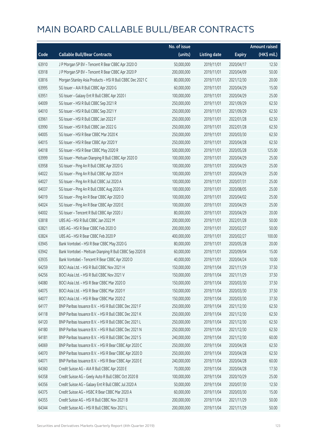|       |                                                           | No. of issue |                     |               | <b>Amount raised</b> |
|-------|-----------------------------------------------------------|--------------|---------------------|---------------|----------------------|
| Code  | <b>Callable Bull/Bear Contracts</b>                       | (units)      | <b>Listing date</b> | <b>Expiry</b> | (HK\$ mil.)          |
| 63910 | J P Morgan SP BV - Tencent R Bear CBBC Apr 2020 O         | 50,000,000   | 2019/11/01          | 2020/04/17    | 12.50                |
| 63918 | J P Morgan SP BV - Tencent R Bear CBBC Apr 2020 P         | 200,000,000  | 2019/11/01          | 2020/04/09    | 50.00                |
| 63816 | Morgan Stanley Asia Products - HSI R Bull CBBC Dec 2021 C | 80,000,000   | 2019/11/01          | 2021/12/30    | 20.00                |
| 63995 | SG Issuer - AIA R Bull CBBC Apr 2020 G                    | 60,000,000   | 2019/11/01          | 2020/04/29    | 15.00                |
| 63951 | SG Issuer - Galaxy Ent R Bull CBBC Apr 2020 I             | 100,000,000  | 2019/11/01          | 2020/04/29    | 25.00                |
| 64009 | SG Issuer - HSI R Bull CBBC Sep 2021 R                    | 250,000,000  | 2019/11/01          | 2021/09/29    | 62.50                |
| 64010 | SG Issuer - HSI R Bull CBBC Sep 2021 Y                    | 250,000,000  | 2019/11/01          | 2021/09/29    | 62.50                |
| 63961 | SG Issuer - HSI R Bull CBBC Jan 2022 F                    | 250,000,000  | 2019/11/01          | 2022/01/28    | 62.50                |
| 63990 | SG Issuer - HSI R Bull CBBC Jan 2022 G                    | 250,000,000  | 2019/11/01          | 2022/01/28    | 62.50                |
| 64005 | SG Issuer - HSI R Bear CBBC Mar 2020 K                    | 250,000,000  | 2019/11/01          | 2020/03/30    | 62.50                |
| 64015 | SG Issuer - HSI R Bear CBBC Apr 2020 Y                    | 250,000,000  | 2019/11/01          | 2020/04/28    | 62.50                |
| 64018 | SG Issuer - HSI R Bear CBBC May 2020 R                    | 500,000,000  | 2019/11/01          | 2020/05/28    | 125.00               |
| 63999 | SG Issuer - Meituan Dianping R Bull CBBC Apr 2020 D       | 100,000,000  | 2019/11/01          | 2020/04/29    | 25.00                |
| 63958 | SG Issuer - Ping An R Bull CBBC Apr 2020 G                | 100,000,000  | 2019/11/01          | 2020/04/29    | 25.00                |
| 64022 | SG Issuer - Ping An R Bull CBBC Apr 2020 H                | 100,000,000  | 2019/11/01          | 2020/04/29    | 25.00                |
| 64027 | SG Issuer - Ping An R Bull CBBC Jul 2020 A                | 100,000,000  | 2019/11/01          | 2020/07/31    | 25.00                |
| 64037 | SG Issuer - Ping An R Bull CBBC Aug 2020 A                | 100,000,000  | 2019/11/01          | 2020/08/05    | 25.00                |
| 64019 | SG Issuer - Ping An R Bear CBBC Apr 2020 D                | 100,000,000  | 2019/11/01          | 2020/04/02    | 25.00                |
| 64024 | SG Issuer - Ping An R Bear CBBC Apr 2020 E                | 100,000,000  | 2019/11/01          | 2020/04/29    | 25.00                |
| 64002 | SG Issuer - Tencent R Bull CBBC Apr 2020 J                | 80,000,000   | 2019/11/01          | 2020/04/29    | 20.00                |
| 63818 | UBS AG - HSI R Bull CBBC Jan 2022 M                       | 200,000,000  | 2019/11/01          | 2022/01/28    | 50.00                |
| 63821 | UBS AG - HSI R Bear CBBC Feb 2020 O                       | 200,000,000  | 2019/11/01          | 2020/02/27    | 50.00                |
| 63824 | UBS AG - HSI R Bear CBBC Feb 2020 P                       | 400,000,000  | 2019/11/01          | 2020/02/27    | 100.00               |
| 63945 | Bank Vontobel - HSI R Bear CBBC May 2020 G                | 80,000,000   | 2019/11/01          | 2020/05/28    | 20.00                |
| 63942 | Bank Vontobel - Meituan Dianping R Bull CBBC Sep 2020 B   | 60,000,000   | 2019/11/01          | 2020/09/04    | 15.00                |
| 63935 | Bank Vontobel - Tencent R Bear CBBC Apr 2020 D            | 40,000,000   | 2019/11/01          | 2020/04/24    | 10.00                |
| 64259 | BOCI Asia Ltd. - HSI R Bull CBBC Nov 2021 H               | 150,000,000  | 2019/11/04          | 2021/11/29    | 37.50                |
| 64256 | BOCLASIA Ltd. - HSLR Bull CBBC Nov 2021 V                 | 150,000,000  | 2019/11/04          | 2021/11/29    | 37.50                |
| 64080 | BOCI Asia Ltd. - HSI R Bear CBBC Mar 2020 D               | 150,000,000  | 2019/11/04          | 2020/03/30    | 37.50                |
| 64075 | BOCI Asia Ltd. - HSI R Bear CBBC Mar 2020 Y               | 150,000,000  | 2019/11/04          | 2020/03/30    | 37.50                |
| 64077 | BOCI Asia Ltd. - HSI R Bear CBBC Mar 2020 Z               | 150,000,000  | 2019/11/04          | 2020/03/30    | 37.50                |
| 64177 | BNP Paribas Issuance B.V. - HSI R Bull CBBC Dec 2021 F    | 250,000,000  | 2019/11/04          | 2021/12/30    | 62.50                |
| 64118 | BNP Paribas Issuance B.V. - HSI R Bull CBBC Dec 2021 K    | 250,000,000  | 2019/11/04          | 2021/12/30    | 62.50                |
| 64120 | BNP Paribas Issuance B.V. - HSI R Bull CBBC Dec 2021 L    | 250,000,000  | 2019/11/04          | 2021/12/30    | 62.50                |
| 64180 | BNP Paribas Issuance B.V. - HSI R Bull CBBC Dec 2021 N    | 250,000,000  | 2019/11/04          | 2021/12/30    | 62.50                |
| 64181 | BNP Paribas Issuance B.V. - HSI R Bull CBBC Dec 2021 S    | 240,000,000  | 2019/11/04          | 2021/12/30    | 60.00                |
| 64069 | BNP Paribas Issuance B.V. - HSI R Bear CBBC Apr 2020 C    | 250,000,000  | 2019/11/04          | 2020/04/28    | 62.50                |
| 64070 | BNP Paribas Issuance B.V. - HSI R Bear CBBC Apr 2020 D    | 250,000,000  | 2019/11/04          | 2020/04/28    | 62.50                |
| 64071 | BNP Paribas Issuance B.V. - HSI R Bear CBBC Apr 2020 E    | 240,000,000  | 2019/11/04          | 2020/04/28    | 60.00                |
| 64360 | Credit Suisse AG - AIA R Bull CBBC Apr 2020 E             | 70,000,000   | 2019/11/04          | 2020/04/28    | 17.50                |
| 64358 | Credit Suisse AG - Geely Auto R Bull CBBC Oct 2020 B      | 100,000,000  | 2019/11/04          | 2020/10/29    | 25.00                |
| 64356 | Credit Suisse AG - Galaxy Ent R Bull CBBC Jul 2020 A      | 50,000,000   | 2019/11/04          | 2020/07/30    | 12.50                |
| 64375 | Credit Suisse AG - HSBC R Bear CBBC Mar 2020 A            | 60,000,000   | 2019/11/04          | 2020/03/30    | 15.00                |
| 64355 | Credit Suisse AG - HSI R Bull CBBC Nov 2021 B             | 200,000,000  | 2019/11/04          | 2021/11/29    | 50.00                |
| 64344 | Credit Suisse AG - HSI R Bull CBBC Nov 2021 L             | 200,000,000  | 2019/11/04          | 2021/11/29    | 50.00                |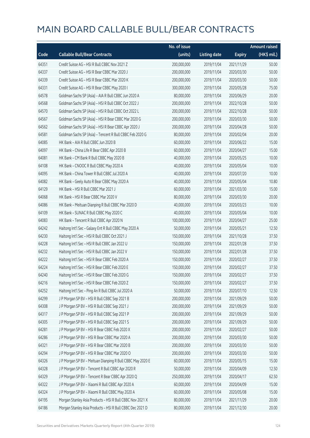|       |                                                            | No. of issue |                     |               | <b>Amount raised</b> |
|-------|------------------------------------------------------------|--------------|---------------------|---------------|----------------------|
| Code  | <b>Callable Bull/Bear Contracts</b>                        | (units)      | <b>Listing date</b> | <b>Expiry</b> | (HK\$ mil.)          |
| 64351 | Credit Suisse AG - HSI R Bull CBBC Nov 2021 Z              | 200,000,000  | 2019/11/04          | 2021/11/29    | 50.00                |
| 64337 | Credit Suisse AG - HSI R Bear CBBC Mar 2020 J              | 200,000,000  | 2019/11/04          | 2020/03/30    | 50.00                |
| 64339 | Credit Suisse AG - HSI R Bear CBBC Mar 2020 K              | 200,000,000  | 2019/11/04          | 2020/03/30    | 50.00                |
| 64331 | Credit Suisse AG - HSI R Bear CBBC May 2020 I              | 300,000,000  | 2019/11/04          | 2020/05/28    | 75.00                |
| 64578 | Goldman Sachs SP (Asia) - AIA R Bull CBBC Jun 2020 A       | 80,000,000   | 2019/11/04          | 2020/06/29    | 20.00                |
| 64568 | Goldman Sachs SP (Asia) - HSI R Bull CBBC Oct 2022 J       | 200,000,000  | 2019/11/04          | 2022/10/28    | 50.00                |
| 64570 | Goldman Sachs SP (Asia) - HSI R Bull CBBC Oct 2022 L       | 200,000,000  | 2019/11/04          | 2022/10/28    | 50.00                |
| 64567 | Goldman Sachs SP (Asia) - HSI R Bear CBBC Mar 2020 G       | 200,000,000  | 2019/11/04          | 2020/03/30    | 50.00                |
| 64562 | Goldman Sachs SP (Asia) - HSI R Bear CBBC Apr 2020 J       | 200,000,000  | 2019/11/04          | 2020/04/28    | 50.00                |
| 64581 | Goldman Sachs SP (Asia) - Tencent R Bull CBBC Feb 2020 G   | 80,000,000   | 2019/11/04          | 2020/02/04    | 20.00                |
| 64085 | HK Bank - AIA R Bull CBBC Jun 2020 B                       | 60,000,000   | 2019/11/04          | 2020/06/22    | 15.00                |
| 64097 | HK Bank - China Life R Bear CBBC Apr 2020 B                | 60,000,000   | 2019/11/04          | 2020/04/27    | 15.00                |
| 64081 | HK Bank - CM Bank R Bull CBBC May 2020 B                   | 40,000,000   | 2019/11/04          | 2020/05/25    | 10.00                |
| 64108 | HK Bank - CNOOC R Bull CBBC May 2020 A                     | 40,000,000   | 2019/11/04          | 2020/05/04    | 10.00                |
| 64095 | HK Bank - China Tower R Bull CBBC Jul 2020 A               | 40,000,000   | 2019/11/04          | 2020/07/20    | 10.00                |
| 64082 | HK Bank - Geely Auto R Bear CBBC May 2020 A                | 40,000,000   | 2019/11/04          | 2020/05/04    | 10.80                |
| 64129 | HK Bank - HSI R Bull CBBC Mar 2021 J                       | 60,000,000   | 2019/11/04          | 2021/03/30    | 15.00                |
| 64068 | HK Bank - HSI R Bear CBBC Mar 2020 V                       | 80,000,000   | 2019/11/04          | 2020/03/30    | 20.00                |
| 64086 | HK Bank - Meituan Dianping R Bull CBBC Mar 2020 D          | 40,000,000   | 2019/11/04          | 2020/03/23    | 10.00                |
| 64109 | HK Bank - SUNAC R Bull CBBC May 2020 C                     | 40,000,000   | 2019/11/04          | 2020/05/04    | 10.00                |
| 64083 | HK Bank - Tencent R Bull CBBC Apr 2020 N                   | 100,000,000  | 2019/11/04          | 2020/04/27    | 25.00                |
| 64242 | Haitong Int'l Sec - Galaxy Ent R Bull CBBC May 2020 A      | 50,000,000   | 2019/11/04          | 2020/05/21    | 12.50                |
| 64230 | Haitong Int'l Sec - HSI R Bull CBBC Oct 2021 J             | 150,000,000  | 2019/11/04          | 2021/10/28    | 37.50                |
| 64228 | Haitong Int'l Sec - HSI R Bull CBBC Jan 2022 U             | 150,000,000  | 2019/11/04          | 2022/01/28    | 37.50                |
| 64232 | Haitong Int'l Sec - HSI R Bull CBBC Jan 2022 V             | 150,000,000  | 2019/11/04          | 2022/01/28    | 37.50                |
| 64222 | Haitong Int'l Sec - HSI R Bear CBBC Feb 2020 A             | 150,000,000  | 2019/11/04          | 2020/02/27    | 37.50                |
| 64224 | Haitong Int'l Sec - HSI R Bear CBBC Feb 2020 E             | 150,000,000  | 2019/11/04          | 2020/02/27    | 37.50                |
| 64240 | Haitong Int'l Sec - HSI R Bear CBBC Feb 2020 G             | 150,000,000  | 2019/11/04          | 2020/02/27    | 37.50                |
| 64216 | Haitong Int'l Sec - HSI R Bear CBBC Feb 2020 Z             | 150,000,000  | 2019/11/04          | 2020/02/27    | 37.50                |
| 64252 | Haitong Int'l Sec - Ping An R Bull CBBC Jul 2020 A         | 50,000,000   | 2019/11/04          | 2020/07/10    | 12.50                |
| 64299 | J P Morgan SP BV - HSI R Bull CBBC Sep 2021 B              | 200,000,000  | 2019/11/04          | 2021/09/29    | 50.00                |
| 64308 | J P Morgan SP BV - HSI R Bull CBBC Sep 2021 J              | 200,000,000  | 2019/11/04          | 2021/09/29    | 50.00                |
| 64317 | J P Morgan SP BV - HSI R Bull CBBC Sep 2021 P              | 200,000,000  | 2019/11/04          | 2021/09/29    | 50.00                |
| 64305 | JP Morgan SP BV - HSIR Bull CBBC Sep 2021 S                | 200,000,000  | 2019/11/04          | 2021/09/29    | 50.00                |
| 64281 | J P Morgan SP BV - HSI R Bear CBBC Feb 2020 X              | 200,000,000  | 2019/11/04          | 2020/02/27    | 50.00                |
| 64286 | J P Morgan SP BV - HSI R Bear CBBC Mar 2020 A              | 200,000,000  | 2019/11/04          | 2020/03/30    | 50.00                |
| 64321 | J P Morgan SP BV - HSI R Bear CBBC Mar 2020 B              | 200,000,000  | 2019/11/04          | 2020/03/30    | 50.00                |
| 64294 | J P Morgan SP BV - HSI R Bear CBBC Mar 2020 O              | 200,000,000  | 2019/11/04          | 2020/03/30    | 50.00                |
| 64326 | J P Morgan SP BV - Meituan Dianping R Bull CBBC May 2020 E | 60,000,000   | 2019/11/04          | 2020/05/15    | 15.00                |
| 64328 | J P Morgan SP BV - Tencent R Bull CBBC Apr 2020 R          | 50,000,000   | 2019/11/04          | 2020/04/09    | 12.50                |
| 64329 | J P Morgan SP BV - Tencent R Bear CBBC Apr 2020 Q          | 250,000,000  | 2019/11/04          | 2020/04/17    | 62.50                |
| 64322 | J P Morgan SP BV - Xiaomi R Bull CBBC Apr 2020 A           | 60,000,000   | 2019/11/04          | 2020/04/09    | 15.00                |
| 64324 | J P Morgan SP BV - Xiaomi R Bull CBBC May 2020 A           | 60,000,000   | 2019/11/04          | 2020/05/08    | 15.00                |
| 64195 | Morgan Stanley Asia Products - HSI R Bull CBBC Nov 2021 X  | 80,000,000   | 2019/11/04          | 2021/11/29    | 20.00                |
| 64186 | Morgan Stanley Asia Products - HSI R Bull CBBC Dec 2021 D  | 80,000,000   | 2019/11/04          | 2021/12/30    | 20.00                |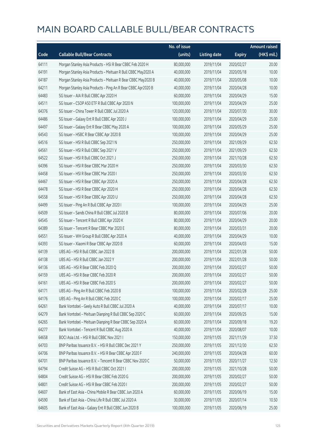|       |                                                              | No. of issue |                     |               | <b>Amount raised</b>  |
|-------|--------------------------------------------------------------|--------------|---------------------|---------------|-----------------------|
| Code  | <b>Callable Bull/Bear Contracts</b>                          | (units)      | <b>Listing date</b> | <b>Expiry</b> | $(HK\frac{1}{2}mil.)$ |
| 64111 | Morgan Stanley Asia Products - HSI R Bear CBBC Feb 2020 H    | 80,000,000   | 2019/11/04          | 2020/02/27    | 20.00                 |
| 64191 | Morgan Stanley Asia Products - Meituan R Bull CBBC May2020 A | 40,000,000   | 2019/11/04          | 2020/05/18    | 10.00                 |
| 64187 | Morgan Stanley Asia Products - Meituan R Bear CBBC May2020 B | 40,000,000   | 2019/11/04          | 2020/05/08    | 10.00                 |
| 64211 | Morgan Stanley Asia Products - Ping An R Bear CBBC Apr2020 B | 40,000,000   | 2019/11/04          | 2020/04/28    | 10.00                 |
| 64483 | SG Issuer - AIA R Bull CBBC Apr 2020 H                       | 60,000,000   | 2019/11/04          | 2020/04/29    | 15.00                 |
| 64511 | SG Issuer - CSOP A50 ETF R Bull CBBC Apr 2020 N              | 100,000,000  | 2019/11/04          | 2020/04/29    | 25.00                 |
| 64376 | SG Issuer - China Tower R Bull CBBC Jul 2020 A               | 120,000,000  | 2019/11/04          | 2020/07/30    | 30.00                 |
| 64486 | SG Issuer - Galaxy Ent R Bull CBBC Apr 2020 J                | 100,000,000  | 2019/11/04          | 2020/04/29    | 25.00                 |
| 64497 | SG Issuer - Galaxy Ent R Bear CBBC May 2020 A                | 100,000,000  | 2019/11/04          | 2020/05/29    | 25.00                 |
| 64543 | SG Issuer - HSBC R Bear CBBC Apr 2020 B                      | 100,000,000  | 2019/11/04          | 2020/04/29    | 25.00                 |
| 64516 | SG Issuer - HSI R Bull CBBC Sep 2021 N                       | 250,000,000  | 2019/11/04          | 2021/09/29    | 62.50                 |
| 64561 | SG Issuer - HSI R Bull CBBC Sep 2021 V                       | 250,000,000  | 2019/11/04          | 2021/09/29    | 62.50                 |
| 64522 | SG Issuer - HSI R Bull CBBC Oct 2021 J                       | 250,000,000  | 2019/11/04          | 2021/10/28    | 62.50                 |
| 64396 | SG Issuer - HSI R Bear CBBC Mar 2020 H                       | 250,000,000  | 2019/11/04          | 2020/03/30    | 62.50                 |
| 64458 | SG Issuer - HSI R Bear CBBC Mar 2020 I                       | 250,000,000  | 2019/11/04          | 2020/03/30    | 62.50                 |
| 64467 | SG Issuer - HSI R Bear CBBC Apr 2020 A                       | 250,000,000  | 2019/11/04          | 2020/04/28    | 62.50                 |
| 64478 | SG Issuer - HSI R Bear CBBC Apr 2020 H                       | 250,000,000  | 2019/11/04          | 2020/04/28    | 62.50                 |
| 64558 | SG Issuer - HSI R Bear CBBC Apr 2020 U                       | 250,000,000  | 2019/11/04          | 2020/04/28    | 62.50                 |
| 64499 | SG Issuer - Ping An R Bull CBBC Apr 2020 I                   | 100,000,000  | 2019/11/04          | 2020/04/29    | 25.00                 |
| 64509 | SG Issuer - Sands China R Bull CBBC Jul 2020 B               | 80,000,000   | 2019/11/04          | 2020/07/06    | 20.00                 |
| 64545 | SG Issuer - Tencent R Bull CBBC Apr 2020 K                   | 80,000,000   | 2019/11/04          | 2020/04/29    | 20.00                 |
| 64389 | SG Issuer - Tencent R Bear CBBC Mar 2020 E                   | 80,000,000   | 2019/11/04          | 2020/03/31    | 20.00                 |
| 64551 | SG Issuer - WH Group R Bull CBBC Apr 2020 A                  | 40,000,000   | 2019/11/04          | 2020/04/29    | 10.00                 |
| 64393 | SG Issuer - Xiaomi R Bear CBBC Apr 2020 B                    | 60,000,000   | 2019/11/04          | 2020/04/03    | 15.00                 |
| 64139 | UBS AG - HSI R Bull CBBC Jan 2022 B                          | 200,000,000  | 2019/11/04          | 2022/01/28    | 50.00                 |
| 64138 | UBS AG - HSI R Bull CBBC Jan 2022 Y                          | 200,000,000  | 2019/11/04          | 2022/01/28    | 50.00                 |
| 64136 | UBS AG - HSI R Bear CBBC Feb 2020 Q                          | 200,000,000  | 2019/11/04          | 2020/02/27    | 50.00                 |
| 64159 | UBS AG - HSI R Bear CBBC Feb 2020 R                          | 200,000,000  | 2019/11/04          | 2020/02/27    | 50.00                 |
| 64161 | UBS AG - HSI R Bear CBBC Feb 2020 S                          | 200,000,000  | 2019/11/04          | 2020/02/27    | 50.00                 |
| 64171 | UBS AG - Ping An R Bull CBBC Feb 2020 B                      | 100,000,000  | 2019/11/04          | 2020/02/28    | 25.00                 |
| 64176 | UBS AG - Ping An R Bull CBBC Feb 2020 C                      | 100,000,000  | 2019/11/04          | 2020/02/17    | 25.00                 |
| 64261 | Bank Vontobel - Geely Auto R Bull CBBC Jul 2020 A            | 40,000,000   | 2019/11/04          | 2020/07/17    | 10.00                 |
| 64279 | Bank Vontobel - Meituan Dianping R Bull CBBC Sep 2020 C      | 60,000,000   | 2019/11/04          | 2020/09/25    | 15.00                 |
| 64265 | Bank Vontobel - Meituan Dianping R Bear CBBC Sep 2020 A      | 60,000,000   | 2019/11/04          | 2020/09/18    | 19.20                 |
| 64277 | Bank Vontobel - Tencent R Bull CBBC Aug 2020 A               | 40,000,000   | 2019/11/04          | 2020/08/07    | 10.00                 |
| 64658 | BOCI Asia Ltd. - HSI R Bull CBBC Nov 2021 I                  | 150,000,000  | 2019/11/05          | 2021/11/29    | 37.50                 |
| 64703 | BNP Paribas Issuance B.V. - HSI R Bull CBBC Dec 2021 Y       | 250,000,000  | 2019/11/05          | 2021/12/30    | 62.50                 |
| 64706 | BNP Paribas Issuance B.V. - HSI R Bear CBBC Apr 2020 F       | 240,000,000  | 2019/11/05          | 2020/04/28    | 60.00                 |
| 64701 | BNP Paribas Issuance B.V. - Tencent R Bear CBBC Nov 2020 C   | 50,000,000   | 2019/11/05          | 2020/11/27    | 12.50                 |
| 64794 | Credit Suisse AG - HSI R Bull CBBC Oct 2021 I                | 200,000,000  | 2019/11/05          | 2021/10/28    | 50.00                 |
| 64804 | Credit Suisse AG - HSI R Bear CBBC Feb 2020 G                | 200,000,000  | 2019/11/05          | 2020/02/27    | 50.00                 |
| 64801 | Credit Suisse AG - HSI R Bear CBBC Feb 2020 I                | 200,000,000  | 2019/11/05          | 2020/02/27    | 50.00                 |
| 64607 | Bank of East Asia - China Mobile R Bear CBBC Jun 2020 A      | 60,000,000   | 2019/11/05          | 2020/06/19    | 15.00                 |
| 64590 | Bank of East Asia - China Life R Bull CBBC Jul 2020 A        | 30,000,000   | 2019/11/05          | 2020/07/14    | 10.50                 |
| 64605 | Bank of East Asia - Galaxy Ent R Bull CBBC Jun 2020 B        | 100,000,000  | 2019/11/05          | 2020/06/19    | 25.00                 |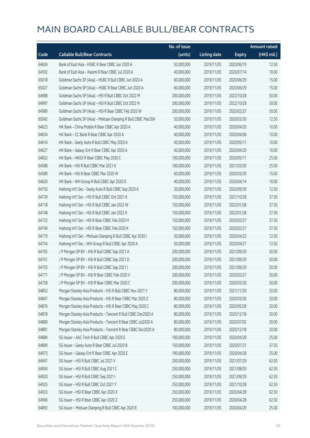|       |                                                               | No. of issue |                     |               | <b>Amount raised</b> |
|-------|---------------------------------------------------------------|--------------|---------------------|---------------|----------------------|
| Code  | <b>Callable Bull/Bear Contracts</b>                           | (units)      | <b>Listing date</b> | <b>Expiry</b> | (HK\$ mil.)          |
| 64604 | Bank of East Asia - HSBC R Bear CBBC Jun 2020 A               | 50,000,000   | 2019/11/05          | 2020/06/19    | 12.50                |
| 64592 | Bank of East Asia - Xiaomi R Bear CBBC Jul 2020 A             | 40,000,000   | 2019/11/05          | 2020/07/14    | 10.00                |
| 65018 | Goldman Sachs SP (Asia) - HSBC R Bull CBBC Jun 2020 A         | 60,000,000   | 2019/11/05          | 2020/06/29    | 15.00                |
| 65027 | Goldman Sachs SP (Asia) - HSBC R Bear CBBC Jun 2020 A         | 60,000,000   | 2019/11/05          | 2020/06/29    | 15.00                |
| 64988 | Goldman Sachs SP (Asia) - HSI R Bull CBBC Oct 2022 M          | 200,000,000  | 2019/11/05          | 2022/10/28    | 50.00                |
| 64997 | Goldman Sachs SP (Asia) - HSI R Bull CBBC Oct 2022 N          | 200,000,000  | 2019/11/05          | 2022/10/28    | 50.00                |
| 64989 | Goldman Sachs SP (Asia) - HSI R Bear CBBC Feb 2020 W          | 200,000,000  | 2019/11/05          | 2020/02/27    | 50.00                |
| 65042 | Goldman Sachs SP (Asia) - Meituan Dianping R Bull CBBC Mar20A | 50,000,000   | 2019/11/05          | 2020/03/30    | 12.50                |
| 64623 | HK Bank - China Mobile R Bear CBBC Apr 2020 A                 | 40,000,000   | 2019/11/05          | 2020/04/20    | 10.00                |
| 64634 | HK Bank - CC Bank R Bear CBBC Apr 2020 A                      | 40,000,000   | 2019/11/05          | 2020/04/06    | 10.00                |
| 64616 | HK Bank - Geely Auto R Bull CBBC May 2020 A                   | 40,000,000   | 2019/11/05          | 2020/05/11    | 10.00                |
| 64627 | HK Bank - Galaxy Ent R Bear CBBC Apr 2020 A                   | 40,000,000   | 2019/11/05          | 2020/04/20    | 10.00                |
| 64652 | HK Bank - HKEX R Bear CBBC May 2020 C                         | 100,000,000  | 2019/11/05          | 2020/05/11    | 25.00                |
| 64588 | HK Bank - HSI R Bull CBBC Mar 2021 K                          | 100,000,000  | 2019/11/05          | 2021/03/30    | 25.00                |
| 64589 | HK Bank - HSI R Bear CBBC Mar 2020 W                          | 60,000,000   | 2019/11/05          | 2020/03/30    | 15.00                |
| 64620 | HK Bank - WH Group R Bull CBBC Apr 2020 D                     | 40,000,000   | 2019/11/05          | 2020/04/14    | 10.00                |
| 64750 | Haitong Int'l Sec - Geely Auto R Bull CBBC Sep 2020 A         | 50,000,000   | 2019/11/05          | 2020/09/30    | 12.50                |
| 64739 | Haitong Int'l Sec - HSI R Bull CBBC Oct 2021 K                | 150,000,000  | 2019/11/05          | 2021/10/28    | 37.50                |
| 64718 | Haitong Int'l Sec - HSI R Bull CBBC Jan 2022 W                | 150,000,000  | 2019/11/05          | 2022/01/28    | 37.50                |
| 64748 | Haitong Int'l Sec - HSI R Bull CBBC Jan 2022 X                | 150,000,000  | 2019/11/05          | 2022/01/28    | 37.50                |
| 64722 | Haitong Int'l Sec - HSI R Bear CBBC Feb 2020 H                | 150,000,000  | 2019/11/05          | 2020/02/27    | 37.50                |
| 64749 | Haitong Int'l Sec - HSI R Bear CBBC Feb 2020 K                | 150,000,000  | 2019/11/05          | 2020/02/27    | 37.50                |
| 64719 | Haitong Int'l Sec - Meituan Dianping R Bull CBBC Apr 2020 I   | 50,000,000   | 2019/11/05          | 2020/04/23    | 12.50                |
| 64754 | Haitong Int'l Sec - WH Group R Bull CBBC Apr 2020 A           | 50,000,000   | 2019/11/05          | 2020/04/27    | 12.50                |
| 64765 | J P Morgan SP BV - HSI R Bull CBBC Sep 2021 A                 | 200,000,000  | 2019/11/05          | 2021/09/29    | 50.00                |
| 64761 | J P Morgan SP BV - HSI R Bull CBBC Sep 2021 D                 | 200,000,000  | 2019/11/05          | 2021/09/29    | 50.00                |
| 64755 | J P Morgan SP BV - HSI R Bull CBBC Sep 2021 I                 | 200,000,000  | 2019/11/05          | 2021/09/29    | 50.00                |
| 64771 | J P Morgan SP BV - HSI R Bear CBBC Feb 2020 V                 | 200,000,000  | 2019/11/05          | 2020/02/27    | 50.00                |
| 64758 | J P Morgan SP BV - HSI R Bear CBBC Mar 2020 C                 | 200,000,000  | 2019/11/05          | 2020/03/30    | 50.00                |
| 64852 | Morgan Stanley Asia Products - HSI R Bull CBBC Nov 2021 Y     | 80,000,000   | 2019/11/05          | 2021/11/29    | 20.00                |
| 64847 | Morgan Stanley Asia Products - HSI R Bear CBBC Mar 2020 Z     | 80,000,000   | 2019/11/05          | 2020/03/30    | 20.00                |
| 64876 | Morgan Stanley Asia Products - HSI R Bear CBBC May 2020 C     | 80,000,000   | 2019/11/05          | 2020/05/28    | 20.00                |
| 64878 | Morgan Stanley Asia Products - Tencent R Bull CBBC Dec2020 A  | 80,000,000   | 2019/11/05          | 2020/12/18    | 20.00                |
| 64880 | Morgan Stanley Asia Products - Tencent R Bear CBBC Jul2020 A  | 80,000,000   | 2019/11/05          | 2020/07/02    | 20.00                |
| 64881 | Morgan Stanley Asia Products - Tencent R Bear CBBC Dec2020 A  | 80,000,000   | 2019/11/05          | 2020/12/18    | 20.00                |
| 64884 | SG Issuer - AAC Tech R Bull CBBC Apr 2020 E                   | 100,000,000  | 2019/11/05          | 2020/04/28    | 25.00                |
| 64890 | SG Issuer - Geely Auto R Bear CBBC Jul 2020 B                 | 150,000,000  | 2019/11/05          | 2020/07/31    | 37.50                |
| 64973 | SG Issuer - Galaxy Ent R Bear CBBC Apr 2020 E                 | 100,000,000  | 2019/11/05          | 2020/04/28    | 25.00                |
| 64941 | SG Issuer - HSI R Bull CBBC Jul 2021 V                        | 250,000,000  | 2019/11/05          | 2021/07/29    | 62.50                |
| 64904 | SG Issuer - HSI R Bull CBBC Aug 2021 C                        | 250,000,000  | 2019/11/05          | 2021/08/30    | 62.50                |
| 64920 | SG Issuer - HSI R Bull CBBC Sep 2021 I                        | 250,000,000  | 2019/11/05          | 2021/09/29    | 62.50                |
| 64925 | SG Issuer - HSI R Bull CBBC Oct 2021 Y                        | 250,000,000  | 2019/11/05          | 2021/10/28    | 62.50                |
| 64933 | SG Issuer - HSI R Bear CBBC Apr 2020 X                        | 250,000,000  | 2019/11/05          | 2020/04/28    | 62.50                |
| 64966 | SG Issuer - HSI R Bear CBBC Apr 2020 Z                        | 250,000,000  | 2019/11/05          | 2020/04/28    | 62.50                |
| 64892 | SG Issuer - Meituan Dianping R Bull CBBC Apr 2020 E           | 100,000,000  | 2019/11/05          | 2020/04/29    | 25.00                |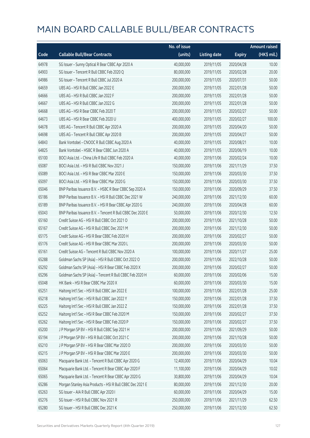|       |                                                            | No. of issue |                     |               | Amount raised |
|-------|------------------------------------------------------------|--------------|---------------------|---------------|---------------|
| Code  | <b>Callable Bull/Bear Contracts</b>                        | (units)      | <b>Listing date</b> | <b>Expiry</b> | (HK\$ mil.)   |
| 64978 | SG Issuer - Sunny Optical R Bear CBBC Apr 2020 A           | 40,000,000   | 2019/11/05          | 2020/04/28    | 10.00         |
| 64903 | SG Issuer - Tencent R Bull CBBC Feb 2020 Q                 | 80,000,000   | 2019/11/05          | 2020/02/28    | 20.00         |
| 64986 | SG Issuer - Tencent R Bull CBBC Jul 2020 A                 | 200,000,000  | 2019/11/05          | 2020/07/31    | 50.00         |
| 64659 | UBS AG - HSI R Bull CBBC Jan 2022 E                        | 200,000,000  | 2019/11/05          | 2022/01/28    | 50.00         |
| 64666 | UBS AG - HSI R Bull CBBC Jan 2022 F                        | 200,000,000  | 2019/11/05          | 2022/01/28    | 50.00         |
| 64667 | UBS AG - HSI R Bull CBBC Jan 2022 G                        | 200,000,000  | 2019/11/05          | 2022/01/28    | 50.00         |
| 64668 | UBS AG - HSI R Bear CBBC Feb 2020 T                        | 200,000,000  | 2019/11/05          | 2020/02/27    | 50.00         |
| 64673 | UBS AG - HSI R Bear CBBC Feb 2020 U                        | 400,000,000  | 2019/11/05          | 2020/02/27    | 100.00        |
| 64678 | UBS AG - Tencent R Bull CBBC Apr 2020 A                    | 200,000,000  | 2019/11/05          | 2020/04/20    | 50.00         |
| 64698 | UBS AG - Tencent R Bull CBBC Apr 2020 B                    | 200,000,000  | 2019/11/05          | 2020/04/27    | 50.00         |
| 64843 | Bank Vontobel - CNOOC R Bull CBBC Aug 2020 A               | 40,000,000   | 2019/11/05          | 2020/08/21    | 10.00         |
| 64825 | Bank Vontobel - HSBC R Bear CBBC Jun 2020 A                | 40,000,000   | 2019/11/05          | 2020/06/19    | 10.00         |
| 65100 | BOCI Asia Ltd. - China Life R Bull CBBC Feb 2020 A         | 40,000,000   | 2019/11/06          | 2020/02/24    | 10.00         |
| 65087 | BOCI Asia Ltd. - HSI R Bull CBBC Nov 2021 J                | 150,000,000  | 2019/11/06          | 2021/11/29    | 37.50         |
| 65089 | BOCI Asia Ltd. - HSI R Bear CBBC Mar 2020 E                | 150,000,000  | 2019/11/06          | 2020/03/30    | 37.50         |
| 65097 | BOCI Asia Ltd. - HSI R Bear CBBC Mar 2020 G                | 150,000,000  | 2019/11/06          | 2020/03/30    | 37.50         |
| 65046 | BNP Paribas Issuance B.V. - HSBC R Bear CBBC Sep 2020 A    | 150,000,000  | 2019/11/06          | 2020/09/29    | 37.50         |
| 65186 | BNP Paribas Issuance B.V. - HSI R Bull CBBC Dec 2021 W     | 240,000,000  | 2019/11/06          | 2021/12/30    | 60.00         |
| 65189 | BNP Paribas Issuance B.V. - HSI R Bear CBBC Apr 2020 G     | 240,000,000  | 2019/11/06          | 2020/04/28    | 60.00         |
| 65043 | BNP Paribas Issuance B.V. - Tencent R Bull CBBC Dec 2020 E | 50,000,000   | 2019/11/06          | 2020/12/30    | 12.50         |
| 65160 | Credit Suisse AG - HSI R Bull CBBC Oct 2021 O              | 200,000,000  | 2019/11/06          | 2021/10/28    | 50.00         |
| 65167 | Credit Suisse AG - HSI R Bull CBBC Dec 2021 M              | 200,000,000  | 2019/11/06          | 2021/12/30    | 50.00         |
| 65175 | Credit Suisse AG - HSI R Bear CBBC Feb 2020 H              | 200,000,000  | 2019/11/06          | 2020/02/27    | 50.00         |
| 65176 | Credit Suisse AG - HSI R Bear CBBC Mar 2020 L              | 200,000,000  | 2019/11/06          | 2020/03/30    | 50.00         |
| 65161 | Credit Suisse AG - Tencent R Bull CBBC Nov 2020 A          | 100,000,000  | 2019/11/06          | 2020/11/27    | 25.00         |
| 65288 | Goldman Sachs SP (Asia) - HSI R Bull CBBC Oct 2022 O       | 200,000,000  | 2019/11/06          | 2022/10/28    | 50.00         |
| 65292 | Goldman Sachs SP (Asia) - HSI R Bear CBBC Feb 2020 X       | 200,000,000  | 2019/11/06          | 2020/02/27    | 50.00         |
| 65296 | Goldman Sachs SP (Asia) - Tencent R Bull CBBC Feb 2020 H   | 60,000,000   | 2019/11/06          | 2020/02/06    | 15.00         |
| 65048 | HK Bank - HSI R Bear CBBC Mar 2020 X                       | 60,000,000   | 2019/11/06          | 2020/03/30    | 15.00         |
| 65251 | Haitong Int'l Sec - HSI R Bull CBBC Jan 2022 E             | 100,000,000  | 2019/11/06          | 2022/01/28    | 25.00         |
| 65218 | Haitong Int'l Sec - HSI R Bull CBBC Jan 2022 Y             | 150,000,000  | 2019/11/06          | 2022/01/28    | 37.50         |
| 65225 | Haitong Int'l Sec - HSI R Bull CBBC Jan 2022 Z             | 150,000,000  | 2019/11/06          | 2022/01/28    | 37.50         |
| 65252 | Haitong Int'l Sec - HSI R Bear CBBC Feb 2020 M             | 150,000,000  | 2019/11/06          | 2020/02/27    | 37.50         |
| 65262 | Haitong Int'l Sec - HSI R Bear CBBC Feb 2020 P             | 150,000,000  | 2019/11/06          | 2020/02/27    | 37.50         |
| 65200 | J P Morgan SP BV - HSI R Bull CBBC Sep 2021 H              | 200,000,000  | 2019/11/06          | 2021/09/29    | 50.00         |
| 65194 | JP Morgan SP BV - HSIR Bull CBBC Oct 2021 C                | 200,000,000  | 2019/11/06          | 2021/10/28    | 50.00         |
| 65210 | J P Morgan SP BV - HSI R Bear CBBC Mar 2020 D              | 200,000,000  | 2019/11/06          | 2020/03/30    | 50.00         |
| 65215 | J P Morgan SP BV - HSI R Bear CBBC Mar 2020 E              | 200,000,000  | 2019/11/06          | 2020/03/30    | 50.00         |
| 65063 | Macquarie Bank Ltd. - Tencent R Bull CBBC Apr 2020 G       | 12,400,000   | 2019/11/06          | 2020/04/29    | 10.04         |
| 65064 | Macquarie Bank Ltd. - Tencent R Bear CBBC Apr 2020 F       | 11,100,000   | 2019/11/06          | 2020/04/29    | 10.02         |
| 65065 | Macquarie Bank Ltd. - Tencent R Bear CBBC Apr 2020 G       | 30,800,000   | 2019/11/06          | 2020/04/29    | 10.04         |
| 65286 | Morgan Stanley Asia Products - HSI R Bull CBBC Dec 2021 E  | 80,000,000   | 2019/11/06          | 2021/12/30    | 20.00         |
| 65263 | SG Issuer - AIA R Bull CBBC Apr 2020 I                     | 60,000,000   | 2019/11/06          | 2020/04/29    | 15.00         |
| 65276 | SG Issuer - HSI R Bull CBBC Nov 2021 R                     | 250,000,000  | 2019/11/06          | 2021/11/29    | 62.50         |
| 65280 | SG Issuer - HSI R Bull CBBC Dec 2021 K                     | 250,000,000  | 2019/11/06          | 2021/12/30    | 62.50         |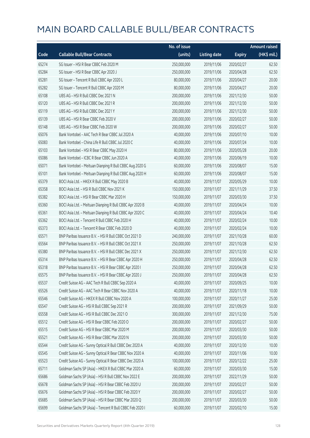|       |                                                          | No. of issue |                     |               | <b>Amount raised</b> |
|-------|----------------------------------------------------------|--------------|---------------------|---------------|----------------------|
| Code  | <b>Callable Bull/Bear Contracts</b>                      | (units)      | <b>Listing date</b> | <b>Expiry</b> | (HK\$ mil.)          |
| 65274 | SG Issuer - HSI R Bear CBBC Feb 2020 M                   | 250,000,000  | 2019/11/06          | 2020/02/27    | 62.50                |
| 65284 | SG Issuer - HSI R Bear CBBC Apr 2020 J                   | 250,000,000  | 2019/11/06          | 2020/04/28    | 62.50                |
| 65281 | SG Issuer - Tencent R Bull CBBC Apr 2020 L               | 80,000,000   | 2019/11/06          | 2020/04/27    | 20.00                |
| 65282 | SG Issuer - Tencent R Bull CBBC Apr 2020 M               | 80,000,000   | 2019/11/06          | 2020/04/27    | 20.00                |
| 65108 | UBS AG - HSI R Bull CBBC Dec 2021 N                      | 200,000,000  | 2019/11/06          | 2021/12/30    | 50.00                |
| 65120 | UBS AG - HSI R Bull CBBC Dec 2021 R                      | 200,000,000  | 2019/11/06          | 2021/12/30    | 50.00                |
| 65119 | UBS AG - HSI R Bull CBBC Dec 2021 Y                      | 200,000,000  | 2019/11/06          | 2021/12/30    | 50.00                |
| 65139 | UBS AG - HSI R Bear CBBC Feb 2020 V                      | 200,000,000  | 2019/11/06          | 2020/02/27    | 50.00                |
| 65148 | UBS AG - HSI R Bear CBBC Feb 2020 W                      | 200,000,000  | 2019/11/06          | 2020/02/27    | 50.00                |
| 65076 | Bank Vontobel - AAC Tech R Bear CBBC Jul 2020 A          | 40,000,000   | 2019/11/06          | 2020/07/10    | 10.00                |
| 65083 | Bank Vontobel - China Life R Bull CBBC Jul 2020 C        | 40,000,000   | 2019/11/06          | 2020/07/24    | 10.00                |
| 65103 | Bank Vontobel - HSI R Bear CBBC May 2020 H               | 80,000,000   | 2019/11/06          | 2020/05/28    | 20.00                |
| 65086 | Bank Vontobel - ICBC R Bear CBBC Jun 2020 A              | 40,000,000   | 2019/11/06          | 2020/06/19    | 10.00                |
| 65071 | Bank Vontobel - Meituan Dianping R Bull CBBC Aug 2020 G  | 60,000,000   | 2019/11/06          | 2020/08/07    | 15.00                |
| 65101 | Bank Vontobel - Meituan Dianping R Bull CBBC Aug 2020 H  | 60,000,000   | 2019/11/06          | 2020/08/07    | 15.00                |
| 65379 | BOCI Asia Ltd. - HKEX R Bull CBBC May 2020 B             | 40,000,000   | 2019/11/07          | 2020/05/29    | 10.00                |
| 65358 | BOCI Asia Ltd. - HSI R Bull CBBC Nov 2021 K              | 150,000,000  | 2019/11/07          | 2021/11/29    | 37.50                |
| 65382 | BOCI Asia Ltd. - HSI R Bear CBBC Mar 2020 H              | 150,000,000  | 2019/11/07          | 2020/03/30    | 37.50                |
| 65360 | BOCI Asia Ltd. - Meituan Dianping R Bull CBBC Apr 2020 B | 40,000,000   | 2019/11/07          | 2020/04/24    | 10.00                |
| 65361 | BOCI Asia Ltd. - Meituan Dianping R Bull CBBC Apr 2020 C | 40,000,000   | 2019/11/07          | 2020/04/24    | 10.40                |
| 65362 | BOCI Asia Ltd. - Tencent R Bull CBBC Feb 2020 H          | 40,000,000   | 2019/11/07          | 2020/02/24    | 10.00                |
| 65373 | BOCI Asia Ltd. - Tencent R Bear CBBC Feb 2020 D          | 40,000,000   | 2019/11/07          | 2020/02/24    | 10.00                |
| 65571 | BNP Paribas Issuance B.V. - HSI R Bull CBBC Oct 2021 D   | 240,000,000  | 2019/11/07          | 2021/10/28    | 60.00                |
| 65564 | BNP Paribas Issuance B.V. - HSI R Bull CBBC Oct 2021 X   | 250,000,000  | 2019/11/07          | 2021/10/28    | 62.50                |
| 65380 | BNP Paribas Issuance B.V. - HSI R Bull CBBC Dec 2021 X   | 250,000,000  | 2019/11/07          | 2021/12/30    | 62.50                |
| 65314 | BNP Paribas Issuance B.V. - HSI R Bear CBBC Apr 2020 H   | 250,000,000  | 2019/11/07          | 2020/04/28    | 62.50                |
| 65318 | BNP Paribas Issuance B.V. - HSI R Bear CBBC Apr 2020 I   | 250,000,000  | 2019/11/07          | 2020/04/28    | 62.50                |
| 65575 | BNP Paribas Issuance B.V. - HSI R Bear CBBC Apr 2020 J   | 250,000,000  | 2019/11/07          | 2020/04/28    | 62.50                |
| 65537 | Credit Suisse AG - AAC Tech R Bull CBBC Sep 2020 A       | 40,000,000   | 2019/11/07          | 2020/09/25    | 10.00                |
| 65526 | Credit Suisse AG - AAC Tech R Bear CBBC Nov 2020 A       | 40,000,000   | 2019/11/07          | 2020/11/18    | 10.00                |
| 65546 | Credit Suisse AG - HKEX R Bull CBBC Nov 2020 A           | 100,000,000  | 2019/11/07          | 2020/11/27    | 25.00                |
| 65547 | Credit Suisse AG - HSI R Bull CBBC Sep 2021 R            | 200,000,000  | 2019/11/07          | 2021/09/29    | 50.00                |
| 65558 | Credit Suisse AG - HSI R Bull CBBC Dec 2021 O            | 300,000,000  | 2019/11/07          | 2021/12/30    | 75.00                |
| 65512 | Credit Suisse AG - HSI R Bear CBBC Feb 2020 O            | 200,000,000  | 2019/11/07          | 2020/02/27    | 50.00                |
| 65515 | Credit Suisse AG - HSI R Bear CBBC Mar 2020 M            | 200,000,000  | 2019/11/07          | 2020/03/30    | 50.00                |
| 65521 | Credit Suisse AG - HSI R Bear CBBC Mar 2020 N            | 200,000,000  | 2019/11/07          | 2020/03/30    | 50.00                |
| 65544 | Credit Suisse AG - Sunny Optical R Bull CBBC Dec 2020 A  | 40,000,000   | 2019/11/07          | 2020/12/30    | 10.00                |
| 65545 | Credit Suisse AG - Sunny Optical R Bear CBBC Nov 2020 A  | 40,000,000   | 2019/11/07          | 2020/11/06    | 10.00                |
| 65523 | Credit Suisse AG - Sunny Optical R Bear CBBC Dec 2020 A  | 100,000,000  | 2019/11/07          | 2020/12/22    | 25.00                |
| 65711 | Goldman Sachs SP (Asia) - HKEX R Bull CBBC Mar 2020 A    | 60,000,000   | 2019/11/07          | 2020/03/30    | 15.00                |
| 65686 | Goldman Sachs SP (Asia) - HSI R Bull CBBC Nov 2022 E     | 200,000,000  | 2019/11/07          | 2022/11/29    | 50.00                |
| 65678 | Goldman Sachs SP (Asia) - HSI R Bear CBBC Feb 2020 U     | 200,000,000  | 2019/11/07          | 2020/02/27    | 50.00                |
| 65676 | Goldman Sachs SP (Asia) - HSI R Bear CBBC Feb 2020 Y     | 200,000,000  | 2019/11/07          | 2020/02/27    | 50.00                |
| 65685 | Goldman Sachs SP (Asia) - HSI R Bear CBBC Mar 2020 Q     | 200,000,000  | 2019/11/07          | 2020/03/30    | 50.00                |
| 65699 | Goldman Sachs SP (Asia) - Tencent R Bull CBBC Feb 2020 I | 60,000,000   | 2019/11/07          | 2020/02/10    | 15.00                |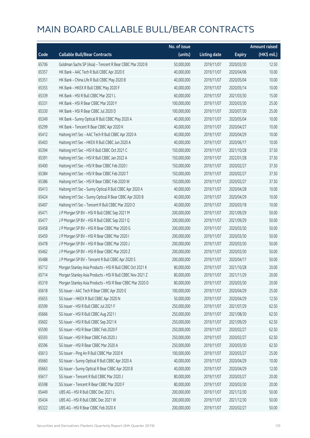|       |                                                           | No. of issue |                     |               | <b>Amount raised</b> |
|-------|-----------------------------------------------------------|--------------|---------------------|---------------|----------------------|
| Code  | <b>Callable Bull/Bear Contracts</b>                       | (units)      | <b>Listing date</b> | <b>Expiry</b> | (HK\$ mil.)          |
| 65706 | Goldman Sachs SP (Asia) - Tencent R Bear CBBC Mar 2020 B  | 50,000,000   | 2019/11/07          | 2020/03/30    | 12.50                |
| 65357 | HK Bank - AAC Tech R Bull CBBC Apr 2020 E                 | 40,000,000   | 2019/11/07          | 2020/04/06    | 10.00                |
| 65351 | HK Bank - China Life R Bull CBBC May 2020 B               | 40,000,000   | 2019/11/07          | 2020/05/04    | 10.00                |
| 65355 | HK Bank - HKEX R Bull CBBC May 2020 F                     | 40,000,000   | 2019/11/07          | 2020/05/14    | 10.00                |
| 65339 | HK Bank - HSI R Bull CBBC Mar 2021 L                      | 60,000,000   | 2019/11/07          | 2021/03/30    | 15.00                |
| 65331 | HK Bank - HSI R Bear CBBC Mar 2020 Y                      | 100,000,000  | 2019/11/07          | 2020/03/30    | 25.00                |
| 65330 | HK Bank - HSI R Bear CBBC Jul 2020 D                      | 100,000,000  | 2019/11/07          | 2020/07/30    | 25.00                |
| 65349 | HK Bank - Sunny Optical R Bull CBBC May 2020 A            | 40,000,000   | 2019/11/07          | 2020/05/04    | 10.00                |
| 65299 | HK Bank - Tencent R Bear CBBC Apr 2020 K                  | 40,000,000   | 2019/11/07          | 2020/04/27    | 10.00                |
| 65412 | Haitong Int'l Sec - AAC Tech R Bull CBBC Apr 2020 A       | 40,000,000   | 2019/11/07          | 2020/04/29    | 10.00                |
| 65403 | Haitong Int'l Sec - HKEX R Bull CBBC Jun 2020 A           | 40,000,000   | 2019/11/07          | 2020/06/17    | 10.00                |
| 65394 | Haitong Int'l Sec - HSI R Bull CBBC Oct 2021 C            | 150,000,000  | 2019/11/07          | 2021/10/28    | 37.50                |
| 65391 | Haitong Int'l Sec - HSI R Bull CBBC Jan 2022 A            | 150,000,000  | 2019/11/07          | 2022/01/28    | 37.50                |
| 65400 | Haitong Int'l Sec - HSI R Bear CBBC Feb 2020 I            | 150,000,000  | 2019/11/07          | 2020/02/27    | 37.50                |
| 65384 | Haitong Int'l Sec - HSI R Bear CBBC Feb 2020 T            | 150,000,000  | 2019/11/07          | 2020/02/27    | 37.50                |
| 65386 | Haitong Int'l Sec - HSI R Bear CBBC Feb 2020 W            | 150,000,000  | 2019/11/07          | 2020/02/27    | 37.50                |
| 65413 | Haitong Int'l Sec - Sunny Optical R Bull CBBC Apr 2020 A  | 40,000,000   | 2019/11/07          | 2020/04/28    | 10.00                |
| 65424 | Haitong Int'l Sec - Sunny Optical R Bear CBBC Apr 2020 B  | 40,000,000   | 2019/11/07          | 2020/04/29    | 10.00                |
| 65407 | Haitong Int'l Sec - Tencent R Bull CBBC Mar 2020 O        | 40,000,000   | 2019/11/07          | 2020/03/18    | 10.00                |
| 65471 | J P Morgan SP BV - HSI R Bull CBBC Sep 2021 M             | 200,000,000  | 2019/11/07          | 2021/09/29    | 50.00                |
| 65477 | J P Morgan SP BV - HSI R Bull CBBC Sep 2021 Q             | 200,000,000  | 2019/11/07          | 2021/09/29    | 50.00                |
| 65458 | J P Morgan SP BV - HSI R Bear CBBC Mar 2020 G             | 200,000,000  | 2019/11/07          | 2020/03/30    | 50.00                |
| 65459 | J P Morgan SP BV - HSI R Bear CBBC Mar 2020 I             | 200,000,000  | 2019/11/07          | 2020/03/30    | 50.00                |
| 65478 | J P Morgan SP BV - HSI R Bear CBBC Mar 2020 J             | 200,000,000  | 2019/11/07          | 2020/03/30    | 50.00                |
| 65462 | J P Morgan SP BV - HSI R Bear CBBC Mar 2020 Z             | 200,000,000  | 2019/11/07          | 2020/03/30    | 50.00                |
| 65488 | J P Morgan SP BV - Tencent R Bull CBBC Apr 2020 S         | 200,000,000  | 2019/11/07          | 2020/04/17    | 50.00                |
| 65712 | Morgan Stanley Asia Products - HSI R Bull CBBC Oct 2021 K | 80,000,000   | 2019/11/07          | 2021/10/28    | 20.00                |
| 65714 | Morgan Stanley Asia Products - HSI R Bull CBBC Nov 2021 Z | 80,000,000   | 2019/11/07          | 2021/11/29    | 20.00                |
| 65319 | Morgan Stanley Asia Products - HSI R Bear CBBC Mar 2020 D | 80,000,000   | 2019/11/07          | 2020/03/30    | 20.00                |
| 65618 | SG Issuer - AAC Tech R Bear CBBC Apr 2020 E               | 100,000,000  | 2019/11/07          | 2020/04/29    | 25.00                |
| 65655 | SG Issuer - HKEX R Bull CBBC Apr 2020 N                   | 50,000,000   | 2019/11/07          | 2020/04/29    | 12.50                |
| 65599 | SG Issuer - HSI R Bull CBBC Jul 2021 F                    | 250,000,000  | 2019/11/07          | 2021/07/29    | 62.50                |
| 65666 | SG Issuer - HSI R Bull CBBC Aug 2021 I                    | 250,000,000  | 2019/11/07          | 2021/08/30    | 62.50                |
| 65602 | SG Issuer - HSI R Bull CBBC Sep 2021 K                    | 250,000,000  | 2019/11/07          | 2021/09/29    | 62.50                |
| 65590 | SG Issuer - HSI R Bear CBBC Feb 2020 F                    | 250,000,000  | 2019/11/07          | 2020/02/27    | 62.50                |
| 65593 | SG Issuer - HSI R Bear CBBC Feb 2020 J                    | 250,000,000  | 2019/11/07          | 2020/02/27    | 62.50                |
| 65596 | SG Issuer - HSI R Bear CBBC Mar 2020 A                    | 250,000,000  | 2019/11/07          | 2020/03/30    | 62.50                |
| 65613 | SG Issuer - Ping An R Bull CBBC Mar 2020 K                | 100,000,000  | 2019/11/07          | 2020/03/27    | 25.00                |
| 65660 | SG Issuer - Sunny Optical R Bull CBBC Apr 2020 A          | 40,000,000   | 2019/11/07          | 2020/04/29    | 10.00                |
| 65663 | SG Issuer - Sunny Optical R Bear CBBC Apr 2020 B          | 40,000,000   | 2019/11/07          | 2020/04/29    | 12.00                |
| 65617 | SG Issuer - Tencent R Bull CBBC Mar 2020 J                | 80,000,000   | 2019/11/07          | 2020/03/27    | 20.00                |
| 65598 | SG Issuer - Tencent R Bear CBBC Mar 2020 F                | 80,000,000   | 2019/11/07          | 2020/03/30    | 20.00                |
| 65449 | UBS AG - HSI R Bull CBBC Dec 2021 L                       | 200,000,000  | 2019/11/07          | 2021/12/30    | 50.00                |
| 65434 | UBS AG - HSI R Bull CBBC Dec 2021 W                       | 200,000,000  | 2019/11/07          | 2021/12/30    | 50.00                |
| 65322 | UBS AG - HSI R Bear CBBC Feb 2020 X                       | 200,000,000  | 2019/11/07          | 2020/02/27    | 50.00                |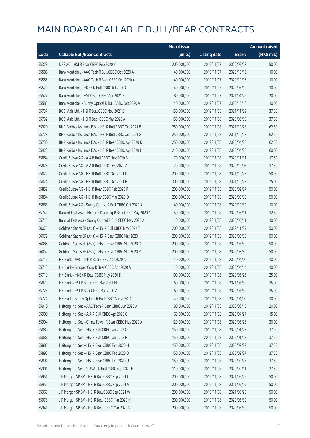|       |                                                             | No. of issue |                     |               | <b>Amount raised</b> |
|-------|-------------------------------------------------------------|--------------|---------------------|---------------|----------------------|
| Code  | <b>Callable Bull/Bear Contracts</b>                         | (units)      | <b>Listing date</b> | <b>Expiry</b> | (HK\$ mil.)          |
| 65328 | UBS AG - HSI R Bear CBBC Feb 2020 Y                         | 200,000,000  | 2019/11/07          | 2020/02/27    | 50.00                |
| 65586 | Bank Vontobel - AAC Tech R Bull CBBC Oct 2020 A             | 40,000,000   | 2019/11/07          | 2020/10/16    | 10.00                |
| 65585 | Bank Vontobel - AAC Tech R Bear CBBC Oct 2020 A             | 40,000,000   | 2019/11/07          | 2020/10/16    | 10.00                |
| 65579 | Bank Vontobel - HKEX R Bull CBBC Jul 2020 C                 | 40,000,000   | 2019/11/07          | 2020/07/10    | 10.00                |
| 65577 | Bank Vontobel - HSI R Bull CBBC Apr 2021 Z                  | 80,000,000   | 2019/11/07          | 2021/04/29    | 20.00                |
| 65583 | Bank Vontobel - Sunny Optical R Bull CBBC Oct 2020 A        | 40,000,000   | 2019/11/07          | 2020/10/16    | 10.00                |
| 65737 | BOCI Asia Ltd. - HSI R Bull CBBC Nov 2021 S                 | 150,000,000  | 2019/11/08          | 2021/11/29    | 37.50                |
| 65732 | BOCI Asia Ltd. - HSI R Bear CBBC Mar 2020 A                 | 150,000,000  | 2019/11/08          | 2020/03/30    | 37.50                |
| 65920 | BNP Paribas Issuance B.V. - HSI R Bull CBBC Oct 2021 B      | 250,000,000  | 2019/11/08          | 2021/10/28    | 62.50                |
| 65728 | BNP Paribas Issuance B.V. - HSI R Bull CBBC Oct 2021 G      | 250,000,000  | 2019/11/08          | 2021/10/28    | 62.50                |
| 65730 | BNP Paribas Issuance B.V. - HSI R Bear CBBC Apr 2020 K      | 250,000,000  | 2019/11/08          | 2020/04/28    | 62.50                |
| 65928 | BNP Paribas Issuance B.V. - HSI R Bear CBBC Apr 2020 L      | 240,000,000  | 2019/11/08          | 2020/04/28    | 60.00                |
| 65864 | Credit Suisse AG - AIA R Bull CBBC Nov 2020 B               | 70,000,000   | 2019/11/08          | 2020/11/11    | 17.50                |
| 65876 | Credit Suisse AG - AIA R Bull CBBC Dec 2020 A               | 70,000,000   | 2019/11/08          | 2020/12/03    | 17.50                |
| 65872 | Credit Suisse AG - HSI R Bull CBBC Oct 2021 D               | 200,000,000  | 2019/11/08          | 2021/10/28    | 50.00                |
| 65874 | Credit Suisse AG - HSI R Bull CBBC Oct 2021 F               | 300,000,000  | 2019/11/08          | 2021/10/28    | 75.00                |
| 65852 | Credit Suisse AG - HSI R Bear CBBC Feb 2020 P               | 200,000,000  | 2019/11/08          | 2020/02/27    | 50.00                |
| 65854 | Credit Suisse AG - HSI R Bear CBBC Mar 2020 O               | 200,000,000  | 2019/11/08          | 2020/03/30    | 50.00                |
| 65868 | Credit Suisse AG - Sunny Optical R Bull CBBC Oct 2020 A     | 40,000,000   | 2019/11/08          | 2020/10/30    | 10.00                |
| 65742 | Bank of East Asia - Meituan Dianping R Bear CBBC May 2020 A | 50,000,000   | 2019/11/08          | 2020/05/11    | 12.50                |
| 65745 | Bank of East Asia - Sunny Optical R Bull CBBC May 2020 A    | 40,000,000   | 2019/11/08          | 2020/05/11    | 10.00                |
| 66075 | Goldman Sachs SP (Asia) - HSI R Bull CBBC Nov 2022 F        | 200,000,000  | 2019/11/08          | 2022/11/29    | 50.00                |
| 66072 | Goldman Sachs SP (Asia) - HSI R Bear CBBC Mar 2020 I        | 200,000,000  | 2019/11/08          | 2020/03/30    | 50.00                |
| 66086 | Goldman Sachs SP (Asia) - HSI R Bear CBBC Mar 2020 O        | 200,000,000  | 2019/11/08          | 2020/03/30    | 50.00                |
| 66052 | Goldman Sachs SP (Asia) - HSI R Bear CBBC Mar 2020 R        | 200,000,000  | 2019/11/08          | 2020/03/30    | 50.00                |
| 65715 | HK Bank - AAC Tech R Bear CBBC Apr 2020 A                   | 40,000,000   | 2019/11/08          | 2020/04/06    | 10.00                |
| 65718 | HK Bank - Sinopec Corp R Bear CBBC Apr 2020 A               | 40,000,000   | 2019/11/08          | 2020/04/14    | 10.00                |
| 65719 | HK Bank - HKEX R Bear CBBC May 2020 D                       | 100,000,000  | 2019/11/08          | 2020/05/25    | 25.00                |
| 65879 | HK Bank - HSI R Bull CBBC Mar 2021 M                        | 60,000,000   | 2019/11/08          | 2021/03/30    | 15.00                |
| 65725 | HK Bank - HSI R Bear CBBC Mar 2020 Z                        | 60,000,000   | 2019/11/08          | 2020/03/30    | 15.00                |
| 65724 | HK Bank - Sunny Optical R Bull CBBC Apr 2020 D              | 40,000,000   | 2019/11/08          | 2020/04/06    | 10.00                |
| 65910 | Haitong Int'l Sec - AAC Tech R Bear CBBC Jun 2020 A         | 80,000,000   | 2019/11/08          | 2020/06/10    | 20.00                |
| 65900 | Haitong Int'l Sec - AIA R Bull CBBC Apr 2020 C              | 60,000,000   | 2019/11/08          | 2020/04/27    | 15.00                |
| 65904 | Haitong Int'l Sec - China Tower R Bear CBBC May 2020 A      | 120,000,000  | 2019/11/08          | 2020/05/26    | 30.00                |
| 65886 | Haitong Int'l Sec - HSI R Bull CBBC Jan 2022 C              | 150,000,000  | 2019/11/08          | 2022/01/28    | 37.50                |
| 65887 | Haitong Int'l Sec - HSI R Bull CBBC Jan 2022 F              | 150,000,000  | 2019/11/08          | 2022/01/28    | 37.50                |
| 65885 | Haitong Int'l Sec - HSI R Bear CBBC Feb 2020 N              | 150,000,000  | 2019/11/08          | 2020/02/27    | 37.50                |
| 65893 | Haitong Int'l Sec - HSI R Bear CBBC Feb 2020 Q              | 150,000,000  | 2019/11/08          | 2020/02/27    | 37.50                |
| 65894 | Haitong Int'l Sec - HSI R Bear CBBC Feb 2020 U              | 150,000,000  | 2019/11/08          | 2020/02/27    | 37.50                |
| 65901 | Haitong Int'l Sec - SUNAC R Bull CBBC Sep 2020 B            | 110,000,000  | 2019/11/08          | 2020/09/11    | 27.50                |
| 65951 | J P Morgan SP BV - HSI R Bull CBBC Sep 2021 U               | 200,000,000  | 2019/11/08          | 2021/09/29    | 50.00                |
| 65952 | J P Morgan SP BV - HSI R Bull CBBC Sep 2021 V               | 200,000,000  | 2019/11/08          | 2021/09/29    | 50.00                |
| 65963 | J P Morgan SP BV - HSI R Bull CBBC Sep 2021 W               | 200,000,000  | 2019/11/08          | 2021/09/29    | 50.00                |
| 65978 | J P Morgan SP BV - HSI R Bear CBBC Mar 2020 H               | 200,000,000  | 2019/11/08          | 2020/03/30    | 50.00                |
| 65941 | J P Morgan SP BV - HSI R Bear CBBC Mar 2020 S               | 200,000,000  | 2019/11/08          | 2020/03/30    | 50.00                |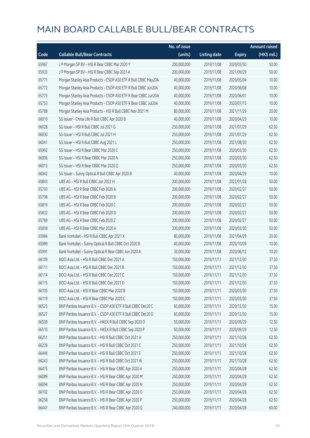|       |                                                                | No. of issue |                     |               | <b>Amount raised</b>  |
|-------|----------------------------------------------------------------|--------------|---------------------|---------------|-----------------------|
| Code  | <b>Callable Bull/Bear Contracts</b>                            | (units)      | <b>Listing date</b> | <b>Expiry</b> | $(HK\frac{1}{2}mil.)$ |
| 65967 | J P Morgan SP BV - HSI R Bear CBBC Mar 2020 Y                  | 200,000,000  | 2019/11/08          | 2020/03/30    | 50.00                 |
| 65933 | J P Morgan SP BV - HSI R Bear CBBC Sep 2021 A                  | 200,000,000  | 2019/11/08          | 2021/09/29    | 50.00                 |
| 65771 | Morgan Stanley Asia Products - CSOP A50 ETF R Bull CBBC May20A | 40,000,000   | 2019/11/08          | 2020/05/04    | 10.00                 |
| 65772 | Morgan Stanley Asia Products - CSOP A50 ETF R Bull CBBC Jun20A | 40,000,000   | 2019/11/08          | 2020/06/08    | 10.00                 |
| 65773 | Morgan Stanley Asia Products - CSOP A50 ETF R Bear CBBC Jun20A | 40,000,000   | 2019/11/08          | 2020/06/01    | 10.00                 |
| 65753 | Morgan Stanley Asia Products - CSOP A50 ETF R Bear CBBC Jul20A | 40,000,000   | 2019/11/08          | 2020/07/15    | 10.00                 |
| 65788 | Morgan Stanley Asia Products - HSI R Bull CBBC Nov 2021 M      | 80,000,000   | 2019/11/08          | 2021/11/29    | 20.00                 |
| 66010 | SG Issuer - China Life R Bull CBBC Apr 2020 B                  | 40,000,000   | 2019/11/08          | 2020/04/29    | 10.00                 |
| 66028 | SG Issuer - HSI R Bull CBBC Jul 2021 G                         | 250,000,000  | 2019/11/08          | 2021/07/29    | 62.50                 |
| 66030 | SG Issuer - HSI R Bull CBBC Jul 2021 H                         | 250,000,000  | 2019/11/08          | 2021/07/29    | 62.50                 |
| 66041 | SG Issuer - HSI R Bull CBBC Aug 2021 L                         | 250,000,000  | 2019/11/08          | 2021/08/30    | 62.50                 |
| 65992 | SG Issuer - HSI R Bear CBBC Mar 2020 C                         | 250,000,000  | 2019/11/08          | 2020/03/30    | 62.50                 |
| 66006 | SG Issuer - HSI R Bear CBBC Mar 2020 N                         | 250,000,000  | 2019/11/08          | 2020/03/30    | 62.50                 |
| 66013 | SG Issuer - HSI R Bear CBBC Mar 2020 Q                         | 250,000,000  | 2019/11/08          | 2020/03/30    | 62.50                 |
| 66042 | SG Issuer - Sunny Optical R Bull CBBC Apr 2020 B               | 40,000,000   | 2019/11/08          | 2020/04/29    | 10.00                 |
| 65843 | UBS AG - HSI R Bull CBBC Jan 2022 H                            | 200,000,000  | 2019/11/08          | 2022/01/28    | 50.00                 |
| 65793 | UBS AG - HSI R Bear CBBC Feb 2020 A                            | 200,000,000  | 2019/11/08          | 2020/02/27    | 50.00                 |
| 65798 | UBS AG - HSI R Bear CBBC Feb 2020 B                            | 200,000,000  | 2019/11/08          | 2020/02/27    | 50.00                 |
| 65819 | UBS AG - HSI R Bear CBBC Feb 2020 C                            | 200,000,000  | 2019/11/08          | 2020/02/27    | 50.00                 |
| 65832 | UBS AG - HSI R Bear CBBC Feb 2020 D                            | 200,000,000  | 2019/11/08          | 2020/02/27    | 50.00                 |
| 65789 | UBS AG - HSI R Bear CBBC Feb 2020 Z                            | 200,000,000  | 2019/11/08          | 2020/02/27    | 50.00                 |
| 65838 | UBS AG - HSI R Bear CBBC Mar 2020 A                            | 200,000,000  | 2019/11/08          | 2020/03/30    | 50.00                 |
| 65984 | Bank Vontobel - HSI R Bull CBBC Apr 2021 X                     | 80,000,000   | 2019/11/08          | 2021/04/29    | 20.00                 |
| 65989 | Bank Vontobel - Sunny Optical R Bull CBBC Oct 2020 B           | 40,000,000   | 2019/11/08          | 2020/10/09    | 10.00                 |
| 65991 | Bank Vontobel - Sunny Optical R Bear CBBC Jun 2020 A           | 30,000,000   | 2019/11/08          | 2020/06/12    | 10.20                 |
| 66109 | BOCI Asia Ltd. - HSI R Bull CBBC Dec 2021 A                    | 150,000,000  | 2019/11/11          | 2021/12/30    | 37.50                 |
| 66111 | BOCI Asia Ltd. - HSI R Bull CBBC Dec 2021 B                    | 150,000,000  | 2019/11/11          | 2021/12/30    | 37.50                 |
| 66114 | BOCI Asia Ltd. - HSI R Bull CBBC Dec 2021 C                    | 150,000,000  | 2019/11/11          | 2021/12/30    | 37.50                 |
| 66115 | BOCI Asia Ltd. - HSI R Bull CBBC Dec 2021 D                    | 150,000,000  | 2019/11/11          | 2021/12/30    | 37.50                 |
| 66105 | BOCI Asia Ltd. - HSI R Bear CBBC Mar 2020 B                    | 150,000,000  | 2019/11/11          | 2020/03/30    | 37.50                 |
| 66119 | BOCI Asia Ltd. - HSI R Bear CBBC Mar 2020 C                    | 150,000,000  | 2019/11/11          | 2020/03/30    | 37.50                 |
| 66525 | BNP Paribas Issuance B.V. - CSOP A50 ETF R Bull CBBC Dec20 C   | 60,000,000   | 2019/11/11          | 2020/12/30    | 15.00                 |
| 66527 | BNP Paribas Issuance B.V. - CSOP A50 ETF R Bull CBBC Dec20 D   | 60,000,000   | 2019/11/11          | 2020/12/30    | 15.00                 |
| 66509 | BNP Paribas Issuance B.V. - HKEX R Bull CBBC Sep 2020 O        | 50,000,000   | 2019/11/11          | 2020/09/29    | 12.50                 |
| 66510 | BNP Paribas Issuance B.V. - HKEX R Bull CBBC Sep 2020 P        | 50,000,000   | 2019/11/11          | 2020/09/29    | 12.50                 |
| 66251 | BNP Paribas Issuance B.V. - HSI R Bull CBBC Oct 2021 A         | 250,000,000  | 2019/11/11          | 2021/10/28    | 62.50                 |
| 66239 | BNP Paribas Issuance B.V. - HSI R Bull CBBC Oct 2021 C         | 250,000,000  | 2019/11/11          | 2021/10/28    | 62.50                 |
| 66446 | BNP Paribas Issuance B.V. - HSI R Bull CBBC Oct 2021 E         | 250,000,000  | 2019/11/11          | 2021/10/28    | 62.50                 |
| 66243 | BNP Paribas Issuance B.V. - HSI R Bull CBBC Oct 2021 W         | 250,000,000  | 2019/11/11          | 2021/10/28    | 62.50                 |
| 66475 | BNP Paribas Issuance B.V. - HSI R Bear CBBC Apr 2020 A         | 250,000,000  | 2019/11/11          | 2020/04/28    | 62.50                 |
| 66089 | BNP Paribas Issuance B.V. - HSI R Bear CBBC Apr 2020 M         | 250,000,000  | 2019/11/11          | 2020/04/28    | 62.50                 |
| 66094 | BNP Paribas Issuance B.V. - HSI R Bear CBBC Apr 2020 N         | 250,000,000  | 2019/11/11          | 2020/04/28    | 62.50                 |
| 66102 | BNP Paribas Issuance B.V. - HSI R Bear CBBC Apr 2020 O         | 250,000,000  | 2019/11/11          | 2020/04/28    | 62.50                 |
| 66258 | BNP Paribas Issuance B.V. - HSI R Bear CBBC Apr 2020 P         | 250,000,000  | 2019/11/11          | 2020/04/28    | 62.50                 |
| 66447 | BNP Paribas Issuance B.V. - HSI R Bear CBBC Apr 2020 Q         | 240,000,000  | 2019/11/11          | 2020/04/28    | 60.00                 |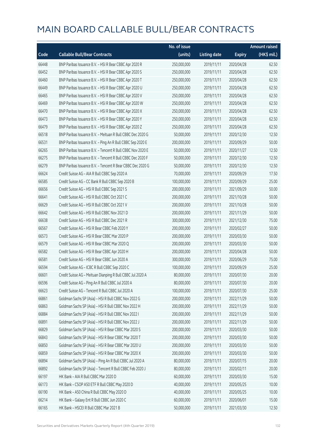|       |                                                            | No. of issue |                     |               | <b>Amount raised</b>  |
|-------|------------------------------------------------------------|--------------|---------------------|---------------|-----------------------|
| Code  | <b>Callable Bull/Bear Contracts</b>                        | (units)      | <b>Listing date</b> | <b>Expiry</b> | $(HK\frac{1}{2}mil.)$ |
| 66448 | BNP Paribas Issuance B.V. - HSI R Bear CBBC Apr 2020 R     | 250,000,000  | 2019/11/11          | 2020/04/28    | 62.50                 |
| 66452 | BNP Paribas Issuance B.V. - HSI R Bear CBBC Apr 2020 S     | 250,000,000  | 2019/11/11          | 2020/04/28    | 62.50                 |
| 66460 | BNP Paribas Issuance B.V. - HSI R Bear CBBC Apr 2020 T     | 250,000,000  | 2019/11/11          | 2020/04/28    | 62.50                 |
| 66449 | BNP Paribas Issuance B.V. - HSI R Bear CBBC Apr 2020 U     | 250,000,000  | 2019/11/11          | 2020/04/28    | 62.50                 |
| 66465 | BNP Paribas Issuance B.V. - HSI R Bear CBBC Apr 2020 V     | 250,000,000  | 2019/11/11          | 2020/04/28    | 62.50                 |
| 66469 | BNP Paribas Issuance B.V. - HSI R Bear CBBC Apr 2020 W     | 250,000,000  | 2019/11/11          | 2020/04/28    | 62.50                 |
| 66470 | BNP Paribas Issuance B.V. - HSI R Bear CBBC Apr 2020 X     | 250,000,000  | 2019/11/11          | 2020/04/28    | 62.50                 |
| 66473 | BNP Paribas Issuance B.V. - HSI R Bear CBBC Apr 2020 Y     | 250,000,000  | 2019/11/11          | 2020/04/28    | 62.50                 |
| 66479 | BNP Paribas Issuance B.V. - HSI R Bear CBBC Apr 2020 Z     | 250,000,000  | 2019/11/11          | 2020/04/28    | 62.50                 |
| 66518 | BNP Paribas Issuance B.V. - Meituan R Bull CBBC Dec 2020 G | 50,000,000   | 2019/11/11          | 2020/12/30    | 12.50                 |
| 66531 | BNP Paribas Issuance B.V. - Ping An R Bull CBBC Sep 2020 E | 200,000,000  | 2019/11/11          | 2020/09/29    | 50.00                 |
| 66265 | BNP Paribas Issuance B.V. - Tencent R Bull CBBC Nov 2020 E | 50,000,000   | 2019/11/11          | 2020/11/27    | 12.50                 |
| 66275 | BNP Paribas Issuance B.V. - Tencent R Bull CBBC Dec 2020 F | 50,000,000   | 2019/11/11          | 2020/12/30    | 12.50                 |
| 66279 | BNP Paribas Issuance B.V. - Tencent R Bear CBBC Dec 2020 G | 50,000,000   | 2019/11/11          | 2020/12/30    | 12.50                 |
| 66624 | Credit Suisse AG - AIA R Bull CBBC Sep 2020 A              | 70,000,000   | 2019/11/11          | 2020/09/29    | 17.50                 |
| 66585 | Credit Suisse AG - CC Bank R Bull CBBC Sep 2020 B          | 100,000,000  | 2019/11/11          | 2020/09/29    | 25.00                 |
| 66656 | Credit Suisse AG - HSI R Bull CBBC Sep 2021 S              | 200,000,000  | 2019/11/11          | 2021/09/29    | 50.00                 |
| 66641 | Credit Suisse AG - HSI R Bull CBBC Oct 2021 C              | 200,000,000  | 2019/11/11          | 2021/10/28    | 50.00                 |
| 66629 | Credit Suisse AG - HSI R Bull CBBC Oct 2021 V              | 200,000,000  | 2019/11/11          | 2021/10/28    | 50.00                 |
| 66642 | Credit Suisse AG - HSI R Bull CBBC Nov 2021 D              | 200,000,000  | 2019/11/11          | 2021/11/29    | 50.00                 |
| 66638 | Credit Suisse AG - HSI R Bull CBBC Dec 2021 R              | 300,000,000  | 2019/11/11          | 2021/12/30    | 75.00                 |
| 66567 | Credit Suisse AG - HSI R Bear CBBC Feb 2020 Y              | 200,000,000  | 2019/11/11          | 2020/02/27    | 50.00                 |
| 66573 | Credit Suisse AG - HSI R Bear CBBC Mar 2020 P              | 200,000,000  | 2019/11/11          | 2020/03/30    | 50.00                 |
| 66579 | Credit Suisse AG - HSI R Bear CBBC Mar 2020 Q              | 200,000,000  | 2019/11/11          | 2020/03/30    | 50.00                 |
| 66582 | Credit Suisse AG - HSI R Bear CBBC Apr 2020 H              | 200,000,000  | 2019/11/11          | 2020/04/28    | 50.00                 |
| 66581 | Credit Suisse AG - HSI R Bear CBBC Jun 2020 A              | 300,000,000  | 2019/11/11          | 2020/06/29    | 75.00                 |
| 66594 | Credit Suisse AG - ICBC R Bull CBBC Sep 2020 C             | 100,000,000  | 2019/11/11          | 2020/09/29    | 25.00                 |
| 66601 | Credit Suisse AG - Meituan Dianping R Bull CBBC Jul 2020 A | 80,000,000   | 2019/11/11          | 2020/07/30    | 20.00                 |
| 66596 | Credit Suisse AG - Ping An R Bull CBBC Jul 2020 A          | 80,000,000   | 2019/11/11          | 2020/07/30    | 20.00                 |
| 66623 | Credit Suisse AG - Tencent R Bull CBBC Jul 2020 A          | 100,000,000  | 2019/11/11          | 2020/07/30    | 25.00                 |
| 66861 | Goldman Sachs SP (Asia) - HSI R Bull CBBC Nov 2022 G       | 200,000,000  | 2019/11/11          | 2022/11/29    | 50.00                 |
| 66863 | Goldman Sachs SP (Asia) - HSI R Bull CBBC Nov 2022 H       | 200,000,000  | 2019/11/11          | 2022/11/29    | 50.00                 |
| 66884 | Goldman Sachs SP (Asia) - HSI R Bull CBBC Nov 2022 I       | 200,000,000  | 2019/11/11          | 2022/11/29    | 50.00                 |
| 66891 | Goldman Sachs SP (Asia) - HSI R Bull CBBC Nov 2022 J       | 200,000,000  | 2019/11/11          | 2022/11/29    | 50.00                 |
| 66829 | Goldman Sachs SP (Asia) - HSI R Bear CBBC Mar 2020 S       | 200,000,000  | 2019/11/11          | 2020/03/30    | 50.00                 |
| 66843 | Goldman Sachs SP (Asia) - HSI R Bear CBBC Mar 2020 T       | 200,000,000  | 2019/11/11          | 2020/03/30    | 50.00                 |
| 66850 | Goldman Sachs SP (Asia) - HSI R Bear CBBC Mar 2020 U       | 200,000,000  | 2019/11/11          | 2020/03/30    | 50.00                 |
| 66859 | Goldman Sachs SP (Asia) - HSI R Bear CBBC Mar 2020 X       | 200,000,000  | 2019/11/11          | 2020/03/30    | 50.00                 |
| 66894 | Goldman Sachs SP (Asia) - Ping An R Bull CBBC Jul 2020 A   | 80,000,000   | 2019/11/11          | 2020/07/15    | 20.00                 |
| 66892 | Goldman Sachs SP (Asia) - Tencent R Bull CBBC Feb 2020 J   | 80,000,000   | 2019/11/11          | 2020/02/11    | 20.00                 |
| 66197 | HK Bank - AIA R Bull CBBC Mar 2020 D                       | 60,000,000   | 2019/11/11          | 2020/03/30    | 15.00                 |
| 66173 | HK Bank - CSOP A50 ETF R Bull CBBC May 2020 D              | 40,000,000   | 2019/11/11          | 2020/05/25    | 10.00                 |
| 66190 | HK Bank - A50 China R Bull CBBC May 2020 D                 | 40,000,000   | 2019/11/11          | 2020/05/25    | 10.00                 |
| 66214 | HK Bank - Galaxy Ent R Bull CBBC Jun 2020 C                | 60,000,000   | 2019/11/11          | 2020/06/01    | 15.00                 |
| 66165 | HK Bank - HSCEI R Bull CBBC Mar 2021 B                     | 50,000,000   | 2019/11/11          | 2021/03/30    | 12.50                 |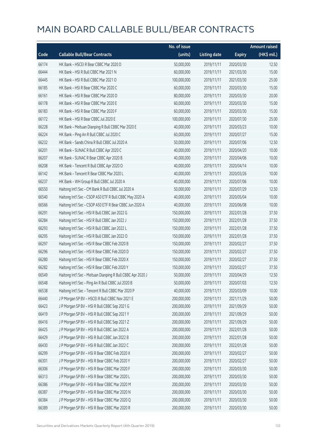|       |                                                             | No. of issue |                     |               | <b>Amount raised</b> |
|-------|-------------------------------------------------------------|--------------|---------------------|---------------|----------------------|
| Code  | <b>Callable Bull/Bear Contracts</b>                         | (units)      | <b>Listing date</b> | <b>Expiry</b> | (HK\$ mil.)          |
| 66174 | HK Bank - HSCEI R Bear CBBC Mar 2020 D                      | 50,000,000   | 2019/11/11          | 2020/03/30    | 12.50                |
| 66444 | HK Bank - HSI R Bull CBBC Mar 2021 N                        | 60,000,000   | 2019/11/11          | 2021/03/30    | 15.00                |
| 66445 | HK Bank - HSI R Bull CBBC Mar 2021 O                        | 100,000,000  | 2019/11/11          | 2021/03/30    | 25.00                |
| 66185 | HK Bank - HSI R Bear CBBC Mar 2020 C                        | 60,000,000   | 2019/11/11          | 2020/03/30    | 15.00                |
| 66161 | HK Bank - HSI R Bear CBBC Mar 2020 D                        | 80,000,000   | 2019/11/11          | 2020/03/30    | 20.00                |
| 66178 | HK Bank - HSI R Bear CBBC Mar 2020 E                        | 60,000,000   | 2019/11/11          | 2020/03/30    | 15.00                |
| 66183 | HK Bank - HSI R Bear CBBC Mar 2020 F                        | 60,000,000   | 2019/11/11          | 2020/03/30    | 15.00                |
| 66172 | HK Bank - HSI R Bear CBBC Jul 2020 E                        | 100,000,000  | 2019/11/11          | 2020/07/30    | 25.00                |
| 66228 | HK Bank - Meituan Dianping R Bull CBBC Mar 2020 E           | 40,000,000   | 2019/11/11          | 2020/03/23    | 10.00                |
| 66224 | HK Bank - Ping An R Bull CBBC Jul 2020 C                    | 60,000,000   | 2019/11/11          | 2020/07/27    | 15.00                |
| 66232 | HK Bank - Sands China R Bull CBBC Jul 2020 A                | 50,000,000   | 2019/11/11          | 2020/07/06    | 12.50                |
| 66201 | HK Bank - SUNAC R Bull CBBC Apr 2020 C                      | 40,000,000   | 2019/11/11          | 2020/04/20    | 10.00                |
| 66207 | HK Bank - SUNAC R Bear CBBC Apr 2020 B                      | 40,000,000   | 2019/11/11          | 2020/04/06    | 10.00                |
| 66208 | HK Bank - Tencent R Bull CBBC Apr 2020 O                    | 40,000,000   | 2019/11/11          | 2020/04/14    | 10.00                |
| 66142 | HK Bank - Tencent R Bear CBBC Mar 2020 L                    | 40,000,000   | 2019/11/11          | 2020/03/26    | 10.00                |
| 66237 | HK Bank - WH Group R Bull CBBC Jul 2020 A                   | 40,000,000   | 2019/11/11          | 2020/07/06    | 10.00                |
| 66550 | Haitong Int'l Sec - CM Bank R Bull CBBC Jul 2020 A          | 50,000,000   | 2019/11/11          | 2020/07/29    | 12.50                |
| 66540 | Haitong Int'l Sec - CSOP A50 ETF R Bull CBBC May 2020 A     | 40,000,000   | 2019/11/11          | 2020/05/04    | 10.00                |
| 66566 | Haitong Int'l Sec - CSOP A50 ETF R Bear CBBC Jun 2020 A     | 40,000,000   | 2019/11/11          | 2020/06/08    | 10.00                |
| 66291 | Haitong Int'l Sec - HSI R Bull CBBC Jan 2022 G              | 150,000,000  | 2019/11/11          | 2022/01/28    | 37.50                |
| 66284 | Haitong Int'l Sec - HSI R Bull CBBC Jan 2022 J              | 150,000,000  | 2019/11/11          | 2022/01/28    | 37.50                |
| 66293 | Haitong Int'l Sec - HSI R Bull CBBC Jan 2022 L              | 150,000,000  | 2019/11/11          | 2022/01/28    | 37.50                |
| 66295 | Haitong Int'l Sec - HSI R Bull CBBC Jan 2022 O              | 150,000,000  | 2019/11/11          | 2022/01/28    | 37.50                |
| 66297 | Haitong Int'l Sec - HSI R Bear CBBC Feb 2020 B              | 150,000,000  | 2019/11/11          | 2020/02/27    | 37.50                |
| 66296 | Haitong Int'l Sec - HSI R Bear CBBC Feb 2020 D              | 150,000,000  | 2019/11/11          | 2020/02/27    | 37.50                |
| 66280 | Haitong Int'l Sec - HSI R Bear CBBC Feb 2020 X              | 150,000,000  | 2019/11/11          | 2020/02/27    | 37.50                |
| 66282 | Haitong Int'l Sec - HSI R Bear CBBC Feb 2020 Y              | 150,000,000  | 2019/11/11          | 2020/02/27    | 37.50                |
| 66549 | Haitong Int'l Sec - Meituan Dianping R Bull CBBC Apr 2020 J | 50,000,000   | 2019/11/11          | 2020/04/29    | 12.50                |
| 66548 | Haitong Int'l Sec - Ping An R Bull CBBC Jul 2020 B          | 50,000,000   | 2019/11/11          | 2020/07/03    | 12.50                |
| 66538 | Haitong Int'l Sec - Tencent R Bull CBBC Mar 2020 P          | 40,000,000   | 2019/11/11          | 2020/03/09    | 10.00                |
| 66440 | J P Morgan SP BV - HSCEI R Bull CBBC Nov 2021 E             | 200,000,000  | 2019/11/11          | 2021/11/29    | 50.00                |
| 66423 | J P Morgan SP BV - HSI R Bull CBBC Sep 2021 G               | 200,000,000  | 2019/11/11          | 2021/09/29    | 50.00                |
| 66419 | J P Morgan SP BV - HSI R Bull CBBC Sep 2021 Y               | 200,000,000  | 2019/11/11          | 2021/09/29    | 50.00                |
| 66416 | J P Morgan SP BV - HSI R Bull CBBC Sep 2021 Z               | 200,000,000  | 2019/11/11          | 2021/09/29    | 50.00                |
| 66425 | J P Morgan SP BV - HSI R Bull CBBC Jan 2022 A               | 200,000,000  | 2019/11/11          | 2022/01/28    | 50.00                |
| 66429 | J P Morgan SP BV - HSI R Bull CBBC Jan 2022 B               | 200,000,000  | 2019/11/11          | 2022/01/28    | 50.00                |
| 66430 | J P Morgan SP BV - HSI R Bull CBBC Jan 2022 C               | 200,000,000  | 2019/11/11          | 2022/01/28    | 50.00                |
| 66299 | J P Morgan SP BV - HSI R Bear CBBC Feb 2020 X               | 200,000,000  | 2019/11/11          | 2020/02/27    | 50.00                |
| 66301 | J P Morgan SP BV - HSI R Bear CBBC Feb 2020 Y               | 200,000,000  | 2019/11/11          | 2020/02/27    | 50.00                |
| 66306 | J P Morgan SP BV - HSI R Bear CBBC Mar 2020 F               | 200,000,000  | 2019/11/11          | 2020/03/30    | 50.00                |
| 66313 | J P Morgan SP BV - HSI R Bear CBBC Mar 2020 L               | 200,000,000  | 2019/11/11          | 2020/03/30    | 50.00                |
| 66386 | J P Morgan SP BV - HSI R Bear CBBC Mar 2020 M               | 200,000,000  | 2019/11/11          | 2020/03/30    | 50.00                |
| 66387 | J P Morgan SP BV - HSI R Bear CBBC Mar 2020 N               | 200,000,000  | 2019/11/11          | 2020/03/30    | 50.00                |
| 66384 | J P Morgan SP BV - HSI R Bear CBBC Mar 2020 Q               | 200,000,000  | 2019/11/11          | 2020/03/30    | 50.00                |
| 66389 | J P Morgan SP BV - HSI R Bear CBBC Mar 2020 R               | 200,000,000  | 2019/11/11          | 2020/03/30    | 50.00                |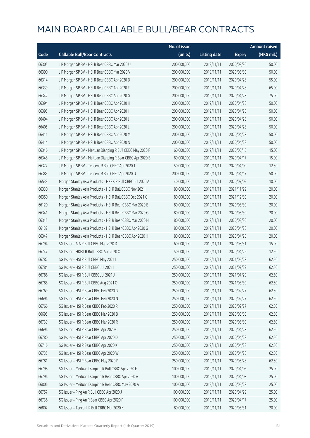|       |                                                            | No. of issue |                     |               | <b>Amount raised</b> |
|-------|------------------------------------------------------------|--------------|---------------------|---------------|----------------------|
| Code  | <b>Callable Bull/Bear Contracts</b>                        | (units)      | <b>Listing date</b> | <b>Expiry</b> | (HK\$ mil.)          |
| 66305 | J P Morgan SP BV - HSI R Bear CBBC Mar 2020 U              | 200,000,000  | 2019/11/11          | 2020/03/30    | 50.00                |
| 66390 | J P Morgan SP BV - HSI R Bear CBBC Mar 2020 V              | 200,000,000  | 2019/11/11          | 2020/03/30    | 50.00                |
| 66314 | J P Morgan SP BV - HSI R Bear CBBC Apr 2020 D              | 200,000,000  | 2019/11/11          | 2020/04/28    | 55.00                |
| 66339 | J P Morgan SP BV - HSI R Bear CBBC Apr 2020 F              | 200,000,000  | 2019/11/11          | 2020/04/28    | 65.00                |
| 66342 | J P Morgan SP BV - HSI R Bear CBBC Apr 2020 G              | 200,000,000  | 2019/11/11          | 2020/04/28    | 75.00                |
| 66394 | J P Morgan SP BV - HSI R Bear CBBC Apr 2020 H              | 200,000,000  | 2019/11/11          | 2020/04/28    | 50.00                |
| 66395 | J P Morgan SP BV - HSI R Bear CBBC Apr 2020 I              | 200,000,000  | 2019/11/11          | 2020/04/28    | 50.00                |
| 66404 | J P Morgan SP BV - HSI R Bear CBBC Apr 2020 J              | 200,000,000  | 2019/11/11          | 2020/04/28    | 50.00                |
| 66405 | J P Morgan SP BV - HSI R Bear CBBC Apr 2020 L              | 200,000,000  | 2019/11/11          | 2020/04/28    | 50.00                |
| 66411 | J P Morgan SP BV - HSI R Bear CBBC Apr 2020 M              | 200,000,000  | 2019/11/11          | 2020/04/28    | 50.00                |
| 66414 | J P Morgan SP BV - HSI R Bear CBBC Apr 2020 N              | 200,000,000  | 2019/11/11          | 2020/04/28    | 50.00                |
| 66346 | J P Morgan SP BV - Meituan Dianping R Bull CBBC May 2020 F | 60,000,000   | 2019/11/11          | 2020/05/15    | 15.00                |
| 66348 | J P Morgan SP BV - Meituan Dianping R Bear CBBC Apr 2020 B | 60,000,000   | 2019/11/11          | 2020/04/17    | 15.00                |
| 66377 | J P Morgan SP BV - Tencent R Bull CBBC Apr 2020 T          | 50,000,000   | 2019/11/11          | 2020/04/09    | 12.50                |
| 66383 | J P Morgan SP BV - Tencent R Bull CBBC Apr 2020 U          | 200,000,000  | 2019/11/11          | 2020/04/17    | 50.00                |
| 66533 | Morgan Stanley Asia Products - HKEX R Bull CBBC Jul 2020 A | 40,000,000   | 2019/11/11          | 2020/07/02    | 10.00                |
| 66330 | Morgan Stanley Asia Products - HSI R Bull CBBC Nov 2021 I  | 80,000,000   | 2019/11/11          | 2021/11/29    | 20.00                |
| 66350 | Morgan Stanley Asia Products - HSI R Bull CBBC Dec 2021 G  | 80,000,000   | 2019/11/11          | 2021/12/30    | 20.00                |
| 66120 | Morgan Stanley Asia Products - HSI R Bear CBBC Mar 2020 E  | 80,000,000   | 2019/11/11          | 2020/03/30    | 20.00                |
| 66341 | Morgan Stanley Asia Products - HSI R Bear CBBC Mar 2020 G  | 80,000,000   | 2019/11/11          | 2020/03/30    | 20.00                |
| 66345 | Morgan Stanley Asia Products - HSI R Bear CBBC Mar 2020 H  | 80,000,000   | 2019/11/11          | 2020/03/30    | 20.00                |
| 66132 | Morgan Stanley Asia Products - HSI R Bear CBBC Apr 2020 G  | 80,000,000   | 2019/11/11          | 2020/04/28    | 20.00                |
| 66347 | Morgan Stanley Asia Products - HSI R Bear CBBC Apr 2020 H  | 80,000,000   | 2019/11/11          | 2020/04/28    | 20.00                |
| 66794 | SG Issuer - AIA R Bull CBBC Mar 2020 D                     | 60,000,000   | 2019/11/11          | 2020/03/31    | 15.00                |
| 66747 | SG Issuer - HKEX R Bull CBBC Apr 2020 O                    | 50,000,000   | 2019/11/11          | 2020/04/29    | 12.50                |
| 66782 | SG Issuer - HSI R Bull CBBC May 2021 I                     | 250,000,000  | 2019/11/11          | 2021/05/28    | 62.50                |
| 66784 | SG Issuer - HSI R Bull CBBC Jul 2021 I                     | 250,000,000  | 2019/11/11          | 2021/07/29    | 62.50                |
| 66786 | SG Issuer - HSI R Bull CBBC Jul 2021 J                     | 250,000,000  | 2019/11/11          | 2021/07/29    | 62.50                |
| 66788 | SG Issuer - HSI R Bull CBBC Aug 2021 O                     | 250,000,000  | 2019/11/11          | 2021/08/30    | 62.50                |
| 66769 | SG Issuer - HSI R Bear CBBC Feb 2020 G                     | 250,000,000  | 2019/11/11          | 2020/02/27    | 62.50                |
| 66694 | SG Issuer - HSI R Bear CBBC Feb 2020 N                     | 250,000,000  | 2019/11/11          | 2020/02/27    | 62.50                |
| 66766 | SG Issuer - HSI R Bear CBBC Feb 2020 R                     | 250,000,000  | 2019/11/11          | 2020/02/27    | 62.50                |
| 66695 | SG Issuer - HSI R Bear CBBC Mar 2020 B                     | 250,000,000  | 2019/11/11          | 2020/03/30    | 62.50                |
| 66739 | SG Issuer - HSI R Bear CBBC Mar 2020 R                     | 250,000,000  | 2019/11/11          | 2020/03/30    | 62.50                |
| 66696 | SG Issuer - HSI R Bear CBBC Apr 2020 C                     | 250,000,000  | 2019/11/11          | 2020/04/28    | 62.50                |
| 66780 | SG Issuer - HSI R Bear CBBC Apr 2020 D                     | 250,000,000  | 2019/11/11          | 2020/04/28    | 62.50                |
| 66716 | SG Issuer - HSI R Bear CBBC Apr 2020 K                     | 250,000,000  | 2019/11/11          | 2020/04/28    | 62.50                |
| 66735 | SG Issuer - HSI R Bear CBBC Apr 2020 W                     | 250,000,000  | 2019/11/11          | 2020/04/28    | 62.50                |
| 66781 | SG Issuer - HSI R Bear CBBC May 2020 P                     | 250,000,000  | 2019/11/11          | 2020/05/28    | 62.50                |
| 66798 | SG Issuer - Meituan Dianping R Bull CBBC Apr 2020 F        | 100,000,000  | 2019/11/11          | 2020/04/06    | 25.00                |
| 66796 | SG Issuer - Meituan Dianping R Bear CBBC Apr 2020 A        | 100,000,000  | 2019/11/11          | 2020/04/03    | 25.00                |
| 66806 | SG Issuer - Meituan Dianping R Bear CBBC May 2020 A        | 100,000,000  | 2019/11/11          | 2020/05/28    | 25.00                |
| 66757 | SG Issuer - Ping An R Bull CBBC Apr 2020 J                 | 100,000,000  | 2019/11/11          | 2020/04/29    | 25.00                |
| 66736 | SG Issuer - Ping An R Bear CBBC Apr 2020 F                 | 100,000,000  | 2019/11/11          | 2020/04/17    | 25.00                |
| 66807 | SG Issuer - Tencent R Bull CBBC Mar 2020 K                 | 80,000,000   | 2019/11/11          | 2020/03/31    | 20.00                |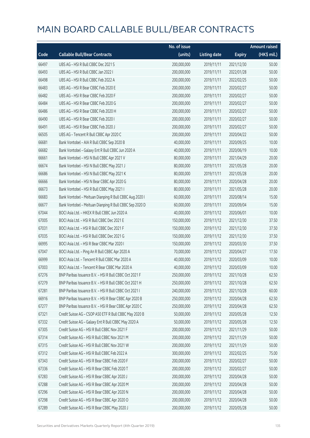|       |                                                         | No. of issue |                     |               | <b>Amount raised</b>  |
|-------|---------------------------------------------------------|--------------|---------------------|---------------|-----------------------|
| Code  | <b>Callable Bull/Bear Contracts</b>                     | (units)      | <b>Listing date</b> | <b>Expiry</b> | $(HK\frac{1}{2}mil.)$ |
| 66497 | UBS AG - HSI R Bull CBBC Dec 2021 S                     | 200,000,000  | 2019/11/11          | 2021/12/30    | 50.00                 |
| 66493 | UBS AG - HSI R Bull CBBC Jan 2022 I                     | 200,000,000  | 2019/11/11          | 2022/01/28    | 50.00                 |
| 66498 | UBS AG - HSI R Bull CBBC Feb 2022 A                     | 200,000,000  | 2019/11/11          | 2022/02/25    | 50.00                 |
| 66483 | UBS AG - HSI R Bear CBBC Feb 2020 E                     | 200,000,000  | 2019/11/11          | 2020/02/27    | 50.00                 |
| 66482 | UBS AG - HSI R Bear CBBC Feb 2020 F                     | 200,000,000  | 2019/11/11          | 2020/02/27    | 50.00                 |
| 66484 | UBS AG - HSI R Bear CBBC Feb 2020 G                     | 200,000,000  | 2019/11/11          | 2020/02/27    | 50.00                 |
| 66486 | UBS AG - HSI R Bear CBBC Feb 2020 H                     | 200,000,000  | 2019/11/11          | 2020/02/27    | 50.00                 |
| 66490 | UBS AG - HSI R Bear CBBC Feb 2020 I                     | 200,000,000  | 2019/11/11          | 2020/02/27    | 50.00                 |
| 66491 | UBS AG - HSI R Bear CBBC Feb 2020 J                     | 200,000,000  | 2019/11/11          | 2020/02/27    | 50.00                 |
| 66505 | UBS AG - Tencent R Bull CBBC Apr 2020 C                 | 200,000,000  | 2019/11/11          | 2020/04/22    | 50.00                 |
| 66681 | Bank Vontobel - AIA R Bull CBBC Sep 2020 B              | 40,000,000   | 2019/11/11          | 2020/09/25    | 10.00                 |
| 66682 | Bank Vontobel - Galaxy Ent R Bull CBBC Jun 2020 A       | 40,000,000   | 2019/11/11          | 2020/06/19    | 10.00                 |
| 66661 | Bank Vontobel - HSI N Bull CBBC Apr 2021 V              | 80,000,000   | 2019/11/11          | 2021/04/29    | 20.00                 |
| 66674 | Bank Vontobel - HSI N Bull CBBC May 2021 J              | 80,000,000   | 2019/11/11          | 2021/05/28    | 20.00                 |
| 66686 | Bank Vontobel - HSI N Bull CBBC May 2021 K              | 80,000,000   | 2019/11/11          | 2021/05/28    | 20.00                 |
| 66666 | Bank Vontobel - HSI N Bear CBBC Apr 2020 G              | 80,000,000   | 2019/11/11          | 2020/04/28    | 20.00                 |
| 66673 | Bank Vontobel - HSI R Bull CBBC May 2021 I              | 80,000,000   | 2019/11/11          | 2021/05/28    | 20.00                 |
| 66683 | Bank Vontobel - Meituan Dianping R Bull CBBC Aug 2020 I | 60,000,000   | 2019/11/11          | 2020/08/14    | 15.00                 |
| 66677 | Bank Vontobel - Meituan Dianping R Bull CBBC Sep 2020 D | 60,000,000   | 2019/11/11          | 2020/09/04    | 15.00                 |
| 67044 | BOCI Asia Ltd. - HKEX R Bull CBBC Jun 2020 A            | 40,000,000   | 2019/11/12          | 2020/06/01    | 10.00                 |
| 67005 | BOCI Asia Ltd. - HSI R Bull CBBC Dec 2021 E             | 150,000,000  | 2019/11/12          | 2021/12/30    | 37.50                 |
| 67031 | BOCI Asia Ltd. - HSI R Bull CBBC Dec 2021 F             | 150,000,000  | 2019/11/12          | 2021/12/30    | 37.50                 |
| 67035 | BOCI Asia Ltd. - HSI R Bull CBBC Dec 2021 G             | 150,000,000  | 2019/11/12          | 2021/12/30    | 37.50                 |
| 66995 | BOCI Asia Ltd. - HSI R Bear CBBC Mar 2020 I             | 150,000,000  | 2019/11/12          | 2020/03/30    | 37.50                 |
| 67047 | BOCI Asia Ltd. - Ping An R Bull CBBC Apr 2020 A         | 70,000,000   | 2019/11/12          | 2020/04/27    | 17.50                 |
| 66999 | BOCI Asia Ltd. - Tencent R Bull CBBC Mar 2020 A         | 40,000,000   | 2019/11/12          | 2020/03/09    | 10.00                 |
| 67003 | BOCI Asia Ltd. - Tencent R Bear CBBC Mar 2020 A         | 40,000,000   | 2019/11/12          | 2020/03/09    | 10.00                 |
| 67276 | BNP Paribas Issuance B.V. - HSI R Bull CBBC Oct 2021 F  | 250,000,000  | 2019/11/12          | 2021/10/28    | 62.50                 |
| 67279 | BNP Paribas Issuance B.V. - HSI R Bull CBBC Oct 2021 H  | 250,000,000  | 2019/11/12          | 2021/10/28    | 62.50                 |
| 67281 | BNP Paribas Issuance B.V. - HSI R Bull CBBC Oct 2021 I  | 240,000,000  | 2019/11/12          | 2021/10/28    | 60.00                 |
| 66916 | BNP Paribas Issuance B.V. - HSI R Bear CBBC Apr 2020 B  | 250,000,000  | 2019/11/12          | 2020/04/28    | 62.50                 |
| 67277 | BNP Paribas Issuance B.V. - HSI R Bear CBBC Apr 2020 C  | 250,000,000  | 2019/11/12          | 2020/04/28    | 62.50                 |
| 67321 | Credit Suisse AG - CSOP A50 ETF R Bull CBBC May 2020 B  | 50,000,000   | 2019/11/12          | 2020/05/28    | 12.50                 |
| 67332 | Credit Suisse AG - Galaxy Ent R Bull CBBC May 2020 A    | 50,000,000   | 2019/11/12          | 2020/05/28    | 12.50                 |
| 67305 | Credit Suisse AG - HSI R Bull CBBC Nov 2021 F           | 200,000,000  | 2019/11/12          | 2021/11/29    | 50.00                 |
| 67314 | Credit Suisse AG - HSI R Bull CBBC Nov 2021 M           | 200,000,000  | 2019/11/12          | 2021/11/29    | 50.00                 |
| 67315 | Credit Suisse AG - HSI R Bull CBBC Nov 2021 W           | 200,000,000  | 2019/11/12          | 2021/11/29    | 50.00                 |
| 67312 | Credit Suisse AG - HSI R Bull CBBC Feb 2022 A           | 300,000,000  | 2019/11/12          | 2022/02/25    | 75.00                 |
| 67343 | Credit Suisse AG - HSI R Bear CBBC Feb 2020 F           | 200,000,000  | 2019/11/12          | 2020/02/27    | 50.00                 |
| 67336 | Credit Suisse AG - HSI R Bear CBBC Feb 2020 T           | 200,000,000  | 2019/11/12          | 2020/02/27    | 50.00                 |
| 67283 | Credit Suisse AG - HSI R Bear CBBC Apr 2020 J           | 200,000,000  | 2019/11/12          | 2020/04/28    | 50.00                 |
| 67288 | Credit Suisse AG - HSI R Bear CBBC Apr 2020 M           | 200,000,000  | 2019/11/12          | 2020/04/28    | 50.00                 |
| 67296 | Credit Suisse AG - HSI R Bear CBBC Apr 2020 N           | 200,000,000  | 2019/11/12          | 2020/04/28    | 50.00                 |
| 67298 | Credit Suisse AG - HSI R Bear CBBC Apr 2020 O           | 200,000,000  | 2019/11/12          | 2020/04/28    | 50.00                 |
| 67289 | Credit Suisse AG - HSI R Bear CBBC May 2020 J           | 200,000,000  | 2019/11/12          | 2020/05/28    | 50.00                 |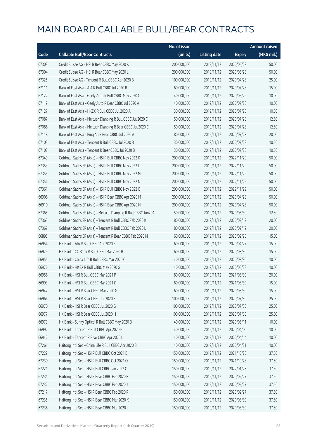|       |                                                               | No. of issue |                     |               | <b>Amount raised</b> |
|-------|---------------------------------------------------------------|--------------|---------------------|---------------|----------------------|
| Code  | <b>Callable Bull/Bear Contracts</b>                           | (units)      | <b>Listing date</b> | <b>Expiry</b> | (HK\$ mil.)          |
| 67303 | Credit Suisse AG - HSI R Bear CBBC May 2020 K                 | 200,000,000  | 2019/11/12          | 2020/05/28    | 50.00                |
| 67304 | Credit Suisse AG - HSI R Bear CBBC May 2020 L                 | 200,000,000  | 2019/11/12          | 2020/05/28    | 50.00                |
| 67325 | Credit Suisse AG - Tencent R Bull CBBC Apr 2020 B             | 100,000,000  | 2019/11/12          | 2020/04/28    | 25.00                |
| 67111 | Bank of East Asia - AIA R Bull CBBC Jul 2020 B                | 60,000,000   | 2019/11/12          | 2020/07/28    | 15.00                |
| 67122 | Bank of East Asia - Geely Auto R Bull CBBC May 2020 C         | 40,000,000   | 2019/11/12          | 2020/05/29    | 10.00                |
| 67119 | Bank of East Asia - Geely Auto R Bear CBBC Jul 2020 A         | 40,000,000   | 2019/11/12          | 2020/07/28    | 10.00                |
| 67127 | Bank of East Asia - HKEX R Bull CBBC Jul 2020 A               | 30,000,000   | 2019/11/12          | 2020/07/28    | 10.50                |
| 67087 | Bank of East Asia - Meituan Dianping R Bull CBBC Jul 2020 C   | 50,000,000   | 2019/11/12          | 2020/07/28    | 12.50                |
| 67086 | Bank of East Asia - Meituan Dianping R Bear CBBC Jul 2020 C   | 50,000,000   | 2019/11/12          | 2020/07/28    | 12.50                |
| 67118 | Bank of East Asia - Ping An R Bear CBBC Jul 2020 A            | 80,000,000   | 2019/11/12          | 2020/07/28    | 20.00                |
| 67103 | Bank of East Asia - Tencent R Bull CBBC Jul 2020 B            | 30,000,000   | 2019/11/12          | 2020/07/28    | 10.50                |
| 67108 | Bank of East Asia - Tencent R Bear CBBC Jul 2020 B            | 30,000,000   | 2019/11/12          | 2020/07/28    | 10.50                |
| 67349 | Goldman Sachs SP (Asia) - HSI R Bull CBBC Nov 2022 K          | 200,000,000  | 2019/11/12          | 2022/11/29    | 50.00                |
| 67353 | Goldman Sachs SP (Asia) - HSI R Bull CBBC Nov 2022 L          | 200,000,000  | 2019/11/12          | 2022/11/29    | 50.00                |
| 67355 | Goldman Sachs SP (Asia) - HSI R Bull CBBC Nov 2022 M          | 200,000,000  | 2019/11/12          | 2022/11/29    | 50.00                |
| 67356 | Goldman Sachs SP (Asia) - HSI R Bull CBBC Nov 2022 N          | 200,000,000  | 2019/11/12          | 2022/11/29    | 50.00                |
| 67361 | Goldman Sachs SP (Asia) - HSI R Bull CBBC Nov 2022 O          | 200,000,000  | 2019/11/12          | 2022/11/29    | 50.00                |
| 66906 | Goldman Sachs SP (Asia) - HSI R Bear CBBC Apr 2020 M          | 200,000,000  | 2019/11/12          | 2020/04/28    | 50.00                |
| 66910 | Goldman Sachs SP (Asia) - HSI R Bear CBBC Apr 2020 N          | 200,000,000  | 2019/11/12          | 2020/04/28    | 50.00                |
| 67365 | Goldman Sachs SP (Asia) - Meituan Dianping R Bull CBBC Jun20A | 50,000,000   | 2019/11/12          | 2020/06/30    | 12.50                |
| 67363 | Goldman Sachs SP (Asia) - Tencent R Bull CBBC Feb 2020 K      | 80,000,000   | 2019/11/12          | 2020/02/12    | 20.00                |
| 67367 | Goldman Sachs SP (Asia) - Tencent R Bull CBBC Feb 2020 L      | 80,000,000   | 2019/11/12          | 2020/02/12    | 20.00                |
| 66895 | Goldman Sachs SP (Asia) - Tencent R Bear CBBC Feb 2020 M      | 60,000,000   | 2019/11/12          | 2020/02/28    | 15.00                |
| 66954 | HK Bank - AIA R Bull CBBC Apr 2020 E                          | 60,000,000   | 2019/11/12          | 2020/04/27    | 15.00                |
| 66979 | HK Bank - CC Bank R Bull CBBC Mar 2020 B                      | 60,000,000   | 2019/11/12          | 2020/03/30    | 15.00                |
| 66955 | HK Bank - China Life R Bull CBBC Mar 2020 C                   | 40,000,000   | 2019/11/12          | 2020/03/30    | 10.00                |
| 66976 | HK Bank - HKEX R Bull CBBC May 2020 G                         | 40,000,000   | 2019/11/12          | 2020/05/28    | 10.00                |
| 66956 | HK Bank - HSI R Bull CBBC Mar 2021 P                          | 80,000,000   | 2019/11/12          | 2021/03/30    | 20.00                |
| 66993 | HK Bank - HSI R Bull CBBC Mar 2021 Q                          | 60,000,000   | 2019/11/12          | 2021/03/30    | 15.00                |
| 66947 | HK Bank - HSI R Bear CBBC Mar 2020 G                          | 60,000,000   | 2019/11/12          | 2020/03/30    | 15.00                |
| 66966 | HK Bank - HSI R Bear CBBC Jul 2020 F                          | 100,000,000  | 2019/11/12          | 2020/07/30    | 25.00                |
| 66970 | HK Bank - HSI R Bear CBBC Jul 2020 G                          | 100,000,000  | 2019/11/12          | 2020/07/30    | 25.00                |
| 66977 | HK Bank - HSI R Bear CBBC Jul 2020 H                          | 100,000,000  | 2019/11/12          | 2020/07/30    | 25.00                |
| 66973 | HK Bank - Sunny Optical R Bull CBBC May 2020 B                | 40,000,000   | 2019/11/12          | 2020/05/11    | 10.00                |
| 66992 | HK Bank - Tencent R Bull CBBC Apr 2020 P                      | 40,000,000   | 2019/11/12          | 2020/04/06    | 10.00                |
| 66942 | HK Bank - Tencent R Bear CBBC Apr 2020 L                      | 40,000,000   | 2019/11/12          | 2020/04/14    | 10.00                |
| 67261 | Haitong Int'l Sec - China Life R Bull CBBC Apr 2020 B         | 40,000,000   | 2019/11/12          | 2020/04/21    | 10.00                |
| 67229 | Haitong Int'l Sec - HSI R Bull CBBC Oct 2021 E                | 150,000,000  | 2019/11/12          | 2021/10/28    | 37.50                |
| 67230 | Haitong Int'l Sec - HSI R Bull CBBC Oct 2021 O                | 150,000,000  | 2019/11/12          | 2021/10/28    | 37.50                |
| 67221 | Haitong Int'l Sec - HSI R Bull CBBC Jan 2022 Q                | 150,000,000  | 2019/11/12          | 2022/01/28    | 37.50                |
| 67231 | Haitong Int'l Sec - HSI R Bear CBBC Feb 2020 F                | 150,000,000  | 2019/11/12          | 2020/02/27    | 37.50                |
| 67232 | Haitong Int'l Sec - HSI R Bear CBBC Feb 2020 J                | 150,000,000  | 2019/11/12          | 2020/02/27    | 37.50                |
| 67217 | Haitong Int'l Sec - HSI R Bear CBBC Feb 2020 R                | 150,000,000  | 2019/11/12          | 2020/02/27    | 37.50                |
| 67235 | Haitong Int'l Sec - HSI R Bear CBBC Mar 2020 K                | 150,000,000  | 2019/11/12          | 2020/03/30    | 37.50                |
| 67236 | Haitong Int'l Sec - HSI R Bear CBBC Mar 2020 L                | 150,000,000  | 2019/11/12          | 2020/03/30    | 37.50                |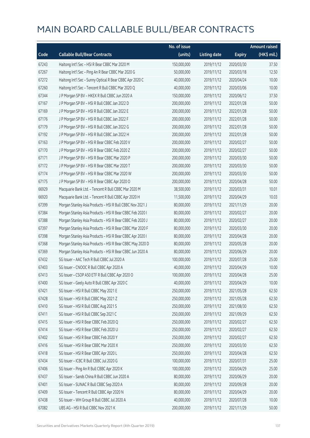|       |                                                           | No. of issue |                     |               | <b>Amount raised</b> |
|-------|-----------------------------------------------------------|--------------|---------------------|---------------|----------------------|
| Code  | <b>Callable Bull/Bear Contracts</b>                       | (units)      | <b>Listing date</b> | <b>Expiry</b> | (HK\$ mil.)          |
| 67243 | Haitong Int'l Sec - HSI R Bear CBBC Mar 2020 M            | 150,000,000  | 2019/11/12          | 2020/03/30    | 37.50                |
| 67267 | Haitong Int'l Sec - Ping An R Bear CBBC Mar 2020 G        | 50,000,000   | 2019/11/12          | 2020/03/18    | 12.50                |
| 67272 | Haitong Int'l Sec - Sunny Optical R Bear CBBC Apr 2020 C  | 40,000,000   | 2019/11/12          | 2020/04/24    | 10.00                |
| 67260 | Haitong Int'l Sec - Tencent R Bull CBBC Mar 2020 Q        | 40,000,000   | 2019/11/12          | 2020/03/06    | 10.00                |
| 67344 | J P Morgan SP BV - HKEX R Bull CBBC Jun 2020 A            | 150,000,000  | 2019/11/12          | 2020/06/12    | 37.50                |
| 67167 | J P Morgan SP BV - HSI R Bull CBBC Jan 2022 D             | 200,000,000  | 2019/11/12          | 2022/01/28    | 50.00                |
| 67169 | J P Morgan SP BV - HSI R Bull CBBC Jan 2022 E             | 200,000,000  | 2019/11/12          | 2022/01/28    | 50.00                |
| 67176 | J P Morgan SP BV - HSI R Bull CBBC Jan 2022 F             | 200,000,000  | 2019/11/12          | 2022/01/28    | 50.00                |
| 67179 | J P Morgan SP BV - HSI R Bull CBBC Jan 2022 G             | 200,000,000  | 2019/11/12          | 2022/01/28    | 50.00                |
| 67192 | J P Morgan SP BV - HSI R Bull CBBC Jan 2022 H             | 200,000,000  | 2019/11/12          | 2022/01/28    | 50.00                |
| 67163 | J P Morgan SP BV - HSI R Bear CBBC Feb 2020 V             | 200,000,000  | 2019/11/12          | 2020/02/27    | 50.00                |
| 67170 | J P Morgan SP BV - HSI R Bear CBBC Feb 2020 Z             | 200,000,000  | 2019/11/12          | 2020/02/27    | 50.00                |
| 67171 | J P Morgan SP BV - HSI R Bear CBBC Mar 2020 P             | 200,000,000  | 2019/11/12          | 2020/03/30    | 50.00                |
| 67172 | J P Morgan SP BV - HSI R Bear CBBC Mar 2020 T             | 200,000,000  | 2019/11/12          | 2020/03/30    | 50.00                |
| 67174 | J P Morgan SP BV - HSI R Bear CBBC Mar 2020 W             | 200,000,000  | 2019/11/12          | 2020/03/30    | 50.00                |
| 67175 | J P Morgan SP BV - HSI R Bear CBBC Apr 2020 O             | 200,000,000  | 2019/11/12          | 2020/04/28    | 50.00                |
| 66929 | Macquarie Bank Ltd. - Tencent R Bull CBBC Mar 2020 M      | 38,500,000   | 2019/11/12          | 2020/03/31    | 10.01                |
| 66920 | Macquarie Bank Ltd. - Tencent R Bull CBBC Apr 2020 H      | 11,500,000   | 2019/11/12          | 2020/04/29    | 10.03                |
| 67399 | Morgan Stanley Asia Products - HSI R Bull CBBC Nov 2021 J | 80,000,000   | 2019/11/12          | 2021/11/29    | 20.00                |
| 67384 | Morgan Stanley Asia Products - HSI R Bear CBBC Feb 2020 I | 80,000,000   | 2019/11/12          | 2020/02/27    | 20.00                |
| 67388 | Morgan Stanley Asia Products - HSI R Bear CBBC Feb 2020 J | 80,000,000   | 2019/11/12          | 2020/02/27    | 20.00                |
| 67397 | Morgan Stanley Asia Products - HSI R Bear CBBC Mar 2020 F | 80,000,000   | 2019/11/12          | 2020/03/30    | 20.00                |
| 67398 | Morgan Stanley Asia Products - HSI R Bear CBBC Apr 2020 I | 80,000,000   | 2019/11/12          | 2020/04/28    | 20.00                |
| 67368 | Morgan Stanley Asia Products - HSI R Bear CBBC May 2020 D | 80,000,000   | 2019/11/12          | 2020/05/28    | 20.00                |
| 67369 | Morgan Stanley Asia Products - HSI R Bear CBBC Jun 2020 A | 80,000,000   | 2019/11/12          | 2020/06/29    | 20.00                |
| 67432 | SG Issuer - AAC Tech R Bull CBBC Jul 2020 A               | 100,000,000  | 2019/11/12          | 2020/07/28    | 25.00                |
| 67403 | SG Issuer - CNOOC R Bull CBBC Apr 2020 A                  | 40,000,000   | 2019/11/12          | 2020/04/29    | 10.00                |
| 67413 | SG Issuer - CSOP A50 ETF R Bull CBBC Apr 2020 O           | 100,000,000  | 2019/11/12          | 2020/04/28    | 25.00                |
| 67400 | SG Issuer - Geely Auto R Bull CBBC Apr 2020 C             | 40,000,000   | 2019/11/12          | 2020/04/29    | 10.00                |
| 67421 | SG Issuer - HSI R Bull CBBC May 2021 E                    | 250,000,000  | 2019/11/12          | 2021/05/28    | 62.50                |
| 67428 | SG Issuer - HSI R Bull CBBC May 2021 Z                    | 250,000,000  | 2019/11/12          | 2021/05/28    | 62.50                |
| 67410 | SG Issuer - HSI R Bull CBBC Aug 2021 S                    | 250,000,000  | 2019/11/12          | 2021/08/30    | 62.50                |
| 67411 | SG Issuer - HSI R Bull CBBC Sep 2021 C                    | 250,000,000  | 2019/11/12          | 2021/09/29    | 62.50                |
| 67415 | SG Issuer - HSI R Bear CBBC Feb 2020 Q                    | 250,000,000  | 2019/11/12          | 2020/02/27    | 62.50                |
| 67414 | SG Issuer - HSI R Bear CBBC Feb 2020 U                    | 250,000,000  | 2019/11/12          | 2020/02/27    | 62.50                |
| 67402 | SG Issuer - HSI R Bear CBBC Feb 2020 Y                    | 250,000,000  | 2019/11/12          | 2020/02/27    | 62.50                |
| 67416 | SG Issuer - HSI R Bear CBBC Mar 2020 X                    | 250,000,000  | 2019/11/12          | 2020/03/30    | 62.50                |
| 67418 | SG Issuer - HSI R Bear CBBC Apr 2020 L                    | 250,000,000  | 2019/11/12          | 2020/04/28    | 62.50                |
| 67434 | SG Issuer - ICBC R Bull CBBC Jul 2020 G                   | 100,000,000  | 2019/11/12          | 2020/07/31    | 25.00                |
| 67406 | SG Issuer - Ping An R Bull CBBC Apr 2020 K                | 100,000,000  | 2019/11/12          | 2020/04/29    | 25.00                |
| 67437 | SG Issuer - Sands China R Bull CBBC Jun 2020 A            | 80,000,000   | 2019/11/12          | 2020/06/29    | 20.00                |
| 67401 | SG Issuer - SUNAC R Bull CBBC Sep 2020 A                  | 80,000,000   | 2019/11/12          | 2020/09/28    | 20.00                |
| 67409 | SG Issuer - Tencent R Bull CBBC Apr 2020 N                | 80,000,000   | 2019/11/12          | 2020/04/29    | 20.00                |
| 67438 | SG Issuer - WH Group R Bull CBBC Jul 2020 A               | 40,000,000   | 2019/11/12          | 2020/07/28    | 10.00                |
| 67082 | UBS AG - HSI R Bull CBBC Nov 2021 K                       | 200,000,000  | 2019/11/12          | 2021/11/29    | 50.00                |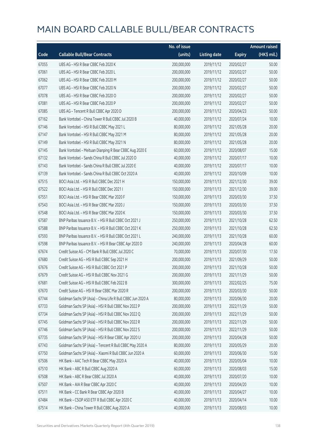|       |                                                             | No. of issue |                     |               | <b>Amount raised</b> |
|-------|-------------------------------------------------------------|--------------|---------------------|---------------|----------------------|
| Code  | <b>Callable Bull/Bear Contracts</b>                         | (units)      | <b>Listing date</b> | <b>Expiry</b> | (HK\$ mil.)          |
| 67055 | UBS AG - HSI R Bear CBBC Feb 2020 K                         | 200,000,000  | 2019/11/12          | 2020/02/27    | 50.00                |
| 67061 | UBS AG - HSI R Bear CBBC Feb 2020 L                         | 200,000,000  | 2019/11/12          | 2020/02/27    | 50.00                |
| 67062 | UBS AG - HSI R Bear CBBC Feb 2020 M                         | 200,000,000  | 2019/11/12          | 2020/02/27    | 50.00                |
| 67077 | UBS AG - HSI R Bear CBBC Feb 2020 N                         | 200,000,000  | 2019/11/12          | 2020/02/27    | 50.00                |
| 67078 | UBS AG - HSI R Bear CBBC Feb 2020 O                         | 200,000,000  | 2019/11/12          | 2020/02/27    | 50.00                |
| 67081 | UBS AG - HSI R Bear CBBC Feb 2020 P                         | 200,000,000  | 2019/11/12          | 2020/02/27    | 50.00                |
| 67085 | UBS AG - Tencent R Bull CBBC Apr 2020 D                     | 200,000,000  | 2019/11/12          | 2020/04/23    | 50.00                |
| 67162 | Bank Vontobel - China Tower R Bull CBBC Jul 2020 B          | 40,000,000   | 2019/11/12          | 2020/07/24    | 10.00                |
| 67146 | Bank Vontobel - HSI R Bull CBBC May 2021 L                  | 80,000,000   | 2019/11/12          | 2021/05/28    | 20.00                |
| 67147 | Bank Vontobel - HSI R Bull CBBC May 2021 M                  | 80,000,000   | 2019/11/12          | 2021/05/28    | 20.00                |
| 67149 | Bank Vontobel - HSI R Bull CBBC May 2021 N                  | 80,000,000   | 2019/11/12          | 2021/05/28    | 20.00                |
| 67145 | Bank Vontobel - Meituan Dianping R Bear CBBC Aug 2020 E     | 60,000,000   | 2019/11/12          | 2020/08/07    | 15.00                |
| 67132 | Bank Vontobel - Sands China R Bull CBBC Jul 2020 D          | 40,000,000   | 2019/11/12          | 2020/07/17    | 10.00                |
| 67143 | Bank Vontobel - Sands China R Bull CBBC Jul 2020 E          | 40,000,000   | 2019/11/12          | 2020/07/17    | 10.00                |
| 67139 | Bank Vontobel - Sands China R Bull CBBC Oct 2020 A          | 40,000,000   | 2019/11/12          | 2020/10/09    | 10.00                |
| 67515 | BOCI Asia Ltd. - HSI R Bull CBBC Dec 2021 H                 | 150,000,000  | 2019/11/13          | 2021/12/30    | 39.00                |
| 67522 | BOCI Asia Ltd. - HSI R Bull CBBC Dec 2021 I                 | 150,000,000  | 2019/11/13          | 2021/12/30    | 39.00                |
| 67551 | BOCI Asia Ltd. - HSI R Bear CBBC Mar 2020 F                 | 150,000,000  | 2019/11/13          | 2020/03/30    | 37.50                |
| 67543 | BOCI Asia Ltd. - HSI R Bear CBBC Mar 2020 J                 | 150,000,000  | 2019/11/13          | 2020/03/30    | 37.50                |
| 67548 | BOCI Asia Ltd. - HSI R Bear CBBC Mar 2020 K                 | 150,000,000  | 2019/11/13          | 2020/03/30    | 37.50                |
| 67587 | BNP Paribas Issuance B.V. - HSI R Bull CBBC Oct 2021 J      | 250,000,000  | 2019/11/13          | 2021/10/28    | 62.50                |
| 67588 | BNP Paribas Issuance B.V. - HSI R Bull CBBC Oct 2021 K      | 250,000,000  | 2019/11/13          | 2021/10/28    | 62.50                |
| 67593 | BNP Paribas Issuance B.V. - HSI R Bull CBBC Oct 2021 L      | 240,000,000  | 2019/11/13          | 2021/10/28    | 60.00                |
| 67598 | BNP Paribas Issuance B.V. - HSI R Bear CBBC Apr 2020 D      | 240,000,000  | 2019/11/13          | 2020/04/28    | 60.00                |
| 67674 | Credit Suisse AG - CM Bank R Bull CBBC Jul 2020 C           | 70,000,000   | 2019/11/13          | 2020/07/30    | 17.50                |
| 67680 | Credit Suisse AG - HSI R Bull CBBC Sep 2021 H               | 200,000,000  | 2019/11/13          | 2021/09/29    | 50.00                |
| 67676 | Credit Suisse AG - HSI R Bull CBBC Oct 2021 P               | 200,000,000  | 2019/11/13          | 2021/10/28    | 50.00                |
| 67679 | Credit Suisse AG - HSI R Bull CBBC Nov 2021 G               | 200,000,000  | 2019/11/13          | 2021/11/29    | 50.00                |
| 67681 | Credit Suisse AG - HSI R Bull CBBC Feb 2022 B               | 300,000,000  | 2019/11/13          | 2022/02/25    | 75.00                |
| 67670 | Credit Suisse AG - HSI R Bear CBBC Mar 2020 R               | 200,000,000  | 2019/11/13          | 2020/03/30    | 50.00                |
| 67744 | Goldman Sachs SP (Asia) - China Life R Bull CBBC Jun 2020 A | 80,000,000   | 2019/11/13          | 2020/06/30    | 20.00                |
| 67733 | Goldman Sachs SP (Asia) - HSI R Bull CBBC Nov 2022 P        | 200,000,000  | 2019/11/13          | 2022/11/29    | 50.00                |
| 67734 | Goldman Sachs SP (Asia) - HSI R Bull CBBC Nov 2022 Q        | 200,000,000  | 2019/11/13          | 2022/11/29    | 50.00                |
| 67745 | Goldman Sachs SP (Asia) - HSI R Bull CBBC Nov 2022 R        | 200,000,000  | 2019/11/13          | 2022/11/29    | 50.00                |
| 67746 | Goldman Sachs SP (Asia) - HSI R Bull CBBC Nov 2022 S        | 200,000,000  | 2019/11/13          | 2022/11/29    | 50.00                |
| 67735 | Goldman Sachs SP (Asia) - HSI R Bear CBBC Apr 2020 U        | 200,000,000  | 2019/11/13          | 2020/04/28    | 50.00                |
| 67743 | Goldman Sachs SP (Asia) - Tencent R Bull CBBC May 2020 A    | 80,000,000   | 2019/11/13          | 2020/05/29    | 20.00                |
| 67750 | Goldman Sachs SP (Asia) - Xiaomi R Bull CBBC Jun 2020 A     | 60,000,000   | 2019/11/13          | 2020/06/30    | 15.00                |
| 67506 | HK Bank - AAC Tech R Bear CBBC May 2020 A                   | 40,000,000   | 2019/11/13          | 2020/05/04    | 10.00                |
| 67510 | HK Bank - ABC R Bull CBBC Aug 2020 A                        | 60,000,000   | 2019/11/13          | 2020/08/03    | 15.00                |
| 67508 | HK Bank - ABC R Bear CBBC Jul 2020 A                        | 40,000,000   | 2019/11/13          | 2020/07/20    | 10.00                |
| 67507 | HK Bank - AIA R Bear CBBC Apr 2020 C                        | 40,000,000   | 2019/11/13          | 2020/04/20    | 10.00                |
| 67511 | HK Bank - CC Bank R Bear CBBC Apr 2020 B                    | 40,000,000   | 2019/11/13          | 2020/04/27    | 10.00                |
| 67484 | HK Bank - CSOP A50 ETF R Bull CBBC Apr 2020 C               | 40,000,000   | 2019/11/13          | 2020/04/14    | 10.00                |
| 67514 | HK Bank - China Tower R Bull CBBC Aug 2020 A                | 40,000,000   | 2019/11/13          | 2020/08/03    | 10.00                |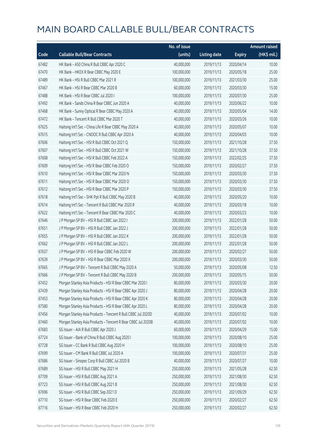|       |                                                              | No. of issue |                     |               | <b>Amount raised</b> |
|-------|--------------------------------------------------------------|--------------|---------------------|---------------|----------------------|
| Code  | <b>Callable Bull/Bear Contracts</b>                          | (units)      | <b>Listing date</b> | <b>Expiry</b> | (HK\$ mil.)          |
| 67482 | HK Bank - A50 China R Bull CBBC Apr 2020 C                   | 40,000,000   | 2019/11/13          | 2020/04/14    | 10.00                |
| 67470 | HK Bank - HKEX R Bear CBBC May 2020 E                        | 100,000,000  | 2019/11/13          | 2020/05/18    | 25.00                |
| 67489 | HK Bank - HSI R Bull CBBC Mar 2021 R                         | 100,000,000  | 2019/11/13          | 2021/03/30    | 25.00                |
| 67467 | HK Bank - HSI R Bear CBBC Mar 2020 B                         | 60,000,000   | 2019/11/13          | 2020/03/30    | 15.00                |
| 67488 | HK Bank - HSI R Bear CBBC Jul 2020 I                         | 100,000,000  | 2019/11/13          | 2020/07/30    | 25.00                |
| 67492 | HK Bank - Sands China R Bear CBBC Jun 2020 A                 | 40,000,000   | 2019/11/13          | 2020/06/22    | 10.00                |
| 67468 | HK Bank - Sunny Optical R Bear CBBC May 2020 A               | 40,000,000   | 2019/11/13          | 2020/05/04    | 14.00                |
| 67472 | HK Bank - Tencent R Bull CBBC Mar 2020 T                     | 40,000,000   | 2019/11/13          | 2020/03/26    | 10.00                |
| 67625 | Haitong Int'l Sec - China Life R Bear CBBC May 2020 A        | 40,000,000   | 2019/11/13          | 2020/05/07    | 10.00                |
| 67615 | Haitong Int'l Sec - CNOOC R Bull CBBC Apr 2020 A             | 40,000,000   | 2019/11/13          | 2020/04/03    | 10.00                |
| 67606 | Haitong Int'l Sec - HSI R Bull CBBC Oct 2021 Q               | 150,000,000  | 2019/11/13          | 2021/10/28    | 37.50                |
| 67607 | Haitong Int'l Sec - HSI R Bull CBBC Oct 2021 W               | 150,000,000  | 2019/11/13          | 2021/10/28    | 37.50                |
| 67608 | Haitong Int'l Sec - HSI R Bull CBBC Feb 2022 A               | 150,000,000  | 2019/11/13          | 2022/02/25    | 37.50                |
| 67609 | Haitong Int'l Sec - HSI R Bear CBBC Feb 2020 O               | 150,000,000  | 2019/11/13          | 2020/02/27    | 37.50                |
| 67610 | Haitong Int'l Sec - HSI R Bear CBBC Mar 2020 N               | 150,000,000  | 2019/11/13          | 2020/03/30    | 37.50                |
| 67611 | Haitong Int'l Sec - HSI R Bear CBBC Mar 2020 O               | 150,000,000  | 2019/11/13          | 2020/03/30    | 37.50                |
| 67612 | Haitong Int'l Sec - HSI R Bear CBBC Mar 2020 P               | 150,000,000  | 2019/11/13          | 2020/03/30    | 37.50                |
| 67618 | Haitong Int'l Sec - SHK Ppt R Bull CBBC May 2020 B           | 40,000,000   | 2019/11/13          | 2020/05/20    | 10.00                |
| 67614 | Haitong Int'l Sec - Tencent R Bull CBBC Mar 2020 R           | 40,000,000   | 2019/11/13          | 2020/03/18    | 10.00                |
| 67622 | Haitong Int'l Sec - Tencent R Bear CBBC Mar 2020 C           | 40,000,000   | 2019/11/13          | 2020/03/23    | 10.00                |
| 67646 | J P Morgan SP BV - HSI R Bull CBBC Jan 2022 I                | 200,000,000  | 2019/11/13          | 2022/01/28    | 50.00                |
| 67651 | J P Morgan SP BV - HSI R Bull CBBC Jan 2022 J                | 200,000,000  | 2019/11/13          | 2022/01/28    | 50.00                |
| 67655 | J P Morgan SP BV - HSI R Bull CBBC Jan 2022 K                | 200,000,000  | 2019/11/13          | 2022/01/28    | 50.00                |
| 67662 | J P Morgan SP BV - HSI R Bull CBBC Jan 2022 L                | 200,000,000  | 2019/11/13          | 2022/01/28    | 50.00                |
| 67637 | J P Morgan SP BV - HSI R Bear CBBC Feb 2020 W                | 200,000,000  | 2019/11/13          | 2020/02/27    | 50.00                |
| 67639 | J P Morgan SP BV - HSI R Bear CBBC Mar 2020 X                | 200,000,000  | 2019/11/13          | 2020/03/30    | 50.00                |
| 67665 | J P Morgan SP BV - Tencent R Bull CBBC May 2020 A            | 50,000,000   | 2019/11/13          | 2020/05/08    | 12.50                |
| 67666 | J P Morgan SP BV - Tencent R Bull CBBC May 2020 B            | 200,000,000  | 2019/11/13          | 2020/05/15    | 50.00                |
| 67452 | Morgan Stanley Asia Products - HSI R Bear CBBC Mar 2020 I    | 80,000,000   | 2019/11/13          | 2020/03/30    | 20.00                |
| 67439 | Morgan Stanley Asia Products - HSI R Bear CBBC Apr 2020 J    | 80,000,000   | 2019/11/13          | 2020/04/28    | 20.00                |
| 67453 | Morgan Stanley Asia Products - HSI R Bear CBBC Apr 2020 K    | 80,000,000   | 2019/11/13          | 2020/04/28    | 20.00                |
| 67580 | Morgan Stanley Asia Products - HSI R Bear CBBC Apr 2020 L    | 80,000,000   | 2019/11/13          | 2020/04/28    | 20.00                |
| 67456 | Morgan Stanley Asia Products - Tencent R Bull CBBC Jul 2020D | 40,000,000   | 2019/11/13          | 2020/07/02    | 10.00                |
| 67460 | Morgan Stanley Asia Products - Tencent R Bear CBBC Jul 2020B | 40,000,000   | 2019/11/13          | 2020/07/02    | 10.00                |
| 67683 | SG Issuer - AIA R Bull CBBC Apr 2020 J                       | 60,000,000   | 2019/11/13          | 2020/04/29    | 15.00                |
| 67724 | SG Issuer - Bank of China R Bull CBBC Aug 2020 I             | 100,000,000  | 2019/11/13          | 2020/08/10    | 25.00                |
| 67728 | SG Issuer - CC Bank R Bull CBBC Aug 2020 H                   | 100,000,000  | 2019/11/13          | 2020/08/10    | 25.00                |
| 67699 | SG Issuer - CM Bank R Bull CBBC Jul 2020 A                   | 100,000,000  | 2019/11/13          | 2020/07/31    | 25.00                |
| 67686 | SG Issuer - Sinopec Corp R Bull CBBC Jul 2020 B              | 40,000,000   | 2019/11/13          | 2020/07/27    | 10.00                |
| 67689 | SG Issuer - HSI R Bull CBBC May 2021 H                       | 250,000,000  | 2019/11/13          | 2021/05/28    | 62.50                |
| 67709 | SG Issuer - HSI R Bull CBBC Aug 2021 A                       | 250,000,000  | 2019/11/13          | 2021/08/30    | 62.50                |
| 67723 | SG Issuer - HSI R Bull CBBC Aug 2021 B                       | 250,000,000  | 2019/11/13          | 2021/08/30    | 62.50                |
| 67696 | SG Issuer - HSI R Bull CBBC Sep 2021 D                       | 250,000,000  | 2019/11/13          | 2021/09/29    | 62.50                |
| 67710 | SG Issuer - HSI R Bear CBBC Feb 2020 E                       | 250,000,000  | 2019/11/13          | 2020/02/27    | 62.50                |
| 67716 | SG Issuer - HSI R Bear CBBC Feb 2020 H                       | 250,000,000  | 2019/11/13          | 2020/02/27    | 62.50                |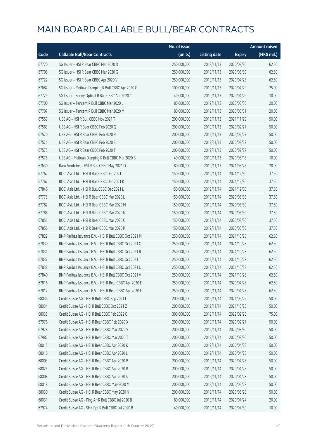|       |                                                        | No. of issue |                     |               | <b>Amount raised</b> |
|-------|--------------------------------------------------------|--------------|---------------------|---------------|----------------------|
| Code  | <b>Callable Bull/Bear Contracts</b>                    | (units)      | <b>Listing date</b> | <b>Expiry</b> | (HK\$ mil.)          |
| 67720 | SG Issuer - HSI R Bear CBBC Mar 2020 D                 | 250,000,000  | 2019/11/13          | 2020/03/30    | 62.50                |
| 67708 | SG Issuer - HSI R Bear CBBC Mar 2020 G                 | 250,000,000  | 2019/11/13          | 2020/03/30    | 62.50                |
| 67722 | SG Issuer - HSI R Bear CBBC Apr 2020 V                 | 250,000,000  | 2019/11/13          | 2020/04/28    | 62.50                |
| 67687 | SG Issuer - Meituan Dianping R Bull CBBC Apr 2020 G    | 100,000,000  | 2019/11/13          | 2020/04/29    | 25.00                |
| 67729 | SG Issuer - Sunny Optical R Bull CBBC Apr 2020 C       | 40,000,000   | 2019/11/13          | 2020/04/29    | 10.00                |
| 67700 | SG Issuer - Tencent R Bull CBBC Mar 2020 L             | 80,000,000   | 2019/11/13          | 2020/03/30    | 20.00                |
| 67707 | SG Issuer - Tencent R Bull CBBC Mar 2020 M             | 80,000,000   | 2019/11/13          | 2020/03/31    | 20.00                |
| 67559 | UBS AG - HSI R Bull CBBC Nov 2021 T                    | 200,000,000  | 2019/11/13          | 2021/11/29    | 50.00                |
| 67563 | UBS AG - HSI R Bear CBBC Feb 2020 Q                    | 200,000,000  | 2019/11/13          | 2020/02/27    | 50.00                |
| 67570 | UBS AG - HSI R Bear CBBC Feb 2020 R                    | 200,000,000  | 2019/11/13          | 2020/02/27    | 50.00                |
| 67571 | UBS AG - HSI R Bear CBBC Feb 2020 S                    | 200,000,000  | 2019/11/13          | 2020/02/27    | 50.00                |
| 67575 | UBS AG - HSI R Bear CBBC Feb 2020 T                    | 200,000,000  | 2019/11/13          | 2020/02/27    | 50.00                |
| 67578 | UBS AG - Meituan Dianping R Bull CBBC Mar 2020 B       | 40,000,000   | 2019/11/13          | 2020/03/18    | 10.00                |
| 67630 | Bank Vontobel - HSI R Bull CBBC May 2021 O             | 80,000,000   | 2019/11/13          | 2021/05/28    | 20.00                |
| 67762 | BOCI Asia Ltd. - HSI R Bull CBBC Dec 2021 J            | 150,000,000  | 2019/11/14          | 2021/12/30    | 37.50                |
| 67767 | BOCI Asia Ltd. - HSI R Bull CBBC Dec 2021 K            | 150,000,000  | 2019/11/14          | 2021/12/30    | 37.50                |
| 67846 | BOCI Asia Ltd. - HSI R Bull CBBC Dec 2021 L            | 150,000,000  | 2019/11/14          | 2021/12/30    | 37.50                |
| 67778 | BOCI Asia Ltd. - HSI R Bear CBBC Mar 2020 L            | 150,000,000  | 2019/11/14          | 2020/03/30    | 37.50                |
| 67782 | BOCI Asia Ltd. - HSI R Bear CBBC Mar 2020 M            | 150,000,000  | 2019/11/14          | 2020/03/30    | 37.50                |
| 67786 | BOCI Asia Ltd. - HSI R Bear CBBC Mar 2020 N            | 150,000,000  | 2019/11/14          | 2020/03/30    | 37.50                |
| 67851 | BOCI Asia Ltd. - HSI R Bear CBBC Mar 2020 O            | 150,000,000  | 2019/11/14          | 2020/03/30    | 37.50                |
| 67856 | BOCI Asia Ltd. - HSI R Bear CBBC Mar 2020 P            | 150,000,000  | 2019/11/14          | 2020/03/30    | 37.50                |
| 67822 | BNP Paribas Issuance B.V. - HSI R Bull CBBC Oct 2021 M | 250,000,000  | 2019/11/14          | 2021/10/28    | 62.50                |
| 67830 | BNP Paribas Issuance B.V. - HSI R Bull CBBC Oct 2021 O | 250,000,000  | 2019/11/14          | 2021/10/28    | 62.50                |
| 67831 | BNP Paribas Issuance B.V. - HSI R Bull CBBC Oct 2021 R | 250,000,000  | 2019/11/14          | 2021/10/28    | 62.50                |
| 67837 | BNP Paribas Issuance B.V. - HSI R Bull CBBC Oct 2021 T | 250,000,000  | 2019/11/14          | 2021/10/28    | 62.50                |
| 67838 | BNP Paribas Issuance B.V. - HSI R Bull CBBC Oct 2021 U | 250,000,000  | 2019/11/14          | 2021/10/28    | 62.50                |
| 67840 | BNP Paribas Issuance B.V. - HSI R Bull CBBC Oct 2021 V | 250,000,000  | 2019/11/14          | 2021/10/28    | 62.50                |
| 67816 | BNP Paribas Issuance B.V. - HSI R Bear CBBC Apr 2020 E | 250,000,000  | 2019/11/14          | 2020/04/28    | 62.50                |
| 67817 | BNP Paribas Issuance B.V. - HSI R Bear CBBC Apr 2020 F | 250,000,000  | 2019/11/14          | 2020/04/28    | 62.50                |
| 68036 | Credit Suisse AG - HSI R Bull CBBC Sep 2021 I          | 200,000,000  | 2019/11/14          | 2021/09/29    | 50.00                |
| 68034 | Credit Suisse AG - HSI R Bull CBBC Oct 2021 Z          | 200,000,000  | 2019/11/14          | 2021/10/28    | 50.00                |
| 68035 | Credit Suisse AG - HSI R Bull CBBC Feb 2022 C          | 300,000,000  | 2019/11/14          | 2022/02/25    | 75.00                |
| 67976 | Credit Suisse AG - HSI R Bear CBBC Feb 2020 X          | 200,000,000  | 2019/11/14          | 2020/02/27    | 50.00                |
| 67978 | Credit Suisse AG - HSI R Bear CBBC Mar 2020 S          | 200,000,000  | 2019/11/14          | 2020/03/30    | 50.00                |
| 67982 | Credit Suisse AG - HSI R Bear CBBC Mar 2020 T          | 200,000,000  | 2019/11/14          | 2020/03/30    | 50.00                |
| 68015 | Credit Suisse AG - HSI R Bear CBBC Apr 2020 K          | 200,000,000  | 2019/11/14          | 2020/04/28    | 50.00                |
| 68016 | Credit Suisse AG - HSI R Bear CBBC Apr 2020 L          | 200,000,000  | 2019/11/14          | 2020/04/28    | 50.00                |
| 68003 | Credit Suisse AG - HSI R Bear CBBC Apr 2020 P          | 200,000,000  | 2019/11/14          | 2020/04/28    | 50.00                |
| 68025 | Credit Suisse AG - HSI R Bear CBBC Apr 2020 R          | 200,000,000  | 2019/11/14          | 2020/04/28    | 50.00                |
| 68008 | Credit Suisse AG - HSI R Bear CBBC Apr 2020 S          | 200,000,000  | 2019/11/14          | 2020/04/28    | 50.00                |
| 68018 | Credit Suisse AG - HSI R Bear CBBC May 2020 M          | 200,000,000  | 2019/11/14          | 2020/05/28    | 50.00                |
| 68030 | Credit Suisse AG - HSI R Bear CBBC May 2020 N          | 200,000,000  | 2019/11/14          | 2020/05/28    | 50.00                |
| 68031 | Credit Suisse AG - Ping An R Bull CBBC Jul 2020 B      | 80,000,000   | 2019/11/14          | 2020/07/24    | 20.00                |
| 67974 | Credit Suisse AG - SHK Ppt R Bull CBBC Jul 2020 B      | 40,000,000   | 2019/11/14          | 2020/07/30    | 10.00                |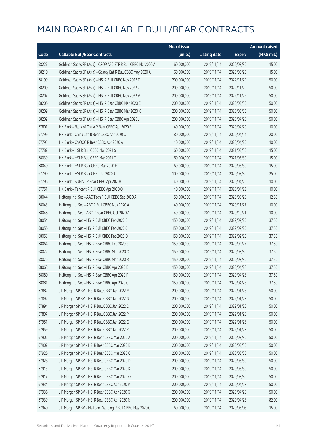|       |                                                              | No. of issue |                     |               | <b>Amount raised</b>  |
|-------|--------------------------------------------------------------|--------------|---------------------|---------------|-----------------------|
| Code  | <b>Callable Bull/Bear Contracts</b>                          | (units)      | <b>Listing date</b> | <b>Expiry</b> | $(HK\frac{1}{2}mil.)$ |
| 68227 | Goldman Sachs SP (Asia) - CSOP A50 ETF R Bull CBBC Mar2020 A | 60,000,000   | 2019/11/14          | 2020/03/30    | 15.00                 |
| 68210 | Goldman Sachs SP (Asia) - Galaxy Ent R Bull CBBC May 2020 A  | 60,000,000   | 2019/11/14          | 2020/05/29    | 15.00                 |
| 68199 | Goldman Sachs SP (Asia) - HSI R Bull CBBC Nov 2022 T         | 200,000,000  | 2019/11/14          | 2022/11/29    | 50.00                 |
| 68200 | Goldman Sachs SP (Asia) - HSI R Bull CBBC Nov 2022 U         | 200,000,000  | 2019/11/14          | 2022/11/29    | 50.00                 |
| 68207 | Goldman Sachs SP (Asia) - HSI R Bull CBBC Nov 2022 V         | 200,000,000  | 2019/11/14          | 2022/11/29    | 50.00                 |
| 68206 | Goldman Sachs SP (Asia) - HSI R Bear CBBC Mar 2020 E         | 200,000,000  | 2019/11/14          | 2020/03/30    | 50.00                 |
| 68209 | Goldman Sachs SP (Asia) - HSI R Bear CBBC Mar 2020 K         | 200,000,000  | 2019/11/14          | 2020/03/30    | 50.00                 |
| 68202 | Goldman Sachs SP (Asia) - HSI R Bear CBBC Apr 2020 J         | 200,000,000  | 2019/11/14          | 2020/04/28    | 50.00                 |
| 67801 | HK Bank - Bank of China R Bear CBBC Apr 2020 B               | 40,000,000   | 2019/11/14          | 2020/04/20    | 10.00                 |
| 67799 | HK Bank - China Life R Bear CBBC Apr 2020 C                  | 80,000,000   | 2019/11/14          | 2020/04/14    | 20.00                 |
| 67795 | HK Bank - CNOOC R Bear CBBC Apr 2020 A                       | 40,000,000   | 2019/11/14          | 2020/04/20    | 10.00                 |
| 67787 | HK Bank - HSI R Bull CBBC Mar 2021 S                         | 60,000,000   | 2019/11/14          | 2021/03/30    | 15.00                 |
| 68039 | HK Bank - HSI R Bull CBBC Mar 2021 T                         | 60,000,000   | 2019/11/14          | 2021/03/30    | 15.00                 |
| 68040 | HK Bank - HSI R Bear CBBC Mar 2020 H                         | 60,000,000   | 2019/11/14          | 2020/03/30    | 15.00                 |
| 67790 | HK Bank - HSI R Bear CBBC Jul 2020 J                         | 100,000,000  | 2019/11/14          | 2020/07/30    | 25.00                 |
| 67796 | HK Bank - SUNAC R Bear CBBC Apr 2020 C                       | 40,000,000   | 2019/11/14          | 2020/04/20    | 10.00                 |
| 67751 | HK Bank - Tencent R Bull CBBC Apr 2020 Q                     | 40,000,000   | 2019/11/14          | 2020/04/23    | 10.00                 |
| 68044 | Haitong Int'l Sec - AAC Tech R Bull CBBC Sep 2020 A          | 50,000,000   | 2019/11/14          | 2020/09/29    | 12.50                 |
| 68043 | Haitong Int'l Sec - ABC R Bull CBBC Nov 2020 A               | 40,000,000   | 2019/11/14          | 2020/11/27    | 10.00                 |
| 68046 | Haitong Int'l Sec - ABC R Bear CBBC Oct 2020 A               | 40,000,000   | 2019/11/14          | 2020/10/21    | 10.00                 |
| 68054 | Haitong Int'l Sec - HSI R Bull CBBC Feb 2022 B               | 150,000,000  | 2019/11/14          | 2022/02/25    | 37.50                 |
| 68056 | Haitong Int'l Sec - HSI R Bull CBBC Feb 2022 C               | 150,000,000  | 2019/11/14          | 2022/02/25    | 37.50                 |
| 68058 | Haitong Int'l Sec - HSI R Bull CBBC Feb 2022 D               | 150,000,000  | 2019/11/14          | 2022/02/25    | 37.50                 |
| 68064 | Haitong Int'l Sec - HSI R Bear CBBC Feb 2020 S               | 150,000,000  | 2019/11/14          | 2020/02/27    | 37.50                 |
| 68072 | Haitong Int'l Sec - HSI R Bear CBBC Mar 2020 Q               | 150,000,000  | 2019/11/14          | 2020/03/30    | 37.50                 |
| 68076 | Haitong Int'l Sec - HSI R Bear CBBC Mar 2020 R               | 150,000,000  | 2019/11/14          | 2020/03/30    | 37.50                 |
| 68068 | Haitong Int'l Sec - HSI R Bear CBBC Apr 2020 E               | 150,000,000  | 2019/11/14          | 2020/04/28    | 37.50                 |
| 68080 | Haitong Int'l Sec - HSI R Bear CBBC Apr 2020 F               | 150,000,000  | 2019/11/14          | 2020/04/28    | 37.50                 |
| 68081 | Haitong Int'l Sec - HSI R Bear CBBC Apr 2020 G               | 150,000,000  | 2019/11/14          | 2020/04/28    | 37.50                 |
| 67882 | J P Morgan SP BV - HSI R Bull CBBC Jan 2022 M                | 200,000,000  | 2019/11/14          | 2022/01/28    | 50.00                 |
| 67892 | J P Morgan SP BV - HSI R Bull CBBC Jan 2022 N                | 200,000,000  | 2019/11/14          | 2022/01/28    | 50.00                 |
| 67894 | J P Morgan SP BV - HSI R Bull CBBC Jan 2022 O                | 200,000,000  | 2019/11/14          | 2022/01/28    | 50.00                 |
| 67897 | J P Morgan SP BV - HSI R Bull CBBC Jan 2022 P                | 200,000,000  | 2019/11/14          | 2022/01/28    | 50.00                 |
| 67951 | J P Morgan SP BV - HSI R Bull CBBC Jan 2022 Q                | 200,000,000  | 2019/11/14          | 2022/01/28    | 50.00                 |
| 67959 | J P Morgan SP BV - HSI R Bull CBBC Jan 2022 R                | 200,000,000  | 2019/11/14          | 2022/01/28    | 50.00                 |
| 67902 | J P Morgan SP BV - HSI R Bear CBBC Mar 2020 A                | 200,000,000  | 2019/11/14          | 2020/03/30    | 50.00                 |
| 67907 | J P Morgan SP BV - HSI R Bear CBBC Mar 2020 B                | 200,000,000  | 2019/11/14          | 2020/03/30    | 50.00                 |
| 67926 | J P Morgan SP BV - HSI R Bear CBBC Mar 2020 C                | 200,000,000  | 2019/11/14          | 2020/03/30    | 50.00                 |
| 67928 | J P Morgan SP BV - HSI R Bear CBBC Mar 2020 D                | 200,000,000  | 2019/11/14          | 2020/03/30    | 50.00                 |
| 67913 | J P Morgan SP BV - HSI R Bear CBBC Mar 2020 K                | 200,000,000  | 2019/11/14          | 2020/03/30    | 50.00                 |
| 67917 | J P Morgan SP BV - HSI R Bear CBBC Mar 2020 O                | 200,000,000  | 2019/11/14          | 2020/03/30    | 50.00                 |
| 67934 | J P Morgan SP BV - HSI R Bear CBBC Apr 2020 P                | 200,000,000  | 2019/11/14          | 2020/04/28    | 50.00                 |
| 67936 | J P Morgan SP BV - HSI R Bear CBBC Apr 2020 Q                | 200,000,000  | 2019/11/14          | 2020/04/28    | 50.00                 |
| 67939 | J P Morgan SP BV - HSI R Bear CBBC Apr 2020 R                | 200,000,000  | 2019/11/14          | 2020/04/28    | 82.00                 |
| 67940 | J P Morgan SP BV - Meituan Dianping R Bull CBBC May 2020 G   | 60,000,000   | 2019/11/14          | 2020/05/08    | 15.00                 |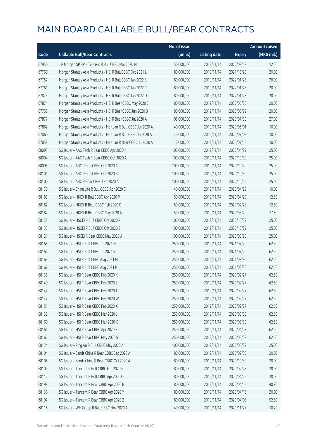|       |                                                              | No. of issue |                     |               | <b>Amount raised</b> |
|-------|--------------------------------------------------------------|--------------|---------------------|---------------|----------------------|
| Code  | <b>Callable Bull/Bear Contracts</b>                          | (units)      | <b>Listing date</b> | <b>Expiry</b> | $(HK$$ mil.)         |
| 67950 | J P Morgan SP BV - Tencent R Bull CBBC Mar 2020 M            | 50,000,000   | 2019/11/14          | 2020/03/13    | 12.50                |
| 67760 | Morgan Stanley Asia Products - HSI R Bull CBBC Oct 2021 L    | 80,000,000   | 2019/11/14          | 2021/10/28    | 20.00                |
| 67757 | Morgan Stanley Asia Products - HSI R Bull CBBC Jan 2022 B    | 80,000,000   | 2019/11/14          | 2022/01/28    | 20.00                |
| 67761 | Morgan Stanley Asia Products - HSI R Bull CBBC Jan 2022 C    | 80,000,000   | 2019/11/14          | 2022/01/28    | 20.00                |
| 67873 | Morgan Stanley Asia Products - HSI R Bull CBBC Jan 2022 D    | 80,000,000   | 2019/11/14          | 2022/01/28    | 20.00                |
| 67874 | Morgan Stanley Asia Products - HSI R Bear CBBC May 2020 E    | 80,000,000   | 2019/11/14          | 2020/05/28    | 20.00                |
| 67758 | Morgan Stanley Asia Products - HSI R Bear CBBC Jun 2020 B    | 80,000,000   | 2019/11/14          | 2020/06/29    | 20.00                |
| 67877 | Morgan Stanley Asia Products - HSI R Bear CBBC Jul 2020 A    | 108,000,000  | 2019/11/14          | 2020/07/30    | 27.00                |
| 67862 | Morgan Stanley Asia Products - Meituan R Bull CBBC Jun2020 A | 40,000,000   | 2019/11/14          | 2020/06/01    | 10.00                |
| 67860 | Morgan Stanley Asia Products - Meituan R Bull CBBC Jul2020 A | 40,000,000   | 2019/11/14          | 2020/07/02    | 10.00                |
| 67858 | Morgan Stanley Asia Products - Meituan R Bear CBBC Jul2020 A | 40,000,000   | 2019/11/14          | 2020/07/15    | 10.00                |
| 68093 | SG Issuer - AAC Tech R Bear CBBC Apr 2020 F                  | 100,000,000  | 2019/11/14          | 2020/04/29    | 25.00                |
| 68094 | SG Issuer - AAC Tech R Bear CBBC Oct 2020 A                  | 100,000,000  | 2019/11/14          | 2020/10/30    | 25.00                |
| 68095 | SG Issuer - ABC R Bull CBBC Oct 2020 A                       | 100,000,000  | 2019/11/14          | 2020/10/29    | 25.00                |
| 68101 | SG Issuer - ABC R Bull CBBC Oct 2020 B                       | 100,000,000  | 2019/11/14          | 2020/10/30    | 25.00                |
| 68100 | SG Issuer - ABC R Bear CBBC Oct 2020 A                       | 100,000,000  | 2019/11/14          | 2020/10/29    | 25.00                |
| 68176 | SG Issuer - China Life R Bull CBBC Apr 2020 C                | 40,000,000   | 2019/11/14          | 2020/04/29    | 10.00                |
| 68183 | SG Issuer - HKEX R Bull CBBC Apr 2020 P                      | 50,000,000   | 2019/11/14          | 2020/04/29    | 12.50                |
| 68182 | SG Issuer - HKEX R Bear CBBC Feb 2020 Q                      | 50,000,000   | 2019/11/14          | 2020/02/28    | 12.50                |
| 68187 | SG Issuer - HKEX R Bear CBBC May 2020 A                      | 50,000,000   | 2019/11/14          | 2020/05/29    | 17.50                |
| 68128 | SG Issuer - HSCEI R Bull CBBC Oct 2020 R                     | 100,000,000  | 2019/11/14          | 2020/10/29    | 25.00                |
| 68133 | SG Issuer - HSCEI R Bull CBBC Oct 2020 S                     | 100,000,000  | 2019/11/14          | 2020/10/29    | 25.00                |
| 68121 | SG Issuer - HSCEI R Bear CBBC May 2020 A                     | 100,000,000  | 2019/11/14          | 2020/05/28    | 25.00                |
| 68165 | SG Issuer - HSI R Bull CBBC Jul 2021 N                       | 250,000,000  | 2019/11/14          | 2021/07/29    | 62.50                |
| 68166 | SG Issuer - HSI R Bull CBBC Jul 2021 R                       | 250,000,000  | 2019/11/14          | 2021/07/29    | 62.50                |
| 68169 | SG Issuer - HSI R Bull CBBC Aug 2021 M                       | 250,000,000  | 2019/11/14          | 2021/08/30    | 62.50                |
| 68167 | SG Issuer - HSI R Bull CBBC Aug 2021 P                       | 250,000,000  | 2019/11/14          | 2021/08/30    | 62.50                |
| 68138 | SG Issuer - HSI R Bear CBBC Feb 2020 K                       | 250,000,000  | 2019/11/14          | 2020/02/27    | 62.50                |
| 68140 | SG Issuer - HSI R Bear CBBC Feb 2020 S                       | 250,000,000  | 2019/11/14          | 2020/02/27    | 62.50                |
| 68144 | SG Issuer - HSI R Bear CBBC Feb 2020 T                       | 250,000,000  | 2019/11/14          | 2020/02/27    | 62.50                |
| 68147 | SG Issuer - HSI R Bear CBBC Feb 2020 W                       | 250,000,000  | 2019/11/14          | 2020/02/27    | 62.50                |
| 68151 | SG Issuer - HSI R Bear CBBC Feb 2020 X                       | 250,000,000  | 2019/11/14          | 2020/02/27    | 62.50                |
| 68139 | SG Issuer - HSI R Bear CBBC Mar 2020 J                       | 250,000,000  | 2019/11/14          | 2020/03/30    | 62.50                |
| 68160 | SG Issuer - HSI R Bear CBBC Mar 2020 K                       | 250,000,000  | 2019/11/14          | 2020/03/30    | 62.50                |
| 68161 | SG Issuer - HSI R Bear CBBC Apr 2020 E                       | 250,000,000  | 2019/11/14          | 2020/04/28    | 62.50                |
| 68162 | SG Issuer - HSI R Bear CBBC May 2020 S                       | 250,000,000  | 2019/11/14          | 2020/05/28    | 62.50                |
| 68134 | SG Issuer - Ping An R Bull CBBC May 2020 A                   | 100,000,000  | 2019/11/14          | 2020/05/29    | 25.00                |
| 68104 | SG Issuer - Sands China R Bear CBBC Sep 2020 A               | 80,000,000   | 2019/11/14          | 2020/09/30    | 20.00                |
| 68106 | SG Issuer - Sands China R Bear CBBC Oct 2020 A               | 80,000,000   | 2019/11/14          | 2020/10/30    | 20.00                |
| 68109 | SG Issuer - Tencent R Bull CBBC Feb 2020 R                   | 80,000,000   | 2019/11/14          | 2020/02/28    | 20.00                |
| 68112 | SG Issuer - Tencent R Bull CBBC Apr 2020 O                   | 80,000,000   | 2019/11/14          | 2020/04/29    | 20.00                |
| 68198 | SG Issuer - Tencent R Bear CBBC Apr 2020 B                   | 80,000,000   | 2019/11/14          | 2020/04/15    | 40.80                |
| 68136 | SG Issuer - Tencent R Bear CBBC Apr 2020 Y                   | 80,000,000   | 2019/11/14          | 2020/04/16    | 20.00                |
| 68197 | SG Issuer - Tencent R Bear CBBC Apr 2020 Z                   | 80,000,000   | 2019/11/14          | 2020/04/08    | 52.80                |
| 68116 | SG Issuer - WH Group R Bull CBBC Nov 2020 A                  | 40,000,000   | 2019/11/14          | 2020/11/27    | 10.20                |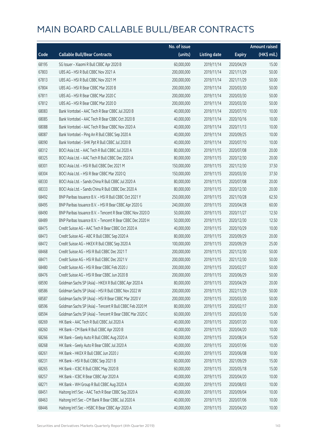|       |                                                            | No. of issue |                     |               | Amount raised |
|-------|------------------------------------------------------------|--------------|---------------------|---------------|---------------|
| Code  | <b>Callable Bull/Bear Contracts</b>                        | (units)      | <b>Listing date</b> | <b>Expiry</b> | (HK\$ mil.)   |
| 68195 | SG Issuer - Xiaomi R Bull CBBC Apr 2020 B                  | 60,000,000   | 2019/11/14          | 2020/04/29    | 15.00         |
| 67803 | UBS AG - HSI R Bull CBBC Nov 2021 A                        | 200,000,000  | 2019/11/14          | 2021/11/29    | 50.00         |
| 67813 | UBS AG - HSI R Bull CBBC Nov 2021 M                        | 200,000,000  | 2019/11/14          | 2021/11/29    | 50.00         |
| 67804 | UBS AG - HSI R Bear CBBC Mar 2020 B                        | 200,000,000  | 2019/11/14          | 2020/03/30    | 50.00         |
| 67811 | UBS AG - HSI R Bear CBBC Mar 2020 C                        | 200,000,000  | 2019/11/14          | 2020/03/30    | 50.00         |
| 67812 | UBS AG - HSI R Bear CBBC Mar 2020 D                        | 200,000,000  | 2019/11/14          | 2020/03/30    | 50.00         |
| 68083 | Bank Vontobel - AAC Tech R Bear CBBC Jul 2020 B            | 40,000,000   | 2019/11/14          | 2020/07/10    | 10.00         |
| 68085 | Bank Vontobel - AAC Tech R Bear CBBC Oct 2020 B            | 40,000,000   | 2019/11/14          | 2020/10/16    | 10.00         |
| 68088 | Bank Vontobel - AAC Tech R Bear CBBC Nov 2020 A            | 40,000,000   | 2019/11/14          | 2020/11/13    | 10.00         |
| 68087 | Bank Vontobel - Ping An R Bull CBBC Sep 2020 A             | 40,000,000   | 2019/11/14          | 2020/09/25    | 10.00         |
| 68090 | Bank Vontobel - SHK Ppt R Bull CBBC Jul 2020 B             | 40,000,000   | 2019/11/14          | 2020/07/10    | 10.00         |
| 68312 | BOCI Asia Ltd. - AAC Tech R Bull CBBC Jul 2020 A           | 80,000,000   | 2019/11/15          | 2020/07/08    | 20.00         |
| 68325 | BOCI Asia Ltd. - AAC Tech R Bull CBBC Dec 2020 A           | 80,000,000   | 2019/11/15          | 2020/12/30    | 20.00         |
| 68301 | BOCI Asia Ltd. - HSI R Bull CBBC Dec 2021 M                | 150,000,000  | 2019/11/15          | 2021/12/30    | 37.50         |
| 68304 | BOCI Asia Ltd. - HSI R Bear CBBC Mar 2020 Q                | 150,000,000  | 2019/11/15          | 2020/03/30    | 37.50         |
| 68330 | BOCI Asia Ltd. - Sands China R Bull CBBC Jul 2020 A        | 80,000,000   | 2019/11/15          | 2020/07/08    | 20.00         |
| 68333 | BOCI Asia Ltd. - Sands China R Bull CBBC Dec 2020 A        | 80,000,000   | 2019/11/15          | 2020/12/30    | 20.00         |
| 68492 | BNP Paribas Issuance B.V. - HSI R Bull CBBC Oct 2021 Y     | 250,000,000  | 2019/11/15          | 2021/10/28    | 62.50         |
| 68495 | BNP Paribas Issuance B.V. - HSI R Bear CBBC Apr 2020 G     | 240,000,000  | 2019/11/15          | 2020/04/28    | 60.00         |
| 68490 | BNP Paribas Issuance B.V. - Tencent R Bear CBBC Nov 2020 D | 50,000,000   | 2019/11/15          | 2020/11/27    | 12.50         |
| 68489 | BNP Paribas Issuance B.V. - Tencent R Bear CBBC Dec 2020 H | 50,000,000   | 2019/11/15          | 2020/12/30    | 12.50         |
| 68475 | Credit Suisse AG - AAC Tech R Bear CBBC Oct 2020 A         | 40,000,000   | 2019/11/15          | 2020/10/29    | 10.00         |
| 68473 | Credit Suisse AG - ABC R Bull CBBC Sep 2020 A              | 80,000,000   | 2019/11/15          | 2020/09/29    | 20.00         |
| 68472 | Credit Suisse AG - HKEX R Bull CBBC Sep 2020 A             | 100,000,000  | 2019/11/15          | 2020/09/29    | 25.00         |
| 68468 | Credit Suisse AG - HSI R Bull CBBC Dec 2021 T              | 200,000,000  | 2019/11/15          | 2021/12/30    | 50.00         |
| 68471 | Credit Suisse AG - HSI R Bull CBBC Dec 2021 V              | 200,000,000  | 2019/11/15          | 2021/12/30    | 50.00         |
| 68480 | Credit Suisse AG - HSI R Bear CBBC Feb 2020 J              | 200,000,000  | 2019/11/15          | 2020/02/27    | 50.00         |
| 68476 | Credit Suisse AG - HSI R Bear CBBC Jun 2020 B              | 200,000,000  | 2019/11/15          | 2020/06/29    | 50.00         |
| 68590 | Goldman Sachs SP (Asia) - HKEX R Bull CBBC Apr 2020 A      | 80,000,000   | 2019/11/15          | 2020/04/29    | 20.00         |
| 68586 | Goldman Sachs SP (Asia) - HSI R Bull CBBC Nov 2022 W       | 200,000,000  | 2019/11/15          | 2022/11/29    | 50.00         |
| 68587 | Goldman Sachs SP (Asia) - HSI R Bear CBBC Mar 2020 V       | 200,000,000  | 2019/11/15          | 2020/03/30    | 50.00         |
| 68596 | Goldman Sachs SP (Asia) - Tencent R Bull CBBC Feb 2020 M   | 80,000,000   | 2019/11/15          | 2020/02/17    | 20.00         |
| 68594 | Goldman Sachs SP (Asia) - Tencent R Bear CBBC Mar 2020 C   | 60,000,000   | 2019/11/15          | 2020/03/30    | 15.00         |
| 68269 | HK Bank - AAC Tech R Bull CBBC Jul 2020 A                  | 40,000,000   | 2019/11/15          | 2020/07/20    | 10.00         |
| 68260 | HK Bank - CM Bank R Bull CBBC Apr 2020 B                   | 40,000,000   | 2019/11/15          | 2020/04/20    | 10.00         |
| 68266 | HK Bank - Geely Auto R Bull CBBC Aug 2020 A                | 60,000,000   | 2019/11/15          | 2020/08/24    | 15.00         |
| 68268 | HK Bank - Geely Auto R Bear CBBC Jul 2020 A                | 40,000,000   | 2019/11/15          | 2020/07/06    | 10.00         |
| 68261 | HK Bank - HKEX R Bull CBBC Jun 2020 J                      | 40,000,000   | 2019/11/15          | 2020/06/08    | 10.00         |
| 68231 | HK Bank - HSI R Bull CBBC Sep 2021 B                       | 60,000,000   | 2019/11/15          | 2021/09/29    | 15.00         |
| 68265 | HK Bank - ICBC R Bull CBBC May 2020 B                      | 60,000,000   | 2019/11/15          | 2020/05/18    | 15.00         |
| 68257 | HK Bank - ICBC R Bear CBBC Apr 2020 A                      | 40,000,000   | 2019/11/15          | 2020/04/20    | 10.00         |
| 68271 | HK Bank - WH Group R Bull CBBC Aug 2020 A                  | 40,000,000   | 2019/11/15          | 2020/08/03    | 10.00         |
| 68451 | Haitong Int'l Sec - AAC Tech R Bear CBBC Sep 2020 A        | 40,000,000   | 2019/11/15          | 2020/09/04    | 10.00         |
| 68463 | Haitong Int'l Sec - CM Bank R Bear CBBC Jul 2020 A         | 40,000,000   | 2019/11/15          | 2020/07/06    | 10.00         |
| 68446 | Haitong Int'l Sec - HSBC R Bear CBBC Apr 2020 A            | 40,000,000   | 2019/11/15          | 2020/04/20    | 10.00         |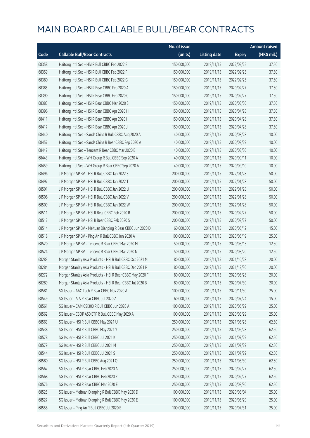|       |                                                            | No. of issue |                     |               | <b>Amount raised</b> |
|-------|------------------------------------------------------------|--------------|---------------------|---------------|----------------------|
| Code  | <b>Callable Bull/Bear Contracts</b>                        | (units)      | <b>Listing date</b> | <b>Expiry</b> | $(HK\$ mil.)         |
| 68358 | Haitong Int'l Sec - HSI R Bull CBBC Feb 2022 E             | 150,000,000  | 2019/11/15          | 2022/02/25    | 37.50                |
| 68359 | Haitong Int'l Sec - HSI R Bull CBBC Feb 2022 F             | 150,000,000  | 2019/11/15          | 2022/02/25    | 37.50                |
| 68380 | Haitong Int'l Sec - HSI R Bull CBBC Feb 2022 G             | 150,000,000  | 2019/11/15          | 2022/02/25    | 37.50                |
| 68385 | Haitong Int'l Sec - HSI R Bear CBBC Feb 2020 A             | 150,000,000  | 2019/11/15          | 2020/02/27    | 37.50                |
| 68390 | Haitong Int'l Sec - HSI R Bear CBBC Feb 2020 C             | 150,000,000  | 2019/11/15          | 2020/02/27    | 37.50                |
| 68383 | Haitong Int'l Sec - HSI R Bear CBBC Mar 2020 S             | 150,000,000  | 2019/11/15          | 2020/03/30    | 37.50                |
| 68396 | Haitong Int'l Sec - HSI R Bear CBBC Apr 2020 H             | 150,000,000  | 2019/11/15          | 2020/04/28    | 37.50                |
| 68411 | Haitong Int'l Sec - HSI R Bear CBBC Apr 2020 I             | 150,000,000  | 2019/11/15          | 2020/04/28    | 37.50                |
| 68417 | Haitong Int'l Sec - HSI R Bear CBBC Apr 2020 J             | 150,000,000  | 2019/11/15          | 2020/04/28    | 37.50                |
| 68440 | Haitong Int'l Sec - Sands China R Bull CBBC Aug 2020 A     | 40,000,000   | 2019/11/15          | 2020/08/28    | 10.00                |
| 68457 | Haitong Int'l Sec - Sands China R Bear CBBC Sep 2020 A     | 40,000,000   | 2019/11/15          | 2020/09/29    | 10.00                |
| 68447 | Haitong Int'l Sec - Tencent R Bear CBBC Mar 2020 B         | 40,000,000   | 2019/11/15          | 2020/03/30    | 10.00                |
| 68443 | Haitong Int'l Sec - WH Group R Bull CBBC Sep 2020 A        | 40,000,000   | 2019/11/15          | 2020/09/11    | 10.00                |
| 68459 | Haitong Int'l Sec - WH Group R Bear CBBC Sep 2020 A        | 40,000,000   | 2019/11/15          | 2020/09/10    | 10.00                |
| 68496 | J P Morgan SP BV - HSI R Bull CBBC Jan 2022 S              | 200,000,000  | 2019/11/15          | 2022/01/28    | 50.00                |
| 68497 | J P Morgan SP BV - HSI R Bull CBBC Jan 2022 T              | 200,000,000  | 2019/11/15          | 2022/01/28    | 50.00                |
| 68501 | J P Morgan SP BV - HSI R Bull CBBC Jan 2022 U              | 200,000,000  | 2019/11/15          | 2022/01/28    | 50.00                |
| 68506 | J P Morgan SP BV - HSI R Bull CBBC Jan 2022 V              | 200,000,000  | 2019/11/15          | 2022/01/28    | 50.00                |
| 68509 | J P Morgan SP BV - HSI R Bull CBBC Jan 2022 W              | 200,000,000  | 2019/11/15          | 2022/01/28    | 50.00                |
| 68511 | J P Morgan SP BV - HSI R Bear CBBC Feb 2020 R              | 200,000,000  | 2019/11/15          | 2020/02/27    | 50.00                |
| 68512 | J P Morgan SP BV - HSI R Bear CBBC Feb 2020 S              | 200,000,000  | 2019/11/15          | 2020/02/27    | 50.00                |
| 68514 | J P Morgan SP BV - Meituan Dianping R Bear CBBC Jun 2020 D | 60,000,000   | 2019/11/15          | 2020/06/12    | 15.00                |
| 68518 | J P Morgan SP BV - Ping An R Bull CBBC Jun 2020 A          | 100,000,000  | 2019/11/15          | 2020/06/19    | 25.00                |
| 68520 | J P Morgan SP BV - Tencent R Bear CBBC Mar 2020 M          | 50,000,000   | 2019/11/15          | 2020/03/13    | 12.50                |
| 68524 | J P Morgan SP BV - Tencent R Bear CBBC Mar 2020 N          | 50,000,000   | 2019/11/15          | 2020/03/20    | 12.50                |
| 68283 | Morgan Stanley Asia Products - HSI R Bull CBBC Oct 2021 M  | 80,000,000   | 2019/11/15          | 2021/10/28    | 20.00                |
| 68284 | Morgan Stanley Asia Products - HSI R Bull CBBC Dec 2021 P  | 80,000,000   | 2019/11/15          | 2021/12/30    | 20.00                |
| 68272 | Morgan Stanley Asia Products - HSI R Bear CBBC May 2020 F  | 80,000,000   | 2019/11/15          | 2020/05/28    | 20.00                |
| 68289 | Morgan Stanley Asia Products - HSI R Bear CBBC Jul 2020 B  | 80,000,000   | 2019/11/15          | 2020/07/30    | 20.00                |
| 68581 | SG Issuer - AAC Tech R Bear CBBC Nov 2020 A                | 100,000,000  | 2019/11/15          | 2020/11/30    | 25.00                |
| 68549 | SG Issuer - AIA R Bear CBBC Jul 2020 A                     | 60,000,000   | 2019/11/15          | 2020/07/24    | 15.00                |
| 68561 | SG Issuer - CAM CSI300 R Bull CBBC Jun 2020 A              | 100,000,000  | 2019/11/15          | 2020/06/29    | 25.00                |
| 68562 | SG Issuer - CSOP A50 ETF R Bull CBBC May 2020 A            | 100,000,000  | 2019/11/15          | 2020/05/29    | 25.00                |
| 68563 | SG Issuer - HSI R Bull CBBC May 2021 U                     | 250,000,000  | 2019/11/15          | 2021/05/28    | 62.50                |
| 68538 | SG Issuer - HSI R Bull CBBC May 2021 Y                     | 250,000,000  | 2019/11/15          | 2021/05/28    | 62.50                |
| 68578 | SG Issuer - HSI R Bull CBBC Jul 2021 K                     | 250,000,000  | 2019/11/15          | 2021/07/29    | 62.50                |
| 68579 | SG Issuer - HSI R Bull CBBC Jul 2021 M                     | 250,000,000  | 2019/11/15          | 2021/07/29    | 62.50                |
| 68544 | SG Issuer - HSI R Bull CBBC Jul 2021 S                     | 250,000,000  | 2019/11/15          | 2021/07/29    | 62.50                |
| 68580 | SG Issuer - HSI R Bull CBBC Aug 2021 Q                     | 250,000,000  | 2019/11/15          | 2021/08/30    | 62.50                |
| 68567 | SG Issuer - HSI R Bear CBBC Feb 2020 A                     | 250,000,000  | 2019/11/15          | 2020/02/27    | 62.50                |
| 68568 | SG Issuer - HSI R Bear CBBC Feb 2020 Z                     | 250,000,000  | 2019/11/15          | 2020/02/27    | 62.50                |
| 68576 | SG Issuer - HSI R Bear CBBC Mar 2020 E                     | 250,000,000  | 2019/11/15          | 2020/03/30    | 62.50                |
| 68525 | SG Issuer - Meituan Dianping R Bull CBBC May 2020 D        | 100,000,000  | 2019/11/15          | 2020/05/04    | 25.00                |
| 68527 | SG Issuer - Meituan Dianping R Bull CBBC May 2020 E        | 100,000,000  | 2019/11/15          | 2020/05/29    | 25.00                |
| 68558 | SG Issuer - Ping An R Bull CBBC Jul 2020 B                 | 100,000,000  | 2019/11/15          | 2020/07/31    | 25.00                |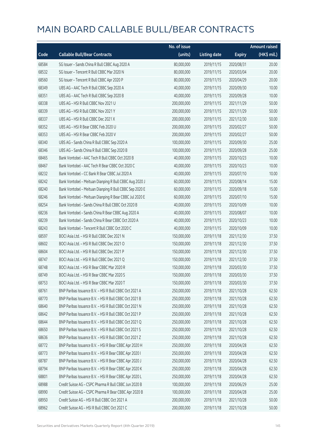|       |                                                         | No. of issue |                     |               | <b>Amount raised</b> |
|-------|---------------------------------------------------------|--------------|---------------------|---------------|----------------------|
| Code  | <b>Callable Bull/Bear Contracts</b>                     | (units)      | <b>Listing date</b> | <b>Expiry</b> | (HK\$ mil.)          |
| 68584 | SG Issuer - Sands China R Bull CBBC Aug 2020 A          | 80,000,000   | 2019/11/15          | 2020/08/31    | 20.00                |
| 68532 | SG Issuer - Tencent R Bull CBBC Mar 2020 N              | 80,000,000   | 2019/11/15          | 2020/03/04    | 20.00                |
| 68560 | SG Issuer - Tencent R Bull CBBC Apr 2020 P              | 80,000,000   | 2019/11/15          | 2020/04/29    | 20.00                |
| 68349 | UBS AG - AAC Tech R Bull CBBC Sep 2020 A                | 40,000,000   | 2019/11/15          | 2020/09/30    | 10.00                |
| 68351 | UBS AG - AAC Tech R Bull CBBC Sep 2020 B                | 40,000,000   | 2019/11/15          | 2020/09/28    | 10.00                |
| 68338 | UBS AG - HSI R Bull CBBC Nov 2021 U                     | 200,000,000  | 2019/11/15          | 2021/11/29    | 50.00                |
| 68339 | UBS AG - HSI R Bull CBBC Nov 2021 Y                     | 200,000,000  | 2019/11/15          | 2021/11/29    | 50.00                |
| 68337 | UBS AG - HSI R Bull CBBC Dec 2021 X                     | 200,000,000  | 2019/11/15          | 2021/12/30    | 50.00                |
| 68352 | UBS AG - HSI R Bear CBBC Feb 2020 U                     | 200,000,000  | 2019/11/15          | 2020/02/27    | 50.00                |
| 68353 | UBS AG - HSI R Bear CBBC Feb 2020 V                     | 200,000,000  | 2019/11/15          | 2020/02/27    | 50.00                |
| 68340 | UBS AG - Sands China R Bull CBBC Sep 2020 A             | 100,000,000  | 2019/11/15          | 2020/09/30    | 25.00                |
| 68346 | UBS AG - Sands China R Bull CBBC Sep 2020 B             | 100,000,000  | 2019/11/15          | 2020/09/28    | 25.00                |
| 68465 | Bank Vontobel - AAC Tech R Bull CBBC Oct 2020 B         | 40,000,000   | 2019/11/15          | 2020/10/23    | 10.00                |
| 68467 | Bank Vontobel - AAC Tech R Bear CBBC Oct 2020 C         | 40,000,000   | 2019/11/15          | 2020/10/23    | 10.00                |
| 68232 | Bank Vontobel - CC Bank R Bear CBBC Jul 2020 A          | 40,000,000   | 2019/11/15          | 2020/07/10    | 10.00                |
| 68242 | Bank Vontobel - Meituan Dianping R Bull CBBC Aug 2020 J | 60,000,000   | 2019/11/15          | 2020/08/14    | 15.00                |
| 68240 | Bank Vontobel - Meituan Dianping R Bull CBBC Sep 2020 E | 60,000,000   | 2019/11/15          | 2020/09/18    | 15.00                |
| 68246 | Bank Vontobel - Meituan Dianping R Bear CBBC Jul 2020 E | 60,000,000   | 2019/11/15          | 2020/07/10    | 15.00                |
| 68254 | Bank Vontobel - Sands China R Bull CBBC Oct 2020 B      | 40,000,000   | 2019/11/15          | 2020/10/09    | 10.00                |
| 68236 | Bank Vontobel - Sands China R Bear CBBC Aug 2020 A      | 40,000,000   | 2019/11/15          | 2020/08/07    | 10.00                |
| 68239 | Bank Vontobel - Sands China R Bear CBBC Oct 2020 A      | 40,000,000   | 2019/11/15          | 2020/10/23    | 10.00                |
| 68243 | Bank Vontobel - Tencent R Bull CBBC Oct 2020 C          | 40,000,000   | 2019/11/15          | 2020/10/09    | 10.00                |
| 68597 | BOCI Asia Ltd. - HSI R Bull CBBC Dec 2021 N             | 150,000,000  | 2019/11/18          | 2021/12/30    | 37.50                |
| 68602 | BOCI Asia Ltd. - HSI R Bull CBBC Dec 2021 O             | 150,000,000  | 2019/11/18          | 2021/12/30    | 37.50                |
| 68604 | BOCI Asia Ltd. - HSI R Bull CBBC Dec 2021 P             | 150,000,000  | 2019/11/18          | 2021/12/30    | 37.50                |
| 68747 | BOCI Asia Ltd. - HSI R Bull CBBC Dec 2021 Q             | 150,000,000  | 2019/11/18          | 2021/12/30    | 37.50                |
| 68748 | BOCI Asia Ltd. - HSI R Bear CBBC Mar 2020 R             | 150,000,000  | 2019/11/18          | 2020/03/30    | 37.50                |
| 68749 | BOCLAsia Ltd. - HSLR Bear CBBC Mar 2020 S               | 150,000,000  | 2019/11/18          | 2020/03/30    | 37.50                |
| 68753 | BOCI Asia Ltd. - HSI R Bear CBBC Mar 2020 T             | 150,000,000  | 2019/11/18          | 2020/03/30    | 37.50                |
| 68761 | BNP Paribas Issuance B.V. - HSI R Bull CBBC Oct 2021 A  | 250,000,000  | 2019/11/18          | 2021/10/28    | 62.50                |
| 68770 | BNP Paribas Issuance B.V. - HSI R Bull CBBC Oct 2021 B  | 250,000,000  | 2019/11/18          | 2021/10/28    | 62.50                |
| 68640 | BNP Paribas Issuance B.V. - HSI R Bull CBBC Oct 2021 N  | 250,000,000  | 2019/11/18          | 2021/10/28    | 62.50                |
| 68642 | BNP Paribas Issuance B.V. - HSI R Bull CBBC Oct 2021 P  | 250,000,000  | 2019/11/18          | 2021/10/28    | 62.50                |
| 68644 | BNP Paribas Issuance B.V. - HSI R Bull CBBC Oct 2021 Q  | 250,000,000  | 2019/11/18          | 2021/10/28    | 62.50                |
| 68650 | BNP Paribas Issuance B.V. - HSI R Bull CBBC Oct 2021 S  | 250,000,000  | 2019/11/18          | 2021/10/28    | 62.50                |
| 68636 | BNP Paribas Issuance B.V. - HSI R Bull CBBC Oct 2021 Z  | 250,000,000  | 2019/11/18          | 2021/10/28    | 62.50                |
| 68772 | BNP Paribas Issuance B.V. - HSI R Bear CBBC Apr 2020 H  | 250,000,000  | 2019/11/18          | 2020/04/28    | 62.50                |
| 68773 | BNP Paribas Issuance B.V. - HSI R Bear CBBC Apr 2020 I  | 250,000,000  | 2019/11/18          | 2020/04/28    | 62.50                |
| 68787 | BNP Paribas Issuance B.V. - HSI R Bear CBBC Apr 2020 J  | 250,000,000  | 2019/11/18          | 2020/04/28    | 62.50                |
| 68794 | BNP Paribas Issuance B.V. - HSI R Bear CBBC Apr 2020 K  | 250,000,000  | 2019/11/18          | 2020/04/28    | 62.50                |
| 68801 | BNP Paribas Issuance B.V. - HSI R Bear CBBC Apr 2020 L  | 250,000,000  | 2019/11/18          | 2020/04/28    | 62.50                |
| 68988 | Credit Suisse AG - CSPC Pharma R Bull CBBC Jun 2020 B   | 100,000,000  | 2019/11/18          | 2020/06/29    | 25.00                |
| 68990 | Credit Suisse AG - CSPC Pharma R Bear CBBC Apr 2020 B   | 100,000,000  | 2019/11/18          | 2020/04/28    | 25.00                |
| 68950 | Credit Suisse AG - HSI R Bull CBBC Oct 2021 A           | 200,000,000  | 2019/11/18          | 2021/10/28    | 50.00                |
| 68962 | Credit Suisse AG - HSI R Bull CBBC Oct 2021 C           | 200,000,000  | 2019/11/18          | 2021/10/28    | 50.00                |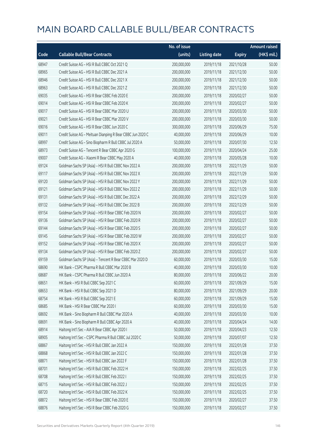|       |                                                            | No. of issue |                     |               | <b>Amount raised</b> |
|-------|------------------------------------------------------------|--------------|---------------------|---------------|----------------------|
| Code  | <b>Callable Bull/Bear Contracts</b>                        | (units)      | <b>Listing date</b> | <b>Expiry</b> | (HK\$ mil.)          |
| 68947 | Credit Suisse AG - HSI R Bull CBBC Oct 2021 Q              | 200,000,000  | 2019/11/18          | 2021/10/28    | 50.00                |
| 68965 | Credit Suisse AG - HSI R Bull CBBC Dec 2021 A              | 200,000,000  | 2019/11/18          | 2021/12/30    | 50.00                |
| 68946 | Credit Suisse AG - HSI R Bull CBBC Dec 2021 X              | 200,000,000  | 2019/11/18          | 2021/12/30    | 50.00                |
| 68963 | Credit Suisse AG - HSI R Bull CBBC Dec 2021 Z              | 200,000,000  | 2019/11/18          | 2021/12/30    | 50.00                |
| 69035 | Credit Suisse AG - HSI R Bear CBBC Feb 2020 E              | 200,000,000  | 2019/11/18          | 2020/02/27    | 50.00                |
| 69014 | Credit Suisse AG - HSI R Bear CBBC Feb 2020 K              | 200,000,000  | 2019/11/18          | 2020/02/27    | 50.00                |
| 69017 | Credit Suisse AG - HSI R Bear CBBC Mar 2020 U              | 200,000,000  | 2019/11/18          | 2020/03/30    | 50.00                |
| 69021 | Credit Suisse AG - HSI R Bear CBBC Mar 2020 V              | 200,000,000  | 2019/11/18          | 2020/03/30    | 50.00                |
| 69016 | Credit Suisse AG - HSI R Bear CBBC Jun 2020 C              | 300,000,000  | 2019/11/18          | 2020/06/29    | 75.00                |
| 69011 | Credit Suisse AG - Meituan Dianping R Bear CBBC Jun 2020 C | 40,000,000   | 2019/11/18          | 2020/06/29    | 10.00                |
| 68997 | Credit Suisse AG - Sino Biopharm R Bull CBBC Jul 2020 A    | 50,000,000   | 2019/11/18          | 2020/07/30    | 12.50                |
| 68973 | Credit Suisse AG - Tencent R Bear CBBC Apr 2020 G          | 100,000,000  | 2019/11/18          | 2020/04/24    | 25.00                |
| 69007 | Credit Suisse AG - Xiaomi R Bear CBBC May 2020 A           | 40,000,000   | 2019/11/18          | 2020/05/28    | 10.00                |
| 69124 | Goldman Sachs SP (Asia) - HSI R Bull CBBC Nov 2022 A       | 200,000,000  | 2019/11/18          | 2022/11/29    | 50.00                |
| 69117 | Goldman Sachs SP (Asia) - HSI R Bull CBBC Nov 2022 X       | 200,000,000  | 2019/11/18          | 2022/11/29    | 50.00                |
| 69120 | Goldman Sachs SP (Asia) - HSI R Bull CBBC Nov 2022 Y       | 200,000,000  | 2019/11/18          | 2022/11/29    | 50.00                |
| 69121 | Goldman Sachs SP (Asia) - HSI R Bull CBBC Nov 2022 Z       | 200,000,000  | 2019/11/18          | 2022/11/29    | 50.00                |
| 69131 | Goldman Sachs SP (Asia) - HSI R Bull CBBC Dec 2022 A       | 200,000,000  | 2019/11/18          | 2022/12/29    | 50.00                |
| 69132 | Goldman Sachs SP (Asia) - HSI R Bull CBBC Dec 2022 B       | 200,000,000  | 2019/11/18          | 2022/12/29    | 50.00                |
| 69154 | Goldman Sachs SP (Asia) - HSI R Bear CBBC Feb 2020 N       | 200,000,000  | 2019/11/18          | 2020/02/27    | 50.00                |
| 69136 | Goldman Sachs SP (Asia) - HSI R Bear CBBC Feb 2020 R       | 200,000,000  | 2019/11/18          | 2020/02/27    | 50.00                |
| 69144 | Goldman Sachs SP (Asia) - HSI R Bear CBBC Feb 2020 S       | 200,000,000  | 2019/11/18          | 2020/02/27    | 50.00                |
| 69145 | Goldman Sachs SP (Asia) - HSI R Bear CBBC Feb 2020 W       | 200,000,000  | 2019/11/18          | 2020/02/27    | 50.00                |
| 69152 | Goldman Sachs SP (Asia) - HSI R Bear CBBC Feb 2020 X       | 200,000,000  | 2019/11/18          | 2020/02/27    | 50.00                |
| 69134 | Goldman Sachs SP (Asia) - HSI R Bear CBBC Feb 2020 Z       | 200,000,000  | 2019/11/18          | 2020/02/27    | 50.00                |
| 69159 | Goldman Sachs SP (Asia) - Tencent R Bear CBBC Mar 2020 D   | 60,000,000   | 2019/11/18          | 2020/03/30    | 15.00                |
| 68690 | HK Bank - CSPC Pharma R Bull CBBC Mar 2020 B               | 40,000,000   | 2019/11/18          | 2020/03/30    | 10.00                |
| 68687 | HK Bank - CSPC Pharma R Bull CBBC Jun 2020 A               | 80,000,000   | 2019/11/18          | 2020/06/22    | 20.00                |
| 68651 | HK Bank - HSI R Bull CBBC Sep 2021 C                       | 60,000,000   | 2019/11/18          | 2021/09/29    | 15.00                |
| 68653 | HK Bank - HSI R Bull CBBC Sep 2021 D                       | 80,000,000   | 2019/11/18          | 2021/09/29    | 20.00                |
| 68754 | HK Bank - HSI R Bull CBBC Sep 2021 E                       | 60,000,000   | 2019/11/18          | 2021/09/29    | 15.00                |
| 68685 | HK Bank - HSI R Bear CBBC Mar 2020 I                       | 60,000,000   | 2019/11/18          | 2020/03/30    | 15.00                |
| 68692 | HK Bank - Sino Biopharm R Bull CBBC Mar 2020 A             | 40,000,000   | 2019/11/18          | 2020/03/30    | 10.00                |
| 68691 | HK Bank - Sino Biopharm R Bull CBBC Apr 2020 A             | 40,000,000   | 2019/11/18          | 2020/04/24    | 14.00                |
| 68914 | Haitong Int'l Sec - AIA R Bear CBBC Apr 2020 I             | 50,000,000   | 2019/11/18          | 2020/04/23    | 12.50                |
| 68905 | Haitong Int'l Sec - CSPC Pharma R Bull CBBC Jul 2020 C     | 50,000,000   | 2019/11/18          | 2020/07/07    | 12.50                |
| 68867 | Haitong Int'l Sec - HSI R Bull CBBC Jan 2022 A             | 150,000,000  | 2019/11/18          | 2022/01/28    | 37.50                |
| 68868 | Haitong Int'l Sec - HSI R Bull CBBC Jan 2022 C             | 150,000,000  | 2019/11/18          | 2022/01/28    | 37.50                |
| 68871 | Haitong Int'l Sec - HSI R Bull CBBC Jan 2022 F             | 150,000,000  | 2019/11/18          | 2022/01/28    | 37.50                |
| 68701 | Haitong Int'l Sec - HSI R Bull CBBC Feb 2022 H             | 150,000,000  | 2019/11/18          | 2022/02/25    | 37.50                |
| 68708 | Haitong Int'l Sec - HSI R Bull CBBC Feb 2022 I             | 150,000,000  | 2019/11/18          | 2022/02/25    | 37.50                |
| 68715 | Haitong Int'l Sec - HSI R Bull CBBC Feb 2022 J             | 150,000,000  | 2019/11/18          | 2022/02/25    | 37.50                |
| 68720 | Haitong Int'l Sec - HSI R Bull CBBC Feb 2022 K             | 150,000,000  | 2019/11/18          | 2022/02/25    | 37.50                |
| 68872 | Haitong Int'l Sec - HSI R Bear CBBC Feb 2020 E             | 150,000,000  | 2019/11/18          | 2020/02/27    | 37.50                |
| 68876 | Haitong Int'l Sec - HSI R Bear CBBC Feb 2020 G             | 150,000,000  | 2019/11/18          | 2020/02/27    | 37.50                |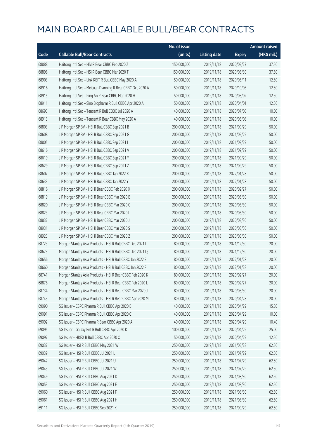|       |                                                             | No. of issue |                     |               | <b>Amount raised</b> |
|-------|-------------------------------------------------------------|--------------|---------------------|---------------|----------------------|
| Code  | <b>Callable Bull/Bear Contracts</b>                         | (units)      | <b>Listing date</b> | <b>Expiry</b> | (HK\$ mil.)          |
| 68888 | Haitong Int'l Sec - HSI R Bear CBBC Feb 2020 Z              | 150,000,000  | 2019/11/18          | 2020/02/27    | 37.50                |
| 68898 | Haitong Int'l Sec - HSI R Bear CBBC Mar 2020 T              | 150,000,000  | 2019/11/18          | 2020/03/30    | 37.50                |
| 68903 | Haitong Int'l Sec - Link REIT R Bull CBBC May 2020 A        | 50,000,000   | 2019/11/18          | 2020/05/11    | 12.50                |
| 68916 | Haitong Int'l Sec - Meituan Dianping R Bear CBBC Oct 2020 A | 50,000,000   | 2019/11/18          | 2020/10/05    | 12.50                |
| 68915 | Haitong Int'l Sec - Ping An R Bear CBBC Mar 2020 H          | 50,000,000   | 2019/11/18          | 2020/03/02    | 12.50                |
| 68911 | Haitong Int'l Sec - Sino Biopharm R Bull CBBC Apr 2020 A    | 50,000,000   | 2019/11/18          | 2020/04/01    | 12.50                |
| 68693 | Haitong Int'l Sec - Tencent R Bull CBBC Jul 2020 A          | 40,000,000   | 2019/11/18          | 2020/07/08    | 10.00                |
| 68913 | Haitong Int'l Sec - Tencent R Bear CBBC May 2020 A          | 40,000,000   | 2019/11/18          | 2020/05/08    | 10.00                |
| 68803 | J P Morgan SP BV - HSI R Bull CBBC Sep 2021 B               | 200,000,000  | 2019/11/18          | 2021/09/29    | 50.00                |
| 68608 | J P Morgan SP BV - HSI R Bull CBBC Sep 2021 G               | 200,000,000  | 2019/11/18          | 2021/09/29    | 50.00                |
| 68805 | J P Morgan SP BV - HSI R Bull CBBC Sep 2021 I               | 200,000,000  | 2019/11/18          | 2021/09/29    | 50.00                |
| 68616 | J P Morgan SP BV - HSI R Bull CBBC Sep 2021 V               | 200,000,000  | 2019/11/18          | 2021/09/29    | 50.00                |
| 68619 | J P Morgan SP BV - HSI R Bull CBBC Sep 2021 Y               | 200,000,000  | 2019/11/18          | 2021/09/29    | 50.00                |
| 68629 | J P Morgan SP BV - HSI R Bull CBBC Sep 2021 Z               | 200,000,000  | 2019/11/18          | 2021/09/29    | 50.00                |
| 68607 | J P Morgan SP BV - HSI R Bull CBBC Jan 2022 X               | 200,000,000  | 2019/11/18          | 2022/01/28    | 50.00                |
| 68633 | J P Morgan SP BV - HSI R Bull CBBC Jan 2022 Y               | 200,000,000  | 2019/11/18          | 2022/01/28    | 50.00                |
| 68816 | J P Morgan SP BV - HSI R Bear CBBC Feb 2020 X               | 200,000,000  | 2019/11/18          | 2020/02/27    | 50.00                |
| 68819 | J P Morgan SP BV - HSI R Bear CBBC Mar 2020 E               | 200,000,000  | 2019/11/18          | 2020/03/30    | 50.00                |
| 68820 | J P Morgan SP BV - HSI R Bear CBBC Mar 2020 G               | 200,000,000  | 2019/11/18          | 2020/03/30    | 50.00                |
| 68823 | J P Morgan SP BV - HSI R Bear CBBC Mar 2020 I               | 200,000,000  | 2019/11/18          | 2020/03/30    | 50.00                |
| 68832 | J P Morgan SP BV - HSI R Bear CBBC Mar 2020 J               | 200,000,000  | 2019/11/18          | 2020/03/30    | 50.00                |
| 68931 | J P Morgan SP BV - HSI R Bear CBBC Mar 2020 S               | 200,000,000  | 2019/11/18          | 2020/03/30    | 50.00                |
| 68923 | J P Morgan SP BV - HSI R Bear CBBC Mar 2020 Z               | 200,000,000  | 2019/11/18          | 2020/03/30    | 50.00                |
| 68723 | Morgan Stanley Asia Products - HSI R Bull CBBC Dec 2021 L   | 80,000,000   | 2019/11/18          | 2021/12/30    | 20.00                |
| 68673 | Morgan Stanley Asia Products - HSI R Bull CBBC Dec 2021 Q   | 80,000,000   | 2019/11/18          | 2021/12/30    | 20.00                |
| 68656 | Morgan Stanley Asia Products - HSI R Bull CBBC Jan 2022 E   | 80,000,000   | 2019/11/18          | 2022/01/28    | 20.00                |
| 68660 | Morgan Stanley Asia Products - HSI R Bull CBBC Jan 2022 F   | 80,000,000   | 2019/11/18          | 2022/01/28    | 20.00                |
| 68741 | Morgan Stanley Asia Products - HSI R Bear CBBC Feb 2020 K   | 80,000,000   | 2019/11/18          | 2020/02/27    | 20.00                |
| 68878 | Morgan Stanley Asia Products - HSI R Bear CBBC Feb 2020 L   | 80,000,000   | 2019/11/18          | 2020/02/27    | 20.00                |
| 68734 | Morgan Stanley Asia Products - HSI R Bear CBBC Mar 2020 J   | 80,000,000   | 2019/11/18          | 2020/03/30    | 20.00                |
| 68743 | Morgan Stanley Asia Products - HSI R Bear CBBC Apr 2020 M   | 80,000,000   | 2019/11/18          | 2020/04/28    | 20.00                |
| 69090 | SG Issuer - CSPC Pharma R Bull CBBC Apr 2020 B              | 40,000,000   | 2019/11/18          | 2020/04/29    | 15.80                |
| 69091 | SG Issuer - CSPC Pharma R Bull CBBC Apr 2020 C              | 40,000,000   | 2019/11/18          | 2020/04/29    | 10.00                |
| 69092 | SG Issuer - CSPC Pharma R Bear CBBC Apr 2020 A              | 40,000,000   | 2019/11/18          | 2020/04/29    | 10.40                |
| 69095 | SG Issuer - Galaxy Ent R Bull CBBC Apr 2020 K               | 100,000,000  | 2019/11/18          | 2020/04/29    | 25.00                |
| 69097 | SG Issuer - HKEX R Bull CBBC Apr 2020 Q                     | 50,000,000   | 2019/11/18          | 2020/04/29    | 12.50                |
| 69037 | SG Issuer - HSI R Bull CBBC May 2021 W                      | 250,000,000  | 2019/11/18          | 2021/05/28    | 62.50                |
| 69039 | SG Issuer - HSI R Bull CBBC Jul 2021 L                      | 250,000,000  | 2019/11/18          | 2021/07/29    | 62.50                |
| 69042 | SG Issuer - HSI R Bull CBBC Jul 2021 U                      | 250,000,000  | 2019/11/18          | 2021/07/29    | 62.50                |
| 69043 | SG Issuer - HSI R Bull CBBC Jul 2021 W                      | 250,000,000  | 2019/11/18          | 2021/07/29    | 62.50                |
| 69049 | SG Issuer - HSI R Bull CBBC Aug 2021 D                      | 250,000,000  | 2019/11/18          | 2021/08/30    | 62.50                |
| 69053 | SG Issuer - HSI R Bull CBBC Aug 2021 E                      | 250,000,000  | 2019/11/18          | 2021/08/30    | 62.50                |
| 69060 | SG Issuer - HSI R Bull CBBC Aug 2021 F                      | 250,000,000  | 2019/11/18          | 2021/08/30    | 62.50                |
| 69061 | SG Issuer - HSI R Bull CBBC Aug 2021 H                      | 250,000,000  | 2019/11/18          | 2021/08/30    | 62.50                |
| 69111 | SG Issuer - HSI R Bull CBBC Sep 2021 K                      | 250,000,000  | 2019/11/18          | 2021/09/29    | 62.50                |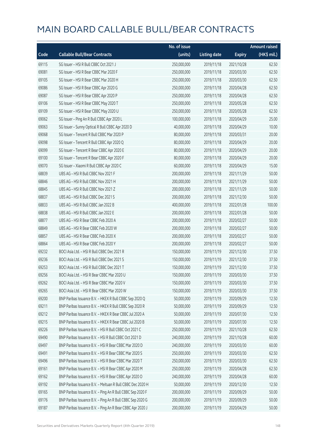|       |                                                            | No. of issue |                     |               | <b>Amount raised</b> |
|-------|------------------------------------------------------------|--------------|---------------------|---------------|----------------------|
| Code  | <b>Callable Bull/Bear Contracts</b>                        | (units)      | <b>Listing date</b> | <b>Expiry</b> | (HK\$ mil.)          |
| 69115 | SG Issuer - HSI R Bull CBBC Oct 2021 J                     | 250,000,000  | 2019/11/18          | 2021/10/28    | 62.50                |
| 69081 | SG Issuer - HSI R Bear CBBC Mar 2020 F                     | 250,000,000  | 2019/11/18          | 2020/03/30    | 62.50                |
| 69105 | SG Issuer - HSI R Bear CBBC Mar 2020 H                     | 250,000,000  | 2019/11/18          | 2020/03/30    | 62.50                |
| 69086 | SG Issuer - HSI R Bear CBBC Apr 2020 G                     | 250,000,000  | 2019/11/18          | 2020/04/28    | 62.50                |
| 69087 | SG Issuer - HSI R Bear CBBC Apr 2020 P                     | 250,000,000  | 2019/11/18          | 2020/04/28    | 62.50                |
| 69106 | SG Issuer - HSI R Bear CBBC May 2020 T                     | 250,000,000  | 2019/11/18          | 2020/05/28    | 62.50                |
| 69109 | SG Issuer - HSI R Bear CBBC May 2020 U                     | 250,000,000  | 2019/11/18          | 2020/05/28    | 62.50                |
| 69062 | SG Issuer - Ping An R Bull CBBC Apr 2020 L                 | 100,000,000  | 2019/11/18          | 2020/04/29    | 25.00                |
| 69063 | SG Issuer - Sunny Optical R Bull CBBC Apr 2020 D           | 40,000,000   | 2019/11/18          | 2020/04/29    | 10.00                |
| 69068 | SG Issuer - Tencent R Bull CBBC Mar 2020 P                 | 80,000,000   | 2019/11/18          | 2020/03/31    | 20.00                |
| 69098 | SG Issuer - Tencent R Bull CBBC Apr 2020 Q                 | 80,000,000   | 2019/11/18          | 2020/04/29    | 20.00                |
| 69099 | SG Issuer - Tencent R Bear CBBC Apr 2020 E                 | 80,000,000   | 2019/11/18          | 2020/04/29    | 20.00                |
| 69100 | SG Issuer - Tencent R Bear CBBC Apr 2020 F                 | 80,000,000   | 2019/11/18          | 2020/04/29    | 20.00                |
| 69070 | SG Issuer - Xiaomi R Bull CBBC Apr 2020 C                  | 60,000,000   | 2019/11/18          | 2020/04/29    | 15.00                |
| 68839 | UBS AG - HSI R Bull CBBC Nov 2021 F                        | 200,000,000  | 2019/11/18          | 2021/11/29    | 50.00                |
| 68846 | UBS AG - HSI R Bull CBBC Nov 2021 H                        | 200,000,000  | 2019/11/18          | 2021/11/29    | 50.00                |
| 68845 | UBS AG - HSI R Bull CBBC Nov 2021 Z                        | 200,000,000  | 2019/11/18          | 2021/11/29    | 50.00                |
| 68837 | UBS AG - HSI R Bull CBBC Dec 2021 S                        | 200,000,000  | 2019/11/18          | 2021/12/30    | 50.00                |
| 68833 | UBS AG - HSI R Bull CBBC Jan 2022 B                        | 400,000,000  | 2019/11/18          | 2022/01/28    | 100.00               |
| 68838 | UBS AG - HSI R Bull CBBC Jan 2022 E                        | 200,000,000  | 2019/11/18          | 2022/01/28    | 50.00                |
| 68877 | UBS AG - HSI R Bear CBBC Feb 2020 A                        | 200,000,000  | 2019/11/18          | 2020/02/27    | 50.00                |
| 68849 | UBS AG - HSI R Bear CBBC Feb 2020 W                        | 200,000,000  | 2019/11/18          | 2020/02/27    | 50.00                |
| 68857 | UBS AG - HSI R Bear CBBC Feb 2020 X                        | 200,000,000  | 2019/11/18          | 2020/02/27    | 50.00                |
| 68864 | UBS AG - HSI R Bear CBBC Feb 2020 Y                        | 200,000,000  | 2019/11/18          | 2020/02/27    | 50.00                |
| 69232 | BOCI Asia Ltd. - HSI R Bull CBBC Dec 2021 R                | 150,000,000  | 2019/11/19          | 2021/12/30    | 37.50                |
| 69236 | BOCI Asia Ltd. - HSI R Bull CBBC Dec 2021 S                | 150,000,000  | 2019/11/19          | 2021/12/30    | 37.50                |
| 69253 | BOCI Asia Ltd. - HSI R Bull CBBC Dec 2021 T                | 150,000,000  | 2019/11/19          | 2021/12/30    | 37.50                |
| 69256 | BOCI Asia Ltd. - HSI R Bear CBBC Mar 2020 U                | 150,000,000  | 2019/11/19          | 2020/03/30    | 37.50                |
| 69262 | BOCI Asia Ltd. - HSI R Bear CBBC Mar 2020 V                | 150,000,000  | 2019/11/19          | 2020/03/30    | 37.50                |
| 69265 | BOCI Asia Ltd. - HSI R Bear CBBC Mar 2020 W                | 150,000,000  | 2019/11/19          | 2020/03/30    | 37.50                |
| 69200 | BNP Paribas Issuance B.V. - HKEX R Bull CBBC Sep 2020 Q    | 50,000,000   | 2019/11/19          | 2020/09/29    | 12.50                |
| 69211 | BNP Paribas Issuance B.V. - HKEX R Bull CBBC Sep 2020 R    | 50,000,000   | 2019/11/19          | 2020/09/29    | 12.50                |
| 69212 | BNP Paribas Issuance B.V. - HKEX R Bear CBBC Jul 2020 A    | 50,000,000   | 2019/11/19          | 2020/07/30    | 12.50                |
| 69215 | BNP Paribas Issuance B.V. - HKEX R Bear CBBC Jul 2020 B    | 50,000,000   | 2019/11/19          | 2020/07/30    | 12.50                |
| 69226 | BNP Paribas Issuance B.V. - HSI R Bull CBBC Oct 2021 C     | 250,000,000  | 2019/11/19          | 2021/10/28    | 62.50                |
| 69490 | BNP Paribas Issuance B.V. - HSI R Bull CBBC Oct 2021 D     | 240,000,000  | 2019/11/19          | 2021/10/28    | 60.00                |
| 69497 | BNP Paribas Issuance B.V. - HSI R Bear CBBC Mar 2020 D     | 240,000,000  | 2019/11/19          | 2020/03/30    | 60.00                |
| 69491 | BNP Paribas Issuance B.V. - HSI R Bear CBBC Mar 2020 S     | 250,000,000  | 2019/11/19          | 2020/03/30    | 62.50                |
| 69496 | BNP Paribas Issuance B.V. - HSI R Bear CBBC Mar 2020 T     | 250,000,000  | 2019/11/19          | 2020/03/30    | 62.50                |
| 69161 | BNP Paribas Issuance B.V. - HSI R Bear CBBC Apr 2020 M     | 250,000,000  | 2019/11/19          | 2020/04/28    | 62.50                |
| 69162 | BNP Paribas Issuance B.V. - HSI R Bear CBBC Apr 2020 O     | 240,000,000  | 2019/11/19          | 2020/04/28    | 60.00                |
| 69192 | BNP Paribas Issuance B.V. - Meituan R Bull CBBC Dec 2020 H | 50,000,000   | 2019/11/19          | 2020/12/30    | 12.50                |
| 69165 | BNP Paribas Issuance B.V. - Ping An R Bull CBBC Sep 2020 F | 200,000,000  | 2019/11/19          | 2020/09/29    | 50.00                |
| 69176 | BNP Paribas Issuance B.V. - Ping An R Bull CBBC Sep 2020 G | 200,000,000  | 2019/11/19          | 2020/09/29    | 50.00                |
| 69187 | BNP Paribas Issuance B.V. - Ping An R Bear CBBC Apr 2020 J | 200,000,000  | 2019/11/19          | 2020/04/29    | 50.00                |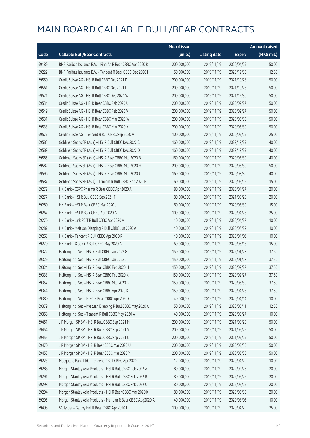|       |                                                              | No. of issue |                     |               | <b>Amount raised</b> |
|-------|--------------------------------------------------------------|--------------|---------------------|---------------|----------------------|
| Code  | <b>Callable Bull/Bear Contracts</b>                          | (units)      | <b>Listing date</b> | <b>Expiry</b> | (HK\$ mil.)          |
| 69189 | BNP Paribas Issuance B.V. - Ping An R Bear CBBC Apr 2020 K   | 200,000,000  | 2019/11/19          | 2020/04/29    | 50.00                |
| 69222 | BNP Paribas Issuance B.V. - Tencent R Bear CBBC Dec 2020 I   | 50,000,000   | 2019/11/19          | 2020/12/30    | 12.50                |
| 69550 | Credit Suisse AG - HSI R Bull CBBC Oct 2021 D                | 200,000,000  | 2019/11/19          | 2021/10/28    | 50.00                |
| 69561 | Credit Suisse AG - HSI R Bull CBBC Oct 2021 F                | 200,000,000  | 2019/11/19          | 2021/10/28    | 50.00                |
| 69571 | Credit Suisse AG - HSI R Bull CBBC Dec 2021 W                | 200,000,000  | 2019/11/19          | 2021/12/30    | 50.00                |
| 69534 | Credit Suisse AG - HSI R Bear CBBC Feb 2020 U                | 200,000,000  | 2019/11/19          | 2020/02/27    | 50.00                |
| 69549 | Credit Suisse AG - HSI R Bear CBBC Feb 2020 V                | 200,000,000  | 2019/11/19          | 2020/02/27    | 50.00                |
| 69531 | Credit Suisse AG - HSI R Bear CBBC Mar 2020 W                | 200,000,000  | 2019/11/19          | 2020/03/30    | 50.00                |
| 69533 | Credit Suisse AG - HSI R Bear CBBC Mar 2020 X                | 200,000,000  | 2019/11/19          | 2020/03/30    | 50.00                |
| 69577 | Credit Suisse AG - Tencent R Bull CBBC Sep 2020 A            | 100,000,000  | 2019/11/19          | 2020/09/29    | 25.00                |
| 69583 | Goldman Sachs SP (Asia) - HSI R Bull CBBC Dec 2022 C         | 160,000,000  | 2019/11/19          | 2022/12/29    | 40.00                |
| 69589 | Goldman Sachs SP (Asia) - HSI R Bull CBBC Dec 2022 D         | 160,000,000  | 2019/11/19          | 2022/12/29    | 40.00                |
| 69585 | Goldman Sachs SP (Asia) - HSI R Bear CBBC Mar 2020 B         | 160,000,000  | 2019/11/19          | 2020/03/30    | 40.00                |
| 69582 | Goldman Sachs SP (Asia) - HSI R Bear CBBC Mar 2020 H         | 200,000,000  | 2019/11/19          | 2020/03/30    | 50.00                |
| 69596 | Goldman Sachs SP (Asia) - HSI R Bear CBBC Mar 2020 J         | 160,000,000  | 2019/11/19          | 2020/03/30    | 40.00                |
| 69587 | Goldman Sachs SP (Asia) - Tencent R Bull CBBC Feb 2020 N     | 60,000,000   | 2019/11/19          | 2020/02/19    | 15.00                |
| 69272 | HK Bank - CSPC Pharma R Bear CBBC Apr 2020 A                 | 80,000,000   | 2019/11/19          | 2020/04/27    | 20.00                |
| 69277 | HK Bank - HSI R Bull CBBC Sep 2021 F                         | 80,000,000   | 2019/11/19          | 2021/09/29    | 20.00                |
| 69280 | HK Bank - HSI R Bear CBBC Mar 2020 J                         | 60,000,000   | 2019/11/19          | 2020/03/30    | 15.00                |
| 69267 | HK Bank - HSI R Bear CBBC Apr 2020 A                         | 100,000,000  | 2019/11/19          | 2020/04/28    | 25.00                |
| 69276 | HK Bank - Link REIT R Bull CBBC Apr 2020 A                   | 40,000,000   | 2019/11/19          | 2020/04/27    | 10.00                |
| 69287 | HK Bank - Meituan Dianping R Bull CBBC Jun 2020 A            | 40,000,000   | 2019/11/19          | 2020/06/22    | 10.00                |
| 69268 | HK Bank - Tencent R Bull CBBC Apr 2020 R                     | 40,000,000   | 2019/11/19          | 2020/04/06    | 10.00                |
| 69270 | HK Bank - Xiaomi R Bull CBBC May 2020 A                      | 60,000,000   | 2019/11/19          | 2020/05/18    | 15.00                |
| 69322 | Haitong Int'l Sec - HSI R Bull CBBC Jan 2022 G               | 150,000,000  | 2019/11/19          | 2022/01/28    | 37.50                |
| 69329 | Haitong Int'l Sec - HSI R Bull CBBC Jan 2022 J               | 150,000,000  | 2019/11/19          | 2022/01/28    | 37.50                |
| 69324 | Haitong Int'l Sec - HSI R Bear CBBC Feb 2020 H               | 150,000,000  | 2019/11/19          | 2020/02/27    | 37.50                |
| 69333 | Haitong Int'l Sec - HSI R Bear CBBC Feb 2020 K               | 150,000,000  | 2019/11/19          | 2020/02/27    | 37.50                |
| 69357 | Haitong Int'l Sec - HSI R Bear CBBC Mar 2020 U               | 150,000,000  | 2019/11/19          | 2020/03/30    | 37.50                |
| 69344 | Haitong Int'l Sec - HSI R Bear CBBC Apr 2020 K               | 150,000,000  | 2019/11/19          | 2020/04/28    | 37.50                |
| 69380 | Haitong Int'l Sec - ICBC R Bear CBBC Apr 2020 C              | 40,000,000   | 2019/11/19          | 2020/04/14    | 10.00                |
| 69379 | Haitong Int'l Sec - Meituan Dianping R Bull CBBC May 2020 A  | 50,000,000   | 2019/11/19          | 2020/05/11    | 12.50                |
| 69358 | Haitong Int'l Sec - Tencent R Bull CBBC May 2020 A           | 40,000,000   | 2019/11/19          | 2020/05/27    | 10.00                |
| 69451 | J P Morgan SP BV - HSI R Bull CBBC Sep 2021 M                | 200,000,000  | 2019/11/19          | 2021/09/29    | 50.00                |
| 69454 | J P Morgan SP BV - HSI R Bull CBBC Sep 2021 S                | 200,000,000  | 2019/11/19          | 2021/09/29    | 50.00                |
| 69455 | J P Morgan SP BV - HSI R Bull CBBC Sep 2021 U                | 200,000,000  | 2019/11/19          | 2021/09/29    | 50.00                |
| 69470 | J P Morgan SP BV - HSI R Bear CBBC Mar 2020 U                | 200,000,000  | 2019/11/19          | 2020/03/30    | 50.00                |
| 69458 | J P Morgan SP BV - HSI R Bear CBBC Mar 2020 Y                | 200,000,000  | 2019/11/19          | 2020/03/30    | 50.00                |
| 69223 | Macquarie Bank Ltd. - Tencent R Bull CBBC Apr 2020 I         | 12,900,000   | 2019/11/19          | 2020/04/29    | 10.02                |
| 69288 | Morgan Stanley Asia Products - HSI R Bull CBBC Feb 2022 A    | 80,000,000   | 2019/11/19          | 2022/02/25    | 20.00                |
| 69291 | Morgan Stanley Asia Products - HSI R Bull CBBC Feb 2022 B    | 80,000,000   | 2019/11/19          | 2022/02/25    | 20.00                |
| 69298 | Morgan Stanley Asia Products - HSI R Bull CBBC Feb 2022 C    | 80,000,000   | 2019/11/19          | 2022/02/25    | 20.00                |
| 69294 | Morgan Stanley Asia Products - HSI R Bear CBBC Mar 2020 K    | 80,000,000   | 2019/11/19          | 2020/03/30    | 20.00                |
| 69295 | Morgan Stanley Asia Products - Meituan R Bear CBBC Aug2020 A | 40,000,000   | 2019/11/19          | 2020/08/03    | 10.00                |
| 69498 | SG Issuer - Galaxy Ent R Bear CBBC Apr 2020 F                | 100,000,000  | 2019/11/19          | 2020/04/29    | 25.00                |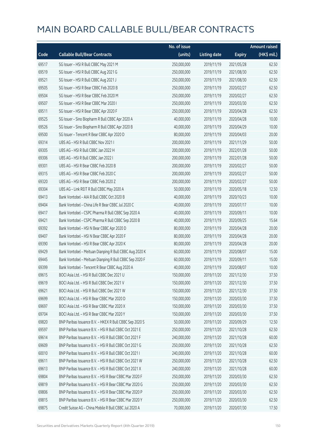|       |                                                         | No. of issue |                     |               | <b>Amount raised</b> |
|-------|---------------------------------------------------------|--------------|---------------------|---------------|----------------------|
| Code  | <b>Callable Bull/Bear Contracts</b>                     | (units)      | <b>Listing date</b> | <b>Expiry</b> | (HK\$ mil.)          |
| 69517 | SG Issuer - HSI R Bull CBBC May 2021 M                  | 250,000,000  | 2019/11/19          | 2021/05/28    | 62.50                |
| 69519 | SG Issuer - HSI R Bull CBBC Aug 2021 G                  | 250,000,000  | 2019/11/19          | 2021/08/30    | 62.50                |
| 69521 | SG Issuer - HSI R Bull CBBC Aug 2021 J                  | 250,000,000  | 2019/11/19          | 2021/08/30    | 62.50                |
| 69505 | SG Issuer - HSI R Bear CBBC Feb 2020 B                  | 250,000,000  | 2019/11/19          | 2020/02/27    | 62.50                |
| 69504 | SG Issuer - HSI R Bear CBBC Feb 2020 M                  | 250,000,000  | 2019/11/19          | 2020/02/27    | 62.50                |
| 69507 | SG Issuer - HSI R Bear CBBC Mar 2020 I                  | 250,000,000  | 2019/11/19          | 2020/03/30    | 62.50                |
| 69511 | SG Issuer - HSI R Bear CBBC Apr 2020 F                  | 250,000,000  | 2019/11/19          | 2020/04/28    | 62.50                |
| 69525 | SG Issuer - Sino Biopharm R Bull CBBC Apr 2020 A        | 40,000,000   | 2019/11/19          | 2020/04/28    | 10.00                |
| 69526 | SG Issuer - Sino Biopharm R Bull CBBC Apr 2020 B        | 40,000,000   | 2019/11/19          | 2020/04/29    | 10.00                |
| 69500 | SG Issuer - Tencent R Bear CBBC Apr 2020 D              | 80,000,000   | 2019/11/19          | 2020/04/03    | 20.00                |
| 69314 | UBS AG - HSI R Bull CBBC Nov 2021 I                     | 200,000,000  | 2019/11/19          | 2021/11/29    | 50.00                |
| 69305 | UBS AG - HSI R Bull CBBC Jan 2022 H                     | 200,000,000  | 2019/11/19          | 2022/01/28    | 50.00                |
| 69306 | UBS AG - HSI R Bull CBBC Jan 2022 I                     | 200,000,000  | 2019/11/19          | 2022/01/28    | 50.00                |
| 69301 | UBS AG - HSI R Bear CBBC Feb 2020 B                     | 200,000,000  | 2019/11/19          | 2020/02/27    | 50.00                |
| 69315 | UBS AG - HSI R Bear CBBC Feb 2020 C                     | 200,000,000  | 2019/11/19          | 2020/02/27    | 50.00                |
| 69320 | UBS AG - HSI R Bear CBBC Feb 2020 Z                     | 200,000,000  | 2019/11/19          | 2020/02/27    | 50.00                |
| 69304 | UBS AG - Link REIT R Bull CBBC May 2020 A               | 50,000,000   | 2019/11/19          | 2020/05/18    | 12.50                |
| 69413 | Bank Vontobel - AIA R Bull CBBC Oct 2020 B              | 40,000,000   | 2019/11/19          | 2020/10/23    | 10.00                |
| 69404 | Bank Vontobel - China Life R Bear CBBC Jul 2020 C       | 40,000,000   | 2019/11/19          | 2020/07/17    | 10.00                |
| 69417 | Bank Vontobel - CSPC Pharma R Bull CBBC Sep 2020 A      | 40,000,000   | 2019/11/19          | 2020/09/11    | 10.00                |
| 69421 | Bank Vontobel - CSPC Pharma R Bull CBBC Sep 2020 B      | 40,000,000   | 2019/11/19          | 2020/09/25    | 15.64                |
| 69392 | Bank Vontobel - HSI N Bear CBBC Apr 2020 D              | 80,000,000   | 2019/11/19          | 2020/04/28    | 20.00                |
| 69407 | Bank Vontobel - HSI N Bear CBBC Apr 2020 F              | 80,000,000   | 2019/11/19          | 2020/04/28    | 20.00                |
| 69390 | Bank Vontobel - HSI R Bear CBBC Apr 2020 K              | 80,000,000   | 2019/11/19          | 2020/04/28    | 20.00                |
| 69429 | Bank Vontobel - Meituan Dianping R Bull CBBC Aug 2020 K | 60,000,000   | 2019/11/19          | 2020/08/07    | 15.00                |
| 69445 | Bank Vontobel - Meituan Dianping R Bull CBBC Sep 2020 F | 60,000,000   | 2019/11/19          | 2020/09/11    | 15.00                |
| 69399 | Bank Vontobel - Tencent R Bear CBBC Aug 2020 A          | 40,000,000   | 2019/11/19          | 2020/08/07    | 10.00                |
| 69615 | BOCLAsia Ltd. - HSLR Bull CBBC Dec 2021 U               | 150,000,000  | 2019/11/20          | 2021/12/30    | 37.50                |
| 69619 | BOCI Asia Ltd. - HSI R Bull CBBC Dec 2021 V             | 150,000,000  | 2019/11/20          | 2021/12/30    | 37.50                |
| 69621 | BOCI Asia Ltd. - HSI R Bull CBBC Dec 2021 W             | 150,000,000  | 2019/11/20          | 2021/12/30    | 37.50                |
| 69699 | BOCI Asia Ltd. - HSI R Bear CBBC Mar 2020 D             | 150,000,000  | 2019/11/20          | 2020/03/30    | 37.50                |
| 69697 | BOCI Asia Ltd. - HSI R Bear CBBC Mar 2020 X             | 150,000,000  | 2019/11/20          | 2020/03/30    | 37.50                |
| 69704 | BOCI Asia Ltd. - HSI R Bear CBBC Mar 2020 Y             | 150,000,000  | 2019/11/20          | 2020/03/30    | 37.50                |
| 69820 | BNP Paribas Issuance B.V. - HKEX R Bull CBBC Sep 2020 S | 50,000,000   | 2019/11/20          | 2020/09/29    | 12.50                |
| 69597 | BNP Paribas Issuance B.V. - HSI R Bull CBBC Oct 2021 E  | 250,000,000  | 2019/11/20          | 2021/10/28    | 62.50                |
| 69614 | BNP Paribas Issuance B.V. - HSI R Bull CBBC Oct 2021 F  | 240,000,000  | 2019/11/20          | 2021/10/28    | 60.00                |
| 69609 | BNP Paribas Issuance B.V. - HSI R Bull CBBC Oct 2021 G  | 250,000,000  | 2019/11/20          | 2021/10/28    | 62.50                |
| 60010 | BNP Paribas Issuance B.V. - HSI R Bull CBBC Oct 2021 I  | 240,000,000  | 2019/11/20          | 2021/10/28    | 60.00                |
| 69611 | BNP Paribas Issuance B.V. - HSI R Bull CBBC Oct 2021 W  | 250,000,000  | 2019/11/20          | 2021/10/28    | 62.50                |
| 69613 | BNP Paribas Issuance B.V. - HSI R Bull CBBC Oct 2021 X  | 240,000,000  | 2019/11/20          | 2021/10/28    | 60.00                |
| 69804 | BNP Paribas Issuance B.V. - HSI R Bear CBBC Mar 2020 F  | 250,000,000  | 2019/11/20          | 2020/03/30    | 62.50                |
| 69819 | BNP Paribas Issuance B.V. - HSI R Bear CBBC Mar 2020 G  | 250,000,000  | 2019/11/20          | 2020/03/30    | 62.50                |
| 69806 | BNP Paribas Issuance B.V. - HSI R Bear CBBC Mar 2020 P  | 250,000,000  | 2019/11/20          | 2020/03/30    | 62.50                |
| 69815 | BNP Paribas Issuance B.V. - HSI R Bear CBBC Mar 2020 Y  | 250,000,000  | 2019/11/20          | 2020/03/30    | 62.50                |
| 69875 | Credit Suisse AG - China Mobile R Bull CBBC Jul 2020 A  | 70,000,000   | 2019/11/20          | 2020/07/30    | 17.50                |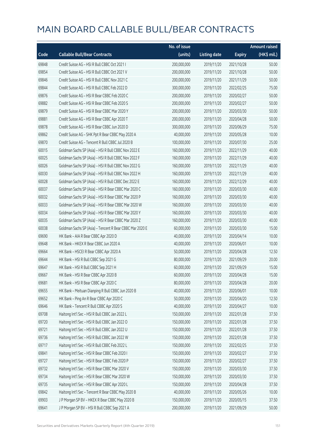|       |                                                          | No. of issue |                     |               | <b>Amount raised</b> |
|-------|----------------------------------------------------------|--------------|---------------------|---------------|----------------------|
| Code  | <b>Callable Bull/Bear Contracts</b>                      | (units)      | <b>Listing date</b> | <b>Expiry</b> | (HK\$ mil.)          |
| 69848 | Credit Suisse AG - HSI R Bull CBBC Oct 2021 I            | 200,000,000  | 2019/11/20          | 2021/10/28    | 50.00                |
| 69854 | Credit Suisse AG - HSI R Bull CBBC Oct 2021 V            | 200,000,000  | 2019/11/20          | 2021/10/28    | 50.00                |
| 69846 | Credit Suisse AG - HSI R Bull CBBC Nov 2021 C            | 200,000,000  | 2019/11/20          | 2021/11/29    | 50.00                |
| 69844 | Credit Suisse AG - HSI R Bull CBBC Feb 2022 D            | 300,000,000  | 2019/11/20          | 2022/02/25    | 75.00                |
| 69876 | Credit Suisse AG - HSI R Bear CBBC Feb 2020 C            | 200,000,000  | 2019/11/20          | 2020/02/27    | 50.00                |
| 69882 | Credit Suisse AG - HSI R Bear CBBC Feb 2020 S            | 200,000,000  | 2019/11/20          | 2020/02/27    | 50.00                |
| 69879 | Credit Suisse AG - HSI R Bear CBBC Mar 2020 Y            | 200,000,000  | 2019/11/20          | 2020/03/30    | 50.00                |
| 69881 | Credit Suisse AG - HSI R Bear CBBC Apr 2020 T            | 200,000,000  | 2019/11/20          | 2020/04/28    | 50.00                |
| 69878 | Credit Suisse AG - HSI R Bear CBBC Jun 2020 D            | 300,000,000  | 2019/11/20          | 2020/06/29    | 75.00                |
| 69862 | Credit Suisse AG - SHK Ppt R Bear CBBC May 2020 A        | 40,000,000   | 2019/11/20          | 2020/05/28    | 10.00                |
| 69870 | Credit Suisse AG - Tencent R Bull CBBC Jul 2020 B        | 100,000,000  | 2019/11/20          | 2020/07/30    | 25.00                |
| 60015 | Goldman Sachs SP (Asia) - HSI R Bull CBBC Nov 2022 E     | 160,000,000  | 2019/11/20          | 2022/11/29    | 40.00                |
| 60025 | Goldman Sachs SP (Asia) - HSI R Bull CBBC Nov 2022 F     | 160,000,000  | 2019/11/20          | 2022/11/29    | 40.00                |
| 60026 | Goldman Sachs SP (Asia) - HSI R Bull CBBC Nov 2022 G     | 160,000,000  | 2019/11/20          | 2022/11/29    | 40.00                |
| 60030 | Goldman Sachs SP (Asia) - HSI R Bull CBBC Nov 2022 H     | 160,000,000  | 2019/11/20          | 2022/11/29    | 40.00                |
| 60028 | Goldman Sachs SP (Asia) - HSI R Bull CBBC Dec 2022 E     | 160,000,000  | 2019/11/20          | 2022/12/29    | 40.00                |
| 60037 | Goldman Sachs SP (Asia) - HSI R Bear CBBC Mar 2020 C     | 160,000,000  | 2019/11/20          | 2020/03/30    | 40.00                |
| 60032 | Goldman Sachs SP (Asia) - HSI R Bear CBBC Mar 2020 P     | 160,000,000  | 2019/11/20          | 2020/03/30    | 40.00                |
| 60033 | Goldman Sachs SP (Asia) - HSI R Bear CBBC Mar 2020 W     | 160,000,000  | 2019/11/20          | 2020/03/30    | 40.00                |
| 60034 | Goldman Sachs SP (Asia) - HSI R Bear CBBC Mar 2020 Y     | 160,000,000  | 2019/11/20          | 2020/03/30    | 40.00                |
| 60035 | Goldman Sachs SP (Asia) - HSI R Bear CBBC Mar 2020 Z     | 160,000,000  | 2019/11/20          | 2020/03/30    | 40.00                |
| 60038 | Goldman Sachs SP (Asia) - Tencent R Bear CBBC Mar 2020 E | 60,000,000   | 2019/11/20          | 2020/03/30    | 15.00                |
| 69690 | HK Bank - AIA R Bear CBBC Apr 2020 D                     | 40,000,000   | 2019/11/20          | 2020/04/14    | 10.00                |
| 69648 | HK Bank - HKEX R Bear CBBC Jun 2020 A                    | 40,000,000   | 2019/11/20          | 2020/06/01    | 10.00                |
| 69664 | HK Bank - HSCEI R Bear CBBC Apr 2020 A                   | 50,000,000   | 2019/11/20          | 2020/04/28    | 12.50                |
| 69644 | HK Bank - HSI R Bull CBBC Sep 2021 G                     | 80,000,000   | 2019/11/20          | 2021/09/29    | 20.00                |
| 69647 | HK Bank - HSI R Bull CBBC Sep 2021 H                     | 60,000,000   | 2019/11/20          | 2021/09/29    | 15.00                |
| 69667 | HK Bank - HSI R Bear CBBC Apr 2020 B                     | 60,000,000   | 2019/11/20          | 2020/04/28    | 15.00                |
| 69681 | HK Bank - HSI R Bear CBBC Apr 2020 C                     | 80,000,000   | 2019/11/20          | 2020/04/28    | 20.00                |
| 69655 | HK Bank - Meituan Dianping R Bull CBBC Jun 2020 B        | 40,000,000   | 2019/11/20          | 2020/06/01    | 10.00                |
| 69652 | HK Bank - Ping An R Bear CBBC Apr 2020 C                 | 50,000,000   | 2019/11/20          | 2020/04/20    | 12.50                |
| 69646 | HK Bank - Tencent R Bull CBBC Apr 2020 S                 | 40,000,000   | 2019/11/20          | 2020/04/27    | 10.00                |
| 69708 | Haitong Int'l Sec - HSI R Bull CBBC Jan 2022 L           | 150,000,000  | 2019/11/20          | 2022/01/28    | 37.50                |
| 69720 | Haitong Int'l Sec - HSI R Bull CBBC Jan 2022 O           | 150,000,000  | 2019/11/20          | 2022/01/28    | 37.50                |
| 69721 | Haitong Int'l Sec - HSI R Bull CBBC Jan 2022 U           | 150,000,000  | 2019/11/20          | 2022/01/28    | 37.50                |
| 69736 | Haitong Int'l Sec - HSI R Bull CBBC Jan 2022 W           | 150,000,000  | 2019/11/20          | 2022/01/28    | 37.50                |
| 69717 | Haitong Int'l Sec - HSI R Bull CBBC Feb 2022 L           | 150,000,000  | 2019/11/20          | 2022/02/25    | 37.50                |
| 69841 | Haitong Int'l Sec - HSI R Bear CBBC Feb 2020 I           | 150,000,000  | 2019/11/20          | 2020/02/27    | 37.50                |
| 69727 | Haitong Int'l Sec - HSI R Bear CBBC Feb 2020 P           | 150,000,000  | 2019/11/20          | 2020/02/27    | 37.50                |
| 69732 | Haitong Int'l Sec - HSI R Bear CBBC Mar 2020 V           | 150,000,000  | 2019/11/20          | 2020/03/30    | 37.50                |
| 69734 | Haitong Int'l Sec - HSI R Bear CBBC Mar 2020 W           | 150,000,000  | 2019/11/20          | 2020/03/30    | 37.50                |
| 69735 | Haitong Int'l Sec - HSI R Bear CBBC Apr 2020 L           | 150,000,000  | 2019/11/20          | 2020/04/28    | 37.50                |
| 69842 | Haitong Int'l Sec - Tencent R Bear CBBC May 2020 B       | 40,000,000   | 2019/11/20          | 2020/05/26    | 10.00                |
| 69903 | J P Morgan SP BV - HKEX R Bear CBBC May 2020 B           | 150,000,000  | 2019/11/20          | 2020/05/15    | 37.50                |
| 69641 | J P Morgan SP BV - HSI R Bull CBBC Sep 2021 A            | 200,000,000  | 2019/11/20          | 2021/09/29    | 50.00                |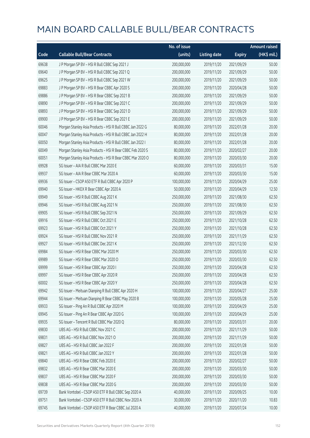|       |                                                           | No. of issue |                     |               | <b>Amount raised</b> |
|-------|-----------------------------------------------------------|--------------|---------------------|---------------|----------------------|
| Code  | <b>Callable Bull/Bear Contracts</b>                       | (units)      | <b>Listing date</b> | <b>Expiry</b> | (HK\$ mil.)          |
| 69638 | J P Morgan SP BV - HSI R Bull CBBC Sep 2021 J             | 200,000,000  | 2019/11/20          | 2021/09/29    | 50.00                |
| 69640 | J P Morgan SP BV - HSI R Bull CBBC Sep 2021 Q             | 200,000,000  | 2019/11/20          | 2021/09/29    | 50.00                |
| 69625 | J P Morgan SP BV - HSI R Bull CBBC Sep 2021 W             | 200,000,000  | 2019/11/20          | 2021/09/29    | 50.00                |
| 69883 | J P Morgan SP BV - HSI R Bear CBBC Apr 2020 S             | 200,000,000  | 2019/11/20          | 2020/04/28    | 50.00                |
| 69886 | J P Morgan SP BV - HSI R Bear CBBC Sep 2021 B             | 200,000,000  | 2019/11/20          | 2021/09/29    | 50.00                |
| 69890 | J P Morgan SP BV - HSI R Bear CBBC Sep 2021 C             | 200,000,000  | 2019/11/20          | 2021/09/29    | 50.00                |
| 69893 | J P Morgan SP BV - HSI R Bear CBBC Sep 2021 D             | 200,000,000  | 2019/11/20          | 2021/09/29    | 50.00                |
| 69900 | J P Morgan SP BV - HSI R Bear CBBC Sep 2021 E             | 200,000,000  | 2019/11/20          | 2021/09/29    | 50.00                |
| 60046 | Morgan Stanley Asia Products - HSI R Bull CBBC Jan 2022 G | 80,000,000   | 2019/11/20          | 2022/01/28    | 20.00                |
| 60047 | Morgan Stanley Asia Products - HSI R Bull CBBC Jan 2022 H | 80,000,000   | 2019/11/20          | 2022/01/28    | 20.00                |
| 60050 | Morgan Stanley Asia Products - HSI R Bull CBBC Jan 2022 I | 80,000,000   | 2019/11/20          | 2022/01/28    | 20.00                |
| 60049 | Morgan Stanley Asia Products - HSI R Bear CBBC Feb 2020 S | 80,000,000   | 2019/11/20          | 2020/02/27    | 20.00                |
| 60051 | Morgan Stanley Asia Products - HSI R Bear CBBC Mar 2020 O | 80,000,000   | 2019/11/20          | 2020/03/30    | 20.00                |
| 69928 | SG Issuer - AIA R Bull CBBC Mar 2020 E                    | 60,000,000   | 2019/11/20          | 2020/03/31    | 15.00                |
| 69937 | SG Issuer - AIA R Bear CBBC Mar 2020 A                    | 60,000,000   | 2019/11/20          | 2020/03/30    | 15.00                |
| 69936 | SG Issuer - CSOP A50 ETF R Bull CBBC Apr 2020 P           | 100,000,000  | 2019/11/20          | 2020/04/29    | 25.00                |
| 69940 | SG Issuer - HKEX R Bear CBBC Apr 2020 A                   | 50,000,000   | 2019/11/20          | 2020/04/29    | 12.50                |
| 69949 | SG Issuer - HSI R Bull CBBC Aug 2021 K                    | 250,000,000  | 2019/11/20          | 2021/08/30    | 62.50                |
| 69946 | SG Issuer - HSI R Bull CBBC Aug 2021 N                    | 250,000,000  | 2019/11/20          | 2021/08/30    | 62.50                |
| 69905 | SG Issuer - HSI R Bull CBBC Sep 2021 N                    | 250,000,000  | 2019/11/20          | 2021/09/29    | 62.50                |
| 69916 | SG Issuer - HSI R Bull CBBC Oct 2021 E                    | 250,000,000  | 2019/11/20          | 2021/10/28    | 62.50                |
| 69923 | SG Issuer - HSI R Bull CBBC Oct 2021 Y                    | 250,000,000  | 2019/11/20          | 2021/10/28    | 62.50                |
| 69924 | SG Issuer - HSI R Bull CBBC Nov 2021 R                    | 250,000,000  | 2019/11/20          | 2021/11/29    | 62.50                |
| 69927 | SG Issuer - HSI R Bull CBBC Dec 2021 K                    | 250,000,000  | 2019/11/20          | 2021/12/30    | 62.50                |
| 69984 | SG Issuer - HSI R Bear CBBC Mar 2020 M                    | 250,000,000  | 2019/11/20          | 2020/03/30    | 62.50                |
| 69989 | SG Issuer - HSI R Bear CBBC Mar 2020 O                    | 250,000,000  | 2019/11/20          | 2020/03/30    | 62.50                |
| 69999 | SG Issuer - HSI R Bear CBBC Apr 2020 I                    | 250,000,000  | 2019/11/20          | 2020/04/28    | 62.50                |
| 69997 | SG Issuer - HSI R Bear CBBC Apr 2020 R                    | 250,000,000  | 2019/11/20          | 2020/04/28    | 62.50                |
| 60002 | SG Issuer - HSI R Bear CBBC Apr 2020 Y                    | 250,000,000  | 2019/11/20          | 2020/04/28    | 62.50                |
| 69942 | SG Issuer - Meituan Dianping R Bull CBBC Apr 2020 H       | 100,000,000  | 2019/11/20          | 2020/04/27    | 25.00                |
| 69944 | SG Issuer - Meituan Dianping R Bear CBBC May 2020 B       | 100,000,000  | 2019/11/20          | 2020/05/28    | 25.00                |
| 69933 | SG Issuer - Ping An R Bull CBBC Apr 2020 M                | 100,000,000  | 2019/11/20          | 2020/04/29    | 25.00                |
| 69945 | SG Issuer - Ping An R Bear CBBC Apr 2020 G                | 100,000,000  | 2019/11/20          | 2020/04/29    | 25.00                |
| 69935 | SG Issuer - Tencent R Bull CBBC Mar 2020 Q                | 80,000,000   | 2019/11/20          | 2020/03/31    | 20.00                |
| 69830 | UBS AG - HSI R Bull CBBC Nov 2021 C                       | 200,000,000  | 2019/11/20          | 2021/11/29    | 50.00                |
| 69831 | UBS AG - HSI R Bull CBBC Nov 2021 O                       | 200,000,000  | 2019/11/20          | 2021/11/29    | 50.00                |
| 69827 | UBS AG - HSI R Bull CBBC Jan 2022 F                       | 200,000,000  | 2019/11/20          | 2022/01/28    | 50.00                |
| 69821 | UBS AG - HSI R Bull CBBC Jan 2022 Y                       | 200,000,000  | 2019/11/20          | 2022/01/28    | 50.00                |
| 69840 | UBS AG - HSI R Bear CBBC Feb 2020 E                       | 200,000,000  | 2019/11/20          | 2020/02/27    | 50.00                |
| 69832 | UBS AG - HSI R Bear CBBC Mar 2020 E                       | 200,000,000  | 2019/11/20          | 2020/03/30    | 50.00                |
| 69837 | UBS AG - HSI R Bear CBBC Mar 2020 F                       | 200,000,000  | 2019/11/20          | 2020/03/30    | 50.00                |
| 69838 | UBS AG - HSI R Bear CBBC Mar 2020 G                       | 200,000,000  | 2019/11/20          | 2020/03/30    | 50.00                |
| 69739 | Bank Vontobel - CSOP A50 ETF R Bull CBBC Sep 2020 A       | 40,000,000   | 2019/11/20          | 2020/09/25    | 10.00                |
| 69751 | Bank Vontobel - CSOP A50 ETF R Bull CBBC Nov 2020 A       | 30,000,000   | 2019/11/20          | 2020/11/20    | 10.83                |
| 69745 | Bank Vontobel - CSOP A50 ETF R Bear CBBC Jul 2020 A       | 40,000,000   | 2019/11/20          | 2020/07/24    | 10.00                |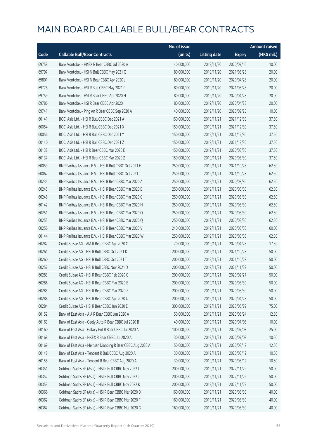|       |                                                             | No. of issue |                     |               | <b>Amount raised</b> |
|-------|-------------------------------------------------------------|--------------|---------------------|---------------|----------------------|
| Code  | <b>Callable Bull/Bear Contracts</b>                         | (units)      | <b>Listing date</b> | <b>Expiry</b> | (HK\$ mil.)          |
| 69758 | Bank Vontobel - HKEX R Bear CBBC Jul 2020 A                 | 40,000,000   | 2019/11/20          | 2020/07/10    | 10.00                |
| 69797 | Bank Vontobel - HSI N Bull CBBC May 2021 Q                  | 80,000,000   | 2019/11/20          | 2021/05/28    | 20.00                |
| 69801 | Bank Vontobel - HSI N Bear CBBC Apr 2020 J                  | 80,000,000   | 2019/11/20          | 2020/04/28    | 20.00                |
| 69778 | Bank Vontobel - HSI R Bull CBBC May 2021 P                  | 80,000,000   | 2019/11/20          | 2021/05/28    | 20.00                |
| 69759 | Bank Vontobel - HSI R Bear CBBC Apr 2020 H                  | 80,000,000   | 2019/11/20          | 2020/04/28    | 20.00                |
| 69786 | Bank Vontobel - HSI R Bear CBBC Apr 2020 I                  | 80,000,000   | 2019/11/20          | 2020/04/28    | 20.00                |
| 69741 | Bank Vontobel - Ping An R Bear CBBC Sep 2020 A              | 40,000,000   | 2019/11/20          | 2020/09/25    | 10.00                |
| 60141 | BOCI Asia Ltd. - HSI R Bull CBBC Dec 2021 A                 | 150,000,000  | 2019/11/21          | 2021/12/30    | 37.50                |
| 60054 | BOCI Asia Ltd. - HSI R Bull CBBC Dec 2021 X                 | 150,000,000  | 2019/11/21          | 2021/12/30    | 37.50                |
| 60056 | BOCI Asia Ltd. - HSI R Bull CBBC Dec 2021 Y                 | 150,000,000  | 2019/11/21          | 2021/12/30    | 37.50                |
| 60140 | BOCI Asia Ltd. - HSI R Bull CBBC Dec 2021 Z                 | 150,000,000  | 2019/11/21          | 2021/12/30    | 37.50                |
| 60138 | BOCI Asia Ltd. - HSI R Bear CBBC Mar 2020 E                 | 150,000,000  | 2019/11/21          | 2020/03/30    | 37.50                |
| 60137 | BOCI Asia Ltd. - HSI R Bear CBBC Mar 2020 Z                 | 150,000,000  | 2019/11/21          | 2020/03/30    | 37.50                |
| 60059 | BNP Paribas Issuance B.V. - HSI R Bull CBBC Oct 2021 H      | 250,000,000  | 2019/11/21          | 2021/10/28    | 62.50                |
| 60062 | BNP Paribas Issuance B.V. - HSI R Bull CBBC Oct 2021 J      | 250,000,000  | 2019/11/21          | 2021/10/28    | 62.50                |
| 60235 | BNP Paribas Issuance B.V. - HSI R Bear CBBC Mar 2020 A      | 250,000,000  | 2019/11/21          | 2020/03/30    | 62.50                |
| 60245 | BNP Paribas Issuance B.V. - HSI R Bear CBBC Mar 2020 B      | 250,000,000  | 2019/11/21          | 2020/03/30    | 62.50                |
| 60248 | BNP Paribas Issuance B.V. - HSI R Bear CBBC Mar 2020 C      | 250,000,000  | 2019/11/21          | 2020/03/30    | 62.50                |
| 60142 | BNP Paribas Issuance B.V. - HSI R Bear CBBC Mar 2020 H      | 250,000,000  | 2019/11/21          | 2020/03/30    | 62.50                |
| 60251 | BNP Paribas Issuance B.V. - HSI R Bear CBBC Mar 2020 O      | 250,000,000  | 2019/11/21          | 2020/03/30    | 62.50                |
| 60255 | BNP Paribas Issuance B.V. - HSI R Bear CBBC Mar 2020 Q      | 250,000,000  | 2019/11/21          | 2020/03/30    | 62.50                |
| 60256 | BNP Paribas Issuance B.V. - HSI R Bear CBBC Mar 2020 V      | 240,000,000  | 2019/11/21          | 2020/03/30    | 60.00                |
| 60144 | BNP Paribas Issuance B.V. - HSI R Bear CBBC Mar 2020 W      | 250,000,000  | 2019/11/21          | 2020/03/30    | 62.50                |
| 60282 | Credit Suisse AG - AIA R Bear CBBC Apr 2020 C               | 70,000,000   | 2019/11/21          | 2020/04/28    | 17.50                |
| 60261 | Credit Suisse AG - HSI R Bull CBBC Oct 2021 K               | 200,000,000  | 2019/11/21          | 2021/10/28    | 50.00                |
| 60260 | Credit Suisse AG - HSI R Bull CBBC Oct 2021 T               | 200,000,000  | 2019/11/21          | 2021/10/28    | 50.00                |
| 60257 | Credit Suisse AG - HSI R Bull CBBC Nov 2021 D               | 200,000,000  | 2019/11/21          | 2021/11/29    | 50.00                |
| 60283 | Credit Suisse AG - HSI R Bear CBBC Feb 2020 G               | 200,000,000  | 2019/11/21          | 2020/02/27    | 50.00                |
| 60286 | Credit Suisse AG - HSI R Bear CBBC Mar 2020 B               | 200,000,000  | 2019/11/21          | 2020/03/30    | 50.00                |
| 60285 | Credit Suisse AG - HSI R Bear CBBC Mar 2020 Z               | 200,000,000  | 2019/11/21          | 2020/03/30    | 50.00                |
| 60288 | Credit Suisse AG - HSI R Bear CBBC Apr 2020 U               | 200,000,000  | 2019/11/21          | 2020/04/28    | 50.00                |
| 60284 | Credit Suisse AG - HSI R Bear CBBC Jun 2020 E               | 300,000,000  | 2019/11/21          | 2020/06/29    | 75.00                |
| 60152 | Bank of East Asia - AIA R Bear CBBC Jun 2020 A              | 50,000,000   | 2019/11/21          | 2020/06/24    | 12.50                |
| 60163 | Bank of East Asia - Geely Auto R Bear CBBC Jul 2020 B       | 40,000,000   | 2019/11/21          | 2020/07/03    | 10.00                |
| 60160 | Bank of East Asia - Galaxy Ent R Bear CBBC Jul 2020 A       | 100,000,000  | 2019/11/21          | 2020/07/03    | 25.00                |
| 60168 | Bank of East Asia - HKEX R Bear CBBC Jul 2020 A             | 30,000,000   | 2019/11/21          | 2020/07/03    | 10.50                |
| 60169 | Bank of East Asia - Meituan Dianping R Bear CBBC Aug 2020 A | 50,000,000   | 2019/11/21          | 2020/08/12    | 12.50                |
| 60148 | Bank of East Asia - Tencent R Bull CBBC Aug 2020 A          | 30,000,000   | 2019/11/21          | 2020/08/12    | 10.50                |
| 60158 | Bank of East Asia - Tencent R Bear CBBC Aug 2020 A          | 30,000,000   | 2019/11/21          | 2020/08/12    | 10.50                |
| 60351 | Goldman Sachs SP (Asia) - HSI R Bull CBBC Nov 2022 I        | 200,000,000  | 2019/11/21          | 2022/11/29    | 50.00                |
| 60352 | Goldman Sachs SP (Asia) - HSI R Bull CBBC Nov 2022 J        | 200,000,000  | 2019/11/21          | 2022/11/29    | 50.00                |
| 60353 | Goldman Sachs SP (Asia) - HSI R Bull CBBC Nov 2022 K        | 200,000,000  | 2019/11/21          | 2022/11/29    | 50.00                |
| 60366 | Goldman Sachs SP (Asia) - HSI R Bear CBBC Mar 2020 D        | 160,000,000  | 2019/11/21          | 2020/03/30    | 40.00                |
| 60362 | Goldman Sachs SP (Asia) - HSI R Bear CBBC Mar 2020 F        | 160,000,000  | 2019/11/21          | 2020/03/30    | 40.00                |
| 60367 | Goldman Sachs SP (Asia) - HSI R Bear CBBC Mar 2020 G        | 160,000,000  | 2019/11/21          | 2020/03/30    | 40.00                |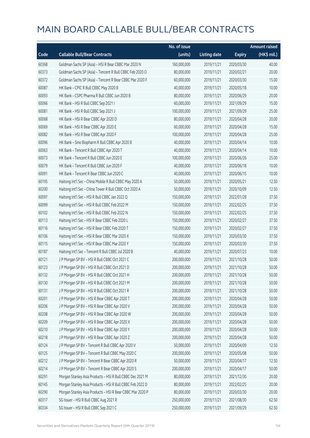|       |                                                           | No. of issue |                     |               | <b>Amount raised</b> |
|-------|-----------------------------------------------------------|--------------|---------------------|---------------|----------------------|
| Code  | <b>Callable Bull/Bear Contracts</b>                       | (units)      | <b>Listing date</b> | <b>Expiry</b> | (HK\$ mil.)          |
| 60368 | Goldman Sachs SP (Asia) - HSI R Bear CBBC Mar 2020 N      | 160,000,000  | 2019/11/21          | 2020/03/30    | 40.00                |
| 60373 | Goldman Sachs SP (Asia) - Tencent R Bull CBBC Feb 2020 O  | 80,000,000   | 2019/11/21          | 2020/02/21    | 20.00                |
| 60372 | Goldman Sachs SP (Asia) - Tencent R Bear CBBC Mar 2020 F  | 60,000,000   | 2019/11/21          | 2020/03/30    | 15.00                |
| 60087 | HK Bank - CPIC R Bull CBBC May 2020 B                     | 40,000,000   | 2019/11/21          | 2020/05/18    | 10.00                |
| 60093 | HK Bank - CSPC Pharma R Bull CBBC Jun 2020 B              | 80,000,000   | 2019/11/21          | 2020/06/29    | 20.00                |
| 60066 | HK Bank - HSI R Bull CBBC Sep 2021 I                      | 60,000,000   | 2019/11/21          | 2021/09/29    | 15.00                |
| 60081 | HK Bank - HSI R Bull CBBC Sep 2021 J                      | 100,000,000  | 2019/11/21          | 2021/09/29    | 25.00                |
| 60068 | HK Bank - HSI R Bear CBBC Apr 2020 D                      | 80,000,000   | 2019/11/21          | 2020/04/28    | 20.00                |
| 60069 | HK Bank - HSI R Bear CBBC Apr 2020 E                      | 60,000,000   | 2019/11/21          | 2020/04/28    | 15.00                |
| 60082 | HK Bank - HSI R Bear CBBC Apr 2020 F                      | 100,000,000  | 2019/11/21          | 2020/04/28    | 25.00                |
| 60096 | HK Bank - Sino Biopharm R Bull CBBC Apr 2020 B            | 40,000,000   | 2019/11/21          | 2020/04/14    | 10.00                |
| 60063 | HK Bank - Tencent R Bull CBBC Apr 2020 T                  | 40,000,000   | 2019/11/21          | 2020/04/14    | 10.00                |
| 60073 | HK Bank - Tencent R Bull CBBC Jun 2020 E                  | 100,000,000  | 2019/11/21          | 2020/06/26    | 25.00                |
| 60079 | HK Bank - Tencent R Bull CBBC Jun 2020 F                  | 40,000,000   | 2019/11/21          | 2020/06/18    | 10.00                |
| 60091 | HK Bank - Tencent R Bear CBBC Jun 2020 C                  | 40,000,000   | 2019/11/21          | 2020/06/15    | 10.00                |
| 60195 | Haitong Int'l Sec - China Mobile R Bull CBBC May 2020 A   | 50,000,000   | 2019/11/21          | 2020/05/21    | 12.50                |
| 60200 | Haitong Int'l Sec - China Tower R Bull CBBC Oct 2020 A    | 50,000,000   | 2019/11/21          | 2020/10/09    | 12.50                |
| 60097 | Haitong Int'l Sec - HSI R Bull CBBC Jan 2022 Q            | 150,000,000  | 2019/11/21          | 2022/01/28    | 37.50                |
| 60099 | Haitong Int'l Sec - HSI R Bull CBBC Feb 2022 M            | 150,000,000  | 2019/11/21          | 2022/02/25    | 37.50                |
| 60102 | Haitong Int'l Sec - HSI R Bull CBBC Feb 2022 N            | 150,000,000  | 2019/11/21          | 2022/02/25    | 37.50                |
| 60113 | Haitong Int'l Sec - HSI R Bear CBBC Feb 2020 L            | 150,000,000  | 2019/11/21          | 2020/02/27    | 37.50                |
| 60116 | Haitong Int'l Sec - HSI R Bear CBBC Feb 2020 T            | 150,000,000  | 2019/11/21          | 2020/02/27    | 37.50                |
| 60106 | Haitong Int'l Sec - HSI R Bear CBBC Mar 2020 X            | 150,000,000  | 2019/11/21          | 2020/03/30    | 37.50                |
| 60115 | Haitong Int'l Sec - HSI R Bear CBBC Mar 2020 Y            | 150,000,000  | 2019/11/21          | 2020/03/30    | 37.50                |
| 60187 | Haitong Int'l Sec - Tencent R Bull CBBC Jul 2020 B        | 40,000,000   | 2019/11/21          | 2020/07/23    | 10.00                |
| 60121 | J P Morgan SP BV - HSI R Bull CBBC Oct 2021 C             | 200,000,000  | 2019/11/21          | 2021/10/28    | 50.00                |
| 60123 | J P Morgan SP BV - HSI R Bull CBBC Oct 2021 D             | 200,000,000  | 2019/11/21          | 2021/10/28    | 50.00                |
| 60132 | J P Morgan SP BV - HSI R Bull CBBC Oct 2021 H             | 200,000,000  | 2019/11/21          | 2021/10/28    | 50.00                |
| 60130 | J P Morgan SP BV - HSI R Bull CBBC Oct 2021 M             | 200,000,000  | 2019/11/21          | 2021/10/28    | 50.00                |
| 60131 | J P Morgan SP BV - HSI R Bull CBBC Oct 2021 R             | 200,000,000  | 2019/11/21          | 2021/10/28    | 50.00                |
| 60201 | J P Morgan SP BV - HSI R Bear CBBC Apr 2020 T             | 200,000,000  | 2019/11/21          | 2020/04/28    | 50.00                |
| 60206 | J P Morgan SP BV - HSI R Bear CBBC Apr 2020 V             | 200,000,000  | 2019/11/21          | 2020/04/28    | 50.00                |
| 60208 | J P Morgan SP BV - HSI R Bear CBBC Apr 2020 W             | 200,000,000  | 2019/11/21          | 2020/04/28    | 50.00                |
| 60209 | J P Morgan SP BV - HSI R Bear CBBC Apr 2020 X             | 200,000,000  | 2019/11/21          | 2020/04/28    | 50.00                |
| 60210 | J P Morgan SP BV - HSI R Bear CBBC Apr 2020 Y             | 200,000,000  | 2019/11/21          | 2020/04/28    | 50.00                |
| 60218 | J P Morgan SP BV - HSI R Bear CBBC Apr 2020 Z             | 200,000,000  | 2019/11/21          | 2020/04/28    | 50.00                |
| 60124 | J P Morgan SP BV - Tencent R Bull CBBC Apr 2020 V         | 50,000,000   | 2019/11/21          | 2020/04/09    | 12.50                |
| 60125 | J P Morgan SP BV - Tencent R Bull CBBC May 2020 C         | 200,000,000  | 2019/11/21          | 2020/05/08    | 50.00                |
| 60212 | J P Morgan SP BV - Tencent R Bear CBBC Apr 2020 R         | 50,000,000   | 2019/11/21          | 2020/04/17    | 12.50                |
| 60214 | J P Morgan SP BV - Tencent R Bear CBBC Apr 2020 S         | 200,000,000  | 2019/11/21          | 2020/04/17    | 50.00                |
| 60291 | Morgan Stanley Asia Products - HSI R Bull CBBC Dec 2021 M | 80,000,000   | 2019/11/21          | 2021/12/30    | 20.00                |
| 60145 | Morgan Stanley Asia Products - HSI R Bull CBBC Feb 2022 D | 80,000,000   | 2019/11/21          | 2022/02/25    | 20.00                |
| 60290 | Morgan Stanley Asia Products - HSI R Bear CBBC Mar 2020 P | 80,000,000   | 2019/11/21          | 2020/03/30    | 20.00                |
| 60317 | SG Issuer - HSI R Bull CBBC Aug 2021 R                    | 250,000,000  | 2019/11/21          | 2021/08/30    | 62.50                |
| 60334 | SG Issuer - HSI R Bull CBBC Sep 2021 C                    | 250,000,000  | 2019/11/21          | 2021/09/29    | 62.50                |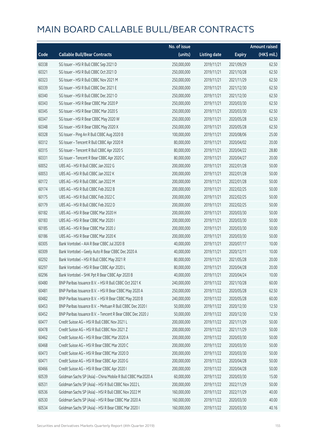|       |                                                              | No. of issue |                     |               | <b>Amount raised</b> |
|-------|--------------------------------------------------------------|--------------|---------------------|---------------|----------------------|
| Code  | <b>Callable Bull/Bear Contracts</b>                          | (units)      | <b>Listing date</b> | <b>Expiry</b> | (HK\$ mil.)          |
| 60338 | SG Issuer - HSI R Bull CBBC Sep 2021 D                       | 250,000,000  | 2019/11/21          | 2021/09/29    | 62.50                |
| 60321 | SG Issuer - HSI R Bull CBBC Oct 2021 D                       | 250,000,000  | 2019/11/21          | 2021/10/28    | 62.50                |
| 60323 | SG Issuer - HSI R Bull CBBC Nov 2021 M                       | 250,000,000  | 2019/11/21          | 2021/11/29    | 62.50                |
| 60339 | SG Issuer - HSI R Bull CBBC Dec 2021 E                       | 250,000,000  | 2019/11/21          | 2021/12/30    | 62.50                |
| 60340 | SG Issuer - HSI R Bull CBBC Dec 2021 O                       | 250,000,000  | 2019/11/21          | 2021/12/30    | 62.50                |
| 60343 | SG Issuer - HSI R Bear CBBC Mar 2020 P                       | 250,000,000  | 2019/11/21          | 2020/03/30    | 62.50                |
| 60345 | SG Issuer - HSI R Bear CBBC Mar 2020 S                       | 250,000,000  | 2019/11/21          | 2020/03/30    | 62.50                |
| 60347 | SG Issuer - HSI R Bear CBBC May 2020 W                       | 250,000,000  | 2019/11/21          | 2020/05/28    | 62.50                |
| 60348 | SG Issuer - HSI R Bear CBBC May 2020 X                       | 250,000,000  | 2019/11/21          | 2020/05/28    | 62.50                |
| 60328 | SG Issuer - Ping An R Bull CBBC Aug 2020 B                   | 100,000,000  | 2019/11/21          | 2020/08/06    | 25.00                |
| 60312 | SG Issuer - Tencent R Bull CBBC Apr 2020 R                   | 80,000,000   | 2019/11/21          | 2020/04/02    | 20.00                |
| 60315 | SG Issuer - Tencent R Bull CBBC Apr 2020 S                   | 80,000,000   | 2019/11/21          | 2020/04/22    | 28.80                |
| 60331 | SG Issuer - Tencent R Bear CBBC Apr 2020 C                   | 80,000,000   | 2019/11/21          | 2020/04/27    | 20.00                |
| 60052 | UBS AG - HSI R Bull CBBC Jan 2022 G                          | 200,000,000  | 2019/11/21          | 2022/01/28    | 50.00                |
| 60053 | UBS AG - HSI R Bull CBBC Jan 2022 K                          | 200,000,000  | 2019/11/21          | 2022/01/28    | 50.00                |
| 60172 | UBS AG - HSI R Bull CBBC Jan 2022 M                          | 200,000,000  | 2019/11/21          | 2022/01/28    | 50.00                |
| 60174 | UBS AG - HSI R Bull CBBC Feb 2022 B                          | 200,000,000  | 2019/11/21          | 2022/02/25    | 50.00                |
| 60175 | UBS AG - HSI R Bull CBBC Feb 2022 C                          | 200,000,000  | 2019/11/21          | 2022/02/25    | 50.00                |
| 60179 | UBS AG - HSI R Bull CBBC Feb 2022 D                          | 200,000,000  | 2019/11/21          | 2022/02/25    | 50.00                |
| 60182 | UBS AG - HSI R Bear CBBC Mar 2020 H                          | 200,000,000  | 2019/11/21          | 2020/03/30    | 50.00                |
| 60183 | UBS AG - HSI R Bear CBBC Mar 2020 I                          | 200,000,000  | 2019/11/21          | 2020/03/30    | 50.00                |
| 60185 | UBS AG - HSI R Bear CBBC Mar 2020 J                          | 200,000,000  | 2019/11/21          | 2020/03/30    | 50.00                |
| 60186 | UBS AG - HSI R Bear CBBC Mar 2020 K                          | 200,000,000  | 2019/11/21          | 2020/03/30    | 50.00                |
| 60305 | Bank Vontobel - AIA R Bear CBBC Jul 2020 B                   | 40,000,000   | 2019/11/21          | 2020/07/17    | 10.00                |
| 60309 | Bank Vontobel - Geely Auto R Bear CBBC Dec 2020 A            | 40,000,000   | 2019/11/21          | 2020/12/11    | 10.00                |
| 60292 | Bank Vontobel - HSI R Bull CBBC May 2021 R                   | 80,000,000   | 2019/11/21          | 2021/05/28    | 20.00                |
| 60297 | Bank Vontobel - HSI R Bear CBBC Apr 2020 L                   | 80,000,000   | 2019/11/21          | 2020/04/28    | 20.00                |
| 60296 | Bank Vontobel - SHK Ppt R Bear CBBC Apr 2020 B               | 40,000,000   | 2019/11/21          | 2020/04/24    | 10.00                |
| 60480 | BNP Paribas Issuance B.V. - HSI R Bull CBBC Oct 2021 K       | 240,000,000  | 2019/11/22          | 2021/10/28    | 60.00                |
| 60481 | BNP Paribas Issuance B.V. - HSI R Bear CBBC May 2020 A       | 250,000,000  | 2019/11/22          | 2020/05/28    | 62.50                |
| 60482 | BNP Paribas Issuance B.V. - HSI R Bear CBBC May 2020 B       | 240,000,000  | 2019/11/22          | 2020/05/28    | 60.00                |
| 60453 | BNP Paribas Issuance B.V. - Meituan R Bull CBBC Dec 2020 I   | 50,000,000   | 2019/11/22          | 2020/12/30    | 12.50                |
| 60452 | BNP Paribas Issuance B.V. - Tencent R Bear CBBC Dec 2020 J   | 50,000,000   | 2019/11/22          | 2020/12/30    | 12.50                |
| 60477 | Credit Suisse AG - HSI R Bull CBBC Nov 2021 L                | 200,000,000  | 2019/11/22          | 2021/11/29    | 50.00                |
| 60478 | Credit Suisse AG - HSI R Bull CBBC Nov 2021 Z                | 200,000,000  | 2019/11/22          | 2021/11/29    | 50.00                |
| 60462 | Credit Suisse AG - HSI R Bear CBBC Mar 2020 A                | 200,000,000  | 2019/11/22          | 2020/03/30    | 50.00                |
| 60468 | Credit Suisse AG - HSI R Bear CBBC Mar 2020 C                | 200,000,000  | 2019/11/22          | 2020/03/30    | 50.00                |
| 60473 | Credit Suisse AG - HSI R Bear CBBC Mar 2020 D                | 200,000,000  | 2019/11/22          | 2020/03/30    | 50.00                |
| 60471 | Credit Suisse AG - HSI R Bear CBBC Apr 2020 G                | 200,000,000  | 2019/11/22          | 2020/04/28    | 50.00                |
| 60466 | Credit Suisse AG - HSI R Bear CBBC Apr 2020 I                | 200,000,000  | 2019/11/22          | 2020/04/28    | 50.00                |
| 60539 | Goldman Sachs SP (Asia) - China Mobile R Bull CBBC Mar2020 A | 60,000,000   | 2019/11/22          | 2020/03/30    | 15.00                |
| 60531 | Goldman Sachs SP (Asia) - HSI R Bull CBBC Nov 2022 L         | 200,000,000  | 2019/11/22          | 2022/11/29    | 50.00                |
| 60536 | Goldman Sachs SP (Asia) - HSI R Bull CBBC Nov 2022 M         | 160,000,000  | 2019/11/22          | 2022/11/29    | 40.00                |
| 60530 | Goldman Sachs SP (Asia) - HSI R Bear CBBC Mar 2020 A         | 160,000,000  | 2019/11/22          | 2020/03/30    | 40.00                |
| 60534 | Goldman Sachs SP (Asia) - HSI R Bear CBBC Mar 2020 I         | 160,000,000  | 2019/11/22          | 2020/03/30    | 40.16                |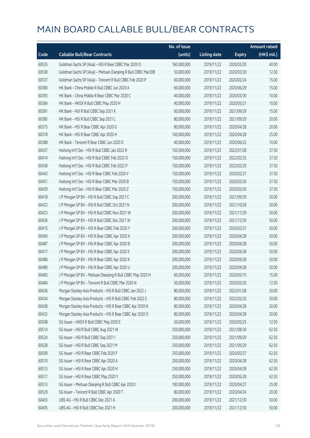|       |                                                               | No. of issue |                     |               | <b>Amount raised</b> |
|-------|---------------------------------------------------------------|--------------|---------------------|---------------|----------------------|
| Code  | <b>Callable Bull/Bear Contracts</b>                           | (units)      | <b>Listing date</b> | <b>Expiry</b> | (HK\$ mil.)          |
| 60535 | Goldman Sachs SP (Asia) - HSI R Bear CBBC Mar 2020 O          | 160,000,000  | 2019/11/22          | 2020/03/30    | 40.00                |
| 60538 | Goldman Sachs SP (Asia) - Meituan Dianping R Bull CBBC Mar20B | 50,000,000   | 2019/11/22          | 2020/03/30    | 12.50                |
| 60537 | Goldman Sachs SP (Asia) - Tencent R Bull CBBC Feb 2020 P      | 60,000,000   | 2019/11/22          | 2020/02/24    | 15.00                |
| 60380 | HK Bank - China Mobile R Bull CBBC Jun 2020 A                 | 60,000,000   | 2019/11/22          | 2020/06/29    | 15.00                |
| 60393 | HK Bank - China Mobile R Bear CBBC Mar 2020 C                 | 40,000,000   | 2019/11/22          | 2020/03/30    | 10.00                |
| 60384 | HK Bank - HKEX R Bull CBBC May 2020 H                         | 40,000,000   | 2019/11/22          | 2020/05/21    | 10.00                |
| 60381 | HK Bank - HSI R Bull CBBC Sep 2021 K                          | 60,000,000   | 2019/11/22          | 2021/09/29    | 15.00                |
| 60385 | HK Bank - HSI R Bull CBBC Sep 2021 L                          | 80,000,000   | 2019/11/22          | 2021/09/29    | 20.00                |
| 60375 | HK Bank - HSI R Bear CBBC Apr 2020 G                          | 80,000,000   | 2019/11/22          | 2020/04/28    | 20.00                |
| 60378 | HK Bank - HSI R Bear CBBC Apr 2020 H                          | 100,000,000  | 2019/11/22          | 2020/04/28    | 25.00                |
| 60388 | HK Bank - Tencent R Bear CBBC Jun 2020 D                      | 40,000,000   | 2019/11/22          | 2020/06/22    | 10.00                |
| 60437 | Haitong Int'l Sec - HSI R Bull CBBC Jan 2022 R                | 150,000,000  | 2019/11/22          | 2022/01/28    | 37.50                |
| 60414 | Haitong Int'l Sec - HSI R Bull CBBC Feb 2022 O                | 150,000,000  | 2019/11/22          | 2022/02/25    | 37.50                |
| 60438 | Haitong Int'l Sec - HSI R Bull CBBC Feb 2022 P                | 150,000,000  | 2019/11/22          | 2022/02/25    | 37.50                |
| 60443 | Haitong Int'l Sec - HSI R Bear CBBC Feb 2020 V                | 150,000,000  | 2019/11/22          | 2020/02/27    | 37.50                |
| 60451 | Haitong Int'l Sec - HSI R Bear CBBC Mar 2020 B                | 150,000,000  | 2019/11/22          | 2020/03/30    | 37.50                |
| 60439 | Haitong Int'l Sec - HSI R Bear CBBC Mar 2020 Z                | 150,000,000  | 2019/11/22          | 2020/03/30    | 37.50                |
| 60418 | J P Morgan SP BV - HSI R Bull CBBC Sep 2021 C                 | 200,000,000  | 2019/11/22          | 2021/09/29    | 50.00                |
| 60422 | J P Morgan SP BV - HSI R Bull CBBC Oct 2021 N                 | 200,000,000  | 2019/11/22          | 2021/10/28    | 50.00                |
| 60423 | J P Morgan SP BV - HSI R Bull CBBC Nov 2021 W                 | 200,000,000  | 2019/11/22          | 2021/11/29    | 50.00                |
| 60426 | J P Morgan SP BV - HSI R Bull CBBC Dec 2021 W                 | 200,000,000  | 2019/11/22          | 2021/12/30    | 50.00                |
| 60415 | J P Morgan SP BV - HSI R Bear CBBC Feb 2020 Y                 | 200,000,000  | 2019/11/22          | 2020/02/27    | 50.00                |
| 60490 | J P Morgan SP BV - HSI R Bear CBBC Apr 2020 A                 | 200,000,000  | 2019/11/22          | 2020/04/28    | 50.00                |
| 60487 | J P Morgan SP BV - HSI R Bear CBBC Apr 2020 B                 | 200,000,000  | 2019/11/22          | 2020/04/28    | 50.00                |
| 60417 | J P Morgan SP BV - HSI R Bear CBBC Apr 2020 E                 | 200,000,000  | 2019/11/22          | 2020/04/28    | 50.00                |
| 60486 | J P Morgan SP BV - HSI R Bear CBBC Apr 2020 K                 | 200,000,000  | 2019/11/22          | 2020/04/28    | 50.00                |
| 60489 | J P Morgan SP BV - HSI R Bear CBBC Apr 2020 U                 | 200,000,000  | 2019/11/22          | 2020/04/28    | 50.00                |
| 60483 | J P Morgan SP BV - Meituan Dianping R Bull CBBC May 2020 H    | 60,000,000   | 2019/11/22          | 2020/05/15    | 15.00                |
| 60484 | J P Morgan SP BV - Tencent R Bull CBBC Mar 2020 N             | 50,000,000   | 2019/11/22          | 2020/03/20    | 12.50                |
| 60436 | Morgan Stanley Asia Products - HSI R Bull CBBC Jan 2022 J     | 80,000,000   | 2019/11/22          | 2022/01/28    | 20.00                |
| 60434 | Morgan Stanley Asia Products - HSI R Bull CBBC Feb 2022 E     | 80,000,000   | 2019/11/22          | 2022/02/25    | 20.00                |
| 60428 | Morgan Stanley Asia Products - HSI R Bear CBBC Apr 2020 N     | 80,000,000   | 2019/11/22          | 2020/04/28    | 20.00                |
| 60432 | Morgan Stanley Asia Products - HSI R Bear CBBC Apr 2020 O     | 80,000,000   | 2019/11/22          | 2020/04/28    | 20.00                |
| 60508 | SG Issuer - HKEX R Bull CBBC May 2020 E                       | 50,000,000   | 2019/11/22          | 2020/05/25    | 12.50                |
| 60514 | SG Issuer - HSI R Bull CBBC Aug 2021 W                        | 250,000,000  | 2019/11/22          | 2021/08/30    | 62.50                |
| 60524 | SG Issuer - HSI R Bull CBBC Sep 2021 I                        | 250,000,000  | 2019/11/22          | 2021/09/29    | 62.50                |
| 60528 | SG Issuer - HSI R Bull CBBC Sep 2021 M                        | 250,000,000  | 2019/11/22          | 2021/09/29    | 62.50                |
| 60509 | SG Issuer - HSI R Bear CBBC Feb 2020 F                        | 250,000,000  | 2019/11/22          | 2020/02/27    | 62.50                |
| 60510 | SG Issuer - HSI R Bear CBBC Apr 2020 A                        | 250,000,000  | 2019/11/22          | 2020/04/28    | 62.50                |
| 60515 | SG Issuer - HSI R Bear CBBC Apr 2020 H                        | 250,000,000  | 2019/11/22          | 2020/04/28    | 62.50                |
| 60517 | SG Issuer - HSI R Bear CBBC May 2020 Y                        | 250,000,000  | 2019/11/22          | 2020/05/28    | 62.50                |
| 60513 | SG Issuer - Meituan Dianping R Bull CBBC Apr 2020 I           | 100,000,000  | 2019/11/22          | 2020/04/27    | 25.00                |
| 60529 | SG Issuer - Tencent R Bull CBBC Apr 2020 T                    | 80,000,000   | 2019/11/22          | 2020/04/24    | 20.00                |
| 60403 | UBS AG - HSI R Bull CBBC Dec 2021 A                           | 200,000,000  | 2019/11/22          | 2021/12/30    | 50.00                |
| 60405 | UBS AG - HSI R Bull CBBC Dec 2021 H                           | 200,000,000  | 2019/11/22          | 2021/12/30    | 50.00                |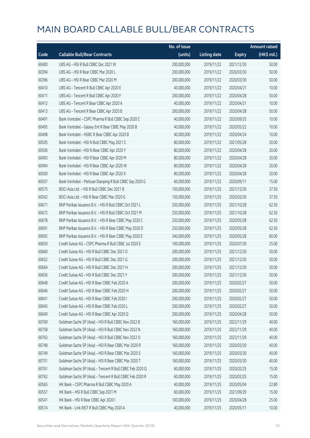|       |                                                          | No. of issue |                     |               | <b>Amount raised</b> |
|-------|----------------------------------------------------------|--------------|---------------------|---------------|----------------------|
| Code  | <b>Callable Bull/Bear Contracts</b>                      | (units)      | <b>Listing date</b> | <b>Expiry</b> | (HK\$ mil.)          |
| 60400 | UBS AG - HSI R Bull CBBC Dec 2021 W                      | 200,000,000  | 2019/11/22          | 2021/12/30    | 50.00                |
| 60394 | UBS AG - HSI R Bear CBBC Mar 2020 L                      | 200,000,000  | 2019/11/22          | 2020/03/30    | 50.00                |
| 60396 | UBS AG - HSI R Bear CBBC Mar 2020 M                      | 200,000,000  | 2019/11/22          | 2020/03/30    | 50.00                |
| 60410 | UBS AG - Tencent R Bull CBBC Apr 2020 E                  | 40,000,000   | 2019/11/22          | 2020/04/21    | 10.00                |
| 60411 | UBS AG - Tencent R Bull CBBC Apr 2020 F                  | 200,000,000  | 2019/11/22          | 2020/04/28    | 50.00                |
| 60412 | UBS AG - Tencent R Bear CBBC Apr 2020 A                  | 40,000,000   | 2019/11/22          | 2020/04/21    | 10.00                |
| 60413 | UBS AG - Tencent R Bear CBBC Apr 2020 B                  | 200,000,000  | 2019/11/22          | 2020/04/28    | 50.00                |
| 60491 | Bank Vontobel - CSPC Pharma R Bull CBBC Sep 2020 C       | 40,000,000   | 2019/11/22          | 2020/09/25    | 10.00                |
| 60495 | Bank Vontobel - Galaxy Ent R Bear CBBC May 2020 B        | 40,000,000   | 2019/11/22          | 2020/05/22    | 10.00                |
| 60498 | Bank Vontobel - HSBC R Bear CBBC Apr 2020 B              | 40,000,000   | 2019/11/22          | 2020/04/24    | 10.00                |
| 60505 | Bank Vontobel - HSI N Bull CBBC May 2021 S               | 80,000,000   | 2019/11/22          | 2021/05/28    | 20.00                |
| 60506 | Bank Vontobel - HSI N Bear CBBC Apr 2020 Y               | 80,000,000   | 2019/11/22          | 2020/04/28    | 20.00                |
| 60493 | Bank Vontobel - HSI R Bear CBBC Apr 2020 M               | 80,000,000   | 2019/11/22          | 2020/04/28    | 20.00                |
| 60494 | Bank Vontobel - HSI R Bear CBBC Apr 2020 W               | 80,000,000   | 2019/11/22          | 2020/04/28    | 20.00                |
| 60500 | Bank Vontobel - HSI R Bear CBBC Apr 2020 X               | 80,000,000   | 2019/11/22          | 2020/04/28    | 20.00                |
| 60507 | Bank Vontobel - Meituan Dianping R Bull CBBC Sep 2020 G  | 60,000,000   | 2019/11/22          | 2020/09/11    | 15.00                |
| 60575 | BOCI Asia Ltd. - HSI R Bull CBBC Dec 2021 B              | 150,000,000  | 2019/11/25          | 2021/12/30    | 37.50                |
| 60542 | BOCI Asia Ltd. - HSI R Bear CBBC Mar 2020 G              | 150,000,000  | 2019/11/25          | 2020/03/30    | 37.50                |
| 60671 | BNP Paribas Issuance B.V. - HSI R Bull CBBC Oct 2021 L   | 250,000,000  | 2019/11/25          | 2021/10/28    | 62.50                |
| 60672 | BNP Paribas Issuance B.V. - HSI R Bull CBBC Oct 2021 M   | 250,000,000  | 2019/11/25          | 2021/10/28    | 62.50                |
| 60678 | BNP Paribas Issuance B.V. - HSI R Bear CBBC May 2020 C   | 250,000,000  | 2019/11/25          | 2020/05/28    | 62.50                |
| 60691 | BNP Paribas Issuance B.V. - HSI R Bear CBBC May 2020 D   | 250,000,000  | 2019/11/25          | 2020/05/28    | 62.50                |
| 60692 | BNP Paribas Issuance B.V. - HSI R Bear CBBC May 2020 E   | 240,000,000  | 2019/11/25          | 2020/05/28    | 60.00                |
| 60650 | Credit Suisse AG - CSPC Pharma R Bull CBBC Jul 2020 E    | 100,000,000  | 2019/11/25          | 2020/07/30    | 25.00                |
| 60660 | Credit Suisse AG - HSI R Bull CBBC Dec 2021 D            | 200,000,000  | 2019/11/25          | 2021/12/30    | 50.00                |
| 60652 | Credit Suisse AG - HSI R Bull CBBC Dec 2021 G            | 200,000,000  | 2019/11/25          | 2021/12/30    | 50.00                |
| 60664 | Credit Suisse AG - HSI R Bull CBBC Dec 2021 H            | 200,000,000  | 2019/11/25          | 2021/12/30    | 50.00                |
| 60656 | Credit Suisse AG - HSI R Bull CBBC Dec 2021 Y            | 200,000,000  | 2019/11/25          | 2021/12/30    | 50.00                |
| 60648 | Credit Suisse AG - HSI R Bear CBBC Feb 2020 A            | 200,000,000  | 2019/11/25          | 2020/02/27    | 50.00                |
| 60646 | Credit Suisse AG - HSI R Bear CBBC Feb 2020 H            | 200,000,000  | 2019/11/25          | 2020/02/27    | 50.00                |
| 60641 | Credit Suisse AG - HSI R Bear CBBC Feb 2020 I            | 200,000,000  | 2019/11/25          | 2020/02/27    | 50.00                |
| 60645 | Credit Suisse AG - HSI R Bear CBBC Feb 2020 L            | 200,000,000  | 2019/11/25          | 2020/02/27    | 50.00                |
| 60649 | Credit Suisse AG - HSI R Bear CBBC Apr 2020 Q            | 200,000,000  | 2019/11/25          | 2020/04/28    | 50.00                |
| 60769 | Goldman Sachs SP (Asia) - HSI R Bull CBBC Nov 2022 B     | 160,000,000  | 2019/11/25          | 2022/11/29    | 40.00                |
| 60758 | Goldman Sachs SP (Asia) - HSI R Bull CBBC Nov 2022 N     | 160,000,000  | 2019/11/25          | 2022/11/29    | 40.00                |
| 60763 | Goldman Sachs SP (Asia) - HSI R Bull CBBC Nov 2022 O     | 160,000,000  | 2019/11/25          | 2022/11/29    | 40.00                |
| 60748 | Goldman Sachs SP (Asia) - HSI R Bear CBBC Mar 2020 R     | 160,000,000  | 2019/11/25          | 2020/03/30    | 40.00                |
| 60749 | Goldman Sachs SP (Asia) - HSI R Bear CBBC Mar 2020 S     | 160,000,000  | 2019/11/25          | 2020/03/30    | 40.00                |
| 60751 | Goldman Sachs SP (Asia) - HSI R Bear CBBC Mar 2020 T     | 160,000,000  | 2019/11/25          | 2020/03/30    | 40.00                |
| 60761 | Goldman Sachs SP (Asia) - Tencent R Bull CBBC Feb 2020 Q | 60,000,000   | 2019/11/25          | 2020/02/25    | 15.00                |
| 60762 | Goldman Sachs SP (Asia) - Tencent R Bull CBBC Feb 2020 R | 60,000,000   | 2019/11/25          | 2020/02/25    | 15.00                |
| 60565 | HK Bank - CSPC Pharma R Bull CBBC May 2020 A             | 40,000,000   | 2019/11/25          | 2020/05/04    | 22.80                |
| 60557 | HK Bank - HSI R Bull CBBC Sep 2021 M                     | 60,000,000   | 2019/11/25          | 2021/09/29    | 15.00                |
| 60541 | HK Bank - HSI R Bear CBBC Apr 2020 I                     | 100,000,000  | 2019/11/25          | 2020/04/28    | 25.00                |
| 60574 | HK Bank - Link REIT R Bull CBBC May 2020 A               | 40,000,000   | 2019/11/25          | 2020/05/11    | 10.00                |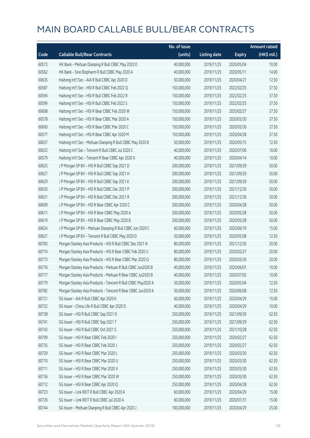|       |                                                              | No. of issue |                     |               | <b>Amount raised</b> |
|-------|--------------------------------------------------------------|--------------|---------------------|---------------|----------------------|
| Code  | <b>Callable Bull/Bear Contracts</b>                          | (units)      | <b>Listing date</b> | <b>Expiry</b> | (HK\$ mil.)          |
| 60573 | HK Bank - Meituan Dianping R Bull CBBC May 2020 D            | 40,000,000   | 2019/11/25          | 2020/05/04    | 10.00                |
| 60562 | HK Bank - Sino Biopharm R Bull CBBC May 2020 A               | 40,000,000   | 2019/11/25          | 2020/05/11    | 14.00                |
| 60635 | Haitong Int'l Sec - AIA R Bull CBBC Apr 2020 D               | 50,000,000   | 2019/11/25          | 2020/04/27    | 12.50                |
| 60587 | Haitong Int'l Sec - HSI R Bull CBBC Feb 2022 Q               | 150,000,000  | 2019/11/25          | 2022/02/25    | 37.50                |
| 60594 | Haitong Int'l Sec - HSI R Bull CBBC Feb 2022 R               | 150,000,000  | 2019/11/25          | 2022/02/25    | 37.50                |
| 60599 | Haitong Int'l Sec - HSI R Bull CBBC Feb 2022 S               | 150,000,000  | 2019/11/25          | 2022/02/25    | 37.50                |
| 60608 | Haitong Int'l Sec - HSI R Bear CBBC Feb 2020 W               | 150,000,000  | 2019/11/25          | 2020/02/27    | 37.50                |
| 60578 | Haitong Int'l Sec - HSI R Bear CBBC Mar 2020 A               | 150,000,000  | 2019/11/25          | 2020/03/30    | 37.50                |
| 60600 | Haitong Int'l Sec - HSI R Bear CBBC Mar 2020 C               | 150,000,000  | 2019/11/25          | 2020/03/30    | 37.50                |
| 60577 | Haitong Int'l Sec - HSI R Bear CBBC Apr 2020 M               | 150,000,000  | 2019/11/25          | 2020/04/28    | 37.50                |
| 60637 | Haitong Int'l Sec - Meituan Dianping R Bull CBBC May 2020 B  | 50,000,000   | 2019/11/25          | 2020/05/15    | 12.50                |
| 60632 | Haitong Int'l Sec - Tencent R Bull CBBC Jul 2020 C           | 40,000,000   | 2019/11/25          | 2020/07/06    | 10.00                |
| 60579 | Haitong Int'l Sec - Tencent R Bear CBBC Apr 2020 X           | 40,000,000   | 2019/11/25          | 2020/04/14    | 10.00                |
| 60625 | J P Morgan SP BV - HSI R Bull CBBC Sep 2021 D                | 200,000,000  | 2019/11/25          | 2021/09/29    | 50.00                |
| 60627 | J P Morgan SP BV - HSI R Bull CBBC Sep 2021 H                | 200,000,000  | 2019/11/25          | 2021/09/29    | 50.00                |
| 60629 | J P Morgan SP BV - HSI R Bull CBBC Sep 2021 K                | 200,000,000  | 2019/11/25          | 2021/09/29    | 50.00                |
| 60630 | J P Morgan SP BV - HSI R Bull CBBC Dec 2021 P                | 200,000,000  | 2019/11/25          | 2021/12/30    | 50.00                |
| 60631 | J P Morgan SP BV - HSI R Bull CBBC Dec 2021 R                | 200,000,000  | 2019/11/25          | 2021/12/30    | 50.00                |
| 60609 | J P Morgan SP BV - HSI R Bear CBBC Apr 2020 C                | 200,000,000  | 2019/11/25          | 2020/04/28    | 50.00                |
| 60611 | J P Morgan SP BV - HSI R Bear CBBC May 2020 A                | 200,000,000  | 2019/11/25          | 2020/05/28    | 50.00                |
| 60619 | J P Morgan SP BV - HSI R Bear CBBC May 2020 B                | 200,000,000  | 2019/11/25          | 2020/05/28    | 50.00                |
| 60624 | J P Morgan SP BV - Meituan Dianping R Bull CBBC Jun 2020 C   | 60,000,000   | 2019/11/25          | 2020/06/19    | 15.00                |
| 60621 | J P Morgan SP BV - Tencent R Bull CBBC May 2020 D            | 50,000,000   | 2019/11/25          | 2020/05/08    | 12.50                |
| 60783 | Morgan Stanley Asia Products - HSI R Bull CBBC Dec 2021 N    | 80,000,000   | 2019/11/25          | 2021/12/30    | 20.00                |
| 60774 | Morgan Stanley Asia Products - HSI R Bear CBBC Feb 2020 U    | 80,000,000   | 2019/11/25          | 2020/02/27    | 20.00                |
| 60773 | Morgan Stanley Asia Products - HSI R Bear CBBC Mar 2020 Q    | 80,000,000   | 2019/11/25          | 2020/03/30    | 20.00                |
| 60776 | Morgan Stanley Asia Products - Meituan R Bull CBBC Jun2020 B | 40,000,000   | 2019/11/25          | 2020/06/01    | 10.00                |
| 60777 | Morgan Stanley Asia Products - Meituan R Bear CBBC Jul2020 B | 40,000,000   | 2019/11/25          | 2020/07/02    | 10.00                |
| 60779 | Morgan Stanley Asia Products - Tencent R Bull CBBC May2020 A | 50,000,000   | 2019/11/25          | 2020/05/04    | 12.50                |
| 60782 | Morgan Stanley Asia Products - Tencent R Bear CBBC Jun2020 A | 50,000,000   | 2019/11/25          | 2020/06/08    | 12.50                |
| 60721 | SG Issuer - AIA R Bull CBBC Apr 2020 K                       | 60,000,000   | 2019/11/25          | 2020/04/29    | 15.00                |
| 60722 | SG Issuer - China Life R Bull CBBC Apr 2020 D                | 40,000,000   | 2019/11/25          | 2020/04/29    | 10.00                |
| 60738 | SG Issuer - HSI R Bull CBBC Sep 2021 O                       | 250,000,000  | 2019/11/25          | 2021/09/29    | 62.50                |
| 60741 | SG Issuer - HSI R Bull CBBC Sep 2021 T                       | 250,000,000  | 2019/11/25          | 2021/09/29    | 62.50                |
| 60743 | SG Issuer - HSI R Bull CBBC Oct 2021 S                       | 250,000,000  | 2019/11/25          | 2021/10/28    | 62.50                |
| 60709 | SG Issuer - HSI R Bear CBBC Feb 2020 I                       | 250,000,000  | 2019/11/25          | 2020/02/27    | 62.50                |
| 60735 | SG Issuer - HSI R Bear CBBC Feb 2020 J                       | 250,000,000  | 2019/11/25          | 2020/02/27    | 62.50                |
| 60729 | SG Issuer - HSI R Bear CBBC Mar 2020 L                       | 250,000,000  | 2019/11/25          | 2020/03/30    | 62.50                |
| 60710 | SG Issuer - HSI R Bear CBBC Mar 2020 U                       | 250,000,000  | 2019/11/25          | 2020/03/30    | 62.50                |
| 60711 | SG Issuer - HSI R Bear CBBC Mar 2020 V                       | 250,000,000  | 2019/11/25          | 2020/03/30    | 62.50                |
| 60736 | SG Issuer - HSI R Bear CBBC Mar 2020 W                       | 250,000,000  | 2019/11/25          | 2020/03/30    | 62.50                |
| 60712 | SG Issuer - HSI R Bear CBBC Apr 2020 Q                       | 250,000,000  | 2019/11/25          | 2020/04/28    | 62.50                |
| 60723 | SG Issuer - Link REIT R Bull CBBC Apr 2020 A                 | 60,000,000   | 2019/11/25          | 2020/04/29    | 15.00                |
| 60726 | SG Issuer - Link REIT R Bull CBBC Jul 2020 A                 | 60,000,000   | 2019/11/25          | 2020/07/31    | 15.00                |
| 60744 | SG Issuer - Meituan Dianping R Bull CBBC Apr 2020 J          | 100,000,000  | 2019/11/25          | 2020/04/29    | 25.00                |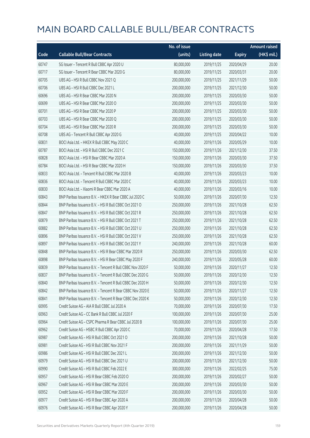|       |                                                            | No. of issue |                     |               | <b>Amount raised</b> |
|-------|------------------------------------------------------------|--------------|---------------------|---------------|----------------------|
| Code  | <b>Callable Bull/Bear Contracts</b>                        | (units)      | <b>Listing date</b> | <b>Expiry</b> | (HK\$ mil.)          |
| 60747 | SG Issuer - Tencent R Bull CBBC Apr 2020 U                 | 80,000,000   | 2019/11/25          | 2020/04/29    | 20.00                |
| 60717 | SG Issuer - Tencent R Bear CBBC Mar 2020 G                 | 80,000,000   | 2019/11/25          | 2020/03/31    | 20.00                |
| 60705 | UBS AG - HSI R Bull CBBC Nov 2021 Q                        | 200,000,000  | 2019/11/25          | 2021/11/29    | 50.00                |
| 60706 | UBS AG - HSI R Bull CBBC Dec 2021 L                        | 200,000,000  | 2019/11/25          | 2021/12/30    | 50.00                |
| 60696 | UBS AG - HSI R Bear CBBC Mar 2020 N                        | 200,000,000  | 2019/11/25          | 2020/03/30    | 50.00                |
| 60699 | UBS AG - HSI R Bear CBBC Mar 2020 O                        | 200,000,000  | 2019/11/25          | 2020/03/30    | 50.00                |
| 60701 | UBS AG - HSI R Bear CBBC Mar 2020 P                        | 200,000,000  | 2019/11/25          | 2020/03/30    | 50.00                |
| 60703 | UBS AG - HSI R Bear CBBC Mar 2020 Q                        | 200,000,000  | 2019/11/25          | 2020/03/30    | 50.00                |
| 60704 | UBS AG - HSI R Bear CBBC Mar 2020 R                        | 200,000,000  | 2019/11/25          | 2020/03/30    | 50.00                |
| 60708 | UBS AG - Tencent R Bull CBBC Apr 2020 G                    | 40,000,000   | 2019/11/25          | 2020/04/22    | 10.00                |
| 60831 | BOCI Asia Ltd. - HKEX R Bull CBBC May 2020 C               | 40,000,000   | 2019/11/26          | 2020/05/29    | 10.00                |
| 60787 | BOCI Asia Ltd. - HSI R Bull CBBC Dec 2021 C                | 150,000,000  | 2019/11/26          | 2021/12/30    | 37.50                |
| 60828 | BOCI Asia Ltd. - HSI R Bear CBBC Mar 2020 A                | 150,000,000  | 2019/11/26          | 2020/03/30    | 37.50                |
| 60784 | BOCI Asia Ltd. - HSI R Bear CBBC Mar 2020 H                | 150,000,000  | 2019/11/26          | 2020/03/30    | 37.50                |
| 60833 | BOCI Asia Ltd. - Tencent R Bull CBBC Mar 2020 B            | 40,000,000   | 2019/11/26          | 2020/03/23    | 10.00                |
| 60836 | BOCI Asia Ltd. - Tencent R Bull CBBC Mar 2020 C            | 40,000,000   | 2019/11/26          | 2020/03/23    | 10.00                |
| 60830 | BOCI Asia Ltd. - Xiaomi R Bear CBBC Mar 2020 A             | 40,000,000   | 2019/11/26          | 2020/03/16    | 10.00                |
| 60843 | BNP Paribas Issuance B.V. - HKEX R Bear CBBC Jul 2020 C    | 50,000,000   | 2019/11/26          | 2020/07/30    | 12.50                |
| 60844 | BNP Paribas Issuance B.V. - HSI R Bull CBBC Oct 2021 O     | 250,000,000  | 2019/11/26          | 2021/10/28    | 62.50                |
| 60847 | BNP Paribas Issuance B.V. - HSI R Bull CBBC Oct 2021 R     | 250,000,000  | 2019/11/26          | 2021/10/28    | 62.50                |
| 60879 | BNP Paribas Issuance B.V. - HSI R Bull CBBC Oct 2021 T     | 250,000,000  | 2019/11/26          | 2021/10/28    | 62.50                |
| 60882 | BNP Paribas Issuance B.V. - HSI R Bull CBBC Oct 2021 U     | 250,000,000  | 2019/11/26          | 2021/10/28    | 62.50                |
| 60896 | BNP Paribas Issuance B.V. - HSI R Bull CBBC Oct 2021 V     | 250,000,000  | 2019/11/26          | 2021/10/28    | 62.50                |
| 60897 | BNP Paribas Issuance B.V. - HSI R Bull CBBC Oct 2021 Y     | 240,000,000  | 2019/11/26          | 2021/10/28    | 60.00                |
| 60848 | BNP Paribas Issuance B.V. - HSI R Bear CBBC Mar 2020 R     | 250,000,000  | 2019/11/26          | 2020/03/30    | 62.50                |
| 60898 | BNP Paribas Issuance B.V. - HSI R Bear CBBC May 2020 F     | 240,000,000  | 2019/11/26          | 2020/05/28    | 60.00                |
| 60839 | BNP Paribas Issuance B.V. - Tencent R Bull CBBC Nov 2020 F | 50,000,000   | 2019/11/26          | 2020/11/27    | 12.50                |
| 60837 | BNP Paribas Issuance B.V. - Tencent R Bull CBBC Dec 2020 G | 50,000,000   | 2019/11/26          | 2020/12/30    | 12.50                |
| 60840 | BNP Paribas Issuance B.V. - Tencent R Bull CBBC Dec 2020 H | 50,000,000   | 2019/11/26          | 2020/12/30    | 12.50                |
| 60842 | BNP Paribas Issuance B.V. - Tencent R Bear CBBC Nov 2020 E | 50,000,000   | 2019/11/26          | 2020/11/27    | 12.50                |
| 60841 | BNP Paribas Issuance B.V. - Tencent R Bear CBBC Dec 2020 K | 50,000,000   | 2019/11/26          | 2020/12/30    | 12.50                |
| 60995 | Credit Suisse AG - AIA R Bull CBBC Jul 2020 A              | 70,000,000   | 2019/11/26          | 2020/07/30    | 17.50                |
| 60963 | Credit Suisse AG - CC Bank R Bull CBBC Jul 2020 F          | 100,000,000  | 2019/11/26          | 2020/07/30    | 25.00                |
| 60964 | Credit Suisse AG - CSPC Pharma R Bear CBBC Jul 2020 B      | 100,000,000  | 2019/11/26          | 2020/07/30    | 25.00                |
| 60962 | Credit Suisse AG - HSBC R Bull CBBC Apr 2020 C             | 70,000,000   | 2019/11/26          | 2020/04/28    | 17.50                |
| 60987 | Credit Suisse AG - HSI R Bull CBBC Oct 2021 O              | 200,000,000  | 2019/11/26          | 2021/10/28    | 50.00                |
| 60981 | Credit Suisse AG - HSI R Bull CBBC Nov 2021 F              | 200,000,000  | 2019/11/26          | 2021/11/29    | 50.00                |
| 60986 | Credit Suisse AG - HSI R Bull CBBC Dec 2021 L              | 200,000,000  | 2019/11/26          | 2021/12/30    | 50.00                |
| 60979 | Credit Suisse AG - HSI R Bull CBBC Dec 2021 U              | 200,000,000  | 2019/11/26          | 2021/12/30    | 50.00                |
| 60990 | Credit Suisse AG - HSI R Bull CBBC Feb 2022 E              | 300,000,000  | 2019/11/26          | 2022/02/25    | 75.00                |
| 60957 | Credit Suisse AG - HSI R Bear CBBC Feb 2020 O              | 200,000,000  | 2019/11/26          | 2020/02/27    | 50.00                |
| 60967 | Credit Suisse AG - HSI R Bear CBBC Mar 2020 E              | 200,000,000  | 2019/11/26          | 2020/03/30    | 50.00                |
| 60952 | Credit Suisse AG - HSI R Bear CBBC Mar 2020 F              | 200,000,000  | 2019/11/26          | 2020/03/30    | 50.00                |
| 60977 | Credit Suisse AG - HSI R Bear CBBC Apr 2020 A              | 200,000,000  | 2019/11/26          | 2020/04/28    | 50.00                |
| 60976 | Credit Suisse AG - HSI R Bear CBBC Apr 2020 Y              | 200,000,000  | 2019/11/26          | 2020/04/28    | 50.00                |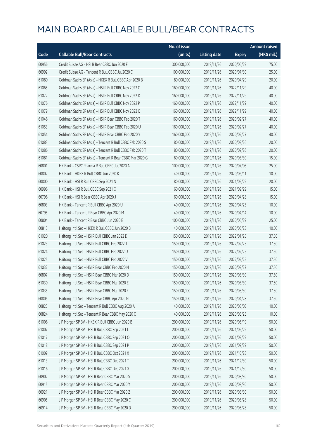|       |                                                          | No. of issue |                     |               | <b>Amount raised</b> |
|-------|----------------------------------------------------------|--------------|---------------------|---------------|----------------------|
| Code  | <b>Callable Bull/Bear Contracts</b>                      | (units)      | <b>Listing date</b> | <b>Expiry</b> | (HK\$ mil.)          |
| 60956 | Credit Suisse AG - HSI R Bear CBBC Jun 2020 F            | 300,000,000  | 2019/11/26          | 2020/06/29    | 75.00                |
| 60992 | Credit Suisse AG - Tencent R Bull CBBC Jul 2020 C        | 100,000,000  | 2019/11/26          | 2020/07/30    | 25.00                |
| 61080 | Goldman Sachs SP (Asia) - HKEX R Bull CBBC Apr 2020 B    | 80,000,000   | 2019/11/26          | 2020/04/29    | 20.00                |
| 61065 | Goldman Sachs SP (Asia) - HSI R Bull CBBC Nov 2022 C     | 160,000,000  | 2019/11/26          | 2022/11/29    | 40.00                |
| 61072 | Goldman Sachs SP (Asia) - HSI R Bull CBBC Nov 2022 D     | 160,000,000  | 2019/11/26          | 2022/11/29    | 40.00                |
| 61076 | Goldman Sachs SP (Asia) - HSI R Bull CBBC Nov 2022 P     | 160,000,000  | 2019/11/26          | 2022/11/29    | 40.00                |
| 61079 | Goldman Sachs SP (Asia) - HSI R Bull CBBC Nov 2022 Q     | 160,000,000  | 2019/11/26          | 2022/11/29    | 40.00                |
| 61046 | Goldman Sachs SP (Asia) - HSI R Bear CBBC Feb 2020 T     | 160,000,000  | 2019/11/26          | 2020/02/27    | 40.00                |
| 61053 | Goldman Sachs SP (Asia) - HSI R Bear CBBC Feb 2020 U     | 160,000,000  | 2019/11/26          | 2020/02/27    | 40.00                |
| 61054 | Goldman Sachs SP (Asia) - HSI R Bear CBBC Feb 2020 Y     | 160,000,000  | 2019/11/26          | 2020/02/27    | 40.00                |
| 61083 | Goldman Sachs SP (Asia) - Tencent R Bull CBBC Feb 2020 S | 80,000,000   | 2019/11/26          | 2020/02/26    | 20.00                |
| 61086 | Goldman Sachs SP (Asia) - Tencent R Bull CBBC Feb 2020 T | 80,000,000   | 2019/11/26          | 2020/02/26    | 20.00                |
| 61081 | Goldman Sachs SP (Asia) - Tencent R Bear CBBC Mar 2020 G | 60,000,000   | 2019/11/26          | 2020/03/30    | 15.00                |
| 60801 | HK Bank - CSPC Pharma R Bull CBBC Jul 2020 A             | 100,000,000  | 2019/11/26          | 2020/07/06    | 25.00                |
| 60802 | HK Bank - HKEX R Bull CBBC Jun 2020 K                    | 40,000,000   | 2019/11/26          | 2020/06/11    | 10.00                |
| 60800 | HK Bank - HSI R Bull CBBC Sep 2021 N                     | 80,000,000   | 2019/11/26          | 2021/09/29    | 20.00                |
| 60996 | HK Bank - HSI R Bull CBBC Sep 2021 O                     | 60,000,000   | 2019/11/26          | 2021/09/29    | 15.00                |
| 60796 | HK Bank - HSI R Bear CBBC Apr 2020 J                     | 60,000,000   | 2019/11/26          | 2020/04/28    | 15.00                |
| 60803 | HK Bank - Tencent R Bull CBBC Apr 2020 U                 | 40,000,000   | 2019/11/26          | 2020/04/23    | 10.00                |
| 60795 | HK Bank - Tencent R Bear CBBC Apr 2020 M                 | 40,000,000   | 2019/11/26          | 2020/04/14    | 10.00                |
| 60804 | HK Bank - Tencent R Bear CBBC Jun 2020 E                 | 100,000,000  | 2019/11/26          | 2020/06/29    | 25.00                |
| 60813 | Haitong Int'l Sec - HKEX R Bull CBBC Jun 2020 B          | 40,000,000   | 2019/11/26          | 2020/06/23    | 10.00                |
| 61020 | Haitong Int'l Sec - HSI R Bull CBBC Jan 2022 D           | 150,000,000  | 2019/11/26          | 2022/01/28    | 37.50                |
| 61023 | Haitong Int'l Sec - HSI R Bull CBBC Feb 2022 T           | 150,000,000  | 2019/11/26          | 2022/02/25    | 37.50                |
| 61024 | Haitong Int'l Sec - HSI R Bull CBBC Feb 2022 U           | 150,000,000  | 2019/11/26          | 2022/02/25    | 37.50                |
| 61025 | Haitong Int'l Sec - HSI R Bull CBBC Feb 2022 V           | 150,000,000  | 2019/11/26          | 2022/02/25    | 37.50                |
| 61032 | Haitong Int'l Sec - HSI R Bear CBBC Feb 2020 N           | 150,000,000  | 2019/11/26          | 2020/02/27    | 37.50                |
| 60807 | Haitong Int'l Sec - HSI R Bear CBBC Mar 2020 D           | 150,000,000  | 2019/11/26          | 2020/03/30    | 37.50                |
| 61030 | Haitong Int'l Sec - HSI R Bear CBBC Mar 2020 E           | 150,000,000  | 2019/11/26          | 2020/03/30    | 37.50                |
| 61035 | Haitong Int'l Sec - HSI R Bear CBBC Mar 2020 F           | 150,000,000  | 2019/11/26          | 2020/03/30    | 37.50                |
| 60805 | Haitong Int'l Sec - HSI R Bear CBBC Apr 2020 N           | 150,000,000  | 2019/11/26          | 2020/04/28    | 37.50                |
| 60823 | Haitong Int'l Sec - Tencent R Bull CBBC Aug 2020 A       | 40,000,000   | 2019/11/26          | 2020/08/03    | 10.00                |
| 60824 | Haitong Int'l Sec - Tencent R Bear CBBC May 2020 C       | 40,000,000   | 2019/11/26          | 2020/05/25    | 10.00                |
| 61006 | J P Morgan SP BV - HKEX R Bull CBBC Jun 2020 B           | 200,000,000  | 2019/11/26          | 2020/06/19    | 50.00                |
| 61007 | J P Morgan SP BV - HSI R Bull CBBC Sep 2021 L            | 200,000,000  | 2019/11/26          | 2021/09/29    | 50.00                |
| 61017 | J P Morgan SP BV - HSI R Bull CBBC Sep 2021 O            | 200,000,000  | 2019/11/26          | 2021/09/29    | 50.00                |
| 61018 | J P Morgan SP BV - HSI R Bull CBBC Sep 2021 P            | 200,000,000  | 2019/11/26          | 2021/09/29    | 50.00                |
| 61009 | J P Morgan SP BV - HSI R Bull CBBC Oct 2021 X            | 200,000,000  | 2019/11/26          | 2021/10/28    | 50.00                |
| 61013 | J P Morgan SP BV - HSI R Bull CBBC Dec 2021 T            | 200,000,000  | 2019/11/26          | 2021/12/30    | 50.00                |
| 61016 | J P Morgan SP BV - HSI R Bull CBBC Dec 2021 X            | 200,000,000  | 2019/11/26          | 2021/12/30    | 50.00                |
| 60902 | J P Morgan SP BV - HSI R Bear CBBC Mar 2020 S            | 200,000,000  | 2019/11/26          | 2020/03/30    | 50.00                |
| 60915 | J P Morgan SP BV - HSI R Bear CBBC Mar 2020 Y            | 200,000,000  | 2019/11/26          | 2020/03/30    | 50.00                |
| 60921 | J P Morgan SP BV - HSI R Bear CBBC Mar 2020 Z            | 200,000,000  | 2019/11/26          | 2020/03/30    | 50.00                |
| 60905 | J P Morgan SP BV - HSI R Bear CBBC May 2020 C            | 200,000,000  | 2019/11/26          | 2020/05/28    | 50.00                |
| 60914 | J P Morgan SP BV - HSI R Bear CBBC May 2020 D            | 200,000,000  | 2019/11/26          | 2020/05/28    | 50.00                |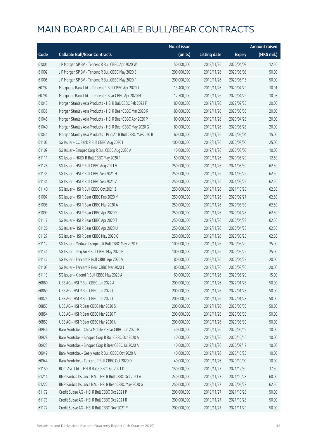|       |                                                              | No. of issue |                     |               | <b>Amount raised</b> |
|-------|--------------------------------------------------------------|--------------|---------------------|---------------|----------------------|
| Code  | <b>Callable Bull/Bear Contracts</b>                          | (units)      | <b>Listing date</b> | <b>Expiry</b> | (HK\$ mil.)          |
| 61001 | J P Morgan SP BV - Tencent R Bull CBBC Apr 2020 W            | 50,000,000   | 2019/11/26          | 2020/04/09    | 12.50                |
| 61002 | J P Morgan SP BV - Tencent R Bull CBBC May 2020 E            | 200,000,000  | 2019/11/26          | 2020/05/08    | 50.00                |
| 61005 | J P Morgan SP BV - Tencent R Bull CBBC May 2020 F            | 200,000,000  | 2019/11/26          | 2020/05/15    | 50.00                |
| 60792 | Macquarie Bank Ltd. - Tencent R Bull CBBC Apr 2020 J         | 13,400,000   | 2019/11/26          | 2020/04/29    | 10.01                |
| 60794 | Macquarie Bank Ltd. - Tencent R Bear CBBC Apr 2020 H         | 12,700,000   | 2019/11/26          | 2020/04/29    | 10.03                |
| 61043 | Morgan Stanley Asia Products - HSI R Bull CBBC Feb 2022 F    | 80,000,000   | 2019/11/26          | 2022/02/25    | 20.00                |
| 61038 | Morgan Stanley Asia Products - HSI R Bear CBBC Mar 2020 R    | 80,000,000   | 2019/11/26          | 2020/03/30    | 20.00                |
| 61045 | Morgan Stanley Asia Products - HSI R Bear CBBC Apr 2020 P    | 80,000,000   | 2019/11/26          | 2020/04/28    | 20.00                |
| 61040 | Morgan Stanley Asia Products - HSI R Bear CBBC May 2020 G    | 80,000,000   | 2019/11/26          | 2020/05/28    | 20.00                |
| 61041 | Morgan Stanley Asia Products - Ping An R Bull CBBC May2020 B | 60,000,000   | 2019/11/26          | 2020/05/04    | 15.00                |
| 61102 | SG Issuer - CC Bank R Bull CBBC Aug 2020 I                   | 100,000,000  | 2019/11/26          | 2020/08/06    | 25.00                |
| 61109 | SG Issuer - Sinopec Corp R Bull CBBC Aug 2020 A              | 40,000,000   | 2019/11/26          | 2020/08/05    | 10.00                |
| 61111 | SG Issuer - HKEX R Bull CBBC May 2020 F                      | 50,000,000   | 2019/11/26          | 2020/05/29    | 12.50                |
| 61128 | SG Issuer - HSI R Bull CBBC Aug 2021 V                       | 250,000,000  | 2019/11/26          | 2021/08/30    | 62.50                |
| 61135 | SG Issuer - HSI R Bull CBBC Sep 2021 H                       | 250,000,000  | 2019/11/26          | 2021/09/29    | 62.50                |
| 61134 | SG Issuer - HSI R Bull CBBC Sep 2021 V                       | 250,000,000  | 2019/11/26          | 2021/09/29    | 62.50                |
| 61140 | SG Issuer - HSI R Bull CBBC Oct 2021 Z                       | 250,000,000  | 2019/11/26          | 2021/10/28    | 62.50                |
| 61097 | SG Issuer - HSI R Bear CBBC Feb 2020 M                       | 250,000,000  | 2019/11/26          | 2020/02/27    | 62.50                |
| 61098 | SG Issuer - HSI R Bear CBBC Mar 2020 A                       | 250,000,000  | 2019/11/26          | 2020/03/30    | 62.50                |
| 61099 | SG Issuer - HSI R Bear CBBC Apr 2020 S                       | 250,000,000  | 2019/11/26          | 2020/04/28    | 62.50                |
| 61117 | SG Issuer - HSI R Bear CBBC Apr 2020 T                       | 250,000,000  | 2019/11/26          | 2020/04/28    | 62.50                |
| 61126 | SG Issuer - HSI R Bear CBBC Apr 2020 U                       | 250,000,000  | 2019/11/26          | 2020/04/28    | 62.50                |
| 61127 | SG Issuer - HSI R Bear CBBC May 2020 C                       | 250,000,000  | 2019/11/26          | 2020/05/28    | 62.50                |
| 61112 | SG Issuer - Meituan Dianping R Bull CBBC May 2020 F          | 100,000,000  | 2019/11/26          | 2020/05/29    | 25.00                |
| 61141 | SG Issuer - Ping An R Bull CBBC May 2020 B                   | 100,000,000  | 2019/11/26          | 2020/05/29    | 25.00                |
| 61142 | SG Issuer - Tencent R Bull CBBC Apr 2020 V                   | 80,000,000   | 2019/11/26          | 2020/04/29    | 20.00                |
| 61103 | SG Issuer - Tencent R Bear CBBC Mar 2020 J                   | 80,000,000   | 2019/11/26          | 2020/03/30    | 20.00                |
| 61113 | SG Issuer - Xiaomi R Bull CBBC May 2020 A                    | 60,000,000   | 2019/11/26          | 2020/05/29    | 15.00                |
| 60860 | UBS AG - HSI R Bull CBBC Jan 2022 A                          | 200,000,000  | 2019/11/26          | 2022/01/28    | 50.00                |
| 60869 | UBS AG - HSI R Bull CBBC Jan 2022 C                          | 200,000,000  | 2019/11/26          | 2022/01/28    | 50.00                |
| 60875 | UBS AG - HSI R Bull CBBC Jan 2022 L                          | 200,000,000  | 2019/11/26          | 2022/01/28    | 50.00                |
| 60853 | UBS AG - HSI R Bear CBBC Mar 2020 S                          | 200,000,000  | 2019/11/26          | 2020/03/30    | 50.00                |
| 60854 | UBS AG - HSI R Bear CBBC Mar 2020 T                          | 200,000,000  | 2019/11/26          | 2020/03/30    | 50.00                |
| 60859 | UBS AG - HSI R Bear CBBC Mar 2020 U                          | 200,000,000  | 2019/11/26          | 2020/03/30    | 50.00                |
| 60946 | Bank Vontobel - China Mobile R Bear CBBC Jun 2020 B          | 40,000,000   | 2019/11/26          | 2020/06/19    | 10.00                |
| 60928 | Bank Vontobel - Sinopec Corp R Bull CBBC Oct 2020 A          | 40,000,000   | 2019/11/26          | 2020/10/16    | 10.00                |
| 60925 | Bank Vontobel - Sinopec Corp R Bear CBBC Jul 2020 A          | 40,000,000   | 2019/11/26          | 2020/07/17    | 10.00                |
| 60949 | Bank Vontobel - Geely Auto R Bull CBBC Oct 2020 A            | 40,000,000   | 2019/11/26          | 2020/10/23    | 10.00                |
| 60944 | Bank Vontobel - Tencent R Bull CBBC Oct 2020 D               | 40,000,000   | 2019/11/26          | 2020/10/09    | 10.00                |
| 61150 | BOCI Asia Ltd. - HSI R Bull CBBC Dec 2021 D                  | 150,000,000  | 2019/11/27          | 2021/12/30    | 37.50                |
| 61214 | BNP Paribas Issuance B.V. - HSI R Bull CBBC Oct 2021 A       | 240,000,000  | 2019/11/27          | 2021/10/28    | 60.00                |
| 61222 | BNP Paribas Issuance B.V. - HSI R Bear CBBC May 2020 G       | 250,000,000  | 2019/11/27          | 2020/05/28    | 62.50                |
| 61172 | Credit Suisse AG - HSI R Bull CBBC Oct 2021 P                | 200,000,000  | 2019/11/27          | 2021/10/28    | 50.00                |
| 61173 | Credit Suisse AG - HSI R Bull CBBC Oct 2021 R                | 200,000,000  | 2019/11/27          | 2021/10/28    | 50.00                |
| 61177 | Credit Suisse AG - HSI R Bull CBBC Nov 2021 M                | 200,000,000  | 2019/11/27          | 2021/11/29    | 50.00                |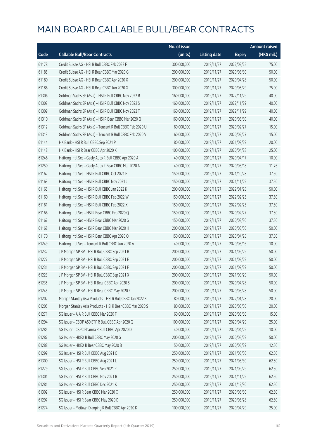|       |                                                           | No. of issue |                     |               | <b>Amount raised</b> |
|-------|-----------------------------------------------------------|--------------|---------------------|---------------|----------------------|
| Code  | <b>Callable Bull/Bear Contracts</b>                       | (units)      | <b>Listing date</b> | <b>Expiry</b> | (HK\$ mil.)          |
| 61178 | Credit Suisse AG - HSI R Bull CBBC Feb 2022 F             | 300,000,000  | 2019/11/27          | 2022/02/25    | 75.00                |
| 61185 | Credit Suisse AG - HSI R Bear CBBC Mar 2020 G             | 200,000,000  | 2019/11/27          | 2020/03/30    | 50.00                |
| 61180 | Credit Suisse AG - HSI R Bear CBBC Apr 2020 X             | 200,000,000  | 2019/11/27          | 2020/04/28    | 50.00                |
| 61186 | Credit Suisse AG - HSI R Bear CBBC Jun 2020 G             | 300,000,000  | 2019/11/27          | 2020/06/29    | 75.00                |
| 61306 | Goldman Sachs SP (Asia) - HSI R Bull CBBC Nov 2022 R      | 160,000,000  | 2019/11/27          | 2022/11/29    | 40.00                |
| 61307 | Goldman Sachs SP (Asia) - HSI R Bull CBBC Nov 2022 S      | 160,000,000  | 2019/11/27          | 2022/11/29    | 40.00                |
| 61309 | Goldman Sachs SP (Asia) - HSI R Bull CBBC Nov 2022 T      | 160,000,000  | 2019/11/27          | 2022/11/29    | 40.00                |
| 61310 | Goldman Sachs SP (Asia) - HSI R Bear CBBC Mar 2020 Q      | 160,000,000  | 2019/11/27          | 2020/03/30    | 40.00                |
| 61312 | Goldman Sachs SP (Asia) - Tencent R Bull CBBC Feb 2020 U  | 60,000,000   | 2019/11/27          | 2020/02/27    | 15.00                |
| 61313 | Goldman Sachs SP (Asia) - Tencent R Bull CBBC Feb 2020 V  | 60,000,000   | 2019/11/27          | 2020/02/27    | 15.00                |
| 61144 | HK Bank - HSI R Bull CBBC Sep 2021 P                      | 80,000,000   | 2019/11/27          | 2021/09/29    | 20.00                |
| 61148 | HK Bank - HSI R Bear CBBC Apr 2020 K                      | 100,000,000  | 2019/11/27          | 2020/04/28    | 25.00                |
| 61246 | Haitong Int'l Sec - Geely Auto R Bull CBBC Apr 2020 A     | 40,000,000   | 2019/11/27          | 2020/04/17    | 10.00                |
| 61250 | Haitong Int'l Sec - Geely Auto R Bear CBBC Mar 2020 A     | 40,000,000   | 2019/11/27          | 2020/03/18    | 11.76                |
| 61162 | Haitong Int'l Sec - HSI R Bull CBBC Oct 2021 E            | 150,000,000  | 2019/11/27          | 2021/10/28    | 37.50                |
| 61163 | Haitong Int'l Sec - HSI R Bull CBBC Nov 2021 J            | 150,000,000  | 2019/11/27          | 2021/11/29    | 37.50                |
| 61165 | Haitong Int'l Sec - HSI R Bull CBBC Jan 2022 K            | 200,000,000  | 2019/11/27          | 2022/01/28    | 50.00                |
| 61160 | Haitong Int'l Sec - HSI R Bull CBBC Feb 2022 W            | 150,000,000  | 2019/11/27          | 2022/02/25    | 37.50                |
| 61161 | Haitong Int'l Sec - HSI R Bull CBBC Feb 2022 X            | 150,000,000  | 2019/11/27          | 2022/02/25    | 37.50                |
| 61166 | Haitong Int'l Sec - HSI R Bear CBBC Feb 2020 Q            | 150,000,000  | 2019/11/27          | 2020/02/27    | 37.50                |
| 61167 | Haitong Int'l Sec - HSI R Bear CBBC Mar 2020 G            | 150,000,000  | 2019/11/27          | 2020/03/30    | 37.50                |
| 61168 | Haitong Int'l Sec - HSI R Bear CBBC Mar 2020 H            | 200,000,000  | 2019/11/27          | 2020/03/30    | 50.00                |
| 61170 | Haitong Int'l Sec - HSI R Bear CBBC Apr 2020 O            | 150,000,000  | 2019/11/27          | 2020/04/28    | 37.50                |
| 61249 | Haitong Int'l Sec - Tencent R Bull CBBC Jun 2020 A        | 40,000,000   | 2019/11/27          | 2020/06/16    | 10.00                |
| 61232 | J P Morgan SP BV - HSI R Bull CBBC Sep 2021 B             | 200,000,000  | 2019/11/27          | 2021/09/29    | 50.00                |
| 61227 | J P Morgan SP BV - HSI R Bull CBBC Sep 2021 E             | 200,000,000  | 2019/11/27          | 2021/09/29    | 50.00                |
| 61231 | J P Morgan SP BV - HSI R Bull CBBC Sep 2021 F             | 200,000,000  | 2019/11/27          | 2021/09/29    | 50.00                |
| 61223 | J P Morgan SP BV - HSI R Bull CBBC Sep 2021 X             | 200,000,000  | 2019/11/27          | 2021/09/29    | 50.00                |
| 61235 | J P Morgan SP BV - HSI R Bear CBBC Apr 2020 S             | 200,000,000  | 2019/11/27          | 2020/04/28    | 50.00                |
| 61245 | J P Morgan SP BV - HSI R Bear CBBC May 2020 F             | 200,000,000  | 2019/11/27          | 2020/05/28    | 50.00                |
| 61202 | Morgan Stanley Asia Products - HSI R Bull CBBC Jan 2022 K | 80,000,000   | 2019/11/27          | 2022/01/28    | 20.00                |
| 61205 | Morgan Stanley Asia Products - HSI R Bear CBBC Mar 2020 S | 80,000,000   | 2019/11/27          | 2020/03/30    | 20.00                |
| 61271 | SG Issuer - AIA R Bull CBBC Mar 2020 F                    | 60,000,000   | 2019/11/27          | 2020/03/30    | 15.00                |
| 61294 | SG Issuer - CSOP A50 ETF R Bull CBBC Apr 2020 Q           | 100,000,000  | 2019/11/27          | 2020/04/29    | 25.00                |
| 61285 | SG Issuer - CSPC Pharma R Bull CBBC Apr 2020 D            | 40,000,000   | 2019/11/27          | 2020/04/29    | 10.00                |
| 61287 | SG Issuer - HKEX R Bull CBBC May 2020 G                   | 200,000,000  | 2019/11/27          | 2020/05/29    | 50.00                |
| 61288 | SG Issuer - HKEX R Bear CBBC May 2020 B                   | 50,000,000   | 2019/11/27          | 2020/05/29    | 12.50                |
| 61299 | SG Issuer - HSI R Bull CBBC Aug 2021 C                    | 250,000,000  | 2019/11/27          | 2021/08/30    | 62.50                |
| 61300 | SG Issuer - HSI R Bull CBBC Aug 2021 L                    | 250,000,000  | 2019/11/27          | 2021/08/30    | 62.50                |
| 61279 | SG Issuer - HSI R Bull CBBC Sep 2021 R                    | 250,000,000  | 2019/11/27          | 2021/09/29    | 62.50                |
| 61301 | SG Issuer - HSI R Bull CBBC Nov 2021 R                    | 250,000,000  | 2019/11/27          | 2021/11/29    | 62.50                |
| 61281 | SG Issuer - HSI R Bull CBBC Dec 2021 K                    | 250,000,000  | 2019/11/27          | 2021/12/30    | 62.50                |
| 61302 | SG Issuer - HSI R Bear CBBC Mar 2020 C                    | 250,000,000  | 2019/11/27          | 2020/03/30    | 62.50                |
| 61297 | SG Issuer - HSI R Bear CBBC May 2020 D                    | 250,000,000  | 2019/11/27          | 2020/05/28    | 62.50                |
| 61274 | SG Issuer - Meituan Dianping R Bull CBBC Apr 2020 K       | 100,000,000  | 2019/11/27          | 2020/04/29    | 25.00                |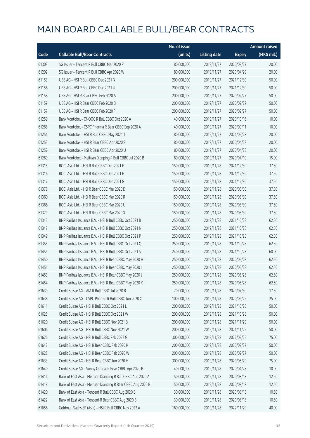|       |                                                             | No. of issue |                     |               | <b>Amount raised</b> |
|-------|-------------------------------------------------------------|--------------|---------------------|---------------|----------------------|
| Code  | <b>Callable Bull/Bear Contracts</b>                         | (units)      | <b>Listing date</b> | <b>Expiry</b> | (HK\$ mil.)          |
| 61303 | SG Issuer - Tencent R Bull CBBC Mar 2020 R                  | 80,000,000   | 2019/11/27          | 2020/03/27    | 20.00                |
| 61292 | SG Issuer - Tencent R Bull CBBC Apr 2020 W                  | 80,000,000   | 2019/11/27          | 2020/04/29    | 20.00                |
| 61153 | UBS AG - HSI R Bull CBBC Dec 2021 N                         | 200,000,000  | 2019/11/27          | 2021/12/30    | 50.00                |
| 61156 | UBS AG - HSI R Bull CBBC Dec 2021 U                         | 200,000,000  | 2019/11/27          | 2021/12/30    | 50.00                |
| 61158 | UBS AG - HSI R Bear CBBC Feb 2020 A                         | 200,000,000  | 2019/11/27          | 2020/02/27    | 50.00                |
| 61159 | UBS AG - HSI R Bear CBBC Feb 2020 B                         | 200,000,000  | 2019/11/27          | 2020/02/27    | 50.00                |
| 61157 | UBS AG - HSI R Bear CBBC Feb 2020 F                         | 200,000,000  | 2019/11/27          | 2020/02/27    | 50.00                |
| 61259 | Bank Vontobel - CNOOC R Bull CBBC Oct 2020 A                | 40,000,000   | 2019/11/27          | 2020/10/16    | 10.00                |
| 61268 | Bank Vontobel - CSPC Pharma R Bear CBBC Sep 2020 A          | 40,000,000   | 2019/11/27          | 2020/09/11    | 10.00                |
| 61254 | Bank Vontobel - HSI R Bull CBBC May 2021 T                  | 80,000,000   | 2019/11/27          | 2021/05/28    | 20.00                |
| 61253 | Bank Vontobel - HSI R Bear CBBC Apr 2020 S                  | 80,000,000   | 2019/11/27          | 2020/04/28    | 20.00                |
| 61252 | Bank Vontobel - HSI R Bear CBBC Apr 2020 U                  | 80,000,000   | 2019/11/27          | 2020/04/28    | 20.00                |
| 61269 | Bank Vontobel - Meituan Dianping R Bull CBBC Jul 2020 B     | 60,000,000   | 2019/11/27          | 2020/07/10    | 15.00                |
| 61315 | BOCI Asia Ltd. - HSI R Bull CBBC Dec 2021 E                 | 150,000,000  | 2019/11/28          | 2021/12/30    | 37.50                |
| 61316 | BOCI Asia Ltd. - HSI R Bull CBBC Dec 2021 F                 | 150,000,000  | 2019/11/28          | 2021/12/30    | 37.50                |
| 61317 | BOCI Asia Ltd. - HSI R Bull CBBC Dec 2021 G                 | 150,000,000  | 2019/11/28          | 2021/12/30    | 37.50                |
| 61378 | BOCI Asia Ltd. - HSI R Bear CBBC Mar 2020 D                 | 150,000,000  | 2019/11/28          | 2020/03/30    | 37.50                |
| 61360 | BOCI Asia Ltd. - HSI R Bear CBBC Mar 2020 R                 | 150,000,000  | 2019/11/28          | 2020/03/30    | 37.50                |
| 61366 | BOCI Asia Ltd. - HSI R Bear CBBC Mar 2020 U                 | 150,000,000  | 2019/11/28          | 2020/03/30    | 37.50                |
| 61379 | BOCI Asia Ltd. - HSI R Bear CBBC Mar 2020 X                 | 150,000,000  | 2019/11/28          | 2020/03/30    | 37.50                |
| 61343 | BNP Paribas Issuance B.V. - HSI R Bull CBBC Oct 2021 B      | 250,000,000  | 2019/11/28          | 2021/10/28    | 62.50                |
| 61347 | BNP Paribas Issuance B.V. - HSI R Bull CBBC Oct 2021 N      | 250,000,000  | 2019/11/28          | 2021/10/28    | 62.50                |
| 61349 | BNP Paribas Issuance B.V. - HSI R Bull CBBC Oct 2021 P      | 250,000,000  | 2019/11/28          | 2021/10/28    | 62.50                |
| 61355 | BNP Paribas Issuance B.V. - HSI R Bull CBBC Oct 2021 Q      | 250,000,000  | 2019/11/28          | 2021/10/28    | 62.50                |
| 61455 | BNP Paribas Issuance B.V. - HSI R Bull CBBC Oct 2021 S      | 240,000,000  | 2019/11/28          | 2021/10/28    | 60.00                |
| 61450 | BNP Paribas Issuance B.V. - HSI R Bear CBBC May 2020 H      | 250,000,000  | 2019/11/28          | 2020/05/28    | 62.50                |
| 61451 | BNP Paribas Issuance B.V. - HSI R Bear CBBC May 2020 I      | 250,000,000  | 2019/11/28          | 2020/05/28    | 62.50                |
| 61453 | BNP Paribas Issuance B.V. - HSI R Bear CBBC May 2020 J      | 250,000,000  | 2019/11/28          | 2020/05/28    | 62.50                |
| 61454 | BNP Paribas Issuance B.V. - HSI R Bear CBBC May 2020 K      | 250,000,000  | 2019/11/28          | 2020/05/28    | 62.50                |
| 61639 | Credit Suisse AG - AIA R Bull CBBC Jul 2020 B               | 70,000,000   | 2019/11/28          | 2020/07/30    | 17.50                |
| 61638 | Credit Suisse AG - CSPC Pharma R Bull CBBC Jun 2020 C       | 100,000,000  | 2019/11/28          | 2020/06/29    | 25.00                |
| 61611 | Credit Suisse AG - HSI R Bull CBBC Oct 2021 L               | 200,000,000  | 2019/11/28          | 2021/10/28    | 50.00                |
| 61625 | Credit Suisse AG - HSI R Bull CBBC Oct 2021 W               | 200,000,000  | 2019/11/28          | 2021/10/28    | 50.00                |
| 61620 | Credit Suisse AG - HSI R Bull CBBC Nov 2021 B               | 200,000,000  | 2019/11/28          | 2021/11/29    | 50.00                |
| 61606 | Credit Suisse AG - HSI R Bull CBBC Nov 2021 W               | 200,000,000  | 2019/11/28          | 2021/11/29    | 50.00                |
| 61626 | Credit Suisse AG - HSI R Bull CBBC Feb 2022 G               | 300,000,000  | 2019/11/28          | 2022/02/25    | 75.00                |
| 61642 | Credit Suisse AG - HSI R Bear CBBC Feb 2020 P               | 200,000,000  | 2019/11/28          | 2020/02/27    | 50.00                |
| 61628 | Credit Suisse AG - HSI R Bear CBBC Feb 2020 W               | 200,000,000  | 2019/11/28          | 2020/02/27    | 50.00                |
| 61633 | Credit Suisse AG - HSI R Bear CBBC Jun 2020 H               | 300,000,000  | 2019/11/28          | 2020/06/29    | 75.00                |
| 61640 | Credit Suisse AG - Sunny Optical R Bear CBBC Apr 2020 B     | 40,000,000   | 2019/11/28          | 2020/04/28    | 10.00                |
| 61416 | Bank of East Asia - Meituan Dianping R Bull CBBC Aug 2020 A | 50,000,000   | 2019/11/28          | 2020/08/18    | 12.50                |
| 61418 | Bank of East Asia - Meituan Dianping R Bear CBBC Aug 2020 B | 50,000,000   | 2019/11/28          | 2020/08/18    | 12.50                |
| 61420 | Bank of East Asia - Tencent R Bull CBBC Aug 2020 B          | 30,000,000   | 2019/11/28          | 2020/08/18    | 10.50                |
| 61422 | Bank of East Asia - Tencent R Bear CBBC Aug 2020 B          | 30,000,000   | 2019/11/28          | 2020/08/18    | 10.50                |
| 61656 | Goldman Sachs SP (Asia) - HSI R Bull CBBC Nov 2022 A        | 160,000,000  | 2019/11/28          | 2022/11/29    | 40.00                |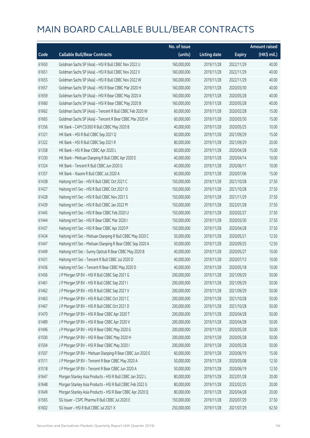|       |                                                             | No. of issue |                     |               | Amount raised |
|-------|-------------------------------------------------------------|--------------|---------------------|---------------|---------------|
| Code  | <b>Callable Bull/Bear Contracts</b>                         | (units)      | <b>Listing date</b> | <b>Expiry</b> | (HK\$ mil.)   |
| 61650 | Goldman Sachs SP (Asia) - HSI R Bull CBBC Nov 2022 U        | 160,000,000  | 2019/11/28          | 2022/11/29    | 40.00         |
| 61651 | Goldman Sachs SP (Asia) - HSI R Bull CBBC Nov 2022 V        | 160,000,000  | 2019/11/28          | 2022/11/29    | 40.00         |
| 61655 | Goldman Sachs SP (Asia) - HSI R Bull CBBC Nov 2022 W        | 160,000,000  | 2019/11/28          | 2022/11/29    | 40.00         |
| 61657 | Goldman Sachs SP (Asia) - HSI R Bear CBBC Mar 2020 H        | 160,000,000  | 2019/11/28          | 2020/03/30    | 40.00         |
| 61659 | Goldman Sachs SP (Asia) - HSI R Bear CBBC May 2020 A        | 160,000,000  | 2019/11/28          | 2020/05/28    | 40.00         |
| 61660 | Goldman Sachs SP (Asia) - HSI R Bear CBBC May 2020 B        | 160,000,000  | 2019/11/28          | 2020/05/28    | 40.00         |
| 61662 | Goldman Sachs SP (Asia) - Tencent R Bull CBBC Feb 2020 W    | 60,000,000   | 2019/11/28          | 2020/02/28    | 15.00         |
| 61665 | Goldman Sachs SP (Asia) - Tencent R Bear CBBC Mar 2020 H    | 60,000,000   | 2019/11/28          | 2020/03/30    | 15.00         |
| 61356 | HK Bank - CAM CSI300 R Bull CBBC May 2020 B                 | 40,000,000   | 2019/11/28          | 2020/05/25    | 10.00         |
| 61321 | HK Bank - HSI R Bull CBBC Sep 2021 Q                        | 60,000,000   | 2019/11/28          | 2021/09/29    | 15.00         |
| 61322 | HK Bank - HSI R Bull CBBC Sep 2021 R                        | 80,000,000   | 2019/11/28          | 2021/09/29    | 20.00         |
| 61358 | HK Bank - HSI R Bear CBBC Apr 2020 L                        | 60,000,000   | 2019/11/28          | 2020/04/28    | 15.00         |
| 61330 | HK Bank - Meituan Dianping R Bull CBBC Apr 2020 E           | 40,000,000   | 2019/11/28          | 2020/04/14    | 10.00         |
| 61324 | HK Bank - Tencent R Bull CBBC Jun 2020 G                    | 40,000,000   | 2019/11/28          | 2020/06/11    | 10.00         |
| 61357 | HK Bank - Xiaomi R Bull CBBC Jul 2020 A                     | 60,000,000   | 2019/11/28          | 2020/07/06    | 15.00         |
| 61438 | Haitong Int'l Sec - HSI R Bull CBBC Oct 2021 C              | 150,000,000  | 2019/11/28          | 2021/10/28    | 37.50         |
| 61427 | Haitong Int'l Sec - HSI R Bull CBBC Oct 2021 O              | 150,000,000  | 2019/11/28          | 2021/10/28    | 37.50         |
| 61428 | Haitong Int'l Sec - HSI R Bull CBBC Nov 2021 S              | 150,000,000  | 2019/11/28          | 2021/11/29    | 37.50         |
| 61439 | Haitong Int'l Sec - HSI R Bull CBBC Jan 2022 M              | 150,000,000  | 2019/11/28          | 2022/01/28    | 37.50         |
| 61445 | Haitong Int'l Sec - HSI R Bear CBBC Feb 2020 U              | 150,000,000  | 2019/11/28          | 2020/02/27    | 37.50         |
| 61444 | Haitong Int'l Sec - HSI R Bear CBBC Mar 2020 I              | 150,000,000  | 2019/11/28          | 2020/03/30    | 37.50         |
| 61437 | Haitong Int'l Sec - HSI R Bear CBBC Apr 2020 P              | 150,000,000  | 2019/11/28          | 2020/04/28    | 37.50         |
| 61434 | Haitong Int'l Sec - Meituan Dianping R Bull CBBC May 2020 C | 50,000,000   | 2019/11/28          | 2020/05/21    | 12.50         |
| 61447 | Haitong Int'l Sec - Meituan Dianping R Bear CBBC Sep 2020 A | 50,000,000   | 2019/11/28          | 2020/09/25    | 12.50         |
| 61449 | Haitong Int'l Sec - Sunny Optical R Bear CBBC May 2020 B    | 40,000,000   | 2019/11/28          | 2020/05/27    | 10.00         |
| 61431 | Haitong Int'l Sec - Tencent R Bull CBBC Jul 2020 D          | 40,000,000   | 2019/11/28          | 2020/07/13    | 10.00         |
| 61436 | Haitong Int'l Sec - Tencent R Bear CBBC May 2020 D          | 40,000,000   | 2019/11/28          | 2020/05/18    | 10.00         |
| 61456 | J P Morgan SP BV - HSI R Bull CBBC Sep 2021 G               | 200,000,000  | 2019/11/28          | 2021/09/29    | 50.00         |
| 61461 | J P Morgan SP BV - HSI R Bull CBBC Sep 2021 I               | 200,000,000  | 2019/11/28          | 2021/09/29    | 50.00         |
| 61462 | J P Morgan SP BV - HSI R Bull CBBC Sep 2021 V               | 200,000,000  | 2019/11/28          | 2021/09/29    | 50.00         |
| 61463 | J P Morgan SP BV - HSI R Bull CBBC Oct 2021 C               | 200,000,000  | 2019/11/28          | 2021/10/28    | 50.00         |
| 61467 | J P Morgan SP BV - HSI R Bull CBBC Oct 2021 D               | 200,000,000  | 2019/11/28          | 2021/10/28    | 50.00         |
| 61470 | J P Morgan SP BV - HSI R Bear CBBC Apr 2020 T               | 200,000,000  | 2019/11/28          | 2020/04/28    | 50.00         |
| 61489 | J P Morgan SP BV - HSI R Bear CBBC Apr 2020 V               | 200,000,000  | 2019/11/28          | 2020/04/28    | 50.00         |
| 61496 | J P Morgan SP BV - HSI R Bear CBBC May 2020 G               | 200,000,000  | 2019/11/28          | 2020/05/28    | 50.00         |
| 61500 | J P Morgan SP BV - HSI R Bear CBBC May 2020 H               | 200,000,000  | 2019/11/28          | 2020/05/28    | 50.00         |
| 61504 | J P Morgan SP BV - HSI R Bear CBBC May 2020 I               | 200,000,000  | 2019/11/28          | 2020/05/28    | 50.00         |
| 61507 | J P Morgan SP BV - Meituan Dianping R Bear CBBC Jun 2020 E  | 60,000,000   | 2019/11/28          | 2020/06/19    | 15.00         |
| 61511 | J P Morgan SP BV - Tencent R Bear CBBC May 2020 A           | 50,000,000   | 2019/11/28          | 2020/05/08    | 12.50         |
| 61518 | J P Morgan SP BV - Tencent R Bear CBBC Jun 2020 A           | 50,000,000   | 2019/11/28          | 2020/06/19    | 12.50         |
| 61647 | Morgan Stanley Asia Products - HSI R Bull CBBC Jan 2022 L   | 80,000,000   | 2019/11/28          | 2022/01/28    | 20.00         |
| 61648 | Morgan Stanley Asia Products - HSI R Bull CBBC Feb 2022 G   | 80,000,000   | 2019/11/28          | 2022/02/25    | 20.00         |
| 61649 | Morgan Stanley Asia Products - HSI R Bear CBBC Apr 2020 Q   | 80,000,000   | 2019/11/28          | 2020/04/28    | 20.00         |
| 61565 | SG Issuer - CSPC Pharma R Bull CBBC Jul 2020 E              | 150,000,000  | 2019/11/28          | 2020/07/29    | 37.50         |
| 61602 | SG Issuer - HSI R Bull CBBC Jul 2021 X                      | 250,000,000  | 2019/11/28          | 2021/07/29    | 62.50         |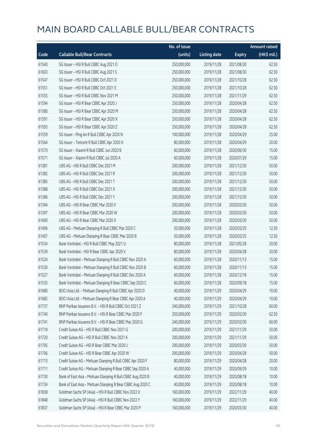|       |                                                             | No. of issue |                     |               | <b>Amount raised</b> |
|-------|-------------------------------------------------------------|--------------|---------------------|---------------|----------------------|
| Code  | <b>Callable Bull/Bear Contracts</b>                         | (units)      | <b>Listing date</b> | <b>Expiry</b> | (HK\$ mil.)          |
| 61540 | SG Issuer - HSI R Bull CBBC Aug 2021 O                      | 250,000,000  | 2019/11/28          | 2021/08/30    | 62.50                |
| 61603 | SG Issuer - HSI R Bull CBBC Aug 2021 S                      | 250,000,000  | 2019/11/28          | 2021/08/30    | 62.50                |
| 61547 | SG Issuer - HSI R Bull CBBC Oct 2021 D                      | 250,000,000  | 2019/11/28          | 2021/10/28    | 62.50                |
| 61551 | SG Issuer - HSI R Bull CBBC Oct 2021 E                      | 250,000,000  | 2019/11/28          | 2021/10/28    | 62.50                |
| 61555 | SG Issuer - HSI R Bull CBBC Nov 2021 M                      | 250,000,000  | 2019/11/28          | 2021/11/29    | 62.50                |
| 61594 | SG Issuer - HSI R Bear CBBC Apr 2020 J                      | 250,000,000  | 2019/11/28          | 2020/04/28    | 62.50                |
| 61580 | SG Issuer - HSI R Bear CBBC Apr 2020 M                      | 250,000,000  | 2019/11/28          | 2020/04/28    | 62.50                |
| 61591 | SG Issuer - HSI R Bear CBBC Apr 2020 X                      | 250,000,000  | 2019/11/28          | 2020/04/28    | 62.50                |
| 61593 | SG Issuer - HSI R Bear CBBC Apr 2020 Z                      | 250,000,000  | 2019/11/28          | 2020/04/28    | 62.50                |
| 61559 | SG Issuer - Ping An R Bull CBBC Apr 2020 N                  | 100,000,000  | 2019/11/28          | 2020/04/29    | 25.00                |
| 61564 | SG Issuer - Tencent R Bull CBBC Apr 2020 X                  | 80,000,000   | 2019/11/28          | 2020/04/29    | 20.00                |
| 61570 | SG Issuer - Xiaomi R Bull CBBC Jun 2020 B                   | 60,000,000   | 2019/11/28          | 2020/06/30    | 15.00                |
| 61571 | SG Issuer - Xiaomi R Bull CBBC Jul 2020 A                   | 60,000,000   | 2019/11/28          | 2020/07/29    | 15.00                |
| 61381 | UBS AG - HSI R Bull CBBC Dec 2021 M                         | 200,000,000  | 2019/11/28          | 2021/12/30    | 50.00                |
| 61382 | UBS AG - HSI R Bull CBBC Dec 2021 R                         | 200,000,000  | 2019/11/28          | 2021/12/30    | 50.00                |
| 61385 | UBS AG - HSI R Bull CBBC Dec 2021 T                         | 200,000,000  | 2019/11/28          | 2021/12/30    | 50.00                |
| 61388 | UBS AG - HSI R Bull CBBC Dec 2021 X                         | 200,000,000  | 2019/11/28          | 2021/12/30    | 50.00                |
| 61386 | UBS AG - HSI R Bull CBBC Dec 2021 Y                         | 200,000,000  | 2019/11/28          | 2021/12/30    | 50.00                |
| 61394 | UBS AG - HSI R Bear CBBC Mar 2020 V                         | 200,000,000  | 2019/11/28          | 2020/03/30    | 50.00                |
| 61397 | UBS AG - HSI R Bear CBBC Mar 2020 W                         | 200,000,000  | 2019/11/28          | 2020/03/30    | 50.00                |
| 61400 | UBS AG - HSI R Bear CBBC Mar 2020 X                         | 200,000,000  | 2019/11/28          | 2020/03/30    | 50.00                |
| 61406 | UBS AG - Meituan Dianping R Bull CBBC Mar 2020 C            | 50,000,000   | 2019/11/28          | 2020/03/25    | 12.50                |
| 61407 | UBS AG - Meituan Dianping R Bear CBBC Mar 2020 B            | 50,000,000   | 2019/11/28          | 2020/03/25    | 12.50                |
| 61534 | Bank Vontobel - HSI R Bull CBBC May 2021 U                  | 80,000,000   | 2019/11/28          | 2021/05/28    | 20.00                |
| 61539 | Bank Vontobel - HSI R Bear CBBC Apr 2020 V                  | 80,000,000   | 2019/11/28          | 2020/04/28    | 20.00                |
| 61524 | Bank Vontobel - Meituan Dianping R Bull CBBC Nov 2020 A     | 60,000,000   | 2019/11/28          | 2020/11/13    | 15.00                |
| 61530 | Bank Vontobel - Meituan Dianping R Bull CBBC Nov 2020 B     | 60,000,000   | 2019/11/28          | 2020/11/13    | 15.00                |
| 61527 | Bank Vontobel - Meituan Dianping R Bull CBBC Dec 2020 A     | 60,000,000   | 2019/11/28          | 2020/12/18    | 15.00                |
| 61535 | Bank Vontobel - Meituan Dianping R Bear CBBC Sep 2020 C     | 60,000,000   | 2019/11/28          | 2020/09/18    | 15.00                |
| 61680 | BOCI Asia Ltd. - Meituan Dianping R Bull CBBC Apr 2020 D    | 40,000,000   | 2019/11/29          | 2020/04/29    | 10.00                |
| 61682 | BOCI Asia Ltd. - Meituan Dianping R Bear CBBC Apr 2020 A    | 40,000,000   | 2019/11/29          | 2020/04/29    | 10.00                |
| 61737 | BNP Paribas Issuance B.V. - HSI R Bull CBBC Oct 2021 Z      | 240,000,000  | 2019/11/29          | 2021/10/28    | 60.00                |
| 61740 | BNP Paribas Issuance B.V. - HSI R Bear CBBC Mar 2020 F      | 250,000,000  | 2019/11/29          | 2020/03/30    | 62.50                |
| 61741 | BNP Paribas Issuance B.V. - HSI R Bear CBBC Mar 2020 G      | 240,000,000  | 2019/11/29          | 2020/03/30    | 60.00                |
| 61719 | Credit Suisse AG - HSI R Bull CBBC Nov 2021 G               | 200,000,000  | 2019/11/29          | 2021/11/29    | 50.00                |
| 61720 | Credit Suisse AG - HSI R Bull CBBC Nov 2021 K               | 200,000,000  | 2019/11/29          | 2021/11/29    | 50.00                |
| 61705 | Credit Suisse AG - HSI R Bear CBBC Mar 2020 J               | 200,000,000  | 2019/11/29          | 2020/03/30    | 50.00                |
| 61706 | Credit Suisse AG - HSI R Bear CBBC Apr 2020 W               | 200,000,000  | 2019/11/29          | 2020/04/28    | 50.00                |
| 61713 | Credit Suisse AG - Meituan Dianping R Bull CBBC Apr 2020 F  | 80,000,000   | 2019/11/29          | 2020/04/28    | 20.00                |
| 61711 | Credit Suisse AG - Meituan Dianping R Bear CBBC Sep 2020 A  | 40,000,000   | 2019/11/29          | 2020/09/29    | 10.00                |
| 61730 | Bank of East Asia - Meituan Dianping R Bull CBBC Aug 2020 B | 40,000,000   | 2019/11/29          | 2020/08/18    | 10.00                |
| 61734 | Bank of East Asia - Meituan Dianping R Bear CBBC Aug 2020 C | 40,000,000   | 2019/11/29          | 2020/08/18    | 10.00                |
| 61838 | Goldman Sachs SP (Asia) - HSI R Bull CBBC Nov 2022 X        | 160,000,000  | 2019/11/29          | 2022/11/29    | 40.00                |
| 61848 | Goldman Sachs SP (Asia) - HSI R Bull CBBC Nov 2022 Y        | 160,000,000  | 2019/11/29          | 2022/11/29    | 40.00                |
| 61837 | Goldman Sachs SP (Asia) - HSI R Bear CBBC Mar 2020 P        | 160,000,000  | 2019/11/29          | 2020/03/30    | 40.00                |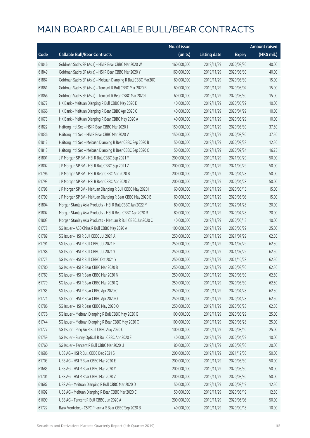|       |                                                               | No. of issue |                     |               | <b>Amount raised</b> |
|-------|---------------------------------------------------------------|--------------|---------------------|---------------|----------------------|
| Code  | <b>Callable Bull/Bear Contracts</b>                           | (units)      | <b>Listing date</b> | <b>Expiry</b> | (HK\$ mil.)          |
| 61846 | Goldman Sachs SP (Asia) - HSI R Bear CBBC Mar 2020 W          | 160,000,000  | 2019/11/29          | 2020/03/30    | 40.00                |
| 61849 | Goldman Sachs SP (Asia) - HSI R Bear CBBC Mar 2020 Y          | 160,000,000  | 2019/11/29          | 2020/03/30    | 40.00                |
| 61867 | Goldman Sachs SP (Asia) - Meituan Dianping R Bull CBBC Mar20C | 60,000,000   | 2019/11/29          | 2020/03/30    | 15.00                |
| 61861 | Goldman Sachs SP (Asia) - Tencent R Bull CBBC Mar 2020 B      | 60,000,000   | 2019/11/29          | 2020/03/02    | 15.00                |
| 61866 | Goldman Sachs SP (Asia) - Tencent R Bear CBBC Mar 2020 I      | 60,000,000   | 2019/11/29          | 2020/03/30    | 15.00                |
| 61672 | HK Bank - Meituan Dianping R Bull CBBC May 2020 E             | 40,000,000   | 2019/11/29          | 2020/05/29    | 10.00                |
| 61666 | HK Bank - Meituan Dianping R Bear CBBC Apr 2020 C             | 40,000,000   | 2019/11/29          | 2020/04/29    | 10.00                |
| 61673 | HK Bank - Meituan Dianping R Bear CBBC May 2020 A             | 40,000,000   | 2019/11/29          | 2020/05/29    | 10.00                |
| 61822 | Haitong Int'l Sec - HSI R Bear CBBC Mar 2020 J                | 150,000,000  | 2019/11/29          | 2020/03/30    | 37.50                |
| 61836 | Haitong Int'l Sec - HSI R Bear CBBC Mar 2020 V                | 150,000,000  | 2019/11/29          | 2020/03/30    | 37.50                |
| 61812 | Haitong Int'l Sec - Meituan Dianping R Bear CBBC Sep 2020 B   | 50,000,000   | 2019/11/29          | 2020/09/28    | 12.50                |
| 61813 | Haitong Int'l Sec - Meituan Dianping R Bear CBBC Sep 2020 C   | 50,000,000   | 2019/11/29          | 2020/09/24    | 16.75                |
| 61801 | J P Morgan SP BV - HSI R Bull CBBC Sep 2021 Y                 | 200,000,000  | 2019/11/29          | 2021/09/29    | 50.00                |
| 61802 | J P Morgan SP BV - HSI R Bull CBBC Sep 2021 Z                 | 200,000,000  | 2019/11/29          | 2021/09/29    | 50.00                |
| 61796 | J P Morgan SP BV - HSI R Bear CBBC Apr 2020 B                 | 200,000,000  | 2019/11/29          | 2020/04/28    | 50.00                |
| 61793 | J P Morgan SP BV - HSI R Bear CBBC Apr 2020 Z                 | 200,000,000  | 2019/11/29          | 2020/04/28    | 50.00                |
| 61798 | J P Morgan SP BV - Meituan Dianping R Bull CBBC May 2020 I    | 60,000,000   | 2019/11/29          | 2020/05/15    | 15.00                |
| 61799 | J P Morgan SP BV - Meituan Dianping R Bear CBBC May 2020 B    | 60,000,000   | 2019/11/29          | 2020/05/08    | 15.00                |
| 61804 | Morgan Stanley Asia Products - HSI R Bull CBBC Jan 2022 M     | 80,000,000   | 2019/11/29          | 2022/01/28    | 20.00                |
| 61807 | Morgan Stanley Asia Products - HSI R Bear CBBC Apr 2020 R     | 80,000,000   | 2019/11/29          | 2020/04/28    | 20.00                |
| 61803 | Morgan Stanley Asia Products - Meituan R Bull CBBC Jun2020 C  | 40,000,000   | 2019/11/29          | 2020/06/15    | 10.00                |
| 61778 | SG Issuer - A50 China R Bull CBBC May 2020 A                  | 100,000,000  | 2019/11/29          | 2020/05/29    | 25.00                |
| 61789 | SG Issuer - HSI R Bull CBBC Jul 2021 A                        | 250,000,000  | 2019/11/29          | 2021/07/29    | 62.50                |
| 61791 | SG Issuer - HSI R Bull CBBC Jul 2021 E                        | 250,000,000  | 2019/11/29          | 2021/07/29    | 62.50                |
| 61788 | SG Issuer - HSI R Bull CBBC Jul 2021 Y                        | 250,000,000  | 2019/11/29          | 2021/07/29    | 62.50                |
| 61775 | SG Issuer - HSI R Bull CBBC Oct 2021 Y                        | 250,000,000  | 2019/11/29          | 2021/10/28    | 62.50                |
| 61780 | SG Issuer - HSI R Bear CBBC Mar 2020 B                        | 250,000,000  | 2019/11/29          | 2020/03/30    | 62.50                |
| 61769 | SG Issuer - HSI R Bear CBBC Mar 2020 N                        | 250,000,000  | 2019/11/29          | 2020/03/30    | 62.50                |
| 61779 | SG Issuer - HSI R Bear CBBC Mar 2020 Q                        | 250,000,000  | 2019/11/29          | 2020/03/30    | 62.50                |
| 61785 | SG Issuer - HSI R Bear CBBC Apr 2020 C                        | 250,000,000  | 2019/11/29          | 2020/04/28    | 62.50                |
| 61771 | SG Issuer - HSI R Bear CBBC Apr 2020 O                        | 250,000,000  | 2019/11/29          | 2020/04/28    | 62.50                |
| 61786 | SG Issuer - HSI R Bear CBBC May 2020 Q                        | 250,000,000  | 2019/11/29          | 2020/05/28    | 62.50                |
| 61776 | SG Issuer - Meituan Dianping R Bull CBBC May 2020 G           | 100,000,000  | 2019/11/29          | 2020/05/29    | 25.00                |
| 61744 | SG Issuer - Meituan Dianping R Bear CBBC May 2020 C           | 100,000,000  | 2019/11/29          | 2020/05/28    | 25.00                |
| 61777 | SG Issuer - Ping An R Bull CBBC Aug 2020 C                    | 100,000,000  | 2019/11/29          | 2020/08/10    | 25.00                |
| 61759 | SG Issuer - Sunny Optical R Bull CBBC Apr 2020 E              | 40,000,000   | 2019/11/29          | 2020/04/29    | 10.00                |
| 61760 | SG Issuer - Tencent R Bull CBBC Mar 2020 U                    | 80,000,000   | 2019/11/29          | 2020/03/30    | 20.00                |
| 61686 | UBS AG - HSI R Bull CBBC Dec 2021 S                           | 200,000,000  | 2019/11/29          | 2021/12/30    | 50.00                |
| 61703 | UBS AG - HSI R Bear CBBC Mar 2020 E                           | 200,000,000  | 2019/11/29          | 2020/03/30    | 50.00                |
| 61685 | UBS AG - HSI R Bear CBBC Mar 2020 Y                           | 200,000,000  | 2019/11/29          | 2020/03/30    | 50.00                |
| 61701 | UBS AG - HSI R Bear CBBC Mar 2020 Z                           | 200,000,000  | 2019/11/29          | 2020/03/30    | 50.00                |
| 61687 | UBS AG - Meituan Dianping R Bull CBBC Mar 2020 D              | 50,000,000   | 2019/11/29          | 2020/03/19    | 12.50                |
| 61692 | UBS AG - Meituan Dianping R Bear CBBC Mar 2020 C              | 50,000,000   | 2019/11/29          | 2020/03/19    | 12.50                |
| 61699 | UBS AG - Tencent R Bull CBBC Jun 2020 A                       | 200,000,000  | 2019/11/29          | 2020/06/08    | 50.00                |
| 61722 | Bank Vontobel - CSPC Pharma R Bear CBBC Sep 2020 B            | 40,000,000   | 2019/11/29          | 2020/09/18    | 10.00                |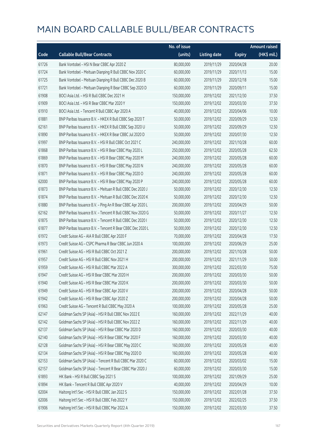|       |                                                            | No. of issue |                     |               | <b>Amount raised</b> |
|-------|------------------------------------------------------------|--------------|---------------------|---------------|----------------------|
| Code  | <b>Callable Bull/Bear Contracts</b>                        | (units)      | <b>Listing date</b> | <b>Expiry</b> | (HK\$ mil.)          |
| 61726 | Bank Vontobel - HSI N Bear CBBC Apr 2020 Z                 | 80,000,000   | 2019/11/29          | 2020/04/28    | 20.00                |
| 61724 | Bank Vontobel - Meituan Dianping R Bull CBBC Nov 2020 C    | 60,000,000   | 2019/11/29          | 2020/11/13    | 15.00                |
| 61725 | Bank Vontobel - Meituan Dianping R Bull CBBC Dec 2020 B    | 60,000,000   | 2019/11/29          | 2020/12/18    | 15.00                |
| 61721 | Bank Vontobel - Meituan Dianping R Bear CBBC Sep 2020 D    | 60,000,000   | 2019/11/29          | 2020/09/11    | 15.00                |
| 61908 | BOCI Asia Ltd. - HSI R Bull CBBC Dec 2021 H                | 150,000,000  | 2019/12/02          | 2021/12/30    | 37.50                |
| 61909 | BOCI Asia Ltd. - HSI R Bear CBBC Mar 2020 Y                | 150,000,000  | 2019/12/02          | 2020/03/30    | 37.50                |
| 61910 | BOCI Asia Ltd. - Tencent R Bull CBBC Apr 2020 A            | 40,000,000   | 2019/12/02          | 2020/04/06    | 10.00                |
| 61881 | BNP Paribas Issuance B.V. - HKEX R Bull CBBC Sep 2020 T    | 50,000,000   | 2019/12/02          | 2020/09/29    | 12.50                |
| 62161 | BNP Paribas Issuance B.V. - HKEX R Bull CBBC Sep 2020 U    | 50,000,000   | 2019/12/02          | 2020/09/29    | 12.50                |
| 61890 | BNP Paribas Issuance B.V. - HKEX R Bear CBBC Jul 2020 D    | 50,000,000   | 2019/12/02          | 2020/07/30    | 12.50                |
| 61997 | BNP Paribas Issuance B.V. - HSI R Bull CBBC Oct 2021 C     | 240,000,000  | 2019/12/02          | 2021/10/28    | 60.00                |
| 61868 | BNP Paribas Issuance B.V. - HSI R Bear CBBC May 2020 L     | 250,000,000  | 2019/12/02          | 2020/05/28    | 62.50                |
| 61869 | BNP Paribas Issuance B.V. - HSI R Bear CBBC May 2020 M     | 240,000,000  | 2019/12/02          | 2020/05/28    | 60.00                |
| 61870 | BNP Paribas Issuance B.V. - HSI R Bear CBBC May 2020 N     | 240,000,000  | 2019/12/02          | 2020/05/28    | 60.00                |
| 61871 | BNP Paribas Issuance B.V. - HSI R Bear CBBC May 2020 O     | 240,000,000  | 2019/12/02          | 2020/05/28    | 60.00                |
| 62000 | BNP Paribas Issuance B.V. - HSI R Bear CBBC May 2020 P     | 240,000,000  | 2019/12/02          | 2020/05/28    | 60.00                |
| 61873 | BNP Paribas Issuance B.V. - Meituan R Bull CBBC Dec 2020 J | 50,000,000   | 2019/12/02          | 2020/12/30    | 12.50                |
| 61874 | BNP Paribas Issuance B.V. - Meituan R Bull CBBC Dec 2020 K | 50,000,000   | 2019/12/02          | 2020/12/30    | 12.50                |
| 61880 | BNP Paribas Issuance B.V. - Ping An R Bear CBBC Apr 2020 L | 200,000,000  | 2019/12/02          | 2020/04/29    | 50.00                |
| 62162 | BNP Paribas Issuance B.V. - Tencent R Bull CBBC Nov 2020 G | 50,000,000   | 2019/12/02          | 2020/11/27    | 12.50                |
| 61875 | BNP Paribas Issuance B.V. - Tencent R Bull CBBC Dec 2020 I | 50,000,000   | 2019/12/02          | 2020/12/30    | 12.50                |
| 61877 | BNP Paribas Issuance B.V. - Tencent R Bear CBBC Dec 2020 L | 50,000,000   | 2019/12/02          | 2020/12/30    | 12.50                |
| 61972 | Credit Suisse AG - AIA R Bull CBBC Apr 2020 F              | 70,000,000   | 2019/12/02          | 2020/04/28    | 17.50                |
| 61973 | Credit Suisse AG - CSPC Pharma R Bear CBBC Jun 2020 A      | 100,000,000  | 2019/12/02          | 2020/06/29    | 25.00                |
| 61961 | Credit Suisse AG - HSI R Bull CBBC Oct 2021 Z              | 200,000,000  | 2019/12/02          | 2021/10/28    | 50.00                |
| 61957 | Credit Suisse AG - HSI R Bull CBBC Nov 2021 H              | 200,000,000  | 2019/12/02          | 2021/11/29    | 50.00                |
| 61959 | Credit Suisse AG - HSI R Bull CBBC Mar 2022 A              | 300,000,000  | 2019/12/02          | 2022/03/30    | 75.00                |
| 61947 | Credit Suisse AG - HSI R Bear CBBC Mar 2020 H              | 200,000,000  | 2019/12/02          | 2020/03/30    | 50.00                |
| 61940 | Credit Suisse AG - HSI R Bear CBBC Mar 2020 K              | 200,000,000  | 2019/12/02          | 2020/03/30    | 50.00                |
| 61949 | Credit Suisse AG - HSI R Bear CBBC Apr 2020 V              | 200,000,000  | 2019/12/02          | 2020/04/28    | 50.00                |
| 61942 | Credit Suisse AG - HSI R Bear CBBC Apr 2020 Z              | 200,000,000  | 2019/12/02          | 2020/04/28    | 50.00                |
| 61963 | Credit Suisse AG - Tencent R Bull CBBC May 2020 A          | 100,000,000  | 2019/12/02          | 2020/05/28    | 25.00                |
| 62147 | Goldman Sachs SP (Asia) - HSI R Bull CBBC Nov 2022 E       | 160,000,000  | 2019/12/02          | 2022/11/29    | 40.00                |
| 62142 | Goldman Sachs SP (Asia) - HSI R Bull CBBC Nov 2022 Z       | 160,000,000  | 2019/12/02          | 2022/11/29    | 40.00                |
| 62137 | Goldman Sachs SP (Asia) - HSI R Bear CBBC Mar 2020 D       | 160,000,000  | 2019/12/02          | 2020/03/30    | 40.00                |
| 62140 | Goldman Sachs SP (Asia) - HSI R Bear CBBC Mar 2020 F       | 160,000,000  | 2019/12/02          | 2020/03/30    | 40.00                |
| 62128 | Goldman Sachs SP (Asia) - HSI R Bear CBBC May 2020 C       | 160,000,000  | 2019/12/02          | 2020/05/28    | 40.00                |
| 62134 | Goldman Sachs SP (Asia) - HSI R Bear CBBC May 2020 D       | 160,000,000  | 2019/12/02          | 2020/05/28    | 40.00                |
| 62153 | Goldman Sachs SP (Asia) - Tencent R Bull CBBC Mar 2020 C   | 60,000,000   | 2019/12/02          | 2020/03/02    | 15.00                |
| 62157 | Goldman Sachs SP (Asia) - Tencent R Bear CBBC Mar 2020 J   | 60,000,000   | 2019/12/02          | 2020/03/30    | 15.00                |
| 61893 | HK Bank - HSI R Bull CBBC Sep 2021 S                       | 100,000,000  | 2019/12/02          | 2021/09/29    | 25.00                |
| 61894 | HK Bank - Tencent R Bull CBBC Apr 2020 V                   | 40,000,000   | 2019/12/02          | 2020/04/29    | 10.00                |
| 62004 | Haitong Int'l Sec - HSI R Bull CBBC Jan 2022 S             | 150,000,000  | 2019/12/02          | 2022/01/28    | 37.50                |
| 62006 | Haitong Int'l Sec - HSI R Bull CBBC Feb 2022 Y             | 150,000,000  | 2019/12/02          | 2022/02/25    | 37.50                |
| 61906 | Haitong Int'l Sec - HSI R Bull CBBC Mar 2022 A             | 150,000,000  | 2019/12/02          | 2022/03/30    | 37.50                |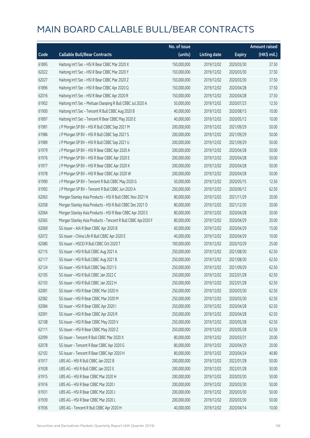|       |                                                              | No. of issue |                     |               | <b>Amount raised</b> |
|-------|--------------------------------------------------------------|--------------|---------------------|---------------|----------------------|
| Code  | <b>Callable Bull/Bear Contracts</b>                          | (units)      | <b>Listing date</b> | <b>Expiry</b> | (HK\$ mil.)          |
| 61895 | Haitong Int'l Sec - HSI R Bear CBBC Mar 2020 X               | 150,000,000  | 2019/12/02          | 2020/03/30    | 37.50                |
| 62022 | Haitong Int'l Sec - HSI R Bear CBBC Mar 2020 Y               | 150,000,000  | 2019/12/02          | 2020/03/30    | 37.50                |
| 62027 | Haitong Int'l Sec - HSI R Bear CBBC Mar 2020 Z               | 150,000,000  | 2019/12/02          | 2020/03/30    | 37.50                |
| 61896 | Haitong Int'l Sec - HSI R Bear CBBC Apr 2020 Q               | 150,000,000  | 2019/12/02          | 2020/04/28    | 37.50                |
| 62016 | Haitong Int'l Sec - HSI R Bear CBBC Apr 2020 R               | 150,000,000  | 2019/12/02          | 2020/04/28    | 37.50                |
| 61902 | Haitong Int'l Sec - Meituan Dianping R Bull CBBC Jul 2020 A  | 50,000,000   | 2019/12/02          | 2020/07/23    | 12.50                |
| 61900 | Haitong Int'l Sec - Tencent R Bull CBBC Aug 2020 B           | 40,000,000   | 2019/12/02          | 2020/08/13    | 10.00                |
| 61897 | Haitong Int'l Sec - Tencent R Bear CBBC May 2020 E           | 40,000,000   | 2019/12/02          | 2020/05/12    | 10.00                |
| 61981 | J P Morgan SP BV - HSI R Bull CBBC Sep 2021 M                | 200,000,000  | 2019/12/02          | 2021/09/29    | 50.00                |
| 61986 | J P Morgan SP BV - HSI R Bull CBBC Sep 2021 S                | 200,000,000  | 2019/12/02          | 2021/09/29    | 50.00                |
| 61989 | J P Morgan SP BV - HSI R Bull CBBC Sep 2021 U                | 200,000,000  | 2019/12/02          | 2021/09/29    | 50.00                |
| 61979 | J P Morgan SP BV - HSI R Bear CBBC Apr 2020 A                | 200,000,000  | 2019/12/02          | 2020/04/28    | 50.00                |
| 61976 | J P Morgan SP BV - HSI R Bear CBBC Apr 2020 E                | 200,000,000  | 2019/12/02          | 2020/04/28    | 50.00                |
| 61977 | J P Morgan SP BV - HSI R Bear CBBC Apr 2020 K                | 200,000,000  | 2019/12/02          | 2020/04/28    | 50.00                |
| 61978 | J P Morgan SP BV - HSI R Bear CBBC Apr 2020 W                | 200,000,000  | 2019/12/02          | 2020/04/28    | 50.00                |
| 61990 | J P Morgan SP BV - Tencent R Bull CBBC May 2020 G            | 50,000,000   | 2019/12/02          | 2020/05/15    | 12.50                |
| 61992 | J P Morgan SP BV - Tencent R Bull CBBC Jun 2020 A            | 250,000,000  | 2019/12/02          | 2020/06/12    | 62.50                |
| 62063 | Morgan Stanley Asia Products - HSI R Bull CBBC Nov 2021 N    | 80,000,000   | 2019/12/02          | 2021/11/29    | 20.00                |
| 62058 | Morgan Stanley Asia Products - HSI R Bull CBBC Dec 2021 O    | 80,000,000   | 2019/12/02          | 2021/12/30    | 20.00                |
| 62064 | Morgan Stanley Asia Products - HSI R Bear CBBC Apr 2020 S    | 80,000,000   | 2019/12/02          | 2020/04/28    | 20.00                |
| 62065 | Morgan Stanley Asia Products - Tencent R Bull CBBC Apr2020 F | 80,000,000   | 2019/12/02          | 2020/04/29    | 20.00                |
| 62069 | SG Issuer - AIA R Bear CBBC Apr 2020 B                       | 60,000,000   | 2019/12/02          | 2020/04/29    | 15.00                |
| 62072 | SG Issuer - China Life R Bull CBBC Apr 2020 E                | 40,000,000   | 2019/12/02          | 2020/04/29    | 10.00                |
| 62080 | SG Issuer - HSCEI R Bull CBBC Oct 2020 T                     | 100,000,000  | 2019/12/02          | 2020/10/29    | 25.00                |
| 62115 | SG Issuer - HSI R Bull CBBC Aug 2021 A                       | 250,000,000  | 2019/12/02          | 2021/08/30    | 62.50                |
| 62117 | SG Issuer - HSI R Bull CBBC Aug 2021 B                       | 250,000,000  | 2019/12/02          | 2021/08/30    | 62.50                |
| 62124 | SG Issuer - HSI R Bull CBBC Sep 2021 S                       | 250,000,000  | 2019/12/02          | 2021/09/29    | 62.50                |
| 62105 | SG Issuer - HSI R Bull CBBC Jan 2022 C                       | 250,000,000  | 2019/12/02          | 2022/01/28    | 62.50                |
| 62103 | SG Issuer - HSI R Bull CBBC Jan 2022 H                       | 250,000,000  | 2019/12/02          | 2022/01/28    | 62.50                |
| 62081 | SG Issuer - HSI R Bear CBBC Mar 2020 H                       | 250,000,000  | 2019/12/02          | 2020/03/30    | 62.50                |
| 62082 | SG Issuer - HSI R Bear CBBC Mar 2020 M                       | 250,000,000  | 2019/12/02          | 2020/03/30    | 62.50                |
| 62084 | SG Issuer - HSI R Bear CBBC Apr 2020 I                       | 250,000,000  | 2019/12/02          | 2020/04/28    | 62.50                |
| 62091 | SG Issuer - HSI R Bear CBBC Apr 2020 R                       | 250,000,000  | 2019/12/02          | 2020/04/28    | 62.50                |
| 62108 | SG Issuer - HSI R Bear CBBC May 2020 V                       | 250,000,000  | 2019/12/02          | 2020/05/28    | 62.50                |
| 62111 | SG Issuer - HSI R Bear CBBC May 2020 Z                       | 250,000,000  | 2019/12/02          | 2020/05/28    | 62.50                |
| 62099 | SG Issuer - Tencent R Bull CBBC Mar 2020 X                   | 80,000,000   | 2019/12/02          | 2020/03/31    | 20.00                |
| 62078 | SG Issuer - Tencent R Bear CBBC Apr 2020 G                   | 80,000,000   | 2019/12/02          | 2020/04/29    | 20.00                |
| 62102 | SG Issuer - Tencent R Bear CBBC Apr 2020 H                   | 80,000,000   | 2019/12/02          | 2020/04/24    | 40.80                |
| 61917 | UBS AG - HSI R Bull CBBC Jan 2022 B                          | 200,000,000  | 2019/12/02          | 2022/01/28    | 50.00                |
| 61928 | UBS AG - HSI R Bull CBBC Jan 2022 E                          | 200,000,000  | 2019/12/02          | 2022/01/28    | 50.00                |
| 61915 | UBS AG - HSI R Bear CBBC Mar 2020 H                          | 200,000,000  | 2019/12/02          | 2020/03/30    | 50.00                |
| 61916 | UBS AG - HSI R Bear CBBC Mar 2020 I                          | 200,000,000  | 2019/12/02          | 2020/03/30    | 50.00                |
| 61931 | UBS AG - HSI R Bear CBBC Mar 2020 J                          | 200,000,000  | 2019/12/02          | 2020/03/30    | 50.00                |
| 61939 | UBS AG - HSI R Bear CBBC Mar 2020 L                          | 200,000,000  | 2019/12/02          | 2020/03/30    | 50.00                |
| 61936 | UBS AG - Tencent R Bull CBBC Apr 2020 H                      | 40,000,000   | 2019/12/02          | 2020/04/14    | 10.00                |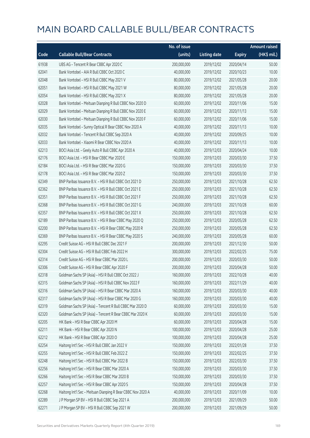|       |                                                             | No. of issue |                     |               | <b>Amount raised</b> |
|-------|-------------------------------------------------------------|--------------|---------------------|---------------|----------------------|
| Code  | <b>Callable Bull/Bear Contracts</b>                         | (units)      | <b>Listing date</b> | <b>Expiry</b> | (HK\$ mil.)          |
| 61938 | UBS AG - Tencent R Bear CBBC Apr 2020 C                     | 200,000,000  | 2019/12/02          | 2020/04/14    | 50.00                |
| 62041 | Bank Vontobel - AIA R Bull CBBC Oct 2020 C                  | 40,000,000   | 2019/12/02          | 2020/10/23    | 10.00                |
| 62048 | Bank Vontobel - HSI R Bull CBBC May 2021 V                  | 80,000,000   | 2019/12/02          | 2021/05/28    | 20.00                |
| 62051 | Bank Vontobel - HSI R Bull CBBC May 2021 W                  | 80,000,000   | 2019/12/02          | 2021/05/28    | 20.00                |
| 62054 | Bank Vontobel - HSI R Bull CBBC May 2021 X                  | 80,000,000   | 2019/12/02          | 2021/05/28    | 20.00                |
| 62028 | Bank Vontobel - Meituan Dianping R Bull CBBC Nov 2020 D     | 60,000,000   | 2019/12/02          | 2020/11/06    | 15.00                |
| 62029 | Bank Vontobel - Meituan Dianping R Bull CBBC Nov 2020 E     | 60,000,000   | 2019/12/02          | 2020/11/13    | 15.00                |
| 62030 | Bank Vontobel - Meituan Dianping R Bull CBBC Nov 2020 F     | 60,000,000   | 2019/12/02          | 2020/11/06    | 15.00                |
| 62035 | Bank Vontobel - Sunny Optical R Bear CBBC Nov 2020 A        | 40,000,000   | 2019/12/02          | 2020/11/13    | 10.00                |
| 62032 | Bank Vontobel - Tencent R Bull CBBC Sep 2020 A              | 40,000,000   | 2019/12/02          | 2020/09/25    | 10.00                |
| 62033 | Bank Vontobel - Xiaomi R Bear CBBC Nov 2020 A               | 40,000,000   | 2019/12/02          | 2020/11/13    | 10.00                |
| 62213 | BOCI Asia Ltd. - Geely Auto R Bull CBBC Apr 2020 A          | 40,000,000   | 2019/12/03          | 2020/04/24    | 10.00                |
| 62176 | BOCI Asia Ltd. - HSI R Bear CBBC Mar 2020 E                 | 150,000,000  | 2019/12/03          | 2020/03/30    | 37.50                |
| 62184 | BOCI Asia Ltd. - HSI R Bear CBBC Mar 2020 G                 | 150,000,000  | 2019/12/03          | 2020/03/30    | 37.50                |
| 62178 | BOCI Asia Ltd. - HSI R Bear CBBC Mar 2020 Z                 | 150,000,000  | 2019/12/03          | 2020/03/30    | 37.50                |
| 62349 | BNP Paribas Issuance B.V. - HSI R Bull CBBC Oct 2021 D      | 250,000,000  | 2019/12/03          | 2021/10/28    | 62.50                |
| 62362 | BNP Paribas Issuance B.V. - HSI R Bull CBBC Oct 2021 E      | 250,000,000  | 2019/12/03          | 2021/10/28    | 62.50                |
| 62351 | BNP Paribas Issuance B.V. - HSI R Bull CBBC Oct 2021 F      | 250,000,000  | 2019/12/03          | 2021/10/28    | 62.50                |
| 62368 | BNP Paribas Issuance B.V. - HSI R Bull CBBC Oct 2021 G      | 240,000,000  | 2019/12/03          | 2021/10/28    | 60.00                |
| 62357 | BNP Paribas Issuance B.V. - HSI R Bull CBBC Oct 2021 X      | 250,000,000  | 2019/12/03          | 2021/10/28    | 62.50                |
| 62189 | BNP Paribas Issuance B.V. - HSI R Bear CBBC May 2020 Q      | 250,000,000  | 2019/12/03          | 2020/05/28    | 62.50                |
| 62200 | BNP Paribas Issuance B.V. - HSI R Bear CBBC May 2020 R      | 250,000,000  | 2019/12/03          | 2020/05/28    | 62.50                |
| 62369 | BNP Paribas Issuance B.V. - HSI R Bear CBBC May 2020 S      | 240,000,000  | 2019/12/03          | 2020/05/28    | 60.00                |
| 62295 | Credit Suisse AG - HSI R Bull CBBC Dec 2021 F               | 200,000,000  | 2019/12/03          | 2021/12/30    | 50.00                |
| 62304 | Credit Suisse AG - HSI R Bull CBBC Feb 2022 H               | 300,000,000  | 2019/12/03          | 2022/02/25    | 75.00                |
| 62314 | Credit Suisse AG - HSI R Bear CBBC Mar 2020 L               | 200,000,000  | 2019/12/03          | 2020/03/30    | 50.00                |
| 62306 | Credit Suisse AG - HSI R Bear CBBC Apr 2020 F               | 200,000,000  | 2019/12/03          | 2020/04/28    | 50.00                |
| 62318 | Goldman Sachs SP (Asia) - HSI R Bull CBBC Oct 2022 J        | 160,000,000  | 2019/12/03          | 2022/10/28    | 40.00                |
| 62315 | Goldman Sachs SP (Asia) - HSI R Bull CBBC Nov 2022 F        | 160,000,000  | 2019/12/03          | 2022/11/29    | 40.00                |
| 62316 | Goldman Sachs SP (Asia) - HSI R Bear CBBC Mar 2020 A        | 160,000,000  | 2019/12/03          | 2020/03/30    | 40.00                |
| 62317 | Goldman Sachs SP (Asia) - HSI R Bear CBBC Mar 2020 G        | 160,000,000  | 2019/12/03          | 2020/03/30    | 40.00                |
| 62319 | Goldman Sachs SP (Asia) - Tencent R Bull CBBC Mar 2020 D    | 60,000,000   | 2019/12/03          | 2020/03/30    | 15.00                |
| 62320 | Goldman Sachs SP (Asia) - Tencent R Bear CBBC Mar 2020 K    | 60,000,000   | 2019/12/03          | 2020/03/30    | 15.00                |
| 62205 | HK Bank - HSI R Bear CBBC Apr 2020 M                        | 60,000,000   | 2019/12/03          | 2020/04/28    | 15.00                |
| 62211 | HK Bank - HSI R Bear CBBC Apr 2020 N                        | 100,000,000  | 2019/12/03          | 2020/04/28    | 25.00                |
| 62212 | HK Bank - HSI R Bear CBBC Apr 2020 O                        | 100,000,000  | 2019/12/03          | 2020/04/28    | 25.00                |
| 62254 | Haitong Int'l Sec - HSI R Bull CBBC Jan 2022 V              | 150,000,000  | 2019/12/03          | 2022/01/28    | 37.50                |
| 62255 | Haitong Int'l Sec - HSI R Bull CBBC Feb 2022 Z              | 150,000,000  | 2019/12/03          | 2022/02/25    | 37.50                |
| 62248 | Haitong Int'l Sec - HSI R Bull CBBC Mar 2022 B              | 150,000,000  | 2019/12/03          | 2022/03/30    | 37.50                |
| 62256 | Haitong Int'l Sec - HSI R Bear CBBC Mar 2020 A              | 150,000,000  | 2019/12/03          | 2020/03/30    | 37.50                |
| 62266 | Haitong Int'l Sec - HSI R Bear CBBC Mar 2020 B              | 150,000,000  | 2019/12/03          | 2020/03/30    | 37.50                |
| 62257 | Haitong Int'l Sec - HSI R Bear CBBC Apr 2020 S              | 150,000,000  | 2019/12/03          | 2020/04/28    | 37.50                |
| 62268 | Haitong Int'l Sec - Meituan Dianping R Bear CBBC Nov 2020 A | 40,000,000   | 2019/12/03          | 2020/11/09    | 10.00                |
| 62289 | J P Morgan SP BV - HSI R Bull CBBC Sep 2021 A               | 200,000,000  | 2019/12/03          | 2021/09/29    | 50.00                |
| 62271 | J P Morgan SP BV - HSI R Bull CBBC Sep 2021 W               | 200,000,000  | 2019/12/03          | 2021/09/29    | 50.00                |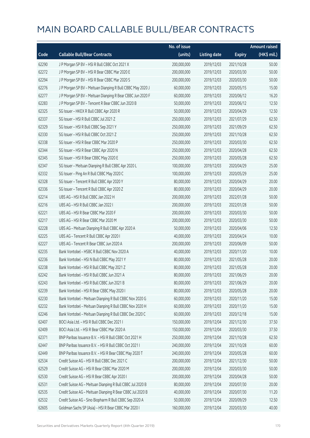|       |                                                            | No. of issue |                     |               | <b>Amount raised</b>  |
|-------|------------------------------------------------------------|--------------|---------------------|---------------|-----------------------|
| Code  | <b>Callable Bull/Bear Contracts</b>                        | (units)      | <b>Listing date</b> | <b>Expiry</b> | $(HK\frac{1}{2}mil.)$ |
| 62290 | J P Morgan SP BV - HSI R Bull CBBC Oct 2021 X              | 200,000,000  | 2019/12/03          | 2021/10/28    | 50.00                 |
| 62272 | J P Morgan SP BV - HSI R Bear CBBC Mar 2020 E              | 200,000,000  | 2019/12/03          | 2020/03/30    | 50.00                 |
| 62294 | J P Morgan SP BV - HSI R Bear CBBC Mar 2020 S              | 200,000,000  | 2019/12/03          | 2020/03/30    | 50.00                 |
| 62276 | J P Morgan SP BV - Meituan Dianping R Bull CBBC May 2020 J | 60,000,000   | 2019/12/03          | 2020/05/15    | 15.00                 |
| 62277 | J P Morgan SP BV - Meituan Dianping R Bear CBBC Jun 2020 F | 60,000,000   | 2019/12/03          | 2020/06/12    | 16.20                 |
| 62283 | J P Morgan SP BV - Tencent R Bear CBBC Jun 2020 B          | 50,000,000   | 2019/12/03          | 2020/06/12    | 12.50                 |
| 62325 | SG Issuer - HKEX R Bull CBBC Apr 2020 R                    | 50,000,000   | 2019/12/03          | 2020/04/29    | 12.50                 |
| 62337 | SG Issuer - HSI R Bull CBBC Jul 2021 Z                     | 250,000,000  | 2019/12/03          | 2021/07/29    | 62.50                 |
| 62329 | SG Issuer - HSI R Bull CBBC Sep 2021 Y                     | 250,000,000  | 2019/12/03          | 2021/09/29    | 62.50                 |
| 62330 | SG Issuer - HSI R Bull CBBC Oct 2021 Z                     | 250,000,000  | 2019/12/03          | 2021/10/28    | 62.50                 |
| 62338 | SG Issuer - HSI R Bear CBBC Mar 2020 P                     | 250,000,000  | 2019/12/03          | 2020/03/30    | 62.50                 |
| 62344 | SG Issuer - HSI R Bear CBBC Apr 2020 N                     | 250,000,000  | 2019/12/03          | 2020/04/28    | 62.50                 |
| 62345 | SG Issuer - HSI R Bear CBBC May 2020 E                     | 250,000,000  | 2019/12/03          | 2020/05/28    | 62.50                 |
| 62347 | SG Issuer - Meituan Dianping R Bull CBBC Apr 2020 L        | 100,000,000  | 2019/12/03          | 2020/04/29    | 25.00                 |
| 62332 | SG Issuer - Ping An R Bull CBBC May 2020 C                 | 100,000,000  | 2019/12/03          | 2020/05/29    | 25.00                 |
| 62328 | SG Issuer - Tencent R Bull CBBC Apr 2020 Y                 | 80,000,000   | 2019/12/03          | 2020/04/29    | 20.00                 |
| 62336 | SG Issuer - Tencent R Bull CBBC Apr 2020 Z                 | 80,000,000   | 2019/12/03          | 2020/04/29    | 20.00                 |
| 62214 | UBS AG - HSI R Bull CBBC Jan 2022 H                        | 200,000,000  | 2019/12/03          | 2022/01/28    | 50.00                 |
| 62216 | UBS AG - HSI R Bull CBBC Jan 2022 I                        | 200,000,000  | 2019/12/03          | 2022/01/28    | 50.00                 |
| 62221 | UBS AG - HSI R Bear CBBC Mar 2020 F                        | 200,000,000  | 2019/12/03          | 2020/03/30    | 50.00                 |
| 62217 | UBS AG - HSI R Bear CBBC Mar 2020 M                        | 200,000,000  | 2019/12/03          | 2020/03/30    | 50.00                 |
| 62228 | UBS AG - Meituan Dianping R Bull CBBC Apr 2020 A           | 50,000,000   | 2019/12/03          | 2020/04/06    | 12.50                 |
| 62225 | UBS AG - Tencent R Bull CBBC Apr 2020 I                    | 40,000,000   | 2019/12/03          | 2020/04/24    | 10.00                 |
| 62227 | UBS AG - Tencent R Bear CBBC Jun 2020 A                    | 200,000,000  | 2019/12/03          | 2020/06/09    | 50.00                 |
| 62235 | Bank Vontobel - HSBC R Bull CBBC Nov 2020 A                | 40,000,000   | 2019/12/03          | 2020/11/20    | 10.00                 |
| 62236 | Bank Vontobel - HSI N Bull CBBC May 2021 Y                 | 80,000,000   | 2019/12/03          | 2021/05/28    | 20.00                 |
| 62238 | Bank Vontobel - HSI R Bull CBBC May 2021 Z                 | 80,000,000   | 2019/12/03          | 2021/05/28    | 20.00                 |
| 62242 | Bank Vontobel - HSI R Bull CBBC Jun 2021 A                 | 80,000,000   | 2019/12/03          | 2021/06/29    | 20.00                 |
| 62243 | Bank Vontobel - HSI R Bull CBBC Jun 2021 B                 | 80,000,000   | 2019/12/03          | 2021/06/29    | 20.00                 |
| 62239 | Bank Vontobel - HSI R Bear CBBC May 2020 I                 | 80,000,000   | 2019/12/03          | 2020/05/28    | 20.00                 |
| 62230 | Bank Vontobel - Meituan Dianping R Bull CBBC Nov 2020 G    | 60,000,000   | 2019/12/03          | 2020/11/20    | 15.00                 |
| 62232 | Bank Vontobel - Meituan Dianping R Bull CBBC Nov 2020 H    | 60,000,000   | 2019/12/03          | 2020/11/20    | 15.00                 |
| 62246 | Bank Vontobel - Meituan Dianping R Bull CBBC Dec 2020 C    | 60,000,000   | 2019/12/03          | 2020/12/18    | 15.00                 |
| 62407 | BOCI Asia Ltd. - HSI R Bull CBBC Dec 2021 I                | 150,000,000  | 2019/12/04          | 2021/12/30    | 37.50                 |
| 62409 | BOCI Asia Ltd. - HSI R Bear CBBC Mar 2020 A                | 150,000,000  | 2019/12/04          | 2020/03/30    | 37.50                 |
| 62371 | BNP Paribas Issuance B.V. - HSI R Bull CBBC Oct 2021 H     | 250,000,000  | 2019/12/04          | 2021/10/28    | 62.50                 |
| 62447 | BNP Paribas Issuance B.V. - HSI R Bull CBBC Oct 2021 I     | 240,000,000  | 2019/12/04          | 2021/10/28    | 60.00                 |
| 62449 | BNP Paribas Issuance B.V. - HSI R Bear CBBC May 2020 T     | 240,000,000  | 2019/12/04          | 2020/05/28    | 60.00                 |
| 62534 | Credit Suisse AG - HSI R Bull CBBC Dec 2021 C              | 200,000,000  | 2019/12/04          | 2021/12/30    | 50.00                 |
| 62529 | Credit Suisse AG - HSI R Bear CBBC Mar 2020 M              | 200,000,000  | 2019/12/04          | 2020/03/30    | 50.00                 |
| 62530 | Credit Suisse AG - HSI R Bear CBBC Apr 2020 I              | 200,000,000  | 2019/12/04          | 2020/04/28    | 50.00                 |
| 62531 | Credit Suisse AG - Meituan Dianping R Bull CBBC Jul 2020 B | 80,000,000   | 2019/12/04          | 2020/07/30    | 20.00                 |
| 62535 | Credit Suisse AG - Meituan Dianping R Bear CBBC Jul 2020 B | 40,000,000   | 2019/12/04          | 2020/07/30    | 11.20                 |
| 62532 | Credit Suisse AG - Sino Biopharm R Bull CBBC Sep 2020 A    | 50,000,000   | 2019/12/04          | 2020/09/29    | 12.50                 |
| 62605 | Goldman Sachs SP (Asia) - HSI R Bear CBBC Mar 2020 I       | 160,000,000  | 2019/12/04          | 2020/03/30    | 40.00                 |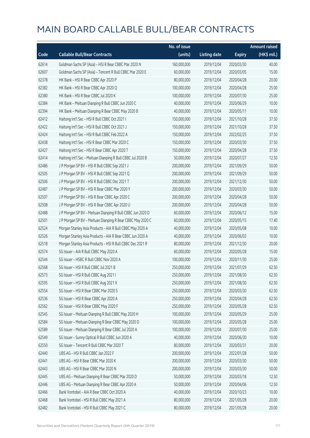|       |                                                             | No. of issue |                     |               | <b>Amount raised</b> |
|-------|-------------------------------------------------------------|--------------|---------------------|---------------|----------------------|
| Code  | <b>Callable Bull/Bear Contracts</b>                         | (units)      | <b>Listing date</b> | <b>Expiry</b> | (HK\$ mil.)          |
| 62614 | Goldman Sachs SP (Asia) - HSI R Bear CBBC Mar 2020 N        | 160,000,000  | 2019/12/04          | 2020/03/30    | 40.00                |
| 62607 | Goldman Sachs SP (Asia) - Tencent R Bull CBBC Mar 2020 E    | 60,000,000   | 2019/12/04          | 2020/03/05    | 15.00                |
| 62378 | HK Bank - HSI R Bear CBBC Apr 2020 P                        | 80,000,000   | 2019/12/04          | 2020/04/28    | 20.00                |
| 62382 | HK Bank - HSI R Bear CBBC Apr 2020 Q                        | 100,000,000  | 2019/12/04          | 2020/04/28    | 25.00                |
| 62380 | HK Bank - HSI R Bear CBBC Jul 2020 K                        | 100,000,000  | 2019/12/04          | 2020/07/30    | 25.00                |
| 62384 | HK Bank - Meituan Dianping R Bull CBBC Jun 2020 C           | 40,000,000   | 2019/12/04          | 2020/06/29    | 10.00                |
| 62394 | HK Bank - Meituan Dianping R Bear CBBC May 2020 B           | 40,000,000   | 2019/12/04          | 2020/05/11    | 10.00                |
| 62412 | Haitong Int'l Sec - HSI R Bull CBBC Oct 2021 I              | 150,000,000  | 2019/12/04          | 2021/10/28    | 37.50                |
| 62422 | Haitong Int'l Sec - HSI R Bull CBBC Oct 2021 J              | 150,000,000  | 2019/12/04          | 2021/10/28    | 37.50                |
| 62424 | Haitong Int'l Sec - HSI R Bull CBBC Feb 2022 A              | 150,000,000  | 2019/12/04          | 2022/02/25    | 37.50                |
| 62438 | Haitong Int'l Sec - HSI R Bear CBBC Mar 2020 C              | 150,000,000  | 2019/12/04          | 2020/03/30    | 37.50                |
| 62427 | Haitong Int'l Sec - HSI R Bear CBBC Apr 2020 T              | 150,000,000  | 2019/12/04          | 2020/04/28    | 37.50                |
| 62414 | Haitong Int'l Sec - Meituan Dianping R Bull CBBC Jul 2020 B | 50,000,000   | 2019/12/04          | 2020/07/27    | 12.50                |
| 62486 | J P Morgan SP BV - HSI R Bull CBBC Sep 2021 J               | 200,000,000  | 2019/12/04          | 2021/09/29    | 50.00                |
| 62505 | J P Morgan SP BV - HSI R Bull CBBC Sep 2021 Q               | 200,000,000  | 2019/12/04          | 2021/09/29    | 50.00                |
| 62506 | J P Morgan SP BV - HSI R Bull CBBC Dec 2021 T               | 200,000,000  | 2019/12/04          | 2021/12/30    | 50.00                |
| 62487 | J P Morgan SP BV - HSI R Bear CBBC Mar 2020 Y               | 200,000,000  | 2019/12/04          | 2020/03/30    | 50.00                |
| 62507 | J P Morgan SP BV - HSI R Bear CBBC Apr 2020 C               | 200,000,000  | 2019/12/04          | 2020/04/28    | 50.00                |
| 62508 | J P Morgan SP BV - HSI R Bear CBBC Apr 2020 U               | 200,000,000  | 2019/12/04          | 2020/04/28    | 50.00                |
| 62488 | J P Morgan SP BV - Meituan Dianping R Bull CBBC Jun 2020 D  | 60,000,000   | 2019/12/04          | 2020/06/12    | 15.00                |
| 62501 | J P Morgan SP BV - Meituan Dianping R Bear CBBC May 2020 C  | 60,000,000   | 2019/12/04          | 2020/05/15    | 17.40                |
| 62524 | Morgan Stanley Asia Products - AIA R Bull CBBC May 2020 A   | 40,000,000   | 2019/12/04          | 2020/05/08    | 10.00                |
| 62526 | Morgan Stanley Asia Products - AIA R Bear CBBC Jun 2020 A   | 40,000,000   | 2019/12/04          | 2020/06/03    | 10.00                |
| 62518 | Morgan Stanley Asia Products - HSI R Bull CBBC Dec 2021 R   | 80,000,000   | 2019/12/04          | 2021/12/30    | 20.00                |
| 62574 | SG Issuer - AIA R Bull CBBC May 2020 A                      | 60,000,000   | 2019/12/04          | 2020/05/28    | 15.00                |
| 62544 | SG Issuer - HSBC R Bull CBBC Nov 2020 A                     | 100,000,000  | 2019/12/04          | 2020/11/30    | 25.00                |
| 62568 | SG Issuer - HSI R Bull CBBC Jul 2021 B                      | 250,000,000  | 2019/12/04          | 2021/07/29    | 62.50                |
| 62573 | SG Issuer - HSI R Bull CBBC Aug 2021 I                      | 250,000,000  | 2019/12/04          | 2021/08/30    | 62.50                |
| 62595 | SG Issuer - HSI R Bull CBBC Aug 2021 X                      | 250,000,000  | 2019/12/04          | 2021/08/30    | 62.50                |
| 62554 | SG Issuer - HSI R Bear CBBC Mar 2020 S                      | 250,000,000  | 2019/12/04          | 2020/03/30    | 62.50                |
| 62536 | SG Issuer - HSI R Bear CBBC Apr 2020 A                      | 250,000,000  | 2019/12/04          | 2020/04/28    | 62.50                |
| 62562 | SG Issuer - HSI R Bear CBBC May 2020 F                      | 250,000,000  | 2019/12/04          | 2020/05/28    | 62.50                |
| 62545 | SG Issuer - Meituan Dianping R Bull CBBC May 2020 H         | 100,000,000  | 2019/12/04          | 2020/05/29    | 25.00                |
| 62584 | SG Issuer - Meituan Dianping R Bear CBBC May 2020 D         | 100,000,000  | 2019/12/04          | 2020/05/28    | 25.00                |
| 62589 | SG Issuer - Meituan Dianping R Bear CBBC Jul 2020 A         | 100,000,000  | 2019/12/04          | 2020/07/30    | 25.00                |
| 62549 | SG Issuer - Sunny Optical R Bull CBBC Jun 2020 A            | 40,000,000   | 2019/12/04          | 2020/06/30    | 10.00                |
| 62550 | SG Issuer - Tencent R Bull CBBC Mar 2020 T                  | 80,000,000   | 2019/12/04          | 2020/03/31    | 20.00                |
| 62440 | UBS AG - HSI R Bull CBBC Jan 2022 F                         | 200,000,000  | 2019/12/04          | 2022/01/28    | 50.00                |
| 62441 | UBS AG - HSI R Bear CBBC Mar 2020 K                         | 200,000,000  | 2019/12/04          | 2020/03/30    | 50.00                |
| 62443 | UBS AG - HSI R Bear CBBC Mar 2020 N                         | 200,000,000  | 2019/12/04          | 2020/03/30    | 50.00                |
| 62445 | UBS AG - Meituan Dianping R Bear CBBC Mar 2020 D            | 50,000,000   | 2019/12/04          | 2020/03/18    | 12.50                |
| 62446 | UBS AG - Meituan Dianping R Bear CBBC Apr 2020 A            | 50,000,000   | 2019/12/04          | 2020/04/06    | 12.50                |
| 62466 | Bank Vontobel - AIA R Bear CBBC Oct 2020 A                  | 40,000,000   | 2019/12/04          | 2020/10/23    | 10.00                |
| 62468 | Bank Vontobel - HSI R Bull CBBC May 2021 A                  | 80,000,000   | 2019/12/04          | 2021/05/28    | 20.00                |
| 62482 | Bank Vontobel - HSI R Bull CBBC May 2021 C                  | 80,000,000   | 2019/12/04          | 2021/05/28    | 20.00                |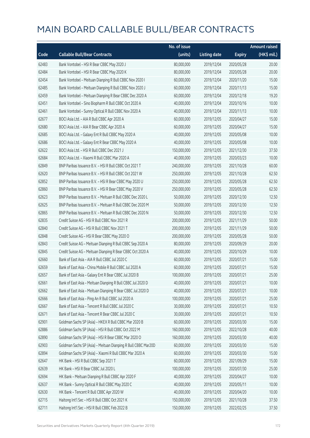|       |                                                               | No. of issue |                     |               | Amount raised |
|-------|---------------------------------------------------------------|--------------|---------------------|---------------|---------------|
| Code  | <b>Callable Bull/Bear Contracts</b>                           | (units)      | <b>Listing date</b> | <b>Expiry</b> | (HK\$ mil.)   |
| 62483 | Bank Vontobel - HSI R Bear CBBC May 2020 J                    | 80,000,000   | 2019/12/04          | 2020/05/28    | 20.00         |
| 62484 | Bank Vontobel - HSI R Bear CBBC May 2020 K                    | 80,000,000   | 2019/12/04          | 2020/05/28    | 20.00         |
| 62454 | Bank Vontobel - Meituan Dianping R Bull CBBC Nov 2020 I       | 60,000,000   | 2019/12/04          | 2020/11/20    | 15.00         |
| 62485 | Bank Vontobel - Meituan Dianping R Bull CBBC Nov 2020 J       | 60,000,000   | 2019/12/04          | 2020/11/13    | 15.00         |
| 62459 | Bank Vontobel - Meituan Dianping R Bear CBBC Dec 2020 A       | 60,000,000   | 2019/12/04          | 2020/12/18    | 19.20         |
| 62451 | Bank Vontobel - Sino Biopharm R Bull CBBC Oct 2020 A          | 40,000,000   | 2019/12/04          | 2020/10/16    | 10.00         |
| 62461 | Bank Vontobel - Sunny Optical R Bull CBBC Nov 2020 A          | 40,000,000   | 2019/12/04          | 2020/11/13    | 10.00         |
| 62677 | BOCI Asia Ltd. - AIA R Bull CBBC Apr 2020 A                   | 60,000,000   | 2019/12/05          | 2020/04/27    | 15.00         |
| 62680 | BOCI Asia Ltd. - AIA R Bear CBBC Apr 2020 A                   | 60,000,000   | 2019/12/05          | 2020/04/27    | 15.00         |
| 62685 | BOCI Asia Ltd. - Galaxy Ent R Bull CBBC May 2020 A            | 40,000,000   | 2019/12/05          | 2020/05/08    | 10.00         |
| 62686 | BOCI Asia Ltd. - Galaxy Ent R Bear CBBC May 2020 A            | 40,000,000   | 2019/12/05          | 2020/05/08    | 10.00         |
| 62622 | BOCI Asia Ltd. - HSI R Bull CBBC Dec 2021 J                   | 150,000,000  | 2019/12/05          | 2021/12/30    | 37.50         |
| 62684 | BOCI Asia Ltd. - Xiaomi R Bull CBBC Mar 2020 A                | 40,000,000   | 2019/12/05          | 2020/03/23    | 10.00         |
| 62849 | BNP Paribas Issuance B.V. - HSI R Bull CBBC Oct 2021 T        | 240,000,000  | 2019/12/05          | 2021/10/28    | 60.00         |
| 62620 | BNP Paribas Issuance B.V. - HSI R Bull CBBC Oct 2021 W        | 250,000,000  | 2019/12/05          | 2021/10/28    | 62.50         |
| 62852 | BNP Paribas Issuance B.V. - HSI R Bear CBBC May 2020 U        | 250,000,000  | 2019/12/05          | 2020/05/28    | 62.50         |
| 62860 | BNP Paribas Issuance B.V. - HSI R Bear CBBC May 2020 V        | 250,000,000  | 2019/12/05          | 2020/05/28    | 62.50         |
| 62623 | BNP Paribas Issuance B.V. - Meituan R Bull CBBC Dec 2020 L    | 50,000,000   | 2019/12/05          | 2020/12/30    | 12.50         |
| 62625 | BNP Paribas Issuance B.V. - Meituan R Bull CBBC Dec 2020 M    | 50,000,000   | 2019/12/05          | 2020/12/30    | 12.50         |
| 62865 | BNP Paribas Issuance B.V. - Meituan R Bull CBBC Dec 2020 N    | 50,000,000   | 2019/12/05          | 2020/12/30    | 12.50         |
| 62835 | Credit Suisse AG - HSI R Bull CBBC Nov 2021 R                 | 200,000,000  | 2019/12/05          | 2021/11/29    | 50.00         |
| 62840 | Credit Suisse AG - HSI R Bull CBBC Nov 2021 T                 | 200,000,000  | 2019/12/05          | 2021/11/29    | 50.00         |
| 62848 | Credit Suisse AG - HSI R Bear CBBC May 2020 O                 | 200,000,000  | 2019/12/05          | 2020/05/28    | 50.00         |
| 62843 | Credit Suisse AG - Meituan Dianping R Bull CBBC Sep 2020 A    | 80,000,000   | 2019/12/05          | 2020/09/29    | 20.00         |
| 62845 | Credit Suisse AG - Meituan Dianping R Bear CBBC Oct 2020 A    | 40,000,000   | 2019/12/05          | 2020/10/29    | 10.00         |
| 62660 | Bank of East Asia - AIA R Bull CBBC Jul 2020 C                | 60,000,000   | 2019/12/05          | 2020/07/21    | 15.00         |
| 62659 | Bank of East Asia - China Mobile R Bull CBBC Jul 2020 A       | 60,000,000   | 2019/12/05          | 2020/07/21    | 15.00         |
| 62657 | Bank of East Asia - Galaxy Ent R Bear CBBC Jul 2020 B         | 100,000,000  | 2019/12/05          | 2020/07/21    | 25.00         |
| 62661 | Bank of East Asia - Meituan Dianping R Bull CBBC Jul 2020 D   | 40,000,000   | 2019/12/05          | 2020/07/21    | 10.00         |
| 62662 | Bank of East Asia - Meituan Dianping R Bear CBBC Jul 2020 D   | 40,000,000   | 2019/12/05          | 2020/07/21    | 10.00         |
| 62666 | Bank of East Asia - Ping An R Bull CBBC Jul 2020 A            | 100,000,000  | 2019/12/05          | 2020/07/21    | 25.00         |
| 62667 | Bank of East Asia - Tencent R Bull CBBC Jul 2020 C            | 30,000,000   | 2019/12/05          | 2020/07/21    | 10.50         |
| 62671 | Bank of East Asia - Tencent R Bear CBBC Jul 2020 C            | 30,000,000   | 2019/12/05          | 2020/07/21    | 10.50         |
| 62901 | Goldman Sachs SP (Asia) - HKEX R Bull CBBC Mar 2020 B         | 60,000,000   | 2019/12/05          | 2020/03/30    | 15.00         |
| 62886 | Goldman Sachs SP (Asia) - HSI R Bull CBBC Oct 2022 M          | 160,000,000  | 2019/12/05          | 2022/10/28    | 40.00         |
| 62890 | Goldman Sachs SP (Asia) - HSI R Bear CBBC Mar 2020 O          | 160,000,000  | 2019/12/05          | 2020/03/30    | 40.00         |
| 62903 | Goldman Sachs SP (Asia) - Meituan Dianping R Bull CBBC Mar20D | 60,000,000   | 2019/12/05          | 2020/03/30    | 15.00         |
| 62894 | Goldman Sachs SP (Asia) - Xiaomi R Bull CBBC Mar 2020 A       | 60,000,000   | 2019/12/05          | 2020/03/30    | 15.00         |
| 62647 | HK Bank - HSI R Bull CBBC Sep 2021 T                          | 60,000,000   | 2019/12/05          | 2021/09/29    | 15.00         |
| 62639 | HK Bank - HSI R Bear CBBC Jul 2020 L                          | 100,000,000  | 2019/12/05          | 2020/07/30    | 25.00         |
| 62694 | HK Bank - Meituan Dianping R Bull CBBC Apr 2020 F             | 40,000,000   | 2019/12/05          | 2020/04/27    | 10.00         |
| 62637 | HK Bank - Sunny Optical R Bull CBBC May 2020 C                | 40,000,000   | 2019/12/05          | 2020/05/11    | 10.00         |
| 62630 | HK Bank - Tencent R Bull CBBC Apr 2020 W                      | 40,000,000   | 2019/12/05          | 2020/04/20    | 10.00         |
| 62715 | Haitong Int'l Sec - HSI R Bull CBBC Oct 2021 K                | 150,000,000  | 2019/12/05          | 2021/10/28    | 37.50         |
| 62711 | Haitong Int'l Sec - HSI R Bull CBBC Feb 2022 B                | 150,000,000  | 2019/12/05          | 2022/02/25    | 37.50         |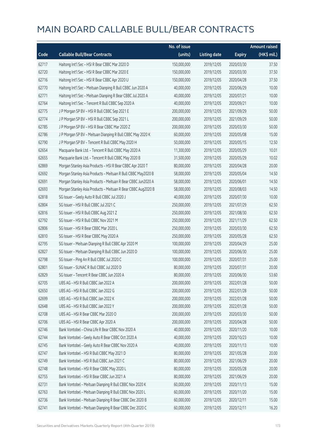|       |                                                              | No. of issue |                     |               | <b>Amount raised</b> |
|-------|--------------------------------------------------------------|--------------|---------------------|---------------|----------------------|
| Code  | <b>Callable Bull/Bear Contracts</b>                          | (units)      | <b>Listing date</b> | <b>Expiry</b> | (HK\$ mil.)          |
| 62717 | Haitong Int'l Sec - HSI R Bear CBBC Mar 2020 D               | 150,000,000  | 2019/12/05          | 2020/03/30    | 37.50                |
| 62720 | Haitong Int'l Sec - HSI R Bear CBBC Mar 2020 E               | 150,000,000  | 2019/12/05          | 2020/03/30    | 37.50                |
| 62716 | Haitong Int'l Sec - HSI R Bear CBBC Apr 2020 U               | 150,000,000  | 2019/12/05          | 2020/04/28    | 37.50                |
| 62770 | Haitong Int'l Sec - Meituan Dianping R Bull CBBC Jun 2020 A  | 40,000,000   | 2019/12/05          | 2020/06/29    | 10.00                |
| 62771 | Haitong Int'l Sec - Meituan Dianping R Bear CBBC Jul 2020 A  | 40,000,000   | 2019/12/05          | 2020/07/21    | 10.00                |
| 62764 | Haitong Int'l Sec - Tencent R Bull CBBC Sep 2020 A           | 40,000,000   | 2019/12/05          | 2020/09/21    | 10.00                |
| 62775 | J P Morgan SP BV - HSI R Bull CBBC Sep 2021 E                | 200,000,000  | 2019/12/05          | 2021/09/29    | 50.00                |
| 62774 | J P Morgan SP BV - HSI R Bull CBBC Sep 2021 L                | 200,000,000  | 2019/12/05          | 2021/09/29    | 50.00                |
| 62785 | J P Morgan SP BV - HSI R Bear CBBC Mar 2020 Z                | 200,000,000  | 2019/12/05          | 2020/03/30    | 50.00                |
| 62786 | J P Morgan SP BV - Meituan Dianping R Bull CBBC May 2020 K   | 60,000,000   | 2019/12/05          | 2020/05/08    | 15.00                |
| 62790 | J P Morgan SP BV - Tencent R Bull CBBC May 2020 H            | 50,000,000   | 2019/12/05          | 2020/05/15    | 12.50                |
| 62654 | Macquarie Bank Ltd. - Tencent R Bull CBBC May 2020 A         | 11,300,000   | 2019/12/05          | 2020/05/29    | 10.01                |
| 62655 | Macquarie Bank Ltd. - Tencent R Bull CBBC May 2020 B         | 31,500,000   | 2019/12/05          | 2020/05/29    | 10.02                |
| 62869 | Morgan Stanley Asia Products - HSI R Bear CBBC Apr 2020 T    | 80,000,000   | 2019/12/05          | 2020/04/28    | 20.00                |
| 62692 | Morgan Stanley Asia Products - Meituan R Bull CBBC May2020 B | 58,000,000   | 2019/12/05          | 2020/05/04    | 14.50                |
| 62691 | Morgan Stanley Asia Products - Meituan R Bear CBBC Jun2020 A | 58,000,000   | 2019/12/05          | 2020/06/01    | 14.50                |
| 62693 | Morgan Stanley Asia Products - Meituan R Bear CBBC Aug2020 B | 58,000,000   | 2019/12/05          | 2020/08/03    | 14.50                |
| 62818 | SG Issuer - Geely Auto R Bull CBBC Jul 2020 J                | 40,000,000   | 2019/12/05          | 2020/07/30    | 10.00                |
| 62804 | SG Issuer - HSI R Bull CBBC Jul 2021 C                       | 250,000,000  | 2019/12/05          | 2021/07/29    | 62.50                |
| 62816 | SG Issuer - HSI R Bull CBBC Aug 2021 Z                       | 250,000,000  | 2019/12/05          | 2021/08/30    | 62.50                |
| 62792 | SG Issuer - HSI R Bull CBBC Nov 2021 M                       | 250,000,000  | 2019/12/05          | 2021/11/29    | 62.50                |
| 62806 | SG Issuer - HSI R Bear CBBC Mar 2020 L                       | 250,000,000  | 2019/12/05          | 2020/03/30    | 62.50                |
| 62810 | SG Issuer - HSI R Bear CBBC May 2020 A                       | 250,000,000  | 2019/12/05          | 2020/05/28    | 62.50                |
| 62795 | SG Issuer - Meituan Dianping R Bull CBBC Apr 2020 M          | 100,000,000  | 2019/12/05          | 2020/04/29    | 25.00                |
| 62827 | SG Issuer - Meituan Dianping R Bull CBBC Jun 2020 D          | 100,000,000  | 2019/12/05          | 2020/06/30    | 25.00                |
| 62798 | SG Issuer - Ping An R Bull CBBC Jul 2020 C                   | 100,000,000  | 2019/12/05          | 2020/07/31    | 25.00                |
| 62801 | SG Issuer - SUNAC R Bull CBBC Jul 2020 D                     | 80,000,000   | 2019/12/05          | 2020/07/31    | 20.00                |
| 62829 | SG Issuer - Tencent R Bear CBBC Jun 2020 A                   | 80,000,000   | 2019/12/05          | 2020/06/30    | 53.60                |
| 62705 | UBS AG - HSI R Bull CBBC Jan 2022 A                          | 200,000,000  | 2019/12/05          | 2022/01/28    | 50.00                |
| 62650 | UBS AG - HSI R Bull CBBC Jan 2022 G                          | 200,000,000  | 2019/12/05          | 2022/01/28    | 50.00                |
| 62699 | UBS AG - HSI R Bull CBBC Jan 2022 K                          | 200,000,000  | 2019/12/05          | 2022/01/28    | 50.00                |
| 62648 | UBS AG - HSI R Bull CBBC Jan 2022 Y                          | 200,000,000  | 2019/12/05          | 2022/01/28    | 50.00                |
| 62708 | UBS AG - HSI R Bear CBBC Mar 2020 O                          | 200,000,000  | 2019/12/05          | 2020/03/30    | 50.00                |
| 62706 | UBS AG - HSI R Bear CBBC Apr 2020 A                          | 200,000,000  | 2019/12/05          | 2020/04/28    | 50.00                |
| 62746 | Bank Vontobel - China Life R Bear CBBC Nov 2020 A            | 40,000,000   | 2019/12/05          | 2020/11/20    | 10.00                |
| 62744 | Bank Vontobel - Geely Auto R Bear CBBC Oct 2020 A            | 40,000,000   | 2019/12/05          | 2020/10/23    | 10.00                |
| 62745 | Bank Vontobel - Geely Auto R Bear CBBC Nov 2020 A            | 40,000,000   | 2019/12/05          | 2020/11/13    | 10.00                |
| 62747 | Bank Vontobel - HSI R Bull CBBC May 2021 D                   | 80,000,000   | 2019/12/05          | 2021/05/28    | 20.00                |
| 62749 | Bank Vontobel - HSI R Bull CBBC Jun 2021 C                   | 80,000,000   | 2019/12/05          | 2021/06/29    | 20.00                |
| 62748 | Bank Vontobel - HSI R Bear CBBC May 2020 L                   | 80,000,000   | 2019/12/05          | 2020/05/28    | 20.00                |
| 62755 | Bank Vontobel - HSI R Bear CBBC Jun 2021 A                   | 80,000,000   | 2019/12/05          | 2021/06/29    | 20.00                |
| 62731 | Bank Vontobel - Meituan Dianping R Bull CBBC Nov 2020 K      | 60,000,000   | 2019/12/05          | 2020/11/13    | 15.00                |
| 62763 | Bank Vontobel - Meituan Dianping R Bull CBBC Nov 2020 L      | 60,000,000   | 2019/12/05          | 2020/11/20    | 15.00                |
| 62736 | Bank Vontobel - Meituan Dianping R Bear CBBC Dec 2020 B      | 60,000,000   | 2019/12/05          | 2020/12/11    | 15.00                |
| 62741 | Bank Vontobel - Meituan Dianping R Bear CBBC Dec 2020 C      | 60,000,000   | 2019/12/05          | 2020/12/11    | 16.20                |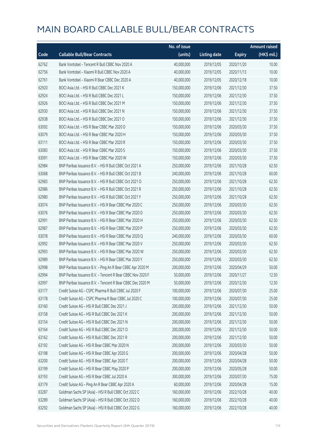|       |                                                            | No. of issue |                     |               | <b>Amount raised</b> |
|-------|------------------------------------------------------------|--------------|---------------------|---------------|----------------------|
| Code  | <b>Callable Bull/Bear Contracts</b>                        | (units)      | <b>Listing date</b> | <b>Expiry</b> | (HK\$ mil.)          |
| 62762 | Bank Vontobel - Tencent R Bull CBBC Nov 2020 A             | 40,000,000   | 2019/12/05          | 2020/11/20    | 10.00                |
| 62756 | Bank Vontobel - Xiaomi R Bull CBBC Nov 2020 A              | 40,000,000   | 2019/12/05          | 2020/11/13    | 10.00                |
| 62761 | Bank Vontobel - Xiaomi R Bear CBBC Dec 2020 A              | 40,000,000   | 2019/12/05          | 2020/12/18    | 10.00                |
| 62920 | BOCI Asia Ltd. - HSI R Bull CBBC Dec 2021 K                | 150,000,000  | 2019/12/06          | 2021/12/30    | 37.50                |
| 62924 | BOCI Asia Ltd. - HSI R Bull CBBC Dec 2021 L                | 150,000,000  | 2019/12/06          | 2021/12/30    | 37.50                |
| 62926 | BOCI Asia Ltd. - HSI R Bull CBBC Dec 2021 M                | 150,000,000  | 2019/12/06          | 2021/12/30    | 37.50                |
| 62930 | BOCI Asia Ltd. - HSI R Bull CBBC Dec 2021 N                | 150,000,000  | 2019/12/06          | 2021/12/30    | 37.50                |
| 62938 | BOCI Asia Ltd. - HSI R Bull CBBC Dec 2021 O                | 150,000,000  | 2019/12/06          | 2021/12/30    | 37.50                |
| 63092 | BOCI Asia Ltd. - HSI R Bear CBBC Mar 2020 D                | 150,000,000  | 2019/12/06          | 2020/03/30    | 37.50                |
| 63079 | BOCI Asia Ltd. - HSI R Bear CBBC Mar 2020 H                | 150,000,000  | 2019/12/06          | 2020/03/30    | 37.50                |
| 63111 | BOCI Asia Ltd. - HSI R Bear CBBC Mar 2020 R                | 150,000,000  | 2019/12/06          | 2020/03/30    | 37.50                |
| 63083 | BOCI Asia Ltd. - HSI R Bear CBBC Mar 2020 S                | 150,000,000  | 2019/12/06          | 2020/03/30    | 37.50                |
| 63091 | BOCI Asia Ltd. - HSI R Bear CBBC Mar 2020 W                | 150,000,000  | 2019/12/06          | 2020/03/30    | 37.50                |
| 62984 | BNP Paribas Issuance B.V. - HSI R Bull CBBC Oct 2021 A     | 250,000,000  | 2019/12/06          | 2021/10/28    | 62.50                |
| 63068 | BNP Paribas Issuance B.V. - HSI R Bull CBBC Oct 2021 B     | 240,000,000  | 2019/12/06          | 2021/10/28    | 60.00                |
| 62983 | BNP Paribas Issuance B.V. - HSI R Bull CBBC Oct 2021 O     | 250,000,000  | 2019/12/06          | 2021/10/28    | 62.50                |
| 62986 | BNP Paribas Issuance B.V. - HSI R Bull CBBC Oct 2021 R     | 250,000,000  | 2019/12/06          | 2021/10/28    | 62.50                |
| 62980 | BNP Paribas Issuance B.V. - HSI R Bull CBBC Oct 2021 Y     | 250,000,000  | 2019/12/06          | 2021/10/28    | 62.50                |
| 63074 | BNP Paribas Issuance B.V. - HSI R Bear CBBC Mar 2020 C     | 250,000,000  | 2019/12/06          | 2020/03/30    | 62.50                |
| 63076 | BNP Paribas Issuance B.V. - HSI R Bear CBBC Mar 2020 D     | 250,000,000  | 2019/12/06          | 2020/03/30    | 62.50                |
| 62991 | BNP Paribas Issuance B.V. - HSI R Bear CBBC Mar 2020 H     | 250,000,000  | 2019/12/06          | 2020/03/30    | 62.50                |
| 62987 | BNP Paribas Issuance B.V. - HSI R Bear CBBC Mar 2020 P     | 250,000,000  | 2019/12/06          | 2020/03/30    | 62.50                |
| 63078 | BNP Paribas Issuance B.V. - HSI R Bear CBBC Mar 2020 Q     | 240,000,000  | 2019/12/06          | 2020/03/30    | 60.00                |
| 62992 | BNP Paribas Issuance B.V. - HSI R Bear CBBC Mar 2020 V     | 250,000,000  | 2019/12/06          | 2020/03/30    | 62.50                |
| 62993 | BNP Paribas Issuance B.V. - HSI R Bear CBBC Mar 2020 W     | 250,000,000  | 2019/12/06          | 2020/03/30    | 62.50                |
| 62989 | BNP Paribas Issuance B.V. - HSI R Bear CBBC Mar 2020 Y     | 250,000,000  | 2019/12/06          | 2020/03/30    | 62.50                |
| 62998 | BNP Paribas Issuance B.V. - Ping An R Bear CBBC Apr 2020 M | 200,000,000  | 2019/12/06          | 2020/04/29    | 50.00                |
| 62994 | BNP Paribas Issuance B.V. - Tencent R Bear CBBC Nov 2020 F | 50,000,000   | 2019/12/06          | 2020/11/27    | 12.50                |
| 62997 | BNP Paribas Issuance B.V. - Tencent R Bear CBBC Dec 2020 M | 50,000,000   | 2019/12/06          | 2020/12/30    | 12.50                |
| 63177 | Credit Suisse AG - CSPC Pharma R Bull CBBC Jul 2020 F      | 100,000,000  | 2019/12/06          | 2020/07/30    | 25.00                |
| 63178 | Credit Suisse AG - CSPC Pharma R Bear CBBC Jul 2020 C      | 100,000,000  | 2019/12/06          | 2020/07/30    | 25.00                |
| 63160 | Credit Suisse AG - HSI R Bull CBBC Dec 2021 J              | 200,000,000  | 2019/12/06          | 2021/12/30    | 50.00                |
| 63158 | Credit Suisse AG - HSI R Bull CBBC Dec 2021 K              | 200,000,000  | 2019/12/06          | 2021/12/30    | 50.00                |
| 63154 | Credit Suisse AG - HSI R Bull CBBC Dec 2021 N              | 200,000,000  | 2019/12/06          | 2021/12/30    | 50.00                |
| 63164 | Credit Suisse AG - HSI R Bull CBBC Dec 2021 O              | 200,000,000  | 2019/12/06          | 2021/12/30    | 50.00                |
| 63162 | Credit Suisse AG - HSI R Bull CBBC Dec 2021 R              | 200,000,000  | 2019/12/06          | 2021/12/30    | 50.00                |
| 63192 | Credit Suisse AG - HSI R Bear CBBC Mar 2020 N              | 200,000,000  | 2019/12/06          | 2020/03/30    | 50.00                |
| 63198 | Credit Suisse AG - HSI R Bear CBBC Apr 2020 G              | 200,000,000  | 2019/12/06          | 2020/04/28    | 50.00                |
| 63200 | Credit Suisse AG - HSI R Bear CBBC Apr 2020 T              | 200,000,000  | 2019/12/06          | 2020/04/28    | 50.00                |
| 63199 | Credit Suisse AG - HSI R Bear CBBC May 2020 P              | 200,000,000  | 2019/12/06          | 2020/05/28    | 50.00                |
| 63193 | Credit Suisse AG - HSI R Bear CBBC Jul 2020 A              | 300,000,000  | 2019/12/06          | 2020/07/30    | 75.00                |
| 63179 | Credit Suisse AG - Ping An R Bear CBBC Apr 2020 A          | 60,000,000   | 2019/12/06          | 2020/04/28    | 15.00                |
| 63287 | Goldman Sachs SP (Asia) - HSI R Bull CBBC Oct 2022 C       | 160,000,000  | 2019/12/06          | 2022/10/28    | 40.00                |
| 63289 | Goldman Sachs SP (Asia) - HSI R Bull CBBC Oct 2022 D       | 160,000,000  | 2019/12/06          | 2022/10/28    | 40.00                |
| 63292 | Goldman Sachs SP (Asia) - HSI R Bull CBBC Oct 2022 G       | 160,000,000  | 2019/12/06          | 2022/10/28    | 40.00                |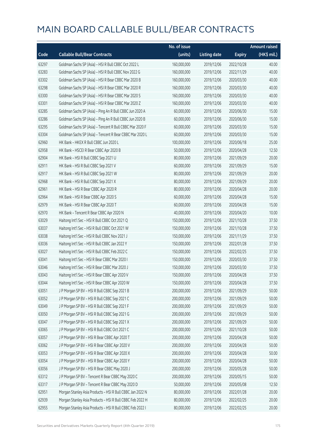|       |                                                           | No. of issue |                     |               | Amount raised |
|-------|-----------------------------------------------------------|--------------|---------------------|---------------|---------------|
| Code  | <b>Callable Bull/Bear Contracts</b>                       | (units)      | <b>Listing date</b> | <b>Expiry</b> | (HK\$ mil.)   |
| 63297 | Goldman Sachs SP (Asia) - HSI R Bull CBBC Oct 2022 L      | 160,000,000  | 2019/12/06          | 2022/10/28    | 40.00         |
| 63283 | Goldman Sachs SP (Asia) - HSI R Bull CBBC Nov 2022 G      | 160,000,000  | 2019/12/06          | 2022/11/29    | 40.00         |
| 63302 | Goldman Sachs SP (Asia) - HSI R Bear CBBC Mar 2020 B      | 160,000,000  | 2019/12/06          | 2020/03/30    | 40.00         |
| 63298 | Goldman Sachs SP (Asia) - HSI R Bear CBBC Mar 2020 R      | 160,000,000  | 2019/12/06          | 2020/03/30    | 40.00         |
| 63300 | Goldman Sachs SP (Asia) - HSI R Bear CBBC Mar 2020 S      | 160,000,000  | 2019/12/06          | 2020/03/30    | 40.00         |
| 63301 | Goldman Sachs SP (Asia) - HSI R Bear CBBC Mar 2020 Z      | 160,000,000  | 2019/12/06          | 2020/03/30    | 40.00         |
| 63285 | Goldman Sachs SP (Asia) - Ping An R Bull CBBC Jun 2020 A  | 60,000,000   | 2019/12/06          | 2020/06/30    | 15.00         |
| 63286 | Goldman Sachs SP (Asia) - Ping An R Bull CBBC Jun 2020 B  | 60,000,000   | 2019/12/06          | 2020/06/30    | 15.00         |
| 63295 | Goldman Sachs SP (Asia) - Tencent R Bull CBBC Mar 2020 F  | 60,000,000   | 2019/12/06          | 2020/03/30    | 15.00         |
| 63304 | Goldman Sachs SP (Asia) - Tencent R Bear CBBC Mar 2020 L  | 60,000,000   | 2019/12/06          | 2020/03/30    | 15.00         |
| 62960 | HK Bank - HKEX R Bull CBBC Jun 2020 L                     | 100,000,000  | 2019/12/06          | 2020/06/18    | 25.00         |
| 62958 | HK Bank - HSCEI R Bear CBBC Apr 2020 B                    | 50,000,000   | 2019/12/06          | 2020/04/28    | 12.50         |
| 62904 | HK Bank - HSI R Bull CBBC Sep 2021 U                      | 80,000,000   | 2019/12/06          | 2021/09/29    | 20.00         |
| 62911 | HK Bank - HSI R Bull CBBC Sep 2021 V                      | 60,000,000   | 2019/12/06          | 2021/09/29    | 15.00         |
| 62917 | HK Bank - HSI R Bull CBBC Sep 2021 W                      | 80,000,000   | 2019/12/06          | 2021/09/29    | 20.00         |
| 62968 | HK Bank - HSI R Bull CBBC Sep 2021 X                      | 80,000,000   | 2019/12/06          | 2021/09/29    | 20.00         |
| 62961 | HK Bank - HSI R Bear CBBC Apr 2020 R                      | 80,000,000   | 2019/12/06          | 2020/04/28    | 20.00         |
| 62964 | HK Bank - HSI R Bear CBBC Apr 2020 S                      | 60,000,000   | 2019/12/06          | 2020/04/28    | 15.00         |
| 62979 | HK Bank - HSI R Bear CBBC Apr 2020 T                      | 60,000,000   | 2019/12/06          | 2020/04/28    | 15.00         |
| 62970 | HK Bank - Tencent R Bear CBBC Apr 2020 N                  | 40,000,000   | 2019/12/06          | 2020/04/20    | 10.00         |
| 63029 | Haitong Int'l Sec - HSI R Bull CBBC Oct 2021 Q            | 150,000,000  | 2019/12/06          | 2021/10/28    | 37.50         |
| 63037 | Haitong Int'l Sec - HSI R Bull CBBC Oct 2021 W            | 150,000,000  | 2019/12/06          | 2021/10/28    | 37.50         |
| 63038 | Haitong Int'l Sec - HSI R Bull CBBC Nov 2021 J            | 150,000,000  | 2019/12/06          | 2021/11/29    | 37.50         |
| 63036 | Haitong Int'l Sec - HSI R Bull CBBC Jan 2022 Y            | 150,000,000  | 2019/12/06          | 2022/01/28    | 37.50         |
| 63027 | Haitong Int'l Sec - HSI R Bull CBBC Feb 2022 C            | 150,000,000  | 2019/12/06          | 2022/02/25    | 37.50         |
| 63041 | Haitong Int'l Sec - HSI R Bear CBBC Mar 2020 I            | 150,000,000  | 2019/12/06          | 2020/03/30    | 37.50         |
| 63046 | Haitong Int'l Sec - HSI R Bear CBBC Mar 2020 J            | 150,000,000  | 2019/12/06          | 2020/03/30    | 37.50         |
| 63043 | Haitong Int'l Sec - HSI R Bear CBBC Apr 2020 V            | 150,000,000  | 2019/12/06          | 2020/04/28    | 37.50         |
| 63044 | Haitong Int'l Sec - HSI R Bear CBBC Apr 2020 W            | 150,000,000  | 2019/12/06          | 2020/04/28    | 37.50         |
| 63051 | J P Morgan SP BV - HSI R Bull CBBC Sep 2021 B             | 200,000,000  | 2019/12/06          | 2021/09/29    | 50.00         |
| 63052 | J P Morgan SP BV - HSI R Bull CBBC Sep 2021 C             | 200,000,000  | 2019/12/06          | 2021/09/29    | 50.00         |
| 63049 | J P Morgan SP BV - HSI R Bull CBBC Sep 2021 F             | 200,000,000  | 2019/12/06          | 2021/09/29    | 50.00         |
| 63050 | J P Morgan SP BV - HSI R Bull CBBC Sep 2021 G             | 200,000,000  | 2019/12/06          | 2021/09/29    | 50.00         |
| 63047 | J P Morgan SP BV - HSI R Bull CBBC Sep 2021 X             | 200,000,000  | 2019/12/06          | 2021/09/29    | 50.00         |
| 63065 | JP Morgan SP BV - HSIR Bull CBBC Oct 2021 C               | 200,000,000  | 2019/12/06          | 2021/10/28    | 50.00         |
| 63057 | J P Morgan SP BV - HSI R Bear CBBC Apr 2020 T             | 200,000,000  | 2019/12/06          | 2020/04/28    | 50.00         |
| 63062 | J P Morgan SP BV - HSI R Bear CBBC Apr 2020 V             | 200,000,000  | 2019/12/06          | 2020/04/28    | 50.00         |
| 63053 | J P Morgan SP BV - HSI R Bear CBBC Apr 2020 X             | 200,000,000  | 2019/12/06          | 2020/04/28    | 50.00         |
| 63054 | J P Morgan SP BV - HSI R Bear CBBC Apr 2020 Y             | 200,000,000  | 2019/12/06          | 2020/04/28    | 50.00         |
| 63056 | J P Morgan SP BV - HSI R Bear CBBC May 2020 J             | 200,000,000  | 2019/12/06          | 2020/05/28    | 50.00         |
| 63312 | J P Morgan SP BV - Tencent R Bear CBBC May 2020 C         | 200,000,000  | 2019/12/06          | 2020/05/15    | 50.00         |
| 63317 | J P Morgan SP BV - Tencent R Bear CBBC May 2020 D         | 50,000,000   | 2019/12/06          | 2020/05/08    | 12.50         |
| 62951 | Morgan Stanley Asia Products - HSI R Bull CBBC Jan 2022 N | 80,000,000   | 2019/12/06          | 2022/01/28    | 20.00         |
| 62939 | Morgan Stanley Asia Products - HSI R Bull CBBC Feb 2022 H | 80,000,000   | 2019/12/06          | 2022/02/25    | 20.00         |
| 62955 | Morgan Stanley Asia Products - HSI R Bull CBBC Feb 2022 I | 80,000,000   | 2019/12/06          | 2022/02/25    | 20.00         |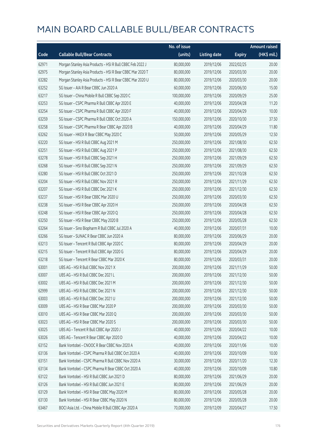|       |                                                           | No. of issue |                     |               | <b>Amount raised</b> |
|-------|-----------------------------------------------------------|--------------|---------------------|---------------|----------------------|
| Code  | <b>Callable Bull/Bear Contracts</b>                       | (units)      | <b>Listing date</b> | <b>Expiry</b> | (HK\$ mil.)          |
| 62971 | Morgan Stanley Asia Products - HSI R Bull CBBC Feb 2022 J | 80,000,000   | 2019/12/06          | 2022/02/25    | 20.00                |
| 62975 | Morgan Stanley Asia Products - HSI R Bear CBBC Mar 2020 T | 80,000,000   | 2019/12/06          | 2020/03/30    | 20.00                |
| 63282 | Morgan Stanley Asia Products - HSI R Bear CBBC Mar 2020 U | 80,000,000   | 2019/12/06          | 2020/03/30    | 20.00                |
| 63252 | SG Issuer - AIA R Bear CBBC Jun 2020 A                    | 60,000,000   | 2019/12/06          | 2020/06/30    | 15.00                |
| 63217 | SG Issuer - China Mobile R Bull CBBC Sep 2020 C           | 100,000,000  | 2019/12/06          | 2020/09/29    | 25.00                |
| 63253 | SG Issuer - CSPC Pharma R Bull CBBC Apr 2020 E            | 40,000,000   | 2019/12/06          | 2020/04/28    | 11.20                |
| 63254 | SG Issuer - CSPC Pharma R Bull CBBC Apr 2020 F            | 40,000,000   | 2019/12/06          | 2020/04/29    | 10.00                |
| 63259 | SG Issuer - CSPC Pharma R Bull CBBC Oct 2020 A            | 150,000,000  | 2019/12/06          | 2020/10/30    | 37.50                |
| 63258 | SG Issuer - CSPC Pharma R Bear CBBC Apr 2020 B            | 40,000,000   | 2019/12/06          | 2020/04/29    | 11.80                |
| 63262 | SG Issuer - HKEX R Bear CBBC May 2020 C                   | 50,000,000   | 2019/12/06          | 2020/05/29    | 12.50                |
| 63220 | SG Issuer - HSI R Bull CBBC Aug 2021 M                    | 250,000,000  | 2019/12/06          | 2021/08/30    | 62.50                |
| 63251 | SG Issuer - HSI R Bull CBBC Aug 2021 P                    | 250,000,000  | 2019/12/06          | 2021/08/30    | 62.50                |
| 63278 | SG Issuer - HSI R Bull CBBC Sep 2021 H                    | 250,000,000  | 2019/12/06          | 2021/09/29    | 62.50                |
| 63268 | SG Issuer - HSI R Bull CBBC Sep 2021 N                    | 250,000,000  | 2019/12/06          | 2021/09/29    | 62.50                |
| 63280 | SG Issuer - HSI R Bull CBBC Oct 2021 D                    | 250,000,000  | 2019/12/06          | 2021/10/28    | 62.50                |
| 63204 | SG Issuer - HSI R Bull CBBC Nov 2021 R                    | 250,000,000  | 2019/12/06          | 2021/11/29    | 62.50                |
| 63207 | SG Issuer - HSI R Bull CBBC Dec 2021 K                    | 250,000,000  | 2019/12/06          | 2021/12/30    | 62.50                |
| 63237 | SG Issuer - HSI R Bear CBBC Mar 2020 U                    | 250,000,000  | 2019/12/06          | 2020/03/30    | 62.50                |
| 63238 | SG Issuer - HSI R Bear CBBC Apr 2020 H                    | 250,000,000  | 2019/12/06          | 2020/04/28    | 62.50                |
| 63248 | SG Issuer - HSI R Bear CBBC Apr 2020 Q                    | 250,000,000  | 2019/12/06          | 2020/04/28    | 62.50                |
| 63250 | SG Issuer - HSI R Bear CBBC May 2020 B                    | 250,000,000  | 2019/12/06          | 2020/05/28    | 62.50                |
| 63264 | SG Issuer - Sino Biopharm R Bull CBBC Jul 2020 A          | 40,000,000   | 2019/12/06          | 2020/07/31    | 10.00                |
| 63266 | SG Issuer - SUNAC R Bear CBBC Jun 2020 A                  | 80,000,000   | 2019/12/06          | 2020/06/29    | 20.00                |
| 63213 | SG Issuer - Tencent R Bull CBBC Apr 2020 C                | 80,000,000   | 2019/12/06          | 2020/04/29    | 20.00                |
| 63215 | SG Issuer - Tencent R Bull CBBC Apr 2020 G                | 80,000,000   | 2019/12/06          | 2020/04/29    | 20.00                |
| 63218 | SG Issuer - Tencent R Bear CBBC Mar 2020 K                | 80,000,000   | 2019/12/06          | 2020/03/31    | 20.00                |
| 63001 | UBS AG - HSI R Bull CBBC Nov 2021 X                       | 200,000,000  | 2019/12/06          | 2021/11/29    | 50.00                |
| 63007 | UBS AG - HSI R Bull CBBC Dec 2021 L                       | 200,000,000  | 2019/12/06          | 2021/12/30    | 50.00                |
| 63002 | UBS AG - HSI R Bull CBBC Dec 2021 M                       | 200,000,000  | 2019/12/06          | 2021/12/30    | 50.00                |
| 62999 | UBS AG - HSI R Bull CBBC Dec 2021 N                       | 200,000,000  | 2019/12/06          | 2021/12/30    | 50.00                |
| 63003 | UBS AG - HSI R Bull CBBC Dec 2021 U                       | 200,000,000  | 2019/12/06          | 2021/12/30    | 50.00                |
| 63009 | UBS AG - HSI R Bear CBBC Mar 2020 P                       | 200,000,000  | 2019/12/06          | 2020/03/30    | 50.00                |
| 63010 | UBS AG - HSI R Bear CBBC Mar 2020 Q                       | 200,000,000  | 2019/12/06          | 2020/03/30    | 50.00                |
| 63023 | UBS AG - HSI R Bear CBBC Mar 2020 S                       | 200,000,000  | 2019/12/06          | 2020/03/30    | 50.00                |
| 63025 | UBS AG - Tencent R Bull CBBC Apr 2020 J                   | 40,000,000   | 2019/12/06          | 2020/04/22    | 10.00                |
| 63026 | UBS AG - Tencent R Bear CBBC Apr 2020 D                   | 40,000,000   | 2019/12/06          | 2020/04/22    | 10.00                |
| 63152 | Bank Vontobel - CNOOC R Bear CBBC Nov 2020 A              | 40,000,000   | 2019/12/06          | 2020/11/06    | 10.00                |
| 63136 | Bank Vontobel - CSPC Pharma R Bull CBBC Oct 2020 A        | 40,000,000   | 2019/12/06          | 2020/10/09    | 10.00                |
| 63151 | Bank Vontobel - CSPC Pharma R Bull CBBC Nov 2020 A        | 30,000,000   | 2019/12/06          | 2020/11/20    | 12.30                |
| 63134 | Bank Vontobel - CSPC Pharma R Bear CBBC Oct 2020 A        | 40,000,000   | 2019/12/06          | 2020/10/09    | 10.80                |
| 63122 | Bank Vontobel - HSI R Bull CBBC Jun 2021 D                | 80,000,000   | 2019/12/06          | 2021/06/29    | 20.00                |
| 63126 | Bank Vontobel - HSI R Bull CBBC Jun 2021 E                | 80,000,000   | 2019/12/06          | 2021/06/29    | 20.00                |
| 63129 | Bank Vontobel - HSI R Bear CBBC May 2020 M                | 80,000,000   | 2019/12/06          | 2020/05/28    | 20.00                |
| 63130 | Bank Vontobel - HSI R Bear CBBC May 2020 N                | 80,000,000   | 2019/12/06          | 2020/05/28    | 20.00                |
| 63467 | BOCI Asia Ltd. - China Mobile R Bull CBBC Apr 2020 A      | 70,000,000   | 2019/12/09          | 2020/04/27    | 17.50                |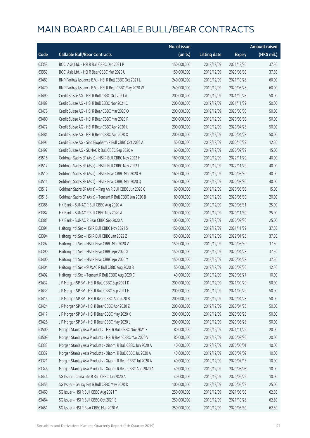|       |                                                              | No. of issue |                     |               | <b>Amount raised</b> |
|-------|--------------------------------------------------------------|--------------|---------------------|---------------|----------------------|
| Code  | <b>Callable Bull/Bear Contracts</b>                          | (units)      | <b>Listing date</b> | <b>Expiry</b> | (HK\$ mil.)          |
| 63353 | BOCI Asia Ltd. - HSI R Bull CBBC Dec 2021 P                  | 150,000,000  | 2019/12/09          | 2021/12/30    | 37.50                |
| 63359 | BOCI Asia Ltd. - HSI R Bear CBBC Mar 2020 U                  | 150,000,000  | 2019/12/09          | 2020/03/30    | 37.50                |
| 63469 | BNP Paribas Issuance B.V. - HSI R Bull CBBC Oct 2021 L       | 240,000,000  | 2019/12/09          | 2021/10/28    | 60.00                |
| 63470 | BNP Paribas Issuance B.V. - HSI R Bear CBBC May 2020 W       | 240,000,000  | 2019/12/09          | 2020/05/28    | 60.00                |
| 63490 | Credit Suisse AG - HSI R Bull CBBC Oct 2021 A                | 200,000,000  | 2019/12/09          | 2021/10/28    | 50.00                |
| 63487 | Credit Suisse AG - HSI R Bull CBBC Nov 2021 C                | 200,000,000  | 2019/12/09          | 2021/11/29    | 50.00                |
| 63476 | Credit Suisse AG - HSI R Bear CBBC Mar 2020 O                | 200,000,000  | 2019/12/09          | 2020/03/30    | 50.00                |
| 63480 | Credit Suisse AG - HSI R Bear CBBC Mar 2020 P                | 200,000,000  | 2019/12/09          | 2020/03/30    | 50.00                |
| 63472 | Credit Suisse AG - HSI R Bear CBBC Apr 2020 U                | 200,000,000  | 2019/12/09          | 2020/04/28    | 50.00                |
| 63484 | Credit Suisse AG - HSI R Bear CBBC Apr 2020 X                | 200,000,000  | 2019/12/09          | 2020/04/28    | 50.00                |
| 63491 | Credit Suisse AG - Sino Biopharm R Bull CBBC Oct 2020 A      | 50,000,000   | 2019/12/09          | 2020/10/29    | 12.50                |
| 63492 | Credit Suisse AG - SUNAC R Bull CBBC Sep 2020 A              | 60,000,000   | 2019/12/09          | 2020/09/29    | 15.00                |
| 63516 | Goldman Sachs SP (Asia) - HSI R Bull CBBC Nov 2022 H         | 160,000,000  | 2019/12/09          | 2022/11/29    | 40.00                |
| 63517 | Goldman Sachs SP (Asia) - HSI R Bull CBBC Nov 2022 I         | 160,000,000  | 2019/12/09          | 2022/11/29    | 40.00                |
| 63510 | Goldman Sachs SP (Asia) - HSI R Bear CBBC Mar 2020 H         | 160,000,000  | 2019/12/09          | 2020/03/30    | 40.00                |
| 63511 | Goldman Sachs SP (Asia) - HSI R Bear CBBC Mar 2020 Q         | 160,000,000  | 2019/12/09          | 2020/03/30    | 40.00                |
| 63519 | Goldman Sachs SP (Asia) - Ping An R Bull CBBC Jun 2020 C     | 60,000,000   | 2019/12/09          | 2020/06/30    | 15.00                |
| 63518 | Goldman Sachs SP (Asia) - Tencent R Bull CBBC Jun 2020 B     | 80,000,000   | 2019/12/09          | 2020/06/30    | 20.00                |
| 63386 | HK Bank - SUNAC R Bull CBBC Aug 2020 A                       | 100,000,000  | 2019/12/09          | 2020/08/31    | 25.00                |
| 63387 | HK Bank - SUNAC R Bull CBBC Nov 2020 A                       | 100,000,000  | 2019/12/09          | 2020/11/30    | 25.00                |
| 63385 | HK Bank - SUNAC R Bear CBBC Sep 2020 A                       | 100,000,000  | 2019/12/09          | 2020/09/30    | 25.00                |
| 63391 | Haitong Int'l Sec - HSI R Bull CBBC Nov 2021 S               | 150,000,000  | 2019/12/09          | 2021/11/29    | 37.50                |
| 63394 | Haitong Int'l Sec - HSI R Bull CBBC Jan 2022 Z               | 150,000,000  | 2019/12/09          | 2022/01/28    | 37.50                |
| 63397 | Haitong Int'l Sec - HSI R Bear CBBC Mar 2020 V               | 150,000,000  | 2019/12/09          | 2020/03/30    | 37.50                |
| 63390 | Haitong Int'l Sec - HSI R Bear CBBC Apr 2020 X               | 150,000,000  | 2019/12/09          | 2020/04/28    | 37.50                |
| 63400 | Haitong Int'l Sec - HSI R Bear CBBC Apr 2020 Y               | 150,000,000  | 2019/12/09          | 2020/04/28    | 37.50                |
| 63404 | Haitong Int'l Sec - SUNAC R Bull CBBC Aug 2020 B             | 50,000,000   | 2019/12/09          | 2020/08/20    | 12.50                |
| 63402 | Haitong Int'l Sec - Tencent R Bull CBBC Aug 2020 C           | 40,000,000   | 2019/12/09          | 2020/08/27    | 10.00                |
| 63432 | J P Morgan SP BV - HSI R Bull CBBC Sep 2021 D                | 200,000,000  | 2019/12/09          | 2021/09/29    | 50.00                |
| 63433 | J P Morgan SP BV - HSI R Bull CBBC Sep 2021 H                | 200,000,000  | 2019/12/09          | 2021/09/29    | 50.00                |
| 63415 | J P Morgan SP BV - HSI R Bear CBBC Apr 2020 B                | 200,000,000  | 2019/12/09          | 2020/04/28    | 50.00                |
| 63424 | J P Morgan SP BV - HSI R Bear CBBC Apr 2020 Z                | 200,000,000  | 2019/12/09          | 2020/04/28    | 50.00                |
| 63417 | J P Morgan SP BV - HSI R Bear CBBC May 2020 K                | 200,000,000  | 2019/12/09          | 2020/05/28    | 50.00                |
| 63426 | J P Morgan SP BV - HSI R Bear CBBC May 2020 L                | 200,000,000  | 2019/12/09          | 2020/05/28    | 50.00                |
| 63500 | Morgan Stanley Asia Products - HSI R Bull CBBC Nov 2021 F    | 80,000,000   | 2019/12/09          | 2021/11/29    | 20.00                |
| 63509 | Morgan Stanley Asia Products - HSI R Bear CBBC Mar 2020 V    | 80,000,000   | 2019/12/09          | 2020/03/30    | 20.00                |
| 63333 | Morgan Stanley Asia Products - Xiaomi R Bull CBBC Jun 2020 A | 40,000,000   | 2019/12/09          | 2020/06/01    | 10.00                |
| 63339 | Morgan Stanley Asia Products - Xiaomi R Bull CBBC Jul 2020 A | 40,000,000   | 2019/12/09          | 2020/07/02    | 10.00                |
| 63321 | Morgan Stanley Asia Products - Xiaomi R Bear CBBC Jul 2020 A | 40,000,000   | 2019/12/09          | 2020/07/15    | 10.00                |
| 63346 | Morgan Stanley Asia Products - Xiaomi R Bear CBBC Aug 2020 A | 40,000,000   | 2019/12/09          | 2020/08/03    | 10.00                |
| 63444 | SG Issuer - China Life R Bull CBBC Jun 2020 A                | 40,000,000   | 2019/12/09          | 2020/06/29    | 10.00                |
| 63455 | SG Issuer - Galaxy Ent R Bull CBBC May 2020 D                | 100,000,000  | 2019/12/09          | 2020/05/29    | 25.00                |
| 63460 | SG Issuer - HSI R Bull CBBC Aug 2021 T                       | 250,000,000  | 2019/12/09          | 2021/08/30    | 62.50                |
| 63464 | SG Issuer - HSI R Bull CBBC Oct 2021 E                       | 250,000,000  | 2019/12/09          | 2021/10/28    | 62.50                |
| 63451 | SG Issuer - HSI R Bear CBBC Mar 2020 V                       | 250,000,000  | 2019/12/09          | 2020/03/30    | 62.50                |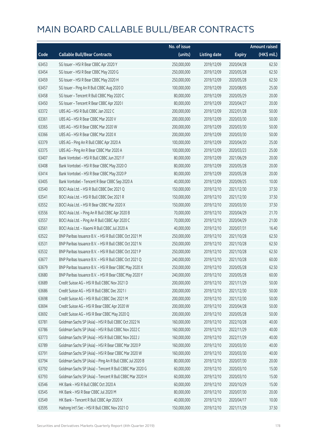|       |                                                          | No. of issue |                     |               | <b>Amount raised</b> |
|-------|----------------------------------------------------------|--------------|---------------------|---------------|----------------------|
| Code  | <b>Callable Bull/Bear Contracts</b>                      | (units)      | <b>Listing date</b> | <b>Expiry</b> | (HK\$ mil.)          |
| 63453 | SG Issuer - HSI R Bear CBBC Apr 2020 Y                   | 250,000,000  | 2019/12/09          | 2020/04/28    | 62.50                |
| 63454 | SG Issuer - HSI R Bear CBBC May 2020 G                   | 250,000,000  | 2019/12/09          | 2020/05/28    | 62.50                |
| 63459 | SG Issuer - HSI R Bear CBBC May 2020 H                   | 250,000,000  | 2019/12/09          | 2020/05/28    | 62.50                |
| 63457 | SG Issuer - Ping An R Bull CBBC Aug 2020 D               | 100,000,000  | 2019/12/09          | 2020/08/05    | 25.00                |
| 63458 | SG Issuer - Tencent R Bull CBBC May 2020 C               | 80,000,000   | 2019/12/09          | 2020/05/29    | 20.00                |
| 63450 | SG Issuer - Tencent R Bear CBBC Apr 2020 I               | 80,000,000   | 2019/12/09          | 2020/04/27    | 20.00                |
| 63372 | UBS AG - HSI R Bull CBBC Jan 2022 C                      | 200,000,000  | 2019/12/09          | 2022/01/28    | 50.00                |
| 63361 | UBS AG - HSI R Bear CBBC Mar 2020 V                      | 200,000,000  | 2019/12/09          | 2020/03/30    | 50.00                |
| 63365 | UBS AG - HSI R Bear CBBC Mar 2020 W                      | 200,000,000  | 2019/12/09          | 2020/03/30    | 50.00                |
| 63366 | UBS AG - HSI R Bear CBBC Mar 2020 X                      | 200,000,000  | 2019/12/09          | 2020/03/30    | 50.00                |
| 63379 | UBS AG - Ping An R Bull CBBC Apr 2020 A                  | 100,000,000  | 2019/12/09          | 2020/04/20    | 25.00                |
| 63375 | UBS AG - Ping An R Bear CBBC Mar 2020 A                  | 100,000,000  | 2019/12/09          | 2020/03/23    | 25.00                |
| 63407 | Bank Vontobel - HSI R Bull CBBC Jun 2021 F               | 80,000,000   | 2019/12/09          | 2021/06/29    | 20.00                |
| 63408 | Bank Vontobel - HSI R Bear CBBC May 2020 O               | 80,000,000   | 2019/12/09          | 2020/05/28    | 20.00                |
| 63414 | Bank Vontobel - HSI R Bear CBBC May 2020 P               | 80,000,000   | 2019/12/09          | 2020/05/28    | 20.00                |
| 63405 | Bank Vontobel - Tencent R Bear CBBC Sep 2020 A           | 40,000,000   | 2019/12/09          | 2020/09/25    | 10.00                |
| 63540 | BOCI Asia Ltd. - HSI R Bull CBBC Dec 2021 Q              | 150,000,000  | 2019/12/10          | 2021/12/30    | 37.50                |
| 63541 | BOCI Asia Ltd. - HSI R Bull CBBC Dec 2021 R              | 150,000,000  | 2019/12/10          | 2021/12/30    | 37.50                |
| 63552 | BOCI Asia Ltd. - HSI R Bear CBBC Mar 2020 X              | 150,000,000  | 2019/12/10          | 2020/03/30    | 37.50                |
| 63556 | BOCI Asia Ltd. - Ping An R Bull CBBC Apr 2020 B          | 70,000,000   | 2019/12/10          | 2020/04/29    | 21.70                |
| 63557 | BOCI Asia Ltd. - Ping An R Bull CBBC Apr 2020 C          | 70,000,000   | 2019/12/10          | 2020/04/29    | 21.00                |
| 63561 | BOCI Asia Ltd. - Xiaomi R Bull CBBC Jul 2020 A           | 40,000,000   | 2019/12/10          | 2020/07/31    | 16.40                |
| 63522 | BNP Paribas Issuance B.V. - HSI R Bull CBBC Oct 2021 M   | 250,000,000  | 2019/12/10          | 2021/10/28    | 62.50                |
| 63531 | BNP Paribas Issuance B.V. - HSI R Bull CBBC Oct 2021 N   | 250,000,000  | 2019/12/10          | 2021/10/28    | 62.50                |
| 63532 | BNP Paribas Issuance B.V. - HSI R Bull CBBC Oct 2021 P   | 250,000,000  | 2019/12/10          | 2021/10/28    | 62.50                |
| 63677 | BNP Paribas Issuance B.V. - HSI R Bull CBBC Oct 2021 Q   | 240,000,000  | 2019/12/10          | 2021/10/28    | 60.00                |
| 63679 | BNP Paribas Issuance B.V. - HSI R Bear CBBC May 2020 X   | 250,000,000  | 2019/12/10          | 2020/05/28    | 62.50                |
| 63680 | BNP Paribas Issuance B.V. - HSI R Bear CBBC May 2020 Y   | 240,000,000  | 2019/12/10          | 2020/05/28    | 60.00                |
| 63689 | Credit Suisse AG - HSI R Bull CBBC Nov 2021 D            | 200,000,000  | 2019/12/10          | 2021/11/29    | 50.00                |
| 63686 | Credit Suisse AG - HSI R Bull CBBC Dec 2021 I            | 200,000,000  | 2019/12/10          | 2021/12/30    | 50.00                |
| 63698 | Credit Suisse AG - HSI R Bull CBBC Dec 2021 M            | 200,000,000  | 2019/12/10          | 2021/12/30    | 50.00                |
| 63694 | Credit Suisse AG - HSI R Bear CBBC Apr 2020 W            | 200,000,000  | 2019/12/10          | 2020/04/28    | 50.00                |
| 63692 | Credit Suisse AG - HSI R Bear CBBC May 2020 Q            | 200,000,000  | 2019/12/10          | 2020/05/28    | 50.00                |
| 63781 | Goldman Sachs SP (Asia) - HSI R Bull CBBC Oct 2022 N     | 160,000,000  | 2019/12/10          | 2022/10/28    | 40.00                |
| 63786 | Goldman Sachs SP (Asia) - HSI R Bull CBBC Nov 2022 C     | 160,000,000  | 2019/12/10          | 2022/11/29    | 40.00                |
| 63773 | Goldman Sachs SP (Asia) - HSI R Bull CBBC Nov 2022 J     | 160,000,000  | 2019/12/10          | 2022/11/29    | 40.00                |
| 63789 | Goldman Sachs SP (Asia) - HSI R Bear CBBC Mar 2020 P     | 160,000,000  | 2019/12/10          | 2020/03/30    | 40.00                |
| 63791 | Goldman Sachs SP (Asia) - HSI R Bear CBBC Mar 2020 W     | 160,000,000  | 2019/12/10          | 2020/03/30    | 40.00                |
| 63794 | Goldman Sachs SP (Asia) - Ping An R Bull CBBC Jul 2020 B | 80,000,000   | 2019/12/10          | 2020/07/30    | 20.00                |
| 63792 | Goldman Sachs SP (Asia) - Tencent R Bull CBBC Mar 2020 G | 60,000,000   | 2019/12/10          | 2020/03/10    | 15.00                |
| 63793 | Goldman Sachs SP (Asia) - Tencent R Bull CBBC Mar 2020 H | 60,000,000   | 2019/12/10          | 2020/03/10    | 15.00                |
| 63546 | HK Bank - HSI R Bull CBBC Oct 2020 A                     | 60,000,000   | 2019/12/10          | 2020/10/29    | 15.00                |
| 63545 | HK Bank - HSI R Bear CBBC Jul 2020 M                     | 80,000,000   | 2019/12/10          | 2020/07/30    | 20.00                |
| 63549 | HK Bank - Tencent R Bull CBBC Apr 2020 X                 | 40,000,000   | 2019/12/10          | 2020/04/17    | 10.00                |
| 63595 | Haitong Int'l Sec - HSI R Bull CBBC Nov 2021 O           | 150,000,000  | 2019/12/10          | 2021/11/29    | 37.50                |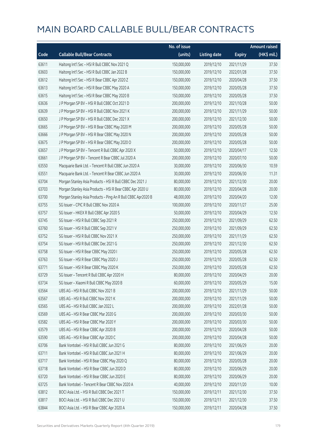|       |                                                              | No. of issue |                     |               | <b>Amount raised</b> |
|-------|--------------------------------------------------------------|--------------|---------------------|---------------|----------------------|
| Code  | <b>Callable Bull/Bear Contracts</b>                          | (units)      | <b>Listing date</b> | <b>Expiry</b> | (HK\$ mil.)          |
| 63611 | Haitong Int'l Sec - HSI R Bull CBBC Nov 2021 Q               | 150,000,000  | 2019/12/10          | 2021/11/29    | 37.50                |
| 63603 | Haitong Int'l Sec - HSI R Bull CBBC Jan 2022 B               | 150,000,000  | 2019/12/10          | 2022/01/28    | 37.50                |
| 63612 | Haitong Int'l Sec - HSI R Bear CBBC Apr 2020 Z               | 150,000,000  | 2019/12/10          | 2020/04/28    | 37.50                |
| 63613 | Haitong Int'l Sec - HSI R Bear CBBC May 2020 A               | 150,000,000  | 2019/12/10          | 2020/05/28    | 37.50                |
| 63615 | Haitong Int'l Sec - HSI R Bear CBBC May 2020 B               | 150,000,000  | 2019/12/10          | 2020/05/28    | 37.50                |
| 63636 | J P Morgan SP BV - HSI R Bull CBBC Oct 2021 D                | 200,000,000  | 2019/12/10          | 2021/10/28    | 50.00                |
| 63639 | J P Morgan SP BV - HSI R Bull CBBC Nov 2021 K                | 200,000,000  | 2019/12/10          | 2021/11/29    | 50.00                |
| 63650 | J P Morgan SP BV - HSI R Bull CBBC Dec 2021 X                | 200,000,000  | 2019/12/10          | 2021/12/30    | 50.00                |
| 63665 | J P Morgan SP BV - HSI R Bear CBBC May 2020 M                | 200,000,000  | 2019/12/10          | 2020/05/28    | 50.00                |
| 63666 | J P Morgan SP BV - HSI R Bear CBBC May 2020 N                | 200,000,000  | 2019/12/10          | 2020/05/28    | 50.00                |
| 63675 | J P Morgan SP BV - HSI R Bear CBBC May 2020 O                | 200,000,000  | 2019/12/10          | 2020/05/28    | 50.00                |
| 63657 | J P Morgan SP BV - Tencent R Bull CBBC Apr 2020 X            | 50,000,000   | 2019/12/10          | 2020/04/17    | 12.50                |
| 63661 | J P Morgan SP BV - Tencent R Bear CBBC Jul 2020 A            | 200,000,000  | 2019/12/10          | 2020/07/10    | 50.00                |
| 63550 | Macquarie Bank Ltd. - Tencent R Bull CBBC Jun 2020 A         | 30,000,000   | 2019/12/10          | 2020/06/30    | 10.59                |
| 63551 | Macquarie Bank Ltd. - Tencent R Bear CBBC Jun 2020 A         | 30,000,000   | 2019/12/10          | 2020/06/30    | 11.31                |
| 63704 | Morgan Stanley Asia Products - HSI R Bull CBBC Dec 2021 J    | 80,000,000   | 2019/12/10          | 2021/12/30    | 20.00                |
| 63703 | Morgan Stanley Asia Products - HSI R Bear CBBC Apr 2020 U    | 80,000,000   | 2019/12/10          | 2020/04/28    | 20.00                |
| 63700 | Morgan Stanley Asia Products - Ping An R Bull CBBC Apr2020 B | 48,000,000   | 2019/12/10          | 2020/04/20    | 12.00                |
| 63755 | SG Issuer - CPIC R Bull CBBC Nov 2020 A                      | 100,000,000  | 2019/12/10          | 2020/11/27    | 25.00                |
| 63757 | SG Issuer - HKEX R Bull CBBC Apr 2020 S                      | 50,000,000   | 2019/12/10          | 2020/04/29    | 12.50                |
| 63745 | SG Issuer - HSI R Bull CBBC Sep 2021 R                       | 250,000,000  | 2019/12/10          | 2021/09/29    | 62.50                |
| 63760 | SG Issuer - HSI R Bull CBBC Sep 2021 V                       | 250,000,000  | 2019/12/10          | 2021/09/29    | 62.50                |
| 63752 | SG Issuer - HSI R Bull CBBC Nov 2021 X                       | 250,000,000  | 2019/12/10          | 2021/11/29    | 62.50                |
| 63754 | SG Issuer - HSI R Bull CBBC Dec 2021 G                       | 250,000,000  | 2019/12/10          | 2021/12/30    | 62.50                |
| 63758 | SG Issuer - HSI R Bear CBBC May 2020 I                       | 250,000,000  | 2019/12/10          | 2020/05/28    | 62.50                |
| 63763 | SG Issuer - HSI R Bear CBBC May 2020 J                       | 250,000,000  | 2019/12/10          | 2020/05/28    | 62.50                |
| 63771 | SG Issuer - HSI R Bear CBBC May 2020 K                       | 250,000,000  | 2019/12/10          | 2020/05/28    | 62.50                |
| 63729 | SG Issuer - Tencent R Bull CBBC Apr 2020 H                   | 80,000,000   | 2019/12/10          | 2020/04/29    | 20.00                |
| 63734 | SG Issuer - Xiaomi R Bull CBBC May 2020 B                    | 60,000,000   | 2019/12/10          | 2020/05/29    | 15.00                |
| 63564 | UBS AG - HSI R Bull CBBC Nov 2021 B                          | 200,000,000  | 2019/12/10          | 2021/11/29    | 50.00                |
| 63567 | UBS AG - HSI R Bull CBBC Nov 2021 K                          | 200,000,000  | 2019/12/10          | 2021/11/29    | 50.00                |
| 63565 | UBS AG - HSI R Bull CBBC Jan 2022 L                          | 200,000,000  | 2019/12/10          | 2022/01/28    | 50.00                |
| 63569 | UBS AG - HSI R Bear CBBC Mar 2020 G                          | 200,000,000  | 2019/12/10          | 2020/03/30    | 50.00                |
| 63582 | UBS AG - HSI R Bear CBBC Mar 2020 Y                          | 200,000,000  | 2019/12/10          | 2020/03/30    | 50.00                |
| 63579 | UBS AG - HSI R Bear CBBC Apr 2020 B                          | 200,000,000  | 2019/12/10          | 2020/04/28    | 50.00                |
| 63590 | UBS AG - HSI R Bear CBBC Apr 2020 C                          | 200,000,000  | 2019/12/10          | 2020/04/28    | 50.00                |
| 63706 | Bank Vontobel - HSI R Bull CBBC Jun 2021 G                   | 80,000,000   | 2019/12/10          | 2021/06/29    | 20.00                |
| 63711 | Bank Vontobel - HSI R Bull CBBC Jun 2021 H                   | 80,000,000   | 2019/12/10          | 2021/06/29    | 20.00                |
| 63717 | Bank Vontobel - HSI R Bear CBBC May 2020 Q                   | 80,000,000   | 2019/12/10          | 2020/05/28    | 20.00                |
| 63718 | Bank Vontobel - HSI R Bear CBBC Jun 2020 D                   | 80,000,000   | 2019/12/10          | 2020/06/29    | 20.00                |
| 63720 | Bank Vontobel - HSI R Bear CBBC Jun 2020 E                   | 80,000,000   | 2019/12/10          | 2020/06/29    | 20.00                |
| 63725 | Bank Vontobel - Tencent R Bear CBBC Nov 2020 A               | 40,000,000   | 2019/12/10          | 2020/11/20    | 10.00                |
| 63812 | BOCI Asia Ltd. - HSI R Bull CBBC Dec 2021 T                  | 150,000,000  | 2019/12/11          | 2021/12/30    | 37.50                |
| 63817 | BOCI Asia Ltd. - HSI R Bull CBBC Dec 2021 U                  | 150,000,000  | 2019/12/11          | 2021/12/30    | 37.50                |
| 63844 | BOCI Asia Ltd. - HSI R Bear CBBC Apr 2020 A                  | 150,000,000  | 2019/12/11          | 2020/04/28    | 37.50                |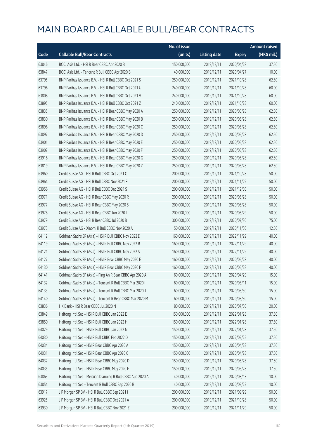|       |                                                             | No. of issue |                     |               | <b>Amount raised</b> |
|-------|-------------------------------------------------------------|--------------|---------------------|---------------|----------------------|
| Code  | <b>Callable Bull/Bear Contracts</b>                         | (units)      | <b>Listing date</b> | <b>Expiry</b> | $(HK$$ mil.)         |
| 63846 | BOCI Asia Ltd. - HSI R Bear CBBC Apr 2020 B                 | 150,000,000  | 2019/12/11          | 2020/04/28    | 37.50                |
| 63847 | BOCI Asia Ltd. - Tencent R Bull CBBC Apr 2020 B             | 40,000,000   | 2019/12/11          | 2020/04/27    | 10.00                |
| 63795 | BNP Paribas Issuance B.V. - HSI R Bull CBBC Oct 2021 S      | 250,000,000  | 2019/12/11          | 2021/10/28    | 62.50                |
| 63796 | BNP Paribas Issuance B.V. - HSI R Bull CBBC Oct 2021 U      | 240,000,000  | 2019/12/11          | 2021/10/28    | 60.00                |
| 63808 | BNP Paribas Issuance B.V. - HSI R Bull CBBC Oct 2021 V      | 240,000,000  | 2019/12/11          | 2021/10/28    | 60.00                |
| 63895 | BNP Paribas Issuance B.V. - HSI R Bull CBBC Oct 2021 Z      | 240,000,000  | 2019/12/11          | 2021/10/28    | 60.00                |
| 63835 | BNP Paribas Issuance B.V. - HSI R Bear CBBC May 2020 A      | 250,000,000  | 2019/12/11          | 2020/05/28    | 62.50                |
| 63830 | BNP Paribas Issuance B.V. - HSI R Bear CBBC May 2020 B      | 250,000,000  | 2019/12/11          | 2020/05/28    | 62.50                |
| 63896 | BNP Paribas Issuance B.V. - HSI R Bear CBBC May 2020 C      | 250,000,000  | 2019/12/11          | 2020/05/28    | 62.50                |
| 63897 | BNP Paribas Issuance B.V. - HSI R Bear CBBC May 2020 D      | 250,000,000  | 2019/12/11          | 2020/05/28    | 62.50                |
| 63901 | BNP Paribas Issuance B.V. - HSI R Bear CBBC May 2020 E      | 250,000,000  | 2019/12/11          | 2020/05/28    | 62.50                |
| 63907 | BNP Paribas Issuance B.V. - HSI R Bear CBBC May 2020 F      | 250,000,000  | 2019/12/11          | 2020/05/28    | 62.50                |
| 63916 | BNP Paribas Issuance B.V. - HSI R Bear CBBC May 2020 G      | 250,000,000  | 2019/12/11          | 2020/05/28    | 62.50                |
| 63819 | BNP Paribas Issuance B.V. - HSI R Bear CBBC May 2020 Z      | 250,000,000  | 2019/12/11          | 2020/05/28    | 62.50                |
| 63960 | Credit Suisse AG - HSI R Bull CBBC Oct 2021 C               | 200,000,000  | 2019/12/11          | 2021/10/28    | 50.00                |
| 63964 | Credit Suisse AG - HSI R Bull CBBC Nov 2021 F               | 200,000,000  | 2019/12/11          | 2021/11/29    | 50.00                |
| 63956 | Credit Suisse AG - HSI R Bull CBBC Dec 2021 S               | 200,000,000  | 2019/12/11          | 2021/12/30    | 50.00                |
| 63971 | Credit Suisse AG - HSI R Bear CBBC May 2020 R               | 200,000,000  | 2019/12/11          | 2020/05/28    | 50.00                |
| 63977 | Credit Suisse AG - HSI R Bear CBBC May 2020 S               | 200,000,000  | 2019/12/11          | 2020/05/28    | 50.00                |
| 63978 | Credit Suisse AG - HSI R Bear CBBC Jun 2020 I               | 200,000,000  | 2019/12/11          | 2020/06/29    | 50.00                |
| 63979 | Credit Suisse AG - HSI R Bear CBBC Jul 2020 B               | 300,000,000  | 2019/12/11          | 2020/07/30    | 75.00                |
| 63973 | Credit Suisse AG - Xiaomi R Bull CBBC Nov 2020 A            | 50,000,000   | 2019/12/11          | 2020/11/30    | 12.50                |
| 64112 | Goldman Sachs SP (Asia) - HSI R Bull CBBC Nov 2022 D        | 160,000,000  | 2019/12/11          | 2022/11/29    | 40.00                |
| 64119 | Goldman Sachs SP (Asia) - HSI R Bull CBBC Nov 2022 R        | 160,000,000  | 2019/12/11          | 2022/11/29    | 40.00                |
| 64121 | Goldman Sachs SP (Asia) - HSI R Bull CBBC Nov 2022 S        | 160,000,000  | 2019/12/11          | 2022/11/29    | 40.00                |
| 64127 | Goldman Sachs SP (Asia) - HSI R Bear CBBC May 2020 E        | 160,000,000  | 2019/12/11          | 2020/05/28    | 40.00                |
| 64130 | Goldman Sachs SP (Asia) - HSI R Bear CBBC May 2020 F        | 160,000,000  | 2019/12/11          | 2020/05/28    | 40.00                |
| 64141 | Goldman Sachs SP (Asia) - Ping An R Bear CBBC Apr 2020 A    | 60,000,000   | 2019/12/11          | 2020/04/29    | 15.00                |
| 64132 | Goldman Sachs SP (Asia) - Tencent R Bull CBBC Mar 2020 I    | 60,000,000   | 2019/12/11          | 2020/03/11    | 15.00                |
| 64133 | Goldman Sachs SP (Asia) - Tencent R Bull CBBC Mar 2020 J    | 60,000,000   | 2019/12/11          | 2020/03/30    | 15.00                |
| 64140 | Goldman Sachs SP (Asia) - Tencent R Bear CBBC Mar 2020 M    | 60,000,000   | 2019/12/11          | 2020/03/30    | 15.00                |
| 63836 | HK Bank - HSI R Bear CBBC Jul 2020 N                        | 80,000,000   | 2019/12/11          | 2020/07/30    | 20.00                |
| 63849 | Haitong Int'l Sec - HSI R Bull CBBC Jan 2022 E              | 150,000,000  | 2019/12/11          | 2022/01/28    | 37.50                |
| 63850 | Haitong Int'l Sec - HSI R Bull CBBC Jan 2022 H              | 150,000,000  | 2019/12/11          | 2022/01/28    | 37.50                |
| 64029 | Haitong Int'l Sec - HSI R Bull CBBC Jan 2022 N              | 150,000,000  | 2019/12/11          | 2022/01/28    | 37.50                |
| 64030 | Haitong Int'l Sec - HSI R Bull CBBC Feb 2022 D              | 150,000,000  | 2019/12/11          | 2022/02/25    | 37.50                |
| 64034 | Haitong Int'l Sec - HSI R Bear CBBC Apr 2020 A              | 150,000,000  | 2019/12/11          | 2020/04/28    | 37.50                |
| 64031 | Haitong Int'l Sec - HSI R Bear CBBC Apr 2020 C              | 150,000,000  | 2019/12/11          | 2020/04/28    | 37.50                |
| 64032 | Haitong Int'l Sec - HSI R Bear CBBC May 2020 D              | 150,000,000  | 2019/12/11          | 2020/05/28    | 37.50                |
| 64035 | Haitong Int'l Sec - HSI R Bear CBBC May 2020 E              | 150,000,000  | 2019/12/11          | 2020/05/28    | 37.50                |
| 63863 | Haitong Int'l Sec - Meituan Dianping R Bull CBBC Aug 2020 A | 40,000,000   | 2019/12/11          | 2020/08/13    | 10.00                |
| 63854 | Haitong Int'l Sec - Tencent R Bull CBBC Sep 2020 B          | 40,000,000   | 2019/12/11          | 2020/09/22    | 10.00                |
| 63917 | J P Morgan SP BV - HSI R Bull CBBC Sep 2021 I               | 200,000,000  | 2019/12/11          | 2021/09/29    | 50.00                |
| 63925 | J P Morgan SP BV - HSI R Bull CBBC Oct 2021 A               | 200,000,000  | 2019/12/11          | 2021/10/28    | 50.00                |
| 63930 | J P Morgan SP BV - HSI R Bull CBBC Nov 2021 Z               | 200,000,000  | 2019/12/11          | 2021/11/29    | 50.00                |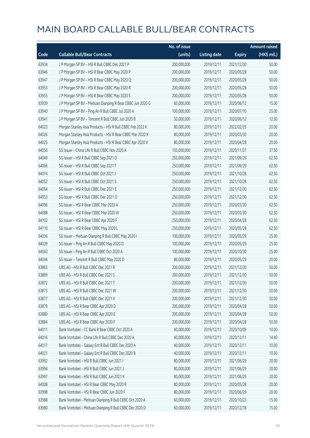|       |                                                            | No. of issue |                     |               | <b>Amount raised</b> |
|-------|------------------------------------------------------------|--------------|---------------------|---------------|----------------------|
| Code  | <b>Callable Bull/Bear Contracts</b>                        | (units)      | <b>Listing date</b> | <b>Expiry</b> | (HK\$ mil.)          |
| 63934 | J P Morgan SP BV - HSI R Bull CBBC Dec 2021 P              | 200,000,000  | 2019/12/11          | 2021/12/30    | 50.00                |
| 63946 | J P Morgan SP BV - HSI R Bear CBBC May 2020 P              | 200,000,000  | 2019/12/11          | 2020/05/28    | 50.00                |
| 63947 | J P Morgan SP BV - HSI R Bear CBBC May 2020 Q              | 200,000,000  | 2019/12/11          | 2020/05/28    | 50.00                |
| 63953 | J P Morgan SP BV - HSI R Bear CBBC May 2020 R              | 200,000,000  | 2019/12/11          | 2020/05/28    | 50.00                |
| 63955 | J P Morgan SP BV - HSI R Bear CBBC May 2020 S              | 200,000,000  | 2019/12/11          | 2020/05/28    | 50.00                |
| 63939 | J P Morgan SP BV - Meituan Dianping R Bear CBBC Jun 2020 G | 60,000,000   | 2019/12/11          | 2020/06/12    | 15.00                |
| 63940 | J P Morgan SP BV - Ping An R Bull CBBC Jul 2020 A          | 100,000,000  | 2019/12/11          | 2020/07/10    | 25.00                |
| 63941 | J P Morgan SP BV - Tencent R Bull CBBC Jun 2020 B          | 50,000,000   | 2019/12/11          | 2020/06/12    | 12.50                |
| 64023 | Morgan Stanley Asia Products - HSI R Bull CBBC Feb 2022 K  | 80,000,000   | 2019/12/11          | 2022/02/25    | 20.00                |
| 64026 | Morgan Stanley Asia Products - HSI R Bear CBBC Mar 2020 X  | 80,000,000   | 2019/12/11          | 2020/03/30    | 20.00                |
| 64025 | Morgan Stanley Asia Products - HSI R Bear CBBC Apr 2020 V  | 80,000,000   | 2019/12/11          | 2020/04/28    | 20.00                |
| 64056 | SG Issuer - China Life R Bull CBBC Nov 2020 A              | 150,000,000  | 2019/12/11          | 2020/11/27    | 37.50                |
| 64049 | SG Issuer - HSI R Bull CBBC Sep 2021 O                     | 250,000,000  | 2019/12/11          | 2021/09/29    | 62.50                |
| 64066 | SG Issuer - HSI R Bull CBBC Sep 2021 T                     | 250,000,000  | 2019/12/11          | 2021/09/29    | 62.50                |
| 64074 | SG Issuer - HSI R Bull CBBC Oct 2021 J                     | 250,000,000  | 2019/12/11          | 2021/10/28    | 62.50                |
| 64052 | SG Issuer - HSI R Bull CBBC Oct 2021 S                     | 250,000,000  | 2019/12/11          | 2021/10/28    | 62.50                |
| 64054 | SG Issuer - HSI R Bull CBBC Dec 2021 E                     | 250,000,000  | 2019/12/11          | 2021/12/30    | 62.50                |
| 64053 | SG Issuer - HSI R Bull CBBC Dec 2021 O                     | 250,000,000  | 2019/12/11          | 2021/12/30    | 62.50                |
| 64096 | SG Issuer - HSI R Bear CBBC Mar 2020 A                     | 250,000,000  | 2019/12/11          | 2020/03/30    | 62.50                |
| 64088 | SG Issuer - HSI R Bear CBBC Mar 2020 W                     | 250,000,000  | 2019/12/11          | 2020/03/30    | 62.50                |
| 64102 | SG Issuer - HSI R Bear CBBC Apr 2020 F                     | 250,000,000  | 2019/12/11          | 2020/04/28    | 62.50                |
| 64110 | SG Issuer - HSI R Bear CBBC May 2020 L                     | 250,000,000  | 2019/12/11          | 2020/05/28    | 62.50                |
| 64036 | SG Issuer - Meituan Dianping R Bull CBBC May 2020 I        | 100,000,000  | 2019/12/11          | 2020/05/29    | 25.00                |
| 64039 | SG Issuer - Ping An R Bull CBBC May 2020 D                 | 100,000,000  | 2019/12/11          | 2020/05/29    | 25.00                |
| 64043 | SG Issuer - Ping An R Bull CBBC Oct 2020 A                 | 100,000,000  | 2019/12/11          | 2020/10/30    | 25.00                |
| 64044 | SG Issuer - Tencent R Bull CBBC May 2020 D                 | 80,000,000   | 2019/12/11          | 2020/05/29    | 20.00                |
| 63865 | UBS AG - HSI R Bull CBBC Dec 2021 R                        | 200,000,000  | 2019/12/11          | 2021/12/30    | 50.00                |
| 63869 | UBS AG - HSI R Bull CBBC Dec 2021 S                        | 200,000,000  | 2019/12/11          | 2021/12/30    | 50.00                |
| 63872 | UBS AG - HSI R Bull CBBC Dec 2021 T                        | 200,000,000  | 2019/12/11          | 2021/12/30    | 50.00                |
| 63873 | UBS AG - HSI R Bull CBBC Dec 2021 W                        | 200,000,000  | 2019/12/11          | 2021/12/30    | 50.00                |
| 63877 | UBS AG - HSI R Bull CBBC Dec 2021 X                        | 200,000,000  | 2019/12/11          | 2021/12/30    | 50.00                |
| 63879 | UBS AG - HSI R Bear CBBC Apr 2020 D                        | 200,000,000  | 2019/12/11          | 2020/04/28    | 50.00                |
| 63880 | UBS AG - HSI R Bear CBBC Apr 2020 E                        | 200,000,000  | 2019/12/11          | 2020/04/28    | 50.00                |
| 63884 | UBS AG - HSI R Bear CBBC Apr 2020 F                        | 200,000,000  | 2019/12/11          | 2020/04/28    | 50.00                |
| 64011 | Bank Vontobel - CC Bank R Bear CBBC Oct 2020 A             | 40,000,000   | 2019/12/11          | 2020/10/09    | 10.00                |
| 64016 | Bank Vontobel - China Life R Bull CBBC Dec 2020 A          | 40,000,000   | 2019/12/11          | 2020/12/11    | 14.40                |
| 64017 | Bank Vontobel - Galaxy Ent R Bull CBBC Dec 2020 A          | 40,000,000   | 2019/12/11          | 2020/12/11    | 10.00                |
| 64021 | Bank Vontobel - Galaxy Ent R Bull CBBC Dec 2020 B          | 40,000,000   | 2019/12/11          | 2020/12/11    | 10.00                |
| 63992 | Bank Vontobel - HSI R Bull CBBC Jun 2021 I                 | 80,000,000   | 2019/12/11          | 2021/06/29    | 20.00                |
| 63994 | Bank Vontobel - HSI R Bull CBBC Jun 2021 J                 | 80,000,000   | 2019/12/11          | 2021/06/29    | 20.00                |
| 63997 | Bank Vontobel - HSI R Bull CBBC Jun 2021 K                 | 80,000,000   | 2019/12/11          | 2021/06/29    | 20.00                |
| 64008 | Bank Vontobel - HSI R Bear CBBC May 2020 R                 | 80,000,000   | 2019/12/11          | 2020/05/28    | 20.00                |
| 63998 | Bank Vontobel - HSI R Bear CBBC Jun 2020 F                 | 80,000,000   | 2019/12/11          | 2020/06/29    | 20.00                |
| 63988 | Bank Vontobel - Meituan Dianping R Bull CBBC Oct 2020 A    | 60,000,000   | 2019/12/11          | 2020/10/23    | 15.00                |
| 63980 | Bank Vontobel - Meituan Dianping R Bull CBBC Dec 2020 D    | 60,000,000   | 2019/12/11          | 2020/12/18    | 15.00                |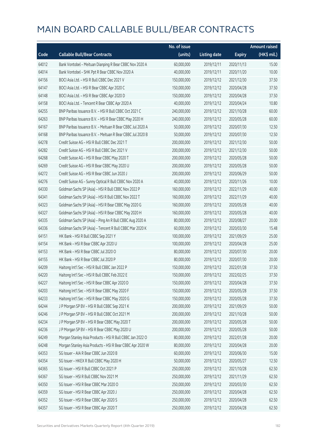|       |                                                            | No. of issue |                     |               | <b>Amount raised</b> |
|-------|------------------------------------------------------------|--------------|---------------------|---------------|----------------------|
| Code  | <b>Callable Bull/Bear Contracts</b>                        | (units)      | <b>Listing date</b> | <b>Expiry</b> | (HK\$ mil.)          |
| 64012 | Bank Vontobel - Meituan Dianping R Bear CBBC Nov 2020 A    | 60,000,000   | 2019/12/11          | 2020/11/13    | 15.00                |
| 64014 | Bank Vontobel - SHK Ppt R Bear CBBC Nov 2020 A             | 40,000,000   | 2019/12/11          | 2020/11/20    | 10.00                |
| 64156 | BOCI Asia Ltd. - HSI R Bull CBBC Dec 2021 V                | 150,000,000  | 2019/12/12          | 2021/12/30    | 37.50                |
| 64147 | BOCI Asia Ltd. - HSI R Bear CBBC Apr 2020 C                | 150,000,000  | 2019/12/12          | 2020/04/28    | 37.50                |
| 64148 | BOCI Asia Ltd. - HSI R Bear CBBC Apr 2020 D                | 150,000,000  | 2019/12/12          | 2020/04/28    | 37.50                |
| 64158 | BOCI Asia Ltd. - Tencent R Bear CBBC Apr 2020 A            | 40,000,000   | 2019/12/12          | 2020/04/24    | 10.80                |
| 64255 | BNP Paribas Issuance B.V. - HSI R Bull CBBC Oct 2021 C     | 240,000,000  | 2019/12/12          | 2021/10/28    | 60.00                |
| 64263 | BNP Paribas Issuance B.V. - HSI R Bear CBBC May 2020 H     | 240,000,000  | 2019/12/12          | 2020/05/28    | 60.00                |
| 64167 | BNP Paribas Issuance B.V. - Meituan R Bear CBBC Jul 2020 A | 50,000,000   | 2019/12/12          | 2020/07/30    | 12.50                |
| 64168 | BNP Paribas Issuance B.V. - Meituan R Bear CBBC Jul 2020 B | 50,000,000   | 2019/12/12          | 2020/07/30    | 12.50                |
| 64278 | Credit Suisse AG - HSI R Bull CBBC Dec 2021 T              | 200,000,000  | 2019/12/12          | 2021/12/30    | 50.00                |
| 64282 | Credit Suisse AG - HSI R Bull CBBC Dec 2021 V              | 200,000,000  | 2019/12/12          | 2021/12/30    | 50.00                |
| 64268 | Credit Suisse AG - HSI R Bear CBBC May 2020 T              | 200,000,000  | 2019/12/12          | 2020/05/28    | 50.00                |
| 64269 | Credit Suisse AG - HSI R Bear CBBC May 2020 U              | 200,000,000  | 2019/12/12          | 2020/05/28    | 50.00                |
| 64272 | Credit Suisse AG - HSI R Bear CBBC Jun 2020 J              | 200,000,000  | 2019/12/12          | 2020/06/29    | 50.00                |
| 64276 | Credit Suisse AG - Sunny Optical R Bull CBBC Nov 2020 A    | 40,000,000   | 2019/12/12          | 2020/11/26    | 10.00                |
| 64330 | Goldman Sachs SP (Asia) - HSI R Bull CBBC Nov 2022 P       | 160,000,000  | 2019/12/12          | 2022/11/29    | 40.00                |
| 64341 | Goldman Sachs SP (Asia) - HSI R Bull CBBC Nov 2022 T       | 160,000,000  | 2019/12/12          | 2022/11/29    | 40.00                |
| 64323 | Goldman Sachs SP (Asia) - HSI R Bear CBBC May 2020 G       | 160,000,000  | 2019/12/12          | 2020/05/28    | 40.00                |
| 64327 | Goldman Sachs SP (Asia) - HSI R Bear CBBC May 2020 H       | 160,000,000  | 2019/12/12          | 2020/05/28    | 40.00                |
| 64335 | Goldman Sachs SP (Asia) - Ping An R Bull CBBC Aug 2020 A   | 80,000,000   | 2019/12/12          | 2020/08/27    | 20.00                |
| 64336 | Goldman Sachs SP (Asia) - Tencent R Bull CBBC Mar 2020 K   | 60,000,000   | 2019/12/12          | 2020/03/30    | 15.48                |
| 64151 | HK Bank - HSI R Bull CBBC Sep 2021 Y                       | 100,000,000  | 2019/12/12          | 2021/09/29    | 25.00                |
| 64154 | HK Bank - HSI R Bear CBBC Apr 2020 U                       | 100,000,000  | 2019/12/12          | 2020/04/28    | 25.00                |
| 64153 | HK Bank - HSI R Bear CBBC Jul 2020 O                       | 80,000,000   | 2019/12/12          | 2020/07/30    | 20.00                |
| 64155 | HK Bank - HSI R Bear CBBC Jul 2020 P                       | 80,000,000   | 2019/12/12          | 2020/07/30    | 20.00                |
| 64209 | Haitong Int'l Sec - HSI R Bull CBBC Jan 2022 P             | 150,000,000  | 2019/12/12          | 2022/01/28    | 37.50                |
| 64220 | Haitong Int'l Sec - HSI R Bull CBBC Feb 2022 E             | 150,000,000  | 2019/12/12          | 2022/02/25    | 37.50                |
| 64227 | Haitong Int'l Sec - HSI R Bear CBBC Apr 2020 D             | 150,000,000  | 2019/12/12          | 2020/04/28    | 37.50                |
| 64203 | Haitong Int'l Sec - HSI R Bear CBBC May 2020 F             | 150,000,000  | 2019/12/12          | 2020/05/28    | 37.50                |
| 64233 | Haitong Int'l Sec - HSI R Bear CBBC May 2020 G             | 150,000,000  | 2019/12/12          | 2020/05/28    | 37.50                |
| 64244 | J P Morgan SP BV - HSI R Bull CBBC Sep 2021 K              | 200,000,000  | 2019/12/12          | 2021/09/29    | 50.00                |
| 64246 | J P Morgan SP BV - HSI R Bull CBBC Oct 2021 M              | 200,000,000  | 2019/12/12          | 2021/10/28    | 50.00                |
| 64234 | J P Morgan SP BV - HSI R Bear CBBC May 2020 T              | 200,000,000  | 2019/12/12          | 2020/05/28    | 50.00                |
| 64236 | J P Morgan SP BV - HSI R Bear CBBC May 2020 U              | 200,000,000  | 2019/12/12          | 2020/05/28    | 50.00                |
| 64249 | Morgan Stanley Asia Products - HSI R Bull CBBC Jan 2022 O  | 80,000,000   | 2019/12/12          | 2022/01/28    | 20.00                |
| 64248 | Morgan Stanley Asia Products - HSI R Bear CBBC Apr 2020 W  | 80,000,000   | 2019/12/12          | 2020/04/28    | 20.00                |
| 64353 | SG Issuer - AIA R Bear CBBC Jun 2020 B                     | 60,000,000   | 2019/12/12          | 2020/06/30    | 15.00                |
| 64354 | SG Issuer - HKEX R Bull CBBC May 2020 H                    | 50,000,000   | 2019/12/12          | 2020/05/27    | 12.50                |
| 64365 | SG Issuer - HSI R Bull CBBC Oct 2021 P                     | 250,000,000  | 2019/12/12          | 2021/10/28    | 62.50                |
| 64367 | SG Issuer - HSI R Bull CBBC Nov 2021 M                     | 250,000,000  | 2019/12/12          | 2021/11/29    | 62.50                |
| 64350 | SG Issuer - HSI R Bear CBBC Mar 2020 O                     | 250,000,000  | 2019/12/12          | 2020/03/30    | 62.50                |
| 64359 | SG Issuer - HSI R Bear CBBC Apr 2020 J                     | 250,000,000  | 2019/12/12          | 2020/04/28    | 62.50                |
| 64352 | SG Issuer - HSI R Bear CBBC Apr 2020 S                     | 250,000,000  | 2019/12/12          | 2020/04/28    | 62.50                |
| 64357 | SG Issuer - HSI R Bear CBBC Apr 2020 T                     | 250,000,000  | 2019/12/12          | 2020/04/28    | 62.50                |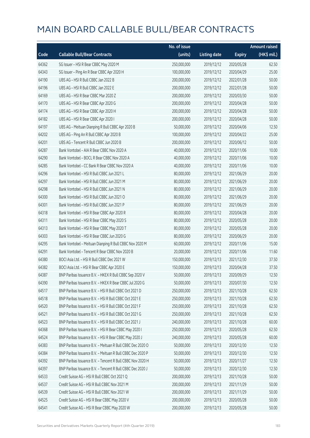|       |                                                            | No. of issue |                     |               | <b>Amount raised</b> |
|-------|------------------------------------------------------------|--------------|---------------------|---------------|----------------------|
| Code  | <b>Callable Bull/Bear Contracts</b>                        | (units)      | <b>Listing date</b> | <b>Expiry</b> | $(HK\$ mil.)         |
| 64362 | SG Issuer - HSI R Bear CBBC May 2020 M                     | 250,000,000  | 2019/12/12          | 2020/05/28    | 62.50                |
| 64343 | SG Issuer - Ping An R Bear CBBC Apr 2020 H                 | 100,000,000  | 2019/12/12          | 2020/04/29    | 25.00                |
| 64190 | UBS AG - HSI R Bull CBBC Jan 2022 B                        | 200,000,000  | 2019/12/12          | 2022/01/28    | 50.00                |
| 64196 | UBS AG - HSI R Bull CBBC Jan 2022 E                        | 200,000,000  | 2019/12/12          | 2022/01/28    | 50.00                |
| 64169 | UBS AG - HSI R Bear CBBC Mar 2020 Z                        | 200,000,000  | 2019/12/12          | 2020/03/30    | 50.00                |
| 64170 | UBS AG - HSI R Bear CBBC Apr 2020 G                        | 200,000,000  | 2019/12/12          | 2020/04/28    | 50.00                |
| 64174 | UBS AG - HSI R Bear CBBC Apr 2020 H                        | 200,000,000  | 2019/12/12          | 2020/04/28    | 50.00                |
| 64182 | UBS AG - HSI R Bear CBBC Apr 2020 I                        | 200,000,000  | 2019/12/12          | 2020/04/28    | 50.00                |
| 64197 | UBS AG - Meituan Dianping R Bull CBBC Apr 2020 B           | 50,000,000   | 2019/12/12          | 2020/04/06    | 12.50                |
| 64202 | UBS AG - Ping An R Bull CBBC Apr 2020 B                    | 100,000,000  | 2019/12/12          | 2020/04/22    | 25.00                |
| 64201 | UBS AG - Tencent R Bull CBBC Jun 2020 B                    | 200,000,000  | 2019/12/12          | 2020/06/12    | 50.00                |
| 64287 | Bank Vontobel - AIA R Bear CBBC Nov 2020 A                 | 40,000,000   | 2019/12/12          | 2020/11/06    | 10.00                |
| 64290 | Bank Vontobel - BOCL R Bear CBBC Nov 2020 A                | 40,000,000   | 2019/12/12          | 2020/11/06    | 10.00                |
| 64285 | Bank Vontobel - CC Bank R Bear CBBC Nov 2020 A             | 40,000,000   | 2019/12/12          | 2020/11/06    | 10.00                |
| 64296 | Bank Vontobel - HSI R Bull CBBC Jun 2021 L                 | 80,000,000   | 2019/12/12          | 2021/06/29    | 20.00                |
| 64297 | Bank Vontobel - HSI R Bull CBBC Jun 2021 M                 | 80,000,000   | 2019/12/12          | 2021/06/29    | 20.00                |
| 64298 | Bank Vontobel - HSI R Bull CBBC Jun 2021 N                 | 80,000,000   | 2019/12/12          | 2021/06/29    | 20.00                |
| 64300 | Bank Vontobel - HSI R Bull CBBC Jun 2021 O                 | 80,000,000   | 2019/12/12          | 2021/06/29    | 20.00                |
| 64301 | Bank Vontobel - HSI R Bull CBBC Jun 2021 P                 | 80,000,000   | 2019/12/12          | 2021/06/29    | 20.00                |
| 64318 | Bank Vontobel - HSI R Bear CBBC Apr 2020 R                 | 80,000,000   | 2019/12/12          | 2020/04/28    | 20.00                |
| 64311 | Bank Vontobel - HSI R Bear CBBC May 2020 S                 | 80,000,000   | 2019/12/12          | 2020/05/28    | 20.00                |
| 64313 | Bank Vontobel - HSI R Bear CBBC May 2020 T                 | 80,000,000   | 2019/12/12          | 2020/05/28    | 20.00                |
| 64303 | Bank Vontobel - HSI R Bear CBBC Jun 2020 G                 | 80,000,000   | 2019/12/12          | 2020/06/29    | 20.00                |
| 64295 | Bank Vontobel - Meituan Dianping R Bull CBBC Nov 2020 M    | 60,000,000   | 2019/12/12          | 2020/11/06    | 15.00                |
| 64291 | Bank Vontobel - Tencent R Bear CBBC Nov 2020 B             | 20,000,000   | 2019/12/12          | 2020/11/06    | 11.60                |
| 64380 | BOCI Asia Ltd. - HSI R Bull CBBC Dec 2021 W                | 150,000,000  | 2019/12/13          | 2021/12/30    | 37.50                |
| 64382 | BOCI Asia Ltd. - HSI R Bear CBBC Apr 2020 E                | 150,000,000  | 2019/12/13          | 2020/04/28    | 37.50                |
| 64387 | BNP Paribas Issuance B.V. - HKEX R Bull CBBC Sep 2020 V    | 50,000,000   | 2019/12/13          | 2020/09/29    | 12.50                |
| 64390 | BNP Paribas Issuance B.V. - HKEX R Bear CBBC Jul 2020 G    | 50,000,000   | 2019/12/13          | 2020/07/30    | 12.50                |
| 64517 | BNP Paribas Issuance B.V. - HSI R Bull CBBC Oct 2021 D     | 250,000,000  | 2019/12/13          | 2021/10/28    | 62.50                |
| 64518 | BNP Paribas Issuance B.V. - HSI R Bull CBBC Oct 2021 E     | 250,000,000  | 2019/12/13          | 2021/10/28    | 62.50                |
| 64520 | BNP Paribas Issuance B.V. - HSI R Bull CBBC Oct 2021 F     | 250,000,000  | 2019/12/13          | 2021/10/28    | 62.50                |
| 64521 | BNP Paribas Issuance B.V. - HSI R Bull CBBC Oct 2021 G     | 250,000,000  | 2019/12/13          | 2021/10/28    | 62.50                |
| 64523 | BNP Paribas Issuance B.V. - HSI R Bull CBBC Oct 2021 J     | 240,000,000  | 2019/12/13          | 2021/10/28    | 60.00                |
| 64368 | BNP Paribas Issuance B.V. - HSI R Bear CBBC May 2020 I     | 250,000,000  | 2019/12/13          | 2020/05/28    | 62.50                |
| 64524 | BNP Paribas Issuance B.V. - HSI R Bear CBBC May 2020 J     | 240,000,000  | 2019/12/13          | 2020/05/28    | 60.00                |
| 64383 | BNP Paribas Issuance B.V. - Meituan R Bull CBBC Dec 2020 O | 50,000,000   | 2019/12/13          | 2020/12/30    | 12.50                |
| 64384 | BNP Paribas Issuance B.V. - Meituan R Bull CBBC Dec 2020 P | 50,000,000   | 2019/12/13          | 2020/12/30    | 12.50                |
| 64392 | BNP Paribas Issuance B.V. - Tencent R Bull CBBC Nov 2020 H | 50,000,000   | 2019/12/13          | 2020/11/27    | 12.50                |
| 64397 | BNP Paribas Issuance B.V. - Tencent R Bull CBBC Dec 2020 J | 50,000,000   | 2019/12/13          | 2020/12/30    | 12.50                |
| 64533 | Credit Suisse AG - HSI R Bull CBBC Oct 2021 Q              | 200,000,000  | 2019/12/13          | 2021/10/28    | 50.00                |
| 64537 | Credit Suisse AG - HSI R Bull CBBC Nov 2021 M              | 200,000,000  | 2019/12/13          | 2021/11/29    | 50.00                |
| 64539 | Credit Suisse AG - HSI R Bull CBBC Nov 2021 W              | 200,000,000  | 2019/12/13          | 2021/11/29    | 50.00                |
| 64525 | Credit Suisse AG - HSI R Bear CBBC May 2020 V              | 200,000,000  | 2019/12/13          | 2020/05/28    | 50.00                |
| 64541 | Credit Suisse AG - HSI R Bear CBBC May 2020 W              | 200,000,000  | 2019/12/13          | 2020/05/28    | 50.00                |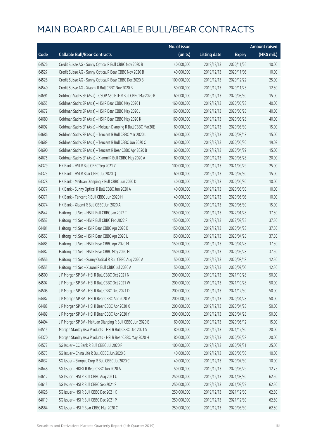|       |                                                               | No. of issue |                     |               | <b>Amount raised</b> |
|-------|---------------------------------------------------------------|--------------|---------------------|---------------|----------------------|
| Code  | <b>Callable Bull/Bear Contracts</b>                           | (units)      | <b>Listing date</b> | <b>Expiry</b> | (HK\$ mil.)          |
| 64526 | Credit Suisse AG - Sunny Optical R Bull CBBC Nov 2020 B       | 40,000,000   | 2019/12/13          | 2020/11/26    | 10.00                |
| 64527 | Credit Suisse AG - Sunny Optical R Bear CBBC Nov 2020 B       | 40,000,000   | 2019/12/13          | 2020/11/05    | 10.00                |
| 64528 | Credit Suisse AG - Sunny Optical R Bear CBBC Dec 2020 B       | 100,000,000  | 2019/12/13          | 2020/12/22    | 25.00                |
| 64540 | Credit Suisse AG - Xiaomi R Bull CBBC Nov 2020 B              | 50,000,000   | 2019/12/13          | 2020/11/23    | 12.50                |
| 64691 | Goldman Sachs SP (Asia) - CSOP A50 ETF R Bull CBBC Mar2020 B  | 60,000,000   | 2019/12/13          | 2020/03/30    | 15.00                |
| 64655 | Goldman Sachs SP (Asia) - HSI R Bear CBBC May 2020 I          | 160,000,000  | 2019/12/13          | 2020/05/28    | 40.00                |
| 64672 | Goldman Sachs SP (Asia) - HSI R Bear CBBC May 2020 J          | 160,000,000  | 2019/12/13          | 2020/05/28    | 40.00                |
| 64680 | Goldman Sachs SP (Asia) - HSI R Bear CBBC May 2020 K          | 160,000,000  | 2019/12/13          | 2020/05/28    | 40.00                |
| 64692 | Goldman Sachs SP (Asia) - Meituan Dianping R Bull CBBC Mar20E | 60,000,000   | 2019/12/13          | 2020/03/30    | 15.00                |
| 64686 | Goldman Sachs SP (Asia) - Tencent R Bull CBBC Mar 2020 L      | 60,000,000   | 2019/12/13          | 2020/03/13    | 15.00                |
| 64689 | Goldman Sachs SP (Asia) - Tencent R Bull CBBC Jun 2020 C      | 60,000,000   | 2019/12/13          | 2020/06/30    | 19.02                |
| 64690 | Goldman Sachs SP (Asia) - Tencent R Bear CBBC Apr 2020 B      | 60,000,000   | 2019/12/13          | 2020/04/29    | 15.00                |
| 64675 | Goldman Sachs SP (Asia) - Xiaomi R Bull CBBC May 2020 A       | 80,000,000   | 2019/12/13          | 2020/05/28    | 20.00                |
| 64379 | HK Bank - HSI R Bull CBBC Sep 2021 Z                          | 100,000,000  | 2019/12/13          | 2021/09/29    | 25.00                |
| 64373 | HK Bank - HSI R Bear CBBC Jul 2020 Q                          | 60,000,000   | 2019/12/13          | 2020/07/30    | 15.00                |
| 64378 | HK Bank - Meituan Dianping R Bull CBBC Jun 2020 D             | 40,000,000   | 2019/12/13          | 2020/06/30    | 10.00                |
| 64377 | HK Bank - Sunny Optical R Bull CBBC Jun 2020 A                | 40,000,000   | 2019/12/13          | 2020/06/30    | 10.00                |
| 64371 | HK Bank - Tencent R Bull CBBC Jun 2020 H                      | 40,000,000   | 2019/12/13          | 2020/06/03    | 10.00                |
| 64374 | HK Bank - Xiaomi R Bull CBBC Jun 2020 A                       | 60,000,000   | 2019/12/13          | 2020/06/30    | 15.00                |
| 64547 | Haitong Int'l Sec - HSI R Bull CBBC Jan 2022 T                | 150,000,000  | 2019/12/13          | 2022/01/28    | 37.50                |
| 64552 | Haitong Int'l Sec - HSI R Bull CBBC Feb 2022 F                | 150,000,000  | 2019/12/13          | 2022/02/25    | 37.50                |
| 64481 | Haitong Int'l Sec - HSI R Bear CBBC Apr 2020 B                | 150,000,000  | 2019/12/13          | 2020/04/28    | 37.50                |
| 64553 | Haitong Int'l Sec - HSI R Bear CBBC Apr 2020 L                | 150,000,000  | 2019/12/13          | 2020/04/28    | 37.50                |
| 64485 | Haitong Int'l Sec - HSI R Bear CBBC Apr 2020 M                | 150,000,000  | 2019/12/13          | 2020/04/28    | 37.50                |
| 64482 | Haitong Int'l Sec - HSI R Bear CBBC May 2020 H                | 150,000,000  | 2019/12/13          | 2020/05/28    | 37.50                |
| 64556 | Haitong Int'l Sec - Sunny Optical R Bull CBBC Aug 2020 A      | 50,000,000   | 2019/12/13          | 2020/08/18    | 12.50                |
| 64555 | Haitong Int'l Sec - Xiaomi R Bull CBBC Jul 2020 A             | 50,000,000   | 2019/12/13          | 2020/07/06    | 12.50                |
| 64500 | J P Morgan SP BV - HSI R Bull CBBC Oct 2021 N                 | 200,000,000  | 2019/12/13          | 2021/10/28    | 50.00                |
| 64507 | J P Morgan SP BV - HSI R Bull CBBC Oct 2021 W                 | 200,000,000  | 2019/12/13          | 2021/10/28    | 50.00                |
| 64508 | J P Morgan SP BV - HSI R Bull CBBC Dec 2021 D                 | 200,000,000  | 2019/12/13          | 2021/12/30    | 50.00                |
| 64487 | J P Morgan SP BV - HSI R Bear CBBC Apr 2020 V                 | 200,000,000  | 2019/12/13          | 2020/04/28    | 50.00                |
| 64488 | J P Morgan SP BV - HSI R Bear CBBC Apr 2020 X                 | 200,000,000  | 2019/12/13          | 2020/04/28    | 50.00                |
| 64489 | J P Morgan SP BV - HSI R Bear CBBC Apr 2020 Y                 | 200,000,000  | 2019/12/13          | 2020/04/28    | 50.00                |
| 64494 | J P Morgan SP BV - Meituan Dianping R Bull CBBC Jun 2020 E    | 60,000,000   | 2019/12/13          | 2020/06/12    | 15.00                |
| 64515 | Morgan Stanley Asia Products - HSI R Bull CBBC Dec 2021 S     | 80,000,000   | 2019/12/13          | 2021/12/30    | 20.00                |
| 64370 | Morgan Stanley Asia Products - HSI R Bear CBBC May 2020 H     | 80,000,000   | 2019/12/13          | 2020/05/28    | 20.00                |
| 64572 | SG Issuer - CC Bank R Bull CBBC Jul 2020 F                    | 100,000,000  | 2019/12/13          | 2020/07/31    | 25.00                |
| 64573 | SG Issuer - China Life R Bull CBBC Jun 2020 B                 | 40,000,000   | 2019/12/13          | 2020/06/30    | 10.00                |
| 64632 | SG Issuer - Sinopec Corp R Bull CBBC Jul 2020 C               | 40,000,000   | 2019/12/13          | 2020/07/30    | 10.00                |
| 64648 | SG Issuer - HKEX R Bear CBBC Jun 2020 A                       | 50,000,000   | 2019/12/13          | 2020/06/29    | 12.75                |
| 64612 | SG Issuer - HSI R Bull CBBC Aug 2021 U                        | 250,000,000  | 2019/12/13          | 2021/08/30    | 62.50                |
| 64615 | SG Issuer - HSI R Bull CBBC Sep 2021 S                        | 250,000,000  | 2019/12/13          | 2021/09/29    | 62.50                |
| 64626 | SG Issuer - HSI R Bull CBBC Dec 2021 K                        | 250,000,000  | 2019/12/13          | 2021/12/30    | 62.50                |
| 64619 | SG Issuer - HSI R Bull CBBC Dec 2021 P                        | 250,000,000  | 2019/12/13          | 2021/12/30    | 62.50                |
| 64564 | SG Issuer - HSI R Bear CBBC Mar 2020 C                        | 250,000,000  | 2019/12/13          | 2020/03/30    | 62.50                |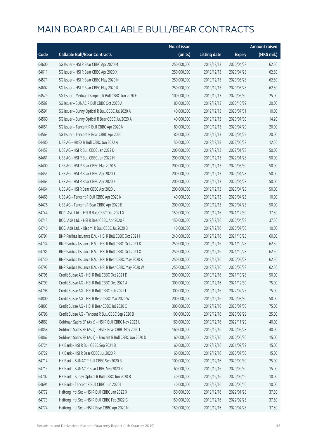|       |                                                          | No. of issue |                     |               | <b>Amount raised</b> |
|-------|----------------------------------------------------------|--------------|---------------------|---------------|----------------------|
| Code  | <b>Callable Bull/Bear Contracts</b>                      | (units)      | <b>Listing date</b> | <b>Expiry</b> | (HK\$ mil.)          |
| 64600 | SG Issuer - HSI R Bear CBBC Apr 2020 M                   | 250,000,000  | 2019/12/13          | 2020/04/28    | 62.50                |
| 64611 | SG Issuer - HSI R Bear CBBC Apr 2020 X                   | 250,000,000  | 2019/12/13          | 2020/04/28    | 62.50                |
| 64571 | SG Issuer - HSI R Bear CBBC May 2020 N                   | 250,000,000  | 2019/12/13          | 2020/05/28    | 62.50                |
| 64602 | SG Issuer - HSI R Bear CBBC May 2020 R                   | 250,000,000  | 2019/12/13          | 2020/05/28    | 62.50                |
| 64579 | SG Issuer - Meituan Dianping R Bull CBBC Jun 2020 E      | 100,000,000  | 2019/12/13          | 2020/06/30    | 25.00                |
| 64587 | SG Issuer - SUNAC R Bull CBBC Oct 2020 A                 | 80,000,000   | 2019/12/13          | 2020/10/29    | 20.00                |
| 64591 | SG Issuer - Sunny Optical R Bull CBBC Jul 2020 A         | 40,000,000   | 2019/12/13          | 2020/07/31    | 10.00                |
| 64560 | SG Issuer - Sunny Optical R Bear CBBC Jul 2020 A         | 40,000,000   | 2019/12/13          | 2020/07/30    | 14.20                |
| 64651 | SG Issuer - Tencent R Bull CBBC Apr 2020 N               | 80,000,000   | 2019/12/13          | 2020/04/29    | 20.00                |
| 64563 | SG Issuer - Tencent R Bear CBBC Apr 2020 J               | 80,000,000   | 2019/12/13          | 2020/04/29    | 20.00                |
| 64480 | UBS AG - HKEX R Bull CBBC Jun 2022 A                     | 50,000,000   | 2019/12/13          | 2022/06/22    | 12.50                |
| 64457 | UBS AG - HSI R Bull CBBC Jan 2022 D                      | 200,000,000  | 2019/12/13          | 2022/01/28    | 50.00                |
| 64461 | UBS AG - HSI R Bull CBBC Jan 2022 H                      | 200,000,000  | 2019/12/13          | 2022/01/28    | 50.00                |
| 64400 | UBS AG - HSI R Bear CBBC Mar 2020 S                      | 200,000,000  | 2019/12/13          | 2020/03/30    | 50.00                |
| 64455 | UBS AG - HSI R Bear CBBC Apr 2020 J                      | 200,000,000  | 2019/12/13          | 2020/04/28    | 50.00                |
| 64463 | UBS AG - HSI R Bear CBBC Apr 2020 K                      | 200,000,000  | 2019/12/13          | 2020/04/28    | 50.00                |
| 64464 | UBS AG - HSI R Bear CBBC Apr 2020 L                      | 200,000,000  | 2019/12/13          | 2020/04/28    | 50.00                |
| 64468 | UBS AG - Tencent R Bull CBBC Apr 2020 K                  | 40,000,000   | 2019/12/13          | 2020/04/23    | 10.00                |
| 64476 | UBS AG - Tencent R Bear CBBC Apr 2020 E                  | 200,000,000  | 2019/12/13          | 2020/04/23    | 50.00                |
| 64744 | BOCI Asia Ltd. - HSI R Bull CBBC Dec 2021 X              | 150,000,000  | 2019/12/16          | 2021/12/30    | 37.50                |
| 64745 | BOCI Asia Ltd. - HSI R Bear CBBC Apr 2020 F              | 150,000,000  | 2019/12/16          | 2020/04/28    | 37.50                |
| 64746 | BOCI Asia Ltd. - Xiaomi R Bull CBBC Jul 2020 B           | 40,000,000   | 2019/12/16          | 2020/07/30    | 10.00                |
| 64791 | BNP Paribas Issuance B.V. - HSI R Bull CBBC Oct 2021 H   | 240,000,000  | 2019/12/16          | 2021/10/28    | 60.00                |
| 64734 | BNP Paribas Issuance B.V. - HSI R Bull CBBC Oct 2021 K   | 250,000,000  | 2019/12/16          | 2021/10/28    | 62.50                |
| 64785 | BNP Paribas Issuance B.V. - HSI R Bull CBBC Oct 2021 X   | 250,000,000  | 2019/12/16          | 2021/10/28    | 62.50                |
| 64730 | BNP Paribas Issuance B.V. - HSI R Bear CBBC May 2020 K   | 250,000,000  | 2019/12/16          | 2020/05/28    | 62.50                |
| 64792 | BNP Paribas Issuance B.V. - HSI R Bear CBBC May 2020 W   | 250,000,000  | 2019/12/16          | 2020/05/28    | 62.50                |
| 64795 | Credit Suisse AG - HSI R Bull CBBC Oct 2021 D            | 200,000,000  | 2019/12/16          | 2021/10/28    | 50.00                |
| 64799 | Credit Suisse AG - HSI R Bull CBBC Dec 2021 A            | 300,000,000  | 2019/12/16          | 2021/12/30    | 75.00                |
| 64798 | Credit Suisse AG - HSI R Bull CBBC Feb 2022 I            | 300,000,000  | 2019/12/16          | 2022/02/25    | 75.00                |
| 64800 | Credit Suisse AG - HSI R Bear CBBC Mar 2020 W            | 200,000,000  | 2019/12/16          | 2020/03/30    | 50.00                |
| 64803 | Credit Suisse AG - HSI R Bear CBBC Jul 2020 C            | 300,000,000  | 2019/12/16          | 2020/07/30    | 75.00                |
| 64796 | Credit Suisse AG - Tencent R Bull CBBC Sep 2020 B        | 100,000,000  | 2019/12/16          | 2020/09/29    | 25.00                |
| 64863 | Goldman Sachs SP (Asia) - HSI R Bull CBBC Nov 2022 U     | 160,000,000  | 2019/12/16          | 2022/11/29    | 40.00                |
| 64858 | Goldman Sachs SP (Asia) - HSI R Bear CBBC May 2020 L     | 160,000,000  | 2019/12/16          | 2020/05/28    | 40.00                |
| 64867 | Goldman Sachs SP (Asia) - Tencent R Bull CBBC Jun 2020 D | 60,000,000   | 2019/12/16          | 2020/06/30    | 15.00                |
| 64724 | HK Bank - HSI R Bull CBBC Sep 2021 B                     | 60,000,000   | 2019/12/16          | 2021/09/29    | 15.00                |
| 64729 | HK Bank - HSI R Bear CBBC Jul 2020 R                     | 60,000,000   | 2019/12/16          | 2020/07/30    | 15.00                |
| 64714 | HK Bank - SUNAC R Bull CBBC Sep 2020 B                   | 100,000,000  | 2019/12/16          | 2020/09/30    | 25.00                |
| 64713 | HK Bank - SUNAC R Bear CBBC Sep 2020 B                   | 60,000,000   | 2019/12/16          | 2020/09/30    | 15.00                |
| 64702 | HK Bank - Sunny Optical R Bull CBBC Jun 2020 B           | 40,000,000   | 2019/12/16          | 2020/06/16    | 10.00                |
| 64694 | HK Bank - Tencent R Bull CBBC Jun 2020 I                 | 40,000,000   | 2019/12/16          | 2020/06/10    | 10.00                |
| 64772 | Haitong Int'l Sec - HSI R Bull CBBC Jan 2022 X           | 150,000,000  | 2019/12/16          | 2022/01/28    | 37.50                |
| 64773 | Haitong Int'l Sec - HSI R Bull CBBC Feb 2022 G           | 150,000,000  | 2019/12/16          | 2022/02/25    | 37.50                |
| 64774 | Haitong Int'l Sec - HSI R Bear CBBC Apr 2020 N           | 150,000,000  | 2019/12/16          | 2020/04/28    | 37.50                |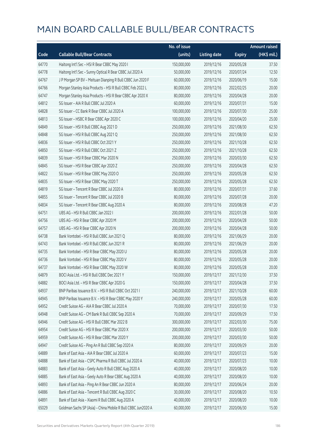|       |                                                              | No. of issue |                     |               | <b>Amount raised</b> |
|-------|--------------------------------------------------------------|--------------|---------------------|---------------|----------------------|
| Code  | <b>Callable Bull/Bear Contracts</b>                          | (units)      | <b>Listing date</b> | <b>Expiry</b> | (HK\$ mil.)          |
| 64770 | Haitong Int'l Sec - HSI R Bear CBBC May 2020 I               | 150,000,000  | 2019/12/16          | 2020/05/28    | 37.50                |
| 64778 | Haitong Int'l Sec - Sunny Optical R Bear CBBC Jul 2020 A     | 50,000,000   | 2019/12/16          | 2020/07/24    | 12.50                |
| 64767 | J P Morgan SP BV - Meituan Dianping R Bull CBBC Jun 2020 F   | 60,000,000   | 2019/12/16          | 2020/06/19    | 15.00                |
| 64766 | Morgan Stanley Asia Products - HSI R Bull CBBC Feb 2022 L    | 80,000,000   | 2019/12/16          | 2022/02/25    | 20.00                |
| 64747 | Morgan Stanley Asia Products - HSI R Bear CBBC Apr 2020 X    | 80,000,000   | 2019/12/16          | 2020/04/28    | 20.00                |
| 64812 | SG Issuer - AIA R Bull CBBC Jul 2020 A                       | 60,000,000   | 2019/12/16          | 2020/07/31    | 15.00                |
| 64828 | SG Issuer - CC Bank R Bear CBBC Jul 2020 A                   | 100,000,000  | 2019/12/16          | 2020/07/30    | 25.00                |
| 64813 | SG Issuer - HSBC R Bear CBBC Apr 2020 C                      | 100,000,000  | 2019/12/16          | 2020/04/20    | 25.00                |
| 64849 | SG Issuer - HSI R Bull CBBC Aug 2021 D                       | 250,000,000  | 2019/12/16          | 2021/08/30    | 62.50                |
| 64848 | SG Issuer - HSI R Bull CBBC Aug 2021 Q                       | 250,000,000  | 2019/12/16          | 2021/08/30    | 62.50                |
| 64836 | SG Issuer - HSI R Bull CBBC Oct 2021 Y                       | 250,000,000  | 2019/12/16          | 2021/10/28    | 62.50                |
| 64850 | SG Issuer - HSI R Bull CBBC Oct 2021 Z                       | 250,000,000  | 2019/12/16          | 2021/10/28    | 62.50                |
| 64839 | SG Issuer - HSI R Bear CBBC Mar 2020 N                       | 250,000,000  | 2019/12/16          | 2020/03/30    | 62.50                |
| 64845 | SG Issuer - HSI R Bear CBBC Apr 2020 Z                       | 250,000,000  | 2019/12/16          | 2020/04/28    | 62.50                |
| 64822 | SG Issuer - HSI R Bear CBBC May 2020 O                       | 250,000,000  | 2019/12/16          | 2020/05/28    | 62.50                |
| 64835 | SG Issuer - HSI R Bear CBBC May 2020 T                       | 250,000,000  | 2019/12/16          | 2020/05/28    | 62.50                |
| 64819 | SG Issuer - Tencent R Bear CBBC Jul 2020 A                   | 80,000,000   | 2019/12/16          | 2020/07/31    | 37.60                |
| 64855 | SG Issuer - Tencent R Bear CBBC Jul 2020 B                   | 80,000,000   | 2019/12/16          | 2020/07/28    | 20.00                |
| 64834 | SG Issuer - Tencent R Bear CBBC Aug 2020 A                   | 80,000,000   | 2019/12/16          | 2020/08/28    | 47.20                |
| 64751 | UBS AG - HSI R Bull CBBC Jan 2022 I                          | 200,000,000  | 2019/12/16          | 2022/01/28    | 50.00                |
| 64756 | UBS AG - HSI R Bear CBBC Apr 2020 M                          | 200,000,000  | 2019/12/16          | 2020/04/28    | 50.00                |
| 64757 | UBS AG - HSI R Bear CBBC Apr 2020 N                          | 200,000,000  | 2019/12/16          | 2020/04/28    | 50.00                |
| 64738 | Bank Vontobel - HSI R Bull CBBC Jun 2021 Q                   | 80,000,000   | 2019/12/16          | 2021/06/29    | 20.00                |
| 64743 | Bank Vontobel - HSI R Bull CBBC Jun 2021 R                   | 80,000,000   | 2019/12/16          | 2021/06/29    | 20.00                |
| 64735 | Bank Vontobel - HSI R Bear CBBC May 2020 U                   | 80,000,000   | 2019/12/16          | 2020/05/28    | 20.00                |
| 64736 | Bank Vontobel - HSI R Bear CBBC May 2020 V                   | 80,000,000   | 2019/12/16          | 2020/05/28    | 20.00                |
| 64737 | Bank Vontobel - HSI R Bear CBBC May 2020 W                   | 80,000,000   | 2019/12/16          | 2020/05/28    | 20.00                |
| 64879 | BOCI Asia Ltd. - HSI R Bull CBBC Dec 2021 Y                  | 150,000,000  | 2019/12/17          | 2021/12/30    | 37.50                |
| 64882 | BOCI Asia Ltd. - HSI R Bear CBBC Apr 2020 G                  | 150,000,000  | 2019/12/17          | 2020/04/28    | 37.50                |
| 64937 | BNP Paribas Issuance B.V. - HSI R Bull CBBC Oct 2021 I       | 240,000,000  | 2019/12/17          | 2021/10/28    | 60.00                |
| 64945 | BNP Paribas Issuance B.V. - HSI R Bear CBBC May 2020 Y       | 240,000,000  | 2019/12/17          | 2020/05/28    | 60.00                |
| 64952 | Credit Suisse AG - AIA R Bear CBBC Jul 2020 A                | 70,000,000   | 2019/12/17          | 2020/07/30    | 17.50                |
| 64948 | Credit Suisse AG - CM Bank R Bull CBBC Sep 2020 A            | 70,000,000   | 2019/12/17          | 2020/09/29    | 17.50                |
| 64946 | Credit Suisse AG - HSI R Bull CBBC Mar 2022 B                | 300,000,000  | 2019/12/17          | 2022/03/30    | 75.00                |
| 64954 | Credit Suisse AG - HSI R Bear CBBC Mar 2020 X                | 200,000,000  | 2019/12/17          | 2020/03/30    | 50.00                |
| 64959 | Credit Suisse AG - HSI R Bear CBBC Mar 2020 Y                | 200,000,000  | 2019/12/17          | 2020/03/30    | 50.00                |
| 64947 | Credit Suisse AG - Ping An R Bull CBBC Sep 2020 A            | 80,000,000   | 2019/12/17          | 2020/09/29    | 20.00                |
| 64889 | Bank of East Asia - AIA R Bear CBBC Jul 2020 A               | 60,000,000   | 2019/12/17          | 2020/07/23    | 15.00                |
| 64888 | Bank of East Asia - CSPC Pharma R Bull CBBC Jul 2020 A       | 40,000,000   | 2019/12/17          | 2020/07/23    | 10.00                |
| 64883 | Bank of East Asia - Geely Auto R Bull CBBC Aug 2020 A        | 40,000,000   | 2019/12/17          | 2020/08/20    | 10.00                |
| 64885 | Bank of East Asia - Geely Auto R Bear CBBC Aug 2020 A        | 40,000,000   | 2019/12/17          | 2020/08/20    | 10.00                |
| 64893 | Bank of East Asia - Ping An R Bear CBBC Jun 2020 A           | 80,000,000   | 2019/12/17          | 2020/06/24    | 20.00                |
| 64886 | Bank of East Asia - Tencent R Bull CBBC Aug 2020 C           | 30,000,000   | 2019/12/17          | 2020/08/20    | 10.50                |
| 64891 | Bank of East Asia - Xiaomi R Bull CBBC Aug 2020 A            | 40,000,000   | 2019/12/17          | 2020/08/20    | 10.00                |
| 65029 | Goldman Sachs SP (Asia) - China Mobile R Bull CBBC Jun2020 A | 60,000,000   | 2019/12/17          | 2020/06/30    | 15.00                |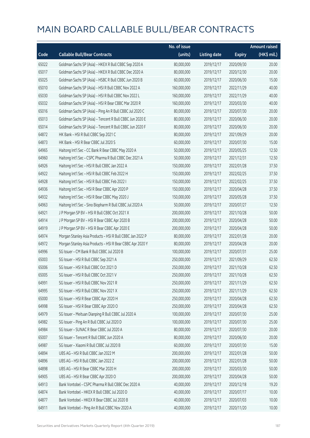|       |                                                           | No. of issue |                     |               | <b>Amount raised</b>  |
|-------|-----------------------------------------------------------|--------------|---------------------|---------------|-----------------------|
| Code  | <b>Callable Bull/Bear Contracts</b>                       | (units)      | <b>Listing date</b> | <b>Expiry</b> | $(HK\frac{1}{2}mil.)$ |
| 65022 | Goldman Sachs SP (Asia) - HKEX R Bull CBBC Sep 2020 A     | 80,000,000   | 2019/12/17          | 2020/09/30    | 20.00                 |
| 65017 | Goldman Sachs SP (Asia) - HKEX R Bull CBBC Dec 2020 A     | 80,000,000   | 2019/12/17          | 2020/12/30    | 20.00                 |
| 65025 | Goldman Sachs SP (Asia) - HSBC R Bull CBBC Jun 2020 B     | 60,000,000   | 2019/12/17          | 2020/06/30    | 15.00                 |
| 65010 | Goldman Sachs SP (Asia) - HSI R Bull CBBC Nov 2022 A      | 160,000,000  | 2019/12/17          | 2022/11/29    | 40.00                 |
| 65030 | Goldman Sachs SP (Asia) - HSI R Bull CBBC Nov 2022 L      | 160,000,000  | 2019/12/17          | 2022/11/29    | 40.00                 |
| 65032 | Goldman Sachs SP (Asia) - HSI R Bear CBBC Mar 2020 R      | 160,000,000  | 2019/12/17          | 2020/03/30    | 40.00                 |
| 65016 | Goldman Sachs SP (Asia) - Ping An R Bull CBBC Jul 2020 C  | 80,000,000   | 2019/12/17          | 2020/07/30    | 20.00                 |
| 65013 | Goldman Sachs SP (Asia) - Tencent R Bull CBBC Jun 2020 E  | 80,000,000   | 2019/12/17          | 2020/06/30    | 20.00                 |
| 65014 | Goldman Sachs SP (Asia) - Tencent R Bull CBBC Jun 2020 F  | 80,000,000   | 2019/12/17          | 2020/06/30    | 20.00                 |
| 64872 | HK Bank - HSI R Bull CBBC Sep 2021 C                      | 80,000,000   | 2019/12/17          | 2021/09/29    | 20.00                 |
| 64873 | HK Bank - HSI R Bear CBBC Jul 2020 S                      | 60,000,000   | 2019/12/17          | 2020/07/30    | 15.00                 |
| 64965 | Haitong Int'l Sec - CC Bank R Bear CBBC May 2020 A        | 50,000,000   | 2019/12/17          | 2020/05/25    | 12.50                 |
| 64960 | Haitong Int'l Sec - CSPC Pharma R Bull CBBC Dec 2021 A    | 50,000,000   | 2019/12/17          | 2021/12/31    | 12.50                 |
| 64926 | Haitong Int'l Sec - HSI R Bull CBBC Jan 2022 A            | 150,000,000  | 2019/12/17          | 2022/01/28    | 37.50                 |
| 64922 | Haitong Int'l Sec - HSI R Bull CBBC Feb 2022 H            | 150,000,000  | 2019/12/17          | 2022/02/25    | 37.50                 |
| 64928 | Haitong Int'l Sec - HSI R Bull CBBC Feb 2022 I            | 150,000,000  | 2019/12/17          | 2022/02/25    | 37.50                 |
| 64936 | Haitong Int'l Sec - HSI R Bear CBBC Apr 2020 P            | 150,000,000  | 2019/12/17          | 2020/04/28    | 37.50                 |
| 64932 | Haitong Int'l Sec - HSI R Bear CBBC May 2020 J            | 150,000,000  | 2019/12/17          | 2020/05/28    | 37.50                 |
| 64963 | Haitong Int'l Sec - Sino Biopharm R Bull CBBC Jul 2020 A  | 50,000,000   | 2019/12/17          | 2020/07/27    | 12.50                 |
| 64921 | J P Morgan SP BV - HSI R Bull CBBC Oct 2021 X             | 200,000,000  | 2019/12/17          | 2021/10/28    | 50.00                 |
| 64914 | J P Morgan SP BV - HSI R Bear CBBC Apr 2020 B             | 200,000,000  | 2019/12/17          | 2020/04/28    | 50.00                 |
| 64919 | J P Morgan SP BV - HSI R Bear CBBC Apr 2020 E             | 200,000,000  | 2019/12/17          | 2020/04/28    | 50.00                 |
| 64974 | Morgan Stanley Asia Products - HSI R Bull CBBC Jan 2022 P | 80,000,000   | 2019/12/17          | 2022/01/28    | 20.00                 |
| 64972 | Morgan Stanley Asia Products - HSI R Bear CBBC Apr 2020 Y | 80,000,000   | 2019/12/17          | 2020/04/28    | 20.00                 |
| 64996 | SG Issuer - CM Bank R Bull CBBC Jul 2020 B                | 100,000,000  | 2019/12/17          | 2020/07/31    | 25.00                 |
| 65003 | SG Issuer - HSI R Bull CBBC Sep 2021 A                    | 250,000,000  | 2019/12/17          | 2021/09/29    | 62.50                 |
| 65006 | SG Issuer - HSI R Bull CBBC Oct 2021 D                    | 250,000,000  | 2019/12/17          | 2021/10/28    | 62.50                 |
| 65005 | SG Issuer - HSI R Bull CBBC Oct 2021 V                    | 250,000,000  | 2019/12/17          | 2021/10/28    | 62.50                 |
| 64991 | SG Issuer - HSI R Bull CBBC Nov 2021 R                    | 250,000,000  | 2019/12/17          | 2021/11/29    | 62.50                 |
| 64995 | SG Issuer - HSI R Bull CBBC Nov 2021 X                    | 250,000,000  | 2019/12/17          | 2021/11/29    | 62.50                 |
| 65000 | SG Issuer - HSI R Bear CBBC Apr 2020 H                    | 250,000,000  | 2019/12/17          | 2020/04/28    | 62.50                 |
| 64998 | SG Issuer - HSI R Bear CBBC Apr 2020 O                    | 250,000,000  | 2019/12/17          | 2020/04/28    | 62.50                 |
| 64979 | SG Issuer - Meituan Dianping R Bull CBBC Jul 2020 A       | 100,000,000  | 2019/12/17          | 2020/07/30    | 25.00                 |
| 64982 | SG Issuer - Ping An R Bull CBBC Jul 2020 D                | 100,000,000  | 2019/12/17          | 2020/07/30    | 25.00                 |
| 64984 | SG Issuer - SUNAC R Bear CBBC Jul 2020 A                  | 80,000,000   | 2019/12/17          | 2020/07/30    | 20.00                 |
| 65007 | SG Issuer - Tencent R Bull CBBC Jun 2020 A                | 80,000,000   | 2019/12/17          | 2020/06/30    | 20.00                 |
| 64987 | SG Issuer - Xiaomi R Bull CBBC Jul 2020 B                 | 60,000,000   | 2019/12/17          | 2020/07/30    | 15.00                 |
| 64894 | UBS AG - HSI R Bull CBBC Jan 2022 M                       | 200,000,000  | 2019/12/17          | 2022/01/28    | 50.00                 |
| 64896 | UBS AG - HSI R Bull CBBC Jan 2022 Z                       | 200,000,000  | 2019/12/17          | 2022/01/28    | 50.00                 |
| 64898 | UBS AG - HSI R Bear CBBC Mar 2020 H                       | 200,000,000  | 2019/12/17          | 2020/03/30    | 50.00                 |
| 64905 | UBS AG - HSI R Bear CBBC Apr 2020 O                       | 200,000,000  | 2019/12/17          | 2020/04/28    | 50.00                 |
| 64913 | Bank Vontobel - CSPC Pharma R Bull CBBC Dec 2020 A        | 40,000,000   | 2019/12/17          | 2020/12/18    | 19.20                 |
| 64874 | Bank Vontobel - HKEX R Bull CBBC Jul 2020 D               | 40,000,000   | 2019/12/17          | 2020/07/17    | 10.00                 |
| 64877 | Bank Vontobel - HKEX R Bear CBBC Jul 2020 B               | 40,000,000   | 2019/12/17          | 2020/07/03    | 10.00                 |
| 64911 | Bank Vontobel - Ping An R Bull CBBC Nov 2020 A            | 40,000,000   | 2019/12/17          | 2020/11/20    | 10.00                 |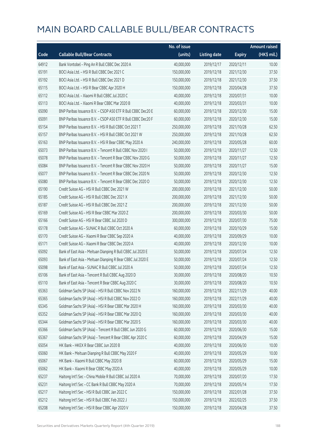|       |                                                              | No. of issue |                     |               | <b>Amount raised</b> |
|-------|--------------------------------------------------------------|--------------|---------------------|---------------|----------------------|
| Code  | <b>Callable Bull/Bear Contracts</b>                          | (units)      | <b>Listing date</b> | <b>Expiry</b> | (HK\$ mil.)          |
| 64912 | Bank Vontobel - Ping An R Bull CBBC Dec 2020 A               | 40,000,000   | 2019/12/17          | 2020/12/11    | 10.00                |
| 65191 | BOCI Asia Ltd. - HSI R Bull CBBC Dec 2021 C                  | 150,000,000  | 2019/12/18          | 2021/12/30    | 37.50                |
| 65192 | BOCI Asia Ltd. - HSI R Bull CBBC Dec 2021 D                  | 150,000,000  | 2019/12/18          | 2021/12/30    | 37.50                |
| 65115 | BOCI Asia Ltd. - HSI R Bear CBBC Apr 2020 H                  | 150,000,000  | 2019/12/18          | 2020/04/28    | 37.50                |
| 65112 | BOCI Asia Ltd. - Xiaomi R Bull CBBC Jul 2020 C               | 40,000,000   | 2019/12/18          | 2020/07/31    | 10.00                |
| 65113 | BOCI Asia Ltd. - Xiaomi R Bear CBBC Mar 2020 B               | 40,000,000   | 2019/12/18          | 2020/03/31    | 10.00                |
| 65090 | BNP Paribas Issuance B.V. - CSOP A50 ETF R Bull CBBC Dec20 E | 60,000,000   | 2019/12/18          | 2020/12/30    | 15.00                |
| 65091 | BNP Paribas Issuance B.V. - CSOP A50 ETF R Bull CBBC Dec20 F | 60,000,000   | 2019/12/18          | 2020/12/30    | 15.00                |
| 65154 | BNP Paribas Issuance B.V. - HSI R Bull CBBC Oct 2021 T       | 250,000,000  | 2019/12/18          | 2021/10/28    | 62.50                |
| 65157 | BNP Paribas Issuance B.V. - HSI R Bull CBBC Oct 2021 W       | 250,000,000  | 2019/12/18          | 2021/10/28    | 62.50                |
| 65163 | BNP Paribas Issuance B.V. - HSI R Bear CBBC May 2020 A       | 240,000,000  | 2019/12/18          | 2020/05/28    | 60.00                |
| 65073 | BNP Paribas Issuance B.V. - Tencent R Bull CBBC Nov 2020 I   | 50,000,000   | 2019/12/18          | 2020/11/27    | 12.50                |
| 65078 | BNP Paribas Issuance B.V. - Tencent R Bear CBBC Nov 2020 G   | 50,000,000   | 2019/12/18          | 2020/11/27    | 12.50                |
| 65084 | BNP Paribas Issuance B.V. - Tencent R Bear CBBC Nov 2020 H   | 50,000,000   | 2019/12/18          | 2020/11/27    | 15.00                |
| 65077 | BNP Paribas Issuance B.V. - Tencent R Bear CBBC Dec 2020 N   | 50,000,000   | 2019/12/18          | 2020/12/30    | 12.50                |
| 65080 | BNP Paribas Issuance B.V. - Tencent R Bear CBBC Dec 2020 O   | 50,000,000   | 2019/12/18          | 2020/12/30    | 12.50                |
| 65190 | Credit Suisse AG - HSI R Bull CBBC Dec 2021 W                | 200,000,000  | 2019/12/18          | 2021/12/30    | 50.00                |
| 65185 | Credit Suisse AG - HSI R Bull CBBC Dec 2021 X                | 200,000,000  | 2019/12/18          | 2021/12/30    | 50.00                |
| 65187 | Credit Suisse AG - HSI R Bull CBBC Dec 2021 Z                | 200,000,000  | 2019/12/18          | 2021/12/30    | 50.00                |
| 65169 | Credit Suisse AG - HSI R Bear CBBC Mar 2020 Z                | 200,000,000  | 2019/12/18          | 2020/03/30    | 50.00                |
| 65166 | Credit Suisse AG - HSI R Bear CBBC Jul 2020 D                | 300,000,000  | 2019/12/18          | 2020/07/30    | 75.00                |
| 65178 | Credit Suisse AG - SUNAC R Bull CBBC Oct 2020 A              | 60,000,000   | 2019/12/18          | 2020/10/29    | 15.00                |
| 65170 | Credit Suisse AG - Xiaomi R Bear CBBC Sep 2020 A             | 40,000,000   | 2019/12/18          | 2020/09/29    | 10.00                |
| 65171 | Credit Suisse AG - Xiaomi R Bear CBBC Dec 2020 A             | 40,000,000   | 2019/12/18          | 2020/12/30    | 10.00                |
| 65092 | Bank of East Asia - Meituan Dianping R Bull CBBC Jul 2020 E  | 50,000,000   | 2019/12/18          | 2020/07/24    | 12.50                |
| 65093 | Bank of East Asia - Meituan Dianping R Bear CBBC Jul 2020 E  | 50,000,000   | 2019/12/18          | 2020/07/24    | 12.50                |
| 65098 | Bank of East Asia - SUNAC R Bull CBBC Jul 2020 A             | 50,000,000   | 2019/12/18          | 2020/07/24    | 12.50                |
| 65106 | Bank of East Asia - Tencent R Bull CBBC Aug 2020 D           | 30,000,000   | 2019/12/18          | 2020/08/20    | 10.50                |
| 65110 | Bank of East Asia - Tencent R Bear CBBC Aug 2020 C           | 30,000,000   | 2019/12/18          | 2020/08/20    | 10.50                |
| 65363 | Goldman Sachs SP (Asia) - HSI R Bull CBBC Nov 2022 N         | 160,000,000  | 2019/12/18          | 2022/11/29    | 40.00                |
| 65365 | Goldman Sachs SP (Asia) - HSI R Bull CBBC Nov 2022 O         | 160,000,000  | 2019/12/18          | 2022/11/29    | 40.00                |
| 65345 | Goldman Sachs SP (Asia) - HSI R Bear CBBC Mar 2020 H         | 160,000,000  | 2019/12/18          | 2020/03/30    | 40.00                |
| 65352 | Goldman Sachs SP (Asia) - HSI R Bear CBBC Mar 2020 Q         | 160,000,000  | 2019/12/18          | 2020/03/30    | 40.00                |
| 65344 | Goldman Sachs SP (Asia) - HSI R Bear CBBC Mar 2020 S         | 160,000,000  | 2019/12/18          | 2020/03/30    | 40.00                |
| 65366 | Goldman Sachs SP (Asia) - Tencent R Bull CBBC Jun 2020 G     | 60,000,000   | 2019/12/18          | 2020/06/30    | 15.00                |
| 65367 | Goldman Sachs SP (Asia) - Tencent R Bear CBBC Apr 2020 C     | 60,000,000   | 2019/12/18          | 2020/04/29    | 15.00                |
| 65054 | HK Bank - HKEX R Bear CBBC Jun 2020 B                        | 40,000,000   | 2019/12/18          | 2020/06/30    | 10.00                |
| 65060 | HK Bank - Meituan Dianping R Bull CBBC May 2020 F            | 40,000,000   | 2019/12/18          | 2020/05/29    | 10.00                |
| 65067 | HK Bank - Xiaomi R Bull CBBC May 2020 B                      | 60,000,000   | 2019/12/18          | 2020/05/29    | 15.00                |
| 65062 | HK Bank - Xiaomi R Bear CBBC May 2020 A                      | 40,000,000   | 2019/12/18          | 2020/05/29    | 10.00                |
| 65237 | Haitong Int'l Sec - China Mobile R Bull CBBC Jul 2020 A      | 70,000,000   | 2019/12/18          | 2020/07/20    | 17.50                |
| 65231 | Haitong Int'l Sec - CC Bank R Bull CBBC May 2020 A           | 70,000,000   | 2019/12/18          | 2020/05/14    | 17.50                |
| 65217 | Haitong Int'l Sec - HSI R Bull CBBC Jan 2022 C               | 150,000,000  | 2019/12/18          | 2022/01/28    | 37.50                |
| 65212 | Haitong Int'l Sec - HSI R Bull CBBC Feb 2022 J               | 150,000,000  | 2019/12/18          | 2022/02/25    | 37.50                |
| 65208 | Haitong Int'l Sec - HSI R Bear CBBC Apr 2020 V               | 150,000,000  | 2019/12/18          | 2020/04/28    | 37.50                |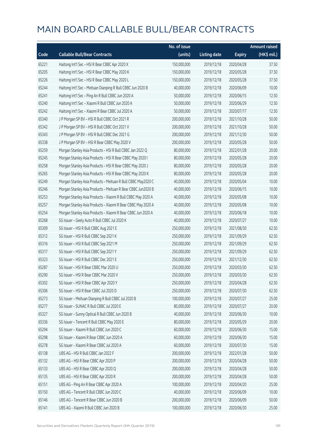|       |                                                              | No. of issue |                     |               | <b>Amount raised</b> |
|-------|--------------------------------------------------------------|--------------|---------------------|---------------|----------------------|
| Code  | <b>Callable Bull/Bear Contracts</b>                          | (units)      | <b>Listing date</b> | <b>Expiry</b> | $(HK$$ mil.)         |
| 65221 | Haitong Int'l Sec - HSI R Bear CBBC Apr 2020 X               | 150,000,000  | 2019/12/18          | 2020/04/28    | 37.50                |
| 65205 | Haitong Int'l Sec - HSI R Bear CBBC May 2020 K               | 150,000,000  | 2019/12/18          | 2020/05/28    | 37.50                |
| 65226 | Haitong Int'l Sec - HSI R Bear CBBC May 2020 L               | 150,000,000  | 2019/12/18          | 2020/05/28    | 37.50                |
| 65244 | Haitong Int'l Sec - Meituan Dianping R Bull CBBC Jun 2020 B  | 40,000,000   | 2019/12/18          | 2020/06/09    | 10.00                |
| 65241 | Haitong Int'l Sec - Ping An R Bull CBBC Jun 2020 A           | 50,000,000   | 2019/12/18          | 2020/06/15    | 12.50                |
| 65240 | Haitong Int'l Sec - Xiaomi R Bull CBBC Jun 2020 A            | 50,000,000   | 2019/12/18          | 2020/06/29    | 12.50                |
| 65242 | Haitong Int'l Sec - Xiaomi R Bear CBBC Jul 2020 A            | 50,000,000   | 2019/12/18          | 2020/07/17    | 12.50                |
| 65340 | J P Morgan SP BV - HSI R Bull CBBC Oct 2021 R                | 200,000,000  | 2019/12/18          | 2021/10/28    | 50.00                |
| 65342 | J P Morgan SP BV - HSI R Bull CBBC Oct 2021 V                | 200,000,000  | 2019/12/18          | 2021/10/28    | 50.00                |
| 65343 | J P Morgan SP BV - HSI R Bull CBBC Dec 2021 G                | 200,000,000  | 2019/12/18          | 2021/12/30    | 50.00                |
| 65338 | J P Morgan SP BV - HSI R Bear CBBC May 2020 V                | 200,000,000  | 2019/12/18          | 2020/05/28    | 50.00                |
| 65259 | Morgan Stanley Asia Products - HSI R Bull CBBC Jan 2022 Q    | 80,000,000   | 2019/12/18          | 2022/01/28    | 20.00                |
| 65245 | Morgan Stanley Asia Products - HSI R Bear CBBC May 2020 I    | 80,000,000   | 2019/12/18          | 2020/05/28    | 20.00                |
| 65258 | Morgan Stanley Asia Products - HSI R Bear CBBC May 2020 J    | 80,000,000   | 2019/12/18          | 2020/05/28    | 20.00                |
| 65265 | Morgan Stanley Asia Products - HSI R Bear CBBC May 2020 K    | 80,000,000   | 2019/12/18          | 2020/05/28    | 20.00                |
| 65249 | Morgan Stanley Asia Products - Meituan R Bull CBBC May2020 C | 40,000,000   | 2019/12/18          | 2020/05/04    | 10.00                |
| 65246 | Morgan Stanley Asia Products - Meituan R Bear CBBC Jun2020 B | 40,000,000   | 2019/12/18          | 2020/06/15    | 10.00                |
| 65253 | Morgan Stanley Asia Products - Xiaomi R Bull CBBC May 2020 A | 40,000,000   | 2019/12/18          | 2020/05/08    | 10.00                |
| 65257 | Morgan Stanley Asia Products - Xiaomi R Bear CBBC May 2020 A | 40,000,000   | 2019/12/18          | 2020/05/08    | 10.00                |
| 65254 | Morgan Stanley Asia Products - Xiaomi R Bear CBBC Jun 2020 A | 40,000,000   | 2019/12/18          | 2020/06/18    | 10.00                |
| 65268 | SG Issuer - Geely Auto R Bull CBBC Jul 2020 K                | 40,000,000   | 2019/12/18          | 2020/07/27    | 10.00                |
| 65309 | SG Issuer - HSI R Bull CBBC Aug 2021 E                       | 250,000,000  | 2019/12/18          | 2021/08/30    | 62.50                |
| 65312 | SG Issuer - HSI R Bull CBBC Sep 2021 K                       | 250,000,000  | 2019/12/18          | 2021/09/29    | 62.50                |
| 65316 | SG Issuer - HSI R Bull CBBC Sep 2021 M                       | 250,000,000  | 2019/12/18          | 2021/09/29    | 62.50                |
| 65317 | SG Issuer - HSI R Bull CBBC Sep 2021 Y                       | 250,000,000  | 2019/12/18          | 2021/09/29    | 62.50                |
| 65323 | SG Issuer - HSI R Bull CBBC Dec 2021 E                       | 250,000,000  | 2019/12/18          | 2021/12/30    | 62.50                |
| 65287 | SG Issuer - HSI R Bear CBBC Mar 2020 U                       | 250,000,000  | 2019/12/18          | 2020/03/30    | 62.50                |
| 65290 | SG Issuer - HSI R Bear CBBC Mar 2020 V                       | 250,000,000  | 2019/12/18          | 2020/03/30    | 62.50                |
| 65302 | SG Issuer - HSI R Bear CBBC Apr 2020 Y                       | 250,000,000  | 2019/12/18          | 2020/04/28    | 62.50                |
| 65306 | SG Issuer - HSI R Bear CBBC Jul 2020 D                       | 250,000,000  | 2019/12/18          | 2020/07/30    | 62.50                |
| 65273 | SG Issuer - Meituan Dianping R Bull CBBC Jul 2020 B          | 100,000,000  | 2019/12/18          | 2020/07/27    | 25.00                |
| 65277 | SG Issuer - SUNAC R Bull CBBC Jul 2020 E                     | 80,000,000   | 2019/12/18          | 2020/07/27    | 20.00                |
| 65327 | SG Issuer - Sunny Optical R Bull CBBC Jun 2020 B             | 40,000,000   | 2019/12/18          | 2020/06/30    | 10.00                |
| 65336 | SG Issuer - Tencent R Bull CBBC May 2020 E                   | 80,000,000   | 2019/12/18          | 2020/05/29    | 20.00                |
| 65294 | SG Issuer - Xiaomi R Bull CBBC Jun 2020 C                    | 60,000,000   | 2019/12/18          | 2020/06/30    | 15.00                |
| 65298 | SG Issuer - Xiaomi R Bear CBBC Jun 2020 A                    | 60,000,000   | 2019/12/18          | 2020/06/30    | 15.00                |
| 65278 | SG Issuer - Xiaomi R Bear CBBC Jul 2020 A                    | 60,000,000   | 2019/12/18          | 2020/07/30    | 15.00                |
| 65138 | UBS AG - HSI R Bull CBBC Jan 2022 F                          | 200,000,000  | 2019/12/18          | 2022/01/28    | 50.00                |
| 65132 | UBS AG - HSI R Bear CBBC Apr 2020 P                          | 200,000,000  | 2019/12/18          | 2020/04/28    | 50.00                |
| 65133 | UBS AG - HSI R Bear CBBC Apr 2020 Q                          | 200,000,000  | 2019/12/18          | 2020/04/28    | 50.00                |
| 65135 | UBS AG - HSI R Bear CBBC Apr 2020 R                          | 200,000,000  | 2019/12/18          | 2020/04/28    | 50.00                |
| 65151 | UBS AG - Ping An R Bear CBBC Apr 2020 A                      | 100,000,000  | 2019/12/18          | 2020/04/20    | 25.00                |
| 65150 | UBS AG - Tencent R Bull CBBC Jun 2020 C                      | 40,000,000   | 2019/12/18          | 2020/06/09    | 10.00                |
| 65146 | UBS AG - Tencent R Bear CBBC Jun 2020 B                      | 200,000,000  | 2019/12/18          | 2020/06/09    | 50.00                |
| 65141 | UBS AG - Xiaomi R Bull CBBC Jun 2020 B                       | 100,000,000  | 2019/12/18          | 2020/06/30    | 25.00                |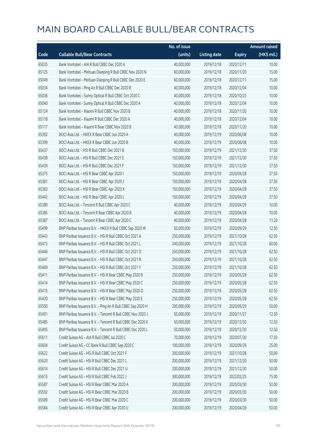|       |                                                            | No. of issue |                     |               | <b>Amount raised</b> |
|-------|------------------------------------------------------------|--------------|---------------------|---------------|----------------------|
| Code  | <b>Callable Bull/Bear Contracts</b>                        | (units)      | <b>Listing date</b> | <b>Expiry</b> | (HK\$ mil.)          |
| 65035 | Bank Vontobel - AIA R Bull CBBC Dec 2020 A                 | 40,000,000   | 2019/12/18          | 2020/12/11    | 10.00                |
| 65125 | Bank Vontobel - Meituan Dianping R Bull CBBC Nov 2020 N    | 60,000,000   | 2019/12/18          | 2020/11/20    | 15.00                |
| 65049 | Bank Vontobel - Meituan Dianping R Bull CBBC Dec 2020 E    | 60,000,000   | 2019/12/18          | 2020/12/11    | 15.00                |
| 65034 | Bank Vontobel - Ping An R Bull CBBC Dec 2020 B             | 40,000,000   | 2019/12/18          | 2020/12/04    | 10.00                |
| 65036 | Bank Vontobel - Sunny Optical R Bull CBBC Oct 2020 C       | 40,000,000   | 2019/12/18          | 2020/10/23    | 10.00                |
| 65040 | Bank Vontobel - Sunny Optical R Bull CBBC Dec 2020 A       | 40,000,000   | 2019/12/18          | 2020/12/04    | 10.00                |
| 65124 | Bank Vontobel - Xiaomi R Bull CBBC Nov 2020 B              | 40,000,000   | 2019/12/18          | 2020/11/20    | 10.00                |
| 65118 | Bank Vontobel - Xiaomi R Bull CBBC Dec 2020 A              | 40,000,000   | 2019/12/18          | 2020/12/04    | 10.00                |
| 65117 | Bank Vontobel - Xiaomi R Bear CBBC Nov 2020 B              | 40,000,000   | 2019/12/18          | 2020/11/20    | 10.00                |
| 65392 | BOCI Asia Ltd. - HKEX R Bear CBBC Jun 2020 A               | 40,000,000   | 2019/12/19          | 2020/06/08    | 10.00                |
| 65399 | BOCI Asia Ltd. - HKEX R Bear CBBC Jun 2020 B               | 40,000,000   | 2019/12/19          | 2020/06/08    | 10.00                |
| 65437 | BOCI Asia Ltd. - HSI R Bull CBBC Dec 2021 B                | 150,000,000  | 2019/12/19          | 2021/12/30    | 37.50                |
| 65438 | BOCI Asia Ltd. - HSI R Bull CBBC Dec 2021 E                | 150,000,000  | 2019/12/19          | 2021/12/30    | 37.50                |
| 65439 | BOCI Asia Ltd. - HSI R Bull CBBC Dec 2021 F                | 150,000,000  | 2019/12/19          | 2021/12/30    | 37.50                |
| 65375 | BOCI Asia Ltd. - HSI R Bear CBBC Apr 2020 I                | 150,000,000  | 2019/12/19          | 2020/04/28    | 37.50                |
| 65381 | BOCI Asia Ltd. - HSI R Bear CBBC Apr 2020 J                | 150,000,000  | 2019/12/19          | 2020/04/28    | 37.50                |
| 65383 | BOCI Asia Ltd. - HSI R Bear CBBC Apr 2020 K                | 150,000,000  | 2019/12/19          | 2020/04/28    | 37.50                |
| 65442 | BOCI Asia Ltd. - HSI R Bear CBBC Apr 2020 L                | 150,000,000  | 2019/12/19          | 2020/04/28    | 37.50                |
| 65389 | BOCI Asia Ltd. - Tencent R Bull CBBC Apr 2020 C            | 40,000,000   | 2019/12/19          | 2020/04/29    | 10.00                |
| 65385 | BOCI Asia Ltd. - Tencent R Bear CBBC Apr 2020 B            | 40,000,000   | 2019/12/19          | 2020/04/28    | 10.00                |
| 65387 | BOCI Asia Ltd. - Tencent R Bear CBBC Apr 2020 C            | 40,000,000   | 2019/12/19          | 2020/04/28    | 11.20                |
| 65499 | BNP Paribas Issuance B.V. - HKEX R Bull CBBC Sep 2020 W    | 50,000,000   | 2019/12/19          | 2020/09/29    | 12.50                |
| 65443 | BNP Paribas Issuance B.V. - HSI R Bull CBBC Oct 2021 A     | 250,000,000  | 2019/12/19          | 2021/10/28    | 62.50                |
| 65473 | BNP Paribas Issuance B.V. - HSI R Bull CBBC Oct 2021 L     | 240,000,000  | 2019/12/19          | 2021/10/28    | 60.00                |
| 65446 | BNP Paribas Issuance B.V. - HSI R Bull CBBC Oct 2021 O     | 250,000,000  | 2019/12/19          | 2021/10/28    | 62.50                |
| 65447 | BNP Paribas Issuance B.V. - HSI R Bull CBBC Oct 2021 R     | 250,000,000  | 2019/12/19          | 2021/10/28    | 62.50                |
| 65469 | BNP Paribas Issuance B.V. - HSI R Bull CBBC Oct 2021 Y     | 250,000,000  | 2019/12/19          | 2021/10/28    | 62.50                |
| 65411 | BNP Paribas Issuance B.V. - HSI R Bear CBBC May 2020 B     | 250,000,000  | 2019/12/19          | 2020/05/28    | 62.50                |
| 65414 | BNP Paribas Issuance B.V. - HSI R Bear CBBC May 2020 C     | 250,000,000  | 2019/12/19          | 2020/05/28    | 62.50                |
| 65415 | BNP Paribas Issuance B.V. - HSI R Bear CBBC May 2020 D     | 250,000,000  | 2019/12/19          | 2020/05/28    | 62.50                |
| 65420 | BNP Paribas Issuance B.V. - HSI R Bear CBBC May 2020 E     | 250,000,000  | 2019/12/19          | 2020/05/28    | 62.50                |
| 65500 | BNP Paribas Issuance B.V. - Ping An R Bull CBBC Sep 2020 H | 200,000,000  | 2019/12/19          | 2020/09/29    | 50.00                |
| 65491 | BNP Paribas Issuance B.V. - Tencent R Bull CBBC Nov 2020 J | 50,000,000   | 2019/12/19          | 2020/11/27    | 12.50                |
| 65485 | BNP Paribas Issuance B.V. - Tencent R Bull CBBC Dec 2020 K | 50,000,000   | 2019/12/19          | 2020/12/30    | 12.50                |
| 65495 | BNP Paribas Issuance B.V. - Tencent R Bull CBBC Dec 2020 L | 50,000,000   | 2019/12/19          | 2020/12/30    | 12.50                |
| 65611 | Credit Suisse AG - AIA R Bull CBBC Jul 2020 C              | 70,000,000   | 2019/12/19          | 2020/07/30    | 17.50                |
| 65604 | Credit Suisse AG - CC Bank R Bull CBBC Sep 2020 C          | 100,000,000  | 2019/12/19          | 2020/09/29    | 25.00                |
| 65622 | Credit Suisse AG - HSI R Bull CBBC Oct 2021 F              | 200,000,000  | 2019/12/19          | 2021/10/28    | 50.00                |
| 65620 | Credit Suisse AG - HSI R Bull CBBC Dec 2021 L              | 200,000,000  | 2019/12/19          | 2021/12/30    | 50.00                |
| 65614 | Credit Suisse AG - HSI R Bull CBBC Dec 2021 U              | 200,000,000  | 2019/12/19          | 2021/12/30    | 50.00                |
| 65615 | Credit Suisse AG - HSI R Bull CBBC Feb 2022 J              | 300,000,000  | 2019/12/19          | 2022/02/25    | 75.00                |
| 65587 | Credit Suisse AG - HSI R Bear CBBC Mar 2020 A              | 200,000,000  | 2019/12/19          | 2020/03/30    | 50.00                |
| 65592 | Credit Suisse AG - HSI R Bear CBBC Mar 2020 B              | 200,000,000  | 2019/12/19          | 2020/03/30    | 50.00                |
| 65589 | Credit Suisse AG - HSI R Bear CBBC Mar 2020 C              | 200,000,000  | 2019/12/19          | 2020/03/30    | 50.00                |
| 65584 | Credit Suisse AG - HSI R Bear CBBC Apr 2020 U              | 200,000,000  | 2019/12/19          | 2020/04/28    | 50.00                |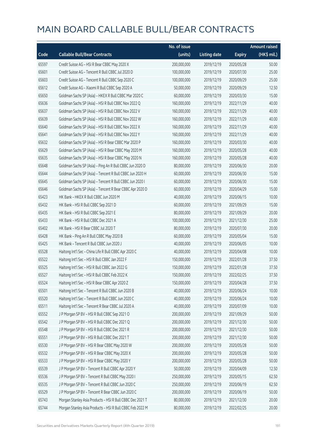|       |                                                           | No. of issue |                     |               | <b>Amount raised</b> |
|-------|-----------------------------------------------------------|--------------|---------------------|---------------|----------------------|
| Code  | <b>Callable Bull/Bear Contracts</b>                       | (units)      | <b>Listing date</b> | <b>Expiry</b> | (HK\$ mil.)          |
| 65597 | Credit Suisse AG - HSI R Bear CBBC May 2020 X             | 200,000,000  | 2019/12/19          | 2020/05/28    | 50.00                |
| 65601 | Credit Suisse AG - Tencent R Bull CBBC Jul 2020 D         | 100,000,000  | 2019/12/19          | 2020/07/30    | 25.00                |
| 65603 | Credit Suisse AG - Tencent R Bull CBBC Sep 2020 C         | 100,000,000  | 2019/12/19          | 2020/09/29    | 25.00                |
| 65612 | Credit Suisse AG - Xiaomi R Bull CBBC Sep 2020 A          | 50,000,000   | 2019/12/19          | 2020/09/29    | 12.50                |
| 65650 | Goldman Sachs SP (Asia) - HKEX R Bull CBBC Mar 2020 C     | 60,000,000   | 2019/12/19          | 2020/03/30    | 15.00                |
| 65636 | Goldman Sachs SP (Asia) - HSI R Bull CBBC Nov 2022 Q      | 160,000,000  | 2019/12/19          | 2022/11/29    | 40.00                |
| 65637 | Goldman Sachs SP (Asia) - HSI R Bull CBBC Nov 2022 V      | 160,000,000  | 2019/12/19          | 2022/11/29    | 40.00                |
| 65639 | Goldman Sachs SP (Asia) - HSI R Bull CBBC Nov 2022 W      | 160,000,000  | 2019/12/19          | 2022/11/29    | 40.00                |
| 65640 | Goldman Sachs SP (Asia) - HSI R Bull CBBC Nov 2022 X      | 160,000,000  | 2019/12/19          | 2022/11/29    | 40.00                |
| 65641 | Goldman Sachs SP (Asia) - HSI R Bull CBBC Nov 2022 Y      | 160,000,000  | 2019/12/19          | 2022/11/29    | 40.00                |
| 65632 | Goldman Sachs SP (Asia) - HSI R Bear CBBC Mar 2020 P      | 160,000,000  | 2019/12/19          | 2020/03/30    | 40.00                |
| 65629 | Goldman Sachs SP (Asia) - HSI R Bear CBBC May 2020 M      | 160,000,000  | 2019/12/19          | 2020/05/28    | 40.00                |
| 65635 | Goldman Sachs SP (Asia) - HSI R Bear CBBC May 2020 N      | 160,000,000  | 2019/12/19          | 2020/05/28    | 40.00                |
| 65648 | Goldman Sachs SP (Asia) - Ping An R Bull CBBC Jun 2020 D  | 80,000,000   | 2019/12/19          | 2020/06/30    | 20.00                |
| 65644 | Goldman Sachs SP (Asia) - Tencent R Bull CBBC Jun 2020 H  | 60,000,000   | 2019/12/19          | 2020/06/30    | 15.00                |
| 65645 | Goldman Sachs SP (Asia) - Tencent R Bull CBBC Jun 2020 I  | 60,000,000   | 2019/12/19          | 2020/06/30    | 15.00                |
| 65646 | Goldman Sachs SP (Asia) - Tencent R Bear CBBC Apr 2020 D  | 60,000,000   | 2019/12/19          | 2020/04/29    | 15.00                |
| 65423 | HK Bank - HKEX R Bull CBBC Jun 2020 M                     | 40,000,000   | 2019/12/19          | 2020/06/15    | 10.00                |
| 65432 | HK Bank - HSI R Bull CBBC Sep 2021 D                      | 60,000,000   | 2019/12/19          | 2021/09/29    | 15.00                |
| 65435 | HK Bank - HSI R Bull CBBC Sep 2021 E                      | 80,000,000   | 2019/12/19          | 2021/09/29    | 20.00                |
| 65433 | HK Bank - HSI R Bull CBBC Dec 2021 A                      | 100,000,000  | 2019/12/19          | 2021/12/30    | 25.00                |
| 65402 | HK Bank - HSI R Bear CBBC Jul 2020 T                      | 80,000,000   | 2019/12/19          | 2020/07/30    | 20.00                |
| 65428 | HK Bank - Ping An R Bull CBBC May 2020 B                  | 60,000,000   | 2019/12/19          | 2020/05/04    | 15.00                |
| 65425 | HK Bank - Tencent R Bull CBBC Jun 2020 J                  | 40,000,000   | 2019/12/19          | 2020/06/05    | 10.00                |
| 65528 | Haitong Int'l Sec - China Life R Bull CBBC Apr 2020 C     | 40,000,000   | 2019/12/19          | 2020/04/08    | 10.00                |
| 65522 | Haitong Int'l Sec - HSI R Bull CBBC Jan 2022 F            | 150,000,000  | 2019/12/19          | 2022/01/28    | 37.50                |
| 65525 | Haitong Int'l Sec - HSI R Bull CBBC Jan 2022 G            | 150,000,000  | 2019/12/19          | 2022/01/28    | 37.50                |
| 65527 | Haitong Int'l Sec - HSI R Bull CBBC Feb 2022 K            | 150,000,000  | 2019/12/19          | 2022/02/25    | 37.50                |
| 65524 | Haitong Int'l Sec - HSI R Bear CBBC Apr 2020 Z            | 150,000,000  | 2019/12/19          | 2020/04/28    | 37.50                |
| 65501 | Haitong Int'l Sec - Tencent R Bull CBBC Jun 2020 B        | 40,000,000   | 2019/12/19          | 2020/06/24    | 10.00                |
| 65520 | Haitong Int'l Sec - Tencent R Bull CBBC Jun 2020 C        | 40,000,000   | 2019/12/19          | 2020/06/24    | 10.00                |
| 65511 | Haitong Int'l Sec - Tencent R Bear CBBC Jul 2020 A        | 40,000,000   | 2019/12/19          | 2020/07/09    | 10.00                |
| 65552 | J P Morgan SP BV - HSI R Bull CBBC Sep 2021 O             | 200,000,000  | 2019/12/19          | 2021/09/29    | 50.00                |
| 65542 | J P Morgan SP BV - HSI R Bull CBBC Dec 2021 Q             | 200,000,000  | 2019/12/19          | 2021/12/30    | 50.00                |
| 65548 | J P Morgan SP BV - HSI R Bull CBBC Dec 2021 R             | 200,000,000  | 2019/12/19          | 2021/12/30    | 50.00                |
| 65551 | J P Morgan SP BV - HSI R Bull CBBC Dec 2021 T             | 200,000,000  | 2019/12/19          | 2021/12/30    | 50.00                |
| 65530 | J P Morgan SP BV - HSI R Bear CBBC May 2020 W             | 200,000,000  | 2019/12/19          | 2020/05/28    | 50.00                |
| 65532 | J P Morgan SP BV - HSI R Bear CBBC May 2020 X             | 200,000,000  | 2019/12/19          | 2020/05/28    | 50.00                |
| 65533 | J P Morgan SP BV - HSI R Bear CBBC May 2020 Y             | 200,000,000  | 2019/12/19          | 2020/05/28    | 50.00                |
| 65539 | J P Morgan SP BV - Tencent R Bull CBBC Apr 2020 Y         | 50,000,000   | 2019/12/19          | 2020/04/09    | 12.50                |
| 65536 | J P Morgan SP BV - Tencent R Bull CBBC May 2020 I         | 250,000,000  | 2019/12/19          | 2020/05/15    | 62.50                |
| 65535 | J P Morgan SP BV - Tencent R Bull CBBC Jun 2020 C         | 250,000,000  | 2019/12/19          | 2020/06/19    | 62.50                |
| 65529 | J P Morgan SP BV - Tencent R Bear CBBC Jun 2020 C         | 200,000,000  | 2019/12/19          | 2020/06/19    | 50.00                |
| 65743 | Morgan Stanley Asia Products - HSI R Bull CBBC Dec 2021 T | 80,000,000   | 2019/12/19          | 2021/12/30    | 20.00                |
| 65744 | Morgan Stanley Asia Products - HSI R Bull CBBC Feb 2022 M | 80,000,000   | 2019/12/19          | 2022/02/25    | 20.00                |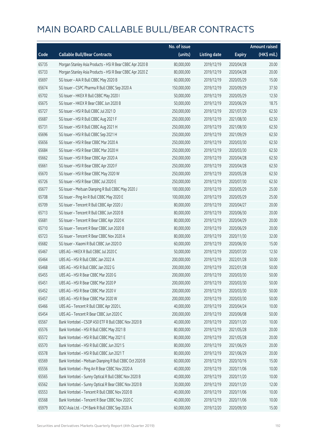|       |                                                           | No. of issue |                     |               | <b>Amount raised</b> |
|-------|-----------------------------------------------------------|--------------|---------------------|---------------|----------------------|
| Code  | <b>Callable Bull/Bear Contracts</b>                       | (units)      | <b>Listing date</b> | <b>Expiry</b> | (HK\$ mil.)          |
| 65735 | Morgan Stanley Asia Products - HSI R Bear CBBC Apr 2020 B | 80,000,000   | 2019/12/19          | 2020/04/28    | 20.00                |
| 65733 | Morgan Stanley Asia Products - HSI R Bear CBBC Apr 2020 Z | 80,000,000   | 2019/12/19          | 2020/04/28    | 20.00                |
| 65697 | SG Issuer - AIA R Bull CBBC May 2020 B                    | 60,000,000   | 2019/12/19          | 2020/05/29    | 15.00                |
| 65674 | SG Issuer - CSPC Pharma R Bull CBBC Sep 2020 A            | 150,000,000  | 2019/12/19          | 2020/09/29    | 37.50                |
| 65702 | SG Issuer - HKEX R Bull CBBC May 2020 I                   | 50,000,000   | 2019/12/19          | 2020/05/29    | 12.50                |
| 65675 | SG Issuer - HKEX R Bear CBBC Jun 2020 B                   | 50,000,000   | 2019/12/19          | 2020/06/29    | 18.75                |
| 65727 | SG Issuer - HSI R Bull CBBC Jul 2021 D                    | 250,000,000  | 2019/12/19          | 2021/07/29    | 62.50                |
| 65687 | SG Issuer - HSI R Bull CBBC Aug 2021 F                    | 250,000,000  | 2019/12/19          | 2021/08/30    | 62.50                |
| 65731 | SG Issuer - HSI R Bull CBBC Aug 2021 H                    | 250,000,000  | 2019/12/19          | 2021/08/30    | 62.50                |
| 65696 | SG Issuer - HSI R Bull CBBC Sep 2021 H                    | 250,000,000  | 2019/12/19          | 2021/09/29    | 62.50                |
| 65656 | SG Issuer - HSI R Bear CBBC Mar 2020 A                    | 250,000,000  | 2019/12/19          | 2020/03/30    | 62.50                |
| 65684 | SG Issuer - HSI R Bear CBBC Mar 2020 H                    | 250,000,000  | 2019/12/19          | 2020/03/30    | 62.50                |
| 65662 | SG Issuer - HSI R Bear CBBC Apr 2020 A                    | 250,000,000  | 2019/12/19          | 2020/04/28    | 62.50                |
| 65661 | SG Issuer - HSI R Bear CBBC Apr 2020 F                    | 250,000,000  | 2019/12/19          | 2020/04/28    | 62.50                |
| 65670 | SG Issuer - HSI R Bear CBBC May 2020 W                    | 250,000,000  | 2019/12/19          | 2020/05/28    | 62.50                |
| 65726 | SG Issuer - HSI R Bear CBBC Jul 2020 E                    | 250,000,000  | 2019/12/19          | 2020/07/30    | 62.50                |
| 65677 | SG Issuer - Meituan Dianping R Bull CBBC May 2020 J       | 100,000,000  | 2019/12/19          | 2020/05/29    | 25.00                |
| 65708 | SG Issuer - Ping An R Bull CBBC May 2020 E                | 100,000,000  | 2019/12/19          | 2020/05/29    | 25.00                |
| 65709 | SG Issuer - Tencent R Bull CBBC Apr 2020 J                | 80,000,000   | 2019/12/19          | 2020/04/27    | 20.00                |
| 65713 | SG Issuer - Tencent R Bull CBBC Jun 2020 B                | 80,000,000   | 2019/12/19          | 2020/06/30    | 20.00                |
| 65681 | SG Issuer - Tencent R Bear CBBC Apr 2020 K                | 80,000,000   | 2019/12/19          | 2020/04/29    | 20.00                |
| 65710 | SG Issuer - Tencent R Bear CBBC Jun 2020 B                | 80,000,000   | 2019/12/19          | 2020/06/29    | 20.00                |
| 65723 | SG Issuer - Tencent R Bear CBBC Nov 2020 A                | 80,000,000   | 2019/12/19          | 2020/11/30    | 32.00                |
| 65682 | SG Issuer - Xiaomi R Bull CBBC Jun 2020 D                 | 60,000,000   | 2019/12/19          | 2020/06/30    | 15.00                |
| 65467 | UBS AG - HKEX R Bull CBBC Jul 2020 C                      | 50,000,000   | 2019/12/19          | 2020/07/20    | 12.50                |
| 65464 | UBS AG - HSI R Bull CBBC Jan 2022 A                       | 200,000,000  | 2019/12/19          | 2022/01/28    | 50.00                |
| 65468 | UBS AG - HSI R Bull CBBC Jan 2022 G                       | 200,000,000  | 2019/12/19          | 2022/01/28    | 50.00                |
| 65455 | UBS AG - HSI R Bear CBBC Mar 2020 G                       | 200,000,000  | 2019/12/19          | 2020/03/30    | 50.00                |
| 65451 | UBS AG - HSI R Bear CBBC Mar 2020 P                       | 200,000,000  | 2019/12/19          | 2020/03/30    | 50.00                |
| 65452 | UBS AG - HSI R Bear CBBC Mar 2020 V                       | 200,000,000  | 2019/12/19          | 2020/03/30    | 50.00                |
| 65457 | UBS AG - HSI R Bear CBBC Mar 2020 W                       | 200,000,000  | 2019/12/19          | 2020/03/30    | 50.00                |
| 65466 | UBS AG - Tencent R Bull CBBC Apr 2020 L                   | 40,000,000   | 2019/12/19          | 2020/04/24    | 10.00                |
| 65454 | UBS AG - Tencent R Bear CBBC Jun 2020 C                   | 200,000,000  | 2019/12/19          | 2020/06/08    | 50.00                |
| 65567 | Bank Vontobel - CSOP A50 ETF R Bull CBBC Nov 2020 B       | 40,000,000   | 2019/12/19          | 2020/11/20    | 10.00                |
| 65576 | Bank Vontobel - HSI R Bull CBBC May 2021 B                | 80,000,000   | 2019/12/19          | 2021/05/28    | 20.00                |
| 65572 | Bank Vontobel - HSI R Bull CBBC May 2021 E                | 80,000,000   | 2019/12/19          | 2021/05/28    | 20.00                |
| 65570 | Bank Vontobel - HSI R Bull CBBC Jun 2021 S                | 80,000,000   | 2019/12/19          | 2021/06/29    | 20.00                |
| 65578 | Bank Vontobel - HSI R Bull CBBC Jun 2021 T                | 80,000,000   | 2019/12/19          | 2021/06/29    | 20.00                |
| 65569 | Bank Vontobel - Meituan Dianping R Bull CBBC Oct 2020 B   | 60,000,000   | 2019/12/19          | 2020/10/16    | 15.00                |
| 65556 | Bank Vontobel - Ping An R Bear CBBC Nov 2020 A            | 40,000,000   | 2019/12/19          | 2020/11/06    | 10.00                |
| 65565 | Bank Vontobel - Sunny Optical R Bull CBBC Nov 2020 B      | 40,000,000   | 2019/12/19          | 2020/11/20    | 10.00                |
| 65562 | Bank Vontobel - Sunny Optical R Bear CBBC Nov 2020 B      | 30,000,000   | 2019/12/19          | 2020/11/20    | 12.00                |
| 65553 | Bank Vontobel - Tencent R Bull CBBC Nov 2020 B            | 40,000,000   | 2019/12/19          | 2020/11/06    | 10.00                |
| 65568 | Bank Vontobel - Tencent R Bear CBBC Nov 2020 C            | 40,000,000   | 2019/12/19          | 2020/11/06    | 10.00                |
| 65979 | BOCI Asia Ltd. - CM Bank R Bull CBBC Sep 2020 A           | 60,000,000   | 2019/12/20          | 2020/09/30    | 15.00                |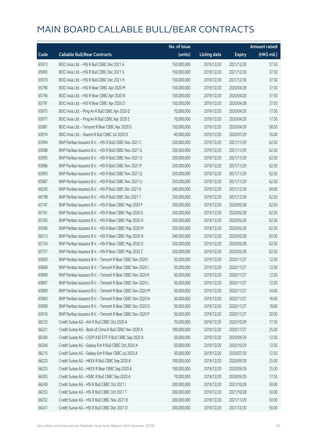|       |                                                            | No. of issue |                     |               | <b>Amount raised</b> |
|-------|------------------------------------------------------------|--------------|---------------------|---------------|----------------------|
| Code  | <b>Callable Bull/Bear Contracts</b>                        | (units)      | <b>Listing date</b> | <b>Expiry</b> | (HK\$ mil.)          |
| 65973 | BOCI Asia Ltd. - HSI R Bull CBBC Dec 2021 A                | 150,000,000  | 2019/12/20          | 2021/12/30    | 37.50                |
| 65965 | BOCI Asia Ltd. - HSI R Bull CBBC Dec 2021 G                | 150,000,000  | 2019/12/20          | 2021/12/30    | 37.50                |
| 65970 | BOCI Asia Ltd. - HSI R Bull CBBC Dec 2021 H                | 150,000,000  | 2019/12/20          | 2021/12/30    | 37.50                |
| 65790 | BOCI Asia Ltd. - HSI R Bear CBBC Apr 2020 M                | 150,000,000  | 2019/12/20          | 2020/04/28    | 37.50                |
| 65794 | BOCI Asia Ltd. - HSI R Bear CBBC Apr 2020 N                | 150,000,000  | 2019/12/20          | 2020/04/28    | 37.50                |
| 65797 | BOCI Asia Ltd. - HSI R Bear CBBC Apr 2020 O                | 150,000,000  | 2019/12/20          | 2020/04/28    | 37.50                |
| 65975 | BOCI Asia Ltd. - Ping An R Bull CBBC Apr 2020 D            | 70,000,000   | 2019/12/20          | 2020/04/29    | 17.50                |
| 65977 | BOCI Asia Ltd. - Ping An R Bull CBBC Apr 2020 E            | 70,000,000   | 2019/12/20          | 2020/04/29    | 17.50                |
| 65981 | BOCI Asia Ltd. - Tencent R Bear CBBC Apr 2020 D            | 150,000,000  | 2019/12/20          | 2020/04/29    | 58.50                |
| 65974 | BOCI Asia Ltd. - Xiaomi R Bull CBBC Jul 2020 D             | 40,000,000   | 2019/12/20          | 2020/07/29    | 10.00                |
| 65994 | BNP Paribas Issuance B.V. - HSI R Bull CBBC Nov 2021 C     | 250,000,000  | 2019/12/20          | 2021/11/29    | 62.50                |
| 65988 | BNP Paribas Issuance B.V. - HSI R Bull CBBC Nov 2021 G     | 250,000,000  | 2019/12/20          | 2021/11/29    | 62.50                |
| 65995 | BNP Paribas Issuance B.V. - HSI R Bull CBBC Nov 2021 O     | 250,000,000  | 2019/12/20          | 2021/11/29    | 62.50                |
| 65986 | BNP Paribas Issuance B.V. - HSI R Bull CBBC Nov 2021 P     | 250,000,000  | 2019/12/20          | 2021/11/29    | 62.50                |
| 65993 | BNP Paribas Issuance B.V. - HSI R Bull CBBC Nov 2021 Q     | 250,000,000  | 2019/12/20          | 2021/11/29    | 62.50                |
| 65987 | BNP Paribas Issuance B.V. - HSI R Bull CBBC Nov 2021 U     | 250,000,000  | 2019/12/20          | 2021/11/29    | 62.50                |
| 66205 | BNP Paribas Issuance B.V. - HSI R Bull CBBC Dec 2021 K     | 240,000,000  | 2019/12/20          | 2021/12/30    | 60.00                |
| 66198 | BNP Paribas Issuance B.V. - HSI R Bull CBBC Dec 2021 T     | 250,000,000  | 2019/12/20          | 2021/12/30    | 62.50                |
| 65747 | BNP Paribas Issuance B.V. - HSI R Bear CBBC May 2020 F     | 250,000,000  | 2019/12/20          | 2020/05/28    | 62.50                |
| 65761 | BNP Paribas Issuance B.V. - HSI R Bear CBBC May 2020 G     | 250,000,000  | 2019/12/20          | 2020/05/28    | 62.50                |
| 65765 | BNP Paribas Issuance B.V. - HSI R Bear CBBC May 2020 H     | 250,000,000  | 2019/12/20          | 2020/05/28    | 62.50                |
| 65996 | BNP Paribas Issuance B.V. - HSI R Bear CBBC May 2020 M     | 250,000,000  | 2019/12/20          | 2020/05/28    | 62.50                |
| 66213 | BNP Paribas Issuance B.V. - HSI R Bear CBBC May 2020 N     | 240,000,000  | 2019/12/20          | 2020/05/28    | 60.00                |
| 65754 | BNP Paribas Issuance B.V. - HSI R Bear CBBC May 2020 O     | 250,000,000  | 2019/12/20          | 2020/05/28    | 62.50                |
| 65757 | BNP Paribas Issuance B.V. - HSI R Bear CBBC May 2020 Z     | 250,000,000  | 2019/12/20          | 2020/05/28    | 62.50                |
| 65859 | BNP Paribas Issuance B.V. - Tencent R Bear CBBC Nov 2020 I | 50,000,000   | 2019/12/20          | 2020/11/27    | 12.50                |
| 65869 | BNP Paribas Issuance B.V. - Tencent R Bear CBBC Nov 2020 J | 50,000,000   | 2019/12/20          | 2020/11/27    | 12.50                |
| 65890 | BNP Paribas Issuance B.V. - Tencent R Bear CBBC Nov 2020 K | 50,000,000   | 2019/12/20          | 2020/11/27    | 12.50                |
| 65897 | BNP Paribas Issuance B.V. - Tencent R Bear CBBC Nov 2020 L | 50,000,000   | 2019/12/20          | 2020/11/27    | 12.50                |
| 65899 | BNP Paribas Issuance B.V. - Tencent R Bear CBBC Nov 2020 M | 50,000,000   | 2019/12/20          | 2020/11/27    | 14.00                |
| 65903 | BNP Paribas Issuance B.V. - Tencent R Bear CBBC Nov 2020 N | 50,000,000   | 2019/12/20          | 2020/11/27    | 16.00                |
| 65909 | BNP Paribas Issuance B.V. - Tencent R Bear CBBC Nov 2020 O | 50,000,000   | 2019/12/20          | 2020/11/27    | 18.00                |
| 65916 | BNP Paribas Issuance B.V. - Tencent R Bear CBBC Nov 2020 P | 50,000,000   | 2019/12/20          | 2020/11/27    | 20.00                |
| 66233 | Credit Suisse AG - AIA R Bull CBBC Oct 2020 A              | 70,000,000   | 2019/12/20          | 2020/10/29    | 17.50                |
| 66221 | Credit Suisse AG - Bank of China R Bull CBBC Nov 2020 A    | 100,000,000  | 2019/12/20          | 2020/11/27    | 25.00                |
| 66300 | Credit Suisse AG - CSOP A50 ETF R Bull CBBC Sep 2020 A     | 50,000,000   | 2019/12/20          | 2020/09/29    | 12.50                |
| 66304 | Credit Suisse AG - Galaxy Ent R Bull CBBC Oct 2020 A       | 50,000,000   | 2019/12/20          | 2020/10/29    | 12.50                |
| 66215 | Credit Suisse AG - Galaxy Ent R Bear CBBC Jul 2020 A       | 50,000,000   | 2019/12/20          | 2020/07/30    | 12.50                |
| 66223 | Credit Suisse AG - HKEX R Bull CBBC Sep 2020 B             | 100,000,000  | 2019/12/20          | 2020/09/29    | 25.00                |
| 66225 | Credit Suisse AG - HKEX R Bear CBBC Sep 2020 A             | 100,000,000  | 2019/12/20          | 2020/09/29    | 25.00                |
| 66303 | Credit Suisse AG - HSBC R Bull CBBC Sep 2020 A             | 70,000,000   | 2019/12/20          | 2020/09/29    | 17.50                |
| 66249 | Credit Suisse AG - HSI R Bull CBBC Oct 2021 I              | 200,000,000  | 2019/12/20          | 2021/10/28    | 50.00                |
| 66253 | Credit Suisse AG - HSI R Bull CBBC Oct 2021 T              | 200,000,000  | 2019/12/20          | 2021/10/28    | 50.00                |
| 66252 | Credit Suisse AG - HSI R Bull CBBC Nov 2021 B              | 200,000,000  | 2019/12/20          | 2021/11/29    | 50.00                |
| 66241 | Credit Suisse AG - HSI R Bull CBBC Dec 2021 D              | 200,000,000  | 2019/12/20          | 2021/12/30    | 50.00                |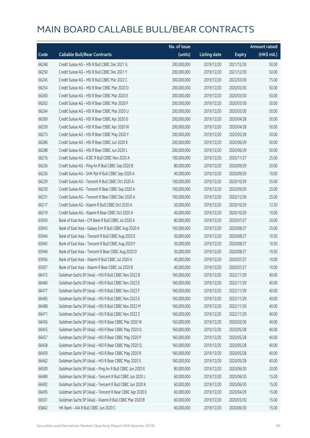|       |                                                          | No. of issue |                     |               | <b>Amount raised</b> |
|-------|----------------------------------------------------------|--------------|---------------------|---------------|----------------------|
| Code  | <b>Callable Bull/Bear Contracts</b>                      | (units)      | <b>Listing date</b> | <b>Expiry</b> | (HK\$ mil.)          |
| 66248 | Credit Suisse AG - HSI R Bull CBBC Dec 2021 G            | 200,000,000  | 2019/12/20          | 2021/12/30    | 50.00                |
| 66250 | Credit Suisse AG - HSI R Bull CBBC Dec 2021 Y            | 200,000,000  | 2019/12/20          | 2021/12/30    | 50.00                |
| 66245 | Credit Suisse AG - HSI R Bull CBBC Mar 2022 C            | 300,000,000  | 2019/12/20          | 2022/03/30    | 75.00                |
| 66254 | Credit Suisse AG - HSI R Bear CBBC Mar 2020 D            | 200,000,000  | 2019/12/20          | 2020/03/30    | 50.00                |
| 66260 | Credit Suisse AG - HSI R Bear CBBC Mar 2020 E            | 200,000,000  | 2019/12/20          | 2020/03/30    | 50.00                |
| 66262 | Credit Suisse AG - HSI R Bear CBBC Mar 2020 F            | 200,000,000  | 2019/12/20          | 2020/03/30    | 50.00                |
| 66264 | Credit Suisse AG - HSI R Bear CBBC Mar 2020 U            | 200,000,000  | 2019/12/20          | 2020/03/30    | 50.00                |
| 66269 | Credit Suisse AG - HSI R Bear CBBC Apr 2020 G            | 200,000,000  | 2019/12/20          | 2020/04/28    | 50.00                |
| 66259 | Credit Suisse AG - HSI R Bear CBBC Apr 2020 W            | 200,000,000  | 2019/12/20          | 2020/04/28    | 50.00                |
| 66273 | Credit Suisse AG - HSI R Bear CBBC May 2020 Y            | 200,000,000  | 2019/12/20          | 2020/05/28    | 50.00                |
| 66286 | Credit Suisse AG - HSI R Bear CBBC Jun 2020 K            | 200,000,000  | 2019/12/20          | 2020/06/29    | 50.00                |
| 66288 | Credit Suisse AG - HSI R Bear CBBC Jun 2020 L            | 200,000,000  | 2019/12/20          | 2020/06/29    | 50.00                |
| 66216 | Credit Suisse AG - ICBC R Bull CBBC Nov 2020 A           | 100,000,000  | 2019/12/20          | 2020/11/27    | 25.00                |
| 66236 | Credit Suisse AG - Ping An R Bull CBBC Sep 2020 B        | 80,000,000   | 2019/12/20          | 2020/09/29    | 20.00                |
| 66226 | Credit Suisse AG - SHK Ppt R Bull CBBC Sep 2020 A        | 40,000,000   | 2019/12/20          | 2020/09/29    | 10.00                |
| 66229 | Credit Suisse AG - Tencent R Bull CBBC Oct 2020 A        | 100,000,000  | 2019/12/20          | 2020/10/29    | 25.00                |
| 66230 | Credit Suisse AG - Tencent R Bear CBBC Sep 2020 A        | 100,000,000  | 2019/12/20          | 2020/09/29    | 25.00                |
| 66231 | Credit Suisse AG - Tencent R Bear CBBC Dec 2020 A        | 100,000,000  | 2019/12/20          | 2020/12/30    | 25.00                |
| 66217 | Credit Suisse AG - Xiaomi R Bull CBBC Oct 2020 A         | 50,000,000   | 2019/12/20          | 2020/10/29    | 12.50                |
| 66219 | Credit Suisse AG - Xiaomi R Bear CBBC Oct 2020 A         | 40,000,000   | 2019/12/20          | 2020/10/29    | 10.00                |
| 65959 | Bank of East Asia - CM Bank R Bull CBBC Jul 2020 A       | 80,000,000   | 2019/12/20          | 2020/07/27    | 20.00                |
| 65943 | Bank of East Asia - Galaxy Ent R Bull CBBC Aug 2020 A    | 100,000,000  | 2019/12/20          | 2020/08/27    | 25.00                |
| 65944 | Bank of East Asia - Tencent R Bull CBBC Aug 2020 E       | 30,000,000   | 2019/12/20          | 2020/08/27    | 10.50                |
| 65945 | Bank of East Asia - Tencent R Bull CBBC Aug 2020 F       | 30,000,000   | 2019/12/20          | 2020/08/27    | 10.50                |
| 65946 | Bank of East Asia - Tencent R Bear CBBC Aug 2020 D       | 30,000,000   | 2019/12/20          | 2020/08/27    | 10.50                |
| 65956 | Bank of East Asia - Xiaomi R Bull CBBC Jul 2020 A        | 40,000,000   | 2019/12/20          | 2020/07/27    | 10.00                |
| 65957 | Bank of East Asia - Xiaomi R Bear CBBC Jul 2020 B        | 40,000,000   | 2019/12/20          | 2020/07/27    | 10.00                |
| 66472 | Goldman Sachs SP (Asia) - HSI R Bull CBBC Nov 2022 B     | 160,000,000  | 2019/12/20          | 2022/11/29    | 40.00                |
| 66466 | Goldman Sachs SP (Asia) - HSI R Bull CBBC Nov 2022 E     | 160,000,000  | 2019/12/20          | 2022/11/29    | 40.00                |
| 66477 | Goldman Sachs SP (Asia) - HSI R Bull CBBC Nov 2022 F     | 160,000,000  | 2019/12/20          | 2022/11/29    | 40.00                |
| 66485 | Goldman Sachs SP (Asia) - HSI R Bull CBBC Nov 2022 K     | 160,000,000  | 2019/12/20          | 2022/11/29    | 40.00                |
| 66488 | Goldman Sachs SP (Asia) - HSI R Bull CBBC Nov 2022 M     | 160,000,000  | 2019/12/20          | 2022/11/29    | 40.00                |
| 66471 | Goldman Sachs SP (Asia) - HSI R Bull CBBC Nov 2022 Z     | 160,000,000  | 2019/12/20          | 2022/11/29    | 40.00                |
| 66456 | Goldman Sachs SP (Asia) - HSI R Bear CBBC Mar 2020 W     | 160,000,000  | 2019/12/20          | 2020/03/30    | 40.00                |
| 66455 | Goldman Sachs SP (Asia) - HSI R Bear CBBC May 2020 O     | 160,000,000  | 2019/12/20          | 2020/05/28    | 40.00                |
| 66457 | Goldman Sachs SP (Asia) - HSI R Bear CBBC May 2020 P     | 160,000,000  | 2019/12/20          | 2020/05/28    | 40.00                |
| 66458 | Goldman Sachs SP (Asia) - HSI R Bear CBBC May 2020 Q     | 160,000,000  | 2019/12/20          | 2020/05/28    | 40.00                |
| 66459 | Goldman Sachs SP (Asia) - HSI R Bear CBBC May 2020 R     | 160,000,000  | 2019/12/20          | 2020/05/28    | 40.00                |
| 66462 | Goldman Sachs SP (Asia) - HSI R Bear CBBC May 2020 S     | 160,000,000  | 2019/12/20          | 2020/05/28    | 40.00                |
| 66500 | Goldman Sachs SP (Asia) - Ping An R Bull CBBC Jun 2020 E | 80,000,000   | 2019/12/20          | 2020/06/30    | 20.00                |
| 66489 | Goldman Sachs SP (Asia) - Tencent R Bull CBBC Jun 2020 J | 60,000,000   | 2019/12/20          | 2020/06/30    | 15.00                |
| 66492 | Goldman Sachs SP (Asia) - Tencent R Bull CBBC Jun 2020 K | 60,000,000   | 2019/12/20          | 2020/06/30    | 15.00                |
| 66495 | Goldman Sachs SP (Asia) - Tencent R Bear CBBC Apr 2020 E | 60,000,000   | 2019/12/20          | 2020/04/29    | 15.00                |
| 66501 | Goldman Sachs SP (Asia) - Xiaomi R Bull CBBC Mar 2020 B  | 60,000,000   | 2019/12/20          | 2020/03/30    | 15.00                |
| 65842 | HK Bank - AIA R Bull CBBC Jun 2020 C                     | 60,000,000   | 2019/12/20          | 2020/06/30    | 15.00                |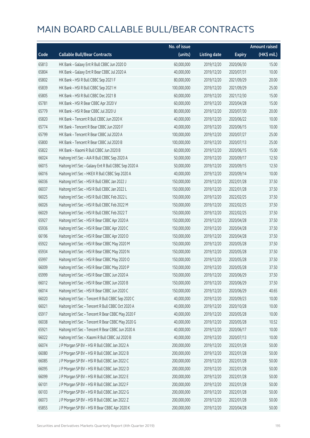|       |                                                       | No. of issue |                     |               | <b>Amount raised</b> |
|-------|-------------------------------------------------------|--------------|---------------------|---------------|----------------------|
| Code  | <b>Callable Bull/Bear Contracts</b>                   | (units)      | <b>Listing date</b> | <b>Expiry</b> | $(HK\$ mil.)         |
| 65813 | HK Bank - Galaxy Ent R Bull CBBC Jun 2020 D           | 60,000,000   | 2019/12/20          | 2020/06/30    | 15.00                |
| 65804 | HK Bank - Galaxy Ent R Bear CBBC Jul 2020 A           | 40,000,000   | 2019/12/20          | 2020/07/31    | 10.00                |
| 65802 | HK Bank - HSI R Bull CBBC Sep 2021 F                  | 80,000,000   | 2019/12/20          | 2021/09/29    | 20.00                |
| 65839 | HK Bank - HSI R Bull CBBC Sep 2021 H                  | 100,000,000  | 2019/12/20          | 2021/09/29    | 25.00                |
| 65805 | HK Bank - HSI R Bull CBBC Dec 2021 B                  | 60,000,000   | 2019/12/20          | 2021/12/30    | 15.00                |
| 65781 | HK Bank - HSI R Bear CBBC Apr 2020 V                  | 60,000,000   | 2019/12/20          | 2020/04/28    | 15.00                |
| 65779 | HK Bank - HSI R Bear CBBC Jul 2020 U                  | 80,000,000   | 2019/12/20          | 2020/07/30    | 20.00                |
| 65820 | HK Bank - Tencent R Bull CBBC Jun 2020 K              | 40,000,000   | 2019/12/20          | 2020/06/22    | 10.00                |
| 65774 | HK Bank - Tencent R Bear CBBC Jun 2020 F              | 40,000,000   | 2019/12/20          | 2020/06/15    | 10.00                |
| 65799 | HK Bank - Tencent R Bear CBBC Jul 2020 A              | 100,000,000  | 2019/12/20          | 2020/07/27    | 25.00                |
| 65800 | HK Bank - Tencent R Bear CBBC Jul 2020 B              | 100,000,000  | 2019/12/20          | 2020/07/13    | 25.00                |
| 65822 | HK Bank - Xiaomi R Bull CBBC Jun 2020 B               | 60,000,000   | 2019/12/20          | 2020/06/15    | 15.00                |
| 66024 | Haitong Int'l Sec - AIA R Bull CBBC Sep 2020 A        | 50,000,000   | 2019/12/20          | 2020/09/17    | 12.50                |
| 66015 | Haitong Int'l Sec - Galaxy Ent R Bull CBBC Sep 2020 A | 50,000,000   | 2019/12/20          | 2020/09/15    | 12.50                |
| 66016 | Haitong Int'l Sec - HKEX R Bull CBBC Sep 2020 A       | 40,000,000   | 2019/12/20          | 2020/09/14    | 10.00                |
| 66036 | Haitong Int'l Sec - HSI R Bull CBBC Jan 2022 J        | 150,000,000  | 2019/12/20          | 2022/01/28    | 37.50                |
| 66037 | Haitong Int'l Sec - HSI R Bull CBBC Jan 2022 L        | 150,000,000  | 2019/12/20          | 2022/01/28    | 37.50                |
| 66025 | Haitong Int'l Sec - HSI R Bull CBBC Feb 2022 L        | 150,000,000  | 2019/12/20          | 2022/02/25    | 37.50                |
| 66026 | Haitong Int'l Sec - HSI R Bull CBBC Feb 2022 M        | 150,000,000  | 2019/12/20          | 2022/02/25    | 37.50                |
| 66029 | Haitong Int'l Sec - HSI R Bull CBBC Feb 2022 T        | 150,000,000  | 2019/12/20          | 2022/02/25    | 37.50                |
| 65927 | Haitong Int'l Sec - HSI R Bear CBBC Apr 2020 A        | 150,000,000  | 2019/12/20          | 2020/04/28    | 37.50                |
| 65936 | Haitong Int'l Sec - HSI R Bear CBBC Apr 2020 C        | 150,000,000  | 2019/12/20          | 2020/04/28    | 37.50                |
| 66196 | Haitong Int'l Sec - HSI R Bear CBBC Apr 2020 D        | 150,000,000  | 2019/12/20          | 2020/04/28    | 37.50                |
| 65922 | Haitong Int'l Sec - HSI R Bear CBBC May 2020 M        | 150,000,000  | 2019/12/20          | 2020/05/28    | 37.50                |
| 65934 | Haitong Int'l Sec - HSI R Bear CBBC May 2020 N        | 150,000,000  | 2019/12/20          | 2020/05/28    | 37.50                |
| 65997 | Haitong Int'l Sec - HSI R Bear CBBC May 2020 O        | 150,000,000  | 2019/12/20          | 2020/05/28    | 37.50                |
| 66009 | Haitong Int'l Sec - HSI R Bear CBBC May 2020 P        | 150,000,000  | 2019/12/20          | 2020/05/28    | 37.50                |
| 65999 | Haitong Int'l Sec - HSI R Bear CBBC Jun 2020 A        | 150,000,000  | 2019/12/20          | 2020/06/29    | 37.50                |
| 66012 | Haitong Int'l Sec - HSI R Bear CBBC Jun 2020 B        | 150,000,000  | 2019/12/20          | 2020/06/29    | 37.50                |
| 66014 | Haitong Int'l Sec - HSI R Bear CBBC Jun 2020 C        | 150,000,000  | 2019/12/20          | 2020/06/29    | 40.65                |
| 66020 | Haitong Int'l Sec - Tencent R Bull CBBC Sep 2020 C    | 40,000,000   | 2019/12/20          | 2020/09/23    | 10.00                |
| 66021 | Haitong Int'l Sec - Tencent R Bull CBBC Oct 2020 A    | 40,000,000   | 2019/12/20          | 2020/10/28    | 10.00                |
| 65917 | Haitong Int'l Sec - Tencent R Bear CBBC May 2020 F    | 40,000,000   | 2019/12/20          | 2020/05/28    | 10.00                |
| 66038 | Haitong Int'l Sec - Tencent R Bear CBBC May 2020 G    | 40,000,000   | 2019/12/20          | 2020/05/28    | 10.52                |
| 65921 | Haitong Int'l Sec - Tencent R Bear CBBC Jun 2020 A    | 40,000,000   | 2019/12/20          | 2020/06/17    | 10.00                |
| 66022 | Haitong Int'l Sec - Xiaomi R Bull CBBC Jul 2020 B     | 40,000,000   | 2019/12/20          | 2020/07/13    | 10.00                |
| 66074 | J P Morgan SP BV - HSI R Bull CBBC Jan 2022 A         | 200,000,000  | 2019/12/20          | 2022/01/28    | 50.00                |
| 66080 | J P Morgan SP BV - HSI R Bull CBBC Jan 2022 B         | 200,000,000  | 2019/12/20          | 2022/01/28    | 50.00                |
| 66085 | J P Morgan SP BV - HSI R Bull CBBC Jan 2022 C         | 200,000,000  | 2019/12/20          | 2022/01/28    | 50.00                |
| 66095 | J P Morgan SP BV - HSI R Bull CBBC Jan 2022 D         | 200,000,000  | 2019/12/20          | 2022/01/28    | 50.00                |
| 66099 | J P Morgan SP BV - HSI R Bull CBBC Jan 2022 E         | 200,000,000  | 2019/12/20          | 2022/01/28    | 50.00                |
| 66101 | J P Morgan SP BV - HSI R Bull CBBC Jan 2022 F         | 200,000,000  | 2019/12/20          | 2022/01/28    | 50.00                |
| 66103 | J P Morgan SP BV - HSI R Bull CBBC Jan 2022 G         | 200,000,000  | 2019/12/20          | 2022/01/28    | 50.00                |
| 66073 | J P Morgan SP BV - HSI R Bull CBBC Jan 2022 Z         | 200,000,000  | 2019/12/20          | 2022/01/28    | 50.00                |
| 65855 | J P Morgan SP BV - HSI R Bear CBBC Apr 2020 K         | 200,000,000  | 2019/12/20          | 2020/04/28    | 50.00                |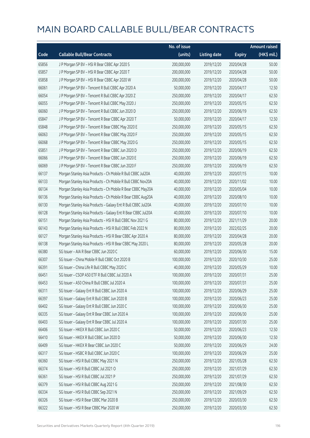|       |                                                              | No. of issue |                     |               | <b>Amount raised</b> |
|-------|--------------------------------------------------------------|--------------|---------------------|---------------|----------------------|
| Code  | <b>Callable Bull/Bear Contracts</b>                          | (units)      | <b>Listing date</b> | <b>Expiry</b> | (HK\$ mil.)          |
| 65856 | J P Morgan SP BV - HSI R Bear CBBC Apr 2020 S                | 200,000,000  | 2019/12/20          | 2020/04/28    | 50.00                |
| 65857 | J P Morgan SP BV - HSI R Bear CBBC Apr 2020 T                | 200,000,000  | 2019/12/20          | 2020/04/28    | 50.00                |
| 65858 | J P Morgan SP BV - HSI R Bear CBBC Apr 2020 W                | 200,000,000  | 2019/12/20          | 2020/04/28    | 50.00                |
| 66061 | J P Morgan SP BV - Tencent R Bull CBBC Apr 2020 A            | 50,000,000   | 2019/12/20          | 2020/04/17    | 12.50                |
| 66054 | J P Morgan SP BV - Tencent R Bull CBBC Apr 2020 Z            | 250,000,000  | 2019/12/20          | 2020/04/17    | 62.50                |
| 66055 | J P Morgan SP BV - Tencent R Bull CBBC May 2020 J            | 250,000,000  | 2019/12/20          | 2020/05/15    | 62.50                |
| 66060 | J P Morgan SP BV - Tencent R Bull CBBC Jun 2020 D            | 250,000,000  | 2019/12/20          | 2020/06/19    | 62.50                |
| 65847 | J P Morgan SP BV - Tencent R Bear CBBC Apr 2020 T            | 50,000,000   | 2019/12/20          | 2020/04/17    | 12.50                |
| 65848 | J P Morgan SP BV - Tencent R Bear CBBC May 2020 E            | 250,000,000  | 2019/12/20          | 2020/05/15    | 62.50                |
| 66063 | J P Morgan SP BV - Tencent R Bear CBBC May 2020 F            | 250,000,000  | 2019/12/20          | 2020/05/15    | 62.50                |
| 66068 | J P Morgan SP BV - Tencent R Bear CBBC May 2020 G            | 250,000,000  | 2019/12/20          | 2020/05/15    | 62.50                |
| 65851 | J P Morgan SP BV - Tencent R Bear CBBC Jun 2020 D            | 250,000,000  | 2019/12/20          | 2020/06/19    | 62.50                |
| 66066 | J P Morgan SP BV - Tencent R Bear CBBC Jun 2020 E            | 250,000,000  | 2019/12/20          | 2020/06/19    | 62.50                |
| 66069 | J P Morgan SP BV - Tencent R Bear CBBC Jun 2020 F            | 250,000,000  | 2019/12/20          | 2020/06/19    | 62.50                |
| 66137 | Morgan Stanley Asia Products - Ch Mobile R Bull CBBC Jul20A  | 40,000,000   | 2019/12/20          | 2020/07/15    | 10.00                |
| 66133 | Morgan Stanley Asia Products - Ch Mobile R Bull CBBC Nov20A  | 40,000,000   | 2019/12/20          | 2020/11/02    | 10.00                |
| 66134 | Morgan Stanley Asia Products - Ch Mobile R Bear CBBC May20A  | 40,000,000   | 2019/12/20          | 2020/05/04    | 10.00                |
| 66136 | Morgan Stanley Asia Products - Ch Mobile R Bear CBBC Aug20A  | 40,000,000   | 2019/12/20          | 2020/08/10    | 10.00                |
| 66130 | Morgan Stanley Asia Products - Galaxy Ent R Bull CBBC Jul20A | 40,000,000   | 2019/12/20          | 2020/07/10    | 10.00                |
| 66128 | Morgan Stanley Asia Products - Galaxy Ent R Bear CBBC Jul20A | 40,000,000   | 2019/12/20          | 2020/07/10    | 10.00                |
| 66151 | Morgan Stanley Asia Products - HSI R Bull CBBC Nov 2021 G    | 80,000,000   | 2019/12/20          | 2021/11/29    | 20.00                |
| 66143 | Morgan Stanley Asia Products - HSI R Bull CBBC Feb 2022 N    | 80,000,000   | 2019/12/20          | 2022/02/25    | 20.00                |
| 66127 | Morgan Stanley Asia Products - HSI R Bear CBBC Apr 2020 A    | 80,000,000   | 2019/12/20          | 2020/04/28    | 20.00                |
| 66138 | Morgan Stanley Asia Products - HSI R Bear CBBC May 2020 L    | 80,000,000   | 2019/12/20          | 2020/05/28    | 20.00                |
| 66380 | SG Issuer - AIA R Bear CBBC Jun 2020 C                       | 60,000,000   | 2019/12/20          | 2020/06/30    | 15.00                |
| 66307 | SG Issuer - China Mobile R Bull CBBC Oct 2020 B              | 100,000,000  | 2019/12/20          | 2020/10/30    | 25.00                |
| 66391 | SG Issuer - China Life R Bull CBBC May 2020 C                | 40,000,000   | 2019/12/20          | 2020/05/29    | 10.00                |
| 66451 | SG Issuer - CSOP A50 ETF R Bull CBBC Jul 2020 A              | 100,000,000  | 2019/12/20          | 2020/07/31    | 25.00                |
| 66453 | SG Issuer - A50 China R Bull CBBC Jul 2020 A                 | 100,000,000  | 2019/12/20          | 2020/07/31    | 25.00                |
| 66311 | SG Issuer - Galaxy Ent R Bull CBBC Jun 2020 A                | 100,000,000  | 2019/12/20          | 2020/06/29    | 25.00                |
| 66397 | SG Issuer - Galaxy Ent R Bull CBBC Jun 2020 B                | 100,000,000  | 2019/12/20          | 2020/06/23    | 25.00                |
| 66402 | SG Issuer - Galaxy Ent R Bull CBBC Jun 2020 C                | 100,000,000  | 2019/12/20          | 2020/06/30    | 25.00                |
| 66335 | SG Issuer - Galaxy Ent R Bear CBBC Jun 2020 A                | 100,000,000  | 2019/12/20          | 2020/06/30    | 25.00                |
| 66403 | SG Issuer - Galaxy Ent R Bear CBBC Jul 2020 A                | 100,000,000  | 2019/12/20          | 2020/07/30    | 25.00                |
| 66406 | SG Issuer - HKEX R Bull CBBC Jun 2020 C                      | 50,000,000   | 2019/12/20          | 2020/06/23    | 12.50                |
| 66410 | SG Issuer - HKEX R Bull CBBC Jun 2020 D                      | 50,000,000   | 2019/12/20          | 2020/06/30    | 12.50                |
| 66409 | SG Issuer - HKEX R Bear CBBC Jun 2020 C                      | 50,000,000   | 2019/12/20          | 2020/06/29    | 24.00                |
| 66317 | SG Issuer - HSBC R Bull CBBC Jun 2020 C                      | 100,000,000  | 2019/12/20          | 2020/06/29    | 25.00                |
| 66360 | SG Issuer - HSI R Bull CBBC May 2021 N                       | 250,000,000  | 2019/12/20          | 2021/05/28    | 62.50                |
| 66374 | SG Issuer - HSI R Bull CBBC Jul 2021 O                       | 250,000,000  | 2019/12/20          | 2021/07/29    | 62.50                |
| 66361 | SG Issuer - HSI R Bull CBBC Jul 2021 P                       | 250,000,000  | 2019/12/20          | 2021/07/29    | 62.50                |
| 66379 | SG Issuer - HSI R Bull CBBC Aug 2021 G                       | 250,000,000  | 2019/12/20          | 2021/08/30    | 62.50                |
| 66334 | SG Issuer - HSI R Bull CBBC Sep 2021 N                       | 250,000,000  | 2019/12/20          | 2021/09/29    | 62.50                |
| 66326 | SG Issuer - HSI R Bear CBBC Mar 2020 B                       | 250,000,000  | 2019/12/20          | 2020/03/30    | 62.50                |
| 66322 | SG Issuer - HSI R Bear CBBC Mar 2020 W                       | 250,000,000  | 2019/12/20          | 2020/03/30    | 62.50                |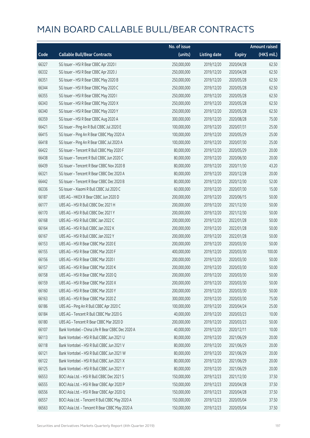|       |                                                   | No. of issue |                     |               | <b>Amount raised</b> |
|-------|---------------------------------------------------|--------------|---------------------|---------------|----------------------|
| Code  | <b>Callable Bull/Bear Contracts</b>               | (units)      | <b>Listing date</b> | <b>Expiry</b> | (HK\$ mil.)          |
| 66327 | SG Issuer - HSI R Bear CBBC Apr 2020 I            | 250,000,000  | 2019/12/20          | 2020/04/28    | 62.50                |
| 66332 | SG Issuer - HSI R Bear CBBC Apr 2020 J            | 250,000,000  | 2019/12/20          | 2020/04/28    | 62.50                |
| 66351 | SG Issuer - HSI R Bear CBBC May 2020 B            | 250,000,000  | 2019/12/20          | 2020/05/28    | 62.50                |
| 66344 | SG Issuer - HSI R Bear CBBC May 2020 C            | 250,000,000  | 2019/12/20          | 2020/05/28    | 62.50                |
| 66355 | SG Issuer - HSI R Bear CBBC May 2020 I            | 250,000,000  | 2019/12/20          | 2020/05/28    | 62.50                |
| 66343 | SG Issuer - HSI R Bear CBBC May 2020 X            | 250,000,000  | 2019/12/20          | 2020/05/28    | 62.50                |
| 66340 | SG Issuer - HSI R Bear CBBC May 2020 Y            | 250,000,000  | 2019/12/20          | 2020/05/28    | 62.50                |
| 66359 | SG Issuer - HSI R Bear CBBC Aug 2020 A            | 300,000,000  | 2019/12/20          | 2020/08/28    | 75.00                |
| 66421 | SG Issuer - Ping An R Bull CBBC Jul 2020 E        | 100,000,000  | 2019/12/20          | 2020/07/31    | 25.00                |
| 66415 | SG Issuer - Ping An R Bear CBBC May 2020 A        | 100,000,000  | 2019/12/20          | 2020/05/29    | 25.00                |
| 66418 | SG Issuer - Ping An R Bear CBBC Jul 2020 A        | 100,000,000  | 2019/12/20          | 2020/07/30    | 25.00                |
| 66422 | SG Issuer - Tencent R Bull CBBC May 2020 F        | 80,000,000   | 2019/12/20          | 2020/05/29    | 20.00                |
| 66438 | SG Issuer - Tencent R Bull CBBC Jun 2020 C        | 80,000,000   | 2019/12/20          | 2020/06/30    | 20.00                |
| 66439 | SG Issuer - Tencent R Bear CBBC Nov 2020 B        | 80,000,000   | 2019/12/20          | 2020/11/30    | 43.20                |
| 66321 | SG Issuer - Tencent R Bear CBBC Dec 2020 A        | 80,000,000   | 2019/12/20          | 2020/12/28    | 20.00                |
| 66442 | SG Issuer - Tencent R Bear CBBC Dec 2020 B        | 80,000,000   | 2019/12/20          | 2020/12/30    | 52.00                |
| 66336 | SG Issuer - Xiaomi R Bull CBBC Jul 2020 C         | 60,000,000   | 2019/12/20          | 2020/07/30    | 15.00                |
| 66187 | UBS AG - HKEX R Bear CBBC Jun 2020 D              | 200,000,000  | 2019/12/20          | 2020/06/15    | 50.00                |
| 66177 | UBS AG - HSI R Bull CBBC Dec 2021 H               | 200,000,000  | 2019/12/20          | 2021/12/30    | 50.00                |
| 66170 | UBS AG - HSI R Bull CBBC Dec 2021 Y               | 200,000,000  | 2019/12/20          | 2021/12/30    | 50.00                |
| 66168 | UBS AG - HSI R Bull CBBC Jan 2022 C               | 200,000,000  | 2019/12/20          | 2022/01/28    | 50.00                |
| 66164 | UBS AG - HSI R Bull CBBC Jan 2022 K               | 200,000,000  | 2019/12/20          | 2022/01/28    | 50.00                |
| 66167 | UBS AG - HSI R Bull CBBC Jan 2022 Y               | 200,000,000  | 2019/12/20          | 2022/01/28    | 50.00                |
| 66153 | UBS AG - HSI R Bear CBBC Mar 2020 E               | 200,000,000  | 2019/12/20          | 2020/03/30    | 50.00                |
| 66155 | UBS AG - HSI R Bear CBBC Mar 2020 F               | 400,000,000  | 2019/12/20          | 2020/03/30    | 100.00               |
| 66156 | UBS AG - HSI R Bear CBBC Mar 2020 I               | 200,000,000  | 2019/12/20          | 2020/03/30    | 50.00                |
| 66157 | UBS AG - HSI R Bear CBBC Mar 2020 K               | 200,000,000  | 2019/12/20          | 2020/03/30    | 50.00                |
| 66158 | UBS AG - HSI R Bear CBBC Mar 2020 Q               | 200,000,000  | 2019/12/20          | 2020/03/30    | 50.00                |
| 66159 | UBS AG - HSI R Bear CBBC Mar 2020 X               | 200,000,000  | 2019/12/20          | 2020/03/30    | 50.00                |
| 66160 | UBS AG - HSI R Bear CBBC Mar 2020 Y               | 200,000,000  | 2019/12/20          | 2020/03/30    | 50.00                |
| 66163 | UBS AG - HSI R Bear CBBC Mar 2020 Z               | 300,000,000  | 2019/12/20          | 2020/03/30    | 75.00                |
| 66186 | UBS AG - Ping An R Bull CBBC Apr 2020 C           | 100,000,000  | 2019/12/20          | 2020/04/24    | 25.00                |
| 66184 | UBS AG - Tencent R Bull CBBC Mar 2020 G           | 40,000,000   | 2019/12/20          | 2020/03/23    | 10.00                |
| 66180 | UBS AG - Tencent R Bear CBBC Mar 2020 D           | 200,000,000  | 2019/12/20          | 2020/03/23    | 50.00                |
| 66107 | Bank Vontobel - China Life R Bear CBBC Dec 2020 A | 40,000,000   | 2019/12/20          | 2020/12/11    | 10.00                |
| 66113 | Bank Vontobel - HSI R Bull CBBC Jun 2021 U        | 80,000,000   | 2019/12/20          | 2021/06/29    | 20.00                |
| 66118 | Bank Vontobel - HSI R Bull CBBC Jun 2021 V        | 80,000,000   | 2019/12/20          | 2021/06/29    | 20.00                |
| 66121 | Bank Vontobel - HSI R Bull CBBC Jun 2021 W        | 80,000,000   | 2019/12/20          | 2021/06/29    | 20.00                |
| 66122 | Bank Vontobel - HSI R Bull CBBC Jun 2021 X        | 80,000,000   | 2019/12/20          | 2021/06/29    | 20.00                |
| 66125 | Bank Vontobel - HSI R Bull CBBC Jun 2021 Y        | 80,000,000   | 2019/12/20          | 2021/06/29    | 20.00                |
| 66553 | BOCI Asia Ltd. - HSI R Bull CBBC Dec 2021 S       | 150,000,000  | 2019/12/23          | 2021/12/30    | 37.50                |
| 66555 | BOCI Asia Ltd. - HSI R Bear CBBC Apr 2020 P       | 150,000,000  | 2019/12/23          | 2020/04/28    | 37.50                |
| 66556 | BOCI Asia Ltd. - HSI R Bear CBBC Apr 2020 Q       | 150,000,000  | 2019/12/23          | 2020/04/28    | 37.50                |
| 66557 | BOCI Asia Ltd. - Tencent R Bull CBBC May 2020 A   | 150,000,000  | 2019/12/23          | 2020/05/04    | 37.50                |
| 66563 | BOCI Asia Ltd. - Tencent R Bear CBBC May 2020 A   | 150,000,000  | 2019/12/23          | 2020/05/04    | 37.50                |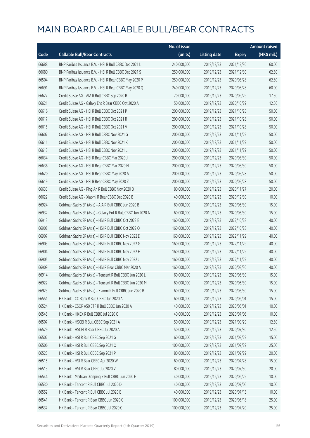|       |                                                             | No. of issue |                     |               | <b>Amount raised</b> |
|-------|-------------------------------------------------------------|--------------|---------------------|---------------|----------------------|
| Code  | <b>Callable Bull/Bear Contracts</b>                         | (units)      | <b>Listing date</b> | <b>Expiry</b> | (HK\$ mil.)          |
| 66688 | BNP Paribas Issuance B.V. - HSI R Bull CBBC Dec 2021 L      | 240,000,000  | 2019/12/23          | 2021/12/30    | 60.00                |
| 66680 | BNP Paribas Issuance B.V. - HSI R Bull CBBC Dec 2021 S      | 250,000,000  | 2019/12/23          | 2021/12/30    | 62.50                |
| 66504 | BNP Paribas Issuance B.V. - HSI R Bear CBBC May 2020 P      | 250,000,000  | 2019/12/23          | 2020/05/28    | 62.50                |
| 66691 | BNP Paribas Issuance B.V. - HSI R Bear CBBC May 2020 Q      | 240,000,000  | 2019/12/23          | 2020/05/28    | 60.00                |
| 66627 | Credit Suisse AG - AIA R Bull CBBC Sep 2020 B               | 70,000,000   | 2019/12/23          | 2020/09/29    | 17.50                |
| 66621 | Credit Suisse AG - Galaxy Ent R Bear CBBC Oct 2020 A        | 50,000,000   | 2019/12/23          | 2020/10/29    | 12.50                |
| 66616 | Credit Suisse AG - HSI R Bull CBBC Oct 2021 P               | 200,000,000  | 2019/12/23          | 2021/10/28    | 50.00                |
| 66617 | Credit Suisse AG - HSI R Bull CBBC Oct 2021 R               | 200,000,000  | 2019/12/23          | 2021/10/28    | 50.00                |
| 66615 | Credit Suisse AG - HSI R Bull CBBC Oct 2021 V               | 200,000,000  | 2019/12/23          | 2021/10/28    | 50.00                |
| 66607 | Credit Suisse AG - HSI R Bull CBBC Nov 2021 G               | 200,000,000  | 2019/12/23          | 2021/11/29    | 50.00                |
| 66611 | Credit Suisse AG - HSI R Bull CBBC Nov 2021 K               | 200,000,000  | 2019/12/23          | 2021/11/29    | 50.00                |
| 66613 | Credit Suisse AG - HSI R Bull CBBC Nov 2021 L               | 200,000,000  | 2019/12/23          | 2021/11/29    | 50.00                |
| 66634 | Credit Suisse AG - HSI R Bear CBBC Mar 2020 J               | 200,000,000  | 2019/12/23          | 2020/03/30    | 50.00                |
| 66636 | Credit Suisse AG - HSI R Bear CBBC Mar 2020 N               | 200,000,000  | 2019/12/23          | 2020/03/30    | 50.00                |
| 66620 | Credit Suisse AG - HSI R Bear CBBC May 2020 A               | 200,000,000  | 2019/12/23          | 2020/05/28    | 50.00                |
| 66619 | Credit Suisse AG - HSI R Bear CBBC May 2020 Z               | 200,000,000  | 2019/12/23          | 2020/05/28    | 50.00                |
| 66633 | Credit Suisse AG - Ping An R Bull CBBC Nov 2020 B           | 80,000,000   | 2019/12/23          | 2020/11/27    | 20.00                |
| 66622 | Credit Suisse AG - Xiaomi R Bear CBBC Dec 2020 B            | 40,000,000   | 2019/12/23          | 2020/12/30    | 10.00                |
| 66924 | Goldman Sachs SP (Asia) - AIA R Bull CBBC Jun 2020 B        | 60,000,000   | 2019/12/23          | 2020/06/30    | 15.00                |
| 66932 | Goldman Sachs SP (Asia) - Galaxy Ent R Bull CBBC Jun 2020 A | 60,000,000   | 2019/12/23          | 2020/06/30    | 15.00                |
| 66913 | Goldman Sachs SP (Asia) - HSI R Bull CBBC Oct 2022 E        | 160,000,000  | 2019/12/23          | 2022/10/28    | 40.00                |
| 66908 | Goldman Sachs SP (Asia) - HSI R Bull CBBC Oct 2022 O        | 160,000,000  | 2019/12/23          | 2022/10/28    | 40.00                |
| 66907 | Goldman Sachs SP (Asia) - HSI R Bull CBBC Nov 2022 D        | 160,000,000  | 2019/12/23          | 2022/11/29    | 40.00                |
| 66903 | Goldman Sachs SP (Asia) - HSI R Bull CBBC Nov 2022 G        | 160,000,000  | 2019/12/23          | 2022/11/29    | 40.00                |
| 66904 | Goldman Sachs SP (Asia) - HSI R Bull CBBC Nov 2022 H        | 160,000,000  | 2019/12/23          | 2022/11/29    | 40.00                |
| 66905 | Goldman Sachs SP (Asia) - HSI R Bull CBBC Nov 2022 J        | 160,000,000  | 2019/12/23          | 2022/11/29    | 40.00                |
| 66909 | Goldman Sachs SP (Asia) - HSI R Bear CBBC Mar 2020 A        | 160,000,000  | 2019/12/23          | 2020/03/30    | 40.00                |
| 66914 | Goldman Sachs SP (Asia) - Tencent R Bull CBBC Jun 2020 L    | 60,000,000   | 2019/12/23          | 2020/06/30    | 15.00                |
| 66922 | Goldman Sachs SP (Asia) - Tencent R Bull CBBC Jun 2020 M    | 60,000,000   | 2019/12/23          | 2020/06/30    | 15.00                |
| 66923 | Goldman Sachs SP (Asia) - Xiaomi R Bull CBBC Jun 2020 B     | 60,000,000   | 2019/12/23          | 2020/06/30    | 15.00                |
| 66551 | HK Bank - CC Bank R Bull CBBC Jun 2020 A                    | 60,000,000   | 2019/12/23          | 2020/06/01    | 15.00                |
| 66524 | HK Bank - CSOP A50 ETF R Bull CBBC Jun 2020 A               | 40,000,000   | 2019/12/23          | 2020/06/01    | 10.00                |
| 66545 | HK Bank - HKEX R Bull CBBC Jul 2020 C                       | 40,000,000   | 2019/12/23          | 2020/07/06    | 10.00                |
| 66507 | HK Bank - HSCEI R Bull CBBC Sep 2021 A                      | 50,000,000   | 2019/12/23          | 2021/09/29    | 12.50                |
| 66529 | HK Bank - HSCEI R Bear CBBC Jul 2020 A                      | 50,000,000   | 2019/12/23          | 2020/07/30    | 12.50                |
| 66502 | HK Bank - HSI R Bull CBBC Sep 2021 G                        | 60,000,000   | 2019/12/23          | 2021/09/29    | 15.00                |
| 66506 | HK Bank - HSI R Bull CBBC Sep 2021 O                        | 100,000,000  | 2019/12/23          | 2021/09/29    | 25.00                |
| 66523 | HK Bank - HSI R Bull CBBC Sep 2021 P                        | 80,000,000   | 2019/12/23          | 2021/09/29    | 20.00                |
| 66515 | HK Bank - HSI R Bear CBBC Apr 2020 W                        | 60,000,000   | 2019/12/23          | 2020/04/28    | 15.00                |
| 66513 | HK Bank - HSI R Bear CBBC Jul 2020 V                        | 80,000,000   | 2019/12/23          | 2020/07/30    | 20.00                |
| 66544 | HK Bank - Meituan Dianping R Bull CBBC Jun 2020 E           | 40,000,000   | 2019/12/23          | 2020/06/29    | 10.00                |
| 66530 | HK Bank - Tencent R Bull CBBC Jul 2020 D                    | 40,000,000   | 2019/12/23          | 2020/07/06    | 10.00                |
| 66552 | HK Bank - Tencent R Bull CBBC Jul 2020 E                    | 40,000,000   | 2019/12/23          | 2020/07/13    | 10.00                |
| 66541 | HK Bank - Tencent R Bear CBBC Jun 2020 G                    | 100,000,000  | 2019/12/23          | 2020/06/18    | 25.00                |
| 66537 | HK Bank - Tencent R Bear CBBC Jul 2020 C                    | 100,000,000  | 2019/12/23          | 2020/07/20    | 25.00                |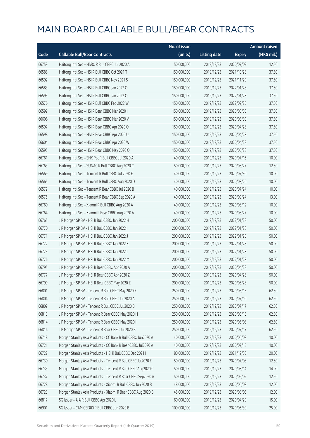|       |                                                              | No. of issue |                     |               | <b>Amount raised</b> |
|-------|--------------------------------------------------------------|--------------|---------------------|---------------|----------------------|
| Code  | <b>Callable Bull/Bear Contracts</b>                          | (units)      | <b>Listing date</b> | <b>Expiry</b> | (HK\$ mil.)          |
| 66759 | Haitong Int'l Sec - HSBC R Bull CBBC Jul 2020 A              | 50,000,000   | 2019/12/23          | 2020/07/09    | 12.50                |
| 66588 | Haitong Int'l Sec - HSI R Bull CBBC Oct 2021 T               | 150,000,000  | 2019/12/23          | 2021/10/28    | 37.50                |
| 66592 | Haitong Int'l Sec - HSI R Bull CBBC Nov 2021 S               | 150,000,000  | 2019/12/23          | 2021/11/29    | 37.50                |
| 66583 | Haitong Int'l Sec - HSI R Bull CBBC Jan 2022 O               | 150,000,000  | 2019/12/23          | 2022/01/28    | 37.50                |
| 66593 | Haitong Int'l Sec - HSI R Bull CBBC Jan 2022 Q               | 150,000,000  | 2019/12/23          | 2022/01/28    | 37.50                |
| 66576 | Haitong Int'l Sec - HSI R Bull CBBC Feb 2022 W               | 150,000,000  | 2019/12/23          | 2022/02/25    | 37.50                |
| 66599 | Haitong Int'l Sec - HSI R Bear CBBC Mar 2020 I               | 150,000,000  | 2019/12/23          | 2020/03/30    | 37.50                |
| 66606 | Haitong Int'l Sec - HSI R Bear CBBC Mar 2020 V               | 150,000,000  | 2019/12/23          | 2020/03/30    | 37.50                |
| 66597 | Haitong Int'l Sec - HSI R Bear CBBC Apr 2020 Q               | 150,000,000  | 2019/12/23          | 2020/04/28    | 37.50                |
| 66598 | Haitong Int'l Sec - HSI R Bear CBBC Apr 2020 U               | 150,000,000  | 2019/12/23          | 2020/04/28    | 37.50                |
| 66604 | Haitong Int'l Sec - HSI R Bear CBBC Apr 2020 W               | 150,000,000  | 2019/12/23          | 2020/04/28    | 37.50                |
| 66595 | Haitong Int'l Sec - HSI R Bear CBBC May 2020 Q               | 150,000,000  | 2019/12/23          | 2020/05/28    | 37.50                |
| 66761 | Haitong Int'l Sec - SHK Ppt R Bull CBBC Jul 2020 A           | 40,000,000   | 2019/12/23          | 2020/07/16    | 10.00                |
| 66763 | Haitong Int'l Sec - SUNAC R Bull CBBC Aug 2020 C             | 50,000,000   | 2019/12/23          | 2020/08/27    | 12.50                |
| 66569 | Haitong Int'l Sec - Tencent R Bull CBBC Jul 2020 E           | 40,000,000   | 2019/12/23          | 2020/07/30    | 10.00                |
| 66565 | Haitong Int'l Sec - Tencent R Bull CBBC Aug 2020 D           | 40,000,000   | 2019/12/23          | 2020/08/26    | 10.00                |
| 66572 | Haitong Int'l Sec - Tencent R Bear CBBC Jul 2020 B           | 40,000,000   | 2019/12/23          | 2020/07/24    | 10.00                |
| 66575 | Haitong Int'l Sec - Tencent R Bear CBBC Sep 2020 A           | 40,000,000   | 2019/12/23          | 2020/09/24    | 13.00                |
| 66760 | Haitong Int'l Sec - Xiaomi R Bull CBBC Aug 2020 A            | 40,000,000   | 2019/12/23          | 2020/08/12    | 10.00                |
| 66764 | Haitong Int'l Sec - Xiaomi R Bear CBBC Aug 2020 A            | 40,000,000   | 2019/12/23          | 2020/08/27    | 10.00                |
| 66765 | J P Morgan SP BV - HSI R Bull CBBC Jan 2022 H                | 200,000,000  | 2019/12/23          | 2022/01/28    | 50.00                |
| 66770 | J P Morgan SP BV - HSI R Bull CBBC Jan 2022 I                | 200,000,000  | 2019/12/23          | 2022/01/28    | 50.00                |
| 66771 | J P Morgan SP BV - HSI R Bull CBBC Jan 2022 J                | 200,000,000  | 2019/12/23          | 2022/01/28    | 50.00                |
| 66772 | J P Morgan SP BV - HSI R Bull CBBC Jan 2022 K                | 200,000,000  | 2019/12/23          | 2022/01/28    | 50.00                |
| 66773 | J P Morgan SP BV - HSI R Bull CBBC Jan 2022 L                | 200,000,000  | 2019/12/23          | 2022/01/28    | 50.00                |
| 66776 | J P Morgan SP BV - HSI R Bull CBBC Jan 2022 M                | 200,000,000  | 2019/12/23          | 2022/01/28    | 50.00                |
| 66795 | J P Morgan SP BV - HSI R Bear CBBC Apr 2020 A                | 200,000,000  | 2019/12/23          | 2020/04/28    | 50.00                |
| 66777 | J P Morgan SP BV - HSI R Bear CBBC Apr 2020 Z                | 200,000,000  | 2019/12/23          | 2020/04/28    | 50.00                |
| 66799 | J P Morgan SP BV - HSI R Bear CBBC May 2020 Z                | 200,000,000  | 2019/12/23          | 2020/05/28    | 50.00                |
| 66801 | J P Morgan SP BV - Tencent R Bull CBBC May 2020 K            | 250,000,000  | 2019/12/23          | 2020/05/15    | 62.50                |
| 66804 | J P Morgan SP BV - Tencent R Bull CBBC Jul 2020 A            | 250,000,000  | 2019/12/23          | 2020/07/10    | 62.50                |
| 66809 | J P Morgan SP BV - Tencent R Bull CBBC Jul 2020 B            | 250,000,000  | 2019/12/23          | 2020/07/17    | 62.50                |
| 66813 | J P Morgan SP BV - Tencent R Bear CBBC May 2020 H            | 250,000,000  | 2019/12/23          | 2020/05/15    | 62.50                |
| 66814 | J P Morgan SP BV - Tencent R Bear CBBC May 2020 I            | 250,000,000  | 2019/12/23          | 2020/05/08    | 62.50                |
| 66816 | J P Morgan SP BV - Tencent R Bear CBBC Jul 2020 B            | 250,000,000  | 2019/12/23          | 2020/07/17    | 62.50                |
| 66718 | Morgan Stanley Asia Products - CC Bank R Bull CBBC Jun2020 A | 40,000,000   | 2019/12/23          | 2020/06/03    | 10.00                |
| 66721 | Morgan Stanley Asia Products - CC Bank R Bear CBBC Jul2020 A | 40,000,000   | 2019/12/23          | 2020/07/15    | 10.00                |
| 66722 | Morgan Stanley Asia Products - HSI R Bull CBBC Dec 2021 I    | 80,000,000   | 2019/12/23          | 2021/12/30    | 20.00                |
| 66730 | Morgan Stanley Asia Products - Tencent R Bull CBBC Jul2020 E | 50,000,000   | 2019/12/23          | 2020/07/08    | 12.50                |
| 66733 | Morgan Stanley Asia Products - Tencent R Bull CBBC Aug2020 C | 50,000,000   | 2019/12/23          | 2020/08/14    | 14.00                |
| 66737 | Morgan Stanley Asia Products - Tencent R Bear CBBC Sep2020 A | 50,000,000   | 2019/12/23          | 2020/09/02    | 12.50                |
| 66728 | Morgan Stanley Asia Products - Xiaomi R Bull CBBC Jun 2020 B | 48,000,000   | 2019/12/23          | 2020/06/08    | 12.00                |
| 66723 | Morgan Stanley Asia Products - Xiaomi R Bear CBBC Aug 2020 B | 48,000,000   | 2019/12/23          | 2020/08/03    | 12.00                |
| 66817 | SG Issuer - AIA R Bull CBBC Apr 2020 L                       | 60,000,000   | 2019/12/23          | 2020/04/29    | 15.00                |
| 66901 | SG Issuer - CAM CSI300 R Bull CBBC Jun 2020 B                | 100,000,000  | 2019/12/23          | 2020/06/30    | 25.00                |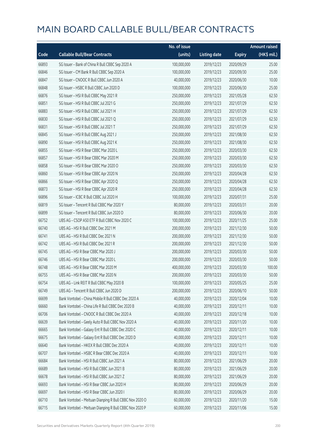|       |                                                         | No. of issue |                     |               | <b>Amount raised</b> |
|-------|---------------------------------------------------------|--------------|---------------------|---------------|----------------------|
| Code  | <b>Callable Bull/Bear Contracts</b>                     | (units)      | <b>Listing date</b> | <b>Expiry</b> | (HK\$ mil.)          |
| 66893 | SG Issuer - Bank of China R Bull CBBC Sep 2020 A        | 100,000,000  | 2019/12/23          | 2020/09/29    | 25.00                |
| 66846 | SG Issuer - CM Bank R Bull CBBC Sep 2020 A              | 100,000,000  | 2019/12/23          | 2020/09/30    | 25.00                |
| 66847 | SG Issuer - CNOOC R Bull CBBC Jun 2020 A                | 40,000,000   | 2019/12/23          | 2020/06/30    | 10.00                |
| 66848 | SG Issuer - HSBC R Bull CBBC Jun 2020 D                 | 100,000,000  | 2019/12/23          | 2020/06/30    | 25.00                |
| 66876 | SG Issuer - HSI R Bull CBBC May 2021 R                  | 250,000,000  | 2019/12/23          | 2021/05/28    | 62.50                |
| 66851 | SG Issuer - HSI R Bull CBBC Jul 2021 G                  | 250,000,000  | 2019/12/23          | 2021/07/29    | 62.50                |
| 66883 | SG Issuer - HSI R Bull CBBC Jul 2021 H                  | 250,000,000  | 2019/12/23          | 2021/07/29    | 62.50                |
| 66830 | SG Issuer - HSI R Bull CBBC Jul 2021 Q                  | 250,000,000  | 2019/12/23          | 2021/07/29    | 62.50                |
| 66831 | SG Issuer - HSI R Bull CBBC Jul 2021 T                  | 250,000,000  | 2019/12/23          | 2021/07/29    | 62.50                |
| 66845 | SG Issuer - HSI R Bull CBBC Aug 2021 J                  | 250,000,000  | 2019/12/23          | 2021/08/30    | 62.50                |
| 66890 | SG Issuer - HSI R Bull CBBC Aug 2021 K                  | 250,000,000  | 2019/12/23          | 2021/08/30    | 62.50                |
| 66855 | SG Issuer - HSI R Bear CBBC Mar 2020 L                  | 250,000,000  | 2019/12/23          | 2020/03/30    | 62.50                |
| 66857 | SG Issuer - HSI R Bear CBBC Mar 2020 M                  | 250,000,000  | 2019/12/23          | 2020/03/30    | 62.50                |
| 66858 | SG Issuer - HSI R Bear CBBC Mar 2020 O                  | 250,000,000  | 2019/12/23          | 2020/03/30    | 62.50                |
| 66860 | SG Issuer - HSI R Bear CBBC Apr 2020 N                  | 250,000,000  | 2019/12/23          | 2020/04/28    | 62.50                |
| 66866 | SG Issuer - HSI R Bear CBBC Apr 2020 Q                  | 250,000,000  | 2019/12/23          | 2020/04/28    | 62.50                |
| 66873 | SG Issuer - HSI R Bear CBBC Apr 2020 R                  | 250,000,000  | 2019/12/23          | 2020/04/28    | 62.50                |
| 66896 | SG Issuer - ICBC R Bull CBBC Jul 2020 H                 | 100,000,000  | 2019/12/23          | 2020/07/31    | 25.00                |
| 66819 | SG Issuer - Tencent R Bull CBBC Mar 2020 Y              | 80,000,000   | 2019/12/23          | 2020/03/31    | 20.00                |
| 66899 | SG Issuer - Tencent R Bull CBBC Jun 2020 D              | 80,000,000   | 2019/12/23          | 2020/06/30    | 20.00                |
| 66752 | UBS AG - CSOP A50 ETF R Bull CBBC Nov 2020 C            | 100,000,000  | 2019/12/23          | 2020/11/25    | 25.00                |
| 66740 | UBS AG - HSI R Bull CBBC Dec 2021 M                     | 200,000,000  | 2019/12/23          | 2021/12/30    | 50.00                |
| 66741 | UBS AG - HSI R Bull CBBC Dec 2021 N                     | 200,000,000  | 2019/12/23          | 2021/12/30    | 50.00                |
| 66742 | UBS AG - HSI R Bull CBBC Dec 2021 R                     | 200,000,000  | 2019/12/23          | 2021/12/30    | 50.00                |
| 66745 | UBS AG - HSI R Bear CBBC Mar 2020 J                     | 200,000,000  | 2019/12/23          | 2020/03/30    | 50.00                |
| 66746 | UBS AG - HSI R Bear CBBC Mar 2020 L                     | 200,000,000  | 2019/12/23          | 2020/03/30    | 50.00                |
| 66748 | UBS AG - HSI R Bear CBBC Mar 2020 M                     | 400,000,000  | 2019/12/23          | 2020/03/30    | 100.00               |
| 66755 | UBS AG - HSI R Bear CBBC Mar 2020 N                     | 200,000,000  | 2019/12/23          | 2020/03/30    | 50.00                |
| 66754 | UBS AG - Link REIT R Bull CBBC May 2020 B               | 100,000,000  | 2019/12/23          | 2020/05/25    | 25.00                |
| 66749 | UBS AG - Tencent R Bull CBBC Jun 2020 D                 | 200,000,000  | 2019/12/23          | 2020/06/10    | 50.00                |
| 66699 | Bank Vontobel - China Mobile R Bull CBBC Dec 2020 A     | 40,000,000   | 2019/12/23          | 2020/12/04    | 10.00                |
| 66660 | Bank Vontobel - China Life R Bull CBBC Dec 2020 B       | 40,000,000   | 2019/12/23          | 2020/12/11    | 10.00                |
| 66706 | Bank Vontobel - CNOOC R Bull CBBC Dec 2020 A            | 40,000,000   | 2019/12/23          | 2020/12/18    | 10.00                |
| 66639 | Bank Vontobel - Geely Auto R Bull CBBC Nov 2020 A       | 40,000,000   | 2019/12/23          | 2020/11/20    | 10.00                |
| 66665 | Bank Vontobel - Galaxy Ent R Bull CBBC Dec 2020 C       | 40,000,000   | 2019/12/23          | 2020/12/11    | 10.00                |
| 66675 | Bank Vontobel - Galaxy Ent R Bull CBBC Dec 2020 D       | 40,000,000   | 2019/12/23          | 2020/12/11    | 10.00                |
| 66640 | Bank Vontobel - HKEX R Bull CBBC Dec 2020 A             | 40,000,000   | 2019/12/23          | 2020/12/11    | 10.00                |
| 66707 | Bank Vontobel - HSBC R Bear CBBC Dec 2020 A             | 40,000,000   | 2019/12/23          | 2020/12/11    | 10.00                |
| 66684 | Bank Vontobel - HSI R Bull CBBC Jun 2021 A              | 80,000,000   | 2019/12/23          | 2021/06/29    | 20.00                |
| 66689 | Bank Vontobel - HSI R Bull CBBC Jun 2021 B              | 80,000,000   | 2019/12/23          | 2021/06/29    | 20.00                |
| 66678 | Bank Vontobel - HSI R Bull CBBC Jun 2021 Z              | 80,000,000   | 2019/12/23          | 2021/06/29    | 20.00                |
| 66693 | Bank Vontobel - HSI R Bear CBBC Jun 2020 H              | 80,000,000   | 2019/12/23          | 2020/06/29    | 20.00                |
| 66697 | Bank Vontobel - HSI R Bear CBBC Jun 2020 I              | 80,000,000   | 2019/12/23          | 2020/06/29    | 20.00                |
| 66710 | Bank Vontobel - Meituan Dianping R Bull CBBC Nov 2020 O | 60,000,000   | 2019/12/23          | 2020/11/20    | 15.00                |
| 66715 | Bank Vontobel - Meituan Dianping R Bull CBBC Nov 2020 P | 60,000,000   | 2019/12/23          | 2020/11/06    | 15.00                |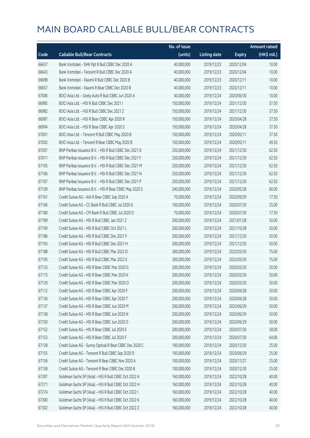|       |                                                         | No. of issue |                     |               | <b>Amount raised</b> |
|-------|---------------------------------------------------------|--------------|---------------------|---------------|----------------------|
| Code  | <b>Callable Bull/Bear Contracts</b>                     | (units)      | <b>Listing date</b> | <b>Expiry</b> | (HK\$ mil.)          |
| 66637 | Bank Vontobel - SHK Ppt R Bull CBBC Dec 2020 A          | 40,000,000   | 2019/12/23          | 2020/12/04    | 10.00                |
| 66643 | Bank Vontobel - Tencent R Bull CBBC Dec 2020 A          | 40,000,000   | 2019/12/23          | 2020/12/04    | 10.00                |
| 66698 | Bank Vontobel - Xiaomi R Bull CBBC Dec 2020 B           | 40,000,000   | 2019/12/23          | 2020/12/11    | 10.00                |
| 66657 | Bank Vontobel - Xiaomi R Bear CBBC Dec 2020 B           | 40,000,000   | 2019/12/23          | 2020/12/11    | 10.00                |
| 67006 | BOCI Asia Ltd. - Geely Auto R Bull CBBC Jun 2020 A      | 40,000,000   | 2019/12/24          | 2020/06/30    | 10.00                |
| 66985 | BOCI Asia Ltd. - HSI R Bull CBBC Dec 2021 I             | 150,000,000  | 2019/12/24          | 2021/12/30    | 37.50                |
| 66982 | BOCI Asia Ltd. - HSI R Bull CBBC Dec 2021 Z             | 150,000,000  | 2019/12/24          | 2021/12/30    | 37.50                |
| 66987 | BOCI Asia Ltd. - HSI R Bear CBBC Apr 2020 R             | 150,000,000  | 2019/12/24          | 2020/04/28    | 37.50                |
| 66994 | BOCI Asia Ltd. - HSI R Bear CBBC Apr 2020 S             | 150,000,000  | 2019/12/24          | 2020/04/28    | 37.50                |
| 67001 | BOCI Asia Ltd. - Tencent R Bull CBBC May 2020 B         | 150,000,000  | 2019/12/24          | 2020/05/11    | 37.50                |
| 67002 | BOCI Asia Ltd. - Tencent R Bear CBBC May 2020 B         | 150,000,000  | 2019/12/24          | 2020/05/11    | 49.50                |
| 67007 | BNP Paribas Issuance B.V. - HSI R Bull CBBC Dec 2021 D  | 250,000,000  | 2019/12/24          | 2021/12/30    | 62.50                |
| 67011 | BNP Paribas Issuance B.V. - HSI R Bull CBBC Dec 2021 F  | 250,000,000  | 2019/12/24          | 2021/12/30    | 62.50                |
| 67105 | BNP Paribas Issuance B.V. - HSI R Bull CBBC Dec 2021 M  | 250,000,000  | 2019/12/24          | 2021/12/30    | 62.50                |
| 67106 | BNP Paribas Issuance B.V. - HSI R Bull CBBC Dec 2021 N  | 250,000,000  | 2019/12/24          | 2021/12/30    | 62.50                |
| 67107 | BNP Paribas Issuance B.V. - HSI R Bull CBBC Dec 2021 P  | 250,000,000  | 2019/12/24          | 2021/12/30    | 62.50                |
| 67109 | BNP Paribas Issuance B.V. - HSI R Bear CBBC May 2020 S  | 240,000,000  | 2019/12/24          | 2020/05/28    | 60.00                |
| 67161 | Credit Suisse AG - AIA R Bear CBBC Sep 2020 A           | 70,000,000   | 2019/12/24          | 2020/09/29    | 17.50                |
| 67166 | Credit Suisse AG - CC Bank R Bull CBBC Jul 2020 G       | 100,000,000  | 2019/12/24          | 2020/07/30    | 25.00                |
| 67180 | Credit Suisse AG - CM Bank R Bull CBBC Jul 2020 D       | 70,000,000   | 2019/12/24          | 2020/07/30    | 17.50                |
| 67189 | Credit Suisse AG - HSI R Bull CBBC Jan 2021 Z           | 200,000,000  | 2019/12/24          | 2021/01/28    | 50.00                |
| 67190 | Credit Suisse AG - HSI R Bull CBBC Oct 2021 L           | 200,000,000  | 2019/12/24          | 2021/10/28    | 50.00                |
| 67186 | Credit Suisse AG - HSI R Bull CBBC Dec 2021 F           | 200,000,000  | 2019/12/24          | 2021/12/30    | 50.00                |
| 67193 | Credit Suisse AG - HSI R Bull CBBC Dec 2021 H           | 200,000,000  | 2019/12/24          | 2021/12/30    | 50.00                |
| 67188 | Credit Suisse AG - HSI R Bull CBBC Mar 2022 D           | 300,000,000  | 2019/12/24          | 2022/03/30    | 75.00                |
| 67195 | Credit Suisse AG - HSI R Bull CBBC Mar 2022 E           | 300,000,000  | 2019/12/24          | 2022/03/30    | 75.00                |
| 67133 | Credit Suisse AG - HSI R Bear CBBC Mar 2020 G           | 200,000,000  | 2019/12/24          | 2020/03/30    | 50.00                |
| 67115 | Credit Suisse AG - HSI R Bear CBBC Mar 2020 K           | 200,000,000  | 2019/12/24          | 2020/03/30    | 50.00                |
| 67129 | Credit Suisse AG - HSI R Bear CBBC Mar 2020 O           | 200,000,000  | 2019/12/24          | 2020/03/30    | 50.00                |
| 67112 | Credit Suisse AG - HSI R Bear CBBC Apr 2020 F           | 200,000,000  | 2019/12/24          | 2020/04/28    | 50.00                |
| 67136 | Credit Suisse AG - HSI R Bear CBBC Apr 2020 T           | 200,000,000  | 2019/12/24          | 2020/04/28    | 50.00                |
| 67137 | Credit Suisse AG - HSI R Bear CBBC Jun 2020 M           | 200,000,000  | 2019/12/24          | 2020/06/29    | 50.00                |
| 67138 | Credit Suisse AG - HSI R Bear CBBC Jun 2020 N           | 200,000,000  | 2019/12/24          | 2020/06/29    | 50.00                |
| 67150 | Credit Suisse AG - HSI R Bear CBBC Jun 2020 O           | 200,000,000  | 2019/12/24          | 2020/06/29    | 50.00                |
| 67152 | Credit Suisse AG - HSI R Bear CBBC Jul 2020 E           | 200,000,000  | 2019/12/24          | 2020/07/30    | 58.00                |
| 67153 | Credit Suisse AG - HSI R Bear CBBC Jul 2020 F           | 200,000,000  | 2019/12/24          | 2020/07/30    | 64.00                |
| 67128 | Credit Suisse AG - Sunny Optical R Bear CBBC Dec 2020 C | 100,000,000  | 2019/12/24          | 2020/12/30    | 25.00                |
| 67155 | Credit Suisse AG - Tencent R Bull CBBC Sep 2020 D       | 100,000,000  | 2019/12/24          | 2020/09/29    | 25.00                |
| 67156 | Credit Suisse AG - Tencent R Bear CBBC Nov 2020 A       | 100,000,000  | 2019/12/24          | 2020/11/27    | 25.00                |
| 67158 | Credit Suisse AG - Tencent R Bear CBBC Dec 2020 B       | 100,000,000  | 2019/12/24          | 2020/12/30    | 25.00                |
| 67307 | Goldman Sachs SP (Asia) - HSI R Bull CBBC Oct 2022 A    | 160,000,000  | 2019/12/24          | 2022/10/28    | 40.00                |
| 67271 | Goldman Sachs SP (Asia) - HSI R Bull CBBC Oct 2022 H    | 160,000,000  | 2019/12/24          | 2022/10/28    | 40.00                |
| 67274 | Goldman Sachs SP (Asia) - HSI R Bull CBBC Oct 2022 I    | 160,000,000  | 2019/12/24          | 2022/10/28    | 40.00                |
| 67300 | Goldman Sachs SP (Asia) - HSI R Bull CBBC Oct 2022 K    | 160,000,000  | 2019/12/24          | 2022/10/28    | 40.00                |
| 67302 | Goldman Sachs SP (Asia) - HSI R Bull CBBC Oct 2022 Z    | 160,000,000  | 2019/12/24          | 2022/10/28    | 40.00                |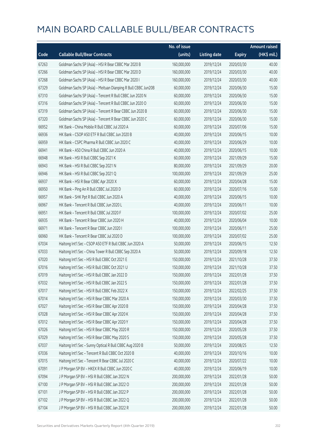|       |                                                               | No. of issue |                     |               | <b>Amount raised</b> |
|-------|---------------------------------------------------------------|--------------|---------------------|---------------|----------------------|
| Code  | <b>Callable Bull/Bear Contracts</b>                           | (units)      | <b>Listing date</b> | <b>Expiry</b> | (HK\$ mil.)          |
| 67263 | Goldman Sachs SP (Asia) - HSI R Bear CBBC Mar 2020 B          | 160,000,000  | 2019/12/24          | 2020/03/30    | 40.00                |
| 67266 | Goldman Sachs SP (Asia) - HSI R Bear CBBC Mar 2020 D          | 160,000,000  | 2019/12/24          | 2020/03/30    | 40.00                |
| 67268 | Goldman Sachs SP (Asia) - HSI R Bear CBBC Mar 2020 I          | 160,000,000  | 2019/12/24          | 2020/03/30    | 40.00                |
| 67329 | Goldman Sachs SP (Asia) - Meituan Dianping R Bull CBBC Jun20B | 60,000,000   | 2019/12/24          | 2020/06/30    | 15.00                |
| 67310 | Goldman Sachs SP (Asia) - Tencent R Bull CBBC Jun 2020 N      | 60,000,000   | 2019/12/24          | 2020/06/30    | 15.00                |
| 67316 | Goldman Sachs SP (Asia) - Tencent R Bull CBBC Jun 2020 O      | 60,000,000   | 2019/12/24          | 2020/06/30    | 15.00                |
| 67319 | Goldman Sachs SP (Asia) - Tencent R Bear CBBC Jun 2020 B      | 60,000,000   | 2019/12/24          | 2020/06/30    | 15.00                |
| 67320 | Goldman Sachs SP (Asia) - Tencent R Bear CBBC Jun 2020 C      | 60,000,000   | 2019/12/24          | 2020/06/30    | 15.00                |
| 66952 | HK Bank - China Mobile R Bull CBBC Jul 2020 A                 | 60,000,000   | 2019/12/24          | 2020/07/06    | 15.00                |
| 66936 | HK Bank - CSOP A50 ETF R Bull CBBC Jun 2020 B                 | 40,000,000   | 2019/12/24          | 2020/06/15    | 10.00                |
| 66959 | HK Bank - CSPC Pharma R Bull CBBC Jun 2020 C                  | 40,000,000   | 2019/12/24          | 2020/06/29    | 10.00                |
| 66941 | HK Bank - A50 China R Bull CBBC Jun 2020 A                    | 40,000,000   | 2019/12/24          | 2020/06/15    | 10.00                |
| 66948 | HK Bank - HSI R Bull CBBC Sep 2021 K                          | 60,000,000   | 2019/12/24          | 2021/09/29    | 15.00                |
| 66943 | HK Bank - HSI R Bull CBBC Sep 2021 N                          | 80,000,000   | 2019/12/24          | 2021/09/29    | 20.00                |
| 66946 | HK Bank - HSI R Bull CBBC Sep 2021 Q                          | 100,000,000  | 2019/12/24          | 2021/09/29    | 25.00                |
| 66937 | HK Bank - HSI R Bear CBBC Apr 2020 X                          | 60,000,000   | 2019/12/24          | 2020/04/28    | 15.00                |
| 66950 | HK Bank - Ping An R Bull CBBC Jul 2020 D                      | 60,000,000   | 2019/12/24          | 2020/07/16    | 15.00                |
| 66957 | HK Bank - SHK Ppt R Bull CBBC Jun 2020 A                      | 40,000,000   | 2019/12/24          | 2020/06/15    | 10.00                |
| 66967 | HK Bank - Tencent R Bull CBBC Jun 2020 L                      | 40,000,000   | 2019/12/24          | 2020/06/11    | 10.00                |
| 66951 | HK Bank - Tencent R Bull CBBC Jul 2020 F                      | 100,000,000  | 2019/12/24          | 2020/07/02    | 25.00                |
| 66935 | HK Bank - Tencent R Bear CBBC Jun 2020 H                      | 40,000,000   | 2019/12/24          | 2020/06/04    | 10.00                |
| 66971 | HK Bank - Tencent R Bear CBBC Jun 2020 I                      | 100,000,000  | 2019/12/24          | 2020/06/11    | 25.00                |
| 66960 | HK Bank - Tencent R Bear CBBC Jul 2020 D                      | 100,000,000  | 2019/12/24          | 2020/07/02    | 25.00                |
| 67034 | Haitong Int'l Sec - CSOP A50 ETF R Bull CBBC Jun 2020 A       | 50,000,000   | 2019/12/24          | 2020/06/15    | 12.50                |
| 67033 | Haitong Int'l Sec - China Tower R Bull CBBC Sep 2020 A        | 50,000,000   | 2019/12/24          | 2020/09/18    | 12.50                |
| 67020 | Haitong Int'l Sec - HSI R Bull CBBC Oct 2021 E                | 150,000,000  | 2019/12/24          | 2021/10/28    | 37.50                |
| 67016 | Haitong Int'l Sec - HSI R Bull CBBC Oct 2021 U                | 150,000,000  | 2019/12/24          | 2021/10/28    | 37.50                |
| 67019 | Haitong Int'l Sec - HSI R Bull CBBC Jan 2022 D                | 150,000,000  | 2019/12/24          | 2022/01/28    | 37.50                |
| 67032 | Haitong Int'l Sec - HSI R Bull CBBC Jan 2022 S                | 150,000,000  | 2019/12/24          | 2022/01/28    | 37.50                |
| 67017 | Haitong Int'l Sec - HSI R Bull CBBC Feb 2022 X                | 150,000,000  | 2019/12/24          | 2022/02/25    | 37.50                |
| 67014 | Haitong Int'l Sec - HSI R Bear CBBC Mar 2020 A                | 150,000,000  | 2019/12/24          | 2020/03/30    | 37.50                |
| 67027 | Haitong Int'l Sec - HSI R Bear CBBC Apr 2020 B                | 150,000,000  | 2019/12/24          | 2020/04/28    | 37.50                |
| 67028 | Haitong Int'l Sec - HSI R Bear CBBC Apr 2020 K                | 150,000,000  | 2019/12/24          | 2020/04/28    | 37.50                |
| 67012 | Haitong Int'l Sec - HSI R Bear CBBC Apr 2020 Y                | 150,000,000  | 2019/12/24          | 2020/04/28    | 37.50                |
| 67026 | Haitong Int'l Sec - HSI R Bear CBBC May 2020 R                | 150,000,000  | 2019/12/24          | 2020/05/28    | 37.50                |
| 67029 | Haitong Int'l Sec - HSI R Bear CBBC May 2020 S                | 150,000,000  | 2019/12/24          | 2020/05/28    | 37.50                |
| 67037 | Haitong Int'l Sec - Sunny Optical R Bull CBBC Aug 2020 B      | 50,000,000   | 2019/12/24          | 2020/08/25    | 12.50                |
| 67036 | Haitong Int'l Sec - Tencent R Bull CBBC Oct 2020 B            | 40,000,000   | 2019/12/24          | 2020/10/16    | 10.00                |
| 67015 | Haitong Int'l Sec - Tencent R Bear CBBC Jul 2020 C            | 40,000,000   | 2019/12/24          | 2020/07/22    | 10.00                |
| 67091 | J P Morgan SP BV - HKEX R Bull CBBC Jun 2020 C                | 40,000,000   | 2019/12/24          | 2020/06/19    | 10.00                |
| 67094 | J P Morgan SP BV - HSI R Bull CBBC Jan 2022 N                 | 200,000,000  | 2019/12/24          | 2022/01/28    | 50.00                |
| 67100 | J P Morgan SP BV - HSI R Bull CBBC Jan 2022 O                 | 200,000,000  | 2019/12/24          | 2022/01/28    | 50.00                |
| 67101 | J P Morgan SP BV - HSI R Bull CBBC Jan 2022 P                 | 200,000,000  | 2019/12/24          | 2022/01/28    | 50.00                |
| 67102 | J P Morgan SP BV - HSI R Bull CBBC Jan 2022 Q                 | 200,000,000  | 2019/12/24          | 2022/01/28    | 50.00                |
| 67104 | J P Morgan SP BV - HSI R Bull CBBC Jan 2022 R                 | 200,000,000  | 2019/12/24          | 2022/01/28    | 50.00                |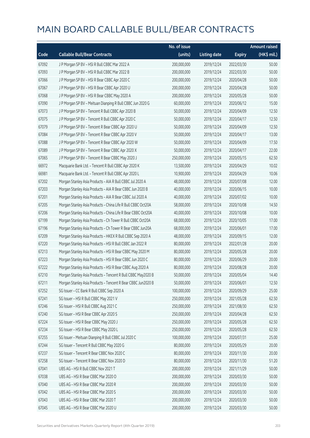|       |                                                              | No. of issue |                     |               | <b>Amount raised</b> |
|-------|--------------------------------------------------------------|--------------|---------------------|---------------|----------------------|
| Code  | <b>Callable Bull/Bear Contracts</b>                          | (units)      | <b>Listing date</b> | <b>Expiry</b> | (HK\$ mil.)          |
| 67092 | J P Morgan SP BV - HSI R Bull CBBC Mar 2022 A                | 200,000,000  | 2019/12/24          | 2022/03/30    | 50.00                |
| 67093 | J P Morgan SP BV - HSI R Bull CBBC Mar 2022 B                | 200,000,000  | 2019/12/24          | 2022/03/30    | 50.00                |
| 67066 | J P Morgan SP BV - HSI R Bear CBBC Apr 2020 C                | 200,000,000  | 2019/12/24          | 2020/04/28    | 50.00                |
| 67067 | J P Morgan SP BV - HSI R Bear CBBC Apr 2020 U                | 200,000,000  | 2019/12/24          | 2020/04/28    | 50.00                |
| 67068 | J P Morgan SP BV - HSI R Bear CBBC May 2020 A                | 200,000,000  | 2019/12/24          | 2020/05/28    | 50.00                |
| 67090 | J P Morgan SP BV - Meituan Dianping R Bull CBBC Jun 2020 G   | 60,000,000   | 2019/12/24          | 2020/06/12    | 15.00                |
| 67073 | J P Morgan SP BV - Tencent R Bull CBBC Apr 2020 B            | 50,000,000   | 2019/12/24          | 2020/04/09    | 12.50                |
| 67075 | J P Morgan SP BV - Tencent R Bull CBBC Apr 2020 C            | 50,000,000   | 2019/12/24          | 2020/04/17    | 12.50                |
| 67079 | J P Morgan SP BV - Tencent R Bear CBBC Apr 2020 U            | 50,000,000   | 2019/12/24          | 2020/04/09    | 12.50                |
| 67084 | J P Morgan SP BV - Tencent R Bear CBBC Apr 2020 V            | 50,000,000   | 2019/12/24          | 2020/04/17    | 13.00                |
| 67088 | J P Morgan SP BV - Tencent R Bear CBBC Apr 2020 W            | 50,000,000   | 2019/12/24          | 2020/04/09    | 17.50                |
| 67089 | J P Morgan SP BV - Tencent R Bear CBBC Apr 2020 X            | 50,000,000   | 2019/12/24          | 2020/04/17    | 22.00                |
| 67065 | J P Morgan SP BV - Tencent R Bear CBBC May 2020 J            | 250,000,000  | 2019/12/24          | 2020/05/15    | 62.50                |
| 66972 | Macquarie Bank Ltd. - Tencent R Bull CBBC Apr 2020 K         | 13,500,000   | 2019/12/24          | 2020/04/29    | 10.02                |
| 66981 | Macquarie Bank Ltd. - Tencent R Bull CBBC Apr 2020 L         | 10,900,000   | 2019/12/24          | 2020/04/29    | 10.06                |
| 67202 | Morgan Stanley Asia Products - AIA R Bull CBBC Jul 2020 A    | 48,000,000   | 2019/12/24          | 2020/07/08    | 12.00                |
| 67203 | Morgan Stanley Asia Products - AIA R Bear CBBC Jun 2020 B    | 40,000,000   | 2019/12/24          | 2020/06/15    | 10.00                |
| 67201 | Morgan Stanley Asia Products - AIA R Bear CBBC Jul 2020 A    | 40,000,000   | 2019/12/24          | 2020/07/02    | 10.00                |
| 67205 | Morgan Stanley Asia Products - China Life R Bull CBBC Oct20A | 58,000,000   | 2019/12/24          | 2020/10/08    | 14.50                |
| 67206 | Morgan Stanley Asia Products - China Life R Bear CBBC Oct20A | 40,000,000   | 2019/12/24          | 2020/10/08    | 10.00                |
| 67199 | Morgan Stanley Asia Products - Ch Tower R Bull CBBC Oct20A   | 68,000,000   | 2019/12/24          | 2020/10/05    | 17.00                |
| 67196 | Morgan Stanley Asia Products - Ch Tower R Bear CBBC Jun20A   | 68,000,000   | 2019/12/24          | 2020/06/01    | 17.00                |
| 67209 | Morgan Stanley Asia Products - HKEX R Bull CBBC Sep 2020 A   | 48,000,000   | 2019/12/24          | 2020/09/15    | 12.00                |
| 67220 | Morgan Stanley Asia Products - HSI R Bull CBBC Jan 2022 R    | 80,000,000   | 2019/12/24          | 2022/01/28    | 20.00                |
| 67213 | Morgan Stanley Asia Products - HSI R Bear CBBC May 2020 M    | 80,000,000   | 2019/12/24          | 2020/05/28    | 20.00                |
| 67223 | Morgan Stanley Asia Products - HSI R Bear CBBC Jun 2020 C    | 80,000,000   | 2019/12/24          | 2020/06/29    | 20.00                |
| 67222 | Morgan Stanley Asia Products - HSI R Bear CBBC Aug 2020 A    | 80,000,000   | 2019/12/24          | 2020/08/28    | 20.00                |
| 67210 | Morgan Stanley Asia Products - Tencent R Bull CBBC May2020 B | 50,000,000   | 2019/12/24          | 2020/05/04    | 14.40                |
| 67211 | Morgan Stanley Asia Products - Tencent R Bear CBBC Jun2020 B | 50,000,000   | 2019/12/24          | 2020/06/01    | 12.50                |
| 67252 | SG Issuer - CC Bank R Bull CBBC Sep 2020 A                   | 100,000,000  | 2019/12/24          | 2020/09/29    | 25.00                |
| 67241 | SG Issuer - HSI R Bull CBBC May 2021 V                       | 250,000,000  | 2019/12/24          | 2021/05/28    | 62.50                |
| 67246 | SG Issuer - HSI R Bull CBBC Aug 2021 C                       | 250,000,000  | 2019/12/24          | 2021/08/30    | 62.50                |
| 67240 | SG Issuer - HSI R Bear CBBC Apr 2020 S                       | 250,000,000  | 2019/12/24          | 2020/04/28    | 62.50                |
| 67224 | SG Issuer - HSI R Bear CBBC May 2020 J                       | 250,000,000  | 2019/12/24          | 2020/05/28    | 62.50                |
| 67234 | SG Issuer - HSI R Bear CBBC May 2020 L                       | 250,000,000  | 2019/12/24          | 2020/05/28    | 62.50                |
| 67255 | SG Issuer - Meituan Dianping R Bull CBBC Jul 2020 C          | 100,000,000  | 2019/12/24          | 2020/07/31    | 25.00                |
| 67244 | SG Issuer - Tencent R Bull CBBC May 2020 G                   | 80,000,000   | 2019/12/24          | 2020/05/29    | 20.00                |
| 67237 | SG Issuer - Tencent R Bear CBBC Nov 2020 C                   | 80,000,000   | 2019/12/24          | 2020/11/30    | 20.00                |
| 67258 | SG Issuer - Tencent R Bear CBBC Nov 2020 D                   | 80,000,000   | 2019/12/24          | 2020/11/30    | 51.20                |
| 67041 | UBS AG - HSI R Bull CBBC Nov 2021 T                          | 200,000,000  | 2019/12/24          | 2021/11/29    | 50.00                |
| 67038 | UBS AG - HSI R Bear CBBC Mar 2020 O                          | 200,000,000  | 2019/12/24          | 2020/03/30    | 50.00                |
| 67040 | UBS AG - HSI R Bear CBBC Mar 2020 R                          | 200,000,000  | 2019/12/24          | 2020/03/30    | 50.00                |
| 67042 | UBS AG - HSI R Bear CBBC Mar 2020 S                          | 200,000,000  | 2019/12/24          | 2020/03/30    | 50.00                |
| 67043 | UBS AG - HSI R Bear CBBC Mar 2020 T                          | 200,000,000  | 2019/12/24          | 2020/03/30    | 50.00                |
| 67045 | UBS AG - HSI R Bear CBBC Mar 2020 U                          | 200,000,000  | 2019/12/24          | 2020/03/30    | 50.00                |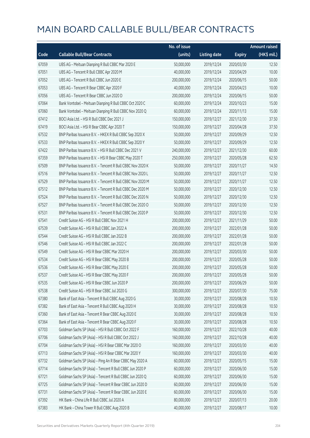|       |                                                            | No. of issue |                     |               | <b>Amount raised</b> |
|-------|------------------------------------------------------------|--------------|---------------------|---------------|----------------------|
| Code  | <b>Callable Bull/Bear Contracts</b>                        | (units)      | <b>Listing date</b> | <b>Expiry</b> | (HK\$ mil.)          |
| 67059 | UBS AG - Meituan Dianping R Bull CBBC Mar 2020 E           | 50,000,000   | 2019/12/24          | 2020/03/30    | 12.50                |
| 67051 | UBS AG - Tencent R Bull CBBC Apr 2020 M                    | 40,000,000   | 2019/12/24          | 2020/04/29    | 10.00                |
| 67052 | UBS AG - Tencent R Bull CBBC Jun 2020 E                    | 200,000,000  | 2019/12/24          | 2020/06/15    | 50.00                |
| 67053 | UBS AG - Tencent R Bear CBBC Apr 2020 F                    | 40,000,000   | 2019/12/24          | 2020/04/23    | 10.00                |
| 67056 | UBS AG - Tencent R Bear CBBC Jun 2020 D                    | 200,000,000  | 2019/12/24          | 2020/06/15    | 50.00                |
| 67064 | Bank Vontobel - Meituan Dianping R Bull CBBC Oct 2020 C    | 60,000,000   | 2019/12/24          | 2020/10/23    | 15.00                |
| 67060 | Bank Vontobel - Meituan Dianping R Bull CBBC Nov 2020 Q    | 60,000,000   | 2019/12/24          | 2020/11/13    | 15.00                |
| 67412 | BOCI Asia Ltd. - HSI R Bull CBBC Dec 2021 J                | 150,000,000  | 2019/12/27          | 2021/12/30    | 37.50                |
| 67419 | BOCI Asia Ltd. - HSI R Bear CBBC Apr 2020 T                | 150,000,000  | 2019/12/27          | 2020/04/28    | 37.50                |
| 67532 | BNP Paribas Issuance B.V. - HKEX R Bull CBBC Sep 2020 X    | 50,000,000   | 2019/12/27          | 2020/09/29    | 12.50                |
| 67533 | BNP Paribas Issuance B.V. - HKEX R Bull CBBC Sep 2020 Y    | 50,000,000   | 2019/12/27          | 2020/09/29    | 12.50                |
| 67422 | BNP Paribas Issuance B.V. - HSI R Bull CBBC Dec 2021 V     | 240,000,000  | 2019/12/27          | 2021/12/30    | 60.00                |
| 67359 | BNP Paribas Issuance B.V. - HSI R Bear CBBC May 2020 T     | 250,000,000  | 2019/12/27          | 2020/05/28    | 62.50                |
| 67509 | BNP Paribas Issuance B.V. - Tencent R Bull CBBC Nov 2020 K | 50,000,000   | 2019/12/27          | 2020/11/27    | 14.50                |
| 67516 | BNP Paribas Issuance B.V. - Tencent R Bull CBBC Nov 2020 L | 50,000,000   | 2019/12/27          | 2020/11/27    | 12.50                |
| 67529 | BNP Paribas Issuance B.V. - Tencent R Bull CBBC Nov 2020 M | 50,000,000   | 2019/12/27          | 2020/11/27    | 12.50                |
| 67512 | BNP Paribas Issuance B.V. - Tencent R Bull CBBC Dec 2020 M | 50,000,000   | 2019/12/27          | 2020/12/30    | 12.50                |
| 67524 | BNP Paribas Issuance B.V. - Tencent R Bull CBBC Dec 2020 N | 50,000,000   | 2019/12/27          | 2020/12/30    | 12.50                |
| 67527 | BNP Paribas Issuance B.V. - Tencent R Bull CBBC Dec 2020 O | 50,000,000   | 2019/12/27          | 2020/12/30    | 12.50                |
| 67531 | BNP Paribas Issuance B.V. - Tencent R Bull CBBC Dec 2020 P | 50,000,000   | 2019/12/27          | 2020/12/30    | 12.50                |
| 67541 | Credit Suisse AG - HSI R Bull CBBC Nov 2021 H              | 200,000,000  | 2019/12/27          | 2021/11/29    | 50.00                |
| 67539 | Credit Suisse AG - HSI R Bull CBBC Jan 2022 A              | 200,000,000  | 2019/12/27          | 2022/01/28    | 50.00                |
| 67544 | Credit Suisse AG - HSI R Bull CBBC Jan 2022 B              | 200,000,000  | 2019/12/27          | 2022/01/28    | 50.00                |
| 67546 | Credit Suisse AG - HSI R Bull CBBC Jan 2022 C              | 200,000,000  | 2019/12/27          | 2022/01/28    | 50.00                |
| 67549 | Credit Suisse AG - HSI R Bear CBBC Mar 2020 H              | 200,000,000  | 2019/12/27          | 2020/03/30    | 50.00                |
| 67534 | Credit Suisse AG - HSI R Bear CBBC May 2020 B              | 200,000,000  | 2019/12/27          | 2020/05/28    | 50.00                |
| 67536 | Credit Suisse AG - HSI R Bear CBBC May 2020 E              | 200,000,000  | 2019/12/27          | 2020/05/28    | 50.00                |
| 67537 | Credit Suisse AG - HSI R Bear CBBC May 2020 F              | 200,000,000  | 2019/12/27          | 2020/05/28    | 50.00                |
| 67535 | Credit Suisse AG - HSI R Bear CBBC Jun 2020 P              | 200,000,000  | 2019/12/27          | 2020/06/29    | 50.00                |
| 67538 | Credit Suisse AG - HSI R Bear CBBC Jul 2020 G              | 300,000,000  | 2019/12/27          | 2020/07/30    | 75.00                |
| 67380 | Bank of East Asia - Tencent R Bull CBBC Aug 2020 G         | 30,000,000   | 2019/12/27          | 2020/08/28    | 10.50                |
| 67382 | Bank of East Asia - Tencent R Bull CBBC Aug 2020 H         | 30,000,000   | 2019/12/27          | 2020/08/28    | 10.50                |
| 67360 | Bank of East Asia - Tencent R Bear CBBC Aug 2020 E         | 30,000,000   | 2019/12/27          | 2020/08/28    | 10.50                |
| 67364 | Bank of East Asia - Tencent R Bear CBBC Aug 2020 F         | 30,000,000   | 2019/12/27          | 2020/08/28    | 10.50                |
| 67703 | Goldman Sachs SP (Asia) - HSI R Bull CBBC Oct 2022 F       | 160,000,000  | 2019/12/27          | 2022/10/28    | 40.00                |
| 67706 | Goldman Sachs SP (Asia) - HSI R Bull CBBC Oct 2022 J       | 160,000,000  | 2019/12/27          | 2022/10/28    | 40.00                |
| 67704 | Goldman Sachs SP (Asia) - HSI R Bear CBBC Mar 2020 O       | 160,000,000  | 2019/12/27          | 2020/03/30    | 40.00                |
| 67713 | Goldman Sachs SP (Asia) - HSI R Bear CBBC Mar 2020 Y       | 160,000,000  | 2019/12/27          | 2020/03/30    | 40.00                |
| 67732 | Goldman Sachs SP (Asia) - Ping An R Bear CBBC May 2020 A   | 60,000,000   | 2019/12/27          | 2020/05/15    | 15.00                |
| 67714 | Goldman Sachs SP (Asia) - Tencent R Bull CBBC Jun 2020 P   | 60,000,000   | 2019/12/27          | 2020/06/30    | 15.00                |
| 67721 | Goldman Sachs SP (Asia) - Tencent R Bull CBBC Jun 2020 Q   | 60,000,000   | 2019/12/27          | 2020/06/30    | 15.00                |
| 67725 | Goldman Sachs SP (Asia) - Tencent R Bear CBBC Jun 2020 D   | 60,000,000   | 2019/12/27          | 2020/06/30    | 15.00                |
| 67731 | Goldman Sachs SP (Asia) - Tencent R Bear CBBC Jun 2020 E   | 60,000,000   | 2019/12/27          | 2020/06/30    | 15.00                |
| 67392 | HK Bank - China Life R Bull CBBC Jul 2020 A                | 80,000,000   | 2019/12/27          | 2020/07/13    | 20.00                |
| 67383 | HK Bank - China Tower R Bull CBBC Aug 2020 B               | 40,000,000   | 2019/12/27          | 2020/08/17    | 10.00                |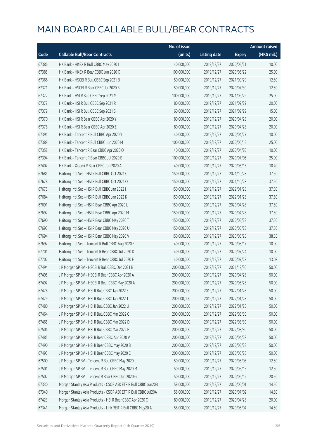|       |                                                                | No. of issue |                     |               | <b>Amount raised</b> |
|-------|----------------------------------------------------------------|--------------|---------------------|---------------|----------------------|
| Code  | <b>Callable Bull/Bear Contracts</b>                            | (units)      | <b>Listing date</b> | <b>Expiry</b> | (HK\$ mil.)          |
| 67386 | HK Bank - HKEX R Bull CBBC May 2020 I                          | 40,000,000   | 2019/12/27          | 2020/05/21    | 10.00                |
| 67385 | HK Bank - HKEX R Bear CBBC Jun 2020 C                          | 100,000,000  | 2019/12/27          | 2020/06/22    | 25.00                |
| 67366 | HK Bank - HSCEI R Bull CBBC Sep 2021 B                         | 50,000,000   | 2019/12/27          | 2021/09/29    | 12.50                |
| 67371 | HK Bank - HSCEI R Bear CBBC Jul 2020 B                         | 50,000,000   | 2019/12/27          | 2020/07/30    | 12.50                |
| 67372 | HK Bank - HSI R Bull CBBC Sep 2021 M                           | 100,000,000  | 2019/12/27          | 2021/09/29    | 25.00                |
| 67377 | HK Bank - HSI R Bull CBBC Sep 2021 R                           | 80,000,000   | 2019/12/27          | 2021/09/29    | 20.00                |
| 67379 | HK Bank - HSI R Bull CBBC Sep 2021 S                           | 60,000,000   | 2019/12/27          | 2021/09/29    | 15.00                |
| 67370 | HK Bank - HSI R Bear CBBC Apr 2020 Y                           | 80,000,000   | 2019/12/27          | 2020/04/28    | 20.00                |
| 67378 | HK Bank - HSI R Bear CBBC Apr 2020 Z                           | 80,000,000   | 2019/12/27          | 2020/04/28    | 20.00                |
| 67391 | HK Bank - Tencent R Bull CBBC Apr 2020 Y                       | 40,000,000   | 2019/12/27          | 2020/04/27    | 10.00                |
| 67389 | HK Bank - Tencent R Bull CBBC Jun 2020 M                       | 100,000,000  | 2019/12/27          | 2020/06/15    | 25.00                |
| 67358 | HK Bank - Tencent R Bear CBBC Apr 2020 O                       | 40,000,000   | 2019/12/27          | 2020/04/20    | 10.00                |
| 67394 | HK Bank - Tencent R Bear CBBC Jul 2020 E                       | 100,000,000  | 2019/12/27          | 2020/07/06    | 25.00                |
| 67407 | HK Bank - Xiaomi R Bear CBBC Jun 2020 A                        | 40,000,000   | 2019/12/27          | 2020/06/15    | 10.40                |
| 67685 | Haitong Int'l Sec - HSI R Bull CBBC Oct 2021 C                 | 150,000,000  | 2019/12/27          | 2021/10/28    | 37.50                |
| 67678 | Haitong Int'l Sec - HSI R Bull CBBC Oct 2021 O                 | 150,000,000  | 2019/12/27          | 2021/10/28    | 37.50                |
| 67675 | Haitong Int'l Sec - HSI R Bull CBBC Jan 2022 I                 | 150,000,000  | 2019/12/27          | 2022/01/28    | 37.50                |
| 67684 | Haitong Int'l Sec - HSI R Bull CBBC Jan 2022 K                 | 150,000,000  | 2019/12/27          | 2022/01/28    | 37.50                |
| 67691 | Haitong Int'l Sec - HSI R Bear CBBC Apr 2020 L                 | 150,000,000  | 2019/12/27          | 2020/04/28    | 37.50                |
| 67692 | Haitong Int'l Sec - HSI R Bear CBBC Apr 2020 M                 | 150,000,000  | 2019/12/27          | 2020/04/28    | 37.50                |
| 67690 | Haitong Int'l Sec - HSI R Bear CBBC May 2020 T                 | 150,000,000  | 2019/12/27          | 2020/05/28    | 37.50                |
| 67693 | Haitong Int'l Sec - HSI R Bear CBBC May 2020 U                 | 150,000,000  | 2019/12/27          | 2020/05/28    | 37.50                |
| 67694 | Haitong Int'l Sec - HSI R Bear CBBC May 2020 V                 | 150,000,000  | 2019/12/27          | 2020/05/28    | 38.85                |
| 67697 | Haitong Int'l Sec - Tencent R Bull CBBC Aug 2020 E             | 40,000,000   | 2019/12/27          | 2020/08/17    | 10.00                |
| 67701 | Haitong Int'l Sec - Tencent R Bear CBBC Jul 2020 D             | 40,000,000   | 2019/12/27          | 2020/07/24    | 10.00                |
| 67702 | Haitong Int'l Sec - Tencent R Bear CBBC Jul 2020 E             | 40,000,000   | 2019/12/27          | 2020/07/23    | 13.08                |
| 67494 | J P Morgan SP BV - HSCEI R Bull CBBC Dec 2021 B                | 200,000,000  | 2019/12/27          | 2021/12/30    | 50.00                |
| 67495 | J P Morgan SP BV - HSCEI R Bear CBBC Apr 2020 A                | 200,000,000  | 2019/12/27          | 2020/04/28    | 50.00                |
| 67497 | J P Morgan SP BV - HSCEI R Bear CBBC May 2020 A                | 200,000,000  | 2019/12/27          | 2020/05/28    | 50.00                |
| 67478 | J P Morgan SP BV - HSI R Bull CBBC Jan 2022 S                  | 200,000,000  | 2019/12/27          | 2022/01/28    | 50.00                |
| 67479 | J P Morgan SP BV - HSI R Bull CBBC Jan 2022 T                  | 200,000,000  | 2019/12/27          | 2022/01/28    | 50.00                |
| 67480 | J P Morgan SP BV - HSI R Bull CBBC Jan 2022 U                  | 200,000,000  | 2019/12/27          | 2022/01/28    | 50.00                |
| 67464 | J P Morgan SP BV - HSI R Bull CBBC Mar 2022 C                  | 200,000,000  | 2019/12/27          | 2022/03/30    | 50.00                |
| 67465 | J P Morgan SP BV - HSI R Bull CBBC Mar 2022 D                  | 200,000,000  | 2019/12/27          | 2022/03/30    | 50.00                |
| 67504 | J P Morgan SP BV - HSI R Bull CBBC Mar 2022 E                  | 200,000,000  | 2019/12/27          | 2022/03/30    | 50.00                |
| 67485 | J P Morgan SP BV - HSI R Bear CBBC Apr 2020 V                  | 200,000,000  | 2019/12/27          | 2020/04/28    | 50.00                |
| 67490 | J P Morgan SP BV - HSI R Bear CBBC May 2020 B                  | 200,000,000  | 2019/12/27          | 2020/05/28    | 50.00                |
| 67493 | J P Morgan SP BV - HSI R Bear CBBC May 2020 C                  | 200,000,000  | 2019/12/27          | 2020/05/28    | 50.00                |
| 67500 | J P Morgan SP BV - Tencent R Bull CBBC May 2020 L              | 50,000,000   | 2019/12/27          | 2020/05/08    | 12.50                |
| 67501 | J P Morgan SP BV - Tencent R Bull CBBC May 2020 M              | 50,000,000   | 2019/12/27          | 2020/05/15    | 12.50                |
| 67502 | J P Morgan SP BV - Tencent R Bear CBBC Jun 2020 G              | 50,000,000   | 2019/12/27          | 2020/06/12    | 20.50                |
| 67330 | Morgan Stanley Asia Products - CSOP A50 ETF R Bull CBBC Jun20B | 58,000,000   | 2019/12/27          | 2020/06/01    | 14.50                |
| 67340 | Morgan Stanley Asia Products - CSOP A50 ETF R Bull CBBC Jul20A | 58,000,000   | 2019/12/27          | 2020/07/02    | 14.50                |
| 67423 | Morgan Stanley Asia Products - HSI R Bear CBBC Apr 2020 C      | 80,000,000   | 2019/12/27          | 2020/04/28    | 20.00                |
| 67341 | Morgan Stanley Asia Products - Link REIT R Bull CBBC May20 A   | 58,000,000   | 2019/12/27          | 2020/05/04    | 14.50                |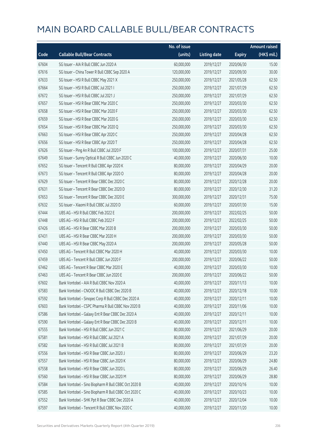|       |                                                      | No. of issue |                     |               | <b>Amount raised</b> |
|-------|------------------------------------------------------|--------------|---------------------|---------------|----------------------|
| Code  | <b>Callable Bull/Bear Contracts</b>                  | (units)      | <b>Listing date</b> | <b>Expiry</b> | (HK\$ mil.)          |
| 67604 | SG Issuer - AIA R Bull CBBC Jun 2020 A               | 60,000,000   | 2019/12/27          | 2020/06/30    | 15.00                |
| 67616 | SG Issuer - China Tower R Bull CBBC Sep 2020 A       | 120,000,000  | 2019/12/27          | 2020/09/30    | 30.00                |
| 67633 | SG Issuer - HSI R Bull CBBC May 2021 X               | 250,000,000  | 2019/12/27          | 2021/05/28    | 62.50                |
| 67664 | SG Issuer - HSI R Bull CBBC Jul 2021 I               | 250,000,000  | 2019/12/27          | 2021/07/29    | 62.50                |
| 67672 | SG Issuer - HSI R Bull CBBC Jul 2021 J               | 250,000,000  | 2019/12/27          | 2021/07/29    | 62.50                |
| 67657 | SG Issuer - HSI R Bear CBBC Mar 2020 C               | 250,000,000  | 2019/12/27          | 2020/03/30    | 62.50                |
| 67658 | SG Issuer - HSI R Bear CBBC Mar 2020 F               | 250,000,000  | 2019/12/27          | 2020/03/30    | 62.50                |
| 67659 | SG Issuer - HSI R Bear CBBC Mar 2020 G               | 250,000,000  | 2019/12/27          | 2020/03/30    | 62.50                |
| 67654 | SG Issuer - HSI R Bear CBBC Mar 2020 Q               | 250,000,000  | 2019/12/27          | 2020/03/30    | 62.50                |
| 67663 | SG Issuer - HSI R Bear CBBC Apr 2020 C               | 250,000,000  | 2019/12/27          | 2020/04/28    | 62.50                |
| 67656 | SG Issuer - HSI R Bear CBBC Apr 2020 T               | 250,000,000  | 2019/12/27          | 2020/04/28    | 62.50                |
| 67626 | SG Issuer - Ping An R Bull CBBC Jul 2020 F           | 100,000,000  | 2019/12/27          | 2020/07/31    | 25.00                |
| 67649 | SG Issuer - Sunny Optical R Bull CBBC Jun 2020 C     | 40,000,000   | 2019/12/27          | 2020/06/30    | 10.00                |
| 67652 | SG Issuer - Tencent R Bull CBBC Apr 2020 K           | 80,000,000   | 2019/12/27          | 2020/04/29    | 20.00                |
| 67673 | SG Issuer - Tencent R Bull CBBC Apr 2020 O           | 80,000,000   | 2019/12/27          | 2020/04/28    | 20.00                |
| 67629 | SG Issuer - Tencent R Bear CBBC Dec 2020 C           | 80,000,000   | 2019/12/27          | 2020/12/28    | 20.00                |
| 67631 | SG Issuer - Tencent R Bear CBBC Dec 2020 D           | 80,000,000   | 2019/12/27          | 2020/12/30    | 31.20                |
| 67653 | SG Issuer - Tencent R Bear CBBC Dec 2020 E           | 300,000,000  | 2019/12/27          | 2020/12/31    | 75.00                |
| 67632 | SG Issuer - Xiaomi R Bull CBBC Jul 2020 D            | 60,000,000   | 2019/12/27          | 2020/07/30    | 15.00                |
| 67444 | UBS AG - HSI R Bull CBBC Feb 2022 E                  | 200,000,000  | 2019/12/27          | 2022/02/25    | 50.00                |
| 67448 | UBS AG - HSI R Bull CBBC Feb 2022 F                  | 200,000,000  | 2019/12/27          | 2022/02/25    | 50.00                |
| 67426 | UBS AG - HSI R Bear CBBC Mar 2020 B                  | 200,000,000  | 2019/12/27          | 2020/03/30    | 50.00                |
| 67431 | UBS AG - HSI R Bear CBBC Mar 2020 H                  | 200,000,000  | 2019/12/27          | 2020/03/30    | 50.00                |
| 67440 | UBS AG - HSI R Bear CBBC May 2020 A                  | 200,000,000  | 2019/12/27          | 2020/05/28    | 50.00                |
| 67450 | UBS AG - Tencent R Bull CBBC Mar 2020 H              | 40,000,000   | 2019/12/27          | 2020/03/30    | 10.00                |
| 67459 | UBS AG - Tencent R Bull CBBC Jun 2020 F              | 200,000,000  | 2019/12/27          | 2020/06/22    | 50.00                |
| 67462 | UBS AG - Tencent R Bear CBBC Mar 2020 E              | 40,000,000   | 2019/12/27          | 2020/03/30    | 10.00                |
| 67463 | UBS AG - Tencent R Bear CBBC Jun 2020 E              | 200,000,000  | 2019/12/27          | 2020/06/22    | 50.00                |
| 67602 | Bank Vontobel - AIA R Bull CBBC Nov 2020 A           | 40,000,000   | 2019/12/27          | 2020/11/13    | 10.00                |
| 67583 | Bank Vontobel - CNOOC R Bull CBBC Dec 2020 B         | 40,000,000   | 2019/12/27          | 2020/12/18    | 10.00                |
| 67592 | Bank Vontobel - Sinopec Corp R Bull CBBC Dec 2020 A  | 40,000,000   | 2019/12/27          | 2020/12/11    | 10.00                |
| 67603 | Bank Vontobel - CSPC Pharma R Bull CBBC Nov 2020 B   | 40,000,000   | 2019/12/27          | 2020/11/06    | 10.00                |
| 67586 | Bank Vontobel - Galaxy Ent R Bear CBBC Dec 2020 A    | 40,000,000   | 2019/12/27          | 2020/12/11    | 10.00                |
| 67590 | Bank Vontobel - Galaxy Ent R Bear CBBC Dec 2020 B    | 40,000,000   | 2019/12/27          | 2020/12/11    | 10.00                |
| 67555 | Bank Vontobel - HSI R Bull CBBC Jun 2021 C           | 80,000,000   | 2019/12/27          | 2021/06/29    | 20.00                |
| 67581 | Bank Vontobel - HSI R Bull CBBC Jul 2021 A           | 80,000,000   | 2019/12/27          | 2021/07/29    | 20.00                |
| 67582 | Bank Vontobel - HSI R Bull CBBC Jul 2021 B           | 80,000,000   | 2019/12/27          | 2021/07/29    | 20.00                |
| 67556 | Bank Vontobel - HSI R Bear CBBC Jun 2020 J           | 80,000,000   | 2019/12/27          | 2020/06/29    | 23.20                |
| 67557 | Bank Vontobel - HSI R Bear CBBC Jun 2020 K           | 80,000,000   | 2019/12/27          | 2020/06/29    | 24.80                |
| 67558 | Bank Vontobel - HSI R Bear CBBC Jun 2020 L           | 80,000,000   | 2019/12/27          | 2020/06/29    | 26.40                |
| 67560 | Bank Vontobel - HSI R Bear CBBC Jun 2020 M           | 80,000,000   | 2019/12/27          | 2020/06/29    | 28.80                |
| 67584 | Bank Vontobel - Sino Biopharm R Bull CBBC Oct 2020 B | 40,000,000   | 2019/12/27          | 2020/10/16    | 10.00                |
| 67585 | Bank Vontobel - Sino Biopharm R Bull CBBC Oct 2020 C | 40,000,000   | 2019/12/27          | 2020/10/23    | 10.00                |
| 67552 | Bank Vontobel - SHK Ppt R Bear CBBC Dec 2020 A       | 40,000,000   | 2019/12/27          | 2020/12/04    | 10.00                |
| 67597 | Bank Vontobel - Tencent R Bull CBBC Nov 2020 C       | 40,000,000   | 2019/12/27          | 2020/11/20    | 10.00                |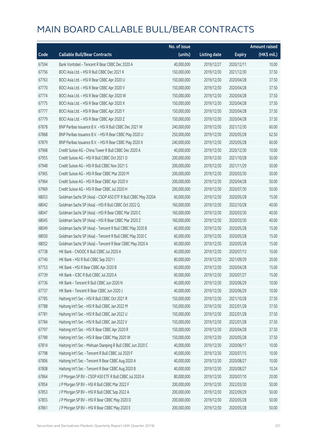|       |                                                              | No. of issue |                     |               | <b>Amount raised</b> |
|-------|--------------------------------------------------------------|--------------|---------------------|---------------|----------------------|
| Code  | <b>Callable Bull/Bear Contracts</b>                          | (units)      | <b>Listing date</b> | <b>Expiry</b> | (HK\$ mil.)          |
| 67594 | Bank Vontobel - Tencent R Bear CBBC Dec 2020 A               | 40,000,000   | 2019/12/27          | 2020/12/11    | 10.00                |
| 67756 | BOCI Asia Ltd. - HSI R Bull CBBC Dec 2021 K                  | 150,000,000  | 2019/12/30          | 2021/12/30    | 37.50                |
| 67763 | BOCI Asia Ltd. - HSI R Bear CBBC Apr 2020 U                  | 150,000,000  | 2019/12/30          | 2020/04/28    | 37.50                |
| 67770 | BOCI Asia Ltd. - HSI R Bear CBBC Apr 2020 V                  | 150,000,000  | 2019/12/30          | 2020/04/28    | 37.50                |
| 67774 | BOCI Asia Ltd. - HSI R Bear CBBC Apr 2020 W                  | 150,000,000  | 2019/12/30          | 2020/04/28    | 37.50                |
| 67775 | BOCI Asia Ltd. - HSI R Bear CBBC Apr 2020 X                  | 150,000,000  | 2019/12/30          | 2020/04/28    | 37.50                |
| 67777 | BOCI Asia Ltd. - HSI R Bear CBBC Apr 2020 Y                  | 150,000,000  | 2019/12/30          | 2020/04/28    | 37.50                |
| 67779 | BOCI Asia Ltd. - HSI R Bear CBBC Apr 2020 Z                  | 150,000,000  | 2019/12/30          | 2020/04/28    | 37.50                |
| 67878 | BNP Paribas Issuance B.V. - HSI R Bull CBBC Dec 2021 W       | 240,000,000  | 2019/12/30          | 2021/12/30    | 60.00                |
| 67868 | BNP Paribas Issuance B.V. - HSI R Bear CBBC May 2020 U       | 250,000,000  | 2019/12/30          | 2020/05/28    | 62.50                |
| 67879 | BNP Paribas Issuance B.V. - HSI R Bear CBBC May 2020 X       | 240,000,000  | 2019/12/30          | 2020/05/28    | 60.00                |
| 67968 | Credit Suisse AG - China Tower R Bull CBBC Dec 2020 A        | 40,000,000   | 2019/12/30          | 2020/12/30    | 10.00                |
| 67955 | Credit Suisse AG - HSI R Bull CBBC Oct 2021 O                | 200,000,000  | 2019/12/30          | 2021/10/28    | 50.00                |
| 67948 | Credit Suisse AG - HSI R Bull CBBC Nov 2021 S                | 200,000,000  | 2019/12/30          | 2021/11/29    | 50.00                |
| 67965 | Credit Suisse AG - HSI R Bear CBBC Mar 2020 M                | 200,000,000  | 2019/12/30          | 2020/03/30    | 50.00                |
| 67964 | Credit Suisse AG - HSI R Bear CBBC Apr 2020 V                | 200,000,000  | 2019/12/30          | 2020/04/28    | 50.00                |
| 67969 | Credit Suisse AG - HSI R Bear CBBC Jul 2020 H                | 200,000,000  | 2019/12/30          | 2020/07/30    | 50.00                |
| 68053 | Goldman Sachs SP (Asia) - CSOP A50 ETF R Bull CBBC May 2020A | 60,000,000   | 2019/12/30          | 2020/05/28    | 15.00                |
| 68042 | Goldman Sachs SP (Asia) - HSI R Bull CBBC Oct 2022 Q         | 160,000,000  | 2019/12/30          | 2022/10/28    | 40.00                |
| 68047 | Goldman Sachs SP (Asia) - HSI R Bear CBBC Mar 2020 C         | 160,000,000  | 2019/12/30          | 2020/03/30    | 40.00                |
| 68045 | Goldman Sachs SP (Asia) - HSI R Bear CBBC Mar 2020 Z         | 160,000,000  | 2019/12/30          | 2020/03/30    | 40.00                |
| 68049 | Goldman Sachs SP (Asia) - Tencent R Bull CBBC May 2020 B     | 60,000,000   | 2019/12/30          | 2020/05/28    | 15.00                |
| 68050 | Goldman Sachs SP (Asia) - Tencent R Bull CBBC May 2020 C     | 60,000,000   | 2019/12/30          | 2020/05/28    | 15.00                |
| 68052 | Goldman Sachs SP (Asia) - Tencent R Bear CBBC May 2020 A     | 60,000,000   | 2019/12/30          | 2020/05/28    | 15.00                |
| 67738 | HK Bank - CNOOC R Bull CBBC Jul 2020 A                       | 40,000,000   | 2019/12/30          | 2020/07/13    | 10.00                |
| 67740 | HK Bank - HSI R Bull CBBC Sep 2021 I                         | 80,000,000   | 2019/12/30          | 2021/09/29    | 20.00                |
| 67753 | HK Bank - HSI R Bear CBBC Apr 2020 B                         | 60,000,000   | 2019/12/30          | 2020/04/28    | 15.00                |
| 67739 | HK Bank - ICBC R Bull CBBC Jul 2020 A                        | 60,000,000   | 2019/12/30          | 2020/07/27    | 15.00                |
| 67736 | HK Bank - Tencent R Bull CBBC Jun 2020 N                     | 40,000,000   | 2019/12/30          | 2020/06/29    | 10.00                |
| 67737 | HK Bank - Tencent R Bear CBBC Jun 2020 J                     | 40,000,000   | 2019/12/30          | 2020/06/29    | 10.00                |
| 67785 | Haitong Int'l Sec - HSI R Bull CBBC Oct 2021 R               | 150,000,000  | 2019/12/30          | 2021/10/28    | 37.50                |
| 67788 | Haitong Int'l Sec - HSI R Bull CBBC Jan 2022 M               | 150,000,000  | 2019/12/30          | 2022/01/28    | 37.50                |
| 67781 | Haitong Int'l Sec - HSI R Bull CBBC Jan 2022 U               | 150,000,000  | 2019/12/30          | 2022/01/28    | 37.50                |
| 67784 | Haitong Int'l Sec - HSI R Bull CBBC Jan 2022 V               | 150,000,000  | 2019/12/30          | 2022/01/28    | 37.50                |
| 67797 | Haitong Int'l Sec - HSI R Bear CBBC Apr 2020 R               | 150,000,000  | 2019/12/30          | 2020/04/28    | 37.50                |
| 67789 | Haitong Int'l Sec - HSI R Bear CBBC May 2020 W               | 150,000,000  | 2019/12/30          | 2020/05/28    | 37.50                |
| 67814 | Haitong Int'l Sec - Meituan Dianping R Bull CBBC Jun 2020 C  | 40,000,000   | 2019/12/30          | 2020/06/17    | 10.00                |
| 67798 | Haitong Int'l Sec - Tencent R Bull CBBC Jul 2020 F           | 40,000,000   | 2019/12/30          | 2020/07/15    | 10.00                |
| 67806 | Haitong Int'l Sec - Tencent R Bear CBBC Aug 2020 A           | 40,000,000   | 2019/12/30          | 2020/08/27    | 10.00                |
| 67808 | Haitong Int'l Sec - Tencent R Bear CBBC Aug 2020 B           | 40,000,000   | 2019/12/30          | 2020/08/27    | 10.24                |
| 67864 | J P Morgan SP BV - CSOP A50 ETF R Bull CBBC Jul 2020 A       | 80,000,000   | 2019/12/30          | 2020/07/10    | 20.00                |
| 67854 | J P Morgan SP BV - HSI R Bull CBBC Mar 2022 F                | 200,000,000  | 2019/12/30          | 2022/03/30    | 50.00                |
| 67853 | J P Morgan SP BV - HSI R Bull CBBC Sep 2022 A                | 200,000,000  | 2019/12/30          | 2022/09/29    | 50.00                |
| 67855 | J P Morgan SP BV - HSI R Bear CBBC May 2020 D                | 200,000,000  | 2019/12/30          | 2020/05/28    | 50.00                |
| 67861 | J P Morgan SP BV - HSI R Bear CBBC May 2020 E                | 200,000,000  | 2019/12/30          | 2020/05/28    | 50.00                |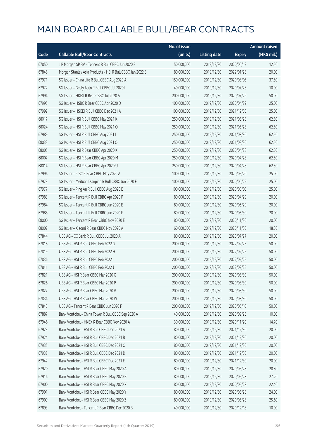|       |                                                           | No. of issue |                     |               | <b>Amount raised</b> |
|-------|-----------------------------------------------------------|--------------|---------------------|---------------|----------------------|
| Code  | <b>Callable Bull/Bear Contracts</b>                       | (units)      | <b>Listing date</b> | <b>Expiry</b> | (HK\$ mil.)          |
| 67850 | J P Morgan SP BV - Tencent R Bull CBBC Jun 2020 E         | 50,000,000   | 2019/12/30          | 2020/06/12    | 12.50                |
| 67848 | Morgan Stanley Asia Products - HSI R Bull CBBC Jan 2022 S | 80,000,000   | 2019/12/30          | 2022/01/28    | 20.00                |
| 67971 | SG Issuer - China Life R Bull CBBC Aug 2020 A             | 150,000,000  | 2019/12/30          | 2020/08/05    | 37.50                |
| 67972 | SG Issuer - Geely Auto R Bull CBBC Jul 2020 L             | 40,000,000   | 2019/12/30          | 2020/07/23    | 10.00                |
| 67994 | SG Issuer - HKEX R Bear CBBC Jul 2020 A                   | 200,000,000  | 2019/12/30          | 2020/07/29    | 50.00                |
| 67995 | SG Issuer - HSBC R Bear CBBC Apr 2020 D                   | 100,000,000  | 2019/12/30          | 2020/04/29    | 25.00                |
| 67992 | SG Issuer - HSCEI R Bull CBBC Dec 2021 A                  | 100,000,000  | 2019/12/30          | 2021/12/30    | 25.00                |
| 68017 | SG Issuer - HSI R Bull CBBC May 2021 K                    | 250,000,000  | 2019/12/30          | 2021/05/28    | 62.50                |
| 68024 | SG Issuer - HSI R Bull CBBC May 2021 O                    | 250,000,000  | 2019/12/30          | 2021/05/28    | 62.50                |
| 67989 | SG Issuer - HSI R Bull CBBC Aug 2021 L                    | 250,000,000  | 2019/12/30          | 2021/08/30    | 62.50                |
| 68033 | SG Issuer - HSI R Bull CBBC Aug 2021 O                    | 250,000,000  | 2019/12/30          | 2021/08/30    | 62.50                |
| 68005 | SG Issuer - HSI R Bear CBBC Apr 2020 K                    | 250,000,000  | 2019/12/30          | 2020/04/28    | 62.50                |
| 68007 | SG Issuer - HSI R Bear CBBC Apr 2020 M                    | 250,000,000  | 2019/12/30          | 2020/04/28    | 62.50                |
| 68014 | SG Issuer - HSI R Bear CBBC Apr 2020 U                    | 250,000,000  | 2019/12/30          | 2020/04/28    | 62.50                |
| 67996 | SG Issuer - ICBC R Bear CBBC May 2020 A                   | 100,000,000  | 2019/12/30          | 2020/05/20    | 25.00                |
| 67973 | SG Issuer - Meituan Dianping R Bull CBBC Jun 2020 F       | 100,000,000  | 2019/12/30          | 2020/06/29    | 25.00                |
| 67977 | SG Issuer - Ping An R Bull CBBC Aug 2020 E                | 100,000,000  | 2019/12/30          | 2020/08/05    | 25.00                |
| 67983 | SG Issuer - Tencent R Bull CBBC Apr 2020 P                | 80,000,000   | 2019/12/30          | 2020/04/29    | 20.00                |
| 67984 | SG Issuer - Tencent R Bull CBBC Jun 2020 E                | 80,000,000   | 2019/12/30          | 2020/06/29    | 20.00                |
| 67988 | SG Issuer - Tencent R Bull CBBC Jun 2020 F                | 80,000,000   | 2019/12/30          | 2020/06/30    | 20.00                |
| 68000 | SG Issuer - Tencent R Bear CBBC Nov 2020 E                | 80,000,000   | 2019/12/30          | 2020/11/30    | 20.00                |
| 68002 | SG Issuer - Xiaomi R Bear CBBC Nov 2020 A                 | 60,000,000   | 2019/12/30          | 2020/11/30    | 18.30                |
| 67844 | UBS AG - CC Bank R Bull CBBC Jul 2020 A                   | 80,000,000   | 2019/12/30          | 2020/07/27    | 20.00                |
| 67818 | UBS AG - HSI R Bull CBBC Feb 2022 G                       | 200,000,000  | 2019/12/30          | 2022/02/25    | 50.00                |
| 67819 | UBS AG - HSI R Bull CBBC Feb 2022 H                       | 200,000,000  | 2019/12/30          | 2022/02/25    | 50.00                |
| 67836 | UBS AG - HSI R Bull CBBC Feb 2022 I                       | 200,000,000  | 2019/12/30          | 2022/02/25    | 50.00                |
| 67841 | UBS AG - HSI R Bull CBBC Feb 2022 J                       | 200,000,000  | 2019/12/30          | 2022/02/25    | 50.00                |
| 67821 | UBS AG - HSI R Bear CBBC Mar 2020 G                       | 200,000,000  | 2019/12/30          | 2020/03/30    | 50.00                |
| 67826 | UBS AG - HSI R Bear CBBC Mar 2020 P                       | 200,000,000  | 2019/12/30          | 2020/03/30    | 50.00                |
| 67827 | UBS AG - HSI R Bear CBBC Mar 2020 V                       | 200,000,000  | 2019/12/30          | 2020/03/30    | 50.00                |
| 67834 | UBS AG - HSI R Bear CBBC Mar 2020 W                       | 200,000,000  | 2019/12/30          | 2020/03/30    | 50.00                |
| 67843 | UBS AG - Tencent R Bear CBBC Jun 2020 F                   | 200,000,000  | 2019/12/30          | 2020/06/10    | 50.00                |
| 67887 | Bank Vontobel - China Tower R Bull CBBC Sep 2020 A        | 40,000,000   | 2019/12/30          | 2020/09/25    | 10.00                |
| 67946 | Bank Vontobel - HKEX R Bear CBBC Nov 2020 A               | 30,000,000   | 2019/12/30          | 2020/11/20    | 14.70                |
| 67923 | Bank Vontobel - HSI R Bull CBBC Dec 2021 A                | 80,000,000   | 2019/12/30          | 2021/12/30    | 20.00                |
| 67924 | Bank Vontobel - HSI R Bull CBBC Dec 2021 B                | 80,000,000   | 2019/12/30          | 2021/12/30    | 20.00                |
| 67935 | Bank Vontobel - HSI R Bull CBBC Dec 2021 C                | 80,000,000   | 2019/12/30          | 2021/12/30    | 20.00                |
| 67938 | Bank Vontobel - HSI R Bull CBBC Dec 2021 D                | 80,000,000   | 2019/12/30          | 2021/12/30    | 20.00                |
| 67942 | Bank Vontobel - HSI R Bull CBBC Dec 2021 E                | 80,000,000   | 2019/12/30          | 2021/12/30    | 20.00                |
| 67920 | Bank Vontobel - HSI R Bear CBBC May 2020 A                | 80,000,000   | 2019/12/30          | 2020/05/28    | 28.80                |
| 67916 | Bank Vontobel - HSI R Bear CBBC May 2020 B                | 80,000,000   | 2019/12/30          | 2020/05/28    | 27.20                |
| 67900 | Bank Vontobel - HSI R Bear CBBC May 2020 X                | 80,000,000   | 2019/12/30          | 2020/05/28    | 22.40                |
| 67901 | Bank Vontobel - HSI R Bear CBBC May 2020 Y                | 80,000,000   | 2019/12/30          | 2020/05/28    | 24.00                |
| 67909 | Bank Vontobel - HSI R Bear CBBC May 2020 Z                | 80,000,000   | 2019/12/30          | 2020/05/28    | 25.60                |
| 67893 | Bank Vontobel - Tencent R Bear CBBC Dec 2020 B            | 40,000,000   | 2019/12/30          | 2020/12/18    | 10.00                |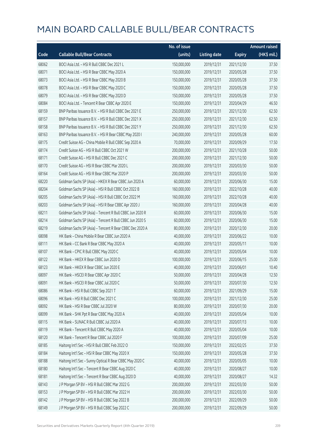|       |                                                          | No. of issue |                     |               | <b>Amount raised</b> |
|-------|----------------------------------------------------------|--------------|---------------------|---------------|----------------------|
| Code  | <b>Callable Bull/Bear Contracts</b>                      | (units)      | <b>Listing date</b> | <b>Expiry</b> | (HK\$ mil.)          |
| 68062 | BOCI Asia Ltd. - HSI R Bull CBBC Dec 2021 L              | 150,000,000  | 2019/12/31          | 2021/12/30    | 37.50                |
| 68071 | BOCI Asia Ltd. - HSI R Bear CBBC May 2020 A              | 150,000,000  | 2019/12/31          | 2020/05/28    | 37.50                |
| 68073 | BOCI Asia Ltd. - HSI R Bear CBBC May 2020 B              | 150,000,000  | 2019/12/31          | 2020/05/28    | 37.50                |
| 68078 | BOCI Asia Ltd. - HSI R Bear CBBC May 2020 C              | 150,000,000  | 2019/12/31          | 2020/05/28    | 37.50                |
| 68079 | BOCI Asia Ltd. - HSI R Bear CBBC May 2020 D              | 150,000,000  | 2019/12/31          | 2020/05/28    | 37.50                |
| 68084 | BOCI Asia Ltd. - Tencent R Bear CBBC Apr 2020 E          | 150,000,000  | 2019/12/31          | 2020/04/29    | 46.50                |
| 68159 | BNP Paribas Issuance B.V. - HSI R Bull CBBC Dec 2021 E   | 250,000,000  | 2019/12/31          | 2021/12/30    | 62.50                |
| 68157 | BNP Paribas Issuance B.V. - HSI R Bull CBBC Dec 2021 X   | 250,000,000  | 2019/12/31          | 2021/12/30    | 62.50                |
| 68158 | BNP Paribas Issuance B.V. - HSI R Bull CBBC Dec 2021 Y   | 250,000,000  | 2019/12/31          | 2021/12/30    | 62.50                |
| 68163 | BNP Paribas Issuance B.V. - HSI R Bear CBBC May 2020 I   | 240,000,000  | 2019/12/31          | 2020/05/28    | 60.00                |
| 68175 | Credit Suisse AG - China Mobile R Bull CBBC Sep 2020 A   | 70,000,000   | 2019/12/31          | 2020/09/29    | 17.50                |
| 68174 | Credit Suisse AG - HSI R Bull CBBC Oct 2021 W            | 200,000,000  | 2019/12/31          | 2021/10/28    | 50.00                |
| 68171 | Credit Suisse AG - HSI R Bull CBBC Dec 2021 C            | 200,000,000  | 2019/12/31          | 2021/12/30    | 50.00                |
| 68170 | Credit Suisse AG - HSI R Bear CBBC Mar 2020 L            | 200,000,000  | 2019/12/31          | 2020/03/30    | 50.00                |
| 68164 | Credit Suisse AG - HSI R Bear CBBC Mar 2020 P            | 200,000,000  | 2019/12/31          | 2020/03/30    | 50.00                |
| 68220 | Goldman Sachs SP (Asia) - HKEX R Bear CBBC Jun 2020 A    | 60,000,000   | 2019/12/31          | 2020/06/30    | 15.00                |
| 68204 | Goldman Sachs SP (Asia) - HSI R Bull CBBC Oct 2022 B     | 160,000,000  | 2019/12/31          | 2022/10/28    | 40.00                |
| 68205 | Goldman Sachs SP (Asia) - HSI R Bull CBBC Oct 2022 M     | 160,000,000  | 2019/12/31          | 2022/10/28    | 40.00                |
| 68203 | Goldman Sachs SP (Asia) - HSI R Bear CBBC Apr 2020 J     | 160,000,000  | 2019/12/31          | 2020/04/28    | 40.00                |
| 68211 | Goldman Sachs SP (Asia) - Tencent R Bull CBBC Jun 2020 R | 60,000,000   | 2019/12/31          | 2020/06/30    | 15.00                |
| 68214 | Goldman Sachs SP (Asia) - Tencent R Bull CBBC Jun 2020 S | 60,000,000   | 2019/12/31          | 2020/06/30    | 15.00                |
| 68219 | Goldman Sachs SP (Asia) - Tencent R Bear CBBC Dec 2020 A | 80,000,000   | 2019/12/31          | 2020/12/30    | 20.00                |
| 68098 | HK Bank - China Mobile R Bear CBBC Jun 2020 A            | 40,000,000   | 2019/12/31          | 2020/06/22    | 10.00                |
| 68111 | HK Bank - CC Bank R Bear CBBC May 2020 A                 | 40,000,000   | 2019/12/31          | 2020/05/11    | 10.00                |
| 68107 | HK Bank - CPIC R Bull CBBC May 2020 C                    | 40,000,000   | 2019/12/31          | 2020/05/04    | 10.00                |
| 68122 | HK Bank - HKEX R Bear CBBC Jun 2020 D                    | 100,000,000  | 2019/12/31          | 2020/06/15    | 25.00                |
| 68123 | HK Bank - HKEX R Bear CBBC Jun 2020 E                    | 40,000,000   | 2019/12/31          | 2020/06/01    | 10.40                |
| 68097 | HK Bank - HSCEI R Bear CBBC Apr 2020 C                   | 50,000,000   | 2019/12/31          | 2020/04/28    | 12.50                |
| 68091 | HK Bank - HSCEI R Bear CBBC Jul 2020 C                   | 50,000,000   | 2019/12/31          | 2020/07/30    | 12.50                |
| 68086 | HK Bank - HSI R Bull CBBC Sep 2021 T                     | 60,000,000   | 2019/12/31          | 2021/09/29    | 15.00                |
| 68096 | HK Bank - HSI R Bull CBBC Dec 2021 C                     | 100,000,000  | 2019/12/31          | 2021/12/30    | 25.00                |
| 68092 | HK Bank - HSI R Bear CBBC Jul 2020 W                     | 80,000,000   | 2019/12/31          | 2020/07/30    | 20.00                |
| 68099 | HK Bank - SHK Ppt R Bear CBBC May 2020 A                 | 40,000,000   | 2019/12/31          | 2020/05/04    | 10.00                |
| 68115 | HK Bank - SUNAC R Bull CBBC Jul 2020 A                   | 40,000,000   | 2019/12/31          | 2020/07/13    | 10.00                |
| 68119 | HK Bank - Tencent R Bull CBBC May 2020 A                 | 40,000,000   | 2019/12/31          | 2020/05/04    | 10.00                |
| 68120 | HK Bank - Tencent R Bear CBBC Jul 2020 F                 | 100,000,000  | 2019/12/31          | 2020/07/09    | 25.00                |
| 68185 | Haitong Int'l Sec - HSI R Bull CBBC Feb 2022 O           | 150,000,000  | 2019/12/31          | 2022/02/25    | 37.50                |
| 68184 | Haitong Int'l Sec - HSI R Bear CBBC May 2020 X           | 150,000,000  | 2019/12/31          | 2020/05/28    | 37.50                |
| 68188 | Haitong Int'l Sec - Sunny Optical R Bear CBBC May 2020 C | 40,000,000   | 2019/12/31          | 2020/05/05    | 10.00                |
| 68180 | Haitong Int'l Sec - Tencent R Bear CBBC Aug 2020 C       | 40,000,000   | 2019/12/31          | 2020/08/27    | 10.00                |
| 68181 | Haitong Int'l Sec - Tencent R Bear CBBC Aug 2020 D       | 40,000,000   | 2019/12/31          | 2020/08/27    | 14.32                |
| 68143 | J P Morgan SP BV - HSI R Bull CBBC Mar 2022 G            | 200,000,000  | 2019/12/31          | 2022/03/30    | 50.00                |
| 68153 | J P Morgan SP BV - HSI R Bull CBBC Mar 2022 H            | 200,000,000  | 2019/12/31          | 2022/03/30    | 50.00                |
| 68142 | J P Morgan SP BV - HSI R Bull CBBC Sep 2022 B            | 200,000,000  | 2019/12/31          | 2022/09/29    | 50.00                |
| 68149 | J P Morgan SP BV - HSI R Bull CBBC Sep 2022 C            | 200,000,000  | 2019/12/31          | 2022/09/29    | 50.00                |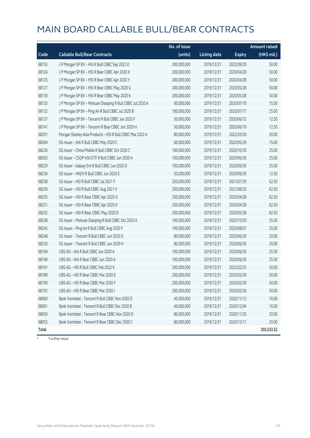|       |                                                            | No. of issue |                     |               | Amount raised |
|-------|------------------------------------------------------------|--------------|---------------------|---------------|---------------|
| Code  | <b>Callable Bull/Bear Contracts</b>                        | (units)      | <b>Listing date</b> | <b>Expiry</b> | (HK\$ mil.)   |
| 68155 | J P Morgan SP BV - HSI R Bull CBBC Sep 2022 D              | 200,000,000  | 2019/12/31          | 2022/09/29    | 50.00         |
| 68124 | J P Morgan SP BV - HSI R Bear CBBC Apr 2020 X              | 200,000,000  | 2019/12/31          | 2020/04/28    | 50.00         |
| 68125 | J P Morgan SP BV - HSI R Bear CBBC Apr 2020 Y              | 200,000,000  | 2019/12/31          | 2020/04/28    | 50.00         |
| 68127 | J P Morgan SP BV - HSI R Bear CBBC May 2020 G              | 200,000,000  | 2019/12/31          | 2020/05/28    | 50.00         |
| 68130 | J P Morgan SP BV - HSI R Bear CBBC May 2020 K              | 200,000,000  | 2019/12/31          | 2020/05/28    | 50.00         |
| 68135 | J P Morgan SP BV - Meituan Dianping R Bull CBBC Jul 2020 A | 60,000,000   | 2019/12/31          | 2020/07/10    | 15.00         |
| 68132 | J P Morgan SP BV - Ping An R Bull CBBC Jul 2020 B          | 100,000,000  | 2019/12/31          | 2020/07/17    | 25.00         |
| 68137 | J P Morgan SP BV - Tencent R Bull CBBC Jun 2020 F          | 50,000,000   | 2019/12/31          | 2020/06/12    | 12.50         |
| 68141 | J P Morgan SP BV - Tencent R Bear CBBC Jun 2020 H          | 50,000,000   | 2019/12/31          | 2020/06/19    | 12.50         |
| 68201 | Morgan Stanley Asia Products - HSI R Bull CBBC Mar 2022 A  | 80,000,000   | 2019/12/31          | 2022/03/30    | 20.00         |
| 68264 | SG Issuer - AIA R Bull CBBC May 2020 C                     | 60,000,000   | 2019/12/31          | 2020/05/29    | 15.00         |
| 68226 | SG Issuer - China Mobile R Bull CBBC Oct 2020 C            | 100,000,000  | 2019/12/31          | 2020/10/30    | 25.00         |
| 68263 | SG Issuer - CSOP A50 ETF R Bull CBBC Jun 2020 A            | 100,000,000  | 2019/12/31          | 2020/06/30    | 25.00         |
| 68229 | SG Issuer - Galaxy Ent R Bull CBBC Jun 2020 D              | 100,000,000  | 2019/12/31          | 2020/06/30    | 25.00         |
| 68234 | SG Issuer - HKEX R Bull CBBC Jun 2020 E                    | 50,000,000   | 2019/12/31          | 2020/06/30    | 12.50         |
| 68258 | SG Issuer - HSI R Bull CBBC Jul 2021 F                     | 250,000,000  | 2019/12/31          | 2021/07/29    | 62.50         |
| 68259 | SG Issuer - HSI R Bull CBBC Aug 2021 V                     | 250,000,000  | 2019/12/31          | 2021/08/30    | 62.50         |
| 68255 | SG Issuer - HSI R Bear CBBC Apr 2020 G                     | 250,000,000  | 2019/12/31          | 2020/04/28    | 62.50         |
| 68251 | SG Issuer - HSI R Bear CBBC Apr 2020 X                     | 250,000,000  | 2019/12/31          | 2020/04/28    | 62.50         |
| 68252 | SG Issuer - HSI R Bear CBBC May 2020 D                     | 250,000,000  | 2019/12/31          | 2020/05/28    | 62.50         |
| 68238 | SG Issuer - Meituan Dianping R Bull CBBC Oct 2020 A        | 100,000,000  | 2019/12/31          | 2020/10/30    | 25.00         |
| 68245 | SG Issuer - Ping An R Bull CBBC Aug 2020 F                 | 100,000,000  | 2019/12/31          | 2020/08/07    | 25.00         |
| 68248 | SG Issuer - Tencent R Bull CBBC Jun 2020 G                 | 80,000,000   | 2019/12/31          | 2020/06/30    | 20.00         |
| 68250 | SG Issuer - Tencent R Bull CBBC Jun 2020 H                 | 80,000,000   | 2019/12/31          | 2020/06/30    | 20.00         |
| 68194 | UBS AG - AIA R Bull CBBC Jun 2020 A                        | 100,000,000  | 2019/12/31          | 2020/06/30    | 25.00         |
| 68196 | UBS AG - AIA R Bear CBBC Jun 2020 A                        | 100,000,000  | 2019/12/31          | 2020/06/30    | 25.00         |
| 68191 | UBS AG - HSI R Bull CBBC Feb 2022 K                        | 200,000,000  | 2019/12/31          | 2022/02/25    | 50.00         |
| 68189 | UBS AG - HSI R Bear CBBC Mar 2020 E                        | 200,000,000  | 2019/12/31          | 2020/03/30    | 50.00         |
| 68190 | UBS AG - HSI R Bear CBBC Mar 2020 F                        | 200,000,000  | 2019/12/31          | 2020/03/30    | 50.00         |
| 68192 | UBS AG - HSI R Bear CBBC Mar 2020 I                        | 200,000,000  | 2019/12/31          | 2020/03/30    | 50.00         |
| 68060 | Bank Vontobel - Tencent R Bull CBBC Nov 2020 D             | 40,000,000   | 2019/12/31          | 2020/11/13    | 10.00         |
| 68061 | Bank Vontobel - Tencent R Bull CBBC Dec 2020 B             | 40,000,000   | 2019/12/31          | 2020/12/04    | 16.00         |
| 68059 | Bank Vontobel - Tencent R Bear CBBC Nov 2020 D             | 80,000,000   | 2019/12/31          | 2020/11/20    | 20.00         |
| 68055 | Bank Vontobel - Tencent R Bear CBBC Dec 2020 C             | 80,000,000   | 2019/12/31          | 2020/12/11    | 20.00         |
| Total |                                                            |              |                     |               | 203,533.52    |

# Further issue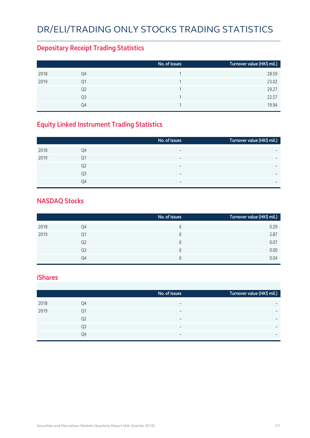#### DR/ELI/TRADING ONLY STOCKS TRADING STATISTICS

#### **Depositary Receipt Trading Statistics**

|      |                | No. of issues | Turnover value (HK\$ mil.) |
|------|----------------|---------------|----------------------------|
| 2018 | Q4             |               | 28.59                      |
| 2019 | Q1             |               | 23.02                      |
|      | Q <sub>2</sub> |               | 29.27                      |
|      | Q <sub>3</sub> |               | 22.57                      |
|      | O4             |               | 19.94                      |

#### **Equity Linked Instrument Trading Statistics**

|      |                | No. of issues            | Turnover value (HK\$ mil.) |
|------|----------------|--------------------------|----------------------------|
| 2018 | O4             | $\overline{\phantom{0}}$ |                            |
| 2019 | Q1             | -                        | $\overline{\phantom{0}}$   |
|      | Q <sub>2</sub> | $\overline{\phantom{0}}$ | $\overline{\phantom{0}}$   |
|      | Q3             | $\overline{\phantom{0}}$ |                            |
|      | O <sub>4</sub> | $\overline{\phantom{0}}$ | $\overline{\phantom{0}}$   |

#### **NASDAQ Stocks**

|      |                | No. of issues | Turnover value (HK\$ mil.) |
|------|----------------|---------------|----------------------------|
| 2018 | Q4             | b             | 0.29                       |
| 2019 | Q1             | b             | 2.87                       |
|      | Q <sub>2</sub> | b             | 0.07                       |
|      | Q3             | b             | 0.00                       |
|      | O <sub>4</sub> | b             | 0.04                       |

#### **iShares**

|      |                | No. of issues            | Turnover value (HK\$ mil.) |
|------|----------------|--------------------------|----------------------------|
| 2018 | Q4             |                          | $\overline{\phantom{0}}$   |
| 2019 | Q1             | $\overline{\phantom{0}}$ | $\overline{\phantom{0}}$   |
|      | Q <sub>2</sub> | $\overline{\phantom{0}}$ | $\overline{\phantom{0}}$   |
|      | Q <sub>3</sub> | $\overline{\phantom{m}}$ | $\overline{\phantom{0}}$   |
|      | Q4             | $\overline{\phantom{0}}$ | $\overline{\phantom{0}}$   |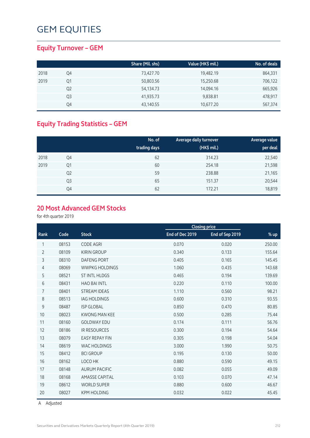#### **Equity Turnover – GEM**

|      |                | Share (Mil. shs) | Value (HK\$ mil.) | No. of deals |
|------|----------------|------------------|-------------------|--------------|
| 2018 | Q4             | 73,427.70        | 19,482.19         | 864,331      |
| 2019 | Q1             | 50,803.56        | 15,250.68         | 706,122      |
|      | Q <sub>2</sub> | 54,134.73        | 14,094.16         | 665,926      |
|      | Q3             | 41,935.73        | 9,838.81          | 478,917      |
|      | Q4             | 43,140.55        | 10,677.20         | 567,374      |

#### **Equity Trading Statistics – GEM**

|      |                | No. of<br>trading days | Average daily turnover<br>(HK\$ mil.) | Average value<br>per deal |
|------|----------------|------------------------|---------------------------------------|---------------------------|
| 2018 | Q4             | 62                     | 314.23                                | 22,540                    |
| 2019 | Q1             | 60                     | 254.18                                | 21,598                    |
|      | Q <sub>2</sub> | 59                     | 238.88                                | 21,165                    |
|      | Q <sub>3</sub> | 65                     | 151.37                                | 20,544                    |
|      | Q4             | 62                     | 172.21                                | 18,819                    |

#### **20 Most Advanced GEM Stocks**

for 4th quarter 2019

|                |       |                       |                 | <b>Closing price</b> |        |
|----------------|-------|-----------------------|-----------------|----------------------|--------|
| Rank           | Code  | <b>Stock</b>          | End of Dec 2019 | End of Sep 2019      | $%$ up |
| 1              | 08153 | <b>CODE AGRI</b>      | 0.070           | 0.020                | 250.00 |
| $\overline{2}$ | 08109 | <b>KIRIN GROUP</b>    | 0.340           | 0.133                | 155.64 |
| 3              | 08310 | <b>DAFENG PORT</b>    | 0.405           | 0.165                | 145.45 |
| 4              | 08069 | <b>WWPKG HOLDINGS</b> | 1.060           | 0.435                | 143.68 |
| 5              | 08521 | ST INTL HLDGS         | 0.465           | 0.194                | 139.69 |
| 6              | 08431 | <b>HAO BAI INTL</b>   | 0.220           | 0.110                | 100.00 |
| $\overline{7}$ | 08401 | <b>STREAM IDEAS</b>   | 1.110           | 0.560                | 98.21  |
| 8              | 08513 | <b>IAG HOLDINGS</b>   | 0.600           | 0.310                | 93.55  |
| 9              | 08487 | <b>ISP GLOBAL</b>     | 0.850           | 0.470                | 80.85  |
| 10             | 08023 | <b>KWONG MAN KEE</b>  | 0.500           | 0.285                | 75.44  |
| 11             | 08160 | <b>GOLDWAY EDU</b>    | 0.174           | 0.111                | 56.76  |
| 12             | 08186 | <b>IR RESOURCES</b>   | 0.300           | 0.194                | 54.64  |
| 13             | 08079 | <b>EASY REPAY FIN</b> | 0.305           | 0.198                | 54.04  |
| 14             | 08619 | <b>WAC HOLDINGS</b>   | 3.000           | 1.990                | 50.75  |
| 15             | 08412 | <b>BCI GROUP</b>      | 0.195           | 0.130                | 50.00  |
| 16             | 08162 | LOCO HK               | 0.880           | 0.590                | 49.15  |
| 17             | 08148 | <b>AURUM PACIFIC</b>  | 0.082           | 0.055                | 49.09  |
| 18             | 08168 | <b>AMASSE CAPITAL</b> | 0.103           | 0.070                | 47.14  |
| 19             | 08612 | <b>WORLD SUPER</b>    | 0.880           | 0.600                | 46.67  |
| 20             | 08027 | <b>KPM HOLDING</b>    | 0.032           | 0.022                | 45.45  |

A Adjusted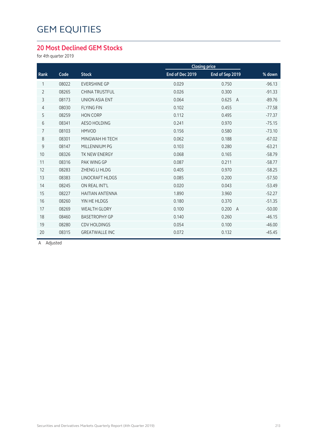#### **20 Most Declined GEM Stocks**

for 4th quarter 2019

|                |       |                        |                 | <b>Closing price</b>    |          |
|----------------|-------|------------------------|-----------------|-------------------------|----------|
| Rank           | Code  | <b>Stock</b>           | End of Dec 2019 | End of Sep 2019         | % down   |
| 1              | 08022 | <b>EVERSHINE GP</b>    | 0.029           | 0.750                   | $-96.13$ |
| $\overline{2}$ | 08265 | <b>CHINA TRUSTFUL</b>  | 0.026           | 0.300                   | $-91.33$ |
| 3              | 08173 | <b>UNION ASIA ENT</b>  | 0.064           | 0.625<br>$\overline{A}$ | $-89.76$ |
| 4              | 08030 | <b>FLYING FIN</b>      | 0.102           | 0.455                   | $-77.58$ |
| 5              | 08259 | <b>HON CORP</b>        | 0.112           | 0.495                   | $-77.37$ |
| 6              | 08341 | <b>AESO HOLDING</b>    | 0.241           | 0.970                   | $-75.15$ |
| $\overline{7}$ | 08103 | <b>HMVOD</b>           | 0.156           | 0.580                   | $-73.10$ |
| 8              | 08301 | MINGWAH HI TECH        | 0.062           | 0.188                   | $-67.02$ |
| 9              | 08147 | MILLENNIUM PG          | 0.103           | 0.280                   | $-63.21$ |
| 10             | 08326 | TK NEW ENERGY          | 0.068           | 0.165                   | $-58.79$ |
| 11             | 08316 | PAK WING GP            | 0.087           | 0.211                   | $-58.77$ |
| 12             | 08283 | ZHENG LI HLDG          | 0.405           | 0.970                   | $-58.25$ |
| 13             | 08383 | <b>LINOCRAFT HLDGS</b> | 0.085           | 0.200                   | $-57.50$ |
| 14             | 08245 | ON REAL INT'L          | 0.020           | 0.043                   | $-53.49$ |
| 15             | 08227 | <b>HAITIAN ANTENNA</b> | 1.890           | 3.960                   | $-52.27$ |
| 16             | 08260 | YIN HE HLDGS           | 0.180           | 0.370                   | $-51.35$ |
| 17             | 08269 | <b>WEALTH GLORY</b>    | 0.100           | 0.200<br>$\overline{A}$ | $-50.00$ |
| 18             | 08460 | <b>BASETROPHY GP</b>   | 0.140           | 0.260                   | $-46.15$ |
| 19             | 08280 | <b>CDV HOLDINGS</b>    | 0.054           | 0.100                   | $-46.00$ |
| 20             | 08315 | <b>GREATWALLE INC</b>  | 0.072           | 0.132                   | $-45.45$ |
|                |       |                        |                 |                         |          |

A Adjusted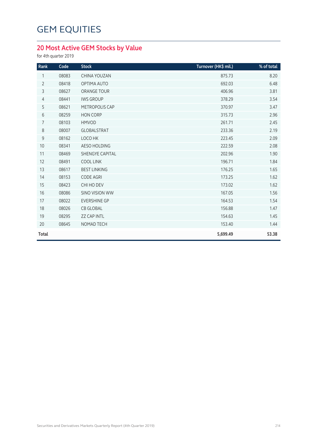#### **20 Most Active GEM Stocks by Value**

for 4th quarter 2019

| Rank           | Code  | <b>Stock</b>           | Turnover (HK\$ mil.) | % of total |
|----------------|-------|------------------------|----------------------|------------|
| 1              | 08083 | CHINA YOUZAN           | 875.73               | 8.20       |
| $\overline{2}$ | 08418 | OPTIMA AUTO            | 692.03               | 6.48       |
| 3              | 08627 | ORANGE TOUR            | 406.96               | 3.81       |
| $\overline{4}$ | 08441 | <b>IWS GROUP</b>       | 378.29               | 3.54       |
| 5              | 08621 | METROPOLIS CAP         | 370.97               | 3.47       |
| $\sqrt{6}$     | 08259 | <b>HON CORP</b>        | 315.73               | 2.96       |
| $\overline{7}$ | 08103 | <b>HMVOD</b>           | 261.71               | 2.45       |
| $\,8\,$        | 08007 | <b>GLOBALSTRAT</b>     | 233.36               | 2.19       |
| $\mathsf 9$    | 08162 | LOCO HK                | 223.45               | 2.09       |
| 10             | 08341 | AESO HOLDING           | 222.59               | 2.08       |
| 11             | 08469 | <b>SHENGYE CAPITAL</b> | 202.96               | 1.90       |
| 12             | 08491 | <b>COOL LINK</b>       | 196.71               | 1.84       |
| 13             | 08617 | <b>BEST LINKING</b>    | 176.25               | 1.65       |
| 14             | 08153 | <b>CODE AGRI</b>       | 173.25               | 1.62       |
| 15             | 08423 | CHI HO DEV             | 173.02               | 1.62       |
| 16             | 08086 | <b>SINO VISION WW</b>  | 167.05               | 1.56       |
| 17             | 08022 | <b>EVERSHINE GP</b>    | 164.53               | 1.54       |
| 18             | 08026 | <b>CB GLOBAL</b>       | 156.88               | 1.47       |
| 19             | 08295 | <b>ZZ CAP INTL</b>     | 154.63               | 1.45       |
| 20             | 08645 | NOMAD TECH             | 153.40               | 1.44       |
| <b>Total</b>   |       |                        | 5,699.49             | 53.38      |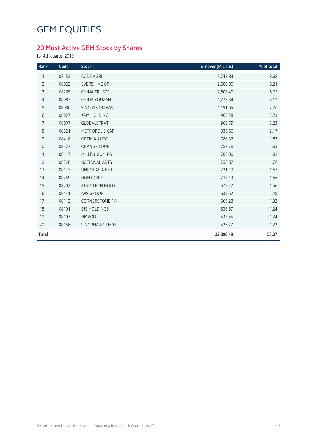#### **20 Most Active GEM Stock by Shares**

for 4th quarter 2019

| Rank           | Code  | <b>Stock</b>           | Turnover (Mil. shs) | % of total |
|----------------|-------|------------------------|---------------------|------------|
| 1              | 08153 | <b>CODE AGRI</b>       | 3,743.84            | 8.68       |
| $\overline{2}$ | 08022 | <b>EVERSHINE GP</b>    | 2,680.00            | 6.21       |
| 3              | 08265 | <b>CHINA TRUSTFUL</b>  | 2,608.40            | 6.05       |
| $\overline{4}$ | 08083 | CHINA YOUZAN           | 1,777.34            | 4.12       |
| 5              | 08086 | <b>SINO VISION WW</b>  | 1,191.65            | 2.76       |
| $6\,$          | 08027 | <b>KPM HOLDING</b>     | 963.28              | 2.23       |
| 7              | 08007 | GLOBALSTRAT            | 960.79              | 2.23       |
| 8              | 08621 | METROPOLIS CAP         | 936.56              | 2.17       |
| 9              | 08418 | OPTIMA AUTO            | 788.32              | 1.83       |
| 10             | 08627 | ORANGE TOUR            | 787.78              | 1.83       |
| 11             | 08147 | MILLENNIUM PG          | 783.00              | 1.82       |
| 12             | 08228 | <b>NATIONAL ARTS</b>   | 758.87              | 1.76       |
| 13             | 08173 | <b>UNION ASIA ENT</b>  | 721.19              | 1.67       |
| 14             | 08259 | <b>HON CORP</b>        | 715.13              | 1.66       |
| 15             | 08202 | <b>INNO-TECH HOLD</b>  | 672.27              | 1.56       |
| 16             | 08441 | <b>IWS GROUP</b>       | 639.62              | 1.48       |
| 17             | 08112 | <b>CORNERSTONE FIN</b> | 569.28              | 1.32       |
| 18             | 08101 | <b>EJE HOLDINGS</b>    | 535.57              | 1.24       |
| 19             | 08103 | <b>HMVOD</b>           | 535.55              | 1.24       |
| 20             | 08156 | SINOPHARM TECH         | 527.77              | 1.22       |
| <b>Total</b>   |       |                        | 22,896.19           | 53.07      |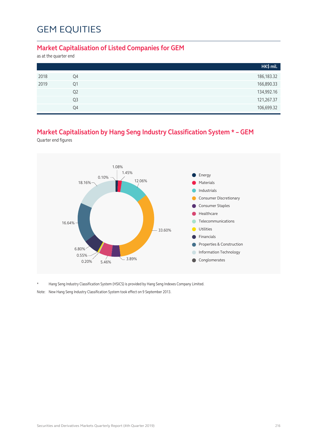#### **Market Capitalisation of Listed Companies for GEM**

as at the quarter end

|      |                | HK\$ mil.    |
|------|----------------|--------------|
| 2018 | Q4             | 186, 183. 32 |
| 2019 | Q1             | 166,890.33   |
|      | Q <sub>2</sub> | 134,992.16   |
|      | Q <sub>3</sub> | 121,267.37   |
|      | Q4             | 106,699.32   |

### **Market Capitalisation by Hang Seng Industry Classification System \* – GEM**

Quarter end figures



\* Hang Seng Industry Classification System (HSICS) is provided by Hang Seng Indexes Company Limited.

Note: New Hang Seng Industry Classification System took effect on 9 September 2013.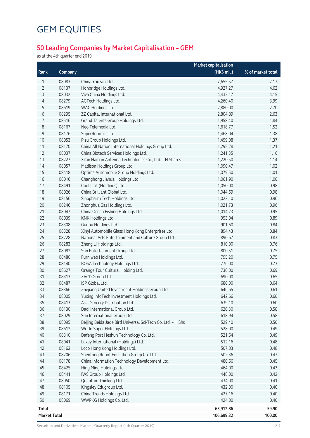## **50 Leading Companies by Market Capitalisation – GEM**

as at the 4th quarter end 2019

|              |         |                                                             | <b>Market capitalisation</b> |                   |
|--------------|---------|-------------------------------------------------------------|------------------------------|-------------------|
| Rank         | Company |                                                             | (HK\$ mil.)                  | % of market total |
| 1            | 08083   | China Youzan Ltd.                                           | 7,655.57                     | 7.17              |
| 2            | 08137   | Honbridge Holdings Ltd.                                     | 4,927.27                     | 4.62              |
| 3            | 08032   | Viva China Holdings Ltd.                                    | 4,432.17                     | 4.15              |
| 4            | 08279   | AGTech Holdings Ltd.                                        | 4,260.40                     | 3.99              |
| 5            | 08619   | WAC Holdings Ltd.                                           | 2,880.00                     | 2.70              |
| 6            | 08295   | ZZ Capital International Ltd.                               | 2,804.89                     | 2.63              |
| 7            | 08516   | Grand Talents Group Holdings Ltd.                           | 1,958.40                     | 1.84              |
| 8            | 08167   | Neo Telemedia Ltd.                                          | 1,618.77                     | 1.52              |
| 9            | 08176   | SuperRobotics Ltd.                                          | 1,468.04                     | 1.38              |
| $10$         | 08053   | Pizu Group Holdings Ltd.                                    | 1,459.08                     | 1.37              |
| 11           | 08170   | China All Nation International Holdings Group Ltd.          | 1,295.28                     | 1.21              |
| 12           | 08037   | China Biotech Services Holdings Ltd.                        | 1,241.35                     | 1.16              |
| 13           | 08227   | Xi'an Haitian Antenna Technologies Co., Ltd. - H Shares     | 1,220.50                     | 1.14              |
| 14           | 08057   | Madison Holdings Group Ltd.                                 | 1,090.47                     | 1.02              |
| 15           | 08418   | Optima Automobile Group Holdings Ltd.                       | 1,079.50                     | 1.01              |
| 16           | 08016   | Changhong Jiahua Holdings Ltd.                              | 1,061.90                     | 1.00              |
| 17           | 08491   | Cool Link (Holdings) Ltd.                                   | 1,050.00                     | 0.98              |
| 18           | 08026   | China Brilliant Global Ltd.                                 | 1,044.69                     | 0.98              |
| 19           | 08156   | Sinopharm Tech Holdings Ltd.                                | 1,023.10                     | 0.96              |
| 20           | 08246   | Zhonghua Gas Holdings Ltd.                                  | 1,021.73                     | 0.96              |
| 21           | 08047   | China Ocean Fishing Holdings Ltd.                           | 1,014.23                     | 0.95              |
| 22           | 08039   | KNK Holdings Ltd.                                           | 953.04                       | 0.89              |
| 23           | 08308   | Gudou Holdings Ltd.                                         | 901.60                       | 0.84              |
| 24           | 08328   | Xinyi Automobile Glass Hong Kong Enterprises Ltd.           | 894.43                       | 0.84              |
| 25           | 08228   | National Arts Entertainment and Culture Group Ltd.          | 890.67                       | 0.83              |
| 26           | 08283   | Zheng Li Holdings Ltd.                                      | 810.00                       | 0.76              |
| 27           | 08082   | Sun Entertainment Group Ltd.                                | 800.51                       | 0.75              |
| 28           | 08480   | Furniweb Holdings Ltd.                                      | 795.20                       | 0.75              |
| 29           | 08140   | BOSA Technology Holdings Ltd.                               | 776.00                       | 0.73              |
| 30           | 08627   | Orange Tour Cultural Holding Ltd.                           | 736.00                       | 0.69              |
| 31           | 08313   | ZACD Group Ltd.                                             | 690.00                       | 0.65              |
| 32           | 08487   | ISP Global Ltd.                                             | 680.00                       | 0.64              |
| 33           | 08366   | Zhejiang United Investment Holdings Group Ltd.              | 646.65                       | 0.61              |
| 34           | 08005   | Yuxing InfoTech Investment Holdings Ltd.                    | 642.66                       | 0.60              |
| 35           | 08413   | Asia Grocery Distribution Ltd.                              | 639.10                       | 0.60              |
| 36           | 08130   | Dadi International Group Ltd.                               | 620.30                       | 0.58              |
| 37           | 08029   | Sun International Group Ltd.                                | 618.94                       | 0.58              |
| 38           | 08095   | Beijing Beida Jade Bird Universal Sci-Tech Co. Ltd. - H Shs | 529.40                       | 0.50              |
| 39           | 08612   | World Super Holdings Ltd.                                   | 528.00                       | 0.49              |
| 40           | 08310   | Dafeng Port Heshun Technology Co. Ltd.                      | 521.64                       | 0.49              |
| 41           | 08041   | Luxey International (Holdings) Ltd.                         | 512.16                       | 0.48              |
| 42           | 08162   | Loco Hong Kong Holdings Ltd.                                | 507.03                       | 0.48              |
| 43           | 08206   | Shentong Robot Education Group Co. Ltd.                     | 502.36                       | 0.47              |
| 44           | 08178   | China Information Technology Development Ltd.               | 480.66                       | 0.45              |
| 45           | 08425   | Hing Ming Holdings Ltd.                                     | 464.00                       | 0.43              |
| 46           | 08441   | IWS Group Holdings Ltd.                                     | 448.00                       | 0.42              |
| 47           | 08050   | Quantum Thinking Ltd.                                       | 434.00                       | 0.41              |
| 48           | 08105   | Kingsley Edugroup Ltd.                                      | 432.00                       | 0.40              |
| 49           | 08171   | China Trends Holdings Ltd.                                  | 427.16                       | 0.40              |
| 50           | 08069   | WWPKG Holdings Co. Ltd.                                     | 424.00                       | 0.40              |
| Total        |         |                                                             | 63,912.86                    | 59.90             |
| Market Total |         |                                                             | 106,699.32                   | 100.00            |
|              |         |                                                             |                              |                   |

Securities and Derivatives Markets Quarterly Report (4th Quarter 2019) 217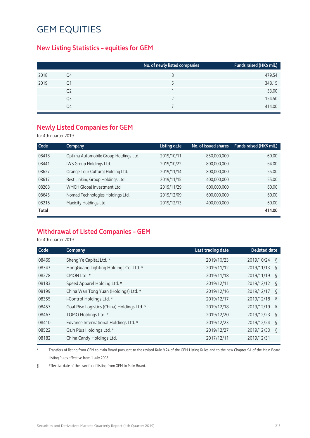### **New Listing Statistics – equities for GEM**

|                | No. of newly listed companies | Funds raised (HK\$ mil.) |
|----------------|-------------------------------|--------------------------|
| Q4             | 8                             | 479.54                   |
| Q1             |                               | 348.15                   |
| Q <sub>2</sub> |                               | 53.00                    |
| Q3             |                               | 154.50                   |
| Q4             |                               | 414.00                   |
|                |                               |                          |

### **Newly Listed Companies for GEM**

for 4th quarter 2019

| Code  | Company                               | <b>Listing date</b> | No. of issued shares | Funds raised (HK\$ mil.) |
|-------|---------------------------------------|---------------------|----------------------|--------------------------|
| 08418 | Optima Automobile Group Holdings Ltd. | 2019/10/11          | 850,000,000          | 60.00                    |
| 08441 | IWS Group Holdings Ltd.               | 2019/10/22          | 800,000,000          | 64.00                    |
| 08627 | Orange Tour Cultural Holding Ltd.     | 2019/11/14          | 800,000,000          | 55.00                    |
| 08617 | Best Linking Group Holdings Ltd.      | 2019/11/15          | 400,000,000          | 55.00                    |
| 08208 | WMCH Global Investment Ltd.           | 2019/11/29          | 600,000,000          | 60.00                    |
| 08645 | Nomad Technologies Holdings Ltd.      | 2019/12/09          | 600,000,000          | 60.00                    |
| 08216 | Maxicity Holdings Ltd.                | 2019/12/13          | 400,000,000          | 60.00                    |
| Total |                                       |                     |                      | 414.00                   |

## **Withdrawal of Listed Companies – GEM**

for 4th quarter 2019

| Code  | Company                                     | Last trading date | <b>Delisted date</b>   |
|-------|---------------------------------------------|-------------------|------------------------|
| 08469 | Sheng Ye Capital Ltd. *                     | 2019/10/23        | 2019/10/24<br>$\S$     |
| 08343 | HongGuang Lighting Holdings Co. Ltd. *      | 2019/11/12        | 2019/11/13<br>ξ        |
| 08278 | CMON Ltd. *                                 | 2019/11/18        | 2019/11/19<br>ξ        |
| 08183 | Speed Apparel Holding Ltd. *                | 2019/12/11        | 2019/12/12<br>ξ        |
| 08199 | China Wan Tong Yuan (Holdings) Ltd. *       | 2019/12/16        | 2019/12/17<br>ξ        |
| 08355 | i-Control Holdings Ltd. *                   | 2019/12/17        | 2019/12/18<br>ξ        |
| 08457 | Goal Rise Logistics (China) Holdings Ltd. * | 2019/12/18        | 2019/12/19<br>ξ        |
| 08463 | TOMO Holdings Ltd. *                        | 2019/12/20        | 2019/12/23<br>ξ        |
| 08410 | Edvance International Holdings Ltd. *       | 2019/12/23        | 2019/12/24<br>$\S$     |
| 08522 | Gain Plus Holdings Ltd. *                   | 2019/12/27        | 2019/12/30<br>$\delta$ |
| 08182 | China Candy Holdings Ltd.                   | 2017/12/11        | 2019/12/31             |

\* Transfers of listing from GEM to Main Board pursuant to the revised Rule 9.24 of the GEM Listing Rules and to the new Chapter 9A of the Main Board Listing Rules effective from 1 July 2008.

§ Effective date of the transfer of listing from GEM to Main Board.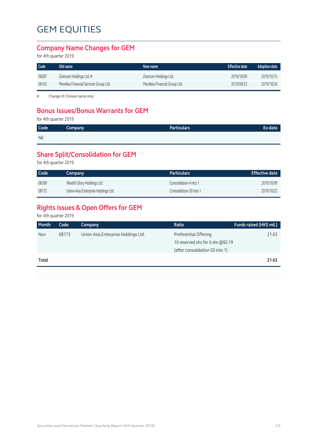#### **Company Name Changes for GEM**

for 4th quarter 2019

| Code  | Old name                              | New name                     | <b>Effective date</b> | <b>Adoption date</b> |
|-------|---------------------------------------|------------------------------|-----------------------|----------------------|
| 08287 | Zioncom Holdings Ltd. #               | Zioncom Holdings Ltd.        | 2019/10/09            | 2019/10/15           |
| 08163 | Merdeka Financial Services Group Ltd. | Merdeka Financial Group Ltd. | 2019/09/23            | 2019/10/24           |

# Change of Chinese name only

### **Bonus Issues/Bonus Warrants for GEM**

for 4th quarter 2019

| Code | <b>Company</b> | <b>Particulars</b> | Ex-date |
|------|----------------|--------------------|---------|
| Nil  |                |                    |         |

### **Share Split/Consolidation for GEM**

for 4th quarter 2019

| Code  | Company                             | <b>Particulars</b>      | <b>Effective date</b> |
|-------|-------------------------------------|-------------------------|-----------------------|
| 08269 | Wealth Glory Holdings Ltd.          | Consolidation 4 into 1  | 2019/10/09            |
| 08173 | Union Asia Enterprise Holdings Ltd. | Consolidation 50 into 1 | 2019/10/22            |

### **Rights Issues & Open Offers for GEM**

for 4th quarter 2019

| <b>Month</b> | Code  | Company                             | Ratio                             | Funds raised (HK\$ mil.) |
|--------------|-------|-------------------------------------|-----------------------------------|--------------------------|
| Nov          | 08173 | Union Asia Enterprise Holdings Ltd. | Preferential Offering             | 21.63                    |
|              |       |                                     | 10 reserved shs for 6 shs @\$0.19 |                          |
|              |       |                                     | (after consolidation 50 into 1)   |                          |
| Total        |       |                                     |                                   | 21.63                    |
|              |       |                                     |                                   |                          |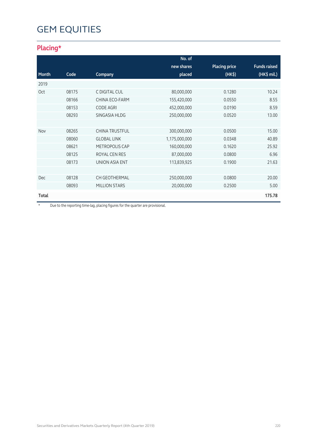## **Placing\***

|              |       |                       | No. of        |                      |                     |
|--------------|-------|-----------------------|---------------|----------------------|---------------------|
|              |       |                       | new shares    | <b>Placing price</b> | <b>Funds raised</b> |
| Month        | Code  | Company               | placed        | $(HK\$               | $(HK$$ mil.)        |
| 2019         |       |                       |               |                      |                     |
| Oct          | 08175 | C DIGITAL CUL         | 80,000,000    | 0.1280               | 10.24               |
|              | 08166 | CHINA ECO-FARM        | 155,420,000   | 0.0550               | 8.55                |
|              | 08153 | <b>CODE AGRI</b>      | 452,000,000   | 0.0190               | 8.59                |
|              | 08293 | SINGASIA HLDG         | 250,000,000   | 0.0520               | 13.00               |
|              |       |                       |               |                      |                     |
| Nov          | 08265 | <b>CHINA TRUSTFUL</b> | 300,000,000   | 0.0500               | 15.00               |
|              | 08060 | <b>GLOBAL LINK</b>    | 1,175,000,000 | 0.0348               | 40.89               |
|              | 08621 | METROPOLIS CAP        | 160,000,000   | 0.1620               | 25.92               |
|              | 08125 | ROYAL CEN RES         | 87,000,000    | 0.0800               | 6.96                |
|              | 08173 | <b>UNION ASIA ENT</b> | 113,839,925   | 0.1900               | 21.63               |
|              |       |                       |               |                      |                     |
| <b>Dec</b>   | 08128 | <b>CH GEOTHERMAL</b>  | 250,000,000   | 0.0800               | 20.00               |
|              | 08093 | <b>MILLION STARS</b>  | 20,000,000    | 0.2500               | 5.00                |
| <b>Total</b> |       |                       |               |                      | 175.78              |

\* Due to the reporting time-lag, placing figures for the quarter are provisional.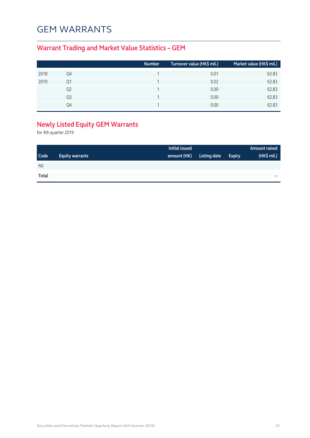## GEM WARRANTS

## **Warrant Trading and Market Value Statistics – GEM**

|      |    | <b>Number</b> | Turnover value (HK\$ mil.) | Market value (HK\$ mil.) |
|------|----|---------------|----------------------------|--------------------------|
| 2018 | Q4 |               | 0.01                       | 62.83                    |
| 2019 | Q1 |               | 0.02                       | 62.83                    |
|      | Q2 |               | 0.00                       | 62.83                    |
|      | Q3 |               | 0.00                       | 62.83                    |
|      | O4 |               | 0.00                       | 62.83                    |

## **Newly Listed Equity GEM Warrants**

for 4th quarter 2019

|             |                        | Initial issued |              |               | Amount raised |
|-------------|------------------------|----------------|--------------|---------------|---------------|
| <b>Code</b> | <b>Equity warrants</b> | amount (HK)    | Listing date | <b>Expiry</b> | (HK\$ mil.)   |
| Nil         |                        |                |              |               |               |
| Total       |                        |                |              |               | -             |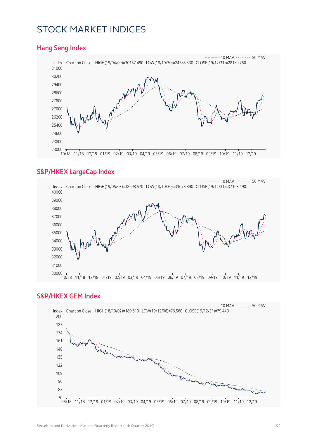## STOCK MARKET INDICES



#### **Hang Seng Index**

### **S&P/HKEX LargeCap Index**



#### **S&P/HKEX GEM Index**

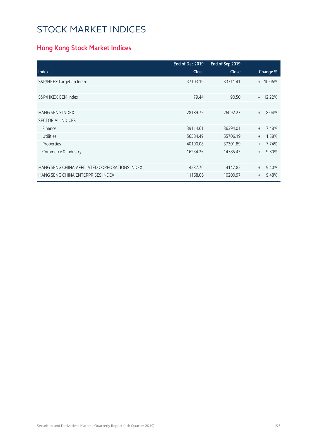# STOCK MARKET INDICES

## **Hong Kong Stock Market Indices**

|                                               | End of Dec 2019 | End of Sep 2019 |                    |
|-----------------------------------------------|-----------------|-----------------|--------------------|
| <b>Index</b>                                  | <b>Close</b>    | Close           | Change %           |
| S&P/HKEX LargeCap Index                       | 37103.19        | 33711.41        | + 10.06%           |
|                                               |                 |                 |                    |
| S&P/HKEX GEM Index                            | 79.44           | 90.50           | 12.22%<br>$\equiv$ |
|                                               |                 |                 |                    |
| <b>HANG SENG INDEX</b>                        | 28189.75        | 26092.27        | 8.04%<br>$+$       |
| <b>SECTORIAL INDICES</b>                      |                 |                 |                    |
| Finance                                       | 39114.61        | 36394.01        | 7.48%<br>$+$       |
| <b>Utilities</b>                              | 56584.49        | 55706.19        | 1.58%<br>$^{+}$    |
| Properties                                    | 40190.08        | 37301.89        | 7.74%<br>$+$       |
| Commerce & Industry                           | 16234.26        | 14785.43        | 9.80%<br>$+$       |
|                                               |                 |                 |                    |
| HANG SENG CHINA-AFFILIATED CORPORATIONS INDEX | 4537.76         | 4147.85         | 9.40%<br>$+$       |
| HANG SENG CHINA ENTERPRISES INDEX             | 11168.06        | 10200.97        | 9.48%<br>$^{+}$    |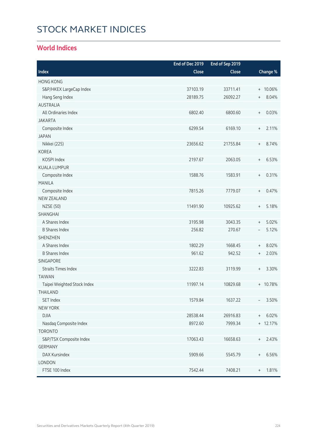# STOCK MARKET INDICES

### **World Indices**

|                             | End of Dec 2019 | End of Sep 2019 |                                           |
|-----------------------------|-----------------|-----------------|-------------------------------------------|
| Index                       | Close           | Close           | Change %                                  |
| <b>HONG KONG</b>            |                 |                 |                                           |
| S&P/HKEX LargeCap Index     | 37103.19        | 33711.41        | + 10.06%                                  |
| Hang Seng Index             | 28189.75        | 26092.27        | 8.04%<br>$^{+}$                           |
| <b>AUSTRALIA</b>            |                 |                 |                                           |
| All Ordinaries Index        | 6802.40         | 6800.60         | 0.03%<br>$\, +$                           |
| <b>JAKARTA</b>              |                 |                 |                                           |
| Composite Index             | 6299.54         | 6169.10         | 2.11%<br>$\begin{array}{c} + \end{array}$ |
| <b>JAPAN</b>                |                 |                 |                                           |
| Nikkei (225)                | 23656.62        | 21755.84        | 8.74%<br>$^{+}$                           |
| <b>KOREA</b>                |                 |                 |                                           |
| KOSPI Index                 | 2197.67         | 2063.05         | 6.53%<br>$\begin{array}{c} + \end{array}$ |
| <b>KUALA LUMPUR</b>         |                 |                 |                                           |
| Composite Index             | 1588.76         | 1583.91         | 0.31%<br>$\, +$                           |
| <b>MANILA</b>               |                 |                 |                                           |
| Composite Index             | 7815.26         | 7779.07         | 0.47%<br>$\begin{array}{c} + \end{array}$ |
| <b>NEW ZEALAND</b>          |                 |                 |                                           |
| <b>NZSE (50)</b>            | 11491.90        | 10925.62        | 5.18%<br>$\, +$                           |
| SHANGHAI                    |                 |                 |                                           |
| A Shares Index              | 3195.98         | 3043.35         | 5.02%<br>$\begin{array}{c} + \end{array}$ |
| <b>B Shares Index</b>       | 256.82          | 270.67          | 5.12%<br>$\overline{\phantom{a}}$         |
| <b>SHENZHEN</b>             |                 |                 |                                           |
| A Shares Index              | 1802.29         | 1668.45         | 8.02%<br>$\begin{array}{c} + \end{array}$ |
| <b>B</b> Shares Index       | 961.62          | 942.52          | 2.03%<br>$\begin{array}{c} + \end{array}$ |
| <b>SINGAPORE</b>            |                 |                 |                                           |
| <b>Straits Times Index</b>  | 3222.83         | 3119.99         | 3.30%<br>$^{+}$                           |
| <b>TAIWAN</b>               |                 |                 |                                           |
| Taipei Weighted Stock Index | 11997.14        | 10829.68        | 10.78%<br>$^{+}$                          |
| THAILAND                    |                 |                 |                                           |
| <b>SET Index</b>            | 1579.84         | 1637.22         | 3.50%                                     |
| <b>NEW YORK</b>             |                 |                 |                                           |
| <b>DJIA</b>                 | 28538.44        | 26916.83        | 6.02%<br>$\begin{array}{c} + \end{array}$ |
| Nasdaq Composite Index      | 8972.60         | 7999.34         | + 12.17%                                  |
| <b>TORONTO</b>              |                 |                 |                                           |
| S&P/TSX Composite Index     | 17063.43        | 16658.63        | 2.43%<br>$+$                              |
| <b>GERMANY</b>              |                 |                 |                                           |
| DAX Kursindex               | 5909.66         | 5545.79         | 6.56%<br>$\begin{array}{c} + \end{array}$ |
| LONDON                      |                 |                 |                                           |
| FTSE 100 Index              | 7542.44         | 7408.21         | 1.81%<br>$^{+}$                           |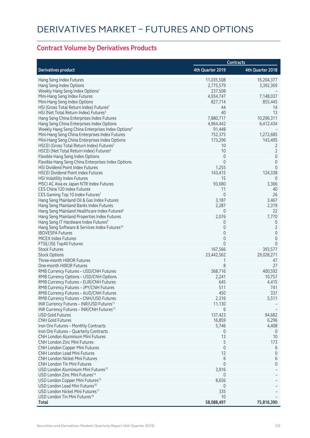## **Contract Volume by Derivatives Products**

|                                                               | <b>Contracts</b> |                  |
|---------------------------------------------------------------|------------------|------------------|
| <b>Derivatives product</b>                                    | 4th Quarter 2019 | 4th Quarter 2018 |
| Hang Seng Index Futures                                       | 11,035,508       | 16,204,377       |
| Hang Seng Index Options                                       | 2,775,579        | 3,392,369        |
| Weekly Hang Seng Index Options <sup>1</sup>                   | 237,508          |                  |
| Mini-Hang Seng Index Futures                                  | 4,934,747        | 7,148,037        |
| Mini-Hang Seng Index Options                                  | 827,714          | 855,445          |
| HSI (Gross Total Return Index) Futures <sup>2</sup>           | 44               | 14               |
| HSI (Net Total Return Index) Futures <sup>3</sup>             | 40               | 13               |
| Hang Seng China Enterprises Index Futures                     | 7,880,717        | 10,296,311       |
| Hang Seng China Enterprises Index Options                     | 4,964,442        | 6,412,434        |
| Weekly Hang Seng China Enterprises Index Options <sup>4</sup> | 91,448           |                  |
| Mini-Hang Seng China Enterprises Index Futures                | 752,375          | 1,272,685        |
| Mini-Hang Seng China Enterprises Index Options                | 173,296          | 143,495          |
| HSCEI (Gross Total Return Index) Futures <sup>5</sup>         | 10               | 2                |
| HSCEI (Net Total Return Index) Futures <sup>6</sup>           | 10               | $\overline{2}$   |
| Flexible Hang Seng Index Options                              | $\mathbf 0$      | $\mathbf 0$      |
| Flexible Hang Seng China Enterprises Index Options            | $\mathbf{0}$     | $\mathbf{0}$     |
| HSI Dividend Point Index Futures                              | 1,255            | $\Omega$         |
| <b>HSCEI Dividend Point Index Futures</b>                     | 143,415          | 124,338          |
| HSI Volatility Index Futures                                  | 15               | 0                |
| MSCI AC Asia ex Japan NTR Index Futures                       | 93,680           | 3,366            |
| CES China 120 Index Futures                                   | 11               | 40               |
| CES Gaming Top 10 Index Futures7                              | $\mathbf 0$      | 26               |
| Hang Seng Mainland Oil & Gas Index Futures                    | 3,187            | 3,467            |
| Hang Seng Mainland Banks Index Futures                        | 2,287            | 2,319            |
| Hang Seng Mainland Healthcare Index Futures <sup>8</sup>      | 0                | 22               |
| Hang Seng Mainland Properties Index Futures                   | 2,076            | 7,770            |
| Hang Seng IT Hardware Index Futures <sup>9</sup>              | 0                | $\theta$         |
| Hang Seng Software & Services Index Futures <sup>10</sup>     | $\mathbf 0$      | $\overline{2}$   |
| <b>IBOVESPA Futures</b>                                       | 0                | $\mathbf 0$      |
| <b>MICEX Index Futures</b>                                    | $\mathbf 0$      | $\mathbf{0}$     |
| FTSE/JSE Top40 Futures                                        | $\Omega$         | $\Omega$         |
| <b>Stock Futures</b>                                          | 167,566          | 393,577          |
| <b>Stock Options</b>                                          | 23,442,562       | 29,028,271       |
| Three-month HIBOR Futures                                     |                  | 47               |
| One-month HIBOR Futures                                       | 8                | 27               |
| RMB Currency Futures - USD/CNH Futures                        | 368,716          | 400,592          |
| RMB Currency Options - USD/CNH Options                        | 2,241            | 10,757           |
| RMB Currency Futures - EUR/CNH Futures                        | 645              | 4,415            |
| RMB Currency Futures - JPY/CNH Futures                        | 511              | 741              |
| RMB Currency Futures – AUD/CNH Futures                        | 450              | 337              |
| RMB Currency Futures - CNH/USD Futures                        | 2,316            | 5,511            |
| INR Currency Futures - INR/USD Futures <sup>11</sup>          | 11,130           |                  |
| INR Currency Futures - INR/CNH Futures <sup>12</sup>          | 6                |                  |
| <b>USD Gold Futures</b>                                       | 137,423          | 94,682           |
| <b>CNH Gold Futures</b>                                       | 16,859           | 6,296            |
| Iron Ore Futures - Monthly Contracts                          | 5,746            | 4,408            |
| Iron Ore Futures - Quarterly Contracts                        | 0                | 0                |
| <b>CNH London Aluminium Mini Futures</b>                      | 13               | 10               |
| <b>CNH London Zinc Mini Futures</b>                           | 5                | 173              |
| CNH London Copper Mini Futures                                | $\overline{0}$   | 6                |
| <b>CNH London Lead Mini Futures</b>                           | 12               | 0                |
| <b>CNH London Nickel Mini Futures</b>                         | 6                | 6                |
| <b>CNH London Tin Mini Futures</b>                            | $\overline{0}$   | 0                |
| USD London Aluminium Mini Futures <sup>13</sup>               | 3,916            |                  |
| USD London Zinc Mini Futures <sup>14</sup>                    | $\mathbf 0$      |                  |
| USD London Copper Mini Futures <sup>15</sup>                  | 8,656            |                  |
| USD London Lead Mini Futures <sup>16</sup>                    | 0                |                  |
| USD London Nickel Mini Futures <sup>17</sup>                  | 335              |                  |
| USD London Tin Mini Futures <sup>18</sup>                     | 10               |                  |
| Total                                                         | 58,088,497       | 75,816,390       |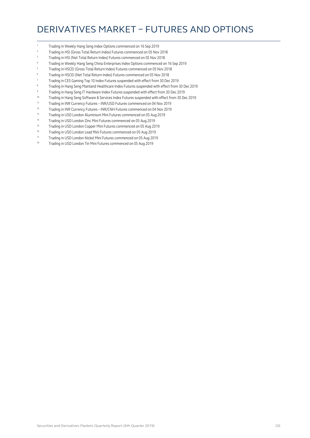## DERIVATIVES MARKET – FUTURES AND OPTIONS

- 1 Trading in Weekly Hang Seng Index Options commenced on 16 Sep 2019
- <sup>2</sup> Trading in HSI (Gross Total Return Index) Futures commenced on 05 Nov 2018
- <sup>3</sup> Trading in HSI (Net Total Return Index) Futures commenced on 05 Nov 2018
- <sup>4</sup> Trading in Weekly Hang Seng China Enterprises Index Options commenced on 16 Sep 2019
- <sup>5</sup> Trading in HSCEI (Gross Total Return Index) Futures commenced on 05 Nov 2018
- <sup>6</sup> Trading in HSCEI (Net Total Return Index) Futures commenced on 05 Nov 2018
- <sup>7</sup> Trading in CES Gaming Top 10 Index Futures suspended with effect from 30 Dec 2019
- <sup>8</sup> Trading in Hang Seng Mainland Healthcare Index Futures suspended with effect from 30 Dec 2019
- <sup>9</sup> Trading in Hang Seng IT Hardware Index Futures suspended with effect from 30 Dec 2019
- 10 Trading in Hang Seng Software & Services Index Futures suspended with effect from 30 Dec 2019
- 11 Trading in INR Currency Futures INR/USD Futures commenced on 04 Nov 2019
- <sup>12</sup> Trading in INR Currency Futures INR/CNH Futures commenced on 04 Nov 2019
- 13 Trading in USD London Aluminium Mini Futures commenced on 05 Aug 2019
- 14 Trading in USD London Zinc Mini Futures commenced on 05 Aug 2019<br>15 Trading in USD London Connec Mini Futures commenced on 05 Aug 2019
- <sup>15</sup> Trading in USD London Copper Mini Futures commenced on 05 Aug 2019
- <sup>16</sup> Trading in USD London Lead Mini Futures commenced on 05 Aug 2019
- <sup>17</sup> Trading in USD London Nickel Mini Futures commenced on 05 Aug 2019
- 18 Trading in USD London Tin Mini Futures commenced on 05 Aug 2019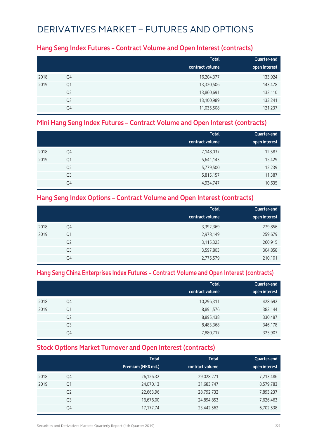# DERIVATIVES MARKET – FUTURES AND OPTIONS

### **Hang Seng Index Futures – Contract Volume and Open Interest (contracts)**

|      |                | <b>Total</b><br>contract volume | Quarter-end<br>open interest |
|------|----------------|---------------------------------|------------------------------|
| 2018 | Q4             | 16,204,377                      | 133,924                      |
| 2019 | Q1             | 13,320,506                      | 143,478                      |
|      | Q <sub>2</sub> | 13,860,691                      | 132,110                      |
|      | Q <sub>3</sub> | 13,100,989                      | 133,241                      |
|      | Q4             | 11,035,508                      | 121,237                      |

### **Mini Hang Seng Index Futures – Contract Volume and Open Interest (contracts)**

|      |                | <b>Total</b><br>contract volume | Quarter-end<br>open interest |
|------|----------------|---------------------------------|------------------------------|
| 2018 | Q4             | 7,148,037                       | 12,587                       |
| 2019 | Q1             | 5,641,143                       | 15,429                       |
|      | Q <sub>2</sub> | 5,779,500                       | 12,239                       |
|      | Q <sub>3</sub> | 5,815,157                       | 11,387                       |
|      | Q4             | 4,934,747                       | 10,635                       |

### **Hang Seng Index Options – Contract Volume and Open Interest (contracts)**

|      |                | <b>Total</b>    | Quarter-end   |
|------|----------------|-----------------|---------------|
|      |                | contract volume | open interest |
| 2018 | Q4             | 3,392,369       | 279,856       |
| 2019 | Q1             | 2,978,149       | 259,679       |
|      | Q <sub>2</sub> | 3,115,323       | 260,915       |
|      | Q <sub>3</sub> | 3,597,803       | 304,858       |
|      | Q4             | 2,775,579       | 210,101       |

### **Hang Seng China Enterprises Index Futures – Contract Volume and Open Interest (contracts)**

|      |                | <b>Total</b><br>contract volume | Quarter-end<br>open interest |
|------|----------------|---------------------------------|------------------------------|
| 2018 | Q4             | 10,296,311                      | 428,692                      |
| 2019 | Q1             | 8,891,576                       | 383,144                      |
|      | Q <sub>2</sub> | 8,895,438                       | 330,487                      |
|      | Q <sub>3</sub> | 8,483,368                       | 346,178                      |
|      | Q4             | 7,880,717                       | 325,907                      |

### **Stock Options Market Turnover and Open Interest (contracts)**

|      |                | <b>Total</b><br>Premium (HK\$ mil.) | <b>Total</b><br>contract volume | Quarter-end<br>open interest |
|------|----------------|-------------------------------------|---------------------------------|------------------------------|
| 2018 | Q4             | 26,126.32                           | 29,028,271                      | 7,213,486                    |
| 2019 | Q1             | 24,070.13                           | 31,683,747                      | 8,579,783                    |
|      | Q <sub>2</sub> | 22,663.96                           | 28,792,732                      | 7,893,237                    |
|      | Q3             | 16,676.00                           | 24,894,853                      | 7,626,463                    |
|      | Q4             | 17,177.74                           | 23,442,562                      | 6,702,538                    |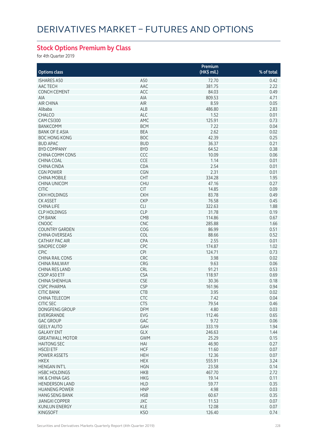## **Stock Options Premium by Class**

for 4th Quarter 2019

|                        |            | Premium     |            |
|------------------------|------------|-------------|------------|
| <b>Options class</b>   |            | (HK\$ mil.) | % of total |
| <b>ISHARES A50</b>     | A50        | 72.70       | 0.42       |
|                        |            |             |            |
| AAC TECH               | AAC        | 381.75      | 2.22       |
| <b>CONCH CEMENT</b>    | ACC        | 84.03       | 0.49       |
| AIA                    | AIA        | 809.53      | 4.71       |
| <b>AIR CHINA</b>       | AIR        | 8.59        | 0.05       |
| Alibaba                | ALB        | 486.80      | 2.83       |
| CHALCO                 | ALC        | 1.52        | 0.01       |
| CAM CSI300             | AMC        | 125.91      | 0.73       |
| <b>BANKCOMM</b>        | <b>BCM</b> | 7.22        | 0.04       |
| <b>BANK OF E ASIA</b>  | <b>BEA</b> | 2.62        | 0.02       |
| <b>BOC HONG KONG</b>   | <b>BOC</b> | 42.39       | 0.25       |
| <b>BUD APAC</b>        | <b>BUD</b> | 36.37       | 0.21       |
| <b>BYD COMPANY</b>     | <b>BYD</b> | 64.52       | 0.38       |
| <b>CHINA COMM CONS</b> | CCC        | 10.09       | 0.06       |
| <b>CHINA COAL</b>      | CCE        | 1.14        | 0.01       |
| <b>CHINA CINDA</b>     | CDA        | 2.54        | 0.01       |
| <b>CGN POWER</b>       | CGN        | 2.31        | 0.01       |
| <b>CHINA MOBILE</b>    | CHT        | 334.28      | 1.95       |
| <b>CHINA UNICOM</b>    | <b>CHU</b> | 47.16       | 0.27       |
|                        |            |             |            |
| <b>CITIC</b>           | <b>CIT</b> | 14.85       | 0.09       |
| <b>CKH HOLDINGS</b>    | <b>CKH</b> | 83.78       | 0.49       |
| <b>CK ASSET</b>        | <b>CKP</b> | 76.58       | 0.45       |
| <b>CHINA LIFE</b>      | <b>CLI</b> | 322.63      | 1.88       |
| <b>CLP HOLDINGS</b>    | <b>CLP</b> | 31.78       | 0.19       |
| <b>CM BANK</b>         | CMB        | 114.86      | 0.67       |
| <b>CNOOC</b>           | <b>CNC</b> | 285.88      | 1.66       |
| <b>COUNTRY GARDEN</b>  | COG        | 86.99       | 0.51       |
| <b>CHINA OVERSEAS</b>  | COL        | 88.66       | 0.52       |
| <b>CATHAY PAC AIR</b>  | CPA        | 2.55        | 0.01       |
| SINOPEC CORP           | CPC        | 174.87      | 1.02       |
| <b>CPIC</b>            | <b>CPI</b> | 124.71      | 0.73       |
| <b>CHINA RAIL CONS</b> | <b>CRC</b> | 3.98        | 0.02       |
| <b>CHINA RAILWAY</b>   | CRG        | 9.63        | 0.06       |
| <b>CHINA RES LAND</b>  | <b>CRL</b> | 91.21       | 0.53       |
| CSOP A50 ETF           | <b>CSA</b> | 118.97      | 0.69       |
| <b>CHINA SHENHUA</b>   | <b>CSE</b> | 30.36       | 0.18       |
| <b>CSPC PHARMA</b>     | <b>CSP</b> | 161.96      | 0.94       |
| <b>CITIC BANK</b>      | <b>CTB</b> | 3.95        | 0.02       |
|                        |            | 7.42        | 0.04       |
| CHINA TELECOM          | CTC        |             |            |
| <b>CITIC SEC</b>       | <b>CTS</b> | 79.54       | 0.46       |
| DONGFENG GROUP         | <b>DFM</b> | 4.80        | 0.03       |
| EVERGRANDE             | EVG        | 112.46      | 0.65       |
| <b>GAC GROUP</b>       | GAC        | 9.72        | 0.06       |
| <b>GEELY AUTO</b>      | GAH        | 333.19      | 1.94       |
| <b>GALAXY ENT</b>      | GLX        | 246.63      | 1.44       |
| <b>GREATWALL MOTOR</b> | <b>GWM</b> | 25.29       | 0.15       |
| <b>HAITONG SEC</b>     | HAI        | 46.90       | 0.27       |
| <b>HSCEI ETF</b>       | <b>HCF</b> | 11.60       | 0.07       |
| POWER ASSETS           | <b>HEH</b> | 12.36       | 0.07       |
| <b>HKEX</b>            | <b>HEX</b> | 555.91      | 3.24       |
| <b>HENGAN INT'L</b>    | <b>HGN</b> | 23.58       | 0.14       |
| <b>HSBC HOLDINGS</b>   | <b>HKB</b> | 467.70      | 2.72       |
| HK & CHINA GAS         | <b>HKG</b> | 19.14       | 0.11       |
| <b>HENDERSON LAND</b>  | <b>HLD</b> | 59.77       | 0.35       |
| <b>HUANENG POWER</b>   | <b>HNP</b> | 4.98        | 0.03       |
| <b>HANG SENG BANK</b>  | <b>HSB</b> | 60.67       | 0.35       |
| <b>JIANGXI COPPER</b>  | <b>JXC</b> | 11.53       | 0.07       |
| <b>KUNLUN ENERGY</b>   | <b>KLE</b> | 12.08       | 0.07       |
| KINGSOFT               | <b>KSO</b> | 126.40      | 0.74       |
|                        |            |             |            |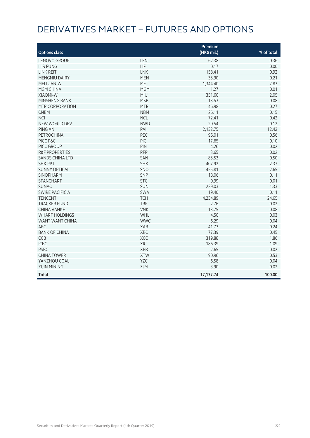# DERIVATIVES MARKET – FUTURES AND OPTIONS

| <b>Options class</b>      |            | Premium<br>(HK\$ mil.) | % of total |
|---------------------------|------------|------------------------|------------|
|                           |            |                        |            |
| <b>LENOVO GROUP</b>       | LEN        | 62.38                  | 0.36       |
| LI & FUNG                 | LIF        | 0.17                   | 0.00       |
| LINK REIT                 | <b>LNK</b> | 158.41                 | 0.92       |
| <b>MENGNIU DAIRY</b>      | <b>MEN</b> | 35.90                  | 0.21       |
| MEITUAN-W                 | <b>MET</b> | 1,344.40               | 7.83       |
| MGM CHINA                 | <b>MGM</b> | 1.27                   | 0.01       |
| <b>XIAOMI-W</b>           | <b>MIU</b> | 351.60                 | 2.05       |
| MINSHENG BANK             | <b>MSB</b> | 13.53                  | 0.08       |
| MTR CORPORATION           | <b>MTR</b> | 46.98                  | 0.27       |
| <b>CNBM</b>               | <b>NBM</b> | 26.11                  | 0.15       |
| <b>NCI</b>                | <b>NCL</b> | 72.41                  | 0.42       |
| <b>NEW WORLD DEV</b>      | <b>NWD</b> | 20.54                  | 0.12       |
| PING AN                   | PAI        | 2,132.75               | 12.42      |
| <b>PETROCHINA</b>         | PEC        | 96.01                  | 0.56       |
| PICC P&C                  | <b>PIC</b> | 17.65                  | 0.10       |
| PICC GROUP                | PIN        | 4.26                   | 0.02       |
| <b>R&amp;F PROPERTIES</b> | <b>RFP</b> | 3.65                   | 0.02       |
| <b>SANDS CHINA LTD</b>    | SAN        | 85.53                  | 0.50       |
| <b>SHK PPT</b>            | <b>SHK</b> | 407.92                 | 2.37       |
| <b>SUNNY OPTICAL</b>      | SNO        | 455.81                 | 2.65       |
| <b>SINOPHARM</b>          | SNP        | 18.06                  | 0.11       |
| <b>STANCHART</b>          | <b>STC</b> | 0.99                   | 0.01       |
| <b>SUNAC</b>              | <b>SUN</b> | 229.03                 | 1.33       |
| <b>SWIRE PACIFIC A</b>    | <b>SWA</b> | 19.40                  | 0.11       |
| <b>TENCENT</b>            | <b>TCH</b> | 4,234.89               | 24.65      |
| <b>TRACKER FUND</b>       | <b>TRF</b> | 2.76                   | 0.02       |
| <b>CHINA VANKE</b>        | <b>VNK</b> | 13.75                  | 0.08       |
| <b>WHARF HOLDINGS</b>     | WHL        | 4.50                   | 0.03       |
|                           | <b>WWC</b> | 6.29                   |            |
| WANT WANT CHINA           |            |                        | 0.04       |
| ABC                       | <b>XAB</b> | 41.73                  | 0.24       |
| <b>BANK OF CHINA</b>      | XBC        | 77.39                  | 0.45       |
| CCB                       | XCC        | 319.88                 | 1.86       |
| <b>ICBC</b>               | XIC        | 186.39                 | 1.09       |
| <b>PSBC</b>               | <b>XPB</b> | 2.65                   | 0.02       |
| <b>CHINA TOWER</b>        | <b>XTW</b> | 90.96                  | 0.53       |
| YANZHOU COAL              | <b>YZC</b> | 6.58                   | 0.04       |
| <b>ZIJIN MINING</b>       | ZJM        | 3.90                   | 0.02       |
| <b>Total</b>              |            | 17,177.74              | 100.00     |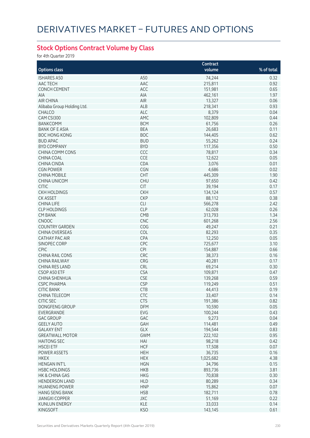## **Stock Options Contract Volume by Class**

for 4th Quarter 2019

|                            |            | <b>Contract</b> |            |
|----------------------------|------------|-----------------|------------|
| <b>Options class</b>       |            | volume          | % of total |
| <b>ISHARES A50</b>         | A50        | 74,244          | 0.32       |
| AAC TECH                   | AAC        | 215,811         | 0.92       |
| <b>CONCH CEMENT</b>        | ACC        | 151,981         | 0.65       |
| AIA                        | AIA        | 462,161         | 1.97       |
| <b>AIR CHINA</b>           | AIR        |                 | 0.06       |
|                            |            | 13,327          |            |
| Alibaba Group Holding Ltd. | ALB        | 218,341         | 0.93       |
| CHALCO                     | <b>ALC</b> | 8,379           | 0.04       |
| CAM CSI300                 | AMC        | 102,809         | 0.44       |
| <b>BANKCOMM</b>            | <b>BCM</b> | 61,756          | 0.26       |
| <b>BANK OF E ASIA</b>      | <b>BEA</b> | 26,683          | 0.11       |
| <b>BOC HONG KONG</b>       | <b>BOC</b> | 144,405         | 0.62       |
| <b>BUD APAC</b>            | <b>BUD</b> | 55,262          | 0.24       |
| <b>BYD COMPANY</b>         | <b>BYD</b> | 117,356         | 0.50       |
| CHINA COMM CONS            | CCC        | 78,817          | 0.34       |
| CHINA COAL                 | CCE        | 12,622          | 0.05       |
| CHINA CINDA                | CDA        | 3,076           | 0.01       |
| <b>CGN POWER</b>           | CGN        | 4,686           | 0.02       |
| <b>CHINA MOBILE</b>        | <b>CHT</b> | 445,309         | 1.90       |
| <b>CHINA UNICOM</b>        | <b>CHU</b> | 97,650          | 0.42       |
| <b>CITIC</b>               | <b>CIT</b> | 39,194          | 0.17       |
| <b>CKH HOLDINGS</b>        | <b>CKH</b> | 134,124         | 0.57       |
| <b>CK ASSET</b>            | <b>CKP</b> | 88,112          | 0.38       |
| <b>CHINA LIFE</b>          | <b>CLI</b> | 566,278         | 2.42       |
| <b>CLP HOLDINGS</b>        | <b>CLP</b> | 62,028          | 0.26       |
| <b>CM BANK</b>             | CMB        | 313,793         | 1.34       |
| CNOOC                      | <b>CNC</b> | 601,268         | 2.56       |
| <b>COUNTRY GARDEN</b>      | COG        | 49,247          | 0.21       |
| <b>CHINA OVERSEAS</b>      | COL        | 82,293          | 0.35       |
| <b>CATHAY PAC AIR</b>      | CPA        | 12,250          | 0.05       |
| SINOPEC CORP               | CPC        | 725,677         | 3.10       |
| <b>CPIC</b>                | <b>CPI</b> | 154,887         | 0.66       |
| <b>CHINA RAIL CONS</b>     | CRC        | 38,373          | 0.16       |
| CHINA RAILWAY              | CRG        | 40,281          | 0.17       |
| CHINA RES LAND             | CRL        | 69,214          | 0.30       |
| CSOP A50 ETF               | <b>CSA</b> | 109,871         | 0.47       |
| CHINA SHENHUA              | <b>CSE</b> | 139,268         | 0.59       |
| <b>CSPC PHARMA</b>         | <b>CSP</b> | 119,249         | 0.51       |
| <b>CITIC BANK</b>          | <b>CTB</b> | 44,413          | 0.19       |
| CHINA I ELECOM             | CTC        | 33,407          | 0.14       |
| <b>CITIC SEC</b>           | <b>CTS</b> | 191,386         | 0.82       |
| DONGFENG GROUP             | <b>DFM</b> | 10,590          | 0.05       |
| EVERGRANDE                 | EVG        | 100,244         | 0.43       |
| <b>GAC GROUP</b>           | GAC        | 9,273           | 0.04       |
| <b>GEELY AUTO</b>          | GAH        | 114,481         | 0.49       |
| <b>GALAXY ENT</b>          | GLX        | 194,544         | 0.83       |
| <b>GREATWALL MOTOR</b>     | <b>GWM</b> | 222,102         | 0.95       |
| <b>HAITONG SEC</b>         | HAI        | 98,218          | 0.42       |
|                            |            |                 |            |
| <b>HSCEI ETF</b>           | <b>HCF</b> | 17,508          | 0.07       |
| <b>POWER ASSETS</b>        | <b>HEH</b> | 36,735          | 0.16       |
| <b>HKEX</b>                | <b>HEX</b> | 1,025,682       | 4.38       |
| <b>HENGAN INT'L</b>        | <b>HGN</b> | 34,796          | 0.15       |
| <b>HSBC HOLDINGS</b>       | <b>HKB</b> | 893,736         | 3.81       |
| HK & CHINA GAS             | <b>HKG</b> | 70,838          | 0.30       |
| <b>HENDERSON LAND</b>      | <b>HLD</b> | 80,289          | 0.34       |
| <b>HUANENG POWER</b>       | <b>HNP</b> | 15,862          | 0.07       |
| <b>HANG SENG BANK</b>      | <b>HSB</b> | 182,711         | 0.78       |
| <b>JIANGXI COPPER</b>      | <b>JXC</b> | 51,169          | 0.22       |
| <b>KUNLUN ENERGY</b>       | KLE        | 33,033          | 0.14       |
| <b>KINGSOFT</b>            | <b>KSO</b> | 143,145         | 0.61       |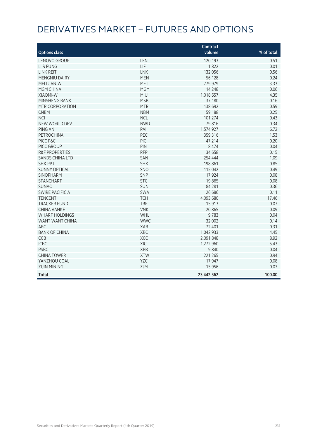# DERIVATIVES MARKET – FUTURES AND OPTIONS

|                           |            | Contract   |            |
|---------------------------|------------|------------|------------|
| <b>Options class</b>      |            | volume     | % of total |
| LENOVO GROUP              | LEN        | 120,193    | 0.51       |
| LI & FUNG                 | LIF        | 1,822      | 0.01       |
| <b>LINK REIT</b>          | <b>LNK</b> | 132,056    | 0.56       |
| MENGNIU DAIRY             | <b>MEN</b> | 56,128     | 0.24       |
| MEITUAN-W                 | <b>MET</b> | 779,979    | 3.33       |
| MGM CHINA                 | <b>MGM</b> | 14,248     | 0.06       |
| <b>XIAOMI-W</b>           | <b>MIU</b> | 1,018,657  | 4.35       |
| MINSHENG BANK             | <b>MSB</b> | 37,180     | 0.16       |
| <b>MTR CORPORATION</b>    | <b>MTR</b> | 138,692    | 0.59       |
| <b>CNBM</b>               | <b>NBM</b> | 59,188     | 0.25       |
| <b>NCI</b>                | <b>NCL</b> | 101,274    | 0.43       |
| NEW WORLD DEV             | <b>NWD</b> | 79,816     | 0.34       |
| PING AN                   | PAI        | 1,574,927  | 6.72       |
| PETROCHINA                | PEC        | 359,316    | 1.53       |
| PICC P&C                  | PIC        | 47,214     | 0.20       |
| PICC GROUP                | PIN        | 8,474      | 0.04       |
| <b>R&amp;F PROPERTIES</b> | <b>RFP</b> | 34,658     | 0.15       |
| <b>SANDS CHINA LTD</b>    | SAN        | 254,444    | 1.09       |
| <b>SHK PPT</b>            | <b>SHK</b> | 198,861    | 0.85       |
| <b>SUNNY OPTICAL</b>      | SNO        | 115,042    | 0.49       |
| <b>SINOPHARM</b>          | SNP        | 17,924     | 0.08       |
| <b>STANCHART</b>          | <b>STC</b> | 19,865     | 0.08       |
| <b>SUNAC</b>              | SUN        | 84,281     | 0.36       |
| <b>SWIRE PACIFIC A</b>    | <b>SWA</b> | 26,686     | 0.11       |
| <b>TENCENT</b>            | <b>TCH</b> | 4,093,680  | 17.46      |
| <b>TRACKER FUND</b>       | <b>TRF</b> | 15,913     | 0.07       |
| <b>CHINA VANKE</b>        | <b>VNK</b> | 20,865     | 0.09       |
| <b>WHARF HOLDINGS</b>     | WHL        | 9,783      | 0.04       |
| WANT WANT CHINA           | <b>WWC</b> | 32,002     | 0.14       |
| ABC                       | <b>XAB</b> | 72,401     | 0.31       |
| <b>BANK OF CHINA</b>      | XBC        | 1,042,933  | 4.45       |
| CCB                       | XCC        | 2,091,848  | 8.92       |
| <b>ICBC</b>               | XIC        | 1,272,960  | 5.43       |
| <b>PSBC</b>               | <b>XPB</b> | 9,840      | 0.04       |
| <b>CHINA TOWER</b>        | <b>XTW</b> | 221,265    | 0.94       |
| YANZHOU COAL              | YZC        | 17,947     | 0.08       |
| <b>ZIJIN MINING</b>       | ZJM        | 15,956     | 0.07       |
| <b>Total</b>              |            | 23,442,562 | 100.00     |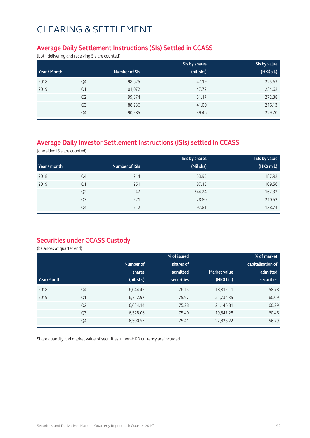### **Average Daily Settlement Instructions (SIs) Settled in CCASS**

(both delivering and receiving SIs are counted)

|              |                |               | SIs by shares | SIs by value |
|--------------|----------------|---------------|---------------|--------------|
| Year \ Month |                | Number of SIs | (bil. shs)    | (HK\$bil.)   |
| 2018         | Q4             | 98,625        | 47.19         | 225.63       |
| 2019         | Q <sub>1</sub> | 101,072       | 47.72         | 234.62       |
|              | Q <sub>2</sub> | 99,874        | 51.17         | 272.38       |
|              | Q <sub>3</sub> | 88,236        | 41.00         | 216.13       |
|              | Q4             | 90,585        | 39.46         | 229.70       |

## **Average Daily Investor Settlement Instructions (ISIs) settled in CCASS**

(one sided ISIs are counted)

|                       |                |                | <b>ISIs by shares</b> | <b>ISIs by value</b> |
|-----------------------|----------------|----------------|-----------------------|----------------------|
| $\forall$ ear \ month |                | Number of ISIs | (Mil shs)             | (HK\$ mil.)          |
| 2018                  | Q4             | 214            | 53.95                 | 187.92               |
| 2019                  | Q1             | 251            | 87.13                 | 109.56               |
|                       | Q <sub>2</sub> | 247            | 344.24                | 167.32               |
|                       | Q <sub>3</sub> | 221            | 78.80                 | 210.52               |
|                       | Q4             | 212            | 97.81                 | 138.74               |

### **Securities under CCASS Custody**

(balances at quarter end)

|            |                |            | % of issued       |                     | % of market       |
|------------|----------------|------------|-------------------|---------------------|-------------------|
|            |                | Number of  | shares of         |                     | capitalisation of |
|            |                | shares     | admitted          | <b>Market value</b> | admitted          |
| Year/Month |                | (bil. shs) | <b>securities</b> | (HK\$ bil.)         | securities        |
| 2018       | Q4             | 6,644.42   | 76.15             | 18,815.11           | 58.78             |
| 2019       | Q <sub>1</sub> | 6,712.97   | 75.97             | 21,734.35           | 60.09             |
|            | Q <sub>2</sub> | 6,634.14   | 75.28             | 21,146.81           | 60.29             |
|            | Q <sub>3</sub> | 6,578.06   | 75.40             | 19,847.28           | 60.46             |
|            | Q4             | 6,500.57   | 75.41             | 22,828.22           | 56.79             |

Share quantity and market value of securities in non-HKD currency are included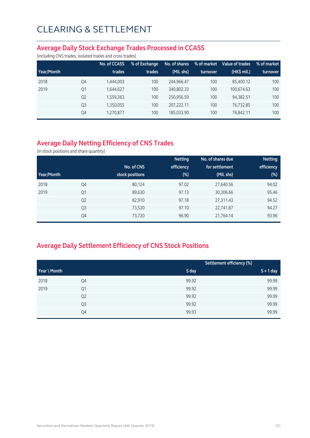#### **Average Daily Stock Exchange Trades Processed in CCASS**

(including CNS trades, isolated trades and cross trades)

|            |                | No. of CCASS | % of Exchange | No. of shares | % of market | Value of trades | % of market |
|------------|----------------|--------------|---------------|---------------|-------------|-----------------|-------------|
| Year/Month |                | trades       | trades        | (Mil. shs)    | turnover    | $(HK\$ mil.)    | turnover    |
| 2018       | Q4             | 1,444,003    | 100           | 244.966.47    | 100         | 85,400.12       | 100         |
| 2019       | Q1             | 1,644,627    | 100           | 340,802.33    | 100         | 100.674.63      | 100         |
|            | Q <sub>2</sub> | 1,559,363    | 100           | 250,956.59    | 100         | 94,382.51       | 100         |
|            | Q <sub>3</sub> | 1,350,055    | 100           | 207.222.11    | 100         | 76.732.85       | 100         |
|            | Q4             | 1,270,877    | 100           | 185,033.90    | 100         | 76,842.11       | 100         |

## **Average Daily Netting Efficiency of CNS Trades**

(in stock positions and share quantity)

|            |                |                 | <b>Netting</b> | No. of shares due | <b>Netting</b> |
|------------|----------------|-----------------|----------------|-------------------|----------------|
|            |                | No. of CNS      | efficiency     | for settlement    | efficiency     |
| Year/Month |                | stock positions | $(\%)$         | (Mil. shs)        | $(\%)$         |
| 2018       | Q4             | 80,124          | 97.02          | 27,640.56         | 94.02          |
| 2019       | Q1             | 89,630          | 97.13          | 30,306.66         | 95.46          |
|            | Q <sub>2</sub> | 82,910          | 97.18          | 27,311.43         | 94.52          |
|            | Q <sub>3</sub> | 73,520          | 97.10          | 22,741.87         | 94.27          |
|            | Q4             | 73,720          | 96.90          | 21,764.14         | 93.96          |

## **Average Daily Settlement Efficiency of CNS Stock Positions**

|              |                |       | Settlement efficiency (%) |
|--------------|----------------|-------|---------------------------|
| Year \ Month |                | S day | $S + 1$ day               |
| 2018         | Q4             | 99.92 | 99.99                     |
| 2019         | Q1             | 99.92 | 99.99                     |
|              | Q <sub>2</sub> | 99.92 | 99.99                     |
|              | Q3             | 99.92 | 99.99                     |
|              | Q4             | 99.93 | 99.99                     |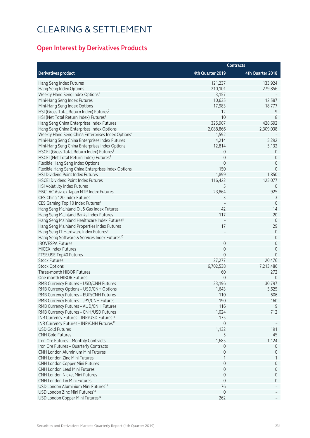## **Open Interest by Derivatives Products**

|                                                               | <b>Contracts</b> |                  |  |
|---------------------------------------------------------------|------------------|------------------|--|
| <b>Derivatives product</b>                                    | 4th Quarter 2019 | 4th Quarter 2018 |  |
| Hang Seng Index Futures                                       | 121,237          | 133,924          |  |
| Hang Seng Index Options                                       | 210,101          | 279,856          |  |
| Weekly Hang Seng Index Options <sup>1</sup>                   | 3,157            |                  |  |
| Mini-Hang Seng Index Futures                                  | 10,635           | 12,587           |  |
| Mini-Hang Seng Index Options                                  | 17,983           | 18,777           |  |
| HSI (Gross Total Return Index) Futures <sup>2</sup>           | 12               |                  |  |
| HSI (Net Total Return Index) Futures <sup>3</sup>             | 10               | 8                |  |
| Hang Seng China Enterprises Index Futures                     | 325,907          | 428,692          |  |
| Hang Seng China Enterprises Index Options                     | 2,088,866        | 2,309,038        |  |
| Weekly Hang Seng China Enterprises Index Options <sup>4</sup> | 1,592            |                  |  |
| Mini-Hang Seng China Enterprises Index Futures                | 4,214            | 5,292            |  |
| Mini-Hang Seng China Enterprises Index Options                | 12,814           | 5,132            |  |
| HSCEI (Gross Total Return Index) Futures <sup>5</sup>         | 0                | 0                |  |
| HSCEI (Net Total Return Index) Futures <sup>6</sup>           | $\mathbf 0$      | 0                |  |
| Flexible Hang Seng Index Options                              | $\mathbf 0$      | 0                |  |
| Flexible Hang Seng China Enterprises Index Options            | 150              | $\mathbf 0$      |  |
| HSI Dividend Point Index Futures                              | 1,899            | 1,850            |  |
| <b>HSCEI Dividend Point Index Futures</b>                     | 116,422          | 125,077          |  |
| HSI Volatility Index Futures                                  | 5                | 0                |  |
| MSCI AC Asia ex Japan NTR Index Futures                       | 23,864           | 925              |  |
| CES China 120 Index Futures                                   | 3                | 3                |  |
| CES Gaming Top 10 Index Futures <sup>7</sup>                  |                  | $\overline{0}$   |  |
| Hang Seng Mainland Oil & Gas Index Futures                    | 42               | 14               |  |
| Hang Seng Mainland Banks Index Futures                        | 117              | 20               |  |
| Hang Seng Mainland Healthcare Index Futures <sup>8</sup>      |                  | $\overline{0}$   |  |
| Hang Seng Mainland Properties Index Futures                   | 17               | 29               |  |
| Hang Seng IT Hardware Index Futures <sup>9</sup>              |                  | $\mathbf 0$      |  |
| Hang Seng Software & Services Index Futures <sup>10</sup>     |                  | 0                |  |
| <b>IBOVESPA Futures</b>                                       | $\mathbf 0$      | $\mathbf 0$      |  |
| MICEX Index Futures                                           | 0                | 0                |  |
| FTSE/JSE Top40 Futures                                        | $\mathbf 0$      | $\Omega$         |  |
| <b>Stock Futures</b>                                          | 27,277           | 20,476           |  |
| <b>Stock Options</b>                                          | 6,702,538        | 7,213,486        |  |
| Three-month HIBOR Futures                                     | 60               | 272              |  |
| One-month HIBOR Futures                                       | 0                | 0                |  |
| RMB Currency Futures - USD/CNH Futures                        | 23,196           | 30,797           |  |
| RMB Currency Options - USD/CNH Options                        | 1,643            | 5,625            |  |
| RMB Currency Futures - EUR/CNH Futures                        | 110              | 606              |  |
| RMB Currency Futures - JPY/CNH Futures                        | 190              | 160              |  |
| RMB Currency Futures - AUD/CNH Futures                        | 116              | 9                |  |
| RMB Currency Futures - CNH/USD Futures                        | 1,024            | 712              |  |
| INR Currency Futures - INR/USD Futures <sup>11</sup>          | 175              |                  |  |
| INR Currency Futures - INR/CNH Futures <sup>12</sup>          | 0                |                  |  |
| <b>USD Gold Futures</b>                                       | 1,132            | 191              |  |
| <b>CNH Gold Futures</b>                                       | 5                | 45               |  |
| Iron Ore Futures - Monthly Contracts                          | 1,685            | 1,124            |  |
| Iron Ore Futures - Quarterly Contracts                        | 0                | 0                |  |
| <b>CNH London Aluminium Mini Futures</b>                      | 0                | 0                |  |
| <b>CNH London Zinc Mini Futures</b>                           |                  | 1                |  |
| CNH London Copper Mini Futures                                | $\mathbf 0$      | 0                |  |
| <b>CNH London Lead Mini Futures</b>                           | 0                | 0                |  |
| CNH London Nickel Mini Futures                                | 0                | 0                |  |
| <b>CNH London Tin Mini Futures</b>                            | $\mathbf 0$      | 0                |  |
| USD London Aluminium Mini Futures <sup>13</sup>               | 76               |                  |  |
| USD London Zinc Mini Futures <sup>14</sup>                    | $\mathbf 0$      |                  |  |
| USD London Copper Mini Futures <sup>15</sup>                  | 262              |                  |  |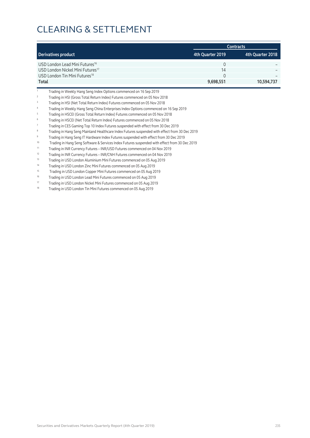|                                              |                  | <b>Contracts</b> |
|----------------------------------------------|------------------|------------------|
| Derivatives product                          | 4th Quarter 2019 | 4th Quarter 2018 |
| USD London Lead Mini Futures <sup>16</sup>   | 0                |                  |
| USD London Nickel Mini Futures <sup>17</sup> | 14               |                  |
| USD London Tin Mini Futures <sup>18</sup>    | 0                |                  |
| Total                                        | 9,698,551        | 10,594,737       |

<sup>1</sup> Trading in Weekly Hang Seng Index Options commenced on 16 Sep 2019

- <sup>2</sup> Trading in HSI (Gross Total Return Index) Futures commenced on 05 Nov 2018
- 3 Trading in HSI (Net Total Return Index) Futures commenced on 05 Nov 2018
- <sup>4</sup> Trading in Weekly Hang Seng China Enterprises Index Options commenced on 16 Sep 2019
- 5 Trading in HSCEI (Gross Total Return Index) Futures commenced on 05 Nov 2018
- 6 Trading in HSCEI (Net Total Return Index) Futures commenced on 05 Nov 2018
- 7 Trading in CES Gaming Top 10 Index Futures suspended with effect from 30 Dec 2019
- 8 Trading in Hang Seng Mainland Healthcare Index Futures suspended with effect from 30 Dec 2019
- <sup>9</sup> Trading in Hang Seng IT Hardware Index Futures suspended with effect from 30 Dec 2019
- <sup>10</sup> Trading in Hang Seng Software & Services Index Futures suspended with effect from 30 Dec 2019
- 11 Trading in INR Currency Futures INR/USD Futures commenced on 04 Nov 2019
- <sup>12</sup> Trading in INR Currency Futures INR/CNH Futures commenced on 04 Nov 2019
- <sup>13</sup> Trading in USD London Aluminium Mini Futures commenced on 05 Aug 2019
- 14 Trading in USD London Zinc Mini Futures commenced on 05 Aug 2019<br>15 Trading in USD London Copper Mini Futures commenced on 05 Aug 20
- 15 Trading in USD London Copper Mini Futures commenced on 05 Aug 2019
- <sup>16</sup> Trading in USD London Lead Mini Futures commenced on 05 Aug 2019
- 17 Trading in USD London Nickel Mini Futures commenced on 05 Aug 2019
- 18 Trading in USD London Tin Mini Futures commenced on 05 Aug 2019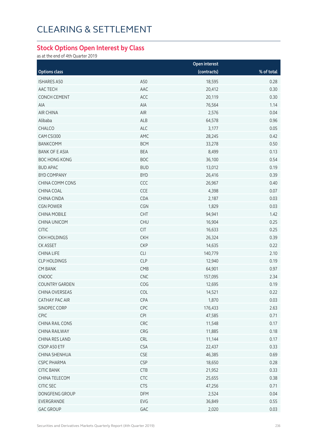## **Stock Options Open Interest by Class**

as at the end of 4th Quarter 2019

|                       | Open interest |             |            |  |  |
|-----------------------|---------------|-------------|------------|--|--|
| <b>Options class</b>  |               | (contracts) | % of total |  |  |
| <b>ISHARES A50</b>    | A50           | 18,595      | 0.28       |  |  |
| AAC TECH              | AAC           | 20,412      | 0.30       |  |  |
| <b>CONCH CEMENT</b>   | ACC           | 20,119      | 0.30       |  |  |
| AIA                   | AIA           | 76,564      | 1.14       |  |  |
| AIR CHINA             | AIR           | 2,576       | 0.04       |  |  |
| Alibaba               | ALB           | 64,578      | 0.96       |  |  |
| CHALCO                | <b>ALC</b>    | 3,177       | 0.05       |  |  |
| CAM CSI300            | AMC           | 28,245      | 0.42       |  |  |
| <b>BANKCOMM</b>       | <b>BCM</b>    | 33,278      | 0.50       |  |  |
| <b>BANK OF E ASIA</b> | <b>BEA</b>    | 8,499       | 0.13       |  |  |
| <b>BOC HONG KONG</b>  | <b>BOC</b>    | 36,100      | 0.54       |  |  |
| <b>BUD APAC</b>       | <b>BUD</b>    | 13,012      | 0.19       |  |  |
| <b>BYD COMPANY</b>    | <b>BYD</b>    | 26,416      | 0.39       |  |  |
| CHINA COMM CONS       | CCC           | 26,967      | 0.40       |  |  |
| CHINA COAL            | CCE           | 4,398       | 0.07       |  |  |
| CHINA CINDA           | CDA           | 2,187       | 0.03       |  |  |
| <b>CGN POWER</b>      | CGN           | 1,829       | 0.03       |  |  |
| <b>CHINA MOBILE</b>   | CHT           | 94,941      | 1.42       |  |  |
| CHINA UNICOM          | <b>CHU</b>    | 16,904      | 0.25       |  |  |
| <b>CITIC</b>          | CIT           | 16,633      | 0.25       |  |  |
| <b>CKH HOLDINGS</b>   | <b>CKH</b>    | 26,324      | 0.39       |  |  |
| CK ASSET              | <b>CKP</b>    | 14,635      | 0.22       |  |  |
| <b>CHINA LIFE</b>     | CLI           | 140,779     | 2.10       |  |  |
| <b>CLP HOLDINGS</b>   | <b>CLP</b>    | 12,940      | 0.19       |  |  |
| <b>CM BANK</b>        | CMB           | 64,901      | 0.97       |  |  |
| CNOOC                 | CNC           | 157,095     | 2.34       |  |  |
| <b>COUNTRY GARDEN</b> | COG           | 12,695      | 0.19       |  |  |
| <b>CHINA OVERSEAS</b> | <b>COL</b>    | 14,521      | 0.22       |  |  |
| CATHAY PAC AIR        | CPA           | 1,870       | 0.03       |  |  |
| SINOPEC CORP          | CPC           | 176,433     | 2.63       |  |  |
| CPIC                  | CPI           | 47,585      | 0.71       |  |  |
| CHINA RAIL CONS       | <b>CRC</b>    | 11,548      | 0.17       |  |  |
| CHINA RAILWAY         | CRG           | 11,885      | 0.18       |  |  |
| CHINA RES LAND        | <b>CRL</b>    | 11,144      | 0.17       |  |  |
| CSOP A50 ETF          | <b>CSA</b>    | 22,437      | 0.33       |  |  |
| CHINA SHENHUA         | <b>CSE</b>    | 46,385      | 0.69       |  |  |
| <b>CSPC PHARMA</b>    | <b>CSP</b>    | 18,650      | 0.28       |  |  |
| <b>CITIC BANK</b>     | <b>CTB</b>    | 21,952      | 0.33       |  |  |
| CHINA TELECOM         | <b>CTC</b>    | 25,655      | 0.38       |  |  |
| CITIC SEC             | <b>CTS</b>    | 47,256      | 0.71       |  |  |
| DONGFENG GROUP        | DFM           | 2,524       | 0.04       |  |  |
| EVERGRANDE            | EVG           | 36,849      | 0.55       |  |  |
| <b>GAC GROUP</b>      | GAC           | 2,020       | 0.03       |  |  |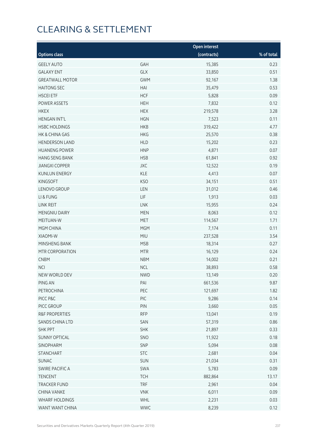| % of total<br><b>Options class</b><br>(contracts)<br>GAH<br>0.23<br>15,385<br><b>GEELY AUTO</b><br>GLX<br>0.51<br><b>GALAXY ENT</b><br>33,850<br>1.38<br><b>GREATWALL MOTOR</b><br><b>GWM</b><br>92,167<br>HAI<br><b>HAITONG SEC</b><br>35,479<br>0.53<br><b>HCF</b><br><b>HSCEI ETF</b><br>5,828<br>0.09<br><b>HEH</b><br>0.12<br>POWER ASSETS<br>7,832<br><b>HEX</b><br><b>HKEX</b><br>219,578<br>3.28<br><b>HGN</b><br>0.11<br><b>HENGAN INT'L</b><br>7,523<br><b>HKB</b><br>319,422<br>4.77<br><b>HSBC HOLDINGS</b><br><b>HKG</b><br>0.38<br>HK & CHINA GAS<br>25,570<br><b>HLD</b><br>0.23<br><b>HENDERSON LAND</b><br>15,202<br><b>HNP</b><br>0.07<br><b>HUANENG POWER</b><br>4,871<br><b>HSB</b><br>61,841<br>0.92<br><b>HANG SENG BANK</b><br><b>JXC</b><br>0.19<br><b>JIANGXI COPPER</b><br>12,522<br>KLE<br>4,413<br>0.07<br>KUNLUN ENERGY<br><b>KSO</b><br>0.51<br><b>KINGSOFT</b><br>34,151<br>LENOVO GROUP<br>LEN<br>31,012<br>0.46<br>${\sf LIF}$<br>0.03<br>LI & FUNG<br>1,913<br>LNK<br>0.24<br>LINK REIT<br>15,955<br><b>MEN</b><br>0.12<br>MENGNIU DAIRY<br>8,063<br><b>MET</b><br>1.71<br>MEITUAN-W<br>114,567<br><b>MGM</b><br>0.11<br>MGM CHINA<br>7,174<br><b>MIU</b><br>XIAOMI-W<br>3.54<br>237,528<br><b>MSB</b><br>0.27<br>MINSHENG BANK<br>18,314<br><b>MTR</b><br>16,129<br>0.24<br>MTR CORPORATION<br><b>NBM</b><br>0.21<br><b>CNBM</b><br>14,002<br>NCL<br><b>NCI</b><br>38,893<br>0.58<br>NEW WORLD DEV<br><b>NWD</b><br>13,149<br>0.20<br>PAI<br>9.87<br>PING AN<br>661,536<br>PEC<br>1.82<br>PETROCHINA<br>121,697<br>PIC<br>PICC P&C<br>0.14<br>9,286<br>PIN<br>PICC GROUP<br>3,660<br>0.05<br><b>RFP</b><br>R&F PROPERTIES<br>13,041<br>0.19<br>SAN<br><b>SANDS CHINA LTD</b><br>57,319<br>0.86<br><b>SHK PPT</b><br><b>SHK</b><br>0.33<br>21,897<br>SNO<br><b>SUNNY OPTICAL</b><br>0.18<br>11,922<br>SINOPHARM<br>SNP<br>5,094<br>0.08<br><b>STC</b><br><b>STANCHART</b><br>2,681<br>0.04<br><b>SUNAC</b><br>SUN<br>21,034<br>0.31<br>SWA<br>SWIRE PACIFIC A<br>5,783<br>0.09<br>13.17<br><b>TENCENT</b><br><b>TCH</b><br>882,864<br><b>TRF</b><br>0.04<br><b>TRACKER FUND</b><br>2,961<br><b>VNK</b><br>6,011<br>0.09<br>CHINA VANKE<br>WHL<br>0.03<br>WHARF HOLDINGS<br>2,231 |                 |            | Open interest |      |  |
|--------------------------------------------------------------------------------------------------------------------------------------------------------------------------------------------------------------------------------------------------------------------------------------------------------------------------------------------------------------------------------------------------------------------------------------------------------------------------------------------------------------------------------------------------------------------------------------------------------------------------------------------------------------------------------------------------------------------------------------------------------------------------------------------------------------------------------------------------------------------------------------------------------------------------------------------------------------------------------------------------------------------------------------------------------------------------------------------------------------------------------------------------------------------------------------------------------------------------------------------------------------------------------------------------------------------------------------------------------------------------------------------------------------------------------------------------------------------------------------------------------------------------------------------------------------------------------------------------------------------------------------------------------------------------------------------------------------------------------------------------------------------------------------------------------------------------------------------------------------------------------------------------------------------------------------------------------------------------------------------------------------------------------------------------------------------------------------------------------------------------------------------------------------------------------------------------------------------|-----------------|------------|---------------|------|--|
|                                                                                                                                                                                                                                                                                                                                                                                                                                                                                                                                                                                                                                                                                                                                                                                                                                                                                                                                                                                                                                                                                                                                                                                                                                                                                                                                                                                                                                                                                                                                                                                                                                                                                                                                                                                                                                                                                                                                                                                                                                                                                                                                                                                                                    |                 |            |               |      |  |
|                                                                                                                                                                                                                                                                                                                                                                                                                                                                                                                                                                                                                                                                                                                                                                                                                                                                                                                                                                                                                                                                                                                                                                                                                                                                                                                                                                                                                                                                                                                                                                                                                                                                                                                                                                                                                                                                                                                                                                                                                                                                                                                                                                                                                    |                 |            |               |      |  |
|                                                                                                                                                                                                                                                                                                                                                                                                                                                                                                                                                                                                                                                                                                                                                                                                                                                                                                                                                                                                                                                                                                                                                                                                                                                                                                                                                                                                                                                                                                                                                                                                                                                                                                                                                                                                                                                                                                                                                                                                                                                                                                                                                                                                                    |                 |            |               |      |  |
|                                                                                                                                                                                                                                                                                                                                                                                                                                                                                                                                                                                                                                                                                                                                                                                                                                                                                                                                                                                                                                                                                                                                                                                                                                                                                                                                                                                                                                                                                                                                                                                                                                                                                                                                                                                                                                                                                                                                                                                                                                                                                                                                                                                                                    |                 |            |               |      |  |
|                                                                                                                                                                                                                                                                                                                                                                                                                                                                                                                                                                                                                                                                                                                                                                                                                                                                                                                                                                                                                                                                                                                                                                                                                                                                                                                                                                                                                                                                                                                                                                                                                                                                                                                                                                                                                                                                                                                                                                                                                                                                                                                                                                                                                    |                 |            |               |      |  |
|                                                                                                                                                                                                                                                                                                                                                                                                                                                                                                                                                                                                                                                                                                                                                                                                                                                                                                                                                                                                                                                                                                                                                                                                                                                                                                                                                                                                                                                                                                                                                                                                                                                                                                                                                                                                                                                                                                                                                                                                                                                                                                                                                                                                                    |                 |            |               |      |  |
|                                                                                                                                                                                                                                                                                                                                                                                                                                                                                                                                                                                                                                                                                                                                                                                                                                                                                                                                                                                                                                                                                                                                                                                                                                                                                                                                                                                                                                                                                                                                                                                                                                                                                                                                                                                                                                                                                                                                                                                                                                                                                                                                                                                                                    |                 |            |               |      |  |
|                                                                                                                                                                                                                                                                                                                                                                                                                                                                                                                                                                                                                                                                                                                                                                                                                                                                                                                                                                                                                                                                                                                                                                                                                                                                                                                                                                                                                                                                                                                                                                                                                                                                                                                                                                                                                                                                                                                                                                                                                                                                                                                                                                                                                    |                 |            |               |      |  |
|                                                                                                                                                                                                                                                                                                                                                                                                                                                                                                                                                                                                                                                                                                                                                                                                                                                                                                                                                                                                                                                                                                                                                                                                                                                                                                                                                                                                                                                                                                                                                                                                                                                                                                                                                                                                                                                                                                                                                                                                                                                                                                                                                                                                                    |                 |            |               |      |  |
|                                                                                                                                                                                                                                                                                                                                                                                                                                                                                                                                                                                                                                                                                                                                                                                                                                                                                                                                                                                                                                                                                                                                                                                                                                                                                                                                                                                                                                                                                                                                                                                                                                                                                                                                                                                                                                                                                                                                                                                                                                                                                                                                                                                                                    |                 |            |               |      |  |
|                                                                                                                                                                                                                                                                                                                                                                                                                                                                                                                                                                                                                                                                                                                                                                                                                                                                                                                                                                                                                                                                                                                                                                                                                                                                                                                                                                                                                                                                                                                                                                                                                                                                                                                                                                                                                                                                                                                                                                                                                                                                                                                                                                                                                    |                 |            |               |      |  |
|                                                                                                                                                                                                                                                                                                                                                                                                                                                                                                                                                                                                                                                                                                                                                                                                                                                                                                                                                                                                                                                                                                                                                                                                                                                                                                                                                                                                                                                                                                                                                                                                                                                                                                                                                                                                                                                                                                                                                                                                                                                                                                                                                                                                                    |                 |            |               |      |  |
|                                                                                                                                                                                                                                                                                                                                                                                                                                                                                                                                                                                                                                                                                                                                                                                                                                                                                                                                                                                                                                                                                                                                                                                                                                                                                                                                                                                                                                                                                                                                                                                                                                                                                                                                                                                                                                                                                                                                                                                                                                                                                                                                                                                                                    |                 |            |               |      |  |
|                                                                                                                                                                                                                                                                                                                                                                                                                                                                                                                                                                                                                                                                                                                                                                                                                                                                                                                                                                                                                                                                                                                                                                                                                                                                                                                                                                                                                                                                                                                                                                                                                                                                                                                                                                                                                                                                                                                                                                                                                                                                                                                                                                                                                    |                 |            |               |      |  |
|                                                                                                                                                                                                                                                                                                                                                                                                                                                                                                                                                                                                                                                                                                                                                                                                                                                                                                                                                                                                                                                                                                                                                                                                                                                                                                                                                                                                                                                                                                                                                                                                                                                                                                                                                                                                                                                                                                                                                                                                                                                                                                                                                                                                                    |                 |            |               |      |  |
|                                                                                                                                                                                                                                                                                                                                                                                                                                                                                                                                                                                                                                                                                                                                                                                                                                                                                                                                                                                                                                                                                                                                                                                                                                                                                                                                                                                                                                                                                                                                                                                                                                                                                                                                                                                                                                                                                                                                                                                                                                                                                                                                                                                                                    |                 |            |               |      |  |
|                                                                                                                                                                                                                                                                                                                                                                                                                                                                                                                                                                                                                                                                                                                                                                                                                                                                                                                                                                                                                                                                                                                                                                                                                                                                                                                                                                                                                                                                                                                                                                                                                                                                                                                                                                                                                                                                                                                                                                                                                                                                                                                                                                                                                    |                 |            |               |      |  |
|                                                                                                                                                                                                                                                                                                                                                                                                                                                                                                                                                                                                                                                                                                                                                                                                                                                                                                                                                                                                                                                                                                                                                                                                                                                                                                                                                                                                                                                                                                                                                                                                                                                                                                                                                                                                                                                                                                                                                                                                                                                                                                                                                                                                                    |                 |            |               |      |  |
|                                                                                                                                                                                                                                                                                                                                                                                                                                                                                                                                                                                                                                                                                                                                                                                                                                                                                                                                                                                                                                                                                                                                                                                                                                                                                                                                                                                                                                                                                                                                                                                                                                                                                                                                                                                                                                                                                                                                                                                                                                                                                                                                                                                                                    |                 |            |               |      |  |
|                                                                                                                                                                                                                                                                                                                                                                                                                                                                                                                                                                                                                                                                                                                                                                                                                                                                                                                                                                                                                                                                                                                                                                                                                                                                                                                                                                                                                                                                                                                                                                                                                                                                                                                                                                                                                                                                                                                                                                                                                                                                                                                                                                                                                    |                 |            |               |      |  |
|                                                                                                                                                                                                                                                                                                                                                                                                                                                                                                                                                                                                                                                                                                                                                                                                                                                                                                                                                                                                                                                                                                                                                                                                                                                                                                                                                                                                                                                                                                                                                                                                                                                                                                                                                                                                                                                                                                                                                                                                                                                                                                                                                                                                                    |                 |            |               |      |  |
|                                                                                                                                                                                                                                                                                                                                                                                                                                                                                                                                                                                                                                                                                                                                                                                                                                                                                                                                                                                                                                                                                                                                                                                                                                                                                                                                                                                                                                                                                                                                                                                                                                                                                                                                                                                                                                                                                                                                                                                                                                                                                                                                                                                                                    |                 |            |               |      |  |
|                                                                                                                                                                                                                                                                                                                                                                                                                                                                                                                                                                                                                                                                                                                                                                                                                                                                                                                                                                                                                                                                                                                                                                                                                                                                                                                                                                                                                                                                                                                                                                                                                                                                                                                                                                                                                                                                                                                                                                                                                                                                                                                                                                                                                    |                 |            |               |      |  |
|                                                                                                                                                                                                                                                                                                                                                                                                                                                                                                                                                                                                                                                                                                                                                                                                                                                                                                                                                                                                                                                                                                                                                                                                                                                                                                                                                                                                                                                                                                                                                                                                                                                                                                                                                                                                                                                                                                                                                                                                                                                                                                                                                                                                                    |                 |            |               |      |  |
|                                                                                                                                                                                                                                                                                                                                                                                                                                                                                                                                                                                                                                                                                                                                                                                                                                                                                                                                                                                                                                                                                                                                                                                                                                                                                                                                                                                                                                                                                                                                                                                                                                                                                                                                                                                                                                                                                                                                                                                                                                                                                                                                                                                                                    |                 |            |               |      |  |
|                                                                                                                                                                                                                                                                                                                                                                                                                                                                                                                                                                                                                                                                                                                                                                                                                                                                                                                                                                                                                                                                                                                                                                                                                                                                                                                                                                                                                                                                                                                                                                                                                                                                                                                                                                                                                                                                                                                                                                                                                                                                                                                                                                                                                    |                 |            |               |      |  |
|                                                                                                                                                                                                                                                                                                                                                                                                                                                                                                                                                                                                                                                                                                                                                                                                                                                                                                                                                                                                                                                                                                                                                                                                                                                                                                                                                                                                                                                                                                                                                                                                                                                                                                                                                                                                                                                                                                                                                                                                                                                                                                                                                                                                                    |                 |            |               |      |  |
|                                                                                                                                                                                                                                                                                                                                                                                                                                                                                                                                                                                                                                                                                                                                                                                                                                                                                                                                                                                                                                                                                                                                                                                                                                                                                                                                                                                                                                                                                                                                                                                                                                                                                                                                                                                                                                                                                                                                                                                                                                                                                                                                                                                                                    |                 |            |               |      |  |
|                                                                                                                                                                                                                                                                                                                                                                                                                                                                                                                                                                                                                                                                                                                                                                                                                                                                                                                                                                                                                                                                                                                                                                                                                                                                                                                                                                                                                                                                                                                                                                                                                                                                                                                                                                                                                                                                                                                                                                                                                                                                                                                                                                                                                    |                 |            |               |      |  |
|                                                                                                                                                                                                                                                                                                                                                                                                                                                                                                                                                                                                                                                                                                                                                                                                                                                                                                                                                                                                                                                                                                                                                                                                                                                                                                                                                                                                                                                                                                                                                                                                                                                                                                                                                                                                                                                                                                                                                                                                                                                                                                                                                                                                                    |                 |            |               |      |  |
|                                                                                                                                                                                                                                                                                                                                                                                                                                                                                                                                                                                                                                                                                                                                                                                                                                                                                                                                                                                                                                                                                                                                                                                                                                                                                                                                                                                                                                                                                                                                                                                                                                                                                                                                                                                                                                                                                                                                                                                                                                                                                                                                                                                                                    |                 |            |               |      |  |
|                                                                                                                                                                                                                                                                                                                                                                                                                                                                                                                                                                                                                                                                                                                                                                                                                                                                                                                                                                                                                                                                                                                                                                                                                                                                                                                                                                                                                                                                                                                                                                                                                                                                                                                                                                                                                                                                                                                                                                                                                                                                                                                                                                                                                    |                 |            |               |      |  |
|                                                                                                                                                                                                                                                                                                                                                                                                                                                                                                                                                                                                                                                                                                                                                                                                                                                                                                                                                                                                                                                                                                                                                                                                                                                                                                                                                                                                                                                                                                                                                                                                                                                                                                                                                                                                                                                                                                                                                                                                                                                                                                                                                                                                                    |                 |            |               |      |  |
|                                                                                                                                                                                                                                                                                                                                                                                                                                                                                                                                                                                                                                                                                                                                                                                                                                                                                                                                                                                                                                                                                                                                                                                                                                                                                                                                                                                                                                                                                                                                                                                                                                                                                                                                                                                                                                                                                                                                                                                                                                                                                                                                                                                                                    |                 |            |               |      |  |
|                                                                                                                                                                                                                                                                                                                                                                                                                                                                                                                                                                                                                                                                                                                                                                                                                                                                                                                                                                                                                                                                                                                                                                                                                                                                                                                                                                                                                                                                                                                                                                                                                                                                                                                                                                                                                                                                                                                                                                                                                                                                                                                                                                                                                    |                 |            |               |      |  |
|                                                                                                                                                                                                                                                                                                                                                                                                                                                                                                                                                                                                                                                                                                                                                                                                                                                                                                                                                                                                                                                                                                                                                                                                                                                                                                                                                                                                                                                                                                                                                                                                                                                                                                                                                                                                                                                                                                                                                                                                                                                                                                                                                                                                                    |                 |            |               |      |  |
|                                                                                                                                                                                                                                                                                                                                                                                                                                                                                                                                                                                                                                                                                                                                                                                                                                                                                                                                                                                                                                                                                                                                                                                                                                                                                                                                                                                                                                                                                                                                                                                                                                                                                                                                                                                                                                                                                                                                                                                                                                                                                                                                                                                                                    |                 |            |               |      |  |
|                                                                                                                                                                                                                                                                                                                                                                                                                                                                                                                                                                                                                                                                                                                                                                                                                                                                                                                                                                                                                                                                                                                                                                                                                                                                                                                                                                                                                                                                                                                                                                                                                                                                                                                                                                                                                                                                                                                                                                                                                                                                                                                                                                                                                    |                 |            |               |      |  |
|                                                                                                                                                                                                                                                                                                                                                                                                                                                                                                                                                                                                                                                                                                                                                                                                                                                                                                                                                                                                                                                                                                                                                                                                                                                                                                                                                                                                                                                                                                                                                                                                                                                                                                                                                                                                                                                                                                                                                                                                                                                                                                                                                                                                                    |                 |            |               |      |  |
|                                                                                                                                                                                                                                                                                                                                                                                                                                                                                                                                                                                                                                                                                                                                                                                                                                                                                                                                                                                                                                                                                                                                                                                                                                                                                                                                                                                                                                                                                                                                                                                                                                                                                                                                                                                                                                                                                                                                                                                                                                                                                                                                                                                                                    |                 |            |               |      |  |
|                                                                                                                                                                                                                                                                                                                                                                                                                                                                                                                                                                                                                                                                                                                                                                                                                                                                                                                                                                                                                                                                                                                                                                                                                                                                                                                                                                                                                                                                                                                                                                                                                                                                                                                                                                                                                                                                                                                                                                                                                                                                                                                                                                                                                    |                 |            |               |      |  |
|                                                                                                                                                                                                                                                                                                                                                                                                                                                                                                                                                                                                                                                                                                                                                                                                                                                                                                                                                                                                                                                                                                                                                                                                                                                                                                                                                                                                                                                                                                                                                                                                                                                                                                                                                                                                                                                                                                                                                                                                                                                                                                                                                                                                                    |                 |            |               |      |  |
|                                                                                                                                                                                                                                                                                                                                                                                                                                                                                                                                                                                                                                                                                                                                                                                                                                                                                                                                                                                                                                                                                                                                                                                                                                                                                                                                                                                                                                                                                                                                                                                                                                                                                                                                                                                                                                                                                                                                                                                                                                                                                                                                                                                                                    |                 |            |               |      |  |
|                                                                                                                                                                                                                                                                                                                                                                                                                                                                                                                                                                                                                                                                                                                                                                                                                                                                                                                                                                                                                                                                                                                                                                                                                                                                                                                                                                                                                                                                                                                                                                                                                                                                                                                                                                                                                                                                                                                                                                                                                                                                                                                                                                                                                    |                 |            |               |      |  |
|                                                                                                                                                                                                                                                                                                                                                                                                                                                                                                                                                                                                                                                                                                                                                                                                                                                                                                                                                                                                                                                                                                                                                                                                                                                                                                                                                                                                                                                                                                                                                                                                                                                                                                                                                                                                                                                                                                                                                                                                                                                                                                                                                                                                                    |                 |            |               |      |  |
|                                                                                                                                                                                                                                                                                                                                                                                                                                                                                                                                                                                                                                                                                                                                                                                                                                                                                                                                                                                                                                                                                                                                                                                                                                                                                                                                                                                                                                                                                                                                                                                                                                                                                                                                                                                                                                                                                                                                                                                                                                                                                                                                                                                                                    | WANT WANT CHINA | <b>WWC</b> | 8,239         | 0.12 |  |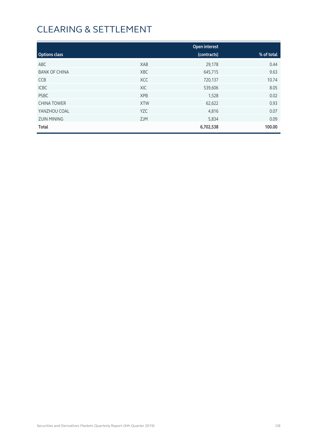|                      |            | Open interest |            |
|----------------------|------------|---------------|------------|
| <b>Options class</b> |            | (contracts)   | % of total |
| ABC                  | XAB        | 29,178        | 0.44       |
| <b>BANK OF CHINA</b> | <b>XBC</b> | 645,715       | 9.63       |
| <b>CCB</b>           | <b>XCC</b> | 720,137       | 10.74      |
| <b>ICBC</b>          | <b>XIC</b> | 539,606       | 8.05       |
| <b>PSBC</b>          | <b>XPB</b> | 1,528         | 0.02       |
| <b>CHINA TOWER</b>   | <b>XTW</b> | 62,622        | 0.93       |
| YANZHOU COAL         | <b>YZC</b> | 4,816         | 0.07       |
| <b>ZIJIN MINING</b>  | <b>ZJM</b> | 5,834         | 0.09       |
| Total                |            | 6,702,538     | 100.00     |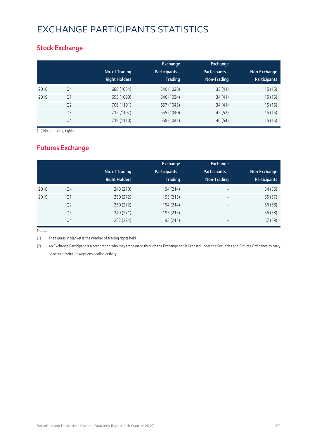# EXCHANGE PARTICIPANTS STATISTICS

### **Stock Exchange**

|      |                |                      | Exchange              | <b>Exchange</b> |                     |
|------|----------------|----------------------|-----------------------|-----------------|---------------------|
|      |                | No. of Trading       | <b>Participants -</b> | Participants -  | Non-Exchange        |
|      |                | <b>Right Holders</b> | <b>Trading</b>        | Non-Trading     | <b>Participants</b> |
| 2018 | Q4             | 688 (1084)           | 640 (1028)            | 33(41)          | 15(15)              |
| 2019 | Q1             | 695 (1090)           | 646 (1034)            | 34(41)          | 15(15)              |
|      | Q <sub>2</sub> | 706 (1101)           | 657 (1045)            | 34(41)          | 15(15)              |
|      | Q3             | 712 (1107)           | 655 (1040)            | 42 (52)         | 15(15)              |
|      | Q4             | 719 (1110)           | 658 (1041)            | 46 (54)         | 15(15)              |

( ) No. of trading rights

## **Futures Exchange**

|      |                | No. of Trading<br><b>Right Holders</b> | Exchange<br><b>Participants -</b><br><b>Trading</b> | Exchange<br>Participants -<br>Non-Trading | Non-Exchange<br><b>Participants</b> |
|------|----------------|----------------------------------------|-----------------------------------------------------|-------------------------------------------|-------------------------------------|
| 2018 | Q4             | 248 (270)                              | 194 (214)                                           | $\overline{\phantom{a}}$                  | 54 (56)                             |
| 2019 | Q1             | 250 (272)                              | 195 (215)                                           | $\overline{\phantom{a}}$                  | 55 (57)                             |
|      | Q <sub>2</sub> | 250 (272)                              | 194 (214)                                           | $\overline{\phantom{m}}$                  | 56 (58)                             |
|      | Q <sub>3</sub> | 249 (271)                              | 193 (213)                                           | $\qquad \qquad -$                         | 56 (58)                             |
|      | Q4             | 252 (274)                              | 195 (215)                                           | $\overline{\phantom{m}}$                  | 57 (59)                             |

Notes:

(1) The figures in blanket is the number of trading rights held.

(2) An Exchange Participant is a corporation who may trade on or through the Exchange and is licensed under the Securities and Futures Ordinance to carry on securities/futures/options dealing activity.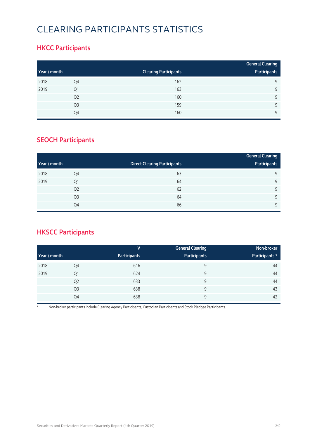# CLEARING PARTICIPANTS STATISTICS

### **HKCC Participants**

|              |                |                              | <b>General Clearing</b> |
|--------------|----------------|------------------------------|-------------------------|
| Year \ month |                | <b>Clearing Participants</b> | Participants            |
| 2018         | Q4             | 162                          | 9                       |
| 2019         | Q1             | 163                          | 9                       |
|              | Q <sub>2</sub> | 160                          | 9                       |
|              | Q <sub>3</sub> | 159                          | 9                       |
|              | Q4             | 160                          | 9                       |

### **SEOCH Participants**

|              |                |                                     | <b>General Clearing</b> |
|--------------|----------------|-------------------------------------|-------------------------|
| Year \ month |                | <b>Direct Clearing Participants</b> | Participants            |
| 2018         | Q4             | 63                                  | 9                       |
| 2019         | Q1             | 64                                  | 9                       |
|              | Q <sub>2</sub> | 62                                  | 9                       |
|              | Q <sub>3</sub> | 64                                  | 9                       |
|              | Q4             | 66                                  | 9                       |

## **HKSCC Participants**

|              |                | V                   | <b>General Clearing</b> | Non-broker     |
|--------------|----------------|---------------------|-------------------------|----------------|
| Year \ month |                | <b>Participants</b> | Participants            | Participants * |
| 2018         | Q4             | 616                 | 9                       | 44             |
| 2019         | Q1             | 624                 | 9                       | 44             |
|              | Q <sub>2</sub> | 633                 | 9                       | 44             |
|              | Q3             | 638                 | 9                       | 43             |
|              | Q4             | 638                 | 9                       | 42             |

\* Non-broker participants include Clearing Agency Participants, Custodian Participants and Stock Pledgee Participants.